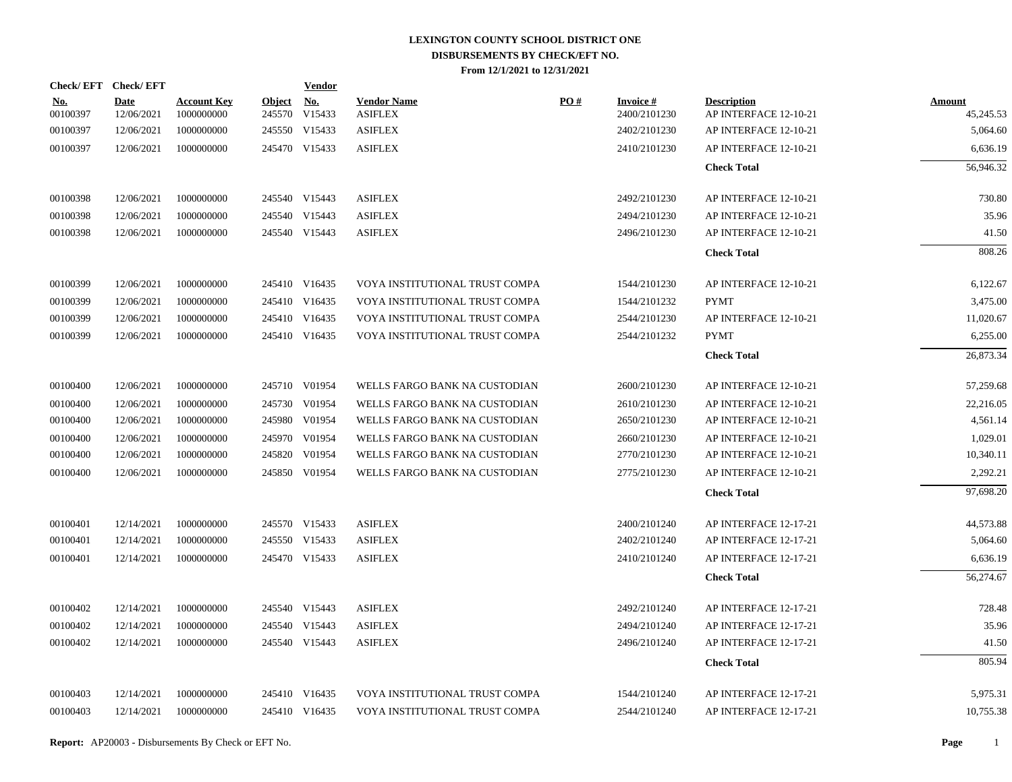|                        | Check/EFT Check/EFT       |                                  |            | <b>Vendor</b> |                                      |     |                                 |                                             |                            |
|------------------------|---------------------------|----------------------------------|------------|---------------|--------------------------------------|-----|---------------------------------|---------------------------------------------|----------------------------|
| <u>No.</u><br>00100397 | <b>Date</b><br>12/06/2021 | <b>Account Key</b><br>1000000000 | Object No. | 245570 V15433 | <b>Vendor Name</b><br><b>ASIFLEX</b> | PO# | <b>Invoice#</b><br>2400/2101230 | <b>Description</b><br>AP INTERFACE 12-10-21 | <b>Amount</b><br>45,245.53 |
| 00100397               | 12/06/2021                | 1000000000                       |            | 245550 V15433 | <b>ASIFLEX</b>                       |     | 2402/2101230                    | AP INTERFACE 12-10-21                       | 5,064.60                   |
| 00100397               | 12/06/2021                | 1000000000                       |            | 245470 V15433 | <b>ASIFLEX</b>                       |     | 2410/2101230                    | AP INTERFACE 12-10-21                       | 6,636.19                   |
|                        |                           |                                  |            |               |                                      |     |                                 | <b>Check Total</b>                          | 56,946.32                  |
| 00100398               | 12/06/2021                | 1000000000                       |            | 245540 V15443 | <b>ASIFLEX</b>                       |     | 2492/2101230                    | AP INTERFACE 12-10-21                       | 730.80                     |
| 00100398               | 12/06/2021                | 1000000000                       |            | 245540 V15443 | <b>ASIFLEX</b>                       |     | 2494/2101230                    | AP INTERFACE 12-10-21                       | 35.96                      |
| 00100398               | 12/06/2021                | 1000000000                       |            | 245540 V15443 | <b>ASIFLEX</b>                       |     | 2496/2101230                    | AP INTERFACE 12-10-21                       | 41.50                      |
|                        |                           |                                  |            |               |                                      |     |                                 | <b>Check Total</b>                          | 808.26                     |
| 00100399               | 12/06/2021                | 1000000000                       |            | 245410 V16435 | VOYA INSTITUTIONAL TRUST COMPA       |     | 1544/2101230                    | AP INTERFACE 12-10-21                       | 6,122.67                   |
| 00100399               | 12/06/2021                | 1000000000                       |            | 245410 V16435 | VOYA INSTITUTIONAL TRUST COMPA       |     | 1544/2101232                    | <b>PYMT</b>                                 | 3,475.00                   |
| 00100399               | 12/06/2021                | 1000000000                       |            | 245410 V16435 | VOYA INSTITUTIONAL TRUST COMPA       |     | 2544/2101230                    | AP INTERFACE 12-10-21                       | 11,020.67                  |
| 00100399               | 12/06/2021                | 1000000000                       |            | 245410 V16435 | VOYA INSTITUTIONAL TRUST COMPA       |     | 2544/2101232                    | <b>PYMT</b>                                 | 6,255.00                   |
|                        |                           |                                  |            |               |                                      |     |                                 | <b>Check Total</b>                          | 26,873.34                  |
| 00100400               | 12/06/2021                | 1000000000                       |            | 245710 V01954 | WELLS FARGO BANK NA CUSTODIAN        |     | 2600/2101230                    | AP INTERFACE 12-10-21                       | 57,259.68                  |
| 00100400               | 12/06/2021                | 1000000000                       |            | 245730 V01954 | WELLS FARGO BANK NA CUSTODIAN        |     | 2610/2101230                    | AP INTERFACE 12-10-21                       | 22,216.05                  |
| 00100400               | 12/06/2021                | 1000000000                       |            | 245980 V01954 | WELLS FARGO BANK NA CUSTODIAN        |     | 2650/2101230                    | AP INTERFACE 12-10-21                       | 4,561.14                   |
| 00100400               | 12/06/2021                | 1000000000                       |            | 245970 V01954 | WELLS FARGO BANK NA CUSTODIAN        |     | 2660/2101230                    | AP INTERFACE 12-10-21                       | 1,029.01                   |
| 00100400               | 12/06/2021                | 1000000000                       |            | 245820 V01954 | WELLS FARGO BANK NA CUSTODIAN        |     | 2770/2101230                    | AP INTERFACE 12-10-21                       | 10,340.11                  |
| 00100400               | 12/06/2021                | 1000000000                       |            | 245850 V01954 | WELLS FARGO BANK NA CUSTODIAN        |     | 2775/2101230                    | AP INTERFACE 12-10-21                       | 2,292.21                   |
|                        |                           |                                  |            |               |                                      |     |                                 | <b>Check Total</b>                          | 97,698.20                  |
| 00100401               | 12/14/2021                | 1000000000                       |            | 245570 V15433 | <b>ASIFLEX</b>                       |     | 2400/2101240                    | AP INTERFACE 12-17-21                       | 44,573.88                  |
| 00100401               | 12/14/2021                | 1000000000                       |            | 245550 V15433 | <b>ASIFLEX</b>                       |     | 2402/2101240                    | AP INTERFACE 12-17-21                       | 5,064.60                   |
| 00100401               | 12/14/2021                | 1000000000                       |            | 245470 V15433 | <b>ASIFLEX</b>                       |     | 2410/2101240                    | AP INTERFACE 12-17-21                       | 6,636.19                   |
|                        |                           |                                  |            |               |                                      |     |                                 | <b>Check Total</b>                          | 56.274.67                  |
| 00100402               | 12/14/2021                | 1000000000                       |            | 245540 V15443 | <b>ASIFLEX</b>                       |     | 2492/2101240                    | AP INTERFACE 12-17-21                       | 728.48                     |
| 00100402               | 12/14/2021                | 1000000000                       |            | 245540 V15443 | <b>ASIFLEX</b>                       |     | 2494/2101240                    | AP INTERFACE 12-17-21                       | 35.96                      |
| 00100402               | 12/14/2021                | 1000000000                       |            | 245540 V15443 | <b>ASIFLEX</b>                       |     | 2496/2101240                    | AP INTERFACE 12-17-21                       | 41.50                      |
|                        |                           |                                  |            |               |                                      |     |                                 | <b>Check Total</b>                          | 805.94                     |
| 00100403               | 12/14/2021                | 1000000000                       |            | 245410 V16435 | VOYA INSTITUTIONAL TRUST COMPA       |     | 1544/2101240                    | AP INTERFACE 12-17-21                       | 5,975.31                   |
| 00100403               | 12/14/2021                | 1000000000                       |            | 245410 V16435 | VOYA INSTITUTIONAL TRUST COMPA       |     | 2544/2101240                    | AP INTERFACE 12-17-21                       | 10,755.38                  |
|                        |                           |                                  |            |               |                                      |     |                                 |                                             |                            |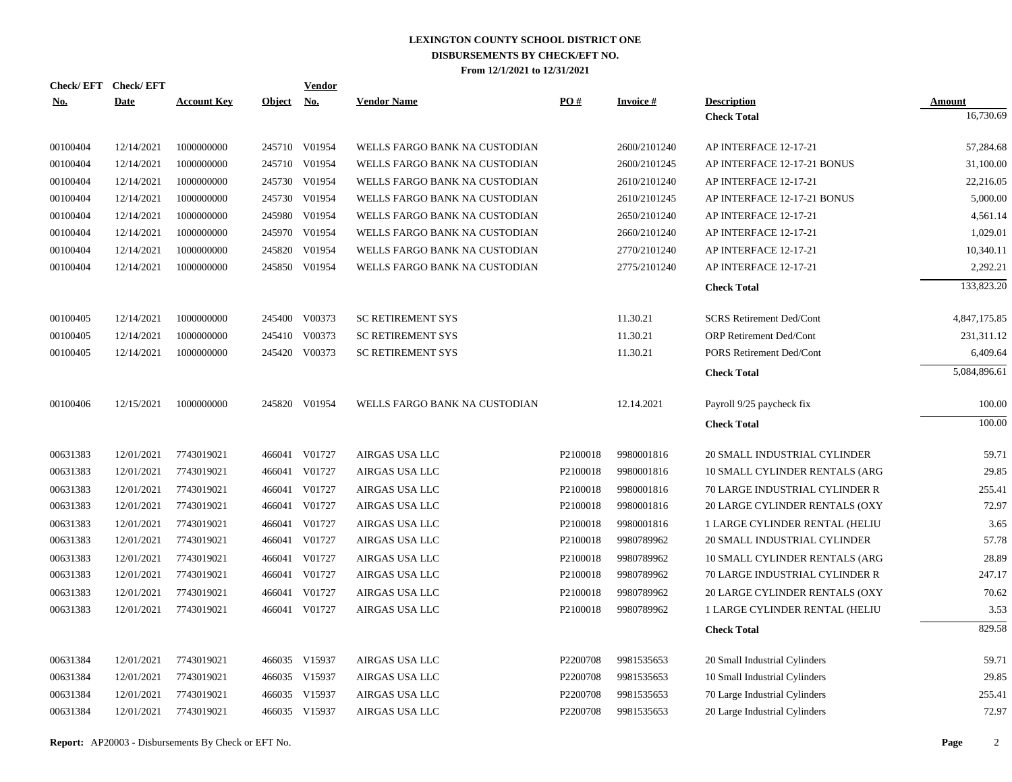| <u>No.</u> | Check/EFT Check/EFT<br><b>Date</b> | <b>Account Key</b> | Object No. | <b>Vendor</b> | <b>Vendor Name</b>            | PO#      | <b>Invoice#</b> | <b>Description</b>              | <b>Amount</b> |
|------------|------------------------------------|--------------------|------------|---------------|-------------------------------|----------|-----------------|---------------------------------|---------------|
|            |                                    |                    |            |               |                               |          |                 | <b>Check Total</b>              | 16,730.69     |
| 00100404   | 12/14/2021                         | 1000000000         |            | 245710 V01954 | WELLS FARGO BANK NA CUSTODIAN |          | 2600/2101240    | AP INTERFACE 12-17-21           | 57,284.68     |
| 00100404   | 12/14/2021                         | 1000000000         |            | 245710 V01954 | WELLS FARGO BANK NA CUSTODIAN |          | 2600/2101245    | AP INTERFACE 12-17-21 BONUS     | 31,100.00     |
| 00100404   | 12/14/2021                         | 1000000000         |            | 245730 V01954 | WELLS FARGO BANK NA CUSTODIAN |          | 2610/2101240    | AP INTERFACE 12-17-21           | 22,216.05     |
| 00100404   | 12/14/2021                         | 1000000000         |            | 245730 V01954 | WELLS FARGO BANK NA CUSTODIAN |          | 2610/2101245    | AP INTERFACE 12-17-21 BONUS     | 5,000.00      |
| 00100404   | 12/14/2021                         | 1000000000         | 245980     | V01954        | WELLS FARGO BANK NA CUSTODIAN |          | 2650/2101240    | AP INTERFACE 12-17-21           | 4,561.14      |
| 00100404   | 12/14/2021                         | 1000000000         |            | 245970 V01954 | WELLS FARGO BANK NA CUSTODIAN |          | 2660/2101240    | AP INTERFACE 12-17-21           | 1,029.01      |
| 00100404   | 12/14/2021                         | 1000000000         | 245820     | V01954        | WELLS FARGO BANK NA CUSTODIAN |          | 2770/2101240    | AP INTERFACE 12-17-21           | 10,340.11     |
| 00100404   | 12/14/2021                         | 1000000000         |            | 245850 V01954 | WELLS FARGO BANK NA CUSTODIAN |          | 2775/2101240    | AP INTERFACE 12-17-21           | 2,292.21      |
|            |                                    |                    |            |               |                               |          |                 | <b>Check Total</b>              | 133,823.20    |
| 00100405   | 12/14/2021                         | 1000000000         |            | 245400 V00373 | <b>SC RETIREMENT SYS</b>      |          | 11.30.21        | <b>SCRS</b> Retirement Ded/Cont | 4,847,175.85  |
| 00100405   | 12/14/2021                         | 1000000000         |            | 245410 V00373 | <b>SC RETIREMENT SYS</b>      |          | 11.30.21        | ORP Retirement Ded/Cont         | 231,311.12    |
| 00100405   | 12/14/2021                         | 1000000000         |            | 245420 V00373 | <b>SC RETIREMENT SYS</b>      |          | 11.30.21        | PORS Retirement Ded/Cont        | 6,409.64      |
|            |                                    |                    |            |               |                               |          |                 | <b>Check Total</b>              | 5,084,896.61  |
| 00100406   | 12/15/2021                         | 1000000000         |            | 245820 V01954 | WELLS FARGO BANK NA CUSTODIAN |          | 12.14.2021      | Payroll 9/25 paycheck fix       | 100.00        |
|            |                                    |                    |            |               |                               |          |                 | <b>Check Total</b>              | 100.00        |
| 00631383   | 12/01/2021                         | 7743019021         |            | 466041 V01727 | AIRGAS USA LLC                | P2100018 | 9980001816      | 20 SMALL INDUSTRIAL CYLINDER    | 59.71         |
| 00631383   | 12/01/2021                         | 7743019021         | 466041     | V01727        | AIRGAS USA LLC                | P2100018 | 9980001816      | 10 SMALL CYLINDER RENTALS (ARG  | 29.85         |
| 00631383   | 12/01/2021                         | 7743019021         | 466041     | V01727        | AIRGAS USA LLC                | P2100018 | 9980001816      | 70 LARGE INDUSTRIAL CYLINDER R  | 255.41        |
| 00631383   | 12/01/2021                         | 7743019021         |            | 466041 V01727 | AIRGAS USA LLC                | P2100018 | 9980001816      | 20 LARGE CYLINDER RENTALS (OXY  | 72.97         |
| 00631383   | 12/01/2021                         | 7743019021         | 466041     | V01727        | AIRGAS USA LLC                | P2100018 | 9980001816      | 1 LARGE CYLINDER RENTAL (HELIU  | 3.65          |
| 00631383   | 12/01/2021                         | 7743019021         |            | 466041 V01727 | AIRGAS USA LLC                | P2100018 | 9980789962      | 20 SMALL INDUSTRIAL CYLINDER    | 57.78         |
| 00631383   | 12/01/2021                         | 7743019021         | 466041     | V01727        | AIRGAS USA LLC                | P2100018 | 9980789962      | 10 SMALL CYLINDER RENTALS (ARG  | 28.89         |
| 00631383   | 12/01/2021                         | 7743019021         |            | 466041 V01727 | AIRGAS USA LLC                | P2100018 | 9980789962      | 70 LARGE INDUSTRIAL CYLINDER R  | 247.17        |
| 00631383   | 12/01/2021                         | 7743019021         | 466041     | V01727        | AIRGAS USA LLC                | P2100018 | 9980789962      | 20 LARGE CYLINDER RENTALS (OXY  | 70.62         |
| 00631383   | 12/01/2021                         | 7743019021         |            | 466041 V01727 | AIRGAS USA LLC                | P2100018 | 9980789962      | 1 LARGE CYLINDER RENTAL (HELIU  | 3.53          |
|            |                                    |                    |            |               |                               |          |                 | <b>Check Total</b>              | 829.58        |
| 00631384   | 12/01/2021                         | 7743019021         |            | 466035 V15937 | AIRGAS USA LLC                | P2200708 | 9981535653      | 20 Small Industrial Cylinders   | 59.71         |
| 00631384   | 12/01/2021                         | 7743019021         |            | 466035 V15937 | AIRGAS USA LLC                | P2200708 | 9981535653      | 10 Small Industrial Cylinders   | 29.85         |
| 00631384   | 12/01/2021                         | 7743019021         |            | 466035 V15937 | AIRGAS USA LLC                | P2200708 | 9981535653      | 70 Large Industrial Cylinders   | 255.41        |
| 00631384   | 12/01/2021                         | 7743019021         |            | 466035 V15937 | AIRGAS USA LLC                | P2200708 | 9981535653      | 20 Large Industrial Cylinders   | 72.97         |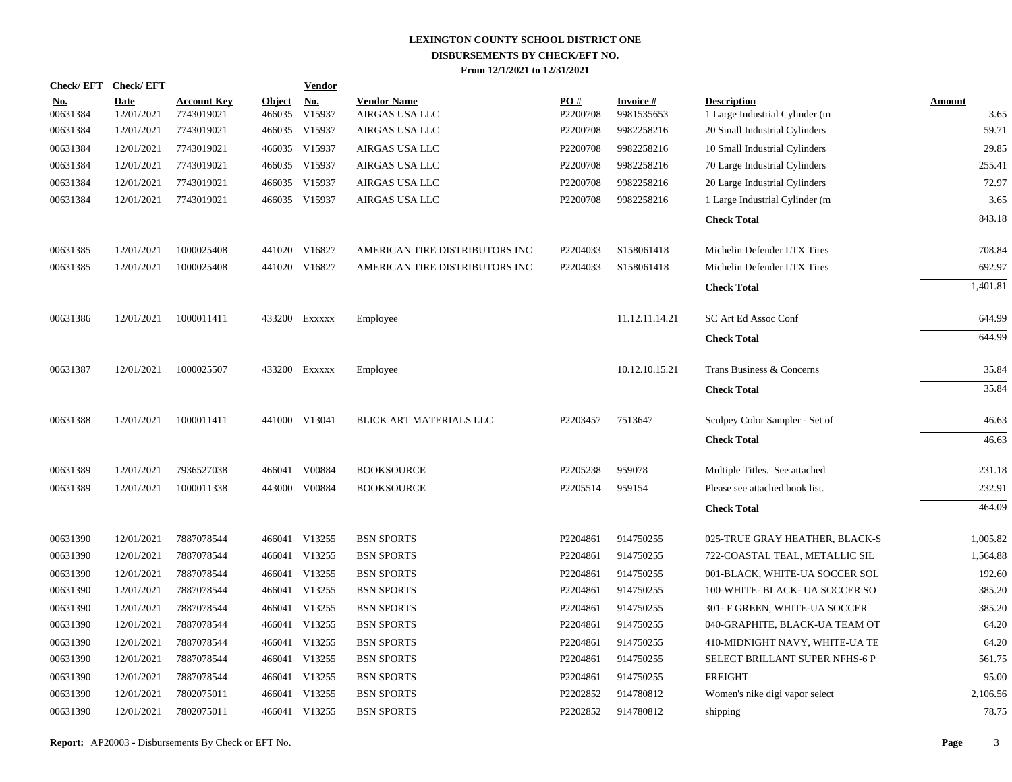|                        | Check/EFT Check/EFT       |                                  |                         | <u>Vendor</u>        |                                      |                 |                               |                                                       |                       |
|------------------------|---------------------------|----------------------------------|-------------------------|----------------------|--------------------------------------|-----------------|-------------------------------|-------------------------------------------------------|-----------------------|
| <u>No.</u><br>00631384 | <b>Date</b><br>12/01/2021 | <b>Account Key</b><br>7743019021 | <b>Object</b><br>466035 | <u>No.</u><br>V15937 | <b>Vendor Name</b><br>AIRGAS USA LLC | PO#<br>P2200708 | <b>Invoice#</b><br>9981535653 | <b>Description</b><br>1 Large Industrial Cylinder (m. | <b>Amount</b><br>3.65 |
| 00631384               | 12/01/2021                | 7743019021                       |                         | 466035 V15937        | AIRGAS USA LLC                       | P2200708        | 9982258216                    | 20 Small Industrial Cylinders                         | 59.71                 |
| 00631384               | 12/01/2021                | 7743019021                       |                         | 466035 V15937        | AIRGAS USA LLC                       | P2200708        | 9982258216                    | 10 Small Industrial Cylinders                         | 29.85                 |
| 00631384               | 12/01/2021                | 7743019021                       |                         | 466035 V15937        | AIRGAS USA LLC                       | P2200708        | 9982258216                    | 70 Large Industrial Cylinders                         | 255.41                |
| 00631384               | 12/01/2021                | 7743019021                       |                         | 466035 V15937        | AIRGAS USA LLC                       | P2200708        | 9982258216                    | 20 Large Industrial Cylinders                         | 72.97                 |
| 00631384               | 12/01/2021                | 7743019021                       |                         | 466035 V15937        | AIRGAS USA LLC                       | P2200708        | 9982258216                    | 1 Large Industrial Cylinder (m                        | 3.65                  |
|                        |                           |                                  |                         |                      |                                      |                 |                               | <b>Check Total</b>                                    | 843.18                |
| 00631385               | 12/01/2021                | 1000025408                       |                         | 441020 V16827        | AMERICAN TIRE DISTRIBUTORS INC       | P2204033        | S158061418                    | Michelin Defender LTX Tires                           | 708.84                |
| 00631385               | 12/01/2021                | 1000025408                       |                         | 441020 V16827        | AMERICAN TIRE DISTRIBUTORS INC       | P2204033        | S158061418                    | Michelin Defender LTX Tires                           | 692.97                |
|                        |                           |                                  |                         |                      |                                      |                 |                               | <b>Check Total</b>                                    | 1,401.81              |
| 00631386               | 12/01/2021                | 1000011411                       |                         | 433200 Exxxxx        | Employee                             |                 | 11.12.11.14.21                | SC Art Ed Assoc Conf                                  | 644.99                |
|                        |                           |                                  |                         |                      |                                      |                 |                               | <b>Check Total</b>                                    | 644.99                |
| 00631387               | 12/01/2021                | 1000025507                       |                         | 433200 Exxxxx        | Employee                             |                 | 10.12.10.15.21                | Trans Business & Concerns                             | 35.84                 |
|                        |                           |                                  |                         |                      |                                      |                 |                               | <b>Check Total</b>                                    | 35.84                 |
| 00631388               | 12/01/2021                | 1000011411                       |                         | 441000 V13041        | BLICK ART MATERIALS LLC              | P2203457        | 7513647                       | Sculpey Color Sampler - Set of                        | 46.63                 |
|                        |                           |                                  |                         |                      |                                      |                 |                               | <b>Check Total</b>                                    | 46.63                 |
| 00631389               | 12/01/2021                | 7936527038                       |                         | 466041 V00884        | <b>BOOKSOURCE</b>                    | P2205238        | 959078                        | Multiple Titles. See attached                         | 231.18                |
| 00631389               | 12/01/2021                | 1000011338                       |                         | 443000 V00884        | <b>BOOKSOURCE</b>                    | P2205514        | 959154                        | Please see attached book list.                        | 232.91                |
|                        |                           |                                  |                         |                      |                                      |                 |                               | <b>Check Total</b>                                    | 464.09                |
| 00631390               | 12/01/2021                | 7887078544                       |                         | 466041 V13255        | <b>BSN SPORTS</b>                    | P2204861        | 914750255                     | 025-TRUE GRAY HEATHER, BLACK-S                        | 1,005.82              |
| 00631390               | 12/01/2021                | 7887078544                       |                         | 466041 V13255        | <b>BSN SPORTS</b>                    | P2204861        | 914750255                     | 722-COASTAL TEAL, METALLIC SIL                        | 1,564.88              |
| 00631390               | 12/01/2021                | 7887078544                       |                         | 466041 V13255        | <b>BSN SPORTS</b>                    | P2204861        | 914750255                     | 001-BLACK, WHITE-UA SOCCER SOL                        | 192.60                |
| 00631390               | 12/01/2021                | 7887078544                       |                         | 466041 V13255        | <b>BSN SPORTS</b>                    | P2204861        | 914750255                     | 100-WHITE- BLACK- UA SOCCER SO                        | 385.20                |
| 00631390               | 12/01/2021                | 7887078544                       |                         | 466041 V13255        | <b>BSN SPORTS</b>                    | P2204861        | 914750255                     | 301- F GREEN, WHITE-UA SOCCER                         | 385.20                |
| 00631390               | 12/01/2021                | 7887078544                       |                         | 466041 V13255        | <b>BSN SPORTS</b>                    | P2204861        | 914750255                     | 040-GRAPHITE, BLACK-UA TEAM OT                        | 64.20                 |
| 00631390               | 12/01/2021                | 7887078544                       |                         | 466041 V13255        | <b>BSN SPORTS</b>                    | P2204861        | 914750255                     | 410-MIDNIGHT NAVY, WHITE-UA TE                        | 64.20                 |
| 00631390               | 12/01/2021                | 7887078544                       |                         | 466041 V13255        | <b>BSN SPORTS</b>                    | P2204861        | 914750255                     | SELECT BRILLANT SUPER NFHS-6 P                        | 561.75                |
| 00631390               | 12/01/2021                | 7887078544                       |                         | 466041 V13255        | <b>BSN SPORTS</b>                    | P2204861        | 914750255                     | <b>FREIGHT</b>                                        | 95.00                 |
| 00631390               | 12/01/2021                | 7802075011                       |                         | 466041 V13255        | <b>BSN SPORTS</b>                    | P2202852        | 914780812                     | Women's nike digi vapor select                        | 2,106.56              |
| 00631390               | 12/01/2021                | 7802075011                       |                         | 466041 V13255        | <b>BSN SPORTS</b>                    | P2202852        | 914780812                     | shipping                                              | 78.75                 |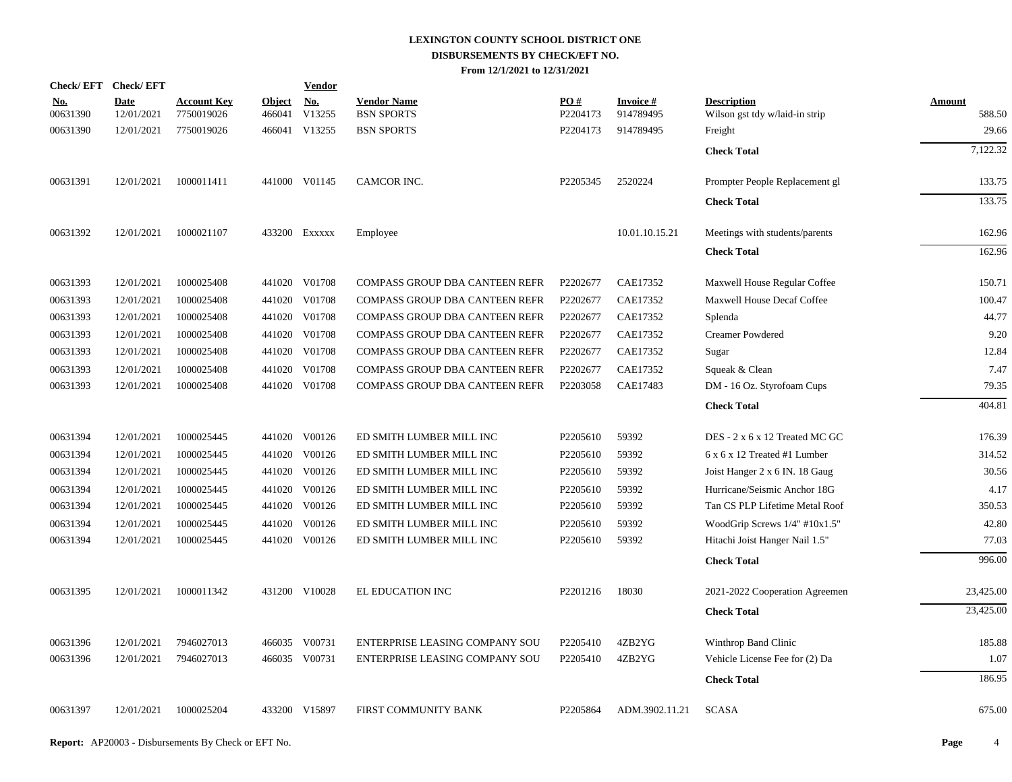|                        | Check/EFT Check/EFT       |                                  |                         | <b>Vendor</b>                         |                                         |                 |                               |                                                      |                         |
|------------------------|---------------------------|----------------------------------|-------------------------|---------------------------------------|-----------------------------------------|-----------------|-------------------------------|------------------------------------------------------|-------------------------|
| <u>No.</u><br>00631390 | <b>Date</b><br>12/01/2021 | <b>Account Key</b><br>7750019026 | <b>Object</b><br>466041 | $\underline{\mathrm{No}}$ .<br>V13255 | <b>Vendor Name</b><br><b>BSN SPORTS</b> | PO#<br>P2204173 | <b>Invoice #</b><br>914789495 | <b>Description</b><br>Wilson gst tdy w/laid-in strip | <b>Amount</b><br>588.50 |
| 00631390               | 12/01/2021                | 7750019026                       |                         | 466041 V13255                         | <b>BSN SPORTS</b>                       | P2204173        | 914789495                     | Freight                                              | 29.66                   |
|                        |                           |                                  |                         |                                       |                                         |                 |                               | <b>Check Total</b>                                   | $7,\overline{122.32}$   |
| 00631391               | 12/01/2021                | 1000011411                       |                         | 441000 V01145                         | CAMCOR INC.                             | P2205345        | 2520224                       | Prompter People Replacement gl                       | 133.75                  |
|                        |                           |                                  |                         |                                       |                                         |                 |                               | <b>Check Total</b>                                   | 133.75                  |
| 00631392               | 12/01/2021                | 1000021107                       |                         | 433200 EXXXXX                         | Employee                                |                 | 10.01.10.15.21                | Meetings with students/parents                       | 162.96                  |
|                        |                           |                                  |                         |                                       |                                         |                 |                               | <b>Check Total</b>                                   | 162.96                  |
| 00631393               | 12/01/2021                | 1000025408                       |                         | 441020 V01708                         | COMPASS GROUP DBA CANTEEN REFR          | P2202677        | CAE17352                      | Maxwell House Regular Coffee                         | 150.71                  |
| 00631393               | 12/01/2021                | 1000025408                       |                         | 441020 V01708                         | COMPASS GROUP DBA CANTEEN REFR          | P2202677        | CAE17352                      | <b>Maxwell House Decaf Coffee</b>                    | 100.47                  |
| 00631393               | 12/01/2021                | 1000025408                       |                         | 441020 V01708                         | COMPASS GROUP DBA CANTEEN REFR          | P2202677        | CAE17352                      | Splenda                                              | 44.77                   |
| 00631393               | 12/01/2021                | 1000025408                       |                         | 441020 V01708                         | COMPASS GROUP DBA CANTEEN REFR          | P2202677        | CAE17352                      | <b>Creamer Powdered</b>                              | 9.20                    |
| 00631393               | 12/01/2021                | 1000025408                       |                         | 441020 V01708                         | COMPASS GROUP DBA CANTEEN REFR          | P2202677        | CAE17352                      | Sugar                                                | 12.84                   |
| 00631393               | 12/01/2021                | 1000025408                       | 441020                  | V01708                                | COMPASS GROUP DBA CANTEEN REFR          | P2202677        | CAE17352                      | Squeak & Clean                                       | 7.47                    |
| 00631393               | 12/01/2021                | 1000025408                       |                         | 441020 V01708                         | COMPASS GROUP DBA CANTEEN REFR          | P2203058        | CAE17483                      | DM - 16 Oz. Styrofoam Cups                           | 79.35                   |
|                        |                           |                                  |                         |                                       |                                         |                 |                               | <b>Check Total</b>                                   | 404.81                  |
| 00631394               | 12/01/2021                | 1000025445                       |                         | 441020 V00126                         | ED SMITH LUMBER MILL INC                | P2205610        | 59392                         | DES - 2 x 6 x 12 Treated MC GC                       | 176.39                  |
| 00631394               | 12/01/2021                | 1000025445                       |                         | 441020 V00126                         | ED SMITH LUMBER MILL INC                | P2205610        | 59392                         | 6 x 6 x 12 Treated #1 Lumber                         | 314.52                  |
| 00631394               | 12/01/2021                | 1000025445                       |                         | 441020 V00126                         | ED SMITH LUMBER MILL INC                | P2205610        | 59392                         | Joist Hanger 2 x 6 IN. 18 Gaug                       | 30.56                   |
| 00631394               | 12/01/2021                | 1000025445                       |                         | 441020 V00126                         | ED SMITH LUMBER MILL INC                | P2205610        | 59392                         | Hurricane/Seismic Anchor 18G                         | 4.17                    |
| 00631394               | 12/01/2021                | 1000025445                       |                         | 441020 V00126                         | ED SMITH LUMBER MILL INC                | P2205610        | 59392                         | Tan CS PLP Lifetime Metal Roof                       | 350.53                  |
| 00631394               | 12/01/2021                | 1000025445                       |                         | 441020 V00126                         | ED SMITH LUMBER MILL INC                | P2205610        | 59392                         | WoodGrip Screws 1/4" #10x1.5"                        | 42.80                   |
| 00631394               | 12/01/2021                | 1000025445                       |                         | 441020 V00126                         | ED SMITH LUMBER MILL INC                | P2205610        | 59392                         | Hitachi Joist Hanger Nail 1.5"                       | 77.03                   |
|                        |                           |                                  |                         |                                       |                                         |                 |                               | <b>Check Total</b>                                   | 996.00                  |
| 00631395               | 12/01/2021                | 1000011342                       |                         | 431200 V10028                         | EL EDUCATION INC                        | P2201216        | 18030                         | 2021-2022 Cooperation Agreemen                       | 23,425.00               |
|                        |                           |                                  |                         |                                       |                                         |                 |                               | <b>Check Total</b>                                   | 23,425.00               |
| 00631396               | 12/01/2021                | 7946027013                       |                         | 466035 V00731                         | ENTERPRISE LEASING COMPANY SOU          | P2205410        | 4ZB2YG                        | Winthrop Band Clinic                                 | 185.88                  |
| 00631396               | 12/01/2021                | 7946027013                       |                         | 466035 V00731                         | ENTERPRISE LEASING COMPANY SOU          | P2205410        | 4ZB2YG                        | Vehicle License Fee for (2) Da                       | 1.07                    |
|                        |                           |                                  |                         |                                       |                                         |                 |                               | <b>Check Total</b>                                   | 186.95                  |
| 00631397               | 12/01/2021                | 1000025204                       |                         | 433200 V15897                         | FIRST COMMUNITY BANK                    | P2205864        | ADM.3902.11.21                | <b>SCASA</b>                                         | 675.00                  |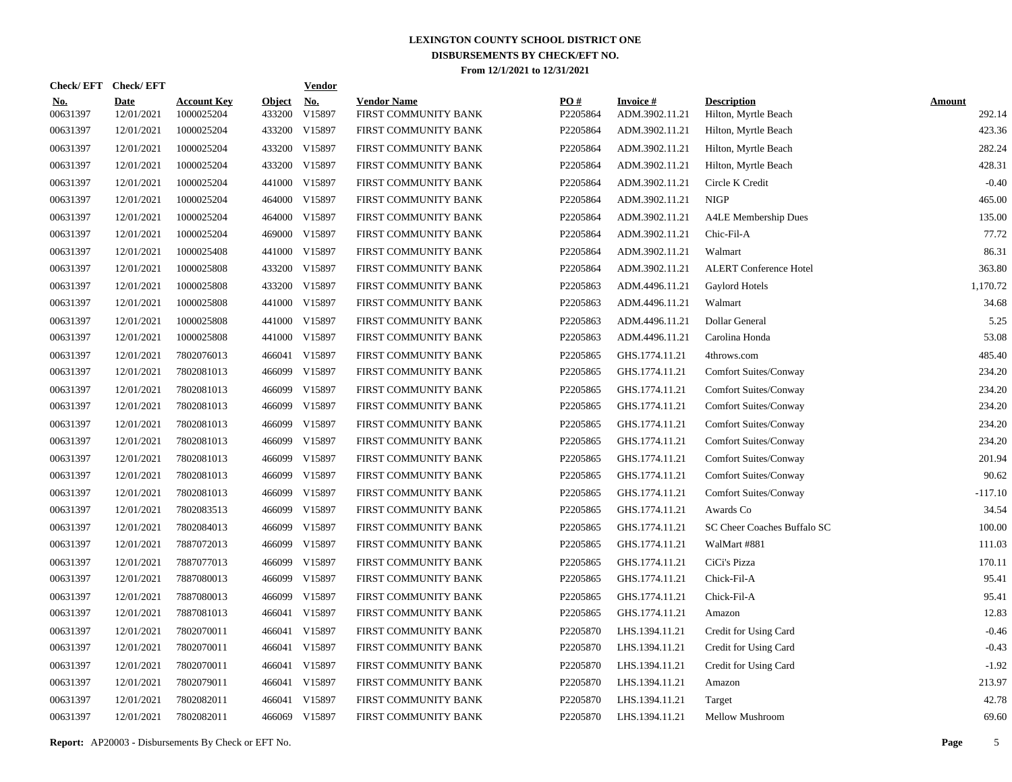|                        | Check/EFT Check/EFT |                                  |                         | <b>Vendor</b> |                                            |                 |                                   |                                            |                         |
|------------------------|---------------------|----------------------------------|-------------------------|---------------|--------------------------------------------|-----------------|-----------------------------------|--------------------------------------------|-------------------------|
| <u>No.</u><br>00631397 | Date<br>12/01/2021  | <b>Account Key</b><br>1000025204 | <b>Object</b><br>433200 | No.<br>V15897 | <b>Vendor Name</b><br>FIRST COMMUNITY BANK | PO#<br>P2205864 | <b>Invoice#</b><br>ADM.3902.11.21 | <b>Description</b><br>Hilton, Myrtle Beach | <b>Amount</b><br>292.14 |
| 00631397               | 12/01/2021          | 1000025204                       |                         | 433200 V15897 | FIRST COMMUNITY BANK                       | P2205864        | ADM.3902.11.21                    | Hilton, Myrtle Beach                       | 423.36                  |
| 00631397               | 12/01/2021          | 1000025204                       |                         | 433200 V15897 | FIRST COMMUNITY BANK                       | P2205864        | ADM.3902.11.21                    | Hilton, Myrtle Beach                       | 282.24                  |
| 00631397               | 12/01/2021          | 1000025204                       |                         | 433200 V15897 | FIRST COMMUNITY BANK                       | P2205864        | ADM.3902.11.21                    | Hilton, Myrtle Beach                       | 428.31                  |
| 00631397               | 12/01/2021          | 1000025204                       |                         | 441000 V15897 | FIRST COMMUNITY BANK                       | P2205864        | ADM.3902.11.21                    | Circle K Credit                            | $-0.40$                 |
| 00631397               | 12/01/2021          | 1000025204                       |                         | 464000 V15897 | FIRST COMMUNITY BANK                       | P2205864        | ADM.3902.11.21                    | <b>NIGP</b>                                | 465.00                  |
| 00631397               | 12/01/2021          | 1000025204                       |                         | 464000 V15897 | FIRST COMMUNITY BANK                       | P2205864        | ADM.3902.11.21                    | <b>A4LE</b> Membership Dues                | 135.00                  |
| 00631397               | 12/01/2021          | 1000025204                       |                         | 469000 V15897 | FIRST COMMUNITY BANK                       | P2205864        | ADM.3902.11.21                    | Chic-Fil-A                                 | 77.72                   |
| 00631397               | 12/01/2021          | 1000025408                       |                         | 441000 V15897 | FIRST COMMUNITY BANK                       | P2205864        | ADM.3902.11.21                    | Walmart                                    | 86.31                   |
| 00631397               | 12/01/2021          | 1000025808                       |                         | 433200 V15897 | FIRST COMMUNITY BANK                       | P2205864        | ADM.3902.11.21                    | <b>ALERT Conference Hotel</b>              | 363.80                  |
| 00631397               | 12/01/2021          | 1000025808                       |                         | 433200 V15897 | FIRST COMMUNITY BANK                       | P2205863        | ADM.4496.11.21                    | Gaylord Hotels                             | 1,170.72                |
| 00631397               | 12/01/2021          | 1000025808                       |                         | 441000 V15897 | FIRST COMMUNITY BANK                       | P2205863        | ADM.4496.11.21                    | Walmart                                    | 34.68                   |
| 00631397               | 12/01/2021          | 1000025808                       |                         | 441000 V15897 | FIRST COMMUNITY BANK                       | P2205863        | ADM.4496.11.21                    | Dollar General                             | 5.25                    |
| 00631397               | 12/01/2021          | 1000025808                       |                         | 441000 V15897 | FIRST COMMUNITY BANK                       | P2205863        | ADM.4496.11.21                    | Carolina Honda                             | 53.08                   |
| 00631397               | 12/01/2021          | 7802076013                       |                         | 466041 V15897 | FIRST COMMUNITY BANK                       | P2205865        | GHS.1774.11.21                    | 4throws.com                                | 485.40                  |
| 00631397               | 12/01/2021          | 7802081013                       |                         | 466099 V15897 | FIRST COMMUNITY BANK                       | P2205865        | GHS.1774.11.21                    | <b>Comfort Suites/Conway</b>               | 234.20                  |
| 00631397               | 12/01/2021          | 7802081013                       | 466099                  | V15897        | FIRST COMMUNITY BANK                       | P2205865        | GHS.1774.11.21                    | <b>Comfort Suites/Conway</b>               | 234.20                  |
| 00631397               | 12/01/2021          | 7802081013                       |                         | 466099 V15897 | FIRST COMMUNITY BANK                       | P2205865        | GHS.1774.11.21                    | <b>Comfort Suites/Conway</b>               | 234.20                  |
| 00631397               | 12/01/2021          | 7802081013                       | 466099                  | V15897        | FIRST COMMUNITY BANK                       | P2205865        | GHS.1774.11.21                    | <b>Comfort Suites/Conway</b>               | 234.20                  |
| 00631397               | 12/01/2021          | 7802081013                       | 466099                  | V15897        | FIRST COMMUNITY BANK                       | P2205865        | GHS.1774.11.21                    | Comfort Suites/Conway                      | 234.20                  |
| 00631397               | 12/01/2021          | 7802081013                       | 466099                  | V15897        | FIRST COMMUNITY BANK                       | P2205865        | GHS.1774.11.21                    | <b>Comfort Suites/Conway</b>               | 201.94                  |
| 00631397               | 12/01/2021          | 7802081013                       | 466099                  | V15897        | FIRST COMMUNITY BANK                       | P2205865        | GHS.1774.11.21                    | <b>Comfort Suites/Conway</b>               | 90.62                   |
| 00631397               | 12/01/2021          | 7802081013                       | 466099                  | V15897        | FIRST COMMUNITY BANK                       | P2205865        | GHS.1774.11.21                    | <b>Comfort Suites/Conway</b>               | $-117.10$               |
| 00631397               | 12/01/2021          | 7802083513                       | 466099                  | V15897        | FIRST COMMUNITY BANK                       | P2205865        | GHS.1774.11.21                    | Awards Co                                  | 34.54                   |
| 00631397               | 12/01/2021          | 7802084013                       | 466099                  | V15897        | FIRST COMMUNITY BANK                       | P2205865        | GHS.1774.11.21                    | SC Cheer Coaches Buffalo SC                | 100.00                  |
| 00631397               | 12/01/2021          | 7887072013                       | 466099                  | V15897        | FIRST COMMUNITY BANK                       | P2205865        | GHS.1774.11.21                    | WalMart #881                               | 111.03                  |
| 00631397               | 12/01/2021          | 7887077013                       | 466099                  | V15897        | FIRST COMMUNITY BANK                       | P2205865        | GHS.1774.11.21                    | CiCi's Pizza                               | 170.11                  |
| 00631397               | 12/01/2021          | 7887080013                       | 466099                  | V15897        | FIRST COMMUNITY BANK                       | P2205865        | GHS.1774.11.21                    | Chick-Fil-A                                | 95.41                   |
| 00631397               | 12/01/2021          | 7887080013                       | 466099                  | V15897        | FIRST COMMUNITY BANK                       | P2205865        | GHS.1774.11.21                    | Chick-Fil-A                                | 95.41                   |
| 00631397               | 12/01/2021          | 7887081013                       | 466041                  | V15897        | FIRST COMMUNITY BANK                       | P2205865        | GHS.1774.11.21                    | Amazon                                     | 12.83                   |
| 00631397               | 12/01/2021          | 7802070011                       | 466041                  | V15897        | FIRST COMMUNITY BANK                       | P2205870        | LHS.1394.11.21                    | Credit for Using Card                      | $-0.46$                 |
| 00631397               | 12/01/2021          | 7802070011                       | 466041                  | V15897        | FIRST COMMUNITY BANK                       | P2205870        | LHS.1394.11.21                    | Credit for Using Card                      | $-0.43$                 |
| 00631397               | 12/01/2021          | 7802070011                       | 466041                  | V15897        | FIRST COMMUNITY BANK                       | P2205870        | LHS.1394.11.21                    | Credit for Using Card                      | $-1.92$                 |
| 00631397               | 12/01/2021          | 7802079011                       | 466041                  | V15897        | FIRST COMMUNITY BANK                       | P2205870        | LHS.1394.11.21                    | Amazon                                     | 213.97                  |
| 00631397               | 12/01/2021          | 7802082011                       | 466041                  | V15897        | FIRST COMMUNITY BANK                       | P2205870        | LHS.1394.11.21                    | Target                                     | 42.78                   |
| 00631397               | 12/01/2021          | 7802082011                       |                         | 466069 V15897 | FIRST COMMUNITY BANK                       | P2205870        | LHS.1394.11.21                    | Mellow Mushroom                            | 69.60                   |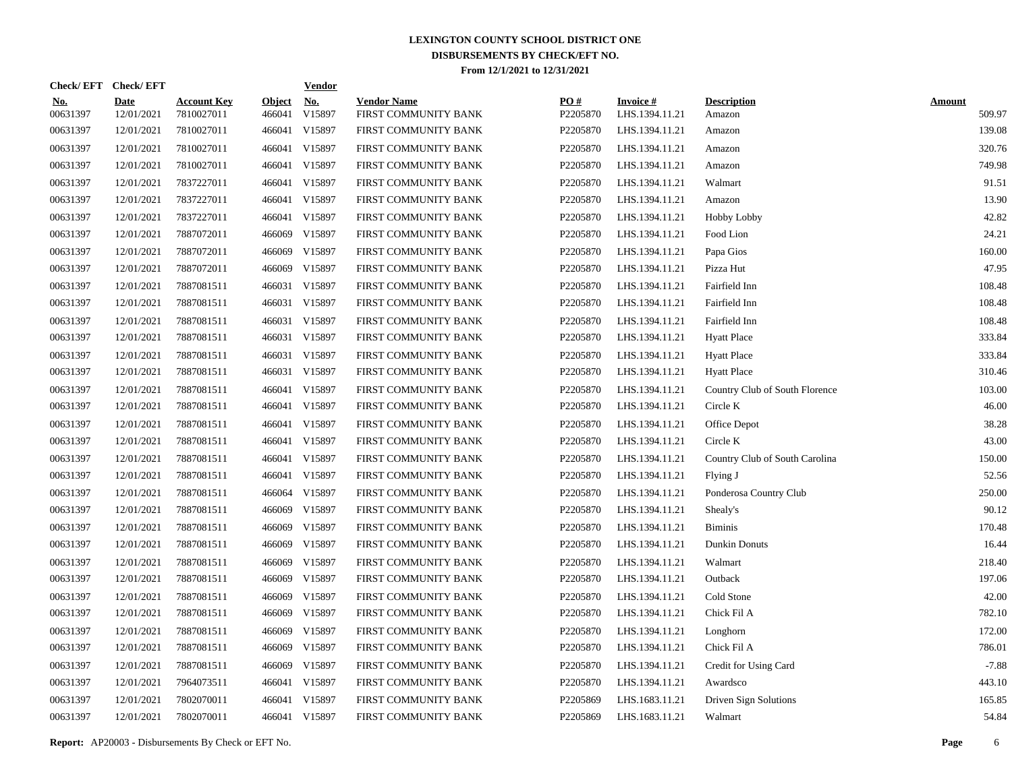|                        | Check/EFT Check/EFT       |                                  |                         | <b>Vendor</b>        |                                            |                 |                                   |                                |                         |
|------------------------|---------------------------|----------------------------------|-------------------------|----------------------|--------------------------------------------|-----------------|-----------------------------------|--------------------------------|-------------------------|
| <u>No.</u><br>00631397 | <b>Date</b><br>12/01/2021 | <b>Account Key</b><br>7810027011 | <b>Object</b><br>466041 | <u>No.</u><br>V15897 | <b>Vendor Name</b><br>FIRST COMMUNITY BANK | PQ#<br>P2205870 | <b>Invoice#</b><br>LHS.1394.11.21 | <b>Description</b><br>Amazon   | <b>Amount</b><br>509.97 |
| 00631397               | 12/01/2021                | 7810027011                       |                         | 466041 V15897        | FIRST COMMUNITY BANK                       | P2205870        | LHS.1394.11.21                    | Amazon                         | 139.08                  |
| 00631397               | 12/01/2021                | 7810027011                       |                         | 466041 V15897        | FIRST COMMUNITY BANK                       | P2205870        | LHS.1394.11.21                    | Amazon                         | 320.76                  |
| 00631397               | 12/01/2021                | 7810027011                       |                         | 466041 V15897        | FIRST COMMUNITY BANK                       | P2205870        | LHS.1394.11.21                    | Amazon                         | 749.98                  |
| 00631397               | 12/01/2021                | 7837227011                       |                         | 466041 V15897        | FIRST COMMUNITY BANK                       | P2205870        | LHS.1394.11.21                    | Walmart                        | 91.51                   |
| 00631397               | 12/01/2021                | 7837227011                       |                         | 466041 V15897        | FIRST COMMUNITY BANK                       | P2205870        | LHS.1394.11.21                    | Amazon                         | 13.90                   |
| 00631397               | 12/01/2021                | 7837227011                       |                         | 466041 V15897        | FIRST COMMUNITY BANK                       | P2205870        | LHS.1394.11.21                    | <b>Hobby Lobby</b>             | 42.82                   |
| 00631397               | 12/01/2021                | 7887072011                       |                         | 466069 V15897        | FIRST COMMUNITY BANK                       | P2205870        | LHS.1394.11.21                    | Food Lion                      | 24.21                   |
| 00631397               | 12/01/2021                | 7887072011                       | 466069                  | V15897               | FIRST COMMUNITY BANK                       | P2205870        | LHS.1394.11.21                    | Papa Gios                      | 160.00                  |
| 00631397               | 12/01/2021                | 7887072011                       | 466069                  | V15897               | FIRST COMMUNITY BANK                       | P2205870        | LHS.1394.11.21                    | Pizza Hut                      | 47.95                   |
| 00631397               | 12/01/2021                | 7887081511                       |                         | 466031 V15897        | FIRST COMMUNITY BANK                       | P2205870        | LHS.1394.11.21                    | Fairfield Inn                  | 108.48                  |
| 00631397               | 12/01/2021                | 7887081511                       |                         | 466031 V15897        | FIRST COMMUNITY BANK                       | P2205870        | LHS.1394.11.21                    | Fairfield Inn                  | 108.48                  |
| 00631397               | 12/01/2021                | 7887081511                       |                         | 466031 V15897        | FIRST COMMUNITY BANK                       | P2205870        | LHS.1394.11.21                    | Fairfield Inn                  | 108.48                  |
| 00631397               | 12/01/2021                | 7887081511                       |                         | 466031 V15897        | FIRST COMMUNITY BANK                       | P2205870        | LHS.1394.11.21                    | <b>Hyatt Place</b>             | 333.84                  |
| 00631397               | 12/01/2021                | 7887081511                       |                         | 466031 V15897        | FIRST COMMUNITY BANK                       | P2205870        | LHS.1394.11.21                    | <b>Hyatt Place</b>             | 333.84                  |
| 00631397               | 12/01/2021                | 7887081511                       |                         | 466031 V15897        | FIRST COMMUNITY BANK                       | P2205870        | LHS.1394.11.21                    | <b>Hyatt Place</b>             | 310.46                  |
| 00631397               | 12/01/2021                | 7887081511                       |                         | 466041 V15897        | FIRST COMMUNITY BANK                       | P2205870        | LHS.1394.11.21                    | Country Club of South Florence | 103.00                  |
| 00631397               | 12/01/2021                | 7887081511                       |                         | 466041 V15897        | FIRST COMMUNITY BANK                       | P2205870        | LHS.1394.11.21                    | Circle K                       | 46.00                   |
| 00631397               | 12/01/2021                | 7887081511                       |                         | 466041 V15897        | FIRST COMMUNITY BANK                       | P2205870        | LHS.1394.11.21                    | Office Depot                   | 38.28                   |
| 00631397               | 12/01/2021                | 7887081511                       |                         | 466041 V15897        | FIRST COMMUNITY BANK                       | P2205870        | LHS.1394.11.21                    | Circle K                       | 43.00                   |
| 00631397               | 12/01/2021                | 7887081511                       |                         | 466041 V15897        | FIRST COMMUNITY BANK                       | P2205870        | LHS.1394.11.21                    | Country Club of South Carolina | 150.00                  |
| 00631397               | 12/01/2021                | 7887081511                       |                         | 466041 V15897        | FIRST COMMUNITY BANK                       | P2205870        | LHS.1394.11.21                    | Flying J                       | 52.56                   |
| 00631397               | 12/01/2021                | 7887081511                       |                         | 466064 V15897        | FIRST COMMUNITY BANK                       | P2205870        | LHS.1394.11.21                    | Ponderosa Country Club         | 250.00                  |
| 00631397               | 12/01/2021                | 7887081511                       |                         | 466069 V15897        | FIRST COMMUNITY BANK                       | P2205870        | LHS.1394.11.21                    | Shealy's                       | 90.12                   |
| 00631397               | 12/01/2021                | 7887081511                       | 466069                  | V15897               | FIRST COMMUNITY BANK                       | P2205870        | LHS.1394.11.21                    | <b>Biminis</b>                 | 170.48                  |
| 00631397               | 12/01/2021                | 7887081511                       |                         | 466069 V15897        | FIRST COMMUNITY BANK                       | P2205870        | LHS.1394.11.21                    | Dunkin Donuts                  | 16.44                   |
| 00631397               | 12/01/2021                | 7887081511                       |                         | 466069 V15897        | FIRST COMMUNITY BANK                       | P2205870        | LHS.1394.11.21                    | Walmart                        | 218.40                  |
| 00631397               | 12/01/2021                | 7887081511                       | 466069                  | V15897               | FIRST COMMUNITY BANK                       | P2205870        | LHS.1394.11.21                    | Outback                        | 197.06                  |
| 00631397               | 12/01/2021                | 7887081511                       |                         | 466069 V15897        | FIRST COMMUNITY BANK                       | P2205870        | LHS.1394.11.21                    | Cold Stone                     | 42.00                   |
| 00631397               | 12/01/2021                | 7887081511                       | 466069                  | V15897               | FIRST COMMUNITY BANK                       | P2205870        | LHS.1394.11.21                    | Chick Fil A                    | 782.10                  |
| 00631397               | 12/01/2021                | 7887081511                       | 466069                  | V15897               | FIRST COMMUNITY BANK                       | P2205870        | LHS.1394.11.21                    | Longhorn                       | 172.00                  |
| 00631397               | 12/01/2021                | 7887081511                       | 466069                  | V15897               | FIRST COMMUNITY BANK                       | P2205870        | LHS.1394.11.21                    | Chick Fil A                    | 786.01                  |
| 00631397               | 12/01/2021                | 7887081511                       | 466069                  | V15897               | FIRST COMMUNITY BANK                       | P2205870        | LHS.1394.11.21                    | Credit for Using Card          | $-7.88$                 |
| 00631397               | 12/01/2021                | 7964073511                       |                         | 466041 V15897        | FIRST COMMUNITY BANK                       | P2205870        | LHS.1394.11.21                    | Awardsco                       | 443.10                  |
| 00631397               | 12/01/2021                | 7802070011                       |                         | 466041 V15897        | FIRST COMMUNITY BANK                       | P2205869        | LHS.1683.11.21                    | Driven Sign Solutions          | 165.85                  |
| 00631397               | 12/01/2021                | 7802070011                       |                         | 466041 V15897        | FIRST COMMUNITY BANK                       | P2205869        | LHS.1683.11.21                    | Walmart                        | 54.84                   |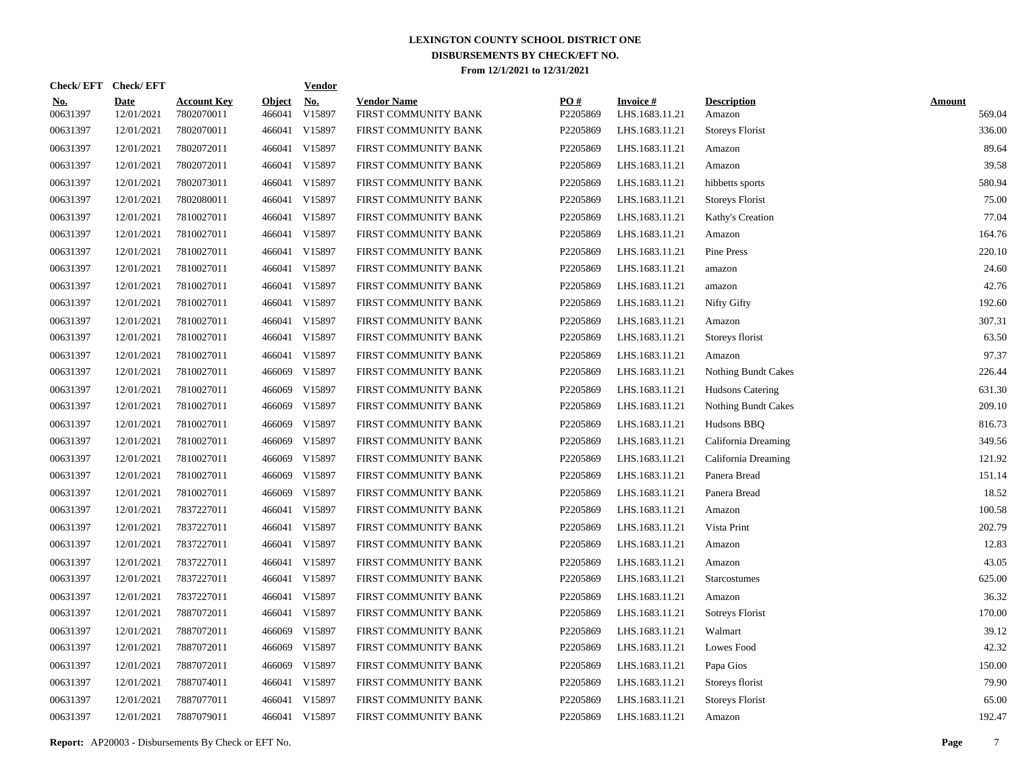| Check/EFT Check/EFT    |                           |                                  |                         | <u>Vendor</u>        |                                            |                 |                                   |                              |                         |
|------------------------|---------------------------|----------------------------------|-------------------------|----------------------|--------------------------------------------|-----------------|-----------------------------------|------------------------------|-------------------------|
| <u>No.</u><br>00631397 | <b>Date</b><br>12/01/2021 | <b>Account Key</b><br>7802070011 | <b>Object</b><br>466041 | <u>No.</u><br>V15897 | <b>Vendor Name</b><br>FIRST COMMUNITY BANK | PQ#<br>P2205869 | <b>Invoice#</b><br>LHS.1683.11.21 | <b>Description</b><br>Amazon | <b>Amount</b><br>569.04 |
| 00631397               | 12/01/2021                | 7802070011                       | 466041                  | V15897               | FIRST COMMUNITY BANK                       | P2205869        | LHS.1683.11.21                    | <b>Storeys Florist</b>       | 336.00                  |
| 00631397               | 12/01/2021                | 7802072011                       | 466041                  | V15897               | FIRST COMMUNITY BANK                       | P2205869        | LHS.1683.11.21                    | Amazon                       | 89.64                   |
| 00631397               | 12/01/2021                | 7802072011                       | 466041                  | V15897               | FIRST COMMUNITY BANK                       | P2205869        | LHS.1683.11.21                    | Amazon                       | 39.58                   |
| 00631397               | 12/01/2021                | 7802073011                       | 466041                  | V15897               | FIRST COMMUNITY BANK                       | P2205869        | LHS.1683.11.21                    | hibbetts sports              | 580.94                  |
| 00631397               | 12/01/2021                | 7802080011                       | 466041                  | V15897               | FIRST COMMUNITY BANK                       | P2205869        | LHS.1683.11.21                    | <b>Storeys Florist</b>       | 75.00                   |
| 00631397               | 12/01/2021                | 7810027011                       | 466041                  | V15897               | FIRST COMMUNITY BANK                       | P2205869        | LHS.1683.11.21                    | Kathy's Creation             | 77.04                   |
| 00631397               | 12/01/2021                | 7810027011                       | 466041                  | V15897               | FIRST COMMUNITY BANK                       | P2205869        | LHS.1683.11.21                    | Amazon                       | 164.76                  |
| 00631397               | 12/01/2021                | 7810027011                       | 466041                  | V15897               | FIRST COMMUNITY BANK                       | P2205869        | LHS.1683.11.21                    | Pine Press                   | 220.10                  |
| 00631397               | 12/01/2021                | 7810027011                       | 466041                  | V15897               | FIRST COMMUNITY BANK                       | P2205869        | LHS.1683.11.21                    | amazon                       | 24.60                   |
| 00631397               | 12/01/2021                | 7810027011                       | 466041                  | V15897               | FIRST COMMUNITY BANK                       | P2205869        | LHS.1683.11.21                    | amazon                       | 42.76                   |
| 00631397               | 12/01/2021                | 7810027011                       | 466041                  | V15897               | FIRST COMMUNITY BANK                       | P2205869        | LHS.1683.11.21                    | Nifty Gifty                  | 192.60                  |
| 00631397               | 12/01/2021                | 7810027011                       | 466041                  | V15897               | FIRST COMMUNITY BANK                       | P2205869        | LHS.1683.11.21                    | Amazon                       | 307.31                  |
| 00631397               | 12/01/2021                | 7810027011                       | 466041                  | V15897               | FIRST COMMUNITY BANK                       | P2205869        | LHS.1683.11.21                    | Storeys florist              | 63.50                   |
| 00631397               | 12/01/2021                | 7810027011                       | 466041                  | V15897               | FIRST COMMUNITY BANK                       | P2205869        | LHS.1683.11.21                    | Amazon                       | 97.37                   |
| 00631397               | 12/01/2021                | 7810027011                       | 466069                  | V15897               | FIRST COMMUNITY BANK                       | P2205869        | LHS.1683.11.21                    | <b>Nothing Bundt Cakes</b>   | 226.44                  |
| 00631397               | 12/01/2021                | 7810027011                       | 466069                  | V15897               | FIRST COMMUNITY BANK                       | P2205869        | LHS.1683.11.21                    | <b>Hudsons Catering</b>      | 631.30                  |
| 00631397               | 12/01/2021                | 7810027011                       | 466069                  | V15897               | FIRST COMMUNITY BANK                       | P2205869        | LHS.1683.11.21                    | Nothing Bundt Cakes          | 209.10                  |
| 00631397               | 12/01/2021                | 7810027011                       | 466069                  | V15897               | FIRST COMMUNITY BANK                       | P2205869        | LHS.1683.11.21                    | Hudsons BBQ                  | 816.73                  |
| 00631397               | 12/01/2021                | 7810027011                       | 466069                  | V15897               | FIRST COMMUNITY BANK                       | P2205869        | LHS.1683.11.21                    | California Dreaming          | 349.56                  |
| 00631397               | 12/01/2021                | 7810027011                       | 466069                  | V15897               | FIRST COMMUNITY BANK                       | P2205869        | LHS.1683.11.21                    | California Dreaming          | 121.92                  |
| 00631397               | 12/01/2021                | 7810027011                       | 466069                  | V15897               | FIRST COMMUNITY BANK                       | P2205869        | LHS.1683.11.21                    | Panera Bread                 | 151.14                  |
| 00631397               | 12/01/2021                | 7810027011                       | 466069                  | V15897               | FIRST COMMUNITY BANK                       | P2205869        | LHS.1683.11.21                    | Panera Bread                 | 18.52                   |
| 00631397               | 12/01/2021                | 7837227011                       | 466041                  | V15897               | FIRST COMMUNITY BANK                       | P2205869        | LHS.1683.11.21                    | Amazon                       | 100.58                  |
| 00631397               | 12/01/2021                | 7837227011                       | 466041                  | V15897               | FIRST COMMUNITY BANK                       | P2205869        | LHS.1683.11.21                    | Vista Print                  | 202.79                  |
| 00631397               | 12/01/2021                | 7837227011                       | 466041                  | V15897               | FIRST COMMUNITY BANK                       | P2205869        | LHS.1683.11.21                    | Amazon                       | 12.83                   |
| 00631397               | 12/01/2021                | 7837227011                       | 466041                  | V15897               | FIRST COMMUNITY BANK                       | P2205869        | LHS.1683.11.21                    | Amazon                       | 43.05                   |
| 00631397               | 12/01/2021                | 7837227011                       | 466041                  | V15897               | FIRST COMMUNITY BANK                       | P2205869        | LHS.1683.11.21                    | <b>Starcostumes</b>          | 625.00                  |
| 00631397               | 12/01/2021                | 7837227011                       | 466041                  | V15897               | FIRST COMMUNITY BANK                       | P2205869        | LHS.1683.11.21                    | Amazon                       | 36.32                   |
| 00631397               | 12/01/2021                | 7887072011                       | 466041                  | V15897               | FIRST COMMUNITY BANK                       | P2205869        | LHS.1683.11.21                    | Sotreys Florist              | 170.00                  |
| 00631397               | 12/01/2021                | 7887072011                       | 466069                  | V15897               | FIRST COMMUNITY BANK                       | P2205869        | LHS.1683.11.21                    | Walmart                      | 39.12                   |
| 00631397               | 12/01/2021                | 7887072011                       | 466069                  | V15897               | FIRST COMMUNITY BANK                       | P2205869        | LHS.1683.11.21                    | Lowes Food                   | 42.32                   |
| 00631397               | 12/01/2021                | 7887072011                       | 466069                  | V15897               | FIRST COMMUNITY BANK                       | P2205869        | LHS.1683.11.21                    | Papa Gios                    | 150.00                  |
| 00631397               | 12/01/2021                | 7887074011                       | 466041                  | V15897               | FIRST COMMUNITY BANK                       | P2205869        | LHS.1683.11.21                    | Storeys florist              | 79.90                   |
| 00631397               | 12/01/2021                | 7887077011                       | 466041                  | V15897               | FIRST COMMUNITY BANK                       | P2205869        | LHS.1683.11.21                    | <b>Storeys Florist</b>       | 65.00                   |
| 00631397               | 12/01/2021                | 7887079011                       |                         | 466041 V15897        | FIRST COMMUNITY BANK                       | P2205869        | LHS.1683.11.21                    | Amazon                       | 192.47                  |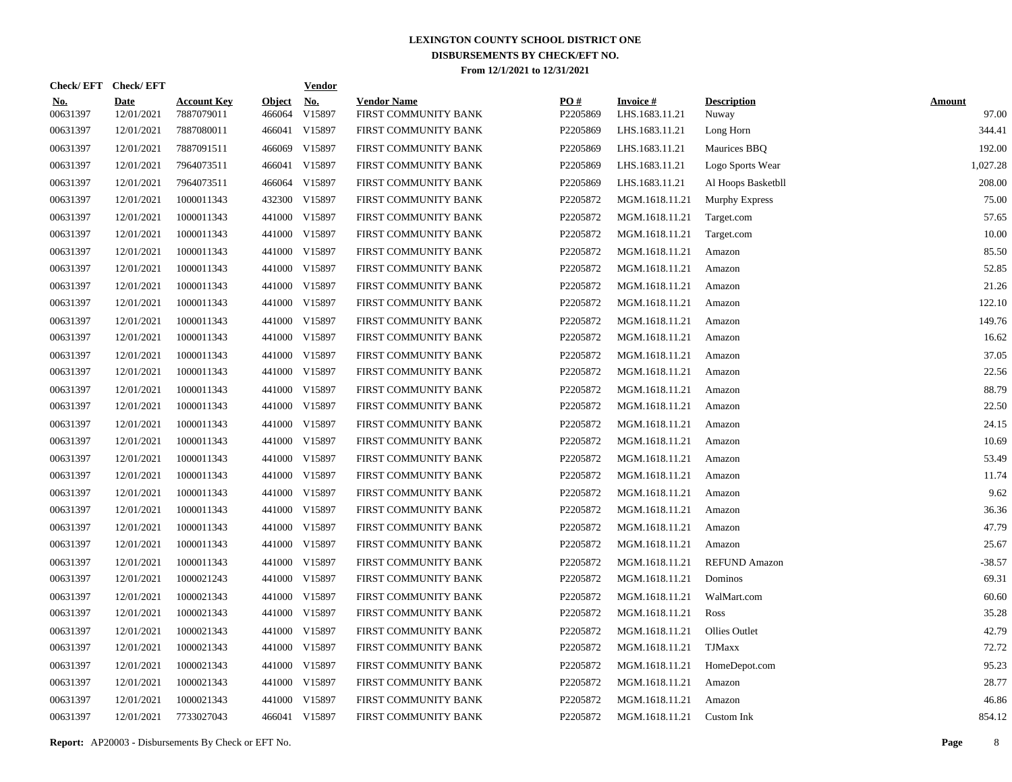|                        | Check/EFT Check/EFT       |                                  |                         | <b>Vendor</b>        |                                            |                 |                                   |                             |                        |
|------------------------|---------------------------|----------------------------------|-------------------------|----------------------|--------------------------------------------|-----------------|-----------------------------------|-----------------------------|------------------------|
| <u>No.</u><br>00631397 | <b>Date</b><br>12/01/2021 | <b>Account Key</b><br>7887079011 | <b>Object</b><br>466064 | <u>No.</u><br>V15897 | <b>Vendor Name</b><br>FIRST COMMUNITY BANK | PQ#<br>P2205869 | <b>Invoice#</b><br>LHS.1683.11.21 | <b>Description</b><br>Nuway | <b>Amount</b><br>97.00 |
| 00631397               | 12/01/2021                | 7887080011                       |                         | 466041 V15897        | FIRST COMMUNITY BANK                       | P2205869        | LHS.1683.11.21                    | Long Horn                   | 344.41                 |
| 00631397               | 12/01/2021                | 7887091511                       | 466069                  | V15897               | FIRST COMMUNITY BANK                       | P2205869        | LHS.1683.11.21                    | Maurices BBQ                | 192.00                 |
| 00631397               | 12/01/2021                | 7964073511                       |                         | 466041 V15897        | FIRST COMMUNITY BANK                       | P2205869        | LHS.1683.11.21                    | Logo Sports Wear            | 1,027.28               |
| 00631397               | 12/01/2021                | 7964073511                       |                         | 466064 V15897        | FIRST COMMUNITY BANK                       | P2205869        | LHS.1683.11.21                    | Al Hoops Basketbll          | 208.00                 |
| 00631397               | 12/01/2021                | 1000011343                       |                         | 432300 V15897        | FIRST COMMUNITY BANK                       | P2205872        | MGM.1618.11.21                    | Murphy Express              | 75.00                  |
| 00631397               | 12/01/2021                | 1000011343                       |                         | 441000 V15897        | FIRST COMMUNITY BANK                       | P2205872        | MGM.1618.11.21                    | Target.com                  | 57.65                  |
| 00631397               | 12/01/2021                | 1000011343                       |                         | 441000 V15897        | FIRST COMMUNITY BANK                       | P2205872        | MGM.1618.11.21                    | Target.com                  | 10.00                  |
| 00631397               | 12/01/2021                | 1000011343                       |                         | 441000 V15897        | FIRST COMMUNITY BANK                       | P2205872        | MGM.1618.11.21                    | Amazon                      | 85.50                  |
| 00631397               | 12/01/2021                | 1000011343                       |                         | 441000 V15897        | FIRST COMMUNITY BANK                       | P2205872        | MGM.1618.11.21                    | Amazon                      | 52.85                  |
| 00631397               | 12/01/2021                | 1000011343                       |                         | 441000 V15897        | FIRST COMMUNITY BANK                       | P2205872        | MGM.1618.11.21                    | Amazon                      | 21.26                  |
| 00631397               | 12/01/2021                | 1000011343                       |                         | 441000 V15897        | FIRST COMMUNITY BANK                       | P2205872        | MGM.1618.11.21                    | Amazon                      | 122.10                 |
| 00631397               | 12/01/2021                | 1000011343                       |                         | 441000 V15897        | FIRST COMMUNITY BANK                       | P2205872        | MGM.1618.11.21                    | Amazon                      | 149.76                 |
| 00631397               | 12/01/2021                | 1000011343                       |                         | 441000 V15897        | FIRST COMMUNITY BANK                       | P2205872        | MGM.1618.11.21                    | Amazon                      | 16.62                  |
| 00631397               | 12/01/2021                | 1000011343                       |                         | 441000 V15897        | FIRST COMMUNITY BANK                       | P2205872        | MGM.1618.11.21                    | Amazon                      | 37.05                  |
| 00631397               | 12/01/2021                | 1000011343                       |                         | 441000 V15897        | FIRST COMMUNITY BANK                       | P2205872        | MGM.1618.11.21                    | Amazon                      | 22.56                  |
| 00631397               | 12/01/2021                | 1000011343                       |                         | 441000 V15897        | FIRST COMMUNITY BANK                       | P2205872        | MGM.1618.11.21                    | Amazon                      | 88.79                  |
| 00631397               | 12/01/2021                | 1000011343                       |                         | 441000 V15897        | FIRST COMMUNITY BANK                       | P2205872        | MGM.1618.11.21                    | Amazon                      | 22.50                  |
| 00631397               | 12/01/2021                | 1000011343                       |                         | 441000 V15897        | FIRST COMMUNITY BANK                       | P2205872        | MGM.1618.11.21                    | Amazon                      | 24.15                  |
| 00631397               | 12/01/2021                | 1000011343                       |                         | 441000 V15897        | FIRST COMMUNITY BANK                       | P2205872        | MGM.1618.11.21                    | Amazon                      | 10.69                  |
| 00631397               | 12/01/2021                | 1000011343                       |                         | 441000 V15897        | FIRST COMMUNITY BANK                       | P2205872        | MGM.1618.11.21                    | Amazon                      | 53.49                  |
| 00631397               | 12/01/2021                | 1000011343                       |                         | 441000 V15897        | FIRST COMMUNITY BANK                       | P2205872        | MGM.1618.11.21                    | Amazon                      | 11.74                  |
| 00631397               | 12/01/2021                | 1000011343                       |                         | 441000 V15897        | FIRST COMMUNITY BANK                       | P2205872        | MGM.1618.11.21                    | Amazon                      | 9.62                   |
| 00631397               | 12/01/2021                | 1000011343                       |                         | 441000 V15897        | FIRST COMMUNITY BANK                       | P2205872        | MGM.1618.11.21                    | Amazon                      | 36.36                  |
| 00631397               | 12/01/2021                | 1000011343                       |                         | 441000 V15897        | FIRST COMMUNITY BANK                       | P2205872        | MGM.1618.11.21                    | Amazon                      | 47.79                  |
| 00631397               | 12/01/2021                | 1000011343                       |                         | 441000 V15897        | FIRST COMMUNITY BANK                       | P2205872        | MGM.1618.11.21                    | Amazon                      | 25.67                  |
| 00631397               | 12/01/2021                | 1000011343                       |                         | 441000 V15897        | FIRST COMMUNITY BANK                       | P2205872        | MGM.1618.11.21                    | <b>REFUND Amazon</b>        | $-38.57$               |
| 00631397               | 12/01/2021                | 1000021243                       |                         | 441000 V15897        | FIRST COMMUNITY BANK                       | P2205872        | MGM.1618.11.21                    | Dominos                     | 69.31                  |
| 00631397               | 12/01/2021                | 1000021343                       |                         | 441000 V15897        | FIRST COMMUNITY BANK                       | P2205872        | MGM.1618.11.21                    | WalMart.com                 | 60.60                  |
| 00631397               | 12/01/2021                | 1000021343                       |                         | 441000 V15897        | FIRST COMMUNITY BANK                       | P2205872        | MGM.1618.11.21                    | Ross                        | 35.28                  |
| 00631397               | 12/01/2021                | 1000021343                       |                         | 441000 V15897        | FIRST COMMUNITY BANK                       | P2205872        | MGM.1618.11.21                    | <b>Ollies Outlet</b>        | 42.79                  |
| 00631397               | 12/01/2021                | 1000021343                       |                         | 441000 V15897        | FIRST COMMUNITY BANK                       | P2205872        | MGM.1618.11.21                    | <b>TJMaxx</b>               | 72.72                  |
| 00631397               | 12/01/2021                | 1000021343                       |                         | 441000 V15897        | FIRST COMMUNITY BANK                       | P2205872        | MGM.1618.11.21                    | HomeDepot.com               | 95.23                  |
| 00631397               | 12/01/2021                | 1000021343                       |                         | 441000 V15897        | FIRST COMMUNITY BANK                       | P2205872        | MGM.1618.11.21                    | Amazon                      | 28.77                  |
| 00631397               | 12/01/2021                | 1000021343                       |                         | 441000 V15897        | FIRST COMMUNITY BANK                       | P2205872        | MGM.1618.11.21                    | Amazon                      | 46.86                  |
| 00631397               | 12/01/2021                | 7733027043                       |                         | 466041 V15897        | FIRST COMMUNITY BANK                       | P2205872        | MGM.1618.11.21                    | Custom Ink                  | 854.12                 |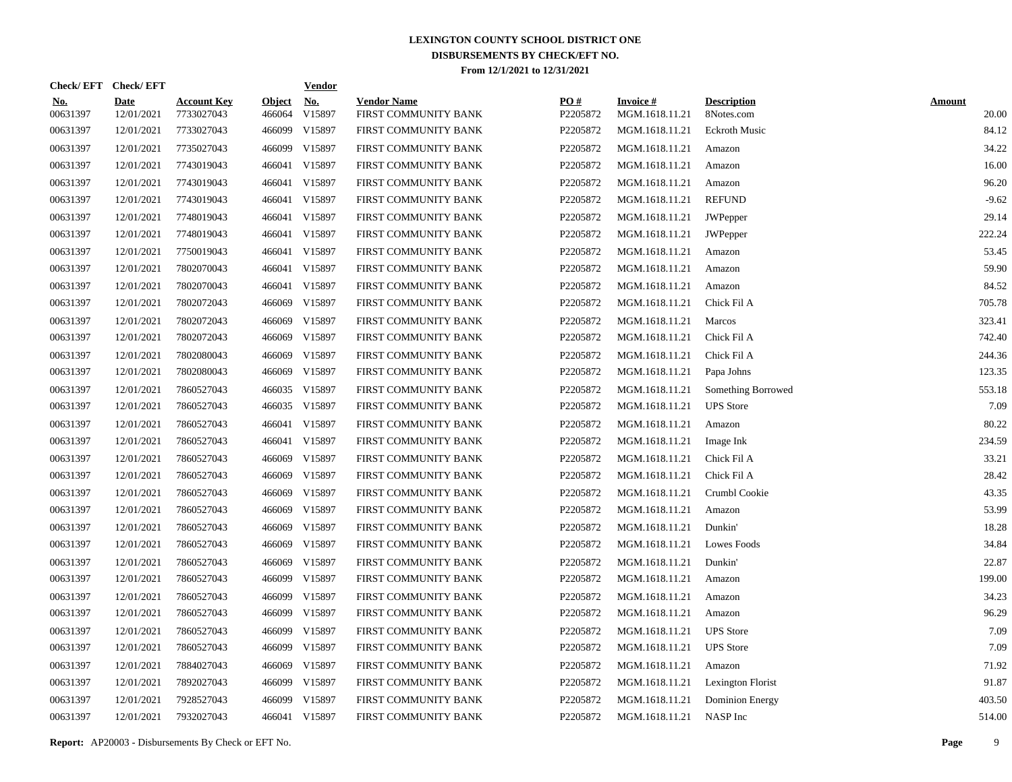|                        | Check/EFT Check/EFT |                                  |                         | <b>Vendor</b> |                                            |                 |                                   |                                  |                        |
|------------------------|---------------------|----------------------------------|-------------------------|---------------|--------------------------------------------|-----------------|-----------------------------------|----------------------------------|------------------------|
| <u>No.</u><br>00631397 | Date<br>12/01/2021  | <b>Account Key</b><br>7733027043 | <b>Object</b><br>466064 | No.<br>V15897 | <b>Vendor Name</b><br>FIRST COMMUNITY BANK | PO#<br>P2205872 | <b>Invoice#</b><br>MGM.1618.11.21 | <b>Description</b><br>8Notes.com | <b>Amount</b><br>20.00 |
| 00631397               | 12/01/2021          | 7733027043                       | 466099                  | V15897        | FIRST COMMUNITY BANK                       | P2205872        | MGM.1618.11.21                    | <b>Eckroth Music</b>             | 84.12                  |
| 00631397               | 12/01/2021          | 7735027043                       | 466099                  | V15897        | FIRST COMMUNITY BANK                       | P2205872        | MGM.1618.11.21                    | Amazon                           | 34.22                  |
| 00631397               | 12/01/2021          | 7743019043                       | 466041                  | V15897        | FIRST COMMUNITY BANK                       | P2205872        | MGM.1618.11.21                    | Amazon                           | 16.00                  |
| 00631397               | 12/01/2021          | 7743019043                       | 466041                  | V15897        | FIRST COMMUNITY BANK                       | P2205872        | MGM.1618.11.21                    | Amazon                           | 96.20                  |
| 00631397               | 12/01/2021          | 7743019043                       | 466041                  | V15897        | FIRST COMMUNITY BANK                       | P2205872        | MGM.1618.11.21                    | <b>REFUND</b>                    | $-9.62$                |
| 00631397               | 12/01/2021          | 7748019043                       | 466041                  | V15897        | FIRST COMMUNITY BANK                       | P2205872        | MGM.1618.11.21                    | <b>JWPepper</b>                  | 29.14                  |
| 00631397               | 12/01/2021          | 7748019043                       | 466041                  | V15897        | FIRST COMMUNITY BANK                       | P2205872        | MGM.1618.11.21                    | <b>JWPepper</b>                  | 222.24                 |
| 00631397               | 12/01/2021          | 7750019043                       | 466041                  | V15897        | FIRST COMMUNITY BANK                       | P2205872        | MGM.1618.11.21                    | Amazon                           | 53.45                  |
| 00631397               | 12/01/2021          | 7802070043                       | 466041                  | V15897        | FIRST COMMUNITY BANK                       | P2205872        | MGM.1618.11.21                    | Amazon                           | 59.90                  |
| 00631397               | 12/01/2021          | 7802070043                       |                         | 466041 V15897 | FIRST COMMUNITY BANK                       | P2205872        | MGM.1618.11.21                    | Amazon                           | 84.52                  |
| 00631397               | 12/01/2021          | 7802072043                       | 466069                  | V15897        | FIRST COMMUNITY BANK                       | P2205872        | MGM.1618.11.21                    | Chick Fil A                      | 705.78                 |
| 00631397               | 12/01/2021          | 7802072043                       | 466069                  | V15897        | FIRST COMMUNITY BANK                       | P2205872        | MGM.1618.11.21                    | Marcos                           | 323.41                 |
| 00631397               | 12/01/2021          | 7802072043                       | 466069                  | V15897        | FIRST COMMUNITY BANK                       | P2205872        | MGM.1618.11.21                    | Chick Fil A                      | 742.40                 |
| 00631397               | 12/01/2021          | 7802080043                       | 466069                  | V15897        | FIRST COMMUNITY BANK                       | P2205872        | MGM.1618.11.21                    | Chick Fil A                      | 244.36                 |
| 00631397               | 12/01/2021          | 7802080043                       | 466069                  | V15897        | FIRST COMMUNITY BANK                       | P2205872        | MGM.1618.11.21                    | Papa Johns                       | 123.35                 |
| 00631397               | 12/01/2021          | 7860527043                       |                         | 466035 V15897 | FIRST COMMUNITY BANK                       | P2205872        | MGM.1618.11.21                    | Something Borrowed               | 553.18                 |
| 00631397               | 12/01/2021          | 7860527043                       |                         | 466035 V15897 | FIRST COMMUNITY BANK                       | P2205872        | MGM.1618.11.21                    | <b>UPS</b> Store                 | 7.09                   |
| 00631397               | 12/01/2021          | 7860527043                       | 466041                  | V15897        | FIRST COMMUNITY BANK                       | P2205872        | MGM.1618.11.21                    | Amazon                           | 80.22                  |
| 00631397               | 12/01/2021          | 7860527043                       |                         | 466041 V15897 | FIRST COMMUNITY BANK                       | P2205872        | MGM.1618.11.21                    | Image Ink                        | 234.59                 |
| 00631397               | 12/01/2021          | 7860527043                       | 466069                  | V15897        | FIRST COMMUNITY BANK                       | P2205872        | MGM.1618.11.21                    | Chick Fil A                      | 33.21                  |
| 00631397               | 12/01/2021          | 7860527043                       | 466069                  | V15897        | FIRST COMMUNITY BANK                       | P2205872        | MGM.1618.11.21                    | Chick Fil A                      | 28.42                  |
| 00631397               | 12/01/2021          | 7860527043                       | 466069                  | V15897        | FIRST COMMUNITY BANK                       | P2205872        | MGM.1618.11.21                    | Crumbl Cookie                    | 43.35                  |
| 00631397               | 12/01/2021          | 7860527043                       | 466069                  | V15897        | FIRST COMMUNITY BANK                       | P2205872        | MGM.1618.11.21                    | Amazon                           | 53.99                  |
| 00631397               | 12/01/2021          | 7860527043                       | 466069                  | V15897        | FIRST COMMUNITY BANK                       | P2205872        | MGM.1618.11.21                    | Dunkin'                          | 18.28                  |
| 00631397               | 12/01/2021          | 7860527043                       | 466069                  | V15897        | FIRST COMMUNITY BANK                       | P2205872        | MGM.1618.11.21                    | Lowes Foods                      | 34.84                  |
| 00631397               | 12/01/2021          | 7860527043                       | 466069                  | V15897        | FIRST COMMUNITY BANK                       | P2205872        | MGM.1618.11.21                    | Dunkin'                          | 22.87                  |
| 00631397               | 12/01/2021          | 7860527043                       | 466099                  | V15897        | FIRST COMMUNITY BANK                       | P2205872        | MGM.1618.11.21                    | Amazon                           | 199.00                 |
| 00631397               | 12/01/2021          | 7860527043                       | 466099                  | V15897        | FIRST COMMUNITY BANK                       | P2205872        | MGM.1618.11.21                    | Amazon                           | 34.23                  |
| 00631397               | 12/01/2021          | 7860527043                       | 466099                  | V15897        | FIRST COMMUNITY BANK                       | P2205872        | MGM.1618.11.21                    | Amazon                           | 96.29                  |
| 00631397               | 12/01/2021          | 7860527043                       | 466099                  | V15897        | FIRST COMMUNITY BANK                       | P2205872        | MGM.1618.11.21                    | <b>UPS</b> Store                 | 7.09                   |
| 00631397               | 12/01/2021          | 7860527043                       | 466099                  | V15897        | FIRST COMMUNITY BANK                       | P2205872        | MGM.1618.11.21                    | <b>UPS</b> Store                 | 7.09                   |
| 00631397               | 12/01/2021          | 7884027043                       | 466069                  | V15897        | FIRST COMMUNITY BANK                       | P2205872        | MGM.1618.11.21                    | Amazon                           | 71.92                  |
| 00631397               | 12/01/2021          | 7892027043                       | 466099                  | V15897        | FIRST COMMUNITY BANK                       | P2205872        | MGM.1618.11.21                    | Lexington Florist                | 91.87                  |
| 00631397               | 12/01/2021          | 7928527043                       | 466099                  | V15897        | FIRST COMMUNITY BANK                       | P2205872        | MGM.1618.11.21                    | <b>Dominion Energy</b>           | 403.50                 |
| 00631397               | 12/01/2021          | 7932027043                       |                         | 466041 V15897 | FIRST COMMUNITY BANK                       | P2205872        | MGM.1618.11.21                    | NASP Inc                         | 514.00                 |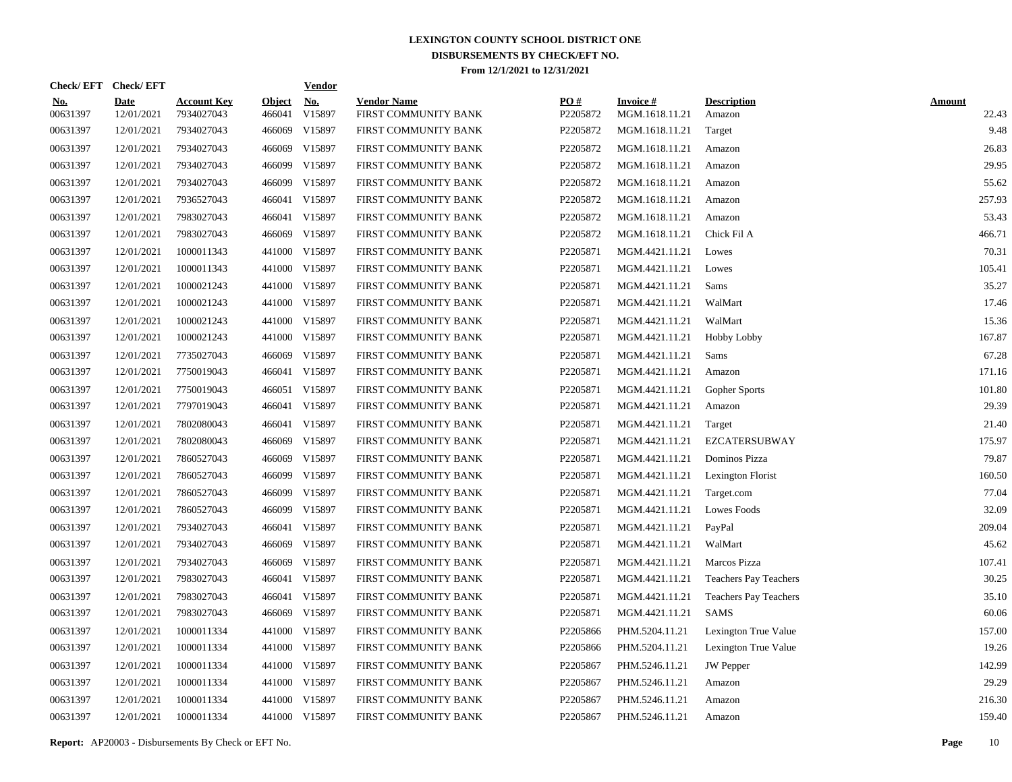|                        | Check/EFT Check/EFT |                                  |                         | <b>Vendor</b>        |                                            |                 |                                   |                              |                        |
|------------------------|---------------------|----------------------------------|-------------------------|----------------------|--------------------------------------------|-----------------|-----------------------------------|------------------------------|------------------------|
| <u>No.</u><br>00631397 | Date<br>12/01/2021  | <b>Account Key</b><br>7934027043 | <b>Object</b><br>466041 | <u>No.</u><br>V15897 | <b>Vendor Name</b><br>FIRST COMMUNITY BANK | PO#<br>P2205872 | <b>Invoice#</b><br>MGM.1618.11.21 | <b>Description</b><br>Amazon | <b>Amount</b><br>22.43 |
| 00631397               | 12/01/2021          | 7934027043                       | 466069                  | V15897               | FIRST COMMUNITY BANK                       | P2205872        | MGM.1618.11.21                    | Target                       | 9.48                   |
| 00631397               | 12/01/2021          | 7934027043                       | 466069                  | V15897               | FIRST COMMUNITY BANK                       | P2205872        | MGM.1618.11.21                    | Amazon                       | 26.83                  |
| 00631397               | 12/01/2021          | 7934027043                       | 466099                  | V15897               | FIRST COMMUNITY BANK                       | P2205872        | MGM.1618.11.21                    | Amazon                       | 29.95                  |
| 00631397               | 12/01/2021          | 7934027043                       | 466099                  | V15897               | FIRST COMMUNITY BANK                       | P2205872        | MGM.1618.11.21                    | Amazon                       | 55.62                  |
| 00631397               | 12/01/2021          | 7936527043                       | 466041                  | V15897               | FIRST COMMUNITY BANK                       | P2205872        | MGM.1618.11.21                    | Amazon                       | 257.93                 |
| 00631397               | 12/01/2021          | 7983027043                       | 466041                  | V15897               | FIRST COMMUNITY BANK                       | P2205872        | MGM.1618.11.21                    | Amazon                       | 53.43                  |
| 00631397               | 12/01/2021          | 7983027043                       | 466069                  | V15897               | FIRST COMMUNITY BANK                       | P2205872        | MGM.1618.11.21                    | Chick Fil A                  | 466.71                 |
| 00631397               | 12/01/2021          | 1000011343                       |                         | 441000 V15897        | FIRST COMMUNITY BANK                       | P2205871        | MGM.4421.11.21                    | Lowes                        | 70.31                  |
| 00631397               | 12/01/2021          | 1000011343                       |                         | 441000 V15897        | FIRST COMMUNITY BANK                       | P2205871        | MGM.4421.11.21                    | Lowes                        | 105.41                 |
| 00631397               | 12/01/2021          | 1000021243                       |                         | 441000 V15897        | FIRST COMMUNITY BANK                       | P2205871        | MGM.4421.11.21                    | Sams                         | 35.27                  |
| 00631397               | 12/01/2021          | 1000021243                       |                         | 441000 V15897        | FIRST COMMUNITY BANK                       | P2205871        | MGM.4421.11.21                    | WalMart                      | 17.46                  |
| 00631397               | 12/01/2021          | 1000021243                       |                         | 441000 V15897        | FIRST COMMUNITY BANK                       | P2205871        | MGM.4421.11.21                    | WalMart                      | 15.36                  |
| 00631397               | 12/01/2021          | 1000021243                       |                         | 441000 V15897        | FIRST COMMUNITY BANK                       | P2205871        | MGM.4421.11.21                    | Hobby Lobby                  | 167.87                 |
| 00631397               | 12/01/2021          | 7735027043                       | 466069                  | V15897               | FIRST COMMUNITY BANK                       | P2205871        | MGM.4421.11.21                    | Sams                         | 67.28                  |
| 00631397               | 12/01/2021          | 7750019043                       | 466041                  | V15897               | FIRST COMMUNITY BANK                       | P2205871        | MGM.4421.11.21                    | Amazon                       | 171.16                 |
| 00631397               | 12/01/2021          | 7750019043                       | 466051                  | V15897               | FIRST COMMUNITY BANK                       | P2205871        | MGM.4421.11.21                    | Gopher Sports                | 101.80                 |
| 00631397               | 12/01/2021          | 7797019043                       | 466041                  | V15897               | FIRST COMMUNITY BANK                       | P2205871        | MGM.4421.11.21                    | Amazon                       | 29.39                  |
| 00631397               | 12/01/2021          | 7802080043                       | 466041                  | V15897               | FIRST COMMUNITY BANK                       | P2205871        | MGM.4421.11.21                    | Target                       | 21.40                  |
| 00631397               | 12/01/2021          | 7802080043                       | 466069                  | V15897               | FIRST COMMUNITY BANK                       | P2205871        | MGM.4421.11.21                    | EZCATERSUBWAY                | 175.97                 |
| 00631397               | 12/01/2021          | 7860527043                       | 466069                  | V15897               | FIRST COMMUNITY BANK                       | P2205871        | MGM.4421.11.21                    | Dominos Pizza                | 79.87                  |
| 00631397               | 12/01/2021          | 7860527043                       | 466099                  | V15897               | FIRST COMMUNITY BANK                       | P2205871        | MGM.4421.11.21                    | Lexington Florist            | 160.50                 |
| 00631397               | 12/01/2021          | 7860527043                       | 466099                  | V15897               | FIRST COMMUNITY BANK                       | P2205871        | MGM.4421.11.21                    | Target.com                   | 77.04                  |
| 00631397               | 12/01/2021          | 7860527043                       | 466099                  | V15897               | FIRST COMMUNITY BANK                       | P2205871        | MGM.4421.11.21                    | <b>Lowes Foods</b>           | 32.09                  |
| 00631397               | 12/01/2021          | 7934027043                       | 466041                  | V15897               | FIRST COMMUNITY BANK                       | P2205871        | MGM.4421.11.21                    | PayPal                       | 209.04                 |
| 00631397               | 12/01/2021          | 7934027043                       | 466069                  | V15897               | FIRST COMMUNITY BANK                       | P2205871        | MGM.4421.11.21                    | WalMart                      | 45.62                  |
| 00631397               | 12/01/2021          | 7934027043                       | 466069                  | V15897               | FIRST COMMUNITY BANK                       | P2205871        | MGM.4421.11.21                    | Marcos Pizza                 | 107.41                 |
| 00631397               | 12/01/2021          | 7983027043                       | 466041                  | V15897               | FIRST COMMUNITY BANK                       | P2205871        | MGM.4421.11.21                    | <b>Teachers Pay Teachers</b> | 30.25                  |
| 00631397               | 12/01/2021          | 7983027043                       | 466041                  | V15897               | FIRST COMMUNITY BANK                       | P2205871        | MGM.4421.11.21                    | <b>Teachers Pay Teachers</b> | 35.10                  |
| 00631397               | 12/01/2021          | 7983027043                       |                         | 466069 V15897        | FIRST COMMUNITY BANK                       | P2205871        | MGM.4421.11.21                    | SAMS                         | 60.06                  |
| 00631397               | 12/01/2021          | 1000011334                       |                         | 441000 V15897        | FIRST COMMUNITY BANK                       | P2205866        | PHM.5204.11.21                    | Lexington True Value         | 157.00                 |
| 00631397               | 12/01/2021          | 1000011334                       |                         | 441000 V15897        | FIRST COMMUNITY BANK                       | P2205866        | PHM.5204.11.21                    | Lexington True Value         | 19.26                  |
| 00631397               | 12/01/2021          | 1000011334                       |                         | 441000 V15897        | FIRST COMMUNITY BANK                       | P2205867        | PHM.5246.11.21                    | <b>JW</b> Pepper             | 142.99                 |
| 00631397               | 12/01/2021          | 1000011334                       |                         | 441000 V15897        | FIRST COMMUNITY BANK                       | P2205867        | PHM.5246.11.21                    | Amazon                       | 29.29                  |
| 00631397               | 12/01/2021          | 1000011334                       |                         | 441000 V15897        | FIRST COMMUNITY BANK                       | P2205867        | PHM.5246.11.21                    | Amazon                       | 216.30                 |
| 00631397               | 12/01/2021          | 1000011334                       |                         | 441000 V15897        | FIRST COMMUNITY BANK                       | P2205867        | PHM.5246.11.21                    | Amazon                       | 159.40                 |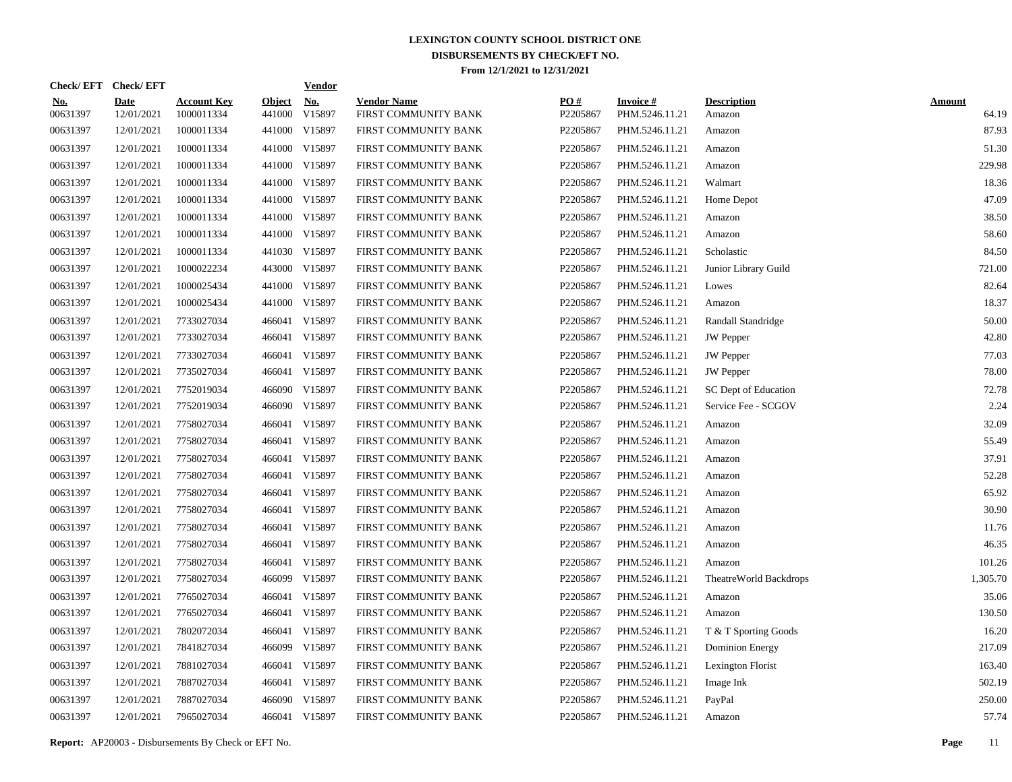|                        | Check/EFT Check/EFT       |                                  |                         | <b>Vendor</b>        |                                            |                 |                                   |                              |                        |
|------------------------|---------------------------|----------------------------------|-------------------------|----------------------|--------------------------------------------|-----------------|-----------------------------------|------------------------------|------------------------|
| <u>No.</u><br>00631397 | <b>Date</b><br>12/01/2021 | <b>Account Key</b><br>1000011334 | <b>Object</b><br>441000 | <u>No.</u><br>V15897 | <b>Vendor Name</b><br>FIRST COMMUNITY BANK | PQ#<br>P2205867 | <b>Invoice#</b><br>PHM.5246.11.21 | <b>Description</b><br>Amazon | <b>Amount</b><br>64.19 |
| 00631397               | 12/01/2021                | 1000011334                       |                         | 441000 V15897        | FIRST COMMUNITY BANK                       | P2205867        | PHM.5246.11.21                    | Amazon                       | 87.93                  |
| 00631397               | 12/01/2021                | 1000011334                       |                         | 441000 V15897        | FIRST COMMUNITY BANK                       | P2205867        | PHM.5246.11.21                    | Amazon                       | 51.30                  |
| 00631397               | 12/01/2021                | 1000011334                       |                         | 441000 V15897        | FIRST COMMUNITY BANK                       | P2205867        | PHM.5246.11.21                    | Amazon                       | 229.98                 |
| 00631397               | 12/01/2021                | 1000011334                       |                         | 441000 V15897        | FIRST COMMUNITY BANK                       | P2205867        | PHM.5246.11.21                    | Walmart                      | 18.36                  |
| 00631397               | 12/01/2021                | 1000011334                       |                         | 441000 V15897        | FIRST COMMUNITY BANK                       | P2205867        | PHM.5246.11.21                    | Home Depot                   | 47.09                  |
| 00631397               | 12/01/2021                | 1000011334                       |                         | 441000 V15897        | FIRST COMMUNITY BANK                       | P2205867        | PHM.5246.11.21                    | Amazon                       | 38.50                  |
| 00631397               | 12/01/2021                | 1000011334                       |                         | 441000 V15897        | FIRST COMMUNITY BANK                       | P2205867        | PHM.5246.11.21                    | Amazon                       | 58.60                  |
| 00631397               | 12/01/2021                | 1000011334                       |                         | 441030 V15897        | FIRST COMMUNITY BANK                       | P2205867        | PHM.5246.11.21                    | Scholastic                   | 84.50                  |
| 00631397               | 12/01/2021                | 1000022234                       |                         | 443000 V15897        | FIRST COMMUNITY BANK                       | P2205867        | PHM.5246.11.21                    | Junior Library Guild         | 721.00                 |
| 00631397               | 12/01/2021                | 1000025434                       |                         | 441000 V15897        | FIRST COMMUNITY BANK                       | P2205867        | PHM.5246.11.21                    | Lowes                        | 82.64                  |
| 00631397               | 12/01/2021                | 1000025434                       |                         | 441000 V15897        | FIRST COMMUNITY BANK                       | P2205867        | PHM.5246.11.21                    | Amazon                       | 18.37                  |
| 00631397               | 12/01/2021                | 7733027034                       |                         | 466041 V15897        | FIRST COMMUNITY BANK                       | P2205867        | PHM.5246.11.21                    | Randall Standridge           | 50.00                  |
| 00631397               | 12/01/2021                | 7733027034                       |                         | 466041 V15897        | FIRST COMMUNITY BANK                       | P2205867        | PHM.5246.11.21                    | <b>JW</b> Pepper             | 42.80                  |
| 00631397               | 12/01/2021                | 7733027034                       |                         | 466041 V15897        | FIRST COMMUNITY BANK                       | P2205867        | PHM.5246.11.21                    | <b>JW</b> Pepper             | 77.03                  |
| 00631397               | 12/01/2021                | 7735027034                       |                         | 466041 V15897        | FIRST COMMUNITY BANK                       | P2205867        | PHM.5246.11.21                    | <b>JW</b> Pepper             | 78.00                  |
| 00631397               | 12/01/2021                | 7752019034                       |                         | 466090 V15897        | FIRST COMMUNITY BANK                       | P2205867        | PHM.5246.11.21                    | SC Dept of Education         | 72.78                  |
| 00631397               | 12/01/2021                | 7752019034                       |                         | 466090 V15897        | FIRST COMMUNITY BANK                       | P2205867        | PHM.5246.11.21                    | Service Fee - SCGOV          | 2.24                   |
| 00631397               | 12/01/2021                | 7758027034                       |                         | 466041 V15897        | FIRST COMMUNITY BANK                       | P2205867        | PHM.5246.11.21                    | Amazon                       | 32.09                  |
| 00631397               | 12/01/2021                | 7758027034                       |                         | 466041 V15897        | FIRST COMMUNITY BANK                       | P2205867        | PHM.5246.11.21                    | Amazon                       | 55.49                  |
| 00631397               | 12/01/2021                | 7758027034                       |                         | 466041 V15897        | FIRST COMMUNITY BANK                       | P2205867        | PHM.5246.11.21                    | Amazon                       | 37.91                  |
| 00631397               | 12/01/2021                | 7758027034                       |                         | 466041 V15897        | FIRST COMMUNITY BANK                       | P2205867        | PHM.5246.11.21                    | Amazon                       | 52.28                  |
| 00631397               | 12/01/2021                | 7758027034                       |                         | 466041 V15897        | FIRST COMMUNITY BANK                       | P2205867        | PHM.5246.11.21                    | Amazon                       | 65.92                  |
| 00631397               | 12/01/2021                | 7758027034                       |                         | 466041 V15897        | FIRST COMMUNITY BANK                       | P2205867        | PHM.5246.11.21                    | Amazon                       | 30.90                  |
| 00631397               | 12/01/2021                | 7758027034                       |                         | 466041 V15897        | FIRST COMMUNITY BANK                       | P2205867        | PHM.5246.11.21                    | Amazon                       | 11.76                  |
| 00631397               | 12/01/2021                | 7758027034                       |                         | 466041 V15897        | FIRST COMMUNITY BANK                       | P2205867        | PHM.5246.11.21                    | Amazon                       | 46.35                  |
| 00631397               | 12/01/2021                | 7758027034                       |                         | 466041 V15897        | FIRST COMMUNITY BANK                       | P2205867        | PHM.5246.11.21                    | Amazon                       | 101.26                 |
| 00631397               | 12/01/2021                | 7758027034                       |                         | 466099 V15897        | FIRST COMMUNITY BANK                       | P2205867        | PHM.5246.11.21                    | TheatreWorld Backdrops       | 1,305.70               |
| 00631397               | 12/01/2021                | 7765027034                       |                         | 466041 V15897        | FIRST COMMUNITY BANK                       | P2205867        | PHM.5246.11.21                    | Amazon                       | 35.06                  |
| 00631397               | 12/01/2021                | 7765027034                       |                         | 466041 V15897        | FIRST COMMUNITY BANK                       | P2205867        | PHM.5246.11.21                    | Amazon                       | 130.50                 |
| 00631397               | 12/01/2021                | 7802072034                       |                         | 466041 V15897        | FIRST COMMUNITY BANK                       | P2205867        | PHM.5246.11.21                    | T & T Sporting Goods         | 16.20                  |
| 00631397               | 12/01/2021                | 7841827034                       |                         | 466099 V15897        | FIRST COMMUNITY BANK                       | P2205867        | PHM.5246.11.21                    | Dominion Energy              | 217.09                 |
| 00631397               | 12/01/2021                | 7881027034                       |                         | 466041 V15897        | FIRST COMMUNITY BANK                       | P2205867        | PHM.5246.11.21                    | Lexington Florist            | 163.40                 |
| 00631397               | 12/01/2021                | 7887027034                       |                         | 466041 V15897        | FIRST COMMUNITY BANK                       | P2205867        | PHM.5246.11.21                    | Image Ink                    | 502.19                 |
| 00631397               | 12/01/2021                | 7887027034                       |                         | 466090 V15897        | FIRST COMMUNITY BANK                       | P2205867        | PHM.5246.11.21                    | PayPal                       | 250.00                 |
| 00631397               | 12/01/2021                | 7965027034                       |                         | 466041 V15897        | FIRST COMMUNITY BANK                       | P2205867        | PHM.5246.11.21                    | Amazon                       | 57.74                  |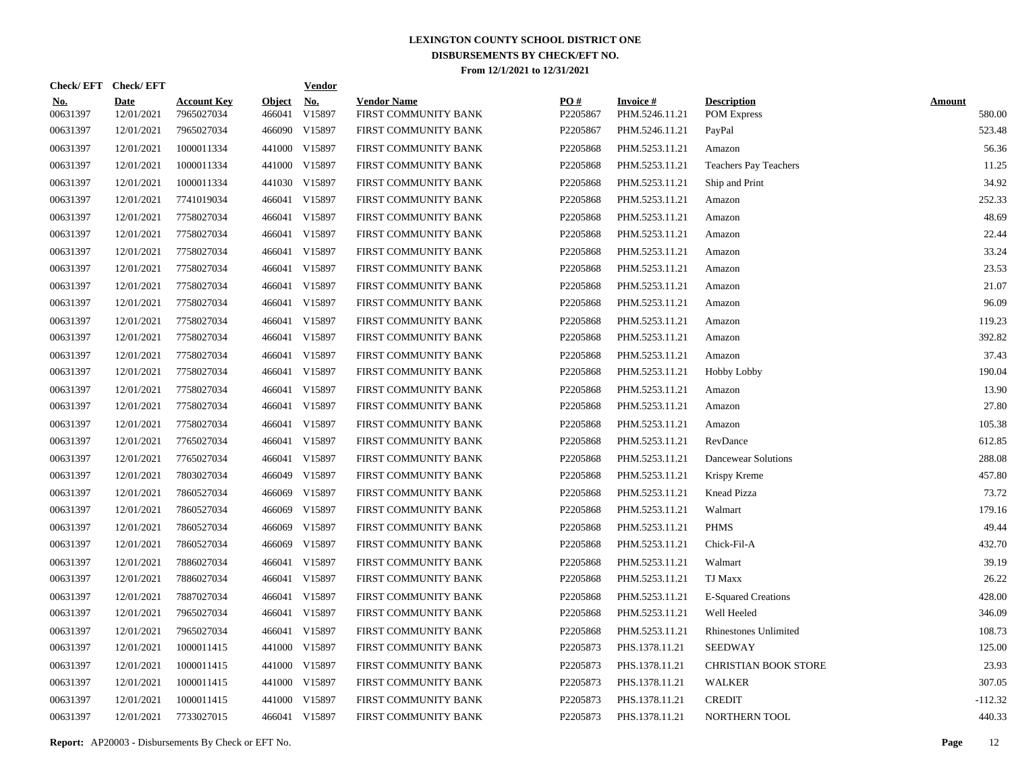|                        | Check/EFT Check/EFT       |                                  |                         | <b>Vendor</b>        |                                            |                 |                                   |                                          |                         |
|------------------------|---------------------------|----------------------------------|-------------------------|----------------------|--------------------------------------------|-----------------|-----------------------------------|------------------------------------------|-------------------------|
| <u>No.</u><br>00631397 | <b>Date</b><br>12/01/2021 | <b>Account Key</b><br>7965027034 | <b>Object</b><br>466041 | <u>No.</u><br>V15897 | <b>Vendor Name</b><br>FIRST COMMUNITY BANK | PQ#<br>P2205867 | <b>Invoice#</b><br>PHM.5246.11.21 | <b>Description</b><br><b>POM Express</b> | <b>Amount</b><br>580.00 |
| 00631397               | 12/01/2021                | 7965027034                       |                         | 466090 V15897        | FIRST COMMUNITY BANK                       | P2205867        | PHM.5246.11.21                    | PayPal                                   | 523.48                  |
| 00631397               | 12/01/2021                | 1000011334                       |                         | 441000 V15897        | FIRST COMMUNITY BANK                       | P2205868        | PHM.5253.11.21                    | Amazon                                   | 56.36                   |
| 00631397               | 12/01/2021                | 1000011334                       |                         | 441000 V15897        | FIRST COMMUNITY BANK                       | P2205868        | PHM.5253.11.21                    | <b>Teachers Pay Teachers</b>             | 11.25                   |
| 00631397               | 12/01/2021                | 1000011334                       |                         | 441030 V15897        | FIRST COMMUNITY BANK                       | P2205868        | PHM.5253.11.21                    | Ship and Print                           | 34.92                   |
| 00631397               | 12/01/2021                | 7741019034                       |                         | 466041 V15897        | FIRST COMMUNITY BANK                       | P2205868        | PHM.5253.11.21                    | Amazon                                   | 252.33                  |
| 00631397               | 12/01/2021                | 7758027034                       |                         | 466041 V15897        | FIRST COMMUNITY BANK                       | P2205868        | PHM.5253.11.21                    | Amazon                                   | 48.69                   |
| 00631397               | 12/01/2021                | 7758027034                       |                         | 466041 V15897        | FIRST COMMUNITY BANK                       | P2205868        | PHM.5253.11.21                    | Amazon                                   | 22.44                   |
| 00631397               | 12/01/2021                | 7758027034                       |                         | 466041 V15897        | FIRST COMMUNITY BANK                       | P2205868        | PHM.5253.11.21                    | Amazon                                   | 33.24                   |
| 00631397               | 12/01/2021                | 7758027034                       |                         | 466041 V15897        | FIRST COMMUNITY BANK                       | P2205868        | PHM.5253.11.21                    | Amazon                                   | 23.53                   |
| 00631397               | 12/01/2021                | 7758027034                       |                         | 466041 V15897        | FIRST COMMUNITY BANK                       | P2205868        | PHM.5253.11.21                    | Amazon                                   | 21.07                   |
| 00631397               | 12/01/2021                | 7758027034                       |                         | 466041 V15897        | FIRST COMMUNITY BANK                       | P2205868        | PHM.5253.11.21                    | Amazon                                   | 96.09                   |
| 00631397               | 12/01/2021                | 7758027034                       |                         | 466041 V15897        | FIRST COMMUNITY BANK                       | P2205868        | PHM.5253.11.21                    | Amazon                                   | 119.23                  |
| 00631397               | 12/01/2021                | 7758027034                       |                         | 466041 V15897        | FIRST COMMUNITY BANK                       | P2205868        | PHM.5253.11.21                    | Amazon                                   | 392.82                  |
| 00631397               | 12/01/2021                | 7758027034                       |                         | 466041 V15897        | FIRST COMMUNITY BANK                       | P2205868        | PHM.5253.11.21                    | Amazon                                   | 37.43                   |
| 00631397               | 12/01/2021                | 7758027034                       |                         | 466041 V15897        | FIRST COMMUNITY BANK                       | P2205868        | PHM.5253.11.21                    | Hobby Lobby                              | 190.04                  |
| 00631397               | 12/01/2021                | 7758027034                       |                         | 466041 V15897        | FIRST COMMUNITY BANK                       | P2205868        | PHM.5253.11.21                    | Amazon                                   | 13.90                   |
| 00631397               | 12/01/2021                | 7758027034                       |                         | 466041 V15897        | FIRST COMMUNITY BANK                       | P2205868        | PHM.5253.11.21                    | Amazon                                   | 27.80                   |
| 00631397               | 12/01/2021                | 7758027034                       |                         | 466041 V15897        | FIRST COMMUNITY BANK                       | P2205868        | PHM.5253.11.21                    | Amazon                                   | 105.38                  |
| 00631397               | 12/01/2021                | 7765027034                       |                         | 466041 V15897        | FIRST COMMUNITY BANK                       | P2205868        | PHM.5253.11.21                    | RevDance                                 | 612.85                  |
| 00631397               | 12/01/2021                | 7765027034                       |                         | 466041 V15897        | FIRST COMMUNITY BANK                       | P2205868        | PHM.5253.11.21                    | Dancewear Solutions                      | 288.08                  |
| 00631397               | 12/01/2021                | 7803027034                       |                         | 466049 V15897        | FIRST COMMUNITY BANK                       | P2205868        | PHM.5253.11.21                    | Krispy Kreme                             | 457.80                  |
| 00631397               | 12/01/2021                | 7860527034                       | 466069                  | V15897               | FIRST COMMUNITY BANK                       | P2205868        | PHM.5253.11.21                    | Knead Pizza                              | 73.72                   |
| 00631397               | 12/01/2021                | 7860527034                       | 466069                  | V15897               | FIRST COMMUNITY BANK                       | P2205868        | PHM.5253.11.21                    | Walmart                                  | 179.16                  |
| 00631397               | 12/01/2021                | 7860527034                       | 466069                  | V15897               | FIRST COMMUNITY BANK                       | P2205868        | PHM.5253.11.21                    | <b>PHMS</b>                              | 49.44                   |
| 00631397               | 12/01/2021                | 7860527034                       | 466069                  | V15897               | FIRST COMMUNITY BANK                       | P2205868        | PHM.5253.11.21                    | Chick-Fil-A                              | 432.70                  |
| 00631397               | 12/01/2021                | 7886027034                       |                         | 466041 V15897        | FIRST COMMUNITY BANK                       | P2205868        | PHM.5253.11.21                    | Walmart                                  | 39.19                   |
| 00631397               | 12/01/2021                | 7886027034                       |                         | 466041 V15897        | FIRST COMMUNITY BANK                       | P2205868        | PHM.5253.11.21                    | TJ Maxx                                  | 26.22                   |
| 00631397               | 12/01/2021                | 7887027034                       |                         | 466041 V15897        | FIRST COMMUNITY BANK                       | P2205868        | PHM.5253.11.21                    | <b>E-Squared Creations</b>               | 428.00                  |
| 00631397               | 12/01/2021                | 7965027034                       |                         | 466041 V15897        | FIRST COMMUNITY BANK                       | P2205868        | PHM.5253.11.21                    | Well Heeled                              | 346.09                  |
| 00631397               | 12/01/2021                | 7965027034                       |                         | 466041 V15897        | FIRST COMMUNITY BANK                       | P2205868        | PHM.5253.11.21                    | <b>Rhinestones Unlimited</b>             | 108.73                  |
| 00631397               | 12/01/2021                | 1000011415                       |                         | 441000 V15897        | FIRST COMMUNITY BANK                       | P2205873        | PHS.1378.11.21                    | <b>SEEDWAY</b>                           | 125.00                  |
| 00631397               | 12/01/2021                | 1000011415                       |                         | 441000 V15897        | FIRST COMMUNITY BANK                       | P2205873        | PHS.1378.11.21                    | <b>CHRISTIAN BOOK STORE</b>              | 23.93                   |
| 00631397               | 12/01/2021                | 1000011415                       |                         | 441000 V15897        | FIRST COMMUNITY BANK                       | P2205873        | PHS.1378.11.21                    | <b>WALKER</b>                            | 307.05                  |
| 00631397               | 12/01/2021                | 1000011415                       |                         | 441000 V15897        | FIRST COMMUNITY BANK                       | P2205873        | PHS.1378.11.21                    | <b>CREDIT</b>                            | $-112.32$               |
| 00631397               | 12/01/2021                | 7733027015                       |                         | 466041 V15897        | FIRST COMMUNITY BANK                       | P2205873        | PHS.1378.11.21                    | NORTHERN TOOL                            | 440.33                  |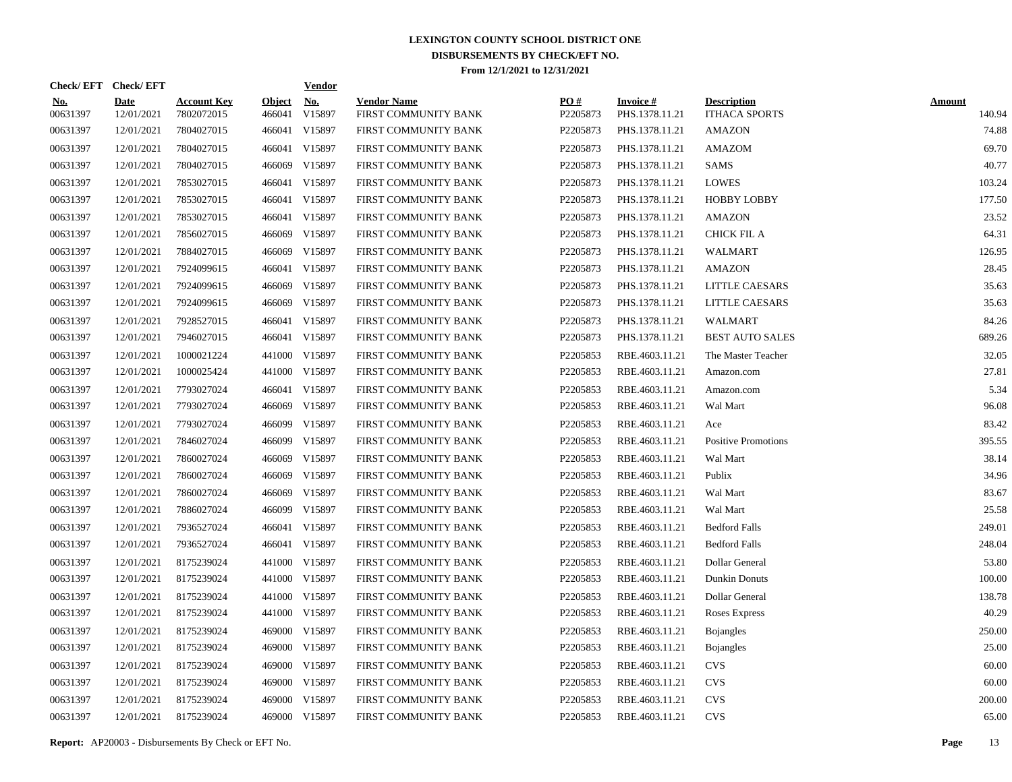| Check/EFT Check/EFT    |                           |                                  |                         | <b>Vendor</b>        |                                            |                 |                                   |                                            |                         |
|------------------------|---------------------------|----------------------------------|-------------------------|----------------------|--------------------------------------------|-----------------|-----------------------------------|--------------------------------------------|-------------------------|
| <u>No.</u><br>00631397 | <b>Date</b><br>12/01/2021 | <b>Account Key</b><br>7802072015 | <b>Object</b><br>466041 | <b>No.</b><br>V15897 | <b>Vendor Name</b><br>FIRST COMMUNITY BANK | PO#<br>P2205873 | <b>Invoice#</b><br>PHS.1378.11.21 | <b>Description</b><br><b>ITHACA SPORTS</b> | <b>Amount</b><br>140.94 |
| 00631397               | 12/01/2021                | 7804027015                       | 466041                  | V15897               | FIRST COMMUNITY BANK                       | P2205873        | PHS.1378.11.21                    | <b>AMAZON</b>                              | 74.88                   |
| 00631397               | 12/01/2021                | 7804027015                       | 466041                  | V15897               | FIRST COMMUNITY BANK                       | P2205873        | PHS.1378.11.21                    | <b>AMAZOM</b>                              | 69.70                   |
| 00631397               | 12/01/2021                | 7804027015                       | 466069                  | V15897               | FIRST COMMUNITY BANK                       | P2205873        | PHS.1378.11.21                    | <b>SAMS</b>                                | 40.77                   |
| 00631397               | 12/01/2021                | 7853027015                       | 466041                  | V15897               | FIRST COMMUNITY BANK                       | P2205873        | PHS.1378.11.21                    | <b>LOWES</b>                               | 103.24                  |
| 00631397               | 12/01/2021                | 7853027015                       | 466041                  | V15897               | FIRST COMMUNITY BANK                       | P2205873        | PHS.1378.11.21                    | <b>HOBBY LOBBY</b>                         | 177.50                  |
| 00631397               | 12/01/2021                | 7853027015                       |                         | 466041 V15897        | FIRST COMMUNITY BANK                       | P2205873        | PHS.1378.11.21                    | <b>AMAZON</b>                              | 23.52                   |
| 00631397               | 12/01/2021                | 7856027015                       |                         | 466069 V15897        | FIRST COMMUNITY BANK                       | P2205873        | PHS.1378.11.21                    | CHICK FIL A                                | 64.31                   |
| 00631397               | 12/01/2021                | 7884027015                       |                         | 466069 V15897        | FIRST COMMUNITY BANK                       | P2205873        | PHS.1378.11.21                    | <b>WALMART</b>                             | 126.95                  |
| 00631397               | 12/01/2021                | 7924099615                       |                         | 466041 V15897        | FIRST COMMUNITY BANK                       | P2205873        | PHS.1378.11.21                    | <b>AMAZON</b>                              | 28.45                   |
| 00631397               | 12/01/2021                | 7924099615                       |                         | 466069 V15897        | FIRST COMMUNITY BANK                       | P2205873        | PHS.1378.11.21                    | <b>LITTLE CAESARS</b>                      | 35.63                   |
| 00631397               | 12/01/2021                | 7924099615                       |                         | 466069 V15897        | FIRST COMMUNITY BANK                       | P2205873        | PHS.1378.11.21                    | <b>LITTLE CAESARS</b>                      | 35.63                   |
| 00631397               | 12/01/2021                | 7928527015                       |                         | 466041 V15897        | FIRST COMMUNITY BANK                       | P2205873        | PHS.1378.11.21                    | WALMART                                    | 84.26                   |
| 00631397               | 12/01/2021                | 7946027015                       |                         | 466041 V15897        | FIRST COMMUNITY BANK                       | P2205873        | PHS.1378.11.21                    | <b>BEST AUTO SALES</b>                     | 689.26                  |
| 00631397               | 12/01/2021                | 1000021224                       |                         | 441000 V15897        | FIRST COMMUNITY BANK                       | P2205853        | RBE.4603.11.21                    | The Master Teacher                         | 32.05                   |
| 00631397               | 12/01/2021                | 1000025424                       |                         | 441000 V15897        | FIRST COMMUNITY BANK                       | P2205853        | RBE.4603.11.21                    | Amazon.com                                 | 27.81                   |
| 00631397               | 12/01/2021                | 7793027024                       |                         | 466041 V15897        | FIRST COMMUNITY BANK                       | P2205853        | RBE.4603.11.21                    | Amazon.com                                 | 5.34                    |
| 00631397               | 12/01/2021                | 7793027024                       |                         | 466069 V15897        | FIRST COMMUNITY BANK                       | P2205853        | RBE.4603.11.21                    | Wal Mart                                   | 96.08                   |
| 00631397               | 12/01/2021                | 7793027024                       |                         | 466099 V15897        | FIRST COMMUNITY BANK                       | P2205853        | RBE.4603.11.21                    | Ace                                        | 83.42                   |
| 00631397               | 12/01/2021                | 7846027024                       |                         | 466099 V15897        | FIRST COMMUNITY BANK                       | P2205853        | RBE.4603.11.21                    | <b>Positive Promotions</b>                 | 395.55                  |
| 00631397               | 12/01/2021                | 7860027024                       | 466069                  | V15897               | FIRST COMMUNITY BANK                       | P2205853        | RBE.4603.11.21                    | Wal Mart                                   | 38.14                   |
| 00631397               | 12/01/2021                | 7860027024                       |                         | 466069 V15897        | FIRST COMMUNITY BANK                       | P2205853        | RBE.4603.11.21                    | Publix                                     | 34.96                   |
| 00631397               | 12/01/2021                | 7860027024                       | 466069                  | V15897               | FIRST COMMUNITY BANK                       | P2205853        | RBE.4603.11.21                    | Wal Mart                                   | 83.67                   |
| 00631397               | 12/01/2021                | 7886027024                       |                         | 466099 V15897        | FIRST COMMUNITY BANK                       | P2205853        | RBE.4603.11.21                    | Wal Mart                                   | 25.58                   |
| 00631397               | 12/01/2021                | 7936527024                       |                         | 466041 V15897        | FIRST COMMUNITY BANK                       | P2205853        | RBE.4603.11.21                    | <b>Bedford Falls</b>                       | 249.01                  |
| 00631397               | 12/01/2021                | 7936527024                       |                         | 466041 V15897        | FIRST COMMUNITY BANK                       | P2205853        | RBE.4603.11.21                    | <b>Bedford Falls</b>                       | 248.04                  |
| 00631397               | 12/01/2021                | 8175239024                       |                         | 441000 V15897        | FIRST COMMUNITY BANK                       | P2205853        | RBE.4603.11.21                    | Dollar General                             | 53.80                   |
| 00631397               | 12/01/2021                | 8175239024                       |                         | 441000 V15897        | FIRST COMMUNITY BANK                       | P2205853        | RBE.4603.11.21                    | Dunkin Donuts                              | 100.00                  |
| 00631397               | 12/01/2021                | 8175239024                       |                         | 441000 V15897        | FIRST COMMUNITY BANK                       | P2205853        | RBE.4603.11.21                    | Dollar General                             | 138.78                  |
| 00631397               | 12/01/2021                | 8175239024                       |                         | 441000 V15897        | FIRST COMMUNITY BANK                       | P2205853        | RBE.4603.11.21                    | Roses Express                              | 40.29                   |
| 00631397               | 12/01/2021                | 8175239024                       |                         | 469000 V15897        | FIRST COMMUNITY BANK                       | P2205853        | RBE.4603.11.21                    | <b>Bojangles</b>                           | 250.00                  |
| 00631397               | 12/01/2021                | 8175239024                       |                         | 469000 V15897        | FIRST COMMUNITY BANK                       | P2205853        | RBE.4603.11.21                    | <b>Bojangles</b>                           | 25.00                   |
| 00631397               | 12/01/2021                | 8175239024                       |                         | 469000 V15897        | FIRST COMMUNITY BANK                       | P2205853        | RBE.4603.11.21                    | <b>CVS</b>                                 | 60.00                   |
| 00631397               | 12/01/2021                | 8175239024                       |                         | 469000 V15897        | FIRST COMMUNITY BANK                       | P2205853        | RBE.4603.11.21                    | <b>CVS</b>                                 | 60.00                   |
| 00631397               | 12/01/2021                | 8175239024                       | 469000                  | V15897               | FIRST COMMUNITY BANK                       | P2205853        | RBE.4603.11.21                    | <b>CVS</b>                                 | 200.00                  |
| 00631397               | 12/01/2021                | 8175239024                       |                         | 469000 V15897        | FIRST COMMUNITY BANK                       | P2205853        | RBE.4603.11.21                    | <b>CVS</b>                                 | 65.00                   |

**Report:** AP20003 - Disbursements By Check or EFT No. **Page** 13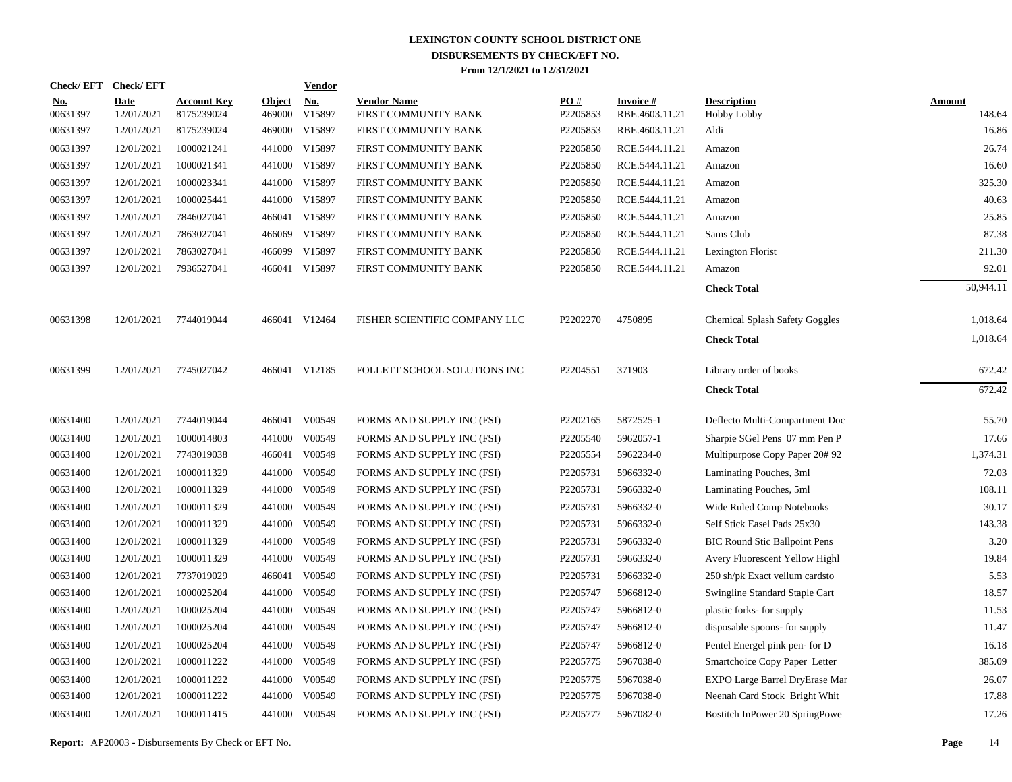| <b>Check/EFT</b>       | <b>Check/EFT</b>          |                                  |                         | <b>Vendor</b>        |                                            |                 |                             |                                          |                         |
|------------------------|---------------------------|----------------------------------|-------------------------|----------------------|--------------------------------------------|-----------------|-----------------------------|------------------------------------------|-------------------------|
| <u>No.</u><br>00631397 | <b>Date</b><br>12/01/2021 | <b>Account Key</b><br>8175239024 | <b>Object</b><br>469000 | <b>No.</b><br>V15897 | <b>Vendor Name</b><br>FIRST COMMUNITY BANK | PO#<br>P2205853 | Invoice #<br>RBE.4603.11.21 | <b>Description</b><br><b>Hobby Lobby</b> | <b>Amount</b><br>148.64 |
| 00631397               | 12/01/2021                | 8175239024                       |                         | 469000 V15897        | FIRST COMMUNITY BANK                       | P2205853        | RBE.4603.11.21              | Aldi                                     | 16.86                   |
| 00631397               | 12/01/2021                | 1000021241                       |                         | 441000 V15897        | FIRST COMMUNITY BANK                       | P2205850        | RCE.5444.11.21              | Amazon                                   | 26.74                   |
| 00631397               | 12/01/2021                | 1000021341                       |                         | 441000 V15897        | FIRST COMMUNITY BANK                       | P2205850        | RCE.5444.11.21              | Amazon                                   | 16.60                   |
| 00631397               | 12/01/2021                | 1000023341                       |                         | 441000 V15897        | FIRST COMMUNITY BANK                       | P2205850        | RCE.5444.11.21              | Amazon                                   | 325.30                  |
| 00631397               | 12/01/2021                | 1000025441                       |                         | 441000 V15897        | FIRST COMMUNITY BANK                       | P2205850        | RCE.5444.11.21              | Amazon                                   | 40.63                   |
| 00631397               | 12/01/2021                | 7846027041                       |                         | 466041 V15897        | FIRST COMMUNITY BANK                       | P2205850        | RCE.5444.11.21              | Amazon                                   | 25.85                   |
| 00631397               | 12/01/2021                | 7863027041                       |                         | 466069 V15897        | FIRST COMMUNITY BANK                       | P2205850        | RCE.5444.11.21              | Sams Club                                | 87.38                   |
| 00631397               | 12/01/2021                | 7863027041                       |                         | 466099 V15897        | FIRST COMMUNITY BANK                       | P2205850        | RCE.5444.11.21              | Lexington Florist                        | 211.30                  |
| 00631397               | 12/01/2021                | 7936527041                       |                         | 466041 V15897        | FIRST COMMUNITY BANK                       | P2205850        | RCE.5444.11.21              | Amazon                                   | 92.01                   |
|                        |                           |                                  |                         |                      |                                            |                 |                             | <b>Check Total</b>                       | 50,944.11               |
| 00631398               | 12/01/2021                | 7744019044                       |                         | 466041 V12464        | FISHER SCIENTIFIC COMPANY LLC              | P2202270        | 4750895                     | <b>Chemical Splash Safety Goggles</b>    | 1,018.64                |
|                        |                           |                                  |                         |                      |                                            |                 |                             | <b>Check Total</b>                       | 1,018.64                |
| 00631399               | 12/01/2021                | 7745027042                       |                         | 466041 V12185        | FOLLETT SCHOOL SOLUTIONS INC               | P2204551        | 371903                      | Library order of books                   | 672.42                  |
|                        |                           |                                  |                         |                      |                                            |                 |                             | <b>Check Total</b>                       | 672.42                  |
| 00631400               | 12/01/2021                | 7744019044                       |                         | 466041 V00549        | FORMS AND SUPPLY INC (FSI)                 | P2202165        | 5872525-1                   | Deflecto Multi-Compartment Doc           | 55.70                   |
| 00631400               | 12/01/2021                | 1000014803                       | 441000                  | V00549               | FORMS AND SUPPLY INC (FSI)                 | P2205540        | 5962057-1                   | Sharpie SGel Pens 07 mm Pen P            | 17.66                   |
| 00631400               | 12/01/2021                | 7743019038                       |                         | 466041 V00549        | FORMS AND SUPPLY INC (FSI)                 | P2205554        | 5962234-0                   | Multipurpose Copy Paper 20# 92           | 1,374.31                |
| 00631400               | 12/01/2021                | 1000011329                       | 441000                  | V00549               | FORMS AND SUPPLY INC (FSI)                 | P2205731        | 5966332-0                   | Laminating Pouches, 3ml                  | 72.03                   |
| 00631400               | 12/01/2021                | 1000011329                       |                         | 441000 V00549        | FORMS AND SUPPLY INC (FSI)                 | P2205731        | 5966332-0                   | Laminating Pouches, 5ml                  | 108.11                  |
| 00631400               | 12/01/2021                | 1000011329                       | 441000                  | V00549               | FORMS AND SUPPLY INC (FSI)                 | P2205731        | 5966332-0                   | Wide Ruled Comp Notebooks                | 30.17                   |
| 00631400               | 12/01/2021                | 1000011329                       |                         | 441000 V00549        | FORMS AND SUPPLY INC (FSI)                 | P2205731        | 5966332-0                   | Self Stick Easel Pads 25x30              | 143.38                  |
| 00631400               | 12/01/2021                | 1000011329                       | 441000                  | V00549               | FORMS AND SUPPLY INC (FSI)                 | P2205731        | 5966332-0                   | <b>BIC Round Stic Ballpoint Pens</b>     | 3.20                    |
| 00631400               | 12/01/2021                | 1000011329                       |                         | 441000 V00549        | FORMS AND SUPPLY INC (FSI)                 | P2205731        | 5966332-0                   | Avery Fluorescent Yellow Highl           | 19.84                   |
| 00631400               | 12/01/2021                | 7737019029                       |                         | 466041 V00549        | FORMS AND SUPPLY INC (FSI)                 | P2205731        | 5966332-0                   | 250 sh/pk Exact vellum cardsto           | 5.53                    |
| 00631400               | 12/01/2021                | 1000025204                       |                         | 441000 V00549        | FORMS AND SUPPLY INC (FSI)                 | P2205747        | 5966812-0                   | Swingline Standard Staple Cart           | 18.57                   |
| 00631400               | 12/01/2021                | 1000025204                       | 441000                  | V00549               | FORMS AND SUPPLY INC (FSI)                 | P2205747        | 5966812-0                   | plastic forks-for supply                 | 11.53                   |
| 00631400               | 12/01/2021                | 1000025204                       |                         | 441000 V00549        | FORMS AND SUPPLY INC (FSI)                 | P2205747        | 5966812-0                   | disposable spoons- for supply            | 11.47                   |
| 00631400               | 12/01/2021                | 1000025204                       | 441000                  | V00549               | FORMS AND SUPPLY INC (FSI)                 | P2205747        | 5966812-0                   | Pentel Energel pink pen- for D           | 16.18                   |
| 00631400               | 12/01/2021                | 1000011222                       |                         | 441000 V00549        | FORMS AND SUPPLY INC (FSI)                 | P2205775        | 5967038-0                   | Smartchoice Copy Paper Letter            | 385.09                  |
| 00631400               | 12/01/2021                | 1000011222                       | 441000                  | V00549               | FORMS AND SUPPLY INC (FSI)                 | P2205775        | 5967038-0                   | EXPO Large Barrel DryErase Mar           | 26.07                   |
| 00631400               | 12/01/2021                | 1000011222                       | 441000                  | V00549               | FORMS AND SUPPLY INC (FSI)                 | P2205775        | 5967038-0                   | Neenah Card Stock Bright Whit            | 17.88                   |
| 00631400               | 12/01/2021                | 1000011415                       |                         | 441000 V00549        | FORMS AND SUPPLY INC (FSI)                 | P2205777        | 5967082-0                   | Bostitch InPower 20 SpringPowe           | 17.26                   |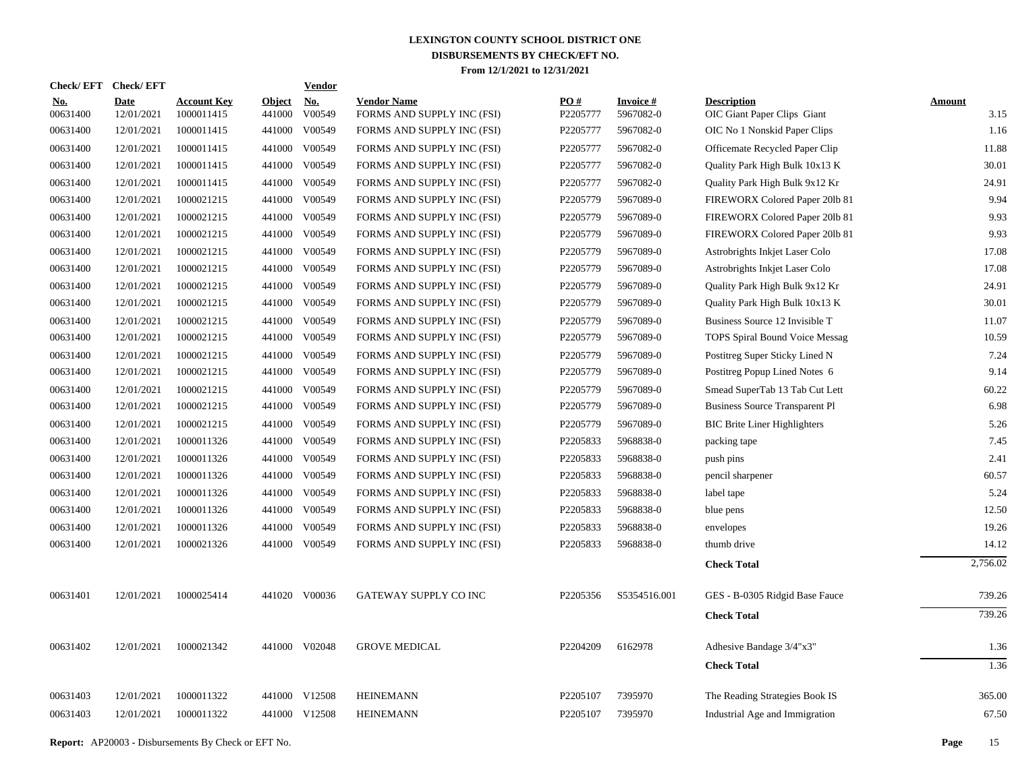|                        | Check/EFT Check/EFT |                                  |                         | <b>Vendor</b> |                                                  |                 |                        |                                                   |                |
|------------------------|---------------------|----------------------------------|-------------------------|---------------|--------------------------------------------------|-----------------|------------------------|---------------------------------------------------|----------------|
| <b>No.</b><br>00631400 | Date<br>12/01/2021  | <b>Account Key</b><br>1000011415 | <b>Object</b><br>441000 | No.<br>V00549 | <b>Vendor Name</b><br>FORMS AND SUPPLY INC (FSI) | PO#<br>P2205777 | Invoice #<br>5967082-0 | <b>Description</b><br>OIC Giant Paper Clips Giant | Amount<br>3.15 |
| 00631400               | 12/01/2021          | 1000011415                       | 441000                  | V00549        | FORMS AND SUPPLY INC (FSI)                       | P2205777        | 5967082-0              | OIC No 1 Nonskid Paper Clips                      | 1.16           |
| 00631400               | 12/01/2021          | 1000011415                       | 441000                  | V00549        | FORMS AND SUPPLY INC (FSI)                       | P2205777        | 5967082-0              | Officemate Recycled Paper Clip                    | 11.88          |
| 00631400               | 12/01/2021          | 1000011415                       | 441000                  | V00549        | FORMS AND SUPPLY INC (FSI)                       | P2205777        | 5967082-0              | Quality Park High Bulk 10x13 K                    | 30.01          |
| 00631400               | 12/01/2021          | 1000011415                       | 441000                  | V00549        | FORMS AND SUPPLY INC (FSI)                       | P2205777        | 5967082-0              | Quality Park High Bulk 9x12 Kr                    | 24.91          |
| 00631400               | 12/01/2021          | 1000021215                       |                         | 441000 V00549 | FORMS AND SUPPLY INC (FSI)                       | P2205779        | 5967089-0              | FIREWORX Colored Paper 201b 81                    | 9.94           |
| 00631400               | 12/01/2021          | 1000021215                       | 441000                  | V00549        | FORMS AND SUPPLY INC (FSI)                       | P2205779        | 5967089-0              | FIREWORX Colored Paper 201b 81                    | 9.93           |
| 00631400               | 12/01/2021          | 1000021215                       | 441000                  | V00549        | FORMS AND SUPPLY INC (FSI)                       | P2205779        | 5967089-0              | FIREWORX Colored Paper 201b 81                    | 9.93           |
| 00631400               | 12/01/2021          | 1000021215                       | 441000                  | V00549        | FORMS AND SUPPLY INC (FSI)                       | P2205779        | 5967089-0              | Astrobrights Inkjet Laser Colo                    | 17.08          |
| 00631400               | 12/01/2021          | 1000021215                       |                         | 441000 V00549 | FORMS AND SUPPLY INC (FSI)                       | P2205779        | 5967089-0              | Astrobrights Inkjet Laser Colo                    | 17.08          |
| 00631400               | 12/01/2021          | 1000021215                       | 441000                  | V00549        | FORMS AND SUPPLY INC (FSI)                       | P2205779        | 5967089-0              | Quality Park High Bulk 9x12 Kr                    | 24.91          |
| 00631400               | 12/01/2021          | 1000021215                       |                         | 441000 V00549 | FORMS AND SUPPLY INC (FSI)                       | P2205779        | 5967089-0              | Quality Park High Bulk 10x13 K                    | 30.01          |
| 00631400               | 12/01/2021          | 1000021215                       | 441000                  | V00549        | FORMS AND SUPPLY INC (FSI)                       | P2205779        | 5967089-0              | Business Source 12 Invisible T                    | 11.07          |
| 00631400               | 12/01/2021          | 1000021215                       | 441000                  | V00549        | FORMS AND SUPPLY INC (FSI)                       | P2205779        | 5967089-0              | TOPS Spiral Bound Voice Messag                    | 10.59          |
| 00631400               | 12/01/2021          | 1000021215                       | 441000                  | V00549        | FORMS AND SUPPLY INC (FSI)                       | P2205779        | 5967089-0              | Postitreg Super Sticky Lined N                    | 7.24           |
| 00631400               | 12/01/2021          | 1000021215                       | 441000                  | V00549        | FORMS AND SUPPLY INC (FSI)                       | P2205779        | 5967089-0              | Postitreg Popup Lined Notes 6                     | 9.14           |
| 00631400               | 12/01/2021          | 1000021215                       | 441000                  | V00549        | FORMS AND SUPPLY INC (FSI)                       | P2205779        | 5967089-0              | Smead SuperTab 13 Tab Cut Lett                    | 60.22          |
| 00631400               | 12/01/2021          | 1000021215                       | 441000                  | V00549        | FORMS AND SUPPLY INC (FSI)                       | P2205779        | 5967089-0              | <b>Business Source Transparent Pl</b>             | 6.98           |
| 00631400               | 12/01/2021          | 1000021215                       | 441000                  | V00549        | FORMS AND SUPPLY INC (FSI)                       | P2205779        | 5967089-0              | <b>BIC Brite Liner Highlighters</b>               | 5.26           |
| 00631400               | 12/01/2021          | 1000011326                       | 441000                  | V00549        | FORMS AND SUPPLY INC (FSI)                       | P2205833        | 5968838-0              | packing tape                                      | 7.45           |
| 00631400               | 12/01/2021          | 1000011326                       | 441000                  | V00549        | FORMS AND SUPPLY INC (FSI)                       | P2205833        | 5968838-0              | push pins                                         | 2.41           |
| 00631400               | 12/01/2021          | 1000011326                       | 441000                  | V00549        | FORMS AND SUPPLY INC (FSI)                       | P2205833        | 5968838-0              | pencil sharpener                                  | 60.57          |
| 00631400               | 12/01/2021          | 1000011326                       | 441000                  | V00549        | FORMS AND SUPPLY INC (FSI)                       | P2205833        | 5968838-0              | label tape                                        | 5.24           |
| 00631400               | 12/01/2021          | 1000011326                       | 441000                  | V00549        | FORMS AND SUPPLY INC (FSI)                       | P2205833        | 5968838-0              | blue pens                                         | 12.50          |
| 00631400               | 12/01/2021          | 1000011326                       | 441000                  | V00549        | FORMS AND SUPPLY INC (FSI)                       | P2205833        | 5968838-0              | envelopes                                         | 19.26          |
| 00631400               | 12/01/2021          | 1000021326                       |                         | 441000 V00549 | FORMS AND SUPPLY INC (FSI)                       | P2205833        | 5968838-0              | thumb drive                                       | 14.12          |
|                        |                     |                                  |                         |               |                                                  |                 |                        | <b>Check Total</b>                                | 2,756.02       |
| 00631401               | 12/01/2021          | 1000025414                       |                         | 441020 V00036 | GATEWAY SUPPLY CO INC                            | P2205356        | S5354516.001           | GES - B-0305 Ridgid Base Fauce                    | 739.26         |
|                        |                     |                                  |                         |               |                                                  |                 |                        | <b>Check Total</b>                                | 739.26         |
| 00631402               | 12/01/2021          | 1000021342                       |                         | 441000 V02048 | <b>GROVE MEDICAL</b>                             | P2204209        | 6162978                | Adhesive Bandage 3/4"x3"                          | 1.36           |
|                        |                     |                                  |                         |               |                                                  |                 |                        | <b>Check Total</b>                                | 1.36           |
| 00631403               | 12/01/2021          | 1000011322                       |                         | 441000 V12508 | <b>HEINEMANN</b>                                 | P2205107        | 7395970                | The Reading Strategies Book IS                    | 365.00         |
| 00631403               | 12/01/2021          | 1000011322                       |                         | 441000 V12508 | <b>HEINEMANN</b>                                 | P2205107        | 7395970                | Industrial Age and Immigration                    | 67.50          |

**Report:** AP20003 - Disbursements By Check or EFT No. **Page** 15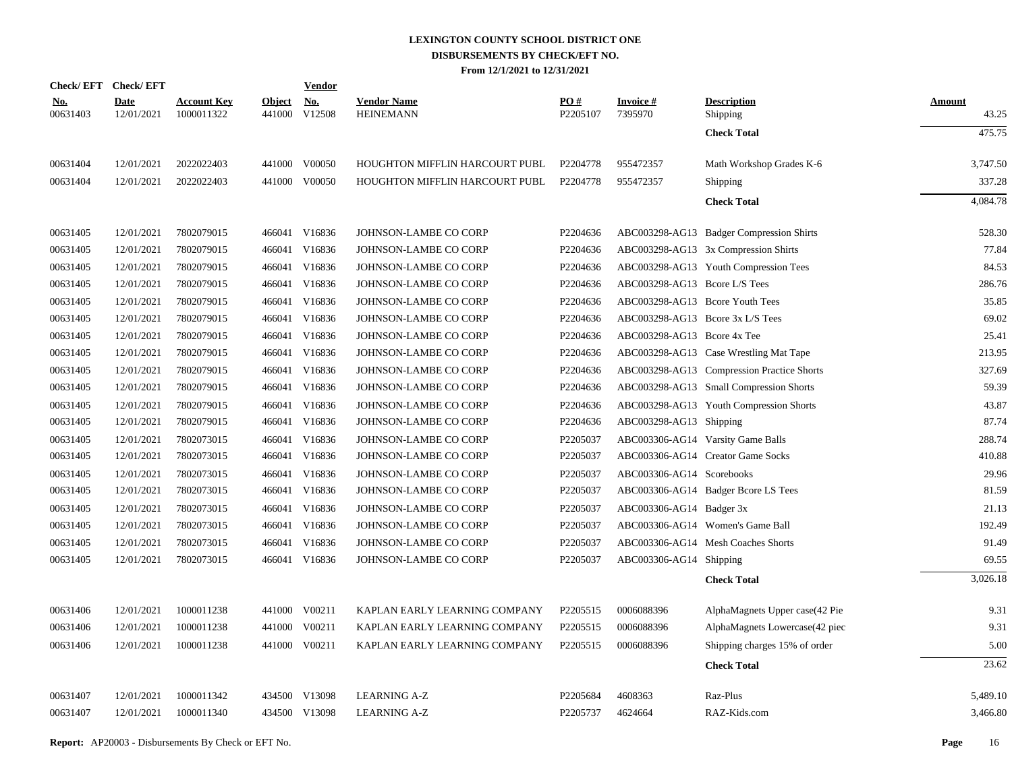|                        | Check/EFT Check/EFT       |                                  |                         | <b>Vendor</b>        |                                        |                 |                                  |                                            |                        |
|------------------------|---------------------------|----------------------------------|-------------------------|----------------------|----------------------------------------|-----------------|----------------------------------|--------------------------------------------|------------------------|
| <u>No.</u><br>00631403 | <b>Date</b><br>12/01/2021 | <b>Account Key</b><br>1000011322 | <b>Object</b><br>441000 | <b>No.</b><br>V12508 | <b>Vendor Name</b><br><b>HEINEMANN</b> | PO#<br>P2205107 | <b>Invoice#</b><br>7395970       | <b>Description</b><br>Shipping             | <b>Amount</b><br>43.25 |
|                        |                           |                                  |                         |                      |                                        |                 |                                  | <b>Check Total</b>                         | 475.75                 |
| 00631404               | 12/01/2021                | 2022022403                       |                         | 441000 V00050        | HOUGHTON MIFFLIN HARCOURT PUBL         | P2204778        | 955472357                        | Math Workshop Grades K-6                   | 3,747.50               |
| 00631404               | 12/01/2021                | 2022022403                       | 441000                  | V00050               | HOUGHTON MIFFLIN HARCOURT PUBL         | P2204778        | 955472357                        | Shipping                                   | 337.28                 |
|                        |                           |                                  |                         |                      |                                        |                 |                                  | <b>Check Total</b>                         | 4,084.78               |
| 00631405               | 12/01/2021                | 7802079015                       |                         | 466041 V16836        | JOHNSON-LAMBE CO CORP                  | P2204636        |                                  | ABC003298-AG13 Badger Compression Shirts   | 528.30                 |
| 00631405               | 12/01/2021                | 7802079015                       | 466041                  | V16836               | JOHNSON-LAMBE CO CORP                  | P2204636        |                                  | ABC003298-AG13 3x Compression Shirts       | 77.84                  |
| 00631405               | 12/01/2021                | 7802079015                       | 466041                  | V16836               | JOHNSON-LAMBE CO CORP                  | P2204636        |                                  | ABC003298-AG13 Youth Compression Tees      | 84.53                  |
| 00631405               | 12/01/2021                | 7802079015                       | 466041                  | V16836               | JOHNSON-LAMBE CO CORP                  | P2204636        | ABC003298-AG13 Bcore L/S Tees    |                                            | 286.76                 |
| 00631405               | 12/01/2021                | 7802079015                       | 466041                  | V16836               | JOHNSON-LAMBE CO CORP                  | P2204636        | ABC003298-AG13 Bcore Youth Tees  |                                            | 35.85                  |
| 00631405               | 12/01/2021                | 7802079015                       | 466041                  | V16836               | JOHNSON-LAMBE CO CORP                  | P2204636        | ABC003298-AG13 Bcore 3x L/S Tees |                                            | 69.02                  |
| 00631405               | 12/01/2021                | 7802079015                       | 466041                  | V16836               | JOHNSON-LAMBE CO CORP                  | P2204636        | ABC003298-AG13 Bcore 4x Tee      |                                            | 25.41                  |
| 00631405               | 12/01/2021                | 7802079015                       | 466041                  | V16836               | JOHNSON-LAMBE CO CORP                  | P2204636        |                                  | ABC003298-AG13 Case Wrestling Mat Tape     | 213.95                 |
| 00631405               | 12/01/2021                | 7802079015                       | 466041                  | V16836               | JOHNSON-LAMBE CO CORP                  | P2204636        |                                  | ABC003298-AG13 Compression Practice Shorts | 327.69                 |
| 00631405               | 12/01/2021                | 7802079015                       | 466041                  | V16836               | JOHNSON-LAMBE CO CORP                  | P2204636        |                                  | ABC003298-AG13 Small Compression Shorts    | 59.39                  |
| 00631405               | 12/01/2021                | 7802079015                       | 466041                  | V16836               | JOHNSON-LAMBE CO CORP                  | P2204636        |                                  | ABC003298-AG13 Youth Compression Shorts    | 43.87                  |
| 00631405               | 12/01/2021                | 7802079015                       | 466041                  | V16836               | JOHNSON-LAMBE CO CORP                  | P2204636        | ABC003298-AG13 Shipping          |                                            | 87.74                  |
| 00631405               | 12/01/2021                | 7802073015                       | 466041                  | V16836               | JOHNSON-LAMBE CO CORP                  | P2205037        |                                  | ABC003306-AG14 Varsity Game Balls          | 288.74                 |
| 00631405               | 12/01/2021                | 7802073015                       | 466041                  | V16836               | JOHNSON-LAMBE CO CORP                  | P2205037        |                                  | ABC003306-AG14 Creator Game Socks          | 410.88                 |
| 00631405               | 12/01/2021                | 7802073015                       | 466041                  | V16836               | JOHNSON-LAMBE CO CORP                  | P2205037        | ABC003306-AG14 Scorebooks        |                                            | 29.96                  |
| 00631405               | 12/01/2021                | 7802073015                       | 466041                  | V16836               | JOHNSON-LAMBE CO CORP                  | P2205037        |                                  | ABC003306-AG14 Badger Bcore LS Tees        | 81.59                  |
| 00631405               | 12/01/2021                | 7802073015                       | 466041                  | V16836               | JOHNSON-LAMBE CO CORP                  | P2205037        | ABC003306-AG14 Badger 3x         |                                            | 21.13                  |
| 00631405               | 12/01/2021                | 7802073015                       |                         | 466041 V16836        | JOHNSON-LAMBE CO CORP                  | P2205037        |                                  | ABC003306-AG14 Women's Game Ball           | 192.49                 |
| 00631405               | 12/01/2021                | 7802073015                       | 466041                  | V16836               | JOHNSON-LAMBE CO CORP                  | P2205037        |                                  | ABC003306-AG14 Mesh Coaches Shorts         | 91.49                  |
| 00631405               | 12/01/2021                | 7802073015                       |                         | 466041 V16836        | JOHNSON-LAMBE CO CORP                  | P2205037        | ABC003306-AG14 Shipping          |                                            | 69.55                  |
|                        |                           |                                  |                         |                      |                                        |                 |                                  | <b>Check Total</b>                         | 3,026.18               |
| 00631406               | 12/01/2021                | 1000011238                       | 441000                  | V00211               | KAPLAN EARLY LEARNING COMPANY          | P2205515        | 0006088396                       | AlphaMagnets Upper case (42 Pie            | 9.31                   |
| 00631406               | 12/01/2021                | 1000011238                       | 441000                  | V00211               | KAPLAN EARLY LEARNING COMPANY          | P2205515        | 0006088396                       | AlphaMagnets Lowercase(42 piec             | 9.31                   |
| 00631406               | 12/01/2021                | 1000011238                       | 441000                  | V00211               | KAPLAN EARLY LEARNING COMPANY          | P2205515        | 0006088396                       | Shipping charges 15% of order              | 5.00                   |
|                        |                           |                                  |                         |                      |                                        |                 |                                  | <b>Check Total</b>                         | 23.62                  |
| 00631407               | 12/01/2021                | 1000011342                       | 434500                  | V13098               | <b>LEARNING A-Z</b>                    | P2205684        | 4608363                          | Raz-Plus                                   | 5,489.10               |
| 00631407               | 12/01/2021                | 1000011340                       |                         | 434500 V13098        | <b>LEARNING A-Z</b>                    | P2205737        | 4624664                          | RAZ-Kids.com                               | 3,466.80               |
|                        |                           |                                  |                         |                      |                                        |                 |                                  |                                            |                        |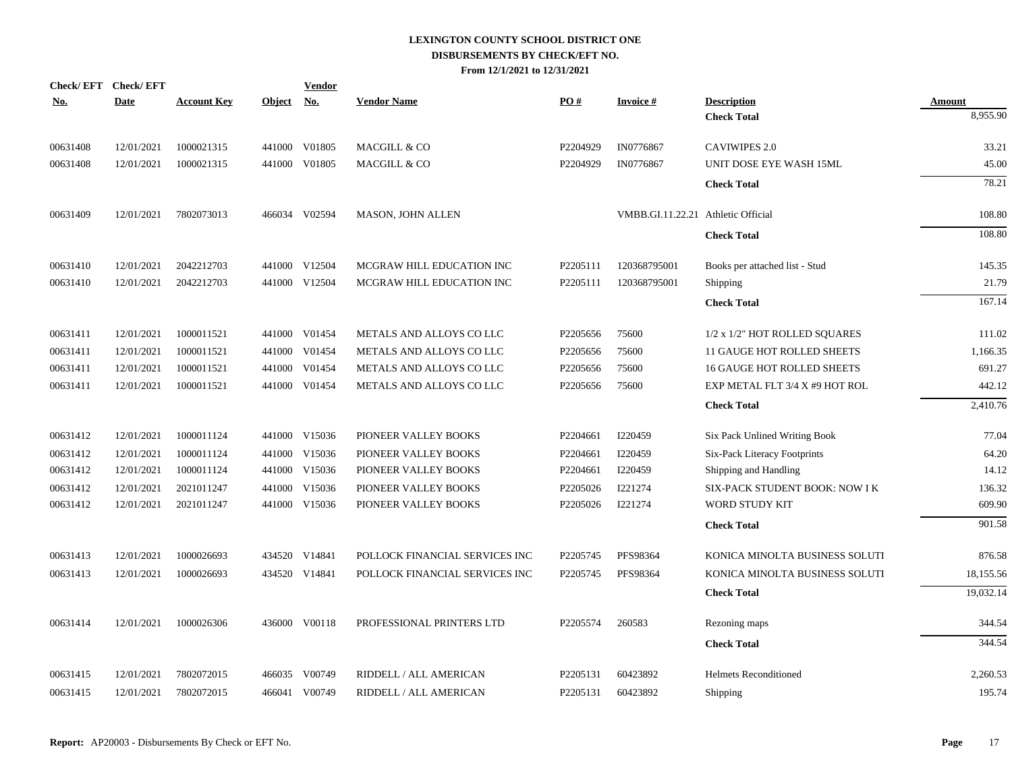| Check/EFT Check/EFT |             |                    |            | Vendor        |                                |          |                                    |                                |               |
|---------------------|-------------|--------------------|------------|---------------|--------------------------------|----------|------------------------------------|--------------------------------|---------------|
| No.                 | <b>Date</b> | <b>Account Key</b> | Object No. |               | <b>Vendor Name</b>             | PO#      | <b>Invoice#</b>                    | <b>Description</b>             | <b>Amount</b> |
|                     |             |                    |            |               |                                |          |                                    | <b>Check Total</b>             | 8,955.90      |
| 00631408            | 12/01/2021  | 1000021315         | 441000     | V01805        | MACGILL & CO                   | P2204929 | IN0776867                          | <b>CAVIWIPES 2.0</b>           | 33.21         |
| 00631408            | 12/01/2021  | 1000021315         |            | 441000 V01805 | MACGILL & CO                   | P2204929 | IN0776867                          | UNIT DOSE EYE WASH 15ML        | 45.00         |
|                     |             |                    |            |               |                                |          |                                    | <b>Check Total</b>             | 78.21         |
| 00631409            | 12/01/2021  | 7802073013         |            | 466034 V02594 | MASON, JOHN ALLEN              |          | VMBB.GI.11.22.21 Athletic Official |                                | 108.80        |
|                     |             |                    |            |               |                                |          |                                    | <b>Check Total</b>             | 108.80        |
| 00631410            | 12/01/2021  | 2042212703         | 441000     | V12504        | MCGRAW HILL EDUCATION INC      | P2205111 | 120368795001                       | Books per attached list - Stud | 145.35        |
| 00631410            | 12/01/2021  | 2042212703         |            | 441000 V12504 | MCGRAW HILL EDUCATION INC      | P2205111 | 120368795001                       | Shipping                       | 21.79         |
|                     |             |                    |            |               |                                |          |                                    | <b>Check Total</b>             | 167.14        |
| 00631411            | 12/01/2021  | 1000011521         |            | 441000 V01454 | METALS AND ALLOYS CO LLC       | P2205656 | 75600                              | 1/2 x 1/2" HOT ROLLED SQUARES  | 111.02        |
| 00631411            | 12/01/2021  | 1000011521         | 441000     | V01454        | METALS AND ALLOYS CO LLC       | P2205656 | 75600                              | 11 GAUGE HOT ROLLED SHEETS     | 1,166.35      |
| 00631411            | 12/01/2021  | 1000011521         | 441000     | V01454        | METALS AND ALLOYS CO LLC       | P2205656 | 75600                              | 16 GAUGE HOT ROLLED SHEETS     | 691.27        |
| 00631411            | 12/01/2021  | 1000011521         |            | 441000 V01454 | METALS AND ALLOYS CO LLC       | P2205656 | 75600                              | EXP METAL FLT 3/4 X #9 HOT ROL | 442.12        |
|                     |             |                    |            |               |                                |          |                                    | <b>Check Total</b>             | 2,410.76      |
| 00631412            | 12/01/2021  | 1000011124         |            | 441000 V15036 | PIONEER VALLEY BOOKS           | P2204661 | I220459                            | Six Pack Unlined Writing Book  | 77.04         |
| 00631412            | 12/01/2021  | 1000011124         |            | 441000 V15036 | PIONEER VALLEY BOOKS           | P2204661 | I220459                            | Six-Pack Literacy Footprints   | 64.20         |
| 00631412            | 12/01/2021  | 1000011124         | 441000     | V15036        | PIONEER VALLEY BOOKS           | P2204661 | I220459                            | Shipping and Handling          | 14.12         |
| 00631412            | 12/01/2021  | 2021011247         | 441000     | V15036        | PIONEER VALLEY BOOKS           | P2205026 | I221274                            | SIX-PACK STUDENT BOOK: NOW I K | 136.32        |
| 00631412            | 12/01/2021  | 2021011247         |            | 441000 V15036 | PIONEER VALLEY BOOKS           | P2205026 | I221274                            | WORD STUDY KIT                 | 609.90        |
|                     |             |                    |            |               |                                |          |                                    | <b>Check Total</b>             | 901.58        |
| 00631413            | 12/01/2021  | 1000026693         |            | 434520 V14841 | POLLOCK FINANCIAL SERVICES INC | P2205745 | PFS98364                           | KONICA MINOLTA BUSINESS SOLUTI | 876.58        |
| 00631413            | 12/01/2021  | 1000026693         |            | 434520 V14841 | POLLOCK FINANCIAL SERVICES INC | P2205745 | PFS98364                           | KONICA MINOLTA BUSINESS SOLUTI | 18,155.56     |
|                     |             |                    |            |               |                                |          |                                    | <b>Check Total</b>             | 19,032.14     |
| 00631414            | 12/01/2021  | 1000026306         |            | 436000 V00118 | PROFESSIONAL PRINTERS LTD      | P2205574 | 260583                             | Rezoning maps                  | 344.54        |
|                     |             |                    |            |               |                                |          |                                    | <b>Check Total</b>             | 344.54        |
| 00631415            | 12/01/2021  | 7802072015         |            | 466035 V00749 | RIDDELL / ALL AMERICAN         | P2205131 | 60423892                           | <b>Helmets Reconditioned</b>   | 2,260.53      |
| 00631415            | 12/01/2021  | 7802072015         |            | 466041 V00749 | RIDDELL / ALL AMERICAN         | P2205131 | 60423892                           | Shipping                       | 195.74        |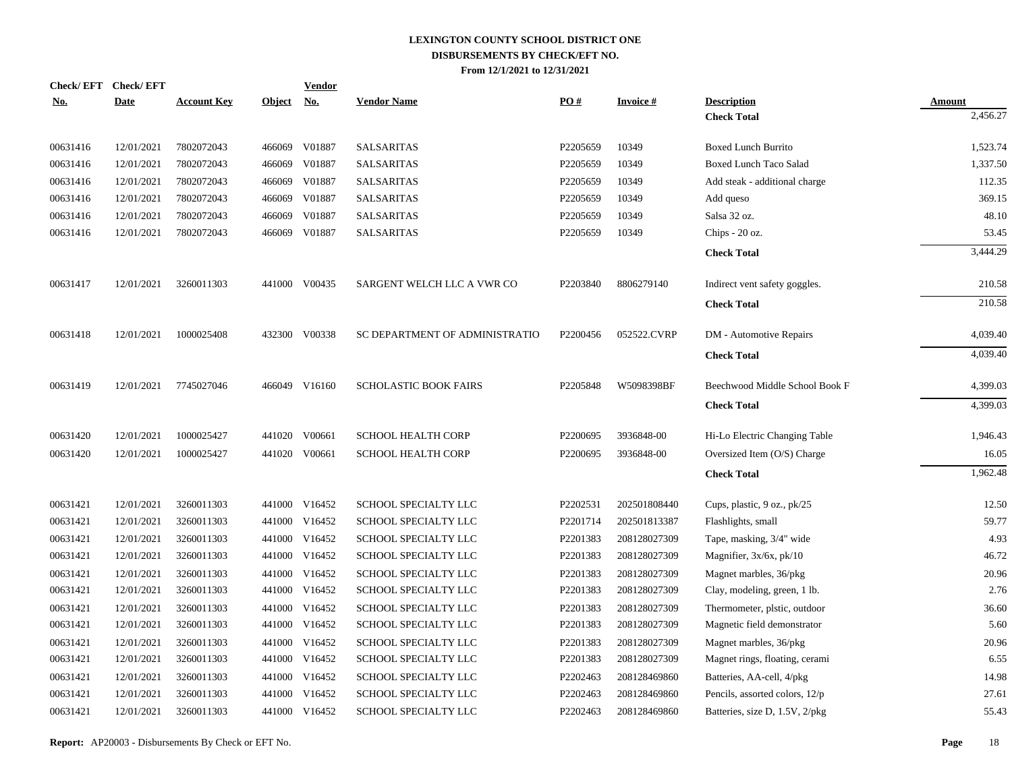| <b>Check/EFT</b> | <b>Check/EFT</b> |                    |               | <b>Vendor</b> |                                |          |                 |                                |               |
|------------------|------------------|--------------------|---------------|---------------|--------------------------------|----------|-----------------|--------------------------------|---------------|
| <u>No.</u>       | <b>Date</b>      | <b>Account Key</b> | <u>Object</u> | <u>No.</u>    | <b>Vendor Name</b>             | PO#      | <b>Invoice#</b> | <b>Description</b>             | <b>Amount</b> |
|                  |                  |                    |               |               |                                |          |                 | <b>Check Total</b>             | 2,456.27      |
| 00631416         | 12/01/2021       | 7802072043         | 466069        | V01887        | <b>SALSARITAS</b>              | P2205659 | 10349           | <b>Boxed Lunch Burrito</b>     | 1,523.74      |
| 00631416         | 12/01/2021       | 7802072043         | 466069        | V01887        | <b>SALSARITAS</b>              | P2205659 | 10349           | <b>Boxed Lunch Taco Salad</b>  | 1,337.50      |
| 00631416         | 12/01/2021       | 7802072043         | 466069        | V01887        | <b>SALSARITAS</b>              | P2205659 | 10349           | Add steak - additional charge  | 112.35        |
| 00631416         | 12/01/2021       | 7802072043         | 466069        | V01887        | <b>SALSARITAS</b>              | P2205659 | 10349           | Add queso                      | 369.15        |
| 00631416         | 12/01/2021       | 7802072043         | 466069        | V01887        | <b>SALSARITAS</b>              | P2205659 | 10349           | Salsa 32 oz.                   | 48.10         |
| 00631416         | 12/01/2021       | 7802072043         | 466069        | V01887        | <b>SALSARITAS</b>              | P2205659 | 10349           | Chips - 20 oz.                 | 53.45         |
|                  |                  |                    |               |               |                                |          |                 | <b>Check Total</b>             | 3,444.29      |
| 00631417         | 12/01/2021       | 3260011303         |               | 441000 V00435 | SARGENT WELCH LLC A VWR CO     | P2203840 | 8806279140      | Indirect vent safety goggles.  | 210.58        |
|                  |                  |                    |               |               |                                |          |                 | <b>Check Total</b>             | 210.58        |
| 00631418         | 12/01/2021       | 1000025408         |               | 432300 V00338 | SC DEPARTMENT OF ADMINISTRATIO | P2200456 | 052522.CVRP     | DM - Automotive Repairs        | 4,039.40      |
|                  |                  |                    |               |               |                                |          |                 | <b>Check Total</b>             | 4,039.40      |
| 00631419         | 12/01/2021       | 7745027046         |               | 466049 V16160 | <b>SCHOLASTIC BOOK FAIRS</b>   | P2205848 | W5098398BF      | Beechwood Middle School Book F | 4,399.03      |
|                  |                  |                    |               |               |                                |          |                 | <b>Check Total</b>             | 4,399.03      |
| 00631420         | 12/01/2021       | 1000025427         |               | 441020 V00661 | <b>SCHOOL HEALTH CORP</b>      | P2200695 | 3936848-00      | Hi-Lo Electric Changing Table  | 1,946.43      |
| 00631420         | 12/01/2021       | 1000025427         | 441020        | V00661        | <b>SCHOOL HEALTH CORP</b>      | P2200695 | 3936848-00      | Oversized Item (O/S) Charge    | 16.05         |
|                  |                  |                    |               |               |                                |          |                 | <b>Check Total</b>             | 1,962.48      |
| 00631421         | 12/01/2021       | 3260011303         |               | 441000 V16452 | <b>SCHOOL SPECIALTY LLC</b>    | P2202531 | 202501808440    | Cups, plastic, 9 oz., pk/25    | 12.50         |
| 00631421         | 12/01/2021       | 3260011303         |               | 441000 V16452 | SCHOOL SPECIALTY LLC           | P2201714 | 202501813387    | Flashlights, small             | 59.77         |
| 00631421         | 12/01/2021       | 3260011303         | 441000        | V16452        | SCHOOL SPECIALTY LLC           | P2201383 | 208128027309    | Tape, masking, 3/4" wide       | 4.93          |
| 00631421         | 12/01/2021       | 3260011303         | 441000        | V16452        | SCHOOL SPECIALTY LLC           | P2201383 | 208128027309    | Magnifier, $3x/6x$ , $pk/10$   | 46.72         |
| 00631421         | 12/01/2021       | 3260011303         | 441000        | V16452        | SCHOOL SPECIALTY LLC           | P2201383 | 208128027309    | Magnet marbles, 36/pkg         | 20.96         |
| 00631421         | 12/01/2021       | 3260011303         | 441000        | V16452        | SCHOOL SPECIALTY LLC           | P2201383 | 208128027309    | Clay, modeling, green, 1 lb.   | 2.76          |
| 00631421         | 12/01/2021       | 3260011303         | 441000        | V16452        | <b>SCHOOL SPECIALTY LLC</b>    | P2201383 | 208128027309    | Thermometer, plstic, outdoor   | 36.60         |
| 00631421         | 12/01/2021       | 3260011303         | 441000        | V16452        | SCHOOL SPECIALTY LLC           | P2201383 | 208128027309    | Magnetic field demonstrator    | 5.60          |
| 00631421         | 12/01/2021       | 3260011303         | 441000        | V16452        | SCHOOL SPECIALTY LLC           | P2201383 | 208128027309    | Magnet marbles, 36/pkg         | 20.96         |
| 00631421         | 12/01/2021       | 3260011303         |               | 441000 V16452 | SCHOOL SPECIALTY LLC           | P2201383 | 208128027309    | Magnet rings, floating, cerami | 6.55          |
| 00631421         | 12/01/2021       | 3260011303         | 441000        | V16452        | SCHOOL SPECIALTY LLC           | P2202463 | 208128469860    | Batteries, AA-cell, 4/pkg      | 14.98         |
| 00631421         | 12/01/2021       | 3260011303         | 441000        | V16452        | SCHOOL SPECIALTY LLC           | P2202463 | 208128469860    | Pencils, assorted colors, 12/p | 27.61         |
| 00631421         | 12/01/2021       | 3260011303         |               | 441000 V16452 | <b>SCHOOL SPECIALTY LLC</b>    | P2202463 | 208128469860    | Batteries, size D, 1.5V, 2/pkg | 55.43         |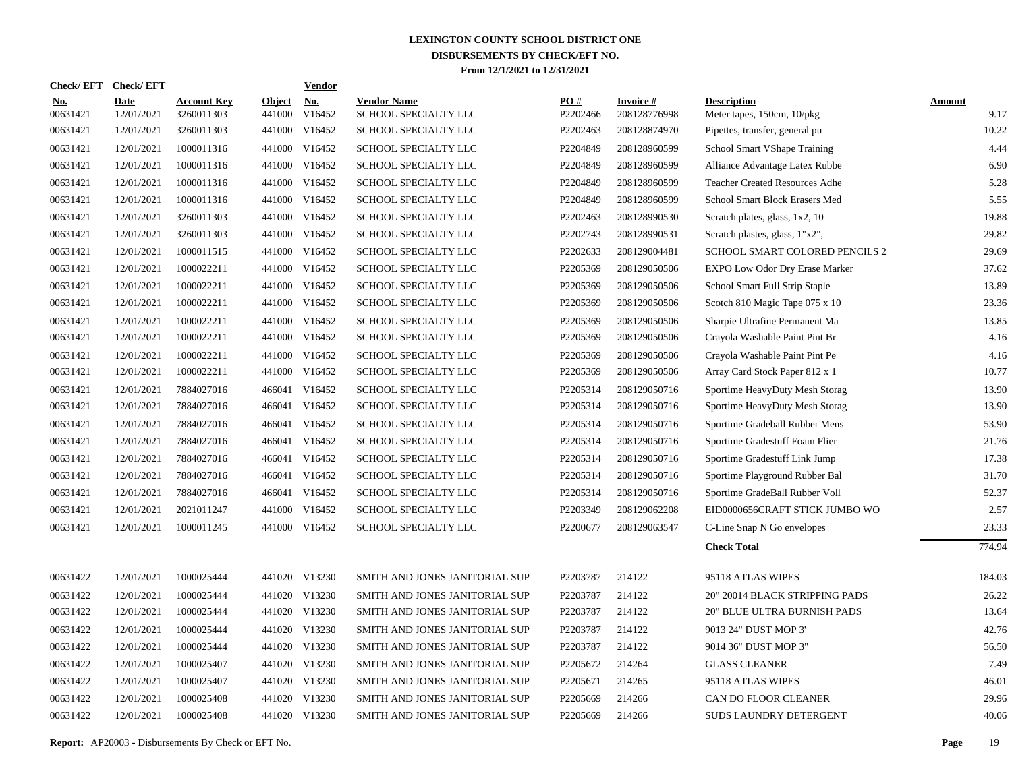| Check/EFT Check/EFT    |                           |                                  |                         | Vendor               |                                            |                 |                                 |                                                  |                       |
|------------------------|---------------------------|----------------------------------|-------------------------|----------------------|--------------------------------------------|-----------------|---------------------------------|--------------------------------------------------|-----------------------|
| <b>No.</b><br>00631421 | <b>Date</b><br>12/01/2021 | <b>Account Key</b><br>3260011303 | <b>Object</b><br>441000 | <u>No.</u><br>V16452 | <b>Vendor Name</b><br>SCHOOL SPECIALTY LLC | PO#<br>P2202466 | <b>Invoice#</b><br>208128776998 | <b>Description</b><br>Meter tapes, 150cm, 10/pkg | <b>Amount</b><br>9.17 |
| 00631421               | 12/01/2021                | 3260011303                       |                         | 441000 V16452        | SCHOOL SPECIALTY LLC                       | P2202463        | 208128874970                    | Pipettes, transfer, general pu                   | 10.22                 |
| 00631421               | 12/01/2021                | 1000011316                       |                         | 441000 V16452        | SCHOOL SPECIALTY LLC                       | P2204849        | 208128960599                    | School Smart VShape Training                     | 4.44                  |
| 00631421               | 12/01/2021                | 1000011316                       |                         | 441000 V16452        | SCHOOL SPECIALTY LLC                       | P2204849        | 208128960599                    | Alliance Advantage Latex Rubbe                   | 6.90                  |
| 00631421               | 12/01/2021                | 1000011316                       |                         | 441000 V16452        | SCHOOL SPECIALTY LLC                       | P2204849        | 208128960599                    | <b>Teacher Created Resources Adhe</b>            | 5.28                  |
| 00631421               | 12/01/2021                | 1000011316                       |                         | 441000 V16452        | SCHOOL SPECIALTY LLC                       | P2204849        | 208128960599                    | School Smart Block Erasers Med                   | 5.55                  |
| 00631421               | 12/01/2021                | 3260011303                       |                         | 441000 V16452        | SCHOOL SPECIALTY LLC                       | P2202463        | 208128990530                    | Scratch plates, glass, 1x2, 10                   | 19.88                 |
| 00631421               | 12/01/2021                | 3260011303                       |                         | 441000 V16452        | SCHOOL SPECIALTY LLC                       | P2202743        | 208128990531                    | Scratch plastes, glass, 1"x2",                   | 29.82                 |
| 00631421               | 12/01/2021                | 1000011515                       |                         | 441000 V16452        | SCHOOL SPECIALTY LLC                       | P2202633        | 208129004481                    | SCHOOL SMART COLORED PENCILS 2                   | 29.69                 |
| 00631421               | 12/01/2021                | 1000022211                       |                         | 441000 V16452        | SCHOOL SPECIALTY LLC                       | P2205369        | 208129050506                    | EXPO Low Odor Dry Erase Marker                   | 37.62                 |
| 00631421               | 12/01/2021                | 1000022211                       |                         | 441000 V16452        | SCHOOL SPECIALTY LLC                       | P2205369        | 208129050506                    | School Smart Full Strip Staple                   | 13.89                 |
| 00631421               | 12/01/2021                | 1000022211                       |                         | 441000 V16452        | SCHOOL SPECIALTY LLC                       | P2205369        | 208129050506                    | Scotch 810 Magic Tape 075 x 10                   | 23.36                 |
| 00631421               | 12/01/2021                | 1000022211                       |                         | 441000 V16452        | SCHOOL SPECIALTY LLC                       | P2205369        | 208129050506                    | Sharpie Ultrafine Permanent Ma                   | 13.85                 |
| 00631421               | 12/01/2021                | 1000022211                       |                         | 441000 V16452        | SCHOOL SPECIALTY LLC                       | P2205369        | 208129050506                    | Crayola Washable Paint Pint Br                   | 4.16                  |
| 00631421               | 12/01/2021                | 1000022211                       | 441000                  | V16452               | <b>SCHOOL SPECIALTY LLC</b>                | P2205369        | 208129050506                    | Crayola Washable Paint Pint Pe                   | 4.16                  |
| 00631421               | 12/01/2021                | 1000022211                       |                         | 441000 V16452        | SCHOOL SPECIALTY LLC                       | P2205369        | 208129050506                    | Array Card Stock Paper 812 x 1                   | 10.77                 |
| 00631421               | 12/01/2021                | 7884027016                       | 466041                  | V16452               | SCHOOL SPECIALTY LLC                       | P2205314        | 208129050716                    | Sportime HeavyDuty Mesh Storag                   | 13.90                 |
| 00631421               | 12/01/2021                | 7884027016                       | 466041                  | V16452               | SCHOOL SPECIALTY LLC                       | P2205314        | 208129050716                    | Sportime HeavyDuty Mesh Storag                   | 13.90                 |
| 00631421               | 12/01/2021                | 7884027016                       | 466041                  | V16452               | SCHOOL SPECIALTY LLC                       | P2205314        | 208129050716                    | Sportime Gradeball Rubber Mens                   | 53.90                 |
| 00631421               | 12/01/2021                | 7884027016                       | 466041                  | V16452               | SCHOOL SPECIALTY LLC                       | P2205314        | 208129050716                    | Sportime Gradestuff Foam Flier                   | 21.76                 |
| 00631421               | 12/01/2021                | 7884027016                       | 466041                  | V16452               | SCHOOL SPECIALTY LLC                       | P2205314        | 208129050716                    | Sportime Gradestuff Link Jump                    | 17.38                 |
| 00631421               | 12/01/2021                | 7884027016                       | 466041                  | V16452               | SCHOOL SPECIALTY LLC                       | P2205314        | 208129050716                    | Sportime Playground Rubber Bal                   | 31.70                 |
| 00631421               | 12/01/2021                | 7884027016                       | 466041                  | V16452               | SCHOOL SPECIALTY LLC                       | P2205314        | 208129050716                    | Sportime GradeBall Rubber Voll                   | 52.37                 |
| 00631421               | 12/01/2021                | 2021011247                       |                         | 441000 V16452        | SCHOOL SPECIALTY LLC                       | P2203349        | 208129062208                    | EID0000656CRAFT STICK JUMBO WO                   | 2.57                  |
| 00631421               | 12/01/2021                | 1000011245                       |                         | 441000 V16452        | SCHOOL SPECIALTY LLC                       | P2200677        | 208129063547                    | C-Line Snap N Go envelopes                       | 23.33                 |
|                        |                           |                                  |                         |                      |                                            |                 |                                 | <b>Check Total</b>                               | 774.94                |
| 00631422               | 12/01/2021                | 1000025444                       |                         | 441020 V13230        | SMITH AND JONES JANITORIAL SUP             | P2203787        | 214122                          | 95118 ATLAS WIPES                                | 184.03                |
| 00631422               | 12/01/2021                | 1000025444                       |                         | 441020 V13230        | SMITH AND JONES JANITORIAL SUP             | P2203787        | 214122                          | 20" 20014 BLACK STRIPPING PADS                   | 26.22                 |
| 00631422               | 12/01/2021                | 1000025444                       |                         | 441020 V13230        | SMITH AND JONES JANITORIAL SUP             | P2203787        | 214122                          | 20" BLUE ULTRA BURNISH PADS                      | 13.64                 |
| 00631422               | 12/01/2021                | 1000025444                       |                         | 441020 V13230        | SMITH AND JONES JANITORIAL SUP             | P2203787        | 214122                          | 9013 24" DUST MOP 3'                             | 42.76                 |
| 00631422               | 12/01/2021                | 1000025444                       |                         | 441020 V13230        | SMITH AND JONES JANITORIAL SUP             | P2203787        | 214122                          | 9014 36" DUST MOP 3"                             | 56.50                 |
| 00631422               | 12/01/2021                | 1000025407                       |                         | 441020 V13230        | SMITH AND JONES JANITORIAL SUP             | P2205672        | 214264                          | <b>GLASS CLEANER</b>                             | 7.49                  |
| 00631422               | 12/01/2021                | 1000025407                       |                         | 441020 V13230        | SMITH AND JONES JANITORIAL SUP             | P2205671        | 214265                          | 95118 ATLAS WIPES                                | 46.01                 |
| 00631422               | 12/01/2021                | 1000025408                       |                         | 441020 V13230        | SMITH AND JONES JANITORIAL SUP             | P2205669        | 214266                          | CAN DO FLOOR CLEANER                             | 29.96                 |
| 00631422               | 12/01/2021                | 1000025408                       |                         | 441020 V13230        | SMITH AND JONES JANITORIAL SUP             | P2205669        | 214266                          | <b>SUDS LAUNDRY DETERGENT</b>                    | 40.06                 |
|                        |                           |                                  |                         |                      |                                            |                 |                                 |                                                  |                       |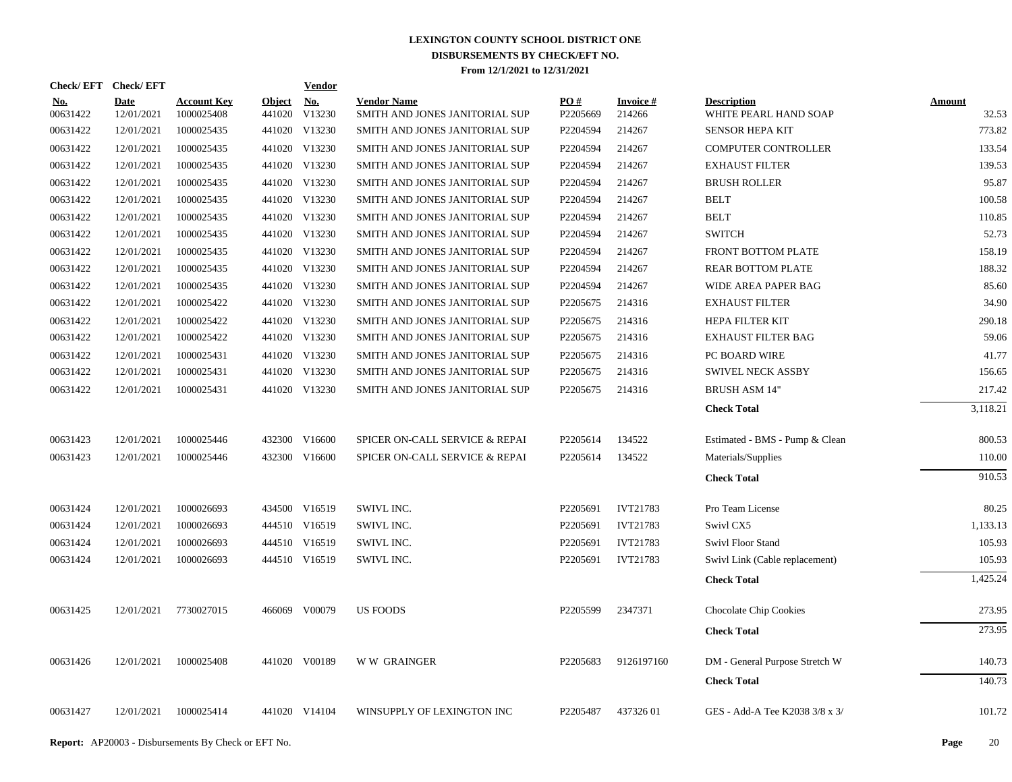| Check/EFT Check/EFT    |                           |                                  |                         | <b>Vendor</b> |                                                      |                 |                     |                                             |                        |
|------------------------|---------------------------|----------------------------------|-------------------------|---------------|------------------------------------------------------|-----------------|---------------------|---------------------------------------------|------------------------|
| <b>No.</b><br>00631422 | <b>Date</b><br>12/01/2021 | <b>Account Key</b><br>1000025408 | <b>Object</b><br>441020 | No.<br>V13230 | <b>Vendor Name</b><br>SMITH AND JONES JANITORIAL SUP | PO#<br>P2205669 | Invoice #<br>214266 | <b>Description</b><br>WHITE PEARL HAND SOAP | <b>Amount</b><br>32.53 |
| 00631422               | 12/01/2021                | 1000025435                       |                         | 441020 V13230 | SMITH AND JONES JANITORIAL SUP                       | P2204594        | 214267              | <b>SENSOR HEPA KIT</b>                      | 773.82                 |
| 00631422               | 12/01/2021                | 1000025435                       |                         | 441020 V13230 | SMITH AND JONES JANITORIAL SUP                       | P2204594        | 214267              | <b>COMPUTER CONTROLLER</b>                  | 133.54                 |
| 00631422               | 12/01/2021                | 1000025435                       |                         | 441020 V13230 | SMITH AND JONES JANITORIAL SUP                       | P2204594        | 214267              | <b>EXHAUST FILTER</b>                       | 139.53                 |
| 00631422               | 12/01/2021                | 1000025435                       |                         | 441020 V13230 | SMITH AND JONES JANITORIAL SUP                       | P2204594        | 214267              | <b>BRUSH ROLLER</b>                         | 95.87                  |
| 00631422               | 12/01/2021                | 1000025435                       |                         | 441020 V13230 | SMITH AND JONES JANITORIAL SUP                       | P2204594        | 214267              | <b>BELT</b>                                 | 100.58                 |
| 00631422               | 12/01/2021                | 1000025435                       |                         | 441020 V13230 | SMITH AND JONES JANITORIAL SUP                       | P2204594        | 214267              | <b>BELT</b>                                 | 110.85                 |
| 00631422               | 12/01/2021                | 1000025435                       |                         | 441020 V13230 | SMITH AND JONES JANITORIAL SUP                       | P2204594        | 214267              | <b>SWITCH</b>                               | 52.73                  |
| 00631422               | 12/01/2021                | 1000025435                       |                         | 441020 V13230 | SMITH AND JONES JANITORIAL SUP                       | P2204594        | 214267              | FRONT BOTTOM PLATE                          | 158.19                 |
| 00631422               | 12/01/2021                | 1000025435                       |                         | 441020 V13230 | SMITH AND JONES JANITORIAL SUP                       | P2204594        | 214267              | <b>REAR BOTTOM PLATE</b>                    | 188.32                 |
| 00631422               | 12/01/2021                | 1000025435                       |                         | 441020 V13230 | SMITH AND JONES JANITORIAL SUP                       | P2204594        | 214267              | WIDE AREA PAPER BAG                         | 85.60                  |
| 00631422               | 12/01/2021                | 1000025422                       |                         | 441020 V13230 | SMITH AND JONES JANITORIAL SUP                       | P2205675        | 214316              | <b>EXHAUST FILTER</b>                       | 34.90                  |
| 00631422               | 12/01/2021                | 1000025422                       |                         | 441020 V13230 | SMITH AND JONES JANITORIAL SUP                       | P2205675        | 214316              | HEPA FILTER KIT                             | 290.18                 |
| 00631422               | 12/01/2021                | 1000025422                       |                         | 441020 V13230 | SMITH AND JONES JANITORIAL SUP                       | P2205675        | 214316              | <b>EXHAUST FILTER BAG</b>                   | 59.06                  |
| 00631422               | 12/01/2021                | 1000025431                       |                         | 441020 V13230 | SMITH AND JONES JANITORIAL SUP                       | P2205675        | 214316              | PC BOARD WIRE                               | 41.77                  |
| 00631422               | 12/01/2021                | 1000025431                       |                         | 441020 V13230 | SMITH AND JONES JANITORIAL SUP                       | P2205675        | 214316              | <b>SWIVEL NECK ASSBY</b>                    | 156.65                 |
| 00631422               | 12/01/2021                | 1000025431                       |                         | 441020 V13230 | SMITH AND JONES JANITORIAL SUP                       | P2205675        | 214316              | <b>BRUSH ASM 14"</b>                        | 217.42                 |
|                        |                           |                                  |                         |               |                                                      |                 |                     | <b>Check Total</b>                          | 3,118.21               |
| 00631423               | 12/01/2021                | 1000025446                       |                         | 432300 V16600 | SPICER ON-CALL SERVICE & REPAI                       | P2205614        | 134522              | Estimated - BMS - Pump & Clean              | 800.53                 |
| 00631423               | 12/01/2021                | 1000025446                       |                         | 432300 V16600 | SPICER ON-CALL SERVICE & REPAI                       | P2205614        | 134522              | Materials/Supplies                          | 110.00                 |
|                        |                           |                                  |                         |               |                                                      |                 |                     | <b>Check Total</b>                          | 910.53                 |
| 00631424               | 12/01/2021                | 1000026693                       |                         | 434500 V16519 | SWIVL INC.                                           | P2205691        | <b>IVT21783</b>     | Pro Team License                            | 80.25                  |
| 00631424               | 12/01/2021                | 1000026693                       |                         | 444510 V16519 | SWIVL INC.                                           | P2205691        | IVT21783            | Swivl CX5                                   | 1,133.13               |
| 00631424               | 12/01/2021                | 1000026693                       |                         | 444510 V16519 | SWIVL INC.                                           | P2205691        | <b>IVT21783</b>     | Swivl Floor Stand                           | 105.93                 |
| 00631424               | 12/01/2021                | 1000026693                       |                         | 444510 V16519 | SWIVL INC.                                           | P2205691        | <b>IVT21783</b>     | Swivl Link (Cable replacement)              | 105.93                 |
|                        |                           |                                  |                         |               |                                                      |                 |                     | <b>Check Total</b>                          | 1,425.24               |
| 00631425               | 12/01/2021                | 7730027015                       |                         | 466069 V00079 | <b>US FOODS</b>                                      | P2205599        | 2347371             | Chocolate Chip Cookies                      | 273.95                 |
|                        |                           |                                  |                         |               |                                                      |                 |                     | <b>Check Total</b>                          | 273.95                 |
| 00631426               | 12/01/2021                | 1000025408                       |                         | 441020 V00189 | <b>WW GRAINGER</b>                                   | P2205683        | 9126197160          | DM - General Purpose Stretch W              | 140.73                 |
|                        |                           |                                  |                         |               |                                                      |                 |                     | <b>Check Total</b>                          | 140.73                 |
| 00631427               | 12/01/2021                | 1000025414                       |                         | 441020 V14104 | WINSUPPLY OF LEXINGTON INC                           | P2205487        | 43732601            | GES - Add-A Tee K2038 3/8 x 3/              | 101.72                 |
|                        |                           |                                  |                         |               |                                                      |                 |                     |                                             |                        |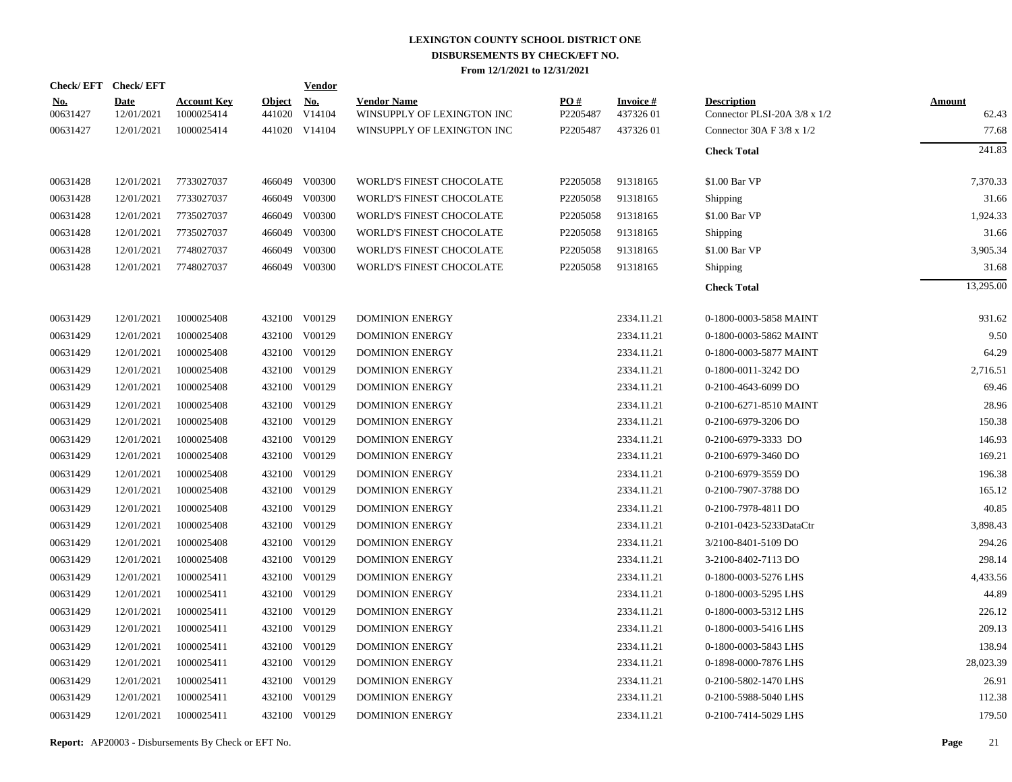| Check/EFT Check/EFT    |                           |                                  |                         | <b>Vendor</b>        |                                                  |                 |                             |                                                    |                        |
|------------------------|---------------------------|----------------------------------|-------------------------|----------------------|--------------------------------------------------|-----------------|-----------------------------|----------------------------------------------------|------------------------|
| <u>No.</u><br>00631427 | <b>Date</b><br>12/01/2021 | <b>Account Key</b><br>1000025414 | <b>Object</b><br>441020 | <u>No.</u><br>V14104 | <b>Vendor Name</b><br>WINSUPPLY OF LEXINGTON INC | PO#<br>P2205487 | <b>Invoice#</b><br>43732601 | <b>Description</b><br>Connector PLSI-20A 3/8 x 1/2 | <b>Amount</b><br>62.43 |
| 00631427               | 12/01/2021                | 1000025414                       |                         | 441020 V14104        | WINSUPPLY OF LEXINGTON INC                       | P2205487        | 43732601                    | Connector 30A F $3/8 \times 1/2$                   | 77.68                  |
|                        |                           |                                  |                         |                      |                                                  |                 |                             | <b>Check Total</b>                                 | 241.83                 |
| 00631428               | 12/01/2021                | 7733027037                       |                         | 466049 V00300        | WORLD'S FINEST CHOCOLATE                         | P2205058        | 91318165                    | \$1.00 Bar VP                                      | 7,370.33               |
| 00631428               | 12/01/2021                | 7733027037                       |                         | 466049 V00300        | WORLD'S FINEST CHOCOLATE                         | P2205058        | 91318165                    | Shipping                                           | 31.66                  |
| 00631428               | 12/01/2021                | 7735027037                       |                         | 466049 V00300        | WORLD'S FINEST CHOCOLATE                         | P2205058        | 91318165                    | \$1.00 Bar VP                                      | 1,924.33               |
| 00631428               | 12/01/2021                | 7735027037                       |                         | 466049 V00300        | WORLD'S FINEST CHOCOLATE                         | P2205058        | 91318165                    | Shipping                                           | 31.66                  |
| 00631428               | 12/01/2021                | 7748027037                       | 466049                  | V00300               | WORLD'S FINEST CHOCOLATE                         | P2205058        | 91318165                    | \$1.00 Bar VP                                      | 3,905.34               |
| 00631428               | 12/01/2021                | 7748027037                       |                         | 466049 V00300        | WORLD'S FINEST CHOCOLATE                         | P2205058        | 91318165                    | Shipping                                           | 31.68                  |
|                        |                           |                                  |                         |                      |                                                  |                 |                             | <b>Check Total</b>                                 | 13,295.00              |
| 00631429               | 12/01/2021                | 1000025408                       |                         | 432100 V00129        | <b>DOMINION ENERGY</b>                           |                 | 2334.11.21                  | 0-1800-0003-5858 MAINT                             | 931.62                 |
| 00631429               | 12/01/2021                | 1000025408                       | 432100                  | V00129               | <b>DOMINION ENERGY</b>                           |                 | 2334.11.21                  | 0-1800-0003-5862 MAINT                             | 9.50                   |
| 00631429               | 12/01/2021                | 1000025408                       |                         | 432100 V00129        | <b>DOMINION ENERGY</b>                           |                 | 2334.11.21                  | 0-1800-0003-5877 MAINT                             | 64.29                  |
| 00631429               | 12/01/2021                | 1000025408                       | 432100                  | V00129               | <b>DOMINION ENERGY</b>                           |                 | 2334.11.21                  | 0-1800-0011-3242 DO                                | 2,716.51               |
| 00631429               | 12/01/2021                | 1000025408                       | 432100                  | V00129               | <b>DOMINION ENERGY</b>                           |                 | 2334.11.21                  | 0-2100-4643-6099 DO                                | 69.46                  |
| 00631429               | 12/01/2021                | 1000025408                       | 432100                  | V00129               | <b>DOMINION ENERGY</b>                           |                 | 2334.11.21                  | 0-2100-6271-8510 MAINT                             | 28.96                  |
| 00631429               | 12/01/2021                | 1000025408                       | 432100                  | V00129               | <b>DOMINION ENERGY</b>                           |                 | 2334.11.21                  | 0-2100-6979-3206 DO                                | 150.38                 |
| 00631429               | 12/01/2021                | 1000025408                       | 432100                  | V00129               | <b>DOMINION ENERGY</b>                           |                 | 2334.11.21                  | 0-2100-6979-3333 DO                                | 146.93                 |
| 00631429               | 12/01/2021                | 1000025408                       | 432100                  | V00129               | <b>DOMINION ENERGY</b>                           |                 | 2334.11.21                  | 0-2100-6979-3460 DO                                | 169.21                 |
| 00631429               | 12/01/2021                | 1000025408                       | 432100                  | V00129               | <b>DOMINION ENERGY</b>                           |                 | 2334.11.21                  | 0-2100-6979-3559 DO                                | 196.38                 |
| 00631429               | 12/01/2021                | 1000025408                       | 432100                  | V00129               | <b>DOMINION ENERGY</b>                           |                 | 2334.11.21                  | 0-2100-7907-3788 DO                                | 165.12                 |
| 00631429               | 12/01/2021                | 1000025408                       | 432100                  | V00129               | <b>DOMINION ENERGY</b>                           |                 | 2334.11.21                  | 0-2100-7978-4811 DO                                | 40.85                  |
| 00631429               | 12/01/2021                | 1000025408                       |                         | 432100 V00129        | <b>DOMINION ENERGY</b>                           |                 | 2334.11.21                  | 0-2101-0423-5233DataCtr                            | 3,898.43               |
| 00631429               | 12/01/2021                | 1000025408                       | 432100                  | V00129               | <b>DOMINION ENERGY</b>                           |                 | 2334.11.21                  | 3/2100-8401-5109 DO                                | 294.26                 |
| 00631429               | 12/01/2021                | 1000025408                       |                         | 432100 V00129        | <b>DOMINION ENERGY</b>                           |                 | 2334.11.21                  | 3-2100-8402-7113 DO                                | 298.14                 |
| 00631429               | 12/01/2021                | 1000025411                       | 432100                  | V00129               | <b>DOMINION ENERGY</b>                           |                 | 2334.11.21                  | 0-1800-0003-5276 LHS                               | 4,433.56               |
| 00631429               | 12/01/2021                | 1000025411                       |                         | 432100 V00129        | <b>DOMINION ENERGY</b>                           |                 | 2334.11.21                  | 0-1800-0003-5295 LHS                               | 44.89                  |
| 00631429               | 12/01/2021                | 1000025411                       | 432100                  | V00129               | <b>DOMINION ENERGY</b>                           |                 | 2334.11.21                  | 0-1800-0003-5312 LHS                               | 226.12                 |
| 00631429               | 12/01/2021                | 1000025411                       |                         | 432100 V00129        | <b>DOMINION ENERGY</b>                           |                 | 2334.11.21                  | 0-1800-0003-5416 LHS                               | 209.13                 |
| 00631429               | 12/01/2021                | 1000025411                       | 432100                  | V00129               | <b>DOMINION ENERGY</b>                           |                 | 2334.11.21                  | 0-1800-0003-5843 LHS                               | 138.94                 |
| 00631429               | 12/01/2021                | 1000025411                       |                         | 432100 V00129        | <b>DOMINION ENERGY</b>                           |                 | 2334.11.21                  | 0-1898-0000-7876 LHS                               | 28,023.39              |
| 00631429               | 12/01/2021                | 1000025411                       | 432100                  | V00129               | <b>DOMINION ENERGY</b>                           |                 | 2334.11.21                  | 0-2100-5802-1470 LHS                               | 26.91                  |
| 00631429               | 12/01/2021                | 1000025411                       | 432100                  | V00129               | <b>DOMINION ENERGY</b>                           |                 | 2334.11.21                  | 0-2100-5988-5040 LHS                               | 112.38                 |
| 00631429               | 12/01/2021                | 1000025411                       |                         | 432100 V00129        | <b>DOMINION ENERGY</b>                           |                 | 2334.11.21                  | 0-2100-7414-5029 LHS                               | 179.50                 |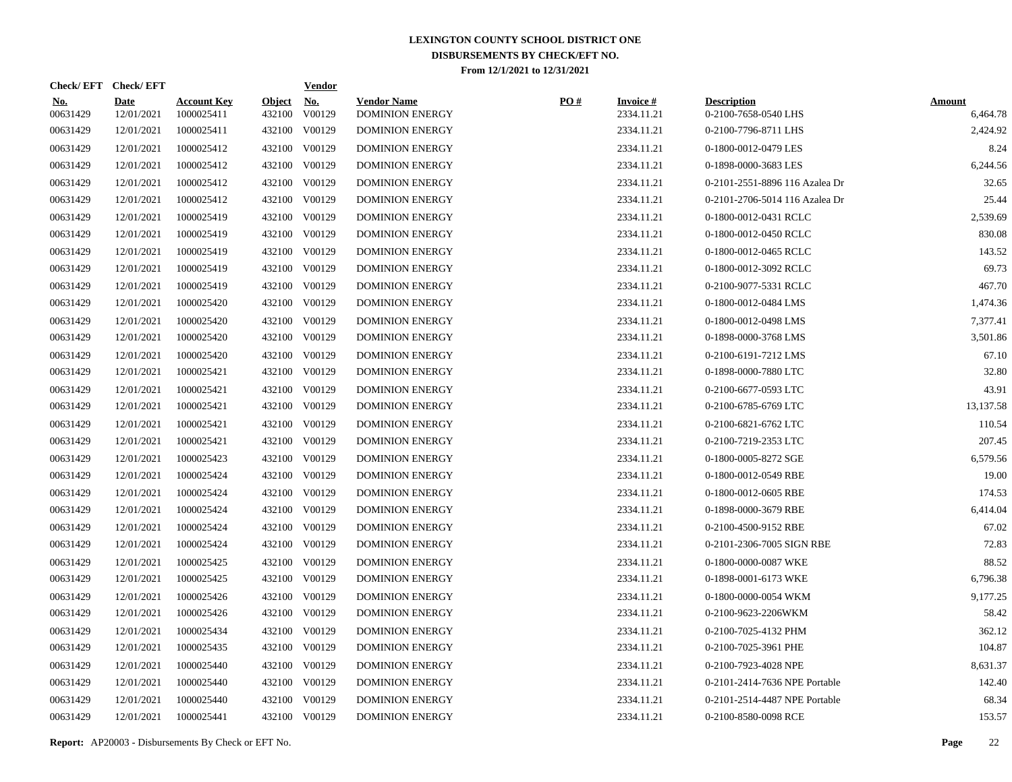| Check/EFT Check/EFT    |                           |                                  |                         | <b>Vendor</b>        |                                              |     |                               |                                            |                           |
|------------------------|---------------------------|----------------------------------|-------------------------|----------------------|----------------------------------------------|-----|-------------------------------|--------------------------------------------|---------------------------|
| <u>No.</u><br>00631429 | <b>Date</b><br>12/01/2021 | <b>Account Key</b><br>1000025411 | <b>Object</b><br>432100 | <u>No.</u><br>V00129 | <b>Vendor Name</b><br><b>DOMINION ENERGY</b> | PO# | <b>Invoice#</b><br>2334.11.21 | <b>Description</b><br>0-2100-7658-0540 LHS | <b>Amount</b><br>6,464.78 |
| 00631429               | 12/01/2021                | 1000025411                       |                         | 432100 V00129        | <b>DOMINION ENERGY</b>                       |     | 2334.11.21                    | 0-2100-7796-8711 LHS                       | 2,424.92                  |
| 00631429               | 12/01/2021                | 1000025412                       |                         | 432100 V00129        | <b>DOMINION ENERGY</b>                       |     | 2334.11.21                    | 0-1800-0012-0479 LES                       | 8.24                      |
| 00631429               | 12/01/2021                | 1000025412                       |                         | 432100 V00129        | <b>DOMINION ENERGY</b>                       |     | 2334.11.21                    | 0-1898-0000-3683 LES                       | 6,244.56                  |
| 00631429               | 12/01/2021                | 1000025412                       |                         | 432100 V00129        | <b>DOMINION ENERGY</b>                       |     | 2334.11.21                    | 0-2101-2551-8896 116 Azalea Dr             | 32.65                     |
| 00631429               | 12/01/2021                | 1000025412                       |                         | 432100 V00129        | <b>DOMINION ENERGY</b>                       |     | 2334.11.21                    | 0-2101-2706-5014 116 Azalea Dr             | 25.44                     |
| 00631429               | 12/01/2021                | 1000025419                       |                         | 432100 V00129        | <b>DOMINION ENERGY</b>                       |     | 2334.11.21                    | 0-1800-0012-0431 RCLC                      | 2,539.69                  |
| 00631429               | 12/01/2021                | 1000025419                       |                         | 432100 V00129        | <b>DOMINION ENERGY</b>                       |     | 2334.11.21                    | 0-1800-0012-0450 RCLC                      | 830.08                    |
| 00631429               | 12/01/2021                | 1000025419                       |                         | 432100 V00129        | <b>DOMINION ENERGY</b>                       |     | 2334.11.21                    | 0-1800-0012-0465 RCLC                      | 143.52                    |
| 00631429               | 12/01/2021                | 1000025419                       |                         | 432100 V00129        | <b>DOMINION ENERGY</b>                       |     | 2334.11.21                    | 0-1800-0012-3092 RCLC                      | 69.73                     |
| 00631429               | 12/01/2021                | 1000025419                       |                         | 432100 V00129        | <b>DOMINION ENERGY</b>                       |     | 2334.11.21                    | 0-2100-9077-5331 RCLC                      | 467.70                    |
| 00631429               | 12/01/2021                | 1000025420                       |                         | 432100 V00129        | <b>DOMINION ENERGY</b>                       |     | 2334.11.21                    | 0-1800-0012-0484 LMS                       | 1,474.36                  |
| 00631429               | 12/01/2021                | 1000025420                       | 432100                  | V00129               | <b>DOMINION ENERGY</b>                       |     | 2334.11.21                    | 0-1800-0012-0498 LMS                       | 7,377.41                  |
| 00631429               | 12/01/2021                | 1000025420                       |                         | 432100 V00129        | <b>DOMINION ENERGY</b>                       |     | 2334.11.21                    | 0-1898-0000-3768 LMS                       | 3,501.86                  |
| 00631429               | 12/01/2021                | 1000025420                       | 432100                  | V00129               | <b>DOMINION ENERGY</b>                       |     | 2334.11.21                    | 0-2100-6191-7212 LMS                       | 67.10                     |
| 00631429               | 12/01/2021                | 1000025421                       |                         | 432100 V00129        | <b>DOMINION ENERGY</b>                       |     | 2334.11.21                    | 0-1898-0000-7880 LTC                       | 32.80                     |
| 00631429               | 12/01/2021                | 1000025421                       | 432100                  | V00129               | <b>DOMINION ENERGY</b>                       |     | 2334.11.21                    | 0-2100-6677-0593 LTC                       | 43.91                     |
| 00631429               | 12/01/2021                | 1000025421                       |                         | 432100 V00129        | <b>DOMINION ENERGY</b>                       |     | 2334.11.21                    | 0-2100-6785-6769 LTC                       | 13,137.58                 |
| 00631429               | 12/01/2021                | 1000025421                       | 432100                  | V00129               | <b>DOMINION ENERGY</b>                       |     | 2334.11.21                    | 0-2100-6821-6762 LTC                       | 110.54                    |
| 00631429               | 12/01/2021                | 1000025421                       |                         | 432100 V00129        | <b>DOMINION ENERGY</b>                       |     | 2334.11.21                    | 0-2100-7219-2353 LTC                       | 207.45                    |
| 00631429               | 12/01/2021                | 1000025423                       | 432100                  | V00129               | <b>DOMINION ENERGY</b>                       |     | 2334.11.21                    | 0-1800-0005-8272 SGE                       | 6,579.56                  |
| 00631429               | 12/01/2021                | 1000025424                       | 432100                  | V00129               | <b>DOMINION ENERGY</b>                       |     | 2334.11.21                    | 0-1800-0012-0549 RBE                       | 19.00                     |
| 00631429               | 12/01/2021                | 1000025424                       | 432100                  | V00129               | <b>DOMINION ENERGY</b>                       |     | 2334.11.21                    | 0-1800-0012-0605 RBE                       | 174.53                    |
| 00631429               | 12/01/2021                | 1000025424                       | 432100                  | V00129               | <b>DOMINION ENERGY</b>                       |     | 2334.11.21                    | 0-1898-0000-3679 RBE                       | 6,414.04                  |
| 00631429               | 12/01/2021                | 1000025424                       | 432100                  | V00129               | <b>DOMINION ENERGY</b>                       |     | 2334.11.21                    | 0-2100-4500-9152 RBE                       | 67.02                     |
| 00631429               | 12/01/2021                | 1000025424                       | 432100                  | V00129               | <b>DOMINION ENERGY</b>                       |     | 2334.11.21                    | 0-2101-2306-7005 SIGN RBE                  | 72.83                     |
| 00631429               | 12/01/2021                | 1000025425                       | 432100                  | V00129               | <b>DOMINION ENERGY</b>                       |     | 2334.11.21                    | 0-1800-0000-0087 WKE                       | 88.52                     |
| 00631429               | 12/01/2021                | 1000025425                       | 432100                  | V00129               | <b>DOMINION ENERGY</b>                       |     | 2334.11.21                    | 0-1898-0001-6173 WKE                       | 6,796.38                  |
| 00631429               | 12/01/2021                | 1000025426                       | 432100                  | V00129               | <b>DOMINION ENERGY</b>                       |     | 2334.11.21                    | 0-1800-0000-0054 WKM                       | 9,177.25                  |
| 00631429               | 12/01/2021                | 1000025426                       | 432100                  | V00129               | <b>DOMINION ENERGY</b>                       |     | 2334.11.21                    | 0-2100-9623-2206WKM                        | 58.42                     |
| 00631429               | 12/01/2021                | 1000025434                       | 432100                  | V00129               | <b>DOMINION ENERGY</b>                       |     | 2334.11.21                    | 0-2100-7025-4132 PHM                       | 362.12                    |
| 00631429               | 12/01/2021                | 1000025435                       | 432100                  | V00129               | <b>DOMINION ENERGY</b>                       |     | 2334.11.21                    | 0-2100-7025-3961 PHE                       | 104.87                    |
| 00631429               | 12/01/2021                | 1000025440                       | 432100                  | V00129               | <b>DOMINION ENERGY</b>                       |     | 2334.11.21                    | 0-2100-7923-4028 NPE                       | 8,631.37                  |
| 00631429               | 12/01/2021                | 1000025440                       |                         | 432100 V00129        | <b>DOMINION ENERGY</b>                       |     | 2334.11.21                    | 0-2101-2414-7636 NPE Portable              | 142.40                    |
| 00631429               | 12/01/2021                | 1000025440                       | 432100                  | V00129               | <b>DOMINION ENERGY</b>                       |     | 2334.11.21                    | 0-2101-2514-4487 NPE Portable              | 68.34                     |
| 00631429               | 12/01/2021                | 1000025441                       |                         | 432100 V00129        | <b>DOMINION ENERGY</b>                       |     | 2334.11.21                    | 0-2100-8580-0098 RCE                       | 153.57                    |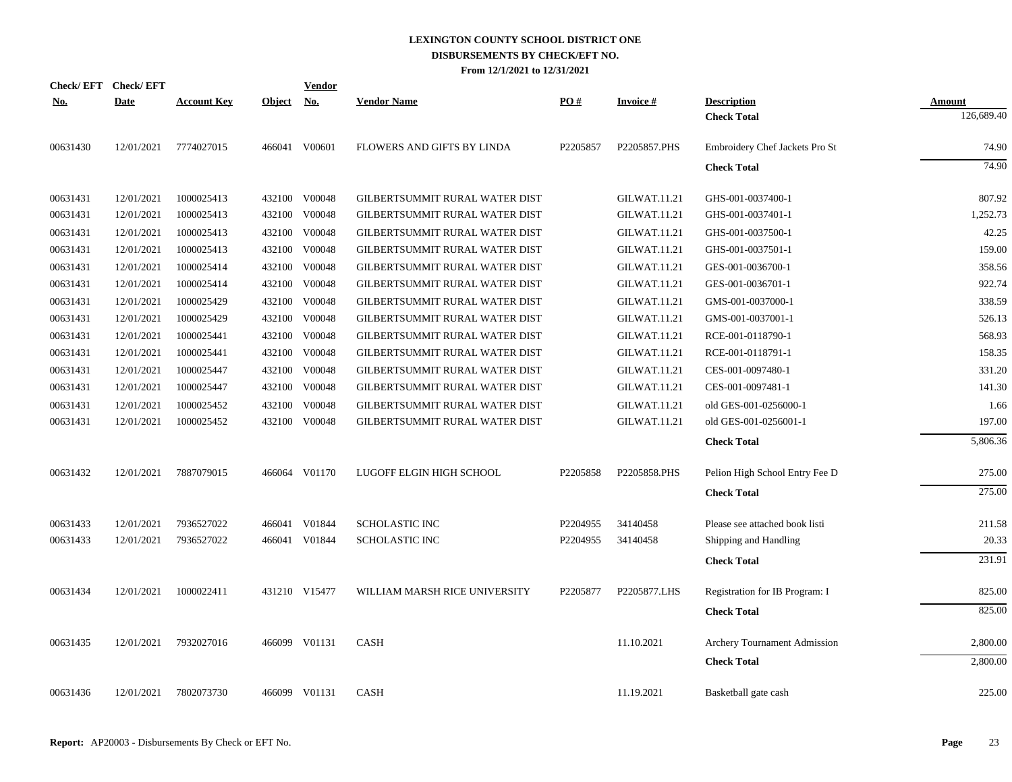| <b>Check/EFT</b> | <b>Check/EFT</b> |                    |               | <b>Vendor</b> |                                |          |                     |                                |            |
|------------------|------------------|--------------------|---------------|---------------|--------------------------------|----------|---------------------|--------------------------------|------------|
| <u>No.</u>       | <b>Date</b>      | <b>Account Key</b> | <b>Object</b> | <u>No.</u>    | <b>Vendor Name</b>             | PO#      | <b>Invoice#</b>     | <b>Description</b>             | Amount     |
|                  |                  |                    |               |               |                                |          |                     | <b>Check Total</b>             | 126,689.40 |
| 00631430         | 12/01/2021       | 7774027015         |               | 466041 V00601 | FLOWERS AND GIFTS BY LINDA     | P2205857 | P2205857.PHS        | Embroidery Chef Jackets Pro St | 74.90      |
|                  |                  |                    |               |               |                                |          |                     | <b>Check Total</b>             | 74.90      |
| 00631431         | 12/01/2021       | 1000025413         |               | 432100 V00048 | GILBERTSUMMIT RURAL WATER DIST |          | <b>GILWAT.11.21</b> | GHS-001-0037400-1              | 807.92     |
| 00631431         | 12/01/2021       | 1000025413         | 432100        | V00048        | GILBERTSUMMIT RURAL WATER DIST |          | <b>GILWAT.11.21</b> | GHS-001-0037401-1              | 1,252.73   |
| 00631431         | 12/01/2021       | 1000025413         | 432100        | V00048        | GILBERTSUMMIT RURAL WATER DIST |          | <b>GILWAT.11.21</b> | GHS-001-0037500-1              | 42.25      |
| 00631431         | 12/01/2021       | 1000025413         |               | 432100 V00048 | GILBERTSUMMIT RURAL WATER DIST |          | <b>GILWAT.11.21</b> | GHS-001-0037501-1              | 159.00     |
| 00631431         | 12/01/2021       | 1000025414         |               | 432100 V00048 | GILBERTSUMMIT RURAL WATER DIST |          | <b>GILWAT.11.21</b> | GES-001-0036700-1              | 358.56     |
| 00631431         | 12/01/2021       | 1000025414         |               | 432100 V00048 | GILBERTSUMMIT RURAL WATER DIST |          | <b>GILWAT.11.21</b> | GES-001-0036701-1              | 922.74     |
| 00631431         | 12/01/2021       | 1000025429         | 432100        | V00048        | GILBERTSUMMIT RURAL WATER DIST |          | <b>GILWAT.11.21</b> | GMS-001-0037000-1              | 338.59     |
| 00631431         | 12/01/2021       | 1000025429         | 432100        | V00048        | GILBERTSUMMIT RURAL WATER DIST |          | <b>GILWAT.11.21</b> | GMS-001-0037001-1              | 526.13     |
| 00631431         | 12/01/2021       | 1000025441         | 432100        | V00048        | GILBERTSUMMIT RURAL WATER DIST |          | <b>GILWAT.11.21</b> | RCE-001-0118790-1              | 568.93     |
| 00631431         | 12/01/2021       | 1000025441         | 432100        | V00048        | GILBERTSUMMIT RURAL WATER DIST |          | <b>GILWAT.11.21</b> | RCE-001-0118791-1              | 158.35     |
| 00631431         | 12/01/2021       | 1000025447         | 432100        | V00048        | GILBERTSUMMIT RURAL WATER DIST |          | <b>GILWAT.11.21</b> | CES-001-0097480-1              | 331.20     |
| 00631431         | 12/01/2021       | 1000025447         | 432100        | V00048        | GILBERTSUMMIT RURAL WATER DIST |          | <b>GILWAT.11.21</b> | CES-001-0097481-1              | 141.30     |
| 00631431         | 12/01/2021       | 1000025452         | 432100        | V00048        | GILBERTSUMMIT RURAL WATER DIST |          | <b>GILWAT.11.21</b> | old GES-001-0256000-1          | 1.66       |
| 00631431         | 12/01/2021       | 1000025452         |               | 432100 V00048 | GILBERTSUMMIT RURAL WATER DIST |          | <b>GILWAT.11.21</b> | old GES-001-0256001-1          | 197.00     |
|                  |                  |                    |               |               |                                |          |                     | <b>Check Total</b>             | 5,806.36   |
|                  |                  |                    |               |               |                                |          |                     |                                |            |
| 00631432         | 12/01/2021       | 7887079015         |               | 466064 V01170 | LUGOFF ELGIN HIGH SCHOOL       | P2205858 | P2205858.PHS        | Pelion High School Entry Fee D | 275.00     |
|                  |                  |                    |               |               |                                |          |                     | <b>Check Total</b>             | 275.00     |
| 00631433         | 12/01/2021       | 7936527022         |               | 466041 V01844 | <b>SCHOLASTIC INC</b>          | P2204955 | 34140458            | Please see attached book listi | 211.58     |
| 00631433         | 12/01/2021       | 7936527022         |               | 466041 V01844 | <b>SCHOLASTIC INC</b>          | P2204955 | 34140458            | Shipping and Handling          | 20.33      |
|                  |                  |                    |               |               |                                |          |                     | <b>Check Total</b>             | 231.91     |
| 00631434         | 12/01/2021       | 1000022411         |               | 431210 V15477 | WILLIAM MARSH RICE UNIVERSITY  | P2205877 | P2205877.LHS        | Registration for IB Program: I | 825.00     |
|                  |                  |                    |               |               |                                |          |                     | <b>Check Total</b>             | 825.00     |
|                  |                  |                    |               |               |                                |          |                     |                                |            |
| 00631435         | 12/01/2021       | 7932027016         |               | 466099 V01131 | <b>CASH</b>                    |          | 11.10.2021          | Archery Tournament Admission   | 2,800.00   |
|                  |                  |                    |               |               |                                |          |                     | <b>Check Total</b>             | 2,800.00   |
| 00631436         | 12/01/2021       | 7802073730         |               | 466099 V01131 | <b>CASH</b>                    |          | 11.19.2021          | Basketball gate cash           | 225.00     |
|                  |                  |                    |               |               |                                |          |                     |                                |            |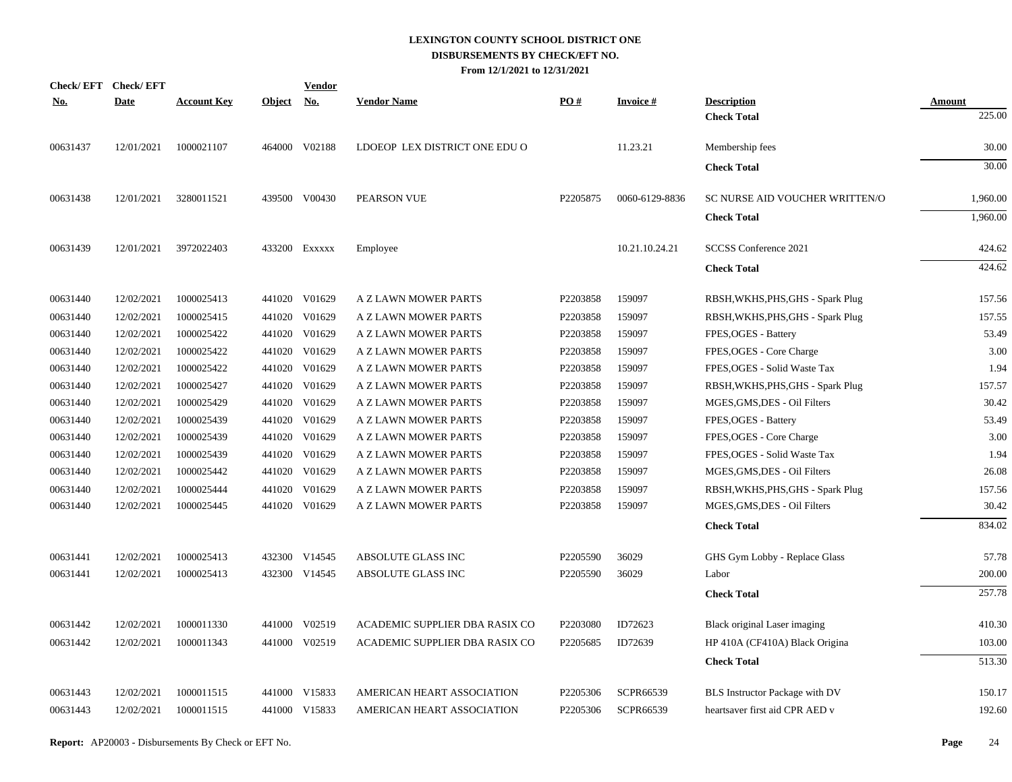| Check/EFT Check/EFT |             |                    |               | <u>Vendor</u> |                                |          |                  |                                   |               |
|---------------------|-------------|--------------------|---------------|---------------|--------------------------------|----------|------------------|-----------------------------------|---------------|
| <u>No.</u>          | <b>Date</b> | <b>Account Key</b> | <b>Object</b> | <u>No.</u>    | <b>Vendor Name</b>             | PO#      | <b>Invoice#</b>  | <b>Description</b>                | <b>Amount</b> |
|                     |             |                    |               |               |                                |          |                  | <b>Check Total</b>                | 225.00        |
| 00631437            | 12/01/2021  | 1000021107         |               | 464000 V02188 | LDOEOP LEX DISTRICT ONE EDU O  |          | 11.23.21         | Membership fees                   | 30.00         |
|                     |             |                    |               |               |                                |          |                  | <b>Check Total</b>                | 30.00         |
| 00631438            | 12/01/2021  | 3280011521         |               | 439500 V00430 | PEARSON VUE                    | P2205875 | 0060-6129-8836   | SC NURSE AID VOUCHER WRITTEN/O    | 1,960.00      |
|                     |             |                    |               |               |                                |          |                  | <b>Check Total</b>                | 1,960.00      |
| 00631439            | 12/01/2021  | 3972022403         |               | 433200 Exxxxx | Employee                       |          | 10.21.10.24.21   | SCCSS Conference 2021             | 424.62        |
|                     |             |                    |               |               |                                |          |                  | <b>Check Total</b>                | 424.62        |
| 00631440            | 12/02/2021  | 1000025413         |               | 441020 V01629 | A Z LAWN MOWER PARTS           | P2203858 | 159097           | RBSH, WKHS, PHS, GHS - Spark Plug | 157.56        |
| 00631440            | 12/02/2021  | 1000025415         |               | 441020 V01629 | A Z LAWN MOWER PARTS           | P2203858 | 159097           | RBSH, WKHS, PHS, GHS - Spark Plug | 157.55        |
| 00631440            | 12/02/2021  | 1000025422         |               | 441020 V01629 | A Z LAWN MOWER PARTS           | P2203858 | 159097           | FPES, OGES - Battery              | 53.49         |
| 00631440            | 12/02/2021  | 1000025422         |               | 441020 V01629 | A Z LAWN MOWER PARTS           | P2203858 | 159097           | FPES, OGES - Core Charge          | 3.00          |
| 00631440            | 12/02/2021  | 1000025422         |               | 441020 V01629 | A Z LAWN MOWER PARTS           | P2203858 | 159097           | FPES, OGES - Solid Waste Tax      | 1.94          |
| 00631440            | 12/02/2021  | 1000025427         |               | 441020 V01629 | A Z LAWN MOWER PARTS           | P2203858 | 159097           | RBSH, WKHS, PHS, GHS - Spark Plug | 157.57        |
| 00631440            | 12/02/2021  | 1000025429         |               | 441020 V01629 | A Z LAWN MOWER PARTS           | P2203858 | 159097           | MGES, GMS, DES - Oil Filters      | 30.42         |
| 00631440            | 12/02/2021  | 1000025439         |               | 441020 V01629 | A Z LAWN MOWER PARTS           | P2203858 | 159097           | FPES, OGES - Battery              | 53.49         |
| 00631440            | 12/02/2021  | 1000025439         |               | 441020 V01629 | A Z LAWN MOWER PARTS           | P2203858 | 159097           | FPES, OGES - Core Charge          | 3.00          |
| 00631440            | 12/02/2021  | 1000025439         |               | 441020 V01629 | A Z LAWN MOWER PARTS           | P2203858 | 159097           | FPES, OGES - Solid Waste Tax      | 1.94          |
| 00631440            | 12/02/2021  | 1000025442         |               | 441020 V01629 | A Z LAWN MOWER PARTS           | P2203858 | 159097           | MGES, GMS, DES - Oil Filters      | 26.08         |
| 00631440            | 12/02/2021  | 1000025444         |               | 441020 V01629 | <b>A Z LAWN MOWER PARTS</b>    | P2203858 | 159097           | RBSH, WKHS, PHS, GHS - Spark Plug | 157.56        |
| 00631440            | 12/02/2021  | 1000025445         |               | 441020 V01629 | A Z LAWN MOWER PARTS           | P2203858 | 159097           | MGES, GMS, DES - Oil Filters      | 30.42         |
|                     |             |                    |               |               |                                |          |                  | <b>Check Total</b>                | 834.02        |
| 00631441            | 12/02/2021  | 1000025413         |               | 432300 V14545 | ABSOLUTE GLASS INC             | P2205590 | 36029            | GHS Gym Lobby - Replace Glass     | 57.78         |
| 00631441            | 12/02/2021  | 1000025413         |               | 432300 V14545 | ABSOLUTE GLASS INC             | P2205590 | 36029            | Labor                             | 200.00        |
|                     |             |                    |               |               |                                |          |                  | <b>Check Total</b>                | 257.78        |
| 00631442            | 12/02/2021  | 1000011330         |               | 441000 V02519 | ACADEMIC SUPPLIER DBA RASIX CO | P2203080 | ID72623          | Black original Laser imaging      | 410.30        |
| 00631442            | 12/02/2021  | 1000011343         |               | 441000 V02519 | ACADEMIC SUPPLIER DBA RASIX CO | P2205685 | ID72639          | HP 410A (CF410A) Black Origina    | 103.00        |
|                     |             |                    |               |               |                                |          |                  | <b>Check Total</b>                | 513.30        |
| 00631443            | 12/02/2021  | 1000011515         |               | 441000 V15833 | AMERICAN HEART ASSOCIATION     | P2205306 | <b>SCPR66539</b> | BLS Instructor Package with DV    | 150.17        |
| 00631443            | 12/02/2021  | 1000011515         |               | 441000 V15833 | AMERICAN HEART ASSOCIATION     | P2205306 | SCPR66539        | heartsaver first aid CPR AED v    | 192.60        |
|                     |             |                    |               |               |                                |          |                  |                                   |               |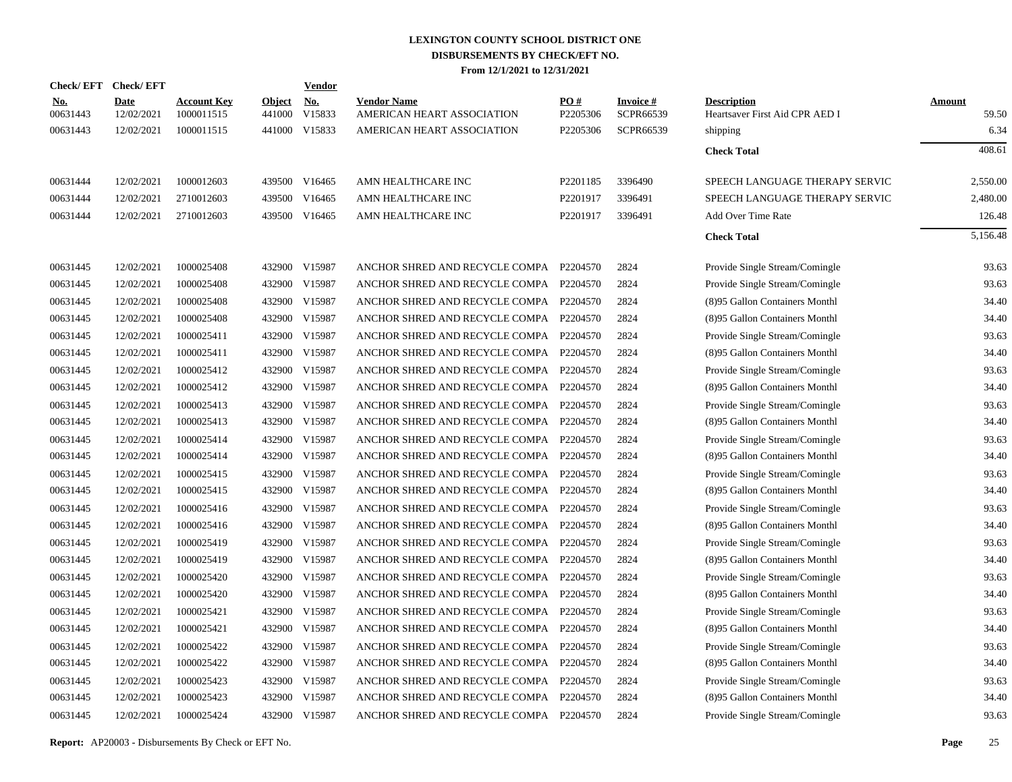|                        | Check/EFT Check/EFT       |                                  |                         | <b>Vendor</b>        |                                                  |                 |                              |                                                      |                        |
|------------------------|---------------------------|----------------------------------|-------------------------|----------------------|--------------------------------------------------|-----------------|------------------------------|------------------------------------------------------|------------------------|
| <u>No.</u><br>00631443 | <b>Date</b><br>12/02/2021 | <b>Account Key</b><br>1000011515 | <b>Object</b><br>441000 | <u>No.</u><br>V15833 | <b>Vendor Name</b><br>AMERICAN HEART ASSOCIATION | PO#<br>P2205306 | <b>Invoice#</b><br>SCPR66539 | <b>Description</b><br>Heartsaver First Aid CPR AED I | <b>Amount</b><br>59.50 |
| 00631443               | 12/02/2021                | 1000011515                       | 441000                  | V15833               | AMERICAN HEART ASSOCIATION                       | P2205306        | SCPR66539                    | shipping                                             | 6.34                   |
|                        |                           |                                  |                         |                      |                                                  |                 |                              | <b>Check Total</b>                                   | 408.61                 |
| 00631444               | 12/02/2021                | 1000012603                       |                         | 439500 V16465        | AMN HEALTHCARE INC                               | P2201185        | 3396490                      | SPEECH LANGUAGE THERAPY SERVIC                       | 2,550.00               |
| 00631444               | 12/02/2021                | 2710012603                       | 439500                  | V16465               | AMN HEALTHCARE INC                               | P2201917        | 3396491                      | SPEECH LANGUAGE THERAPY SERVIC                       | 2,480.00               |
| 00631444               | 12/02/2021                | 2710012603                       | 439500                  | V16465               | AMN HEALTHCARE INC                               | P2201917        | 3396491                      | Add Over Time Rate                                   | 126.48                 |
|                        |                           |                                  |                         |                      |                                                  |                 |                              | <b>Check Total</b>                                   | 5.156.48               |
| 00631445               | 12/02/2021                | 1000025408                       |                         | 432900 V15987        | ANCHOR SHRED AND RECYCLE COMPA P2204570          |                 | 2824                         | Provide Single Stream/Comingle                       | 93.63                  |
| 00631445               | 12/02/2021                | 1000025408                       | 432900                  | V15987               | ANCHOR SHRED AND RECYCLE COMPA P2204570          |                 | 2824                         | Provide Single Stream/Comingle                       | 93.63                  |
| 00631445               | 12/02/2021                | 1000025408                       | 432900                  | V15987               | ANCHOR SHRED AND RECYCLE COMPA P2204570          |                 | 2824                         | (8)95 Gallon Containers Monthl                       | 34.40                  |
| 00631445               | 12/02/2021                | 1000025408                       | 432900                  | V15987               | ANCHOR SHRED AND RECYCLE COMPA P2204570          |                 | 2824                         | (8)95 Gallon Containers Monthl                       | 34.40                  |
| 00631445               | 12/02/2021                | 1000025411                       | 432900                  | V15987               | ANCHOR SHRED AND RECYCLE COMPA                   | P2204570        | 2824                         | Provide Single Stream/Comingle                       | 93.63                  |
| 00631445               | 12/02/2021                | 1000025411                       | 432900                  | V15987               | ANCHOR SHRED AND RECYCLE COMPA P2204570          |                 | 2824                         | (8)95 Gallon Containers Monthl                       | 34.40                  |
| 00631445               | 12/02/2021                | 1000025412                       | 432900                  | V15987               | ANCHOR SHRED AND RECYCLE COMPA                   | P2204570        | 2824                         | Provide Single Stream/Comingle                       | 93.63                  |
| 00631445               | 12/02/2021                | 1000025412                       | 432900                  | V15987               | ANCHOR SHRED AND RECYCLE COMPA P2204570          |                 | 2824                         | (8)95 Gallon Containers Monthl                       | 34.40                  |
| 00631445               | 12/02/2021                | 1000025413                       | 432900                  | V15987               | ANCHOR SHRED AND RECYCLE COMPA                   | P2204570        | 2824                         | Provide Single Stream/Comingle                       | 93.63                  |
| 00631445               | 12/02/2021                | 1000025413                       | 432900                  | V15987               | ANCHOR SHRED AND RECYCLE COMPA P2204570          |                 | 2824                         | (8)95 Gallon Containers Monthl                       | 34.40                  |
| 00631445               | 12/02/2021                | 1000025414                       | 432900                  | V15987               | ANCHOR SHRED AND RECYCLE COMPA                   | P2204570        | 2824                         | Provide Single Stream/Comingle                       | 93.63                  |
| 00631445               | 12/02/2021                | 1000025414                       | 432900                  | V15987               | ANCHOR SHRED AND RECYCLE COMPA P2204570          |                 | 2824                         | (8)95 Gallon Containers Monthl                       | 34.40                  |
| 00631445               | 12/02/2021                | 1000025415                       | 432900                  | V15987               | ANCHOR SHRED AND RECYCLE COMPA                   | P2204570        | 2824                         | Provide Single Stream/Comingle                       | 93.63                  |
| 00631445               | 12/02/2021                | 1000025415                       | 432900                  | V15987               | ANCHOR SHRED AND RECYCLE COMPA P2204570          |                 | 2824                         | (8)95 Gallon Containers Monthl                       | 34.40                  |
| 00631445               | 12/02/2021                | 1000025416                       | 432900                  | V15987               | ANCHOR SHRED AND RECYCLE COMPA P2204570          |                 | 2824                         | Provide Single Stream/Comingle                       | 93.63                  |
| 00631445               | 12/02/2021                | 1000025416                       | 432900                  | V15987               | ANCHOR SHRED AND RECYCLE COMPA P2204570          |                 | 2824                         | (8)95 Gallon Containers Monthl                       | 34.40                  |
| 00631445               | 12/02/2021                | 1000025419                       | 432900                  | V15987               | ANCHOR SHRED AND RECYCLE COMPA P2204570          |                 | 2824                         | Provide Single Stream/Comingle                       | 93.63                  |
| 00631445               | 12/02/2021                | 1000025419                       | 432900                  | V15987               | ANCHOR SHRED AND RECYCLE COMPA P2204570          |                 | 2824                         | (8)95 Gallon Containers Monthl                       | 34.40                  |
| 00631445               | 12/02/2021                | 1000025420                       | 432900                  | V15987               | ANCHOR SHRED AND RECYCLE COMPA P2204570          |                 | 2824                         | Provide Single Stream/Comingle                       | 93.63                  |
| 00631445               | 12/02/2021                | 1000025420                       | 432900                  | V15987               | ANCHOR SHRED AND RECYCLE COMPA P2204570          |                 | 2824                         | (8)95 Gallon Containers Monthl                       | 34.40                  |
| 00631445               | 12/02/2021                | 1000025421                       | 432900                  | V15987               | ANCHOR SHRED AND RECYCLE COMPA                   | P2204570        | 2824                         | Provide Single Stream/Comingle                       | 93.63                  |
| 00631445               | 12/02/2021                | 1000025421                       | 432900                  | V15987               | ANCHOR SHRED AND RECYCLE COMPA P2204570          |                 | 2824                         | (8)95 Gallon Containers Monthl                       | 34.40                  |
| 00631445               | 12/02/2021                | 1000025422                       | 432900                  | V15987               | ANCHOR SHRED AND RECYCLE COMPA                   | P2204570        | 2824                         | Provide Single Stream/Comingle                       | 93.63                  |
| 00631445               | 12/02/2021                | 1000025422                       | 432900                  | V15987               | ANCHOR SHRED AND RECYCLE COMPA P2204570          |                 | 2824                         | (8)95 Gallon Containers Monthl                       | 34.40                  |
| 00631445               | 12/02/2021                | 1000025423                       | 432900                  | V15987               | ANCHOR SHRED AND RECYCLE COMPA                   | P2204570        | 2824                         | Provide Single Stream/Comingle                       | 93.63                  |
| 00631445               | 12/02/2021                | 1000025423                       | 432900                  | V15987               | ANCHOR SHRED AND RECYCLE COMPA P2204570          |                 | 2824                         | (8)95 Gallon Containers Monthl                       | 34.40                  |
| 00631445               | 12/02/2021                | 1000025424                       |                         | 432900 V15987        | ANCHOR SHRED AND RECYCLE COMPA P2204570          |                 | 2824                         | Provide Single Stream/Comingle                       | 93.63                  |
|                        |                           |                                  |                         |                      |                                                  |                 |                              |                                                      |                        |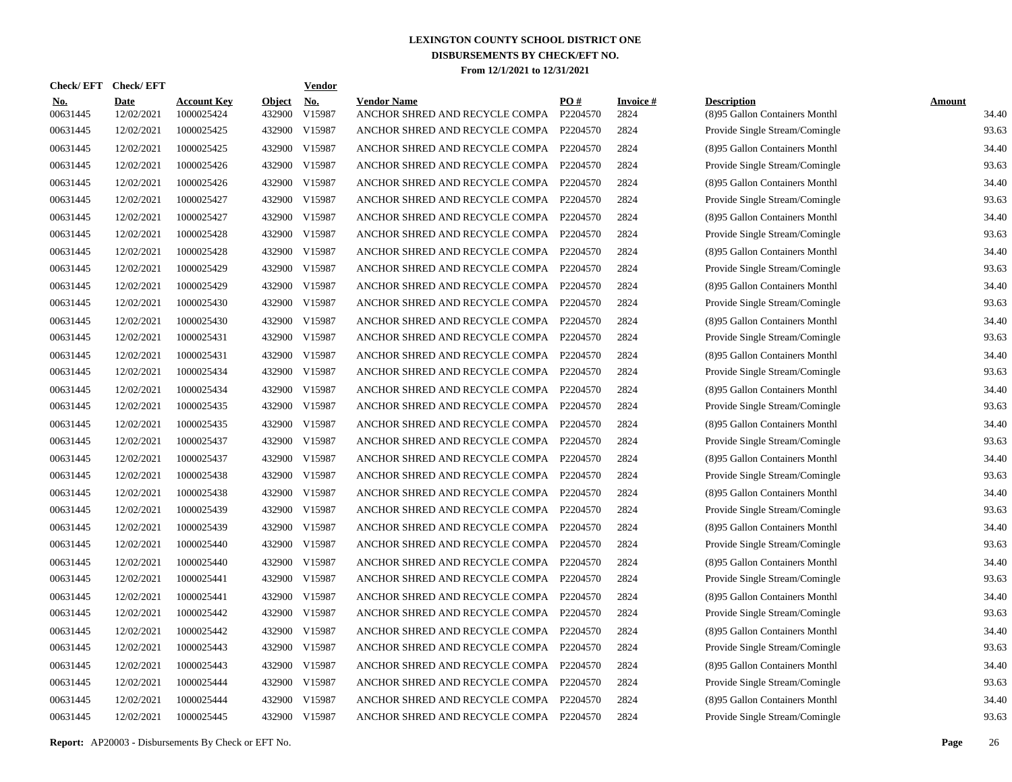| <b>Check/EFT</b>       | <b>Check/EFT</b>   |                                  |                         | <b>Vendor</b> |                                                      |                 |                         |                                                      |                        |
|------------------------|--------------------|----------------------------------|-------------------------|---------------|------------------------------------------------------|-----------------|-------------------------|------------------------------------------------------|------------------------|
| <u>No.</u><br>00631445 | Date<br>12/02/2021 | <b>Account Key</b><br>1000025424 | <b>Object</b><br>432900 | No.<br>V15987 | <b>Vendor Name</b><br>ANCHOR SHRED AND RECYCLE COMPA | PO#<br>P2204570 | <b>Invoice#</b><br>2824 | <b>Description</b><br>(8)95 Gallon Containers Monthl | <b>Amount</b><br>34.40 |
| 00631445               | 12/02/2021         | 1000025425                       | 432900                  | V15987        | ANCHOR SHRED AND RECYCLE COMPA                       | P2204570        | 2824                    | Provide Single Stream/Comingle                       | 93.63                  |
| 00631445               | 12/02/2021         | 1000025425                       | 432900                  | V15987        | ANCHOR SHRED AND RECYCLE COMPA                       | P2204570        | 2824                    | (8)95 Gallon Containers Monthl                       | 34.40                  |
| 00631445               | 12/02/2021         | 1000025426                       | 432900                  | V15987        | ANCHOR SHRED AND RECYCLE COMPA                       | P2204570        | 2824                    | Provide Single Stream/Comingle                       | 93.63                  |
| 00631445               | 12/02/2021         | 1000025426                       | 432900                  | V15987        | ANCHOR SHRED AND RECYCLE COMPA                       | P2204570        | 2824                    | (8)95 Gallon Containers Monthl                       | 34.40                  |
| 00631445               | 12/02/2021         | 1000025427                       | 432900                  | V15987        | ANCHOR SHRED AND RECYCLE COMPA                       | P2204570        | 2824                    | Provide Single Stream/Comingle                       | 93.63                  |
| 00631445               | 12/02/2021         | 1000025427                       | 432900                  | V15987        | ANCHOR SHRED AND RECYCLE COMPA                       | P2204570        | 2824                    | (8)95 Gallon Containers Monthl                       | 34.40                  |
| 00631445               | 12/02/2021         | 1000025428                       | 432900                  | V15987        | ANCHOR SHRED AND RECYCLE COMPA                       | P2204570        | 2824                    | Provide Single Stream/Comingle                       | 93.63                  |
| 00631445               | 12/02/2021         | 1000025428                       | 432900 V15987           |               | ANCHOR SHRED AND RECYCLE COMPA                       | P2204570        | 2824                    | (8)95 Gallon Containers Monthl                       | 34.40                  |
| 00631445               | 12/02/2021         | 1000025429                       | 432900                  | V15987        | ANCHOR SHRED AND RECYCLE COMPA                       | P2204570        | 2824                    | Provide Single Stream/Comingle                       | 93.63                  |
| 00631445               | 12/02/2021         | 1000025429                       | 432900                  | V15987        | ANCHOR SHRED AND RECYCLE COMPA                       | P2204570        | 2824                    | (8)95 Gallon Containers Monthl                       | 34.40                  |
| 00631445               | 12/02/2021         | 1000025430                       | 432900                  | V15987        | ANCHOR SHRED AND RECYCLE COMPA                       | P2204570        | 2824                    | Provide Single Stream/Comingle                       | 93.63                  |
| 00631445               | 12/02/2021         | 1000025430                       | 432900 V15987           |               | ANCHOR SHRED AND RECYCLE COMPA                       | P2204570        | 2824                    | (8)95 Gallon Containers Monthl                       | 34.40                  |
| 00631445               | 12/02/2021         | 1000025431                       | 432900                  | V15987        | ANCHOR SHRED AND RECYCLE COMPA                       | P2204570        | 2824                    | Provide Single Stream/Comingle                       | 93.63                  |
| 00631445               | 12/02/2021         | 1000025431                       | 432900 V15987           |               | ANCHOR SHRED AND RECYCLE COMPA                       | P2204570        | 2824                    | (8)95 Gallon Containers Monthl                       | 34.40                  |
| 00631445               | 12/02/2021         | 1000025434                       | 432900                  | V15987        | ANCHOR SHRED AND RECYCLE COMPA                       | P2204570        | 2824                    | Provide Single Stream/Comingle                       | 93.63                  |
| 00631445               | 12/02/2021         | 1000025434                       | 432900 V15987           |               | ANCHOR SHRED AND RECYCLE COMPA                       | P2204570        | 2824                    | (8)95 Gallon Containers Monthl                       | 34.40                  |
| 00631445               | 12/02/2021         | 1000025435                       | 432900 V15987           |               | ANCHOR SHRED AND RECYCLE COMPA                       | P2204570        | 2824                    | Provide Single Stream/Comingle                       | 93.63                  |
| 00631445               | 12/02/2021         | 1000025435                       | 432900 V15987           |               | ANCHOR SHRED AND RECYCLE COMPA                       | P2204570        | 2824                    | (8)95 Gallon Containers Monthl                       | 34.40                  |
| 00631445               | 12/02/2021         | 1000025437                       | 432900 V15987           |               | ANCHOR SHRED AND RECYCLE COMPA                       | P2204570        | 2824                    | Provide Single Stream/Comingle                       | 93.63                  |
| 00631445               | 12/02/2021         | 1000025437                       | 432900 V15987           |               | ANCHOR SHRED AND RECYCLE COMPA                       | P2204570        | 2824                    | (8)95 Gallon Containers Monthl                       | 34.40                  |
| 00631445               | 12/02/2021         | 1000025438                       | 432900 V15987           |               | ANCHOR SHRED AND RECYCLE COMPA                       | P2204570        | 2824                    | Provide Single Stream/Comingle                       | 93.63                  |
| 00631445               | 12/02/2021         | 1000025438                       | 432900 V15987           |               | ANCHOR SHRED AND RECYCLE COMPA                       | P2204570        | 2824                    | (8)95 Gallon Containers Monthl                       | 34.40                  |
| 00631445               | 12/02/2021         | 1000025439                       | 432900 V15987           |               | ANCHOR SHRED AND RECYCLE COMPA                       | P2204570        | 2824                    | Provide Single Stream/Comingle                       | 93.63                  |
| 00631445               | 12/02/2021         | 1000025439                       | 432900 V15987           |               | ANCHOR SHRED AND RECYCLE COMPA                       | P2204570        | 2824                    | (8)95 Gallon Containers Monthl                       | 34.40                  |
| 00631445               | 12/02/2021         | 1000025440                       | 432900 V15987           |               | ANCHOR SHRED AND RECYCLE COMPA                       | P2204570        | 2824                    | Provide Single Stream/Comingle                       | 93.63                  |
| 00631445               | 12/02/2021         | 1000025440                       | 432900 V15987           |               | ANCHOR SHRED AND RECYCLE COMPA                       | P2204570        | 2824                    | (8)95 Gallon Containers Monthl                       | 34.40                  |
| 00631445               | 12/02/2021         | 1000025441                       | 432900 V15987           |               | ANCHOR SHRED AND RECYCLE COMPA                       | P2204570        | 2824                    | Provide Single Stream/Comingle                       | 93.63                  |
| 00631445               | 12/02/2021         | 1000025441                       | 432900 V15987           |               | ANCHOR SHRED AND RECYCLE COMPA                       | P2204570        | 2824                    | (8)95 Gallon Containers Monthl                       | 34.40                  |
| 00631445               | 12/02/2021         | 1000025442                       | 432900 V15987           |               | ANCHOR SHRED AND RECYCLE COMPA                       | P2204570        | 2824                    | Provide Single Stream/Comingle                       | 93.63                  |
| 00631445               | 12/02/2021         | 1000025442                       | 432900                  | V15987        | ANCHOR SHRED AND RECYCLE COMPA                       | P2204570        | 2824                    | (8)95 Gallon Containers Monthl                       | 34.40                  |
| 00631445               | 12/02/2021         | 1000025443                       | 432900 V15987           |               | ANCHOR SHRED AND RECYCLE COMPA                       | P2204570        | 2824                    | Provide Single Stream/Comingle                       | 93.63                  |
| 00631445               | 12/02/2021         | 1000025443                       | 432900                  | V15987        | ANCHOR SHRED AND RECYCLE COMPA                       | P2204570        | 2824                    | (8)95 Gallon Containers Monthl                       | 34.40                  |
| 00631445               | 12/02/2021         | 1000025444                       | 432900 V15987           |               | ANCHOR SHRED AND RECYCLE COMPA                       | P2204570        | 2824                    | Provide Single Stream/Comingle                       | 93.63                  |
| 00631445               | 12/02/2021         | 1000025444                       | 432900                  | V15987        | ANCHOR SHRED AND RECYCLE COMPA                       | P2204570        | 2824                    | (8)95 Gallon Containers Monthl                       | 34.40                  |
| 00631445               | 12/02/2021         | 1000025445                       | 432900 V15987           |               | ANCHOR SHRED AND RECYCLE COMPA                       | P2204570        | 2824                    | Provide Single Stream/Comingle                       | 93.63                  |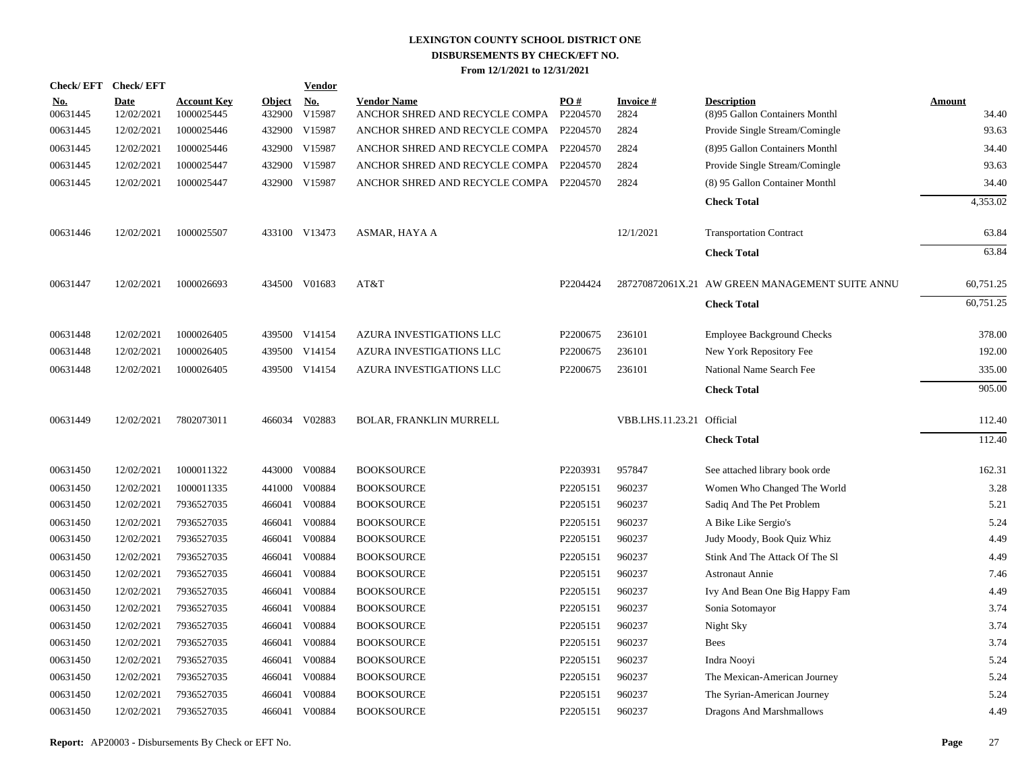|                        | Check/EFT Check/EFT       |                                  |                         | <b>Vendor</b> |                                                               |          |                           |                                                      |                 |
|------------------------|---------------------------|----------------------------------|-------------------------|---------------|---------------------------------------------------------------|----------|---------------------------|------------------------------------------------------|-----------------|
| <u>No.</u><br>00631445 | <b>Date</b><br>12/02/2021 | <b>Account Key</b><br>1000025445 | <b>Object</b><br>432900 | No.<br>V15987 | <b>Vendor Name</b><br>ANCHOR SHRED AND RECYCLE COMPA P2204570 | PO#      | Invoice #<br>2824         | <b>Description</b><br>(8)95 Gallon Containers Monthl | Amount<br>34.40 |
| 00631445               | 12/02/2021                | 1000025446                       |                         | 432900 V15987 | ANCHOR SHRED AND RECYCLE COMPA P2204570                       |          | 2824                      | Provide Single Stream/Comingle                       | 93.63           |
| 00631445               | 12/02/2021                | 1000025446                       |                         | 432900 V15987 | ANCHOR SHRED AND RECYCLE COMPA P2204570                       |          | 2824                      | (8)95 Gallon Containers Monthl                       | 34.40           |
| 00631445               | 12/02/2021                | 1000025447                       |                         | 432900 V15987 | ANCHOR SHRED AND RECYCLE COMPA P2204570                       |          | 2824                      | Provide Single Stream/Comingle                       | 93.63           |
| 00631445               | 12/02/2021                | 1000025447                       |                         | 432900 V15987 | ANCHOR SHRED AND RECYCLE COMPA P2204570                       |          | 2824                      | (8) 95 Gallon Container Monthl                       | 34.40           |
|                        |                           |                                  |                         |               |                                                               |          |                           | <b>Check Total</b>                                   | 4,353.02        |
| 00631446               | 12/02/2021                | 1000025507                       |                         | 433100 V13473 | ASMAR, HAYA A                                                 |          | 12/1/2021                 | <b>Transportation Contract</b>                       | 63.84           |
|                        |                           |                                  |                         |               |                                                               |          |                           | <b>Check Total</b>                                   | 63.84           |
| 00631447               | 12/02/2021                | 1000026693                       |                         | 434500 V01683 | AT&T                                                          | P2204424 |                           | 287270872061X.21 AW GREEN MANAGEMENT SUITE ANNU      | 60,751.25       |
|                        |                           |                                  |                         |               |                                                               |          |                           | <b>Check Total</b>                                   | 60,751.25       |
| 00631448               | 12/02/2021                | 1000026405                       |                         | 439500 V14154 | AZURA INVESTIGATIONS LLC                                      | P2200675 | 236101                    | <b>Employee Background Checks</b>                    | 378.00          |
| 00631448               | 12/02/2021                | 1000026405                       |                         | 439500 V14154 | AZURA INVESTIGATIONS LLC                                      | P2200675 | 236101                    | New York Repository Fee                              | 192.00          |
| 00631448               | 12/02/2021                | 1000026405                       |                         | 439500 V14154 | AZURA INVESTIGATIONS LLC                                      | P2200675 | 236101                    | National Name Search Fee                             | 335.00          |
|                        |                           |                                  |                         |               |                                                               |          |                           | <b>Check Total</b>                                   | 905.00          |
| 00631449               | 12/02/2021                | 7802073011                       |                         | 466034 V02883 | <b>BOLAR, FRANKLIN MURRELL</b>                                |          | VBB.LHS.11.23.21 Official |                                                      | 112.40          |
|                        |                           |                                  |                         |               |                                                               |          |                           | <b>Check Total</b>                                   | 112.40          |
| 00631450               | 12/02/2021                | 1000011322                       |                         | 443000 V00884 | <b>BOOKSOURCE</b>                                             | P2203931 | 957847                    | See attached library book orde                       | 162.31          |
| 00631450               | 12/02/2021                | 1000011335                       | 441000                  | V00884        | <b>BOOKSOURCE</b>                                             | P2205151 | 960237                    | Women Who Changed The World                          | 3.28            |
| 00631450               | 12/02/2021                | 7936527035                       |                         | 466041 V00884 | <b>BOOKSOURCE</b>                                             | P2205151 | 960237                    | Sadiq And The Pet Problem                            | 5.21            |
| 00631450               | 12/02/2021                | 7936527035                       |                         | 466041 V00884 | <b>BOOKSOURCE</b>                                             | P2205151 | 960237                    | A Bike Like Sergio's                                 | 5.24            |
| 00631450               | 12/02/2021                | 7936527035                       |                         | 466041 V00884 | <b>BOOKSOURCE</b>                                             | P2205151 | 960237                    | Judy Moody, Book Quiz Whiz                           | 4.49            |
| 00631450               | 12/02/2021                | 7936527035                       |                         | 466041 V00884 | <b>BOOKSOURCE</b>                                             | P2205151 | 960237                    | Stink And The Attack Of The S1                       | 4.49            |
| 00631450               | 12/02/2021                | 7936527035                       |                         | 466041 V00884 | <b>BOOKSOURCE</b>                                             | P2205151 | 960237                    | <b>Astronaut Annie</b>                               | 7.46            |
| 00631450               | 12/02/2021                | 7936527035                       |                         | 466041 V00884 | <b>BOOKSOURCE</b>                                             | P2205151 | 960237                    | Ivy And Bean One Big Happy Fam                       | 4.49            |
| 00631450               | 12/02/2021                | 7936527035                       |                         | 466041 V00884 | <b>BOOKSOURCE</b>                                             | P2205151 | 960237                    | Sonia Sotomayor                                      | 3.74            |
| 00631450               | 12/02/2021                | 7936527035                       |                         | 466041 V00884 | <b>BOOKSOURCE</b>                                             | P2205151 | 960237                    | Night Sky                                            | 3.74            |
| 00631450               | 12/02/2021                | 7936527035                       |                         | 466041 V00884 | <b>BOOKSOURCE</b>                                             | P2205151 | 960237                    | Bees                                                 | 3.74            |
| 00631450               | 12/02/2021                | 7936527035                       |                         | 466041 V00884 | <b>BOOKSOURCE</b>                                             | P2205151 | 960237                    | Indra Nooyi                                          | 5.24            |
| 00631450               | 12/02/2021                | 7936527035                       |                         | 466041 V00884 | <b>BOOKSOURCE</b>                                             | P2205151 | 960237                    | The Mexican-American Journey                         | 5.24            |
| 00631450               | 12/02/2021                | 7936527035                       |                         | 466041 V00884 | <b>BOOKSOURCE</b>                                             | P2205151 | 960237                    | The Syrian-American Journey                          | 5.24            |
| 00631450               | 12/02/2021                | 7936527035                       |                         | 466041 V00884 | <b>BOOKSOURCE</b>                                             | P2205151 | 960237                    | Dragons And Marshmallows                             | 4.49            |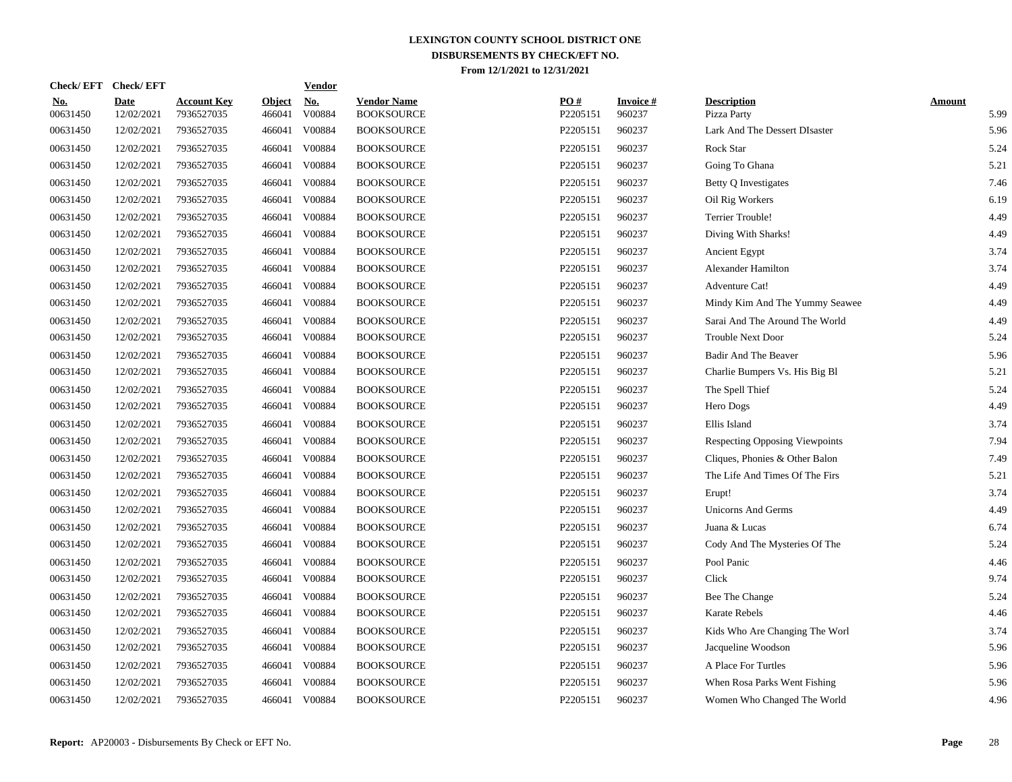|                        | Check/EFT Check/EFT       |                                  |                         | <b>Vendor</b>        |                                         |                 |                           |                                       |                       |
|------------------------|---------------------------|----------------------------------|-------------------------|----------------------|-----------------------------------------|-----------------|---------------------------|---------------------------------------|-----------------------|
| <u>No.</u><br>00631450 | <b>Date</b><br>12/02/2021 | <b>Account Key</b><br>7936527035 | <b>Object</b><br>466041 | <u>No.</u><br>V00884 | <b>Vendor Name</b><br><b>BOOKSOURCE</b> | PQ#<br>P2205151 | <b>Invoice#</b><br>960237 | <b>Description</b><br>Pizza Party     | <b>Amount</b><br>5.99 |
| 00631450               | 12/02/2021                | 7936527035                       | 466041                  | V00884               | <b>BOOKSOURCE</b>                       | P2205151        | 960237                    | Lark And The Dessert DIsaster         | 5.96                  |
| 00631450               | 12/02/2021                | 7936527035                       | 466041                  | V00884               | <b>BOOKSOURCE</b>                       | P2205151        | 960237                    | Rock Star                             | 5.24                  |
| 00631450               | 12/02/2021                | 7936527035                       | 466041                  | V00884               | <b>BOOKSOURCE</b>                       | P2205151        | 960237                    | Going To Ghana                        | 5.21                  |
| 00631450               | 12/02/2021                | 7936527035                       | 466041                  | V00884               | <b>BOOKSOURCE</b>                       | P2205151        | 960237                    | Betty Q Investigates                  | 7.46                  |
| 00631450               | 12/02/2021                | 7936527035                       | 466041                  | V00884               | <b>BOOKSOURCE</b>                       | P2205151        | 960237                    | Oil Rig Workers                       | 6.19                  |
| 00631450               | 12/02/2021                | 7936527035                       | 466041                  | V00884               | <b>BOOKSOURCE</b>                       | P2205151        | 960237                    | <b>Terrier Trouble!</b>               | 4.49                  |
| 00631450               | 12/02/2021                | 7936527035                       | 466041                  | V00884               | <b>BOOKSOURCE</b>                       | P2205151        | 960237                    | Diving With Sharks!                   | 4.49                  |
| 00631450               | 12/02/2021                | 7936527035                       | 466041                  | V00884               | <b>BOOKSOURCE</b>                       | P2205151        | 960237                    | Ancient Egypt                         | 3.74                  |
| 00631450               | 12/02/2021                | 7936527035                       | 466041                  | V00884               | <b>BOOKSOURCE</b>                       | P2205151        | 960237                    | <b>Alexander Hamilton</b>             | 3.74                  |
| 00631450               | 12/02/2021                | 7936527035                       | 466041                  | V00884               | <b>BOOKSOURCE</b>                       | P2205151        | 960237                    | Adventure Cat!                        | 4.49                  |
| 00631450               | 12/02/2021                | 7936527035                       | 466041                  | V00884               | <b>BOOKSOURCE</b>                       | P2205151        | 960237                    | Mindy Kim And The Yummy Seawee        | 4.49                  |
| 00631450               | 12/02/2021                | 7936527035                       | 466041                  | V00884               | <b>BOOKSOURCE</b>                       | P2205151        | 960237                    | Sarai And The Around The World        | 4.49                  |
| 00631450               | 12/02/2021                | 7936527035                       | 466041                  | V00884               | <b>BOOKSOURCE</b>                       | P2205151        | 960237                    | <b>Trouble Next Door</b>              | 5.24                  |
| 00631450               | 12/02/2021                | 7936527035                       | 466041                  | V00884               | <b>BOOKSOURCE</b>                       | P2205151        | 960237                    | Badir And The Beaver                  | 5.96                  |
| 00631450               | 12/02/2021                | 7936527035                       | 466041                  | V00884               | <b>BOOKSOURCE</b>                       | P2205151        | 960237                    | Charlie Bumpers Vs. His Big Bl        | 5.21                  |
| 00631450               | 12/02/2021                | 7936527035                       | 466041                  | V00884               | <b>BOOKSOURCE</b>                       | P2205151        | 960237                    | The Spell Thief                       | 5.24                  |
| 00631450               | 12/02/2021                | 7936527035                       | 466041                  | V00884               | <b>BOOKSOURCE</b>                       | P2205151        | 960237                    | Hero Dogs                             | 4.49                  |
| 00631450               | 12/02/2021                | 7936527035                       | 466041                  | V00884               | <b>BOOKSOURCE</b>                       | P2205151        | 960237                    | Ellis Island                          | 3.74                  |
| 00631450               | 12/02/2021                | 7936527035                       | 466041                  | V00884               | <b>BOOKSOURCE</b>                       | P2205151        | 960237                    | <b>Respecting Opposing Viewpoints</b> | 7.94                  |
| 00631450               | 12/02/2021                | 7936527035                       | 466041                  | V00884               | <b>BOOKSOURCE</b>                       | P2205151        | 960237                    | Cliques, Phonies & Other Balon        | 7.49                  |
| 00631450               | 12/02/2021                | 7936527035                       | 466041                  | V00884               | <b>BOOKSOURCE</b>                       | P2205151        | 960237                    | The Life And Times Of The Firs        | 5.21                  |
| 00631450               | 12/02/2021                | 7936527035                       | 466041                  | V00884               | <b>BOOKSOURCE</b>                       | P2205151        | 960237                    | Erupt!                                | 3.74                  |
| 00631450               | 12/02/2021                | 7936527035                       | 466041                  | V00884               | <b>BOOKSOURCE</b>                       | P2205151        | 960237                    | <b>Unicorns And Germs</b>             | 4.49                  |
| 00631450               | 12/02/2021                | 7936527035                       | 466041                  | V00884               | <b>BOOKSOURCE</b>                       | P2205151        | 960237                    | Juana & Lucas                         | 6.74                  |
| 00631450               | 12/02/2021                | 7936527035                       | 466041                  | V00884               | <b>BOOKSOURCE</b>                       | P2205151        | 960237                    | Cody And The Mysteries Of The         | 5.24                  |
| 00631450               | 12/02/2021                | 7936527035                       | 466041                  | V00884               | <b>BOOKSOURCE</b>                       | P2205151        | 960237                    | Pool Panic                            | 4.46                  |
| 00631450               | 12/02/2021                | 7936527035                       | 466041                  | V00884               | <b>BOOKSOURCE</b>                       | P2205151        | 960237                    | Click                                 | 9.74                  |
| 00631450               | 12/02/2021                | 7936527035                       | 466041                  | V00884               | <b>BOOKSOURCE</b>                       | P2205151        | 960237                    | Bee The Change                        | 5.24                  |
| 00631450               | 12/02/2021                | 7936527035                       | 466041                  | V00884               | <b>BOOKSOURCE</b>                       | P2205151        | 960237                    | Karate Rebels                         | 4.46                  |
| 00631450               | 12/02/2021                | 7936527035                       | 466041                  | V00884               | <b>BOOKSOURCE</b>                       | P2205151        | 960237                    | Kids Who Are Changing The Worl        | 3.74                  |
| 00631450               | 12/02/2021                | 7936527035                       | 466041                  | V00884               | <b>BOOKSOURCE</b>                       | P2205151        | 960237                    | Jacqueline Woodson                    | 5.96                  |
| 00631450               | 12/02/2021                | 7936527035                       | 466041                  | V00884               | <b>BOOKSOURCE</b>                       | P2205151        | 960237                    | A Place For Turtles                   | 5.96                  |
| 00631450               | 12/02/2021                | 7936527035                       | 466041                  | V00884               | <b>BOOKSOURCE</b>                       | P2205151        | 960237                    | When Rosa Parks Went Fishing          | 5.96                  |
| 00631450               | 12/02/2021                | 7936527035                       | 466041                  | V00884               | <b>BOOKSOURCE</b>                       | P2205151        | 960237                    | Women Who Changed The World           | 4.96                  |
|                        |                           |                                  |                         |                      |                                         |                 |                           |                                       |                       |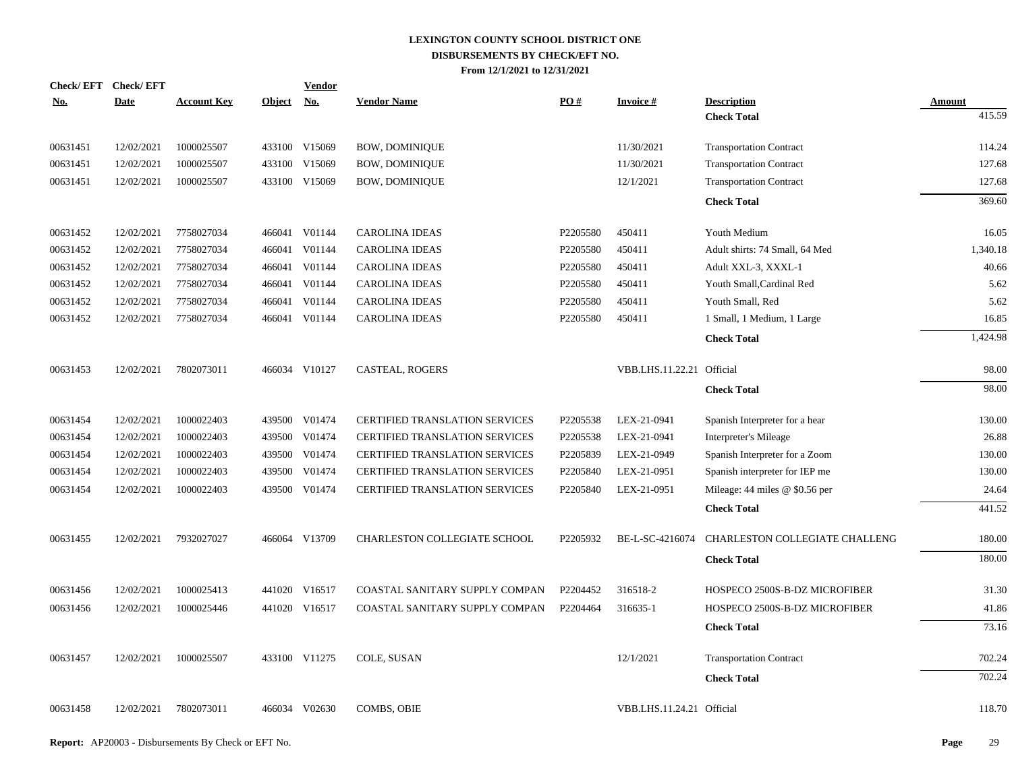| Check/EFT Check/EFT |             |                    |               | <b>Vendor</b>             |                                       |          |                           |                                  |               |
|---------------------|-------------|--------------------|---------------|---------------------------|---------------------------------------|----------|---------------------------|----------------------------------|---------------|
| <u>No.</u>          | <b>Date</b> | <b>Account Key</b> | <b>Object</b> | $\underline{\textbf{No}}$ | <b>Vendor Name</b>                    | PO#      | <b>Invoice#</b>           | <b>Description</b>               | <b>Amount</b> |
|                     |             |                    |               |                           |                                       |          |                           | <b>Check Total</b>               | 415.59        |
| 00631451            | 12/02/2021  | 1000025507         |               | 433100 V15069             | <b>BOW, DOMINIQUE</b>                 |          | 11/30/2021                | <b>Transportation Contract</b>   | 114.24        |
| 00631451            | 12/02/2021  | 1000025507         |               | 433100 V15069             | <b>BOW, DOMINIQUE</b>                 |          | 11/30/2021                | <b>Transportation Contract</b>   | 127.68        |
| 00631451            | 12/02/2021  | 1000025507         |               | 433100 V15069             | <b>BOW, DOMINIQUE</b>                 |          | 12/1/2021                 | <b>Transportation Contract</b>   | 127.68        |
|                     |             |                    |               |                           |                                       |          |                           | <b>Check Total</b>               | 369.60        |
| 00631452            | 12/02/2021  | 7758027034         |               | 466041 V01144             | <b>CAROLINA IDEAS</b>                 | P2205580 | 450411                    | Youth Medium                     | 16.05         |
| 00631452            | 12/02/2021  | 7758027034         |               | 466041 V01144             | <b>CAROLINA IDEAS</b>                 | P2205580 | 450411                    | Adult shirts: 74 Small, 64 Med   | 1,340.18      |
| 00631452            | 12/02/2021  | 7758027034         |               | 466041 V01144             | <b>CAROLINA IDEAS</b>                 | P2205580 | 450411                    | Adult XXL-3, XXXL-1              | 40.66         |
| 00631452            | 12/02/2021  | 7758027034         | 466041        | V01144                    | <b>CAROLINA IDEAS</b>                 | P2205580 | 450411                    | Youth Small, Cardinal Red        | 5.62          |
| 00631452            | 12/02/2021  | 7758027034         | 466041        | V01144                    | <b>CAROLINA IDEAS</b>                 | P2205580 | 450411                    | Youth Small, Red                 | 5.62          |
| 00631452            | 12/02/2021  | 7758027034         |               | 466041 V01144             | <b>CAROLINA IDEAS</b>                 | P2205580 | 450411                    | 1 Small, 1 Medium, 1 Large       | 16.85         |
|                     |             |                    |               |                           |                                       |          |                           | <b>Check Total</b>               | 1,424.98      |
| 00631453            | 12/02/2021  | 7802073011         |               | 466034 V10127             | CASTEAL, ROGERS                       |          | VBB.LHS.11.22.21 Official |                                  | 98.00         |
|                     |             |                    |               |                           |                                       |          |                           | <b>Check Total</b>               | 98.00         |
| 00631454            | 12/02/2021  | 1000022403         |               | 439500 V01474             | <b>CERTIFIED TRANSLATION SERVICES</b> | P2205538 | LEX-21-0941               | Spanish Interpreter for a hear   | 130.00        |
| 00631454            | 12/02/2021  | 1000022403         |               | 439500 V01474             | CERTIFIED TRANSLATION SERVICES        | P2205538 | LEX-21-0941               | <b>Interpreter's Mileage</b>     | 26.88         |
| 00631454            | 12/02/2021  | 1000022403         |               | 439500 V01474             | <b>CERTIFIED TRANSLATION SERVICES</b> | P2205839 | LEX-21-0949               | Spanish Interpreter for a Zoom   | 130.00        |
| 00631454            | 12/02/2021  | 1000022403         |               | 439500 V01474             | <b>CERTIFIED TRANSLATION SERVICES</b> | P2205840 | LEX-21-0951               | Spanish interpreter for IEP me   | 130.00        |
| 00631454            | 12/02/2021  | 1000022403         |               | 439500 V01474             | <b>CERTIFIED TRANSLATION SERVICES</b> | P2205840 | LEX-21-0951               | Mileage: $44$ miles @ \$0.56 per | 24.64         |
|                     |             |                    |               |                           |                                       |          |                           | <b>Check Total</b>               | 441.52        |
| 00631455            | 12/02/2021  | 7932027027         |               | 466064 V13709             | CHARLESTON COLLEGIATE SCHOOL          | P2205932 | BE-L-SC-4216074           | CHARLESTON COLLEGIATE CHALLENG   | 180.00        |
|                     |             |                    |               |                           |                                       |          |                           | <b>Check Total</b>               | 180.00        |
| 00631456            | 12/02/2021  | 1000025413         |               | 441020 V16517             | COASTAL SANITARY SUPPLY COMPAN        | P2204452 | 316518-2                  | HOSPECO 2500S-B-DZ MICROFIBER    | 31.30         |
| 00631456            | 12/02/2021  | 1000025446         |               | 441020 V16517             | COASTAL SANITARY SUPPLY COMPAN        | P2204464 | 316635-1                  | HOSPECO 2500S-B-DZ MICROFIBER    | 41.86         |
|                     |             |                    |               |                           |                                       |          |                           | <b>Check Total</b>               | 73.16         |
| 00631457            | 12/02/2021  | 1000025507         |               | 433100 V11275             | COLE, SUSAN                           |          | 12/1/2021                 | <b>Transportation Contract</b>   | 702.24        |
|                     |             |                    |               |                           |                                       |          |                           | <b>Check Total</b>               | 702.24        |
| 00631458            | 12/02/2021  | 7802073011         |               | 466034 V02630             | COMBS, OBIE                           |          | VBB.LHS.11.24.21 Official |                                  | 118.70        |
|                     |             |                    |               |                           |                                       |          |                           |                                  |               |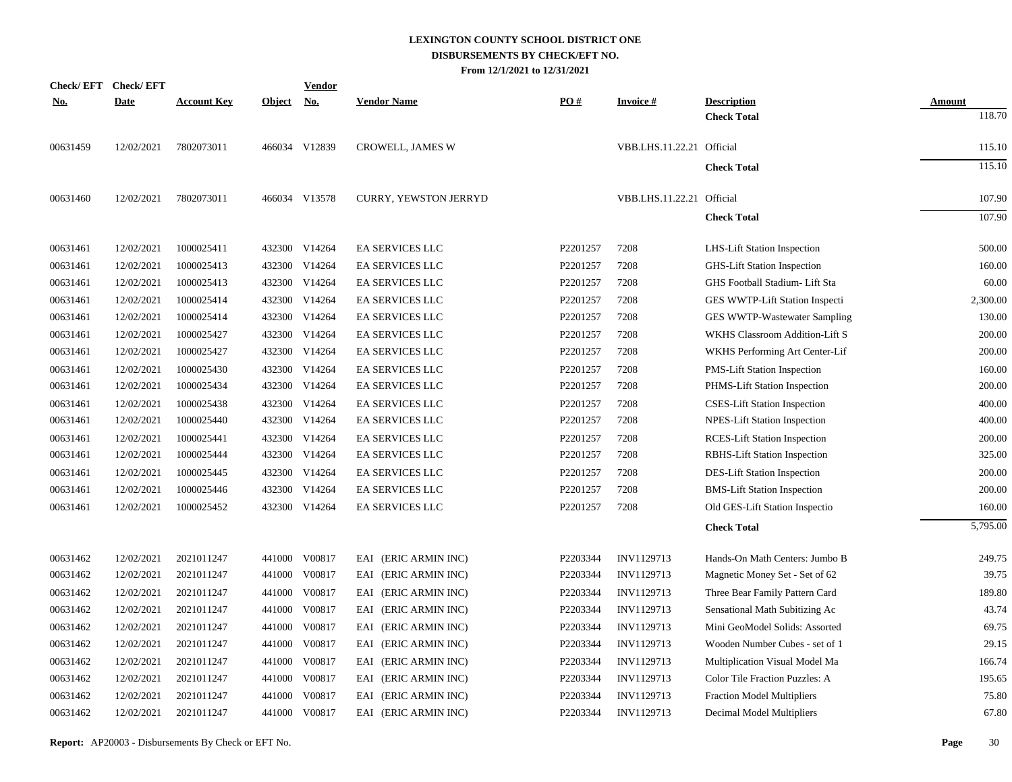| <b>Check/EFT</b> | <b>Check/EFT</b> |                    |               | <b>Vendor</b>             |                              |          |                           |                                     |               |
|------------------|------------------|--------------------|---------------|---------------------------|------------------------------|----------|---------------------------|-------------------------------------|---------------|
| <b>No.</b>       | <b>Date</b>      | <b>Account Key</b> | <b>Object</b> | $\underline{\mathrm{No}}$ | <b>Vendor Name</b>           | PO#      | <u>Invoice #</u>          | <b>Description</b>                  | <b>Amount</b> |
|                  |                  |                    |               |                           |                              |          |                           | <b>Check Total</b>                  | 118.70        |
| 00631459         | 12/02/2021       | 7802073011         |               | 466034 V12839             | <b>CROWELL, JAMES W</b>      |          | VBB.LHS.11.22.21 Official |                                     | 115.10        |
|                  |                  |                    |               |                           |                              |          |                           | <b>Check Total</b>                  | 115.10        |
| 00631460         | 12/02/2021       | 7802073011         |               | 466034 V13578             | <b>CURRY, YEWSTON JERRYD</b> |          | VBB.LHS.11.22.21 Official |                                     | 107.90        |
|                  |                  |                    |               |                           |                              |          |                           | <b>Check Total</b>                  | 107.90        |
| 00631461         | 12/02/2021       | 1000025411         |               | 432300 V14264             | <b>EA SERVICES LLC</b>       | P2201257 | 7208                      | LHS-Lift Station Inspection         | 500.00        |
| 00631461         | 12/02/2021       | 1000025413         |               | 432300 V14264             | <b>EA SERVICES LLC</b>       | P2201257 | 7208                      | <b>GHS-Lift Station Inspection</b>  | 160.00        |
| 00631461         | 12/02/2021       | 1000025413         |               | 432300 V14264             | EA SERVICES LLC              | P2201257 | 7208                      | GHS Football Stadium- Lift Sta      | 60.00         |
| 00631461         | 12/02/2021       | 1000025414         |               | 432300 V14264             | EA SERVICES LLC              | P2201257 | 7208                      | GES WWTP-Lift Station Inspecti      | 2,300.00      |
| 00631461         | 12/02/2021       | 1000025414         |               | 432300 V14264             | EA SERVICES LLC              | P2201257 | 7208                      | GES WWTP-Wastewater Sampling        | 130.00        |
| 00631461         | 12/02/2021       | 1000025427         |               | 432300 V14264             | EA SERVICES LLC              | P2201257 | 7208                      | WKHS Classroom Addition-Lift S      | 200.00        |
| 00631461         | 12/02/2021       | 1000025427         |               | 432300 V14264             | EA SERVICES LLC              | P2201257 | 7208                      | WKHS Performing Art Center-Lif      | 200.00        |
| 00631461         | 12/02/2021       | 1000025430         |               | 432300 V14264             | <b>EA SERVICES LLC</b>       | P2201257 | 7208                      | <b>PMS-Lift Station Inspection</b>  | 160.00        |
| 00631461         | 12/02/2021       | 1000025434         |               | 432300 V14264             | EA SERVICES LLC              | P2201257 | 7208                      | PHMS-Lift Station Inspection        | 200.00        |
| 00631461         | 12/02/2021       | 1000025438         |               | 432300 V14264             | EA SERVICES LLC              | P2201257 | 7208                      | <b>CSES-Lift Station Inspection</b> | 400.00        |
| 00631461         | 12/02/2021       | 1000025440         |               | 432300 V14264             | <b>EA SERVICES LLC</b>       | P2201257 | 7208                      | NPES-Lift Station Inspection        | 400.00        |
| 00631461         | 12/02/2021       | 1000025441         | 432300        | V14264                    | <b>EA SERVICES LLC</b>       | P2201257 | 7208                      | <b>RCES-Lift Station Inspection</b> | 200.00        |
| 00631461         | 12/02/2021       | 1000025444         |               | 432300 V14264             | EA SERVICES LLC              | P2201257 | 7208                      | RBHS-Lift Station Inspection        | 325.00        |
| 00631461         | 12/02/2021       | 1000025445         | 432300        | V14264                    | <b>EA SERVICES LLC</b>       | P2201257 | 7208                      | DES-Lift Station Inspection         | 200.00        |
| 00631461         | 12/02/2021       | 1000025446         |               | 432300 V14264             | EA SERVICES LLC              | P2201257 | 7208                      | <b>BMS-Lift Station Inspection</b>  | 200.00        |
| 00631461         | 12/02/2021       | 1000025452         |               | 432300 V14264             | <b>EA SERVICES LLC</b>       | P2201257 | 7208                      | Old GES-Lift Station Inspectio      | 160.00        |
|                  |                  |                    |               |                           |                              |          |                           | <b>Check Total</b>                  | 5,795.00      |
| 00631462         | 12/02/2021       | 2021011247         |               | 441000 V00817             | EAI (ERIC ARMIN INC)         | P2203344 | INV1129713                | Hands-On Math Centers: Jumbo B      | 249.75        |
| 00631462         | 12/02/2021       | 2021011247         | 441000        | V00817                    | EAI (ERIC ARMIN INC)         | P2203344 | INV1129713                | Magnetic Money Set - Set of 62      | 39.75         |
| 00631462         | 12/02/2021       | 2021011247         | 441000        | V00817                    | EAI (ERIC ARMIN INC)         | P2203344 | INV1129713                | Three Bear Family Pattern Card      | 189.80        |
| 00631462         | 12/02/2021       | 2021011247         | 441000        | V00817                    | EAI (ERIC ARMIN INC)         | P2203344 | INV1129713                | Sensational Math Subitizing Ac      | 43.74         |
| 00631462         | 12/02/2021       | 2021011247         | 441000        | V00817                    | EAI (ERIC ARMIN INC)         | P2203344 | INV1129713                | Mini GeoModel Solids: Assorted      | 69.75         |
| 00631462         | 12/02/2021       | 2021011247         | 441000        | V00817                    | EAI (ERIC ARMIN INC)         | P2203344 | INV1129713                | Wooden Number Cubes - set of 1      | 29.15         |
| 00631462         | 12/02/2021       | 2021011247         | 441000        | V00817                    | EAI (ERIC ARMIN INC)         | P2203344 | INV1129713                | Multiplication Visual Model Ma      | 166.74        |
| 00631462         | 12/02/2021       | 2021011247         | 441000        | V00817                    | EAI (ERIC ARMIN INC)         | P2203344 | INV1129713                | Color Tile Fraction Puzzles: A      | 195.65        |
| 00631462         | 12/02/2021       | 2021011247         | 441000        | V00817                    | EAI (ERIC ARMIN INC)         | P2203344 | INV1129713                | <b>Fraction Model Multipliers</b>   | 75.80         |
| 00631462         | 12/02/2021       | 2021011247         |               | 441000 V00817             | EAI (ERIC ARMIN INC)         | P2203344 | INV1129713                | Decimal Model Multipliers           | 67.80         |
|                  |                  |                    |               |                           |                              |          |                           |                                     |               |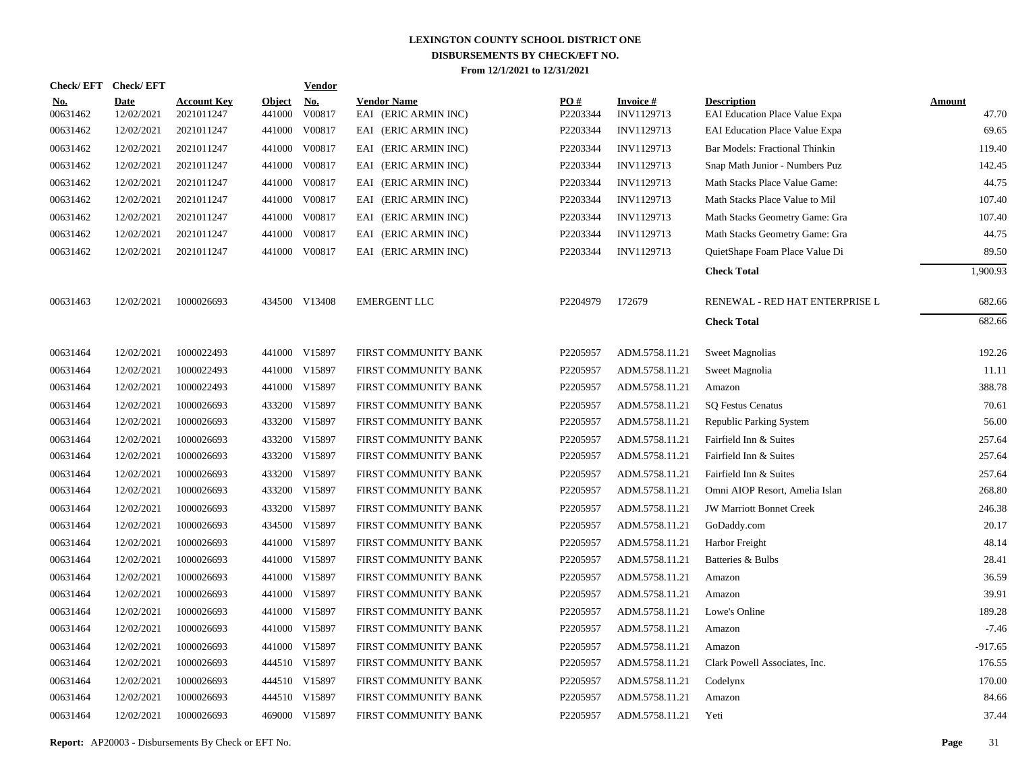|                        | Check/EFT Check/EFT       |                                  |                         | <b>Vendor</b>        |                                            |                 |                               |                                                      |                        |
|------------------------|---------------------------|----------------------------------|-------------------------|----------------------|--------------------------------------------|-----------------|-------------------------------|------------------------------------------------------|------------------------|
| <u>No.</u><br>00631462 | <b>Date</b><br>12/02/2021 | <b>Account Key</b><br>2021011247 | <b>Object</b><br>441000 | <u>No.</u><br>V00817 | <b>Vendor Name</b><br>EAI (ERIC ARMIN INC) | PQ#<br>P2203344 | <b>Invoice#</b><br>INV1129713 | <b>Description</b><br>EAI Education Place Value Expa | <b>Amount</b><br>47.70 |
| 00631462               | 12/02/2021                | 2021011247                       | 441000                  | V00817               | EAI (ERIC ARMIN INC)                       | P2203344        | INV1129713                    | <b>EAI Education Place Value Expa</b>                | 69.65                  |
| 00631462               | 12/02/2021                | 2021011247                       | 441000                  | V00817               | EAI (ERIC ARMIN INC)                       | P2203344        | INV1129713                    | Bar Models: Fractional Thinkin                       | 119.40                 |
| 00631462               | 12/02/2021                | 2021011247                       |                         | 441000 V00817        | EAI (ERIC ARMIN INC)                       | P2203344        | INV1129713                    | Snap Math Junior - Numbers Puz                       | 142.45                 |
| 00631462               | 12/02/2021                | 2021011247                       |                         | 441000 V00817        | EAI (ERIC ARMIN INC)                       | P2203344        | INV1129713                    | Math Stacks Place Value Game:                        | 44.75                  |
| 00631462               | 12/02/2021                | 2021011247                       |                         | 441000 V00817        | EAI (ERIC ARMIN INC)                       | P2203344        | INV1129713                    | Math Stacks Place Value to Mil                       | 107.40                 |
| 00631462               | 12/02/2021                | 2021011247                       |                         | 441000 V00817        | EAI (ERIC ARMIN INC)                       | P2203344        | INV1129713                    | Math Stacks Geometry Game: Gra                       | 107.40                 |
| 00631462               | 12/02/2021                | 2021011247                       |                         | 441000 V00817        | EAI (ERIC ARMIN INC)                       | P2203344        | INV1129713                    | Math Stacks Geometry Game: Gra                       | 44.75                  |
| 00631462               | 12/02/2021                | 2021011247                       |                         | 441000 V00817        | EAI (ERIC ARMIN INC)                       | P2203344        | INV1129713                    | QuietShape Foam Place Value Di                       | 89.50                  |
|                        |                           |                                  |                         |                      |                                            |                 |                               | <b>Check Total</b>                                   | 1,900.93               |
| 00631463               | 12/02/2021                | 1000026693                       |                         | 434500 V13408        | <b>EMERGENT LLC</b>                        | P2204979        | 172679                        | RENEWAL - RED HAT ENTERPRISE L                       | 682.66                 |
|                        |                           |                                  |                         |                      |                                            |                 |                               | <b>Check Total</b>                                   | 682.66                 |
| 00631464               | 12/02/2021                | 1000022493                       |                         | 441000 V15897        | FIRST COMMUNITY BANK                       | P2205957        | ADM.5758.11.21                | <b>Sweet Magnolias</b>                               | 192.26                 |
| 00631464               | 12/02/2021                | 1000022493                       |                         | 441000 V15897        | FIRST COMMUNITY BANK                       | P2205957        | ADM.5758.11.21                | Sweet Magnolia                                       | 11.11                  |
| 00631464               | 12/02/2021                | 1000022493                       |                         | 441000 V15897        | FIRST COMMUNITY BANK                       | P2205957        | ADM.5758.11.21                | Amazon                                               | 388.78                 |
| 00631464               | 12/02/2021                | 1000026693                       |                         | 433200 V15897        | FIRST COMMUNITY BANK                       | P2205957        | ADM.5758.11.21                | <b>SQ Festus Cenatus</b>                             | 70.61                  |
| 00631464               | 12/02/2021                | 1000026693                       |                         | 433200 V15897        | FIRST COMMUNITY BANK                       | P2205957        | ADM.5758.11.21                | Republic Parking System                              | 56.00                  |
| 00631464               | 12/02/2021                | 1000026693                       |                         | 433200 V15897        | FIRST COMMUNITY BANK                       | P2205957        | ADM.5758.11.21                | Fairfield Inn & Suites                               | 257.64                 |
| 00631464               | 12/02/2021                | 1000026693                       |                         | 433200 V15897        | FIRST COMMUNITY BANK                       | P2205957        | ADM.5758.11.21                | Fairfield Inn & Suites                               | 257.64                 |
| 00631464               | 12/02/2021                | 1000026693                       |                         | 433200 V15897        | FIRST COMMUNITY BANK                       | P2205957        | ADM.5758.11.21                | Fairfield Inn & Suites                               | 257.64                 |
| 00631464               | 12/02/2021                | 1000026693                       |                         | 433200 V15897        | FIRST COMMUNITY BANK                       | P2205957        | ADM.5758.11.21                | Omni AIOP Resort, Amelia Islan                       | 268.80                 |
| 00631464               | 12/02/2021                | 1000026693                       |                         | 433200 V15897        | FIRST COMMUNITY BANK                       | P2205957        | ADM.5758.11.21                | <b>JW Marriott Bonnet Creek</b>                      | 246.38                 |
| 00631464               | 12/02/2021                | 1000026693                       |                         | 434500 V15897        | FIRST COMMUNITY BANK                       | P2205957        | ADM.5758.11.21                | GoDaddy.com                                          | 20.17                  |
| 00631464               | 12/02/2021                | 1000026693                       |                         | 441000 V15897        | FIRST COMMUNITY BANK                       | P2205957        | ADM.5758.11.21                | Harbor Freight                                       | 48.14                  |
| 00631464               | 12/02/2021                | 1000026693                       |                         | 441000 V15897        | FIRST COMMUNITY BANK                       | P2205957        | ADM.5758.11.21                | Batteries & Bulbs                                    | 28.41                  |
| 00631464               | 12/02/2021                | 1000026693                       |                         | 441000 V15897        | FIRST COMMUNITY BANK                       | P2205957        | ADM.5758.11.21                | Amazon                                               | 36.59                  |
| 00631464               | 12/02/2021                | 1000026693                       |                         | 441000 V15897        | FIRST COMMUNITY BANK                       | P2205957        | ADM.5758.11.21                | Amazon                                               | 39.91                  |
| 00631464               | 12/02/2021                | 1000026693                       |                         | 441000 V15897        | FIRST COMMUNITY BANK                       | P2205957        | ADM.5758.11.21                | Lowe's Online                                        | 189.28                 |
| 00631464               | 12/02/2021                | 1000026693                       |                         | 441000 V15897        | FIRST COMMUNITY BANK                       | P2205957        | ADM.5758.11.21                | Amazon                                               | $-7.46$                |
| 00631464               | 12/02/2021                | 1000026693                       |                         | 441000 V15897        | FIRST COMMUNITY BANK                       | P2205957        | ADM.5758.11.21                | Amazon                                               | $-917.65$              |
| 00631464               | 12/02/2021                | 1000026693                       |                         | 444510 V15897        | FIRST COMMUNITY BANK                       | P2205957        | ADM.5758.11.21                | Clark Powell Associates, Inc.                        | 176.55                 |
| 00631464               | 12/02/2021                | 1000026693                       |                         | 444510 V15897        | FIRST COMMUNITY BANK                       | P2205957        | ADM.5758.11.21                | Codelynx                                             | 170.00                 |
| 00631464               | 12/02/2021                | 1000026693                       |                         | 444510 V15897        | FIRST COMMUNITY BANK                       | P2205957        | ADM.5758.11.21                | Amazon                                               | 84.66                  |
| 00631464               | 12/02/2021                | 1000026693                       |                         | 469000 V15897        | FIRST COMMUNITY BANK                       | P2205957        | ADM.5758.11.21                | Yeti                                                 | 37.44                  |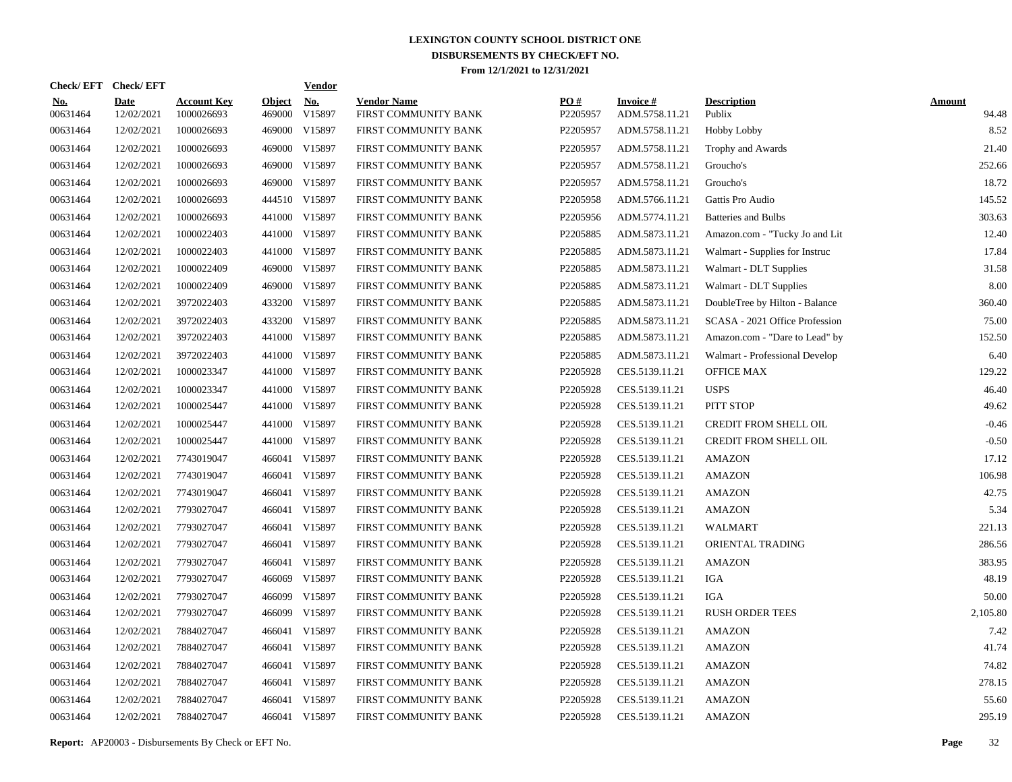|                        | Check/EFT Check/EFT       |                                  |                         | <b>Vendor</b>        |                                            |                 |                                   |                                |                        |
|------------------------|---------------------------|----------------------------------|-------------------------|----------------------|--------------------------------------------|-----------------|-----------------------------------|--------------------------------|------------------------|
| <u>No.</u><br>00631464 | <b>Date</b><br>12/02/2021 | <b>Account Key</b><br>1000026693 | <b>Object</b><br>469000 | <u>No.</u><br>V15897 | <b>Vendor Name</b><br>FIRST COMMUNITY BANK | PQ#<br>P2205957 | <b>Invoice#</b><br>ADM.5758.11.21 | <b>Description</b><br>Publix   | <b>Amount</b><br>94.48 |
| 00631464               | 12/02/2021                | 1000026693                       |                         | 469000 V15897        | FIRST COMMUNITY BANK                       | P2205957        | ADM.5758.11.21                    | <b>Hobby Lobby</b>             | 8.52                   |
| 00631464               | 12/02/2021                | 1000026693                       |                         | 469000 V15897        | FIRST COMMUNITY BANK                       | P2205957        | ADM.5758.11.21                    | Trophy and Awards              | 21.40                  |
| 00631464               | 12/02/2021                | 1000026693                       |                         | 469000 V15897        | FIRST COMMUNITY BANK                       | P2205957        | ADM.5758.11.21                    | Groucho's                      | 252.66                 |
| 00631464               | 12/02/2021                | 1000026693                       |                         | 469000 V15897        | FIRST COMMUNITY BANK                       | P2205957        | ADM.5758.11.21                    | Groucho's                      | 18.72                  |
| 00631464               | 12/02/2021                | 1000026693                       |                         | 444510 V15897        | FIRST COMMUNITY BANK                       | P2205958        | ADM.5766.11.21                    | Gattis Pro Audio               | 145.52                 |
| 00631464               | 12/02/2021                | 1000026693                       |                         | 441000 V15897        | FIRST COMMUNITY BANK                       | P2205956        | ADM.5774.11.21                    | <b>Batteries and Bulbs</b>     | 303.63                 |
| 00631464               | 12/02/2021                | 1000022403                       |                         | 441000 V15897        | FIRST COMMUNITY BANK                       | P2205885        | ADM.5873.11.21                    | Amazon.com - "Tucky Jo and Lit | 12.40                  |
| 00631464               | 12/02/2021                | 1000022403                       |                         | 441000 V15897        | FIRST COMMUNITY BANK                       | P2205885        | ADM.5873.11.21                    | Walmart - Supplies for Instruc | 17.84                  |
| 00631464               | 12/02/2021                | 1000022409                       |                         | 469000 V15897        | FIRST COMMUNITY BANK                       | P2205885        | ADM.5873.11.21                    | Walmart - DLT Supplies         | 31.58                  |
| 00631464               | 12/02/2021                | 1000022409                       |                         | 469000 V15897        | FIRST COMMUNITY BANK                       | P2205885        | ADM.5873.11.21                    | Walmart - DLT Supplies         | 8.00                   |
| 00631464               | 12/02/2021                | 3972022403                       |                         | 433200 V15897        | FIRST COMMUNITY BANK                       | P2205885        | ADM.5873.11.21                    | DoubleTree by Hilton - Balance | 360.40                 |
| 00631464               | 12/02/2021                | 3972022403                       |                         | 433200 V15897        | FIRST COMMUNITY BANK                       | P2205885        | ADM.5873.11.21                    | SCASA - 2021 Office Profession | 75.00                  |
| 00631464               | 12/02/2021                | 3972022403                       |                         | 441000 V15897        | FIRST COMMUNITY BANK                       | P2205885        | ADM.5873.11.21                    | Amazon.com - "Dare to Lead" by | 152.50                 |
| 00631464               | 12/02/2021                | 3972022403                       |                         | 441000 V15897        | FIRST COMMUNITY BANK                       | P2205885        | ADM.5873.11.21                    | Walmart - Professional Develop | 6.40                   |
| 00631464               | 12/02/2021                | 1000023347                       |                         | 441000 V15897        | FIRST COMMUNITY BANK                       | P2205928        | CES.5139.11.21                    | <b>OFFICE MAX</b>              | 129.22                 |
| 00631464               | 12/02/2021                | 1000023347                       |                         | 441000 V15897        | FIRST COMMUNITY BANK                       | P2205928        | CES.5139.11.21                    | <b>USPS</b>                    | 46.40                  |
| 00631464               | 12/02/2021                | 1000025447                       |                         | 441000 V15897        | FIRST COMMUNITY BANK                       | P2205928        | CES.5139.11.21                    | PITT STOP                      | 49.62                  |
| 00631464               | 12/02/2021                | 1000025447                       |                         | 441000 V15897        | FIRST COMMUNITY BANK                       | P2205928        | CES.5139.11.21                    | CREDIT FROM SHELL OIL          | $-0.46$                |
| 00631464               | 12/02/2021                | 1000025447                       |                         | 441000 V15897        | FIRST COMMUNITY BANK                       | P2205928        | CES.5139.11.21                    | <b>CREDIT FROM SHELL OIL</b>   | $-0.50$                |
| 00631464               | 12/02/2021                | 7743019047                       |                         | 466041 V15897        | FIRST COMMUNITY BANK                       | P2205928        | CES.5139.11.21                    | AMAZON                         | 17.12                  |
| 00631464               | 12/02/2021                | 7743019047                       |                         | 466041 V15897        | FIRST COMMUNITY BANK                       | P2205928        | CES.5139.11.21                    | <b>AMAZON</b>                  | 106.98                 |
| 00631464               | 12/02/2021                | 7743019047                       |                         | 466041 V15897        | FIRST COMMUNITY BANK                       | P2205928        | CES.5139.11.21                    | <b>AMAZON</b>                  | 42.75                  |
| 00631464               | 12/02/2021                | 7793027047                       |                         | 466041 V15897        | FIRST COMMUNITY BANK                       | P2205928        | CES.5139.11.21                    | <b>AMAZON</b>                  | 5.34                   |
| 00631464               | 12/02/2021                | 7793027047                       |                         | 466041 V15897        | FIRST COMMUNITY BANK                       | P2205928        | CES.5139.11.21                    | <b>WALMART</b>                 | 221.13                 |
| 00631464               | 12/02/2021                | 7793027047                       |                         | 466041 V15897        | FIRST COMMUNITY BANK                       | P2205928        | CES.5139.11.21                    | ORIENTAL TRADING               | 286.56                 |
| 00631464               | 12/02/2021                | 7793027047                       |                         | 466041 V15897        | FIRST COMMUNITY BANK                       | P2205928        | CES.5139.11.21                    | <b>AMAZON</b>                  | 383.95                 |
| 00631464               | 12/02/2021                | 7793027047                       |                         | 466069 V15897        | FIRST COMMUNITY BANK                       | P2205928        | CES.5139.11.21                    | IGA                            | 48.19                  |
| 00631464               | 12/02/2021                | 7793027047                       | 466099                  | V15897               | FIRST COMMUNITY BANK                       | P2205928        | CES.5139.11.21                    | IGA                            | 50.00                  |
| 00631464               | 12/02/2021                | 7793027047                       | 466099                  | V15897               | FIRST COMMUNITY BANK                       | P2205928        | CES.5139.11.21                    | <b>RUSH ORDER TEES</b>         | 2,105.80               |
| 00631464               | 12/02/2021                | 7884027047                       |                         | 466041 V15897        | FIRST COMMUNITY BANK                       | P2205928        | CES.5139.11.21                    | AMAZON                         | 7.42                   |
| 00631464               | 12/02/2021                | 7884027047                       |                         | 466041 V15897        | FIRST COMMUNITY BANK                       | P2205928        | CES.5139.11.21                    | <b>AMAZON</b>                  | 41.74                  |
| 00631464               | 12/02/2021                | 7884027047                       |                         | 466041 V15897        | FIRST COMMUNITY BANK                       | P2205928        | CES.5139.11.21                    | <b>AMAZON</b>                  | 74.82                  |
| 00631464               | 12/02/2021                | 7884027047                       |                         | 466041 V15897        | FIRST COMMUNITY BANK                       | P2205928        | CES.5139.11.21                    | <b>AMAZON</b>                  | 278.15                 |
| 00631464               | 12/02/2021                | 7884027047                       |                         | 466041 V15897        | FIRST COMMUNITY BANK                       | P2205928        | CES.5139.11.21                    | <b>AMAZON</b>                  | 55.60                  |
| 00631464               | 12/02/2021                | 7884027047                       |                         | 466041 V15897        | FIRST COMMUNITY BANK                       | P2205928        | CES.5139.11.21                    | <b>AMAZON</b>                  | 295.19                 |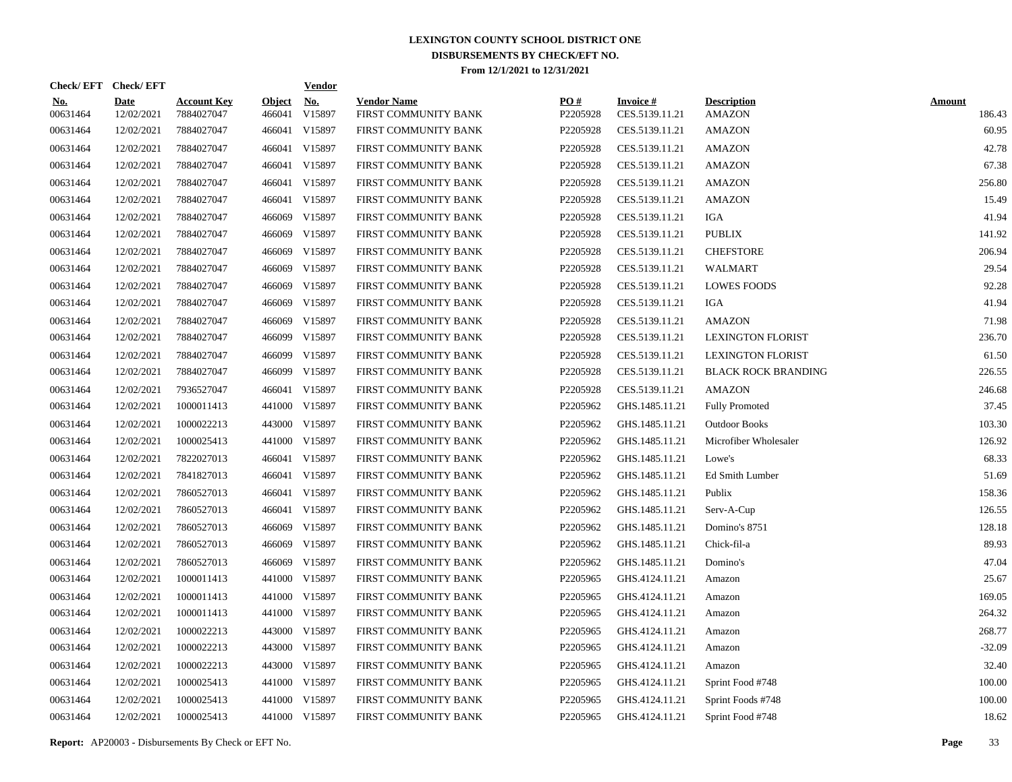| Check/EFT Check/EFT    |                           |                                  |                         | <b>Vendor</b>        |                                            |                 |                                   |                                     |                         |
|------------------------|---------------------------|----------------------------------|-------------------------|----------------------|--------------------------------------------|-----------------|-----------------------------------|-------------------------------------|-------------------------|
| <u>No.</u><br>00631464 | <b>Date</b><br>12/02/2021 | <b>Account Key</b><br>7884027047 | <b>Object</b><br>466041 | <u>No.</u><br>V15897 | <b>Vendor Name</b><br>FIRST COMMUNITY BANK | PO#<br>P2205928 | <b>Invoice#</b><br>CES.5139.11.21 | <b>Description</b><br><b>AMAZON</b> | <b>Amount</b><br>186.43 |
| 00631464               | 12/02/2021                | 7884027047                       | 466041                  | V15897               | FIRST COMMUNITY BANK                       | P2205928        | CES.5139.11.21                    | <b>AMAZON</b>                       | 60.95                   |
| 00631464               | 12/02/2021                | 7884027047                       | 466041                  | V15897               | FIRST COMMUNITY BANK                       | P2205928        | CES.5139.11.21                    | <b>AMAZON</b>                       | 42.78                   |
| 00631464               | 12/02/2021                | 7884027047                       | 466041                  | V15897               | FIRST COMMUNITY BANK                       | P2205928        | CES.5139.11.21                    | AMAZON                              | 67.38                   |
| 00631464               | 12/02/2021                | 7884027047                       | 466041                  | V15897               | FIRST COMMUNITY BANK                       | P2205928        | CES.5139.11.21                    | <b>AMAZON</b>                       | 256.80                  |
| 00631464               | 12/02/2021                | 7884027047                       | 466041                  | V15897               | FIRST COMMUNITY BANK                       | P2205928        | CES.5139.11.21                    | AMAZON                              | 15.49                   |
| 00631464               | 12/02/2021                | 7884027047                       | 466069                  | V15897               | FIRST COMMUNITY BANK                       | P2205928        | CES.5139.11.21                    | <b>IGA</b>                          | 41.94                   |
| 00631464               | 12/02/2021                | 7884027047                       | 466069                  | V15897               | FIRST COMMUNITY BANK                       | P2205928        | CES.5139.11.21                    | <b>PUBLIX</b>                       | 141.92                  |
| 00631464               | 12/02/2021                | 7884027047                       |                         | 466069 V15897        | FIRST COMMUNITY BANK                       | P2205928        | CES.5139.11.21                    | <b>CHEFSTORE</b>                    | 206.94                  |
| 00631464               | 12/02/2021                | 7884027047                       |                         | 466069 V15897        | FIRST COMMUNITY BANK                       | P2205928        | CES.5139.11.21                    | WALMART                             | 29.54                   |
| 00631464               | 12/02/2021                | 7884027047                       |                         | 466069 V15897        | FIRST COMMUNITY BANK                       | P2205928        | CES.5139.11.21                    | <b>LOWES FOODS</b>                  | 92.28                   |
| 00631464               | 12/02/2021                | 7884027047                       | 466069                  | V15897               | FIRST COMMUNITY BANK                       | P2205928        | CES.5139.11.21                    | IGA                                 | 41.94                   |
| 00631464               | 12/02/2021                | 7884027047                       |                         | 466069 V15897        | FIRST COMMUNITY BANK                       | P2205928        | CES.5139.11.21                    | <b>AMAZON</b>                       | 71.98                   |
| 00631464               | 12/02/2021                | 7884027047                       |                         | 466099 V15897        | FIRST COMMUNITY BANK                       | P2205928        | CES.5139.11.21                    | <b>LEXINGTON FLORIST</b>            | 236.70                  |
| 00631464               | 12/02/2021                | 7884027047                       |                         | 466099 V15897        | FIRST COMMUNITY BANK                       | P2205928        | CES.5139.11.21                    | <b>LEXINGTON FLORIST</b>            | 61.50                   |
| 00631464               | 12/02/2021                | 7884027047                       |                         | 466099 V15897        | FIRST COMMUNITY BANK                       | P2205928        | CES.5139.11.21                    | <b>BLACK ROCK BRANDING</b>          | 226.55                  |
| 00631464               | 12/02/2021                | 7936527047                       |                         | 466041 V15897        | FIRST COMMUNITY BANK                       | P2205928        | CES.5139.11.21                    | AMAZON                              | 246.68                  |
| 00631464               | 12/02/2021                | 1000011413                       |                         | 441000 V15897        | FIRST COMMUNITY BANK                       | P2205962        | GHS.1485.11.21                    | <b>Fully Promoted</b>               | 37.45                   |
| 00631464               | 12/02/2021                | 1000022213                       |                         | 443000 V15897        | FIRST COMMUNITY BANK                       | P2205962        | GHS.1485.11.21                    | <b>Outdoor Books</b>                | 103.30                  |
| 00631464               | 12/02/2021                | 1000025413                       |                         | 441000 V15897        | FIRST COMMUNITY BANK                       | P2205962        | GHS.1485.11.21                    | Microfiber Wholesaler               | 126.92                  |
| 00631464               | 12/02/2021                | 7822027013                       |                         | 466041 V15897        | FIRST COMMUNITY BANK                       | P2205962        | GHS.1485.11.21                    | Lowe's                              | 68.33                   |
| 00631464               | 12/02/2021                | 7841827013                       |                         | 466041 V15897        | FIRST COMMUNITY BANK                       | P2205962        | GHS.1485.11.21                    | Ed Smith Lumber                     | 51.69                   |
| 00631464               | 12/02/2021                | 7860527013                       |                         | 466041 V15897        | FIRST COMMUNITY BANK                       | P2205962        | GHS.1485.11.21                    | Publix                              | 158.36                  |
| 00631464               | 12/02/2021                | 7860527013                       |                         | 466041 V15897        | FIRST COMMUNITY BANK                       | P2205962        | GHS.1485.11.21                    | Serv-A-Cup                          | 126.55                  |
| 00631464               | 12/02/2021                | 7860527013                       | 466069                  | V15897               | FIRST COMMUNITY BANK                       | P2205962        | GHS.1485.11.21                    | Domino's 8751                       | 128.18                  |
| 00631464               | 12/02/2021                | 7860527013                       |                         | 466069 V15897        | FIRST COMMUNITY BANK                       | P2205962        | GHS.1485.11.21                    | Chick-fil-a                         | 89.93                   |
| 00631464               | 12/02/2021                | 7860527013                       | 466069                  | V15897               | FIRST COMMUNITY BANK                       | P2205962        | GHS.1485.11.21                    | Domino's                            | 47.04                   |
| 00631464               | 12/02/2021                | 1000011413                       |                         | 441000 V15897        | FIRST COMMUNITY BANK                       | P2205965        | GHS.4124.11.21                    | Amazon                              | 25.67                   |
| 00631464               | 12/02/2021                | 1000011413                       |                         | 441000 V15897        | FIRST COMMUNITY BANK                       | P2205965        | GHS.4124.11.21                    | Amazon                              | 169.05                  |
| 00631464               | 12/02/2021                | 1000011413                       |                         | 441000 V15897        | FIRST COMMUNITY BANK                       | P2205965        | GHS.4124.11.21                    | Amazon                              | 264.32                  |
| 00631464               | 12/02/2021                | 1000022213                       |                         | 443000 V15897        | FIRST COMMUNITY BANK                       | P2205965        | GHS.4124.11.21                    | Amazon                              | 268.77                  |
| 00631464               | 12/02/2021                | 1000022213                       |                         | 443000 V15897        | FIRST COMMUNITY BANK                       | P2205965        | GHS.4124.11.21                    | Amazon                              | $-32.09$                |
| 00631464               | 12/02/2021                | 1000022213                       | 443000                  | V15897               | FIRST COMMUNITY BANK                       | P2205965        | GHS.4124.11.21                    | Amazon                              | 32.40                   |
| 00631464               | 12/02/2021                | 1000025413                       |                         | 441000 V15897        | FIRST COMMUNITY BANK                       | P2205965        | GHS.4124.11.21                    | Sprint Food #748                    | 100.00                  |
| 00631464               | 12/02/2021                | 1000025413                       | 441000                  | V15897               | FIRST COMMUNITY BANK                       | P2205965        | GHS.4124.11.21                    | Sprint Foods #748                   | 100.00                  |
| 00631464               | 12/02/2021                | 1000025413                       |                         | 441000 V15897        | FIRST COMMUNITY BANK                       | P2205965        | GHS.4124.11.21                    | Sprint Food #748                    | 18.62                   |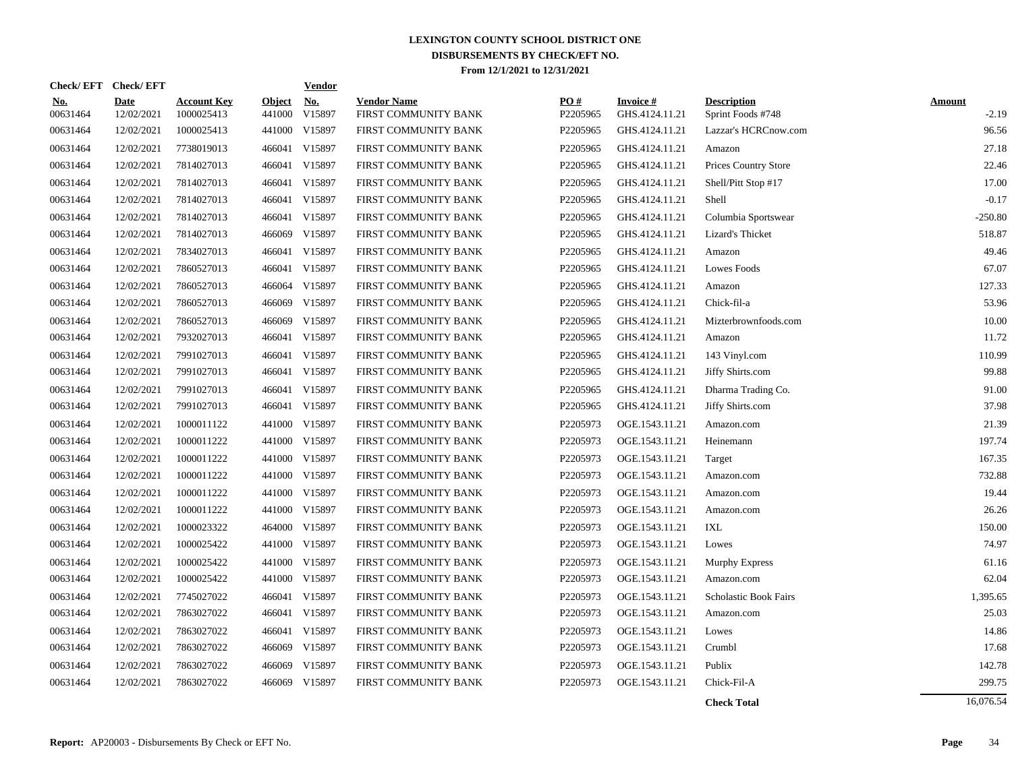|                        | Check/EFT Check/EFT       |                                  |                         | <b>Vendor</b>        |                                            |                 |                                   |                                         |                          |
|------------------------|---------------------------|----------------------------------|-------------------------|----------------------|--------------------------------------------|-----------------|-----------------------------------|-----------------------------------------|--------------------------|
| <u>No.</u><br>00631464 | <b>Date</b><br>12/02/2021 | <b>Account Key</b><br>1000025413 | <u>Object</u><br>441000 | <u>No.</u><br>V15897 | <b>Vendor Name</b><br>FIRST COMMUNITY BANK | PQ#<br>P2205965 | <b>Invoice#</b><br>GHS.4124.11.21 | <b>Description</b><br>Sprint Foods #748 | <b>Amount</b><br>$-2.19$ |
| 00631464               | 12/02/2021                | 1000025413                       | 441000                  | V15897               | FIRST COMMUNITY BANK                       | P2205965        | GHS.4124.11.21                    | Lazzar's HCRCnow.com                    | 96.56                    |
| 00631464               | 12/02/2021                | 7738019013                       | 466041                  | V15897               | FIRST COMMUNITY BANK                       | P2205965        | GHS.4124.11.21                    | Amazon                                  | 27.18                    |
| 00631464               | 12/02/2021                | 7814027013                       |                         | 466041 V15897        | FIRST COMMUNITY BANK                       | P2205965        | GHS.4124.11.21                    | Prices Country Store                    | 22.46                    |
| 00631464               | 12/02/2021                | 7814027013                       | 466041                  | V15897               | FIRST COMMUNITY BANK                       | P2205965        | GHS.4124.11.21                    | Shell/Pitt Stop #17                     | 17.00                    |
| 00631464               | 12/02/2021                | 7814027013                       |                         | 466041 V15897        | FIRST COMMUNITY BANK                       | P2205965        | GHS.4124.11.21                    | Shell                                   | $-0.17$                  |
| 00631464               | 12/02/2021                | 7814027013                       | 466041                  | V15897               | FIRST COMMUNITY BANK                       | P2205965        | GHS.4124.11.21                    | Columbia Sportswear                     | $-250.80$                |
| 00631464               | 12/02/2021                | 7814027013                       | 466069                  | V15897               | FIRST COMMUNITY BANK                       | P2205965        | GHS.4124.11.21                    | Lizard's Thicket                        | 518.87                   |
| 00631464               | 12/02/2021                | 7834027013                       | 466041                  | V15897               | FIRST COMMUNITY BANK                       | P2205965        | GHS.4124.11.21                    | Amazon                                  | 49.46                    |
| 00631464               | 12/02/2021                | 7860527013                       | 466041                  | V15897               | FIRST COMMUNITY BANK                       | P2205965        | GHS.4124.11.21                    | Lowes Foods                             | 67.07                    |
| 00631464               | 12/02/2021                | 7860527013                       | 466064                  | V15897               | FIRST COMMUNITY BANK                       | P2205965        | GHS.4124.11.21                    | Amazon                                  | 127.33                   |
| 00631464               | 12/02/2021                | 7860527013                       | 466069                  | V15897               | FIRST COMMUNITY BANK                       | P2205965        | GHS.4124.11.21                    | Chick-fil-a                             | 53.96                    |
| 00631464               | 12/02/2021                | 7860527013                       |                         | 466069 V15897        | FIRST COMMUNITY BANK                       | P2205965        | GHS.4124.11.21                    | Mizterbrownfoods.com                    | 10.00                    |
| 00631464               | 12/02/2021                | 7932027013                       |                         | 466041 V15897        | FIRST COMMUNITY BANK                       | P2205965        | GHS.4124.11.21                    | Amazon                                  | 11.72                    |
| 00631464               | 12/02/2021                | 7991027013                       |                         | 466041 V15897        | FIRST COMMUNITY BANK                       | P2205965        | GHS.4124.11.21                    | 143 Vinyl.com                           | 110.99                   |
| 00631464               | 12/02/2021                | 7991027013                       |                         | 466041 V15897        | FIRST COMMUNITY BANK                       | P2205965        | GHS.4124.11.21                    | Jiffy Shirts.com                        | 99.88                    |
| 00631464               | 12/02/2021                | 7991027013                       | 466041                  | V15897               | FIRST COMMUNITY BANK                       | P2205965        | GHS.4124.11.21                    | Dharma Trading Co.                      | 91.00                    |
| 00631464               | 12/02/2021                | 7991027013                       |                         | 466041 V15897        | FIRST COMMUNITY BANK                       | P2205965        | GHS.4124.11.21                    | Jiffy Shirts.com                        | 37.98                    |
| 00631464               | 12/02/2021                | 1000011122                       | 441000                  | V15897               | FIRST COMMUNITY BANK                       | P2205973        | OGE.1543.11.21                    | Amazon.com                              | 21.39                    |
| 00631464               | 12/02/2021                | 1000011222                       | 441000                  | V15897               | FIRST COMMUNITY BANK                       | P2205973        | OGE.1543.11.21                    | Heinemann                               | 197.74                   |
| 00631464               | 12/02/2021                | 1000011222                       | 441000                  | V15897               | FIRST COMMUNITY BANK                       | P2205973        | OGE.1543.11.21                    | Target                                  | 167.35                   |
| 00631464               | 12/02/2021                | 1000011222                       |                         | 441000 V15897        | FIRST COMMUNITY BANK                       | P2205973        | OGE.1543.11.21                    | Amazon.com                              | 732.88                   |
| 00631464               | 12/02/2021                | 1000011222                       |                         | 441000 V15897        | FIRST COMMUNITY BANK                       | P2205973        | OGE.1543.11.21                    | Amazon.com                              | 19.44                    |
| 00631464               | 12/02/2021                | 1000011222                       |                         | 441000 V15897        | FIRST COMMUNITY BANK                       | P2205973        | OGE.1543.11.21                    | Amazon.com                              | 26.26                    |
| 00631464               | 12/02/2021                | 1000023322                       | 464000                  | V15897               | FIRST COMMUNITY BANK                       | P2205973        | OGE.1543.11.21                    | IXL                                     | 150.00                   |
| 00631464               | 12/02/2021                | 1000025422                       |                         | 441000 V15897        | FIRST COMMUNITY BANK                       | P2205973        | OGE.1543.11.21                    | Lowes                                   | 74.97                    |
| 00631464               | 12/02/2021                | 1000025422                       | 441000                  | V15897               | FIRST COMMUNITY BANK                       | P2205973        | OGE.1543.11.21                    | Murphy Express                          | 61.16                    |
| 00631464               | 12/02/2021                | 1000025422                       | 441000                  | V15897               | FIRST COMMUNITY BANK                       | P2205973        | OGE.1543.11.21                    | Amazon.com                              | 62.04                    |
| 00631464               | 12/02/2021                | 7745027022                       |                         | 466041 V15897        | FIRST COMMUNITY BANK                       | P2205973        | OGE.1543.11.21                    | <b>Scholastic Book Fairs</b>            | 1,395.65                 |
| 00631464               | 12/02/2021                | 7863027022                       |                         | 466041 V15897        | FIRST COMMUNITY BANK                       | P2205973        | OGE.1543.11.21                    | Amazon.com                              | 25.03                    |
| 00631464               | 12/02/2021                | 7863027022                       |                         | 466041 V15897        | FIRST COMMUNITY BANK                       | P2205973        | OGE.1543.11.21                    | Lowes                                   | 14.86                    |
| 00631464               | 12/02/2021                | 7863027022                       |                         | 466069 V15897        | FIRST COMMUNITY BANK                       | P2205973        | OGE.1543.11.21                    | Crumbl                                  | 17.68                    |
| 00631464               | 12/02/2021                | 7863027022                       | 466069                  | V15897               | FIRST COMMUNITY BANK                       | P2205973        | OGE.1543.11.21                    | Publix                                  | 142.78                   |
| 00631464               | 12/02/2021                | 7863027022                       |                         | 466069 V15897        | FIRST COMMUNITY BANK                       | P2205973        | OGE.1543.11.21                    | Chick-Fil-A                             | 299.75                   |
|                        |                           |                                  |                         |                      |                                            |                 |                                   |                                         |                          |

**Check Total** 16,076.54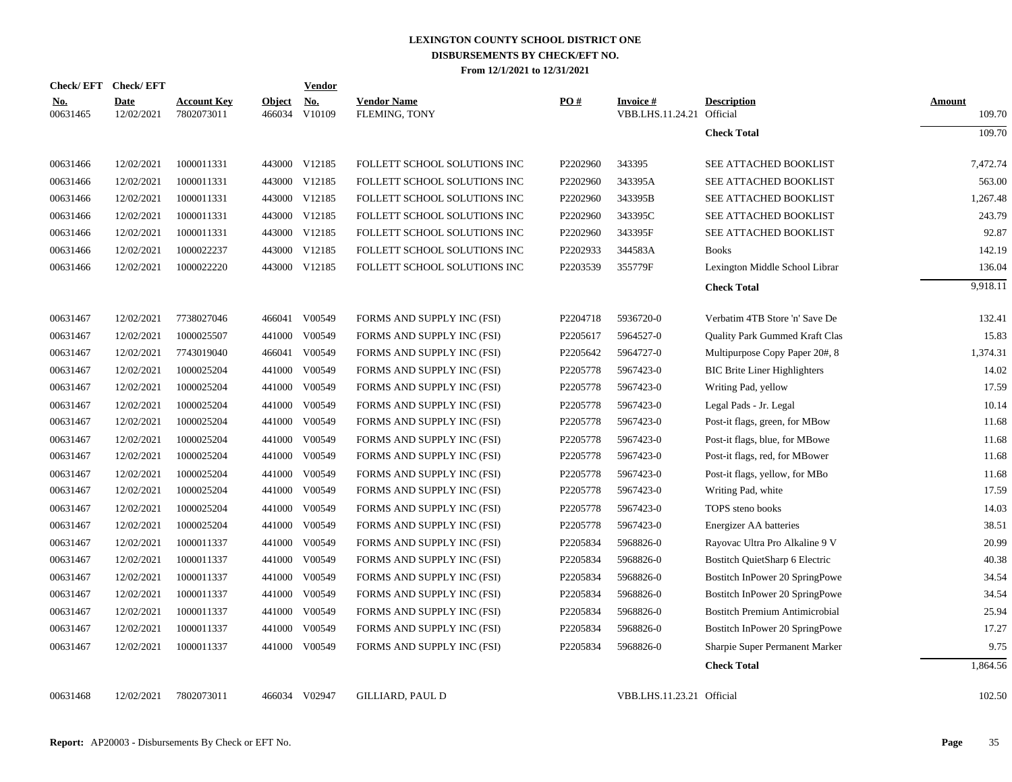|                        | Check/EFT Check/EFT |                                  |                         | <b>Vendor</b>        |                                     |          |                                               |                                       |                         |
|------------------------|---------------------|----------------------------------|-------------------------|----------------------|-------------------------------------|----------|-----------------------------------------------|---------------------------------------|-------------------------|
| <u>No.</u><br>00631465 | Date<br>12/02/2021  | <b>Account Key</b><br>7802073011 | <b>Object</b><br>466034 | <u>No.</u><br>V10109 | <b>Vendor Name</b><br>FLEMING, TONY | PO#      | <b>Invoice #</b><br>VBB.LHS.11.24.21 Official | <b>Description</b>                    | <b>Amount</b><br>109.70 |
|                        |                     |                                  |                         |                      |                                     |          |                                               | <b>Check Total</b>                    | 109.70                  |
| 00631466               | 12/02/2021          | 1000011331                       |                         | 443000 V12185        | FOLLETT SCHOOL SOLUTIONS INC        | P2202960 | 343395                                        | SEE ATTACHED BOOKLIST                 | 7,472.74                |
| 00631466               | 12/02/2021          | 1000011331                       |                         | 443000 V12185        | FOLLETT SCHOOL SOLUTIONS INC        | P2202960 | 343395A                                       | SEE ATTACHED BOOKLIST                 | 563.00                  |
| 00631466               | 12/02/2021          | 1000011331                       |                         | 443000 V12185        | FOLLETT SCHOOL SOLUTIONS INC        | P2202960 | 343395B                                       | SEE ATTACHED BOOKLIST                 | 1,267.48                |
| 00631466               | 12/02/2021          | 1000011331                       |                         | 443000 V12185        | FOLLETT SCHOOL SOLUTIONS INC        | P2202960 | 343395C                                       | SEE ATTACHED BOOKLIST                 | 243.79                  |
| 00631466               | 12/02/2021          | 1000011331                       |                         | 443000 V12185        | FOLLETT SCHOOL SOLUTIONS INC        | P2202960 | 343395F                                       | SEE ATTACHED BOOKLIST                 | 92.87                   |
| 00631466               | 12/02/2021          | 1000022237                       |                         | 443000 V12185        | FOLLETT SCHOOL SOLUTIONS INC        | P2202933 | 344583A                                       | <b>Books</b>                          | 142.19                  |
| 00631466               | 12/02/2021          | 1000022220                       |                         | 443000 V12185        | FOLLETT SCHOOL SOLUTIONS INC        | P2203539 | 355779F                                       | Lexington Middle School Librar        | 136.04                  |
|                        |                     |                                  |                         |                      |                                     |          |                                               | <b>Check Total</b>                    | 9,918.11                |
| 00631467               | 12/02/2021          | 7738027046                       |                         | 466041 V00549        | FORMS AND SUPPLY INC (FSI)          | P2204718 | 5936720-0                                     | Verbatim 4TB Store 'n' Save De        | 132.41                  |
| 00631467               | 12/02/2021          | 1000025507                       |                         | 441000 V00549        | FORMS AND SUPPLY INC (FSI)          | P2205617 | 5964527-0                                     | Quality Park Gummed Kraft Clas        | 15.83                   |
| 00631467               | 12/02/2021          | 7743019040                       |                         | 466041 V00549        | FORMS AND SUPPLY INC (FSI)          | P2205642 | 5964727-0                                     | Multipurpose Copy Paper 20#, 8        | 1,374.31                |
| 00631467               | 12/02/2021          | 1000025204                       |                         | 441000 V00549        | FORMS AND SUPPLY INC (FSI)          | P2205778 | 5967423-0                                     | <b>BIC Brite Liner Highlighters</b>   | 14.02                   |
| 00631467               | 12/02/2021          | 1000025204                       |                         | 441000 V00549        | FORMS AND SUPPLY INC (FSI)          | P2205778 | 5967423-0                                     | Writing Pad, yellow                   | 17.59                   |
| 00631467               | 12/02/2021          | 1000025204                       |                         | 441000 V00549        | FORMS AND SUPPLY INC (FSI)          | P2205778 | 5967423-0                                     | Legal Pads - Jr. Legal                | 10.14                   |
| 00631467               | 12/02/2021          | 1000025204                       |                         | 441000 V00549        | FORMS AND SUPPLY INC (FSI)          | P2205778 | 5967423-0                                     | Post-it flags, green, for MBow        | 11.68                   |
| 00631467               | 12/02/2021          | 1000025204                       |                         | 441000 V00549        | FORMS AND SUPPLY INC (FSI)          | P2205778 | 5967423-0                                     | Post-it flags, blue, for MBowe        | 11.68                   |
| 00631467               | 12/02/2021          | 1000025204                       |                         | 441000 V00549        | FORMS AND SUPPLY INC (FSI)          | P2205778 | 5967423-0                                     | Post-it flags, red, for MBower        | 11.68                   |
| 00631467               | 12/02/2021          | 1000025204                       |                         | 441000 V00549        | FORMS AND SUPPLY INC (FSI)          | P2205778 | 5967423-0                                     | Post-it flags, yellow, for MBo        | 11.68                   |
| 00631467               | 12/02/2021          | 1000025204                       |                         | 441000 V00549        | FORMS AND SUPPLY INC (FSI)          | P2205778 | 5967423-0                                     | Writing Pad, white                    | 17.59                   |
| 00631467               | 12/02/2021          | 1000025204                       |                         | 441000 V00549        | FORMS AND SUPPLY INC (FSI)          | P2205778 | 5967423-0                                     | TOPS steno books                      | 14.03                   |
| 00631467               | 12/02/2021          | 1000025204                       |                         | 441000 V00549        | FORMS AND SUPPLY INC (FSI)          | P2205778 | 5967423-0                                     | Energizer AA batteries                | 38.51                   |
| 00631467               | 12/02/2021          | 1000011337                       | 441000                  | V00549               | FORMS AND SUPPLY INC (FSI)          | P2205834 | 5968826-0                                     | Rayovac Ultra Pro Alkaline 9 V        | 20.99                   |
| 00631467               | 12/02/2021          | 1000011337                       | 441000                  | V00549               | FORMS AND SUPPLY INC (FSI)          | P2205834 | 5968826-0                                     | Bostitch QuietSharp 6 Electric        | 40.38                   |
| 00631467               | 12/02/2021          | 1000011337                       | 441000                  | V00549               | FORMS AND SUPPLY INC (FSI)          | P2205834 | 5968826-0                                     | Bostitch InPower 20 SpringPowe        | 34.54                   |
| 00631467               | 12/02/2021          | 1000011337                       |                         | 441000 V00549        | FORMS AND SUPPLY INC (FSI)          | P2205834 | 5968826-0                                     | Bostitch InPower 20 SpringPowe        | 34.54                   |
| 00631467               | 12/02/2021          | 1000011337                       | 441000                  | V00549               | FORMS AND SUPPLY INC (FSI)          | P2205834 | 5968826-0                                     | <b>Bostitch Premium Antimicrobial</b> | 25.94                   |
| 00631467               | 12/02/2021          | 1000011337                       | 441000                  | V00549               | FORMS AND SUPPLY INC (FSI)          | P2205834 | 5968826-0                                     | Bostitch InPower 20 SpringPowe        | 17.27                   |
| 00631467               | 12/02/2021          | 1000011337                       |                         | 441000 V00549        | FORMS AND SUPPLY INC (FSI)          | P2205834 | 5968826-0                                     | Sharpie Super Permanent Marker        | 9.75                    |
|                        |                     |                                  |                         |                      |                                     |          |                                               | <b>Check Total</b>                    | 1,864.56                |
| 00631468               | 12/02/2021          | 7802073011                       |                         | 466034 V02947        | <b>GILLIARD, PAUL D</b>             |          | VBB.LHS.11.23.21 Official                     |                                       | 102.50                  |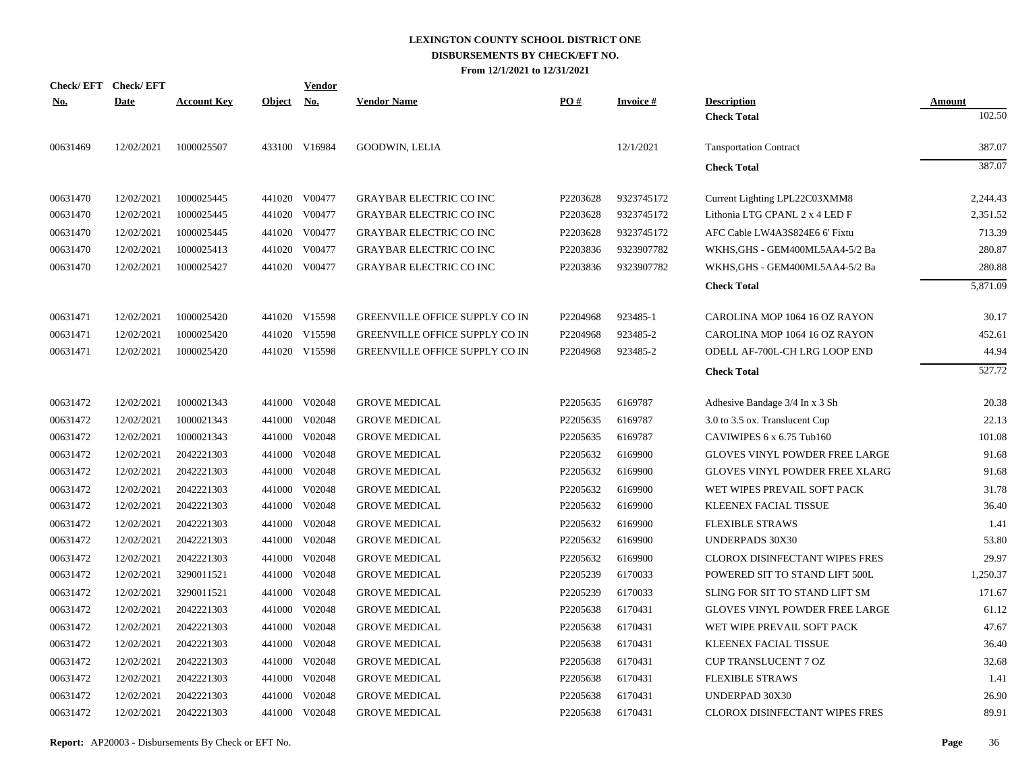|            | Check/EFT Check/EFT |                    |            | <u>Vendor</u> |                                       |          |                 |                                       |               |
|------------|---------------------|--------------------|------------|---------------|---------------------------------------|----------|-----------------|---------------------------------------|---------------|
| <u>No.</u> | <b>Date</b>         | <b>Account Key</b> | Object No. |               | <b>Vendor Name</b>                    | PO#      | <b>Invoice#</b> | <b>Description</b>                    | <b>Amount</b> |
|            |                     |                    |            |               |                                       |          |                 | <b>Check Total</b>                    | 102.50        |
| 00631469   | 12/02/2021          | 1000025507         |            | 433100 V16984 | <b>GOODWIN, LELIA</b>                 |          | 12/1/2021       | <b>Tansportation Contract</b>         | 387.07        |
|            |                     |                    |            |               |                                       |          |                 | <b>Check Total</b>                    | 387.07        |
| 00631470   | 12/02/2021          | 1000025445         |            | 441020 V00477 | <b>GRAYBAR ELECTRIC CO INC</b>        | P2203628 | 9323745172      | Current Lighting LPL22C03XMM8         | 2,244.43      |
| 00631470   | 12/02/2021          | 1000025445         | 441020     | V00477        | <b>GRAYBAR ELECTRIC CO INC</b>        | P2203628 | 9323745172      | Lithonia LTG CPANL 2 x 4 LED F        | 2,351.52      |
| 00631470   | 12/02/2021          | 1000025445         | 441020     | V00477        | <b>GRAYBAR ELECTRIC CO INC</b>        | P2203628 | 9323745172      | AFC Cable LW4A3S824E6 6' Fixtu        | 713.39        |
| 00631470   | 12/02/2021          | 1000025413         | 441020     | V00477        | <b>GRAYBAR ELECTRIC CO INC</b>        | P2203836 | 9323907782      | WKHS, GHS - GEM400ML5AA4-5/2 Ba       | 280.87        |
| 00631470   | 12/02/2021          | 1000025427         |            | 441020 V00477 | <b>GRAYBAR ELECTRIC CO INC</b>        | P2203836 | 9323907782      | WKHS, GHS - GEM400ML5AA4-5/2 Ba       | 280.88        |
|            |                     |                    |            |               |                                       |          |                 | <b>Check Total</b>                    | 5,871.09      |
| 00631471   | 12/02/2021          | 1000025420         |            | 441020 V15598 | GREENVILLE OFFICE SUPPLY CO IN        | P2204968 | 923485-1        | CAROLINA MOP 1064 16 OZ RAYON         | 30.17         |
| 00631471   | 12/02/2021          | 1000025420         | 441020     | V15598        | <b>GREENVILLE OFFICE SUPPLY CO IN</b> | P2204968 | 923485-2        | CAROLINA MOP 1064 16 OZ RAYON         | 452.61        |
| 00631471   | 12/02/2021          | 1000025420         |            | 441020 V15598 | <b>GREENVILLE OFFICE SUPPLY CO IN</b> | P2204968 | 923485-2        | ODELL AF-700L-CH LRG LOOP END         | 44.94         |
|            |                     |                    |            |               |                                       |          |                 | <b>Check Total</b>                    | 527.72        |
| 00631472   | 12/02/2021          | 1000021343         |            | 441000 V02048 | <b>GROVE MEDICAL</b>                  | P2205635 | 6169787         | Adhesive Bandage 3/4 In x 3 Sh        | 20.38         |
| 00631472   | 12/02/2021          | 1000021343         | 441000     | V02048        | <b>GROVE MEDICAL</b>                  | P2205635 | 6169787         | 3.0 to 3.5 ox. Translucent Cup        | 22.13         |
| 00631472   | 12/02/2021          | 1000021343         | 441000     | V02048        | <b>GROVE MEDICAL</b>                  | P2205635 | 6169787         | CAVIWIPES 6 x 6.75 Tub160             | 101.08        |
| 00631472   | 12/02/2021          | 2042221303         | 441000     | V02048        | <b>GROVE MEDICAL</b>                  | P2205632 | 6169900         | <b>GLOVES VINYL POWDER FREE LARGE</b> | 91.68         |
| 00631472   | 12/02/2021          | 2042221303         | 441000     | V02048        | <b>GROVE MEDICAL</b>                  | P2205632 | 6169900         | <b>GLOVES VINYL POWDER FREE XLARG</b> | 91.68         |
| 00631472   | 12/02/2021          | 2042221303         | 441000     | V02048        | <b>GROVE MEDICAL</b>                  | P2205632 | 6169900         | WET WIPES PREVAIL SOFT PACK           | 31.78         |
| 00631472   | 12/02/2021          | 2042221303         | 441000     | V02048        | <b>GROVE MEDICAL</b>                  | P2205632 | 6169900         | KLEENEX FACIAL TISSUE                 | 36.40         |
| 00631472   | 12/02/2021          | 2042221303         | 441000     | V02048        | <b>GROVE MEDICAL</b>                  | P2205632 | 6169900         | <b>FLEXIBLE STRAWS</b>                | 1.41          |
| 00631472   | 12/02/2021          | 2042221303         |            | 441000 V02048 | <b>GROVE MEDICAL</b>                  | P2205632 | 6169900         | <b>UNDERPADS 30X30</b>                | 53.80         |
| 00631472   | 12/02/2021          | 2042221303         | 441000     | V02048        | <b>GROVE MEDICAL</b>                  | P2205632 | 6169900         | CLOROX DISINFECTANT WIPES FRES        | 29.97         |
| 00631472   | 12/02/2021          | 3290011521         |            | 441000 V02048 | <b>GROVE MEDICAL</b>                  | P2205239 | 6170033         | POWERED SIT TO STAND LIFT 500L        | 1,250.37      |
| 00631472   | 12/02/2021          | 3290011521         | 441000     | V02048        | <b>GROVE MEDICAL</b>                  | P2205239 | 6170033         | SLING FOR SIT TO STAND LIFT SM        | 171.67        |
| 00631472   | 12/02/2021          | 2042221303         | 441000     | V02048        | <b>GROVE MEDICAL</b>                  | P2205638 | 6170431         | GLOVES VINYL POWDER FREE LARGE        | 61.12         |
| 00631472   | 12/02/2021          | 2042221303         | 441000     | V02048        | <b>GROVE MEDICAL</b>                  | P2205638 | 6170431         | WET WIPE PREVAIL SOFT PACK            | 47.67         |
| 00631472   | 12/02/2021          | 2042221303         | 441000     | V02048        | <b>GROVE MEDICAL</b>                  | P2205638 | 6170431         | KLEENEX FACIAL TISSUE                 | 36.40         |
| 00631472   | 12/02/2021          | 2042221303         | 441000     | V02048        | <b>GROVE MEDICAL</b>                  | P2205638 | 6170431         | CUP TRANSLUCENT 7 OZ                  | 32.68         |
| 00631472   | 12/02/2021          | 2042221303         | 441000     | V02048        | <b>GROVE MEDICAL</b>                  | P2205638 | 6170431         | <b>FLEXIBLE STRAWS</b>                | 1.41          |
| 00631472   | 12/02/2021          | 2042221303         | 441000     | V02048        | <b>GROVE MEDICAL</b>                  | P2205638 | 6170431         | UNDERPAD 30X30                        | 26.90         |
| 00631472   | 12/02/2021          | 2042221303         |            | 441000 V02048 | <b>GROVE MEDICAL</b>                  | P2205638 | 6170431         | CLOROX DISINFECTANT WIPES FRES        | 89.91         |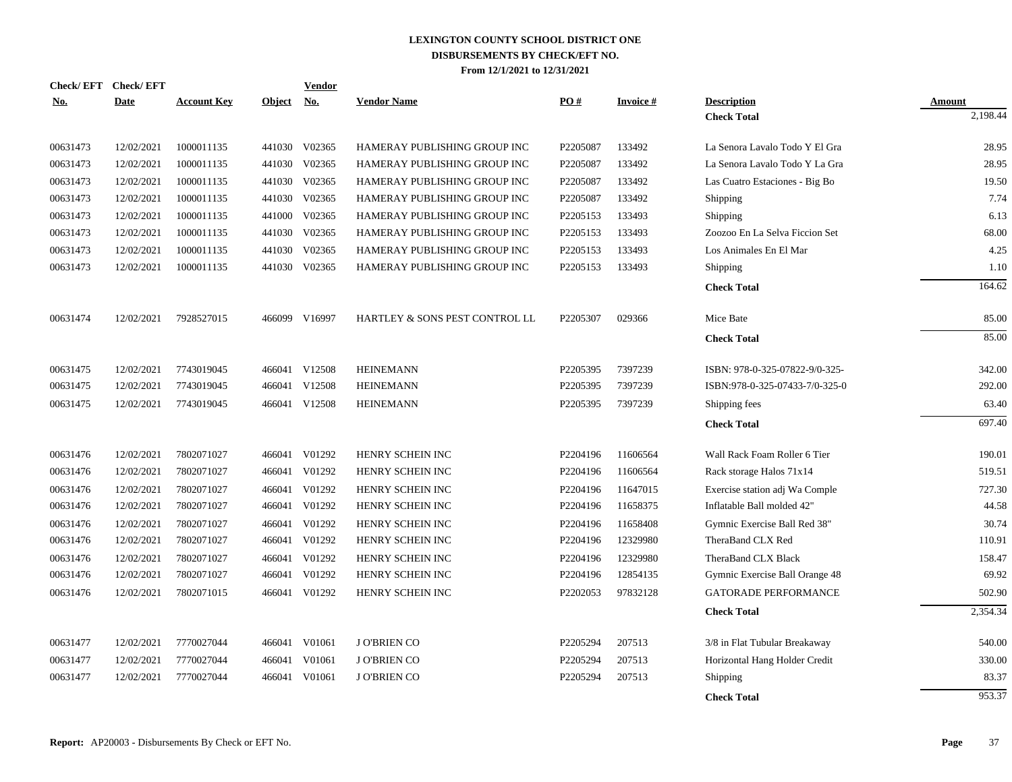|            | Check/EFT Check/EFT |                    |               | <b>Vendor</b> |                                |                      |           |                                |          |
|------------|---------------------|--------------------|---------------|---------------|--------------------------------|----------------------|-----------|--------------------------------|----------|
| <u>No.</u> | <b>Date</b>         | <b>Account Key</b> | <b>Object</b> | <u>No.</u>    | <b>Vendor Name</b>             | PO#                  | Invoice # | <b>Description</b>             | Amount   |
|            |                     |                    |               |               |                                |                      |           | <b>Check Total</b>             | 2,198.44 |
| 00631473   | 12/02/2021          | 1000011135         |               | 441030 V02365 | HAMERAY PUBLISHING GROUP INC   | P2205087             | 133492    | La Senora Lavalo Todo Y El Gra | 28.95    |
| 00631473   | 12/02/2021          | 1000011135         |               | 441030 V02365 | HAMERAY PUBLISHING GROUP INC   | P2205087             | 133492    | La Senora Lavalo Todo Y La Gra | 28.95    |
| 00631473   | 12/02/2021          | 1000011135         |               | 441030 V02365 | HAMERAY PUBLISHING GROUP INC   | P2205087             | 133492    | Las Cuatro Estaciones - Big Bo | 19.50    |
| 00631473   | 12/02/2021          | 1000011135         |               | 441030 V02365 | HAMERAY PUBLISHING GROUP INC   | P2205087             | 133492    | Shipping                       | 7.74     |
| 00631473   | 12/02/2021          | 1000011135         | 441000        | V02365        | HAMERAY PUBLISHING GROUP INC   | P2205153             | 133493    | Shipping                       | 6.13     |
| 00631473   | 12/02/2021          | 1000011135         |               | 441030 V02365 | HAMERAY PUBLISHING GROUP INC   | P2205153             | 133493    | Zoozoo En La Selva Ficcion Set | 68.00    |
| 00631473   | 12/02/2021          | 1000011135         |               | 441030 V02365 | HAMERAY PUBLISHING GROUP INC   | P2205153             | 133493    | Los Animales En El Mar         | 4.25     |
| 00631473   | 12/02/2021          | 1000011135         |               | 441030 V02365 | HAMERAY PUBLISHING GROUP INC   | P2205153             | 133493    | Shipping                       | 1.10     |
|            |                     |                    |               |               |                                |                      |           | <b>Check Total</b>             | 164.62   |
| 00631474   | 12/02/2021          | 7928527015         |               | 466099 V16997 | HARTLEY & SONS PEST CONTROL LL | P2205307             | 029366    | Mice Bate                      | 85.00    |
|            |                     |                    |               |               |                                |                      |           | <b>Check Total</b>             | 85.00    |
| 00631475   | 12/02/2021          | 7743019045         |               | 466041 V12508 | <b>HEINEMANN</b>               | P2205395             | 7397239   | ISBN: 978-0-325-07822-9/0-325- | 342.00   |
| 00631475   | 12/02/2021          | 7743019045         | 466041        | V12508        | <b>HEINEMANN</b>               | P2205395             | 7397239   | ISBN:978-0-325-07433-7/0-325-0 | 292.00   |
| 00631475   | 12/02/2021          | 7743019045         |               | 466041 V12508 | <b>HEINEMANN</b>               | P2205395             | 7397239   | Shipping fees                  | 63.40    |
|            |                     |                    |               |               |                                |                      |           | <b>Check Total</b>             | 697.40   |
| 00631476   | 12/02/2021          | 7802071027         | 466041        | V01292        | HENRY SCHEIN INC               | P2204196             | 11606564  | Wall Rack Foam Roller 6 Tier   | 190.01   |
| 00631476   | 12/02/2021          | 7802071027         | 466041        | V01292        | HENRY SCHEIN INC               | P <sub>2204196</sub> | 11606564  | Rack storage Halos 71x14       | 519.51   |
| 00631476   | 12/02/2021          | 7802071027         |               | 466041 V01292 | HENRY SCHEIN INC               | P2204196             | 11647015  | Exercise station adj Wa Comple | 727.30   |
| 00631476   | 12/02/2021          | 7802071027         |               | 466041 V01292 | HENRY SCHEIN INC               | P2204196             | 11658375  | Inflatable Ball molded 42"     | 44.58    |
| 00631476   | 12/02/2021          | 7802071027         |               | 466041 V01292 | HENRY SCHEIN INC               | P2204196             | 11658408  | Gymnic Exercise Ball Red 38"   | 30.74    |
| 00631476   | 12/02/2021          | 7802071027         |               | 466041 V01292 | HENRY SCHEIN INC               | P2204196             | 12329980  | TheraBand CLX Red              | 110.91   |
| 00631476   | 12/02/2021          | 7802071027         |               | 466041 V01292 | HENRY SCHEIN INC               | P2204196             | 12329980  | TheraBand CLX Black            | 158.47   |
| 00631476   | 12/02/2021          | 7802071027         | 466041        | V01292        | HENRY SCHEIN INC               | P2204196             | 12854135  | Gymnic Exercise Ball Orange 48 | 69.92    |
| 00631476   | 12/02/2021          | 7802071015         | 466041        | V01292        | HENRY SCHEIN INC               | P2202053             | 97832128  | <b>GATORADE PERFORMANCE</b>    | 502.90   |
|            |                     |                    |               |               |                                |                      |           | <b>Check Total</b>             | 2,354.34 |
| 00631477   | 12/02/2021          | 7770027044         |               | 466041 V01061 | <b>JO'BRIEN CO</b>             | P2205294             | 207513    | 3/8 in Flat Tubular Breakaway  | 540.00   |
| 00631477   | 12/02/2021          | 7770027044         | 466041        | V01061        | <b>JO'BRIEN CO</b>             | P2205294             | 207513    | Horizontal Hang Holder Credit  | 330.00   |
| 00631477   | 12/02/2021          | 7770027044         | 466041        | V01061        | <b>JO'BRIEN CO</b>             | P2205294             | 207513    | Shipping                       | 83.37    |
|            |                     |                    |               |               |                                |                      |           | <b>Check Total</b>             | 953.37   |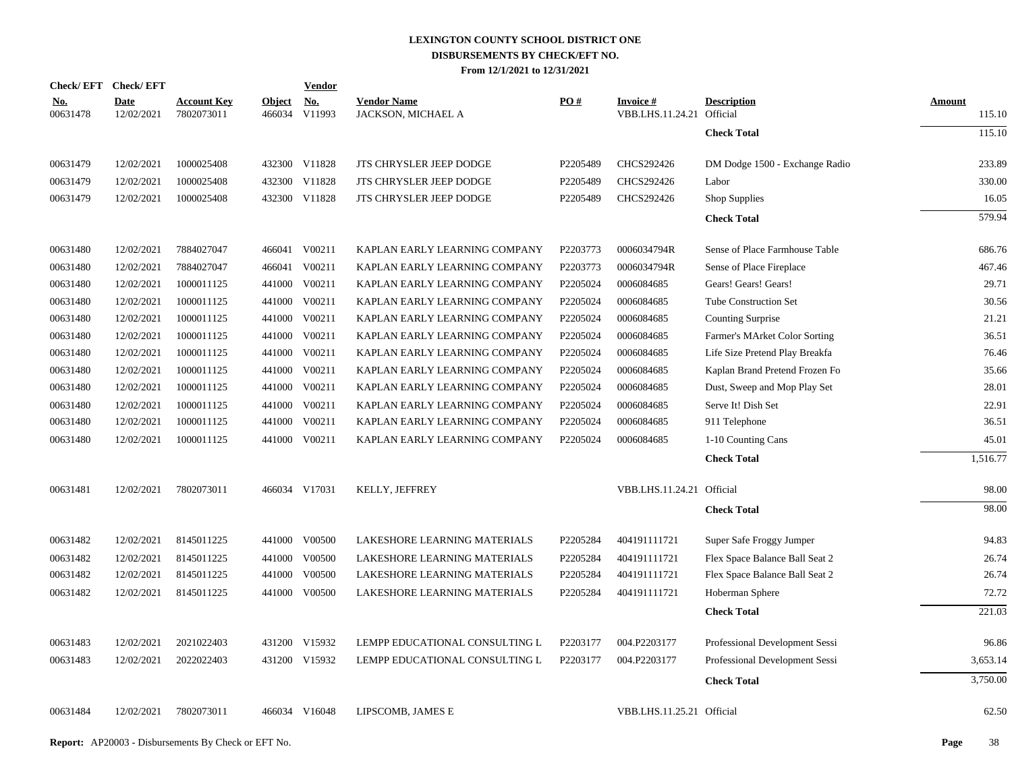|                        | Check/EFT Check/EFT       |                                  |                         | <b>Vendor</b>        |                                          |          |                               |                                |                  |
|------------------------|---------------------------|----------------------------------|-------------------------|----------------------|------------------------------------------|----------|-------------------------------|--------------------------------|------------------|
| <u>No.</u><br>00631478 | <b>Date</b><br>12/02/2021 | <b>Account Key</b><br>7802073011 | <b>Object</b><br>466034 | <u>No.</u><br>V11993 | <b>Vendor Name</b><br>JACKSON, MICHAEL A | PO#      | Invoice #<br>VBB.LHS.11.24.21 | <b>Description</b><br>Official | Amount<br>115.10 |
|                        |                           |                                  |                         |                      |                                          |          |                               | <b>Check Total</b>             | 115.10           |
| 00631479               | 12/02/2021                | 1000025408                       |                         | 432300 V11828        | JTS CHRYSLER JEEP DODGE                  | P2205489 | CHCS292426                    | DM Dodge 1500 - Exchange Radio | 233.89           |
| 00631479               | 12/02/2021                | 1000025408                       |                         | 432300 V11828        | JTS CHRYSLER JEEP DODGE                  | P2205489 | CHCS292426                    | Labor                          | 330.00           |
| 00631479               | 12/02/2021                | 1000025408                       |                         | 432300 V11828        | JTS CHRYSLER JEEP DODGE                  | P2205489 | CHCS292426                    | Shop Supplies                  | 16.05            |
|                        |                           |                                  |                         |                      |                                          |          |                               | <b>Check Total</b>             | 579.94           |
| 00631480               | 12/02/2021                | 7884027047                       |                         | 466041 V00211        | KAPLAN EARLY LEARNING COMPANY            | P2203773 | 0006034794R                   | Sense of Place Farmhouse Table | 686.76           |
| 00631480               | 12/02/2021                | 7884027047                       | 466041                  | V00211               | KAPLAN EARLY LEARNING COMPANY            | P2203773 | 0006034794R                   | Sense of Place Fireplace       | 467.46           |
| 00631480               | 12/02/2021                | 1000011125                       |                         | 441000 V00211        | KAPLAN EARLY LEARNING COMPANY            | P2205024 | 0006084685                    | Gears! Gears! Gears!           | 29.71            |
| 00631480               | 12/02/2021                | 1000011125                       | 441000                  | V00211               | KAPLAN EARLY LEARNING COMPANY            | P2205024 | 0006084685                    | <b>Tube Construction Set</b>   | 30.56            |
| 00631480               | 12/02/2021                | 1000011125                       |                         | 441000 V00211        | KAPLAN EARLY LEARNING COMPANY            | P2205024 | 0006084685                    | <b>Counting Surprise</b>       | 21.21            |
| 00631480               | 12/02/2021                | 1000011125                       |                         | 441000 V00211        | KAPLAN EARLY LEARNING COMPANY            | P2205024 | 0006084685                    | Farmer's MArket Color Sorting  | 36.51            |
| 00631480               | 12/02/2021                | 1000011125                       |                         | 441000 V00211        | KAPLAN EARLY LEARNING COMPANY            | P2205024 | 0006084685                    | Life Size Pretend Play Breakfa | 76.46            |
| 00631480               | 12/02/2021                | 1000011125                       |                         | 441000 V00211        | KAPLAN EARLY LEARNING COMPANY            | P2205024 | 0006084685                    | Kaplan Brand Pretend Frozen Fo | 35.66            |
| 00631480               | 12/02/2021                | 1000011125                       |                         | 441000 V00211        | KAPLAN EARLY LEARNING COMPANY            | P2205024 | 0006084685                    | Dust, Sweep and Mop Play Set   | 28.01            |
| 00631480               | 12/02/2021                | 1000011125                       |                         | 441000 V00211        | KAPLAN EARLY LEARNING COMPANY            | P2205024 | 0006084685                    | Serve It! Dish Set             | 22.91            |
| 00631480               | 12/02/2021                | 1000011125                       |                         | 441000 V00211        | KAPLAN EARLY LEARNING COMPANY            | P2205024 | 0006084685                    | 911 Telephone                  | 36.51            |
| 00631480               | 12/02/2021                | 1000011125                       |                         | 441000 V00211        | KAPLAN EARLY LEARNING COMPANY            | P2205024 | 0006084685                    | 1-10 Counting Cans             | 45.01            |
|                        |                           |                                  |                         |                      |                                          |          |                               | <b>Check Total</b>             | 1,516.77         |
| 00631481               | 12/02/2021                | 7802073011                       |                         | 466034 V17031        | KELLY, JEFFREY                           |          | VBB.LHS.11.24.21 Official     |                                | 98.00            |
|                        |                           |                                  |                         |                      |                                          |          |                               | <b>Check Total</b>             | 98.00            |
| 00631482               | 12/02/2021                | 8145011225                       |                         | 441000 V00500        | LAKESHORE LEARNING MATERIALS             | P2205284 | 404191111721                  | Super Safe Froggy Jumper       | 94.83            |
| 00631482               | 12/02/2021                | 8145011225                       |                         | 441000 V00500        | LAKESHORE LEARNING MATERIALS             | P2205284 | 404191111721                  | Flex Space Balance Ball Seat 2 | 26.74            |
| 00631482               | 12/02/2021                | 8145011225                       |                         | 441000 V00500        | LAKESHORE LEARNING MATERIALS             | P2205284 | 404191111721                  | Flex Space Balance Ball Seat 2 | 26.74            |
| 00631482               | 12/02/2021                | 8145011225                       |                         | 441000 V00500        | LAKESHORE LEARNING MATERIALS             | P2205284 | 404191111721                  | Hoberman Sphere                | 72.72            |
|                        |                           |                                  |                         |                      |                                          |          |                               | <b>Check Total</b>             | 221.03           |
| 00631483               | 12/02/2021                | 2021022403                       |                         | 431200 V15932        | LEMPP EDUCATIONAL CONSULTING L           | P2203177 | 004.P2203177                  | Professional Development Sessi | 96.86            |
| 00631483               | 12/02/2021                | 2022022403                       |                         | 431200 V15932        | LEMPP EDUCATIONAL CONSULTING L           | P2203177 | 004.P2203177                  | Professional Development Sessi | 3,653.14         |
|                        |                           |                                  |                         |                      |                                          |          |                               | <b>Check Total</b>             | 3,750.00         |
| 00631484               | 12/02/2021                | 7802073011                       |                         | 466034 V16048        | LIPSCOMB, JAMES E                        |          | VBB.LHS.11.25.21 Official     |                                | 62.50            |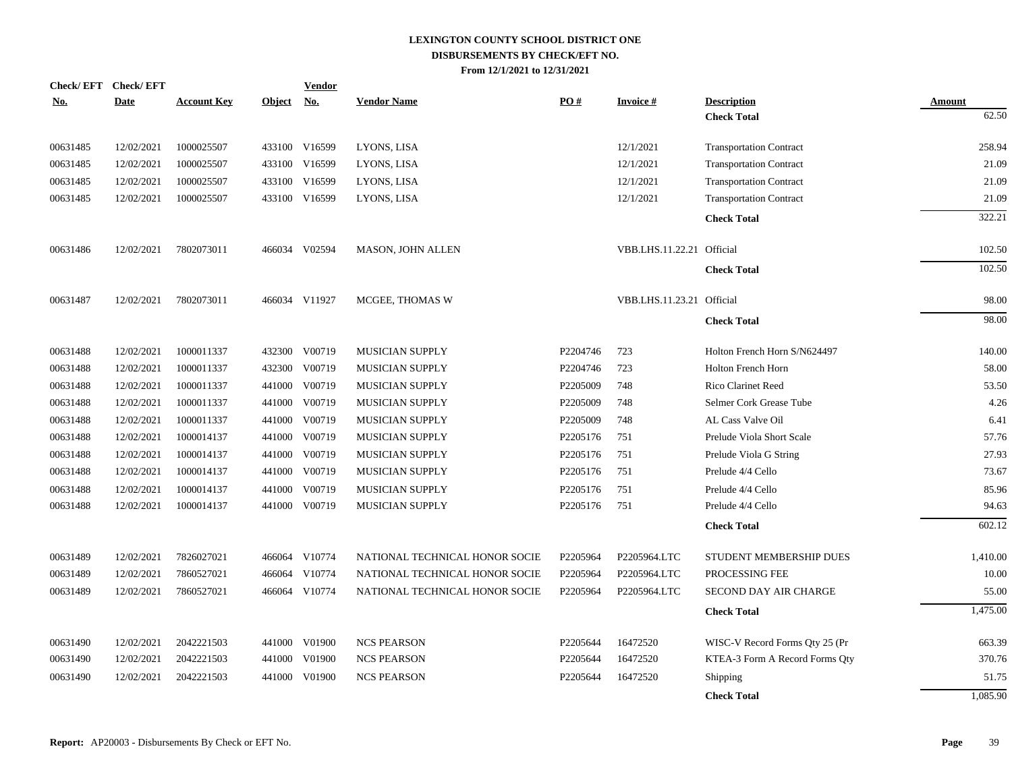|            | Check/EFT Check/EFT |                    |               | <b>Vendor</b> |                                |          |                           |                                |               |
|------------|---------------------|--------------------|---------------|---------------|--------------------------------|----------|---------------------------|--------------------------------|---------------|
| <u>No.</u> | <b>Date</b>         | <b>Account Key</b> | <b>Object</b> | <u>No.</u>    | <b>Vendor Name</b>             | PO#      | <b>Invoice#</b>           | <b>Description</b>             | <b>Amount</b> |
|            |                     |                    |               |               |                                |          |                           | <b>Check Total</b>             | 62.50         |
| 00631485   | 12/02/2021          | 1000025507         |               | 433100 V16599 | LYONS, LISA                    |          | 12/1/2021                 | <b>Transportation Contract</b> | 258.94        |
| 00631485   | 12/02/2021          | 1000025507         |               | 433100 V16599 | LYONS, LISA                    |          | 12/1/2021                 | <b>Transportation Contract</b> | 21.09         |
| 00631485   | 12/02/2021          | 1000025507         | 433100        | V16599        | LYONS, LISA                    |          | 12/1/2021                 | <b>Transportation Contract</b> | 21.09         |
| 00631485   | 12/02/2021          | 1000025507         | 433100        | V16599        | LYONS, LISA                    |          | 12/1/2021                 | <b>Transportation Contract</b> | 21.09         |
|            |                     |                    |               |               |                                |          |                           | <b>Check Total</b>             | 322.21        |
| 00631486   | 12/02/2021          | 7802073011         |               | 466034 V02594 | <b>MASON, JOHN ALLEN</b>       |          | VBB.LHS.11.22.21 Official |                                | 102.50        |
|            |                     |                    |               |               |                                |          |                           | <b>Check Total</b>             | 102.50        |
| 00631487   | 12/02/2021          | 7802073011         |               | 466034 V11927 | MCGEE, THOMAS W                |          | VBB.LHS.11.23.21 Official |                                | 98.00         |
|            |                     |                    |               |               |                                |          |                           | <b>Check Total</b>             | 98.00         |
| 00631488   | 12/02/2021          | 1000011337         | 432300        | V00719        | MUSICIAN SUPPLY                | P2204746 | 723                       | Holton French Horn S/N624497   | 140.00        |
| 00631488   | 12/02/2021          | 1000011337         | 432300        | V00719        | MUSICIAN SUPPLY                | P2204746 | 723                       | Holton French Horn             | 58.00         |
| 00631488   | 12/02/2021          | 1000011337         | 441000        | V00719        | MUSICIAN SUPPLY                | P2205009 | 748                       | Rico Clarinet Reed             | 53.50         |
| 00631488   | 12/02/2021          | 1000011337         | 441000        | V00719        | MUSICIAN SUPPLY                | P2205009 | 748                       | Selmer Cork Grease Tube        | 4.26          |
| 00631488   | 12/02/2021          | 1000011337         | 441000        | V00719        | MUSICIAN SUPPLY                | P2205009 | 748                       | AL Cass Valve Oil              | 6.41          |
| 00631488   | 12/02/2021          | 1000014137         | 441000        | V00719        | MUSICIAN SUPPLY                | P2205176 | 751                       | Prelude Viola Short Scale      | 57.76         |
| 00631488   | 12/02/2021          | 1000014137         | 441000        | V00719        | MUSICIAN SUPPLY                | P2205176 | 751                       | Prelude Viola G String         | 27.93         |
| 00631488   | 12/02/2021          | 1000014137         | 441000        | V00719        | MUSICIAN SUPPLY                | P2205176 | 751                       | Prelude 4/4 Cello              | 73.67         |
| 00631488   | 12/02/2021          | 1000014137         | 441000        | V00719        | MUSICIAN SUPPLY                | P2205176 | 751                       | Prelude 4/4 Cello              | 85.96         |
| 00631488   | 12/02/2021          | 1000014137         |               | 441000 V00719 | MUSICIAN SUPPLY                | P2205176 | 751                       | Prelude 4/4 Cello              | 94.63         |
|            |                     |                    |               |               |                                |          |                           | <b>Check Total</b>             | 602.12        |
| 00631489   | 12/02/2021          | 7826027021         |               | 466064 V10774 | NATIONAL TECHNICAL HONOR SOCIE | P2205964 | P2205964.LTC              | STUDENT MEMBERSHIP DUES        | 1,410.00      |
| 00631489   | 12/02/2021          | 7860527021         |               | 466064 V10774 | NATIONAL TECHNICAL HONOR SOCIE | P2205964 | P2205964.LTC              | PROCESSING FEE                 | 10.00         |
| 00631489   | 12/02/2021          | 7860527021         |               | 466064 V10774 | NATIONAL TECHNICAL HONOR SOCIE | P2205964 | P2205964.LTC              | <b>SECOND DAY AIR CHARGE</b>   | 55.00         |
|            |                     |                    |               |               |                                |          |                           | <b>Check Total</b>             | 1,475.00      |
| 00631490   | 12/02/2021          | 2042221503         | 441000        | V01900        | <b>NCS PEARSON</b>             | P2205644 | 16472520                  | WISC-V Record Forms Qty 25 (Pr | 663.39        |
| 00631490   | 12/02/2021          | 2042221503         | 441000        | V01900        | <b>NCS PEARSON</b>             | P2205644 | 16472520                  | KTEA-3 Form A Record Forms Qty | 370.76        |
| 00631490   | 12/02/2021          | 2042221503         | 441000        | V01900        | <b>NCS PEARSON</b>             | P2205644 | 16472520                  | Shipping                       | 51.75         |
|            |                     |                    |               |               |                                |          |                           | <b>Check Total</b>             | 1.085.90      |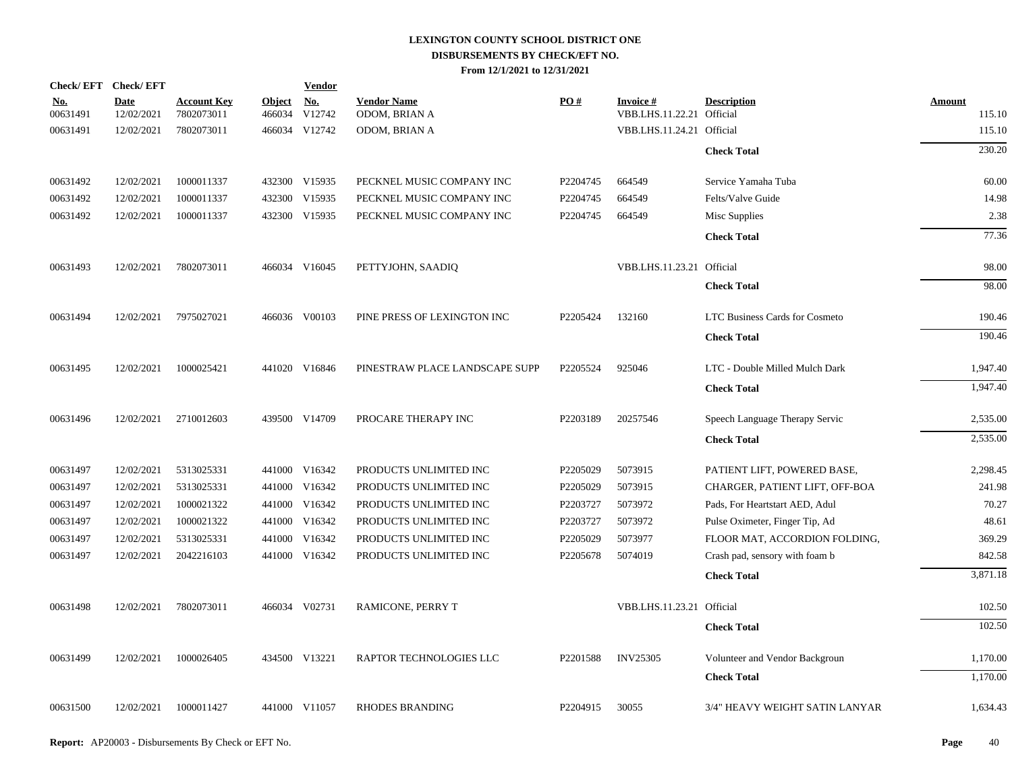| Check/EFT Check/EFT    |                           |                                  |                         | <b>Vendor</b> |                                     |          |                                        |                                |                  |
|------------------------|---------------------------|----------------------------------|-------------------------|---------------|-------------------------------------|----------|----------------------------------------|--------------------------------|------------------|
| <u>No.</u><br>00631491 | <b>Date</b><br>12/02/2021 | <b>Account Key</b><br>7802073011 | <b>Object</b><br>466034 | No.<br>V12742 | <b>Vendor Name</b><br>ODOM, BRIAN A | PO#      | Invoice #<br>VBB.LHS.11.22.21 Official | <b>Description</b>             | Amount<br>115.10 |
| 00631491               | 12/02/2021                | 7802073011                       |                         | 466034 V12742 | ODOM, BRIAN A                       |          | VBB.LHS.11.24.21 Official              |                                | 115.10           |
|                        |                           |                                  |                         |               |                                     |          |                                        | <b>Check Total</b>             | 230.20           |
| 00631492               | 12/02/2021                | 1000011337                       |                         | 432300 V15935 | PECKNEL MUSIC COMPANY INC           | P2204745 | 664549                                 | Service Yamaha Tuba            | 60.00            |
| 00631492               | 12/02/2021                | 1000011337                       |                         | 432300 V15935 | PECKNEL MUSIC COMPANY INC           | P2204745 | 664549                                 | Felts/Valve Guide              | 14.98            |
| 00631492               | 12/02/2021                | 1000011337                       |                         | 432300 V15935 | PECKNEL MUSIC COMPANY INC           | P2204745 | 664549                                 | Misc Supplies                  | 2.38             |
|                        |                           |                                  |                         |               |                                     |          |                                        | <b>Check Total</b>             | 77.36            |
| 00631493               | 12/02/2021                | 7802073011                       |                         | 466034 V16045 | PETTYJOHN, SAADIQ                   |          | VBB.LHS.11.23.21 Official              |                                | 98.00            |
|                        |                           |                                  |                         |               |                                     |          |                                        | <b>Check Total</b>             | 98.00            |
| 00631494               | 12/02/2021                | 7975027021                       |                         | 466036 V00103 | PINE PRESS OF LEXINGTON INC         | P2205424 | 132160                                 | LTC Business Cards for Cosmeto | 190.46           |
|                        |                           |                                  |                         |               |                                     |          |                                        | <b>Check Total</b>             | 190.46           |
| 00631495               | 12/02/2021                | 1000025421                       |                         | 441020 V16846 | PINESTRAW PLACE LANDSCAPE SUPP      | P2205524 | 925046                                 | LTC - Double Milled Mulch Dark | 1,947.40         |
|                        |                           |                                  |                         |               |                                     |          |                                        | <b>Check Total</b>             | 1,947.40         |
| 00631496               | 12/02/2021                | 2710012603                       |                         | 439500 V14709 | PROCARE THERAPY INC                 | P2203189 | 20257546                               | Speech Language Therapy Servic | 2,535.00         |
|                        |                           |                                  |                         |               |                                     |          |                                        | <b>Check Total</b>             | 2,535.00         |
| 00631497               | 12/02/2021                | 5313025331                       |                         | 441000 V16342 | PRODUCTS UNLIMITED INC              | P2205029 | 5073915                                | PATIENT LIFT, POWERED BASE,    | 2,298.45         |
| 00631497               | 12/02/2021                | 5313025331                       |                         | 441000 V16342 | PRODUCTS UNLIMITED INC              | P2205029 | 5073915                                | CHARGER, PATIENT LIFT, OFF-BOA | 241.98           |
| 00631497               | 12/02/2021                | 1000021322                       |                         | 441000 V16342 | PRODUCTS UNLIMITED INC              | P2203727 | 5073972                                | Pads, For Heartstart AED, Adul | 70.27            |
| 00631497               | 12/02/2021                | 1000021322                       |                         | 441000 V16342 | PRODUCTS UNLIMITED INC              | P2203727 | 5073972                                | Pulse Oximeter, Finger Tip, Ad | 48.61            |
| 00631497               | 12/02/2021                | 5313025331                       |                         | 441000 V16342 | PRODUCTS UNLIMITED INC              | P2205029 | 5073977                                | FLOOR MAT, ACCORDION FOLDING,  | 369.29           |
| 00631497               | 12/02/2021                | 2042216103                       |                         | 441000 V16342 | PRODUCTS UNLIMITED INC              | P2205678 | 5074019                                | Crash pad, sensory with foam b | 842.58           |
|                        |                           |                                  |                         |               |                                     |          |                                        | <b>Check Total</b>             | 3,871.18         |
| 00631498               | 12/02/2021                | 7802073011                       |                         | 466034 V02731 | RAMICONE, PERRY T                   |          | VBB.LHS.11.23.21 Official              |                                | 102.50           |
|                        |                           |                                  |                         |               |                                     |          |                                        | <b>Check Total</b>             | 102.50           |
| 00631499               | 12/02/2021                | 1000026405                       |                         | 434500 V13221 | RAPTOR TECHNOLOGIES LLC             | P2201588 | <b>INV25305</b>                        | Volunteer and Vendor Backgroun | 1,170.00         |
|                        |                           |                                  |                         |               |                                     |          |                                        | <b>Check Total</b>             | 1,170.00         |
| 00631500               | 12/02/2021                | 1000011427                       |                         | 441000 V11057 | <b>RHODES BRANDING</b>              | P2204915 | 30055                                  | 3/4" HEAVY WEIGHT SATIN LANYAR | 1,634.43         |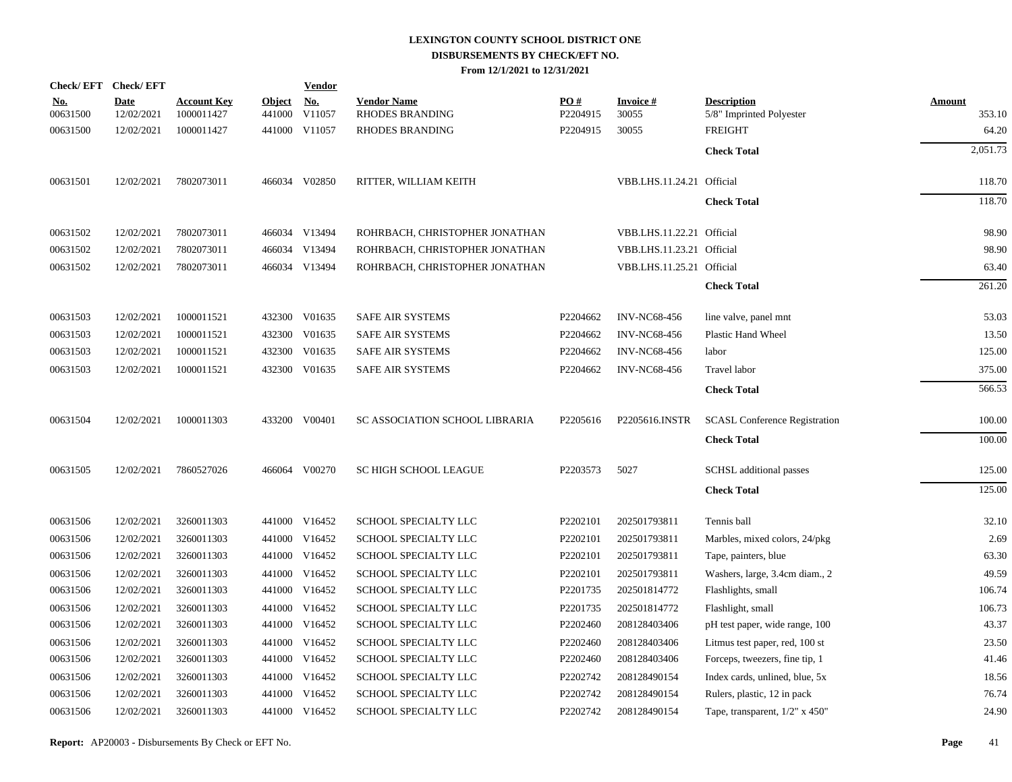|                        | Check/EFT Check/EFT       |                                  |                         | <b>Vendor</b>     |                                              |                 |                           |                                                |                  |
|------------------------|---------------------------|----------------------------------|-------------------------|-------------------|----------------------------------------------|-----------------|---------------------------|------------------------------------------------|------------------|
| <u>No.</u><br>00631500 | <b>Date</b><br>12/02/2021 | <b>Account Key</b><br>1000011427 | <b>Object</b><br>441000 | $N_{0}$<br>V11057 | <b>Vendor Name</b><br><b>RHODES BRANDING</b> | PO#<br>P2204915 | <b>Invoice#</b><br>30055  | <b>Description</b><br>5/8" Imprinted Polyester | Amount<br>353.10 |
| 00631500               | 12/02/2021                | 1000011427                       |                         | 441000 V11057     | <b>RHODES BRANDING</b>                       | P2204915        | 30055                     | <b>FREIGHT</b>                                 | 64.20            |
|                        |                           |                                  |                         |                   |                                              |                 |                           | <b>Check Total</b>                             | 2,051.73         |
| 00631501               | 12/02/2021                | 7802073011                       |                         | 466034 V02850     | RITTER, WILLIAM KEITH                        |                 | VBB.LHS.11.24.21 Official |                                                | 118.70           |
|                        |                           |                                  |                         |                   |                                              |                 |                           | <b>Check Total</b>                             | 118.70           |
| 00631502               | 12/02/2021                | 7802073011                       |                         | 466034 V13494     | ROHRBACH, CHRISTOPHER JONATHAN               |                 | VBB.LHS.11.22.21 Official |                                                | 98.90            |
| 00631502               | 12/02/2021                | 7802073011                       |                         | 466034 V13494     | ROHRBACH, CHRISTOPHER JONATHAN               |                 | VBB.LHS.11.23.21 Official |                                                | 98.90            |
| 00631502               | 12/02/2021                | 7802073011                       |                         | 466034 V13494     | ROHRBACH, CHRISTOPHER JONATHAN               |                 | VBB.LHS.11.25.21 Official |                                                | 63.40            |
|                        |                           |                                  |                         |                   |                                              |                 |                           | <b>Check Total</b>                             | 261.20           |
| 00631503               | 12/02/2021                | 1000011521                       |                         | 432300 V01635     | SAFE AIR SYSTEMS                             | P2204662        | <b>INV-NC68-456</b>       | line valve, panel mnt                          | 53.03            |
| 00631503               | 12/02/2021                | 1000011521                       |                         | 432300 V01635     | SAFE AIR SYSTEMS                             | P2204662        | <b>INV-NC68-456</b>       | Plastic Hand Wheel                             | 13.50            |
| 00631503               | 12/02/2021                | 1000011521                       |                         | 432300 V01635     | <b>SAFE AIR SYSTEMS</b>                      | P2204662        | <b>INV-NC68-456</b>       | labor                                          | 125.00           |
| 00631503               | 12/02/2021                | 1000011521                       |                         | 432300 V01635     | <b>SAFE AIR SYSTEMS</b>                      | P2204662        | <b>INV-NC68-456</b>       | Travel labor                                   | 375.00           |
|                        |                           |                                  |                         |                   |                                              |                 |                           | <b>Check Total</b>                             | 566.53           |
| 00631504               | 12/02/2021                | 1000011303                       |                         | 433200 V00401     | SC ASSOCIATION SCHOOL LIBRARIA               | P2205616        | P2205616.INSTR            | <b>SCASL Conference Registration</b>           | 100.00           |
|                        |                           |                                  |                         |                   |                                              |                 |                           | <b>Check Total</b>                             | 100.00           |
| 00631505               | 12/02/2021                | 7860527026                       |                         | 466064 V00270     | SC HIGH SCHOOL LEAGUE                        | P2203573        | 5027                      | SCHSL additional passes                        | 125.00           |
|                        |                           |                                  |                         |                   |                                              |                 |                           | <b>Check Total</b>                             | 125.00           |
| 00631506               | 12/02/2021                | 3260011303                       |                         | 441000 V16452     | SCHOOL SPECIALTY LLC                         | P2202101        | 202501793811              | Tennis ball                                    | 32.10            |
| 00631506               | 12/02/2021                | 3260011303                       |                         | 441000 V16452     | SCHOOL SPECIALTY LLC                         | P2202101        | 202501793811              | Marbles, mixed colors, 24/pkg                  | 2.69             |
| 00631506               | 12/02/2021                | 3260011303                       |                         | 441000 V16452     | SCHOOL SPECIALTY LLC                         | P2202101        | 202501793811              | Tape, painters, blue                           | 63.30            |
| 00631506               | 12/02/2021                | 3260011303                       |                         | 441000 V16452     | SCHOOL SPECIALTY LLC                         | P2202101        | 202501793811              | Washers, large, 3.4cm diam., 2                 | 49.59            |
| 00631506               | 12/02/2021                | 3260011303                       |                         | 441000 V16452     | SCHOOL SPECIALTY LLC                         | P2201735        | 202501814772              | Flashlights, small                             | 106.74           |
| 00631506               | 12/02/2021                | 3260011303                       |                         | 441000 V16452     | SCHOOL SPECIALTY LLC                         | P2201735        | 202501814772              | Flashlight, small                              | 106.73           |
| 00631506               | 12/02/2021                | 3260011303                       |                         | 441000 V16452     | SCHOOL SPECIALTY LLC                         | P2202460        | 208128403406              | pH test paper, wide range, 100                 | 43.37            |
| 00631506               | 12/02/2021                | 3260011303                       |                         | 441000 V16452     | SCHOOL SPECIALTY LLC                         | P2202460        | 208128403406              | Litmus test paper, red, 100 st                 | 23.50            |
| 00631506               | 12/02/2021                | 3260011303                       |                         | 441000 V16452     | SCHOOL SPECIALTY LLC                         | P2202460        | 208128403406              | Forceps, tweezers, fine tip, 1                 | 41.46            |
| 00631506               | 12/02/2021                | 3260011303                       |                         | 441000 V16452     | SCHOOL SPECIALTY LLC                         | P2202742        | 208128490154              | Index cards, unlined, blue, 5x                 | 18.56            |
| 00631506               | 12/02/2021                | 3260011303                       |                         | 441000 V16452     | SCHOOL SPECIALTY LLC                         | P2202742        | 208128490154              | Rulers, plastic, 12 in pack                    | 76.74            |
| 00631506               | 12/02/2021                | 3260011303                       |                         | 441000 V16452     | SCHOOL SPECIALTY LLC                         | P2202742        | 208128490154              | Tape, transparent, $1/2$ " x 450"              | 24.90            |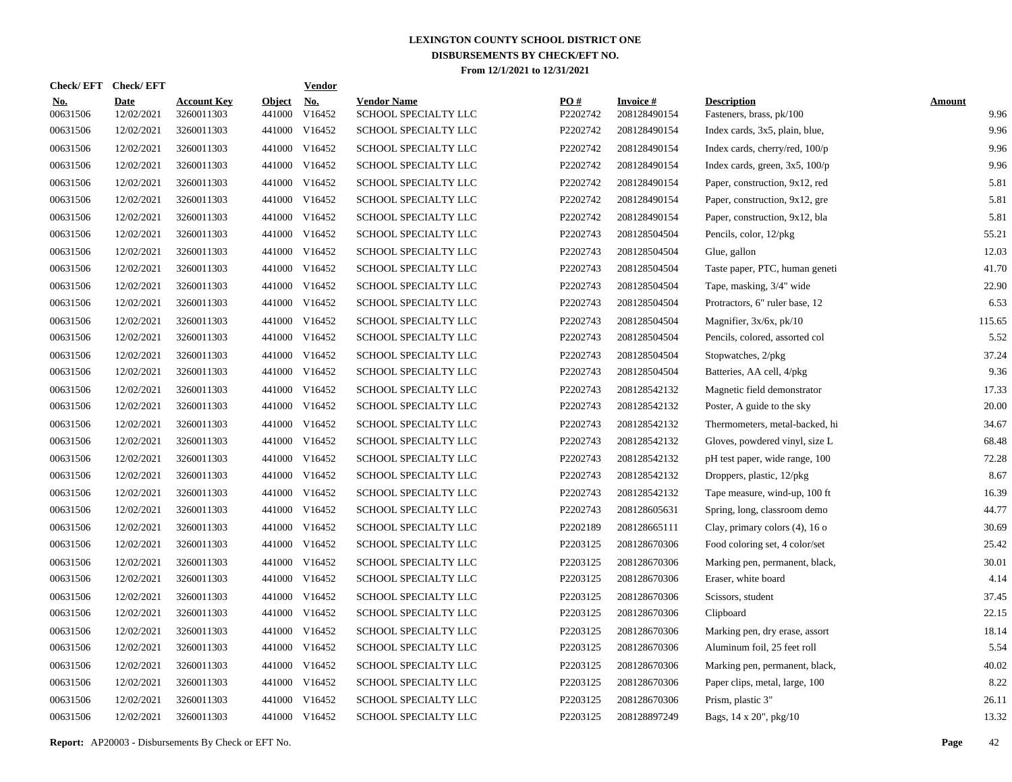| Check/EFT Check/EFT    |                           |                                  |                         | <u>Vendor</u>        |                                            |                 |                                 |                                                |                       |
|------------------------|---------------------------|----------------------------------|-------------------------|----------------------|--------------------------------------------|-----------------|---------------------------------|------------------------------------------------|-----------------------|
| <u>No.</u><br>00631506 | <b>Date</b><br>12/02/2021 | <b>Account Key</b><br>3260011303 | <b>Object</b><br>441000 | <u>No.</u><br>V16452 | <b>Vendor Name</b><br>SCHOOL SPECIALTY LLC | PQ#<br>P2202742 | <b>Invoice#</b><br>208128490154 | <b>Description</b><br>Fasteners, brass, pk/100 | <b>Amount</b><br>9.96 |
| 00631506               | 12/02/2021                | 3260011303                       |                         | 441000 V16452        | SCHOOL SPECIALTY LLC                       | P2202742        | 208128490154                    | Index cards, 3x5, plain, blue,                 | 9.96                  |
| 00631506               | 12/02/2021                | 3260011303                       |                         | 441000 V16452        | SCHOOL SPECIALTY LLC                       | P2202742        | 208128490154                    | Index cards, cherry/red, 100/p                 | 9.96                  |
| 00631506               | 12/02/2021                | 3260011303                       |                         | 441000 V16452        | <b>SCHOOL SPECIALTY LLC</b>                | P2202742        | 208128490154                    | Index cards, green, $3x5$ , $100/p$            | 9.96                  |
| 00631506               | 12/02/2021                | 3260011303                       |                         | 441000 V16452        | <b>SCHOOL SPECIALTY LLC</b>                | P2202742        | 208128490154                    | Paper, construction, 9x12, red                 | 5.81                  |
| 00631506               | 12/02/2021                | 3260011303                       |                         | 441000 V16452        | SCHOOL SPECIALTY LLC                       | P2202742        | 208128490154                    | Paper, construction, 9x12, gre                 | 5.81                  |
| 00631506               | 12/02/2021                | 3260011303                       |                         | 441000 V16452        | SCHOOL SPECIALTY LLC                       | P2202742        | 208128490154                    | Paper, construction, 9x12, bla                 | 5.81                  |
| 00631506               | 12/02/2021                | 3260011303                       |                         | 441000 V16452        | SCHOOL SPECIALTY LLC                       | P2202743        | 208128504504                    | Pencils, color, 12/pkg                         | 55.21                 |
| 00631506               | 12/02/2021                | 3260011303                       |                         | 441000 V16452        | SCHOOL SPECIALTY LLC                       | P2202743        | 208128504504                    | Glue, gallon                                   | 12.03                 |
| 00631506               | 12/02/2021                | 3260011303                       |                         | 441000 V16452        | SCHOOL SPECIALTY LLC                       | P2202743        | 208128504504                    | Taste paper, PTC, human geneti                 | 41.70                 |
| 00631506               | 12/02/2021                | 3260011303                       |                         | 441000 V16452        | SCHOOL SPECIALTY LLC                       | P2202743        | 208128504504                    | Tape, masking, 3/4" wide                       | 22.90                 |
| 00631506               | 12/02/2021                | 3260011303                       |                         | 441000 V16452        | SCHOOL SPECIALTY LLC                       | P2202743        | 208128504504                    | Protractors, 6" ruler base, 12                 | 6.53                  |
| 00631506               | 12/02/2021                | 3260011303                       |                         | 441000 V16452        | SCHOOL SPECIALTY LLC                       | P2202743        | 208128504504                    | Magnifier, $3x/6x$ , $pk/10$                   | 115.65                |
| 00631506               | 12/02/2021                | 3260011303                       |                         | 441000 V16452        | SCHOOL SPECIALTY LLC                       | P2202743        | 208128504504                    | Pencils, colored, assorted col                 | 5.52                  |
| 00631506               | 12/02/2021                | 3260011303                       |                         | 441000 V16452        | SCHOOL SPECIALTY LLC                       | P2202743        | 208128504504                    | Stopwatches, 2/pkg                             | 37.24                 |
| 00631506               | 12/02/2021                | 3260011303                       |                         | 441000 V16452        | SCHOOL SPECIALTY LLC                       | P2202743        | 208128504504                    | Batteries, AA cell, 4/pkg                      | 9.36                  |
| 00631506               | 12/02/2021                | 3260011303                       |                         | 441000 V16452        | SCHOOL SPECIALTY LLC                       | P2202743        | 208128542132                    | Magnetic field demonstrator                    | 17.33                 |
| 00631506               | 12/02/2021                | 3260011303                       |                         | 441000 V16452        | SCHOOL SPECIALTY LLC                       | P2202743        | 208128542132                    | Poster, A guide to the sky                     | 20.00                 |
| 00631506               | 12/02/2021                | 3260011303                       |                         | 441000 V16452        | SCHOOL SPECIALTY LLC                       | P2202743        | 208128542132                    | Thermometers, metal-backed, hi                 | 34.67                 |
| 00631506               | 12/02/2021                | 3260011303                       |                         | 441000 V16452        | SCHOOL SPECIALTY LLC                       | P2202743        | 208128542132                    | Gloves, powdered vinyl, size L                 | 68.48                 |
| 00631506               | 12/02/2021                | 3260011303                       |                         | 441000 V16452        | SCHOOL SPECIALTY LLC                       | P2202743        | 208128542132                    | pH test paper, wide range, 100                 | 72.28                 |
| 00631506               | 12/02/2021                | 3260011303                       |                         | 441000 V16452        | SCHOOL SPECIALTY LLC                       | P2202743        | 208128542132                    | Droppers, plastic, 12/pkg                      | 8.67                  |
| 00631506               | 12/02/2021                | 3260011303                       |                         | 441000 V16452        | SCHOOL SPECIALTY LLC                       | P2202743        | 208128542132                    | Tape measure, wind-up, 100 ft                  | 16.39                 |
| 00631506               | 12/02/2021                | 3260011303                       |                         | 441000 V16452        | SCHOOL SPECIALTY LLC                       | P2202743        | 208128605631                    | Spring, long, classroom demo                   | 44.77                 |
| 00631506               | 12/02/2021                | 3260011303                       |                         | 441000 V16452        | SCHOOL SPECIALTY LLC                       | P2202189        | 208128665111                    | Clay, primary colors (4), 16 o                 | 30.69                 |
| 00631506               | 12/02/2021                | 3260011303                       |                         | 441000 V16452        | SCHOOL SPECIALTY LLC                       | P2203125        | 208128670306                    | Food coloring set, 4 color/set                 | 25.42                 |
| 00631506               | 12/02/2021                | 3260011303                       |                         | 441000 V16452        | <b>SCHOOL SPECIALTY LLC</b>                | P2203125        | 208128670306                    | Marking pen, permanent, black,                 | 30.01                 |
| 00631506               | 12/02/2021                | 3260011303                       |                         | 441000 V16452        | SCHOOL SPECIALTY LLC                       | P2203125        | 208128670306                    | Eraser, white board                            | 4.14                  |
| 00631506               | 12/02/2021                | 3260011303                       | 441000                  | V16452               | SCHOOL SPECIALTY LLC                       | P2203125        | 208128670306                    | Scissors, student                              | 37.45                 |
| 00631506               | 12/02/2021                | 3260011303                       |                         | 441000 V16452        | SCHOOL SPECIALTY LLC                       | P2203125        | 208128670306                    | Clipboard                                      | 22.15                 |
| 00631506               | 12/02/2021                | 3260011303                       | 441000                  | V16452               | SCHOOL SPECIALTY LLC                       | P2203125        | 208128670306                    | Marking pen, dry erase, assort                 | 18.14                 |
| 00631506               | 12/02/2021                | 3260011303                       |                         | 441000 V16452        | SCHOOL SPECIALTY LLC                       | P2203125        | 208128670306                    | Aluminum foil, 25 feet roll                    | 5.54                  |
| 00631506               | 12/02/2021                | 3260011303                       | 441000                  | V16452               | SCHOOL SPECIALTY LLC                       | P2203125        | 208128670306                    | Marking pen, permanent, black,                 | 40.02                 |
| 00631506               | 12/02/2021                | 3260011303                       |                         | 441000 V16452        | SCHOOL SPECIALTY LLC                       | P2203125        | 208128670306                    | Paper clips, metal, large, 100                 | 8.22                  |
| 00631506               | 12/02/2021                | 3260011303                       | 441000                  | V16452               | SCHOOL SPECIALTY LLC                       | P2203125        | 208128670306                    | Prism, plastic 3"                              | 26.11                 |
| 00631506               | 12/02/2021                | 3260011303                       |                         | 441000 V16452        | SCHOOL SPECIALTY LLC                       | P2203125        | 208128897249                    | Bags, 14 x 20", pkg/10                         | 13.32                 |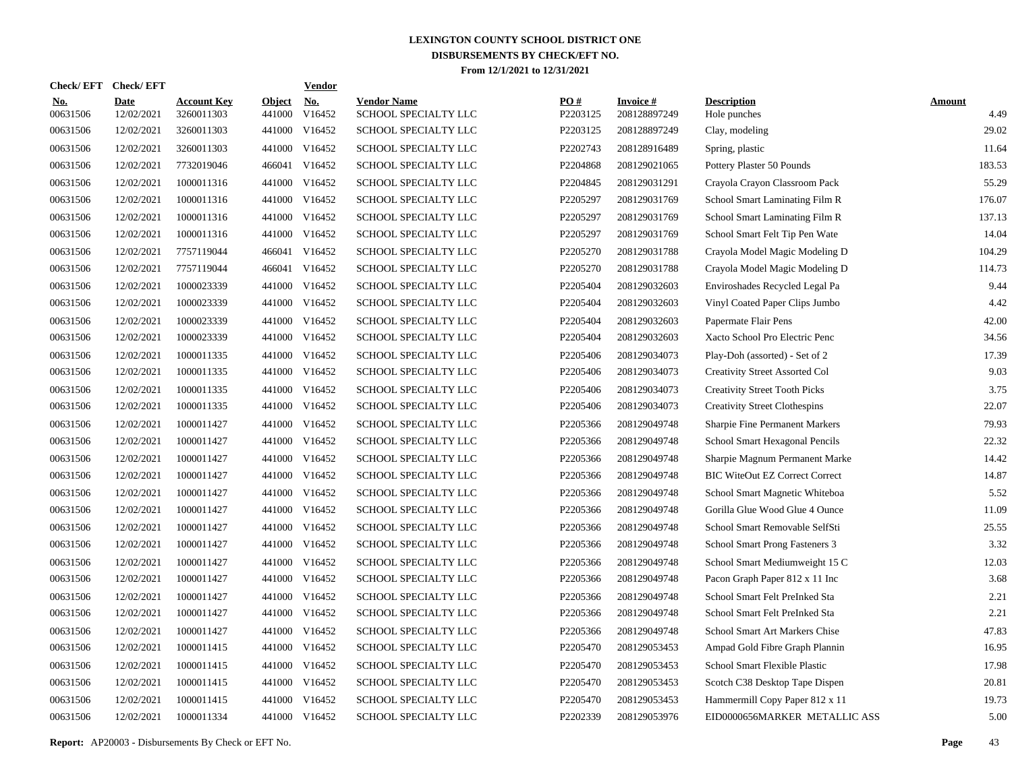| Check/EFT Check/EFT    |                           |                                  |                         | <u>Vendor</u>        |                                            |                 |                                 |                                       |                       |
|------------------------|---------------------------|----------------------------------|-------------------------|----------------------|--------------------------------------------|-----------------|---------------------------------|---------------------------------------|-----------------------|
| <u>No.</u><br>00631506 | <b>Date</b><br>12/02/2021 | <b>Account Key</b><br>3260011303 | <b>Object</b><br>441000 | <u>No.</u><br>V16452 | <b>Vendor Name</b><br>SCHOOL SPECIALTY LLC | PQ#<br>P2203125 | <b>Invoice#</b><br>208128897249 | <b>Description</b><br>Hole punches    | <b>Amount</b><br>4.49 |
| 00631506               | 12/02/2021                | 3260011303                       | 441000                  | V16452               | SCHOOL SPECIALTY LLC                       | P2203125        | 208128897249                    | Clay, modeling                        | 29.02                 |
| 00631506               | 12/02/2021                | 3260011303                       | 441000                  | V16452               | SCHOOL SPECIALTY LLC                       | P2202743        | 208128916489                    | Spring, plastic                       | 11.64                 |
| 00631506               | 12/02/2021                | 7732019046                       | 466041                  | V16452               | SCHOOL SPECIALTY LLC                       | P2204868        | 208129021065                    | Pottery Plaster 50 Pounds             | 183.53                |
| 00631506               | 12/02/2021                | 1000011316                       | 441000                  | V16452               | SCHOOL SPECIALTY LLC                       | P2204845        | 208129031291                    | Crayola Crayon Classroom Pack         | 55.29                 |
| 00631506               | 12/02/2021                | 1000011316                       |                         | 441000 V16452        | <b>SCHOOL SPECIALTY LLC</b>                | P2205297        | 208129031769                    | School Smart Laminating Film R        | 176.07                |
| 00631506               | 12/02/2021                | 1000011316                       | 441000                  | V16452               | <b>SCHOOL SPECIALTY LLC</b>                | P2205297        | 208129031769                    | School Smart Laminating Film R        | 137.13                |
| 00631506               | 12/02/2021                | 1000011316                       | 441000                  | V16452               | SCHOOL SPECIALTY LLC                       | P2205297        | 208129031769                    | School Smart Felt Tip Pen Wate        | 14.04                 |
| 00631506               | 12/02/2021                | 7757119044                       | 466041                  | V16452               | SCHOOL SPECIALTY LLC                       | P2205270        | 208129031788                    | Crayola Model Magic Modeling D        | 104.29                |
| 00631506               | 12/02/2021                | 7757119044                       |                         | 466041 V16452        | SCHOOL SPECIALTY LLC                       | P2205270        | 208129031788                    | Crayola Model Magic Modeling D        | 114.73                |
| 00631506               | 12/02/2021                | 1000023339                       | 441000                  | V16452               | SCHOOL SPECIALTY LLC                       | P2205404        | 208129032603                    | Enviroshades Recycled Legal Pa        | 9.44                  |
| 00631506               | 12/02/2021                | 1000023339                       |                         | 441000 V16452        | SCHOOL SPECIALTY LLC                       | P2205404        | 208129032603                    | Vinyl Coated Paper Clips Jumbo        | 4.42                  |
| 00631506               | 12/02/2021                | 1000023339                       |                         | 441000 V16452        | SCHOOL SPECIALTY LLC                       | P2205404        | 208129032603                    | Papermate Flair Pens                  | 42.00                 |
| 00631506               | 12/02/2021                | 1000023339                       |                         | 441000 V16452        | SCHOOL SPECIALTY LLC                       | P2205404        | 208129032603                    | Xacto School Pro Electric Penc        | 34.56                 |
| 00631506               | 12/02/2021                | 1000011335                       |                         | 441000 V16452        | SCHOOL SPECIALTY LLC                       | P2205406        | 208129034073                    | Play-Doh (assorted) - Set of 2        | 17.39                 |
| 00631506               | 12/02/2021                | 1000011335                       |                         | 441000 V16452        | SCHOOL SPECIALTY LLC                       | P2205406        | 208129034073                    | Creativity Street Assorted Col        | 9.03                  |
| 00631506               | 12/02/2021                | 1000011335                       |                         | 441000 V16452        | SCHOOL SPECIALTY LLC                       | P2205406        | 208129034073                    | <b>Creativity Street Tooth Picks</b>  | 3.75                  |
| 00631506               | 12/02/2021                | 1000011335                       |                         | 441000 V16452        | SCHOOL SPECIALTY LLC                       | P2205406        | 208129034073                    | <b>Creativity Street Clothespins</b>  | 22.07                 |
| 00631506               | 12/02/2021                | 1000011427                       |                         | 441000 V16452        | SCHOOL SPECIALTY LLC                       | P2205366        | 208129049748                    | Sharpie Fine Permanent Markers        | 79.93                 |
| 00631506               | 12/02/2021                | 1000011427                       |                         | 441000 V16452        | <b>SCHOOL SPECIALTY LLC</b>                | P2205366        | 208129049748                    | School Smart Hexagonal Pencils        | 22.32                 |
| 00631506               | 12/02/2021                | 1000011427                       |                         | 441000 V16452        | <b>SCHOOL SPECIALTY LLC</b>                | P2205366        | 208129049748                    | Sharpie Magnum Permanent Marke        | 14.42                 |
| 00631506               | 12/02/2021                | 1000011427                       |                         | 441000 V16452        | SCHOOL SPECIALTY LLC                       | P2205366        | 208129049748                    | <b>BIC WiteOut EZ Correct Correct</b> | 14.87                 |
| 00631506               | 12/02/2021                | 1000011427                       |                         | 441000 V16452        | SCHOOL SPECIALTY LLC                       | P2205366        | 208129049748                    | School Smart Magnetic Whiteboa        | 5.52                  |
| 00631506               | 12/02/2021                | 1000011427                       |                         | 441000 V16452        | SCHOOL SPECIALTY LLC                       | P2205366        | 208129049748                    | Gorilla Glue Wood Glue 4 Ounce        | 11.09                 |
| 00631506               | 12/02/2021                | 1000011427                       |                         | 441000 V16452        | SCHOOL SPECIALTY LLC                       | P2205366        | 208129049748                    | School Smart Removable SelfSti        | 25.55                 |
| 00631506               | 12/02/2021                | 1000011427                       |                         | 441000 V16452        | SCHOOL SPECIALTY LLC                       | P2205366        | 208129049748                    | School Smart Prong Fasteners 3        | 3.32                  |
| 00631506               | 12/02/2021                | 1000011427                       | 441000                  | V16452               | SCHOOL SPECIALTY LLC                       | P2205366        | 208129049748                    | School Smart Mediumweight 15 C        | 12.03                 |
| 00631506               | 12/02/2021                | 1000011427                       |                         | 441000 V16452        | SCHOOL SPECIALTY LLC                       | P2205366        | 208129049748                    | Pacon Graph Paper 812 x 11 Inc        | 3.68                  |
| 00631506               | 12/02/2021                | 1000011427                       | 441000                  | V16452               | SCHOOL SPECIALTY LLC                       | P2205366        | 208129049748                    | School Smart Felt PreInked Sta        | 2.21                  |
| 00631506               | 12/02/2021                | 1000011427                       |                         | 441000 V16452        | SCHOOL SPECIALTY LLC                       | P2205366        | 208129049748                    | School Smart Felt PreInked Sta        | 2.21                  |
| 00631506               | 12/02/2021                | 1000011427                       | 441000                  | V16452               | SCHOOL SPECIALTY LLC                       | P2205366        | 208129049748                    | School Smart Art Markers Chise        | 47.83                 |
| 00631506               | 12/02/2021                | 1000011415                       |                         | 441000 V16452        | SCHOOL SPECIALTY LLC                       | P2205470        | 208129053453                    | Ampad Gold Fibre Graph Plannin        | 16.95                 |
| 00631506               | 12/02/2021                | 1000011415                       | 441000                  | V16452               | SCHOOL SPECIALTY LLC                       | P2205470        | 208129053453                    | School Smart Flexible Plastic         | 17.98                 |
| 00631506               | 12/02/2021                | 1000011415                       |                         | 441000 V16452        | SCHOOL SPECIALTY LLC                       | P2205470        | 208129053453                    | Scotch C38 Desktop Tape Dispen        | 20.81                 |
| 00631506               | 12/02/2021                | 1000011415                       | 441000                  | V16452               | <b>SCHOOL SPECIALTY LLC</b>                | P2205470        | 208129053453                    | Hammermill Copy Paper 812 x 11        | 19.73                 |
| 00631506               | 12/02/2021                | 1000011334                       |                         | 441000 V16452        | SCHOOL SPECIALTY LLC                       | P2202339        | 208129053976                    | EID0000656MARKER METALLIC ASS         | 5.00                  |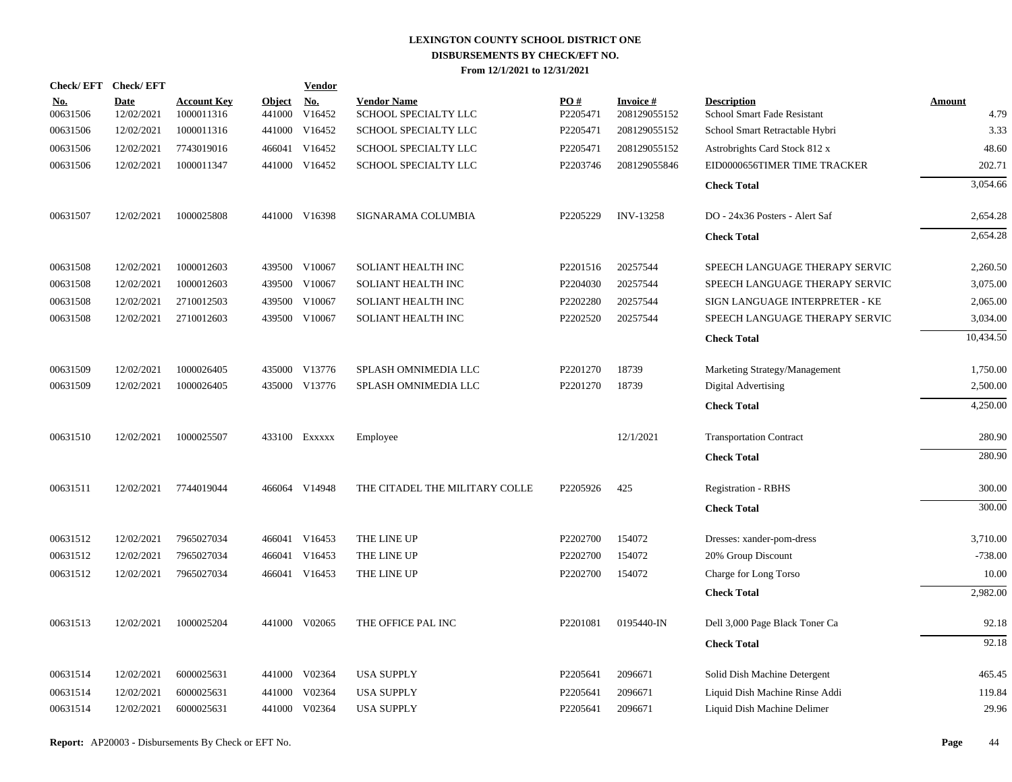| Check/EFT Check/EFT    |                           |                                  |                      | <b>Vendor</b> |                                            |                 |                                 |                                                   |                       |
|------------------------|---------------------------|----------------------------------|----------------------|---------------|--------------------------------------------|-----------------|---------------------------------|---------------------------------------------------|-----------------------|
| <u>No.</u><br>00631506 | <b>Date</b><br>12/02/2021 | <b>Account Key</b><br>1000011316 | Object No.<br>441000 | V16452        | <b>Vendor Name</b><br>SCHOOL SPECIALTY LLC | PO#<br>P2205471 | <b>Invoice#</b><br>208129055152 | <b>Description</b><br>School Smart Fade Resistant | <b>Amount</b><br>4.79 |
| 00631506               | 12/02/2021                | 1000011316                       |                      | 441000 V16452 | SCHOOL SPECIALTY LLC                       | P2205471        | 208129055152                    | School Smart Retractable Hybri                    | 3.33                  |
| 00631506               | 12/02/2021                | 7743019016                       |                      | 466041 V16452 | SCHOOL SPECIALTY LLC                       | P2205471        | 208129055152                    | Astrobrights Card Stock 812 x                     | 48.60                 |
| 00631506               | 12/02/2021                | 1000011347                       |                      | 441000 V16452 | SCHOOL SPECIALTY LLC                       | P2203746        | 208129055846                    | EID0000656TIMER TIME TRACKER                      | 202.71                |
|                        |                           |                                  |                      |               |                                            |                 |                                 | <b>Check Total</b>                                | 3,054.66              |
| 00631507               | 12/02/2021                | 1000025808                       |                      | 441000 V16398 | SIGNARAMA COLUMBIA                         | P2205229        | <b>INV-13258</b>                | DO - 24x36 Posters - Alert Saf                    | 2,654.28              |
|                        |                           |                                  |                      |               |                                            |                 |                                 | <b>Check Total</b>                                | 2,654.28              |
| 00631508               | 12/02/2021                | 1000012603                       |                      | 439500 V10067 | SOLIANT HEALTH INC                         | P2201516        | 20257544                        | SPEECH LANGUAGE THERAPY SERVIC                    | 2,260.50              |
| 00631508               | 12/02/2021                | 1000012603                       | 439500               | V10067        | SOLIANT HEALTH INC                         | P2204030        | 20257544                        | SPEECH LANGUAGE THERAPY SERVIC                    | 3,075.00              |
| 00631508               | 12/02/2021                | 2710012503                       | 439500               | V10067        | SOLIANT HEALTH INC                         | P2202280        | 20257544                        | SIGN LANGUAGE INTERPRETER - KE                    | 2,065.00              |
| 00631508               | 12/02/2021                | 2710012603                       | 439500               | V10067        | SOLIANT HEALTH INC                         | P2202520        | 20257544                        | SPEECH LANGUAGE THERAPY SERVIC                    | 3,034.00              |
|                        |                           |                                  |                      |               |                                            |                 |                                 | <b>Check Total</b>                                | 10,434.50             |
| 00631509               | 12/02/2021                | 1000026405                       |                      | 435000 V13776 | SPLASH OMNIMEDIA LLC                       | P2201270        | 18739                           | Marketing Strategy/Management                     | 1,750.00              |
| 00631509               | 12/02/2021                | 1000026405                       | 435000               | V13776        | SPLASH OMNIMEDIA LLC                       | P2201270        | 18739                           | Digital Advertising                               | 2,500.00              |
|                        |                           |                                  |                      |               |                                            |                 |                                 | <b>Check Total</b>                                | 4,250.00              |
| 00631510               | 12/02/2021                | 1000025507                       |                      | 433100 EXXXXX | Employee                                   |                 | 12/1/2021                       | <b>Transportation Contract</b>                    | 280.90                |
|                        |                           |                                  |                      |               |                                            |                 |                                 | <b>Check Total</b>                                | 280.90                |
| 00631511               | 12/02/2021                | 7744019044                       |                      | 466064 V14948 | THE CITADEL THE MILITARY COLLE             | P2205926        | 425                             | <b>Registration - RBHS</b>                        | 300.00                |
|                        |                           |                                  |                      |               |                                            |                 |                                 | <b>Check Total</b>                                | 300.00                |
| 00631512               | 12/02/2021                | 7965027034                       |                      | 466041 V16453 | THE LINE UP                                | P2202700        | 154072                          | Dresses: xander-pom-dress                         | 3,710.00              |
| 00631512               | 12/02/2021                | 7965027034                       |                      | 466041 V16453 | THE LINE UP                                | P2202700        | 154072                          | 20% Group Discount                                | $-738.00$             |
| 00631512               | 12/02/2021                | 7965027034                       |                      | 466041 V16453 | THE LINE UP                                | P2202700        | 154072                          | Charge for Long Torso                             | 10.00                 |
|                        |                           |                                  |                      |               |                                            |                 |                                 | <b>Check Total</b>                                | 2,982.00              |
| 00631513               | 12/02/2021                | 1000025204                       |                      | 441000 V02065 | THE OFFICE PAL INC                         | P2201081        | 0195440-IN                      | Dell 3,000 Page Black Toner Ca                    | 92.18                 |
|                        |                           |                                  |                      |               |                                            |                 |                                 | <b>Check Total</b>                                | 92.18                 |
| 00631514               | 12/02/2021                | 6000025631                       |                      | 441000 V02364 | <b>USA SUPPLY</b>                          | P2205641        | 2096671                         | Solid Dish Machine Detergent                      | 465.45                |
| 00631514               | 12/02/2021                | 6000025631                       | 441000               | V02364        | <b>USA SUPPLY</b>                          | P2205641        | 2096671                         | Liquid Dish Machine Rinse Addi                    | 119.84                |
| 00631514               | 12/02/2021                | 6000025631                       |                      | 441000 V02364 | <b>USA SUPPLY</b>                          | P2205641        | 2096671                         | Liquid Dish Machine Delimer                       | 29.96                 |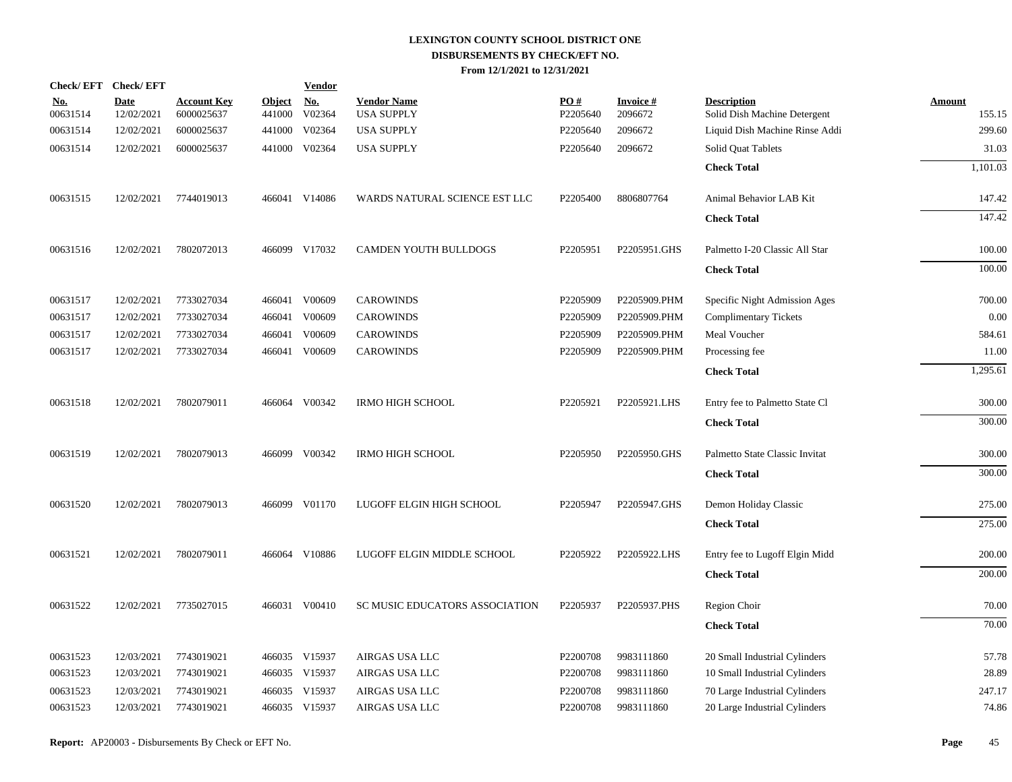| Check/EFT Check/EFT    |                           |                                  |                      | <b>Vendor</b> |                                         |                               |                            |                                                    |                  |
|------------------------|---------------------------|----------------------------------|----------------------|---------------|-----------------------------------------|-------------------------------|----------------------------|----------------------------------------------------|------------------|
| <u>No.</u><br>00631514 | <b>Date</b><br>12/02/2021 | <b>Account Key</b><br>6000025637 | Object No.<br>441000 | V02364        | <b>Vendor Name</b><br><b>USA SUPPLY</b> | $\underline{PO#}$<br>P2205640 | <b>Invoice#</b><br>2096672 | <b>Description</b><br>Solid Dish Machine Detergent | Amount<br>155.15 |
| 00631514               | 12/02/2021                | 6000025637                       | 441000               | V02364        | <b>USA SUPPLY</b>                       | P2205640                      | 2096672                    | Liquid Dish Machine Rinse Addi                     | 299.60           |
| 00631514               | 12/02/2021                | 6000025637                       |                      | 441000 V02364 | <b>USA SUPPLY</b>                       | P2205640                      | 2096672                    | Solid Quat Tablets                                 | 31.03            |
|                        |                           |                                  |                      |               |                                         |                               |                            | <b>Check Total</b>                                 | 1,101.03         |
| 00631515               | 12/02/2021                | 7744019013                       |                      | 466041 V14086 | WARDS NATURAL SCIENCE EST LLC           | P2205400                      | 8806807764                 | Animal Behavior LAB Kit                            | 147.42           |
|                        |                           |                                  |                      |               |                                         |                               |                            | <b>Check Total</b>                                 | 147.42           |
| 00631516               | 12/02/2021                | 7802072013                       |                      | 466099 V17032 | CAMDEN YOUTH BULLDOGS                   | P2205951                      | P2205951.GHS               | Palmetto I-20 Classic All Star                     | 100.00           |
|                        |                           |                                  |                      |               |                                         |                               |                            | <b>Check Total</b>                                 | 100.00           |
| 00631517               | 12/02/2021                | 7733027034                       |                      | 466041 V00609 | <b>CAROWINDS</b>                        | P2205909                      | P2205909.PHM               | Specific Night Admission Ages                      | 700.00           |
| 00631517               | 12/02/2021                | 7733027034                       |                      | 466041 V00609 | <b>CAROWINDS</b>                        | P2205909                      | P2205909.PHM               | <b>Complimentary Tickets</b>                       | 0.00             |
| 00631517               | 12/02/2021                | 7733027034                       |                      | 466041 V00609 | <b>CAROWINDS</b>                        | P2205909                      | P2205909.PHM               | Meal Voucher                                       | 584.61           |
| 00631517               | 12/02/2021                | 7733027034                       |                      | 466041 V00609 | <b>CAROWINDS</b>                        | P2205909                      | P2205909.PHM               | Processing fee                                     | 11.00            |
|                        |                           |                                  |                      |               |                                         |                               |                            | <b>Check Total</b>                                 | 1,295.61         |
| 00631518               | 12/02/2021                | 7802079011                       |                      | 466064 V00342 | <b>IRMO HIGH SCHOOL</b>                 | P2205921                      | P2205921.LHS               | Entry fee to Palmetto State Cl                     | 300.00           |
|                        |                           |                                  |                      |               |                                         |                               |                            | <b>Check Total</b>                                 | 300.00           |
| 00631519               | 12/02/2021                | 7802079013                       |                      | 466099 V00342 | <b>IRMO HIGH SCHOOL</b>                 | P2205950                      | P2205950.GHS               | Palmetto State Classic Invitat                     | 300.00           |
|                        |                           |                                  |                      |               |                                         |                               |                            | <b>Check Total</b>                                 | 300.00           |
| 00631520               | 12/02/2021                | 7802079013                       |                      | 466099 V01170 | LUGOFF ELGIN HIGH SCHOOL                | P2205947                      | P2205947.GHS               | Demon Holiday Classic                              | 275.00           |
|                        |                           |                                  |                      |               |                                         |                               |                            | <b>Check Total</b>                                 | 275.00           |
| 00631521               | 12/02/2021                | 7802079011                       |                      | 466064 V10886 | LUGOFF ELGIN MIDDLE SCHOOL              | P2205922                      | P2205922.LHS               | Entry fee to Lugoff Elgin Midd                     | 200.00           |
|                        |                           |                                  |                      |               |                                         |                               |                            | <b>Check Total</b>                                 | 200.00           |
| 00631522               | 12/02/2021                | 7735027015                       |                      | 466031 V00410 | SC MUSIC EDUCATORS ASSOCIATION          | P2205937                      | P2205937.PHS               | Region Choir                                       | 70.00            |
|                        |                           |                                  |                      |               |                                         |                               |                            | <b>Check Total</b>                                 | 70.00            |
| 00631523               | 12/03/2021                | 7743019021                       |                      | 466035 V15937 | AIRGAS USA LLC                          | P2200708                      | 9983111860                 | 20 Small Industrial Cylinders                      | 57.78            |
| 00631523               | 12/03/2021                | 7743019021                       |                      | 466035 V15937 | AIRGAS USA LLC                          | P2200708                      | 9983111860                 | 10 Small Industrial Cylinders                      | 28.89            |
| 00631523               | 12/03/2021                | 7743019021                       |                      | 466035 V15937 | AIRGAS USA LLC                          | P2200708                      | 9983111860                 | 70 Large Industrial Cylinders                      | 247.17           |
| 00631523               | 12/03/2021                | 7743019021                       |                      | 466035 V15937 | AIRGAS USA LLC                          | P2200708                      | 9983111860                 | 20 Large Industrial Cylinders                      | 74.86            |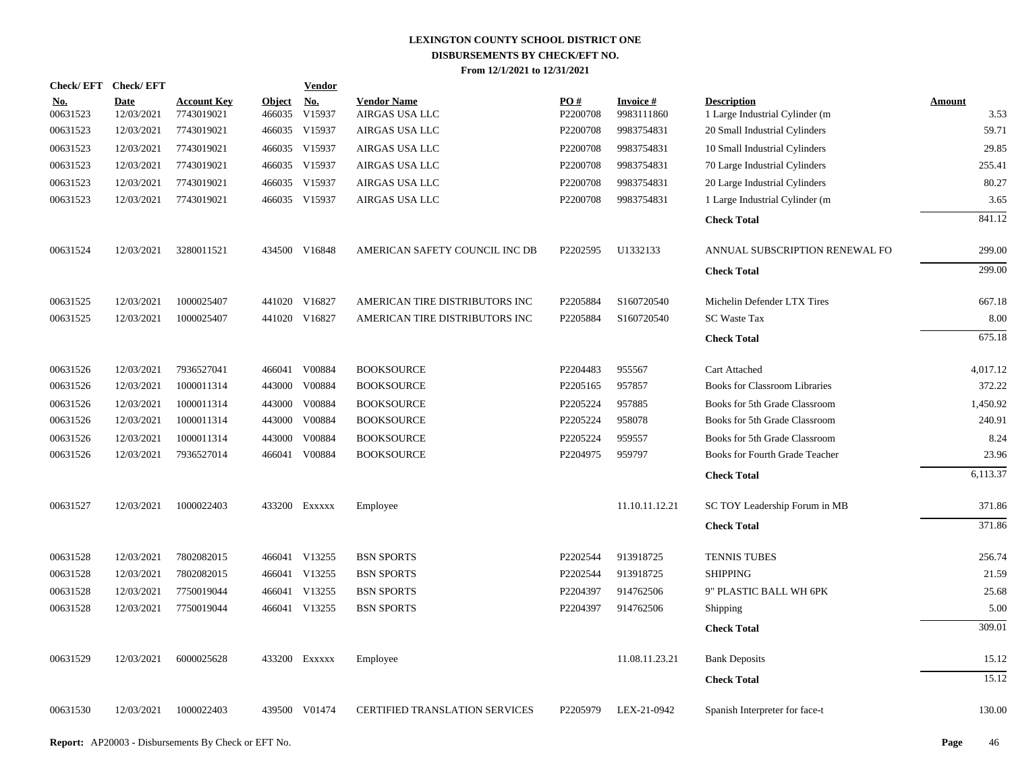| Check/EFT Check/EFT    |                           |                                  |                         | <b>Vendor</b>                         |                                       |                 |                               |                                                      |                       |
|------------------------|---------------------------|----------------------------------|-------------------------|---------------------------------------|---------------------------------------|-----------------|-------------------------------|------------------------------------------------------|-----------------------|
| <u>No.</u><br>00631523 | <b>Date</b><br>12/03/2021 | <b>Account Key</b><br>7743019021 | <b>Object</b><br>466035 | $\underline{\mathrm{No}}$ .<br>V15937 | <b>Vendor Name</b><br>AIRGAS USA LLC  | PO#<br>P2200708 | <b>Invoice#</b><br>9983111860 | <b>Description</b><br>1 Large Industrial Cylinder (m | <b>Amount</b><br>3.53 |
| 00631523               | 12/03/2021                | 7743019021                       |                         | 466035 V15937                         | AIRGAS USA LLC                        | P2200708        | 9983754831                    | 20 Small Industrial Cylinders                        | 59.71                 |
| 00631523               | 12/03/2021                | 7743019021                       |                         | 466035 V15937                         | AIRGAS USA LLC                        | P2200708        | 9983754831                    | 10 Small Industrial Cylinders                        | 29.85                 |
| 00631523               | 12/03/2021                | 7743019021                       |                         | 466035 V15937                         | AIRGAS USA LLC                        | P2200708        | 9983754831                    | 70 Large Industrial Cylinders                        | 255.41                |
| 00631523               | 12/03/2021                | 7743019021                       |                         | 466035 V15937                         | AIRGAS USA LLC                        | P2200708        | 9983754831                    | 20 Large Industrial Cylinders                        | 80.27                 |
| 00631523               | 12/03/2021                | 7743019021                       |                         | 466035 V15937                         | AIRGAS USA LLC                        | P2200708        | 9983754831                    | 1 Large Industrial Cylinder (m                       | 3.65                  |
|                        |                           |                                  |                         |                                       |                                       |                 |                               | <b>Check Total</b>                                   | 841.12                |
| 00631524               | 12/03/2021                | 3280011521                       |                         | 434500 V16848                         | AMERICAN SAFETY COUNCIL INC DB        | P2202595        | U1332133                      | ANNUAL SUBSCRIPTION RENEWAL FO                       | 299.00                |
|                        |                           |                                  |                         |                                       |                                       |                 |                               | <b>Check Total</b>                                   | 299.00                |
| 00631525               | 12/03/2021                | 1000025407                       |                         | 441020 V16827                         | AMERICAN TIRE DISTRIBUTORS INC        | P2205884        | S160720540                    | Michelin Defender LTX Tires                          | 667.18                |
| 00631525               | 12/03/2021                | 1000025407                       |                         | 441020 V16827                         | AMERICAN TIRE DISTRIBUTORS INC        | P2205884        | S160720540                    | <b>SC</b> Waste Tax                                  | 8.00                  |
|                        |                           |                                  |                         |                                       |                                       |                 |                               | <b>Check Total</b>                                   | 675.18                |
| 00631526               | 12/03/2021                | 7936527041                       |                         | 466041 V00884                         | <b>BOOKSOURCE</b>                     | P2204483        | 955567                        | Cart Attached                                        | 4,017.12              |
| 00631526               | 12/03/2021                | 1000011314                       |                         | 443000 V00884                         | <b>BOOKSOURCE</b>                     | P2205165        | 957857                        | <b>Books for Classroom Libraries</b>                 | 372.22                |
| 00631526               | 12/03/2021                | 1000011314                       |                         | 443000 V00884                         | <b>BOOKSOURCE</b>                     | P2205224        | 957885                        | Books for 5th Grade Classroom                        | 1,450.92              |
| 00631526               | 12/03/2021                | 1000011314                       |                         | 443000 V00884                         | <b>BOOKSOURCE</b>                     | P2205224        | 958078                        | Books for 5th Grade Classroom                        | 240.91                |
| 00631526               | 12/03/2021                | 1000011314                       | 443000                  | V00884                                | <b>BOOKSOURCE</b>                     | P2205224        | 959557                        | Books for 5th Grade Classroom                        | 8.24                  |
| 00631526               | 12/03/2021                | 7936527014                       |                         | 466041 V00884                         | <b>BOOKSOURCE</b>                     | P2204975        | 959797                        | Books for Fourth Grade Teacher                       | 23.96                 |
|                        |                           |                                  |                         |                                       |                                       |                 |                               | <b>Check Total</b>                                   | 6,113.37              |
| 00631527               | 12/03/2021                | 1000022403                       |                         | 433200 EXXXXX                         | Employee                              |                 | 11.10.11.12.21                | SC TOY Leadership Forum in MB                        | 371.86                |
|                        |                           |                                  |                         |                                       |                                       |                 |                               | <b>Check Total</b>                                   | 371.86                |
| 00631528               | 12/03/2021                | 7802082015                       |                         | 466041 V13255                         | <b>BSN SPORTS</b>                     | P2202544        | 913918725                     | <b>TENNIS TUBES</b>                                  | 256.74                |
| 00631528               | 12/03/2021                | 7802082015                       |                         | 466041 V13255                         | <b>BSN SPORTS</b>                     | P2202544        | 913918725                     | <b>SHIPPING</b>                                      | 21.59                 |
| 00631528               | 12/03/2021                | 7750019044                       |                         | 466041 V13255                         | <b>BSN SPORTS</b>                     | P2204397        | 914762506                     | 9" PLASTIC BALL WH 6PK                               | 25.68                 |
| 00631528               | 12/03/2021                | 7750019044                       |                         | 466041 V13255                         | <b>BSN SPORTS</b>                     | P2204397        | 914762506                     | Shipping                                             | 5.00                  |
|                        |                           |                                  |                         |                                       |                                       |                 |                               | <b>Check Total</b>                                   | 309.01                |
| 00631529               | 12/03/2021                | 6000025628                       |                         | 433200 EXXXXX                         | Employee                              |                 | 11.08.11.23.21                | <b>Bank Deposits</b>                                 | 15.12                 |
|                        |                           |                                  |                         |                                       |                                       |                 |                               | <b>Check Total</b>                                   | 15.12                 |
| 00631530               | 12/03/2021                | 1000022403                       |                         | 439500 V01474                         | <b>CERTIFIED TRANSLATION SERVICES</b> | P2205979        | LEX-21-0942                   | Spanish Interpreter for face-t                       | 130.00                |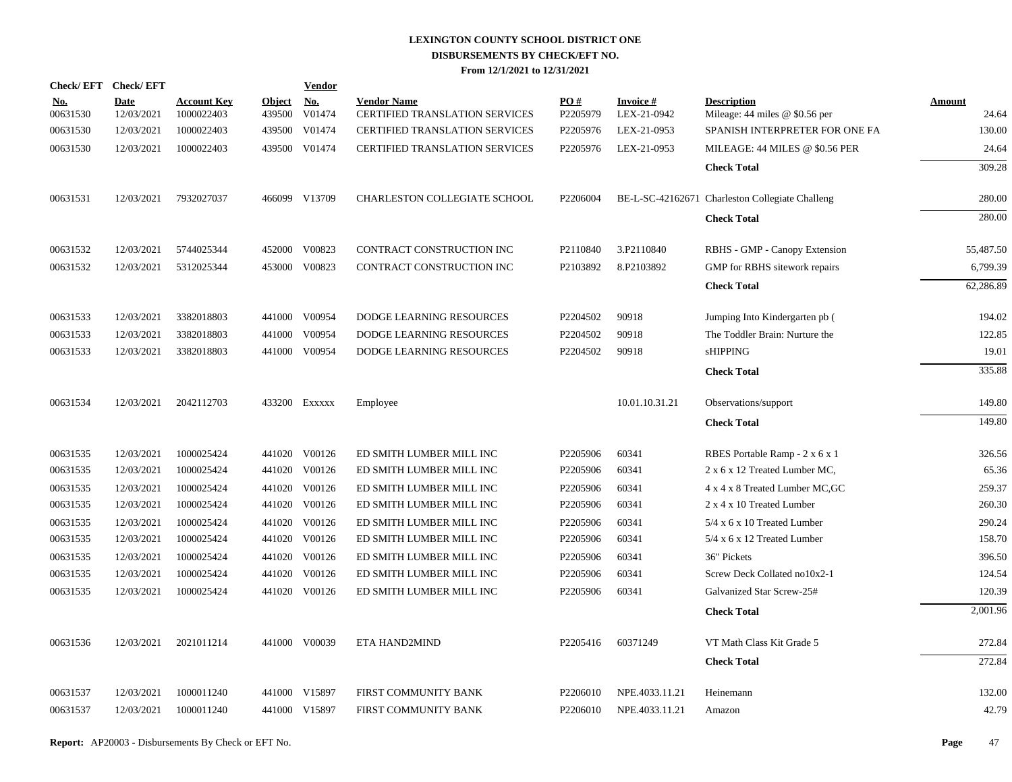| Check/EFT Check/EFT    |                           |                                  |                         | <b>Vendor</b>        |                                                             |                      |                          |                                                        |                 |
|------------------------|---------------------------|----------------------------------|-------------------------|----------------------|-------------------------------------------------------------|----------------------|--------------------------|--------------------------------------------------------|-----------------|
| <b>No.</b><br>00631530 | <b>Date</b><br>12/03/2021 | <b>Account Key</b><br>1000022403 | <b>Object</b><br>439500 | <b>No.</b><br>V01474 | <b>Vendor Name</b><br><b>CERTIFIED TRANSLATION SERVICES</b> | PO#<br>P2205979      | Invoice #<br>LEX-21-0942 | <b>Description</b><br>Mileage: $44$ miles @ \$0.56 per | Amount<br>24.64 |
| 00631530               | 12/03/2021                | 1000022403                       |                         | 439500 V01474        | CERTIFIED TRANSLATION SERVICES                              | P2205976             | LEX-21-0953              | SPANISH INTERPRETER FOR ONE FA                         | 130.00          |
| 00631530               | 12/03/2021                | 1000022403                       |                         | 439500 V01474        | <b>CERTIFIED TRANSLATION SERVICES</b>                       | P2205976             | LEX-21-0953              | MILEAGE: 44 MILES @ \$0.56 PER                         | 24.64           |
|                        |                           |                                  |                         |                      |                                                             |                      |                          | <b>Check Total</b>                                     | 309.28          |
| 00631531               | 12/03/2021                | 7932027037                       |                         | 466099 V13709        | <b>CHARLESTON COLLEGIATE SCHOOL</b>                         | P2206004             |                          | BE-L-SC-42162671 Charleston Collegiate Challeng        | 280.00          |
|                        |                           |                                  |                         |                      |                                                             |                      |                          | <b>Check Total</b>                                     | 280.00          |
| 00631532               | 12/03/2021                | 5744025344                       |                         | 452000 V00823        | CONTRACT CONSTRUCTION INC                                   | P2110840             | 3.P2110840               | RBHS - GMP - Canopy Extension                          | 55,487.50       |
| 00631532               | 12/03/2021                | 5312025344                       |                         | 453000 V00823        | CONTRACT CONSTRUCTION INC                                   | P2103892             | 8.P2103892               | GMP for RBHS sitework repairs                          | 6,799.39        |
|                        |                           |                                  |                         |                      |                                                             |                      |                          | <b>Check Total</b>                                     | 62,286.89       |
| 00631533               | 12/03/2021                | 3382018803                       |                         | 441000 V00954        | <b>DODGE LEARNING RESOURCES</b>                             | P <sub>2204502</sub> | 90918                    | Jumping Into Kindergarten pb (                         | 194.02          |
| 00631533               | 12/03/2021                | 3382018803                       | 441000                  | V00954               | DODGE LEARNING RESOURCES                                    | P2204502             | 90918                    | The Toddler Brain: Nurture the                         | 122.85          |
| 00631533               | 12/03/2021                | 3382018803                       |                         | 441000 V00954        | DODGE LEARNING RESOURCES                                    | P2204502             | 90918                    | sHIPPING                                               | 19.01           |
|                        |                           |                                  |                         |                      |                                                             |                      |                          | <b>Check Total</b>                                     | 335.88          |
| 00631534               | 12/03/2021                | 2042112703                       |                         | 433200 EXXXXX        | Employee                                                    |                      | 10.01.10.31.21           | Observations/support                                   | 149.80          |
|                        |                           |                                  |                         |                      |                                                             |                      |                          | <b>Check Total</b>                                     | 149.80          |
| 00631535               | 12/03/2021                | 1000025424                       |                         | 441020 V00126        | ED SMITH LUMBER MILL INC                                    | P2205906             | 60341                    | RBES Portable Ramp - 2 x 6 x 1                         | 326.56          |
| 00631535               | 12/03/2021                | 1000025424                       |                         | 441020 V00126        | ED SMITH LUMBER MILL INC                                    | P2205906             | 60341                    | 2 x 6 x 12 Treated Lumber MC,                          | 65.36           |
| 00631535               | 12/03/2021                | 1000025424                       |                         | 441020 V00126        | ED SMITH LUMBER MILL INC                                    | P2205906             | 60341                    | 4 x 4 x 8 Treated Lumber MC, GC                        | 259.37          |
| 00631535               | 12/03/2021                | 1000025424                       |                         | 441020 V00126        | ED SMITH LUMBER MILL INC                                    | P2205906             | 60341                    | 2 x 4 x 10 Treated Lumber                              | 260.30          |
| 00631535               | 12/03/2021                | 1000025424                       |                         | 441020 V00126        | ED SMITH LUMBER MILL INC                                    | P2205906             | 60341                    | 5/4 x 6 x 10 Treated Lumber                            | 290.24          |
| 00631535               | 12/03/2021                | 1000025424                       |                         | 441020 V00126        | ED SMITH LUMBER MILL INC                                    | P2205906             | 60341                    | 5/4 x 6 x 12 Treated Lumber                            | 158.70          |
| 00631535               | 12/03/2021                | 1000025424                       |                         | 441020 V00126        | ED SMITH LUMBER MILL INC                                    | P2205906             | 60341                    | 36" Pickets                                            | 396.50          |
| 00631535               | 12/03/2021                | 1000025424                       |                         | 441020 V00126        | ED SMITH LUMBER MILL INC                                    | P2205906             | 60341                    | Screw Deck Collated no10x2-1                           | 124.54          |
| 00631535               | 12/03/2021                | 1000025424                       |                         | 441020 V00126        | ED SMITH LUMBER MILL INC                                    | P2205906             | 60341                    | Galvanized Star Screw-25#                              | 120.39          |
|                        |                           |                                  |                         |                      |                                                             |                      |                          | <b>Check Total</b>                                     | 2,001.96        |
| 00631536               | 12/03/2021                | 2021011214                       |                         | 441000 V00039        | ETA HAND2MIND                                               | P2205416             | 60371249                 | VT Math Class Kit Grade 5                              | 272.84          |
|                        |                           |                                  |                         |                      |                                                             |                      |                          | <b>Check Total</b>                                     | 272.84          |
| 00631537               | 12/03/2021                | 1000011240                       |                         | 441000 V15897        | FIRST COMMUNITY BANK                                        | P2206010             | NPE.4033.11.21           | Heinemann                                              | 132.00          |
| 00631537               | 12/03/2021                | 1000011240                       |                         | 441000 V15897        | FIRST COMMUNITY BANK                                        | P2206010             | NPE.4033.11.21           | Amazon                                                 | 42.79           |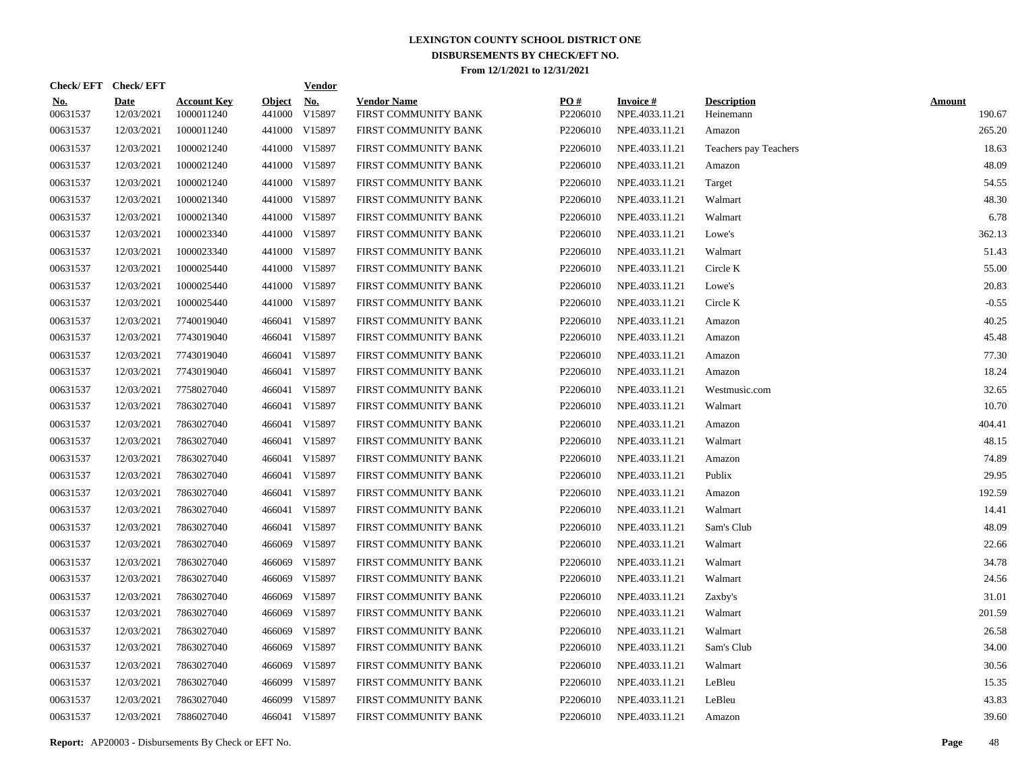| Check/EFT Check/EFT    |                           |                                  |                         | <b>Vendor</b>        |                                            |                      |                                   |                                 |                         |
|------------------------|---------------------------|----------------------------------|-------------------------|----------------------|--------------------------------------------|----------------------|-----------------------------------|---------------------------------|-------------------------|
| <u>No.</u><br>00631537 | <b>Date</b><br>12/03/2021 | <b>Account Key</b><br>1000011240 | <b>Object</b><br>441000 | <u>No.</u><br>V15897 | <b>Vendor Name</b><br>FIRST COMMUNITY BANK | PO#<br>P2206010      | <b>Invoice#</b><br>NPE.4033.11.21 | <b>Description</b><br>Heinemann | <b>Amount</b><br>190.67 |
| 00631537               | 12/03/2021                | 1000011240                       |                         | 441000 V15897        | FIRST COMMUNITY BANK                       | P2206010             | NPE.4033.11.21                    | Amazon                          | 265.20                  |
| 00631537               | 12/03/2021                | 1000021240                       | 441000                  | V15897               | FIRST COMMUNITY BANK                       | P2206010             | NPE.4033.11.21                    | Teachers pay Teachers           | 18.63                   |
| 00631537               | 12/03/2021                | 1000021240                       |                         | 441000 V15897        | FIRST COMMUNITY BANK                       | P2206010             | NPE.4033.11.21                    | Amazon                          | 48.09                   |
| 00631537               | 12/03/2021                | 1000021240                       | 441000                  | V15897               | FIRST COMMUNITY BANK                       | P2206010             | NPE.4033.11.21                    | Target                          | 54.55                   |
| 00631537               | 12/03/2021                | 1000021340                       |                         | 441000 V15897        | FIRST COMMUNITY BANK                       | P2206010             | NPE.4033.11.21                    | Walmart                         | 48.30                   |
| 00631537               | 12/03/2021                | 1000021340                       |                         | 441000 V15897        | FIRST COMMUNITY BANK                       | P2206010             | NPE.4033.11.21                    | Walmart                         | 6.78                    |
| 00631537               | 12/03/2021                | 1000023340                       |                         | 441000 V15897        | FIRST COMMUNITY BANK                       | P2206010             | NPE.4033.11.21                    | Lowe's                          | 362.13                  |
| 00631537               | 12/03/2021                | 1000023340                       |                         | 441000 V15897        | FIRST COMMUNITY BANK                       | P2206010             | NPE.4033.11.21                    | Walmart                         | 51.43                   |
| 00631537               | 12/03/2021                | 1000025440                       |                         | 441000 V15897        | FIRST COMMUNITY BANK                       | P2206010             | NPE.4033.11.21                    | Circle K                        | 55.00                   |
| 00631537               | 12/03/2021                | 1000025440                       |                         | 441000 V15897        | FIRST COMMUNITY BANK                       | P2206010             | NPE.4033.11.21                    | Lowe's                          | 20.83                   |
| 00631537               | 12/03/2021                | 1000025440                       |                         | 441000 V15897        | FIRST COMMUNITY BANK                       | P2206010             | NPE.4033.11.21                    | Circle K                        | $-0.55$                 |
| 00631537               | 12/03/2021                | 7740019040                       |                         | 466041 V15897        | FIRST COMMUNITY BANK                       | P2206010             | NPE.4033.11.21                    | Amazon                          | 40.25                   |
| 00631537               | 12/03/2021                | 7743019040                       |                         | 466041 V15897        | FIRST COMMUNITY BANK                       | P2206010             | NPE.4033.11.21                    | Amazon                          | 45.48                   |
| 00631537               | 12/03/2021                | 7743019040                       |                         | 466041 V15897        | FIRST COMMUNITY BANK                       | P2206010             | NPE.4033.11.21                    | Amazon                          | 77.30                   |
| 00631537               | 12/03/2021                | 7743019040                       |                         | 466041 V15897        | FIRST COMMUNITY BANK                       | P2206010             | NPE.4033.11.21                    | Amazon                          | 18.24                   |
| 00631537               | 12/03/2021                | 7758027040                       |                         | 466041 V15897        | FIRST COMMUNITY BANK                       | P2206010             | NPE.4033.11.21                    | Westmusic.com                   | 32.65                   |
| 00631537               | 12/03/2021                | 7863027040                       |                         | 466041 V15897        | FIRST COMMUNITY BANK                       | P2206010             | NPE.4033.11.21                    | Walmart                         | 10.70                   |
| 00631537               | 12/03/2021                | 7863027040                       |                         | 466041 V15897        | FIRST COMMUNITY BANK                       | P2206010             | NPE.4033.11.21                    | Amazon                          | 404.41                  |
| 00631537               | 12/03/2021                | 7863027040                       |                         | 466041 V15897        | FIRST COMMUNITY BANK                       | P2206010             | NPE.4033.11.21                    | Walmart                         | 48.15                   |
| 00631537               | 12/03/2021                | 7863027040                       |                         | 466041 V15897        | FIRST COMMUNITY BANK                       | P2206010             | NPE.4033.11.21                    | Amazon                          | 74.89                   |
| 00631537               | 12/03/2021                | 7863027040                       |                         | 466041 V15897        | FIRST COMMUNITY BANK                       | P2206010             | NPE.4033.11.21                    | Publix                          | 29.95                   |
| 00631537               | 12/03/2021                | 7863027040                       |                         | 466041 V15897        | FIRST COMMUNITY BANK                       | P2206010             | NPE.4033.11.21                    | Amazon                          | 192.59                  |
| 00631537               | 12/03/2021                | 7863027040                       |                         | 466041 V15897        | FIRST COMMUNITY BANK                       | P2206010             | NPE.4033.11.21                    | Walmart                         | 14.41                   |
| 00631537               | 12/03/2021                | 7863027040                       | 466041                  | V15897               | FIRST COMMUNITY BANK                       | P2206010             | NPE.4033.11.21                    | Sam's Club                      | 48.09                   |
| 00631537               | 12/03/2021                | 7863027040                       | 466069                  | V15897               | FIRST COMMUNITY BANK                       | P2206010             | NPE.4033.11.21                    | Walmart                         | 22.66                   |
| 00631537               | 12/03/2021                | 7863027040                       | 466069                  | V15897               | FIRST COMMUNITY BANK                       | P2206010             | NPE.4033.11.21                    | Walmart                         | 34.78                   |
| 00631537               | 12/03/2021                | 7863027040                       | 466069                  | V15897               | FIRST COMMUNITY BANK                       | P2206010             | NPE.4033.11.21                    | Walmart                         | 24.56                   |
| 00631537               | 12/03/2021                | 7863027040                       | 466069                  | V15897               | FIRST COMMUNITY BANK                       | P2206010             | NPE.4033.11.21                    | Zaxby's                         | 31.01                   |
| 00631537               | 12/03/2021                | 7863027040                       | 466069                  | V15897               | FIRST COMMUNITY BANK                       | P2206010             | NPE.4033.11.21                    | Walmart                         | 201.59                  |
| 00631537               | 12/03/2021                | 7863027040                       | 466069                  | V15897               | FIRST COMMUNITY BANK                       | P2206010             | NPE.4033.11.21                    | Walmart                         | 26.58                   |
| 00631537               | 12/03/2021                | 7863027040                       | 466069                  | V15897               | FIRST COMMUNITY BANK                       | P2206010             | NPE.4033.11.21                    | Sam's Club                      | 34.00                   |
| 00631537               | 12/03/2021                | 7863027040                       | 466069                  | V15897               | FIRST COMMUNITY BANK                       | P2206010             | NPE.4033.11.21                    | Walmart                         | 30.56                   |
| 00631537               | 12/03/2021                | 7863027040                       | 466099                  | V15897               | FIRST COMMUNITY BANK                       | P2206010             | NPE.4033.11.21                    | LeBleu                          | 15.35                   |
| 00631537               | 12/03/2021                | 7863027040                       | 466099                  | V15897               | FIRST COMMUNITY BANK                       | P <sub>2206010</sub> | NPE.4033.11.21                    | LeBleu                          | 43.83                   |
| 00631537               | 12/03/2021                | 7886027040                       |                         | 466041 V15897        | FIRST COMMUNITY BANK                       | P2206010             | NPE.4033.11.21                    | Amazon                          | 39.60                   |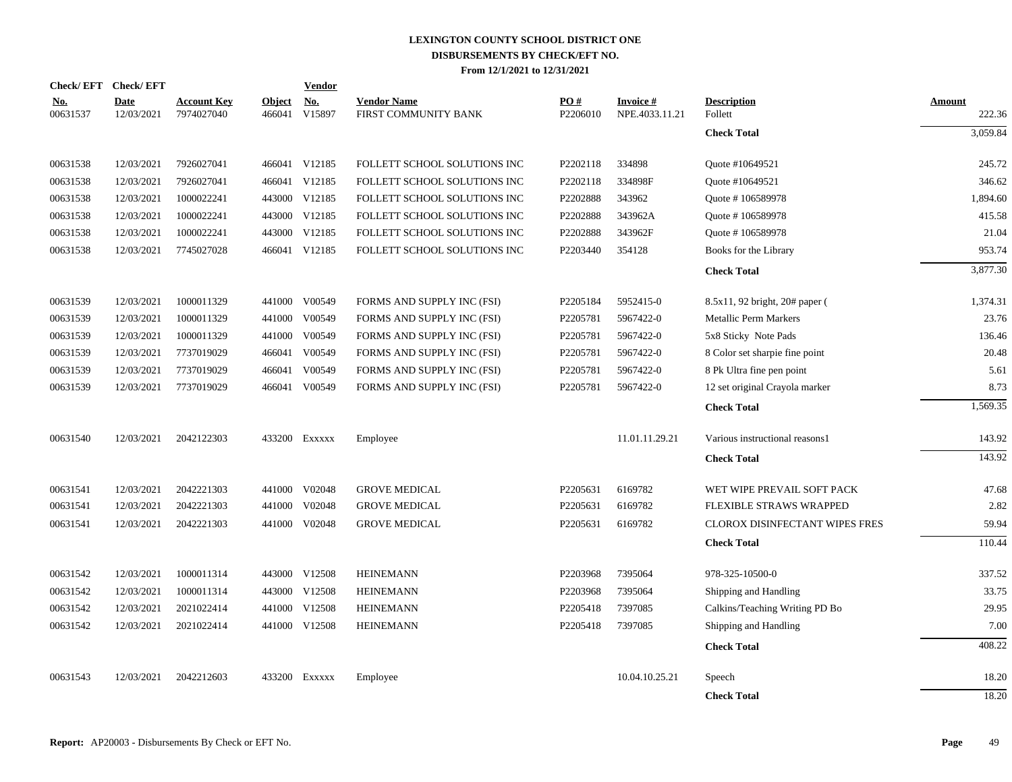| Check/EFT Check/EFT    |                    |                                  |               | <b>Vendor</b>        |                                            |                 |                             |                                    |                  |
|------------------------|--------------------|----------------------------------|---------------|----------------------|--------------------------------------------|-----------------|-----------------------------|------------------------------------|------------------|
| <u>No.</u><br>00631537 | Date<br>12/03/2021 | <b>Account Key</b><br>7974027040 | <b>Object</b> | No.<br>466041 V15897 | <b>Vendor Name</b><br>FIRST COMMUNITY BANK | PO#<br>P2206010 | Invoice #<br>NPE.4033.11.21 | <b>Description</b><br>Follett      | Amount<br>222.36 |
|                        |                    |                                  |               |                      |                                            |                 |                             | <b>Check Total</b>                 | 3,059.84         |
| 00631538               | 12/03/2021         | 7926027041                       |               | 466041 V12185        | FOLLETT SCHOOL SOLUTIONS INC               | P2202118        | 334898                      | Quote #10649521                    | 245.72           |
| 00631538               | 12/03/2021         | 7926027041                       |               | 466041 V12185        | FOLLETT SCHOOL SOLUTIONS INC               | P2202118        | 334898F                     | Quote #10649521                    | 346.62           |
| 00631538               | 12/03/2021         | 1000022241                       |               | 443000 V12185        | FOLLETT SCHOOL SOLUTIONS INC               | P2202888        | 343962                      | Quote #106589978                   | 1,894.60         |
| 00631538               | 12/03/2021         | 1000022241                       |               | 443000 V12185        | FOLLETT SCHOOL SOLUTIONS INC               | P2202888        | 343962A                     | Ouote #106589978                   | 415.58           |
| 00631538               | 12/03/2021         | 1000022241                       |               | 443000 V12185        | FOLLETT SCHOOL SOLUTIONS INC               | P2202888        | 343962F                     | Quote #106589978                   | 21.04            |
| 00631538               | 12/03/2021         | 7745027028                       |               | 466041 V12185        | FOLLETT SCHOOL SOLUTIONS INC               | P2203440        | 354128                      | Books for the Library              | 953.74           |
|                        |                    |                                  |               |                      |                                            |                 |                             | <b>Check Total</b>                 | 3,877.30         |
| 00631539               | 12/03/2021         | 1000011329                       |               | 441000 V00549        | FORMS AND SUPPLY INC (FSI)                 | P2205184        | 5952415-0                   | $8.5x11, 92$ bright, $20#$ paper ( | 1,374.31         |
| 00631539               | 12/03/2021         | 1000011329                       |               | 441000 V00549        | FORMS AND SUPPLY INC (FSI)                 | P2205781        | 5967422-0                   | Metallic Perm Markers              | 23.76            |
| 00631539               | 12/03/2021         | 1000011329                       | 441000        | V00549               | FORMS AND SUPPLY INC (FSI)                 | P2205781        | 5967422-0                   | 5x8 Sticky Note Pads               | 136.46           |
| 00631539               | 12/03/2021         | 7737019029                       | 466041        | V00549               | FORMS AND SUPPLY INC (FSI)                 | P2205781        | 5967422-0                   | 8 Color set sharpie fine point     | 20.48            |
| 00631539               | 12/03/2021         | 7737019029                       |               | 466041 V00549        | FORMS AND SUPPLY INC (FSI)                 | P2205781        | 5967422-0                   | 8 Pk Ultra fine pen point          | 5.61             |
| 00631539               | 12/03/2021         | 7737019029                       |               | 466041 V00549        | FORMS AND SUPPLY INC (FSI)                 | P2205781        | 5967422-0                   | 12 set original Crayola marker     | 8.73             |
|                        |                    |                                  |               |                      |                                            |                 |                             | <b>Check Total</b>                 | 1,569.35         |
| 00631540               | 12/03/2021         | 2042122303                       |               | 433200 Exxxxx        | Employee                                   |                 | 11.01.11.29.21              | Various instructional reasons1     | 143.92           |
|                        |                    |                                  |               |                      |                                            |                 |                             | <b>Check Total</b>                 | 143.92           |
| 00631541               | 12/03/2021         | 2042221303                       |               | 441000 V02048        | <b>GROVE MEDICAL</b>                       | P2205631        | 6169782                     | WET WIPE PREVAIL SOFT PACK         | 47.68            |
| 00631541               | 12/03/2021         | 2042221303                       |               | 441000 V02048        | <b>GROVE MEDICAL</b>                       | P2205631        | 6169782                     | <b>FLEXIBLE STRAWS WRAPPED</b>     | 2.82             |
| 00631541               | 12/03/2021         | 2042221303                       |               | 441000 V02048        | <b>GROVE MEDICAL</b>                       | P2205631        | 6169782                     | CLOROX DISINFECTANT WIPES FRES     | 59.94            |
|                        |                    |                                  |               |                      |                                            |                 |                             | <b>Check Total</b>                 | 110.44           |
| 00631542               | 12/03/2021         | 1000011314                       |               | 443000 V12508        | <b>HEINEMANN</b>                           | P2203968        | 7395064                     | 978-325-10500-0                    | 337.52           |
| 00631542               | 12/03/2021         | 1000011314                       |               | 443000 V12508        | <b>HEINEMANN</b>                           | P2203968        | 7395064                     | Shipping and Handling              | 33.75            |
| 00631542               | 12/03/2021         | 2021022414                       |               | 441000 V12508        | <b>HEINEMANN</b>                           | P2205418        | 7397085                     | Calkins/Teaching Writing PD Bo     | 29.95            |
| 00631542               | 12/03/2021         | 2021022414                       |               | 441000 V12508        | <b>HEINEMANN</b>                           | P2205418        | 7397085                     | Shipping and Handling              | 7.00             |
|                        |                    |                                  |               |                      |                                            |                 |                             | <b>Check Total</b>                 | 408.22           |
| 00631543               | 12/03/2021         | 2042212603                       |               | 433200 Exxxxx        | Employee                                   |                 | 10.04.10.25.21              | Speech                             | 18.20            |
|                        |                    |                                  |               |                      |                                            |                 |                             | <b>Check Total</b>                 | 18.20            |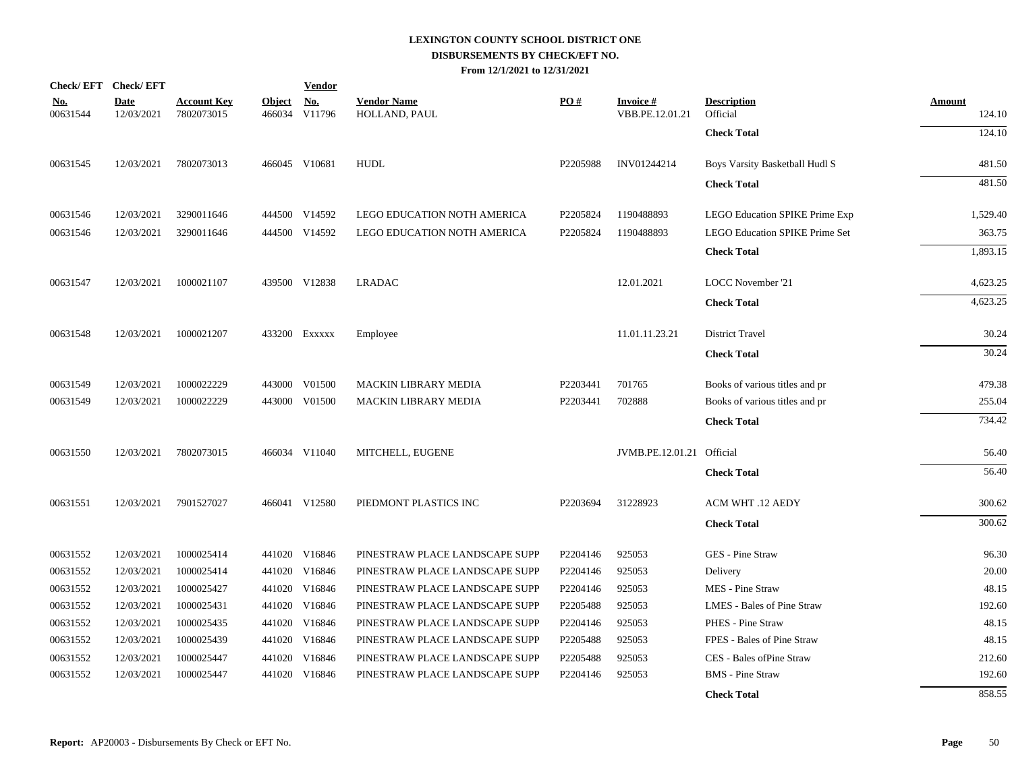|                        | Check/EFT Check/EFT       |                                  |                         | <b>Vendor</b>                       |                                     |          |                                    |                                       |                         |
|------------------------|---------------------------|----------------------------------|-------------------------|-------------------------------------|-------------------------------------|----------|------------------------------------|---------------------------------------|-------------------------|
| <u>No.</u><br>00631544 | <b>Date</b><br>12/03/2021 | <b>Account Key</b><br>7802073015 | <b>Object</b><br>466034 | $\underline{\textbf{No}}$<br>V11796 | <b>Vendor Name</b><br>HOLLAND, PAUL | PO#      | <b>Invoice#</b><br>VBB.PE.12.01.21 | <b>Description</b><br>Official        | <b>Amount</b><br>124.10 |
|                        |                           |                                  |                         |                                     |                                     |          |                                    | <b>Check Total</b>                    | 124.10                  |
| 00631545               | 12/03/2021                | 7802073013                       |                         | 466045 V10681                       | HUDL                                | P2205988 | INV01244214                        | Boys Varsity Basketball Hudl S        | 481.50                  |
|                        |                           |                                  |                         |                                     |                                     |          |                                    | <b>Check Total</b>                    | 481.50                  |
| 00631546               | 12/03/2021                | 3290011646                       |                         | 444500 V14592                       | <b>LEGO EDUCATION NOTH AMERICA</b>  | P2205824 | 1190488893                         | LEGO Education SPIKE Prime Exp        | 1,529.40                |
| 00631546               | 12/03/2021                | 3290011646                       |                         | 444500 V14592                       | LEGO EDUCATION NOTH AMERICA         | P2205824 | 1190488893                         | <b>LEGO Education SPIKE Prime Set</b> | 363.75                  |
|                        |                           |                                  |                         |                                     |                                     |          |                                    | <b>Check Total</b>                    | 1,893.15                |
| 00631547               | 12/03/2021                | 1000021107                       |                         | 439500 V12838                       | <b>LRADAC</b>                       |          | 12.01.2021                         | LOCC November '21                     | 4,623.25                |
|                        |                           |                                  |                         |                                     |                                     |          |                                    | <b>Check Total</b>                    | 4,623.25                |
| 00631548               | 12/03/2021                | 1000021207                       |                         | 433200 Exxxxx                       | Employee                            |          | 11.01.11.23.21                     | District Travel                       | 30.24                   |
|                        |                           |                                  |                         |                                     |                                     |          |                                    | <b>Check Total</b>                    | 30.24                   |
| 00631549               | 12/03/2021                | 1000022229                       |                         | 443000 V01500                       | MACKIN LIBRARY MEDIA                | P2203441 | 701765                             | Books of various titles and pr        | 479.38                  |
| 00631549               | 12/03/2021                | 1000022229                       |                         | 443000 V01500                       | <b>MACKIN LIBRARY MEDIA</b>         | P2203441 | 702888                             | Books of various titles and pr        | 255.04                  |
|                        |                           |                                  |                         |                                     |                                     |          |                                    | <b>Check Total</b>                    | 734.42                  |
| 00631550               | 12/03/2021                | 7802073015                       |                         | 466034 V11040                       | MITCHELL, EUGENE                    |          | JVMB.PE.12.01.21 Official          |                                       | 56.40                   |
|                        |                           |                                  |                         |                                     |                                     |          |                                    | <b>Check Total</b>                    | 56.40                   |
| 00631551               | 12/03/2021                | 7901527027                       |                         | 466041 V12580                       | PIEDMONT PLASTICS INC               | P2203694 | 31228923                           | ACM WHT .12 AEDY                      | 300.62                  |
|                        |                           |                                  |                         |                                     |                                     |          |                                    | <b>Check Total</b>                    | 300.62                  |
| 00631552               | 12/03/2021                | 1000025414                       |                         | 441020 V16846                       | PINESTRAW PLACE LANDSCAPE SUPP      | P2204146 | 925053                             | GES - Pine Straw                      | 96.30                   |
| 00631552               | 12/03/2021                | 1000025414                       |                         | 441020 V16846                       | PINESTRAW PLACE LANDSCAPE SUPP      | P2204146 | 925053                             | Delivery                              | 20.00                   |
| 00631552               | 12/03/2021                | 1000025427                       |                         | 441020 V16846                       | PINESTRAW PLACE LANDSCAPE SUPP      | P2204146 | 925053                             | MES - Pine Straw                      | 48.15                   |
| 00631552               | 12/03/2021                | 1000025431                       |                         | 441020 V16846                       | PINESTRAW PLACE LANDSCAPE SUPP      | P2205488 | 925053                             | LMES - Bales of Pine Straw            | 192.60                  |
| 00631552               | 12/03/2021                | 1000025435                       |                         | 441020 V16846                       | PINESTRAW PLACE LANDSCAPE SUPP      | P2204146 | 925053                             | PHES - Pine Straw                     | 48.15                   |
| 00631552               | 12/03/2021                | 1000025439                       |                         | 441020 V16846                       | PINESTRAW PLACE LANDSCAPE SUPP      | P2205488 | 925053                             | FPES - Bales of Pine Straw            | 48.15                   |
| 00631552               | 12/03/2021                | 1000025447                       |                         | 441020 V16846                       | PINESTRAW PLACE LANDSCAPE SUPP      | P2205488 | 925053                             | CES - Bales of Pine Straw             | 212.60                  |
| 00631552               | 12/03/2021                | 1000025447                       |                         | 441020 V16846                       | PINESTRAW PLACE LANDSCAPE SUPP      | P2204146 | 925053                             | <b>BMS</b> - Pine Straw               | 192.60                  |
|                        |                           |                                  |                         |                                     |                                     |          |                                    | <b>Check Total</b>                    | 858.55                  |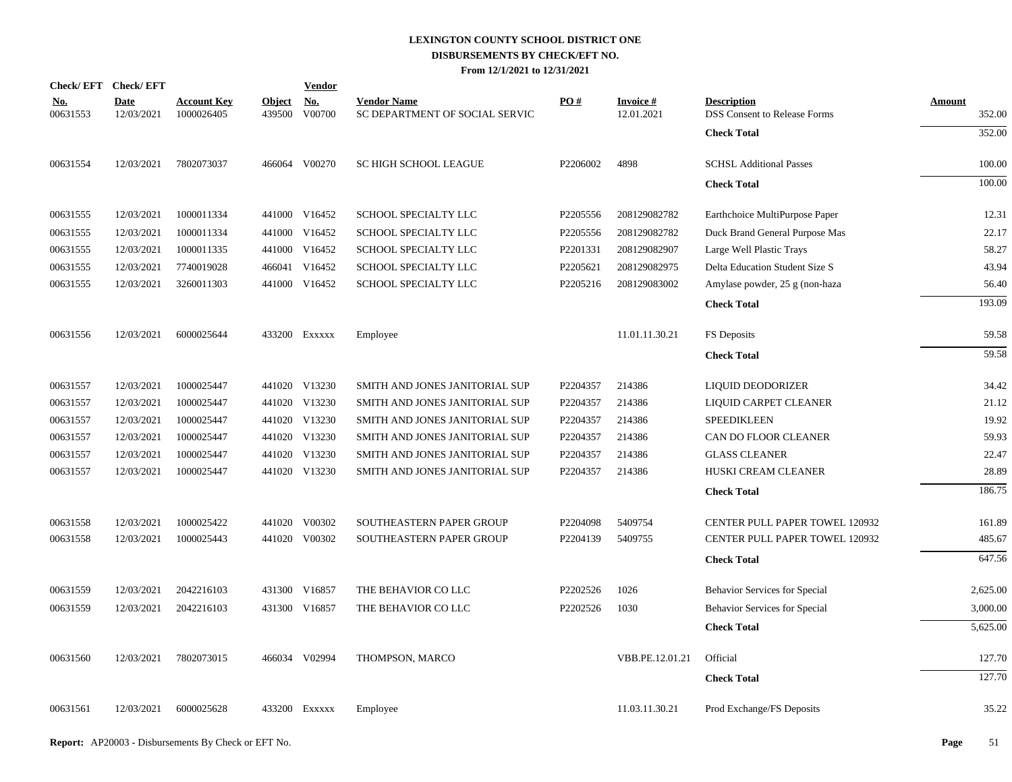| Check/EFT Check/EFT    |                    |                                  |                         | <b>Vendor</b> |                                                      |          |                               |                                                           |                         |
|------------------------|--------------------|----------------------------------|-------------------------|---------------|------------------------------------------------------|----------|-------------------------------|-----------------------------------------------------------|-------------------------|
| <b>No.</b><br>00631553 | Date<br>12/03/2021 | <b>Account Key</b><br>1000026405 | <b>Object</b><br>439500 | No.<br>V00700 | <b>Vendor Name</b><br>SC DEPARTMENT OF SOCIAL SERVIC | PO#      | <b>Invoice#</b><br>12.01.2021 | <b>Description</b><br><b>DSS Consent to Release Forms</b> | <b>Amount</b><br>352.00 |
|                        |                    |                                  |                         |               |                                                      |          |                               | <b>Check Total</b>                                        | 352.00                  |
| 00631554               | 12/03/2021         | 7802073037                       |                         | 466064 V00270 | <b>SC HIGH SCHOOL LEAGUE</b>                         | P2206002 | 4898                          | <b>SCHSL Additional Passes</b>                            | 100.00                  |
|                        |                    |                                  |                         |               |                                                      |          |                               | <b>Check Total</b>                                        | 100.00                  |
| 00631555               | 12/03/2021         | 1000011334                       |                         | 441000 V16452 | SCHOOL SPECIALTY LLC                                 | P2205556 | 208129082782                  | Earthchoice MultiPurpose Paper                            | 12.31                   |
| 00631555               | 12/03/2021         | 1000011334                       |                         | 441000 V16452 | SCHOOL SPECIALTY LLC                                 | P2205556 | 208129082782                  | Duck Brand General Purpose Mas                            | 22.17                   |
| 00631555               | 12/03/2021         | 1000011335                       |                         | 441000 V16452 | SCHOOL SPECIALTY LLC                                 | P2201331 | 208129082907                  | Large Well Plastic Trays                                  | 58.27                   |
| 00631555               | 12/03/2021         | 7740019028                       |                         | 466041 V16452 | SCHOOL SPECIALTY LLC                                 | P2205621 | 208129082975                  | Delta Education Student Size S                            | 43.94                   |
| 00631555               | 12/03/2021         | 3260011303                       |                         | 441000 V16452 | SCHOOL SPECIALTY LLC                                 | P2205216 | 208129083002                  | Amylase powder, 25 g (non-haza                            | 56.40                   |
|                        |                    |                                  |                         |               |                                                      |          |                               | <b>Check Total</b>                                        | 193.09                  |
| 00631556               | 12/03/2021         | 6000025644                       |                         | 433200 EXXXXX | Employee                                             |          | 11.01.11.30.21                | FS Deposits                                               | 59.58                   |
|                        |                    |                                  |                         |               |                                                      |          |                               | <b>Check Total</b>                                        | 59.58                   |
| 00631557               | 12/03/2021         | 1000025447                       |                         | 441020 V13230 | SMITH AND JONES JANITORIAL SUP                       | P2204357 | 214386                        | <b>LIQUID DEODORIZER</b>                                  | 34.42                   |
| 00631557               | 12/03/2021         | 1000025447                       |                         | 441020 V13230 | SMITH AND JONES JANITORIAL SUP                       | P2204357 | 214386                        | LIQUID CARPET CLEANER                                     | 21.12                   |
| 00631557               | 12/03/2021         | 1000025447                       |                         | 441020 V13230 | SMITH AND JONES JANITORIAL SUP                       | P2204357 | 214386                        | <b>SPEEDIKLEEN</b>                                        | 19.92                   |
| 00631557               | 12/03/2021         | 1000025447                       |                         | 441020 V13230 | SMITH AND JONES JANITORIAL SUP                       | P2204357 | 214386                        | CAN DO FLOOR CLEANER                                      | 59.93                   |
| 00631557               | 12/03/2021         | 1000025447                       |                         | 441020 V13230 | SMITH AND JONES JANITORIAL SUP                       | P2204357 | 214386                        | <b>GLASS CLEANER</b>                                      | 22.47                   |
| 00631557               | 12/03/2021         | 1000025447                       |                         | 441020 V13230 | SMITH AND JONES JANITORIAL SUP                       | P2204357 | 214386                        | HUSKI CREAM CLEANER                                       | 28.89                   |
|                        |                    |                                  |                         |               |                                                      |          |                               | <b>Check Total</b>                                        | 186.75                  |
| 00631558               | 12/03/2021         | 1000025422                       |                         | 441020 V00302 | SOUTHEASTERN PAPER GROUP                             | P2204098 | 5409754                       | <b>CENTER PULL PAPER TOWEL 120932</b>                     | 161.89                  |
| 00631558               | 12/03/2021         | 1000025443                       |                         | 441020 V00302 | SOUTHEASTERN PAPER GROUP                             | P2204139 | 5409755                       | CENTER PULL PAPER TOWEL 120932                            | 485.67                  |
|                        |                    |                                  |                         |               |                                                      |          |                               | <b>Check Total</b>                                        | 647.56                  |
| 00631559               | 12/03/2021         | 2042216103                       |                         | 431300 V16857 | THE BEHAVIOR CO LLC                                  | P2202526 | 1026                          | Behavior Services for Special                             | 2,625.00                |
| 00631559               | 12/03/2021         | 2042216103                       |                         | 431300 V16857 | THE BEHAVIOR CO LLC                                  | P2202526 | 1030                          | Behavior Services for Special                             | 3,000.00                |
|                        |                    |                                  |                         |               |                                                      |          |                               | <b>Check Total</b>                                        | 5,625.00                |
| 00631560               | 12/03/2021         | 7802073015                       |                         | 466034 V02994 | THOMPSON, MARCO                                      |          | VBB.PE.12.01.21               | Official                                                  | 127.70                  |
|                        |                    |                                  |                         |               |                                                      |          |                               | <b>Check Total</b>                                        | 127.70                  |
| 00631561               | 12/03/2021         | 6000025628                       |                         | 433200 Exxxxx | Employee                                             |          | 11.03.11.30.21                | Prod Exchange/FS Deposits                                 | 35.22                   |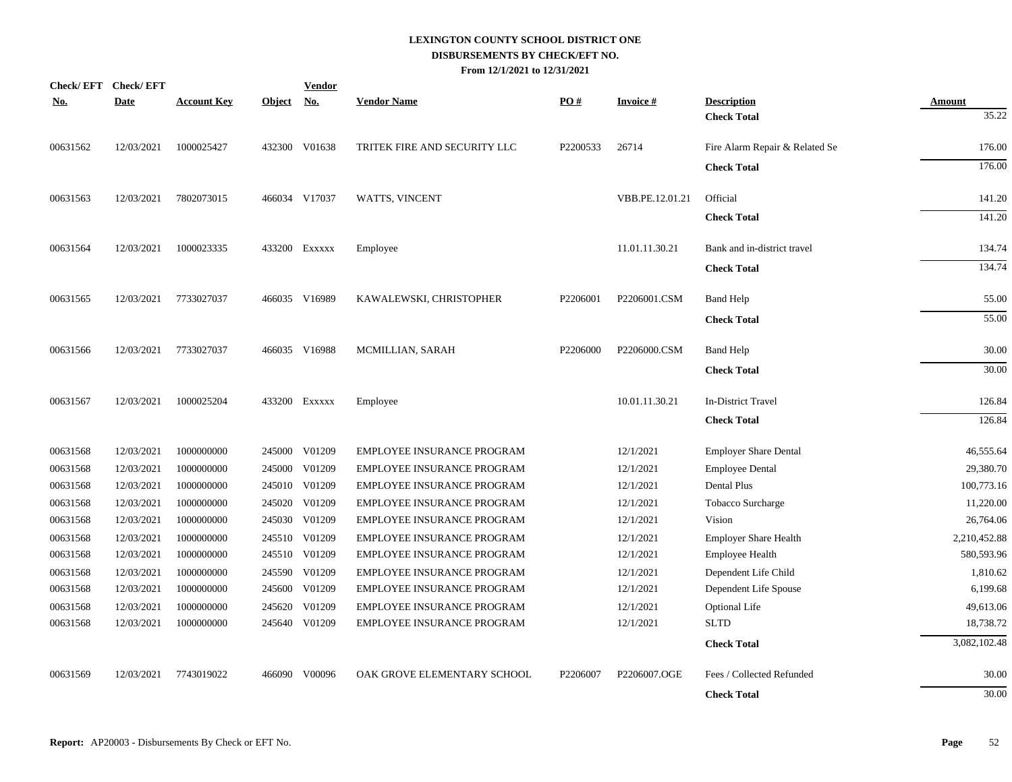| <b>Check/EFT</b> | <b>Check/EFT</b> |                    |               | <b>Vendor</b> |                                   |          |                 |                                          |                 |
|------------------|------------------|--------------------|---------------|---------------|-----------------------------------|----------|-----------------|------------------------------------------|-----------------|
| <u>No.</u>       | <b>Date</b>      | <b>Account Key</b> | <b>Object</b> | <u>No.</u>    | <b>Vendor Name</b>                | PO#      | <b>Invoice#</b> | <b>Description</b><br><b>Check Total</b> | Amount<br>35.22 |
|                  |                  |                    |               |               |                                   |          |                 |                                          |                 |
| 00631562         | 12/03/2021       | 1000025427         |               | 432300 V01638 | TRITEK FIRE AND SECURITY LLC      | P2200533 | 26714           | Fire Alarm Repair & Related Se           | 176.00          |
|                  |                  |                    |               |               |                                   |          |                 | <b>Check Total</b>                       | 176.00          |
| 00631563         | 12/03/2021       | 7802073015         |               | 466034 V17037 | WATTS, VINCENT                    |          | VBB.PE.12.01.21 | Official                                 | 141.20          |
|                  |                  |                    |               |               |                                   |          |                 | <b>Check Total</b>                       | 141.20          |
| 00631564         | 12/03/2021       | 1000023335         |               | 433200 Exxxxx | Employee                          |          | 11.01.11.30.21  | Bank and in-district travel              | 134.74          |
|                  |                  |                    |               |               |                                   |          |                 | <b>Check Total</b>                       | 134.74          |
| 00631565         | 12/03/2021       | 7733027037         |               | 466035 V16989 | KAWALEWSKI, CHRISTOPHER           | P2206001 | P2206001.CSM    | <b>Band Help</b>                         | 55.00           |
|                  |                  |                    |               |               |                                   |          |                 | <b>Check Total</b>                       | 55.00           |
| 00631566         | 12/03/2021       | 7733027037         |               | 466035 V16988 | MCMILLIAN, SARAH                  | P2206000 | P2206000.CSM    | <b>Band Help</b>                         | 30.00           |
|                  |                  |                    |               |               |                                   |          |                 | <b>Check Total</b>                       | 30.00           |
| 00631567         | 12/03/2021       | 1000025204         |               | 433200 Exxxxx | Employee                          |          | 10.01.11.30.21  | In-District Travel                       | 126.84          |
|                  |                  |                    |               |               |                                   |          |                 | <b>Check Total</b>                       | 126.84          |
| 00631568         | 12/03/2021       | 1000000000         |               | 245000 V01209 | EMPLOYEE INSURANCE PROGRAM        |          | 12/1/2021       | <b>Employer Share Dental</b>             | 46,555.64       |
| 00631568         | 12/03/2021       | 1000000000         |               | 245000 V01209 | <b>EMPLOYEE INSURANCE PROGRAM</b> |          | 12/1/2021       | <b>Employee Dental</b>                   | 29,380.70       |
| 00631568         | 12/03/2021       | 1000000000         |               | 245010 V01209 | EMPLOYEE INSURANCE PROGRAM        |          | 12/1/2021       | Dental Plus                              | 100,773.16      |
| 00631568         | 12/03/2021       | 1000000000         |               | 245020 V01209 | EMPLOYEE INSURANCE PROGRAM        |          | 12/1/2021       | Tobacco Surcharge                        | 11,220.00       |
| 00631568         | 12/03/2021       | 1000000000         |               | 245030 V01209 | EMPLOYEE INSURANCE PROGRAM        |          | 12/1/2021       | Vision                                   | 26,764.06       |
| 00631568         | 12/03/2021       | 1000000000         |               | 245510 V01209 | EMPLOYEE INSURANCE PROGRAM        |          | 12/1/2021       | <b>Employer Share Health</b>             | 2,210,452.88    |
| 00631568         | 12/03/2021       | 1000000000         |               | 245510 V01209 | EMPLOYEE INSURANCE PROGRAM        |          | 12/1/2021       | <b>Employee Health</b>                   | 580,593.96      |
| 00631568         | 12/03/2021       | 1000000000         |               | 245590 V01209 | EMPLOYEE INSURANCE PROGRAM        |          | 12/1/2021       | Dependent Life Child                     | 1,810.62        |
| 00631568         | 12/03/2021       | 1000000000         |               | 245600 V01209 | EMPLOYEE INSURANCE PROGRAM        |          | 12/1/2021       | Dependent Life Spouse                    | 6,199.68        |
| 00631568         | 12/03/2021       | 1000000000         | 245620        | V01209        | EMPLOYEE INSURANCE PROGRAM        |          | 12/1/2021       | <b>Optional Life</b>                     | 49,613.06       |
| 00631568         | 12/03/2021       | 1000000000         |               | 245640 V01209 | EMPLOYEE INSURANCE PROGRAM        |          | 12/1/2021       | <b>SLTD</b>                              | 18,738.72       |
|                  |                  |                    |               |               |                                   |          |                 | <b>Check Total</b>                       | 3,082,102.48    |
| 00631569         | 12/03/2021       | 7743019022         |               | 466090 V00096 | OAK GROVE ELEMENTARY SCHOOL       | P2206007 | P2206007.OGE    | Fees / Collected Refunded                | 30.00           |
|                  |                  |                    |               |               |                                   |          |                 | <b>Check Total</b>                       | 30.00           |
|                  |                  |                    |               |               |                                   |          |                 |                                          |                 |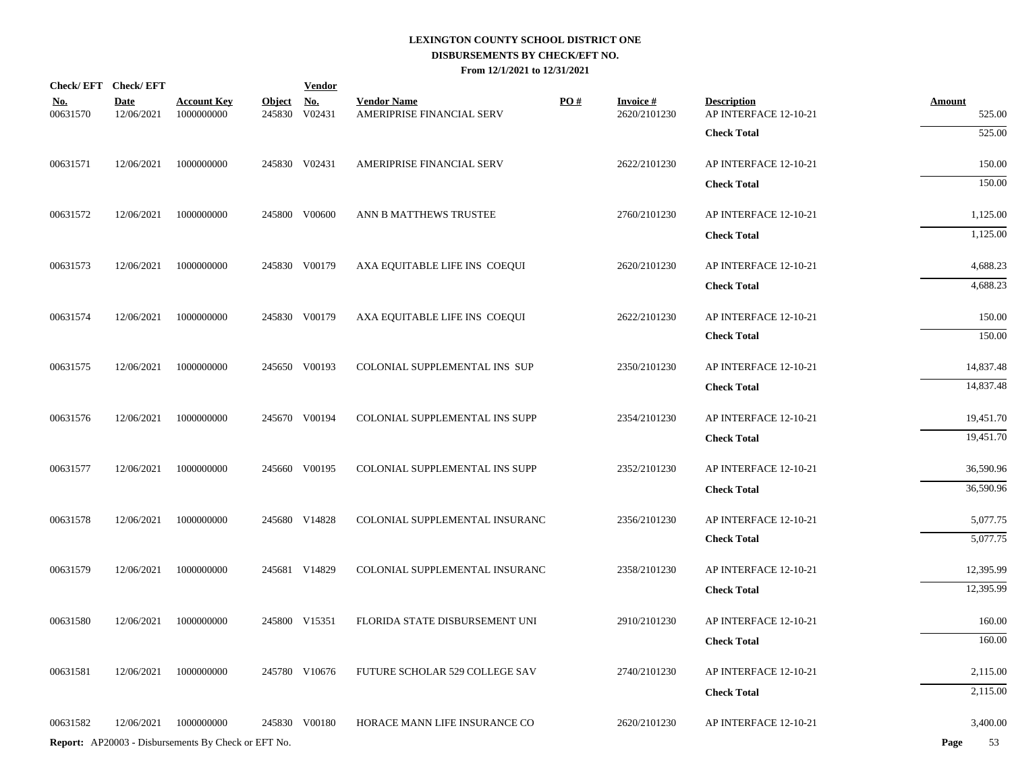|                        | Check/EFT Check/EFT       |                                                            |            | <b>Vendor</b> |                                                 |     |                                 |                                             |                         |
|------------------------|---------------------------|------------------------------------------------------------|------------|---------------|-------------------------------------------------|-----|---------------------------------|---------------------------------------------|-------------------------|
| <u>No.</u><br>00631570 | <b>Date</b><br>12/06/2021 | <b>Account Key</b><br>1000000000                           | Object No. | 245830 V02431 | <b>Vendor Name</b><br>AMERIPRISE FINANCIAL SERV | PO# | <b>Invoice#</b><br>2620/2101230 | <b>Description</b><br>AP INTERFACE 12-10-21 | <b>Amount</b><br>525.00 |
|                        |                           |                                                            |            |               |                                                 |     |                                 | <b>Check Total</b>                          | 525.00                  |
| 00631571               | 12/06/2021                | 1000000000                                                 |            | 245830 V02431 | AMERIPRISE FINANCIAL SERV                       |     | 2622/2101230                    | AP INTERFACE 12-10-21                       | 150.00                  |
|                        |                           |                                                            |            |               |                                                 |     |                                 | <b>Check Total</b>                          | 150.00                  |
| 00631572               | 12/06/2021                | 1000000000                                                 |            | 245800 V00600 | ANN B MATTHEWS TRUSTEE                          |     | 2760/2101230                    | AP INTERFACE 12-10-21                       | 1,125.00                |
|                        |                           |                                                            |            |               |                                                 |     |                                 | <b>Check Total</b>                          | 1,125.00                |
| 00631573               | 12/06/2021                | 1000000000                                                 |            | 245830 V00179 | AXA EQUITABLE LIFE INS COEQUI                   |     | 2620/2101230                    | AP INTERFACE 12-10-21                       | 4,688.23                |
|                        |                           |                                                            |            |               |                                                 |     |                                 | <b>Check Total</b>                          | 4,688.23                |
| 00631574               | 12/06/2021                | 1000000000                                                 |            | 245830 V00179 | AXA EQUITABLE LIFE INS COEQUI                   |     | 2622/2101230                    | AP INTERFACE 12-10-21                       | 150.00                  |
|                        |                           |                                                            |            |               |                                                 |     |                                 | <b>Check Total</b>                          | 150.00                  |
| 00631575               | 12/06/2021                | 1000000000                                                 |            | 245650 V00193 | COLONIAL SUPPLEMENTAL INS SUP                   |     | 2350/2101230                    | AP INTERFACE 12-10-21                       | 14,837.48               |
|                        |                           |                                                            |            |               |                                                 |     |                                 | <b>Check Total</b>                          | 14,837.48               |
| 00631576               | 12/06/2021                | 1000000000                                                 |            | 245670 V00194 | COLONIAL SUPPLEMENTAL INS SUPP                  |     | 2354/2101230                    | AP INTERFACE 12-10-21                       | 19,451.70               |
|                        |                           |                                                            |            |               |                                                 |     |                                 | <b>Check Total</b>                          | 19,451.70               |
| 00631577               | 12/06/2021                | 1000000000                                                 |            | 245660 V00195 | COLONIAL SUPPLEMENTAL INS SUPP                  |     | 2352/2101230                    | AP INTERFACE 12-10-21                       | 36,590.96               |
|                        |                           |                                                            |            |               |                                                 |     |                                 | <b>Check Total</b>                          | 36,590.96               |
| 00631578               | 12/06/2021                | 1000000000                                                 |            | 245680 V14828 | COLONIAL SUPPLEMENTAL INSURANC                  |     | 2356/2101230                    | AP INTERFACE 12-10-21                       | 5,077.75                |
|                        |                           |                                                            |            |               |                                                 |     |                                 | <b>Check Total</b>                          | 5,077.75                |
| 00631579               | 12/06/2021                | 1000000000                                                 |            | 245681 V14829 | COLONIAL SUPPLEMENTAL INSURANC                  |     | 2358/2101230                    | AP INTERFACE 12-10-21                       | 12,395.99               |
|                        |                           |                                                            |            |               |                                                 |     |                                 | <b>Check Total</b>                          | 12,395.99               |
| 00631580               | 12/06/2021                | 1000000000                                                 |            | 245800 V15351 | FLORIDA STATE DISBURSEMENT UNI                  |     | 2910/2101230                    | AP INTERFACE 12-10-21                       | 160.00                  |
|                        |                           |                                                            |            |               |                                                 |     |                                 | <b>Check Total</b>                          | 160.00                  |
| 00631581               | 12/06/2021                | 1000000000                                                 |            | 245780 V10676 | FUTURE SCHOLAR 529 COLLEGE SAV                  |     | 2740/2101230                    | AP INTERFACE 12-10-21                       | 2,115.00                |
|                        |                           |                                                            |            |               |                                                 |     |                                 | <b>Check Total</b>                          | 2,115.00                |
| 00631582               | 12/06/2021                | 1000000000                                                 |            | 245830 V00180 | HORACE MANN LIFE INSURANCE CO                   |     | 2620/2101230                    | AP INTERFACE 12-10-21                       | 3,400.00                |
|                        |                           | <b>Report:</b> AP20003 - Disbursements By Check or EFT No. |            |               |                                                 |     |                                 |                                             | 53<br>Page              |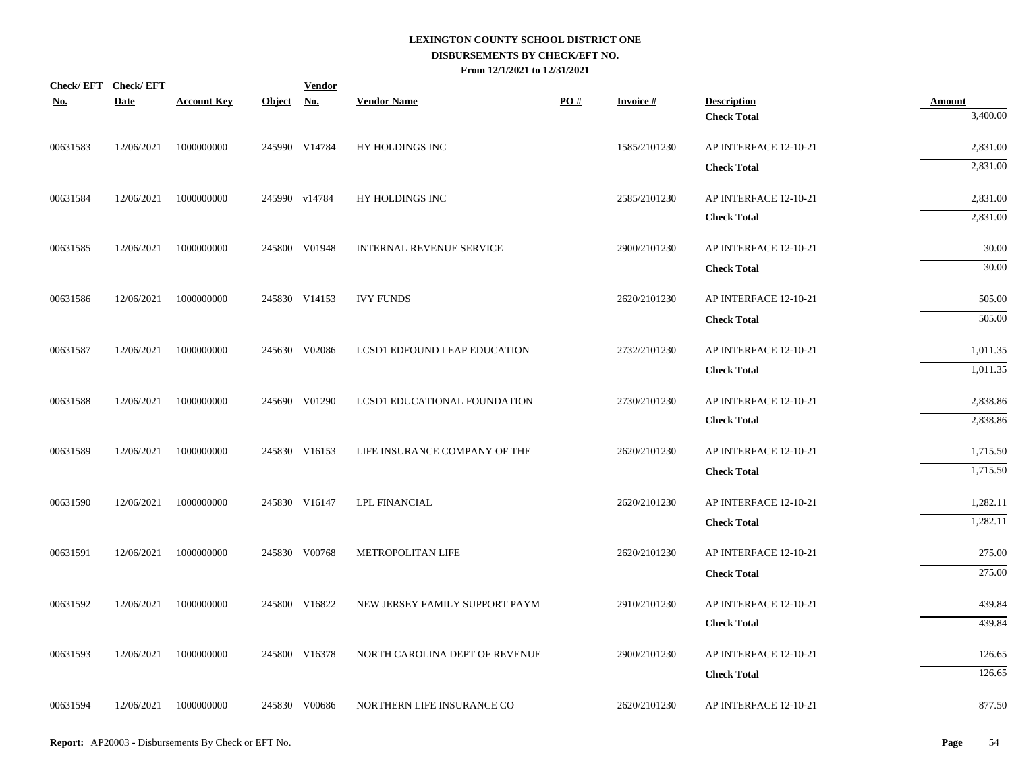| Check/EFT Check/EFT<br><b>No.</b> | <b>Date</b> | <b>Account Key</b>    | Object No. | <b>Vendor</b> | <b>Vendor Name</b>             | PO# | <b>Invoice#</b> | <b>Description</b>                          | <b>Amount</b>    |
|-----------------------------------|-------------|-----------------------|------------|---------------|--------------------------------|-----|-----------------|---------------------------------------------|------------------|
|                                   |             |                       |            |               |                                |     |                 | <b>Check Total</b>                          | 3,400.00         |
| 00631583                          | 12/06/2021  | 1000000000            |            | 245990 V14784 | HY HOLDINGS INC                |     | 1585/2101230    | AP INTERFACE 12-10-21                       | 2,831.00         |
|                                   |             |                       |            |               |                                |     |                 | <b>Check Total</b>                          | 2,831.00         |
| 00631584                          | 12/06/2021  | 1000000000            |            | 245990 v14784 | HY HOLDINGS INC                |     | 2585/2101230    | AP INTERFACE 12-10-21                       | 2,831.00         |
|                                   |             |                       |            |               |                                |     |                 | <b>Check Total</b>                          | 2,831.00         |
| 00631585                          | 12/06/2021  | 1000000000            |            | 245800 V01948 | INTERNAL REVENUE SERVICE       |     | 2900/2101230    | AP INTERFACE 12-10-21                       | 30.00            |
|                                   |             |                       |            |               |                                |     |                 | <b>Check Total</b>                          | 30.00            |
| 00631586                          | 12/06/2021  | 1000000000            |            | 245830 V14153 | <b>IVY FUNDS</b>               |     | 2620/2101230    | AP INTERFACE 12-10-21                       | 505.00           |
|                                   |             |                       |            |               |                                |     |                 | <b>Check Total</b>                          | 505.00           |
| 00631587                          | 12/06/2021  | 1000000000            |            | 245630 V02086 | LCSD1 EDFOUND LEAP EDUCATION   |     | 2732/2101230    | AP INTERFACE 12-10-21                       | 1,011.35         |
|                                   |             |                       |            |               |                                |     |                 | <b>Check Total</b>                          | 1,011.35         |
| 00631588                          | 12/06/2021  | 1000000000            |            | 245690 V01290 | LCSD1 EDUCATIONAL FOUNDATION   |     | 2730/2101230    | AP INTERFACE 12-10-21                       | 2,838.86         |
|                                   |             |                       |            |               |                                |     |                 | <b>Check Total</b>                          | 2,838.86         |
| 00631589                          | 12/06/2021  | 1000000000            |            | 245830 V16153 | LIFE INSURANCE COMPANY OF THE  |     | 2620/2101230    | AP INTERFACE 12-10-21                       | 1,715.50         |
|                                   |             |                       |            |               |                                |     |                 | <b>Check Total</b>                          | 1,715.50         |
| 00631590                          | 12/06/2021  | 1000000000            |            | 245830 V16147 | <b>LPL FINANCIAL</b>           |     | 2620/2101230    | AP INTERFACE 12-10-21                       | 1,282.11         |
|                                   |             |                       |            |               |                                |     |                 | <b>Check Total</b>                          | 1,282.11         |
| 00631591                          | 12/06/2021  | 1000000000            |            | 245830 V00768 | METROPOLITAN LIFE              |     | 2620/2101230    | AP INTERFACE 12-10-21                       | 275.00           |
|                                   |             |                       |            |               |                                |     |                 | <b>Check Total</b>                          | 275.00           |
|                                   |             |                       |            |               |                                |     |                 |                                             |                  |
| 00631592                          | 12/06/2021  | 1000000000            |            | 245800 V16822 | NEW JERSEY FAMILY SUPPORT PAYM |     | 2910/2101230    | AP INTERFACE 12-10-21<br><b>Check Total</b> | 439.84<br>439.84 |
|                                   |             |                       |            |               |                                |     |                 |                                             |                  |
| 00631593                          | 12/06/2021  | 1000000000            |            | 245800 V16378 | NORTH CAROLINA DEPT OF REVENUE |     | 2900/2101230    | AP INTERFACE 12-10-21                       | 126.65           |
|                                   |             |                       |            |               |                                |     |                 | <b>Check Total</b>                          | 126.65           |
| 00631594                          |             | 12/06/2021 1000000000 |            | 245830 V00686 | NORTHERN LIFE INSURANCE CO     |     | 2620/2101230    | AP INTERFACE 12-10-21                       | 877.50           |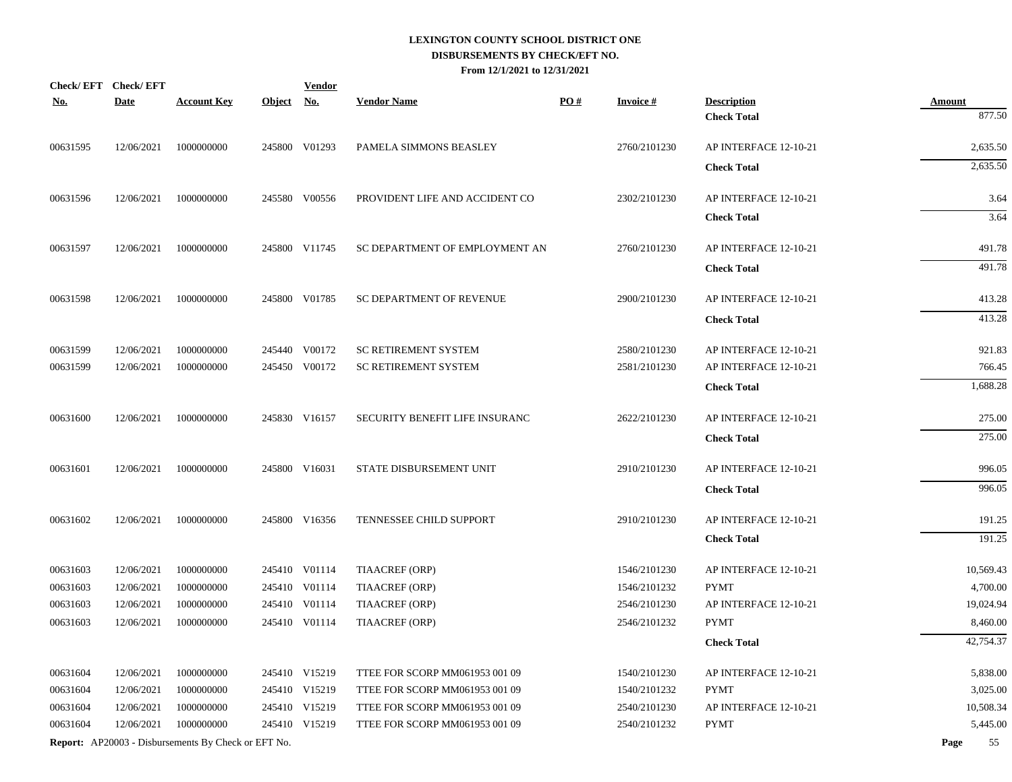| <u>No.</u> | Check/EFT Check/EFT<br><b>Date</b> | <b>Account Key</b>                                         | Object No. | <b>Vendor</b> | <b>Vendor Name</b>             | PO# | <b>Invoice#</b> | <b>Description</b>    | <b>Amount</b> |
|------------|------------------------------------|------------------------------------------------------------|------------|---------------|--------------------------------|-----|-----------------|-----------------------|---------------|
|            |                                    |                                                            |            |               |                                |     |                 | <b>Check Total</b>    | 877.50        |
| 00631595   | 12/06/2021                         | 1000000000                                                 |            | 245800 V01293 | PAMELA SIMMONS BEASLEY         |     | 2760/2101230    | AP INTERFACE 12-10-21 | 2,635.50      |
|            |                                    |                                                            |            |               |                                |     |                 | <b>Check Total</b>    | 2,635.50      |
| 00631596   | 12/06/2021                         | 1000000000                                                 |            | 245580 V00556 | PROVIDENT LIFE AND ACCIDENT CO |     | 2302/2101230    | AP INTERFACE 12-10-21 | 3.64          |
|            |                                    |                                                            |            |               |                                |     |                 | <b>Check Total</b>    | 3.64          |
| 00631597   | 12/06/2021                         | 1000000000                                                 |            | 245800 V11745 | SC DEPARTMENT OF EMPLOYMENT AN |     | 2760/2101230    | AP INTERFACE 12-10-21 | 491.78        |
|            |                                    |                                                            |            |               |                                |     |                 | <b>Check Total</b>    | 491.78        |
| 00631598   | 12/06/2021                         | 1000000000                                                 |            | 245800 V01785 | SC DEPARTMENT OF REVENUE       |     | 2900/2101230    | AP INTERFACE 12-10-21 | 413.28        |
|            |                                    |                                                            |            |               |                                |     |                 | <b>Check Total</b>    | 413.28        |
| 00631599   | 12/06/2021                         | 1000000000                                                 |            | 245440 V00172 | <b>SC RETIREMENT SYSTEM</b>    |     | 2580/2101230    | AP INTERFACE 12-10-21 | 921.83        |
| 00631599   | 12/06/2021                         | 1000000000                                                 |            | 245450 V00172 | <b>SC RETIREMENT SYSTEM</b>    |     | 2581/2101230    | AP INTERFACE 12-10-21 | 766.45        |
|            |                                    |                                                            |            |               |                                |     |                 | <b>Check Total</b>    | 1,688.28      |
| 00631600   | 12/06/2021                         | 1000000000                                                 |            | 245830 V16157 | SECURITY BENEFIT LIFE INSURANC |     | 2622/2101230    | AP INTERFACE 12-10-21 | 275.00        |
|            |                                    |                                                            |            |               |                                |     |                 | <b>Check Total</b>    | 275.00        |
| 00631601   | 12/06/2021                         | 1000000000                                                 |            | 245800 V16031 | STATE DISBURSEMENT UNIT        |     | 2910/2101230    | AP INTERFACE 12-10-21 | 996.05        |
|            |                                    |                                                            |            |               |                                |     |                 | <b>Check Total</b>    | 996.05        |
| 00631602   | 12/06/2021                         | 1000000000                                                 |            | 245800 V16356 | TENNESSEE CHILD SUPPORT        |     | 2910/2101230    | AP INTERFACE 12-10-21 | 191.25        |
|            |                                    |                                                            |            |               |                                |     |                 | <b>Check Total</b>    | 191.25        |
| 00631603   | 12/06/2021                         | 1000000000                                                 |            | 245410 V01114 | TIAACREF (ORP)                 |     | 1546/2101230    | AP INTERFACE 12-10-21 | 10,569.43     |
| 00631603   | 12/06/2021                         | 1000000000                                                 |            | 245410 V01114 | TIAACREF (ORP)                 |     | 1546/2101232    | <b>PYMT</b>           | 4,700.00      |
| 00631603   | 12/06/2021                         | 1000000000                                                 |            | 245410 V01114 | TIAACREF (ORP)                 |     | 2546/2101230    | AP INTERFACE 12-10-21 | 19,024.94     |
| 00631603   | 12/06/2021                         | 1000000000                                                 |            | 245410 V01114 | TIAACREF (ORP)                 |     | 2546/2101232    | <b>PYMT</b>           | 8,460.00      |
|            |                                    |                                                            |            |               |                                |     |                 | <b>Check Total</b>    | 42,754.37     |
| 00631604   | 12/06/2021                         | 1000000000                                                 |            | 245410 V15219 | TTEE FOR SCORP MM061953 001 09 |     | 1540/2101230    | AP INTERFACE 12-10-21 | 5,838.00      |
| 00631604   | 12/06/2021                         | 1000000000                                                 |            | 245410 V15219 | TTEE FOR SCORP MM061953 001 09 |     | 1540/2101232    | <b>PYMT</b>           | 3,025.00      |
| 00631604   | 12/06/2021                         | 1000000000                                                 |            | 245410 V15219 | TTEE FOR SCORP MM061953 001 09 |     | 2540/2101230    | AP INTERFACE 12-10-21 | 10,508.34     |
| 00631604   | 12/06/2021                         | 1000000000                                                 |            | 245410 V15219 | TTEE FOR SCORP MM061953 001 09 |     | 2540/2101232    | <b>PYMT</b>           | 5,445.00      |
|            |                                    | <b>Report:</b> AP20003 - Disbursements By Check or EFT No. |            |               |                                |     |                 |                       | 55<br>Page    |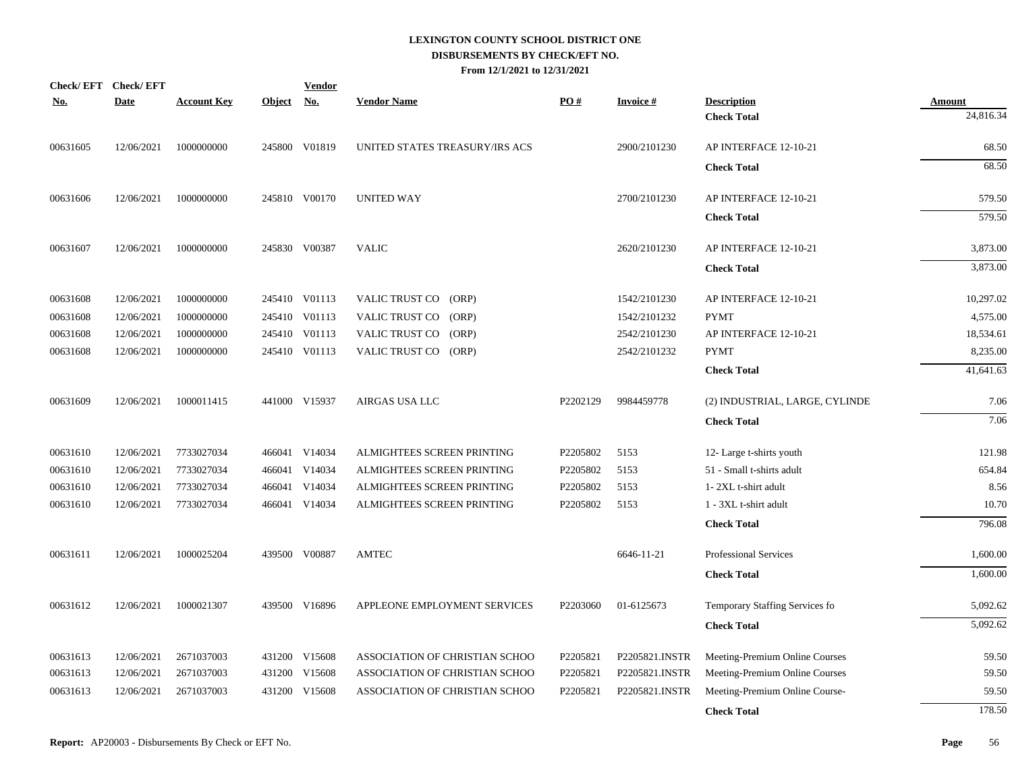| $\underline{\textbf{No}}$ . | Check/EFT Check/EFT<br><b>Date</b> | <b>Account Key</b> | Object No. | <b>Vendor</b> | <b>Vendor Name</b>             | PO#      | <b>Invoice#</b> | <b>Description</b>             | <b>Amount</b> |
|-----------------------------|------------------------------------|--------------------|------------|---------------|--------------------------------|----------|-----------------|--------------------------------|---------------|
|                             |                                    |                    |            |               |                                |          |                 | <b>Check Total</b>             | 24,816.34     |
| 00631605                    | 12/06/2021                         | 1000000000         |            | 245800 V01819 | UNITED STATES TREASURY/IRS ACS |          | 2900/2101230    | AP INTERFACE 12-10-21          | 68.50         |
|                             |                                    |                    |            |               |                                |          |                 | <b>Check Total</b>             | 68.50         |
| 00631606                    | 12/06/2021                         | 1000000000         |            | 245810 V00170 | <b>UNITED WAY</b>              |          | 2700/2101230    | AP INTERFACE 12-10-21          | 579.50        |
|                             |                                    |                    |            |               |                                |          |                 | <b>Check Total</b>             | 579.50        |
| 00631607                    | 12/06/2021                         | 1000000000         |            | 245830 V00387 | <b>VALIC</b>                   |          | 2620/2101230    | AP INTERFACE 12-10-21          | 3,873.00      |
|                             |                                    |                    |            |               |                                |          |                 | <b>Check Total</b>             | 3,873.00      |
| 00631608                    | 12/06/2021                         | 1000000000         |            | 245410 V01113 | VALIC TRUST CO (ORP)           |          | 1542/2101230    | AP INTERFACE 12-10-21          | 10,297.02     |
| 00631608                    | 12/06/2021                         | 1000000000         |            | 245410 V01113 | VALIC TRUST CO (ORP)           |          | 1542/2101232    | <b>PYMT</b>                    | 4,575.00      |
| 00631608                    | 12/06/2021                         | 1000000000         |            | 245410 V01113 | VALIC TRUST CO (ORP)           |          | 2542/2101230    | AP INTERFACE 12-10-21          | 18,534.61     |
| 00631608                    | 12/06/2021                         | 1000000000         |            | 245410 V01113 | VALIC TRUST CO (ORP)           |          | 2542/2101232    | <b>PYMT</b>                    | 8,235.00      |
|                             |                                    |                    |            |               |                                |          |                 | <b>Check Total</b>             | 41,641.63     |
| 00631609                    | 12/06/2021                         | 1000011415         |            | 441000 V15937 | AIRGAS USA LLC                 | P2202129 | 9984459778      | (2) INDUSTRIAL, LARGE, CYLINDE | 7.06          |
|                             |                                    |                    |            |               |                                |          |                 | <b>Check Total</b>             | 7.06          |
| 00631610                    | 12/06/2021                         | 7733027034         |            | 466041 V14034 | ALMIGHTEES SCREEN PRINTING     | P2205802 | 5153            | 12- Large t-shirts youth       | 121.98        |
| 00631610                    | 12/06/2021                         | 7733027034         |            | 466041 V14034 | ALMIGHTEES SCREEN PRINTING     | P2205802 | 5153            | 51 - Small t-shirts adult      | 654.84        |
| 00631610                    | 12/06/2021                         | 7733027034         |            | 466041 V14034 | ALMIGHTEES SCREEN PRINTING     | P2205802 | 5153            | 1-2XL t-shirt adult            | 8.56          |
| 00631610                    | 12/06/2021                         | 7733027034         |            | 466041 V14034 | ALMIGHTEES SCREEN PRINTING     | P2205802 | 5153            | 1 - 3XL t-shirt adult          | 10.70         |
|                             |                                    |                    |            |               |                                |          |                 | <b>Check Total</b>             | 796.08        |
| 00631611                    | 12/06/2021                         | 1000025204         |            | 439500 V00887 | <b>AMTEC</b>                   |          | 6646-11-21      | <b>Professional Services</b>   | 1,600.00      |
|                             |                                    |                    |            |               |                                |          |                 | <b>Check Total</b>             | 1,600.00      |
| 00631612                    | 12/06/2021                         | 1000021307         |            | 439500 V16896 | APPLEONE EMPLOYMENT SERVICES   | P2203060 | 01-6125673      | Temporary Staffing Services fo | 5,092.62      |
|                             |                                    |                    |            |               |                                |          |                 | <b>Check Total</b>             | 5,092.62      |
| 00631613                    | 12/06/2021                         | 2671037003         |            | 431200 V15608 | ASSOCIATION OF CHRISTIAN SCHOO | P2205821 | P2205821.INSTR  | Meeting-Premium Online Courses | 59.50         |
| 00631613                    | 12/06/2021                         | 2671037003         |            | 431200 V15608 | ASSOCIATION OF CHRISTIAN SCHOO | P2205821 | P2205821.INSTR  | Meeting-Premium Online Courses | 59.50         |
| 00631613                    | 12/06/2021                         | 2671037003         |            | 431200 V15608 | ASSOCIATION OF CHRISTIAN SCHOO | P2205821 | P2205821.INSTR  | Meeting-Premium Online Course- | 59.50         |
|                             |                                    |                    |            |               |                                |          |                 | <b>Check Total</b>             | 178.50        |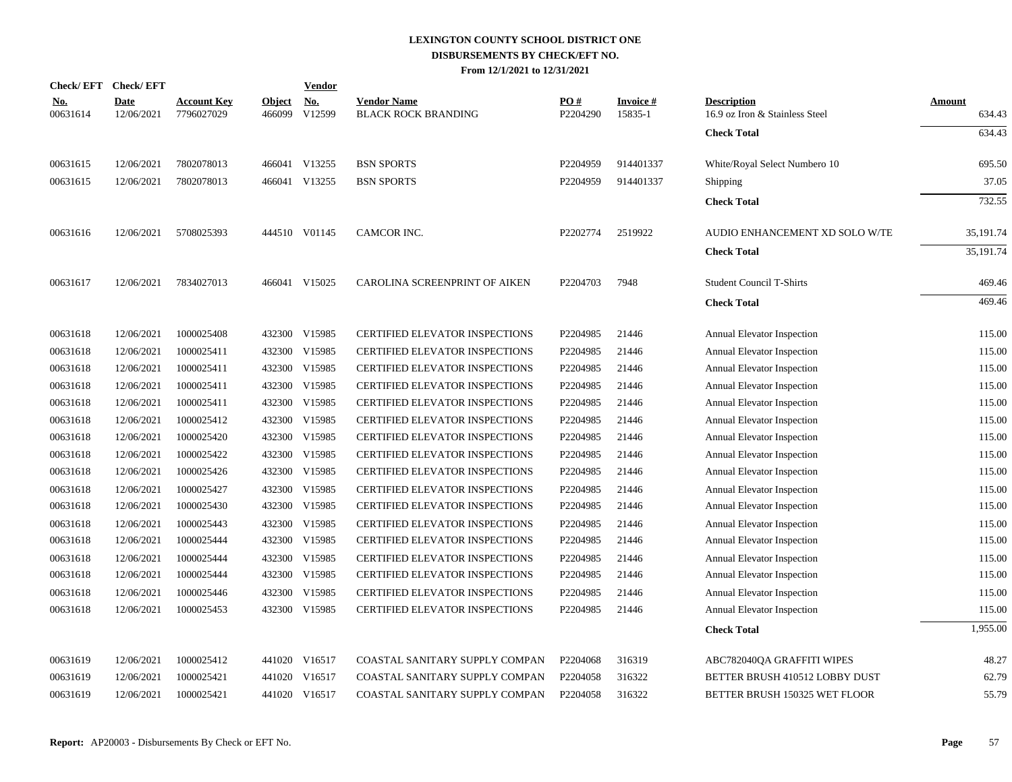|                        | Check/EFT Check/EFT       |                                  |                         | <b>Vendor</b>        |                                           |                      |                      |                                                      |                  |
|------------------------|---------------------------|----------------------------------|-------------------------|----------------------|-------------------------------------------|----------------------|----------------------|------------------------------------------------------|------------------|
| <u>No.</u><br>00631614 | <b>Date</b><br>12/06/2021 | <b>Account Key</b><br>7796027029 | <b>Object</b><br>466099 | <u>No.</u><br>V12599 | <b>Vendor Name</b><br>BLACK ROCK BRANDING | PO#<br>P2204290      | Invoice #<br>15835-1 | <b>Description</b><br>16.9 oz Iron & Stainless Steel | Amount<br>634.43 |
|                        |                           |                                  |                         |                      |                                           |                      |                      | <b>Check Total</b>                                   | 634.43           |
| 00631615               | 12/06/2021                | 7802078013                       |                         | 466041 V13255        | <b>BSN SPORTS</b>                         | P2204959             | 914401337            | White/Royal Select Numbero 10                        | 695.50           |
| 00631615               | 12/06/2021                | 7802078013                       |                         | 466041 V13255        | <b>BSN SPORTS</b>                         | P2204959             | 914401337            | Shipping                                             | 37.05            |
|                        |                           |                                  |                         |                      |                                           |                      |                      | <b>Check Total</b>                                   | 732.55           |
| 00631616               | 12/06/2021                | 5708025393                       |                         | 444510 V01145        | CAMCOR INC.                               | P2202774             | 2519922              | AUDIO ENHANCEMENT XD SOLO W/TE                       | 35,191.74        |
|                        |                           |                                  |                         |                      |                                           |                      |                      | <b>Check Total</b>                                   | 35,191.74        |
| 00631617               | 12/06/2021                | 7834027013                       |                         | 466041 V15025        | CAROLINA SCREENPRINT OF AIKEN             | P <sub>2204703</sub> | 7948                 | <b>Student Council T-Shirts</b>                      | 469.46           |
|                        |                           |                                  |                         |                      |                                           |                      |                      | <b>Check Total</b>                                   | 469.46           |
| 00631618               | 12/06/2021                | 1000025408                       |                         | 432300 V15985        | CERTIFIED ELEVATOR INSPECTIONS            | P2204985             | 21446                | Annual Elevator Inspection                           | 115.00           |
| 00631618               | 12/06/2021                | 1000025411                       |                         | 432300 V15985        | <b>CERTIFIED ELEVATOR INSPECTIONS</b>     | P2204985             | 21446                | <b>Annual Elevator Inspection</b>                    | 115.00           |
| 00631618               | 12/06/2021                | 1000025411                       |                         | 432300 V15985        | <b>CERTIFIED ELEVATOR INSPECTIONS</b>     | P2204985             | 21446                | Annual Elevator Inspection                           | 115.00           |
| 00631618               | 12/06/2021                | 1000025411                       |                         | 432300 V15985        | CERTIFIED ELEVATOR INSPECTIONS            | P2204985             | 21446                | Annual Elevator Inspection                           | 115.00           |
| 00631618               | 12/06/2021                | 1000025411                       |                         | 432300 V15985        | <b>CERTIFIED ELEVATOR INSPECTIONS</b>     | P2204985             | 21446                | <b>Annual Elevator Inspection</b>                    | 115.00           |
| 00631618               | 12/06/2021                | 1000025412                       |                         | 432300 V15985        | <b>CERTIFIED ELEVATOR INSPECTIONS</b>     | P2204985             | 21446                | Annual Elevator Inspection                           | 115.00           |
| 00631618               | 12/06/2021                | 1000025420                       |                         | 432300 V15985        | CERTIFIED ELEVATOR INSPECTIONS            | P2204985             | 21446                | Annual Elevator Inspection                           | 115.00           |
| 00631618               | 12/06/2021                | 1000025422                       | 432300                  | V15985               | CERTIFIED ELEVATOR INSPECTIONS            | P2204985             | 21446                | <b>Annual Elevator Inspection</b>                    | 115.00           |
| 00631618               | 12/06/2021                | 1000025426                       | 432300                  | V15985               | CERTIFIED ELEVATOR INSPECTIONS            | P2204985             | 21446                | <b>Annual Elevator Inspection</b>                    | 115.00           |
| 00631618               | 12/06/2021                | 1000025427                       |                         | 432300 V15985        | <b>CERTIFIED ELEVATOR INSPECTIONS</b>     | P2204985             | 21446                | Annual Elevator Inspection                           | 115.00           |
| 00631618               | 12/06/2021                | 1000025430                       | 432300                  | V15985               | CERTIFIED ELEVATOR INSPECTIONS            | P2204985             | 21446                | Annual Elevator Inspection                           | 115.00           |
| 00631618               | 12/06/2021                | 1000025443                       | 432300                  | V15985               | <b>CERTIFIED ELEVATOR INSPECTIONS</b>     | P2204985             | 21446                | <b>Annual Elevator Inspection</b>                    | 115.00           |
| 00631618               | 12/06/2021                | 1000025444                       | 432300                  | V15985               | CERTIFIED ELEVATOR INSPECTIONS            | P2204985             | 21446                | Annual Elevator Inspection                           | 115.00           |
| 00631618               | 12/06/2021                | 1000025444                       | 432300                  | V15985               | <b>CERTIFIED ELEVATOR INSPECTIONS</b>     | P2204985             | 21446                | Annual Elevator Inspection                           | 115.00           |
| 00631618               | 12/06/2021                | 1000025444                       | 432300                  | V15985               | CERTIFIED ELEVATOR INSPECTIONS            | P2204985             | 21446                | Annual Elevator Inspection                           | 115.00           |
| 00631618               | 12/06/2021                | 1000025446                       | 432300                  | V15985               | CERTIFIED ELEVATOR INSPECTIONS            | P2204985             | 21446                | Annual Elevator Inspection                           | 115.00           |
| 00631618               | 12/06/2021                | 1000025453                       |                         | 432300 V15985        | <b>CERTIFIED ELEVATOR INSPECTIONS</b>     | P2204985             | 21446                | Annual Elevator Inspection                           | 115.00           |
|                        |                           |                                  |                         |                      |                                           |                      |                      | <b>Check Total</b>                                   | 1,955.00         |
| 00631619               | 12/06/2021                | 1000025412                       |                         | 441020 V16517        | COASTAL SANITARY SUPPLY COMPAN            | P2204068             | 316319               | ABC782040QA GRAFFITI WIPES                           | 48.27            |
| 00631619               | 12/06/2021                | 1000025421                       | 441020                  | V16517               | COASTAL SANITARY SUPPLY COMPAN            | P2204058             | 316322               | BETTER BRUSH 410512 LOBBY DUST                       | 62.79            |
| 00631619               | 12/06/2021                | 1000025421                       |                         | 441020 V16517        | COASTAL SANITARY SUPPLY COMPAN            | P2204058             | 316322               | BETTER BRUSH 150325 WET FLOOR                        | 55.79            |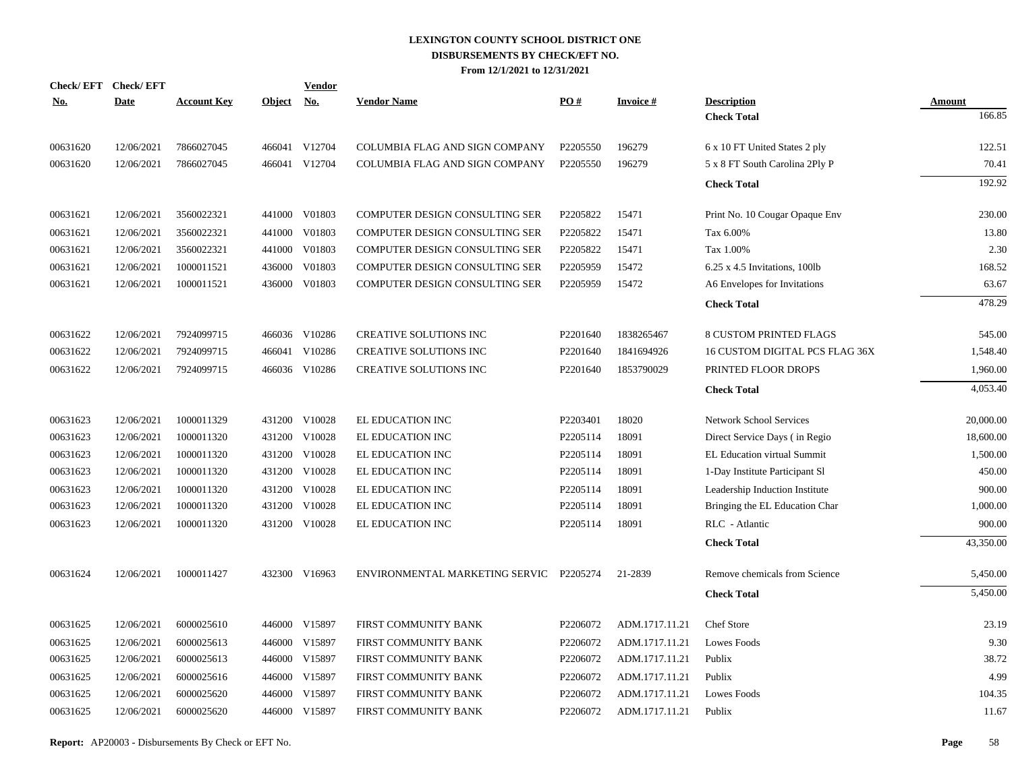|            | Check/EFT Check/EFT |                    |            | <b>Vendor</b> |                                         |                      |                  |                                 |               |
|------------|---------------------|--------------------|------------|---------------|-----------------------------------------|----------------------|------------------|---------------------------------|---------------|
| <u>No.</u> | <b>Date</b>         | <b>Account Key</b> | Object No. |               | <b>Vendor Name</b>                      | PO#                  | <b>Invoice</b> # | <b>Description</b>              | <b>Amount</b> |
|            |                     |                    |            |               |                                         |                      |                  | <b>Check Total</b>              | 166.85        |
| 00631620   | 12/06/2021          | 7866027045         |            | 466041 V12704 | COLUMBIA FLAG AND SIGN COMPANY          | P2205550             | 196279           | 6 x 10 FT United States 2 ply   | 122.51        |
| 00631620   | 12/06/2021          | 7866027045         |            | 466041 V12704 | COLUMBIA FLAG AND SIGN COMPANY          | P2205550             | 196279           | 5 x 8 FT South Carolina 2Ply P  | 70.41         |
|            |                     |                    |            |               |                                         |                      |                  | <b>Check Total</b>              | 192.92        |
| 00631621   | 12/06/2021          | 3560022321         |            | 441000 V01803 | <b>COMPUTER DESIGN CONSULTING SER</b>   | P2205822             | 15471            | Print No. 10 Cougar Opaque Env  | 230.00        |
| 00631621   | 12/06/2021          | 3560022321         | 441000     | V01803        | COMPUTER DESIGN CONSULTING SER          | P2205822             | 15471            | Tax 6.00%                       | 13.80         |
| 00631621   | 12/06/2021          | 3560022321         | 441000     | V01803        | COMPUTER DESIGN CONSULTING SER          | P2205822             | 15471            | Tax 1.00%                       | 2.30          |
| 00631621   | 12/06/2021          | 1000011521         | 436000     | V01803        | COMPUTER DESIGN CONSULTING SER          | P2205959             | 15472            | $6.25$ x 4.5 Invitations, 100lb | 168.52        |
| 00631621   | 12/06/2021          | 1000011521         | 436000     | V01803        | COMPUTER DESIGN CONSULTING SER          | P2205959             | 15472            | A6 Envelopes for Invitations    | 63.67         |
|            |                     |                    |            |               |                                         |                      |                  | <b>Check Total</b>              | 478.29        |
| 00631622   | 12/06/2021          | 7924099715         |            | 466036 V10286 | CREATIVE SOLUTIONS INC                  | P2201640             | 1838265467       | <b>8 CUSTOM PRINTED FLAGS</b>   | 545.00        |
| 00631622   | 12/06/2021          | 7924099715         |            | 466041 V10286 | CREATIVE SOLUTIONS INC                  | P2201640             | 1841694926       | 16 CUSTOM DIGITAL PCS FLAG 36X  | 1,548.40      |
| 00631622   | 12/06/2021          | 7924099715         |            | 466036 V10286 | CREATIVE SOLUTIONS INC                  | P <sub>2201640</sub> | 1853790029       | PRINTED FLOOR DROPS             | 1,960.00      |
|            |                     |                    |            |               |                                         |                      |                  | <b>Check Total</b>              | 4,053.40      |
| 00631623   | 12/06/2021          | 1000011329         |            | 431200 V10028 | EL EDUCATION INC                        | P2203401             | 18020            | <b>Network School Services</b>  | 20,000.00     |
| 00631623   | 12/06/2021          | 1000011320         |            | 431200 V10028 | EL EDUCATION INC                        | P2205114             | 18091            | Direct Service Days (in Regio   | 18,600.00     |
| 00631623   | 12/06/2021          | 1000011320         |            | 431200 V10028 | EL EDUCATION INC                        | P2205114             | 18091            | EL Education virtual Summit     | 1,500.00      |
| 00631623   | 12/06/2021          | 1000011320         |            | 431200 V10028 | EL EDUCATION INC                        | P2205114             | 18091            | 1-Day Institute Participant Sl  | 450.00        |
| 00631623   | 12/06/2021          | 1000011320         |            | 431200 V10028 | EL EDUCATION INC                        | P2205114             | 18091            | Leadership Induction Institute  | 900.00        |
| 00631623   | 12/06/2021          | 1000011320         |            | 431200 V10028 | EL EDUCATION INC                        | P2205114             | 18091            | Bringing the EL Education Char  | 1,000.00      |
| 00631623   | 12/06/2021          | 1000011320         |            | 431200 V10028 | EL EDUCATION INC                        | P2205114             | 18091            | RLC - Atlantic                  | 900.00        |
|            |                     |                    |            |               |                                         |                      |                  | <b>Check Total</b>              | 43,350.00     |
| 00631624   | 12/06/2021          | 1000011427         |            | 432300 V16963 | ENVIRONMENTAL MARKETING SERVIC P2205274 |                      | 21-2839          | Remove chemicals from Science   | 5,450.00      |
|            |                     |                    |            |               |                                         |                      |                  | <b>Check Total</b>              | 5,450.00      |
| 00631625   | 12/06/2021          | 6000025610         |            | 446000 V15897 | FIRST COMMUNITY BANK                    | P2206072             | ADM.1717.11.21   | Chef Store                      | 23.19         |
| 00631625   | 12/06/2021          | 6000025613         | 446000     | V15897        | FIRST COMMUNITY BANK                    | P2206072             | ADM.1717.11.21   | <b>Lowes Foods</b>              | 9.30          |
| 00631625   | 12/06/2021          | 6000025613         |            | 446000 V15897 | FIRST COMMUNITY BANK                    | P2206072             | ADM.1717.11.21   | Publix                          | 38.72         |
| 00631625   | 12/06/2021          | 6000025616         | 446000     | V15897        | FIRST COMMUNITY BANK                    | P2206072             | ADM.1717.11.21   | Publix                          | 4.99          |
| 00631625   | 12/06/2021          | 6000025620         | 446000     | V15897        | FIRST COMMUNITY BANK                    | P2206072             | ADM.1717.11.21   | Lowes Foods                     | 104.35        |
| 00631625   | 12/06/2021          | 6000025620         |            | 446000 V15897 | FIRST COMMUNITY BANK                    | P2206072             | ADM.1717.11.21   | Publix                          | 11.67         |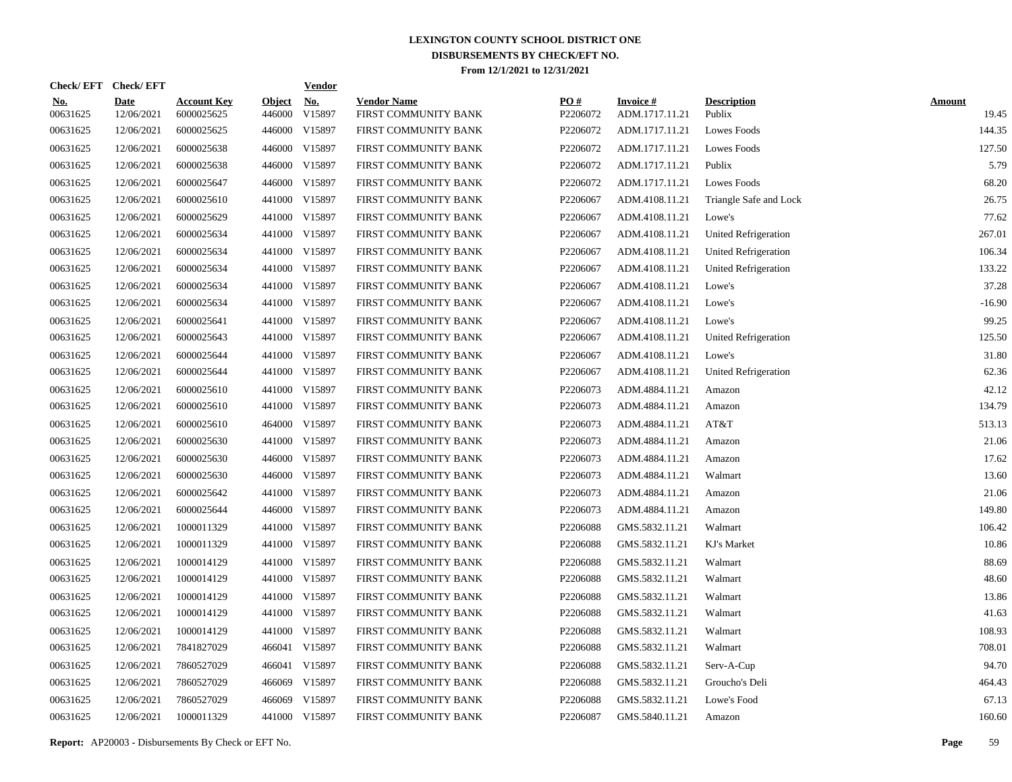|                        | Check/EFT Check/EFT |                                  |                         | <b>Vendor</b> |                                            |                 |                                   |                              |                        |
|------------------------|---------------------|----------------------------------|-------------------------|---------------|--------------------------------------------|-----------------|-----------------------------------|------------------------------|------------------------|
| <u>No.</u><br>00631625 | Date<br>12/06/2021  | <b>Account Key</b><br>6000025625 | <b>Object</b><br>446000 | No.<br>V15897 | <b>Vendor Name</b><br>FIRST COMMUNITY BANK | PQ#<br>P2206072 | <b>Invoice#</b><br>ADM.1717.11.21 | <b>Description</b><br>Publix | <b>Amount</b><br>19.45 |
| 00631625               | 12/06/2021          | 6000025625                       | 446000                  | V15897        | FIRST COMMUNITY BANK                       | P2206072        | ADM.1717.11.21                    | Lowes Foods                  | 144.35                 |
| 00631625               | 12/06/2021          | 6000025638                       |                         | 446000 V15897 | FIRST COMMUNITY BANK                       | P2206072        | ADM.1717.11.21                    | <b>Lowes Foods</b>           | 127.50                 |
| 00631625               | 12/06/2021          | 6000025638                       | 446000                  | V15897        | FIRST COMMUNITY BANK                       | P2206072        | ADM.1717.11.21                    | Publix                       | 5.79                   |
| 00631625               | 12/06/2021          | 6000025647                       |                         | 446000 V15897 | FIRST COMMUNITY BANK                       | P2206072        | ADM.1717.11.21                    | <b>Lowes Foods</b>           | 68.20                  |
| 00631625               | 12/06/2021          | 6000025610                       | 441000                  | V15897        | FIRST COMMUNITY BANK                       | P2206067        | ADM.4108.11.21                    | Triangle Safe and Lock       | 26.75                  |
| 00631625               | 12/06/2021          | 6000025629                       |                         | 441000 V15897 | FIRST COMMUNITY BANK                       | P2206067        | ADM.4108.11.21                    | Lowe's                       | 77.62                  |
| 00631625               | 12/06/2021          | 6000025634                       |                         | 441000 V15897 | FIRST COMMUNITY BANK                       | P2206067        | ADM.4108.11.21                    | United Refrigeration         | 267.01                 |
| 00631625               | 12/06/2021          | 6000025634                       |                         | 441000 V15897 | FIRST COMMUNITY BANK                       | P2206067        | ADM.4108.11.21                    | United Refrigeration         | 106.34                 |
| 00631625               | 12/06/2021          | 6000025634                       |                         | 441000 V15897 | FIRST COMMUNITY BANK                       | P2206067        | ADM.4108.11.21                    | United Refrigeration         | 133.22                 |
| 00631625               | 12/06/2021          | 6000025634                       |                         | 441000 V15897 | FIRST COMMUNITY BANK                       | P2206067        | ADM.4108.11.21                    | Lowe's                       | 37.28                  |
| 00631625               | 12/06/2021          | 6000025634                       |                         | 441000 V15897 | FIRST COMMUNITY BANK                       | P2206067        | ADM.4108.11.21                    | Lowe's                       | $-16.90$               |
| 00631625               | 12/06/2021          | 6000025641                       |                         | 441000 V15897 | FIRST COMMUNITY BANK                       | P2206067        | ADM.4108.11.21                    | Lowe's                       | 99.25                  |
| 00631625               | 12/06/2021          | 6000025643                       |                         | 441000 V15897 | FIRST COMMUNITY BANK                       | P2206067        | ADM.4108.11.21                    | United Refrigeration         | 125.50                 |
| 00631625               | 12/06/2021          | 6000025644                       |                         | 441000 V15897 | FIRST COMMUNITY BANK                       | P2206067        | ADM.4108.11.21                    | Lowe's                       | 31.80                  |
| 00631625               | 12/06/2021          | 6000025644                       |                         | 441000 V15897 | FIRST COMMUNITY BANK                       | P2206067        | ADM.4108.11.21                    | United Refrigeration         | 62.36                  |
| 00631625               | 12/06/2021          | 6000025610                       |                         | 441000 V15897 | FIRST COMMUNITY BANK                       | P2206073        | ADM.4884.11.21                    | Amazon                       | 42.12                  |
| 00631625               | 12/06/2021          | 6000025610                       |                         | 441000 V15897 | FIRST COMMUNITY BANK                       | P2206073        | ADM.4884.11.21                    | Amazon                       | 134.79                 |
| 00631625               | 12/06/2021          | 6000025610                       |                         | 464000 V15897 | FIRST COMMUNITY BANK                       | P2206073        | ADM.4884.11.21                    | AT&T                         | 513.13                 |
| 00631625               | 12/06/2021          | 6000025630                       |                         | 441000 V15897 | FIRST COMMUNITY BANK                       | P2206073        | ADM.4884.11.21                    | Amazon                       | 21.06                  |
| 00631625               | 12/06/2021          | 6000025630                       |                         | 446000 V15897 | FIRST COMMUNITY BANK                       | P2206073        | ADM.4884.11.21                    | Amazon                       | 17.62                  |
| 00631625               | 12/06/2021          | 6000025630                       |                         | 446000 V15897 | FIRST COMMUNITY BANK                       | P2206073        | ADM.4884.11.21                    | Walmart                      | 13.60                  |
| 00631625               | 12/06/2021          | 6000025642                       |                         | 441000 V15897 | FIRST COMMUNITY BANK                       | P2206073        | ADM.4884.11.21                    | Amazon                       | 21.06                  |
| 00631625               | 12/06/2021          | 6000025644                       |                         | 446000 V15897 | FIRST COMMUNITY BANK                       | P2206073        | ADM.4884.11.21                    | Amazon                       | 149.80                 |
| 00631625               | 12/06/2021          | 1000011329                       |                         | 441000 V15897 | FIRST COMMUNITY BANK                       | P2206088        | GMS.5832.11.21                    | Walmart                      | 106.42                 |
| 00631625               | 12/06/2021          | 1000011329                       |                         | 441000 V15897 | FIRST COMMUNITY BANK                       | P2206088        | GMS.5832.11.21                    | KJ's Market                  | 10.86                  |
| 00631625               | 12/06/2021          | 1000014129                       |                         | 441000 V15897 | FIRST COMMUNITY BANK                       | P2206088        | GMS.5832.11.21                    | Walmart                      | 88.69                  |
| 00631625               | 12/06/2021          | 1000014129                       |                         | 441000 V15897 | FIRST COMMUNITY BANK                       | P2206088        | GMS.5832.11.21                    | Walmart                      | 48.60                  |
| 00631625               | 12/06/2021          | 1000014129                       |                         | 441000 V15897 | FIRST COMMUNITY BANK                       | P2206088        | GMS.5832.11.21                    | Walmart                      | 13.86                  |
| 00631625               | 12/06/2021          | 1000014129                       |                         | 441000 V15897 | FIRST COMMUNITY BANK                       | P2206088        | GMS.5832.11.21                    | Walmart                      | 41.63                  |
| 00631625               | 12/06/2021          | 1000014129                       |                         | 441000 V15897 | FIRST COMMUNITY BANK                       | P2206088        | GMS.5832.11.21                    | Walmart                      | 108.93                 |
| 00631625               | 12/06/2021          | 7841827029                       | 466041                  | V15897        | FIRST COMMUNITY BANK                       | P2206088        | GMS.5832.11.21                    | Walmart                      | 708.01                 |
| 00631625               | 12/06/2021          | 7860527029                       | 466041                  | V15897        | FIRST COMMUNITY BANK                       | P2206088        | GMS.5832.11.21                    | Serv-A-Cup                   | 94.70                  |
| 00631625               | 12/06/2021          | 7860527029                       | 466069                  | V15897        | FIRST COMMUNITY BANK                       | P2206088        | GMS.5832.11.21                    | Groucho's Deli               | 464.43                 |
| 00631625               | 12/06/2021          | 7860527029                       | 466069                  | V15897        | FIRST COMMUNITY BANK                       | P2206088        | GMS.5832.11.21                    | Lowe's Food                  | 67.13                  |
| 00631625               | 12/06/2021          | 1000011329                       |                         | 441000 V15897 | FIRST COMMUNITY BANK                       | P2206087        | GMS.5840.11.21                    | Amazon                       | 160.60                 |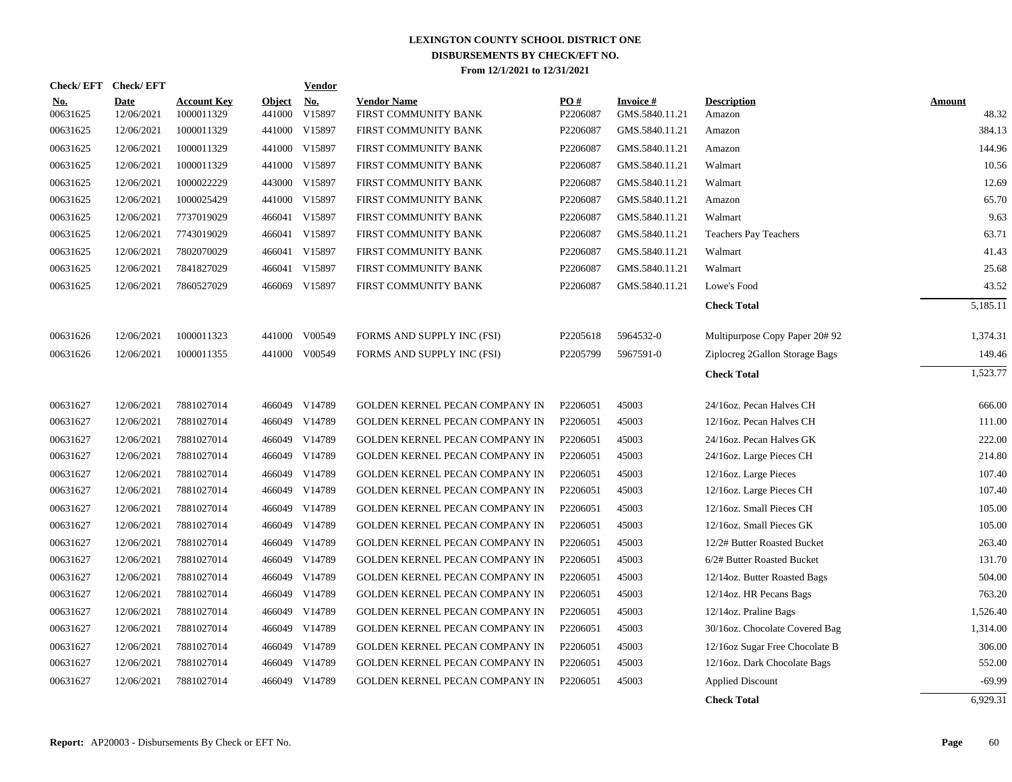| <b>Check/EFT</b>       | <b>Check/EFT</b>          |                                  |                         | <b>Vendor</b>        |                                            |                 |                                    |                                |                        |
|------------------------|---------------------------|----------------------------------|-------------------------|----------------------|--------------------------------------------|-----------------|------------------------------------|--------------------------------|------------------------|
| <u>No.</u><br>00631625 | <b>Date</b><br>12/06/2021 | <b>Account Key</b><br>1000011329 | <b>Object</b><br>441000 | <u>No.</u><br>V15897 | <b>Vendor Name</b><br>FIRST COMMUNITY BANK | PO#<br>P2206087 | <b>Invoice #</b><br>GMS.5840.11.21 | <b>Description</b><br>Amazon   | <b>Amount</b><br>48.32 |
| 00631625               | 12/06/2021                | 1000011329                       | 441000                  | V15897               | FIRST COMMUNITY BANK                       | P2206087        | GMS.5840.11.21                     | Amazon                         | 384.13                 |
| 00631625               | 12/06/2021                | 1000011329                       | 441000                  | V15897               | FIRST COMMUNITY BANK                       | P2206087        | GMS.5840.11.21                     | Amazon                         | 144.96                 |
| 00631625               | 12/06/2021                | 1000011329                       | 441000                  | V15897               | FIRST COMMUNITY BANK                       | P2206087        | GMS.5840.11.21                     | Walmart                        | 10.56                  |
| 00631625               | 12/06/2021                | 1000022229                       |                         | 443000 V15897        | FIRST COMMUNITY BANK                       | P2206087        | GMS.5840.11.21                     | Walmart                        | 12.69                  |
| 00631625               | 12/06/2021                | 1000025429                       |                         | 441000 V15897        | FIRST COMMUNITY BANK                       | P2206087        | GMS.5840.11.21                     | Amazon                         | 65.70                  |
| 00631625               | 12/06/2021                | 7737019029                       |                         | 466041 V15897        | FIRST COMMUNITY BANK                       | P2206087        | GMS.5840.11.21                     | Walmart                        | 9.63                   |
| 00631625               | 12/06/2021                | 7743019029                       |                         | 466041 V15897        | FIRST COMMUNITY BANK                       | P2206087        | GMS.5840.11.21                     | <b>Teachers Pay Teachers</b>   | 63.71                  |
| 00631625               | 12/06/2021                | 7802070029                       |                         | 466041 V15897        | FIRST COMMUNITY BANK                       | P2206087        | GMS.5840.11.21                     | Walmart                        | 41.43                  |
| 00631625               | 12/06/2021                | 7841827029                       |                         | 466041 V15897        | FIRST COMMUNITY BANK                       | P2206087        | GMS.5840.11.21                     | Walmart                        | 25.68                  |
| 00631625               | 12/06/2021                | 7860527029                       |                         | 466069 V15897        | FIRST COMMUNITY BANK                       | P2206087        | GMS.5840.11.21                     | Lowe's Food                    | 43.52                  |
|                        |                           |                                  |                         |                      |                                            |                 |                                    | <b>Check Total</b>             | 5,185.11               |
| 00631626               | 12/06/2021                | 1000011323                       |                         | 441000 V00549        | FORMS AND SUPPLY INC (FSI)                 | P2205618        | 5964532-0                          | Multipurpose Copy Paper 20# 92 | 1,374.31               |
| 00631626               | 12/06/2021                | 1000011355                       |                         | 441000 V00549        | FORMS AND SUPPLY INC (FSI)                 | P2205799        | 5967591-0                          | Ziplocreg 2Gallon Storage Bags | 149.46                 |
|                        |                           |                                  |                         |                      |                                            |                 |                                    | <b>Check Total</b>             | 1,523.77               |
| 00631627               | 12/06/2021                | 7881027014                       |                         | 466049 V14789        | GOLDEN KERNEL PECAN COMPANY IN             | P2206051        | 45003                              | 24/16oz. Pecan Halves CH       | 666.00                 |
| 00631627               | 12/06/2021                | 7881027014                       |                         | 466049 V14789        | GOLDEN KERNEL PECAN COMPANY IN             | P2206051        | 45003                              | 12/16oz. Pecan Halves CH       | 111.00                 |
| 00631627               | 12/06/2021                | 7881027014                       |                         | 466049 V14789        | GOLDEN KERNEL PECAN COMPANY IN             | P2206051        | 45003                              | 24/16oz. Pecan Halves GK       | 222.00                 |
| 00631627               | 12/06/2021                | 7881027014                       |                         | 466049 V14789        | GOLDEN KERNEL PECAN COMPANY IN             | P2206051        | 45003                              | 24/16oz. Large Pieces CH       | 214.80                 |
| 00631627               | 12/06/2021                | 7881027014                       |                         | 466049 V14789        | GOLDEN KERNEL PECAN COMPANY IN             | P2206051        | 45003                              | 12/16oz. Large Pieces          | 107.40                 |
| 00631627               | 12/06/2021                | 7881027014                       |                         | 466049 V14789        | GOLDEN KERNEL PECAN COMPANY IN             | P2206051        | 45003                              | 12/16oz. Large Pieces CH       | 107.40                 |
| 00631627               | 12/06/2021                | 7881027014                       |                         | 466049 V14789        | GOLDEN KERNEL PECAN COMPANY IN             | P2206051        | 45003                              | 12/16oz. Small Pieces CH       | 105.00                 |
| 00631627               | 12/06/2021                | 7881027014                       |                         | 466049 V14789        | GOLDEN KERNEL PECAN COMPANY IN             | P2206051        | 45003                              | 12/16oz. Small Pieces GK       | 105.00                 |
| 00631627               | 12/06/2021                | 7881027014                       |                         | 466049 V14789        | GOLDEN KERNEL PECAN COMPANY IN             | P2206051        | 45003                              | 12/2# Butter Roasted Bucket    | 263.40                 |
| 00631627               | 12/06/2021                | 7881027014                       |                         | 466049 V14789        | GOLDEN KERNEL PECAN COMPANY IN             | P2206051        | 45003                              | 6/2# Butter Roasted Bucket     | 131.70                 |
| 00631627               | 12/06/2021                | 7881027014                       |                         | 466049 V14789        | GOLDEN KERNEL PECAN COMPANY IN             | P2206051        | 45003                              | 12/14oz. Butter Roasted Bags   | 504.00                 |
| 00631627               | 12/06/2021                | 7881027014                       |                         | 466049 V14789        | GOLDEN KERNEL PECAN COMPANY IN             | P2206051        | 45003                              | 12/14oz. HR Pecans Bags        | 763.20                 |
| 00631627               | 12/06/2021                | 7881027014                       |                         | 466049 V14789        | GOLDEN KERNEL PECAN COMPANY IN             | P2206051        | 45003                              | 12/14oz. Praline Bags          | 1,526.40               |
| 00631627               | 12/06/2021                | 7881027014                       |                         | 466049 V14789        | GOLDEN KERNEL PECAN COMPANY IN             | P2206051        | 45003                              | 30/16oz. Chocolate Covered Bag | 1,314.00               |
| 00631627               | 12/06/2021                | 7881027014                       |                         | 466049 V14789        | GOLDEN KERNEL PECAN COMPANY IN             | P2206051        | 45003                              | 12/16oz Sugar Free Chocolate B | 306.00                 |
| 00631627               | 12/06/2021                | 7881027014                       |                         | 466049 V14789        | GOLDEN KERNEL PECAN COMPANY IN             | P2206051        | 45003                              | 12/16oz. Dark Chocolate Bags   | 552.00                 |
| 00631627               | 12/06/2021                | 7881027014                       | 466049                  | V14789               | GOLDEN KERNEL PECAN COMPANY IN             | P2206051        | 45003                              | <b>Applied Discount</b>        | $-69.99$               |
|                        |                           |                                  |                         |                      |                                            |                 |                                    | <b>Check Total</b>             | 6.929.31               |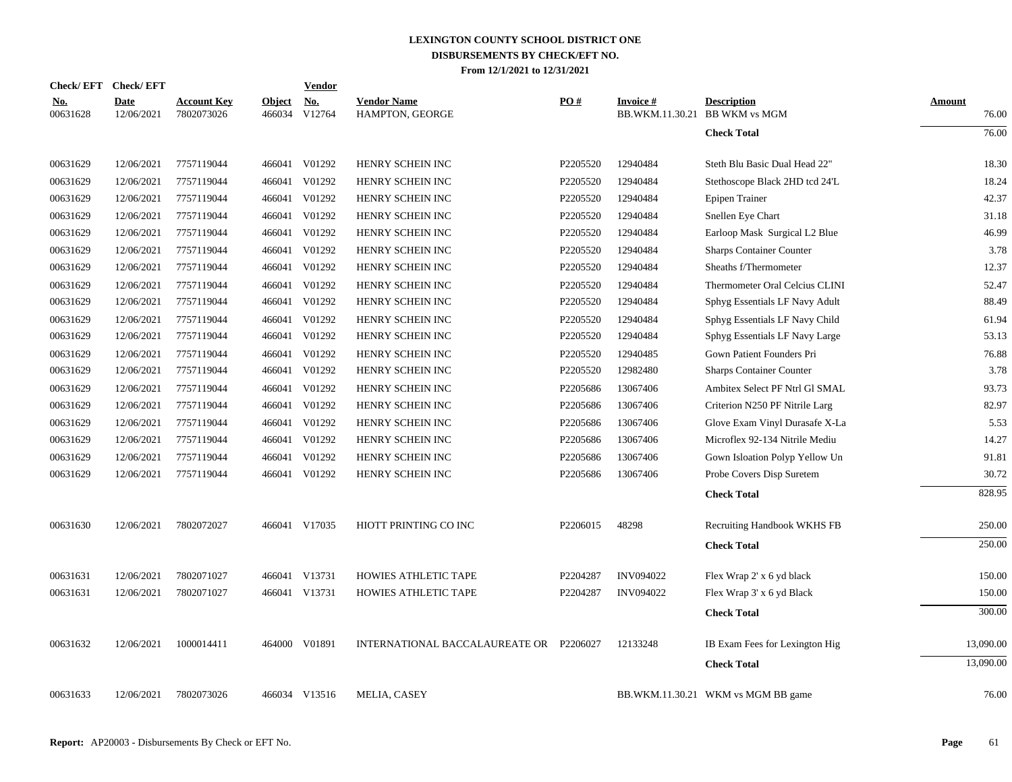| Check/EFT Check/EFT    |                           |                                  |                         | <b>Vendor</b> |                                         |          |                  |                                                     |                 |
|------------------------|---------------------------|----------------------------------|-------------------------|---------------|-----------------------------------------|----------|------------------|-----------------------------------------------------|-----------------|
| <u>No.</u><br>00631628 | <b>Date</b><br>12/06/2021 | <b>Account Key</b><br>7802073026 | <b>Object</b><br>466034 | No.<br>V12764 | <b>Vendor Name</b><br>HAMPTON, GEORGE   | PO#      | Invoice #        | <b>Description</b><br>BB.WKM.11.30.21 BB WKM vs MGM | Amount<br>76.00 |
|                        |                           |                                  |                         |               |                                         |          |                  | <b>Check Total</b>                                  | 76.00           |
| 00631629               | 12/06/2021                | 7757119044                       |                         | 466041 V01292 | HENRY SCHEIN INC                        | P2205520 | 12940484         | Steth Blu Basic Dual Head 22"                       | 18.30           |
| 00631629               | 12/06/2021                | 7757119044                       | 466041                  | V01292        | HENRY SCHEIN INC                        | P2205520 | 12940484         | Stethoscope Black 2HD tcd 24'L                      | 18.24           |
| 00631629               | 12/06/2021                | 7757119044                       | 466041                  | V01292        | HENRY SCHEIN INC                        | P2205520 | 12940484         | Epipen Trainer                                      | 42.37           |
| 00631629               | 12/06/2021                | 7757119044                       | 466041                  | V01292        | HENRY SCHEIN INC                        | P2205520 | 12940484         | Snellen Eye Chart                                   | 31.18           |
| 00631629               | 12/06/2021                | 7757119044                       | 466041                  | V01292        | HENRY SCHEIN INC                        | P2205520 | 12940484         | Earloop Mask Surgical L2 Blue                       | 46.99           |
| 00631629               | 12/06/2021                | 7757119044                       | 466041                  | V01292        | HENRY SCHEIN INC                        | P2205520 | 12940484         | <b>Sharps Container Counter</b>                     | 3.78            |
| 00631629               | 12/06/2021                | 7757119044                       | 466041                  | V01292        | HENRY SCHEIN INC                        | P2205520 | 12940484         | Sheaths f/Thermometer                               | 12.37           |
| 00631629               | 12/06/2021                | 7757119044                       |                         | 466041 V01292 | HENRY SCHEIN INC                        | P2205520 | 12940484         | Thermometer Oral Celcius CLINI                      | 52.47           |
| 00631629               | 12/06/2021                | 7757119044                       | 466041                  | V01292        | HENRY SCHEIN INC                        | P2205520 | 12940484         | Sphyg Essentials LF Navy Adult                      | 88.49           |
| 00631629               | 12/06/2021                | 7757119044                       | 466041                  | V01292        | HENRY SCHEIN INC                        | P2205520 | 12940484         | Sphyg Essentials LF Navy Child                      | 61.94           |
| 00631629               | 12/06/2021                | 7757119044                       | 466041                  | V01292        | HENRY SCHEIN INC                        | P2205520 | 12940484         | Sphyg Essentials LF Navy Large                      | 53.13           |
| 00631629               | 12/06/2021                | 7757119044                       |                         | 466041 V01292 | HENRY SCHEIN INC                        | P2205520 | 12940485         | Gown Patient Founders Pri                           | 76.88           |
| 00631629               | 12/06/2021                | 7757119044                       |                         | 466041 V01292 | HENRY SCHEIN INC                        | P2205520 | 12982480         | <b>Sharps Container Counter</b>                     | 3.78            |
| 00631629               | 12/06/2021                | 7757119044                       |                         | 466041 V01292 | HENRY SCHEIN INC                        | P2205686 | 13067406         | Ambitex Select PF Ntrl Gl SMAL                      | 93.73           |
| 00631629               | 12/06/2021                | 7757119044                       |                         | 466041 V01292 | HENRY SCHEIN INC                        | P2205686 | 13067406         | Criterion N250 PF Nitrile Larg                      | 82.97           |
| 00631629               | 12/06/2021                | 7757119044                       |                         | 466041 V01292 | HENRY SCHEIN INC                        | P2205686 | 13067406         | Glove Exam Vinyl Durasafe X-La                      | 5.53            |
| 00631629               | 12/06/2021                | 7757119044                       |                         | 466041 V01292 | HENRY SCHEIN INC                        | P2205686 | 13067406         | Microflex 92-134 Nitrile Mediu                      | 14.27           |
| 00631629               | 12/06/2021                | 7757119044                       |                         | 466041 V01292 | HENRY SCHEIN INC                        | P2205686 | 13067406         | Gown Isloation Polyp Yellow Un                      | 91.81           |
| 00631629               | 12/06/2021                | 7757119044                       |                         | 466041 V01292 | HENRY SCHEIN INC                        | P2205686 | 13067406         | Probe Covers Disp Suretem                           | 30.72           |
|                        |                           |                                  |                         |               |                                         |          |                  | <b>Check Total</b>                                  | 828.95          |
| 00631630               | 12/06/2021                | 7802072027                       |                         | 466041 V17035 | HIOTT PRINTING CO INC                   | P2206015 | 48298            | Recruiting Handbook WKHS FB                         | 250.00          |
|                        |                           |                                  |                         |               |                                         |          |                  | <b>Check Total</b>                                  | 250.00          |
| 00631631               | 12/06/2021                | 7802071027                       |                         | 466041 V13731 | <b>HOWIES ATHLETIC TAPE</b>             | P2204287 | <b>INV094022</b> | Flex Wrap 2' x 6 yd black                           | 150.00          |
| 00631631               | 12/06/2021                | 7802071027                       |                         | 466041 V13731 | HOWIES ATHLETIC TAPE                    | P2204287 | <b>INV094022</b> | Flex Wrap 3' x 6 yd Black                           | 150.00          |
|                        |                           |                                  |                         |               |                                         |          |                  | <b>Check Total</b>                                  | 300.00          |
| 00631632               | 12/06/2021                | 1000014411                       |                         | 464000 V01891 | INTERNATIONAL BACCALAUREATE OR P2206027 |          | 12133248         | IB Exam Fees for Lexington Hig                      | 13,090.00       |
|                        |                           |                                  |                         |               |                                         |          |                  | <b>Check Total</b>                                  | 13,090.00       |
| 00631633               | 12/06/2021                | 7802073026                       |                         | 466034 V13516 | MELIA, CASEY                            |          |                  | BB.WKM.11.30.21 WKM vs MGM BB game                  | 76.00           |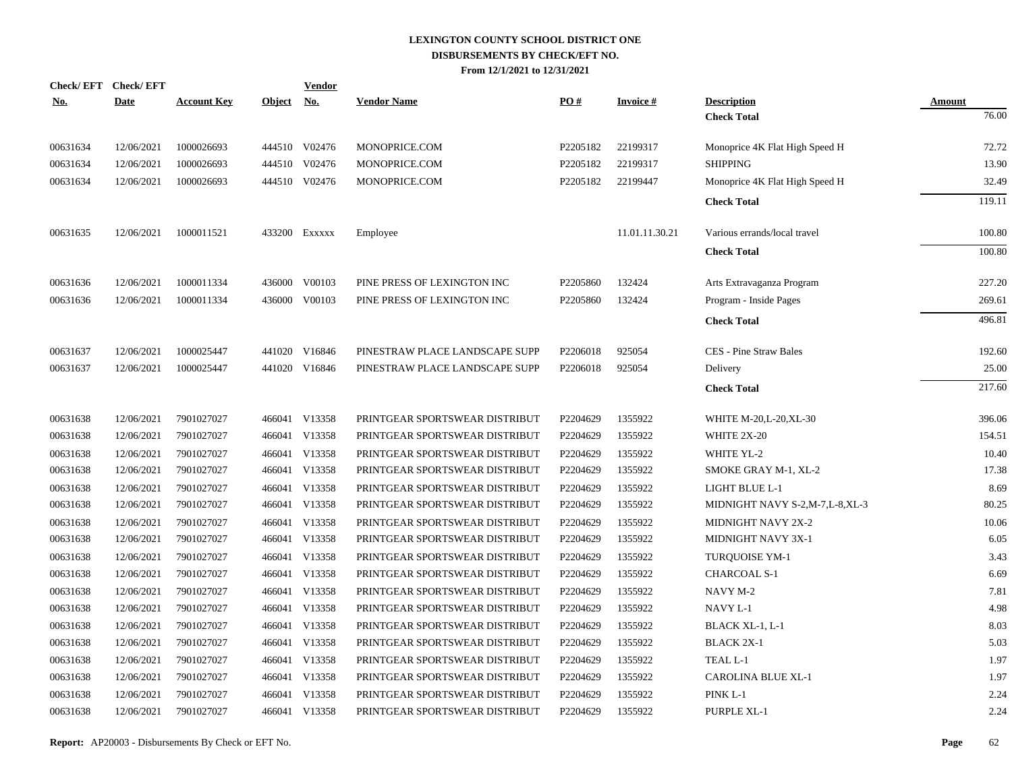|            | Check/EFT Check/EFT |                    |               | <b>Vendor</b>               |                                |          |                 |                                          |                 |
|------------|---------------------|--------------------|---------------|-----------------------------|--------------------------------|----------|-----------------|------------------------------------------|-----------------|
| <u>No.</u> | <b>Date</b>         | <b>Account Key</b> | <b>Object</b> | $\underline{\mathrm{No}}$ . | <b>Vendor Name</b>             | PO#      | <b>Invoice#</b> | <b>Description</b><br><b>Check Total</b> | Amount<br>76.00 |
|            |                     |                    |               |                             |                                |          |                 |                                          |                 |
| 00631634   | 12/06/2021          | 1000026693         |               | 444510 V02476               | MONOPRICE.COM                  | P2205182 | 22199317        | Monoprice 4K Flat High Speed H           | 72.72           |
| 00631634   | 12/06/2021          | 1000026693         |               | 444510 V02476               | MONOPRICE.COM                  | P2205182 | 22199317        | <b>SHIPPING</b>                          | 13.90           |
| 00631634   | 12/06/2021          | 1000026693         |               | 444510 V02476               | MONOPRICE.COM                  | P2205182 | 22199447        | Monoprice 4K Flat High Speed H           | 32.49           |
|            |                     |                    |               |                             |                                |          |                 | <b>Check Total</b>                       | 119.11          |
|            |                     |                    |               |                             |                                |          |                 |                                          |                 |
| 00631635   | 12/06/2021          | 1000011521         |               | 433200 EXXXXX               | Employee                       |          | 11.01.11.30.21  | Various errands/local travel             | 100.80          |
|            |                     |                    |               |                             |                                |          |                 | <b>Check Total</b>                       | 100.80          |
| 00631636   | 12/06/2021          | 1000011334         |               | 436000 V00103               | PINE PRESS OF LEXINGTON INC    | P2205860 | 132424          | Arts Extravaganza Program                | 227.20          |
| 00631636   | 12/06/2021          | 1000011334         |               | 436000 V00103               | PINE PRESS OF LEXINGTON INC    | P2205860 | 132424          | Program - Inside Pages                   | 269.61          |
|            |                     |                    |               |                             |                                |          |                 | <b>Check Total</b>                       | 496.81          |
|            |                     |                    |               |                             |                                |          |                 |                                          |                 |
| 00631637   | 12/06/2021          | 1000025447         |               | 441020 V16846               | PINESTRAW PLACE LANDSCAPE SUPP | P2206018 | 925054          | <b>CES</b> - Pine Straw Bales            | 192.60          |
| 00631637   | 12/06/2021          | 1000025447         |               | 441020 V16846               | PINESTRAW PLACE LANDSCAPE SUPP | P2206018 | 925054          | Delivery                                 | 25.00           |
|            |                     |                    |               |                             |                                |          |                 | <b>Check Total</b>                       | 217.60          |
|            |                     |                    |               |                             |                                |          |                 |                                          |                 |
| 00631638   | 12/06/2021          | 7901027027         |               | 466041 V13358               | PRINTGEAR SPORTSWEAR DISTRIBUT | P2204629 | 1355922         | WHITE M-20, L-20, XL-30                  | 396.06          |
| 00631638   | 12/06/2021          | 7901027027         |               | 466041 V13358               | PRINTGEAR SPORTSWEAR DISTRIBUT | P2204629 | 1355922         | WHITE 2X-20                              | 154.51          |
| 00631638   | 12/06/2021          | 7901027027         |               | 466041 V13358               | PRINTGEAR SPORTSWEAR DISTRIBUT | P2204629 | 1355922         | WHITE YL-2                               | 10.40           |
| 00631638   | 12/06/2021          | 7901027027         |               | 466041 V13358               | PRINTGEAR SPORTSWEAR DISTRIBUT | P2204629 | 1355922         | SMOKE GRAY M-1, XL-2                     | 17.38           |
| 00631638   | 12/06/2021          | 7901027027         |               | 466041 V13358               | PRINTGEAR SPORTSWEAR DISTRIBUT | P2204629 | 1355922         | LIGHT BLUE L-1                           | 8.69            |
| 00631638   | 12/06/2021          | 7901027027         |               | 466041 V13358               | PRINTGEAR SPORTSWEAR DISTRIBUT | P2204629 | 1355922         | MIDNIGHT NAVY S-2,M-7,L-8,XL-3           | 80.25           |
| 00631638   | 12/06/2021          | 7901027027         |               | 466041 V13358               | PRINTGEAR SPORTSWEAR DISTRIBUT | P2204629 | 1355922         | MIDNIGHT NAVY 2X-2                       | 10.06           |
| 00631638   | 12/06/2021          | 7901027027         |               | 466041 V13358               | PRINTGEAR SPORTSWEAR DISTRIBUT | P2204629 | 1355922         | MIDNIGHT NAVY 3X-1                       | 6.05            |
| 00631638   | 12/06/2021          | 7901027027         |               | 466041 V13358               | PRINTGEAR SPORTSWEAR DISTRIBUT | P2204629 | 1355922         | <b>TURQUOISE YM-1</b>                    | 3.43            |
| 00631638   | 12/06/2021          | 7901027027         |               | 466041 V13358               | PRINTGEAR SPORTSWEAR DISTRIBUT | P2204629 | 1355922         | <b>CHARCOAL S-1</b>                      | 6.69            |
| 00631638   | 12/06/2021          | 7901027027         |               | 466041 V13358               | PRINTGEAR SPORTSWEAR DISTRIBUT | P2204629 | 1355922         | NAVY M-2                                 | 7.81            |
| 00631638   | 12/06/2021          | 7901027027         |               | 466041 V13358               | PRINTGEAR SPORTSWEAR DISTRIBUT | P2204629 | 1355922         | NAVY L-1                                 | 4.98            |
| 00631638   | 12/06/2021          | 7901027027         |               | 466041 V13358               | PRINTGEAR SPORTSWEAR DISTRIBUT | P2204629 | 1355922         | BLACK XL-1, L-1                          | 8.03            |
| 00631638   | 12/06/2021          | 7901027027         |               | 466041 V13358               | PRINTGEAR SPORTSWEAR DISTRIBUT | P2204629 | 1355922         | <b>BLACK 2X-1</b>                        | 5.03            |
| 00631638   | 12/06/2021          | 7901027027         |               | 466041 V13358               | PRINTGEAR SPORTSWEAR DISTRIBUT | P2204629 | 1355922         | TEAL <sub>L-1</sub>                      | 1.97            |
| 00631638   | 12/06/2021          | 7901027027         |               | 466041 V13358               | PRINTGEAR SPORTSWEAR DISTRIBUT | P2204629 | 1355922         | CAROLINA BLUE XL-1                       | 1.97            |
| 00631638   | 12/06/2021          | 7901027027         |               | 466041 V13358               | PRINTGEAR SPORTSWEAR DISTRIBUT | P2204629 | 1355922         | PINK L-1                                 | 2.24            |
| 00631638   | 12/06/2021          | 7901027027         |               | 466041 V13358               | PRINTGEAR SPORTSWEAR DISTRIBUT | P2204629 | 1355922         | PURPLE XL-1                              | 2.24            |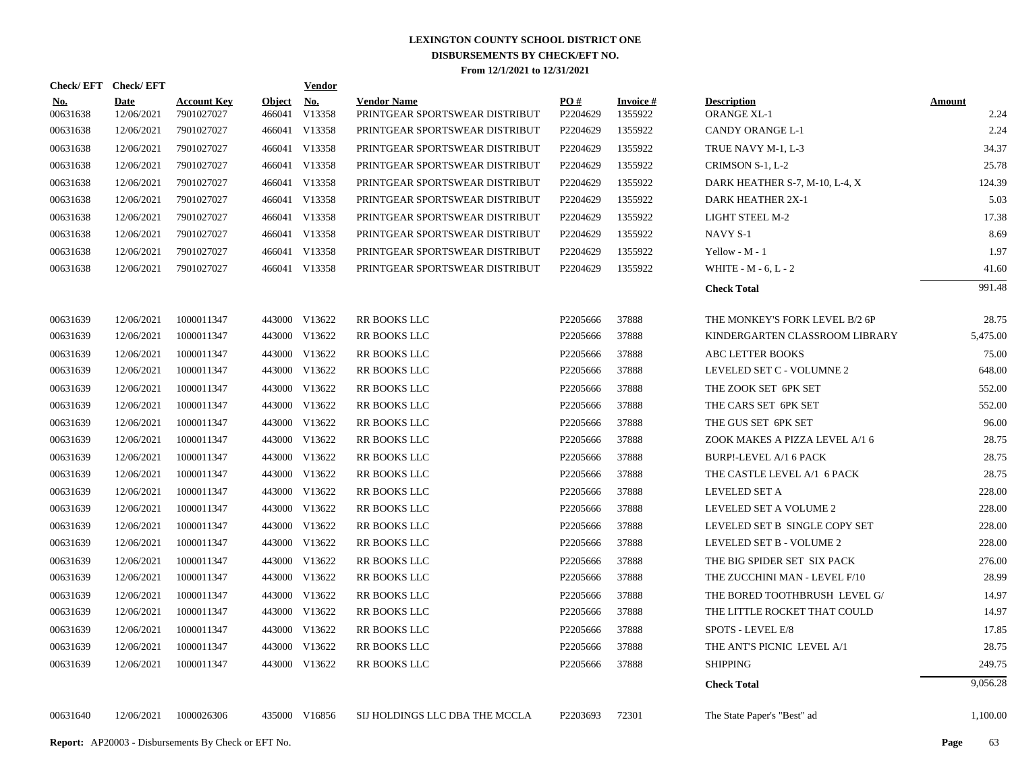| Check/EFT Check/EFT |                    |                                  |        | Vendor               |                                                      |                 |                      |                                   |                |
|---------------------|--------------------|----------------------------------|--------|----------------------|------------------------------------------------------|-----------------|----------------------|-----------------------------------|----------------|
| No.<br>00631638     | Date<br>12/06/2021 | <b>Account Key</b><br>7901027027 | Object | No.<br>466041 V13358 | <b>Vendor Name</b><br>PRINTGEAR SPORTSWEAR DISTRIBUT | PO#<br>P2204629 | Invoice #<br>1355922 | <b>Description</b><br>ORANGE XL-1 | Amount<br>2.24 |
| 00631638            | 12/06/2021         | 7901027027                       |        | 466041 V13358        | PRINTGEAR SPORTSWEAR DISTRIBUT                       | P2204629        | 1355922              | CANDY ORANGE L-1                  | 2.24           |
| 00631638            | 12/06/2021         | 7901027027                       |        | 466041 V13358        | PRINTGEAR SPORTSWEAR DISTRIBUT                       | P2204629        | 1355922              | TRUE NAVY M-1, L-3                | 34.37          |
| 00631638            | 12/06/2021         | 7901027027                       |        | 466041 V13358        | PRINTGEAR SPORTSWEAR DISTRIBUT                       | P2204629        | 1355922              | CRIMSON S-1, L-2                  | 25.78          |
| 00631638            | 12/06/2021         | 7901027027                       |        | 466041 V13358        | PRINTGEAR SPORTSWEAR DISTRIBUT                       | P2204629        | 1355922              | DARK HEATHER S-7, M-10, L-4, X    | 124.39         |
| 00631638            | 12/06/2021         | 7901027027                       |        | 466041 V13358        | PRINTGEAR SPORTSWEAR DISTRIBUT                       | P2204629        | 1355922              | DARK HEATHER 2X-1                 | 5.03           |
| 00631638            | 12/06/2021         | 7901027027                       |        | 466041 V13358        | PRINTGEAR SPORTSWEAR DISTRIBUT                       | P2204629        | 1355922              | LIGHT STEEL M-2                   | 17.38          |
| 00631638            | 12/06/2021         | 7901027027                       |        | 466041 V13358        | PRINTGEAR SPORTSWEAR DISTRIBUT                       | P2204629        | 1355922              | NAVY S-1                          | 8.69           |
| 00631638            | 12/06/2021         | 7901027027                       |        | 466041 V13358        | PRINTGEAR SPORTSWEAR DISTRIBUT                       | P2204629        | 1355922              | Yellow - M - 1                    | 1.97           |
| 00631638            | 12/06/2021         | 7901027027                       |        | 466041 V13358        | PRINTGEAR SPORTSWEAR DISTRIBUT                       | P2204629        | 1355922              | WHITE - $M - 6$ , $L - 2$         | 41.60          |
|                     |                    |                                  |        |                      |                                                      |                 |                      | <b>Check Total</b>                | 991.48         |
| 00631639            | 12/06/2021         | 1000011347                       |        | 443000 V13622        | RR BOOKS LLC                                         | P2205666        | 37888                | THE MONKEY'S FORK LEVEL B/2 6P    | 28.75          |
| 00631639            | 12/06/2021         | 1000011347                       |        | 443000 V13622        | <b>RR BOOKS LLC</b>                                  | P2205666        | 37888                | KINDERGARTEN CLASSROOM LIBRARY    | 5,475.00       |
| 00631639            | 12/06/2021         | 1000011347                       |        | 443000 V13622        | RR BOOKS LLC                                         | P2205666        | 37888                | ABC LETTER BOOKS                  | 75.00          |
| 00631639            | 12/06/2021         | 1000011347                       |        | 443000 V13622        | RR BOOKS LLC                                         | P2205666        | 37888                | LEVELED SET C - VOLUMNE 2         | 648.00         |
| 00631639            | 12/06/2021         | 1000011347                       |        | 443000 V13622        | RR BOOKS LLC                                         | P2205666        | 37888                | THE ZOOK SET 6PK SET              | 552.00         |
| 00631639            | 12/06/2021         | 1000011347                       |        | 443000 V13622        | RR BOOKS LLC                                         | P2205666        | 37888                | THE CARS SET 6PK SET              | 552.00         |
| 00631639            | 12/06/2021         | 1000011347                       |        | 443000 V13622        | RR BOOKS LLC                                         | P2205666        | 37888                | THE GUS SET 6PK SET               | 96.00          |
| 00631639            | 12/06/2021         | 1000011347                       |        | 443000 V13622        | RR BOOKS LLC                                         | P2205666        | 37888                | ZOOK MAKES A PIZZA LEVEL A/1 6    | 28.75          |
| 00631639            | 12/06/2021         | 1000011347                       |        | 443000 V13622        | RR BOOKS LLC                                         | P2205666        | 37888                | <b>BURP!-LEVEL A/1 6 PACK</b>     | 28.75          |
| 00631639            | 12/06/2021         | 1000011347                       |        | 443000 V13622        | RR BOOKS LLC                                         | P2205666        | 37888                | THE CASTLE LEVEL A/1 6 PACK       | 28.75          |
| 00631639            | 12/06/2021         | 1000011347                       |        | 443000 V13622        | RR BOOKS LLC                                         | P2205666        | 37888                | LEVELED SET A                     | 228.00         |
| 00631639            | 12/06/2021         | 1000011347                       |        | 443000 V13622        | RR BOOKS LLC                                         | P2205666        | 37888                | LEVELED SET A VOLUME 2            | 228.00         |
| 00631639            | 12/06/2021         | 1000011347                       |        | 443000 V13622        | RR BOOKS LLC                                         | P2205666        | 37888                | LEVELED SET B SINGLE COPY SET     | 228.00         |
| 00631639            | 12/06/2021         | 1000011347                       |        | 443000 V13622        | RR BOOKS LLC                                         | P2205666        | 37888                | LEVELED SET B - VOLUME 2          | 228.00         |
| 00631639            | 12/06/2021         | 1000011347                       |        | 443000 V13622        | <b>RR BOOKS LLC</b>                                  | P2205666        | 37888                | THE BIG SPIDER SET SIX PACK       | 276.00         |
| 00631639            | 12/06/2021         | 1000011347                       |        | 443000 V13622        | RR BOOKS LLC                                         | P2205666        | 37888                | THE ZUCCHINI MAN - LEVEL F/10     | 28.99          |
| 00631639            | 12/06/2021         | 1000011347                       |        | 443000 V13622        | <b>RR BOOKS LLC</b>                                  | P2205666        | 37888                | THE BORED TOOTHBRUSH LEVEL G/     | 14.97          |
| 00631639            | 12/06/2021         | 1000011347                       |        | 443000 V13622        | RR BOOKS LLC                                         | P2205666        | 37888                | THE LITTLE ROCKET THAT COULD      | 14.97          |
| 00631639            | 12/06/2021         | 1000011347                       |        | 443000 V13622        | <b>RR BOOKS LLC</b>                                  | P2205666        | 37888                | SPOTS - LEVEL E/8                 | 17.85          |
| 00631639            | 12/06/2021         | 1000011347                       |        | 443000 V13622        | RR BOOKS LLC                                         | P2205666        | 37888                | THE ANT'S PICNIC LEVEL A/1        | 28.75          |
| 00631639            | 12/06/2021         | 1000011347                       |        | 443000 V13622        | <b>RR BOOKS LLC</b>                                  | P2205666        | 37888                | <b>SHIPPING</b>                   | 249.75         |
|                     |                    |                                  |        |                      |                                                      |                 |                      | <b>Check Total</b>                | 9,056.28       |
| 00631640            | 12/06/2021         | 1000026306                       |        | 435000 V16856        | SIJ HOLDINGS LLC DBA THE MCCLA                       | P2203693        | 72301                | The State Paper's "Best" ad       | 1,100.00       |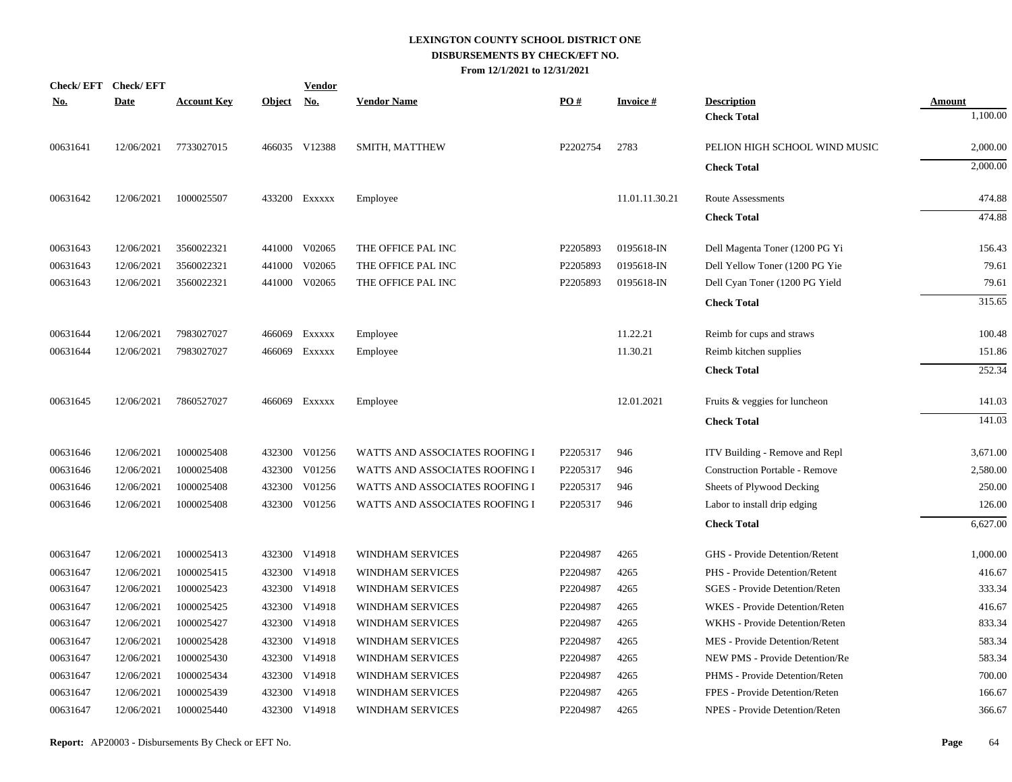| <u>No.</u> | Check/EFT Check/EFT<br><b>Date</b> | <b>Account Key</b> | <b>Object</b> | <b>Vendor</b><br><u>No.</u> | <b>Vendor Name</b>             | PO#      | <b>Invoice#</b> | <b>Description</b>                    | <b>Amount</b> |
|------------|------------------------------------|--------------------|---------------|-----------------------------|--------------------------------|----------|-----------------|---------------------------------------|---------------|
|            |                                    |                    |               |                             |                                |          |                 | <b>Check Total</b>                    | 1,100.00      |
| 00631641   | 12/06/2021                         | 7733027015         |               | 466035 V12388               | SMITH, MATTHEW                 | P2202754 | 2783            | PELION HIGH SCHOOL WIND MUSIC         | 2,000.00      |
|            |                                    |                    |               |                             |                                |          |                 | <b>Check Total</b>                    | 2,000.00      |
| 00631642   | 12/06/2021                         | 1000025507         |               | 433200 Exxxxx               | Employee                       |          | 11.01.11.30.21  | Route Assessments                     | 474.88        |
|            |                                    |                    |               |                             |                                |          |                 | <b>Check Total</b>                    | 474.88        |
| 00631643   | 12/06/2021                         | 3560022321         |               | 441000 V02065               | THE OFFICE PAL INC             | P2205893 | 0195618-IN      | Dell Magenta Toner (1200 PG Yi        | 156.43        |
| 00631643   | 12/06/2021                         | 3560022321         | 441000        | V02065                      | THE OFFICE PAL INC             | P2205893 | 0195618-IN      | Dell Yellow Toner (1200 PG Yie        | 79.61         |
| 00631643   | 12/06/2021                         | 3560022321         |               | 441000 V02065               | THE OFFICE PAL INC             | P2205893 | 0195618-IN      | Dell Cyan Toner (1200 PG Yield        | 79.61         |
|            |                                    |                    |               |                             |                                |          |                 | <b>Check Total</b>                    | 315.65        |
| 00631644   | 12/06/2021                         | 7983027027         | 466069        | EXXXXX                      | Employee                       |          | 11.22.21        | Reimb for cups and straws             | 100.48        |
| 00631644   | 12/06/2021                         | 7983027027         |               | 466069 Exxxxx               | Employee                       |          | 11.30.21        | Reimb kitchen supplies                | 151.86        |
|            |                                    |                    |               |                             |                                |          |                 | <b>Check Total</b>                    | 252.34        |
| 00631645   | 12/06/2021                         | 7860527027         |               | 466069 Exxxxx               | Employee                       |          | 12.01.2021      | Fruits & veggies for luncheon         | 141.03        |
|            |                                    |                    |               |                             |                                |          |                 | <b>Check Total</b>                    | 141.03        |
| 00631646   | 12/06/2021                         | 1000025408         |               | 432300 V01256               | WATTS AND ASSOCIATES ROOFING I | P2205317 | 946             | ITV Building - Remove and Repl        | 3,671.00      |
| 00631646   | 12/06/2021                         | 1000025408         |               | 432300 V01256               | WATTS AND ASSOCIATES ROOFING I | P2205317 | 946             | <b>Construction Portable - Remove</b> | 2,580.00      |
| 00631646   | 12/06/2021                         | 1000025408         |               | 432300 V01256               | WATTS AND ASSOCIATES ROOFING I | P2205317 | 946             | Sheets of Plywood Decking             | 250.00        |
| 00631646   | 12/06/2021                         | 1000025408         |               | 432300 V01256               | WATTS AND ASSOCIATES ROOFING I | P2205317 | 946             | Labor to install drip edging          | 126.00        |
|            |                                    |                    |               |                             |                                |          |                 | <b>Check Total</b>                    | 6,627.00      |
| 00631647   | 12/06/2021                         | 1000025413         |               | 432300 V14918               | <b>WINDHAM SERVICES</b>        | P2204987 | 4265            | GHS - Provide Detention/Retent        | 1,000.00      |
| 00631647   | 12/06/2021                         | 1000025415         |               | 432300 V14918               | <b>WINDHAM SERVICES</b>        | P2204987 | 4265            | PHS - Provide Detention/Retent        | 416.67        |
| 00631647   | 12/06/2021                         | 1000025423         |               | 432300 V14918               | WINDHAM SERVICES               | P2204987 | 4265            | SGES - Provide Detention/Reten        | 333.34        |
| 00631647   | 12/06/2021                         | 1000025425         |               | 432300 V14918               | WINDHAM SERVICES               | P2204987 | 4265            | WKES - Provide Detention/Reten        | 416.67        |
| 00631647   | 12/06/2021                         | 1000025427         |               | 432300 V14918               | WINDHAM SERVICES               | P2204987 | 4265            | WKHS - Provide Detention/Reten        | 833.34        |
| 00631647   | 12/06/2021                         | 1000025428         |               | 432300 V14918               | <b>WINDHAM SERVICES</b>        | P2204987 | 4265            | MES - Provide Detention/Retent        | 583.34        |
| 00631647   | 12/06/2021                         | 1000025430         |               | 432300 V14918               | WINDHAM SERVICES               | P2204987 | 4265            | NEW PMS - Provide Detention/Re        | 583.34        |
| 00631647   | 12/06/2021                         | 1000025434         |               | 432300 V14918               | WINDHAM SERVICES               | P2204987 | 4265            | PHMS - Provide Detention/Reten        | 700.00        |
| 00631647   | 12/06/2021                         | 1000025439         |               | 432300 V14918               | <b>WINDHAM SERVICES</b>        | P2204987 | 4265            | FPES - Provide Detention/Reten        | 166.67        |
| 00631647   | 12/06/2021                         | 1000025440         |               | 432300 V14918               | WINDHAM SERVICES               | P2204987 | 4265            | NPES - Provide Detention/Reten        | 366.67        |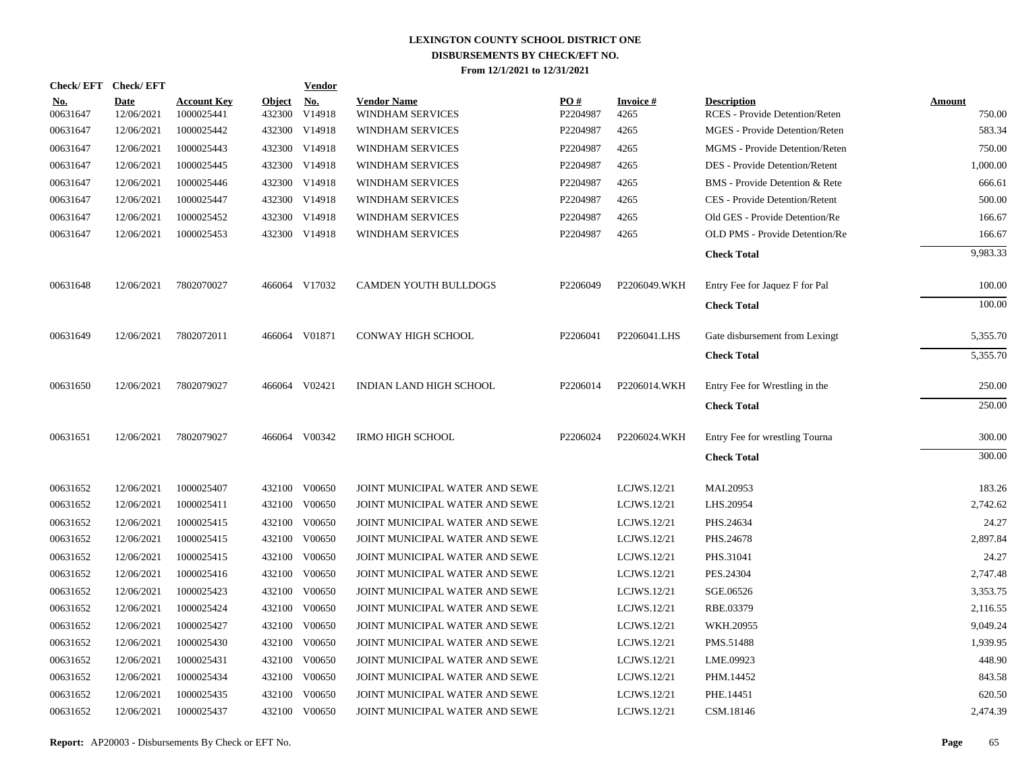|                        | Check/EFT Check/EFT       |                                  |                         | <b>Vendor</b>        |                                        |                      |                         |                                                      |                         |
|------------------------|---------------------------|----------------------------------|-------------------------|----------------------|----------------------------------------|----------------------|-------------------------|------------------------------------------------------|-------------------------|
| <u>No.</u><br>00631647 | <b>Date</b><br>12/06/2021 | <b>Account Key</b><br>1000025441 | <b>Object</b><br>432300 | <u>No.</u><br>V14918 | <b>Vendor Name</b><br>WINDHAM SERVICES | PO#<br>P2204987      | <b>Invoice#</b><br>4265 | <b>Description</b><br>RCES - Provide Detention/Reten | <b>Amount</b><br>750.00 |
| 00631647               | 12/06/2021                | 1000025442                       |                         | 432300 V14918        | WINDHAM SERVICES                       | P2204987             | 4265                    | <b>MGES</b> - Provide Detention/Reten                | 583.34                  |
| 00631647               | 12/06/2021                | 1000025443                       |                         | 432300 V14918        | WINDHAM SERVICES                       | P2204987             | 4265                    | MGMS - Provide Detention/Reten                       | 750.00                  |
| 00631647               | 12/06/2021                | 1000025445                       |                         | 432300 V14918        | WINDHAM SERVICES                       | P2204987             | 4265                    | DES - Provide Detention/Retent                       | 1,000.00                |
| 00631647               | 12/06/2021                | 1000025446                       |                         | 432300 V14918        | WINDHAM SERVICES                       | P2204987             | 4265                    | BMS - Provide Detention & Rete                       | 666.61                  |
| 00631647               | 12/06/2021                | 1000025447                       |                         | 432300 V14918        | WINDHAM SERVICES                       | P2204987             | 4265                    | CES - Provide Detention/Retent                       | 500.00                  |
| 00631647               | 12/06/2021                | 1000025452                       | 432300                  | V14918               | WINDHAM SERVICES                       | P2204987             | 4265                    | Old GES - Provide Detention/Re                       | 166.67                  |
| 00631647               | 12/06/2021                | 1000025453                       |                         | 432300 V14918        | WINDHAM SERVICES                       | P2204987             | 4265                    | <b>OLD PMS - Provide Detention/Re</b>                | 166.67                  |
|                        |                           |                                  |                         |                      |                                        |                      |                         | <b>Check Total</b>                                   | 9,983.33                |
| 00631648               | 12/06/2021                | 7802070027                       |                         | 466064 V17032        | <b>CAMDEN YOUTH BULLDOGS</b>           | P2206049             | P2206049.WKH            | Entry Fee for Jaquez F for Pal                       | 100.00                  |
|                        |                           |                                  |                         |                      |                                        |                      |                         | <b>Check Total</b>                                   | 100.00                  |
| 00631649               | 12/06/2021                | 7802072011                       |                         | 466064 V01871        | <b>CONWAY HIGH SCHOOL</b>              | P2206041             | P2206041.LHS            | Gate disbursement from Lexingt                       | 5,355.70                |
|                        |                           |                                  |                         |                      |                                        |                      |                         | <b>Check Total</b>                                   | 5,355.70                |
| 00631650               | 12/06/2021                | 7802079027                       |                         | 466064 V02421        | INDIAN LAND HIGH SCHOOL                | P <sub>2206014</sub> | P2206014.WKH            | Entry Fee for Wrestling in the                       | 250.00                  |
|                        |                           |                                  |                         |                      |                                        |                      |                         | <b>Check Total</b>                                   | 250.00                  |
| 00631651               | 12/06/2021                | 7802079027                       |                         | 466064 V00342        | <b>IRMO HIGH SCHOOL</b>                | P2206024             | P2206024.WKH            | Entry Fee for wrestling Tourna                       | 300.00                  |
|                        |                           |                                  |                         |                      |                                        |                      |                         | <b>Check Total</b>                                   | 300.00                  |
| 00631652               | 12/06/2021                | 1000025407                       |                         | 432100 V00650        | JOINT MUNICIPAL WATER AND SEWE         |                      | LCJWS.12/21             | MAI.20953                                            | 183.26                  |
| 00631652               | 12/06/2021                | 1000025411                       | 432100                  | V00650               | JOINT MUNICIPAL WATER AND SEWE         |                      | LCJWS.12/21             | LHS.20954                                            | 2,742.62                |
| 00631652               | 12/06/2021                | 1000025415                       | 432100                  | V00650               | JOINT MUNICIPAL WATER AND SEWE         |                      | LCJWS.12/21             | PHS.24634                                            | 24.27                   |
| 00631652               | 12/06/2021                | 1000025415                       |                         | 432100 V00650        | JOINT MUNICIPAL WATER AND SEWE         |                      | LCJWS.12/21             | PHS.24678                                            | 2,897.84                |
| 00631652               | 12/06/2021                | 1000025415                       | 432100                  | V00650               | JOINT MUNICIPAL WATER AND SEWE         |                      | LCJWS.12/21             | PHS.31041                                            | 24.27                   |
| 00631652               | 12/06/2021                | 1000025416                       |                         | 432100 V00650        | JOINT MUNICIPAL WATER AND SEWE         |                      | LCJWS.12/21             | PES.24304                                            | 2,747.48                |
| 00631652               | 12/06/2021                | 1000025423                       | 432100                  | V00650               | JOINT MUNICIPAL WATER AND SEWE         |                      | LCJWS.12/21             | SGE.06526                                            | 3.353.75                |
| 00631652               | 12/06/2021                | 1000025424                       | 432100                  | V00650               | JOINT MUNICIPAL WATER AND SEWE         |                      | LCJWS.12/21             | RBE.03379                                            | 2,116.55                |
| 00631652               | 12/06/2021                | 1000025427                       | 432100                  | V00650               | JOINT MUNICIPAL WATER AND SEWE         |                      | LCJWS.12/21             | WKH.20955                                            | 9,049.24                |
| 00631652               | 12/06/2021                | 1000025430                       | 432100                  | V00650               | JOINT MUNICIPAL WATER AND SEWE         |                      | LCJWS.12/21             | PMS.51488                                            | 1,939.95                |
| 00631652               | 12/06/2021                | 1000025431                       | 432100                  | V00650               | JOINT MUNICIPAL WATER AND SEWE         |                      | LCJWS.12/21             | LME.09923                                            | 448.90                  |
| 00631652               | 12/06/2021                | 1000025434                       | 432100                  | V00650               | JOINT MUNICIPAL WATER AND SEWE         |                      | LCJWS.12/21             | PHM.14452                                            | 843.58                  |
| 00631652               | 12/06/2021                | 1000025435                       | 432100                  | V00650               | JOINT MUNICIPAL WATER AND SEWE         |                      | LCJWS.12/21             | PHE.14451                                            | 620.50                  |
| 00631652               | 12/06/2021                | 1000025437                       |                         | 432100 V00650        | JOINT MUNICIPAL WATER AND SEWE         |                      | LCJWS.12/21             | CSM.18146                                            | 2,474.39                |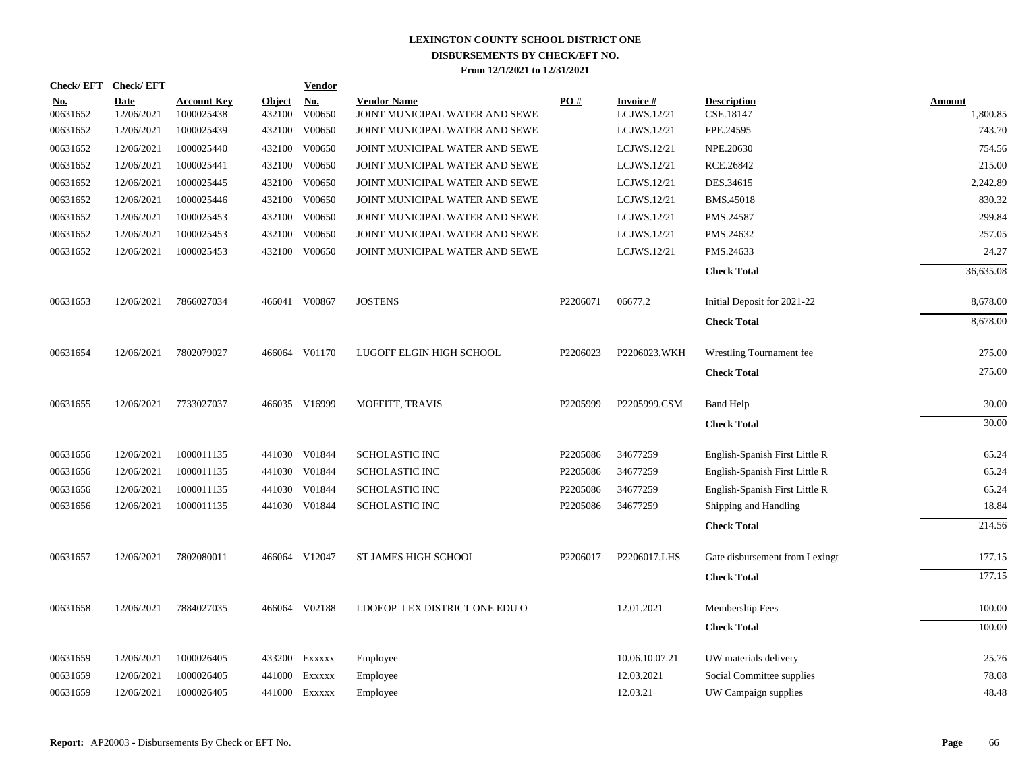|                        | Check/EFT Check/EFT       |                                  |                         | <b>Vendor</b>                                 |                                                      |                   |                          |                                 |                    |
|------------------------|---------------------------|----------------------------------|-------------------------|-----------------------------------------------|------------------------------------------------------|-------------------|--------------------------|---------------------------------|--------------------|
| <u>No.</u><br>00631652 | <b>Date</b><br>12/06/2021 | <b>Account Key</b><br>1000025438 | <b>Object</b><br>432100 | $\underline{\textbf{No}}$<br>$\,$ V00650 $\,$ | <b>Vendor Name</b><br>JOINT MUNICIPAL WATER AND SEWE | $\underline{PO#}$ | Invoice #<br>LCJWS.12/21 | <b>Description</b><br>CSE.18147 | Amount<br>1,800.85 |
| 00631652               | 12/06/2021                | 1000025439                       | 432100                  | V00650                                        | JOINT MUNICIPAL WATER AND SEWE                       |                   | LCJWS.12/21              | FPE.24595                       | 743.70             |
| 00631652               | 12/06/2021                | 1000025440                       | 432100                  | V00650                                        | JOINT MUNICIPAL WATER AND SEWE                       |                   | LCJWS.12/21              | NPE.20630                       | 754.56             |
| 00631652               | 12/06/2021                | 1000025441                       | 432100                  | V00650                                        | JOINT MUNICIPAL WATER AND SEWE                       |                   | LCJWS.12/21              | RCE.26842                       | 215.00             |
| 00631652               | 12/06/2021                | 1000025445                       | 432100                  | V00650                                        | JOINT MUNICIPAL WATER AND SEWE                       |                   | LCJWS.12/21              | DES.34615                       | 2,242.89           |
| 00631652               | 12/06/2021                | 1000025446                       | 432100                  | V00650                                        | JOINT MUNICIPAL WATER AND SEWE                       |                   | LCJWS.12/21              | BMS.45018                       | 830.32             |
| 00631652               | 12/06/2021                | 1000025453                       |                         | 432100 V00650                                 | JOINT MUNICIPAL WATER AND SEWE                       |                   | LCJWS.12/21              | PMS.24587                       | 299.84             |
| 00631652               | 12/06/2021                | 1000025453                       |                         | 432100 V00650                                 | JOINT MUNICIPAL WATER AND SEWE                       |                   | LCJWS.12/21              | PMS.24632                       | 257.05             |
| 00631652               | 12/06/2021                | 1000025453                       |                         | 432100 V00650                                 | JOINT MUNICIPAL WATER AND SEWE                       |                   | LCJWS.12/21              | PMS.24633                       | 24.27              |
|                        |                           |                                  |                         |                                               |                                                      |                   |                          | <b>Check Total</b>              | 36,635.08          |
| 00631653               | 12/06/2021                | 7866027034                       | 466041                  | V00867                                        | <b>JOSTENS</b>                                       | P2206071          | 06677.2                  | Initial Deposit for 2021-22     | 8,678.00           |
|                        |                           |                                  |                         |                                               |                                                      |                   |                          | <b>Check Total</b>              | 8,678.00           |
| 00631654               | 12/06/2021                | 7802079027                       |                         | 466064 V01170                                 | LUGOFF ELGIN HIGH SCHOOL                             | P2206023          | P2206023.WKH             | Wrestling Tournament fee        | 275.00             |
|                        |                           |                                  |                         |                                               |                                                      |                   |                          | <b>Check Total</b>              | 275.00             |
| 00631655               | 12/06/2021                | 7733027037                       |                         | 466035 V16999                                 | MOFFITT, TRAVIS                                      | P2205999          | P2205999.CSM             | <b>Band Help</b>                | 30.00              |
|                        |                           |                                  |                         |                                               |                                                      |                   |                          | <b>Check Total</b>              | 30.00              |
| 00631656               | 12/06/2021                | 1000011135                       |                         | 441030 V01844                                 | <b>SCHOLASTIC INC</b>                                | P2205086          | 34677259                 | English-Spanish First Little R  | 65.24              |
| 00631656               | 12/06/2021                | 1000011135                       |                         | 441030 V01844                                 | SCHOLASTIC INC                                       | P2205086          | 34677259                 | English-Spanish First Little R  | 65.24              |
| 00631656               | 12/06/2021                | 1000011135                       | 441030                  | V01844                                        | SCHOLASTIC INC                                       | P2205086          | 34677259                 | English-Spanish First Little R  | 65.24              |
| 00631656               | 12/06/2021                | 1000011135                       |                         | 441030 V01844                                 | <b>SCHOLASTIC INC</b>                                | P2205086          | 34677259                 | Shipping and Handling           | 18.84              |
|                        |                           |                                  |                         |                                               |                                                      |                   |                          | <b>Check Total</b>              | 214.56             |
| 00631657               | 12/06/2021                | 7802080011                       |                         | 466064 V12047                                 | ST JAMES HIGH SCHOOL                                 | P2206017          | P2206017.LHS             | Gate disbursement from Lexingt  | 177.15             |
|                        |                           |                                  |                         |                                               |                                                      |                   |                          | <b>Check Total</b>              | 177.15             |
| 00631658               | 12/06/2021                | 7884027035                       |                         | 466064 V02188                                 | LDOEOP LEX DISTRICT ONE EDU O                        |                   | 12.01.2021               | Membership Fees                 | 100.00             |
|                        |                           |                                  |                         |                                               |                                                      |                   |                          | <b>Check Total</b>              | 100.00             |
| 00631659               | 12/06/2021                | 1000026405                       |                         | 433200 Exxxxx                                 | Employee                                             |                   | 10.06.10.07.21           | UW materials delivery           | 25.76              |
| 00631659               | 12/06/2021                | 1000026405                       | 441000                  | EXXXXX                                        | Employee                                             |                   | 12.03.2021               | Social Committee supplies       | 78.08              |
| 00631659               | 12/06/2021                | 1000026405                       |                         | 441000 EXXXXX                                 | Employee                                             |                   | 12.03.21                 | UW Campaign supplies            | 48.48              |
|                        |                           |                                  |                         |                                               |                                                      |                   |                          |                                 |                    |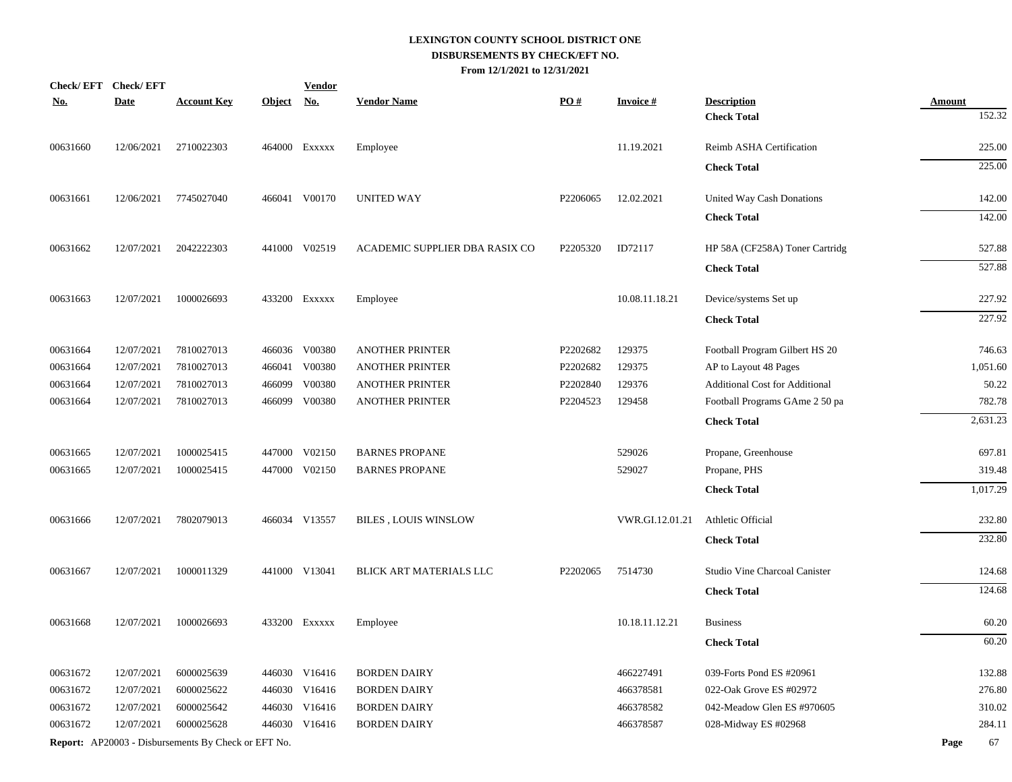|            | Check/EFT Check/EFT |                                                            |            | <b>Vendor</b> |                                |          |                 |                                       |               |
|------------|---------------------|------------------------------------------------------------|------------|---------------|--------------------------------|----------|-----------------|---------------------------------------|---------------|
| <u>No.</u> | <b>Date</b>         | <b>Account Key</b>                                         | Object No. |               | <b>Vendor Name</b>             | PO#      | <b>Invoice#</b> | <b>Description</b>                    | <b>Amount</b> |
|            |                     |                                                            |            |               |                                |          |                 | <b>Check Total</b>                    | 152.32        |
| 00631660   | 12/06/2021          | 2710022303                                                 |            | 464000 Exxxxx | Employee                       |          | 11.19.2021      | Reimb ASHA Certification              | 225.00        |
|            |                     |                                                            |            |               |                                |          |                 | <b>Check Total</b>                    | 225.00        |
| 00631661   | 12/06/2021          | 7745027040                                                 |            | 466041 V00170 | <b>UNITED WAY</b>              | P2206065 | 12.02.2021      | United Way Cash Donations             | 142.00        |
|            |                     |                                                            |            |               |                                |          |                 | <b>Check Total</b>                    | 142.00        |
| 00631662   | 12/07/2021          | 2042222303                                                 |            | 441000 V02519 | ACADEMIC SUPPLIER DBA RASIX CO | P2205320 | ID72117         | HP 58A (CF258A) Toner Cartridg        | 527.88        |
|            |                     |                                                            |            |               |                                |          |                 | <b>Check Total</b>                    | 527.88        |
| 00631663   | 12/07/2021          | 1000026693                                                 |            | 433200 EXXXXX | Employee                       |          | 10.08.11.18.21  | Device/systems Set up                 | 227.92        |
|            |                     |                                                            |            |               |                                |          |                 | <b>Check Total</b>                    | 227.92        |
| 00631664   | 12/07/2021          | 7810027013                                                 |            | 466036 V00380 | <b>ANOTHER PRINTER</b>         | P2202682 | 129375          | Football Program Gilbert HS 20        | 746.63        |
| 00631664   | 12/07/2021          | 7810027013                                                 |            | 466041 V00380 | <b>ANOTHER PRINTER</b>         | P2202682 | 129375          | AP to Layout 48 Pages                 | 1,051.60      |
| 00631664   | 12/07/2021          | 7810027013                                                 | 466099     | V00380        | <b>ANOTHER PRINTER</b>         | P2202840 | 129376          | <b>Additional Cost for Additional</b> | 50.22         |
| 00631664   | 12/07/2021          | 7810027013                                                 |            | 466099 V00380 | <b>ANOTHER PRINTER</b>         | P2204523 | 129458          | Football Programs GAme 2 50 pa        | 782.78        |
|            |                     |                                                            |            |               |                                |          |                 | <b>Check Total</b>                    | 2,631.23      |
| 00631665   | 12/07/2021          | 1000025415                                                 |            | 447000 V02150 | <b>BARNES PROPANE</b>          |          | 529026          | Propane, Greenhouse                   | 697.81        |
| 00631665   | 12/07/2021          | 1000025415                                                 |            | 447000 V02150 | <b>BARNES PROPANE</b>          |          | 529027          | Propane, PHS                          | 319.48        |
|            |                     |                                                            |            |               |                                |          |                 | <b>Check Total</b>                    | 1,017.29      |
| 00631666   | 12/07/2021          | 7802079013                                                 |            | 466034 V13557 | <b>BILES, LOUIS WINSLOW</b>    |          | VWR.GI.12.01.21 | Athletic Official                     | 232.80        |
|            |                     |                                                            |            |               |                                |          |                 | <b>Check Total</b>                    | 232.80        |
| 00631667   | 12/07/2021          | 1000011329                                                 |            | 441000 V13041 | BLICK ART MATERIALS LLC        | P2202065 | 7514730         | Studio Vine Charcoal Canister         | 124.68        |
|            |                     |                                                            |            |               |                                |          |                 | <b>Check Total</b>                    | 124.68        |
| 00631668   | 12/07/2021          | 1000026693                                                 |            | 433200 Exxxxx | Employee                       |          | 10.18.11.12.21  | <b>Business</b>                       | 60.20         |
|            |                     |                                                            |            |               |                                |          |                 | <b>Check Total</b>                    | 60.20         |
| 00631672   | 12/07/2021          | 6000025639                                                 |            | 446030 V16416 | <b>BORDEN DAIRY</b>            |          | 466227491       | 039-Forts Pond ES #20961              | 132.88        |
| 00631672   | 12/07/2021          | 6000025622                                                 |            | 446030 V16416 | <b>BORDEN DAIRY</b>            |          | 466378581       | 022-Oak Grove ES #02972               | 276.80        |
| 00631672   | 12/07/2021          | 6000025642                                                 |            | 446030 V16416 | <b>BORDEN DAIRY</b>            |          | 466378582       | 042-Meadow Glen ES #970605            | 310.02        |
| 00631672   | 12/07/2021          | 6000025628                                                 |            | 446030 V16416 | <b>BORDEN DAIRY</b>            |          | 466378587       | 028-Midway ES #02968                  | 284.11        |
|            |                     | <b>Report:</b> AP20003 - Disbursements By Check or EFT No. |            |               |                                |          |                 |                                       | 67<br>Page    |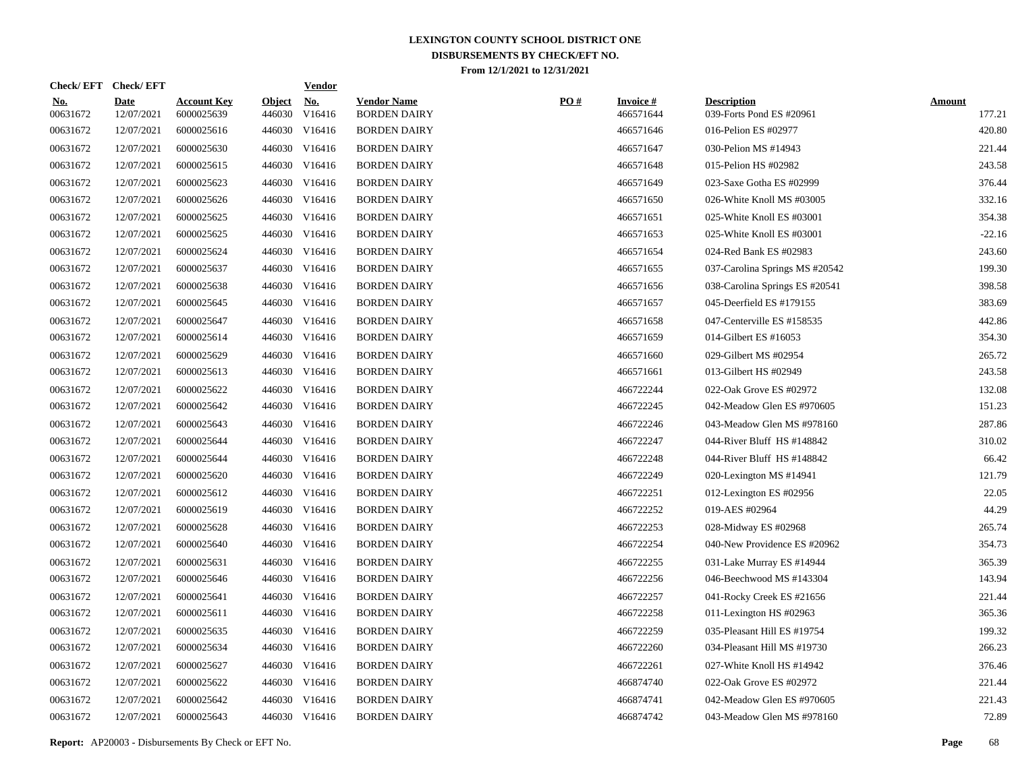| Check/EFT Check/EFT    |                           |                                  |               | <b>Vendor</b>               |                                           |     |                               |                                                |                         |
|------------------------|---------------------------|----------------------------------|---------------|-----------------------------|-------------------------------------------|-----|-------------------------------|------------------------------------------------|-------------------------|
| <u>No.</u><br>00631672 | <b>Date</b><br>12/07/2021 | <b>Account Key</b><br>6000025639 | <b>Object</b> | <u>No.</u><br>446030 V16416 | <b>Vendor Name</b><br><b>BORDEN DAIRY</b> | PO# | <b>Invoice #</b><br>466571644 | <b>Description</b><br>039-Forts Pond ES #20961 | <b>Amount</b><br>177.21 |
| 00631672               | 12/07/2021                | 6000025616                       |               | 446030 V16416               | <b>BORDEN DAIRY</b>                       |     | 466571646                     | 016-Pelion ES #02977                           | 420.80                  |
| 00631672               | 12/07/2021                | 6000025630                       |               | 446030 V16416               | <b>BORDEN DAIRY</b>                       |     | 466571647                     | 030-Pelion MS #14943                           | 221.44                  |
| 00631672               | 12/07/2021                | 6000025615                       |               | 446030 V16416               | <b>BORDEN DAIRY</b>                       |     | 466571648                     | 015-Pelion HS #02982                           | 243.58                  |
| 00631672               | 12/07/2021                | 6000025623                       |               | 446030 V16416               | <b>BORDEN DAIRY</b>                       |     | 466571649                     | 023-Saxe Gotha ES #02999                       | 376.44                  |
| 00631672               | 12/07/2021                | 6000025626                       |               | 446030 V16416               | <b>BORDEN DAIRY</b>                       |     | 466571650                     | 026-White Knoll MS #03005                      | 332.16                  |
| 00631672               | 12/07/2021                | 6000025625                       |               | 446030 V16416               | <b>BORDEN DAIRY</b>                       |     | 466571651                     | 025-White Knoll ES #03001                      | 354.38                  |
| 00631672               | 12/07/2021                | 6000025625                       |               | 446030 V16416               | <b>BORDEN DAIRY</b>                       |     | 466571653                     | 025-White Knoll ES #03001                      | $-22.16$                |
| 00631672               | 12/07/2021                | 6000025624                       |               | 446030 V16416               | <b>BORDEN DAIRY</b>                       |     | 466571654                     | 024-Red Bank ES #02983                         | 243.60                  |
| 00631672               | 12/07/2021                | 6000025637                       |               | 446030 V16416               | <b>BORDEN DAIRY</b>                       |     | 466571655                     | 037-Carolina Springs MS #20542                 | 199.30                  |
| 00631672               | 12/07/2021                | 6000025638                       |               | 446030 V16416               | <b>BORDEN DAIRY</b>                       |     | 466571656                     | 038-Carolina Springs ES #20541                 | 398.58                  |
| 00631672               | 12/07/2021                | 6000025645                       |               | 446030 V16416               | <b>BORDEN DAIRY</b>                       |     | 466571657                     | 045-Deerfield ES #179155                       | 383.69                  |
| 00631672               | 12/07/2021                | 6000025647                       |               | 446030 V16416               | <b>BORDEN DAIRY</b>                       |     | 466571658                     | 047-Centerville ES #158535                     | 442.86                  |
| 00631672               | 12/07/2021                | 6000025614                       |               | 446030 V16416               | <b>BORDEN DAIRY</b>                       |     | 466571659                     | 014-Gilbert ES #16053                          | 354.30                  |
| 00631672               | 12/07/2021                | 6000025629                       |               | 446030 V16416               | <b>BORDEN DAIRY</b>                       |     | 466571660                     | 029-Gilbert MS #02954                          | 265.72                  |
| 00631672               | 12/07/2021                | 6000025613                       |               | 446030 V16416               | <b>BORDEN DAIRY</b>                       |     | 466571661                     | 013-Gilbert HS #02949                          | 243.58                  |
| 00631672               | 12/07/2021                | 6000025622                       |               | 446030 V16416               | <b>BORDEN DAIRY</b>                       |     | 466722244                     | 022-Oak Grove ES #02972                        | 132.08                  |
| 00631672               | 12/07/2021                | 6000025642                       |               | 446030 V16416               | <b>BORDEN DAIRY</b>                       |     | 466722245                     | 042-Meadow Glen ES #970605                     | 151.23                  |
| 00631672               | 12/07/2021                | 6000025643                       |               | 446030 V16416               | <b>BORDEN DAIRY</b>                       |     | 466722246                     | 043-Meadow Glen MS #978160                     | 287.86                  |
| 00631672               | 12/07/2021                | 6000025644                       |               | 446030 V16416               | <b>BORDEN DAIRY</b>                       |     | 466722247                     | 044-River Bluff HS #148842                     | 310.02                  |
| 00631672               | 12/07/2021                | 6000025644                       |               | 446030 V16416               | <b>BORDEN DAIRY</b>                       |     | 466722248                     | 044-River Bluff HS #148842                     | 66.42                   |
| 00631672               | 12/07/2021                | 6000025620                       |               | 446030 V16416               | <b>BORDEN DAIRY</b>                       |     | 466722249                     | 020-Lexington MS #14941                        | 121.79                  |
| 00631672               | 12/07/2021                | 6000025612                       |               | 446030 V16416               | <b>BORDEN DAIRY</b>                       |     | 466722251                     | 012-Lexington ES #02956                        | 22.05                   |
| 00631672               | 12/07/2021                | 6000025619                       |               | 446030 V16416               | <b>BORDEN DAIRY</b>                       |     | 466722252                     | 019-AES #02964                                 | 44.29                   |
| 00631672               | 12/07/2021                | 6000025628                       |               | 446030 V16416               | <b>BORDEN DAIRY</b>                       |     | 466722253                     | 028-Midway ES #02968                           | 265.74                  |
| 00631672               | 12/07/2021                | 6000025640                       |               | 446030 V16416               | <b>BORDEN DAIRY</b>                       |     | 466722254                     | 040-New Providence ES #20962                   | 354.73                  |
| 00631672               | 12/07/2021                | 6000025631                       |               | 446030 V16416               | <b>BORDEN DAIRY</b>                       |     | 466722255                     | 031-Lake Murray ES #14944                      | 365.39                  |
| 00631672               | 12/07/2021                | 6000025646                       |               | 446030 V16416               | <b>BORDEN DAIRY</b>                       |     | 466722256                     | 046-Beechwood MS #143304                       | 143.94                  |
| 00631672               | 12/07/2021                | 6000025641                       |               | 446030 V16416               | <b>BORDEN DAIRY</b>                       |     | 466722257                     | 041-Rocky Creek ES #21656                      | 221.44                  |
| 00631672               | 12/07/2021                | 6000025611                       |               | 446030 V16416               | <b>BORDEN DAIRY</b>                       |     | 466722258                     | 011-Lexington HS #02963                        | 365.36                  |
| 00631672               | 12/07/2021                | 6000025635                       |               | 446030 V16416               | <b>BORDEN DAIRY</b>                       |     | 466722259                     | 035-Pleasant Hill ES #19754                    | 199.32                  |
| 00631672               | 12/07/2021                | 6000025634                       |               | 446030 V16416               | <b>BORDEN DAIRY</b>                       |     | 466722260                     | 034-Pleasant Hill MS #19730                    | 266.23                  |
| 00631672               | 12/07/2021                | 6000025627                       |               | 446030 V16416               | <b>BORDEN DAIRY</b>                       |     | 466722261                     | 027-White Knoll HS #14942                      | 376.46                  |
| 00631672               | 12/07/2021                | 6000025622                       |               | 446030 V16416               | <b>BORDEN DAIRY</b>                       |     | 466874740                     | 022-Oak Grove ES #02972                        | 221.44                  |
| 00631672               | 12/07/2021                | 6000025642                       |               | 446030 V16416               | <b>BORDEN DAIRY</b>                       |     | 466874741                     | 042-Meadow Glen ES #970605                     | 221.43                  |
| 00631672               | 12/07/2021                | 6000025643                       |               | 446030 V16416               | <b>BORDEN DAIRY</b>                       |     | 466874742                     | 043-Meadow Glen MS #978160                     | 72.89                   |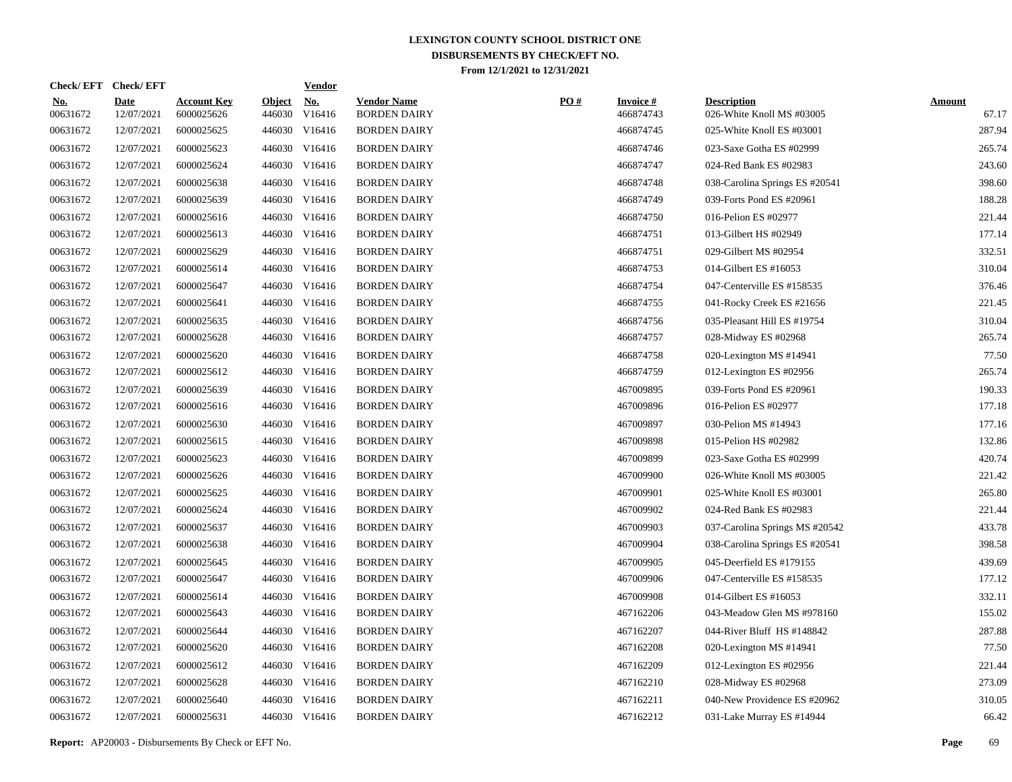| Check/EFT Check/EFT       |                                  |               | <b>Vendor</b>        |                                                                                                                                                                                                                                                                                                                                                                                                                                                                                                                                                                                                                    |     |                               |                                                 |                        |
|---------------------------|----------------------------------|---------------|----------------------|--------------------------------------------------------------------------------------------------------------------------------------------------------------------------------------------------------------------------------------------------------------------------------------------------------------------------------------------------------------------------------------------------------------------------------------------------------------------------------------------------------------------------------------------------------------------------------------------------------------------|-----|-------------------------------|-------------------------------------------------|------------------------|
| <b>Date</b><br>12/07/2021 | <b>Account Key</b><br>6000025626 | <b>Object</b> | <u>No.</u><br>V16416 | <b>Vendor Name</b><br><b>BORDEN DAIRY</b>                                                                                                                                                                                                                                                                                                                                                                                                                                                                                                                                                                          | PO# | <b>Invoice #</b><br>466874743 | <b>Description</b><br>026-White Knoll MS #03005 | <b>Amount</b><br>67.17 |
| 12/07/2021                | 6000025625                       |               |                      | <b>BORDEN DAIRY</b>                                                                                                                                                                                                                                                                                                                                                                                                                                                                                                                                                                                                |     | 466874745                     | 025-White Knoll ES #03001                       | 287.94                 |
| 12/07/2021                | 6000025623                       |               |                      | <b>BORDEN DAIRY</b>                                                                                                                                                                                                                                                                                                                                                                                                                                                                                                                                                                                                |     | 466874746                     | 023-Saxe Gotha ES #02999                        | 265.74                 |
| 12/07/2021                | 6000025624                       |               |                      | <b>BORDEN DAIRY</b>                                                                                                                                                                                                                                                                                                                                                                                                                                                                                                                                                                                                |     | 466874747                     | 024-Red Bank ES #02983                          | 243.60                 |
| 12/07/2021                | 6000025638                       |               |                      | <b>BORDEN DAIRY</b>                                                                                                                                                                                                                                                                                                                                                                                                                                                                                                                                                                                                |     | 466874748                     | 038-Carolina Springs ES #20541                  | 398.60                 |
| 12/07/2021                | 6000025639                       |               |                      | <b>BORDEN DAIRY</b>                                                                                                                                                                                                                                                                                                                                                                                                                                                                                                                                                                                                |     | 466874749                     | 039-Forts Pond ES #20961                        | 188.28                 |
| 12/07/2021                | 6000025616                       |               |                      | <b>BORDEN DAIRY</b>                                                                                                                                                                                                                                                                                                                                                                                                                                                                                                                                                                                                |     | 466874750                     | 016-Pelion ES #02977                            | 221.44                 |
| 12/07/2021                | 6000025613                       |               |                      | <b>BORDEN DAIRY</b>                                                                                                                                                                                                                                                                                                                                                                                                                                                                                                                                                                                                |     | 466874751                     | 013-Gilbert HS #02949                           | 177.14                 |
| 12/07/2021                | 6000025629                       |               |                      | <b>BORDEN DAIRY</b>                                                                                                                                                                                                                                                                                                                                                                                                                                                                                                                                                                                                |     | 466874751                     | 029-Gilbert MS #02954                           | 332.51                 |
| 12/07/2021                | 6000025614                       |               |                      | <b>BORDEN DAIRY</b>                                                                                                                                                                                                                                                                                                                                                                                                                                                                                                                                                                                                |     | 466874753                     | 014-Gilbert ES #16053                           | 310.04                 |
| 12/07/2021                | 6000025647                       |               |                      | <b>BORDEN DAIRY</b>                                                                                                                                                                                                                                                                                                                                                                                                                                                                                                                                                                                                |     | 466874754                     | 047-Centerville ES #158535                      | 376.46                 |
| 12/07/2021                | 6000025641                       |               |                      | <b>BORDEN DAIRY</b>                                                                                                                                                                                                                                                                                                                                                                                                                                                                                                                                                                                                |     | 466874755                     | 041-Rocky Creek ES #21656                       | 221.45                 |
| 12/07/2021                | 6000025635                       |               |                      | <b>BORDEN DAIRY</b>                                                                                                                                                                                                                                                                                                                                                                                                                                                                                                                                                                                                |     | 466874756                     | 035-Pleasant Hill ES #19754                     | 310.04                 |
| 12/07/2021                | 6000025628                       |               |                      | <b>BORDEN DAIRY</b>                                                                                                                                                                                                                                                                                                                                                                                                                                                                                                                                                                                                |     | 466874757                     | 028-Midway ES #02968                            | 265.74                 |
| 12/07/2021                | 6000025620                       |               |                      | <b>BORDEN DAIRY</b>                                                                                                                                                                                                                                                                                                                                                                                                                                                                                                                                                                                                |     | 466874758                     | 020-Lexington MS #14941                         | 77.50                  |
| 12/07/2021                | 6000025612                       |               |                      | <b>BORDEN DAIRY</b>                                                                                                                                                                                                                                                                                                                                                                                                                                                                                                                                                                                                |     | 466874759                     | 012-Lexington ES #02956                         | 265.74                 |
| 12/07/2021                | 6000025639                       |               |                      | <b>BORDEN DAIRY</b>                                                                                                                                                                                                                                                                                                                                                                                                                                                                                                                                                                                                |     | 467009895                     | 039-Forts Pond ES #20961                        | 190.33                 |
| 12/07/2021                | 6000025616                       |               |                      | <b>BORDEN DAIRY</b>                                                                                                                                                                                                                                                                                                                                                                                                                                                                                                                                                                                                |     | 467009896                     | 016-Pelion ES #02977                            | 177.18                 |
| 12/07/2021                | 6000025630                       |               |                      | <b>BORDEN DAIRY</b>                                                                                                                                                                                                                                                                                                                                                                                                                                                                                                                                                                                                |     | 467009897                     | 030-Pelion MS #14943                            | 177.16                 |
| 12/07/2021                | 6000025615                       |               |                      | <b>BORDEN DAIRY</b>                                                                                                                                                                                                                                                                                                                                                                                                                                                                                                                                                                                                |     | 467009898                     | 015-Pelion HS #02982                            | 132.86                 |
| 12/07/2021                | 6000025623                       |               |                      | <b>BORDEN DAIRY</b>                                                                                                                                                                                                                                                                                                                                                                                                                                                                                                                                                                                                |     | 467009899                     | 023-Saxe Gotha ES #02999                        | 420.74                 |
| 12/07/2021                | 6000025626                       |               |                      | <b>BORDEN DAIRY</b>                                                                                                                                                                                                                                                                                                                                                                                                                                                                                                                                                                                                |     | 467009900                     | 026-White Knoll MS #03005                       | 221.42                 |
| 12/07/2021                | 6000025625                       |               |                      | <b>BORDEN DAIRY</b>                                                                                                                                                                                                                                                                                                                                                                                                                                                                                                                                                                                                |     | 467009901                     | 025-White Knoll ES #03001                       | 265.80                 |
| 12/07/2021                | 6000025624                       |               |                      | <b>BORDEN DAIRY</b>                                                                                                                                                                                                                                                                                                                                                                                                                                                                                                                                                                                                |     | 467009902                     | 024-Red Bank ES #02983                          | 221.44                 |
| 12/07/2021                | 6000025637                       |               |                      | <b>BORDEN DAIRY</b>                                                                                                                                                                                                                                                                                                                                                                                                                                                                                                                                                                                                |     | 467009903                     | 037-Carolina Springs MS #20542                  | 433.78                 |
| 12/07/2021                | 6000025638                       |               |                      | <b>BORDEN DAIRY</b>                                                                                                                                                                                                                                                                                                                                                                                                                                                                                                                                                                                                |     | 467009904                     | 038-Carolina Springs ES #20541                  | 398.58                 |
| 12/07/2021                | 6000025645                       |               |                      | <b>BORDEN DAIRY</b>                                                                                                                                                                                                                                                                                                                                                                                                                                                                                                                                                                                                |     | 467009905                     | 045-Deerfield ES #179155                        | 439.69                 |
| 12/07/2021                | 6000025647                       |               |                      | <b>BORDEN DAIRY</b>                                                                                                                                                                                                                                                                                                                                                                                                                                                                                                                                                                                                |     | 467009906                     | 047-Centerville ES #158535                      | 177.12                 |
| 12/07/2021                | 6000025614                       |               |                      | <b>BORDEN DAIRY</b>                                                                                                                                                                                                                                                                                                                                                                                                                                                                                                                                                                                                |     | 467009908                     | 014-Gilbert ES #16053                           | 332.11                 |
| 12/07/2021                | 6000025643                       |               |                      | <b>BORDEN DAIRY</b>                                                                                                                                                                                                                                                                                                                                                                                                                                                                                                                                                                                                |     | 467162206                     | 043-Meadow Glen MS #978160                      | 155.02                 |
| 12/07/2021                | 6000025644                       |               |                      | <b>BORDEN DAIRY</b>                                                                                                                                                                                                                                                                                                                                                                                                                                                                                                                                                                                                |     | 467162207                     | 044-River Bluff HS #148842                      | 287.88                 |
| 12/07/2021                | 6000025620                       |               |                      | <b>BORDEN DAIRY</b>                                                                                                                                                                                                                                                                                                                                                                                                                                                                                                                                                                                                |     | 467162208                     | 020-Lexington MS #14941                         | 77.50                  |
| 12/07/2021                | 6000025612                       |               |                      | <b>BORDEN DAIRY</b>                                                                                                                                                                                                                                                                                                                                                                                                                                                                                                                                                                                                |     | 467162209                     | 012-Lexington ES #02956                         | 221.44                 |
| 12/07/2021                | 6000025628                       |               |                      | <b>BORDEN DAIRY</b>                                                                                                                                                                                                                                                                                                                                                                                                                                                                                                                                                                                                |     | 467162210                     | 028-Midway ES #02968                            | 273.09                 |
| 12/07/2021                | 6000025640                       |               | V16416               | <b>BORDEN DAIRY</b>                                                                                                                                                                                                                                                                                                                                                                                                                                                                                                                                                                                                |     | 467162211                     | 040-New Providence ES #20962                    | 310.05                 |
| 12/07/2021                | 6000025631                       |               |                      | <b>BORDEN DAIRY</b>                                                                                                                                                                                                                                                                                                                                                                                                                                                                                                                                                                                                |     | 467162212                     | 031-Lake Murray ES #14944                       | 66.42                  |
|                           |                                  |               |                      | 446030<br>446030 V16416<br>446030 V16416<br>446030 V16416<br>446030 V16416<br>446030 V16416<br>446030 V16416<br>446030 V16416<br>446030 V16416<br>446030 V16416<br>446030 V16416<br>446030 V16416<br>446030 V16416<br>446030 V16416<br>446030 V16416<br>446030 V16416<br>446030 V16416<br>446030 V16416<br>446030 V16416<br>446030 V16416<br>446030 V16416<br>446030 V16416<br>446030 V16416<br>446030 V16416<br>446030 V16416<br>446030 V16416<br>446030 V16416<br>446030 V16416<br>446030 V16416<br>446030 V16416<br>446030 V16416<br>446030 V16416<br>446030 V16416<br>446030 V16416<br>446030<br>446030 V16416 |     |                               |                                                 |                        |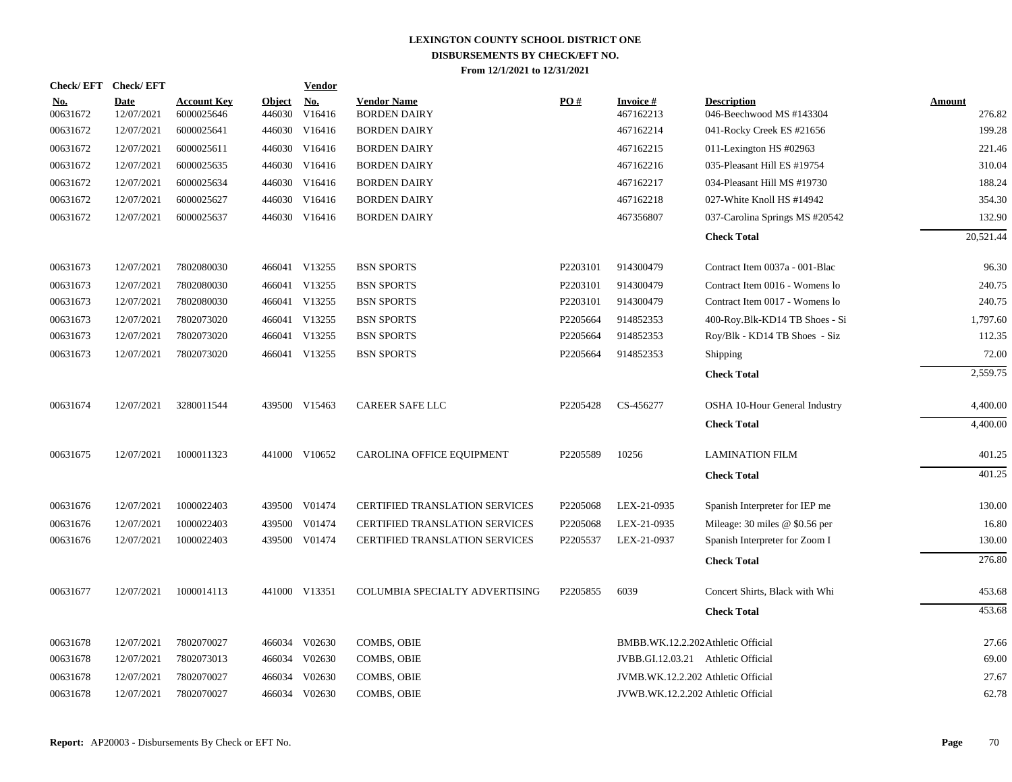| <b>Check/EFT</b>       | <b>Check/EFT</b>   |                                  |                         | <b>Vendor</b>        |                                           |          |                                    |                                                |                  |
|------------------------|--------------------|----------------------------------|-------------------------|----------------------|-------------------------------------------|----------|------------------------------------|------------------------------------------------|------------------|
| <u>No.</u><br>00631672 | Date<br>12/07/2021 | <b>Account Key</b><br>6000025646 | <b>Object</b><br>446030 | <b>No.</b><br>V16416 | <b>Vendor Name</b><br><b>BORDEN DAIRY</b> | PO#      | <b>Invoice#</b><br>467162213       | <b>Description</b><br>046-Beechwood MS #143304 | Amount<br>276.82 |
| 00631672               | 12/07/2021         | 6000025641                       | 446030                  | V16416               | <b>BORDEN DAIRY</b>                       |          | 467162214                          | 041-Rocky Creek ES #21656                      | 199.28           |
| 00631672               | 12/07/2021         | 6000025611                       |                         | 446030 V16416        | <b>BORDEN DAIRY</b>                       |          | 467162215                          | 011-Lexington HS #02963                        | 221.46           |
| 00631672               | 12/07/2021         | 6000025635                       |                         | 446030 V16416        | <b>BORDEN DAIRY</b>                       |          | 467162216                          | 035-Pleasant Hill ES #19754                    | 310.04           |
| 00631672               | 12/07/2021         | 6000025634                       |                         | 446030 V16416        | <b>BORDEN DAIRY</b>                       |          | 467162217                          | 034-Pleasant Hill MS #19730                    | 188.24           |
| 00631672               | 12/07/2021         | 6000025627                       |                         | 446030 V16416        | <b>BORDEN DAIRY</b>                       |          | 467162218                          | 027-White Knoll HS #14942                      | 354.30           |
| 00631672               | 12/07/2021         | 6000025637                       |                         | 446030 V16416        | <b>BORDEN DAIRY</b>                       |          | 467356807                          | 037-Carolina Springs MS #20542                 | 132.90           |
|                        |                    |                                  |                         |                      |                                           |          |                                    | <b>Check Total</b>                             | 20,521.44        |
| 00631673               | 12/07/2021         | 7802080030                       |                         | 466041 V13255        | <b>BSN SPORTS</b>                         | P2203101 | 914300479                          | Contract Item 0037a - 001-Blac                 | 96.30            |
| 00631673               | 12/07/2021         | 7802080030                       |                         | 466041 V13255        | <b>BSN SPORTS</b>                         | P2203101 | 914300479                          | Contract Item 0016 - Womens lo                 | 240.75           |
| 00631673               | 12/07/2021         | 7802080030                       |                         | 466041 V13255        | <b>BSN SPORTS</b>                         | P2203101 | 914300479                          | Contract Item 0017 - Womens lo                 | 240.75           |
| 00631673               | 12/07/2021         | 7802073020                       |                         | 466041 V13255        | <b>BSN SPORTS</b>                         | P2205664 | 914852353                          | 400-Roy.Blk-KD14 TB Shoes - Si                 | 1,797.60         |
| 00631673               | 12/07/2021         | 7802073020                       | 466041                  | V13255               | <b>BSN SPORTS</b>                         | P2205664 | 914852353                          | Roy/Blk - KD14 TB Shoes - Siz                  | 112.35           |
| 00631673               | 12/07/2021         | 7802073020                       |                         | 466041 V13255        | <b>BSN SPORTS</b>                         | P2205664 | 914852353                          | Shipping                                       | 72.00            |
|                        |                    |                                  |                         |                      |                                           |          |                                    | <b>Check Total</b>                             | 2,559.75         |
| 00631674               | 12/07/2021         | 3280011544                       |                         | 439500 V15463        | CAREER SAFE LLC                           | P2205428 | CS-456277                          | OSHA 10-Hour General Industry                  | 4,400.00         |
|                        |                    |                                  |                         |                      |                                           |          |                                    | <b>Check Total</b>                             | 4,400.00         |
| 00631675               | 12/07/2021         | 1000011323                       |                         | 441000 V10652        | CAROLINA OFFICE EQUIPMENT                 | P2205589 | 10256                              | <b>LAMINATION FILM</b>                         | 401.25           |
|                        |                    |                                  |                         |                      |                                           |          |                                    | <b>Check Total</b>                             | 401.25           |
| 00631676               | 12/07/2021         | 1000022403                       |                         | 439500 V01474        | <b>CERTIFIED TRANSLATION SERVICES</b>     | P2205068 | LEX-21-0935                        | Spanish Interpreter for IEP me                 | 130.00           |
| 00631676               | 12/07/2021         | 1000022403                       |                         | 439500 V01474        | <b>CERTIFIED TRANSLATION SERVICES</b>     | P2205068 | LEX-21-0935                        | Mileage: $30$ miles @ \$0.56 per               | 16.80            |
| 00631676               | 12/07/2021         | 1000022403                       |                         | 439500 V01474        | <b>CERTIFIED TRANSLATION SERVICES</b>     | P2205537 | LEX-21-0937                        | Spanish Interpreter for Zoom I                 | 130.00           |
|                        |                    |                                  |                         |                      |                                           |          |                                    | <b>Check Total</b>                             | 276.80           |
| 00631677               | 12/07/2021         | 1000014113                       |                         | 441000 V13351        | COLUMBIA SPECIALTY ADVERTISING            | P2205855 | 6039                               | Concert Shirts, Black with Whi                 | 453.68           |
|                        |                    |                                  |                         |                      |                                           |          |                                    | <b>Check Total</b>                             | 453.68           |
| 00631678               | 12/07/2021         | 7802070027                       |                         | 466034 V02630        | COMBS, OBIE                               |          | BMBB.WK.12.2.202 Athletic Official |                                                | 27.66            |
| 00631678               | 12/07/2021         | 7802073013                       | 466034                  | V02630               | <b>COMBS, OBIE</b>                        |          | JVBB.GI.12.03.21 Athletic Official |                                                | 69.00            |
| 00631678               | 12/07/2021         | 7802070027                       | 466034                  | V02630               | COMBS, OBIE                               |          | JVMB.WK.12.2.202 Athletic Official |                                                | 27.67            |
| 00631678               | 12/07/2021         | 7802070027                       |                         | 466034 V02630        | COMBS, OBIE                               |          | JVWB.WK.12.2.202 Athletic Official |                                                | 62.78            |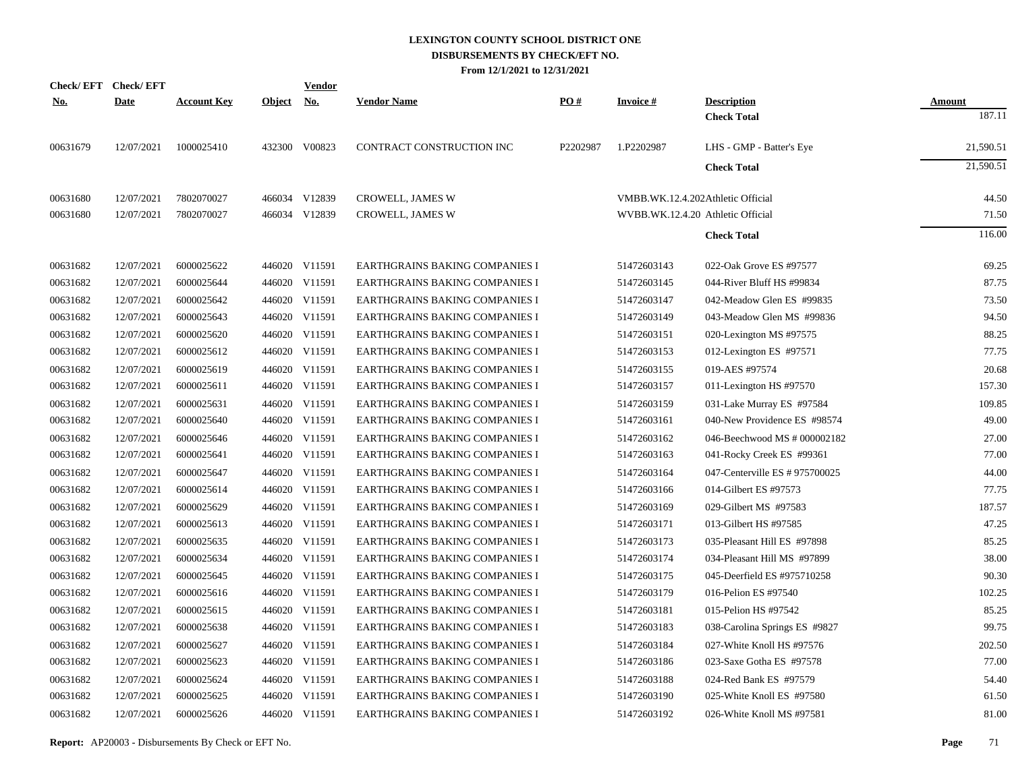|            | Check/EFT Check/EFT |                    |               | Vendor        |                                       |          |                  |                                   |               |
|------------|---------------------|--------------------|---------------|---------------|---------------------------------------|----------|------------------|-----------------------------------|---------------|
| <u>No.</u> | <b>Date</b>         | <b>Account Key</b> | <b>Object</b> | <u>No.</u>    | <b>Vendor Name</b>                    | PO#      | <b>Invoice</b> # | <b>Description</b>                | <b>Amount</b> |
|            |                     |                    |               |               |                                       |          |                  | <b>Check Total</b>                | 187.11        |
| 00631679   | 12/07/2021          | 1000025410         |               | 432300 V00823 | CONTRACT CONSTRUCTION INC             | P2202987 | 1.P2202987       | LHS - GMP - Batter's Eye          | 21,590.51     |
|            |                     |                    |               |               |                                       |          |                  | <b>Check Total</b>                | 21,590.51     |
| 00631680   | 12/07/2021          | 7802070027         |               | 466034 V12839 | CROWELL, JAMES W                      |          |                  | VMBB.WK.12.4.202Athletic Official | 44.50         |
| 00631680   | 12/07/2021          | 7802070027         |               | 466034 V12839 | <b>CROWELL, JAMES W</b>               |          |                  | WVBB.WK.12.4.20 Athletic Official | 71.50         |
|            |                     |                    |               |               |                                       |          |                  | <b>Check Total</b>                | 116.00        |
| 00631682   | 12/07/2021          | 6000025622         |               | 446020 V11591 | EARTHGRAINS BAKING COMPANIES I        |          | 51472603143      | 022-Oak Grove ES #97577           | 69.25         |
| 00631682   | 12/07/2021          | 6000025644         |               | 446020 V11591 | EARTHGRAINS BAKING COMPANIES I        |          | 51472603145      | 044-River Bluff HS #99834         | 87.75         |
| 00631682   | 12/07/2021          | 6000025642         |               | 446020 V11591 | EARTHGRAINS BAKING COMPANIES I        |          | 51472603147      | 042-Meadow Glen ES #99835         | 73.50         |
| 00631682   | 12/07/2021          | 6000025643         |               | 446020 V11591 | EARTHGRAINS BAKING COMPANIES I        |          | 51472603149      | 043-Meadow Glen MS #99836         | 94.50         |
| 00631682   | 12/07/2021          | 6000025620         |               | 446020 V11591 | EARTHGRAINS BAKING COMPANIES I        |          | 51472603151      | 020-Lexington MS #97575           | 88.25         |
| 00631682   | 12/07/2021          | 6000025612         |               | 446020 V11591 | EARTHGRAINS BAKING COMPANIES I        |          | 51472603153      | 012-Lexington ES #97571           | 77.75         |
| 00631682   | 12/07/2021          | 6000025619         |               | 446020 V11591 | EARTHGRAINS BAKING COMPANIES I        |          | 51472603155      | 019-AES #97574                    | 20.68         |
| 00631682   | 12/07/2021          | 6000025611         |               | 446020 V11591 | EARTHGRAINS BAKING COMPANIES I        |          | 51472603157      | 011-Lexington HS #97570           | 157.30        |
| 00631682   | 12/07/2021          | 6000025631         |               | 446020 V11591 | EARTHGRAINS BAKING COMPANIES I        |          | 51472603159      | 031-Lake Murray ES #97584         | 109.85        |
| 00631682   | 12/07/2021          | 6000025640         |               | 446020 V11591 | <b>EARTHGRAINS BAKING COMPANIES I</b> |          | 51472603161      | 040-New Providence ES #98574      | 49.00         |
| 00631682   | 12/07/2021          | 6000025646         |               | 446020 V11591 | <b>EARTHGRAINS BAKING COMPANIES I</b> |          | 51472603162      | 046-Beechwood MS # 000002182      | 27.00         |
| 00631682   | 12/07/2021          | 6000025641         |               | 446020 V11591 | EARTHGRAINS BAKING COMPANIES I        |          | 51472603163      | 041-Rocky Creek ES #99361         | 77.00         |
| 00631682   | 12/07/2021          | 6000025647         |               | 446020 V11591 | EARTHGRAINS BAKING COMPANIES I        |          | 51472603164      | 047-Centerville ES # 975700025    | 44.00         |
| 00631682   | 12/07/2021          | 6000025614         |               | 446020 V11591 | <b>EARTHGRAINS BAKING COMPANIES I</b> |          | 51472603166      | 014-Gilbert ES #97573             | 77.75         |
| 00631682   | 12/07/2021          | 6000025629         |               | 446020 V11591 | EARTHGRAINS BAKING COMPANIES I        |          | 51472603169      | 029-Gilbert MS #97583             | 187.57        |
| 00631682   | 12/07/2021          | 6000025613         |               | 446020 V11591 | EARTHGRAINS BAKING COMPANIES I        |          | 51472603171      | 013-Gilbert HS #97585             | 47.25         |
| 00631682   | 12/07/2021          | 6000025635         |               | 446020 V11591 | EARTHGRAINS BAKING COMPANIES I        |          | 51472603173      | 035-Pleasant Hill ES #97898       | 85.25         |
| 00631682   | 12/07/2021          | 6000025634         |               | 446020 V11591 | EARTHGRAINS BAKING COMPANIES I        |          | 51472603174      | 034-Pleasant Hill MS #97899       | 38.00         |
| 00631682   | 12/07/2021          | 6000025645         |               | 446020 V11591 | EARTHGRAINS BAKING COMPANIES I        |          | 51472603175      | 045-Deerfield ES #975710258       | 90.30         |
| 00631682   | 12/07/2021          | 6000025616         |               | 446020 V11591 | EARTHGRAINS BAKING COMPANIES I        |          | 51472603179      | 016-Pelion ES #97540              | 102.25        |
| 00631682   | 12/07/2021          | 6000025615         |               | 446020 V11591 | <b>EARTHGRAINS BAKING COMPANIES I</b> |          | 51472603181      | 015-Pelion HS #97542              | 85.25         |
| 00631682   | 12/07/2021          | 6000025638         |               | 446020 V11591 | EARTHGRAINS BAKING COMPANIES I        |          | 51472603183      | 038-Carolina Springs ES #9827     | 99.75         |
| 00631682   | 12/07/2021          | 6000025627         |               | 446020 V11591 | EARTHGRAINS BAKING COMPANIES I        |          | 51472603184      | 027-White Knoll HS #97576         | 202.50        |
| 00631682   | 12/07/2021          | 6000025623         |               | 446020 V11591 | <b>EARTHGRAINS BAKING COMPANIES I</b> |          | 51472603186      | 023-Saxe Gotha ES #97578          | 77.00         |
| 00631682   | 12/07/2021          | 6000025624         |               | 446020 V11591 | <b>EARTHGRAINS BAKING COMPANIES I</b> |          | 51472603188      | 024-Red Bank ES #97579            | 54.40         |
| 00631682   | 12/07/2021          | 6000025625         |               | 446020 V11591 | EARTHGRAINS BAKING COMPANIES I        |          | 51472603190      | 025-White Knoll ES #97580         | 61.50         |
| 00631682   | 12/07/2021          | 6000025626         |               | 446020 V11591 | <b>EARTHGRAINS BAKING COMPANIES I</b> |          | 51472603192      | 026-White Knoll MS #97581         | 81.00         |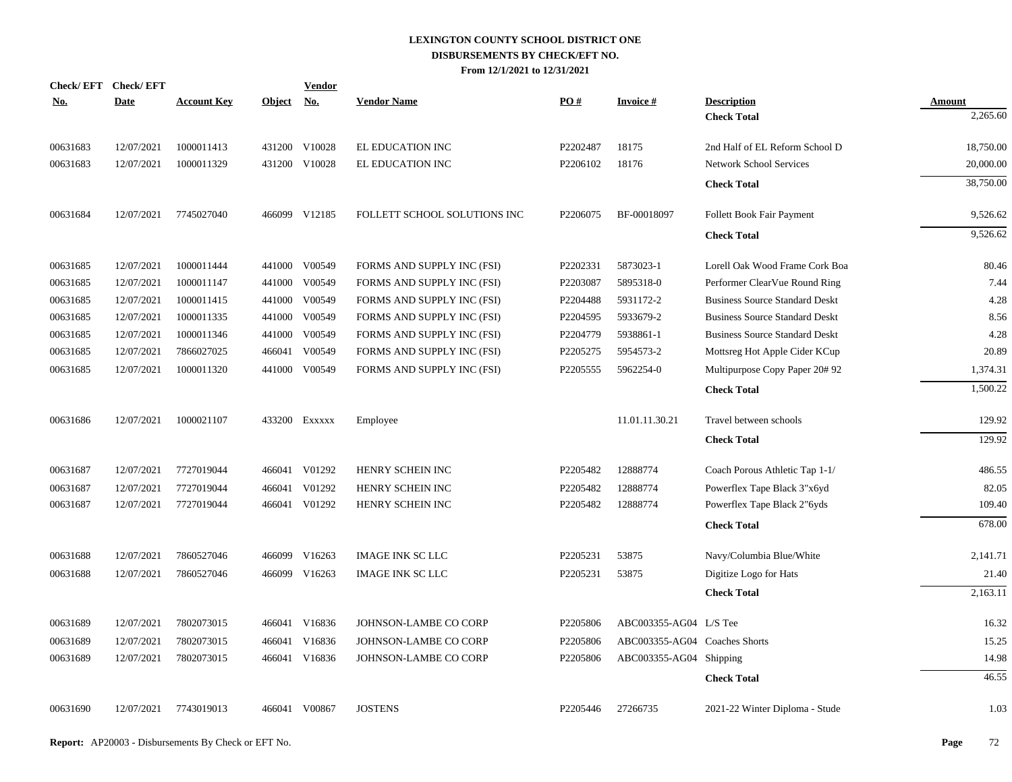| Check/EFT Check/EFT<br><u>No.</u> | <b>Date</b> | <b>Account Key</b> | Object No. | <b>Vendor</b> | <b>Vendor Name</b>           | PO#                  | <b>Invoice#</b>               | <b>Description</b>                    | Amount    |
|-----------------------------------|-------------|--------------------|------------|---------------|------------------------------|----------------------|-------------------------------|---------------------------------------|-----------|
|                                   |             |                    |            |               |                              |                      |                               | <b>Check Total</b>                    | 2,265.60  |
| 00631683                          | 12/07/2021  | 1000011413         |            | 431200 V10028 | EL EDUCATION INC             | P2202487             | 18175                         | 2nd Half of EL Reform School D        | 18,750.00 |
| 00631683                          | 12/07/2021  | 1000011329         |            | 431200 V10028 | EL EDUCATION INC             | P2206102             | 18176                         | <b>Network School Services</b>        | 20,000.00 |
|                                   |             |                    |            |               |                              |                      |                               | <b>Check Total</b>                    | 38,750.00 |
| 00631684                          | 12/07/2021  | 7745027040         |            | 466099 V12185 | FOLLETT SCHOOL SOLUTIONS INC | P <sub>2206075</sub> | BF-00018097                   | Follett Book Fair Payment             | 9,526.62  |
|                                   |             |                    |            |               |                              |                      |                               | <b>Check Total</b>                    | 9,526.62  |
| 00631685                          | 12/07/2021  | 1000011444         |            | 441000 V00549 | FORMS AND SUPPLY INC (FSI)   | P2202331             | 5873023-1                     | Lorell Oak Wood Frame Cork Boa        | 80.46     |
| 00631685                          | 12/07/2021  | 1000011147         | 441000     | V00549        | FORMS AND SUPPLY INC (FSI)   | P2203087             | 5895318-0                     | Performer ClearVue Round Ring         | 7.44      |
| 00631685                          | 12/07/2021  | 1000011415         | 441000     | V00549        | FORMS AND SUPPLY INC (FSI)   | P2204488             | 5931172-2                     | <b>Business Source Standard Deskt</b> | 4.28      |
| 00631685                          | 12/07/2021  | 1000011335         | 441000     | V00549        | FORMS AND SUPPLY INC (FSI)   | P2204595             | 5933679-2                     | <b>Business Source Standard Deskt</b> | 8.56      |
| 00631685                          | 12/07/2021  | 1000011346         | 441000     | V00549        | FORMS AND SUPPLY INC (FSI)   | P2204779             | 5938861-1                     | <b>Business Source Standard Deskt</b> | 4.28      |
| 00631685                          | 12/07/2021  | 7866027025         | 466041     | V00549        | FORMS AND SUPPLY INC (FSI)   | P2205275             | 5954573-2                     | Mottsreg Hot Apple Cider KCup         | 20.89     |
| 00631685                          | 12/07/2021  | 1000011320         | 441000     | V00549        | FORMS AND SUPPLY INC (FSI)   | P2205555             | 5962254-0                     | Multipurpose Copy Paper 20# 92        | 1,374.31  |
|                                   |             |                    |            |               |                              |                      |                               | <b>Check Total</b>                    | 1,500.22  |
| 00631686                          | 12/07/2021  | 1000021107         |            | 433200 Exxxxx | Employee                     |                      | 11.01.11.30.21                | Travel between schools                | 129.92    |
|                                   |             |                    |            |               |                              |                      |                               | <b>Check Total</b>                    | 129.92    |
| 00631687                          | 12/07/2021  | 7727019044         |            | 466041 V01292 | HENRY SCHEIN INC             | P2205482             | 12888774                      | Coach Porous Athletic Tap 1-1/        | 486.55    |
| 00631687                          | 12/07/2021  | 7727019044         | 466041     | V01292        | HENRY SCHEIN INC             | P2205482             | 12888774                      | Powerflex Tape Black 3"x6yd           | 82.05     |
| 00631687                          | 12/07/2021  | 7727019044         |            | 466041 V01292 | HENRY SCHEIN INC             | P2205482             | 12888774                      | Powerflex Tape Black 2"6yds           | 109.40    |
|                                   |             |                    |            |               |                              |                      |                               | <b>Check Total</b>                    | 678.00    |
| 00631688                          | 12/07/2021  | 7860527046         |            | 466099 V16263 | <b>IMAGE INK SC LLC</b>      | P2205231             | 53875                         | Navy/Columbia Blue/White              | 2,141.71  |
| 00631688                          | 12/07/2021  | 7860527046         |            | 466099 V16263 | <b>IMAGE INK SC LLC</b>      | P2205231             | 53875                         | Digitize Logo for Hats                | 21.40     |
|                                   |             |                    |            |               |                              |                      |                               | <b>Check Total</b>                    | 2,163.11  |
| 00631689                          | 12/07/2021  | 7802073015         |            | 466041 V16836 | JOHNSON-LAMBE CO CORP        | P2205806             | ABC003355-AG04 L/S Tee        |                                       | 16.32     |
| 00631689                          | 12/07/2021  | 7802073015         | 466041     | V16836        | JOHNSON-LAMBE CO CORP        | P2205806             | ABC003355-AG04 Coaches Shorts |                                       | 15.25     |
| 00631689                          | 12/07/2021  | 7802073015         |            | 466041 V16836 | JOHNSON-LAMBE CO CORP        | P2205806             | ABC003355-AG04 Shipping       |                                       | 14.98     |
|                                   |             |                    |            |               |                              |                      |                               | <b>Check Total</b>                    | 46.55     |
|                                   |             |                    |            |               |                              |                      |                               |                                       |           |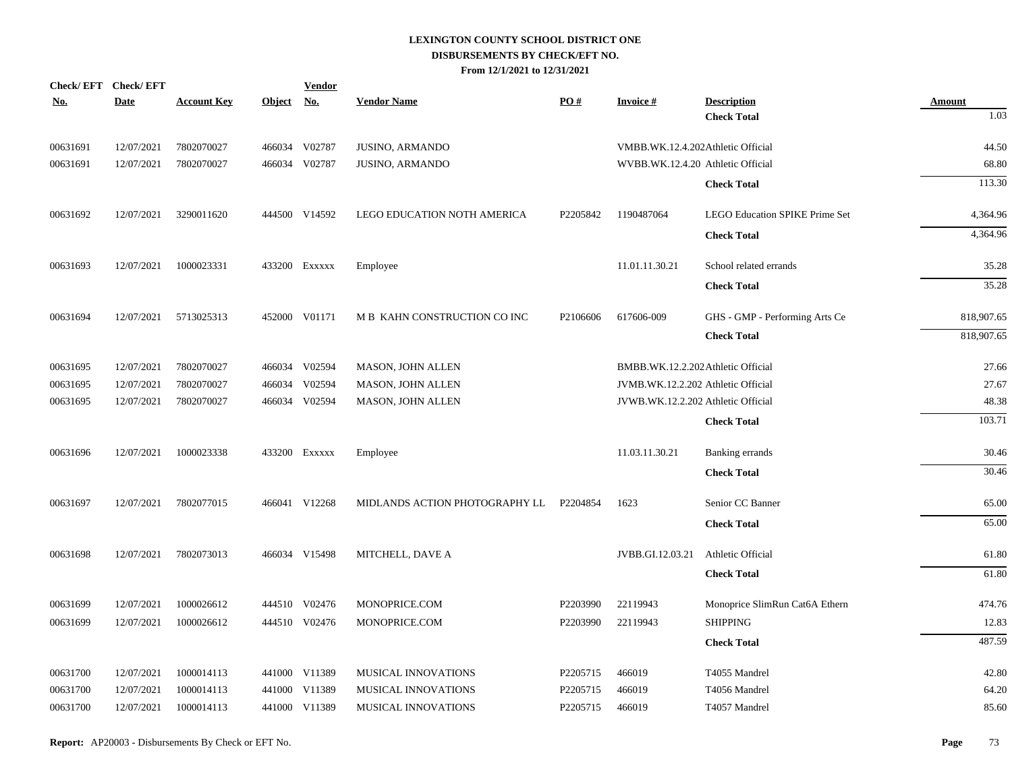|          | Check/EFT Check/EFT |                    |               | <b>Vendor</b> |                                |          |                                    |                                       |               |
|----------|---------------------|--------------------|---------------|---------------|--------------------------------|----------|------------------------------------|---------------------------------------|---------------|
| No.      | <b>Date</b>         | <b>Account Key</b> | <b>Object</b> | <u>No.</u>    | <b>Vendor Name</b>             | PO#      | <b>Invoice#</b>                    | <b>Description</b>                    | <b>Amount</b> |
|          |                     |                    |               |               |                                |          |                                    | <b>Check Total</b>                    | 1.03          |
| 00631691 | 12/07/2021          | 7802070027         |               | 466034 V02787 | JUSINO, ARMANDO                |          | VMBB.WK.12.4.202Athletic Official  |                                       | 44.50         |
| 00631691 | 12/07/2021          | 7802070027         |               | 466034 V02787 | <b>JUSINO, ARMANDO</b>         |          | WVBB.WK.12.4.20 Athletic Official  |                                       | 68.80         |
|          |                     |                    |               |               |                                |          |                                    | <b>Check Total</b>                    | 113.30        |
| 00631692 | 12/07/2021          | 3290011620         |               | 444500 V14592 | LEGO EDUCATION NOTH AMERICA    | P2205842 | 1190487064                         | <b>LEGO Education SPIKE Prime Set</b> | 4,364.96      |
|          |                     |                    |               |               |                                |          |                                    | <b>Check Total</b>                    | 4,364.96      |
| 00631693 | 12/07/2021          | 1000023331         |               | 433200 Exxxxx | Employee                       |          | 11.01.11.30.21                     | School related errands                | 35.28         |
|          |                     |                    |               |               |                                |          |                                    | <b>Check Total</b>                    | 35.28         |
| 00631694 | 12/07/2021          | 5713025313         |               | 452000 V01171 | M B KAHN CONSTRUCTION CO INC   | P2106606 | 617606-009                         | GHS - GMP - Performing Arts Ce        | 818,907.65    |
|          |                     |                    |               |               |                                |          |                                    | <b>Check Total</b>                    | 818,907.65    |
| 00631695 | 12/07/2021          | 7802070027         |               | 466034 V02594 | MASON, JOHN ALLEN              |          | BMBB.WK.12.2.202 Athletic Official |                                       | 27.66         |
| 00631695 | 12/07/2021          | 7802070027         |               | 466034 V02594 | MASON, JOHN ALLEN              |          | JVMB.WK.12.2.202 Athletic Official |                                       | 27.67         |
| 00631695 | 12/07/2021          | 7802070027         |               | 466034 V02594 | MASON, JOHN ALLEN              |          | JVWB.WK.12.2.202 Athletic Official |                                       | 48.38         |
|          |                     |                    |               |               |                                |          |                                    | <b>Check Total</b>                    | 103.71        |
| 00631696 | 12/07/2021          | 1000023338         |               | 433200 Exxxxx | Employee                       |          | 11.03.11.30.21                     | Banking errands                       | 30.46         |
|          |                     |                    |               |               |                                |          |                                    | <b>Check Total</b>                    | 30.46         |
| 00631697 | 12/07/2021          | 7802077015         |               | 466041 V12268 | MIDLANDS ACTION PHOTOGRAPHY LL | P2204854 | 1623                               | Senior CC Banner                      | 65.00         |
|          |                     |                    |               |               |                                |          |                                    | <b>Check Total</b>                    | 65.00         |
| 00631698 | 12/07/2021          | 7802073013         |               | 466034 V15498 | MITCHELL, DAVE A               |          | JVBB.GI.12.03.21                   | Athletic Official                     | 61.80         |
|          |                     |                    |               |               |                                |          |                                    | <b>Check Total</b>                    | 61.80         |
| 00631699 | 12/07/2021          | 1000026612         |               | 444510 V02476 | MONOPRICE.COM                  | P2203990 | 22119943                           | Monoprice SlimRun Cat6A Ethern        | 474.76        |
| 00631699 | 12/07/2021          | 1000026612         |               | 444510 V02476 | MONOPRICE.COM                  | P2203990 | 22119943                           | <b>SHIPPING</b>                       | 12.83         |
|          |                     |                    |               |               |                                |          |                                    | <b>Check Total</b>                    | 487.59        |
| 00631700 | 12/07/2021          | 1000014113         |               | 441000 V11389 | MUSICAL INNOVATIONS            | P2205715 | 466019                             | T4055 Mandrel                         | 42.80         |
| 00631700 | 12/07/2021          | 1000014113         |               | 441000 V11389 | MUSICAL INNOVATIONS            | P2205715 | 466019                             | T4056 Mandrel                         | 64.20         |
| 00631700 | 12/07/2021          | 1000014113         |               | 441000 V11389 | MUSICAL INNOVATIONS            | P2205715 | 466019                             | T4057 Mandrel                         | 85.60         |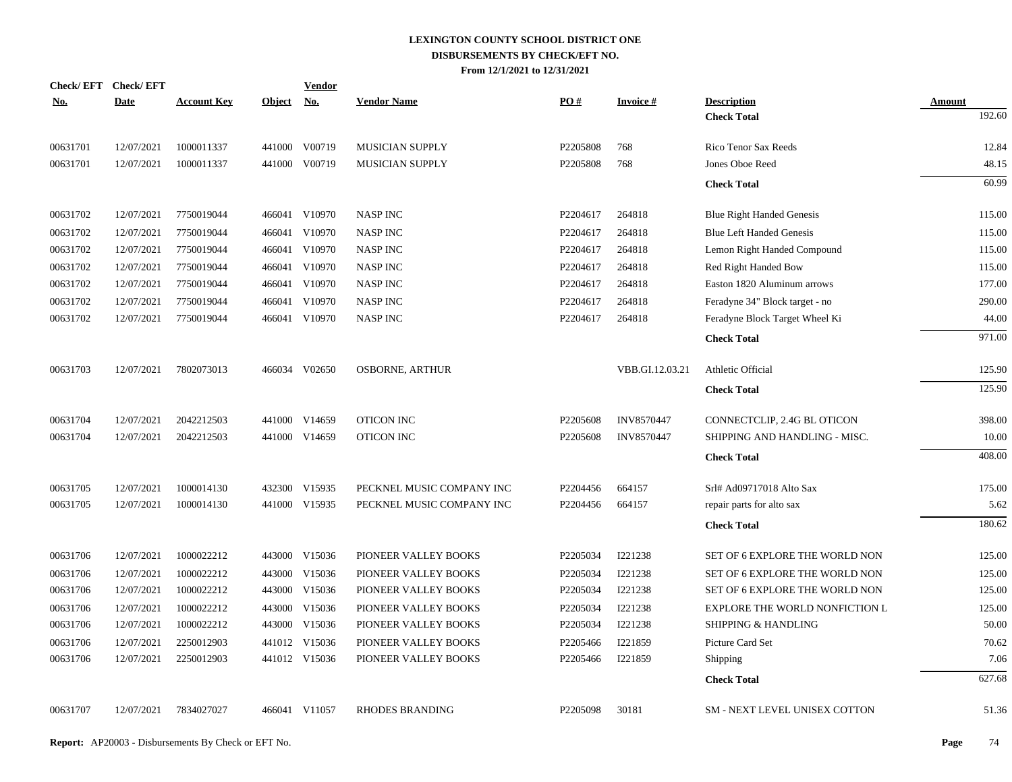| <b>Check/EFT</b> | <b>Check/EFT</b> |                    |               | <b>Vendor</b> |                           |          |                   |                                       |               |
|------------------|------------------|--------------------|---------------|---------------|---------------------------|----------|-------------------|---------------------------------------|---------------|
| <u>No.</u>       | <b>Date</b>      | <b>Account Key</b> | <b>Object</b> | <u>No.</u>    | <b>Vendor Name</b>        | PO#      | <b>Invoice#</b>   | <b>Description</b>                    | <b>Amount</b> |
|                  |                  |                    |               |               |                           |          |                   | <b>Check Total</b>                    | 192.60        |
| 00631701         | 12/07/2021       | 1000011337         | 441000        | V00719        | MUSICIAN SUPPLY           | P2205808 | 768               | Rico Tenor Sax Reeds                  | 12.84         |
| 00631701         | 12/07/2021       | 1000011337         | 441000        | V00719        | <b>MUSICIAN SUPPLY</b>    | P2205808 | 768               | Jones Oboe Reed                       | 48.15         |
|                  |                  |                    |               |               |                           |          |                   | <b>Check Total</b>                    | 60.99         |
| 00631702         | 12/07/2021       | 7750019044         |               | 466041 V10970 | <b>NASP INC</b>           | P2204617 | 264818            | <b>Blue Right Handed Genesis</b>      | 115.00        |
| 00631702         | 12/07/2021       | 7750019044         | 466041        | V10970        | <b>NASP INC</b>           | P2204617 | 264818            | <b>Blue Left Handed Genesis</b>       | 115.00        |
| 00631702         | 12/07/2021       | 7750019044         | 466041        | V10970        | <b>NASP INC</b>           | P2204617 | 264818            | Lemon Right Handed Compound           | 115.00        |
| 00631702         | 12/07/2021       | 7750019044         | 466041        | V10970        | <b>NASP INC</b>           | P2204617 | 264818            | Red Right Handed Bow                  | 115.00        |
| 00631702         | 12/07/2021       | 7750019044         |               | 466041 V10970 | <b>NASP INC</b>           | P2204617 | 264818            | Easton 1820 Aluminum arrows           | 177.00        |
| 00631702         | 12/07/2021       | 7750019044         | 466041        | V10970        | <b>NASP INC</b>           | P2204617 | 264818            | Feradyne 34" Block target - no        | 290.00        |
| 00631702         | 12/07/2021       | 7750019044         |               | 466041 V10970 | <b>NASP INC</b>           | P2204617 | 264818            | Feradyne Block Target Wheel Ki        | 44.00         |
|                  |                  |                    |               |               |                           |          |                   | <b>Check Total</b>                    | 971.00        |
| 00631703         | 12/07/2021       | 7802073013         |               | 466034 V02650 | <b>OSBORNE, ARTHUR</b>    |          | VBB.GI.12.03.21   | Athletic Official                     | 125.90        |
|                  |                  |                    |               |               |                           |          |                   | <b>Check Total</b>                    | 125.90        |
| 00631704         | 12/07/2021       | 2042212503         |               | 441000 V14659 | OTICON INC                | P2205608 | <b>INV8570447</b> | CONNECTCLIP, 2.4G BL OTICON           | 398.00        |
| 00631704         | 12/07/2021       | 2042212503         |               | 441000 V14659 | <b>OTICON INC</b>         | P2205608 | <b>INV8570447</b> | SHIPPING AND HANDLING - MISC.         | 10.00         |
|                  |                  |                    |               |               |                           |          |                   | <b>Check Total</b>                    | 408.00        |
| 00631705         | 12/07/2021       | 1000014130         |               | 432300 V15935 | PECKNEL MUSIC COMPANY INC | P2204456 | 664157            | Srl# Ad09717018 Alto Sax              | 175.00        |
| 00631705         | 12/07/2021       | 1000014130         |               | 441000 V15935 | PECKNEL MUSIC COMPANY INC | P2204456 | 664157            | repair parts for alto sax             | 5.62          |
|                  |                  |                    |               |               |                           |          |                   | <b>Check Total</b>                    | 180.62        |
| 00631706         | 12/07/2021       | 1000022212         |               | 443000 V15036 | PIONEER VALLEY BOOKS      | P2205034 | I221238           | SET OF 6 EXPLORE THE WORLD NON        | 125.00        |
| 00631706         | 12/07/2021       | 1000022212         | 443000        | V15036        | PIONEER VALLEY BOOKS      | P2205034 | I221238           | <b>SET OF 6 EXPLORE THE WORLD NON</b> | 125.00        |
| 00631706         | 12/07/2021       | 1000022212         |               | 443000 V15036 | PIONEER VALLEY BOOKS      | P2205034 | I221238           | SET OF 6 EXPLORE THE WORLD NON        | 125.00        |
| 00631706         | 12/07/2021       | 1000022212         | 443000        | V15036        | PIONEER VALLEY BOOKS      | P2205034 | I221238           | <b>EXPLORE THE WORLD NONFICTION L</b> | 125.00        |
| 00631706         | 12/07/2021       | 1000022212         |               | 443000 V15036 | PIONEER VALLEY BOOKS      | P2205034 | I221238           | <b>SHIPPING &amp; HANDLING</b>        | 50.00         |
| 00631706         | 12/07/2021       | 2250012903         |               | 441012 V15036 | PIONEER VALLEY BOOKS      | P2205466 | I221859           | Picture Card Set                      | 70.62         |
| 00631706         | 12/07/2021       | 2250012903         |               | 441012 V15036 | PIONEER VALLEY BOOKS      | P2205466 | I221859           | Shipping                              | 7.06          |
|                  |                  |                    |               |               |                           |          |                   | <b>Check Total</b>                    | 627.68        |
| 00631707         | 12/07/2021       | 7834027027         |               | 466041 V11057 | <b>RHODES BRANDING</b>    | P2205098 | 30181             | <b>SM - NEXT LEVEL UNISEX COTTON</b>  | 51.36         |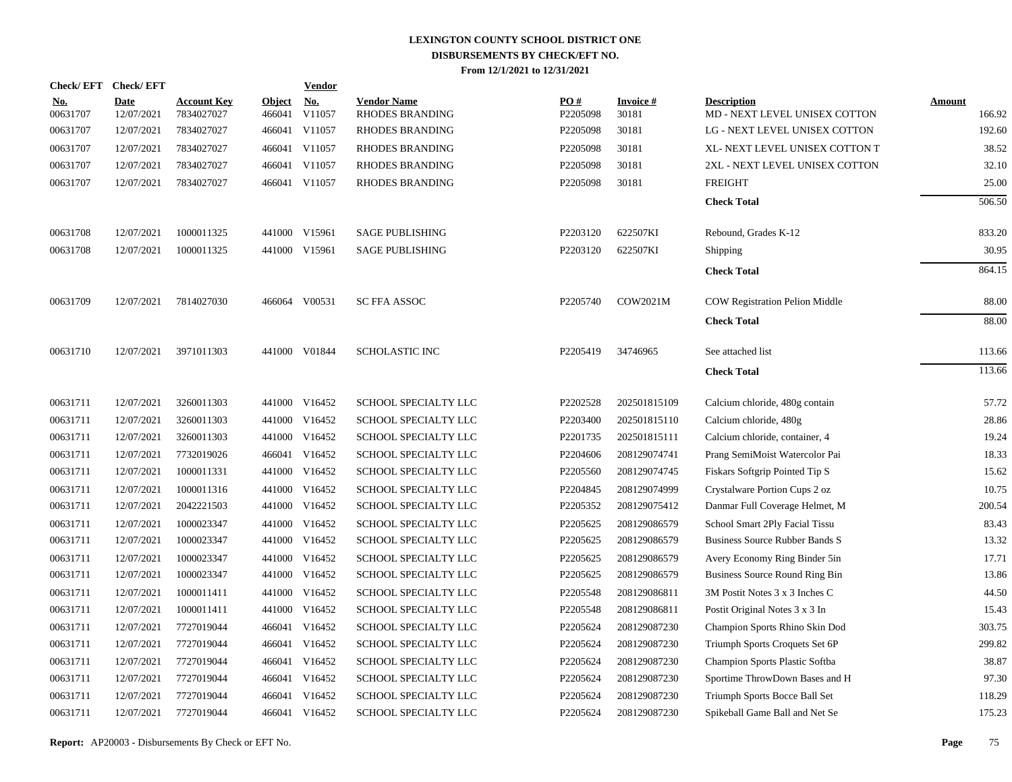| Check/EFT Check/EFT    |                           |                                  |                         | <b>Vendor</b>        |                                       |                 |                          |                                                     |                         |
|------------------------|---------------------------|----------------------------------|-------------------------|----------------------|---------------------------------------|-----------------|--------------------------|-----------------------------------------------------|-------------------------|
| <u>No.</u><br>00631707 | <b>Date</b><br>12/07/2021 | <b>Account Key</b><br>7834027027 | <b>Object</b><br>466041 | <u>No.</u><br>V11057 | <b>Vendor Name</b><br>RHODES BRANDING | PO#<br>P2205098 | <b>Invoice#</b><br>30181 | <b>Description</b><br>MD - NEXT LEVEL UNISEX COTTON | <b>Amount</b><br>166.92 |
| 00631707               | 12/07/2021                | 7834027027                       |                         | 466041 V11057        | RHODES BRANDING                       | P2205098        | 30181                    | LG - NEXT LEVEL UNISEX COTTON                       | 192.60                  |
| 00631707               | 12/07/2021                | 7834027027                       |                         | 466041 V11057        | RHODES BRANDING                       | P2205098        | 30181                    | XL- NEXT LEVEL UNISEX COTTON T                      | 38.52                   |
| 00631707               | 12/07/2021                | 7834027027                       |                         | 466041 V11057        | <b>RHODES BRANDING</b>                | P2205098        | 30181                    | 2XL - NEXT LEVEL UNISEX COTTON                      | 32.10                   |
|                        |                           |                                  |                         |                      |                                       |                 |                          |                                                     |                         |
| 00631707               | 12/07/2021                | 7834027027                       |                         | 466041 V11057        | <b>RHODES BRANDING</b>                | P2205098        | 30181                    | <b>FREIGHT</b>                                      | 25.00                   |
|                        |                           |                                  |                         |                      |                                       |                 |                          | <b>Check Total</b>                                  | 506.50                  |
| 00631708               | 12/07/2021                | 1000011325                       |                         | 441000 V15961        | <b>SAGE PUBLISHING</b>                | P2203120        | 622507KI                 | Rebound, Grades K-12                                | 833.20                  |
| 00631708               | 12/07/2021                | 1000011325                       |                         | 441000 V15961        | <b>SAGE PUBLISHING</b>                | P2203120        | 622507KI                 | Shipping                                            | 30.95                   |
|                        |                           |                                  |                         |                      |                                       |                 |                          | <b>Check Total</b>                                  | 864.15                  |
| 00631709               | 12/07/2021                | 7814027030                       |                         | 466064 V00531        | <b>SC FFA ASSOC</b>                   | P2205740        | COW2021M                 | <b>COW Registration Pelion Middle</b>               | 88.00                   |
|                        |                           |                                  |                         |                      |                                       |                 |                          | <b>Check Total</b>                                  | 88.00                   |
| 00631710               | 12/07/2021                | 3971011303                       |                         | 441000 V01844        | <b>SCHOLASTIC INC</b>                 | P2205419        | 34746965                 | See attached list                                   | 113.66                  |
|                        |                           |                                  |                         |                      |                                       |                 |                          | <b>Check Total</b>                                  | 113.66                  |
| 00631711               | 12/07/2021                | 3260011303                       |                         | 441000 V16452        | SCHOOL SPECIALTY LLC                  | P2202528        | 202501815109             | Calcium chloride, 480g contain                      | 57.72                   |
| 00631711               | 12/07/2021                | 3260011303                       |                         | 441000 V16452        | SCHOOL SPECIALTY LLC                  | P2203400        | 202501815110             | Calcium chloride, 480g                              | 28.86                   |
| 00631711               | 12/07/2021                | 3260011303                       |                         | 441000 V16452        | SCHOOL SPECIALTY LLC                  | P2201735        | 202501815111             | Calcium chloride, container, 4                      | 19.24                   |
| 00631711               | 12/07/2021                | 7732019026                       |                         | 466041 V16452        | SCHOOL SPECIALTY LLC                  | P2204606        | 208129074741             | Prang SemiMoist Watercolor Pai                      | 18.33                   |
| 00631711               | 12/07/2021                | 1000011331                       |                         | 441000 V16452        | SCHOOL SPECIALTY LLC                  | P2205560        | 208129074745             | Fiskars Softgrip Pointed Tip S                      | 15.62                   |
| 00631711               | 12/07/2021                | 1000011316                       |                         | 441000 V16452        | SCHOOL SPECIALTY LLC                  | P2204845        | 208129074999             | Crystalware Portion Cups 2 oz                       | 10.75                   |
| 00631711               | 12/07/2021                | 2042221503                       |                         | 441000 V16452        | SCHOOL SPECIALTY LLC                  | P2205352        | 208129075412             | Danmar Full Coverage Helmet, M                      | 200.54                  |
| 00631711               | 12/07/2021                | 1000023347                       |                         | 441000 V16452        | SCHOOL SPECIALTY LLC                  | P2205625        | 208129086579             | School Smart 2Ply Facial Tissu                      | 83.43                   |
| 00631711               | 12/07/2021                | 1000023347                       |                         | 441000 V16452        | SCHOOL SPECIALTY LLC                  | P2205625        | 208129086579             | <b>Business Source Rubber Bands S</b>               | 13.32                   |
| 00631711               | 12/07/2021                | 1000023347                       |                         | 441000 V16452        | SCHOOL SPECIALTY LLC                  | P2205625        | 208129086579             | Avery Economy Ring Binder 5in                       | 17.71                   |
| 00631711               | 12/07/2021                | 1000023347                       |                         | 441000 V16452        | SCHOOL SPECIALTY LLC                  | P2205625        | 208129086579             | Business Source Round Ring Bin                      | 13.86                   |
| 00631711               | 12/07/2021                | 1000011411                       |                         | 441000 V16452        | SCHOOL SPECIALTY LLC                  | P2205548        | 208129086811             | 3M Postit Notes 3 x 3 Inches C                      | 44.50                   |
| 00631711               | 12/07/2021                | 1000011411                       |                         | 441000 V16452        | SCHOOL SPECIALTY LLC                  | P2205548        | 208129086811             | Postit Original Notes 3 x 3 In                      | 15.43                   |
| 00631711               | 12/07/2021                | 7727019044                       |                         | 466041 V16452        | SCHOOL SPECIALTY LLC                  | P2205624        | 208129087230             | Champion Sports Rhino Skin Dod                      | 303.75                  |
| 00631711               | 12/07/2021                | 7727019044                       |                         | 466041 V16452        | SCHOOL SPECIALTY LLC                  | P2205624        | 208129087230             | Triumph Sports Croquets Set 6P                      | 299.82                  |
| 00631711               | 12/07/2021                | 7727019044                       |                         | 466041 V16452        | SCHOOL SPECIALTY LLC                  | P2205624        | 208129087230             | Champion Sports Plastic Softba                      | 38.87                   |
| 00631711               | 12/07/2021                | 7727019044                       |                         | 466041 V16452        | SCHOOL SPECIALTY LLC                  | P2205624        | 208129087230             | Sportime ThrowDown Bases and H                      | 97.30                   |
| 00631711               | 12/07/2021                | 7727019044                       |                         | 466041 V16452        | SCHOOL SPECIALTY LLC                  | P2205624        | 208129087230             | Triumph Sports Bocce Ball Set                       | 118.29                  |
| 00631711               | 12/07/2021                | 7727019044                       |                         | 466041 V16452        | SCHOOL SPECIALTY LLC                  | P2205624        | 208129087230             | Spikeball Game Ball and Net Se                      | 175.23                  |
|                        |                           |                                  |                         |                      |                                       |                 |                          |                                                     |                         |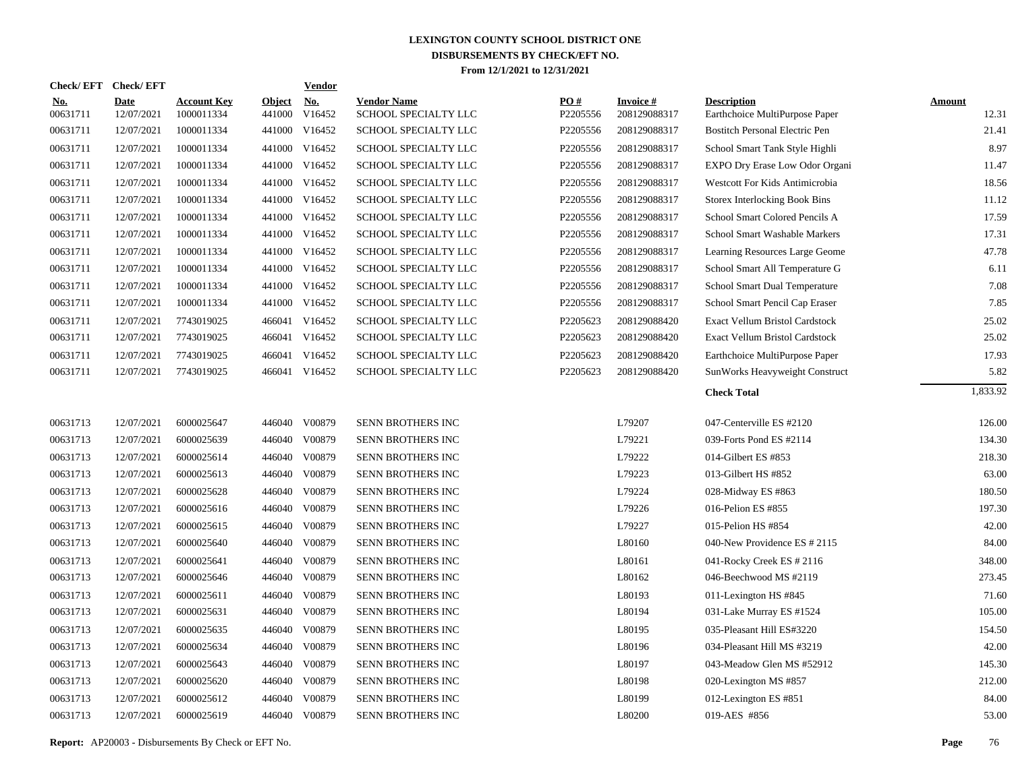| Check/EFT Check/EFT    |                           |                                  |                         | <b>Vendor</b>        |                                            |                 |                                 |                                                      |                        |
|------------------------|---------------------------|----------------------------------|-------------------------|----------------------|--------------------------------------------|-----------------|---------------------------------|------------------------------------------------------|------------------------|
| <u>No.</u><br>00631711 | <b>Date</b><br>12/07/2021 | <b>Account Key</b><br>1000011334 | <b>Object</b><br>441000 | <b>No.</b><br>V16452 | <b>Vendor Name</b><br>SCHOOL SPECIALTY LLC | PO#<br>P2205556 | <b>Invoice#</b><br>208129088317 | <b>Description</b><br>Earthchoice MultiPurpose Paper | <b>Amount</b><br>12.31 |
| 00631711               | 12/07/2021                | 1000011334                       |                         | 441000 V16452        | SCHOOL SPECIALTY LLC                       | P2205556        | 208129088317                    | <b>Bostitch Personal Electric Pen</b>                | 21.41                  |
| 00631711               | 12/07/2021                | 1000011334                       |                         | 441000 V16452        | SCHOOL SPECIALTY LLC                       | P2205556        | 208129088317                    | School Smart Tank Style Highli                       | 8.97                   |
| 00631711               | 12/07/2021                | 1000011334                       |                         | 441000 V16452        | SCHOOL SPECIALTY LLC                       | P2205556        | 208129088317                    | EXPO Dry Erase Low Odor Organi                       | 11.47                  |
| 00631711               | 12/07/2021                | 1000011334                       |                         | 441000 V16452        | <b>SCHOOL SPECIALTY LLC</b>                | P2205556        | 208129088317                    | Westcott For Kids Antimicrobia                       | 18.56                  |
| 00631711               | 12/07/2021                | 1000011334                       |                         | 441000 V16452        | SCHOOL SPECIALTY LLC                       | P2205556        | 208129088317                    | <b>Storex Interlocking Book Bins</b>                 | 11.12                  |
| 00631711               | 12/07/2021                | 1000011334                       |                         | 441000 V16452        | SCHOOL SPECIALTY LLC                       | P2205556        | 208129088317                    | School Smart Colored Pencils A                       | 17.59                  |
| 00631711               | 12/07/2021                | 1000011334                       |                         | 441000 V16452        | SCHOOL SPECIALTY LLC                       | P2205556        | 208129088317                    | School Smart Washable Markers                        | 17.31                  |
| 00631711               | 12/07/2021                | 1000011334                       |                         | 441000 V16452        | <b>SCHOOL SPECIALTY LLC</b>                | P2205556        | 208129088317                    | Learning Resources Large Geome                       | 47.78                  |
| 00631711               | 12/07/2021                | 1000011334                       |                         | 441000 V16452        | SCHOOL SPECIALTY LLC                       | P2205556        | 208129088317                    | School Smart All Temperature G                       | 6.11                   |
| 00631711               | 12/07/2021                | 1000011334                       |                         | 441000 V16452        | SCHOOL SPECIALTY LLC                       | P2205556        | 208129088317                    | School Smart Dual Temperature                        | 7.08                   |
| 00631711               | 12/07/2021                | 1000011334                       |                         | 441000 V16452        | <b>SCHOOL SPECIALTY LLC</b>                | P2205556        | 208129088317                    | School Smart Pencil Cap Eraser                       | 7.85                   |
| 00631711               | 12/07/2021                | 7743019025                       |                         | 466041 V16452        | SCHOOL SPECIALTY LLC                       | P2205623        | 208129088420                    | <b>Exact Vellum Bristol Cardstock</b>                | 25.02                  |
| 00631711               | 12/07/2021                | 7743019025                       |                         | 466041 V16452        | SCHOOL SPECIALTY LLC                       | P2205623        | 208129088420                    | <b>Exact Vellum Bristol Cardstock</b>                | 25.02                  |
| 00631711               | 12/07/2021                | 7743019025                       |                         | 466041 V16452        | SCHOOL SPECIALTY LLC                       | P2205623        | 208129088420                    | Earthchoice MultiPurpose Paper                       | 17.93                  |
| 00631711               | 12/07/2021                | 7743019025                       |                         | 466041 V16452        | <b>SCHOOL SPECIALTY LLC</b>                | P2205623        | 208129088420                    | SunWorks Heavyweight Construct                       | 5.82                   |
|                        |                           |                                  |                         |                      |                                            |                 |                                 | <b>Check Total</b>                                   | 1,833.92               |
| 00631713               | 12/07/2021                | 6000025647                       |                         | 446040 V00879        | SENN BROTHERS INC                          |                 | L79207                          | 047-Centerville ES #2120                             | 126.00                 |
| 00631713               | 12/07/2021                | 6000025639                       |                         | 446040 V00879        | SENN BROTHERS INC                          |                 | L79221                          | 039-Forts Pond ES #2114                              | 134.30                 |
| 00631713               | 12/07/2021                | 6000025614                       | 446040                  | V00879               | SENN BROTHERS INC                          |                 | L79222                          | 014-Gilbert ES #853                                  | 218.30                 |
| 00631713               | 12/07/2021                | 6000025613                       | 446040                  | V00879               | SENN BROTHERS INC                          |                 | L79223                          | 013-Gilbert HS #852                                  | 63.00                  |
| 00631713               | 12/07/2021                | 6000025628                       | 446040                  | V00879               | SENN BROTHERS INC                          |                 | L79224                          | 028-Midway ES #863                                   | 180.50                 |
| 00631713               | 12/07/2021                | 6000025616                       |                         | 446040 V00879        | SENN BROTHERS INC                          |                 | L79226                          | 016-Pelion ES #855                                   | 197.30                 |
| 00631713               | 12/07/2021                | 6000025615                       | 446040                  | V00879               | SENN BROTHERS INC                          |                 | L79227                          | 015-Pelion HS #854                                   | 42.00                  |
| 00631713               | 12/07/2021                | 6000025640                       |                         | 446040 V00879        | SENN BROTHERS INC                          |                 | L80160                          | 040-New Providence ES # 2115                         | 84.00                  |
| 00631713               | 12/07/2021                | 6000025641                       | 446040                  | V00879               | SENN BROTHERS INC                          |                 | L80161                          | 041-Rocky Creek ES # 2116                            | 348.00                 |
| 00631713               | 12/07/2021                | 6000025646                       |                         | 446040 V00879        | SENN BROTHERS INC                          |                 | L80162                          | 046-Beechwood MS #2119                               | 273.45                 |
| 00631713               | 12/07/2021                | 6000025611                       | 446040                  | V00879               | SENN BROTHERS INC                          |                 | L80193                          | 011-Lexington HS #845                                | 71.60                  |
| 00631713               | 12/07/2021                | 6000025631                       |                         | 446040 V00879        | SENN BROTHERS INC                          |                 | L80194                          | 031-Lake Murray ES #1524                             | 105.00                 |
| 00631713               | 12/07/2021                | 6000025635                       | 446040                  | V00879               | SENN BROTHERS INC                          |                 | L80195                          | 035-Pleasant Hill ES#3220                            | 154.50                 |
| 00631713               | 12/07/2021                | 6000025634                       |                         | 446040 V00879        | SENN BROTHERS INC                          |                 | L80196                          | 034-Pleasant Hill MS #3219                           | 42.00                  |
| 00631713               | 12/07/2021                | 6000025643                       | 446040                  | V00879               | SENN BROTHERS INC                          |                 | L80197                          | 043-Meadow Glen MS #52912                            | 145.30                 |
| 00631713               | 12/07/2021                | 6000025620                       |                         | 446040 V00879        | SENN BROTHERS INC                          |                 | L80198                          | 020-Lexington MS #857                                | 212.00                 |
| 00631713               | 12/07/2021                | 6000025612                       | 446040                  | V00879               | SENN BROTHERS INC                          |                 | L80199                          | 012-Lexington ES #851                                | 84.00                  |
| 00631713               | 12/07/2021                | 6000025619                       |                         | 446040 V00879        | SENN BROTHERS INC                          |                 | L80200                          | 019-AES #856                                         | 53.00                  |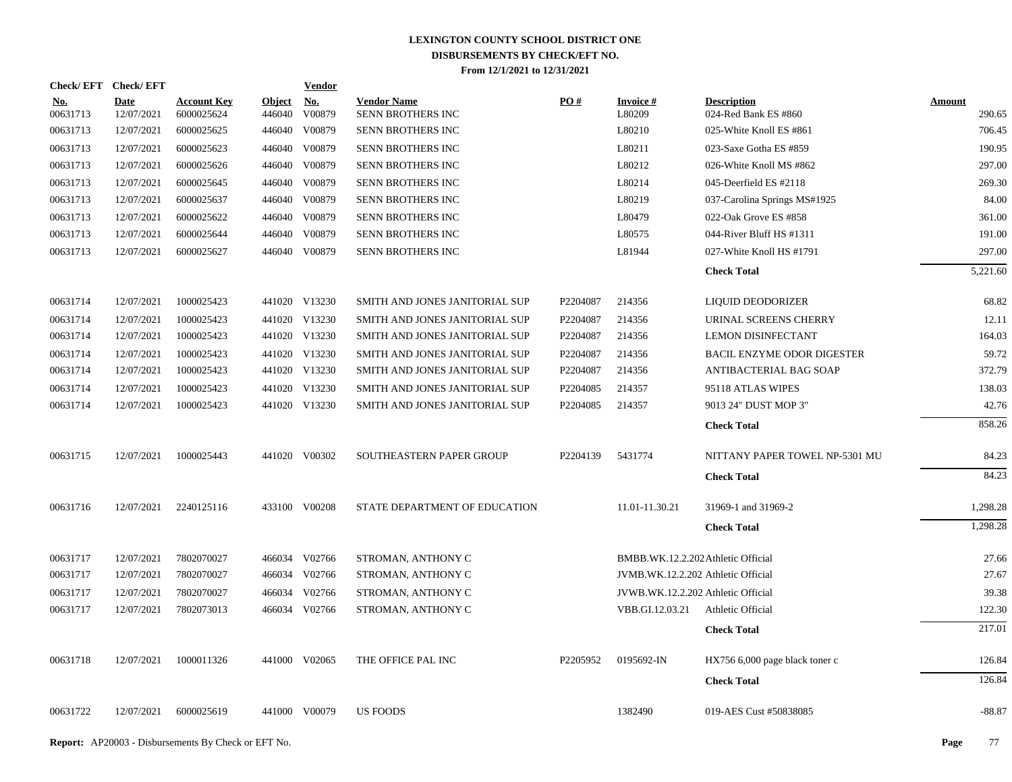| Check/EFT Check/EFT    |                           |                                  |                         | <b>Vendor</b>        |                                         |          |                                    |                                            |                         |
|------------------------|---------------------------|----------------------------------|-------------------------|----------------------|-----------------------------------------|----------|------------------------------------|--------------------------------------------|-------------------------|
| <u>No.</u><br>00631713 | <b>Date</b><br>12/07/2021 | <b>Account Key</b><br>6000025624 | <b>Object</b><br>446040 | <b>No.</b><br>V00879 | <b>Vendor Name</b><br>SENN BROTHERS INC | PO#      | <b>Invoice#</b><br>L80209          | <b>Description</b><br>024-Red Bank ES #860 | <b>Amount</b><br>290.65 |
| 00631713               | 12/07/2021                | 6000025625                       | 446040                  | V00879               | SENN BROTHERS INC                       |          | L80210                             | 025-White Knoll ES #861                    | 706.45                  |
| 00631713               | 12/07/2021                | 6000025623                       | 446040                  | V00879               | SENN BROTHERS INC                       |          | L80211                             | 023-Saxe Gotha ES #859                     | 190.95                  |
| 00631713               | 12/07/2021                | 6000025626                       | 446040                  | V00879               | SENN BROTHERS INC                       |          | L80212                             | 026-White Knoll MS #862                    | 297.00                  |
| 00631713               | 12/07/2021                | 6000025645                       | 446040                  | V00879               | SENN BROTHERS INC                       |          | L80214                             | 045-Deerfield ES #2118                     | 269.30                  |
| 00631713               | 12/07/2021                | 6000025637                       | 446040                  | V00879               | SENN BROTHERS INC                       |          | L80219                             | 037-Carolina Springs MS#1925               | 84.00                   |
| 00631713               | 12/07/2021                | 6000025622                       | 446040                  | V00879               | SENN BROTHERS INC                       |          | L80479                             | 022-Oak Grove ES #858                      | 361.00                  |
| 00631713               | 12/07/2021                | 6000025644                       | 446040                  | V00879               | SENN BROTHERS INC                       |          | L80575                             | 044-River Bluff HS #1311                   | 191.00                  |
| 00631713               | 12/07/2021                | 6000025627                       |                         | 446040 V00879        | SENN BROTHERS INC                       |          | L81944                             | 027-White Knoll HS #1791                   | 297.00                  |
|                        |                           |                                  |                         |                      |                                         |          |                                    | <b>Check Total</b>                         | 5,221.60                |
| 00631714               | 12/07/2021                | 1000025423                       |                         | 441020 V13230        | SMITH AND JONES JANITORIAL SUP          | P2204087 | 214356                             | LIQUID DEODORIZER                          | 68.82                   |
| 00631714               | 12/07/2021                | 1000025423                       |                         | 441020 V13230        | SMITH AND JONES JANITORIAL SUP          | P2204087 | 214356                             | URINAL SCREENS CHERRY                      | 12.11                   |
| 00631714               | 12/07/2021                | 1000025423                       |                         | 441020 V13230        | SMITH AND JONES JANITORIAL SUP          | P2204087 | 214356                             | LEMON DISINFECTANT                         | 164.03                  |
| 00631714               | 12/07/2021                | 1000025423                       |                         | 441020 V13230        | SMITH AND JONES JANITORIAL SUP          | P2204087 | 214356                             | <b>BACIL ENZYME ODOR DIGESTER</b>          | 59.72                   |
| 00631714               | 12/07/2021                | 1000025423                       |                         | 441020 V13230        | SMITH AND JONES JANITORIAL SUP          | P2204087 | 214356                             | ANTIBACTERIAL BAG SOAP                     | 372.79                  |
| 00631714               | 12/07/2021                | 1000025423                       |                         | 441020 V13230        | SMITH AND JONES JANITORIAL SUP          | P2204085 | 214357                             | 95118 ATLAS WIPES                          | 138.03                  |
| 00631714               | 12/07/2021                | 1000025423                       |                         | 441020 V13230        | SMITH AND JONES JANITORIAL SUP          | P2204085 | 214357                             | 9013 24" DUST MOP 3"                       | 42.76                   |
|                        |                           |                                  |                         |                      |                                         |          |                                    | <b>Check Total</b>                         | 858.26                  |
| 00631715               | 12/07/2021                | 1000025443                       |                         | 441020 V00302        | SOUTHEASTERN PAPER GROUP                | P2204139 | 5431774                            | NITTANY PAPER TOWEL NP-5301 MU             | 84.23                   |
|                        |                           |                                  |                         |                      |                                         |          |                                    | <b>Check Total</b>                         | 84.23                   |
| 00631716               | 12/07/2021                | 2240125116                       |                         | 433100 V00208        | STATE DEPARTMENT OF EDUCATION           |          | 11.01-11.30.21                     | 31969-1 and 31969-2                        | 1,298.28                |
|                        |                           |                                  |                         |                      |                                         |          |                                    | <b>Check Total</b>                         | 1,298.28                |
| 00631717               | 12/07/2021                | 7802070027                       |                         | 466034 V02766        | STROMAN, ANTHONY C                      |          | BMBB.WK.12.2.202 Athletic Official |                                            | 27.66                   |
| 00631717               | 12/07/2021                | 7802070027                       |                         | 466034 V02766        | STROMAN, ANTHONY C                      |          | JVMB.WK.12.2.202 Athletic Official |                                            | 27.67                   |
| 00631717               | 12/07/2021                | 7802070027                       |                         | 466034 V02766        | STROMAN, ANTHONY C                      |          | JVWB.WK.12.2.202 Athletic Official |                                            | 39.38                   |
| 00631717               | 12/07/2021                | 7802073013                       |                         | 466034 V02766        | STROMAN, ANTHONY C                      |          | VBB.GI.12.03.21                    | Athletic Official                          | 122.30                  |
|                        |                           |                                  |                         |                      |                                         |          |                                    | <b>Check Total</b>                         | 217.01                  |
| 00631718               | 12/07/2021                | 1000011326                       |                         | 441000 V02065        | THE OFFICE PAL INC                      | P2205952 | 0195692-IN                         | HX756 6,000 page black toner c             | 126.84                  |
|                        |                           |                                  |                         |                      |                                         |          |                                    | <b>Check Total</b>                         | 126.84                  |
| 00631722               | 12/07/2021                | 6000025619                       |                         | 441000 V00079        | <b>US FOODS</b>                         |          | 1382490                            | 019-AES Cust #50838085                     | $-88.87$                |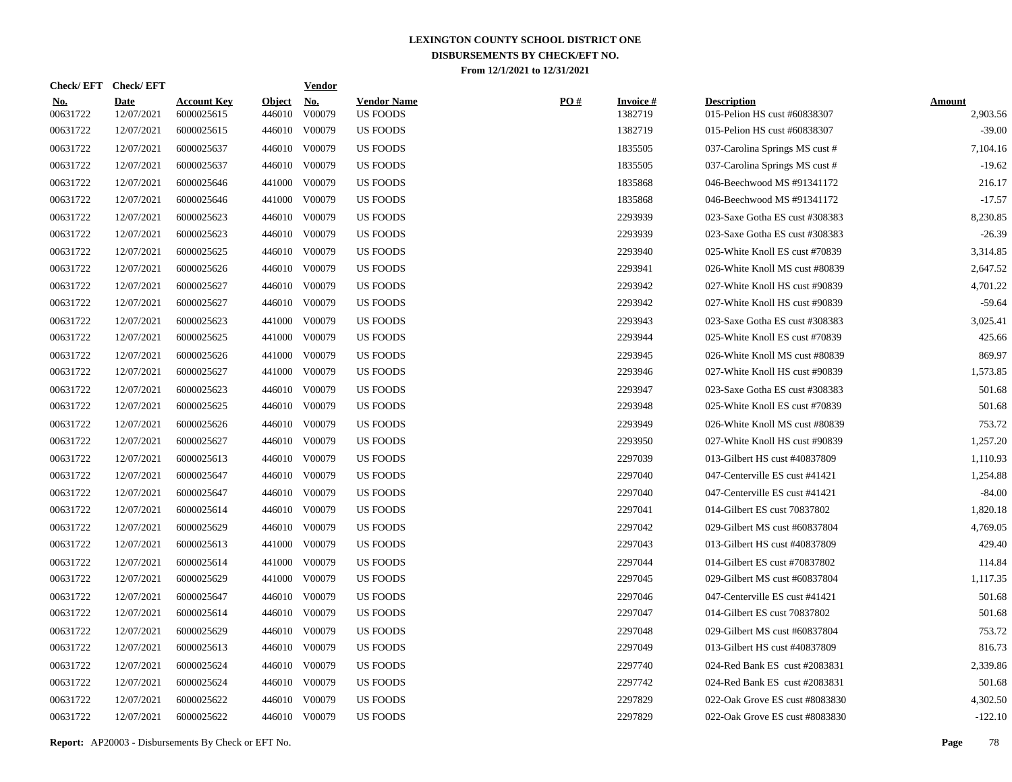| <b>Check/EFT</b>       | <b>Check/EFT</b>          |                                  |                         | <b>Vendor</b>        |                                       |     |                            |                                                    |                           |
|------------------------|---------------------------|----------------------------------|-------------------------|----------------------|---------------------------------------|-----|----------------------------|----------------------------------------------------|---------------------------|
| <u>No.</u><br>00631722 | <b>Date</b><br>12/07/2021 | <b>Account Key</b><br>6000025615 | <b>Object</b><br>446010 | <u>No.</u><br>V00079 | <b>Vendor Name</b><br><b>US FOODS</b> | PO# | <b>Invoice#</b><br>1382719 | <b>Description</b><br>015-Pelion HS cust #60838307 | <b>Amount</b><br>2,903.56 |
| 00631722               | 12/07/2021                | 6000025615                       |                         | 446010 V00079        | US FOODS                              |     | 1382719                    | 015-Pelion HS cust #60838307                       | $-39.00$                  |
| 00631722               | 12/07/2021                | 6000025637                       |                         | 446010 V00079        | <b>US FOODS</b>                       |     | 1835505                    | 037-Carolina Springs MS cust #                     | 7,104.16                  |
| 00631722               | 12/07/2021                | 6000025637                       |                         | 446010 V00079        | <b>US FOODS</b>                       |     | 1835505                    | 037-Carolina Springs MS cust #                     | $-19.62$                  |
| 00631722               | 12/07/2021                | 6000025646                       |                         | 441000 V00079        | <b>US FOODS</b>                       |     | 1835868                    | 046-Beechwood MS #91341172                         | 216.17                    |
| 00631722               | 12/07/2021                | 6000025646                       |                         | 441000 V00079        | US FOODS                              |     | 1835868                    | 046-Beechwood MS #91341172                         | $-17.57$                  |
| 00631722               | 12/07/2021                | 6000025623                       |                         | 446010 V00079        | US FOODS                              |     | 2293939                    | 023-Saxe Gotha ES cust #308383                     | 8,230.85                  |
| 00631722               | 12/07/2021                | 6000025623                       |                         | 446010 V00079        | <b>US FOODS</b>                       |     | 2293939                    | 023-Saxe Gotha ES cust #308383                     | $-26.39$                  |
| 00631722               | 12/07/2021                | 6000025625                       |                         | 446010 V00079        | <b>US FOODS</b>                       |     | 2293940                    | 025-White Knoll ES cust #70839                     | 3,314.85                  |
| 00631722               | 12/07/2021                | 6000025626                       |                         | 446010 V00079        | <b>US FOODS</b>                       |     | 2293941                    | 026-White Knoll MS cust #80839                     | 2,647.52                  |
| 00631722               | 12/07/2021                | 6000025627                       |                         | 446010 V00079        | <b>US FOODS</b>                       |     | 2293942                    | 027-White Knoll HS cust #90839                     | 4,701.22                  |
| 00631722               | 12/07/2021                | 6000025627                       |                         | 446010 V00079        | <b>US FOODS</b>                       |     | 2293942                    | 027-White Knoll HS cust #90839                     | $-59.64$                  |
| 00631722               | 12/07/2021                | 6000025623                       | 441000                  | V00079               | <b>US FOODS</b>                       |     | 2293943                    | 023-Saxe Gotha ES cust #308383                     | 3,025.41                  |
| 00631722               | 12/07/2021                | 6000025625                       | 441000                  | V00079               | <b>US FOODS</b>                       |     | 2293944                    | 025-White Knoll ES cust #70839                     | 425.66                    |
| 00631722               | 12/07/2021                | 6000025626                       | 441000                  | V00079               | <b>US FOODS</b>                       |     | 2293945                    | 026-White Knoll MS cust #80839                     | 869.97                    |
| 00631722               | 12/07/2021                | 6000025627                       | 441000                  | V00079               | US FOODS                              |     | 2293946                    | 027-White Knoll HS cust #90839                     | 1,573.85                  |
| 00631722               | 12/07/2021                | 6000025623                       | 446010                  | V00079               | <b>US FOODS</b>                       |     | 2293947                    | 023-Saxe Gotha ES cust #308383                     | 501.68                    |
| 00631722               | 12/07/2021                | 6000025625                       | 446010                  | V00079               | <b>US FOODS</b>                       |     | 2293948                    | 025-White Knoll ES cust #70839                     | 501.68                    |
| 00631722               | 12/07/2021                | 6000025626                       |                         | 446010 V00079        | <b>US FOODS</b>                       |     | 2293949                    | 026-White Knoll MS cust #80839                     | 753.72                    |
| 00631722               | 12/07/2021                | 6000025627                       |                         | 446010 V00079        | <b>US FOODS</b>                       |     | 2293950                    | 027-White Knoll HS cust #90839                     | 1,257.20                  |
| 00631722               | 12/07/2021                | 6000025613                       |                         | 446010 V00079        | <b>US FOODS</b>                       |     | 2297039                    | 013-Gilbert HS cust #40837809                      | 1,110.93                  |
| 00631722               | 12/07/2021                | 6000025647                       |                         | 446010 V00079        | US FOODS                              |     | 2297040                    | 047-Centerville ES cust #41421                     | 1,254.88                  |
| 00631722               | 12/07/2021                | 6000025647                       |                         | 446010 V00079        | <b>US FOODS</b>                       |     | 2297040                    | 047-Centerville ES cust #41421                     | $-84.00$                  |
| 00631722               | 12/07/2021                | 6000025614                       |                         | 446010 V00079        | <b>US FOODS</b>                       |     | 2297041                    | 014-Gilbert ES cust 70837802                       | 1,820.18                  |
| 00631722               | 12/07/2021                | 6000025629                       |                         | 446010 V00079        | <b>US FOODS</b>                       |     | 2297042                    | 029-Gilbert MS cust #60837804                      | 4,769.05                  |
| 00631722               | 12/07/2021                | 6000025613                       |                         | 441000 V00079        | US FOODS                              |     | 2297043                    | 013-Gilbert HS cust #40837809                      | 429.40                    |
| 00631722               | 12/07/2021                | 6000025614                       |                         | 441000 V00079        | US FOODS                              |     | 2297044                    | 014-Gilbert ES cust #70837802                      | 114.84                    |
| 00631722               | 12/07/2021                | 6000025629                       |                         | 441000 V00079        | <b>US FOODS</b>                       |     | 2297045                    | 029-Gilbert MS cust #60837804                      | 1,117.35                  |
| 00631722               | 12/07/2021                | 6000025647                       |                         | 446010 V00079        | US FOODS                              |     | 2297046                    | 047-Centerville ES cust #41421                     | 501.68                    |
| 00631722               | 12/07/2021                | 6000025614                       |                         | 446010 V00079        | <b>US FOODS</b>                       |     | 2297047                    | 014-Gilbert ES cust 70837802                       | 501.68                    |
| 00631722               | 12/07/2021                | 6000025629                       |                         | 446010 V00079        | <b>US FOODS</b>                       |     | 2297048                    | 029-Gilbert MS cust #60837804                      | 753.72                    |
| 00631722               | 12/07/2021                | 6000025613                       |                         | 446010 V00079        | US FOODS                              |     | 2297049                    | 013-Gilbert HS cust #40837809                      | 816.73                    |
| 00631722               | 12/07/2021                | 6000025624                       |                         | 446010 V00079        | US FOODS                              |     | 2297740                    | 024-Red Bank ES cust #2083831                      | 2,339.86                  |
| 00631722               | 12/07/2021                | 6000025624                       |                         | 446010 V00079        | <b>US FOODS</b>                       |     | 2297742                    | 024-Red Bank ES cust #2083831                      | 501.68                    |
| 00631722               | 12/07/2021                | 6000025622                       | 446010                  | V00079               | <b>US FOODS</b>                       |     | 2297829                    | 022-Oak Grove ES cust #8083830                     | 4,302.50                  |
| 00631722               | 12/07/2021                | 6000025622                       |                         | 446010 V00079        | <b>US FOODS</b>                       |     | 2297829                    | 022-Oak Grove ES cust #8083830                     | $-122.10$                 |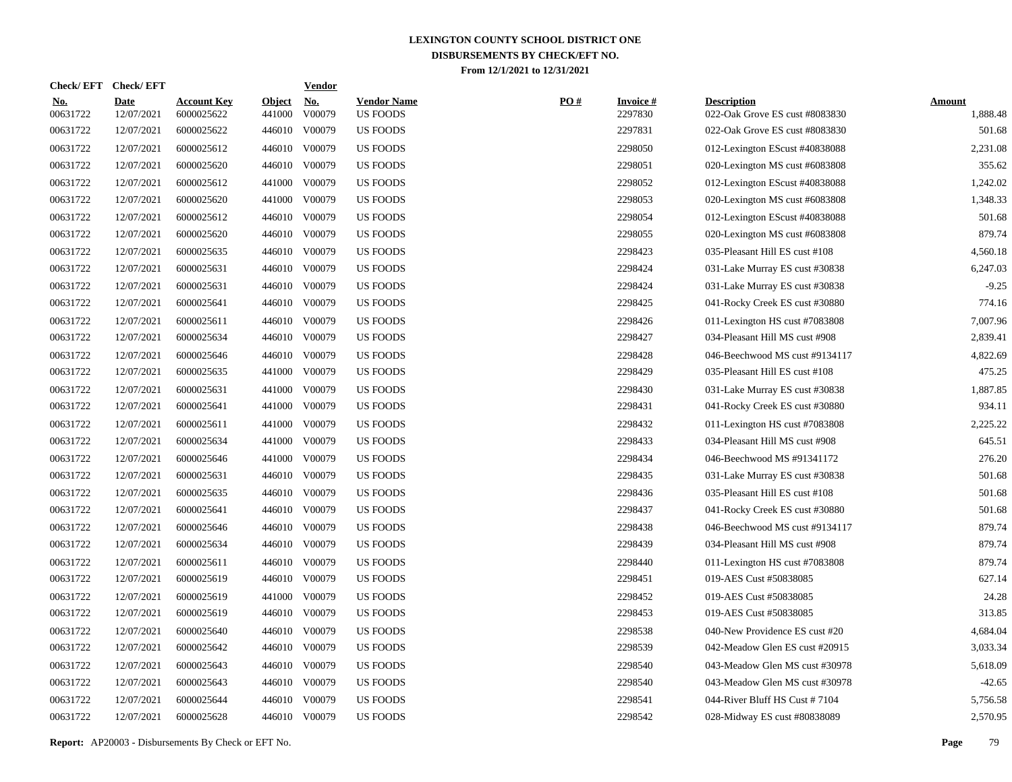| Check/EFT Check/EFT    |                           |                                  |                         | <b>Vendor</b> |                                       |     |                            |                                                      |                           |
|------------------------|---------------------------|----------------------------------|-------------------------|---------------|---------------------------------------|-----|----------------------------|------------------------------------------------------|---------------------------|
| <u>No.</u><br>00631722 | <b>Date</b><br>12/07/2021 | <b>Account Key</b><br>6000025622 | <b>Object</b><br>441000 | No.<br>V00079 | <b>Vendor Name</b><br><b>US FOODS</b> | PO# | <b>Invoice#</b><br>2297830 | <b>Description</b><br>022-Oak Grove ES cust #8083830 | <b>Amount</b><br>1,888.48 |
| 00631722               | 12/07/2021                | 6000025622                       | 446010                  | V00079        | <b>US FOODS</b>                       |     | 2297831                    | 022-Oak Grove ES cust #8083830                       | 501.68                    |
| 00631722               | 12/07/2021                | 6000025612                       | 446010                  | V00079        | <b>US FOODS</b>                       |     | 2298050                    | 012-Lexington EScust #40838088                       | 2,231.08                  |
| 00631722               | 12/07/2021                | 6000025620                       | 446010                  | V00079        | <b>US FOODS</b>                       |     | 2298051                    | 020-Lexington MS cust #6083808                       | 355.62                    |
| 00631722               | 12/07/2021                | 6000025612                       | 441000                  | V00079        | <b>US FOODS</b>                       |     | 2298052                    | 012-Lexington EScust #40838088                       | 1,242.02                  |
| 00631722               | 12/07/2021                | 6000025620                       | 441000                  | V00079        | <b>US FOODS</b>                       |     | 2298053                    | 020-Lexington MS cust #6083808                       | 1,348.33                  |
| 00631722               | 12/07/2021                | 6000025612                       |                         | 446010 V00079 | <b>US FOODS</b>                       |     | 2298054                    | 012-Lexington EScust #40838088                       | 501.68                    |
| 00631722               | 12/07/2021                | 6000025620                       | 446010                  | V00079        | <b>US FOODS</b>                       |     | 2298055                    | 020-Lexington MS cust #6083808                       | 879.74                    |
| 00631722               | 12/07/2021                | 6000025635                       | 446010                  | V00079        | <b>US FOODS</b>                       |     | 2298423                    | 035-Pleasant Hill ES cust #108                       | 4,560.18                  |
| 00631722               | 12/07/2021                | 6000025631                       | 446010                  | V00079        | <b>US FOODS</b>                       |     | 2298424                    | 031-Lake Murray ES cust #30838                       | 6,247.03                  |
| 00631722               | 12/07/2021                | 6000025631                       | 446010                  | V00079        | <b>US FOODS</b>                       |     | 2298424                    | 031-Lake Murray ES cust #30838                       | $-9.25$                   |
| 00631722               | 12/07/2021                | 6000025641                       | 446010                  | V00079        | <b>US FOODS</b>                       |     | 2298425                    | 041-Rocky Creek ES cust #30880                       | 774.16                    |
| 00631722               | 12/07/2021                | 6000025611                       | 446010                  | V00079        | <b>US FOODS</b>                       |     | 2298426                    | 011-Lexington HS cust #7083808                       | 7,007.96                  |
| 00631722               | 12/07/2021                | 6000025634                       | 446010                  | V00079        | <b>US FOODS</b>                       |     | 2298427                    | 034-Pleasant Hill MS cust #908                       | 2,839.41                  |
| 00631722               | 12/07/2021                | 6000025646                       | 446010                  | V00079        | <b>US FOODS</b>                       |     | 2298428                    | 046-Beechwood MS cust #9134117                       | 4,822.69                  |
| 00631722               | 12/07/2021                | 6000025635                       | 441000                  | V00079        | <b>US FOODS</b>                       |     | 2298429                    | 035-Pleasant Hill ES cust #108                       | 475.25                    |
| 00631722               | 12/07/2021                | 6000025631                       | 441000                  | V00079        | <b>US FOODS</b>                       |     | 2298430                    | 031-Lake Murray ES cust #30838                       | 1,887.85                  |
| 00631722               | 12/07/2021                | 6000025641                       | 441000                  | V00079        | <b>US FOODS</b>                       |     | 2298431                    | 041-Rocky Creek ES cust #30880                       | 934.11                    |
| 00631722               | 12/07/2021                | 6000025611                       | 441000                  | V00079        | <b>US FOODS</b>                       |     | 2298432                    | 011-Lexington HS cust #7083808                       | 2,225.22                  |
| 00631722               | 12/07/2021                | 6000025634                       | 441000                  | V00079        | <b>US FOODS</b>                       |     | 2298433                    | 034-Pleasant Hill MS cust #908                       | 645.51                    |
| 00631722               | 12/07/2021                | 6000025646                       | 441000                  | V00079        | <b>US FOODS</b>                       |     | 2298434                    | 046-Beechwood MS #91341172                           | 276.20                    |
| 00631722               | 12/07/2021                | 6000025631                       | 446010                  | V00079        | <b>US FOODS</b>                       |     | 2298435                    | 031-Lake Murray ES cust #30838                       | 501.68                    |
| 00631722               | 12/07/2021                | 6000025635                       | 446010                  | V00079        | <b>US FOODS</b>                       |     | 2298436                    | 035-Pleasant Hill ES cust #108                       | 501.68                    |
| 00631722               | 12/07/2021                | 6000025641                       | 446010                  | V00079        | <b>US FOODS</b>                       |     | 2298437                    | 041-Rocky Creek ES cust #30880                       | 501.68                    |
| 00631722               | 12/07/2021                | 6000025646                       | 446010                  | V00079        | <b>US FOODS</b>                       |     | 2298438                    | 046-Beechwood MS cust #9134117                       | 879.74                    |
| 00631722               | 12/07/2021                | 6000025634                       | 446010                  | V00079        | <b>US FOODS</b>                       |     | 2298439                    | 034-Pleasant Hill MS cust #908                       | 879.74                    |
| 00631722               | 12/07/2021                | 6000025611                       | 446010                  | V00079        | <b>US FOODS</b>                       |     | 2298440                    | 011-Lexington HS cust #7083808                       | 879.74                    |
| 00631722               | 12/07/2021                | 6000025619                       | 446010                  | V00079        | <b>US FOODS</b>                       |     | 2298451                    | 019-AES Cust #50838085                               | 627.14                    |
| 00631722               | 12/07/2021                | 6000025619                       | 441000                  | V00079        | US FOODS                              |     | 2298452                    | 019-AES Cust #50838085                               | 24.28                     |
| 00631722               | 12/07/2021                | 6000025619                       |                         | 446010 V00079 | <b>US FOODS</b>                       |     | 2298453                    | 019-AES Cust #50838085                               | 313.85                    |
| 00631722               | 12/07/2021                | 6000025640                       | 446010                  | V00079        | <b>US FOODS</b>                       |     | 2298538                    | 040-New Providence ES cust #20                       | 4,684.04                  |
| 00631722               | 12/07/2021                | 6000025642                       |                         | 446010 V00079 | <b>US FOODS</b>                       |     | 2298539                    | 042-Meadow Glen ES cust #20915                       | 3,033.34                  |
| 00631722               | 12/07/2021                | 6000025643                       |                         | 446010 V00079 | <b>US FOODS</b>                       |     | 2298540                    | 043-Meadow Glen MS cust #30978                       | 5,618.09                  |
| 00631722               | 12/07/2021                | 6000025643                       |                         | 446010 V00079 | <b>US FOODS</b>                       |     | 2298540                    | 043-Meadow Glen MS cust #30978                       | $-42.65$                  |
| 00631722               | 12/07/2021                | 6000025644                       | 446010                  | V00079        | <b>US FOODS</b>                       |     | 2298541                    | 044-River Bluff HS Cust #7104                        | 5,756.58                  |
| 00631722               | 12/07/2021                | 6000025628                       |                         | 446010 V00079 | <b>US FOODS</b>                       |     | 2298542                    | 028-Midway ES cust #80838089                         | 2,570.95                  |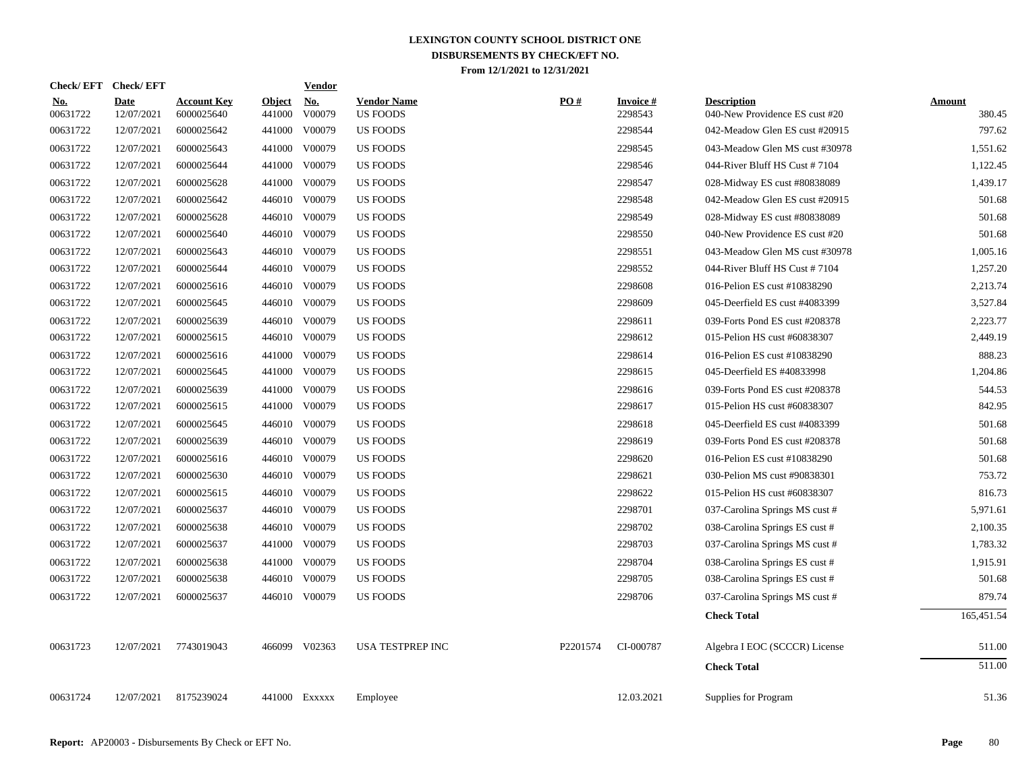| Check/EFT Check/EFT    |                           |                                  |                         | <b>Vendor</b>        |                                       |          |                            |                                                      |                         |
|------------------------|---------------------------|----------------------------------|-------------------------|----------------------|---------------------------------------|----------|----------------------------|------------------------------------------------------|-------------------------|
| <u>No.</u><br>00631722 | <b>Date</b><br>12/07/2021 | <b>Account Key</b><br>6000025640 | <b>Object</b><br>441000 | <u>No.</u><br>V00079 | <b>Vendor Name</b><br><b>US FOODS</b> | PQ#      | <b>Invoice#</b><br>2298543 | <b>Description</b><br>040-New Providence ES cust #20 | <b>Amount</b><br>380.45 |
| 00631722               | 12/07/2021                | 6000025642                       | 441000                  | V00079               | US FOODS                              |          | 2298544                    | 042-Meadow Glen ES cust #20915                       | 797.62                  |
| 00631722               | 12/07/2021                | 6000025643                       | 441000                  | V00079               | US FOODS                              |          | 2298545                    | 043-Meadow Glen MS cust #30978                       | 1,551.62                |
| 00631722               | 12/07/2021                | 6000025644                       | 441000                  | V00079               | US FOODS                              |          | 2298546                    | 044-River Bluff HS Cust #7104                        | 1,122.45                |
| 00631722               | 12/07/2021                | 6000025628                       | 441000                  | V00079               | US FOODS                              |          | 2298547                    | 028-Midway ES cust #80838089                         | 1,439.17                |
| 00631722               | 12/07/2021                | 6000025642                       |                         | 446010 V00079        | US FOODS                              |          | 2298548                    | 042-Meadow Glen ES cust #20915                       | 501.68                  |
| 00631722               | 12/07/2021                | 6000025628                       | 446010                  | V00079               | <b>US FOODS</b>                       |          | 2298549                    | 028-Midway ES cust #80838089                         | 501.68                  |
| 00631722               | 12/07/2021                | 6000025640                       |                         | 446010 V00079        | <b>US FOODS</b>                       |          | 2298550                    | 040-New Providence ES cust #20                       | 501.68                  |
| 00631722               | 12/07/2021                | 6000025643                       |                         | 446010 V00079        | <b>US FOODS</b>                       |          | 2298551                    | 043-Meadow Glen MS cust #30978                       | 1,005.16                |
| 00631722               | 12/07/2021                | 6000025644                       |                         | 446010 V00079        | <b>US FOODS</b>                       |          | 2298552                    | 044-River Bluff HS Cust #7104                        | 1,257.20                |
| 00631722               | 12/07/2021                | 6000025616                       |                         | 446010 V00079        | <b>US FOODS</b>                       |          | 2298608                    | 016-Pelion ES cust #10838290                         | 2,213.74                |
| 00631722               | 12/07/2021                | 6000025645                       |                         | 446010 V00079        | <b>US FOODS</b>                       |          | 2298609                    | 045-Deerfield ES cust #4083399                       | 3,527.84                |
| 00631722               | 12/07/2021                | 6000025639                       |                         | 446010 V00079        | <b>US FOODS</b>                       |          | 2298611                    | 039-Forts Pond ES cust #208378                       | 2,223.77                |
| 00631722               | 12/07/2021                | 6000025615                       |                         | 446010 V00079        | <b>US FOODS</b>                       |          | 2298612                    | 015-Pelion HS cust #60838307                         | 2,449.19                |
| 00631722               | 12/07/2021                | 6000025616                       |                         | 441000 V00079        | <b>US FOODS</b>                       |          | 2298614                    | 016-Pelion ES cust #10838290                         | 888.23                  |
| 00631722               | 12/07/2021                | 6000025645                       | 441000                  | V00079               | <b>US FOODS</b>                       |          | 2298615                    | 045-Deerfield ES #40833998                           | 1,204.86                |
| 00631722               | 12/07/2021                | 6000025639                       |                         | 441000 V00079        | <b>US FOODS</b>                       |          | 2298616                    | 039-Forts Pond ES cust #208378                       | 544.53                  |
| 00631722               | 12/07/2021                | 6000025615                       |                         | 441000 V00079        | <b>US FOODS</b>                       |          | 2298617                    | 015-Pelion HS cust #60838307                         | 842.95                  |
| 00631722               | 12/07/2021                | 6000025645                       |                         | 446010 V00079        | <b>US FOODS</b>                       |          | 2298618                    | 045-Deerfield ES cust #4083399                       | 501.68                  |
| 00631722               | 12/07/2021                | 6000025639                       |                         | 446010 V00079        | <b>US FOODS</b>                       |          | 2298619                    | 039-Forts Pond ES cust #208378                       | 501.68                  |
| 00631722               | 12/07/2021                | 6000025616                       |                         | 446010 V00079        | US FOODS                              |          | 2298620                    | 016-Pelion ES cust #10838290                         | 501.68                  |
| 00631722               | 12/07/2021                | 6000025630                       |                         | 446010 V00079        | US FOODS                              |          | 2298621                    | 030-Pelion MS cust #90838301                         | 753.72                  |
| 00631722               | 12/07/2021                | 6000025615                       |                         | 446010 V00079        | US FOODS                              |          | 2298622                    | 015-Pelion HS cust #60838307                         | 816.73                  |
| 00631722               | 12/07/2021                | 6000025637                       |                         | 446010 V00079        | US FOODS                              |          | 2298701                    | 037-Carolina Springs MS cust #                       | 5,971.61                |
| 00631722               | 12/07/2021                | 6000025638                       |                         | 446010 V00079        | <b>US FOODS</b>                       |          | 2298702                    | 038-Carolina Springs ES cust #                       | 2,100.35                |
| 00631722               | 12/07/2021                | 6000025637                       |                         | 441000 V00079        | US FOODS                              |          | 2298703                    | 037-Carolina Springs MS cust #                       | 1,783.32                |
| 00631722               | 12/07/2021                | 6000025638                       |                         | 441000 V00079        | <b>US FOODS</b>                       |          | 2298704                    | 038-Carolina Springs ES cust #                       | 1,915.91                |
| 00631722               | 12/07/2021                | 6000025638                       |                         | 446010 V00079        | <b>US FOODS</b>                       |          | 2298705                    | 038-Carolina Springs ES cust #                       | 501.68                  |
| 00631722               | 12/07/2021                | 6000025637                       |                         | 446010 V00079        | <b>US FOODS</b>                       |          | 2298706                    | 037-Carolina Springs MS cust #                       | 879.74                  |
|                        |                           |                                  |                         |                      |                                       |          |                            | <b>Check Total</b>                                   | 165,451.54              |
| 00631723               | 12/07/2021                | 7743019043                       |                         | 466099 V02363        | <b>USA TESTPREP INC</b>               | P2201574 | CI-000787                  | Algebra I EOC (SCCCR) License                        | 511.00                  |
|                        |                           |                                  |                         |                      |                                       |          |                            | <b>Check Total</b>                                   | 511.00                  |
| 00631724               | 12/07/2021                | 8175239024                       |                         | 441000 Exxxxx        | Employee                              |          | 12.03.2021                 | Supplies for Program                                 | 51.36                   |
|                        |                           |                                  |                         |                      |                                       |          |                            |                                                      |                         |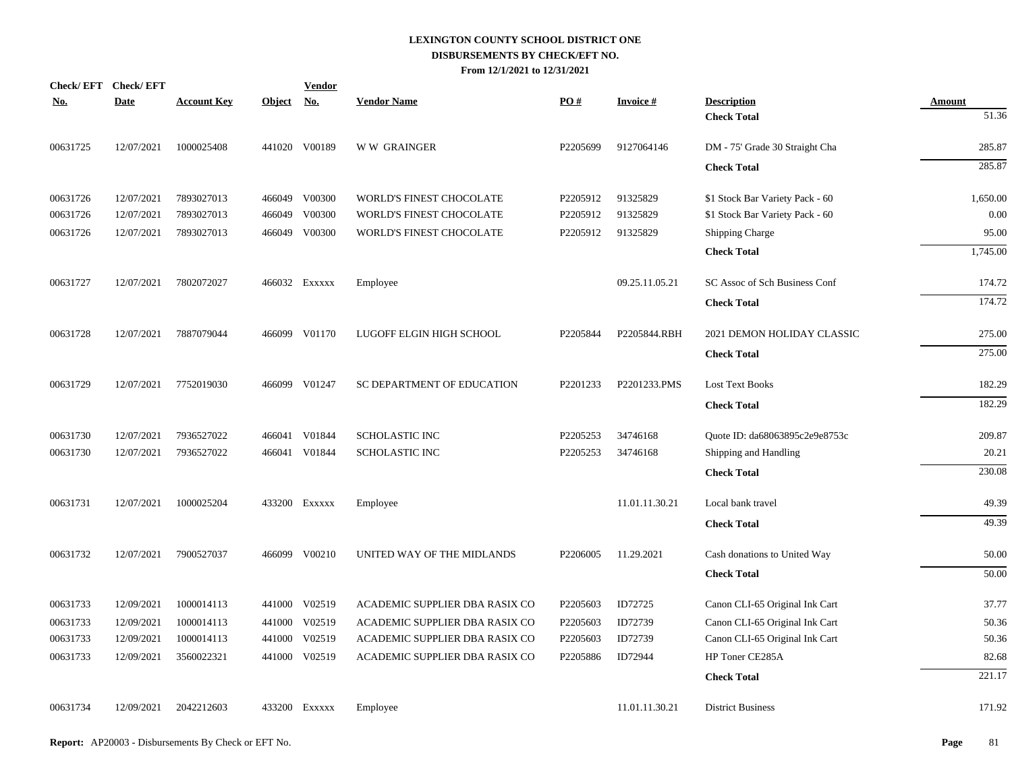|            | Check/EFT Check/EFT |                    |               | <b>Vendor</b> |                                |          |                 |                                 |               |
|------------|---------------------|--------------------|---------------|---------------|--------------------------------|----------|-----------------|---------------------------------|---------------|
| <u>No.</u> | <b>Date</b>         | <b>Account Key</b> | <b>Object</b> | <u>No.</u>    | <b>Vendor Name</b>             | PO#      | <b>Invoice#</b> | <b>Description</b>              | <b>Amount</b> |
|            |                     |                    |               |               |                                |          |                 | <b>Check Total</b>              | 51.36         |
| 00631725   | 12/07/2021          | 1000025408         |               | 441020 V00189 | <b>WW GRAINGER</b>             | P2205699 | 9127064146      | DM - 75' Grade 30 Straight Cha  | 285.87        |
|            |                     |                    |               |               |                                |          |                 | <b>Check Total</b>              | 285.87        |
| 00631726   | 12/07/2021          | 7893027013         |               | 466049 V00300 | WORLD'S FINEST CHOCOLATE       | P2205912 | 91325829        | \$1 Stock Bar Variety Pack - 60 | 1,650.00      |
| 00631726   | 12/07/2021          | 7893027013         |               | 466049 V00300 | WORLD'S FINEST CHOCOLATE       | P2205912 | 91325829        | \$1 Stock Bar Variety Pack - 60 | 0.00          |
| 00631726   | 12/07/2021          | 7893027013         |               | 466049 V00300 | WORLD'S FINEST CHOCOLATE       | P2205912 | 91325829        | <b>Shipping Charge</b>          | 95.00         |
|            |                     |                    |               |               |                                |          |                 | <b>Check Total</b>              | 1,745.00      |
| 00631727   | 12/07/2021          | 7802072027         |               | 466032 Exxxxx | Employee                       |          | 09.25.11.05.21  | SC Assoc of Sch Business Conf   | 174.72        |
|            |                     |                    |               |               |                                |          |                 | <b>Check Total</b>              | 174.72        |
| 00631728   | 12/07/2021          | 7887079044         |               | 466099 V01170 | LUGOFF ELGIN HIGH SCHOOL       | P2205844 | P2205844.RBH    | 2021 DEMON HOLIDAY CLASSIC      | 275.00        |
|            |                     |                    |               |               |                                |          |                 | <b>Check Total</b>              | 275.00        |
| 00631729   | 12/07/2021          | 7752019030         |               | 466099 V01247 | SC DEPARTMENT OF EDUCATION     | P2201233 | P2201233.PMS    | <b>Lost Text Books</b>          | 182.29        |
|            |                     |                    |               |               |                                |          |                 | <b>Check Total</b>              | 182.29        |
| 00631730   | 12/07/2021          | 7936527022         |               | 466041 V01844 | <b>SCHOLASTIC INC</b>          | P2205253 | 34746168        | Quote ID: da68063895c2e9e8753c  | 209.87        |
| 00631730   | 12/07/2021          | 7936527022         |               | 466041 V01844 | <b>SCHOLASTIC INC</b>          | P2205253 | 34746168        | Shipping and Handling           | 20.21         |
|            |                     |                    |               |               |                                |          |                 | <b>Check Total</b>              | 230.08        |
| 00631731   | 12/07/2021          | 1000025204         |               | 433200 EXXXXX | Employee                       |          | 11.01.11.30.21  | Local bank travel               | 49.39         |
|            |                     |                    |               |               |                                |          |                 | <b>Check Total</b>              | 49.39         |
| 00631732   | 12/07/2021          | 7900527037         |               | 466099 V00210 | UNITED WAY OF THE MIDLANDS     | P2206005 | 11.29.2021      | Cash donations to United Way    | 50.00         |
|            |                     |                    |               |               |                                |          |                 | <b>Check Total</b>              | 50.00         |
| 00631733   | 12/09/2021          | 1000014113         |               | 441000 V02519 | ACADEMIC SUPPLIER DBA RASIX CO | P2205603 | ID72725         | Canon CLI-65 Original Ink Cart  | 37.77         |
| 00631733   | 12/09/2021          | 1000014113         |               | 441000 V02519 | ACADEMIC SUPPLIER DBA RASIX CO | P2205603 | ID72739         | Canon CLI-65 Original Ink Cart  | 50.36         |
| 00631733   | 12/09/2021          | 1000014113         | 441000        | V02519        | ACADEMIC SUPPLIER DBA RASIX CO | P2205603 | ID72739         | Canon CLI-65 Original Ink Cart  | 50.36         |
| 00631733   | 12/09/2021          | 3560022321         |               | 441000 V02519 | ACADEMIC SUPPLIER DBA RASIX CO | P2205886 | ID72944         | HP Toner CE285A                 | 82.68         |
|            |                     |                    |               |               |                                |          |                 | <b>Check Total</b>              | 221.17        |
| 00631734   | 12/09/2021          | 2042212603         |               | 433200 EXXXXX | Employee                       |          | 11.01.11.30.21  | <b>District Business</b>        | 171.92        |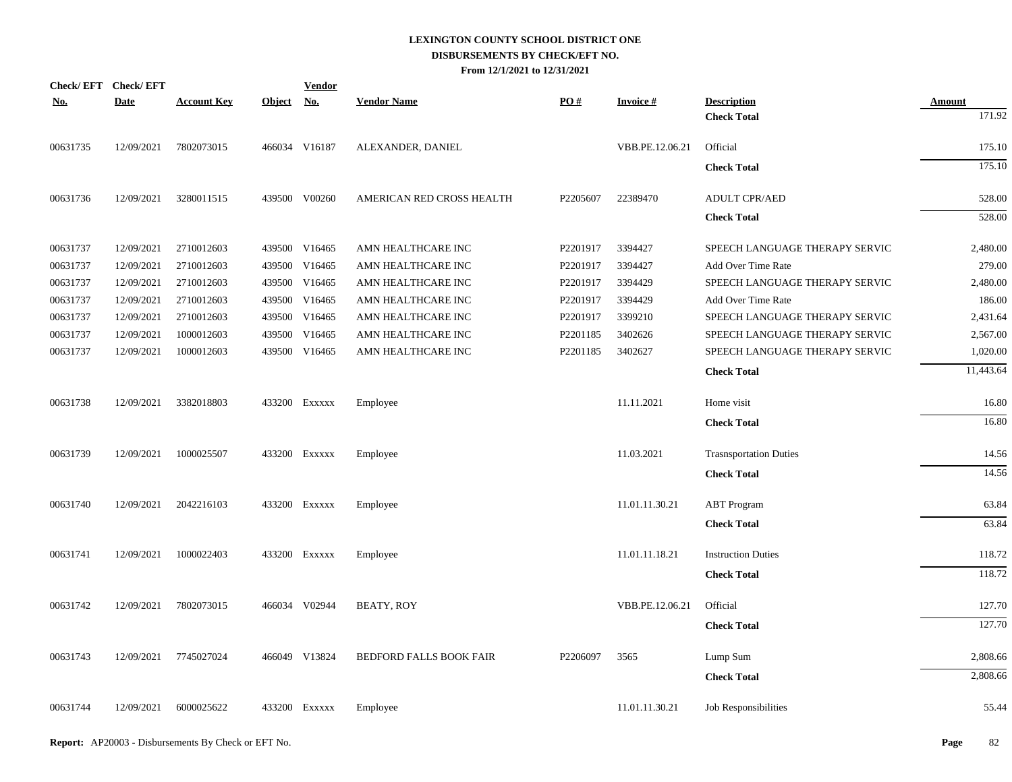| <b>Check/EFT</b> | <b>Check/EFT</b> |                    |            | <b>Vendor</b> |                                |          |                 |                                |               |
|------------------|------------------|--------------------|------------|---------------|--------------------------------|----------|-----------------|--------------------------------|---------------|
| <u>No.</u>       | <b>Date</b>      | <b>Account Key</b> | Object No. |               | <b>Vendor Name</b>             | PO#      | <b>Invoice#</b> | <b>Description</b>             | <b>Amount</b> |
|                  |                  |                    |            |               |                                |          |                 | <b>Check Total</b>             | 171.92        |
| 00631735         | 12/09/2021       | 7802073015         |            | 466034 V16187 | ALEXANDER, DANIEL              |          | VBB.PE.12.06.21 | Official                       | 175.10        |
|                  |                  |                    |            |               |                                |          |                 | <b>Check Total</b>             | 175.10        |
| 00631736         | 12/09/2021       | 3280011515         |            | 439500 V00260 | AMERICAN RED CROSS HEALTH      | P2205607 | 22389470        | <b>ADULT CPR/AED</b>           | 528.00        |
|                  |                  |                    |            |               |                                |          |                 | <b>Check Total</b>             | 528.00        |
| 00631737         | 12/09/2021       | 2710012603         |            | 439500 V16465 | AMN HEALTHCARE INC             | P2201917 | 3394427         | SPEECH LANGUAGE THERAPY SERVIC | 2,480.00      |
| 00631737         | 12/09/2021       | 2710012603         |            | 439500 V16465 | AMN HEALTHCARE INC             | P2201917 | 3394427         | Add Over Time Rate             | 279.00        |
| 00631737         | 12/09/2021       | 2710012603         |            | 439500 V16465 | AMN HEALTHCARE INC             | P2201917 | 3394429         | SPEECH LANGUAGE THERAPY SERVIC | 2,480.00      |
| 00631737         | 12/09/2021       | 2710012603         |            | 439500 V16465 | AMN HEALTHCARE INC             | P2201917 | 3394429         | Add Over Time Rate             | 186.00        |
| 00631737         | 12/09/2021       | 2710012603         |            | 439500 V16465 | AMN HEALTHCARE INC             | P2201917 | 3399210         | SPEECH LANGUAGE THERAPY SERVIC | 2,431.64      |
| 00631737         | 12/09/2021       | 1000012603         |            | 439500 V16465 | AMN HEALTHCARE INC             | P2201185 | 3402626         | SPEECH LANGUAGE THERAPY SERVIC | 2,567.00      |
| 00631737         | 12/09/2021       | 1000012603         |            | 439500 V16465 | AMN HEALTHCARE INC             | P2201185 | 3402627         | SPEECH LANGUAGE THERAPY SERVIC | 1,020.00      |
|                  |                  |                    |            |               |                                |          |                 | <b>Check Total</b>             | 11,443.64     |
| 00631738         | 12/09/2021       | 3382018803         |            | 433200 EXXXXX | Employee                       |          | 11.11.2021      | Home visit                     | 16.80         |
|                  |                  |                    |            |               |                                |          |                 | <b>Check Total</b>             | 16.80         |
| 00631739         | 12/09/2021       | 1000025507         |            | 433200 Exxxxx | Employee                       |          | 11.03.2021      | <b>Trasnsportation Duties</b>  | 14.56         |
|                  |                  |                    |            |               |                                |          |                 | <b>Check Total</b>             | 14.56         |
| 00631740         | 12/09/2021       | 2042216103         |            | 433200 Exxxxx | Employee                       |          | 11.01.11.30.21  | <b>ABT</b> Program             | 63.84         |
|                  |                  |                    |            |               |                                |          |                 | <b>Check Total</b>             | 63.84         |
| 00631741         | 12/09/2021       | 1000022403         |            | 433200 Exxxxx | Employee                       |          | 11.01.11.18.21  | <b>Instruction Duties</b>      | 118.72        |
|                  |                  |                    |            |               |                                |          |                 | <b>Check Total</b>             | 118.72        |
| 00631742         | 12/09/2021       | 7802073015         |            | 466034 V02944 | <b>BEATY, ROY</b>              |          | VBB.PE.12.06.21 | Official                       | 127.70        |
|                  |                  |                    |            |               |                                |          |                 | <b>Check Total</b>             | 127.70        |
| 00631743         | 12/09/2021       | 7745027024         |            | 466049 V13824 | <b>BEDFORD FALLS BOOK FAIR</b> | P2206097 | 3565            | Lump Sum                       | 2,808.66      |
|                  |                  |                    |            |               |                                |          |                 | <b>Check Total</b>             | 2,808.66      |
| 00631744         | 12/09/2021       | 6000025622         |            | 433200 Exxxxx | Employee                       |          | 11.01.11.30.21  | <b>Job Responsibilities</b>    | 55.44         |
|                  |                  |                    |            |               |                                |          |                 |                                |               |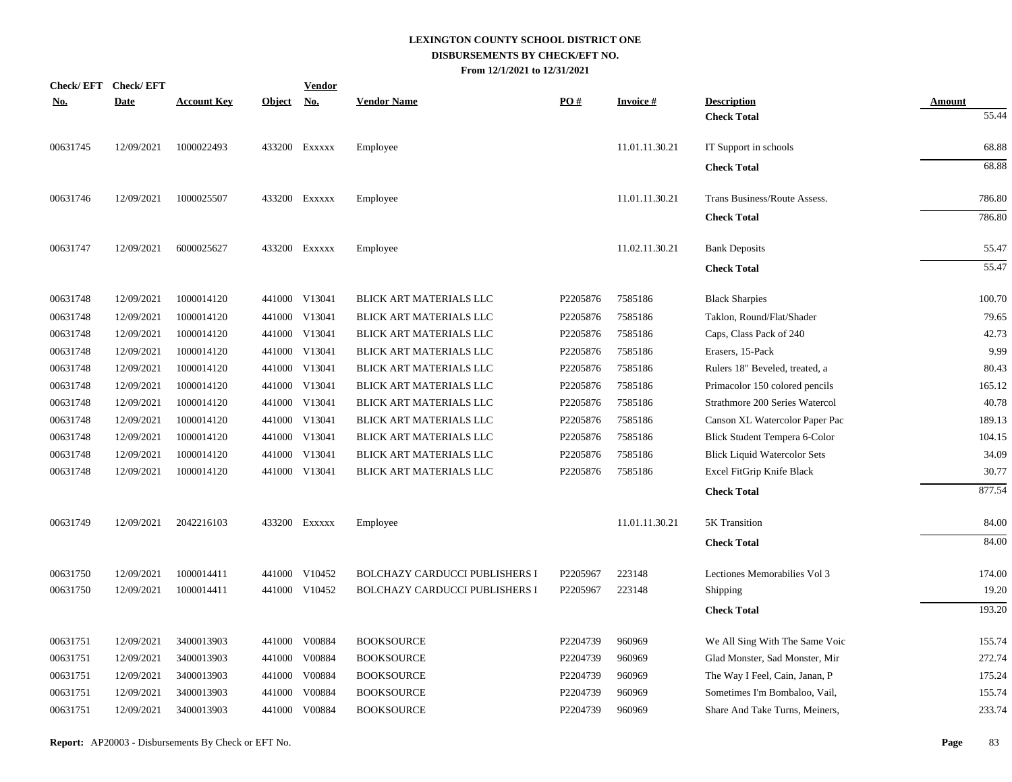| <b>Check/EFT</b> | <b>Check/EFT</b> |                    |               | <b>Vendor</b>             |                                       |          |                 |                                     |               |
|------------------|------------------|--------------------|---------------|---------------------------|---------------------------------------|----------|-----------------|-------------------------------------|---------------|
| <b>No.</b>       | <b>Date</b>      | <b>Account Key</b> | <u>Object</u> | $\underline{\mathrm{No}}$ | <b>Vendor Name</b>                    | PO#      | <b>Invoice#</b> | <b>Description</b>                  | <b>Amount</b> |
|                  |                  |                    |               |                           |                                       |          |                 | <b>Check Total</b>                  | 55.44         |
| 00631745         | 12/09/2021       | 1000022493         |               | 433200 EXXXXX             | Employee                              |          | 11.01.11.30.21  | IT Support in schools               | 68.88         |
|                  |                  |                    |               |                           |                                       |          |                 | <b>Check Total</b>                  | 68.88         |
| 00631746         | 12/09/2021       | 1000025507         |               | 433200 EXXXXX             | Employee                              |          | 11.01.11.30.21  | Trans Business/Route Assess.        | 786.80        |
|                  |                  |                    |               |                           |                                       |          |                 | <b>Check Total</b>                  | 786.80        |
| 00631747         | 12/09/2021       | 6000025627         |               | 433200 Exxxxx             | Employee                              |          | 11.02.11.30.21  | <b>Bank Deposits</b>                | 55.47         |
|                  |                  |                    |               |                           |                                       |          |                 | <b>Check Total</b>                  | 55.47         |
| 00631748         | 12/09/2021       | 1000014120         |               | 441000 V13041             | BLICK ART MATERIALS LLC               | P2205876 | 7585186         | <b>Black Sharpies</b>               | 100.70        |
| 00631748         | 12/09/2021       | 1000014120         |               | 441000 V13041             | BLICK ART MATERIALS LLC               | P2205876 | 7585186         | Taklon, Round/Flat/Shader           | 79.65         |
| 00631748         | 12/09/2021       | 1000014120         |               | 441000 V13041             | BLICK ART MATERIALS LLC               | P2205876 | 7585186         | Caps, Class Pack of 240             | 42.73         |
| 00631748         | 12/09/2021       | 1000014120         |               | 441000 V13041             | BLICK ART MATERIALS LLC               | P2205876 | 7585186         | Erasers, 15-Pack                    | 9.99          |
| 00631748         | 12/09/2021       | 1000014120         |               | 441000 V13041             | BLICK ART MATERIALS LLC               | P2205876 | 7585186         | Rulers 18" Beveled, treated, a      | 80.43         |
| 00631748         | 12/09/2021       | 1000014120         |               | 441000 V13041             | BLICK ART MATERIALS LLC               | P2205876 | 7585186         | Primacolor 150 colored pencils      | 165.12        |
| 00631748         | 12/09/2021       | 1000014120         |               | 441000 V13041             | BLICK ART MATERIALS LLC               | P2205876 | 7585186         | Strathmore 200 Series Watercol      | 40.78         |
| 00631748         | 12/09/2021       | 1000014120         |               | 441000 V13041             | BLICK ART MATERIALS LLC               | P2205876 | 7585186         | Canson XL Watercolor Paper Pac      | 189.13        |
| 00631748         | 12/09/2021       | 1000014120         |               | 441000 V13041             | BLICK ART MATERIALS LLC               | P2205876 | 7585186         | Blick Student Tempera 6-Color       | 104.15        |
| 00631748         | 12/09/2021       | 1000014120         |               | 441000 V13041             | BLICK ART MATERIALS LLC               | P2205876 | 7585186         | <b>Blick Liquid Watercolor Sets</b> | 34.09         |
| 00631748         | 12/09/2021       | 1000014120         |               | 441000 V13041             | BLICK ART MATERIALS LLC               | P2205876 | 7585186         | Excel FitGrip Knife Black           | 30.77         |
|                  |                  |                    |               |                           |                                       |          |                 | <b>Check Total</b>                  | 877.54        |
| 00631749         | 12/09/2021       | 2042216103         |               | 433200 EXXXXX             | Employee                              |          | 11.01.11.30.21  | 5K Transition                       | 84.00         |
|                  |                  |                    |               |                           |                                       |          |                 | <b>Check Total</b>                  | 84.00         |
| 00631750         | 12/09/2021       | 1000014411         |               | 441000 V10452             | <b>BOLCHAZY CARDUCCI PUBLISHERS I</b> | P2205967 | 223148          | Lectiones Memorabilies Vol 3        | 174.00        |
| 00631750         | 12/09/2021       | 1000014411         |               | 441000 V10452             | <b>BOLCHAZY CARDUCCI PUBLISHERS I</b> | P2205967 | 223148          | Shipping                            | 19.20         |
|                  |                  |                    |               |                           |                                       |          |                 | <b>Check Total</b>                  | 193.20        |
| 00631751         | 12/09/2021       | 3400013903         |               | 441000 V00884             | <b>BOOKSOURCE</b>                     | P2204739 | 960969          | We All Sing With The Same Voic      | 155.74        |
| 00631751         | 12/09/2021       | 3400013903         |               | 441000 V00884             | <b>BOOKSOURCE</b>                     | P2204739 | 960969          | Glad Monster, Sad Monster, Mir      | 272.74        |
| 00631751         | 12/09/2021       | 3400013903         |               | 441000 V00884             | <b>BOOKSOURCE</b>                     | P2204739 | 960969          | The Way I Feel, Cain, Janan, P      | 175.24        |
| 00631751         | 12/09/2021       | 3400013903         | 441000        | V00884                    | <b>BOOKSOURCE</b>                     | P2204739 | 960969          | Sometimes I'm Bombaloo, Vail,       | 155.74        |
| 00631751         | 12/09/2021       | 3400013903         |               | 441000 V00884             | <b>BOOKSOURCE</b>                     | P2204739 | 960969          | Share And Take Turns, Meiners,      | 233.74        |
|                  |                  |                    |               |                           |                                       |          |                 |                                     |               |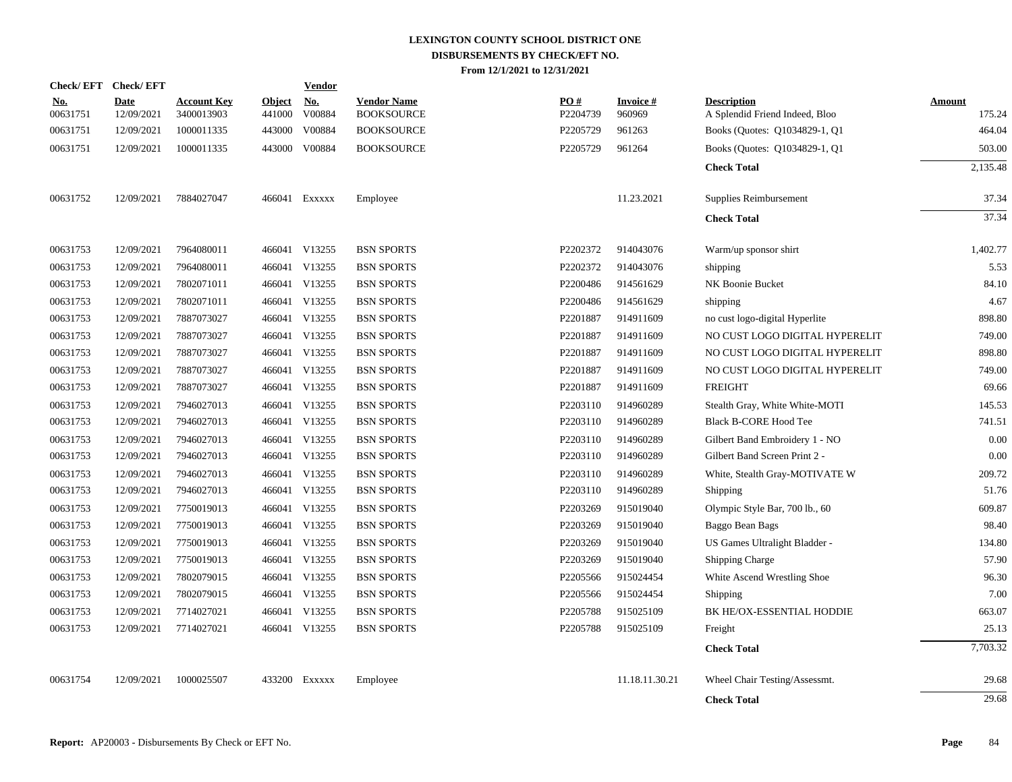| Check/EFT Check/EFT    |                           |                                  |                         | <b>Vendor</b>        |                                         |                 |                           |                                                      |                         |
|------------------------|---------------------------|----------------------------------|-------------------------|----------------------|-----------------------------------------|-----------------|---------------------------|------------------------------------------------------|-------------------------|
| <u>No.</u><br>00631751 | <b>Date</b><br>12/09/2021 | <b>Account Key</b><br>3400013903 | <b>Object</b><br>441000 | <u>No.</u><br>V00884 | <b>Vendor Name</b><br><b>BOOKSOURCE</b> | PO#<br>P2204739 | <b>Invoice#</b><br>960969 | <b>Description</b><br>A Splendid Friend Indeed, Bloo | <b>Amount</b><br>175.24 |
| 00631751               | 12/09/2021                | 1000011335                       |                         | 443000 V00884        | <b>BOOKSOURCE</b>                       | P2205729        | 961263                    | Books (Quotes: Q1034829-1, Q1                        | 464.04                  |
| 00631751               | 12/09/2021                | 1000011335                       |                         | 443000 V00884        | <b>BOOKSOURCE</b>                       | P2205729        | 961264                    | Books (Quotes: Q1034829-1, Q1                        | 503.00                  |
|                        |                           |                                  |                         |                      |                                         |                 |                           | <b>Check Total</b>                                   | 2,135.48                |
| 00631752               | 12/09/2021                | 7884027047                       |                         | 466041 Exxxxx        | Employee                                |                 | 11.23.2021                | Supplies Reimbursement                               | 37.34                   |
|                        |                           |                                  |                         |                      |                                         |                 |                           | <b>Check Total</b>                                   | 37.34                   |
| 00631753               | 12/09/2021                | 7964080011                       |                         | 466041 V13255        | <b>BSN SPORTS</b>                       | P2202372        | 914043076                 | Warm/up sponsor shirt                                | 1,402.77                |
| 00631753               | 12/09/2021                | 7964080011                       |                         | 466041 V13255        | <b>BSN SPORTS</b>                       | P2202372        | 914043076                 | shipping                                             | 5.53                    |
| 00631753               | 12/09/2021                | 7802071011                       |                         | 466041 V13255        | <b>BSN SPORTS</b>                       | P2200486        | 914561629                 | NK Boonie Bucket                                     | 84.10                   |
| 00631753               | 12/09/2021                | 7802071011                       |                         | 466041 V13255        | <b>BSN SPORTS</b>                       | P2200486        | 914561629                 | shipping                                             | 4.67                    |
| 00631753               | 12/09/2021                | 7887073027                       |                         | 466041 V13255        | <b>BSN SPORTS</b>                       | P2201887        | 914911609                 | no cust logo-digital Hyperlite                       | 898.80                  |
| 00631753               | 12/09/2021                | 7887073027                       |                         | 466041 V13255        | <b>BSN SPORTS</b>                       | P2201887        | 914911609                 | NO CUST LOGO DIGITAL HYPERELIT                       | 749.00                  |
| 00631753               | 12/09/2021                | 7887073027                       |                         | 466041 V13255        | <b>BSN SPORTS</b>                       | P2201887        | 914911609                 | NO CUST LOGO DIGITAL HYPERELIT                       | 898.80                  |
| 00631753               | 12/09/2021                | 7887073027                       |                         | 466041 V13255        | <b>BSN SPORTS</b>                       | P2201887        | 914911609                 | NO CUST LOGO DIGITAL HYPERELIT                       | 749.00                  |
| 00631753               | 12/09/2021                | 7887073027                       |                         | 466041 V13255        | <b>BSN SPORTS</b>                       | P2201887        | 914911609                 | <b>FREIGHT</b>                                       | 69.66                   |
| 00631753               | 12/09/2021                | 7946027013                       |                         | 466041 V13255        | <b>BSN SPORTS</b>                       | P2203110        | 914960289                 | Stealth Gray, White White-MOTI                       | 145.53                  |
| 00631753               | 12/09/2021                | 7946027013                       |                         | 466041 V13255        | <b>BSN SPORTS</b>                       | P2203110        | 914960289                 | <b>Black B-CORE Hood Tee</b>                         | 741.51                  |
| 00631753               | 12/09/2021                | 7946027013                       |                         | 466041 V13255        | <b>BSN SPORTS</b>                       | P2203110        | 914960289                 | Gilbert Band Embroidery 1 - NO                       | 0.00                    |
| 00631753               | 12/09/2021                | 7946027013                       |                         | 466041 V13255        | <b>BSN SPORTS</b>                       | P2203110        | 914960289                 | Gilbert Band Screen Print 2 -                        | 0.00                    |
| 00631753               | 12/09/2021                | 7946027013                       |                         | 466041 V13255        | <b>BSN SPORTS</b>                       | P2203110        | 914960289                 | White, Stealth Gray-MOTIVATE W                       | 209.72                  |
| 00631753               | 12/09/2021                | 7946027013                       |                         | 466041 V13255        | <b>BSN SPORTS</b>                       | P2203110        | 914960289                 | Shipping                                             | 51.76                   |
| 00631753               | 12/09/2021                | 7750019013                       |                         | 466041 V13255        | <b>BSN SPORTS</b>                       | P2203269        | 915019040                 | Olympic Style Bar, 700 lb., 60                       | 609.87                  |
| 00631753               | 12/09/2021                | 7750019013                       |                         | 466041 V13255        | <b>BSN SPORTS</b>                       | P2203269        | 915019040                 | Baggo Bean Bags                                      | 98.40                   |
| 00631753               | 12/09/2021                | 7750019013                       |                         | 466041 V13255        | <b>BSN SPORTS</b>                       | P2203269        | 915019040                 | US Games Ultralight Bladder -                        | 134.80                  |
| 00631753               | 12/09/2021                | 7750019013                       |                         | 466041 V13255        | <b>BSN SPORTS</b>                       | P2203269        | 915019040                 | <b>Shipping Charge</b>                               | 57.90                   |
| 00631753               | 12/09/2021                | 7802079015                       |                         | 466041 V13255        | <b>BSN SPORTS</b>                       | P2205566        | 915024454                 | White Ascend Wrestling Shoe                          | 96.30                   |
| 00631753               | 12/09/2021                | 7802079015                       |                         | 466041 V13255        | <b>BSN SPORTS</b>                       | P2205566        | 915024454                 | Shipping                                             | 7.00                    |
| 00631753               | 12/09/2021                | 7714027021                       |                         | 466041 V13255        | <b>BSN SPORTS</b>                       | P2205788        | 915025109                 | BK HE/OX-ESSENTIAL HODDIE                            | 663.07                  |
| 00631753               | 12/09/2021                | 7714027021                       |                         | 466041 V13255        | <b>BSN SPORTS</b>                       | P2205788        | 915025109                 | Freight                                              | 25.13                   |
|                        |                           |                                  |                         |                      |                                         |                 |                           | <b>Check Total</b>                                   | 7,703.32                |
| 00631754               | 12/09/2021                | 1000025507                       |                         | 433200 Exxxxx        | Employee                                |                 | 11.18.11.30.21            | Wheel Chair Testing/Assessmt.                        | 29.68                   |
|                        |                           |                                  |                         |                      |                                         |                 |                           | <b>Check Total</b>                                   | 29.68                   |
|                        |                           |                                  |                         |                      |                                         |                 |                           |                                                      |                         |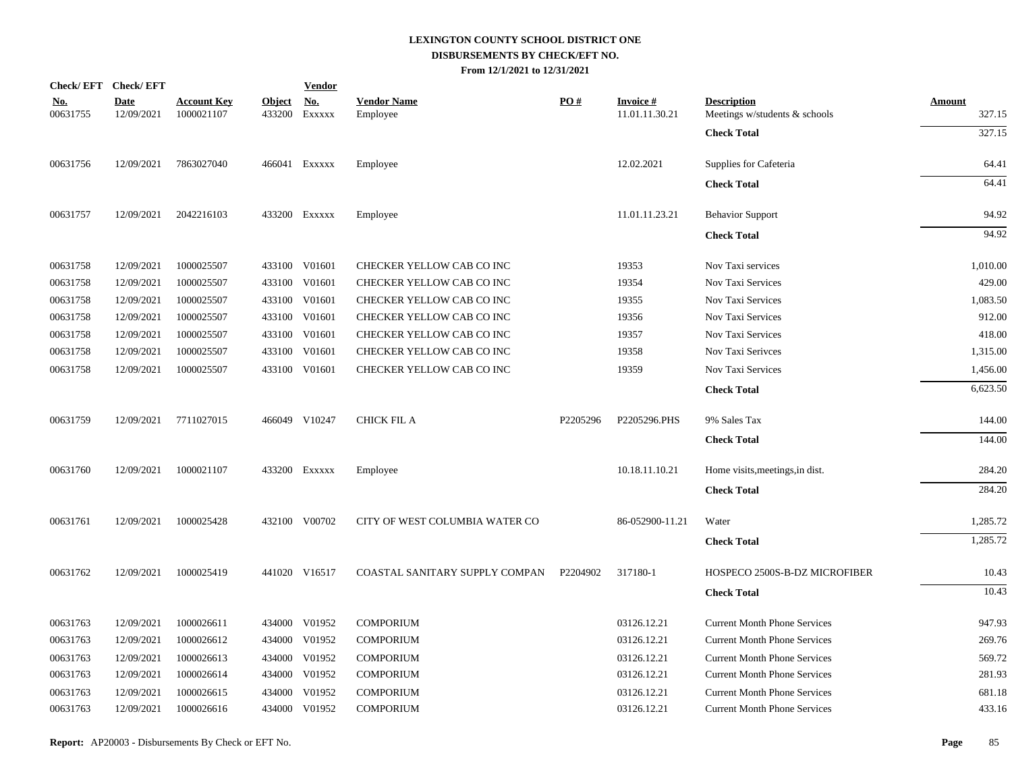|                        | Check/EFT Check/EFT       |                                  |               | <b>Vendor</b>               |                                |          |                                   |                                                     |                  |
|------------------------|---------------------------|----------------------------------|---------------|-----------------------------|--------------------------------|----------|-----------------------------------|-----------------------------------------------------|------------------|
| <u>No.</u><br>00631755 | <b>Date</b><br>12/09/2021 | <b>Account Key</b><br>1000021107 | <b>Object</b> | <u>No.</u><br>433200 EXXXXX | <b>Vendor Name</b><br>Employee | PO#      | <b>Invoice#</b><br>11.01.11.30.21 | <b>Description</b><br>Meetings w/students & schools | Amount<br>327.15 |
|                        |                           |                                  |               |                             |                                |          |                                   | <b>Check Total</b>                                  | 327.15           |
| 00631756               | 12/09/2021                | 7863027040                       |               | 466041 EXXXXX               | Employee                       |          | 12.02.2021                        | Supplies for Cafeteria                              | 64.41            |
|                        |                           |                                  |               |                             |                                |          |                                   | <b>Check Total</b>                                  | 64.41            |
| 00631757               | 12/09/2021                | 2042216103                       |               | 433200 EXXXXX               | Employee                       |          | 11.01.11.23.21                    | <b>Behavior Support</b>                             | 94.92            |
|                        |                           |                                  |               |                             |                                |          |                                   | <b>Check Total</b>                                  | 94.92            |
| 00631758               | 12/09/2021                | 1000025507                       |               | 433100 V01601               | CHECKER YELLOW CAB CO INC      |          | 19353                             | Nov Taxi services                                   | 1,010.00         |
| 00631758               | 12/09/2021                | 1000025507                       |               | 433100 V01601               | CHECKER YELLOW CAB CO INC      |          | 19354                             | Nov Taxi Services                                   | 429.00           |
| 00631758               | 12/09/2021                | 1000025507                       |               | 433100 V01601               | CHECKER YELLOW CAB CO INC      |          | 19355                             | Nov Taxi Services                                   | 1,083.50         |
| 00631758               | 12/09/2021                | 1000025507                       |               | 433100 V01601               | CHECKER YELLOW CAB CO INC      |          | 19356                             | Nov Taxi Services                                   | 912.00           |
| 00631758               | 12/09/2021                | 1000025507                       |               | 433100 V01601               | CHECKER YELLOW CAB CO INC      |          | 19357                             | Nov Taxi Services                                   | 418.00           |
| 00631758               | 12/09/2021                | 1000025507                       |               | 433100 V01601               | CHECKER YELLOW CAB CO INC      |          | 19358                             | Nov Taxi Serivces                                   | 1,315.00         |
| 00631758               | 12/09/2021                | 1000025507                       |               | 433100 V01601               | CHECKER YELLOW CAB CO INC      |          | 19359                             | Nov Taxi Services                                   | 1,456.00         |
|                        |                           |                                  |               |                             |                                |          |                                   | <b>Check Total</b>                                  | 6,623.50         |
| 00631759               | 12/09/2021                | 7711027015                       |               | 466049 V10247               | <b>CHICK FIL A</b>             | P2205296 | P2205296.PHS                      | 9% Sales Tax                                        | 144.00           |
|                        |                           |                                  |               |                             |                                |          |                                   | <b>Check Total</b>                                  | 144.00           |
| 00631760               | 12/09/2021                | 1000021107                       |               | 433200 Exxxxx               | Employee                       |          | 10.18.11.10.21                    | Home visits, meetings, in dist.                     | 284.20           |
|                        |                           |                                  |               |                             |                                |          |                                   | <b>Check Total</b>                                  | 284.20           |
| 00631761               | 12/09/2021                | 1000025428                       |               | 432100 V00702               | CITY OF WEST COLUMBIA WATER CO |          | 86-052900-11.21                   | Water                                               | 1,285.72         |
|                        |                           |                                  |               |                             |                                |          |                                   | <b>Check Total</b>                                  | 1,285.72         |
| 00631762               | 12/09/2021                | 1000025419                       |               | 441020 V16517               | COASTAL SANITARY SUPPLY COMPAN | P2204902 | 317180-1                          | HOSPECO 2500S-B-DZ MICROFIBER                       | 10.43            |
|                        |                           |                                  |               |                             |                                |          |                                   | <b>Check Total</b>                                  | 10.43            |
| 00631763               | 12/09/2021                | 1000026611                       |               | 434000 V01952               | <b>COMPORIUM</b>               |          | 03126.12.21                       | <b>Current Month Phone Services</b>                 | 947.93           |
| 00631763               | 12/09/2021                | 1000026612                       |               | 434000 V01952               | <b>COMPORIUM</b>               |          | 03126.12.21                       | <b>Current Month Phone Services</b>                 | 269.76           |
| 00631763               | 12/09/2021                | 1000026613                       |               | 434000 V01952               | <b>COMPORIUM</b>               |          | 03126.12.21                       | <b>Current Month Phone Services</b>                 | 569.72           |
| 00631763               | 12/09/2021                | 1000026614                       |               | 434000 V01952               | <b>COMPORIUM</b>               |          | 03126.12.21                       | <b>Current Month Phone Services</b>                 | 281.93           |
| 00631763               | 12/09/2021                | 1000026615                       | 434000        | V01952                      | <b>COMPORIUM</b>               |          | 03126.12.21                       | <b>Current Month Phone Services</b>                 | 681.18           |
| 00631763               | 12/09/2021                | 1000026616                       |               | 434000 V01952               | <b>COMPORIUM</b>               |          | 03126.12.21                       | <b>Current Month Phone Services</b>                 | 433.16           |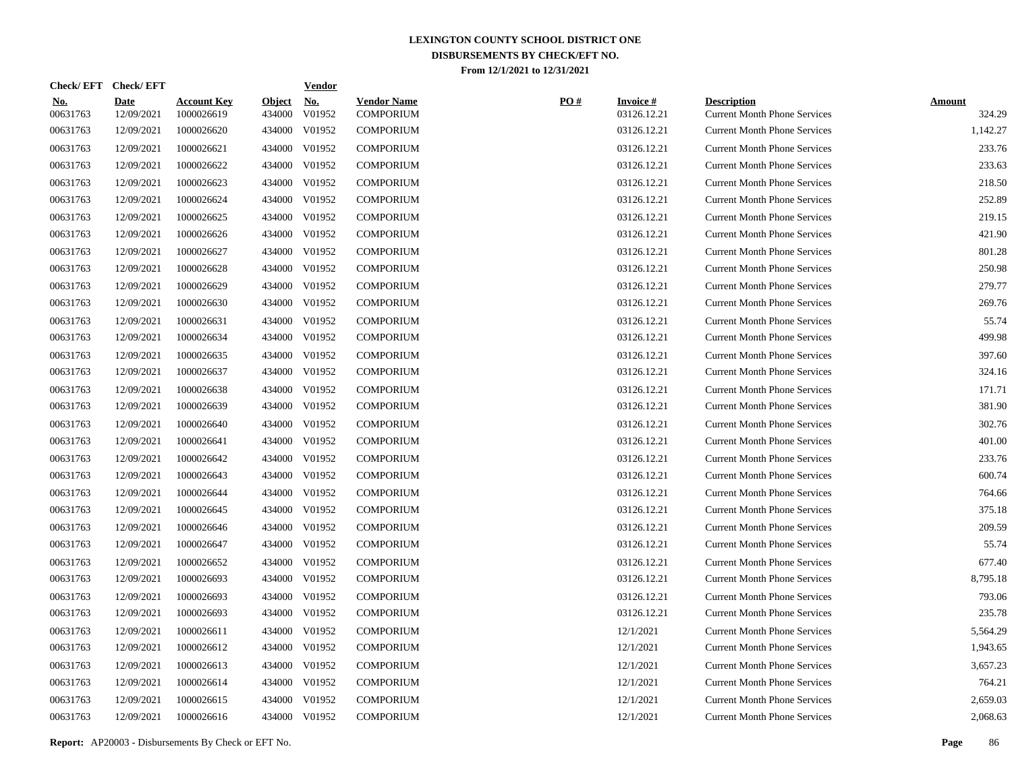| Check/EFT Check/EFT    |                           |                                  |                         | <b>Vendor</b>        |                                        |     |                                |                                                           |                         |
|------------------------|---------------------------|----------------------------------|-------------------------|----------------------|----------------------------------------|-----|--------------------------------|-----------------------------------------------------------|-------------------------|
| <u>No.</u><br>00631763 | <b>Date</b><br>12/09/2021 | <b>Account Key</b><br>1000026619 | <b>Object</b><br>434000 | <u>No.</u><br>V01952 | <b>Vendor Name</b><br><b>COMPORIUM</b> | PO# | <b>Invoice#</b><br>03126.12.21 | <b>Description</b><br><b>Current Month Phone Services</b> | <b>Amount</b><br>324.29 |
| 00631763               | 12/09/2021                | 1000026620                       |                         | 434000 V01952        | <b>COMPORIUM</b>                       |     | 03126.12.21                    | <b>Current Month Phone Services</b>                       | 1,142.27                |
| 00631763               | 12/09/2021                | 1000026621                       |                         | 434000 V01952        | <b>COMPORIUM</b>                       |     | 03126.12.21                    | <b>Current Month Phone Services</b>                       | 233.76                  |
| 00631763               | 12/09/2021                | 1000026622                       |                         | 434000 V01952        | <b>COMPORIUM</b>                       |     | 03126.12.21                    | <b>Current Month Phone Services</b>                       | 233.63                  |
| 00631763               | 12/09/2021                | 1000026623                       |                         | 434000 V01952        | <b>COMPORIUM</b>                       |     | 03126.12.21                    | <b>Current Month Phone Services</b>                       | 218.50                  |
| 00631763               | 12/09/2021                | 1000026624                       |                         | 434000 V01952        | <b>COMPORIUM</b>                       |     | 03126.12.21                    | <b>Current Month Phone Services</b>                       | 252.89                  |
| 00631763               | 12/09/2021                | 1000026625                       |                         | 434000 V01952        | <b>COMPORIUM</b>                       |     | 03126.12.21                    | <b>Current Month Phone Services</b>                       | 219.15                  |
| 00631763               | 12/09/2021                | 1000026626                       |                         | 434000 V01952        | <b>COMPORIUM</b>                       |     | 03126.12.21                    | <b>Current Month Phone Services</b>                       | 421.90                  |
| 00631763               | 12/09/2021                | 1000026627                       |                         | 434000 V01952        | <b>COMPORIUM</b>                       |     | 03126.12.21                    | <b>Current Month Phone Services</b>                       | 801.28                  |
| 00631763               | 12/09/2021                | 1000026628                       |                         | 434000 V01952        | <b>COMPORIUM</b>                       |     | 03126.12.21                    | <b>Current Month Phone Services</b>                       | 250.98                  |
| 00631763               | 12/09/2021                | 1000026629                       |                         | 434000 V01952        | <b>COMPORIUM</b>                       |     | 03126.12.21                    | <b>Current Month Phone Services</b>                       | 279.77                  |
| 00631763               | 12/09/2021                | 1000026630                       |                         | 434000 V01952        | <b>COMPORIUM</b>                       |     | 03126.12.21                    | <b>Current Month Phone Services</b>                       | 269.76                  |
| 00631763               | 12/09/2021                | 1000026631                       |                         | 434000 V01952        | <b>COMPORIUM</b>                       |     | 03126.12.21                    | <b>Current Month Phone Services</b>                       | 55.74                   |
| 00631763               | 12/09/2021                | 1000026634                       |                         | 434000 V01952        | <b>COMPORIUM</b>                       |     | 03126.12.21                    | <b>Current Month Phone Services</b>                       | 499.98                  |
| 00631763               | 12/09/2021                | 1000026635                       |                         | 434000 V01952        | <b>COMPORIUM</b>                       |     | 03126.12.21                    | <b>Current Month Phone Services</b>                       | 397.60                  |
| 00631763               | 12/09/2021                | 1000026637                       |                         | 434000 V01952        | <b>COMPORIUM</b>                       |     | 03126.12.21                    | <b>Current Month Phone Services</b>                       | 324.16                  |
| 00631763               | 12/09/2021                | 1000026638                       |                         | 434000 V01952        | <b>COMPORIUM</b>                       |     | 03126.12.21                    | <b>Current Month Phone Services</b>                       | 171.71                  |
| 00631763               | 12/09/2021                | 1000026639                       |                         | 434000 V01952        | <b>COMPORIUM</b>                       |     | 03126.12.21                    | <b>Current Month Phone Services</b>                       | 381.90                  |
| 00631763               | 12/09/2021                | 1000026640                       |                         | 434000 V01952        | <b>COMPORIUM</b>                       |     | 03126.12.21                    | <b>Current Month Phone Services</b>                       | 302.76                  |
| 00631763               | 12/09/2021                | 1000026641                       |                         | 434000 V01952        | <b>COMPORIUM</b>                       |     | 03126.12.21                    | <b>Current Month Phone Services</b>                       | 401.00                  |
| 00631763               | 12/09/2021                | 1000026642                       |                         | 434000 V01952        | <b>COMPORIUM</b>                       |     | 03126.12.21                    | <b>Current Month Phone Services</b>                       | 233.76                  |
| 00631763               | 12/09/2021                | 1000026643                       |                         | 434000 V01952        | <b>COMPORIUM</b>                       |     | 03126.12.21                    | <b>Current Month Phone Services</b>                       | 600.74                  |
| 00631763               | 12/09/2021                | 1000026644                       |                         | 434000 V01952        | <b>COMPORIUM</b>                       |     | 03126.12.21                    | <b>Current Month Phone Services</b>                       | 764.66                  |
| 00631763               | 12/09/2021                | 1000026645                       |                         | 434000 V01952        | <b>COMPORIUM</b>                       |     | 03126.12.21                    | <b>Current Month Phone Services</b>                       | 375.18                  |
| 00631763               | 12/09/2021                | 1000026646                       |                         | 434000 V01952        | <b>COMPORIUM</b>                       |     | 03126.12.21                    | <b>Current Month Phone Services</b>                       | 209.59                  |
| 00631763               | 12/09/2021                | 1000026647                       |                         | 434000 V01952        | <b>COMPORIUM</b>                       |     | 03126.12.21                    | <b>Current Month Phone Services</b>                       | 55.74                   |
| 00631763               | 12/09/2021                | 1000026652                       | 434000                  | V01952               | <b>COMPORIUM</b>                       |     | 03126.12.21                    | <b>Current Month Phone Services</b>                       | 677.40                  |
| 00631763               | 12/09/2021                | 1000026693                       |                         | 434000 V01952        | <b>COMPORIUM</b>                       |     | 03126.12.21                    | <b>Current Month Phone Services</b>                       | 8,795.18                |
| 00631763               | 12/09/2021                | 1000026693                       | 434000                  | V01952               | <b>COMPORIUM</b>                       |     | 03126.12.21                    | <b>Current Month Phone Services</b>                       | 793.06                  |
| 00631763               | 12/09/2021                | 1000026693                       |                         | 434000 V01952        | <b>COMPORIUM</b>                       |     | 03126.12.21                    | <b>Current Month Phone Services</b>                       | 235.78                  |
| 00631763               | 12/09/2021                | 1000026611                       | 434000                  | V01952               | <b>COMPORIUM</b>                       |     | 12/1/2021                      | <b>Current Month Phone Services</b>                       | 5,564.29                |
| 00631763               | 12/09/2021                | 1000026612                       |                         | 434000 V01952        | <b>COMPORIUM</b>                       |     | 12/1/2021                      | <b>Current Month Phone Services</b>                       | 1,943.65                |
| 00631763               | 12/09/2021                | 1000026613                       | 434000                  | V01952               | <b>COMPORIUM</b>                       |     | 12/1/2021                      | <b>Current Month Phone Services</b>                       | 3,657.23                |
| 00631763               | 12/09/2021                | 1000026614                       |                         | 434000 V01952        | COMPORIUM                              |     | 12/1/2021                      | <b>Current Month Phone Services</b>                       | 764.21                  |
| 00631763               | 12/09/2021                | 1000026615                       | 434000                  | V01952               | <b>COMPORIUM</b>                       |     | 12/1/2021                      | <b>Current Month Phone Services</b>                       | 2,659.03                |
| 00631763               | 12/09/2021                | 1000026616                       |                         | 434000 V01952        | <b>COMPORIUM</b>                       |     | 12/1/2021                      | <b>Current Month Phone Services</b>                       | 2,068.63                |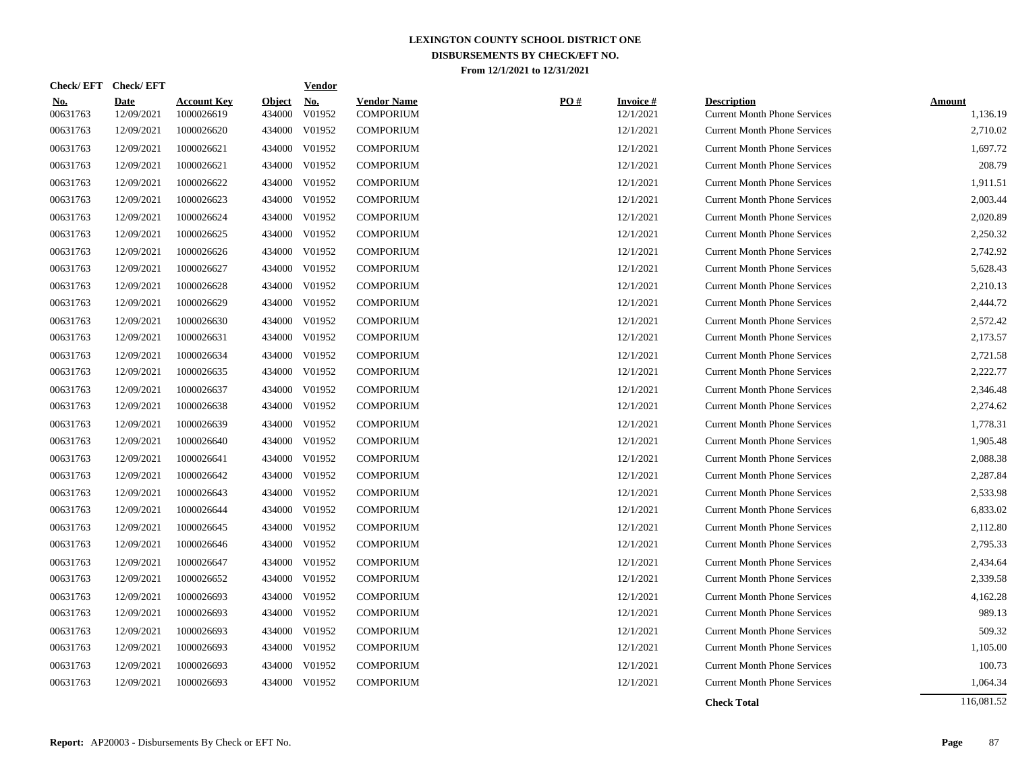|                        | Check/EFT Check/EFT       |                                  |                         | <b>Vendor</b>                       |                                        |     |                              |                                                           |                           |
|------------------------|---------------------------|----------------------------------|-------------------------|-------------------------------------|----------------------------------------|-----|------------------------------|-----------------------------------------------------------|---------------------------|
| <u>No.</u><br>00631763 | <b>Date</b><br>12/09/2021 | <b>Account Key</b><br>1000026619 | <b>Object</b><br>434000 | $\underline{\mathrm{No}}$<br>V01952 | <b>Vendor Name</b><br><b>COMPORIUM</b> | PO# | <b>Invoice#</b><br>12/1/2021 | <b>Description</b><br><b>Current Month Phone Services</b> | <b>Amount</b><br>1,136.19 |
| 00631763               | 12/09/2021                | 1000026620                       | 434000                  | V01952                              | <b>COMPORIUM</b>                       |     | 12/1/2021                    | <b>Current Month Phone Services</b>                       | 2,710.02                  |
| 00631763               | 12/09/2021                | 1000026621                       | 434000                  | V01952                              | <b>COMPORIUM</b>                       |     | 12/1/2021                    | <b>Current Month Phone Services</b>                       | 1,697.72                  |
| 00631763               | 12/09/2021                | 1000026621                       | 434000                  | V01952                              | <b>COMPORIUM</b>                       |     | 12/1/2021                    | <b>Current Month Phone Services</b>                       | 208.79                    |
| 00631763               | 12/09/2021                | 1000026622                       | 434000                  | V01952                              | <b>COMPORIUM</b>                       |     | 12/1/2021                    | <b>Current Month Phone Services</b>                       | 1,911.51                  |
| 00631763               | 12/09/2021                | 1000026623                       |                         | 434000 V01952                       | <b>COMPORIUM</b>                       |     | 12/1/2021                    | <b>Current Month Phone Services</b>                       | 2,003.44                  |
| 00631763               | 12/09/2021                | 1000026624                       |                         | 434000 V01952                       | <b>COMPORIUM</b>                       |     | 12/1/2021                    | <b>Current Month Phone Services</b>                       | 2,020.89                  |
| 00631763               | 12/09/2021                | 1000026625                       |                         | 434000 V01952                       | <b>COMPORIUM</b>                       |     | 12/1/2021                    | <b>Current Month Phone Services</b>                       | 2,250.32                  |
| 00631763               | 12/09/2021                | 1000026626                       |                         | 434000 V01952                       | <b>COMPORIUM</b>                       |     | 12/1/2021                    | <b>Current Month Phone Services</b>                       | 2,742.92                  |
| 00631763               | 12/09/2021                | 1000026627                       |                         | 434000 V01952                       | <b>COMPORIUM</b>                       |     | 12/1/2021                    | <b>Current Month Phone Services</b>                       | 5,628.43                  |
| 00631763               | 12/09/2021                | 1000026628                       | 434000                  | V01952                              | <b>COMPORIUM</b>                       |     | 12/1/2021                    | <b>Current Month Phone Services</b>                       | 2,210.13                  |
| 00631763               | 12/09/2021                | 1000026629                       | 434000                  | V01952                              | <b>COMPORIUM</b>                       |     | 12/1/2021                    | <b>Current Month Phone Services</b>                       | 2,444.72                  |
| 00631763               | 12/09/2021                | 1000026630                       | 434000                  | V01952                              | <b>COMPORIUM</b>                       |     | 12/1/2021                    | <b>Current Month Phone Services</b>                       | 2,572.42                  |
| 00631763               | 12/09/2021                | 1000026631                       | 434000                  | V01952                              | <b>COMPORIUM</b>                       |     | 12/1/2021                    | <b>Current Month Phone Services</b>                       | 2,173.57                  |
| 00631763               | 12/09/2021                | 1000026634                       | 434000                  | V01952                              | <b>COMPORIUM</b>                       |     | 12/1/2021                    | <b>Current Month Phone Services</b>                       | 2,721.58                  |
| 00631763               | 12/09/2021                | 1000026635                       | 434000                  | V01952                              | <b>COMPORIUM</b>                       |     | 12/1/2021                    | <b>Current Month Phone Services</b>                       | 2,222.77                  |
| 00631763               | 12/09/2021                | 1000026637                       | 434000                  | V01952                              | <b>COMPORIUM</b>                       |     | 12/1/2021                    | <b>Current Month Phone Services</b>                       | 2,346.48                  |
| 00631763               | 12/09/2021                | 1000026638                       | 434000                  | V01952                              | <b>COMPORIUM</b>                       |     | 12/1/2021                    | <b>Current Month Phone Services</b>                       | 2,274.62                  |
| 00631763               | 12/09/2021                | 1000026639                       |                         | 434000 V01952                       | <b>COMPORIUM</b>                       |     | 12/1/2021                    | <b>Current Month Phone Services</b>                       | 1,778.31                  |
| 00631763               | 12/09/2021                | 1000026640                       |                         | 434000 V01952                       | <b>COMPORIUM</b>                       |     | 12/1/2021                    | <b>Current Month Phone Services</b>                       | 1,905.48                  |
| 00631763               | 12/09/2021                | 1000026641                       |                         | 434000 V01952                       | <b>COMPORIUM</b>                       |     | 12/1/2021                    | <b>Current Month Phone Services</b>                       | 2,088.38                  |
| 00631763               | 12/09/2021                | 1000026642                       |                         | 434000 V01952                       | <b>COMPORIUM</b>                       |     | 12/1/2021                    | <b>Current Month Phone Services</b>                       | 2,287.84                  |
| 00631763               | 12/09/2021                | 1000026643                       |                         | 434000 V01952                       | <b>COMPORIUM</b>                       |     | 12/1/2021                    | <b>Current Month Phone Services</b>                       | 2,533.98                  |
| 00631763               | 12/09/2021                | 1000026644                       |                         | 434000 V01952                       | <b>COMPORIUM</b>                       |     | 12/1/2021                    | <b>Current Month Phone Services</b>                       | 6,833.02                  |
| 00631763               | 12/09/2021                | 1000026645                       | 434000                  | V01952                              | <b>COMPORIUM</b>                       |     | 12/1/2021                    | <b>Current Month Phone Services</b>                       | 2,112.80                  |
| 00631763               | 12/09/2021                | 1000026646                       | 434000                  | V01952                              | <b>COMPORIUM</b>                       |     | 12/1/2021                    | <b>Current Month Phone Services</b>                       | 2,795.33                  |
| 00631763               | 12/09/2021                | 1000026647                       | 434000                  | V01952                              | <b>COMPORIUM</b>                       |     | 12/1/2021                    | <b>Current Month Phone Services</b>                       | 2,434.64                  |
| 00631763               | 12/09/2021                | 1000026652                       | 434000                  | V01952                              | <b>COMPORIUM</b>                       |     | 12/1/2021                    | <b>Current Month Phone Services</b>                       | 2,339.58                  |
| 00631763               | 12/09/2021                | 1000026693                       | 434000                  | V01952                              | <b>COMPORIUM</b>                       |     | 12/1/2021                    | <b>Current Month Phone Services</b>                       | 4,162.28                  |
| 00631763               | 12/09/2021                | 1000026693                       | 434000                  | V01952                              | <b>COMPORIUM</b>                       |     | 12/1/2021                    | <b>Current Month Phone Services</b>                       | 989.13                    |
| 00631763               | 12/09/2021                | 1000026693                       | 434000                  | V01952                              | <b>COMPORIUM</b>                       |     | 12/1/2021                    | <b>Current Month Phone Services</b>                       | 509.32                    |
| 00631763               | 12/09/2021                | 1000026693                       | 434000                  | V01952                              | <b>COMPORIUM</b>                       |     | 12/1/2021                    | <b>Current Month Phone Services</b>                       | 1,105.00                  |
| 00631763               | 12/09/2021                | 1000026693                       | 434000                  | V01952                              | <b>COMPORIUM</b>                       |     | 12/1/2021                    | <b>Current Month Phone Services</b>                       | 100.73                    |
| 00631763               | 12/09/2021                | 1000026693                       | 434000                  | V01952                              | <b>COMPORIUM</b>                       |     | 12/1/2021                    | <b>Current Month Phone Services</b>                       | 1,064.34                  |
|                        |                           |                                  |                         |                                     |                                        |     |                              | <b>Check Total</b>                                        | 116,081.52                |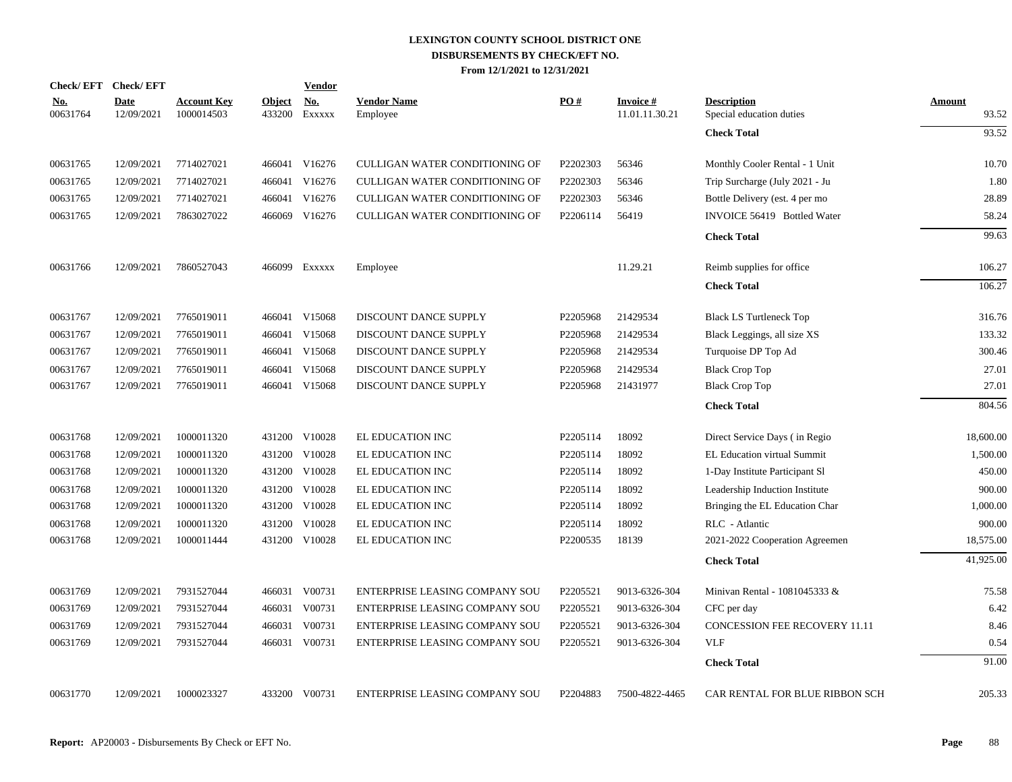| <b>Check/EFT</b>       | <b>Check/EFT</b>          |                                  |                         | <b>Vendor</b>                       |                                |          |                                   |                                                |                        |
|------------------------|---------------------------|----------------------------------|-------------------------|-------------------------------------|--------------------------------|----------|-----------------------------------|------------------------------------------------|------------------------|
| <u>No.</u><br>00631764 | <b>Date</b><br>12/09/2021 | <b>Account Key</b><br>1000014503 | <b>Object</b><br>433200 | $\underline{\textbf{No}}$<br>EXXXXX | <b>Vendor Name</b><br>Employee | PO#      | <b>Invoice#</b><br>11.01.11.30.21 | <b>Description</b><br>Special education duties | <b>Amount</b><br>93.52 |
|                        |                           |                                  |                         |                                     |                                |          |                                   | <b>Check Total</b>                             | 93.52                  |
| 00631765               | 12/09/2021                | 7714027021                       |                         | 466041 V16276                       | CULLIGAN WATER CONDITIONING OF | P2202303 | 56346                             | Monthly Cooler Rental - 1 Unit                 | 10.70                  |
| 00631765               | 12/09/2021                | 7714027021                       | 466041                  | V16276                              | CULLIGAN WATER CONDITIONING OF | P2202303 | 56346                             | Trip Surcharge (July 2021 - Ju                 | 1.80                   |
| 00631765               | 12/09/2021                | 7714027021                       | 466041                  | V16276                              | CULLIGAN WATER CONDITIONING OF | P2202303 | 56346                             | Bottle Delivery (est. 4 per mo                 | 28.89                  |
| 00631765               | 12/09/2021                | 7863027022                       |                         | 466069 V16276                       | CULLIGAN WATER CONDITIONING OF | P2206114 | 56419                             | INVOICE 56419 Bottled Water                    | 58.24                  |
|                        |                           |                                  |                         |                                     |                                |          |                                   | <b>Check Total</b>                             | 99.63                  |
| 00631766               | 12/09/2021                | 7860527043                       |                         | 466099 Exxxxx                       | Employee                       |          | 11.29.21                          | Reimb supplies for office                      | 106.27                 |
|                        |                           |                                  |                         |                                     |                                |          |                                   | <b>Check Total</b>                             | 106.27                 |
| 00631767               | 12/09/2021                | 7765019011                       |                         | 466041 V15068                       | DISCOUNT DANCE SUPPLY          | P2205968 | 21429534                          | <b>Black LS Turtleneck Top</b>                 | 316.76                 |
| 00631767               | 12/09/2021                | 7765019011                       |                         | 466041 V15068                       | DISCOUNT DANCE SUPPLY          | P2205968 | 21429534                          | Black Leggings, all size XS                    | 133.32                 |
| 00631767               | 12/09/2021                | 7765019011                       |                         | 466041 V15068                       | DISCOUNT DANCE SUPPLY          | P2205968 | 21429534                          | Turquoise DP Top Ad                            | 300.46                 |
| 00631767               | 12/09/2021                | 7765019011                       | 466041                  | V15068                              | DISCOUNT DANCE SUPPLY          | P2205968 | 21429534                          | <b>Black Crop Top</b>                          | 27.01                  |
| 00631767               | 12/09/2021                | 7765019011                       |                         | 466041 V15068                       | DISCOUNT DANCE SUPPLY          | P2205968 | 21431977                          | <b>Black Crop Top</b>                          | 27.01                  |
|                        |                           |                                  |                         |                                     |                                |          |                                   | <b>Check Total</b>                             | 804.56                 |
| 00631768               | 12/09/2021                | 1000011320                       |                         | 431200 V10028                       | EL EDUCATION INC               | P2205114 | 18092                             | Direct Service Days (in Regio                  | 18,600.00              |
| 00631768               | 12/09/2021                | 1000011320                       |                         | 431200 V10028                       | EL EDUCATION INC               | P2205114 | 18092                             | EL Education virtual Summit                    | 1,500.00               |
| 00631768               | 12/09/2021                | 1000011320                       |                         | 431200 V10028                       | EL EDUCATION INC               | P2205114 | 18092                             | 1-Day Institute Participant SI                 | 450.00                 |
| 00631768               | 12/09/2021                | 1000011320                       | 431200                  | V10028                              | EL EDUCATION INC               | P2205114 | 18092                             | Leadership Induction Institute                 | 900.00                 |
| 00631768               | 12/09/2021                | 1000011320                       | 431200                  | V10028                              | EL EDUCATION INC               | P2205114 | 18092                             | Bringing the EL Education Char                 | 1,000.00               |
| 00631768               | 12/09/2021                | 1000011320                       | 431200                  | V10028                              | EL EDUCATION INC               | P2205114 | 18092                             | RLC - Atlantic                                 | 900.00                 |
| 00631768               | 12/09/2021                | 1000011444                       |                         | 431200 V10028                       | EL EDUCATION INC               | P2200535 | 18139                             | 2021-2022 Cooperation Agreemen                 | 18,575.00              |
|                        |                           |                                  |                         |                                     |                                |          |                                   | <b>Check Total</b>                             | 41,925.00              |
| 00631769               | 12/09/2021                | 7931527044                       |                         | 466031 V00731                       | ENTERPRISE LEASING COMPANY SOU | P2205521 | 9013-6326-304                     | Minivan Rental - 1081045333 &                  | 75.58                  |
| 00631769               | 12/09/2021                | 7931527044                       |                         | 466031 V00731                       | ENTERPRISE LEASING COMPANY SOU | P2205521 | 9013-6326-304                     | CFC per day                                    | 6.42                   |
| 00631769               | 12/09/2021                | 7931527044                       | 466031                  | V00731                              | ENTERPRISE LEASING COMPANY SOU | P2205521 | 9013-6326-304                     | <b>CONCESSION FEE RECOVERY 11.11</b>           | 8.46                   |
| 00631769               | 12/09/2021                | 7931527044                       |                         | 466031 V00731                       | ENTERPRISE LEASING COMPANY SOU | P2205521 | 9013-6326-304                     | <b>VLF</b>                                     | 0.54                   |
|                        |                           |                                  |                         |                                     |                                |          |                                   | <b>Check Total</b>                             | 91.00                  |
| 00631770               | 12/09/2021                | 1000023327                       |                         | 433200 V00731                       | ENTERPRISE LEASING COMPANY SOU | P2204883 | 7500-4822-4465                    | CAR RENTAL FOR BLUE RIBBON SCH                 | 205.33                 |
|                        |                           |                                  |                         |                                     |                                |          |                                   |                                                |                        |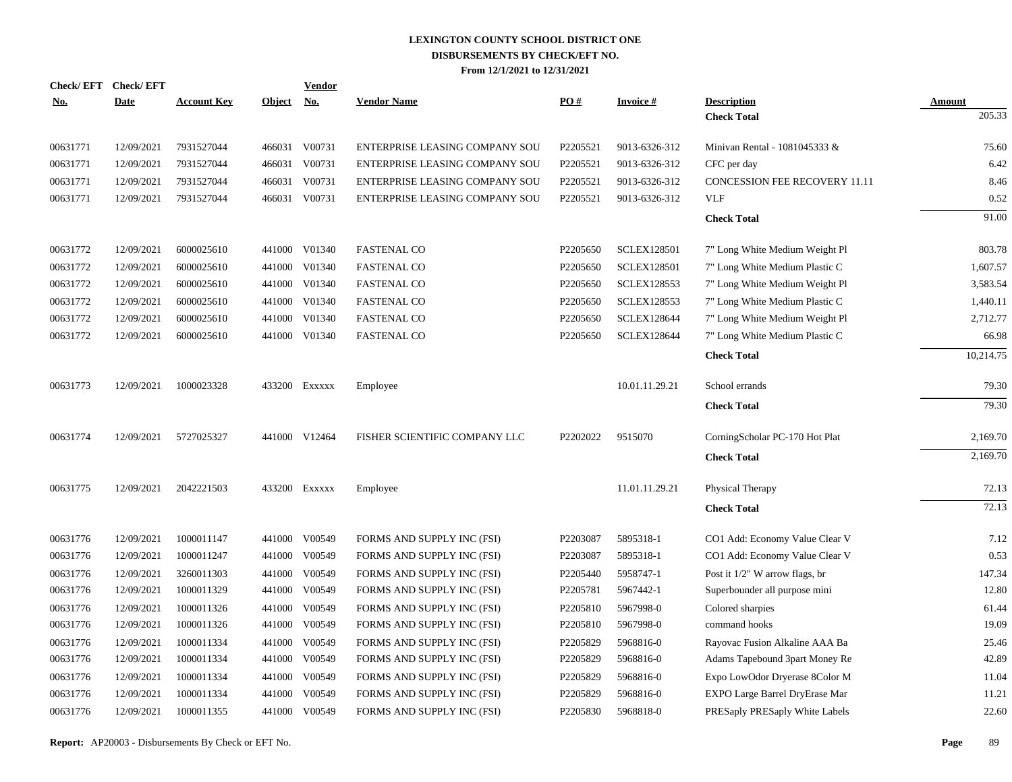| Check/EFT Check/EFT<br><u>No.</u> | <b>Date</b> | <b>Account Key</b> | <b>Object</b> | <b>Vendor</b><br><u>No.</u> | <b>Vendor Name</b>             | PO#      | <b>Invoice#</b>    | <b>Description</b>             | Amount    |
|-----------------------------------|-------------|--------------------|---------------|-----------------------------|--------------------------------|----------|--------------------|--------------------------------|-----------|
|                                   |             |                    |               |                             |                                |          |                    | <b>Check Total</b>             | 205.33    |
| 00631771                          | 12/09/2021  | 7931527044         |               | 466031 V00731               | ENTERPRISE LEASING COMPANY SOU | P2205521 | 9013-6326-312      | Minivan Rental - 1081045333 &  | 75.60     |
| 00631771                          | 12/09/2021  | 7931527044         |               | 466031 V00731               | ENTERPRISE LEASING COMPANY SOU | P2205521 | 9013-6326-312      | CFC per day                    | 6.42      |
| 00631771                          | 12/09/2021  | 7931527044         |               | 466031 V00731               | ENTERPRISE LEASING COMPANY SOU | P2205521 | 9013-6326-312      | CONCESSION FEE RECOVERY 11.11  | 8.46      |
| 00631771                          | 12/09/2021  | 7931527044         |               | 466031 V00731               | ENTERPRISE LEASING COMPANY SOU | P2205521 | 9013-6326-312      | <b>VLF</b>                     | 0.52      |
|                                   |             |                    |               |                             |                                |          |                    | <b>Check Total</b>             | 91.00     |
| 00631772                          | 12/09/2021  | 6000025610         |               | 441000 V01340               | <b>FASTENAL CO</b>             | P2205650 | <b>SCLEX128501</b> | 7" Long White Medium Weight Pl | 803.78    |
| 00631772                          | 12/09/2021  | 6000025610         |               | 441000 V01340               | <b>FASTENAL CO</b>             | P2205650 | <b>SCLEX128501</b> | 7" Long White Medium Plastic C | 1,607.57  |
| 00631772                          | 12/09/2021  | 6000025610         |               | 441000 V01340               | <b>FASTENAL CO</b>             | P2205650 | <b>SCLEX128553</b> | 7" Long White Medium Weight Pl | 3,583.54  |
| 00631772                          | 12/09/2021  | 6000025610         |               | 441000 V01340               | <b>FASTENAL CO</b>             | P2205650 | <b>SCLEX128553</b> | 7" Long White Medium Plastic C | 1,440.11  |
| 00631772                          | 12/09/2021  | 6000025610         |               | 441000 V01340               | <b>FASTENAL CO</b>             | P2205650 | <b>SCLEX128644</b> | 7" Long White Medium Weight Pl | 2,712.77  |
| 00631772                          | 12/09/2021  | 6000025610         |               | 441000 V01340               | <b>FASTENAL CO</b>             | P2205650 | <b>SCLEX128644</b> | 7" Long White Medium Plastic C | 66.98     |
|                                   |             |                    |               |                             |                                |          |                    | <b>Check Total</b>             | 10,214.75 |
| 00631773                          | 12/09/2021  | 1000023328         |               | 433200 Exxxxx               | Employee                       |          | 10.01.11.29.21     | School errands                 | 79.30     |
|                                   |             |                    |               |                             |                                |          |                    | <b>Check Total</b>             | 79.30     |
| 00631774                          | 12/09/2021  | 5727025327         |               | 441000 V12464               | FISHER SCIENTIFIC COMPANY LLC  | P2202022 | 9515070            | CorningScholar PC-170 Hot Plat | 2,169.70  |
|                                   |             |                    |               |                             |                                |          |                    | <b>Check Total</b>             | 2,169.70  |
| 00631775                          | 12/09/2021  | 2042221503         |               | 433200 EXXXXX               | Employee                       |          | 11.01.11.29.21     | Physical Therapy               | 72.13     |
|                                   |             |                    |               |                             |                                |          |                    | <b>Check Total</b>             | 72.13     |
| 00631776                          | 12/09/2021  | 1000011147         |               | 441000 V00549               | FORMS AND SUPPLY INC (FSI)     | P2203087 | 5895318-1          | CO1 Add: Economy Value Clear V | 7.12      |
| 00631776                          | 12/09/2021  | 1000011247         |               | 441000 V00549               | FORMS AND SUPPLY INC (FSI)     | P2203087 | 5895318-1          | CO1 Add: Economy Value Clear V | 0.53      |
| 00631776                          | 12/09/2021  | 3260011303         |               | 441000 V00549               | FORMS AND SUPPLY INC (FSI)     | P2205440 | 5958747-1          | Post it 1/2" W arrow flags, br | 147.34    |
| 00631776                          | 12/09/2021  | 1000011329         |               | 441000 V00549               | FORMS AND SUPPLY INC (FSI)     | P2205781 | 5967442-1          | Superbounder all purpose mini  | 12.80     |
| 00631776                          | 12/09/2021  | 1000011326         |               | 441000 V00549               | FORMS AND SUPPLY INC (FSI)     | P2205810 | 5967998-0          | Colored sharpies               | 61.44     |
| 00631776                          | 12/09/2021  | 1000011326         |               | 441000 V00549               | FORMS AND SUPPLY INC (FSI)     | P2205810 | 5967998-0          | command hooks                  | 19.09     |
| 00631776                          | 12/09/2021  | 1000011334         |               | 441000 V00549               | FORMS AND SUPPLY INC (FSI)     | P2205829 | 5968816-0          | Rayovac Fusion Alkaline AAA Ba | 25.46     |
| 00631776                          | 12/09/2021  | 1000011334         |               | 441000 V00549               | FORMS AND SUPPLY INC (FSI)     | P2205829 | 5968816-0          | Adams Tapebound 3part Money Re | 42.89     |
| 00631776                          | 12/09/2021  | 1000011334         |               | 441000 V00549               | FORMS AND SUPPLY INC (FSI)     | P2205829 | 5968816-0          | Expo LowOdor Dryerase 8Color M | 11.04     |
| 00631776                          | 12/09/2021  | 1000011334         |               | 441000 V00549               | FORMS AND SUPPLY INC (FSI)     | P2205829 | 5968816-0          | EXPO Large Barrel DryErase Mar | 11.21     |
| 00631776                          | 12/09/2021  | 1000011355         |               | 441000 V00549               | FORMS AND SUPPLY INC (FSI)     | P2205830 | 5968818-0          | PRESaply PRESaply White Labels | 22.60     |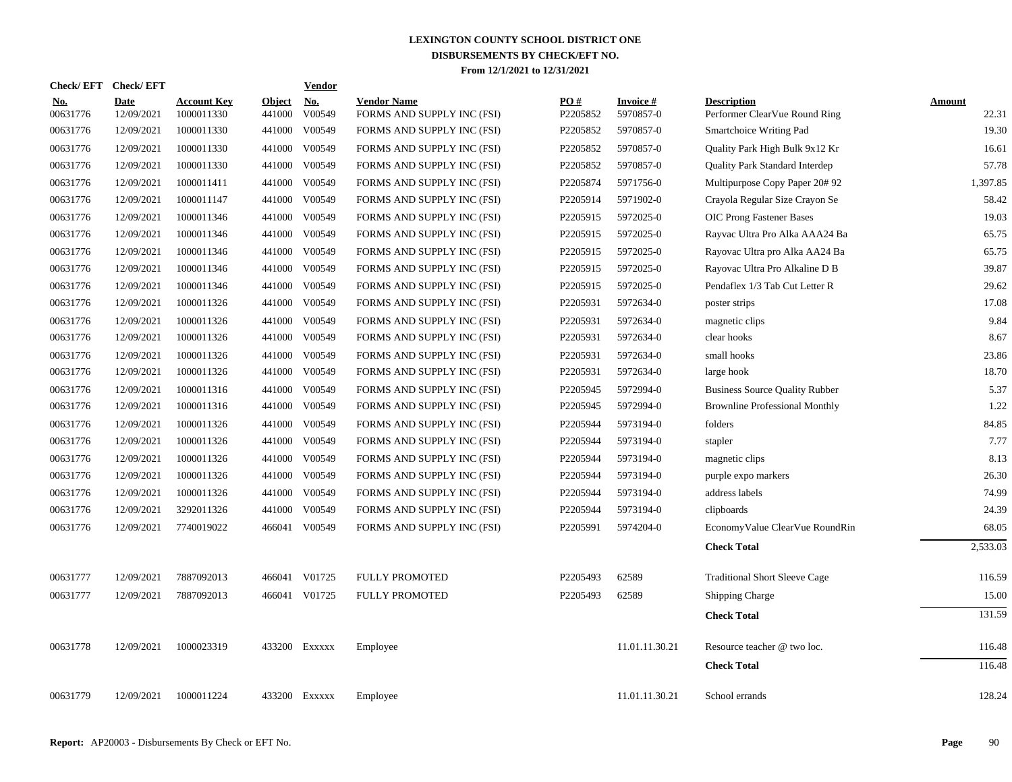| <b>Check/EFT</b>       | <b>Check/EFT</b>          |                                  |                         | <b>Vendor</b>        |                                                  |                 |                              |                                                     |                        |
|------------------------|---------------------------|----------------------------------|-------------------------|----------------------|--------------------------------------------------|-----------------|------------------------------|-----------------------------------------------------|------------------------|
| <u>No.</u><br>00631776 | <b>Date</b><br>12/09/2021 | <b>Account Key</b><br>1000011330 | <b>Object</b><br>441000 | <u>No.</u><br>V00549 | <b>Vendor Name</b><br>FORMS AND SUPPLY INC (FSI) | PO#<br>P2205852 | <b>Invoice#</b><br>5970857-0 | <b>Description</b><br>Performer ClearVue Round Ring | <b>Amount</b><br>22.31 |
| 00631776               | 12/09/2021                | 1000011330                       | 441000                  | V00549               | FORMS AND SUPPLY INC (FSI)                       | P2205852        | 5970857-0                    | Smartchoice Writing Pad                             | 19.30                  |
| 00631776               | 12/09/2021                | 1000011330                       | 441000                  | V00549               | FORMS AND SUPPLY INC (FSI)                       | P2205852        | 5970857-0                    | Quality Park High Bulk 9x12 Kr                      | 16.61                  |
| 00631776               | 12/09/2021                | 1000011330                       | 441000                  | V00549               | FORMS AND SUPPLY INC (FSI)                       | P2205852        | 5970857-0                    | <b>Quality Park Standard Interdep</b>               | 57.78                  |
| 00631776               | 12/09/2021                | 1000011411                       | 441000                  | V00549               | FORMS AND SUPPLY INC (FSI)                       | P2205874        | 5971756-0                    | Multipurpose Copy Paper 20#92                       | 1,397.85               |
| 00631776               | 12/09/2021                | 1000011147                       | 441000                  | V00549               | FORMS AND SUPPLY INC (FSI)                       | P2205914        | 5971902-0                    | Crayola Regular Size Crayon Se                      | 58.42                  |
| 00631776               | 12/09/2021                | 1000011346                       | 441000                  | V00549               | FORMS AND SUPPLY INC (FSI)                       | P2205915        | 5972025-0                    | <b>OIC Prong Fastener Bases</b>                     | 19.03                  |
| 00631776               | 12/09/2021                | 1000011346                       |                         | 441000 V00549        | FORMS AND SUPPLY INC (FSI)                       | P2205915        | 5972025-0                    | Rayvac Ultra Pro Alka AAA24 Ba                      | 65.75                  |
| 00631776               | 12/09/2021                | 1000011346                       | 441000                  | V00549               | FORMS AND SUPPLY INC (FSI)                       | P2205915        | 5972025-0                    | Rayovac Ultra pro Alka AA24 Ba                      | 65.75                  |
| 00631776               | 12/09/2021                | 1000011346                       |                         | 441000 V00549        | FORMS AND SUPPLY INC (FSI)                       | P2205915        | 5972025-0                    | Rayovac Ultra Pro Alkaline D B                      | 39.87                  |
| 00631776               | 12/09/2021                | 1000011346                       |                         | 441000 V00549        | FORMS AND SUPPLY INC (FSI)                       | P2205915        | 5972025-0                    | Pendaflex 1/3 Tab Cut Letter R                      | 29.62                  |
| 00631776               | 12/09/2021                | 1000011326                       |                         | 441000 V00549        | FORMS AND SUPPLY INC (FSI)                       | P2205931        | 5972634-0                    | poster strips                                       | 17.08                  |
| 00631776               | 12/09/2021                | 1000011326                       | 441000                  | V00549               | FORMS AND SUPPLY INC (FSI)                       | P2205931        | 5972634-0                    | magnetic clips                                      | 9.84                   |
| 00631776               | 12/09/2021                | 1000011326                       | 441000                  | V00549               | FORMS AND SUPPLY INC (FSI)                       | P2205931        | 5972634-0                    | clear hooks                                         | 8.67                   |
| 00631776               | 12/09/2021                | 1000011326                       | 441000                  | V00549               | FORMS AND SUPPLY INC (FSI)                       | P2205931        | 5972634-0                    | small hooks                                         | 23.86                  |
| 00631776               | 12/09/2021                | 1000011326                       | 441000                  | V00549               | FORMS AND SUPPLY INC (FSI)                       | P2205931        | 5972634-0                    | large hook                                          | 18.70                  |
| 00631776               | 12/09/2021                | 1000011316                       | 441000                  | V00549               | FORMS AND SUPPLY INC (FSI)                       | P2205945        | 5972994-0                    | <b>Business Source Quality Rubber</b>               | 5.37                   |
| 00631776               | 12/09/2021                | 1000011316                       | 441000                  | V00549               | FORMS AND SUPPLY INC (FSI)                       | P2205945        | 5972994-0                    | <b>Brownline Professional Monthly</b>               | 1.22                   |
| 00631776               | 12/09/2021                | 1000011326                       |                         | 441000 V00549        | FORMS AND SUPPLY INC (FSI)                       | P2205944        | 5973194-0                    | folders                                             | 84.85                  |
| 00631776               | 12/09/2021                | 1000011326                       |                         | 441000 V00549        | FORMS AND SUPPLY INC (FSI)                       | P2205944        | 5973194-0                    | stapler                                             | 7.77                   |
| 00631776               | 12/09/2021                | 1000011326                       | 441000                  | V00549               | FORMS AND SUPPLY INC (FSI)                       | P2205944        | 5973194-0                    | magnetic clips                                      | 8.13                   |
| 00631776               | 12/09/2021                | 1000011326                       |                         | 441000 V00549        | FORMS AND SUPPLY INC (FSI)                       | P2205944        | 5973194-0                    | purple expo markers                                 | 26.30                  |
| 00631776               | 12/09/2021                | 1000011326                       |                         | 441000 V00549        | FORMS AND SUPPLY INC (FSI)                       | P2205944        | 5973194-0                    | address labels                                      | 74.99                  |
| 00631776               | 12/09/2021                | 3292011326                       |                         | 441000 V00549        | FORMS AND SUPPLY INC (FSI)                       | P2205944        | 5973194-0                    | clipboards                                          | 24.39                  |
| 00631776               | 12/09/2021                | 7740019022                       |                         | 466041 V00549        | FORMS AND SUPPLY INC (FSI)                       | P2205991        | 5974204-0                    | EconomyValue ClearVue RoundRin                      | 68.05                  |
|                        |                           |                                  |                         |                      |                                                  |                 |                              | <b>Check Total</b>                                  | 2,533.03               |
| 00631777               | 12/09/2021                | 7887092013                       |                         | 466041 V01725        | FULLY PROMOTED                                   | P2205493        | 62589                        | <b>Traditional Short Sleeve Cage</b>                | 116.59                 |
| 00631777               | 12/09/2021                | 7887092013                       |                         | 466041 V01725        | <b>FULLY PROMOTED</b>                            | P2205493        | 62589                        | Shipping Charge                                     | 15.00                  |
|                        |                           |                                  |                         |                      |                                                  |                 |                              | <b>Check Total</b>                                  | 131.59                 |
| 00631778               | 12/09/2021                | 1000023319                       |                         | 433200 Exxxxx        | Employee                                         |                 | 11.01.11.30.21               | Resource teacher @ two loc.                         | 116.48                 |
|                        |                           |                                  |                         |                      |                                                  |                 |                              | <b>Check Total</b>                                  | 116.48                 |
| 00631779               | 12/09/2021                | 1000011224                       |                         | 433200 Exxxxx        | Employee                                         |                 | 11.01.11.30.21               | School errands                                      | 128.24                 |
|                        |                           |                                  |                         |                      |                                                  |                 |                              |                                                     |                        |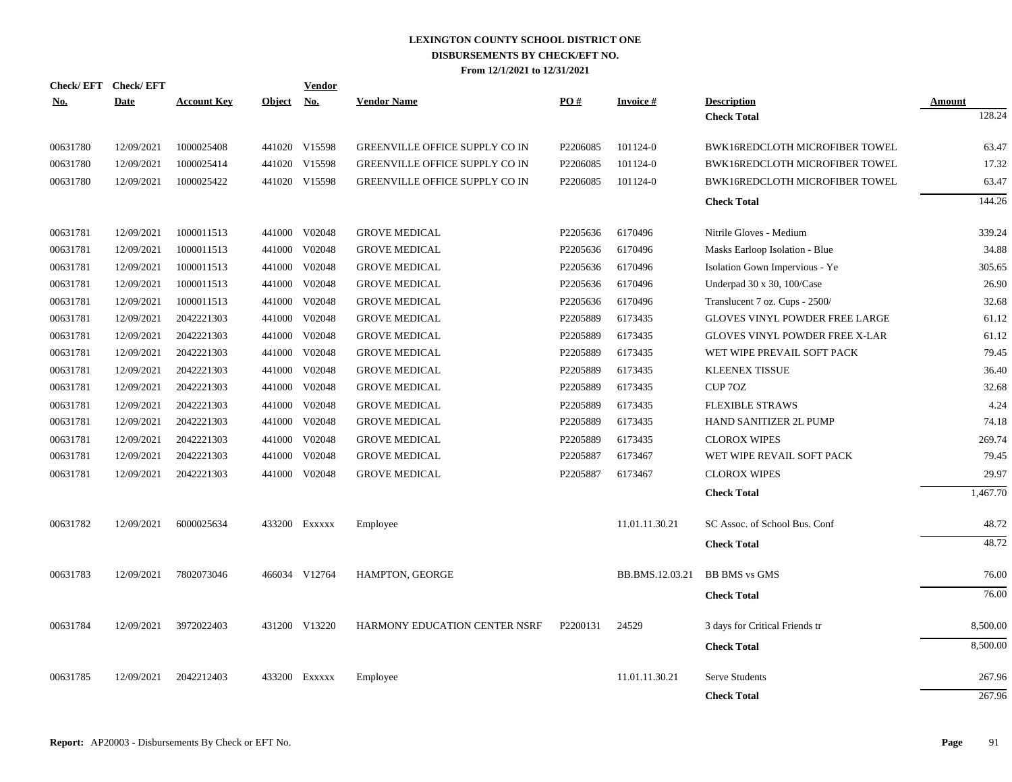| <u>No.</u> | Check/EFT Check/EFT<br><b>Date</b> | <b>Account Key</b> | <b>Object</b> | <b>Vendor</b><br><b>No.</b> | <b>Vendor Name</b>                    | PO#      | <b>Invoice#</b> | <b>Description</b>                    | <b>Amount</b> |
|------------|------------------------------------|--------------------|---------------|-----------------------------|---------------------------------------|----------|-----------------|---------------------------------------|---------------|
|            |                                    |                    |               |                             |                                       |          |                 | <b>Check Total</b>                    | 128.24        |
| 00631780   | 12/09/2021                         | 1000025408         |               | 441020 V15598               | <b>GREENVILLE OFFICE SUPPLY CO IN</b> | P2206085 | 101124-0        | BWK16REDCLOTH MICROFIBER TOWEL        | 63.47         |
| 00631780   | 12/09/2021                         | 1000025414         |               | 441020 V15598               | <b>GREENVILLE OFFICE SUPPLY CO IN</b> | P2206085 | 101124-0        | BWK16REDCLOTH MICROFIBER TOWEL        | 17.32         |
| 00631780   | 12/09/2021                         | 1000025422         |               | 441020 V15598               | GREENVILLE OFFICE SUPPLY CO IN        | P2206085 | 101124-0        | <b>BWK16REDCLOTH MICROFIBER TOWEL</b> | 63.47         |
|            |                                    |                    |               |                             |                                       |          |                 | <b>Check Total</b>                    | 144.26        |
| 00631781   | 12/09/2021                         | 1000011513         |               | 441000 V02048               | <b>GROVE MEDICAL</b>                  | P2205636 | 6170496         | Nitrile Gloves - Medium               | 339.24        |
| 00631781   | 12/09/2021                         | 1000011513         | 441000        | V02048                      | <b>GROVE MEDICAL</b>                  | P2205636 | 6170496         | Masks Earloop Isolation - Blue        | 34.88         |
| 00631781   | 12/09/2021                         | 1000011513         | 441000        | V02048                      | <b>GROVE MEDICAL</b>                  | P2205636 | 6170496         | Isolation Gown Impervious - Ye        | 305.65        |
| 00631781   | 12/09/2021                         | 1000011513         | 441000        | V02048                      | <b>GROVE MEDICAL</b>                  | P2205636 | 6170496         | Underpad 30 x 30, 100/Case            | 26.90         |
| 00631781   | 12/09/2021                         | 1000011513         | 441000        | V02048                      | <b>GROVE MEDICAL</b>                  | P2205636 | 6170496         | Translucent 7 oz. Cups - 2500/        | 32.68         |
| 00631781   | 12/09/2021                         | 2042221303         | 441000        | V02048                      | <b>GROVE MEDICAL</b>                  | P2205889 | 6173435         | <b>GLOVES VINYL POWDER FREE LARGE</b> | 61.12         |
| 00631781   | 12/09/2021                         | 2042221303         | 441000        | V02048                      | <b>GROVE MEDICAL</b>                  | P2205889 | 6173435         | <b>GLOVES VINYL POWDER FREE X-LAR</b> | 61.12         |
| 00631781   | 12/09/2021                         | 2042221303         | 441000        | V02048                      | <b>GROVE MEDICAL</b>                  | P2205889 | 6173435         | WET WIPE PREVAIL SOFT PACK            | 79.45         |
| 00631781   | 12/09/2021                         | 2042221303         |               | 441000 V02048               | <b>GROVE MEDICAL</b>                  | P2205889 | 6173435         | <b>KLEENEX TISSUE</b>                 | 36.40         |
| 00631781   | 12/09/2021                         | 2042221303         | 441000        | V02048                      | <b>GROVE MEDICAL</b>                  | P2205889 | 6173435         | CUP 70Z                               | 32.68         |
| 00631781   | 12/09/2021                         | 2042221303         |               | 441000 V02048               | <b>GROVE MEDICAL</b>                  | P2205889 | 6173435         | <b>FLEXIBLE STRAWS</b>                | 4.24          |
| 00631781   | 12/09/2021                         | 2042221303         |               | 441000 V02048               | <b>GROVE MEDICAL</b>                  | P2205889 | 6173435         | <b>HAND SANITIZER 2L PUMP</b>         | 74.18         |
| 00631781   | 12/09/2021                         | 2042221303         |               | 441000 V02048               | <b>GROVE MEDICAL</b>                  | P2205889 | 6173435         | <b>CLOROX WIPES</b>                   | 269.74        |
| 00631781   | 12/09/2021                         | 2042221303         |               | 441000 V02048               | <b>GROVE MEDICAL</b>                  | P2205887 | 6173467         | WET WIPE REVAIL SOFT PACK             | 79.45         |
| 00631781   | 12/09/2021                         | 2042221303         |               | 441000 V02048               | <b>GROVE MEDICAL</b>                  | P2205887 | 6173467         | <b>CLOROX WIPES</b>                   | 29.97         |
|            |                                    |                    |               |                             |                                       |          |                 | <b>Check Total</b>                    | 1,467.70      |
| 00631782   | 12/09/2021                         | 6000025634         |               | 433200 EXXXXX               | Employee                              |          | 11.01.11.30.21  | SC Assoc. of School Bus. Conf         | 48.72         |
|            |                                    |                    |               |                             |                                       |          |                 | <b>Check Total</b>                    | 48.72         |
| 00631783   | 12/09/2021                         | 7802073046         |               | 466034 V12764               | HAMPTON, GEORGE                       |          | BB.BMS.12.03.21 | <b>BB BMS</b> vs GMS                  | 76.00         |
|            |                                    |                    |               |                             |                                       |          |                 | <b>Check Total</b>                    | 76.00         |
| 00631784   | 12/09/2021                         | 3972022403         |               | 431200 V13220               | HARMONY EDUCATION CENTER NSRF         | P2200131 | 24529           | 3 days for Critical Friends tr        | 8,500.00      |
|            |                                    |                    |               |                             |                                       |          |                 | <b>Check Total</b>                    | 8,500.00      |
| 00631785   | 12/09/2021                         | 2042212403         |               | 433200 Exxxxx               | Employee                              |          | 11.01.11.30.21  | Serve Students                        | 267.96        |
|            |                                    |                    |               |                             |                                       |          |                 | <b>Check Total</b>                    | 267.96        |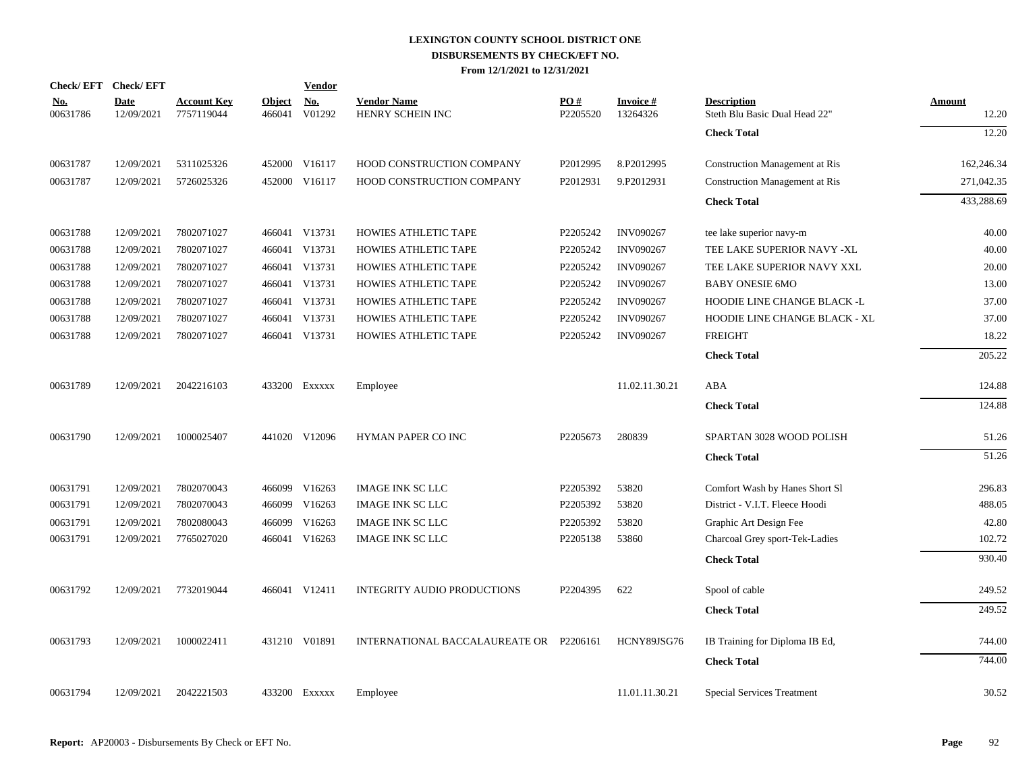| Check/EFT Check/EFT    |                           |                                  |                         | <b>Vendor</b>                       |                                         |                 |                             |                                                     |                        |
|------------------------|---------------------------|----------------------------------|-------------------------|-------------------------------------|-----------------------------------------|-----------------|-----------------------------|-----------------------------------------------------|------------------------|
| <u>No.</u><br>00631786 | <b>Date</b><br>12/09/2021 | <b>Account Key</b><br>7757119044 | <b>Object</b><br>466041 | $\underline{\textbf{No}}$<br>V01292 | <b>Vendor Name</b><br>HENRY SCHEIN INC  | PO#<br>P2205520 | <b>Invoice#</b><br>13264326 | <b>Description</b><br>Steth Blu Basic Dual Head 22" | <b>Amount</b><br>12.20 |
|                        |                           |                                  |                         |                                     |                                         |                 |                             | <b>Check Total</b>                                  | 12.20                  |
| 00631787               | 12/09/2021                | 5311025326                       |                         | 452000 V16117                       | HOOD CONSTRUCTION COMPANY               | P2012995        | 8.P2012995                  | <b>Construction Management at Ris</b>               | 162,246.34             |
| 00631787               | 12/09/2021                | 5726025326                       |                         | 452000 V16117                       | HOOD CONSTRUCTION COMPANY               | P2012931        | 9.P2012931                  | <b>Construction Management at Ris</b>               | 271,042.35             |
|                        |                           |                                  |                         |                                     |                                         |                 |                             | <b>Check Total</b>                                  | 433,288.69             |
| 00631788               | 12/09/2021                | 7802071027                       |                         | 466041 V13731                       | HOWIES ATHLETIC TAPE                    | P2205242        | <b>INV090267</b>            | tee lake superior navy-m                            | 40.00                  |
| 00631788               | 12/09/2021                | 7802071027                       |                         | 466041 V13731                       | HOWIES ATHLETIC TAPE                    | P2205242        | <b>INV090267</b>            | TEE LAKE SUPERIOR NAVY -XL                          | 40.00                  |
| 00631788               | 12/09/2021                | 7802071027                       |                         | 466041 V13731                       | HOWIES ATHLETIC TAPE                    | P2205242        | <b>INV090267</b>            | TEE LAKE SUPERIOR NAVY XXL                          | 20.00                  |
| 00631788               | 12/09/2021                | 7802071027                       |                         | 466041 V13731                       | HOWIES ATHLETIC TAPE                    | P2205242        | <b>INV090267</b>            | <b>BABY ONESIE 6MO</b>                              | 13.00                  |
| 00631788               | 12/09/2021                | 7802071027                       |                         | 466041 V13731                       | HOWIES ATHLETIC TAPE                    | P2205242        | <b>INV090267</b>            | HOODIE LINE CHANGE BLACK -L                         | 37.00                  |
| 00631788               | 12/09/2021                | 7802071027                       |                         | 466041 V13731                       | HOWIES ATHLETIC TAPE                    | P2205242        | <b>INV090267</b>            | HOODIE LINE CHANGE BLACK - XL                       | 37.00                  |
| 00631788               | 12/09/2021                | 7802071027                       |                         | 466041 V13731                       | HOWIES ATHLETIC TAPE                    | P2205242        | <b>INV090267</b>            | <b>FREIGHT</b>                                      | 18.22                  |
|                        |                           |                                  |                         |                                     |                                         |                 |                             | <b>Check Total</b>                                  | 205.22                 |
| 00631789               | 12/09/2021                | 2042216103                       |                         | 433200 Exxxxx                       | Employee                                |                 | 11.02.11.30.21              | ABA                                                 | 124.88                 |
|                        |                           |                                  |                         |                                     |                                         |                 |                             | <b>Check Total</b>                                  | 124.88                 |
| 00631790               | 12/09/2021                | 1000025407                       |                         | 441020 V12096                       | HYMAN PAPER CO INC                      | P2205673        | 280839                      | SPARTAN 3028 WOOD POLISH                            | 51.26                  |
|                        |                           |                                  |                         |                                     |                                         |                 |                             | <b>Check Total</b>                                  | 51.26                  |
| 00631791               | 12/09/2021                | 7802070043                       |                         | 466099 V16263                       | <b>IMAGE INK SC LLC</b>                 | P2205392        | 53820                       | Comfort Wash by Hanes Short Sl                      | 296.83                 |
| 00631791               | 12/09/2021                | 7802070043                       |                         | 466099 V16263                       | <b>IMAGE INK SC LLC</b>                 | P2205392        | 53820                       | District - V.I.T. Fleece Hoodi                      | 488.05                 |
| 00631791               | 12/09/2021                | 7802080043                       |                         | 466099 V16263                       | <b>IMAGE INK SC LLC</b>                 | P2205392        | 53820                       | Graphic Art Design Fee                              | 42.80                  |
| 00631791               | 12/09/2021                | 7765027020                       |                         | 466041 V16263                       | <b>IMAGE INK SC LLC</b>                 | P2205138        | 53860                       | Charcoal Grey sport-Tek-Ladies                      | 102.72                 |
|                        |                           |                                  |                         |                                     |                                         |                 |                             | <b>Check Total</b>                                  | 930.40                 |
| 00631792               | 12/09/2021                | 7732019044                       |                         | 466041 V12411                       | INTEGRITY AUDIO PRODUCTIONS             | P2204395        | 622                         | Spool of cable                                      | 249.52                 |
|                        |                           |                                  |                         |                                     |                                         |                 |                             | <b>Check Total</b>                                  | 249.52                 |
| 00631793               | 12/09/2021                | 1000022411                       |                         | 431210 V01891                       | INTERNATIONAL BACCALAUREATE OR P2206161 |                 | HCNY89JSG76                 | IB Training for Diploma IB Ed,                      | 744.00                 |
|                        |                           |                                  |                         |                                     |                                         |                 |                             | <b>Check Total</b>                                  | 744.00                 |
| 00631794               | 12/09/2021                | 2042221503                       |                         | 433200 EXXXXX                       | Employee                                |                 | 11.01.11.30.21              | <b>Special Services Treatment</b>                   | 30.52                  |
|                        |                           |                                  |                         |                                     |                                         |                 |                             |                                                     |                        |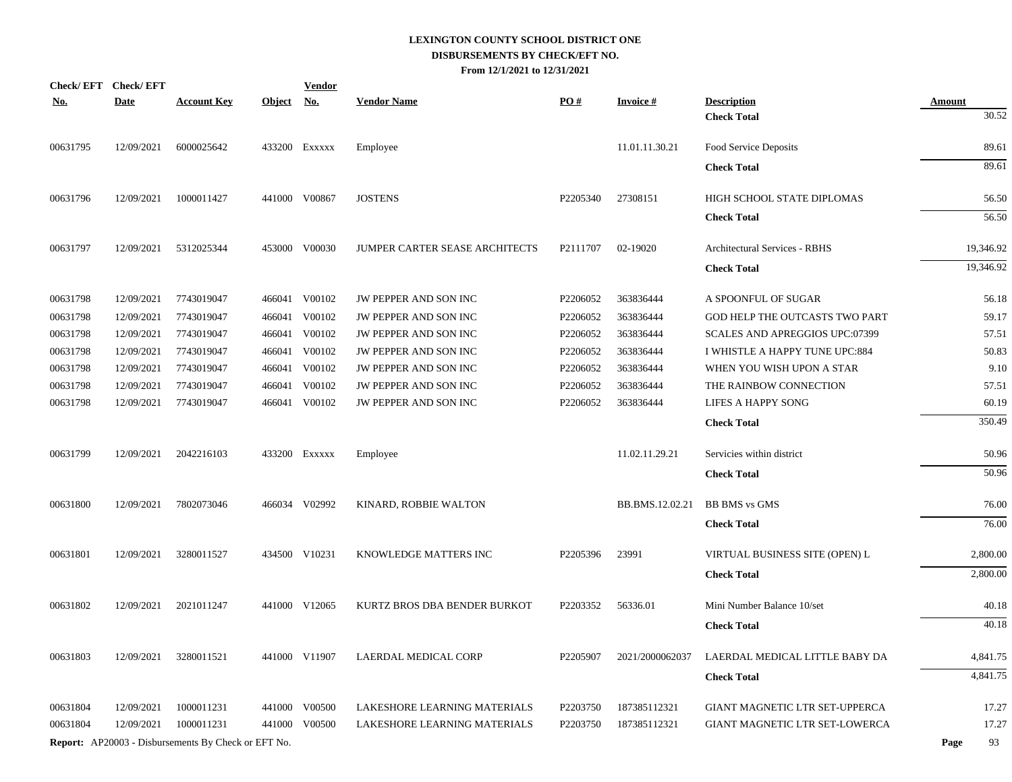|            | Check/EFT Check/EFT |                                                            |            | <b>Vendor</b> |                                |          |                 |                                       |                        |
|------------|---------------------|------------------------------------------------------------|------------|---------------|--------------------------------|----------|-----------------|---------------------------------------|------------------------|
| <u>No.</u> | <b>Date</b>         | <b>Account Key</b>                                         | Object No. |               | <b>Vendor Name</b>             | PO#      | <b>Invoice#</b> | <b>Description</b>                    | <b>Amount</b><br>30.52 |
|            |                     |                                                            |            |               |                                |          |                 | <b>Check Total</b>                    |                        |
| 00631795   | 12/09/2021          | 6000025642                                                 |            | 433200 Exxxxx | Employee                       |          | 11.01.11.30.21  | Food Service Deposits                 | 89.61                  |
|            |                     |                                                            |            |               |                                |          |                 | <b>Check Total</b>                    | 89.61                  |
| 00631796   | 12/09/2021          | 1000011427                                                 |            | 441000 V00867 | <b>JOSTENS</b>                 | P2205340 | 27308151        | HIGH SCHOOL STATE DIPLOMAS            | 56.50                  |
|            |                     |                                                            |            |               |                                |          |                 | <b>Check Total</b>                    | 56.50                  |
| 00631797   | 12/09/2021          | 5312025344                                                 | 453000     | V00030        | JUMPER CARTER SEASE ARCHITECTS | P2111707 | 02-19020        | <b>Architectural Services - RBHS</b>  | 19,346.92              |
|            |                     |                                                            |            |               |                                |          |                 | <b>Check Total</b>                    | 19,346.92              |
| 00631798   | 12/09/2021          | 7743019047                                                 |            | 466041 V00102 | JW PEPPER AND SON INC          | P2206052 | 363836444       | A SPOONFUL OF SUGAR                   | 56.18                  |
| 00631798   | 12/09/2021          | 7743019047                                                 | 466041     | V00102        | JW PEPPER AND SON INC          | P2206052 | 363836444       | GOD HELP THE OUTCASTS TWO PART        | 59.17                  |
| 00631798   | 12/09/2021          | 7743019047                                                 |            | 466041 V00102 | JW PEPPER AND SON INC          | P2206052 | 363836444       | <b>SCALES AND APREGGIOS UPC:07399</b> | 57.51                  |
| 00631798   | 12/09/2021          | 7743019047                                                 | 466041     | V00102        | JW PEPPER AND SON INC          | P2206052 | 363836444       | I WHISTLE A HAPPY TUNE UPC:884        | 50.83                  |
| 00631798   | 12/09/2021          | 7743019047                                                 | 466041     | V00102        | JW PEPPER AND SON INC          | P2206052 | 363836444       | WHEN YOU WISH UPON A STAR             | 9.10                   |
| 00631798   | 12/09/2021          | 7743019047                                                 | 466041     | V00102        | JW PEPPER AND SON INC          | P2206052 | 363836444       | THE RAINBOW CONNECTION                | 57.51                  |
| 00631798   | 12/09/2021          | 7743019047                                                 |            | 466041 V00102 | JW PEPPER AND SON INC          | P2206052 | 363836444       | <b>LIFES A HAPPY SONG</b>             | 60.19                  |
|            |                     |                                                            |            |               |                                |          |                 | <b>Check Total</b>                    | 350.49                 |
| 00631799   | 12/09/2021          | 2042216103                                                 |            | 433200 Exxxxx | Employee                       |          | 11.02.11.29.21  | Servicies within district             | 50.96                  |
|            |                     |                                                            |            |               |                                |          |                 | <b>Check Total</b>                    | 50.96                  |
| 00631800   | 12/09/2021          | 7802073046                                                 |            | 466034 V02992 | KINARD, ROBBIE WALTON          |          | BB.BMS.12.02.21 | <b>BB BMS</b> vs GMS                  | 76.00                  |
|            |                     |                                                            |            |               |                                |          |                 | <b>Check Total</b>                    | 76.00                  |
| 00631801   | 12/09/2021          | 3280011527                                                 |            | 434500 V10231 | KNOWLEDGE MATTERS INC          | P2205396 | 23991           | VIRTUAL BUSINESS SITE (OPEN) L        | 2,800.00               |
|            |                     |                                                            |            |               |                                |          |                 | <b>Check Total</b>                    | 2,800.00               |
| 00631802   | 12/09/2021          | 2021011247                                                 |            | 441000 V12065 | KURTZ BROS DBA BENDER BURKOT   | P2203352 | 56336.01        | Mini Number Balance 10/set            | 40.18                  |
|            |                     |                                                            |            |               |                                |          |                 | <b>Check Total</b>                    | 40.18                  |
| 00631803   | 12/09/2021          | 3280011521                                                 |            | 441000 V11907 | LAERDAL MEDICAL CORP           | P2205907 | 2021/2000062037 | LAERDAL MEDICAL LITTLE BABY DA        | 4,841.75               |
|            |                     |                                                            |            |               |                                |          |                 | <b>Check Total</b>                    | 4,841.75               |
| 00631804   | 12/09/2021          | 1000011231                                                 | 441000     | V00500        | LAKESHORE LEARNING MATERIALS   | P2203750 | 187385112321    | GIANT MAGNETIC LTR SET-UPPERCA        | 17.27                  |
| 00631804   | 12/09/2021          | 1000011231                                                 |            | 441000 V00500 | LAKESHORE LEARNING MATERIALS   | P2203750 | 187385112321    | GIANT MAGNETIC LTR SET-LOWERCA        | 17.27                  |
|            |                     | <b>Report:</b> AP20003 - Disbursements By Check or EFT No. |            |               |                                |          |                 |                                       | 93<br>Page             |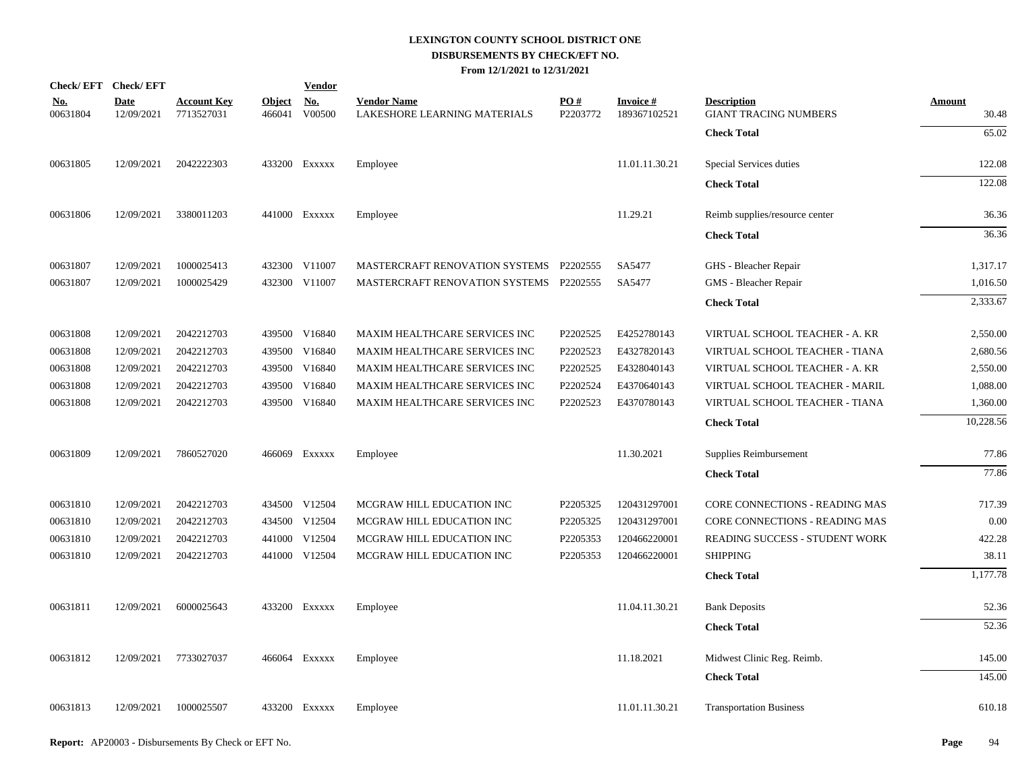|                        | Check/EFT Check/EFT       |                                  |                         | <b>Vendor</b>        |                                                    |                 |                                 |                                                    |                        |
|------------------------|---------------------------|----------------------------------|-------------------------|----------------------|----------------------------------------------------|-----------------|---------------------------------|----------------------------------------------------|------------------------|
| <u>No.</u><br>00631804 | <b>Date</b><br>12/09/2021 | <b>Account Key</b><br>7713527031 | <b>Object</b><br>466041 | <u>No.</u><br>V00500 | <b>Vendor Name</b><br>LAKESHORE LEARNING MATERIALS | PO#<br>P2203772 | <b>Invoice#</b><br>189367102521 | <b>Description</b><br><b>GIANT TRACING NUMBERS</b> | <b>Amount</b><br>30.48 |
|                        |                           |                                  |                         |                      |                                                    |                 |                                 | <b>Check Total</b>                                 | 65.02                  |
| 00631805               | 12/09/2021                | 2042222303                       |                         | 433200 Exxxxx        | Employee                                           |                 | 11.01.11.30.21                  | Special Services duties                            | 122.08                 |
|                        |                           |                                  |                         |                      |                                                    |                 |                                 | <b>Check Total</b>                                 | 122.08                 |
| 00631806               | 12/09/2021                | 3380011203                       |                         | 441000 Exxxxx        | Employee                                           |                 | 11.29.21                        | Reimb supplies/resource center                     | 36.36                  |
|                        |                           |                                  |                         |                      |                                                    |                 |                                 | <b>Check Total</b>                                 | 36.36                  |
| 00631807               | 12/09/2021                | 1000025413                       |                         | 432300 V11007        | MASTERCRAFT RENOVATION SYSTEMS P2202555            |                 | SA5477                          | GHS - Bleacher Repair                              | 1,317.17               |
| 00631807               | 12/09/2021                | 1000025429                       |                         | 432300 V11007        | MASTERCRAFT RENOVATION SYSTEMS P2202555            |                 | SA5477                          | GMS - Bleacher Repair                              | 1,016.50               |
|                        |                           |                                  |                         |                      |                                                    |                 |                                 | <b>Check Total</b>                                 | 2,333.67               |
| 00631808               | 12/09/2021                | 2042212703                       |                         | 439500 V16840        | MAXIM HEALTHCARE SERVICES INC                      | P2202525        | E4252780143                     | VIRTUAL SCHOOL TEACHER - A. KR                     | 2,550.00               |
| 00631808               | 12/09/2021                | 2042212703                       | 439500                  | V16840               | MAXIM HEALTHCARE SERVICES INC                      | P2202523        | E4327820143                     | VIRTUAL SCHOOL TEACHER - TIANA                     | 2,680.56               |
| 00631808               | 12/09/2021                | 2042212703                       |                         | 439500 V16840        | MAXIM HEALTHCARE SERVICES INC                      | P2202525        | E4328040143                     | VIRTUAL SCHOOL TEACHER - A. KR                     | 2,550.00               |
| 00631808               | 12/09/2021                | 2042212703                       | 439500                  | V16840               | MAXIM HEALTHCARE SERVICES INC                      | P2202524        | E4370640143                     | VIRTUAL SCHOOL TEACHER - MARIL                     | 1,088.00               |
| 00631808               | 12/09/2021                | 2042212703                       |                         | 439500 V16840        | MAXIM HEALTHCARE SERVICES INC                      | P2202523        | E4370780143                     | VIRTUAL SCHOOL TEACHER - TIANA                     | 1,360.00               |
|                        |                           |                                  |                         |                      |                                                    |                 |                                 | <b>Check Total</b>                                 | 10,228.56              |
| 00631809               | 12/09/2021                | 7860527020                       |                         | 466069 Exxxxx        | Employee                                           |                 | 11.30.2021                      | Supplies Reimbursement                             | 77.86                  |
|                        |                           |                                  |                         |                      |                                                    |                 |                                 | <b>Check Total</b>                                 | 77.86                  |
| 00631810               | 12/09/2021                | 2042212703                       |                         | 434500 V12504        | MCGRAW HILL EDUCATION INC                          | P2205325        | 120431297001                    | CORE CONNECTIONS - READING MAS                     | 717.39                 |
| 00631810               | 12/09/2021                | 2042212703                       |                         | 434500 V12504        | MCGRAW HILL EDUCATION INC                          | P2205325        | 120431297001                    | CORE CONNECTIONS - READING MAS                     | 0.00                   |
| 00631810               | 12/09/2021                | 2042212703                       |                         | 441000 V12504        | MCGRAW HILL EDUCATION INC                          | P2205353        | 120466220001                    | READING SUCCESS - STUDENT WORK                     | 422.28                 |
| 00631810               | 12/09/2021                | 2042212703                       |                         | 441000 V12504        | MCGRAW HILL EDUCATION INC                          | P2205353        | 120466220001                    | <b>SHIPPING</b>                                    | 38.11                  |
|                        |                           |                                  |                         |                      |                                                    |                 |                                 | <b>Check Total</b>                                 | 1,177.78               |
| 00631811               | 12/09/2021                | 6000025643                       |                         | 433200 Exxxxx        | Employee                                           |                 | 11.04.11.30.21                  | <b>Bank Deposits</b>                               | 52.36                  |
|                        |                           |                                  |                         |                      |                                                    |                 |                                 | <b>Check Total</b>                                 | 52.36                  |
| 00631812               | 12/09/2021                | 7733027037                       |                         | 466064 Exxxxx        | Employee                                           |                 | 11.18.2021                      | Midwest Clinic Reg. Reimb.                         | 145.00                 |
|                        |                           |                                  |                         |                      |                                                    |                 |                                 | <b>Check Total</b>                                 | 145.00                 |
| 00631813               | 12/09/2021                | 1000025507                       |                         | 433200 EXXXXX        | Employee                                           |                 | 11.01.11.30.21                  | <b>Transportation Business</b>                     | 610.18                 |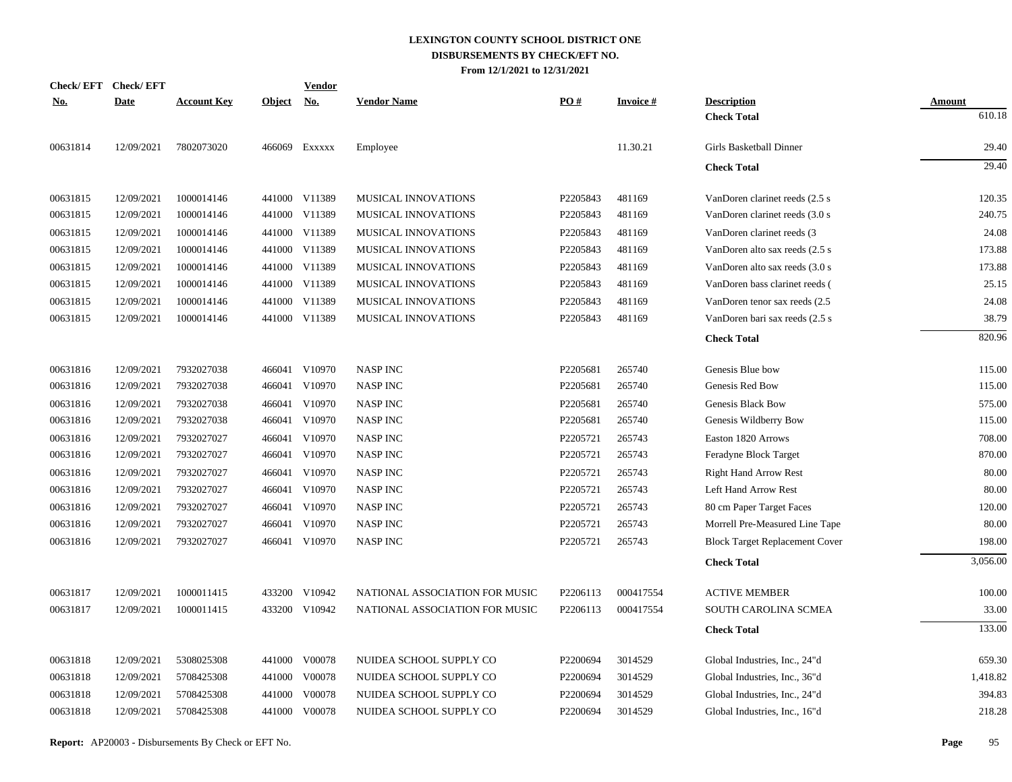|            | Check/EFT Check/EFT |                    |               | <u>Vendor</u>             |                                |          |                 |                                       |               |
|------------|---------------------|--------------------|---------------|---------------------------|--------------------------------|----------|-----------------|---------------------------------------|---------------|
| <u>No.</u> | <b>Date</b>         | <b>Account Key</b> | <b>Object</b> | $\underline{\mathrm{No}}$ | <b>Vendor Name</b>             | PO#      | <b>Invoice#</b> | <b>Description</b>                    | <b>Amount</b> |
|            |                     |                    |               |                           |                                |          |                 | <b>Check Total</b>                    | 610.18        |
| 00631814   | 12/09/2021          | 7802073020         |               | 466069 Exxxxx             | Employee                       |          | 11.30.21        | Girls Basketball Dinner               | 29.40         |
|            |                     |                    |               |                           |                                |          |                 | <b>Check Total</b>                    | 29.40         |
| 00631815   | 12/09/2021          | 1000014146         |               | 441000 V11389             | MUSICAL INNOVATIONS            | P2205843 | 481169          | VanDoren clarinet reeds (2.5 s)       | 120.35        |
| 00631815   | 12/09/2021          | 1000014146         |               | 441000 V11389             | MUSICAL INNOVATIONS            | P2205843 | 481169          | VanDoren clarinet reeds (3.0 s        | 240.75        |
| 00631815   | 12/09/2021          | 1000014146         |               | 441000 V11389             | MUSICAL INNOVATIONS            | P2205843 | 481169          | VanDoren clarinet reeds (3            | 24.08         |
| 00631815   | 12/09/2021          | 1000014146         |               | 441000 V11389             | MUSICAL INNOVATIONS            | P2205843 | 481169          | VanDoren alto sax reeds (2.5 s)       | 173.88        |
| 00631815   | 12/09/2021          | 1000014146         |               | 441000 V11389             | MUSICAL INNOVATIONS            | P2205843 | 481169          | VanDoren alto sax reeds (3.0 s)       | 173.88        |
| 00631815   | 12/09/2021          | 1000014146         |               | 441000 V11389             | MUSICAL INNOVATIONS            | P2205843 | 481169          | VanDoren bass clarinet reeds (        | 25.15         |
| 00631815   | 12/09/2021          | 1000014146         |               | 441000 V11389             | <b>MUSICAL INNOVATIONS</b>     | P2205843 | 481169          | VanDoren tenor sax reeds (2.5         | 24.08         |
| 00631815   | 12/09/2021          | 1000014146         |               | 441000 V11389             | MUSICAL INNOVATIONS            | P2205843 | 481169          | VanDoren bari sax reeds (2.5 s)       | 38.79         |
|            |                     |                    |               |                           |                                |          |                 | <b>Check Total</b>                    | 820.96        |
| 00631816   | 12/09/2021          | 7932027038         |               | 466041 V10970             | <b>NASP INC</b>                | P2205681 | 265740          | Genesis Blue bow                      | 115.00        |
| 00631816   | 12/09/2021          | 7932027038         |               | 466041 V10970             | <b>NASP INC</b>                | P2205681 | 265740          | Genesis Red Bow                       | 115.00        |
| 00631816   | 12/09/2021          | 7932027038         |               | 466041 V10970             | <b>NASP INC</b>                | P2205681 | 265740          | Genesis Black Bow                     | 575.00        |
| 00631816   | 12/09/2021          | 7932027038         |               | 466041 V10970             | <b>NASP INC</b>                | P2205681 | 265740          | Genesis Wildberry Bow                 | 115.00        |
| 00631816   | 12/09/2021          | 7932027027         |               | 466041 V10970             | <b>NASP INC</b>                | P2205721 | 265743          | Easton 1820 Arrows                    | 708.00        |
| 00631816   | 12/09/2021          | 7932027027         |               | 466041 V10970             | <b>NASP INC</b>                | P2205721 | 265743          | Feradyne Block Target                 | 870.00        |
| 00631816   | 12/09/2021          | 7932027027         |               | 466041 V10970             | <b>NASP INC</b>                | P2205721 | 265743          | <b>Right Hand Arrow Rest</b>          | 80.00         |
| 00631816   | 12/09/2021          | 7932027027         |               | 466041 V10970             | <b>NASP INC</b>                | P2205721 | 265743          | Left Hand Arrow Rest                  | 80.00         |
| 00631816   | 12/09/2021          | 7932027027         |               | 466041 V10970             | <b>NASP INC</b>                | P2205721 | 265743          | 80 cm Paper Target Faces              | 120.00        |
| 00631816   | 12/09/2021          | 7932027027         |               | 466041 V10970             | <b>NASP INC</b>                | P2205721 | 265743          | Morrell Pre-Measured Line Tape        | 80.00         |
| 00631816   | 12/09/2021          | 7932027027         |               | 466041 V10970             | <b>NASP INC</b>                | P2205721 | 265743          | <b>Block Target Replacement Cover</b> | 198.00        |
|            |                     |                    |               |                           |                                |          |                 | <b>Check Total</b>                    | 3,056.00      |
| 00631817   | 12/09/2021          | 1000011415         |               | 433200 V10942             | NATIONAL ASSOCIATION FOR MUSIC | P2206113 | 000417554       | <b>ACTIVE MEMBER</b>                  | 100.00        |
| 00631817   | 12/09/2021          | 1000011415         |               | 433200 V10942             | NATIONAL ASSOCIATION FOR MUSIC | P2206113 | 000417554       | SOUTH CAROLINA SCMEA                  | 33.00         |
|            |                     |                    |               |                           |                                |          |                 | <b>Check Total</b>                    | 133.00        |
| 00631818   | 12/09/2021          | 5308025308         |               | 441000 V00078             | NUIDEA SCHOOL SUPPLY CO        | P2200694 | 3014529         | Global Industries, Inc., 24"d         | 659.30        |
| 00631818   | 12/09/2021          | 5708425308         |               | 441000 V00078             | NUIDEA SCHOOL SUPPLY CO        | P2200694 | 3014529         | Global Industries, Inc., 36"d         | 1,418.82      |
| 00631818   | 12/09/2021          | 5708425308         | 441000        | V00078                    | NUIDEA SCHOOL SUPPLY CO        | P2200694 | 3014529         | Global Industries, Inc., 24"d         | 394.83        |
| 00631818   | 12/09/2021          | 5708425308         |               | 441000 V00078             | NUIDEA SCHOOL SUPPLY CO        | P2200694 | 3014529         | Global Industries, Inc., 16"d         | 218.28        |
|            |                     |                    |               |                           |                                |          |                 |                                       |               |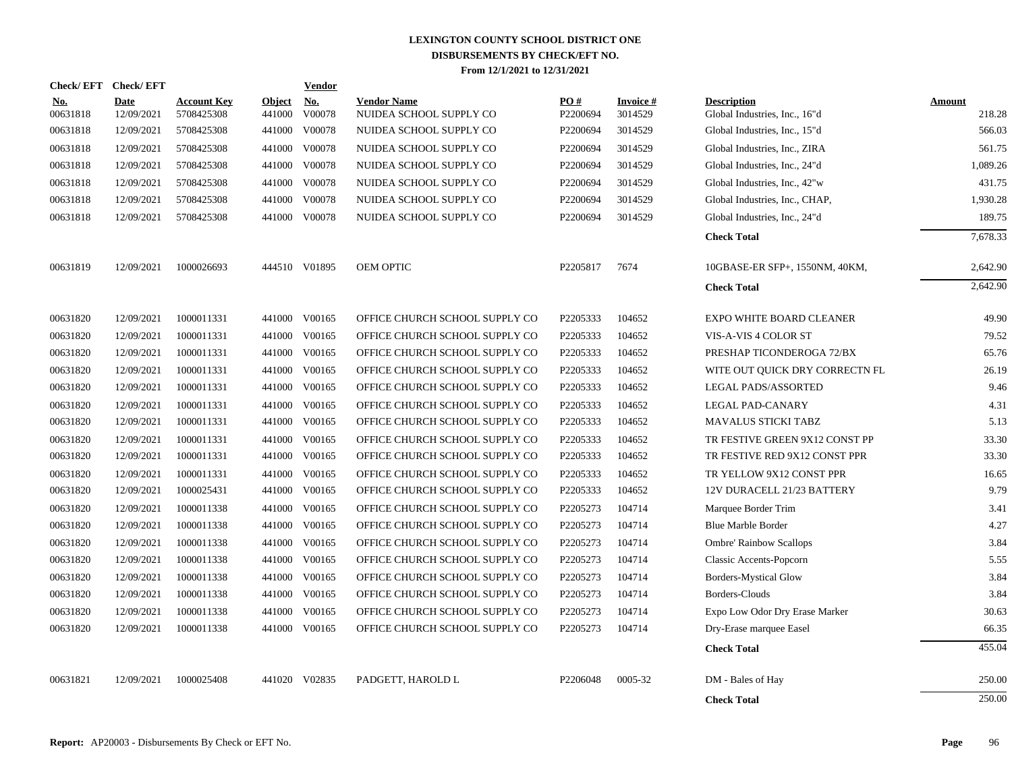| Check/EFT Check/EFT    |                           |                                  |                         | <b>Vendor</b>        |                                               |                 |                            |                                                     |                         |
|------------------------|---------------------------|----------------------------------|-------------------------|----------------------|-----------------------------------------------|-----------------|----------------------------|-----------------------------------------------------|-------------------------|
| <u>No.</u><br>00631818 | <b>Date</b><br>12/09/2021 | <b>Account Key</b><br>5708425308 | <b>Object</b><br>441000 | <u>No.</u><br>V00078 | <b>Vendor Name</b><br>NUIDEA SCHOOL SUPPLY CO | PO#<br>P2200694 | <b>Invoice#</b><br>3014529 | <b>Description</b><br>Global Industries, Inc., 16"d | <b>Amount</b><br>218.28 |
| 00631818               | 12/09/2021                | 5708425308                       |                         | 441000 V00078        | NUIDEA SCHOOL SUPPLY CO                       | P2200694        | 3014529                    | Global Industries, Inc., 15"d                       | 566.03                  |
| 00631818               | 12/09/2021                | 5708425308                       | 441000                  | V00078               | NUIDEA SCHOOL SUPPLY CO                       | P2200694        | 3014529                    | Global Industries, Inc., ZIRA                       | 561.75                  |
| 00631818               | 12/09/2021                | 5708425308                       | 441000                  | V00078               | NUIDEA SCHOOL SUPPLY CO                       | P2200694        | 3014529                    | Global Industries, Inc., 24"d                       | 1,089.26                |
| 00631818               | 12/09/2021                | 5708425308                       |                         | 441000 V00078        | NUIDEA SCHOOL SUPPLY CO                       | P2200694        | 3014529                    | Global Industries, Inc., 42"w                       | 431.75                  |
| 00631818               | 12/09/2021                | 5708425308                       |                         | 441000 V00078        | NUIDEA SCHOOL SUPPLY CO                       | P2200694        | 3014529                    | Global Industries, Inc., CHAP,                      | 1,930.28                |
| 00631818               | 12/09/2021                | 5708425308                       |                         | 441000 V00078        | NUIDEA SCHOOL SUPPLY CO                       | P2200694        | 3014529                    | Global Industries, Inc., 24"d                       | 189.75                  |
|                        |                           |                                  |                         |                      |                                               |                 |                            | <b>Check Total</b>                                  | 7,678.33                |
| 00631819               | 12/09/2021                | 1000026693                       |                         | 444510 V01895        | OEM OPTIC                                     | P2205817        | 7674                       | 10GBASE-ER SFP+, 1550NM, 40KM,                      | 2,642.90                |
|                        |                           |                                  |                         |                      |                                               |                 |                            | <b>Check Total</b>                                  | 2,642.90                |
| 00631820               | 12/09/2021                | 1000011331                       |                         | 441000 V00165        | OFFICE CHURCH SCHOOL SUPPLY CO                | P2205333        | 104652                     | <b>EXPO WHITE BOARD CLEANER</b>                     | 49.90                   |
| 00631820               | 12/09/2021                | 1000011331                       |                         | 441000 V00165        | OFFICE CHURCH SCHOOL SUPPLY CO                | P2205333        | 104652                     | VIS-A-VIS 4 COLOR ST                                | 79.52                   |
| 00631820               | 12/09/2021                | 1000011331                       |                         | 441000 V00165        | OFFICE CHURCH SCHOOL SUPPLY CO                | P2205333        | 104652                     | PRESHAP TICONDEROGA 72/BX                           | 65.76                   |
| 00631820               | 12/09/2021                | 1000011331                       | 441000                  | V00165               | OFFICE CHURCH SCHOOL SUPPLY CO                | P2205333        | 104652                     | WITE OUT OUICK DRY CORRECTN FL                      | 26.19                   |
| 00631820               | 12/09/2021                | 1000011331                       | 441000                  | V00165               | OFFICE CHURCH SCHOOL SUPPLY CO                | P2205333        | 104652                     | LEGAL PADS/ASSORTED                                 | 9.46                    |
| 00631820               | 12/09/2021                | 1000011331                       | 441000                  | V00165               | OFFICE CHURCH SCHOOL SUPPLY CO                | P2205333        | 104652                     | LEGAL PAD-CANARY                                    | 4.31                    |
| 00631820               | 12/09/2021                | 1000011331                       | 441000                  | V00165               | OFFICE CHURCH SCHOOL SUPPLY CO                | P2205333        | 104652                     | <b>MAVALUS STICKI TABZ</b>                          | 5.13                    |
| 00631820               | 12/09/2021                | 1000011331                       | 441000                  | V00165               | OFFICE CHURCH SCHOOL SUPPLY CO                | P2205333        | 104652                     | TR FESTIVE GREEN 9X12 CONST PP                      | 33.30                   |
| 00631820               | 12/09/2021                | 1000011331                       | 441000                  | V00165               | OFFICE CHURCH SCHOOL SUPPLY CO                | P2205333        | 104652                     | TR FESTIVE RED 9X12 CONST PPR                       | 33.30                   |
| 00631820               | 12/09/2021                | 1000011331                       |                         | 441000 V00165        | OFFICE CHURCH SCHOOL SUPPLY CO                | P2205333        | 104652                     | TR YELLOW 9X12 CONST PPR                            | 16.65                   |
| 00631820               | 12/09/2021                | 1000025431                       | 441000                  | V00165               | OFFICE CHURCH SCHOOL SUPPLY CO                | P2205333        | 104652                     | 12V DURACELL 21/23 BATTERY                          | 9.79                    |
| 00631820               | 12/09/2021                | 1000011338                       | 441000                  | V00165               | OFFICE CHURCH SCHOOL SUPPLY CO                | P2205273        | 104714                     | Marquee Border Trim                                 | 3.41                    |
| 00631820               | 12/09/2021                | 1000011338                       | 441000                  | V00165               | OFFICE CHURCH SCHOOL SUPPLY CO                | P2205273        | 104714                     | <b>Blue Marble Border</b>                           | 4.27                    |
| 00631820               | 12/09/2021                | 1000011338                       |                         | 441000 V00165        | OFFICE CHURCH SCHOOL SUPPLY CO                | P2205273        | 104714                     | <b>Ombre' Rainbow Scallops</b>                      | 3.84                    |
| 00631820               | 12/09/2021                | 1000011338                       |                         | 441000 V00165        | OFFICE CHURCH SCHOOL SUPPLY CO                | P2205273        | 104714                     | <b>Classic Accents-Popcorn</b>                      | 5.55                    |
| 00631820               | 12/09/2021                | 1000011338                       |                         | 441000 V00165        | OFFICE CHURCH SCHOOL SUPPLY CO                | P2205273        | 104714                     | Borders-Mystical Glow                               | 3.84                    |
| 00631820               | 12/09/2021                | 1000011338                       |                         | 441000 V00165        | OFFICE CHURCH SCHOOL SUPPLY CO                | P2205273        | 104714                     | Borders-Clouds                                      | 3.84                    |
| 00631820               | 12/09/2021                | 1000011338                       |                         | 441000 V00165        | OFFICE CHURCH SCHOOL SUPPLY CO                | P2205273        | 104714                     | Expo Low Odor Dry Erase Marker                      | 30.63                   |
| 00631820               | 12/09/2021                | 1000011338                       |                         | 441000 V00165        | OFFICE CHURCH SCHOOL SUPPLY CO                | P2205273        | 104714                     | Dry-Erase marquee Easel                             | 66.35                   |
|                        |                           |                                  |                         |                      |                                               |                 |                            | <b>Check Total</b>                                  | 455.04                  |
| 00631821               | 12/09/2021                | 1000025408                       |                         | 441020 V02835        | PADGETT, HAROLD L                             | P2206048        | 0005-32                    | DM - Bales of Hay                                   | 250.00                  |
|                        |                           |                                  |                         |                      |                                               |                 |                            | <b>Check Total</b>                                  | 250.00                  |
|                        |                           |                                  |                         |                      |                                               |                 |                            |                                                     |                         |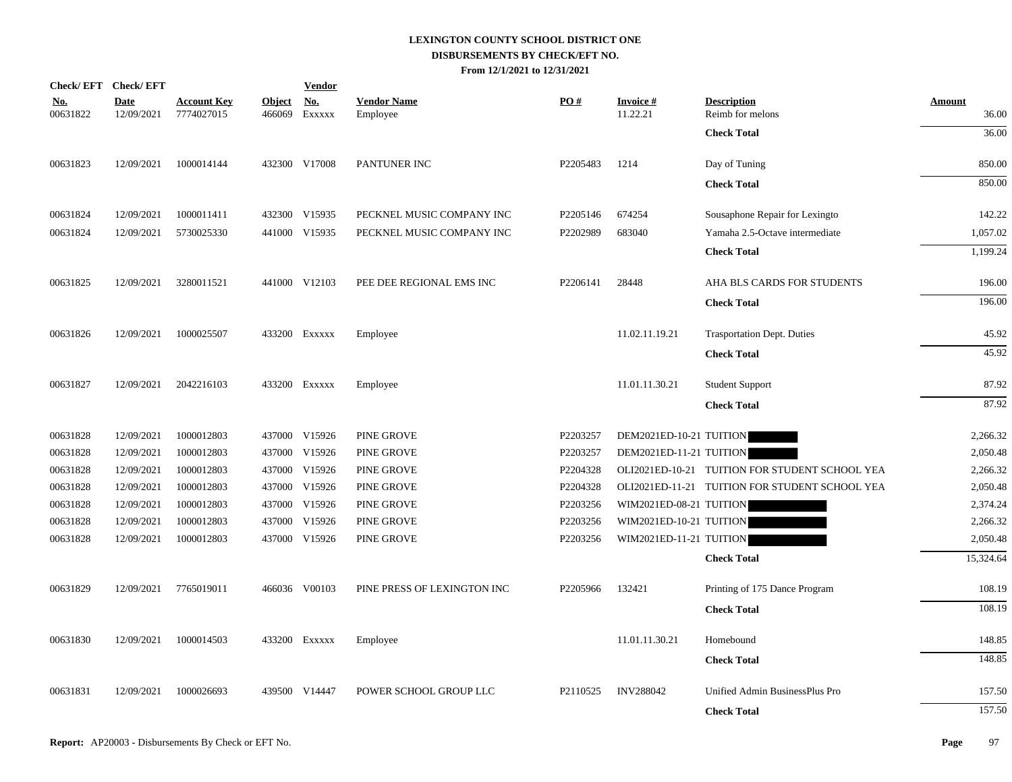|                        | Check/EFT Check/EFT       |                                  |               | <b>Vendor</b>               |                                |          |                             |                                                |                        |
|------------------------|---------------------------|----------------------------------|---------------|-----------------------------|--------------------------------|----------|-----------------------------|------------------------------------------------|------------------------|
| <u>No.</u><br>00631822 | <b>Date</b><br>12/09/2021 | <b>Account Key</b><br>7774027015 | <b>Object</b> | <u>No.</u><br>466069 Exxxxx | <b>Vendor Name</b><br>Employee | PO#      | <b>Invoice#</b><br>11.22.21 | <b>Description</b><br>Reimb for melons         | <b>Amount</b><br>36.00 |
|                        |                           |                                  |               |                             |                                |          |                             | <b>Check Total</b>                             | 36.00                  |
| 00631823               | 12/09/2021                | 1000014144                       |               | 432300 V17008               | PANTUNER INC                   | P2205483 | 1214                        | Day of Tuning                                  | 850.00                 |
|                        |                           |                                  |               |                             |                                |          |                             | <b>Check Total</b>                             | 850.00                 |
| 00631824               | 12/09/2021                | 1000011411                       |               | 432300 V15935               | PECKNEL MUSIC COMPANY INC      | P2205146 | 674254                      | Sousaphone Repair for Lexingto                 | 142.22                 |
| 00631824               | 12/09/2021                | 5730025330                       |               | 441000 V15935               | PECKNEL MUSIC COMPANY INC      | P2202989 | 683040                      | Yamaha 2.5-Octave intermediate                 | 1,057.02               |
|                        |                           |                                  |               |                             |                                |          |                             | <b>Check Total</b>                             | 1,199.24               |
| 00631825               | 12/09/2021                | 3280011521                       |               | 441000 V12103               | PEE DEE REGIONAL EMS INC       | P2206141 | 28448                       | AHA BLS CARDS FOR STUDENTS                     | 196.00                 |
|                        |                           |                                  |               |                             |                                |          |                             | <b>Check Total</b>                             | 196.00                 |
| 00631826               | 12/09/2021                | 1000025507                       |               | 433200 Exxxxx               | Employee                       |          | 11.02.11.19.21              | <b>Trasportation Dept. Duties</b>              | 45.92                  |
|                        |                           |                                  |               |                             |                                |          |                             | <b>Check Total</b>                             | 45.92                  |
| 00631827               | 12/09/2021                | 2042216103                       |               | 433200 Exxxxx               | Employee                       |          | 11.01.11.30.21              | <b>Student Support</b>                         | 87.92                  |
|                        |                           |                                  |               |                             |                                |          |                             | <b>Check Total</b>                             | 87.92                  |
| 00631828               | 12/09/2021                | 1000012803                       |               | 437000 V15926               | PINE GROVE                     | P2203257 | DEM2021ED-10-21 TUITION     |                                                | 2,266.32               |
| 00631828               | 12/09/2021                | 1000012803                       |               | 437000 V15926               | PINE GROVE                     | P2203257 | DEM2021ED-11-21 TUITION     |                                                | 2,050.48               |
| 00631828               | 12/09/2021                | 1000012803                       |               | 437000 V15926               | PINE GROVE                     | P2204328 |                             | OLI2021ED-10-21 TUITION FOR STUDENT SCHOOL YEA | 2,266.32               |
| 00631828               | 12/09/2021                | 1000012803                       |               | 437000 V15926               | PINE GROVE                     | P2204328 |                             | OLI2021ED-11-21 TUITION FOR STUDENT SCHOOL YEA | 2,050.48               |
| 00631828               | 12/09/2021                | 1000012803                       |               | 437000 V15926               | PINE GROVE                     | P2203256 | WIM2021ED-08-21 TUITION     |                                                | 2,374.24               |
| 00631828               | 12/09/2021                | 1000012803                       |               | 437000 V15926               | PINE GROVE                     | P2203256 | WIM2021ED-10-21 TUITION     |                                                | 2,266.32               |
| 00631828               | 12/09/2021                | 1000012803                       |               | 437000 V15926               | PINE GROVE                     | P2203256 | WIM2021ED-11-21 TUITION     |                                                | 2,050.48               |
|                        |                           |                                  |               |                             |                                |          |                             | <b>Check Total</b>                             | 15,324.64              |
| 00631829               | 12/09/2021                | 7765019011                       |               | 466036 V00103               | PINE PRESS OF LEXINGTON INC    | P2205966 | 132421                      | Printing of 175 Dance Program                  | 108.19                 |
|                        |                           |                                  |               |                             |                                |          |                             | <b>Check Total</b>                             | 108.19                 |
| 00631830               | 12/09/2021                | 1000014503                       |               | 433200 Exxxxx               | Employee                       |          | 11.01.11.30.21              | Homebound                                      | 148.85                 |
|                        |                           |                                  |               |                             |                                |          |                             | <b>Check Total</b>                             | 148.85                 |
| 00631831               | 12/09/2021                | 1000026693                       |               | 439500 V14447               | POWER SCHOOL GROUP LLC         | P2110525 | <b>INV288042</b>            | Unified Admin BusinessPlus Pro                 | 157.50                 |
|                        |                           |                                  |               |                             |                                |          |                             | <b>Check Total</b>                             | 157.50                 |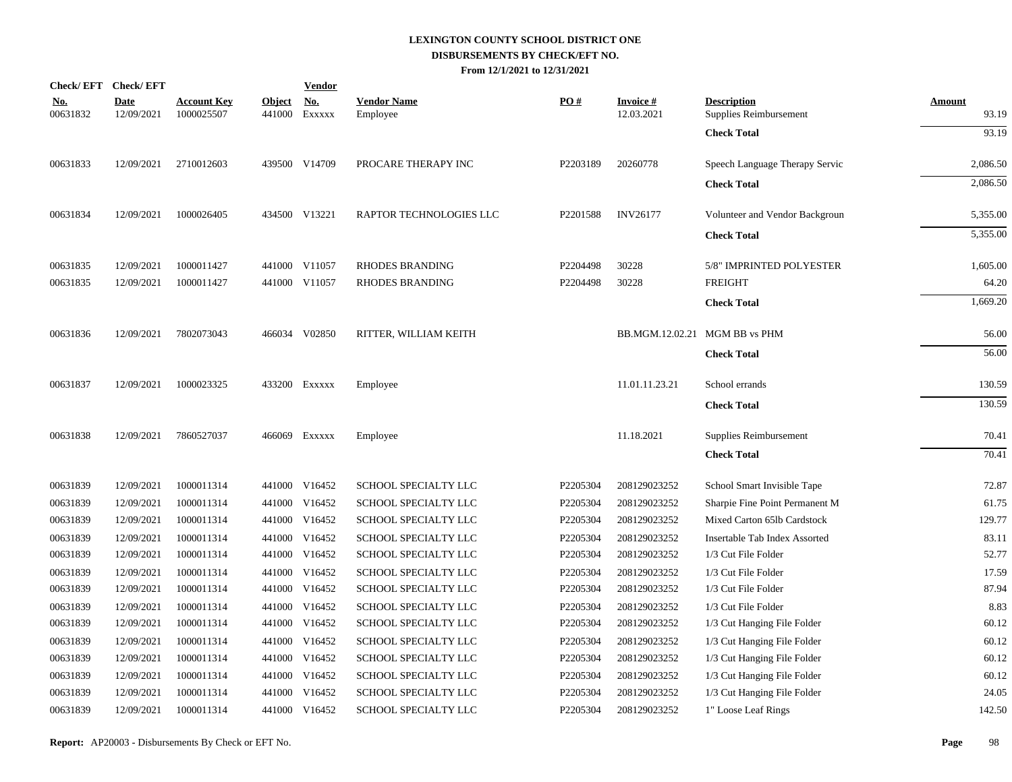|                        | Check/EFT Check/EFT       |                                  |                         | <b>Vendor</b>        |                                |          |                               |                                              |                        |
|------------------------|---------------------------|----------------------------------|-------------------------|----------------------|--------------------------------|----------|-------------------------------|----------------------------------------------|------------------------|
| <u>No.</u><br>00631832 | <b>Date</b><br>12/09/2021 | <b>Account Key</b><br>1000025507 | <b>Object</b><br>441000 | <u>No.</u><br>EXXXXX | <b>Vendor Name</b><br>Employee | PO#      | <b>Invoice#</b><br>12.03.2021 | <b>Description</b><br>Supplies Reimbursement | <b>Amount</b><br>93.19 |
|                        |                           |                                  |                         |                      |                                |          |                               | <b>Check Total</b>                           | 93.19                  |
| 00631833               | 12/09/2021                | 2710012603                       |                         | 439500 V14709        | PROCARE THERAPY INC            | P2203189 | 20260778                      | Speech Language Therapy Servic               | 2,086.50               |
|                        |                           |                                  |                         |                      |                                |          |                               | <b>Check Total</b>                           | 2,086.50               |
| 00631834               | 12/09/2021                | 1000026405                       |                         | 434500 V13221        | RAPTOR TECHNOLOGIES LLC        | P2201588 | <b>INV26177</b>               | Volunteer and Vendor Backgroun               | 5,355.00               |
|                        |                           |                                  |                         |                      |                                |          |                               | <b>Check Total</b>                           | 5,355.00               |
| 00631835               | 12/09/2021                | 1000011427                       |                         | 441000 V11057        | <b>RHODES BRANDING</b>         | P2204498 | 30228                         | 5/8" IMPRINTED POLYESTER                     | 1,605.00               |
| 00631835               | 12/09/2021                | 1000011427                       |                         | 441000 V11057        | <b>RHODES BRANDING</b>         | P2204498 | 30228                         | <b>FREIGHT</b>                               | 64.20                  |
|                        |                           |                                  |                         |                      |                                |          |                               | <b>Check Total</b>                           | 1,669.20               |
| 00631836               | 12/09/2021                | 7802073043                       |                         | 466034 V02850        | RITTER, WILLIAM KEITH          |          | BB.MGM.12.02.21 MGM BB vs PHM |                                              | 56.00                  |
|                        |                           |                                  |                         |                      |                                |          |                               | <b>Check Total</b>                           | 56.00                  |
| 00631837               | 12/09/2021                | 1000023325                       |                         | 433200 EXXXXX        | Employee                       |          | 11.01.11.23.21                | School errands                               | 130.59                 |
|                        |                           |                                  |                         |                      |                                |          |                               | <b>Check Total</b>                           | 130.59                 |
| 00631838               | 12/09/2021                | 7860527037                       |                         | 466069 Exxxxx        | Employee                       |          | 11.18.2021                    | Supplies Reimbursement                       | 70.41                  |
|                        |                           |                                  |                         |                      |                                |          |                               | <b>Check Total</b>                           | 70.41                  |
| 00631839               | 12/09/2021                | 1000011314                       |                         | 441000 V16452        | SCHOOL SPECIALTY LLC           | P2205304 | 208129023252                  | School Smart Invisible Tape                  | 72.87                  |
| 00631839               | 12/09/2021                | 1000011314                       |                         | 441000 V16452        | SCHOOL SPECIALTY LLC           | P2205304 | 208129023252                  | Sharpie Fine Point Permanent M               | 61.75                  |
| 00631839               | 12/09/2021                | 1000011314                       |                         | 441000 V16452        | SCHOOL SPECIALTY LLC           | P2205304 | 208129023252                  | Mixed Carton 65lb Cardstock                  | 129.77                 |
| 00631839               | 12/09/2021                | 1000011314                       |                         | 441000 V16452        | SCHOOL SPECIALTY LLC           | P2205304 | 208129023252                  | Insertable Tab Index Assorted                | 83.11                  |
| 00631839               | 12/09/2021                | 1000011314                       |                         | 441000 V16452        | SCHOOL SPECIALTY LLC           | P2205304 | 208129023252                  | 1/3 Cut File Folder                          | 52.77                  |
| 00631839               | 12/09/2021                | 1000011314                       |                         | 441000 V16452        | SCHOOL SPECIALTY LLC           | P2205304 | 208129023252                  | 1/3 Cut File Folder                          | 17.59                  |
| 00631839               | 12/09/2021                | 1000011314                       |                         | 441000 V16452        | SCHOOL SPECIALTY LLC           | P2205304 | 208129023252                  | 1/3 Cut File Folder                          | 87.94                  |
| 00631839               | 12/09/2021                | 1000011314                       |                         | 441000 V16452        | SCHOOL SPECIALTY LLC           | P2205304 | 208129023252                  | 1/3 Cut File Folder                          | 8.83                   |
| 00631839               | 12/09/2021                | 1000011314                       |                         | 441000 V16452        | SCHOOL SPECIALTY LLC           | P2205304 | 208129023252                  | 1/3 Cut Hanging File Folder                  | 60.12                  |
| 00631839               | 12/09/2021                | 1000011314                       | 441000                  | V16452               | SCHOOL SPECIALTY LLC           | P2205304 | 208129023252                  | 1/3 Cut Hanging File Folder                  | 60.12                  |
| 00631839               | 12/09/2021                | 1000011314                       |                         | 441000 V16452        | SCHOOL SPECIALTY LLC           | P2205304 | 208129023252                  | 1/3 Cut Hanging File Folder                  | 60.12                  |
| 00631839               | 12/09/2021                | 1000011314                       | 441000                  | V16452               | SCHOOL SPECIALTY LLC           | P2205304 | 208129023252                  | 1/3 Cut Hanging File Folder                  | 60.12                  |
| 00631839               | 12/09/2021                | 1000011314                       |                         | 441000 V16452        | SCHOOL SPECIALTY LLC           | P2205304 | 208129023252                  | 1/3 Cut Hanging File Folder                  | 24.05                  |
| 00631839               | 12/09/2021                | 1000011314                       |                         | 441000 V16452        | SCHOOL SPECIALTY LLC           | P2205304 | 208129023252                  | 1" Loose Leaf Rings                          | 142.50                 |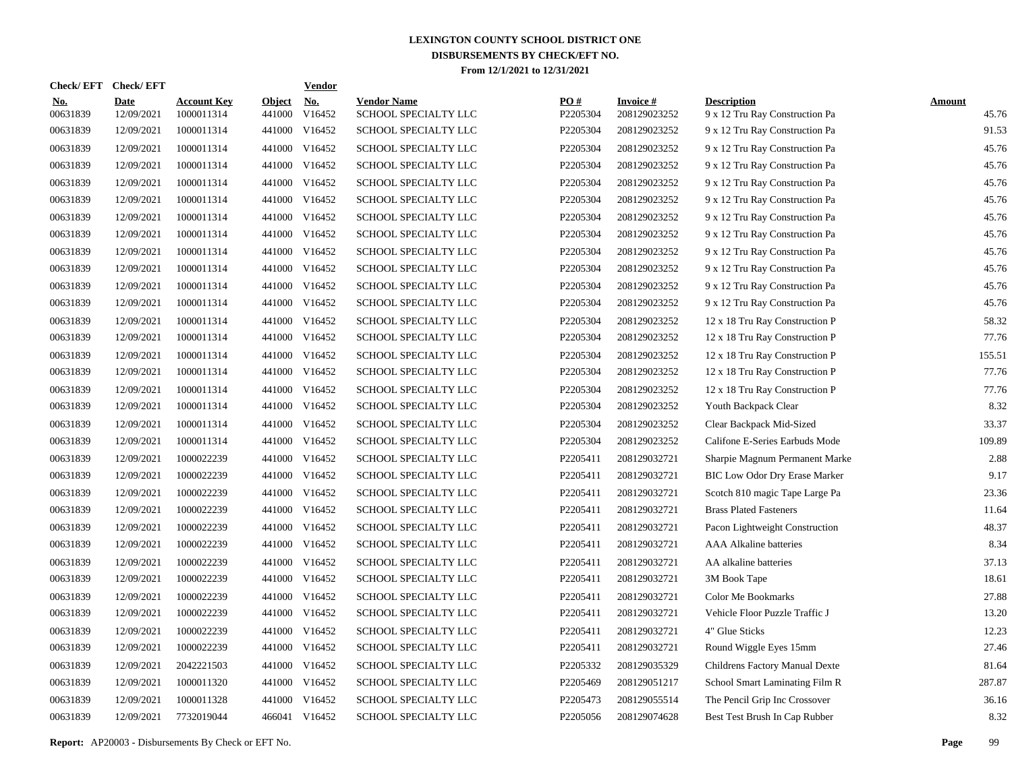| Check/EFT Check/EFT    |                           |                                  |                         | <u>Vendor</u>        |                                            |                 |                                 |                                                      |                        |
|------------------------|---------------------------|----------------------------------|-------------------------|----------------------|--------------------------------------------|-----------------|---------------------------------|------------------------------------------------------|------------------------|
| <u>No.</u><br>00631839 | <b>Date</b><br>12/09/2021 | <b>Account Key</b><br>1000011314 | <b>Object</b><br>441000 | <u>No.</u><br>V16452 | <b>Vendor Name</b><br>SCHOOL SPECIALTY LLC | PQ#<br>P2205304 | <b>Invoice#</b><br>208129023252 | <b>Description</b><br>9 x 12 Tru Ray Construction Pa | <b>Amount</b><br>45.76 |
| 00631839               | 12/09/2021                | 1000011314                       | 441000                  | V16452               | SCHOOL SPECIALTY LLC                       | P2205304        | 208129023252                    | 9 x 12 Tru Ray Construction Pa                       | 91.53                  |
| 00631839               | 12/09/2021                | 1000011314                       | 441000                  | V16452               | SCHOOL SPECIALTY LLC                       | P2205304        | 208129023252                    | 9 x 12 Tru Ray Construction Pa                       | 45.76                  |
| 00631839               | 12/09/2021                | 1000011314                       |                         | 441000 V16452        | <b>SCHOOL SPECIALTY LLC</b>                | P2205304        | 208129023252                    | 9 x 12 Tru Ray Construction Pa                       | 45.76                  |
| 00631839               | 12/09/2021                | 1000011314                       | 441000                  | V16452               | <b>SCHOOL SPECIALTY LLC</b>                | P2205304        | 208129023252                    | 9 x 12 Tru Ray Construction Pa                       | 45.76                  |
| 00631839               | 12/09/2021                | 1000011314                       |                         | 441000 V16452        | SCHOOL SPECIALTY LLC                       | P2205304        | 208129023252                    | 9 x 12 Tru Ray Construction Pa                       | 45.76                  |
| 00631839               | 12/09/2021                | 1000011314                       |                         | 441000 V16452        | SCHOOL SPECIALTY LLC                       | P2205304        | 208129023252                    | 9 x 12 Tru Ray Construction Pa                       | 45.76                  |
| 00631839               | 12/09/2021                | 1000011314                       |                         | 441000 V16452        | SCHOOL SPECIALTY LLC                       | P2205304        | 208129023252                    | 9 x 12 Tru Ray Construction Pa                       | 45.76                  |
| 00631839               | 12/09/2021                | 1000011314                       |                         | 441000 V16452        | SCHOOL SPECIALTY LLC                       | P2205304        | 208129023252                    | 9 x 12 Tru Ray Construction Pa                       | 45.76                  |
| 00631839               | 12/09/2021                | 1000011314                       |                         | 441000 V16452        | SCHOOL SPECIALTY LLC                       | P2205304        | 208129023252                    | 9 x 12 Tru Ray Construction Pa                       | 45.76                  |
| 00631839               | 12/09/2021                | 1000011314                       |                         | 441000 V16452        | SCHOOL SPECIALTY LLC                       | P2205304        | 208129023252                    | 9 x 12 Tru Ray Construction Pa                       | 45.76                  |
| 00631839               | 12/09/2021                | 1000011314                       |                         | 441000 V16452        | SCHOOL SPECIALTY LLC                       | P2205304        | 208129023252                    | 9 x 12 Tru Ray Construction Pa                       | 45.76                  |
| 00631839               | 12/09/2021                | 1000011314                       |                         | 441000 V16452        | SCHOOL SPECIALTY LLC                       | P2205304        | 208129023252                    | 12 x 18 Tru Ray Construction P                       | 58.32                  |
| 00631839               | 12/09/2021                | 1000011314                       |                         | 441000 V16452        | SCHOOL SPECIALTY LLC                       | P2205304        | 208129023252                    | 12 x 18 Tru Ray Construction P                       | 77.76                  |
| 00631839               | 12/09/2021                | 1000011314                       |                         | 441000 V16452        | SCHOOL SPECIALTY LLC                       | P2205304        | 208129023252                    | 12 x 18 Tru Ray Construction P                       | 155.51                 |
| 00631839               | 12/09/2021                | 1000011314                       |                         | 441000 V16452        | SCHOOL SPECIALTY LLC                       | P2205304        | 208129023252                    | 12 x 18 Tru Ray Construction P                       | 77.76                  |
| 00631839               | 12/09/2021                | 1000011314                       |                         | 441000 V16452        | SCHOOL SPECIALTY LLC                       | P2205304        | 208129023252                    | 12 x 18 Tru Ray Construction P                       | 77.76                  |
| 00631839               | 12/09/2021                | 1000011314                       |                         | 441000 V16452        | SCHOOL SPECIALTY LLC                       | P2205304        | 208129023252                    | Youth Backpack Clear                                 | 8.32                   |
| 00631839               | 12/09/2021                | 1000011314                       |                         | 441000 V16452        | SCHOOL SPECIALTY LLC                       | P2205304        | 208129023252                    | Clear Backpack Mid-Sized                             | 33.37                  |
| 00631839               | 12/09/2021                | 1000011314                       |                         | 441000 V16452        | SCHOOL SPECIALTY LLC                       | P2205304        | 208129023252                    | Califone E-Series Earbuds Mode                       | 109.89                 |
| 00631839               | 12/09/2021                | 1000022239                       | 441000                  | V16452               | SCHOOL SPECIALTY LLC                       | P2205411        | 208129032721                    | Sharpie Magnum Permanent Marke                       | 2.88                   |
| 00631839               | 12/09/2021                | 1000022239                       |                         | 441000 V16452        | SCHOOL SPECIALTY LLC                       | P2205411        | 208129032721                    | <b>BIC Low Odor Dry Erase Marker</b>                 | 9.17                   |
| 00631839               | 12/09/2021                | 1000022239                       | 441000                  | V16452               | SCHOOL SPECIALTY LLC                       | P2205411        | 208129032721                    | Scotch 810 magic Tape Large Pa                       | 23.36                  |
| 00631839               | 12/09/2021                | 1000022239                       |                         | 441000 V16452        | SCHOOL SPECIALTY LLC                       | P2205411        | 208129032721                    | <b>Brass Plated Fasteners</b>                        | 11.64                  |
| 00631839               | 12/09/2021                | 1000022239                       | 441000                  | V16452               | SCHOOL SPECIALTY LLC                       | P2205411        | 208129032721                    | Pacon Lightweight Construction                       | 48.37                  |
| 00631839               | 12/09/2021                | 1000022239                       |                         | 441000 V16452        | SCHOOL SPECIALTY LLC                       | P2205411        | 208129032721                    | <b>AAA Alkaline batteries</b>                        | 8.34                   |
| 00631839               | 12/09/2021                | 1000022239                       | 441000                  | V16452               | <b>SCHOOL SPECIALTY LLC</b>                | P2205411        | 208129032721                    | AA alkaline batteries                                | 37.13                  |
| 00631839               | 12/09/2021                | 1000022239                       |                         | 441000 V16452        | SCHOOL SPECIALTY LLC                       | P2205411        | 208129032721                    | 3M Book Tape                                         | 18.61                  |
| 00631839               | 12/09/2021                | 1000022239                       | 441000                  | V16452               | SCHOOL SPECIALTY LLC                       | P2205411        | 208129032721                    | <b>Color Me Bookmarks</b>                            | 27.88                  |
| 00631839               | 12/09/2021                | 1000022239                       |                         | 441000 V16452        | SCHOOL SPECIALTY LLC                       | P2205411        | 208129032721                    | Vehicle Floor Puzzle Traffic J                       | 13.20                  |
| 00631839               | 12/09/2021                | 1000022239                       | 441000                  | V16452               | SCHOOL SPECIALTY LLC                       | P2205411        | 208129032721                    | 4" Glue Sticks                                       | 12.23                  |
| 00631839               | 12/09/2021                | 1000022239                       | 441000                  | V16452               | SCHOOL SPECIALTY LLC                       | P2205411        | 208129032721                    | Round Wiggle Eyes 15mm                               | 27.46                  |
| 00631839               | 12/09/2021                | 2042221503                       | 441000                  | V16452               | SCHOOL SPECIALTY LLC                       | P2205332        | 208129035329                    | Childrens Factory Manual Dexte                       | 81.64                  |
| 00631839               | 12/09/2021                | 1000011320                       | 441000                  | V16452               | SCHOOL SPECIALTY LLC                       | P2205469        | 208129051217                    | School Smart Laminating Film R                       | 287.87                 |
| 00631839               | 12/09/2021                | 1000011328                       | 441000                  | V16452               | SCHOOL SPECIALTY LLC                       | P2205473        | 208129055514                    | The Pencil Grip Inc Crossover                        | 36.16                  |
| 00631839               | 12/09/2021                | 7732019044                       |                         | 466041 V16452        | SCHOOL SPECIALTY LLC                       | P2205056        | 208129074628                    | Best Test Brush In Cap Rubber                        | 8.32                   |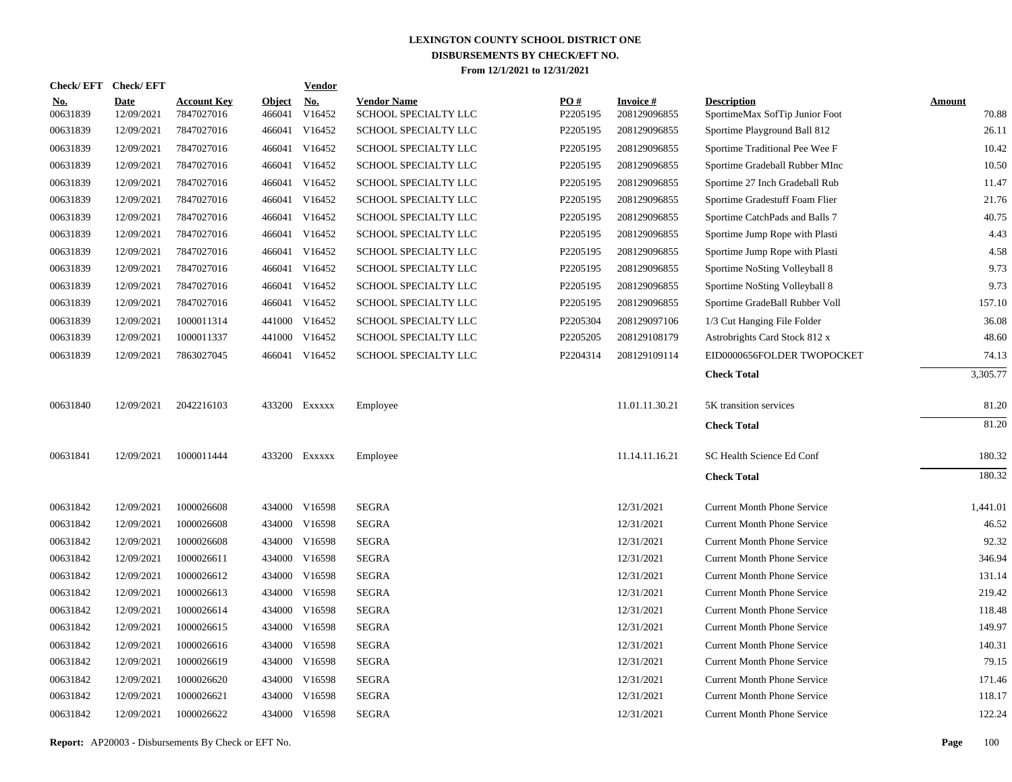|                        | Check/EFT Check/EFT       |                                  |                         | <b>Vendor</b>        |                                            |                 |                                 |                                                      |                        |
|------------------------|---------------------------|----------------------------------|-------------------------|----------------------|--------------------------------------------|-----------------|---------------------------------|------------------------------------------------------|------------------------|
| <u>No.</u><br>00631839 | <b>Date</b><br>12/09/2021 | <b>Account Key</b><br>7847027016 | <b>Object</b><br>466041 | <u>No.</u><br>V16452 | <b>Vendor Name</b><br>SCHOOL SPECIALTY LLC | PQ#<br>P2205195 | <b>Invoice#</b><br>208129096855 | <b>Description</b><br>SportimeMax SofTip Junior Foot | <b>Amount</b><br>70.88 |
| 00631839               | 12/09/2021                | 7847027016                       |                         | 466041 V16452        | SCHOOL SPECIALTY LLC                       | P2205195        | 208129096855                    | Sportime Playground Ball 812                         | 26.11                  |
| 00631839               | 12/09/2021                | 7847027016                       |                         | 466041 V16452        | SCHOOL SPECIALTY LLC                       | P2205195        | 208129096855                    | Sportime Traditional Pee Wee F                       | 10.42                  |
| 00631839               | 12/09/2021                | 7847027016                       |                         | 466041 V16452        | SCHOOL SPECIALTY LLC                       | P2205195        | 208129096855                    | Sportime Gradeball Rubber MInc                       | 10.50                  |
| 00631839               | 12/09/2021                | 7847027016                       |                         | 466041 V16452        | SCHOOL SPECIALTY LLC                       | P2205195        | 208129096855                    | Sportime 27 Inch Gradeball Rub                       | 11.47                  |
| 00631839               | 12/09/2021                | 7847027016                       |                         | 466041 V16452        | SCHOOL SPECIALTY LLC                       | P2205195        | 208129096855                    | Sportime Gradestuff Foam Flier                       | 21.76                  |
| 00631839               | 12/09/2021                | 7847027016                       |                         | 466041 V16452        | SCHOOL SPECIALTY LLC                       | P2205195        | 208129096855                    | Sportime CatchPads and Balls 7                       | 40.75                  |
| 00631839               | 12/09/2021                | 7847027016                       |                         | 466041 V16452        | SCHOOL SPECIALTY LLC                       | P2205195        | 208129096855                    | Sportime Jump Rope with Plasti                       | 4.43                   |
| 00631839               | 12/09/2021                | 7847027016                       |                         | 466041 V16452        | <b>SCHOOL SPECIALTY LLC</b>                | P2205195        | 208129096855                    | Sportime Jump Rope with Plasti                       | 4.58                   |
| 00631839               | 12/09/2021                | 7847027016                       |                         | 466041 V16452        | SCHOOL SPECIALTY LLC                       | P2205195        | 208129096855                    | Sportime NoSting Volleyball 8                        | 9.73                   |
| 00631839               | 12/09/2021                | 7847027016                       |                         | 466041 V16452        | SCHOOL SPECIALTY LLC                       | P2205195        | 208129096855                    | Sportime NoSting Volleyball 8                        | 9.73                   |
| 00631839               | 12/09/2021                | 7847027016                       |                         | 466041 V16452        | SCHOOL SPECIALTY LLC                       | P2205195        | 208129096855                    | Sportime GradeBall Rubber Voll                       | 157.10                 |
| 00631839               | 12/09/2021                | 1000011314                       |                         | 441000 V16452        | SCHOOL SPECIALTY LLC                       | P2205304        | 208129097106                    | 1/3 Cut Hanging File Folder                          | 36.08                  |
| 00631839               | 12/09/2021                | 1000011337                       |                         | 441000 V16452        | SCHOOL SPECIALTY LLC                       | P2205205        | 208129108179                    | Astrobrights Card Stock 812 x                        | 48.60                  |
| 00631839               | 12/09/2021                | 7863027045                       |                         | 466041 V16452        | SCHOOL SPECIALTY LLC                       | P2204314        | 208129109114                    | EID0000656FOLDER TWOPOCKET                           | 74.13                  |
|                        |                           |                                  |                         |                      |                                            |                 |                                 | <b>Check Total</b>                                   | 3,305.77               |
| 00631840               | 12/09/2021                | 2042216103                       |                         | 433200 Exxxxx        | Employee                                   |                 | 11.01.11.30.21                  | 5K transition services                               | 81.20                  |
|                        |                           |                                  |                         |                      |                                            |                 |                                 | <b>Check Total</b>                                   | 81.20                  |
| 00631841               | 12/09/2021                | 1000011444                       |                         | 433200 Exxxxx        | Employee                                   |                 | 11.14.11.16.21                  | SC Health Science Ed Conf                            | 180.32                 |
|                        |                           |                                  |                         |                      |                                            |                 |                                 | <b>Check Total</b>                                   | 180.32                 |
| 00631842               | 12/09/2021                | 1000026608                       |                         | 434000 V16598        | <b>SEGRA</b>                               |                 | 12/31/2021                      | <b>Current Month Phone Service</b>                   | 1,441.01               |
| 00631842               | 12/09/2021                | 1000026608                       |                         | 434000 V16598        | <b>SEGRA</b>                               |                 | 12/31/2021                      | <b>Current Month Phone Service</b>                   | 46.52                  |
| 00631842               | 12/09/2021                | 1000026608                       |                         | 434000 V16598        | <b>SEGRA</b>                               |                 | 12/31/2021                      | <b>Current Month Phone Service</b>                   | 92.32                  |
| 00631842               | 12/09/2021                | 1000026611                       |                         | 434000 V16598        | <b>SEGRA</b>                               |                 | 12/31/2021                      | <b>Current Month Phone Service</b>                   | 346.94                 |
| 00631842               | 12/09/2021                | 1000026612                       | 434000                  | V16598               | <b>SEGRA</b>                               |                 | 12/31/2021                      | <b>Current Month Phone Service</b>                   | 131.14                 |
| 00631842               | 12/09/2021                | 1000026613                       |                         | 434000 V16598        | SEGRA                                      |                 | 12/31/2021                      | <b>Current Month Phone Service</b>                   | 219.42                 |
| 00631842               | 12/09/2021                | 1000026614                       |                         | 434000 V16598        | <b>SEGRA</b>                               |                 | 12/31/2021                      | <b>Current Month Phone Service</b>                   | 118.48                 |
| 00631842               | 12/09/2021                | 1000026615                       |                         | 434000 V16598        | <b>SEGRA</b>                               |                 | 12/31/2021                      | <b>Current Month Phone Service</b>                   | 149.97                 |
| 00631842               | 12/09/2021                | 1000026616                       | 434000                  | V16598               | <b>SEGRA</b>                               |                 | 12/31/2021                      | <b>Current Month Phone Service</b>                   | 140.31                 |
| 00631842               | 12/09/2021                | 1000026619                       |                         | 434000 V16598        | <b>SEGRA</b>                               |                 | 12/31/2021                      | <b>Current Month Phone Service</b>                   | 79.15                  |
| 00631842               | 12/09/2021                | 1000026620                       | 434000                  | V16598               | <b>SEGRA</b>                               |                 | 12/31/2021                      | <b>Current Month Phone Service</b>                   | 171.46                 |
| 00631842               | 12/09/2021                | 1000026621                       | 434000                  | V16598               | <b>SEGRA</b>                               |                 | 12/31/2021                      | <b>Current Month Phone Service</b>                   | 118.17                 |
| 00631842               | 12/09/2021                | 1000026622                       |                         | 434000 V16598        | <b>SEGRA</b>                               |                 | 12/31/2021                      | <b>Current Month Phone Service</b>                   | 122.24                 |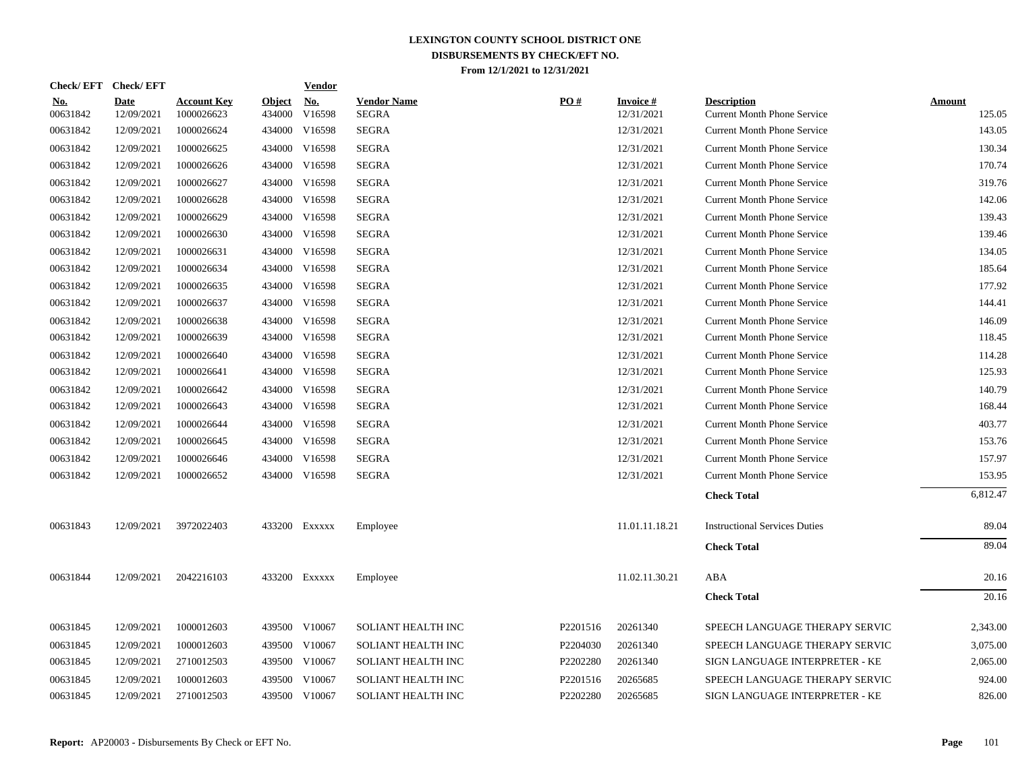| Check/EFT Check/EFT    |                           |                                  |                         | <b>Vendor</b>        |                                    |          |                               |                                                          |                         |
|------------------------|---------------------------|----------------------------------|-------------------------|----------------------|------------------------------------|----------|-------------------------------|----------------------------------------------------------|-------------------------|
| <u>No.</u><br>00631842 | <b>Date</b><br>12/09/2021 | <b>Account Key</b><br>1000026623 | <u>Object</u><br>434000 | <u>No.</u><br>V16598 | <b>Vendor Name</b><br><b>SEGRA</b> | PO#      | <b>Invoice#</b><br>12/31/2021 | <b>Description</b><br><b>Current Month Phone Service</b> | <b>Amount</b><br>125.05 |
| 00631842               | 12/09/2021                | 1000026624                       | 434000                  | V16598               | <b>SEGRA</b>                       |          | 12/31/2021                    | <b>Current Month Phone Service</b>                       | 143.05                  |
| 00631842               | 12/09/2021                | 1000026625                       |                         | 434000 V16598        | SEGRA                              |          | 12/31/2021                    | <b>Current Month Phone Service</b>                       | 130.34                  |
| 00631842               | 12/09/2021                | 1000026626                       |                         | 434000 V16598        | SEGRA                              |          | 12/31/2021                    | <b>Current Month Phone Service</b>                       | 170.74                  |
| 00631842               | 12/09/2021                | 1000026627                       |                         | 434000 V16598        | <b>SEGRA</b>                       |          | 12/31/2021                    | <b>Current Month Phone Service</b>                       | 319.76                  |
| 00631842               | 12/09/2021                | 1000026628                       |                         | 434000 V16598        | <b>SEGRA</b>                       |          | 12/31/2021                    | <b>Current Month Phone Service</b>                       | 142.06                  |
| 00631842               | 12/09/2021                | 1000026629                       |                         | 434000 V16598        | <b>SEGRA</b>                       |          | 12/31/2021                    | <b>Current Month Phone Service</b>                       | 139.43                  |
| 00631842               | 12/09/2021                | 1000026630                       |                         | 434000 V16598        | <b>SEGRA</b>                       |          | 12/31/2021                    | <b>Current Month Phone Service</b>                       | 139.46                  |
| 00631842               | 12/09/2021                | 1000026631                       |                         | 434000 V16598        | <b>SEGRA</b>                       |          | 12/31/2021                    | <b>Current Month Phone Service</b>                       | 134.05                  |
| 00631842               | 12/09/2021                | 1000026634                       |                         | 434000 V16598        | SEGRA                              |          | 12/31/2021                    | <b>Current Month Phone Service</b>                       | 185.64                  |
| 00631842               | 12/09/2021                | 1000026635                       |                         | 434000 V16598        | <b>SEGRA</b>                       |          | 12/31/2021                    | <b>Current Month Phone Service</b>                       | 177.92                  |
| 00631842               | 12/09/2021                | 1000026637                       |                         | 434000 V16598        | <b>SEGRA</b>                       |          | 12/31/2021                    | <b>Current Month Phone Service</b>                       | 144.41                  |
| 00631842               | 12/09/2021                | 1000026638                       | 434000                  | V16598               | <b>SEGRA</b>                       |          | 12/31/2021                    | <b>Current Month Phone Service</b>                       | 146.09                  |
| 00631842               | 12/09/2021                | 1000026639                       |                         | 434000 V16598        | SEGRA                              |          | 12/31/2021                    | <b>Current Month Phone Service</b>                       | 118.45                  |
| 00631842               | 12/09/2021                | 1000026640                       |                         | 434000 V16598        | <b>SEGRA</b>                       |          | 12/31/2021                    | <b>Current Month Phone Service</b>                       | 114.28                  |
| 00631842               | 12/09/2021                | 1000026641                       | 434000                  | V16598               | <b>SEGRA</b>                       |          | 12/31/2021                    | <b>Current Month Phone Service</b>                       | 125.93                  |
| 00631842               | 12/09/2021                | 1000026642                       |                         | 434000 V16598        | <b>SEGRA</b>                       |          | 12/31/2021                    | <b>Current Month Phone Service</b>                       | 140.79                  |
| 00631842               | 12/09/2021                | 1000026643                       |                         | 434000 V16598        | <b>SEGRA</b>                       |          | 12/31/2021                    | <b>Current Month Phone Service</b>                       | 168.44                  |
| 00631842               | 12/09/2021                | 1000026644                       |                         | 434000 V16598        | <b>SEGRA</b>                       |          | 12/31/2021                    | <b>Current Month Phone Service</b>                       | 403.77                  |
| 00631842               | 12/09/2021                | 1000026645                       |                         | 434000 V16598        | <b>SEGRA</b>                       |          | 12/31/2021                    | <b>Current Month Phone Service</b>                       | 153.76                  |
| 00631842               | 12/09/2021                | 1000026646                       |                         | 434000 V16598        | <b>SEGRA</b>                       |          | 12/31/2021                    | <b>Current Month Phone Service</b>                       | 157.97                  |
| 00631842               | 12/09/2021                | 1000026652                       |                         | 434000 V16598        | <b>SEGRA</b>                       |          | 12/31/2021                    | <b>Current Month Phone Service</b>                       | 153.95                  |
|                        |                           |                                  |                         |                      |                                    |          |                               | <b>Check Total</b>                                       | 6,812.47                |
| 00631843               | 12/09/2021                | 3972022403                       |                         | 433200 Exxxxx        | Employee                           |          | 11.01.11.18.21                | <b>Instructional Services Duties</b>                     | 89.04                   |
|                        |                           |                                  |                         |                      |                                    |          |                               | <b>Check Total</b>                                       | 89.04                   |
| 00631844               | 12/09/2021                | 2042216103                       |                         | 433200 Exxxxx        | Employee                           |          | 11.02.11.30.21                | ABA                                                      | 20.16                   |
|                        |                           |                                  |                         |                      |                                    |          |                               | <b>Check Total</b>                                       | 20.16                   |
| 00631845               | 12/09/2021                | 1000012603                       |                         | 439500 V10067        | <b>SOLIANT HEALTH INC</b>          | P2201516 | 20261340                      | SPEECH LANGUAGE THERAPY SERVIC                           | 2,343.00                |
| 00631845               | 12/09/2021                | 1000012603                       | 439500                  | V10067               | SOLIANT HEALTH INC                 | P2204030 | 20261340                      | SPEECH LANGUAGE THERAPY SERVIC                           | 3,075.00                |
| 00631845               | 12/09/2021                | 2710012503                       |                         | 439500 V10067        | SOLIANT HEALTH INC                 | P2202280 | 20261340                      | SIGN LANGUAGE INTERPRETER - KE                           | 2,065.00                |
| 00631845               | 12/09/2021                | 1000012603                       | 439500                  | V10067               | SOLIANT HEALTH INC                 | P2201516 | 20265685                      | SPEECH LANGUAGE THERAPY SERVIC                           | 924.00                  |
| 00631845               | 12/09/2021                | 2710012503                       |                         | 439500 V10067        | SOLIANT HEALTH INC                 | P2202280 | 20265685                      | SIGN LANGUAGE INTERPRETER - KE                           | 826.00                  |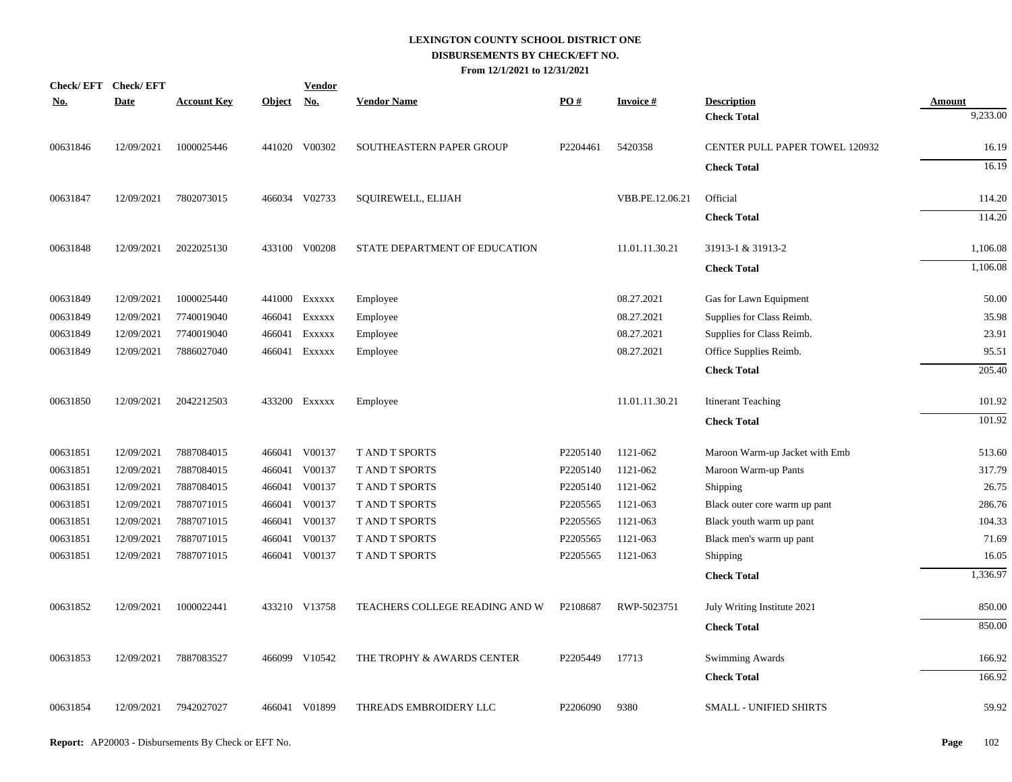| <b>Check/EFT</b> | <b>Check/EFT</b> |                    |               | <u>Vendor</u> |                                 |          |                 |                                       |               |
|------------------|------------------|--------------------|---------------|---------------|---------------------------------|----------|-----------------|---------------------------------------|---------------|
| <u>No.</u>       | <b>Date</b>      | <b>Account Key</b> | <b>Object</b> | <u>No.</u>    | <b>Vendor Name</b>              | PO#      | <b>Invoice#</b> | <b>Description</b>                    | <b>Amount</b> |
|                  |                  |                    |               |               |                                 |          |                 | <b>Check Total</b>                    | 9,233.00      |
| 00631846         | 12/09/2021       | 1000025446         |               | 441020 V00302 | <b>SOUTHEASTERN PAPER GROUP</b> | P2204461 | 5420358         | <b>CENTER PULL PAPER TOWEL 120932</b> | 16.19         |
|                  |                  |                    |               |               |                                 |          |                 | <b>Check Total</b>                    | 16.19         |
| 00631847         | 12/09/2021       | 7802073015         |               | 466034 V02733 | SQUIREWELL, ELIJAH              |          | VBB.PE.12.06.21 | Official                              | 114.20        |
|                  |                  |                    |               |               |                                 |          |                 | <b>Check Total</b>                    | 114.20        |
| 00631848         | 12/09/2021       | 2022025130         |               | 433100 V00208 | STATE DEPARTMENT OF EDUCATION   |          | 11.01.11.30.21  | 31913-1 & 31913-2                     | 1,106.08      |
|                  |                  |                    |               |               |                                 |          |                 | <b>Check Total</b>                    | 1,106.08      |
| 00631849         | 12/09/2021       | 1000025440         |               | 441000 Exxxxx | Employee                        |          | 08.27.2021      | Gas for Lawn Equipment                | 50.00         |
| 00631849         | 12/09/2021       | 7740019040         | 466041        | EXXXXX        | Employee                        |          | 08.27.2021      | Supplies for Class Reimb.             | 35.98         |
| 00631849         | 12/09/2021       | 7740019040         | 466041        | EXXXXX        | Employee                        |          | 08.27.2021      | Supplies for Class Reimb.             | 23.91         |
| 00631849         | 12/09/2021       | 7886027040         | 466041        | EXXXXX        | Employee                        |          | 08.27.2021      | Office Supplies Reimb.                | 95.51         |
|                  |                  |                    |               |               |                                 |          |                 | <b>Check Total</b>                    | 205.40        |
| 00631850         | 12/09/2021       | 2042212503         |               | 433200 Exxxxx | Employee                        |          | 11.01.11.30.21  | <b>Itinerant Teaching</b>             | 101.92        |
|                  |                  |                    |               |               |                                 |          |                 | <b>Check Total</b>                    | 101.92        |
| 00631851         | 12/09/2021       | 7887084015         |               | 466041 V00137 | T AND T SPORTS                  | P2205140 | 1121-062        | Maroon Warm-up Jacket with Emb        | 513.60        |
| 00631851         | 12/09/2021       | 7887084015         | 466041        | V00137        | T AND T SPORTS                  | P2205140 | 1121-062        | Maroon Warm-up Pants                  | 317.79        |
| 00631851         | 12/09/2021       | 7887084015         | 466041        | V00137        | <b>T AND T SPORTS</b>           | P2205140 | 1121-062        | Shipping                              | 26.75         |
| 00631851         | 12/09/2021       | 7887071015         | 466041        | V00137        | <b>T AND T SPORTS</b>           | P2205565 | 1121-063        | Black outer core warm up pant         | 286.76        |
| 00631851         | 12/09/2021       | 7887071015         | 466041        | V00137        | T AND T SPORTS                  | P2205565 | 1121-063        | Black youth warm up pant              | 104.33        |
| 00631851         | 12/09/2021       | 7887071015         | 466041        | V00137        | <b>TAND T SPORTS</b>            | P2205565 | 1121-063        | Black men's warm up pant              | 71.69         |
| 00631851         | 12/09/2021       | 7887071015         | 466041        | V00137        | <b>T AND T SPORTS</b>           | P2205565 | 1121-063        | Shipping                              | 16.05         |
|                  |                  |                    |               |               |                                 |          |                 | <b>Check Total</b>                    | 1,336.97      |
| 00631852         | 12/09/2021       | 1000022441         |               | 433210 V13758 | TEACHERS COLLEGE READING AND W  | P2108687 | RWP-5023751     | July Writing Institute 2021           | 850.00        |
|                  |                  |                    |               |               |                                 |          |                 | <b>Check Total</b>                    | 850.00        |
| 00631853         | 12/09/2021       | 7887083527         |               | 466099 V10542 | THE TROPHY & AWARDS CENTER      | P2205449 | 17713           | Swimming Awards                       | 166.92        |
|                  |                  |                    |               |               |                                 |          |                 | <b>Check Total</b>                    | 166.92        |
| 00631854         | 12/09/2021       | 7942027027         |               | 466041 V01899 | THREADS EMBROIDERY LLC          | P2206090 | 9380            | SMALL - UNIFIED SHIRTS                | 59.92         |
|                  |                  |                    |               |               |                                 |          |                 |                                       |               |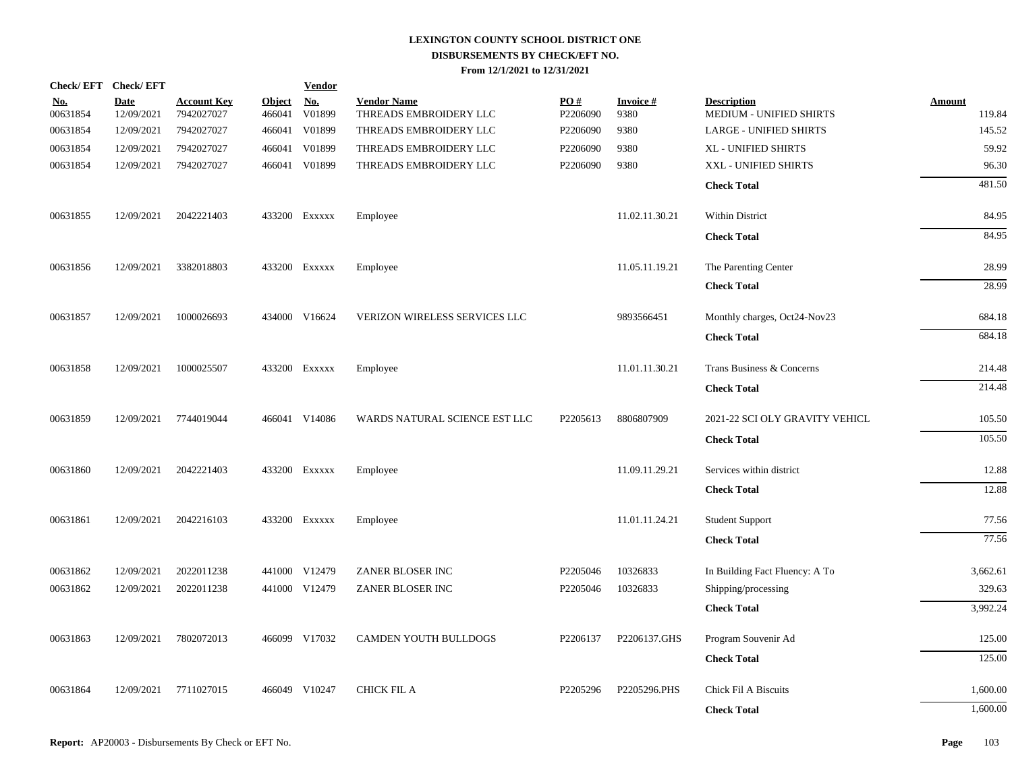|                        | Check/EFT Check/EFT       |                                  |                         | <b>Vendor</b>        |                                              |                 |                         |                                               |                         |
|------------------------|---------------------------|----------------------------------|-------------------------|----------------------|----------------------------------------------|-----------------|-------------------------|-----------------------------------------------|-------------------------|
| <u>No.</u><br>00631854 | <b>Date</b><br>12/09/2021 | <b>Account Key</b><br>7942027027 | <b>Object</b><br>466041 | <u>No.</u><br>V01899 | <b>Vendor Name</b><br>THREADS EMBROIDERY LLC | PO#<br>P2206090 | <b>Invoice#</b><br>9380 | <b>Description</b><br>MEDIUM - UNIFIED SHIRTS | <b>Amount</b><br>119.84 |
| 00631854               | 12/09/2021                | 7942027027                       | 466041                  | V01899               | THREADS EMBROIDERY LLC                       | P2206090        | 9380                    | <b>LARGE - UNIFIED SHIRTS</b>                 | 145.52                  |
| 00631854               | 12/09/2021                | 7942027027                       | 466041                  | V01899               | THREADS EMBROIDERY LLC                       | P2206090        | 9380                    | XL - UNIFIED SHIRTS                           | 59.92                   |
| 00631854               | 12/09/2021                | 7942027027                       |                         | 466041 V01899        | THREADS EMBROIDERY LLC                       | P2206090        | 9380                    | XXL - UNIFIED SHIRTS                          | 96.30                   |
|                        |                           |                                  |                         |                      |                                              |                 |                         | <b>Check Total</b>                            | 481.50                  |
| 00631855               | 12/09/2021                | 2042221403                       |                         | 433200 EXXXXX        | Employee                                     |                 | 11.02.11.30.21          | Within District                               | 84.95                   |
|                        |                           |                                  |                         |                      |                                              |                 |                         | <b>Check Total</b>                            | 84.95                   |
| 00631856               | 12/09/2021                | 3382018803                       |                         | 433200 EXXXXX        | Employee                                     |                 | 11.05.11.19.21          | The Parenting Center                          | 28.99                   |
|                        |                           |                                  |                         |                      |                                              |                 |                         | <b>Check Total</b>                            | 28.99                   |
| 00631857               | 12/09/2021                | 1000026693                       |                         | 434000 V16624        | VERIZON WIRELESS SERVICES LLC                |                 | 9893566451              | Monthly charges, Oct24-Nov23                  | 684.18                  |
|                        |                           |                                  |                         |                      |                                              |                 |                         | <b>Check Total</b>                            | 684.18                  |
| 00631858               | 12/09/2021                | 1000025507                       |                         | 433200 Exxxxx        | Employee                                     |                 | 11.01.11.30.21          | Trans Business & Concerns                     | 214.48                  |
|                        |                           |                                  |                         |                      |                                              |                 |                         | <b>Check Total</b>                            | 214.48                  |
| 00631859               | 12/09/2021                | 7744019044                       |                         | 466041 V14086        | WARDS NATURAL SCIENCE EST LLC                | P2205613        | 8806807909              | 2021-22 SCI OLY GRAVITY VEHICL                | 105.50                  |
|                        |                           |                                  |                         |                      |                                              |                 |                         | <b>Check Total</b>                            | 105.50                  |
| 00631860               | 12/09/2021                | 2042221403                       |                         | 433200 EXXXXX        | Employee                                     |                 | 11.09.11.29.21          | Services within district                      | 12.88                   |
|                        |                           |                                  |                         |                      |                                              |                 |                         | <b>Check Total</b>                            | 12.88                   |
| 00631861               | 12/09/2021                | 2042216103                       |                         | 433200 EXXXXX        | Employee                                     |                 | 11.01.11.24.21          | <b>Student Support</b>                        | 77.56                   |
|                        |                           |                                  |                         |                      |                                              |                 |                         | <b>Check Total</b>                            | 77.56                   |
| 00631862               | 12/09/2021                | 2022011238                       |                         | 441000 V12479        | ZANER BLOSER INC                             | P2205046        | 10326833                | In Building Fact Fluency: A To                | 3,662.61                |
| 00631862               | 12/09/2021                | 2022011238                       |                         | 441000 V12479        | ZANER BLOSER INC                             | P2205046        | 10326833                | Shipping/processing                           | 329.63                  |
|                        |                           |                                  |                         |                      |                                              |                 |                         | <b>Check Total</b>                            | 3,992.24                |
| 00631863               | 12/09/2021                | 7802072013                       |                         | 466099 V17032        | CAMDEN YOUTH BULLDOGS                        | P2206137        | P2206137.GHS            | Program Souvenir Ad                           | 125.00                  |
|                        |                           |                                  |                         |                      |                                              |                 |                         | <b>Check Total</b>                            | 125.00                  |
| 00631864               | 12/09/2021                | 7711027015                       |                         | 466049 V10247        | <b>CHICK FIL A</b>                           | P2205296        | P2205296.PHS            | Chick Fil A Biscuits                          | 1,600.00                |
|                        |                           |                                  |                         |                      |                                              |                 |                         | <b>Check Total</b>                            | 1,600.00                |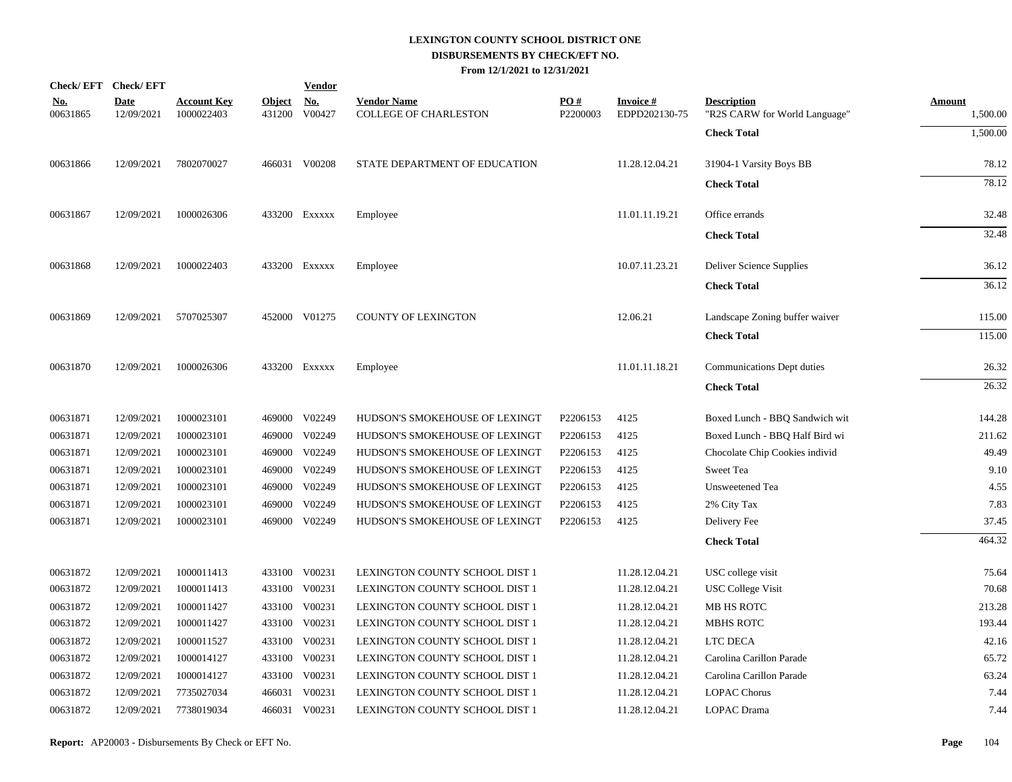| Check/EFT Check/EFT    |                           |                                  |                      | <b>Vendor</b> |                                             |                 |                                  |                                                     |                           |
|------------------------|---------------------------|----------------------------------|----------------------|---------------|---------------------------------------------|-----------------|----------------------------------|-----------------------------------------------------|---------------------------|
| <u>No.</u><br>00631865 | <b>Date</b><br>12/09/2021 | <b>Account Key</b><br>1000022403 | Object No.<br>431200 | V00427        | <b>Vendor Name</b><br>COLLEGE OF CHARLESTON | PO#<br>P2200003 | <b>Invoice#</b><br>EDPD202130-75 | <b>Description</b><br>"R2S CARW for World Language" | <b>Amount</b><br>1,500.00 |
|                        |                           |                                  |                      |               |                                             |                 |                                  | <b>Check Total</b>                                  | 1,500.00                  |
| 00631866               | 12/09/2021                | 7802070027                       |                      | 466031 V00208 | STATE DEPARTMENT OF EDUCATION               |                 | 11.28.12.04.21                   | 31904-1 Varsity Boys BB                             | 78.12                     |
|                        |                           |                                  |                      |               |                                             |                 |                                  | <b>Check Total</b>                                  | 78.12                     |
| 00631867               | 12/09/2021                | 1000026306                       |                      | 433200 Exxxxx | Employee                                    |                 | 11.01.11.19.21                   | Office errands                                      | 32.48                     |
|                        |                           |                                  |                      |               |                                             |                 |                                  | <b>Check Total</b>                                  | 32.48                     |
| 00631868               | 12/09/2021                | 1000022403                       |                      | 433200 Exxxxx | Employee                                    |                 | 10.07.11.23.21                   | Deliver Science Supplies                            | 36.12                     |
|                        |                           |                                  |                      |               |                                             |                 |                                  | <b>Check Total</b>                                  | 36.12                     |
| 00631869               | 12/09/2021                | 5707025307                       |                      | 452000 V01275 | <b>COUNTY OF LEXINGTON</b>                  |                 | 12.06.21                         | Landscape Zoning buffer waiver                      | 115.00                    |
|                        |                           |                                  |                      |               |                                             |                 |                                  | <b>Check Total</b>                                  | 115.00                    |
| 00631870               | 12/09/2021                | 1000026306                       |                      | 433200 Exxxxx | Employee                                    |                 | 11.01.11.18.21                   | Communications Dept duties                          | 26.32                     |
|                        |                           |                                  |                      |               |                                             |                 |                                  | <b>Check Total</b>                                  | 26.32                     |
| 00631871               | 12/09/2021                | 1000023101                       |                      | 469000 V02249 | HUDSON'S SMOKEHOUSE OF LEXINGT              | P2206153        | 4125                             | Boxed Lunch - BBQ Sandwich wit                      | 144.28                    |
| 00631871               | 12/09/2021                | 1000023101                       | 469000               | V02249        | HUDSON'S SMOKEHOUSE OF LEXINGT              | P2206153        | 4125                             | Boxed Lunch - BBQ Half Bird wi                      | 211.62                    |
| 00631871               | 12/09/2021                | 1000023101                       | 469000               | V02249        | HUDSON'S SMOKEHOUSE OF LEXINGT              | P2206153        | 4125                             | Chocolate Chip Cookies individ                      | 49.49                     |
| 00631871               | 12/09/2021                | 1000023101                       | 469000               | V02249        | HUDSON'S SMOKEHOUSE OF LEXINGT              | P2206153        | 4125                             | Sweet Tea                                           | 9.10                      |
| 00631871               | 12/09/2021                | 1000023101                       | 469000               | V02249        | HUDSON'S SMOKEHOUSE OF LEXINGT              | P2206153        | 4125                             | Unsweetened Tea                                     | 4.55                      |
| 00631871               | 12/09/2021                | 1000023101                       | 469000               | V02249        | HUDSON'S SMOKEHOUSE OF LEXINGT              | P2206153        | 4125                             | 2% City Tax                                         | 7.83                      |
| 00631871               | 12/09/2021                | 1000023101                       |                      | 469000 V02249 | HUDSON'S SMOKEHOUSE OF LEXINGT              | P2206153        | 4125                             | Delivery Fee                                        | 37.45                     |
|                        |                           |                                  |                      |               |                                             |                 |                                  | <b>Check Total</b>                                  | 464.32                    |
| 00631872               | 12/09/2021                | 1000011413                       | 433100               | V00231        | LEXINGTON COUNTY SCHOOL DIST 1              |                 | 11.28.12.04.21                   | USC college visit                                   | 75.64                     |
| 00631872               | 12/09/2021                | 1000011413                       | 433100               | V00231        | LEXINGTON COUNTY SCHOOL DIST 1              |                 | 11.28.12.04.21                   | <b>USC College Visit</b>                            | 70.68                     |
| 00631872               | 12/09/2021                | 1000011427                       | 433100               | V00231        | LEXINGTON COUNTY SCHOOL DIST 1              |                 | 11.28.12.04.21                   | MB HS ROTC                                          | 213.28                    |
| 00631872               | 12/09/2021                | 1000011427                       | 433100               | V00231        | LEXINGTON COUNTY SCHOOL DIST 1              |                 | 11.28.12.04.21                   | MBHS ROTC                                           | 193.44                    |
| 00631872               | 12/09/2021                | 1000011527                       | 433100               | V00231        | LEXINGTON COUNTY SCHOOL DIST 1              |                 | 11.28.12.04.21                   | LTC DECA                                            | 42.16                     |
| 00631872               | 12/09/2021                | 1000014127                       | 433100               | V00231        | LEXINGTON COUNTY SCHOOL DIST 1              |                 | 11.28.12.04.21                   | Carolina Carillon Parade                            | 65.72                     |
| 00631872               | 12/09/2021                | 1000014127                       | 433100               | V00231        | LEXINGTON COUNTY SCHOOL DIST 1              |                 | 11.28.12.04.21                   | Carolina Carillon Parade                            | 63.24                     |
| 00631872               | 12/09/2021                | 7735027034                       |                      | 466031 V00231 | LEXINGTON COUNTY SCHOOL DIST 1              |                 | 11.28.12.04.21                   | <b>LOPAC Chorus</b>                                 | 7.44                      |
| 00631872               | 12/09/2021                | 7738019034                       |                      | 466031 V00231 | LEXINGTON COUNTY SCHOOL DIST 1              |                 | 11.28.12.04.21                   | LOPAC Drama                                         | 7.44                      |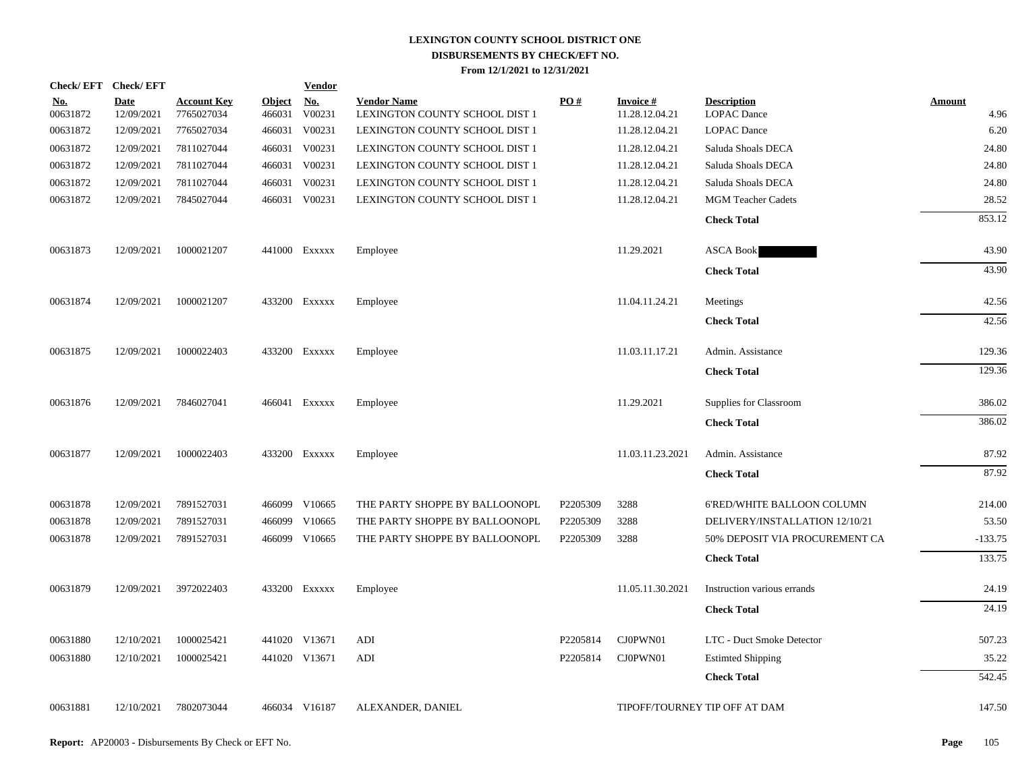|                        | Check/EFT Check/EFT       |                                  |                         | <b>Vendor</b>        |                                                      |          |                                   |                                          |                       |
|------------------------|---------------------------|----------------------------------|-------------------------|----------------------|------------------------------------------------------|----------|-----------------------------------|------------------------------------------|-----------------------|
| <u>No.</u><br>00631872 | <b>Date</b><br>12/09/2021 | <b>Account Key</b><br>7765027034 | <b>Object</b><br>466031 | <u>No.</u><br>V00231 | <b>Vendor Name</b><br>LEXINGTON COUNTY SCHOOL DIST 1 | PO#      | <b>Invoice#</b><br>11.28.12.04.21 | <b>Description</b><br><b>LOPAC</b> Dance | <b>Amount</b><br>4.96 |
| 00631872               | 12/09/2021                | 7765027034                       |                         | 466031 V00231        | LEXINGTON COUNTY SCHOOL DIST 1                       |          | 11.28.12.04.21                    | <b>LOPAC</b> Dance                       | 6.20                  |
| 00631872               | 12/09/2021                | 7811027044                       |                         | 466031 V00231        | LEXINGTON COUNTY SCHOOL DIST 1                       |          | 11.28.12.04.21                    | Saluda Shoals DECA                       | 24.80                 |
| 00631872               | 12/09/2021                | 7811027044                       |                         | 466031 V00231        | LEXINGTON COUNTY SCHOOL DIST 1                       |          | 11.28.12.04.21                    | Saluda Shoals DECA                       | 24.80                 |
| 00631872               | 12/09/2021                | 7811027044                       |                         | 466031 V00231        | LEXINGTON COUNTY SCHOOL DIST 1                       |          | 11.28.12.04.21                    | Saluda Shoals DECA                       | 24.80                 |
| 00631872               | 12/09/2021                | 7845027044                       |                         | 466031 V00231        | LEXINGTON COUNTY SCHOOL DIST 1                       |          | 11.28.12.04.21                    | MGM Teacher Cadets                       | 28.52                 |
|                        |                           |                                  |                         |                      |                                                      |          |                                   | <b>Check Total</b>                       | 853.12                |
| 00631873               | 12/09/2021                | 1000021207                       |                         | 441000 Exxxxx        | Employee                                             |          | 11.29.2021                        | <b>ASCA Book</b>                         | 43.90                 |
|                        |                           |                                  |                         |                      |                                                      |          |                                   | <b>Check Total</b>                       | 43.90                 |
| 00631874               | 12/09/2021                | 1000021207                       |                         | 433200 EXXXXX        | Employee                                             |          | 11.04.11.24.21                    | Meetings                                 | 42.56                 |
|                        |                           |                                  |                         |                      |                                                      |          |                                   | <b>Check Total</b>                       | 42.56                 |
| 00631875               | 12/09/2021                | 1000022403                       |                         | 433200 EXXXXX        | Employee                                             |          | 11.03.11.17.21                    | Admin. Assistance                        | 129.36                |
|                        |                           |                                  |                         |                      |                                                      |          |                                   | <b>Check Total</b>                       | 129.36                |
| 00631876               | 12/09/2021                | 7846027041                       |                         | 466041 Exxxxx        | Employee                                             |          | 11.29.2021                        | Supplies for Classroom                   | 386.02                |
|                        |                           |                                  |                         |                      |                                                      |          |                                   | <b>Check Total</b>                       | 386.02                |
| 00631877               | 12/09/2021                | 1000022403                       |                         | 433200 EXXXXX        | Employee                                             |          | 11.03.11.23.2021                  | Admin. Assistance                        | 87.92                 |
|                        |                           |                                  |                         |                      |                                                      |          |                                   | <b>Check Total</b>                       | 87.92                 |
| 00631878               | 12/09/2021                | 7891527031                       |                         | 466099 V10665        | THE PARTY SHOPPE BY BALLOONOPL                       | P2205309 | 3288                              | 6'RED/WHITE BALLOON COLUMN               | 214.00                |
| 00631878               | 12/09/2021                | 7891527031                       | 466099                  | V10665               | THE PARTY SHOPPE BY BALLOONOPL                       | P2205309 | 3288                              | DELIVERY/INSTALLATION 12/10/21           | 53.50                 |
| 00631878               | 12/09/2021                | 7891527031                       |                         | 466099 V10665        | THE PARTY SHOPPE BY BALLOONOPL                       | P2205309 | 3288                              | 50% DEPOSIT VIA PROCUREMENT CA           | $-133.75$             |
|                        |                           |                                  |                         |                      |                                                      |          |                                   | <b>Check Total</b>                       | 133.75                |
| 00631879               | 12/09/2021                | 3972022403                       |                         | 433200 EXXXXX        | Employee                                             |          | 11.05.11.30.2021                  | Instruction various errands              | 24.19                 |
|                        |                           |                                  |                         |                      |                                                      |          |                                   | <b>Check Total</b>                       | 24.19                 |
| 00631880               | 12/10/2021                | 1000025421                       |                         | 441020 V13671        | ADI                                                  | P2205814 | CJ0PWN01                          | LTC - Duct Smoke Detector                | 507.23                |
| 00631880               | 12/10/2021                | 1000025421                       |                         | 441020 V13671        | ADI                                                  | P2205814 | CJ0PWN01                          | <b>Estimted Shipping</b>                 | 35.22                 |
|                        |                           |                                  |                         |                      |                                                      |          |                                   | <b>Check Total</b>                       | 542.45                |
| 00631881               | 12/10/2021                | 7802073044                       |                         | 466034 V16187        | ALEXANDER, DANIEL                                    |          |                                   | TIPOFF/TOURNEY TIP OFF AT DAM            | 147.50                |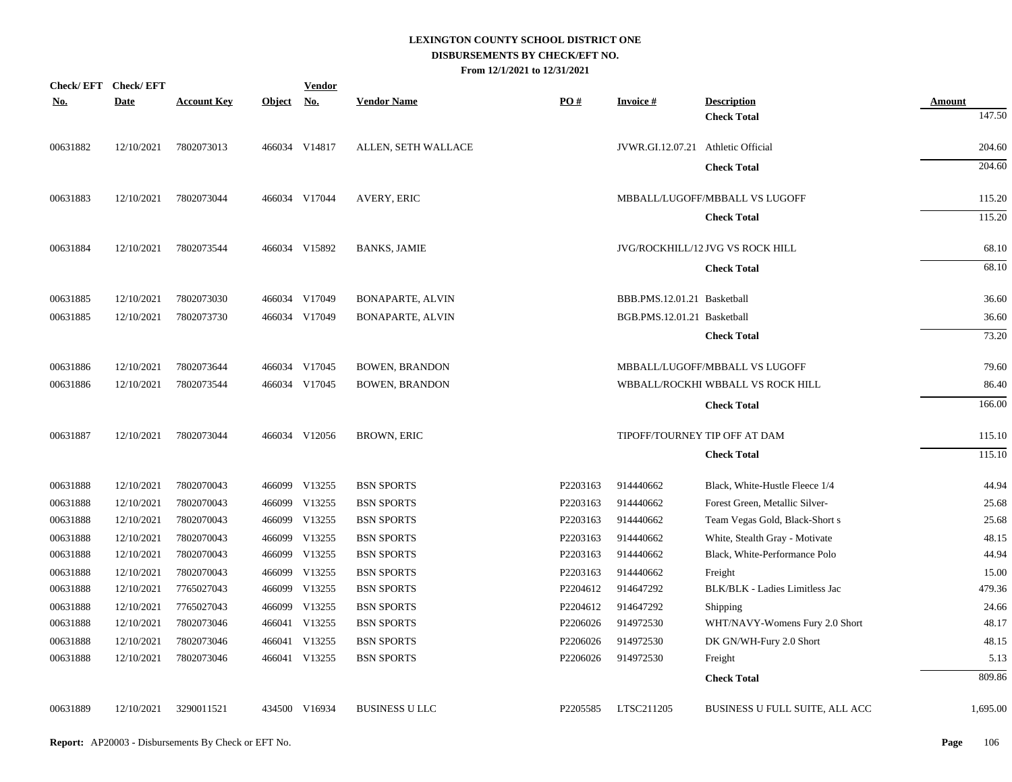| <b>Check/EFT</b> | <b>Check/EFT</b> |                    |               | <u>Vendor</u>             |                         |          |                                    |                                   |               |
|------------------|------------------|--------------------|---------------|---------------------------|-------------------------|----------|------------------------------------|-----------------------------------|---------------|
| <u>No.</u>       | <b>Date</b>      | <b>Account Key</b> | <b>Object</b> | $\underline{\mathrm{No}}$ | <b>Vendor Name</b>      | PO#      | <b>Invoice#</b>                    | <b>Description</b>                | <b>Amount</b> |
|                  |                  |                    |               |                           |                         |          |                                    | <b>Check Total</b>                | 147.50        |
| 00631882         | 12/10/2021       | 7802073013         |               | 466034 V14817             | ALLEN, SETH WALLACE     |          | JVWR.GI.12.07.21 Athletic Official |                                   | 204.60        |
|                  |                  |                    |               |                           |                         |          |                                    | <b>Check Total</b>                | 204.60        |
| 00631883         | 12/10/2021       | 7802073044         |               | 466034 V17044             | AVERY, ERIC             |          |                                    | MBBALL/LUGOFF/MBBALL VS LUGOFF    | 115.20        |
|                  |                  |                    |               |                           |                         |          |                                    | <b>Check Total</b>                | 115.20        |
| 00631884         | 12/10/2021       | 7802073544         |               | 466034 V15892             | <b>BANKS, JAMIE</b>     |          |                                    | JVG/ROCKHILL/12 JVG VS ROCK HILL  | 68.10         |
|                  |                  |                    |               |                           |                         |          |                                    | <b>Check Total</b>                | 68.10         |
| 00631885         | 12/10/2021       | 7802073030         |               | 466034 V17049             | <b>BONAPARTE, ALVIN</b> |          | BBB.PMS.12.01.21 Basketball        |                                   | 36.60         |
| 00631885         | 12/10/2021       | 7802073730         |               | 466034 V17049             | <b>BONAPARTE, ALVIN</b> |          | BGB.PMS.12.01.21 Basketball        |                                   | 36.60         |
|                  |                  |                    |               |                           |                         |          |                                    | <b>Check Total</b>                | 73.20         |
| 00631886         | 12/10/2021       | 7802073644         |               | 466034 V17045             | <b>BOWEN, BRANDON</b>   |          |                                    | MBBALL/LUGOFF/MBBALL VS LUGOFF    | 79.60         |
| 00631886         | 12/10/2021       | 7802073544         |               | 466034 V17045             | <b>BOWEN, BRANDON</b>   |          |                                    | WBBALL/ROCKHI WBBALL VS ROCK HILL | 86.40         |
|                  |                  |                    |               |                           |                         |          |                                    | <b>Check Total</b>                | 166.00        |
| 00631887         | 12/10/2021       | 7802073044         |               | 466034 V12056             | <b>BROWN, ERIC</b>      |          | TIPOFF/TOURNEY TIP OFF AT DAM      |                                   | 115.10        |
|                  |                  |                    |               |                           |                         |          |                                    | <b>Check Total</b>                | 115.10        |
| 00631888         | 12/10/2021       | 7802070043         |               | 466099 V13255             | <b>BSN SPORTS</b>       | P2203163 | 914440662                          | Black, White-Hustle Fleece 1/4    | 44.94         |
| 00631888         | 12/10/2021       | 7802070043         |               | 466099 V13255             | <b>BSN SPORTS</b>       | P2203163 | 914440662                          | Forest Green, Metallic Silver-    | 25.68         |
| 00631888         | 12/10/2021       | 7802070043         |               | 466099 V13255             | <b>BSN SPORTS</b>       | P2203163 | 914440662                          | Team Vegas Gold, Black-Short s    | 25.68         |
| 00631888         | 12/10/2021       | 7802070043         |               | 466099 V13255             | <b>BSN SPORTS</b>       | P2203163 | 914440662                          | White, Stealth Gray - Motivate    | 48.15         |
| 00631888         | 12/10/2021       | 7802070043         |               | 466099 V13255             | <b>BSN SPORTS</b>       | P2203163 | 914440662                          | Black, White-Performance Polo     | 44.94         |
| 00631888         | 12/10/2021       | 7802070043         |               | 466099 V13255             | <b>BSN SPORTS</b>       | P2203163 | 914440662                          | Freight                           | 15.00         |
| 00631888         | 12/10/2021       | 7765027043         |               | 466099 V13255             | <b>BSN SPORTS</b>       | P2204612 | 914647292                          | BLK/BLK - Ladies Limitless Jac    | 479.36        |
| 00631888         | 12/10/2021       | 7765027043         |               | 466099 V13255             | <b>BSN SPORTS</b>       | P2204612 | 914647292                          | Shipping                          | 24.66         |
| 00631888         | 12/10/2021       | 7802073046         |               | 466041 V13255             | <b>BSN SPORTS</b>       | P2206026 | 914972530                          | WHT/NAVY-Womens Fury 2.0 Short    | 48.17         |
| 00631888         | 12/10/2021       | 7802073046         |               | 466041 V13255             | <b>BSN SPORTS</b>       | P2206026 | 914972530                          | DK GN/WH-Fury 2.0 Short           | 48.15         |
| 00631888         | 12/10/2021       | 7802073046         |               | 466041 V13255             | <b>BSN SPORTS</b>       | P2206026 | 914972530                          | Freight                           | 5.13          |
|                  |                  |                    |               |                           |                         |          |                                    | <b>Check Total</b>                | 809.86        |
| 00631889         | 12/10/2021       | 3290011521         |               | 434500 V16934             | <b>BUSINESS U LLC</b>   | P2205585 | LTSC211205                         | BUSINESS U FULL SUITE, ALL ACC    | 1,695.00      |
|                  |                  |                    |               |                           |                         |          |                                    |                                   |               |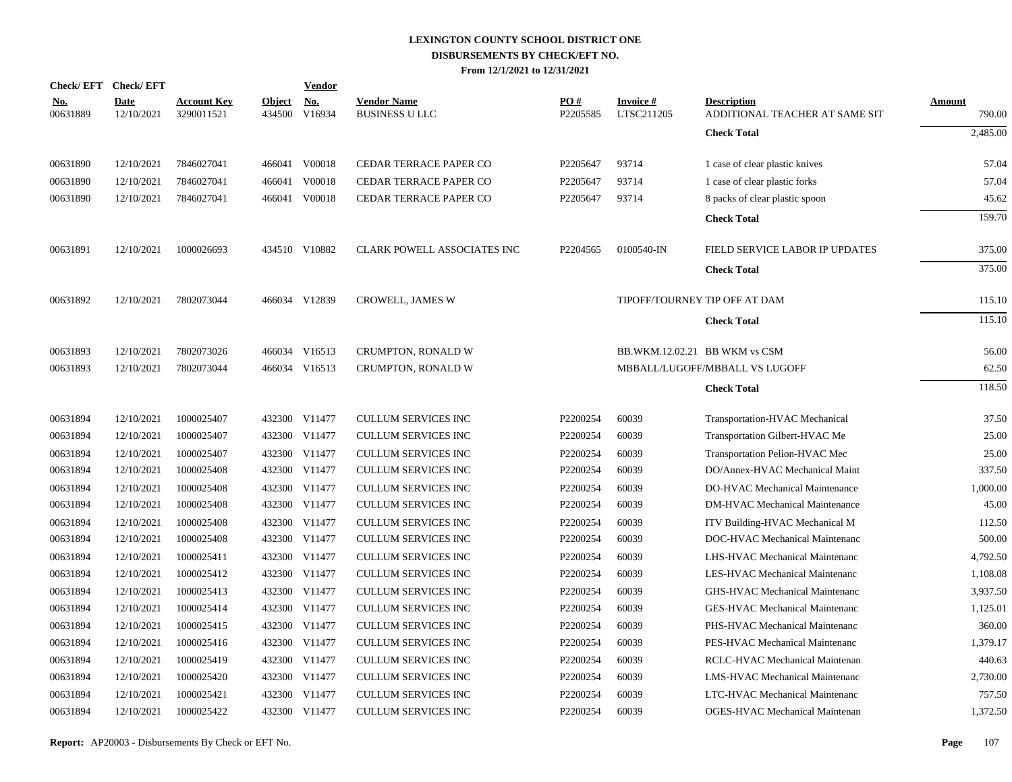|                        | Check/EFT Check/EFT       |                                  |               | <b>Vendor</b>        |                                             |                 |                         |                                                      |                  |
|------------------------|---------------------------|----------------------------------|---------------|----------------------|---------------------------------------------|-----------------|-------------------------|------------------------------------------------------|------------------|
| <u>No.</u><br>00631889 | <b>Date</b><br>12/10/2021 | <b>Account Key</b><br>3290011521 | <b>Object</b> | No.<br>434500 V16934 | <b>Vendor Name</b><br><b>BUSINESS U LLC</b> | PO#<br>P2205585 | Invoice #<br>LTSC211205 | <b>Description</b><br>ADDITIONAL TEACHER AT SAME SIT | Amount<br>790.00 |
|                        |                           |                                  |               |                      |                                             |                 |                         | <b>Check Total</b>                                   | 2,485.00         |
| 00631890               | 12/10/2021                | 7846027041                       |               | 466041 V00018        | CEDAR TERRACE PAPER CO                      | P2205647        | 93714                   | 1 case of clear plastic knives                       | 57.04            |
| 00631890               | 12/10/2021                | 7846027041                       |               | 466041 V00018        | CEDAR TERRACE PAPER CO                      | P2205647        | 93714                   | 1 case of clear plastic forks                        | 57.04            |
| 00631890               | 12/10/2021                | 7846027041                       |               | 466041 V00018        | CEDAR TERRACE PAPER CO                      | P2205647        | 93714                   | 8 packs of clear plastic spoon                       | 45.62            |
|                        |                           |                                  |               |                      |                                             |                 |                         | <b>Check Total</b>                                   | 159.70           |
| 00631891               | 12/10/2021                | 1000026693                       |               | 434510 V10882        | CLARK POWELL ASSOCIATES INC                 | P2204565        | 0100540-IN              | FIELD SERVICE LABOR IP UPDATES                       | 375.00           |
|                        |                           |                                  |               |                      |                                             |                 |                         | <b>Check Total</b>                                   | 375.00           |
| 00631892               | 12/10/2021                | 7802073044                       |               | 466034 V12839        | CROWELL, JAMES W                            |                 |                         | TIPOFF/TOURNEY TIP OFF AT DAM                        | 115.10           |
|                        |                           |                                  |               |                      |                                             |                 |                         | <b>Check Total</b>                                   | 115.10           |
| 00631893               | 12/10/2021                | 7802073026                       |               | 466034 V16513        | CRUMPTON, RONALD W                          |                 |                         | BB.WKM.12.02.21 BB WKM vs CSM                        | 56.00            |
| 00631893               | 12/10/2021                | 7802073044                       |               | 466034 V16513        | CRUMPTON, RONALD W                          |                 |                         | MBBALL/LUGOFF/MBBALL VS LUGOFF                       | 62.50            |
|                        |                           |                                  |               |                      |                                             |                 |                         | <b>Check Total</b>                                   | 118.50           |
| 00631894               | 12/10/2021                | 1000025407                       |               | 432300 V11477        | <b>CULLUM SERVICES INC</b>                  | P2200254        | 60039                   | Transportation-HVAC Mechanical                       | 37.50            |
| 00631894               | 12/10/2021                | 1000025407                       |               | 432300 V11477        | CULLUM SERVICES INC                         | P2200254        | 60039                   | Transportation Gilbert-HVAC Me                       | 25.00            |
| 00631894               | 12/10/2021                | 1000025407                       |               | 432300 V11477        | <b>CULLUM SERVICES INC</b>                  | P2200254        | 60039                   | Transportation Pelion-HVAC Mec                       | 25.00            |
| 00631894               | 12/10/2021                | 1000025408                       |               | 432300 V11477        | <b>CULLUM SERVICES INC</b>                  | P2200254        | 60039                   | DO/Annex-HVAC Mechanical Maint                       | 337.50           |
| 00631894               | 12/10/2021                | 1000025408                       |               | 432300 V11477        | <b>CULLUM SERVICES INC</b>                  | P2200254        | 60039                   | DO-HVAC Mechanical Maintenance                       | 1,000.00         |
| 00631894               | 12/10/2021                | 1000025408                       |               | 432300 V11477        | <b>CULLUM SERVICES INC</b>                  | P2200254        | 60039                   | <b>DM-HVAC Mechanical Maintenance</b>                | 45.00            |
| 00631894               | 12/10/2021                | 1000025408                       |               | 432300 V11477        | <b>CULLUM SERVICES INC</b>                  | P2200254        | 60039                   | ITV Building-HVAC Mechanical M                       | 112.50           |
| 00631894               | 12/10/2021                | 1000025408                       |               | 432300 V11477        | <b>CULLUM SERVICES INC</b>                  | P2200254        | 60039                   | DOC-HVAC Mechanical Maintenanc                       | 500.00           |
| 00631894               | 12/10/2021                | 1000025411                       |               | 432300 V11477        | <b>CULLUM SERVICES INC</b>                  | P2200254        | 60039                   | LHS-HVAC Mechanical Maintenanc                       | 4,792.50         |
| 00631894               | 12/10/2021                | 1000025412                       |               | 432300 V11477        | <b>CULLUM SERVICES INC</b>                  | P2200254        | 60039                   | LES-HVAC Mechanical Maintenanc                       | 1,108.08         |
| 00631894               | 12/10/2021                | 1000025413                       |               | 432300 V11477        | <b>CULLUM SERVICES INC</b>                  | P2200254        | 60039                   | GHS-HVAC Mechanical Maintenanc                       | 3,937.50         |
| 00631894               | 12/10/2021                | 1000025414                       |               | 432300 V11477        | <b>CULLUM SERVICES INC</b>                  | P2200254        | 60039                   | GES-HVAC Mechanical Maintenanc                       | 1,125.01         |
| 00631894               | 12/10/2021                | 1000025415                       |               | 432300 V11477        | CULLUM SERVICES INC                         | P2200254        | 60039                   | PHS-HVAC Mechanical Maintenanc                       | 360.00           |
| 00631894               | 12/10/2021                | 1000025416                       |               | 432300 V11477        | CULLUM SERVICES INC                         | P2200254        | 60039                   | PES-HVAC Mechanical Maintenanc                       | 1,379.17         |
| 00631894               | 12/10/2021                | 1000025419                       |               | 432300 V11477        | CULLUM SERVICES INC                         | P2200254        | 60039                   | RCLC-HVAC Mechanical Maintenan                       | 440.63           |
| 00631894               | 12/10/2021                | 1000025420                       |               | 432300 V11477        | <b>CULLUM SERVICES INC</b>                  | P2200254        | 60039                   | LMS-HVAC Mechanical Maintenanc                       | 2,730.00         |
| 00631894               | 12/10/2021                | 1000025421                       |               | 432300 V11477        | <b>CULLUM SERVICES INC</b>                  | P2200254        | 60039                   | LTC-HVAC Mechanical Maintenanc                       | 757.50           |
| 00631894               | 12/10/2021                | 1000025422                       |               | 432300 V11477        | <b>CULLUM SERVICES INC</b>                  | P2200254        | 60039                   | OGES-HVAC Mechanical Maintenan                       | 1,372.50         |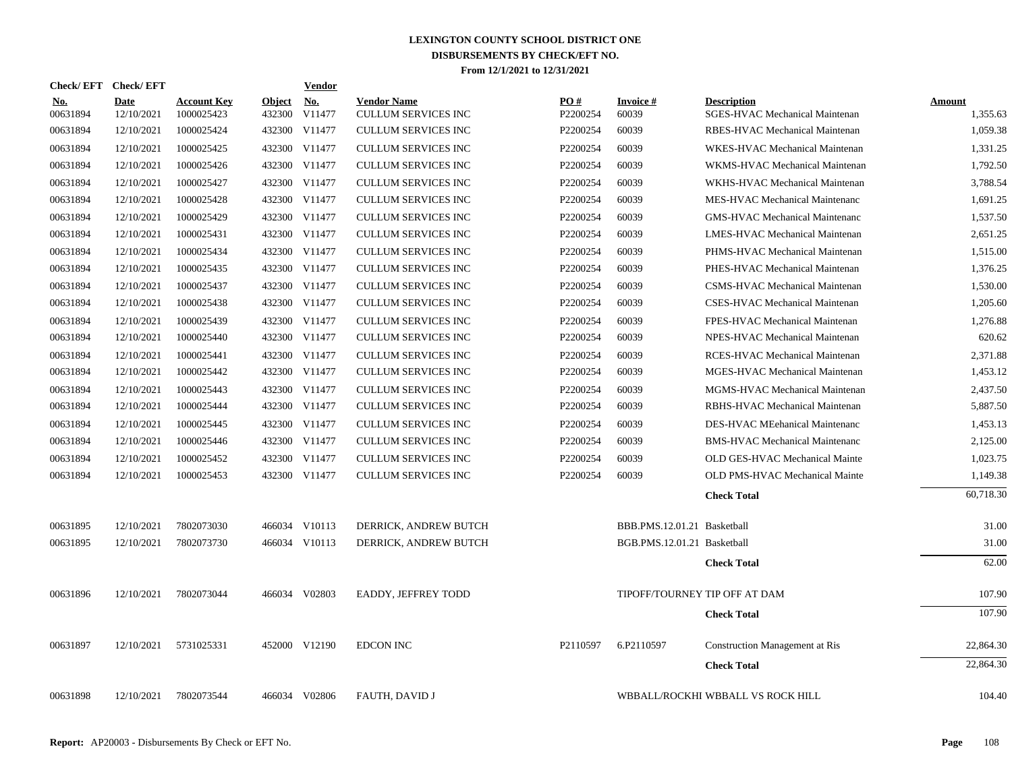| Check/EFT Check/EFT    |                           |                                  |                         | Vendor               |                                                  |                 |                             |                                                      |                    |
|------------------------|---------------------------|----------------------------------|-------------------------|----------------------|--------------------------------------------------|-----------------|-----------------------------|------------------------------------------------------|--------------------|
| <b>No.</b><br>00631894 | <b>Date</b><br>12/10/2021 | <b>Account Key</b><br>1000025423 | <b>Object</b><br>432300 | <b>No.</b><br>V11477 | <b>Vendor Name</b><br><b>CULLUM SERVICES INC</b> | PO#<br>P2200254 | Invoice #<br>60039          | <b>Description</b><br>SGES-HVAC Mechanical Maintenan | Amount<br>1,355.63 |
| 00631894               | 12/10/2021                | 1000025424                       |                         | 432300 V11477        | <b>CULLUM SERVICES INC</b>                       | P2200254        | 60039                       | RBES-HVAC Mechanical Maintenan                       | 1,059.38           |
| 00631894               | 12/10/2021                | 1000025425                       |                         | 432300 V11477        | CULLUM SERVICES INC                              | P2200254        | 60039                       | WKES-HVAC Mechanical Maintenan                       | 1.331.25           |
| 00631894               | 12/10/2021                | 1000025426                       |                         | 432300 V11477        | CULLUM SERVICES INC                              | P2200254        | 60039                       | WKMS-HVAC Mechanical Maintenan                       | 1,792.50           |
| 00631894               | 12/10/2021                | 1000025427                       |                         | 432300 V11477        | <b>CULLUM SERVICES INC</b>                       | P2200254        | 60039                       | WKHS-HVAC Mechanical Maintenan                       | 3.788.54           |
| 00631894               | 12/10/2021                | 1000025428                       |                         | 432300 V11477        | CULLUM SERVICES INC                              | P2200254        | 60039                       | MES-HVAC Mechanical Maintenanc                       | 1,691.25           |
| 00631894               | 12/10/2021                | 1000025429                       |                         | 432300 V11477        | <b>CULLUM SERVICES INC</b>                       | P2200254        | 60039                       | <b>GMS-HVAC Mechanical Maintenanc</b>                | 1,537.50           |
| 00631894               | 12/10/2021                | 1000025431                       |                         | 432300 V11477        | <b>CULLUM SERVICES INC</b>                       | P2200254        | 60039                       | LMES-HVAC Mechanical Maintenan                       | 2,651.25           |
| 00631894               | 12/10/2021                | 1000025434                       |                         | 432300 V11477        | CULLUM SERVICES INC                              | P2200254        | 60039                       | PHMS-HVAC Mechanical Maintenan                       | 1,515.00           |
| 00631894               | 12/10/2021                | 1000025435                       |                         | 432300 V11477        | CULLUM SERVICES INC                              | P2200254        | 60039                       | PHES-HVAC Mechanical Maintenan                       | 1,376.25           |
| 00631894               | 12/10/2021                | 1000025437                       |                         | 432300 V11477        | CULLUM SERVICES INC                              | P2200254        | 60039                       | CSMS-HVAC Mechanical Maintenan                       | 1.530.00           |
| 00631894               | 12/10/2021                | 1000025438                       |                         | 432300 V11477        | <b>CULLUM SERVICES INC</b>                       | P2200254        | 60039                       | CSES-HVAC Mechanical Maintenan                       | 1,205.60           |
| 00631894               | 12/10/2021                | 1000025439                       |                         | 432300 V11477        | <b>CULLUM SERVICES INC</b>                       | P2200254        | 60039                       | FPES-HVAC Mechanical Maintenan                       | 1,276.88           |
| 00631894               | 12/10/2021                | 1000025440                       |                         | 432300 V11477        | <b>CULLUM SERVICES INC</b>                       | P2200254        | 60039                       | NPES-HVAC Mechanical Maintenan                       | 620.62             |
| 00631894               | 12/10/2021                | 1000025441                       |                         | 432300 V11477        | CULLUM SERVICES INC                              | P2200254        | 60039                       | RCES-HVAC Mechanical Maintenan                       | 2,371.88           |
| 00631894               | 12/10/2021                | 1000025442                       |                         | 432300 V11477        | <b>CULLUM SERVICES INC</b>                       | P2200254        | 60039                       | MGES-HVAC Mechanical Maintenan                       | 1,453.12           |
| 00631894               | 12/10/2021                | 1000025443                       |                         | 432300 V11477        | CULLUM SERVICES INC                              | P2200254        | 60039                       | MGMS-HVAC Mechanical Maintenan                       | 2,437.50           |
| 00631894               | 12/10/2021                | 1000025444                       |                         | 432300 V11477        | CULLUM SERVICES INC                              | P2200254        | 60039                       | RBHS-HVAC Mechanical Maintenan                       | 5,887.50           |
| 00631894               | 12/10/2021                | 1000025445                       |                         | 432300 V11477        | CULLUM SERVICES INC                              | P2200254        | 60039                       | DES-HVAC MEehanical Maintenanc                       | 1,453.13           |
| 00631894               | 12/10/2021                | 1000025446                       |                         | 432300 V11477        | CULLUM SERVICES INC                              | P2200254        | 60039                       | <b>BMS-HVAC Mechanical Maintenanc</b>                | 2,125.00           |
| 00631894               | 12/10/2021                | 1000025452                       |                         | 432300 V11477        | <b>CULLUM SERVICES INC</b>                       | P2200254        | 60039                       | OLD GES-HVAC Mechanical Mainte                       | 1,023.75           |
| 00631894               | 12/10/2021                | 1000025453                       |                         | 432300 V11477        | <b>CULLUM SERVICES INC</b>                       | P2200254        | 60039                       | OLD PMS-HVAC Mechanical Mainte                       | 1,149.38           |
|                        |                           |                                  |                         |                      |                                                  |                 |                             | <b>Check Total</b>                                   | 60,718.30          |
| 00631895               | 12/10/2021                | 7802073030                       |                         | 466034 V10113        | DERRICK, ANDREW BUTCH                            |                 | BBB.PMS.12.01.21 Basketball |                                                      | 31.00              |
| 00631895               | 12/10/2021                | 7802073730                       |                         | 466034 V10113        | DERRICK, ANDREW BUTCH                            |                 | BGB.PMS.12.01.21 Basketball |                                                      | 31.00              |
|                        |                           |                                  |                         |                      |                                                  |                 |                             | <b>Check Total</b>                                   | 62.00              |
| 00631896               | 12/10/2021                | 7802073044                       |                         | 466034 V02803        | EADDY, JEFFREY TODD                              |                 |                             | TIPOFF/TOURNEY TIP OFF AT DAM                        | 107.90             |
|                        |                           |                                  |                         |                      |                                                  |                 |                             | <b>Check Total</b>                                   | 107.90             |
| 00631897               | 12/10/2021                | 5731025331                       |                         | 452000 V12190        | <b>EDCON INC</b>                                 | P2110597        | 6.P2110597                  | <b>Construction Management at Ris</b>                | 22,864.30          |
|                        |                           |                                  |                         |                      |                                                  |                 |                             | <b>Check Total</b>                                   | 22,864.30          |
| 00631898               | 12/10/2021                | 7802073544                       |                         | 466034 V02806        | FAUTH, DAVID J                                   |                 |                             | WBBALL/ROCKHI WBBALL VS ROCK HILL                    | 104.40             |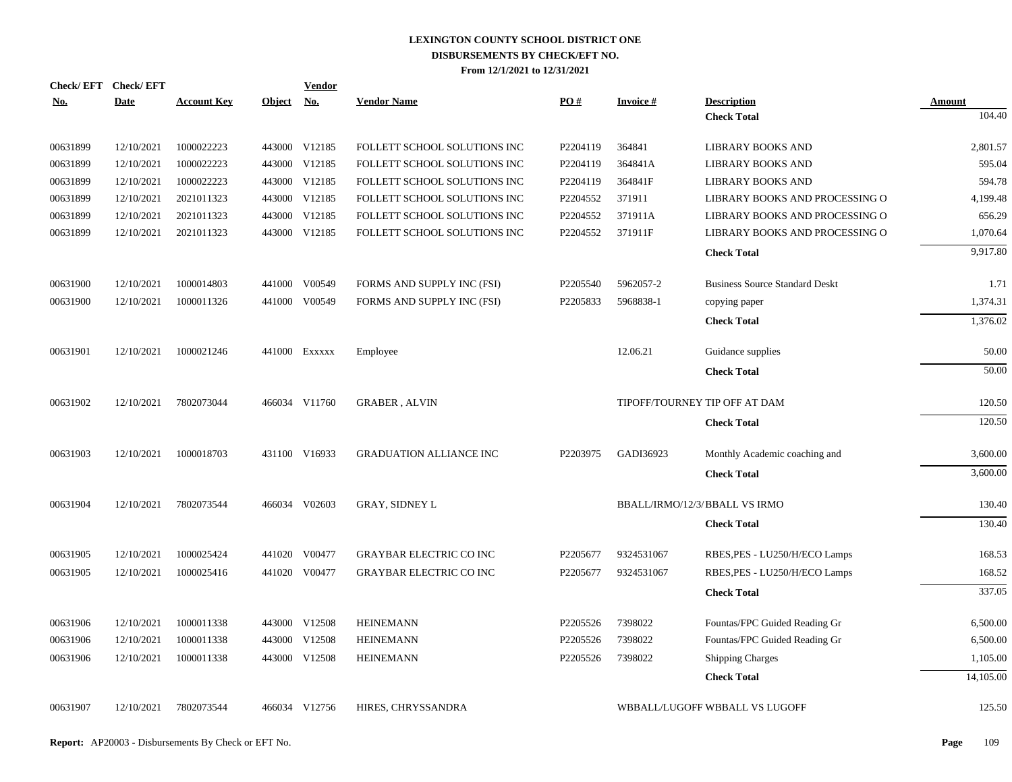| <b>Check/EFT</b> | <b>Check/EFT</b> |                    |               | <b>Vendor</b> |                                |          |                 |                                       |               |
|------------------|------------------|--------------------|---------------|---------------|--------------------------------|----------|-----------------|---------------------------------------|---------------|
| <u>No.</u>       | <b>Date</b>      | <b>Account Key</b> | <b>Object</b> | <u>No.</u>    | <b>Vendor Name</b>             | PO#      | <b>Invoice#</b> | <b>Description</b>                    | <b>Amount</b> |
|                  |                  |                    |               |               |                                |          |                 | <b>Check Total</b>                    | 104.40        |
| 00631899         | 12/10/2021       | 1000022223         |               | 443000 V12185 | FOLLETT SCHOOL SOLUTIONS INC   | P2204119 | 364841          | <b>LIBRARY BOOKS AND</b>              | 2,801.57      |
| 00631899         | 12/10/2021       | 1000022223         | 443000        | V12185        | FOLLETT SCHOOL SOLUTIONS INC   | P2204119 | 364841A         | <b>LIBRARY BOOKS AND</b>              | 595.04        |
| 00631899         | 12/10/2021       | 1000022223         |               | 443000 V12185 | FOLLETT SCHOOL SOLUTIONS INC   | P2204119 | 364841F         | <b>LIBRARY BOOKS AND</b>              | 594.78        |
| 00631899         | 12/10/2021       | 2021011323         |               | 443000 V12185 | FOLLETT SCHOOL SOLUTIONS INC   | P2204552 | 371911          | LIBRARY BOOKS AND PROCESSING O        | 4,199.48      |
| 00631899         | 12/10/2021       | 2021011323         |               | 443000 V12185 | FOLLETT SCHOOL SOLUTIONS INC   | P2204552 | 371911A         | LIBRARY BOOKS AND PROCESSING O        | 656.29        |
| 00631899         | 12/10/2021       | 2021011323         |               | 443000 V12185 | FOLLETT SCHOOL SOLUTIONS INC   | P2204552 | 371911F         | LIBRARY BOOKS AND PROCESSING O        | 1,070.64      |
|                  |                  |                    |               |               |                                |          |                 | <b>Check Total</b>                    | 9,917.80      |
| 00631900         | 12/10/2021       | 1000014803         |               | 441000 V00549 | FORMS AND SUPPLY INC (FSI)     | P2205540 | 5962057-2       | <b>Business Source Standard Deskt</b> | 1.71          |
| 00631900         | 12/10/2021       | 1000011326         |               | 441000 V00549 | FORMS AND SUPPLY INC (FSI)     | P2205833 | 5968838-1       | copying paper                         | 1,374.31      |
|                  |                  |                    |               |               |                                |          |                 | <b>Check Total</b>                    | 1,376.02      |
| 00631901         | 12/10/2021       | 1000021246         |               | 441000 Exxxxx | Employee                       |          | 12.06.21        | Guidance supplies                     | 50.00         |
|                  |                  |                    |               |               |                                |          |                 | <b>Check Total</b>                    | 50.00         |
| 00631902         | 12/10/2021       | 7802073044         |               | 466034 V11760 | <b>GRABER, ALVIN</b>           |          |                 | TIPOFF/TOURNEY TIP OFF AT DAM         | 120.50        |
|                  |                  |                    |               |               |                                |          |                 | <b>Check Total</b>                    | 120.50        |
| 00631903         | 12/10/2021       | 1000018703         |               | 431100 V16933 | <b>GRADUATION ALLIANCE INC</b> | P2203975 | GADI36923       | Monthly Academic coaching and         | 3,600.00      |
|                  |                  |                    |               |               |                                |          |                 | <b>Check Total</b>                    | 3,600.00      |
| 00631904         | 12/10/2021       | 7802073544         |               | 466034 V02603 | <b>GRAY, SIDNEY L</b>          |          |                 | BBALL/IRMO/12/3/BBALL VS IRMO         | 130.40        |
|                  |                  |                    |               |               |                                |          |                 | <b>Check Total</b>                    | 130.40        |
| 00631905         | 12/10/2021       | 1000025424         |               | 441020 V00477 | <b>GRAYBAR ELECTRIC CO INC</b> | P2205677 | 9324531067      | RBES, PES - LU250/H/ECO Lamps         | 168.53        |
| 00631905         | 12/10/2021       | 1000025416         |               | 441020 V00477 | <b>GRAYBAR ELECTRIC CO INC</b> | P2205677 | 9324531067      | RBES, PES - LU250/H/ECO Lamps         | 168.52        |
|                  |                  |                    |               |               |                                |          |                 | <b>Check Total</b>                    | 337.05        |
| 00631906         | 12/10/2021       | 1000011338         |               | 443000 V12508 | <b>HEINEMANN</b>               | P2205526 | 7398022         | Fountas/FPC Guided Reading Gr         | 6,500.00      |
| 00631906         | 12/10/2021       | 1000011338         | 443000        | V12508        | <b>HEINEMANN</b>               | P2205526 | 7398022         | Fountas/FPC Guided Reading Gr         | 6,500.00      |
| 00631906         | 12/10/2021       | 1000011338         |               | 443000 V12508 | <b>HEINEMANN</b>               | P2205526 | 7398022         | <b>Shipping Charges</b>               | 1,105.00      |
|                  |                  |                    |               |               |                                |          |                 | <b>Check Total</b>                    | 14,105.00     |
| 00631907         | 12/10/2021       | 7802073544         |               | 466034 V12756 | HIRES, CHRYSSANDRA             |          |                 | WBBALL/LUGOFF WBBALL VS LUGOFF        | 125.50        |
|                  |                  |                    |               |               |                                |          |                 |                                       |               |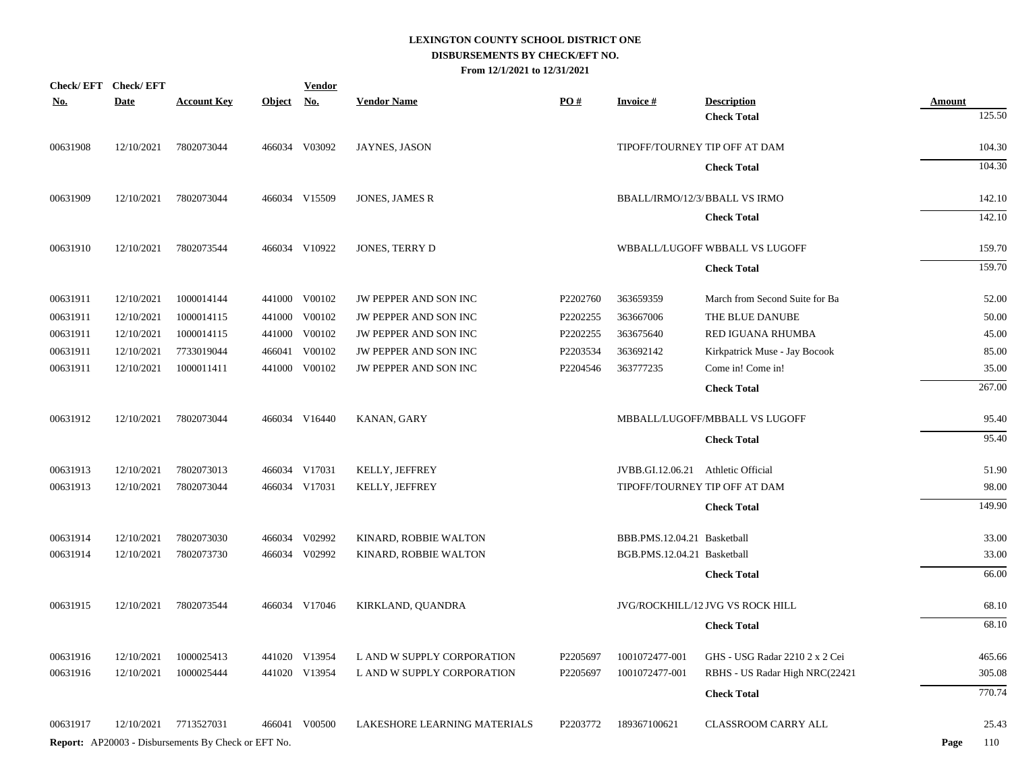|            | Check/EFT Check/EFT |                                                            |            | <u>Vendor</u> |                              |          |                                    |                                  |               |
|------------|---------------------|------------------------------------------------------------|------------|---------------|------------------------------|----------|------------------------------------|----------------------------------|---------------|
| <u>No.</u> | <b>Date</b>         | <b>Account Key</b>                                         | Object No. |               | <b>Vendor Name</b>           | PO#      | <b>Invoice#</b>                    | <b>Description</b>               | <b>Amount</b> |
|            |                     |                                                            |            |               |                              |          |                                    | <b>Check Total</b>               | 125.50        |
| 00631908   | 12/10/2021          | 7802073044                                                 |            | 466034 V03092 | JAYNES, JASON                |          |                                    | TIPOFF/TOURNEY TIP OFF AT DAM    | 104.30        |
|            |                     |                                                            |            |               |                              |          |                                    | <b>Check Total</b>               | 104.30        |
| 00631909   | 12/10/2021          | 7802073044                                                 |            | 466034 V15509 | JONES, JAMES R               |          |                                    | BBALL/IRMO/12/3/BBALL VS IRMO    | 142.10        |
|            |                     |                                                            |            |               |                              |          |                                    | <b>Check Total</b>               | 142.10        |
| 00631910   | 12/10/2021          | 7802073544                                                 |            | 466034 V10922 | JONES, TERRY D               |          |                                    | WBBALL/LUGOFF WBBALL VS LUGOFF   | 159.70        |
|            |                     |                                                            |            |               |                              |          |                                    | <b>Check Total</b>               | 159.70        |
| 00631911   | 12/10/2021          | 1000014144                                                 |            | 441000 V00102 | JW PEPPER AND SON INC        | P2202760 | 363659359                          | March from Second Suite for Ba   | 52.00         |
| 00631911   | 12/10/2021          | 1000014115                                                 |            | 441000 V00102 | JW PEPPER AND SON INC        | P2202255 | 363667006                          | THE BLUE DANUBE                  | 50.00         |
| 00631911   | 12/10/2021          | 1000014115                                                 |            | 441000 V00102 | JW PEPPER AND SON INC        | P2202255 | 363675640                          | RED IGUANA RHUMBA                | 45.00         |
| 00631911   | 12/10/2021          | 7733019044                                                 |            | 466041 V00102 | JW PEPPER AND SON INC        | P2203534 | 363692142                          | Kirkpatrick Muse - Jay Bocook    | 85.00         |
| 00631911   | 12/10/2021          | 1000011411                                                 |            | 441000 V00102 | JW PEPPER AND SON INC        | P2204546 | 363777235                          | Come in! Come in!                | 35.00         |
|            |                     |                                                            |            |               |                              |          |                                    | <b>Check Total</b>               | 267.00        |
| 00631912   | 12/10/2021          | 7802073044                                                 |            | 466034 V16440 | KANAN, GARY                  |          |                                    | MBBALL/LUGOFF/MBBALL VS LUGOFF   | 95.40         |
|            |                     |                                                            |            |               |                              |          |                                    | <b>Check Total</b>               | 95.40         |
| 00631913   | 12/10/2021          | 7802073013                                                 |            | 466034 V17031 | KELLY, JEFFREY               |          | JVBB.GI.12.06.21 Athletic Official |                                  | 51.90         |
| 00631913   | 12/10/2021          | 7802073044                                                 |            | 466034 V17031 | KELLY, JEFFREY               |          |                                    | TIPOFF/TOURNEY TIP OFF AT DAM    | 98.00         |
|            |                     |                                                            |            |               |                              |          |                                    | <b>Check Total</b>               | 149.90        |
| 00631914   | 12/10/2021          | 7802073030                                                 |            | 466034 V02992 | KINARD, ROBBIE WALTON        |          | BBB.PMS.12.04.21 Basketball        |                                  | 33.00         |
| 00631914   | 12/10/2021          | 7802073730                                                 |            | 466034 V02992 | KINARD, ROBBIE WALTON        |          | BGB.PMS.12.04.21 Basketball        |                                  | 33.00         |
|            |                     |                                                            |            |               |                              |          |                                    | <b>Check Total</b>               | 66.00         |
| 00631915   | 12/10/2021          | 7802073544                                                 |            | 466034 V17046 | KIRKLAND, QUANDRA            |          |                                    | JVG/ROCKHILL/12 JVG VS ROCK HILL | 68.10         |
|            |                     |                                                            |            |               |                              |          |                                    | <b>Check Total</b>               | 68.10         |
| 00631916   | 12/10/2021          | 1000025413                                                 |            | 441020 V13954 | L AND W SUPPLY CORPORATION   | P2205697 | 1001072477-001                     | GHS - USG Radar 2210 2 x 2 Cei   | 465.66        |
| 00631916   | 12/10/2021          | 1000025444                                                 |            | 441020 V13954 | L AND W SUPPLY CORPORATION   | P2205697 | 1001072477-001                     | RBHS - US Radar High NRC(22421   | 305.08        |
|            |                     |                                                            |            |               |                              |          |                                    | <b>Check Total</b>               | 770.74        |
| 00631917   | 12/10/2021          | 7713527031                                                 |            | 466041 V00500 | LAKESHORE LEARNING MATERIALS | P2203772 | 189367100621                       | CLASSROOM CARRY ALL              | 25.43         |
|            |                     | <b>Report:</b> AP20003 - Disbursements By Check or EFT No. |            |               |                              |          |                                    |                                  | Page<br>110   |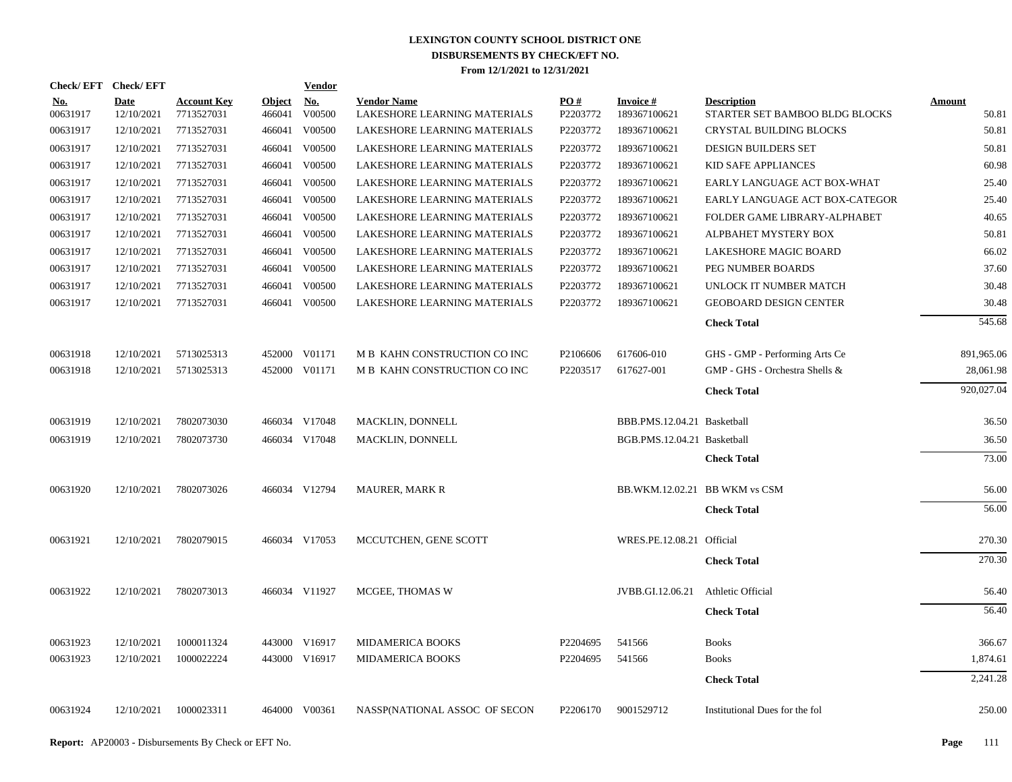| Check/EFT Check/EFT    |                    |                                  |                         | <b>Vendor</b> |                                                    |                 |                                 |                                                      |                        |
|------------------------|--------------------|----------------------------------|-------------------------|---------------|----------------------------------------------------|-----------------|---------------------------------|------------------------------------------------------|------------------------|
| <u>No.</u><br>00631917 | Date<br>12/10/2021 | <b>Account Key</b><br>7713527031 | <b>Object</b><br>466041 | No.<br>V00500 | <b>Vendor Name</b><br>LAKESHORE LEARNING MATERIALS | PO#<br>P2203772 | <b>Invoice#</b><br>189367100621 | <b>Description</b><br>STARTER SET BAMBOO BLDG BLOCKS | <b>Amount</b><br>50.81 |
| 00631917               | 12/10/2021         | 7713527031                       | 466041                  | V00500        | LAKESHORE LEARNING MATERIALS                       | P2203772        | 189367100621                    | <b>CRYSTAL BUILDING BLOCKS</b>                       | 50.81                  |
| 00631917               | 12/10/2021         | 7713527031                       |                         | 466041 V00500 | LAKESHORE LEARNING MATERIALS                       | P2203772        | 189367100621                    | <b>DESIGN BUILDERS SET</b>                           | 50.81                  |
| 00631917               | 12/10/2021         | 7713527031                       | 466041                  | V00500        | LAKESHORE LEARNING MATERIALS                       | P2203772        | 189367100621                    | KID SAFE APPLIANCES                                  | 60.98                  |
| 00631917               | 12/10/2021         | 7713527031                       |                         | 466041 V00500 | LAKESHORE LEARNING MATERIALS                       | P2203772        | 189367100621                    | EARLY LANGUAGE ACT BOX-WHAT                          | 25.40                  |
| 00631917               | 12/10/2021         | 7713527031                       |                         | 466041 V00500 | LAKESHORE LEARNING MATERIALS                       | P2203772        | 189367100621                    | EARLY LANGUAGE ACT BOX-CATEGOR                       | 25.40                  |
| 00631917               | 12/10/2021         | 7713527031                       |                         | 466041 V00500 | LAKESHORE LEARNING MATERIALS                       | P2203772        | 189367100621                    | FOLDER GAME LIBRARY-ALPHABET                         | 40.65                  |
| 00631917               | 12/10/2021         | 7713527031                       |                         | 466041 V00500 | LAKESHORE LEARNING MATERIALS                       | P2203772        | 189367100621                    | ALPBAHET MYSTERY BOX                                 | 50.81                  |
| 00631917               | 12/10/2021         | 7713527031                       |                         | 466041 V00500 | LAKESHORE LEARNING MATERIALS                       | P2203772        | 189367100621                    | LAKESHORE MAGIC BOARD                                | 66.02                  |
| 00631917               | 12/10/2021         | 7713527031                       |                         | 466041 V00500 | LAKESHORE LEARNING MATERIALS                       | P2203772        | 189367100621                    | PEG NUMBER BOARDS                                    | 37.60                  |
| 00631917               | 12/10/2021         | 7713527031                       |                         | 466041 V00500 | LAKESHORE LEARNING MATERIALS                       | P2203772        | 189367100621                    | UNLOCK IT NUMBER MATCH                               | 30.48                  |
| 00631917               | 12/10/2021         | 7713527031                       |                         | 466041 V00500 | LAKESHORE LEARNING MATERIALS                       | P2203772        | 189367100621                    | <b>GEOBOARD DESIGN CENTER</b>                        | 30.48                  |
|                        |                    |                                  |                         |               |                                                    |                 |                                 | <b>Check Total</b>                                   | 545.68                 |
| 00631918               | 12/10/2021         | 5713025313                       |                         | 452000 V01171 | M B KAHN CONSTRUCTION CO INC                       | P2106606        | 617606-010                      | GHS - GMP - Performing Arts Ce                       | 891,965.06             |
| 00631918               | 12/10/2021         | 5713025313                       |                         | 452000 V01171 | M B KAHN CONSTRUCTION CO INC                       | P2203517        | 617627-001                      | GMP - GHS - Orchestra Shells &                       | 28,061.98              |
|                        |                    |                                  |                         |               |                                                    |                 |                                 | <b>Check Total</b>                                   | 920,027.04             |
| 00631919               | 12/10/2021         | 7802073030                       |                         | 466034 V17048 | MACKLIN, DONNELL                                   |                 | BBB.PMS.12.04.21 Basketball     |                                                      | 36.50                  |
| 00631919               | 12/10/2021         | 7802073730                       |                         | 466034 V17048 | MACKLIN, DONNELL                                   |                 | BGB.PMS.12.04.21 Basketball     |                                                      | 36.50                  |
|                        |                    |                                  |                         |               |                                                    |                 |                                 | <b>Check Total</b>                                   | 73.00                  |
| 00631920               | 12/10/2021         | 7802073026                       |                         | 466034 V12794 | <b>MAURER, MARK R</b>                              |                 | BB.WKM.12.02.21 BB WKM vs CSM   |                                                      | 56.00                  |
|                        |                    |                                  |                         |               |                                                    |                 |                                 | <b>Check Total</b>                                   | 56.00                  |
| 00631921               | 12/10/2021         | 7802079015                       |                         | 466034 V17053 | MCCUTCHEN, GENE SCOTT                              |                 | WRES.PE.12.08.21 Official       |                                                      | 270.30                 |
|                        |                    |                                  |                         |               |                                                    |                 |                                 | <b>Check Total</b>                                   | 270.30                 |
| 00631922               | 12/10/2021         | 7802073013                       |                         | 466034 V11927 | MCGEE, THOMAS W                                    |                 | JVBB.GI.12.06.21                | Athletic Official                                    | 56.40                  |
|                        |                    |                                  |                         |               |                                                    |                 |                                 | <b>Check Total</b>                                   | 56.40                  |
| 00631923               | 12/10/2021         | 1000011324                       |                         | 443000 V16917 | <b>MIDAMERICA BOOKS</b>                            | P2204695        | 541566                          | <b>Books</b>                                         | 366.67                 |
| 00631923               | 12/10/2021         | 1000022224                       |                         | 443000 V16917 | <b>MIDAMERICA BOOKS</b>                            | P2204695        | 541566                          | <b>Books</b>                                         | 1,874.61               |
|                        |                    |                                  |                         |               |                                                    |                 |                                 | <b>Check Total</b>                                   | 2,241.28               |
| 00631924               | 12/10/2021         | 1000023311                       |                         | 464000 V00361 | NASSP(NATIONAL ASSOC OF SECON                      | P2206170        | 9001529712                      | Institutional Dues for the fol                       | 250.00                 |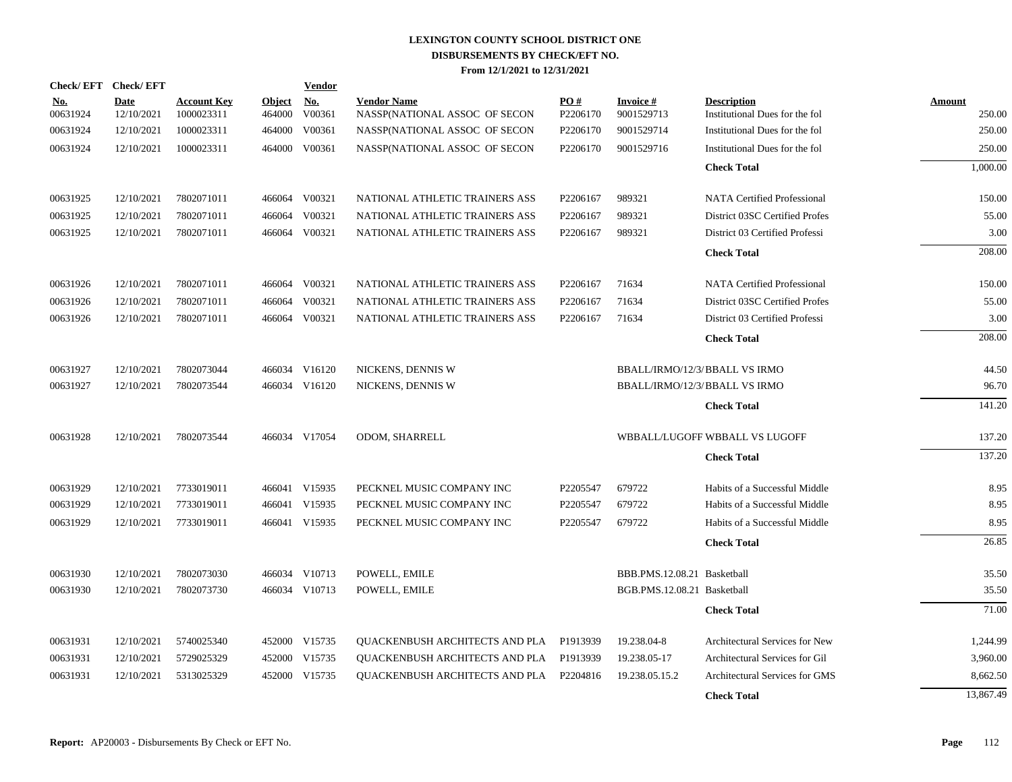| Check/EFT Check/EFT    |                           |                                  |                         | <b>Vendor</b>                         |                                                     |                 |                               |                                                      |                  |
|------------------------|---------------------------|----------------------------------|-------------------------|---------------------------------------|-----------------------------------------------------|-----------------|-------------------------------|------------------------------------------------------|------------------|
| <u>No.</u><br>00631924 | <b>Date</b><br>12/10/2021 | <b>Account Key</b><br>1000023311 | <b>Object</b><br>464000 | $\underline{\textbf{No}}$ .<br>V00361 | <b>Vendor Name</b><br>NASSP(NATIONAL ASSOC OF SECON | PO#<br>P2206170 | <b>Invoice#</b><br>9001529713 | <b>Description</b><br>Institutional Dues for the fol | Amount<br>250.00 |
| 00631924               | 12/10/2021                | 1000023311                       | 464000                  | V00361                                | NASSP(NATIONAL ASSOC OF SECON                       | P2206170        | 9001529714                    | Institutional Dues for the fol                       | 250.00           |
| 00631924               | 12/10/2021                | 1000023311                       |                         | 464000 V00361                         | NASSP(NATIONAL ASSOC OF SECON                       | P2206170        | 9001529716                    | Institutional Dues for the fol                       | 250.00           |
|                        |                           |                                  |                         |                                       |                                                     |                 |                               | <b>Check Total</b>                                   | 1,000.00         |
| 00631925               | 12/10/2021                | 7802071011                       |                         | 466064 V00321                         | NATIONAL ATHLETIC TRAINERS ASS                      | P2206167        | 989321                        | <b>NATA Certified Professional</b>                   | 150.00           |
| 00631925               | 12/10/2021                | 7802071011                       | 466064                  | V00321                                | NATIONAL ATHLETIC TRAINERS ASS                      | P2206167        | 989321                        | District 03SC Certified Profes                       | 55.00            |
| 00631925               | 12/10/2021                | 7802071011                       |                         | 466064 V00321                         | NATIONAL ATHLETIC TRAINERS ASS                      | P2206167        | 989321                        | District 03 Certified Professi                       | 3.00             |
|                        |                           |                                  |                         |                                       |                                                     |                 |                               | <b>Check Total</b>                                   | 208.00           |
| 00631926               | 12/10/2021                | 7802071011                       |                         | 466064 V00321                         | NATIONAL ATHLETIC TRAINERS ASS                      | P2206167        | 71634                         | <b>NATA Certified Professional</b>                   | 150.00           |
| 00631926               | 12/10/2021                | 7802071011                       | 466064                  | V00321                                | NATIONAL ATHLETIC TRAINERS ASS                      | P2206167        | 71634                         | District 03SC Certified Profes                       | 55.00            |
| 00631926               | 12/10/2021                | 7802071011                       |                         | 466064 V00321                         | NATIONAL ATHLETIC TRAINERS ASS                      | P2206167        | 71634                         | District 03 Certified Professi                       | 3.00             |
|                        |                           |                                  |                         |                                       |                                                     |                 |                               | <b>Check Total</b>                                   | 208.00           |
| 00631927               | 12/10/2021                | 7802073044                       |                         | 466034 V16120                         | NICKENS, DENNIS W                                   |                 |                               | BBALL/IRMO/12/3/BBALL VS IRMO                        | 44.50            |
| 00631927               | 12/10/2021                | 7802073544                       |                         | 466034 V16120                         | NICKENS, DENNIS W                                   |                 |                               | BBALL/IRMO/12/3/BBALL VS IRMO                        | 96.70            |
|                        |                           |                                  |                         |                                       |                                                     |                 |                               | <b>Check Total</b>                                   | 141.20           |
| 00631928               | 12/10/2021                | 7802073544                       |                         | 466034 V17054                         | ODOM, SHARRELL                                      |                 |                               | WBBALL/LUGOFF WBBALL VS LUGOFF                       | 137.20           |
|                        |                           |                                  |                         |                                       |                                                     |                 |                               | <b>Check Total</b>                                   | 137.20           |
| 00631929               | 12/10/2021                | 7733019011                       |                         | 466041 V15935                         | PECKNEL MUSIC COMPANY INC                           | P2205547        | 679722                        | Habits of a Successful Middle                        | 8.95             |
| 00631929               | 12/10/2021                | 7733019011                       |                         | 466041 V15935                         | PECKNEL MUSIC COMPANY INC                           | P2205547        | 679722                        | Habits of a Successful Middle                        | 8.95             |
| 00631929               | 12/10/2021                | 7733019011                       |                         | 466041 V15935                         | PECKNEL MUSIC COMPANY INC                           | P2205547        | 679722                        | Habits of a Successful Middle                        | 8.95             |
|                        |                           |                                  |                         |                                       |                                                     |                 |                               | <b>Check Total</b>                                   | 26.85            |
| 00631930               | 12/10/2021                | 7802073030                       |                         | 466034 V10713                         | POWELL, EMILE                                       |                 | BBB.PMS.12.08.21 Basketball   |                                                      | 35.50            |
| 00631930               | 12/10/2021                | 7802073730                       |                         | 466034 V10713                         | POWELL, EMILE                                       |                 | BGB.PMS.12.08.21 Basketball   |                                                      | 35.50            |
|                        |                           |                                  |                         |                                       |                                                     |                 |                               | <b>Check Total</b>                                   | 71.00            |
| 00631931               | 12/10/2021                | 5740025340                       |                         | 452000 V15735                         | QUACKENBUSH ARCHITECTS AND PLA                      | P1913939        | 19.238.04-8                   | Architectural Services for New                       | 1,244.99         |
| 00631931               | 12/10/2021                | 5729025329                       |                         | 452000 V15735                         | QUACKENBUSH ARCHITECTS AND PLA                      | P1913939        | 19.238.05-17                  | Architectural Services for Gil                       | 3,960.00         |
| 00631931               | 12/10/2021                | 5313025329                       |                         | 452000 V15735                         | <b>OUACKENBUSH ARCHITECTS AND PLA</b>               | P2204816        | 19.238.05.15.2                | Architectural Services for GMS                       | 8,662.50         |
|                        |                           |                                  |                         |                                       |                                                     |                 |                               | <b>Check Total</b>                                   | 13,867.49        |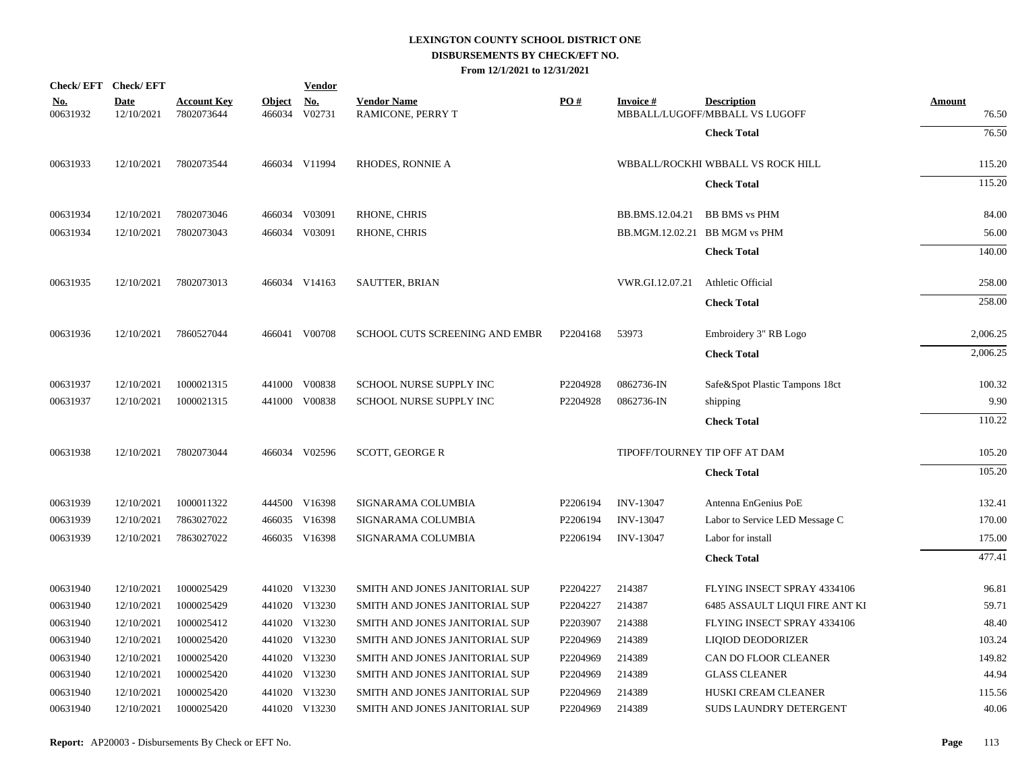| Check/EFT Check/EFT    |                    |                                  |                         | <b>Vendor</b> |                                         |          |                  |                                                      |                        |
|------------------------|--------------------|----------------------------------|-------------------------|---------------|-----------------------------------------|----------|------------------|------------------------------------------------------|------------------------|
| <u>No.</u><br>00631932 | Date<br>12/10/2021 | <b>Account Key</b><br>7802073644 | <b>Object</b><br>466034 | No.<br>V02731 | <b>Vendor Name</b><br>RAMICONE, PERRY T | PO#      | <b>Invoice#</b>  | <b>Description</b><br>MBBALL/LUGOFF/MBBALL VS LUGOFF | <b>Amount</b><br>76.50 |
|                        |                    |                                  |                         |               |                                         |          |                  | <b>Check Total</b>                                   | 76.50                  |
| 00631933               | 12/10/2021         | 7802073544                       |                         | 466034 V11994 | <b>RHODES, RONNIE A</b>                 |          |                  | WBBALL/ROCKHI WBBALL VS ROCK HILL                    | 115.20                 |
|                        |                    |                                  |                         |               |                                         |          |                  | <b>Check Total</b>                                   | 115.20                 |
|                        |                    |                                  |                         |               |                                         |          |                  |                                                      |                        |
| 00631934               | 12/10/2021         | 7802073046                       |                         | 466034 V03091 | RHONE, CHRIS                            |          | BB.BMS.12.04.21  | <b>BB BMS</b> vs PHM                                 | 84.00                  |
| 00631934               | 12/10/2021         | 7802073043                       |                         | 466034 V03091 | RHONE, CHRIS                            |          |                  | BB.MGM.12.02.21 BB MGM vs PHM                        | 56.00                  |
|                        |                    |                                  |                         |               |                                         |          |                  | <b>Check Total</b>                                   | 140.00                 |
| 00631935               | 12/10/2021         | 7802073013                       |                         | 466034 V14163 | SAUTTER, BRIAN                          |          | VWR.GI.12.07.21  | <b>Athletic Official</b>                             | 258.00                 |
|                        |                    |                                  |                         |               |                                         |          |                  | <b>Check Total</b>                                   | 258.00                 |
| 00631936               | 12/10/2021         | 7860527044                       |                         | 466041 V00708 | SCHOOL CUTS SCREENING AND EMBR          | P2204168 | 53973            | Embroidery 3" RB Logo                                | 2,006.25               |
|                        |                    |                                  |                         |               |                                         |          |                  | <b>Check Total</b>                                   | 2,006.25               |
| 00631937               | 12/10/2021         | 1000021315                       |                         | 441000 V00838 | SCHOOL NURSE SUPPLY INC                 | P2204928 | 0862736-IN       | Safe&Spot Plastic Tampons 18ct                       | 100.32                 |
| 00631937               | 12/10/2021         | 1000021315                       |                         | 441000 V00838 | SCHOOL NURSE SUPPLY INC                 | P2204928 | 0862736-IN       | shipping                                             | 9.90                   |
|                        |                    |                                  |                         |               |                                         |          |                  | <b>Check Total</b>                                   | 110.22                 |
| 00631938               | 12/10/2021         | 7802073044                       |                         | 466034 V02596 | <b>SCOTT, GEORGE R</b>                  |          |                  | TIPOFF/TOURNEY TIP OFF AT DAM                        | 105.20                 |
|                        |                    |                                  |                         |               |                                         |          |                  | <b>Check Total</b>                                   | 105.20                 |
| 00631939               | 12/10/2021         | 1000011322                       |                         | 444500 V16398 | SIGNARAMA COLUMBIA                      | P2206194 | <b>INV-13047</b> | Antenna EnGenius PoE                                 | 132.41                 |
| 00631939               | 12/10/2021         | 7863027022                       |                         | 466035 V16398 | SIGNARAMA COLUMBIA                      | P2206194 | INV-13047        | Labor to Service LED Message C                       | 170.00                 |
| 00631939               | 12/10/2021         | 7863027022                       |                         | 466035 V16398 | SIGNARAMA COLUMBIA                      | P2206194 | <b>INV-13047</b> | Labor for install                                    | 175.00                 |
|                        |                    |                                  |                         |               |                                         |          |                  | <b>Check Total</b>                                   | 477.41                 |
| 00631940               | 12/10/2021         | 1000025429                       |                         | 441020 V13230 | SMITH AND JONES JANITORIAL SUP          | P2204227 | 214387           | FLYING INSECT SPRAY 4334106                          | 96.81                  |
| 00631940               | 12/10/2021         | 1000025429                       |                         | 441020 V13230 | SMITH AND JONES JANITORIAL SUP          | P2204227 | 214387           | <b>6485 ASSAULT LIQUI FIRE ANT KI</b>                | 59.71                  |
| 00631940               | 12/10/2021         | 1000025412                       |                         | 441020 V13230 | SMITH AND JONES JANITORIAL SUP          | P2203907 | 214388           | FLYING INSECT SPRAY 4334106                          | 48.40                  |
| 00631940               | 12/10/2021         | 1000025420                       |                         | 441020 V13230 | SMITH AND JONES JANITORIAL SUP          | P2204969 | 214389           | LIQIOD DEODORIZER                                    | 103.24                 |
| 00631940               | 12/10/2021         | 1000025420                       |                         | 441020 V13230 | SMITH AND JONES JANITORIAL SUP          | P2204969 | 214389           | CAN DO FLOOR CLEANER                                 | 149.82                 |
| 00631940               | 12/10/2021         | 1000025420                       |                         | 441020 V13230 | SMITH AND JONES JANITORIAL SUP          | P2204969 | 214389           | <b>GLASS CLEANER</b>                                 | 44.94                  |
| 00631940               | 12/10/2021         | 1000025420                       |                         | 441020 V13230 | SMITH AND JONES JANITORIAL SUP          | P2204969 | 214389           | HUSKI CREAM CLEANER                                  | 115.56                 |
| 00631940               | 12/10/2021         | 1000025420                       |                         | 441020 V13230 | SMITH AND JONES JANITORIAL SUP          | P2204969 | 214389           | SUDS LAUNDRY DETERGENT                               | 40.06                  |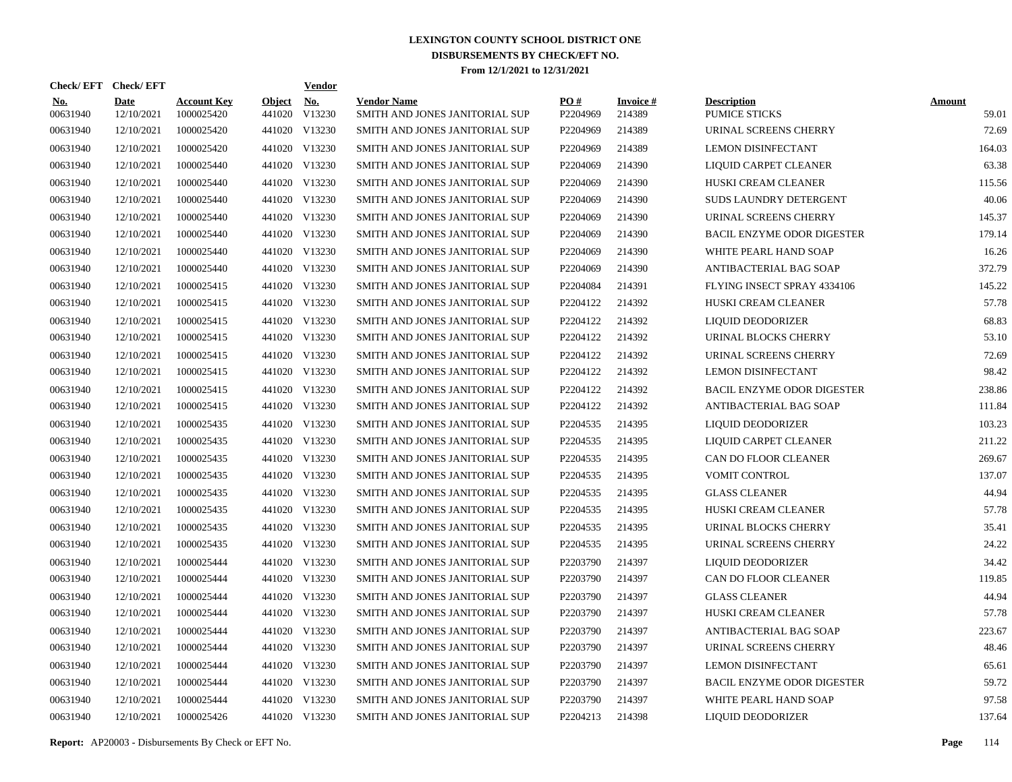|                        | Check/EFT Check/EFT       |                                  |                         | <b>Vendor</b>        |                                                      |                      |                           |                                            |                        |
|------------------------|---------------------------|----------------------------------|-------------------------|----------------------|------------------------------------------------------|----------------------|---------------------------|--------------------------------------------|------------------------|
| <u>No.</u><br>00631940 | <b>Date</b><br>12/10/2021 | <b>Account Key</b><br>1000025420 | <b>Object</b><br>441020 | <u>No.</u><br>V13230 | <b>Vendor Name</b><br>SMITH AND JONES JANITORIAL SUP | PO#<br>P2204969      | <b>Invoice#</b><br>214389 | <b>Description</b><br><b>PUMICE STICKS</b> | <b>Amount</b><br>59.01 |
| 00631940               | 12/10/2021                | 1000025420                       |                         | 441020 V13230        | SMITH AND JONES JANITORIAL SUP                       | P <sub>2204969</sub> | 214389                    | URINAL SCREENS CHERRY                      | 72.69                  |
| 00631940               | 12/10/2021                | 1000025420                       |                         | 441020 V13230        | SMITH AND JONES JANITORIAL SUP                       | P <sub>2204969</sub> | 214389                    | <b>LEMON DISINFECTANT</b>                  | 164.03                 |
| 00631940               | 12/10/2021                | 1000025440                       |                         | 441020 V13230        | SMITH AND JONES JANITORIAL SUP                       | P2204069             | 214390                    | <b>LIQUID CARPET CLEANER</b>               | 63.38                  |
| 00631940               | 12/10/2021                | 1000025440                       |                         | 441020 V13230        | SMITH AND JONES JANITORIAL SUP                       | P2204069             | 214390                    | HUSKI CREAM CLEANER                        | 115.56                 |
| 00631940               | 12/10/2021                | 1000025440                       |                         | 441020 V13230        | SMITH AND JONES JANITORIAL SUP                       | P2204069             | 214390                    | <b>SUDS LAUNDRY DETERGENT</b>              | 40.06                  |
| 00631940               | 12/10/2021                | 1000025440                       |                         | 441020 V13230        | SMITH AND JONES JANITORIAL SUP                       | P2204069             | 214390                    | URINAL SCREENS CHERRY                      | 145.37                 |
| 00631940               | 12/10/2021                | 1000025440                       |                         | 441020 V13230        | SMITH AND JONES JANITORIAL SUP                       | P <sub>2204069</sub> | 214390                    | <b>BACIL ENZYME ODOR DIGESTER</b>          | 179.14                 |
| 00631940               | 12/10/2021                | 1000025440                       |                         | 441020 V13230        | SMITH AND JONES JANITORIAL SUP                       | P2204069             | 214390                    | WHITE PEARL HAND SOAP                      | 16.26                  |
| 00631940               | 12/10/2021                | 1000025440                       |                         | 441020 V13230        | SMITH AND JONES JANITORIAL SUP                       | P <sub>2204069</sub> | 214390                    | ANTIBACTERIAL BAG SOAP                     | 372.79                 |
| 00631940               | 12/10/2021                | 1000025415                       |                         | 441020 V13230        | SMITH AND JONES JANITORIAL SUP                       | P2204084             | 214391                    | FLYING INSECT SPRAY 4334106                | 145.22                 |
| 00631940               | 12/10/2021                | 1000025415                       |                         | 441020 V13230        | SMITH AND JONES JANITORIAL SUP                       | P2204122             | 214392                    | HUSKI CREAM CLEANER                        | 57.78                  |
| 00631940               | 12/10/2021                | 1000025415                       |                         | 441020 V13230        | SMITH AND JONES JANITORIAL SUP                       | P2204122             | 214392                    | LIQUID DEODORIZER                          | 68.83                  |
| 00631940               | 12/10/2021                | 1000025415                       |                         | 441020 V13230        | SMITH AND JONES JANITORIAL SUP                       | P2204122             | 214392                    | URINAL BLOCKS CHERRY                       | 53.10                  |
| 00631940               | 12/10/2021                | 1000025415                       |                         | 441020 V13230        | SMITH AND JONES JANITORIAL SUP                       | P2204122             | 214392                    | URINAL SCREENS CHERRY                      | 72.69                  |
| 00631940               | 12/10/2021                | 1000025415                       |                         | 441020 V13230        | SMITH AND JONES JANITORIAL SUP                       | P2204122             | 214392                    | <b>LEMON DISINFECTANT</b>                  | 98.42                  |
| 00631940               | 12/10/2021                | 1000025415                       |                         | 441020 V13230        | SMITH AND JONES JANITORIAL SUP                       | P2204122             | 214392                    | <b>BACIL ENZYME ODOR DIGESTER</b>          | 238.86                 |
| 00631940               | 12/10/2021                | 1000025415                       |                         | 441020 V13230        | SMITH AND JONES JANITORIAL SUP                       | P2204122             | 214392                    | ANTIBACTERIAL BAG SOAP                     | 111.84                 |
| 00631940               | 12/10/2021                | 1000025435                       |                         | 441020 V13230        | SMITH AND JONES JANITORIAL SUP                       | P2204535             | 214395                    | <b>LIQUID DEODORIZER</b>                   | 103.23                 |
| 00631940               | 12/10/2021                | 1000025435                       |                         | 441020 V13230        | SMITH AND JONES JANITORIAL SUP                       | P2204535             | 214395                    | LIQUID CARPET CLEANER                      | 211.22                 |
| 00631940               | 12/10/2021                | 1000025435                       |                         | 441020 V13230        | SMITH AND JONES JANITORIAL SUP                       | P2204535             | 214395                    | CAN DO FLOOR CLEANER                       | 269.67                 |
| 00631940               | 12/10/2021                | 1000025435                       |                         | 441020 V13230        | SMITH AND JONES JANITORIAL SUP                       | P2204535             | 214395                    | <b>VOMIT CONTROL</b>                       | 137.07                 |
| 00631940               | 12/10/2021                | 1000025435                       |                         | 441020 V13230        | SMITH AND JONES JANITORIAL SUP                       | P2204535             | 214395                    | <b>GLASS CLEANER</b>                       | 44.94                  |
| 00631940               | 12/10/2021                | 1000025435                       |                         | 441020 V13230        | SMITH AND JONES JANITORIAL SUP                       | P2204535             | 214395                    | HUSKI CREAM CLEANER                        | 57.78                  |
| 00631940               | 12/10/2021                | 1000025435                       |                         | 441020 V13230        | SMITH AND JONES JANITORIAL SUP                       | P2204535             | 214395                    | URINAL BLOCKS CHERRY                       | 35.41                  |
| 00631940               | 12/10/2021                | 1000025435                       |                         | 441020 V13230        | SMITH AND JONES JANITORIAL SUP                       | P2204535             | 214395                    | URINAL SCREENS CHERRY                      | 24.22                  |
| 00631940               | 12/10/2021                | 1000025444                       |                         | 441020 V13230        | SMITH AND JONES JANITORIAL SUP                       | P2203790             | 214397                    | LIQUID DEODORIZER                          | 34.42                  |
| 00631940               | 12/10/2021                | 1000025444                       |                         | 441020 V13230        | SMITH AND JONES JANITORIAL SUP                       | P2203790             | 214397                    | CAN DO FLOOR CLEANER                       | 119.85                 |
| 00631940               | 12/10/2021                | 1000025444                       |                         | 441020 V13230        | SMITH AND JONES JANITORIAL SUP                       | P2203790             | 214397                    | <b>GLASS CLEANER</b>                       | 44.94                  |
| 00631940               | 12/10/2021                | 1000025444                       |                         | 441020 V13230        | SMITH AND JONES JANITORIAL SUP                       | P2203790             | 214397                    | HUSKI CREAM CLEANER                        | 57.78                  |
| 00631940               | 12/10/2021                | 1000025444                       |                         | 441020 V13230        | SMITH AND JONES JANITORIAL SUP                       | P2203790             | 214397                    | ANTIBACTERIAL BAG SOAP                     | 223.67                 |
| 00631940               | 12/10/2021                | 1000025444                       |                         | 441020 V13230        | SMITH AND JONES JANITORIAL SUP                       | P2203790             | 214397                    | URINAL SCREENS CHERRY                      | 48.46                  |
| 00631940               | 12/10/2021                | 1000025444                       |                         | 441020 V13230        | SMITH AND JONES JANITORIAL SUP                       | P2203790             | 214397                    | <b>LEMON DISINFECTANT</b>                  | 65.61                  |
| 00631940               | 12/10/2021                | 1000025444                       |                         | 441020 V13230        | SMITH AND JONES JANITORIAL SUP                       | P2203790             | 214397                    | <b>BACIL ENZYME ODOR DIGESTER</b>          | 59.72                  |
| 00631940               | 12/10/2021                | 1000025444                       |                         | 441020 V13230        | SMITH AND JONES JANITORIAL SUP                       | P2203790             | 214397                    | WHITE PEARL HAND SOAP                      | 97.58                  |
| 00631940               | 12/10/2021                | 1000025426                       |                         | 441020 V13230        | SMITH AND JONES JANITORIAL SUP                       | P2204213             | 214398                    | <b>LIQUID DEODORIZER</b>                   | 137.64                 |

**Report:** AP20003 - Disbursements By Check or EFT No. **Page** 114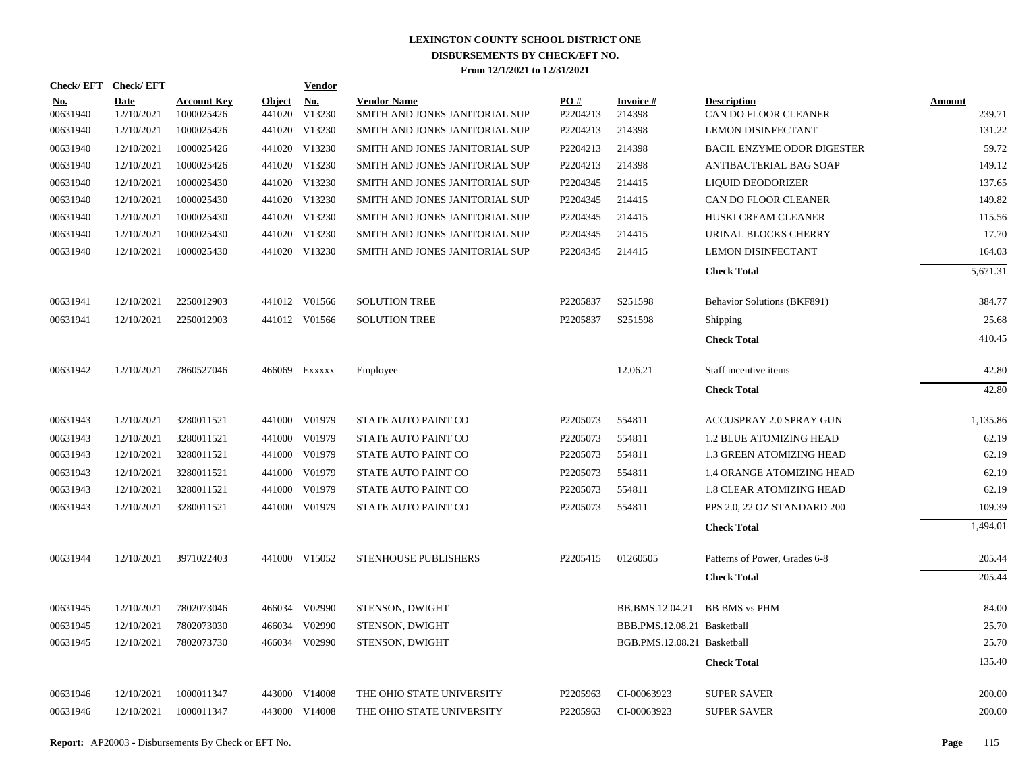| Check/EFT Check/EFT    |                           |                                  |                         | <b>Vendor</b> |                                                      |                 |                             |                                            |                  |
|------------------------|---------------------------|----------------------------------|-------------------------|---------------|------------------------------------------------------|-----------------|-----------------------------|--------------------------------------------|------------------|
| <u>No.</u><br>00631940 | <b>Date</b><br>12/10/2021 | <b>Account Key</b><br>1000025426 | <b>Object</b><br>441020 | No.<br>V13230 | <b>Vendor Name</b><br>SMITH AND JONES JANITORIAL SUP | PO#<br>P2204213 | <b>Invoice#</b><br>214398   | <b>Description</b><br>CAN DO FLOOR CLEANER | Amount<br>239.71 |
| 00631940               | 12/10/2021                | 1000025426                       |                         | 441020 V13230 | SMITH AND JONES JANITORIAL SUP                       | P2204213        | 214398                      | <b>LEMON DISINFECTANT</b>                  | 131.22           |
| 00631940               | 12/10/2021                | 1000025426                       |                         | 441020 V13230 | SMITH AND JONES JANITORIAL SUP                       | P2204213        | 214398                      | <b>BACIL ENZYME ODOR DIGESTER</b>          | 59.72            |
| 00631940               | 12/10/2021                | 1000025426                       |                         | 441020 V13230 | SMITH AND JONES JANITORIAL SUP                       | P2204213        | 214398                      | ANTIBACTERIAL BAG SOAP                     | 149.12           |
| 00631940               | 12/10/2021                | 1000025430                       |                         | 441020 V13230 | SMITH AND JONES JANITORIAL SUP                       | P2204345        | 214415                      | LIQUID DEODORIZER                          | 137.65           |
| 00631940               | 12/10/2021                | 1000025430                       |                         | 441020 V13230 | SMITH AND JONES JANITORIAL SUP                       | P2204345        | 214415                      | CAN DO FLOOR CLEANER                       | 149.82           |
| 00631940               | 12/10/2021                | 1000025430                       |                         | 441020 V13230 | SMITH AND JONES JANITORIAL SUP                       | P2204345        | 214415                      | HUSKI CREAM CLEANER                        | 115.56           |
| 00631940               | 12/10/2021                | 1000025430                       |                         | 441020 V13230 | SMITH AND JONES JANITORIAL SUP                       | P2204345        | 214415                      | URINAL BLOCKS CHERRY                       | 17.70            |
| 00631940               | 12/10/2021                | 1000025430                       |                         | 441020 V13230 | SMITH AND JONES JANITORIAL SUP                       | P2204345        | 214415                      | <b>LEMON DISINFECTANT</b>                  | 164.03           |
|                        |                           |                                  |                         |               |                                                      |                 |                             | <b>Check Total</b>                         | 5,671.31         |
| 00631941               | 12/10/2021                | 2250012903                       |                         | 441012 V01566 | <b>SOLUTION TREE</b>                                 | P2205837        | S251598                     | Behavior Solutions (BKF891)                | 384.77           |
| 00631941               | 12/10/2021                | 2250012903                       |                         | 441012 V01566 | <b>SOLUTION TREE</b>                                 | P2205837        | S251598                     | Shipping                                   | 25.68            |
|                        |                           |                                  |                         |               |                                                      |                 |                             | <b>Check Total</b>                         | 410.45           |
| 00631942               | 12/10/2021                | 7860527046                       |                         | 466069 Exxxxx | Employee                                             |                 | 12.06.21                    | Staff incentive items                      | 42.80            |
|                        |                           |                                  |                         |               |                                                      |                 |                             | <b>Check Total</b>                         | 42.80            |
| 00631943               | 12/10/2021                | 3280011521                       |                         | 441000 V01979 | <b>STATE AUTO PAINT CO</b>                           | P2205073        | 554811                      | <b>ACCUSPRAY 2.0 SPRAY GUN</b>             | 1,135.86         |
| 00631943               | 12/10/2021                | 3280011521                       |                         | 441000 V01979 | STATE AUTO PAINT CO                                  | P2205073        | 554811                      | <b>1.2 BLUE ATOMIZING HEAD</b>             | 62.19            |
| 00631943               | 12/10/2021                | 3280011521                       |                         | 441000 V01979 | <b>STATE AUTO PAINT CO</b>                           | P2205073        | 554811                      | 1.3 GREEN ATOMIZING HEAD                   | 62.19            |
| 00631943               | 12/10/2021                | 3280011521                       |                         | 441000 V01979 | STATE AUTO PAINT CO                                  | P2205073        | 554811                      | <b>1.4 ORANGE ATOMIZING HEAD</b>           | 62.19            |
| 00631943               | 12/10/2021                | 3280011521                       |                         | 441000 V01979 | STATE AUTO PAINT CO                                  | P2205073        | 554811                      | 1.8 CLEAR ATOMIZING HEAD                   | 62.19            |
| 00631943               | 12/10/2021                | 3280011521                       |                         | 441000 V01979 | STATE AUTO PAINT CO                                  | P2205073        | 554811                      | PPS 2.0, 22 OZ STANDARD 200                | 109.39           |
|                        |                           |                                  |                         |               |                                                      |                 |                             | <b>Check Total</b>                         | 1,494.01         |
| 00631944               | 12/10/2021                | 3971022403                       |                         | 441000 V15052 | <b>STENHOUSE PUBLISHERS</b>                          | P2205415        | 01260505                    | Patterns of Power, Grades 6-8              | 205.44           |
|                        |                           |                                  |                         |               |                                                      |                 |                             | <b>Check Total</b>                         | 205.44           |
| 00631945               | 12/10/2021                | 7802073046                       |                         | 466034 V02990 | STENSON, DWIGHT                                      |                 | BB.BMS.12.04.21             | <b>BB BMS</b> vs PHM                       | 84.00            |
| 00631945               | 12/10/2021                | 7802073030                       | 466034                  | V02990        | STENSON, DWIGHT                                      |                 | BBB.PMS.12.08.21 Basketball |                                            | 25.70            |
| 00631945               | 12/10/2021                | 7802073730                       |                         | 466034 V02990 | STENSON, DWIGHT                                      |                 | BGB.PMS.12.08.21 Basketball |                                            | 25.70            |
|                        |                           |                                  |                         |               |                                                      |                 |                             | <b>Check Total</b>                         | 135.40           |
| 00631946               | 12/10/2021                | 1000011347                       |                         | 443000 V14008 | THE OHIO STATE UNIVERSITY                            | P2205963        | CI-00063923                 | <b>SUPER SAVER</b>                         | 200.00           |
| 00631946               | 12/10/2021                | 1000011347                       |                         | 443000 V14008 | THE OHIO STATE UNIVERSITY                            | P2205963        | CI-00063923                 | <b>SUPER SAVER</b>                         | 200.00           |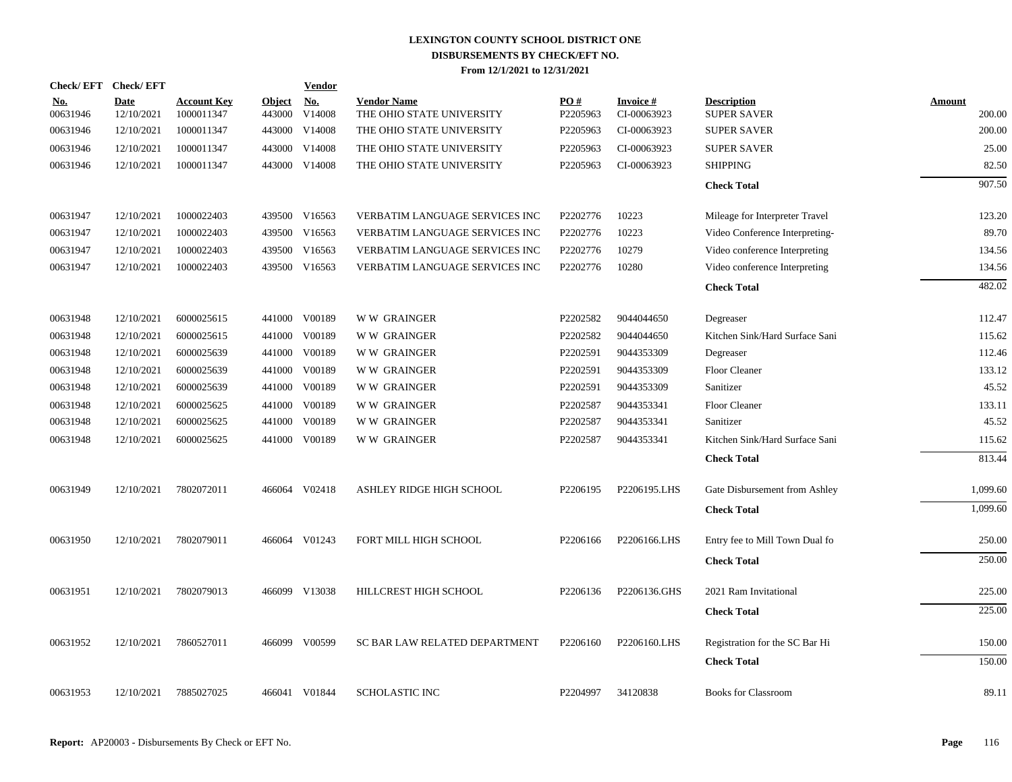| Check/EFT Check/EFT    |                           |                                  |                         | <b>Vendor</b>        |                                                 |                 |                                |                                          |                  |
|------------------------|---------------------------|----------------------------------|-------------------------|----------------------|-------------------------------------------------|-----------------|--------------------------------|------------------------------------------|------------------|
| <b>No.</b><br>00631946 | <b>Date</b><br>12/10/2021 | <b>Account Key</b><br>1000011347 | <b>Object</b><br>443000 | <u>No.</u><br>V14008 | <b>Vendor Name</b><br>THE OHIO STATE UNIVERSITY | PO#<br>P2205963 | <b>Invoice#</b><br>CI-00063923 | <b>Description</b><br><b>SUPER SAVER</b> | Amount<br>200.00 |
| 00631946               | 12/10/2021                | 1000011347                       | 443000                  | V14008               | THE OHIO STATE UNIVERSITY                       | P2205963        | CI-00063923                    | <b>SUPER SAVER</b>                       | 200.00           |
| 00631946               | 12/10/2021                | 1000011347                       | 443000                  | V14008               | THE OHIO STATE UNIVERSITY                       | P2205963        | CI-00063923                    | <b>SUPER SAVER</b>                       | 25.00            |
| 00631946               | 12/10/2021                | 1000011347                       | 443000                  | V14008               | THE OHIO STATE UNIVERSITY                       | P2205963        | CI-00063923                    | <b>SHIPPING</b>                          | 82.50            |
|                        |                           |                                  |                         |                      |                                                 |                 |                                | <b>Check Total</b>                       | 907.50           |
| 00631947               | 12/10/2021                | 1000022403                       | 439500                  | V16563               | VERBATIM LANGUAGE SERVICES INC                  | P2202776        | 10223                          | Mileage for Interpreter Travel           | 123.20           |
| 00631947               | 12/10/2021                | 1000022403                       | 439500                  | V16563               | VERBATIM LANGUAGE SERVICES INC                  | P2202776        | 10223                          | Video Conference Interpreting-           | 89.70            |
| 00631947               | 12/10/2021                | 1000022403                       | 439500                  | V16563               | <b>VERBATIM LANGUAGE SERVICES INC</b>           | P2202776        | 10279                          | Video conference Interpreting            | 134.56           |
| 00631947               | 12/10/2021                | 1000022403                       | 439500                  | V16563               | VERBATIM LANGUAGE SERVICES INC                  | P2202776        | 10280                          | Video conference Interpreting            | 134.56           |
|                        |                           |                                  |                         |                      |                                                 |                 |                                | <b>Check Total</b>                       | 482.02           |
| 00631948               | 12/10/2021                | 6000025615                       |                         | 441000 V00189        | <b>WW GRAINGER</b>                              | P2202582        | 9044044650                     | Degreaser                                | 112.47           |
| 00631948               | 12/10/2021                | 6000025615                       | 441000                  | V00189               | <b>WW GRAINGER</b>                              | P2202582        | 9044044650                     | Kitchen Sink/Hard Surface Sani           | 115.62           |
| 00631948               | 12/10/2021                | 6000025639                       | 441000                  | V00189               | <b>WW GRAINGER</b>                              | P2202591        | 9044353309                     | Degreaser                                | 112.46           |
| 00631948               | 12/10/2021                | 6000025639                       | 441000                  | V00189               | <b>WW GRAINGER</b>                              | P2202591        | 9044353309                     | Floor Cleaner                            | 133.12           |
| 00631948               | 12/10/2021                | 6000025639                       | 441000                  | V00189               | <b>WW GRAINGER</b>                              | P2202591        | 9044353309                     | Sanitizer                                | 45.52            |
| 00631948               | 12/10/2021                | 6000025625                       | 441000                  | V00189               | <b>WW GRAINGER</b>                              | P2202587        | 9044353341                     | <b>Floor Cleaner</b>                     | 133.11           |
| 00631948               | 12/10/2021                | 6000025625                       | 441000                  | V00189               | <b>WW GRAINGER</b>                              | P2202587        | 9044353341                     | Sanitizer                                | 45.52            |
| 00631948               | 12/10/2021                | 6000025625                       |                         | 441000 V00189        | <b>WW GRAINGER</b>                              | P2202587        | 9044353341                     | Kitchen Sink/Hard Surface Sani           | 115.62           |
|                        |                           |                                  |                         |                      |                                                 |                 |                                | <b>Check Total</b>                       | 813.44           |
| 00631949               | 12/10/2021                | 7802072011                       |                         | 466064 V02418        | ASHLEY RIDGE HIGH SCHOOL                        | P2206195        | P2206195.LHS                   | Gate Disbursement from Ashley            | 1,099.60         |
|                        |                           |                                  |                         |                      |                                                 |                 |                                | <b>Check Total</b>                       | 1,099.60         |
| 00631950               | 12/10/2021                | 7802079011                       |                         | 466064 V01243        | FORT MILL HIGH SCHOOL                           | P2206166        | P2206166.LHS                   | Entry fee to Mill Town Dual fo           | 250.00           |
|                        |                           |                                  |                         |                      |                                                 |                 |                                | <b>Check Total</b>                       | 250.00           |
| 00631951               | 12/10/2021                | 7802079013                       |                         | 466099 V13038        | HILLCREST HIGH SCHOOL                           | P2206136        | P2206136.GHS                   | 2021 Ram Invitational                    | 225.00           |
|                        |                           |                                  |                         |                      |                                                 |                 |                                | <b>Check Total</b>                       | 225.00           |
| 00631952               | 12/10/2021                | 7860527011                       |                         | 466099 V00599        | SC BAR LAW RELATED DEPARTMENT                   | P2206160        | P2206160.LHS                   | Registration for the SC Bar Hi           | 150.00           |
|                        |                           |                                  |                         |                      |                                                 |                 |                                | <b>Check Total</b>                       | 150.00           |
| 00631953               | 12/10/2021                | 7885027025                       |                         | 466041 V01844        | <b>SCHOLASTIC INC</b>                           | P2204997        | 34120838                       | <b>Books for Classroom</b>               | 89.11            |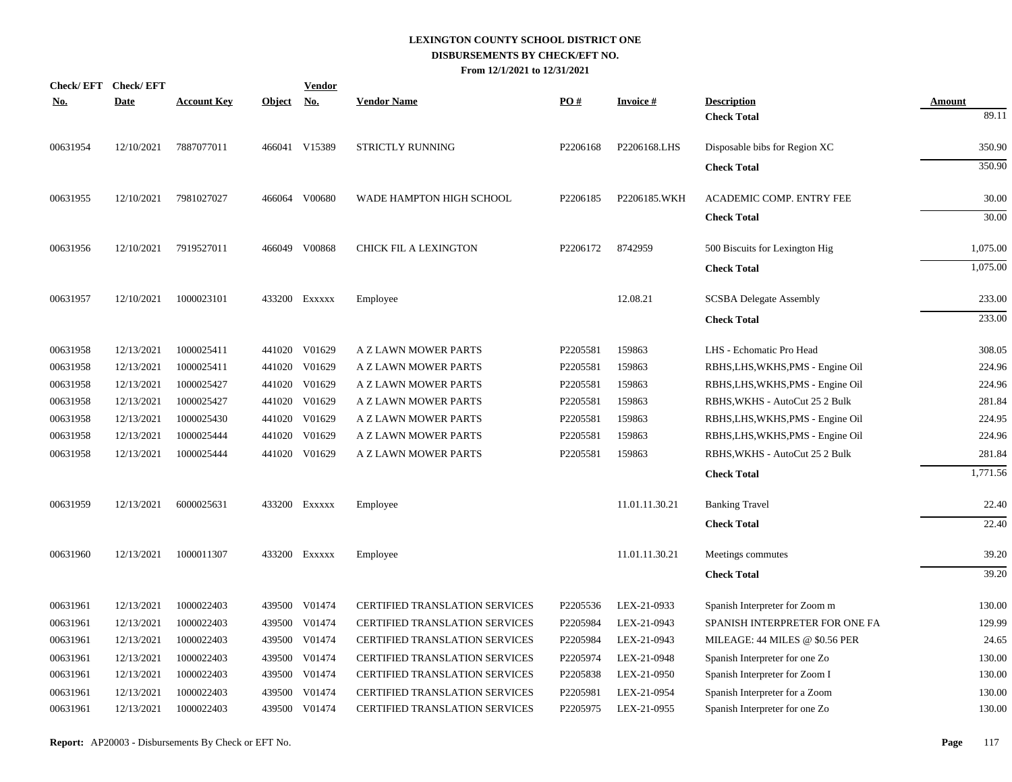| No.      | Check/EFT Check/EFT<br><b>Date</b> | <b>Account Key</b> | Object No. | <b>Vendor</b> | <b>Vendor Name</b>                    | PO#      | <b>Invoice#</b> | <b>Description</b>                | <b>Amount</b> |
|----------|------------------------------------|--------------------|------------|---------------|---------------------------------------|----------|-----------------|-----------------------------------|---------------|
|          |                                    |                    |            |               |                                       |          |                 | <b>Check Total</b>                | 89.11         |
| 00631954 | 12/10/2021                         | 7887077011         |            | 466041 V15389 | STRICTLY RUNNING                      | P2206168 | P2206168.LHS    | Disposable bibs for Region XC     | 350.90        |
|          |                                    |                    |            |               |                                       |          |                 | <b>Check Total</b>                | 350.90        |
| 00631955 | 12/10/2021                         | 7981027027         |            | 466064 V00680 | WADE HAMPTON HIGH SCHOOL              | P2206185 | P2206185.WKH    | ACADEMIC COMP. ENTRY FEE          | 30.00         |
|          |                                    |                    |            |               |                                       |          |                 | <b>Check Total</b>                | 30.00         |
| 00631956 | 12/10/2021                         | 7919527011         |            | 466049 V00868 | CHICK FIL A LEXINGTON                 | P2206172 | 8742959         | 500 Biscuits for Lexington Hig    | 1,075.00      |
|          |                                    |                    |            |               |                                       |          |                 | <b>Check Total</b>                | 1,075.00      |
| 00631957 | 12/10/2021                         | 1000023101         |            | 433200 EXXXXX | Employee                              |          | 12.08.21        | <b>SCSBA Delegate Assembly</b>    | 233.00        |
|          |                                    |                    |            |               |                                       |          |                 | <b>Check Total</b>                | 233.00        |
| 00631958 | 12/13/2021                         | 1000025411         |            | 441020 V01629 | A Z LAWN MOWER PARTS                  | P2205581 | 159863          | LHS - Echomatic Pro Head          | 308.05        |
| 00631958 | 12/13/2021                         | 1000025411         |            | 441020 V01629 | A Z LAWN MOWER PARTS                  | P2205581 | 159863          | RBHS, LHS, WKHS, PMS - Engine Oil | 224.96        |
| 00631958 | 12/13/2021                         | 1000025427         |            | 441020 V01629 | A Z LAWN MOWER PARTS                  | P2205581 | 159863          | RBHS, LHS, WKHS, PMS - Engine Oil | 224.96        |
| 00631958 | 12/13/2021                         | 1000025427         |            | 441020 V01629 | A Z LAWN MOWER PARTS                  | P2205581 | 159863          | RBHS, WKHS - AutoCut 25 2 Bulk    | 281.84        |
| 00631958 | 12/13/2021                         | 1000025430         |            | 441020 V01629 | A Z LAWN MOWER PARTS                  | P2205581 | 159863          | RBHS, LHS, WKHS, PMS - Engine Oil | 224.95        |
| 00631958 | 12/13/2021                         | 1000025444         |            | 441020 V01629 | A Z LAWN MOWER PARTS                  | P2205581 | 159863          | RBHS, LHS, WKHS, PMS - Engine Oil | 224.96        |
| 00631958 | 12/13/2021                         | 1000025444         |            | 441020 V01629 | A Z LAWN MOWER PARTS                  | P2205581 | 159863          | RBHS, WKHS - AutoCut 25 2 Bulk    | 281.84        |
|          |                                    |                    |            |               |                                       |          |                 | <b>Check Total</b>                | 1,771.56      |
| 00631959 | 12/13/2021                         | 6000025631         |            | 433200 Exxxxx | Employee                              |          | 11.01.11.30.21  | <b>Banking Travel</b>             | 22.40         |
|          |                                    |                    |            |               |                                       |          |                 | <b>Check Total</b>                | 22.40         |
| 00631960 | 12/13/2021                         | 1000011307         |            | 433200 EXXXXX | Employee                              |          | 11.01.11.30.21  | Meetings commutes                 | 39.20         |
|          |                                    |                    |            |               |                                       |          |                 | <b>Check Total</b>                | 39.20         |
| 00631961 | 12/13/2021                         | 1000022403         |            | 439500 V01474 | <b>CERTIFIED TRANSLATION SERVICES</b> | P2205536 | LEX-21-0933     | Spanish Interpreter for Zoom m    | 130.00        |
| 00631961 | 12/13/2021                         | 1000022403         |            | 439500 V01474 | <b>CERTIFIED TRANSLATION SERVICES</b> | P2205984 | LEX-21-0943     | SPANISH INTERPRETER FOR ONE FA    | 129.99        |
| 00631961 | 12/13/2021                         | 1000022403         |            | 439500 V01474 | CERTIFIED TRANSLATION SERVICES        | P2205984 | LEX-21-0943     | MILEAGE: 44 MILES @ \$0.56 PER    | 24.65         |
| 00631961 | 12/13/2021                         | 1000022403         |            | 439500 V01474 | <b>CERTIFIED TRANSLATION SERVICES</b> | P2205974 | LEX-21-0948     | Spanish Interpreter for one Zo    | 130.00        |
| 00631961 | 12/13/2021                         | 1000022403         |            | 439500 V01474 | CERTIFIED TRANSLATION SERVICES        | P2205838 | LEX-21-0950     | Spanish Interpreter for Zoom I    | 130.00        |
| 00631961 | 12/13/2021                         | 1000022403         | 439500     | V01474        | <b>CERTIFIED TRANSLATION SERVICES</b> | P2205981 | LEX-21-0954     | Spanish Interpreter for a Zoom    | 130.00        |
| 00631961 | 12/13/2021                         | 1000022403         |            | 439500 V01474 | CERTIFIED TRANSLATION SERVICES        | P2205975 | LEX-21-0955     | Spanish Interpreter for one Zo    | 130.00        |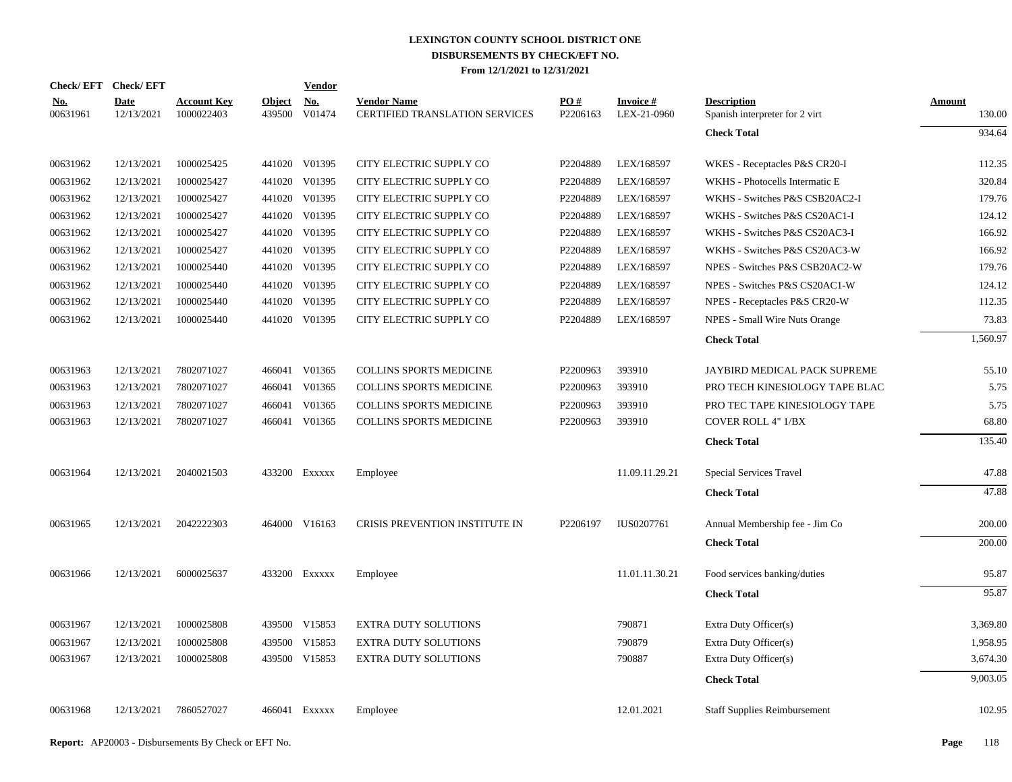| Check/EFT Check/EFT    |                           |                                  |                         | <b>Vendor</b>        |                                                      |                 |                                |                                                      |                         |
|------------------------|---------------------------|----------------------------------|-------------------------|----------------------|------------------------------------------------------|-----------------|--------------------------------|------------------------------------------------------|-------------------------|
| <u>No.</u><br>00631961 | <b>Date</b><br>12/13/2021 | <b>Account Key</b><br>1000022403 | <b>Object</b><br>439500 | <u>No.</u><br>V01474 | <b>Vendor Name</b><br>CERTIFIED TRANSLATION SERVICES | PO#<br>P2206163 | <b>Invoice#</b><br>LEX-21-0960 | <b>Description</b><br>Spanish interpreter for 2 virt | <b>Amount</b><br>130.00 |
|                        |                           |                                  |                         |                      |                                                      |                 |                                | <b>Check Total</b>                                   | 934.64                  |
| 00631962               | 12/13/2021                | 1000025425                       |                         | 441020 V01395        | CITY ELECTRIC SUPPLY CO                              | P2204889        | LEX/168597                     | WKES - Receptacles P&S CR20-I                        | 112.35                  |
| 00631962               | 12/13/2021                | 1000025427                       |                         | 441020 V01395        | CITY ELECTRIC SUPPLY CO                              | P2204889        | LEX/168597                     | WKHS - Photocells Intermatic E                       | 320.84                  |
| 00631962               | 12/13/2021                | 1000025427                       |                         | 441020 V01395        | CITY ELECTRIC SUPPLY CO                              | P2204889        | LEX/168597                     | WKHS - Switches P&S CSB20AC2-I                       | 179.76                  |
| 00631962               | 12/13/2021                | 1000025427                       |                         | 441020 V01395        | CITY ELECTRIC SUPPLY CO                              | P2204889        | LEX/168597                     | WKHS - Switches P&S CS20AC1-I                        | 124.12                  |
| 00631962               | 12/13/2021                | 1000025427                       |                         | 441020 V01395        | CITY ELECTRIC SUPPLY CO                              | P2204889        | LEX/168597                     | WKHS - Switches P&S CS20AC3-I                        | 166.92                  |
| 00631962               | 12/13/2021                | 1000025427                       |                         | 441020 V01395        | CITY ELECTRIC SUPPLY CO                              | P2204889        | LEX/168597                     | WKHS - Switches P&S CS20AC3-W                        | 166.92                  |
| 00631962               | 12/13/2021                | 1000025440                       |                         | 441020 V01395        | CITY ELECTRIC SUPPLY CO                              | P2204889        | LEX/168597                     | NPES - Switches P&S CSB20AC2-W                       | 179.76                  |
| 00631962               | 12/13/2021                | 1000025440                       |                         | 441020 V01395        | CITY ELECTRIC SUPPLY CO                              | P2204889        | LEX/168597                     | NPES - Switches P&S CS20AC1-W                        | 124.12                  |
| 00631962               | 12/13/2021                | 1000025440                       |                         | 441020 V01395        | CITY ELECTRIC SUPPLY CO                              | P2204889        | LEX/168597                     | NPES - Receptacles P&S CR20-W                        | 112.35                  |
| 00631962               | 12/13/2021                | 1000025440                       |                         | 441020 V01395        | CITY ELECTRIC SUPPLY CO                              | P2204889        | LEX/168597                     | NPES - Small Wire Nuts Orange                        | 73.83                   |
|                        |                           |                                  |                         |                      |                                                      |                 |                                | <b>Check Total</b>                                   | 1,560.97                |
| 00631963               | 12/13/2021                | 7802071027                       |                         | 466041 V01365        | <b>COLLINS SPORTS MEDICINE</b>                       | P2200963        | 393910                         | JAYBIRD MEDICAL PACK SUPREME                         | 55.10                   |
| 00631963               | 12/13/2021                | 7802071027                       |                         | 466041 V01365        | <b>COLLINS SPORTS MEDICINE</b>                       | P2200963        | 393910                         | PRO TECH KINESIOLOGY TAPE BLAC                       | 5.75                    |
| 00631963               | 12/13/2021                | 7802071027                       |                         | 466041 V01365        | COLLINS SPORTS MEDICINE                              | P2200963        | 393910                         | PRO TEC TAPE KINESIOLOGY TAPE                        | 5.75                    |
| 00631963               | 12/13/2021                | 7802071027                       |                         | 466041 V01365        | COLLINS SPORTS MEDICINE                              | P2200963        | 393910                         | <b>COVER ROLL 4" 1/BX</b>                            | 68.80                   |
|                        |                           |                                  |                         |                      |                                                      |                 |                                | <b>Check Total</b>                                   | 135.40                  |
| 00631964               | 12/13/2021                | 2040021503                       |                         | 433200 EXXXXX        | Employee                                             |                 | 11.09.11.29.21                 | Special Services Travel                              | 47.88                   |
|                        |                           |                                  |                         |                      |                                                      |                 |                                | <b>Check Total</b>                                   | 47.88                   |
|                        |                           |                                  |                         |                      |                                                      |                 |                                |                                                      |                         |
| 00631965               | 12/13/2021                | 2042222303                       |                         | 464000 V16163        | CRISIS PREVENTION INSTITUTE IN                       | P2206197        | IUS0207761                     | Annual Membership fee - Jim Co                       | 200.00                  |
|                        |                           |                                  |                         |                      |                                                      |                 |                                | <b>Check Total</b>                                   | 200.00                  |
| 00631966               | 12/13/2021                | 6000025637                       |                         | 433200 Exxxxx        | Employee                                             |                 | 11.01.11.30.21                 | Food services banking/duties                         | 95.87                   |
|                        |                           |                                  |                         |                      |                                                      |                 |                                | <b>Check Total</b>                                   | 95.87                   |
| 00631967               | 12/13/2021                | 1000025808                       |                         | 439500 V15853        | <b>EXTRA DUTY SOLUTIONS</b>                          |                 | 790871                         | Extra Duty Officer(s)                                | 3,369.80                |
| 00631967               | 12/13/2021                | 1000025808                       |                         | 439500 V15853        | <b>EXTRA DUTY SOLUTIONS</b>                          |                 | 790879                         | Extra Duty Officer(s)                                | 1,958.95                |
| 00631967               | 12/13/2021                | 1000025808                       |                         | 439500 V15853        | <b>EXTRA DUTY SOLUTIONS</b>                          |                 | 790887                         | Extra Duty Officer(s)                                | 3,674.30                |
|                        |                           |                                  |                         |                      |                                                      |                 |                                | <b>Check Total</b>                                   | 9,003.05                |
|                        |                           |                                  |                         |                      |                                                      |                 |                                |                                                      |                         |
| 00631968               | 12/13/2021                | 7860527027                       |                         | 466041 EXXXXX        | Employee                                             |                 | 12.01.2021                     | <b>Staff Supplies Reimbursement</b>                  | 102.95                  |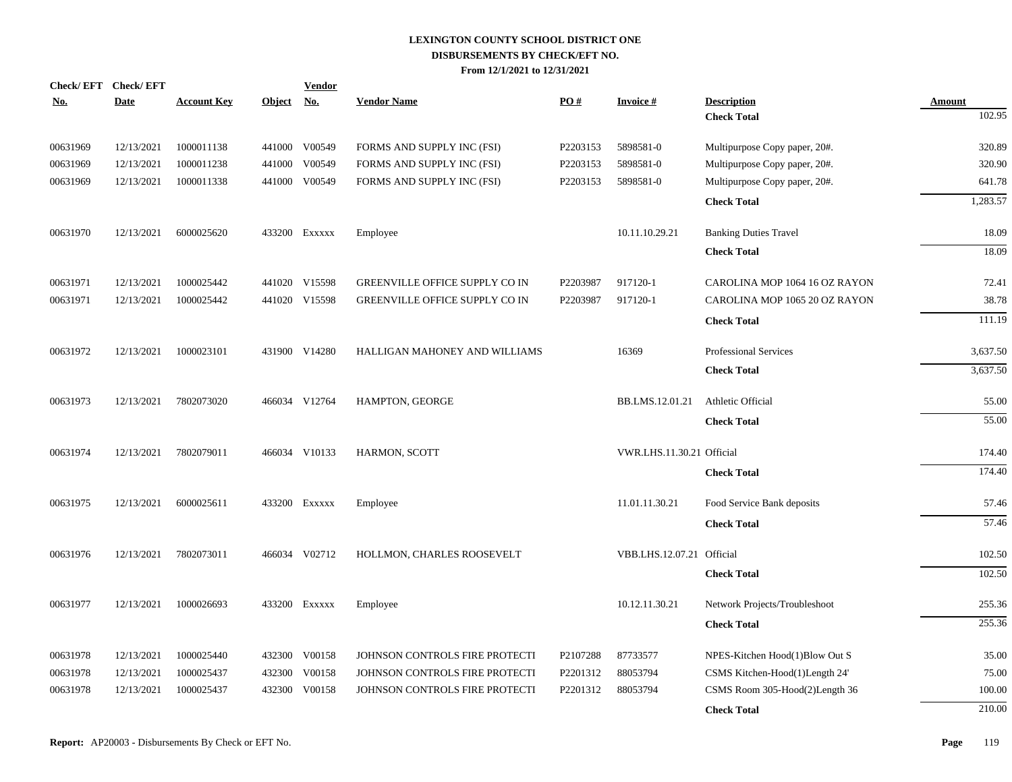|            | Check/EFT Check/EFT |                    |               | <b>Vendor</b> |                                |          |                           |                                |               |
|------------|---------------------|--------------------|---------------|---------------|--------------------------------|----------|---------------------------|--------------------------------|---------------|
| <u>No.</u> | <b>Date</b>         | <b>Account Key</b> | <b>Object</b> | <b>No.</b>    | <b>Vendor Name</b>             | PO#      | <b>Invoice#</b>           | <b>Description</b>             | <b>Amount</b> |
|            |                     |                    |               |               |                                |          |                           | <b>Check Total</b>             | 102.95        |
| 00631969   | 12/13/2021          | 1000011138         |               | 441000 V00549 | FORMS AND SUPPLY INC (FSI)     | P2203153 | 5898581-0                 | Multipurpose Copy paper, 20#.  | 320.89        |
| 00631969   | 12/13/2021          | 1000011238         | 441000        | V00549        | FORMS AND SUPPLY INC (FSI)     | P2203153 | 5898581-0                 | Multipurpose Copy paper, 20#.  | 320.90        |
| 00631969   | 12/13/2021          | 1000011338         |               | 441000 V00549 | FORMS AND SUPPLY INC (FSI)     | P2203153 | 5898581-0                 | Multipurpose Copy paper, 20#.  | 641.78        |
|            |                     |                    |               |               |                                |          |                           | <b>Check Total</b>             | 1,283.57      |
| 00631970   | 12/13/2021          | 6000025620         |               | 433200 EXXXXX | Employee                       |          | 10.11.10.29.21            | <b>Banking Duties Travel</b>   | 18.09         |
|            |                     |                    |               |               |                                |          |                           | <b>Check Total</b>             | 18.09         |
| 00631971   | 12/13/2021          | 1000025442         |               | 441020 V15598 | GREENVILLE OFFICE SUPPLY CO IN | P2203987 | 917120-1                  | CAROLINA MOP 1064 16 OZ RAYON  | 72.41         |
| 00631971   | 12/13/2021          | 1000025442         |               | 441020 V15598 | GREENVILLE OFFICE SUPPLY CO IN | P2203987 | 917120-1                  | CAROLINA MOP 1065 20 OZ RAYON  | 38.78         |
|            |                     |                    |               |               |                                |          |                           | <b>Check Total</b>             | 111.19        |
| 00631972   | 12/13/2021          | 1000023101         |               | 431900 V14280 | HALLIGAN MAHONEY AND WILLIAMS  |          | 16369                     | <b>Professional Services</b>   | 3,637.50      |
|            |                     |                    |               |               |                                |          |                           | <b>Check Total</b>             | 3,637.50      |
| 00631973   | 12/13/2021          | 7802073020         |               | 466034 V12764 | HAMPTON, GEORGE                |          | BB.LMS.12.01.21           | Athletic Official              | 55.00         |
|            |                     |                    |               |               |                                |          |                           | <b>Check Total</b>             | 55.00         |
| 00631974   | 12/13/2021          | 7802079011         |               | 466034 V10133 | HARMON, SCOTT                  |          | VWR.LHS.11.30.21 Official |                                | 174.40        |
|            |                     |                    |               |               |                                |          |                           | <b>Check Total</b>             | 174.40        |
| 00631975   | 12/13/2021          | 6000025611         |               | 433200 Exxxxx | Employee                       |          | 11.01.11.30.21            | Food Service Bank deposits     | 57.46         |
|            |                     |                    |               |               |                                |          |                           | <b>Check Total</b>             | 57.46         |
| 00631976   | 12/13/2021          | 7802073011         |               | 466034 V02712 | HOLLMON, CHARLES ROOSEVELT     |          | VBB.LHS.12.07.21 Official |                                | 102.50        |
|            |                     |                    |               |               |                                |          |                           | <b>Check Total</b>             | 102.50        |
| 00631977   | 12/13/2021          | 1000026693         |               | 433200 Exxxxx | Employee                       |          | 10.12.11.30.21            | Network Projects/Troubleshoot  | 255.36        |
|            |                     |                    |               |               |                                |          |                           | <b>Check Total</b>             | 255.36        |
| 00631978   | 12/13/2021          | 1000025440         |               | 432300 V00158 | JOHNSON CONTROLS FIRE PROTECTI | P2107288 | 87733577                  | NPES-Kitchen Hood(1)Blow Out S | 35.00         |
| 00631978   | 12/13/2021          | 1000025437         | 432300        | V00158        | JOHNSON CONTROLS FIRE PROTECTI | P2201312 | 88053794                  | CSMS Kitchen-Hood(1)Length 24' | 75.00         |
| 00631978   | 12/13/2021          | 1000025437         | 432300        | V00158        | JOHNSON CONTROLS FIRE PROTECTI | P2201312 | 88053794                  | CSMS Room 305-Hood(2)Length 36 | 100.00        |
|            |                     |                    |               |               |                                |          |                           | <b>Check Total</b>             | 210.00        |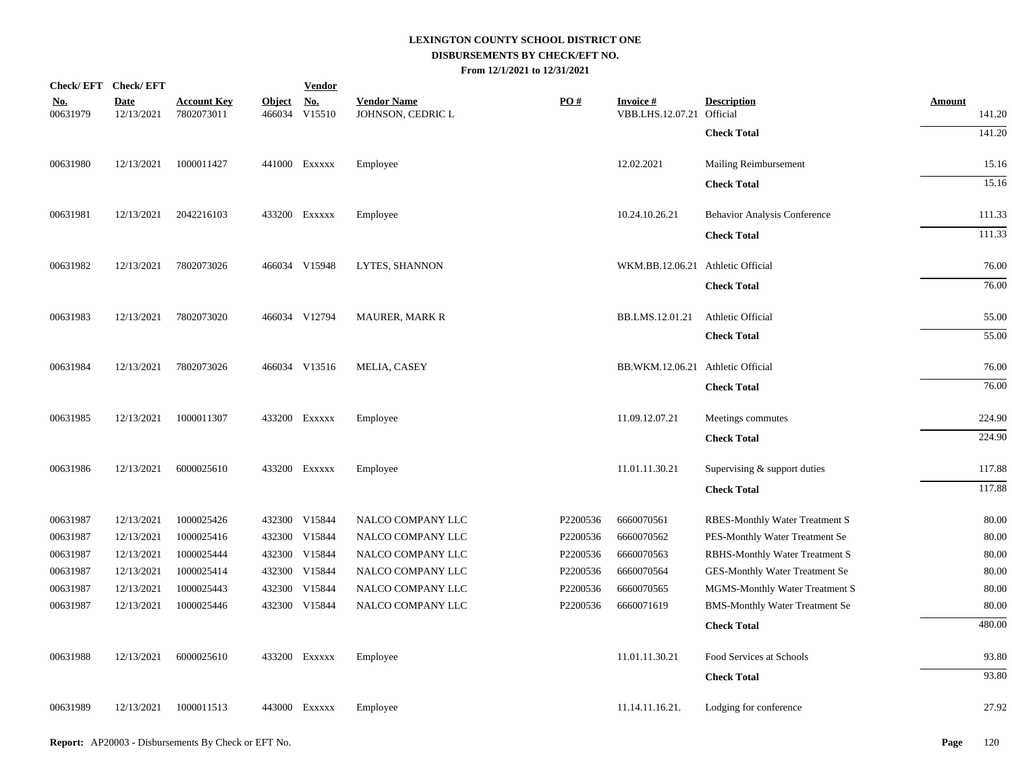|                        | Check/EFT Check/EFT       |                                  |                         | <b>Vendor</b>        |                                         |          |                                      |                                       |                         |
|------------------------|---------------------------|----------------------------------|-------------------------|----------------------|-----------------------------------------|----------|--------------------------------------|---------------------------------------|-------------------------|
| <u>No.</u><br>00631979 | <b>Date</b><br>12/13/2021 | <b>Account Key</b><br>7802073011 | <b>Object</b><br>466034 | <u>No.</u><br>V15510 | <b>Vendor Name</b><br>JOHNSON, CEDRIC L | PO#      | <b>Invoice #</b><br>VBB.LHS.12.07.21 | <b>Description</b><br>Official        | <b>Amount</b><br>141.20 |
|                        |                           |                                  |                         |                      |                                         |          |                                      | <b>Check Total</b>                    | 141.20                  |
| 00631980               | 12/13/2021                | 1000011427                       |                         | 441000 Exxxxx        | Employee                                |          | 12.02.2021                           | Mailing Reimbursement                 | 15.16                   |
|                        |                           |                                  |                         |                      |                                         |          |                                      | <b>Check Total</b>                    | 15.16                   |
| 00631981               | 12/13/2021                | 2042216103                       |                         | 433200 EXXXXX        | Employee                                |          | 10.24.10.26.21                       | <b>Behavior Analysis Conference</b>   | 111.33                  |
|                        |                           |                                  |                         |                      |                                         |          |                                      | <b>Check Total</b>                    | 111.33                  |
| 00631982               | 12/13/2021                | 7802073026                       |                         | 466034 V15948        | LYTES, SHANNON                          |          | WKM.BB.12.06.21 Athletic Official    |                                       | 76.00                   |
|                        |                           |                                  |                         |                      |                                         |          |                                      | <b>Check Total</b>                    | 76.00                   |
| 00631983               | 12/13/2021                | 7802073020                       |                         | 466034 V12794        | <b>MAURER, MARK R</b>                   |          | BB.LMS.12.01.21                      | Athletic Official                     | 55.00                   |
|                        |                           |                                  |                         |                      |                                         |          |                                      | <b>Check Total</b>                    | 55.00                   |
| 00631984               | 12/13/2021                | 7802073026                       |                         | 466034 V13516        | MELIA, CASEY                            |          | BB.WKM.12.06.21 Athletic Official    |                                       | 76.00                   |
|                        |                           |                                  |                         |                      |                                         |          |                                      | <b>Check Total</b>                    | 76.00                   |
| 00631985               | 12/13/2021                | 1000011307                       |                         | 433200 EXXXXX        | Employee                                |          | 11.09.12.07.21                       | Meetings commutes                     | 224.90                  |
|                        |                           |                                  |                         |                      |                                         |          |                                      | <b>Check Total</b>                    | 224.90                  |
| 00631986               | 12/13/2021                | 6000025610                       |                         | 433200 EXXXXX        | Employee                                |          | 11.01.11.30.21                       | Supervising & support duties          | 117.88                  |
|                        |                           |                                  |                         |                      |                                         |          |                                      | <b>Check Total</b>                    | 117.88                  |
| 00631987               | 12/13/2021                | 1000025426                       |                         | 432300 V15844        | NALCO COMPANY LLC                       | P2200536 | 6660070561                           | RBES-Monthly Water Treatment S        | 80.00                   |
| 00631987               | 12/13/2021                | 1000025416                       |                         | 432300 V15844        | NALCO COMPANY LLC                       | P2200536 | 6660070562                           | PES-Monthly Water Treatment Se        | 80.00                   |
| 00631987               | 12/13/2021                | 1000025444                       |                         | 432300 V15844        | NALCO COMPANY LLC                       | P2200536 | 6660070563                           | RBHS-Monthly Water Treatment S        | 80.00                   |
| 00631987               | 12/13/2021                | 1000025414                       |                         | 432300 V15844        | NALCO COMPANY LLC                       | P2200536 | 6660070564                           | GES-Monthly Water Treatment Se        | 80.00                   |
| 00631987               | 12/13/2021                | 1000025443                       |                         | 432300 V15844        | NALCO COMPANY LLC                       | P2200536 | 6660070565                           | MGMS-Monthly Water Treatment S        | 80.00                   |
| 00631987               | 12/13/2021                | 1000025446                       |                         | 432300 V15844        | NALCO COMPANY LLC                       | P2200536 | 6660071619                           | <b>BMS-Monthly Water Treatment Se</b> | 80.00                   |
|                        |                           |                                  |                         |                      |                                         |          |                                      | <b>Check Total</b>                    | 480.00                  |
| 00631988               | 12/13/2021                | 6000025610                       |                         | 433200 EXXXXX        | Employee                                |          | 11.01.11.30.21                       | Food Services at Schools              | 93.80                   |
|                        |                           |                                  |                         |                      |                                         |          |                                      | <b>Check Total</b>                    | 93.80                   |
| 00631989               | 12/13/2021                | 1000011513                       |                         | 443000 Exxxxx        | Employee                                |          | 11.14.11.16.21.                      | Lodging for conference                | 27.92                   |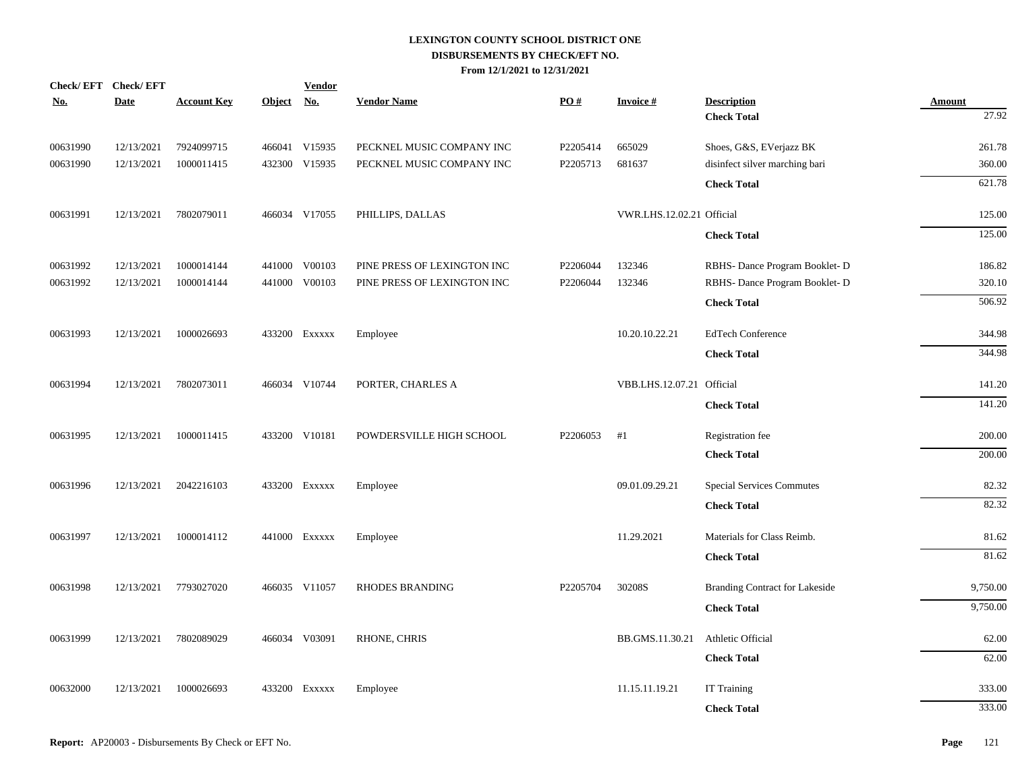| Check/EFT Check/EFT<br>No. | <b>Date</b> | <b>Account Key</b> | <b>Object</b> | <b>Vendor</b><br><u>No.</u> | <b>Vendor Name</b>          | PO#      | <b>Invoice#</b>           | <b>Description</b>                    | <b>Amount</b> |
|----------------------------|-------------|--------------------|---------------|-----------------------------|-----------------------------|----------|---------------------------|---------------------------------------|---------------|
|                            |             |                    |               |                             |                             |          |                           | <b>Check Total</b>                    | 27.92         |
| 00631990                   | 12/13/2021  | 7924099715         |               | 466041 V15935               | PECKNEL MUSIC COMPANY INC   | P2205414 | 665029                    | Shoes, G&S, EVerjazz BK               | 261.78        |
| 00631990                   | 12/13/2021  | 1000011415         |               | 432300 V15935               | PECKNEL MUSIC COMPANY INC   | P2205713 | 681637                    | disinfect silver marching bari        | 360.00        |
|                            |             |                    |               |                             |                             |          |                           | <b>Check Total</b>                    | 621.78        |
| 00631991                   | 12/13/2021  | 7802079011         |               | 466034 V17055               | PHILLIPS, DALLAS            |          | VWR.LHS.12.02.21 Official |                                       | 125.00        |
|                            |             |                    |               |                             |                             |          |                           | <b>Check Total</b>                    | 125.00        |
| 00631992                   | 12/13/2021  | 1000014144         |               | 441000 V00103               | PINE PRESS OF LEXINGTON INC | P2206044 | 132346                    | RBHS- Dance Program Booklet- D        | 186.82        |
| 00631992                   | 12/13/2021  | 1000014144         |               | 441000 V00103               | PINE PRESS OF LEXINGTON INC | P2206044 | 132346                    | RBHS- Dance Program Booklet- D        | 320.10        |
|                            |             |                    |               |                             |                             |          |                           | <b>Check Total</b>                    | 506.92        |
| 00631993                   | 12/13/2021  | 1000026693         |               | 433200 Exxxxx               | Employee                    |          | 10.20.10.22.21            | <b>EdTech Conference</b>              | 344.98        |
|                            |             |                    |               |                             |                             |          |                           | <b>Check Total</b>                    | 344.98        |
| 00631994                   | 12/13/2021  | 7802073011         |               | 466034 V10744               | PORTER, CHARLES A           |          | VBB.LHS.12.07.21 Official |                                       | 141.20        |
|                            |             |                    |               |                             |                             |          |                           | <b>Check Total</b>                    | 141.20        |
| 00631995                   | 12/13/2021  | 1000011415         |               | 433200 V10181               | POWDERSVILLE HIGH SCHOOL    | P2206053 | #1                        | Registration fee                      | 200.00        |
|                            |             |                    |               |                             |                             |          |                           | <b>Check Total</b>                    | 200.00        |
| 00631996                   | 12/13/2021  | 2042216103         |               | 433200 Exxxxx               | Employee                    |          | 09.01.09.29.21            | <b>Special Services Commutes</b>      | 82.32         |
|                            |             |                    |               |                             |                             |          |                           | <b>Check Total</b>                    | 82.32         |
| 00631997                   | 12/13/2021  | 1000014112         |               | 441000 EXXXXX               | Employee                    |          | 11.29.2021                | Materials for Class Reimb.            | 81.62         |
|                            |             |                    |               |                             |                             |          |                           | <b>Check Total</b>                    | 81.62         |
| 00631998                   | 12/13/2021  | 7793027020         |               | 466035 V11057               | <b>RHODES BRANDING</b>      | P2205704 | 30208S                    | <b>Branding Contract for Lakeside</b> | 9,750.00      |
|                            |             |                    |               |                             |                             |          |                           | <b>Check Total</b>                    | 9,750.00      |
| 00631999                   | 12/13/2021  | 7802089029         |               | 466034 V03091               | RHONE, CHRIS                |          | BB.GMS.11.30.21           | Athletic Official                     | 62.00         |
|                            |             |                    |               |                             |                             |          |                           | <b>Check Total</b>                    | 62.00         |
| 00632000                   | 12/13/2021  | 1000026693         |               | 433200 Exxxxx               | Employee                    |          | 11.15.11.19.21            | <b>IT Training</b>                    | 333.00        |
|                            |             |                    |               |                             |                             |          |                           | <b>Check Total</b>                    | 333.00        |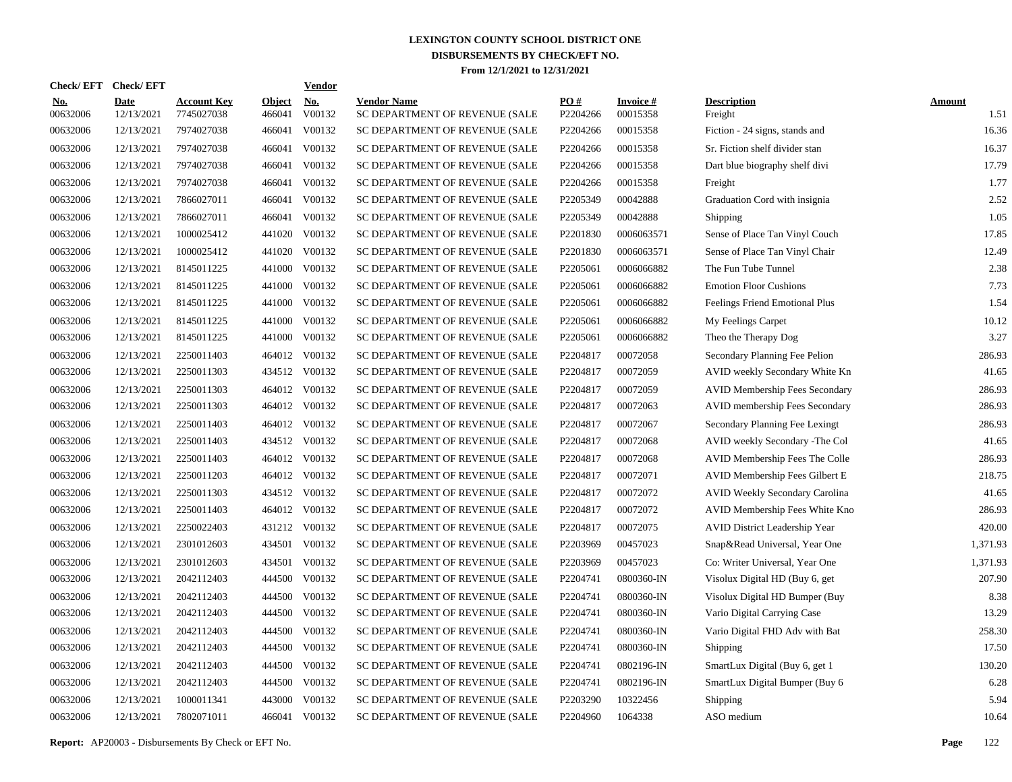|            |          | Check/EFT Check/EFT       |                                  |                         | <b>Vendor</b> |                                                      |                 |                             |                                       |                       |
|------------|----------|---------------------------|----------------------------------|-------------------------|---------------|------------------------------------------------------|-----------------|-----------------------------|---------------------------------------|-----------------------|
| <u>No.</u> | 00632006 | <b>Date</b><br>12/13/2021 | <b>Account Key</b><br>7745027038 | <b>Object</b><br>466041 | No.<br>V00132 | <b>Vendor Name</b><br>SC DEPARTMENT OF REVENUE (SALE | PO#<br>P2204266 | <b>Invoice#</b><br>00015358 | <b>Description</b><br>Freight         | <b>Amount</b><br>1.51 |
|            | 00632006 | 12/13/2021                | 7974027038                       | 466041                  | V00132        | SC DEPARTMENT OF REVENUE (SALE                       | P2204266        | 00015358                    | Fiction - 24 signs, stands and        | 16.36                 |
|            | 00632006 | 12/13/2021                | 7974027038                       | 466041                  | V00132        | SC DEPARTMENT OF REVENUE (SALE                       | P2204266        | 00015358                    | Sr. Fiction shelf divider stan        | 16.37                 |
|            | 00632006 | 12/13/2021                | 7974027038                       | 466041                  | V00132        | SC DEPARTMENT OF REVENUE (SALE                       | P2204266        | 00015358                    | Dart blue biography shelf divi        | 17.79                 |
|            | 00632006 | 12/13/2021                | 7974027038                       | 466041                  | V00132        | SC DEPARTMENT OF REVENUE (SALE                       | P2204266        | 00015358                    | Freight                               | 1.77                  |
|            | 00632006 | 12/13/2021                | 7866027011                       | 466041                  | V00132        | SC DEPARTMENT OF REVENUE (SALE                       | P2205349        | 00042888                    | Graduation Cord with insignia         | 2.52                  |
|            | 00632006 | 12/13/2021                | 7866027011                       | 466041                  | V00132        | SC DEPARTMENT OF REVENUE (SALE                       | P2205349        | 00042888                    | Shipping                              | 1.05                  |
|            | 00632006 | 12/13/2021                | 1000025412                       | 441020                  | V00132        | SC DEPARTMENT OF REVENUE (SALE                       | P2201830        | 0006063571                  | Sense of Place Tan Vinyl Couch        | 17.85                 |
|            | 00632006 | 12/13/2021                | 1000025412                       | 441020                  | V00132        | SC DEPARTMENT OF REVENUE (SALE                       | P2201830        | 0006063571                  | Sense of Place Tan Vinyl Chair        | 12.49                 |
|            | 00632006 | 12/13/2021                | 8145011225                       | 441000                  | V00132        | SC DEPARTMENT OF REVENUE (SALE                       | P2205061        | 0006066882                  | The Fun Tube Tunnel                   | 2.38                  |
|            | 00632006 | 12/13/2021                | 8145011225                       | 441000                  | V00132        | SC DEPARTMENT OF REVENUE (SALE                       | P2205061        | 0006066882                  | <b>Emotion Floor Cushions</b>         | 7.73                  |
|            | 00632006 | 12/13/2021                | 8145011225                       | 441000                  | V00132        | SC DEPARTMENT OF REVENUE (SALE                       | P2205061        | 0006066882                  | Feelings Friend Emotional Plus        | 1.54                  |
|            | 00632006 | 12/13/2021                | 8145011225                       | 441000                  | V00132        | SC DEPARTMENT OF REVENUE (SALE                       | P2205061        | 0006066882                  | My Feelings Carpet                    | 10.12                 |
|            | 00632006 | 12/13/2021                | 8145011225                       | 441000                  | V00132        | SC DEPARTMENT OF REVENUE (SALE                       | P2205061        | 0006066882                  | Theo the Therapy Dog                  | 3.27                  |
|            | 00632006 | 12/13/2021                | 2250011403                       |                         | 464012 V00132 | SC DEPARTMENT OF REVENUE (SALE                       | P2204817        | 00072058                    | Secondary Planning Fee Pelion         | 286.93                |
|            | 00632006 | 12/13/2021                | 2250011303                       |                         | 434512 V00132 | SC DEPARTMENT OF REVENUE (SALE                       | P2204817        | 00072059                    | AVID weekly Secondary White Kn        | 41.65                 |
|            | 00632006 | 12/13/2021                | 2250011303                       |                         | 464012 V00132 | SC DEPARTMENT OF REVENUE (SALE                       | P2204817        | 00072059                    | <b>AVID Membership Fees Secondary</b> | 286.93                |
|            | 00632006 | 12/13/2021                | 2250011303                       |                         | 464012 V00132 | SC DEPARTMENT OF REVENUE (SALE                       | P2204817        | 00072063                    | AVID membership Fees Secondary        | 286.93                |
|            | 00632006 | 12/13/2021                | 2250011403                       |                         | 464012 V00132 | SC DEPARTMENT OF REVENUE (SALE                       | P2204817        | 00072067                    | Secondary Planning Fee Lexingt        | 286.93                |
|            | 00632006 | 12/13/2021                | 2250011403                       |                         | 434512 V00132 | SC DEPARTMENT OF REVENUE (SALE                       | P2204817        | 00072068                    | AVID weekly Secondary - The Col       | 41.65                 |
|            | 00632006 | 12/13/2021                | 2250011403                       |                         | 464012 V00132 | SC DEPARTMENT OF REVENUE (SALE                       | P2204817        | 00072068                    | AVID Membership Fees The Colle        | 286.93                |
|            | 00632006 | 12/13/2021                | 2250011203                       |                         | 464012 V00132 | SC DEPARTMENT OF REVENUE (SALE                       | P2204817        | 00072071                    | AVID Membership Fees Gilbert E        | 218.75                |
|            | 00632006 | 12/13/2021                | 2250011303                       |                         | 434512 V00132 | SC DEPARTMENT OF REVENUE (SALE                       | P2204817        | 00072072                    | AVID Weekly Secondary Carolina        | 41.65                 |
|            | 00632006 | 12/13/2021                | 2250011403                       |                         | 464012 V00132 | SC DEPARTMENT OF REVENUE (SALE                       | P2204817        | 00072072                    | AVID Membership Fees White Kno        | 286.93                |
|            | 00632006 | 12/13/2021                | 2250022403                       |                         | 431212 V00132 | SC DEPARTMENT OF REVENUE (SALE                       | P2204817        | 00072075                    | <b>AVID District Leadership Year</b>  | 420.00                |
|            | 00632006 | 12/13/2021                | 2301012603                       |                         | 434501 V00132 | SC DEPARTMENT OF REVENUE (SALE                       | P2203969        | 00457023                    | Snap&Read Universal, Year One         | 1,371.93              |
|            | 00632006 | 12/13/2021                | 2301012603                       | 434501                  | V00132        | SC DEPARTMENT OF REVENUE (SALE                       | P2203969        | 00457023                    | Co: Writer Universal, Year One        | 1,371.93              |
|            | 00632006 | 12/13/2021                | 2042112403                       | 444500                  | V00132        | SC DEPARTMENT OF REVENUE (SALE                       | P2204741        | 0800360-IN                  | Visolux Digital HD (Buy 6, get        | 207.90                |
|            | 00632006 | 12/13/2021                | 2042112403                       | 444500                  | V00132        | SC DEPARTMENT OF REVENUE (SALE                       | P2204741        | 0800360-IN                  | Visolux Digital HD Bumper (Buy        | 8.38                  |
|            | 00632006 | 12/13/2021                | 2042112403                       | 444500                  | V00132        | SC DEPARTMENT OF REVENUE (SALE                       | P2204741        | 0800360-IN                  | Vario Digital Carrying Case           | 13.29                 |
|            | 00632006 | 12/13/2021                | 2042112403                       | 444500                  | V00132        | SC DEPARTMENT OF REVENUE (SALE                       | P2204741        | 0800360-IN                  | Vario Digital FHD Adv with Bat        | 258.30                |
|            | 00632006 | 12/13/2021                | 2042112403                       | 444500                  | V00132        | SC DEPARTMENT OF REVENUE (SALE                       | P2204741        | 0800360-IN                  | Shipping                              | 17.50                 |
|            | 00632006 | 12/13/2021                | 2042112403                       | 444500                  | V00132        | SC DEPARTMENT OF REVENUE (SALE                       | P2204741        | 0802196-IN                  | SmartLux Digital (Buy 6, get 1        | 130.20                |
|            | 00632006 | 12/13/2021                | 2042112403                       | 444500                  | V00132        | SC DEPARTMENT OF REVENUE (SALE                       | P2204741        | 0802196-IN                  | SmartLux Digital Bumper (Buy 6        | 6.28                  |
|            | 00632006 | 12/13/2021                | 1000011341                       | 443000                  | V00132        | SC DEPARTMENT OF REVENUE (SALE                       | P2203290        | 10322456                    | Shipping                              | 5.94                  |
|            | 00632006 | 12/13/2021                | 7802071011                       |                         | 466041 V00132 | SC DEPARTMENT OF REVENUE (SALE                       | P2204960        | 1064338                     | ASO medium                            | 10.64                 |

**Report:** AP20003 - Disbursements By Check or EFT No. **Page** 122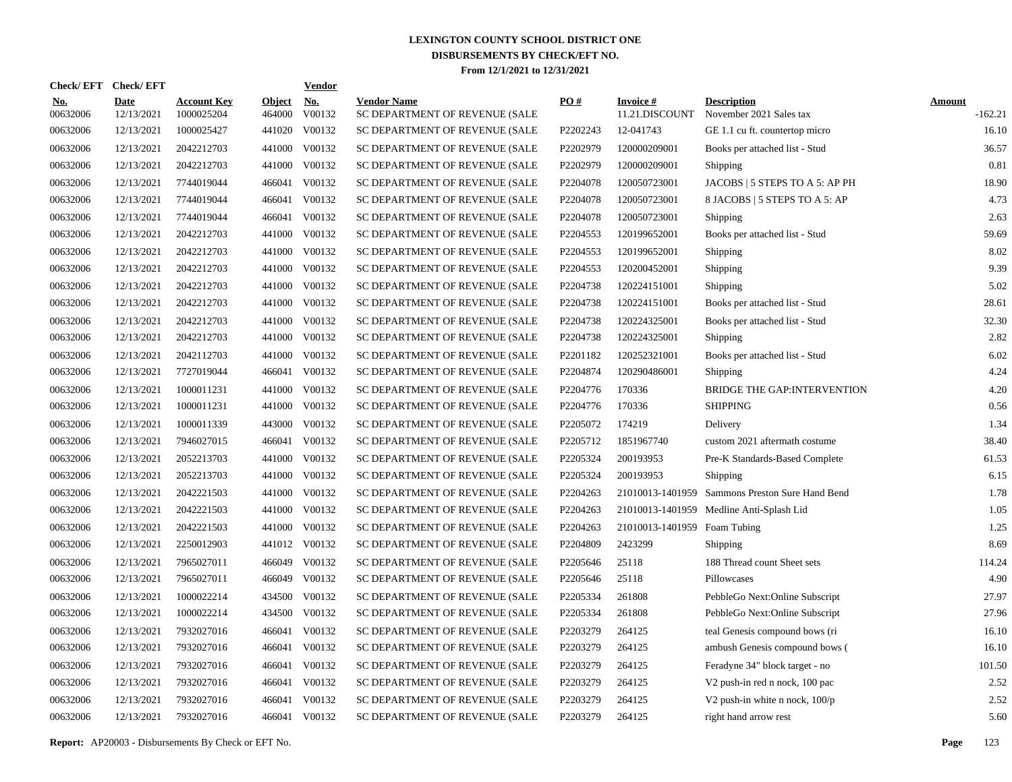| Check/EFT Check/EFT    |                           |                                  |                         | <b>Vendor</b>        |                                                      |          |                                   |                                               |                            |
|------------------------|---------------------------|----------------------------------|-------------------------|----------------------|------------------------------------------------------|----------|-----------------------------------|-----------------------------------------------|----------------------------|
| <u>No.</u><br>00632006 | <b>Date</b><br>12/13/2021 | <b>Account Key</b><br>1000025204 | <b>Object</b><br>464000 | <u>No.</u><br>V00132 | <b>Vendor Name</b><br>SC DEPARTMENT OF REVENUE (SALE | PO#      | <b>Invoice#</b><br>11.21.DISCOUNT | <b>Description</b><br>November 2021 Sales tax | <b>Amount</b><br>$-162.21$ |
| 00632006               | 12/13/2021                | 1000025427                       | 441020                  | V00132               | SC DEPARTMENT OF REVENUE (SALE                       | P2202243 | 12-041743                         | GE 1.1 cu ft. countertop micro                | 16.10                      |
| 00632006               | 12/13/2021                | 2042212703                       | 441000                  | V00132               | SC DEPARTMENT OF REVENUE (SALE                       | P2202979 | 120000209001                      | Books per attached list - Stud                | 36.57                      |
| 00632006               | 12/13/2021                | 2042212703                       |                         | 441000 V00132        | SC DEPARTMENT OF REVENUE (SALE                       | P2202979 | 120000209001                      | Shipping                                      | 0.81                       |
| 00632006               | 12/13/2021                | 7744019044                       |                         | 466041 V00132        | SC DEPARTMENT OF REVENUE (SALE                       | P2204078 | 120050723001                      | JACOBS   5 STEPS TO A 5: AP PH                | 18.90                      |
| 00632006               | 12/13/2021                | 7744019044                       |                         | 466041 V00132        | SC DEPARTMENT OF REVENUE (SALE                       | P2204078 | 120050723001                      | 8 JACOBS   5 STEPS TO A 5: AP                 | 4.73                       |
| 00632006               | 12/13/2021                | 7744019044                       |                         | 466041 V00132        | SC DEPARTMENT OF REVENUE (SALE                       | P2204078 | 120050723001                      | <b>Shipping</b>                               | 2.63                       |
| 00632006               | 12/13/2021                | 2042212703                       |                         | 441000 V00132        | SC DEPARTMENT OF REVENUE (SALE                       | P2204553 | 120199652001                      | Books per attached list - Stud                | 59.69                      |
| 00632006               | 12/13/2021                | 2042212703                       |                         | 441000 V00132        | SC DEPARTMENT OF REVENUE (SALE                       | P2204553 | 120199652001                      | <b>Shipping</b>                               | 8.02                       |
| 00632006               | 12/13/2021                | 2042212703                       |                         | 441000 V00132        | SC DEPARTMENT OF REVENUE (SALE                       | P2204553 | 120200452001                      | Shipping                                      | 9.39                       |
| 00632006               | 12/13/2021                | 2042212703                       |                         | 441000 V00132        | SC DEPARTMENT OF REVENUE (SALE                       | P2204738 | 120224151001                      | <b>Shipping</b>                               | 5.02                       |
| 00632006               | 12/13/2021                | 2042212703                       |                         | 441000 V00132        | SC DEPARTMENT OF REVENUE (SALE                       | P2204738 | 120224151001                      | Books per attached list - Stud                | 28.61                      |
| 00632006               | 12/13/2021                | 2042212703                       |                         | 441000 V00132        | SC DEPARTMENT OF REVENUE (SALE                       | P2204738 | 120224325001                      | Books per attached list - Stud                | 32.30                      |
| 00632006               | 12/13/2021                | 2042212703                       |                         | 441000 V00132        | SC DEPARTMENT OF REVENUE (SALE                       | P2204738 | 120224325001                      | <b>Shipping</b>                               | 2.82                       |
| 00632006               | 12/13/2021                | 2042112703                       |                         | 441000 V00132        | SC DEPARTMENT OF REVENUE (SALE                       | P2201182 | 120252321001                      | Books per attached list - Stud                | 6.02                       |
| 00632006               | 12/13/2021                | 7727019044                       |                         | 466041 V00132        | SC DEPARTMENT OF REVENUE (SALE                       | P2204874 | 120290486001                      | Shipping                                      | 4.24                       |
| 00632006               | 12/13/2021                | 1000011231                       |                         | 441000 V00132        | SC DEPARTMENT OF REVENUE (SALE                       | P2204776 | 170336                            | BRIDGE THE GAP:INTERVENTION                   | 4.20                       |
| 00632006               | 12/13/2021                | 1000011231                       |                         | 441000 V00132        | SC DEPARTMENT OF REVENUE (SALE                       | P2204776 | 170336                            | <b>SHIPPING</b>                               | 0.56                       |
| 00632006               | 12/13/2021                | 1000011339                       |                         | 443000 V00132        | SC DEPARTMENT OF REVENUE (SALE                       | P2205072 | 174219                            | Delivery                                      | 1.34                       |
| 00632006               | 12/13/2021                | 7946027015                       |                         | 466041 V00132        | SC DEPARTMENT OF REVENUE (SALE                       | P2205712 | 1851967740                        | custom 2021 aftermath costume                 | 38.40                      |
| 00632006               | 12/13/2021                | 2052213703                       |                         | 441000 V00132        | SC DEPARTMENT OF REVENUE (SALE                       | P2205324 | 200193953                         | Pre-K Standards-Based Complete                | 61.53                      |
| 00632006               | 12/13/2021                | 2052213703                       |                         | 441000 V00132        | SC DEPARTMENT OF REVENUE (SALE                       | P2205324 | 200193953                         | <b>Shipping</b>                               | 6.15                       |
| 00632006               | 12/13/2021                | 2042221503                       |                         | 441000 V00132        | SC DEPARTMENT OF REVENUE (SALE                       | P2204263 | 21010013-1401959                  | Sammons Preston Sure Hand Bend                | 1.78                       |
| 00632006               | 12/13/2021                | 2042221503                       |                         | 441000 V00132        | SC DEPARTMENT OF REVENUE (SALE                       | P2204263 |                                   | 21010013-1401959 Medline Anti-Splash Lid      | 1.05                       |
| 00632006               | 12/13/2021                | 2042221503                       |                         | 441000 V00132        | SC DEPARTMENT OF REVENUE (SALE                       | P2204263 | 21010013-1401959 Foam Tubing      |                                               | 1.25                       |
| 00632006               | 12/13/2021                | 2250012903                       |                         | 441012 V00132        | SC DEPARTMENT OF REVENUE (SALE                       | P2204809 | 2423299                           | <b>Shipping</b>                               | 8.69                       |
| 00632006               | 12/13/2021                | 7965027011                       |                         | 466049 V00132        | SC DEPARTMENT OF REVENUE (SALE                       | P2205646 | 25118                             | 188 Thread count Sheet sets                   | 114.24                     |
| 00632006               | 12/13/2021                | 7965027011                       |                         | 466049 V00132        | SC DEPARTMENT OF REVENUE (SALE                       | P2205646 | 25118                             | Pillowcases                                   | 4.90                       |
| 00632006               | 12/13/2021                | 1000022214                       | 434500                  | V00132               | SC DEPARTMENT OF REVENUE (SALE                       | P2205334 | 261808                            | PebbleGo Next:Online Subscript                | 27.97                      |
| 00632006               | 12/13/2021                | 1000022214                       |                         | 434500 V00132        | SC DEPARTMENT OF REVENUE (SALE                       | P2205334 | 261808                            | PebbleGo Next:Online Subscript                | 27.96                      |
| 00632006               | 12/13/2021                | 7932027016                       |                         | 466041 V00132        | SC DEPARTMENT OF REVENUE (SALE                       | P2203279 | 264125                            | teal Genesis compound bows (ri                | 16.10                      |
| 00632006               | 12/13/2021                | 7932027016                       |                         | 466041 V00132        | SC DEPARTMENT OF REVENUE (SALE                       | P2203279 | 264125                            | ambush Genesis compound bows (                | 16.10                      |
| 00632006               | 12/13/2021                | 7932027016                       |                         | 466041 V00132        | SC DEPARTMENT OF REVENUE (SALE                       | P2203279 | 264125                            | Feradyne 34" block target - no                | 101.50                     |
| 00632006               | 12/13/2021                | 7932027016                       |                         | 466041 V00132        | SC DEPARTMENT OF REVENUE (SALE                       | P2203279 | 264125                            | V <sub>2</sub> push-in red n nock, 100 pac    | 2.52                       |
| 00632006               | 12/13/2021                | 7932027016                       |                         | 466041 V00132        | SC DEPARTMENT OF REVENUE (SALE                       | P2203279 | 264125                            | V2 push-in white n nock, $100/p$              | 2.52                       |
| 00632006               | 12/13/2021                | 7932027016                       |                         | 466041 V00132        | SC DEPARTMENT OF REVENUE (SALE                       | P2203279 | 264125                            | right hand arrow rest                         | 5.60                       |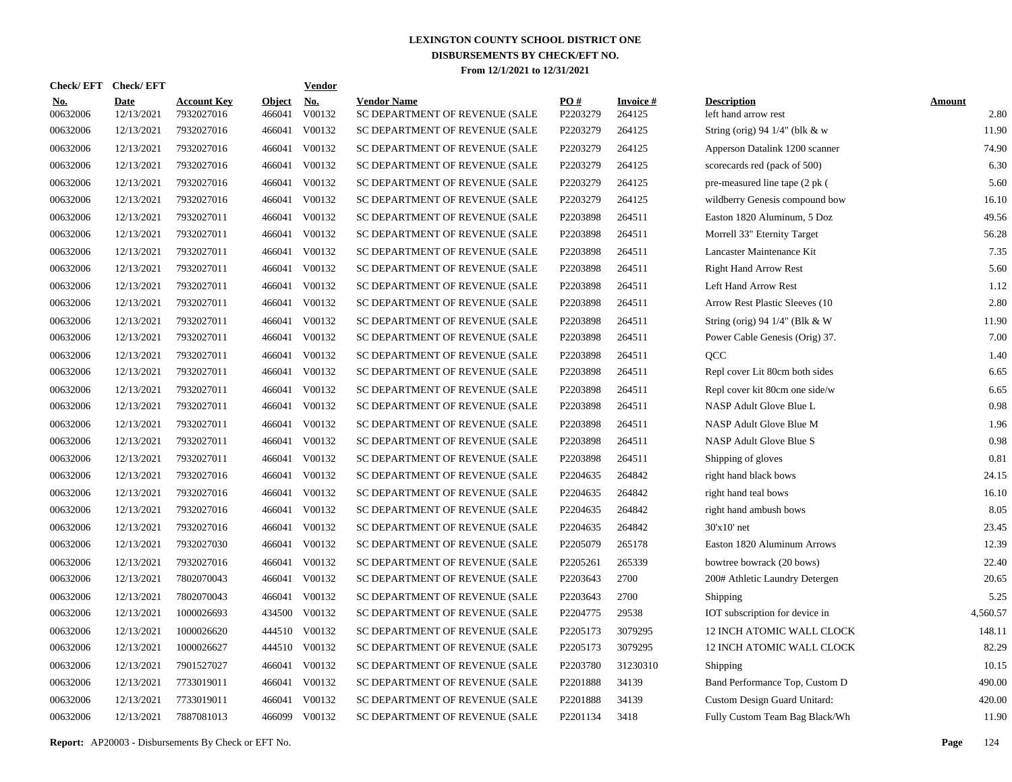|                        |                           |                                  |                         | <b>Vendor</b> |                                                                               |                      |                           |                                            |                       |
|------------------------|---------------------------|----------------------------------|-------------------------|---------------|-------------------------------------------------------------------------------|----------------------|---------------------------|--------------------------------------------|-----------------------|
| <u>No.</u><br>00632006 | <b>Date</b><br>12/13/2021 | <b>Account Key</b><br>7932027016 | <b>Object</b><br>466041 | No.<br>V00132 | <b>Vendor Name</b><br>SC DEPARTMENT OF REVENUE (SALE                          | PO#<br>P2203279      | <b>Invoice#</b><br>264125 | <b>Description</b><br>left hand arrow rest | <b>Amount</b><br>2.80 |
| 00632006               | 12/13/2021                | 7932027016                       | 466041                  | V00132        | SC DEPARTMENT OF REVENUE (SALE                                                | P2203279             | 264125                    | String (orig) 94 1/4" (blk & w             | 11.90                 |
| 00632006               | 12/13/2021                | 7932027016                       | 466041                  | V00132        | SC DEPARTMENT OF REVENUE (SALE                                                | P2203279             | 264125                    | Apperson Datalink 1200 scanner             | 74.90                 |
| 00632006               | 12/13/2021                | 7932027016                       | 466041                  | V00132        | SC DEPARTMENT OF REVENUE (SALE                                                | P2203279             | 264125                    | scorecards red (pack of 500)               | 6.30                  |
| 00632006               | 12/13/2021                | 7932027016                       | 466041                  | V00132        | SC DEPARTMENT OF REVENUE (SALE                                                | P2203279             | 264125                    | pre-measured line tape (2 pk (             | 5.60                  |
| 00632006               | 12/13/2021                | 7932027016                       | 466041                  | V00132        | SC DEPARTMENT OF REVENUE (SALE                                                | P2203279             | 264125                    | wildberry Genesis compound bow             | 16.10                 |
| 00632006               | 12/13/2021                | 7932027011                       | 466041                  | V00132        | SC DEPARTMENT OF REVENUE (SALE                                                | P2203898             | 264511                    | Easton 1820 Aluminum, 5 Doz                | 49.56                 |
| 00632006               | 12/13/2021                | 7932027011                       | 466041                  | V00132        | SC DEPARTMENT OF REVENUE (SALE                                                | P2203898             | 264511                    | Morrell 33" Eternity Target                | 56.28                 |
| 00632006               | 12/13/2021                | 7932027011                       | 466041                  | V00132        | SC DEPARTMENT OF REVENUE (SALE                                                | P2203898             | 264511                    | Lancaster Maintenance Kit                  | 7.35                  |
| 00632006               | 12/13/2021                | 7932027011                       | 466041                  | V00132        | SC DEPARTMENT OF REVENUE (SALE                                                | P2203898             | 264511                    | <b>Right Hand Arrow Rest</b>               | 5.60                  |
| 00632006               | 12/13/2021                | 7932027011                       | 466041                  | V00132        | SC DEPARTMENT OF REVENUE (SALE                                                | P2203898             | 264511                    | Left Hand Arrow Rest                       | 1.12                  |
| 00632006               | 12/13/2021                | 7932027011                       | 466041                  | V00132        | SC DEPARTMENT OF REVENUE (SALE                                                | P2203898             | 264511                    | Arrow Rest Plastic Sleeves (10)            | 2.80                  |
| 00632006               | 12/13/2021                | 7932027011                       | 466041                  | V00132        | SC DEPARTMENT OF REVENUE (SALE                                                | P2203898             | 264511                    | String (orig) 94 $1/4$ " (Blk & W)         | 11.90                 |
| 00632006               | 12/13/2021                | 7932027011                       | 466041                  | V00132        | SC DEPARTMENT OF REVENUE (SALE                                                | P2203898             | 264511                    | Power Cable Genesis (Orig) 37.             | 7.00                  |
| 00632006               | 12/13/2021                | 7932027011                       | 466041                  | V00132        | SC DEPARTMENT OF REVENUE (SALE                                                | P2203898             | 264511                    | QCC                                        | 1.40                  |
| 00632006               | 12/13/2021                | 7932027011                       | 466041                  | V00132        | SC DEPARTMENT OF REVENUE (SALE                                                | P2203898             | 264511                    | Repl cover Lit 80cm both sides             | 6.65                  |
| 00632006               | 12/13/2021                | 7932027011                       | 466041                  | V00132        | SC DEPARTMENT OF REVENUE (SALE                                                | P2203898             | 264511                    | Repl cover kit 80cm one side/w             | 6.65                  |
| 00632006               | 12/13/2021                | 7932027011                       | 466041                  | V00132        | SC DEPARTMENT OF REVENUE (SALE                                                | P2203898             | 264511                    | NASP Adult Glove Blue L                    | 0.98                  |
| 00632006               | 12/13/2021                | 7932027011                       | 466041                  | V00132        | SC DEPARTMENT OF REVENUE (SALE                                                | P2203898             | 264511                    | NASP Adult Glove Blue M                    | 1.96                  |
| 00632006               | 12/13/2021                | 7932027011                       | 466041                  | V00132        | SC DEPARTMENT OF REVENUE (SALE                                                | P2203898             | 264511                    | NASP Adult Glove Blue S                    | 0.98                  |
| 00632006               | 12/13/2021                | 7932027011                       | 466041                  | V00132        | SC DEPARTMENT OF REVENUE (SALE                                                | P2203898             | 264511                    | Shipping of gloves                         | 0.81                  |
| 00632006               | 12/13/2021                | 7932027016                       | 466041                  | V00132        | SC DEPARTMENT OF REVENUE (SALE                                                | P2204635             | 264842                    | right hand black bows                      | 24.15                 |
| 00632006               | 12/13/2021                | 7932027016                       | 466041                  | V00132        | SC DEPARTMENT OF REVENUE (SALE                                                | P <sub>2204635</sub> | 264842                    | right hand teal bows                       | 16.10                 |
| 00632006               | 12/13/2021                | 7932027016                       | 466041                  | V00132        | SC DEPARTMENT OF REVENUE (SALE                                                | P2204635             | 264842                    | right hand ambush bows                     | 8.05                  |
| 00632006               | 12/13/2021                | 7932027016                       | 466041                  | V00132        | SC DEPARTMENT OF REVENUE (SALE                                                | P <sub>2204635</sub> | 264842                    | $30'x10'$ net                              | 23.45                 |
| 00632006               | 12/13/2021                | 7932027030                       | 466041                  | V00132        | SC DEPARTMENT OF REVENUE (SALE                                                | P2205079             | 265178                    | Easton 1820 Aluminum Arrows                | 12.39                 |
| 00632006               | 12/13/2021                | 7932027016                       | 466041                  | V00132        | SC DEPARTMENT OF REVENUE (SALE                                                | P2205261             | 265339                    | bowtree bowrack (20 bows)                  | 22.40                 |
| 00632006               | 12/13/2021                | 7802070043                       | 466041                  | V00132        | SC DEPARTMENT OF REVENUE (SALE                                                | P2203643             | 2700                      | 200# Athletic Laundry Detergen             | 20.65                 |
| 00632006               | 12/13/2021                | 7802070043                       | 466041                  | V00132        | SC DEPARTMENT OF REVENUE (SALE                                                | P2203643             | 2700                      | <b>Shipping</b>                            | 5.25                  |
| 00632006               | 12/13/2021                | 1000026693                       |                         | V00132        | SC DEPARTMENT OF REVENUE (SALE                                                | P2204775             | 29538                     | IOT subscription for device in             | 4,560.57              |
| 00632006               | 12/13/2021                | 1000026620                       |                         |               | SC DEPARTMENT OF REVENUE (SALE                                                | P2205173             | 3079295                   | 12 INCH ATOMIC WALL CLOCK                  | 148.11                |
| 00632006               | 12/13/2021                | 1000026627                       |                         |               | SC DEPARTMENT OF REVENUE (SALE                                                | P2205173             |                           | 12 INCH ATOMIC WALL CLOCK                  | 82.29                 |
| 00632006               | 12/13/2021                | 7901527027                       |                         | V00132        | SC DEPARTMENT OF REVENUE (SALE                                                | P2203780             | 31230310                  | Shipping                                   | 10.15                 |
| 00632006               | 12/13/2021                | 7733019011                       |                         | V00132        | SC DEPARTMENT OF REVENUE (SALE                                                | P2201888             | 34139                     | Band Performance Top, Custom D             | 490.00                |
| 00632006               | 12/13/2021                | 7733019011                       | 466041                  | V00132        | SC DEPARTMENT OF REVENUE (SALE                                                | P2201888             | 34139                     | Custom Design Guard Unitard:               | 420.00                |
| 00632006               | 12/13/2021                | 7887081013                       |                         |               | SC DEPARTMENT OF REVENUE (SALE                                                | P2201134             | 3418                      | Fully Custom Team Bag Black/Wh             | 11.90                 |
|                        |                           | Check/EFT Check/EFT              |                         |               | 434500<br>444510 V00132<br>444510 V00132<br>466041<br>466041<br>466099 V00132 |                      |                           | 3079295                                    |                       |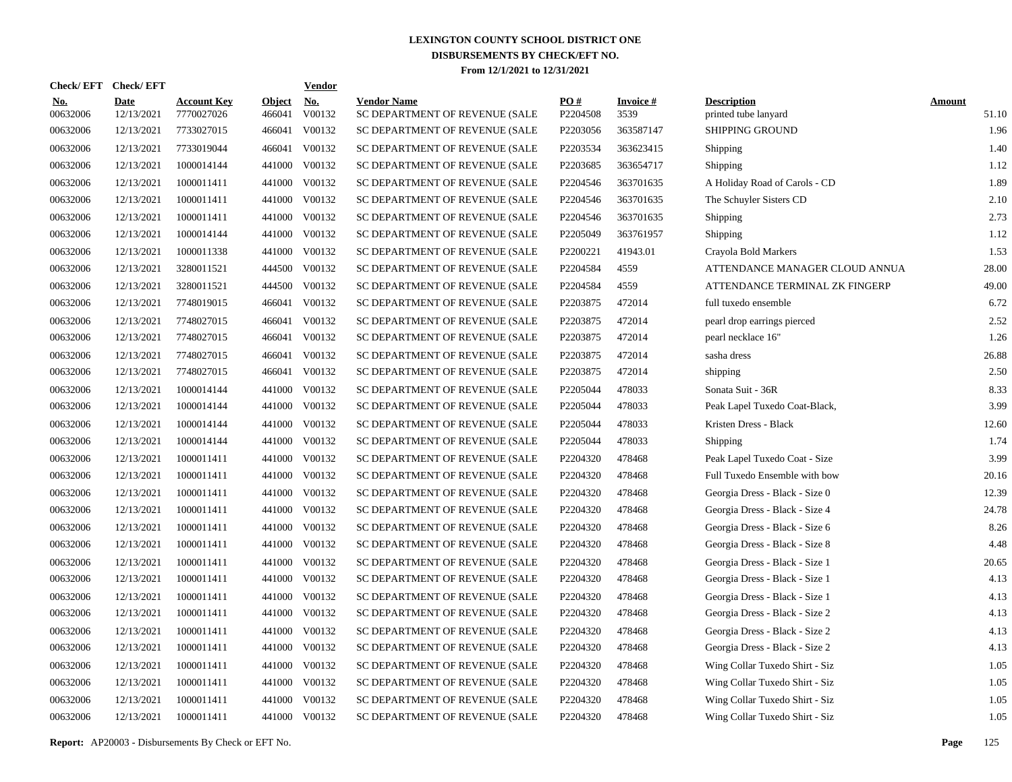| Check/ EFT             | <b>Check/EFT</b>          |                                  |                         | <b>Vendor</b>        |                                                      |                 |                         |                                            |                        |
|------------------------|---------------------------|----------------------------------|-------------------------|----------------------|------------------------------------------------------|-----------------|-------------------------|--------------------------------------------|------------------------|
| <u>No.</u><br>00632006 | <b>Date</b><br>12/13/2021 | <b>Account Key</b><br>7770027026 | <b>Object</b><br>466041 | <u>No.</u><br>V00132 | <b>Vendor Name</b><br>SC DEPARTMENT OF REVENUE (SALE | PO#<br>P2204508 | <b>Invoice#</b><br>3539 | <b>Description</b><br>printed tube lanyard | <b>Amount</b><br>51.10 |
| 00632006               | 12/13/2021                | 7733027015                       | 466041                  | V00132               | SC DEPARTMENT OF REVENUE (SALE                       | P2203056        | 363587147               | <b>SHIPPING GROUND</b>                     | 1.96                   |
| 00632006               | 12/13/2021                | 7733019044                       | 466041                  | V00132               | SC DEPARTMENT OF REVENUE (SALE                       | P2203534        | 363623415               | Shipping                                   | 1.40                   |
| 00632006               | 12/13/2021                | 1000014144                       | 441000                  | V00132               | SC DEPARTMENT OF REVENUE (SALE                       | P2203685        | 363654717               | Shipping                                   | 1.12                   |
| 00632006               | 12/13/2021                | 1000011411                       | 441000                  | V00132               | SC DEPARTMENT OF REVENUE (SALE                       | P2204546        | 363701635               | A Holiday Road of Carols - CD              | 1.89                   |
| 00632006               | 12/13/2021                | 1000011411                       | 441000                  | V00132               | SC DEPARTMENT OF REVENUE (SALE                       | P2204546        | 363701635               | The Schuyler Sisters CD                    | 2.10                   |
| 00632006               | 12/13/2021                | 1000011411                       | 441000                  | V00132               | SC DEPARTMENT OF REVENUE (SALE                       | P2204546        | 363701635               | Shipping                                   | 2.73                   |
| 00632006               | 12/13/2021                | 1000014144                       | 441000                  | V00132               | SC DEPARTMENT OF REVENUE (SALE                       | P2205049        | 363761957               | Shipping                                   | 1.12                   |
| 00632006               | 12/13/2021                | 1000011338                       | 441000                  | V00132               | SC DEPARTMENT OF REVENUE (SALE                       | P2200221        | 41943.01                | Crayola Bold Markers                       | 1.53                   |
| 00632006               | 12/13/2021                | 3280011521                       | 444500                  | V00132               | SC DEPARTMENT OF REVENUE (SALE                       | P2204584        | 4559                    | ATTENDANCE MANAGER CLOUD ANNUA             | 28.00                  |
| 00632006               | 12/13/2021                | 3280011521                       | 444500                  | V00132               | SC DEPARTMENT OF REVENUE (SALE                       | P2204584        | 4559                    | ATTENDANCE TERMINAL ZK FINGERP             | 49.00                  |
| 00632006               | 12/13/2021                | 7748019015                       | 466041                  | V00132               | SC DEPARTMENT OF REVENUE (SALE                       | P2203875        | 472014                  | full tuxedo ensemble                       | 6.72                   |
| 00632006               | 12/13/2021                | 7748027015                       | 466041                  | V00132               | SC DEPARTMENT OF REVENUE (SALE                       | P2203875        | 472014                  | pearl drop earrings pierced                | 2.52                   |
| 00632006               | 12/13/2021                | 7748027015                       | 466041                  | V00132               | SC DEPARTMENT OF REVENUE (SALE                       | P2203875        | 472014                  | pearl necklace 16"                         | 1.26                   |
| 00632006               | 12/13/2021                | 7748027015                       | 466041                  | V00132               | SC DEPARTMENT OF REVENUE (SALE                       | P2203875        | 472014                  | sasha dress                                | 26.88                  |
| 00632006               | 12/13/2021                | 7748027015                       | 466041                  | V00132               | SC DEPARTMENT OF REVENUE (SALE                       | P2203875        | 472014                  | shipping                                   | 2.50                   |
| 00632006               | 12/13/2021                | 1000014144                       | 441000                  | V00132               | SC DEPARTMENT OF REVENUE (SALE                       | P2205044        | 478033                  | Sonata Suit - 36R                          | 8.33                   |
| 00632006               | 12/13/2021                | 1000014144                       | 441000                  | V00132               | SC DEPARTMENT OF REVENUE (SALE                       | P2205044        | 478033                  | Peak Lapel Tuxedo Coat-Black,              | 3.99                   |
| 00632006               | 12/13/2021                | 1000014144                       | 441000                  | V00132               | SC DEPARTMENT OF REVENUE (SALE                       | P2205044        | 478033                  | Kristen Dress - Black                      | 12.60                  |
| 00632006               | 12/13/2021                | 1000014144                       | 441000                  | V00132               | SC DEPARTMENT OF REVENUE (SALE                       | P2205044        | 478033                  | Shipping                                   | 1.74                   |
| 00632006               | 12/13/2021                | 1000011411                       | 441000                  | V00132               | SC DEPARTMENT OF REVENUE (SALE                       | P2204320        | 478468                  | Peak Lapel Tuxedo Coat - Size              | 3.99                   |
| 00632006               | 12/13/2021                | 1000011411                       | 441000                  | V00132               | SC DEPARTMENT OF REVENUE (SALE                       | P2204320        | 478468                  | Full Tuxedo Ensemble with bow              | 20.16                  |
| 00632006               | 12/13/2021                | 1000011411                       | 441000                  | V00132               | SC DEPARTMENT OF REVENUE (SALE                       | P2204320        | 478468                  | Georgia Dress - Black - Size 0             | 12.39                  |
| 00632006               | 12/13/2021                | 1000011411                       | 441000                  | V00132               | SC DEPARTMENT OF REVENUE (SALE                       | P2204320        | 478468                  | Georgia Dress - Black - Size 4             | 24.78                  |
| 00632006               | 12/13/2021                | 1000011411                       | 441000                  | V00132               | SC DEPARTMENT OF REVENUE (SALE                       | P2204320        | 478468                  | Georgia Dress - Black - Size 6             | 8.26                   |
| 00632006               | 12/13/2021                | 1000011411                       | 441000                  | V00132               | SC DEPARTMENT OF REVENUE (SALE                       | P2204320        | 478468                  | Georgia Dress - Black - Size 8             | 4.48                   |
| 00632006               | 12/13/2021                | 1000011411                       | 441000                  | V00132               | SC DEPARTMENT OF REVENUE (SALE                       | P2204320        | 478468                  | Georgia Dress - Black - Size 1             | 20.65                  |
| 00632006               | 12/13/2021                | 1000011411                       | 441000                  | V00132               | SC DEPARTMENT OF REVENUE (SALE                       | P2204320        | 478468                  | Georgia Dress - Black - Size 1             | 4.13                   |
| 00632006               | 12/13/2021                | 1000011411                       | 441000                  | V00132               | SC DEPARTMENT OF REVENUE (SALE                       | P2204320        | 478468                  | Georgia Dress - Black - Size 1             | 4.13                   |
| 00632006               | 12/13/2021                | 1000011411                       | 441000                  | V00132               | SC DEPARTMENT OF REVENUE (SALE                       | P2204320        | 478468                  | Georgia Dress - Black - Size 2             | 4.13                   |
| 00632006               | 12/13/2021                | 1000011411                       | 441000                  | V00132               | SC DEPARTMENT OF REVENUE (SALE                       | P2204320        | 478468                  | Georgia Dress - Black - Size 2             | 4.13                   |
| 00632006               | 12/13/2021                | 1000011411                       | 441000                  | V00132               | SC DEPARTMENT OF REVENUE (SALE                       | P2204320        | 478468                  | Georgia Dress - Black - Size 2             | 4.13                   |
| 00632006               | 12/13/2021                | 1000011411                       | 441000                  | V00132               | SC DEPARTMENT OF REVENUE (SALE                       | P2204320        | 478468                  | Wing Collar Tuxedo Shirt - Siz             | 1.05                   |
| 00632006               | 12/13/2021                | 1000011411                       | 441000                  | V00132               | SC DEPARTMENT OF REVENUE (SALE                       | P2204320        | 478468                  | Wing Collar Tuxedo Shirt - Siz             | 1.05                   |
| 00632006               | 12/13/2021                | 1000011411                       | 441000                  | V00132               | SC DEPARTMENT OF REVENUE (SALE                       | P2204320        | 478468                  | Wing Collar Tuxedo Shirt - Siz             | 1.05                   |
| 00632006               | 12/13/2021                | 1000011411                       |                         | 441000 V00132        | SC DEPARTMENT OF REVENUE (SALE                       | P2204320        | 478468                  | Wing Collar Tuxedo Shirt - Siz             | 1.05                   |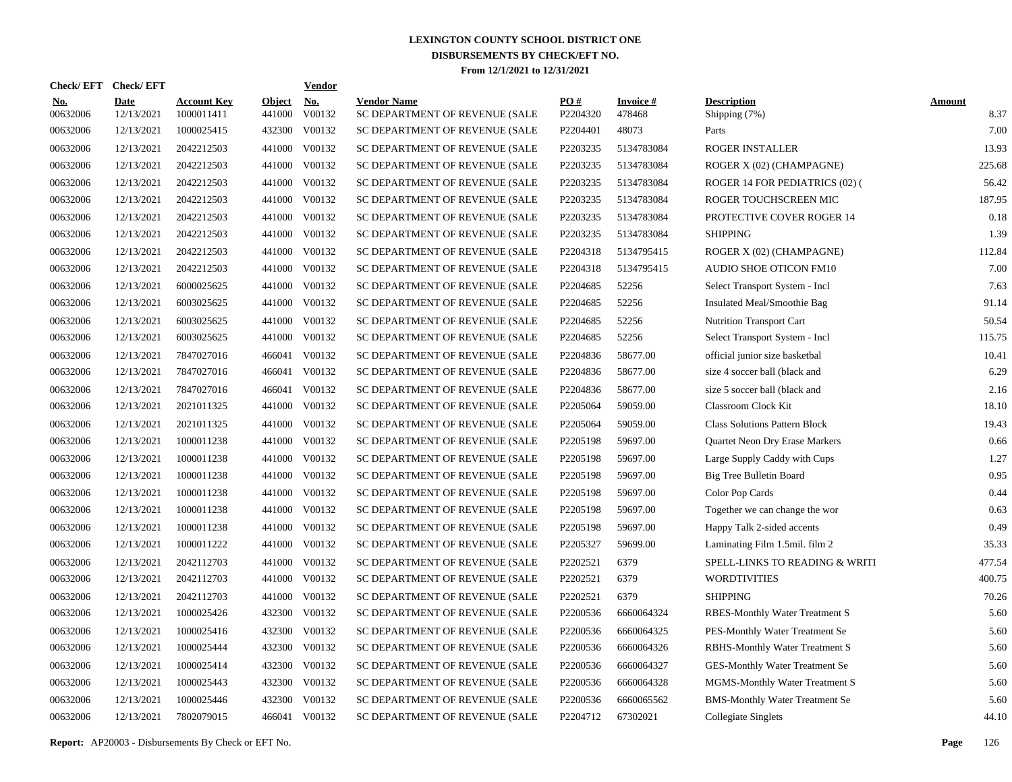| Check/EFT Check/EFT    |                           |                                  |                         | <b>Vendor</b> |                                                      |                 |                           |                                       |                       |
|------------------------|---------------------------|----------------------------------|-------------------------|---------------|------------------------------------------------------|-----------------|---------------------------|---------------------------------------|-----------------------|
| <u>No.</u><br>00632006 | <b>Date</b><br>12/13/2021 | <b>Account Key</b><br>1000011411 | <b>Object</b><br>441000 | No.<br>V00132 | <b>Vendor Name</b><br>SC DEPARTMENT OF REVENUE (SALE | PO#<br>P2204320 | <b>Invoice#</b><br>478468 | <b>Description</b><br>Shipping (7%)   | <b>Amount</b><br>8.37 |
| 00632006               | 12/13/2021                | 1000025415                       | 432300                  | V00132        | SC DEPARTMENT OF REVENUE (SALE                       | P2204401        | 48073                     | Parts                                 | 7.00                  |
| 00632006               | 12/13/2021                | 2042212503                       | 441000                  | V00132        | SC DEPARTMENT OF REVENUE (SALE                       | P2203235        | 5134783084                | ROGER INSTALLER                       | 13.93                 |
| 00632006               | 12/13/2021                | 2042212503                       | 441000                  | V00132        | SC DEPARTMENT OF REVENUE (SALE                       | P2203235        | 5134783084                | ROGER X (02) (CHAMPAGNE)              | 225.68                |
| 00632006               | 12/13/2021                | 2042212503                       |                         | 441000 V00132 | SC DEPARTMENT OF REVENUE (SALE                       | P2203235        | 5134783084                | ROGER 14 FOR PEDIATRICS (02) (        | 56.42                 |
| 00632006               | 12/13/2021                | 2042212503                       |                         | 441000 V00132 | SC DEPARTMENT OF REVENUE (SALE                       | P2203235        | 5134783084                | ROGER TOUCHSCREEN MIC                 | 187.95                |
| 00632006               | 12/13/2021                | 2042212503                       |                         | 441000 V00132 | SC DEPARTMENT OF REVENUE (SALE                       | P2203235        | 5134783084                | PROTECTIVE COVER ROGER 14             | 0.18                  |
| 00632006               | 12/13/2021                | 2042212503                       |                         | 441000 V00132 | SC DEPARTMENT OF REVENUE (SALE                       | P2203235        | 5134783084                | <b>SHIPPING</b>                       | 1.39                  |
| 00632006               | 12/13/2021                | 2042212503                       |                         | 441000 V00132 | SC DEPARTMENT OF REVENUE (SALE                       | P2204318        | 5134795415                | ROGER X (02) (CHAMPAGNE)              | 112.84                |
| 00632006               | 12/13/2021                | 2042212503                       |                         | 441000 V00132 | SC DEPARTMENT OF REVENUE (SALE                       | P2204318        | 5134795415                | AUDIO SHOE OTICON FM10                | 7.00                  |
| 00632006               | 12/13/2021                | 6000025625                       |                         | 441000 V00132 | SC DEPARTMENT OF REVENUE (SALE                       | P2204685        | 52256                     | Select Transport System - Incl        | 7.63                  |
| 00632006               | 12/13/2021                | 6003025625                       |                         | 441000 V00132 | SC DEPARTMENT OF REVENUE (SALE                       | P2204685        | 52256                     | Insulated Meal/Smoothie Bag           | 91.14                 |
| 00632006               | 12/13/2021                | 6003025625                       |                         | 441000 V00132 | SC DEPARTMENT OF REVENUE (SALE                       | P2204685        | 52256                     | <b>Nutrition Transport Cart</b>       | 50.54                 |
| 00632006               | 12/13/2021                | 6003025625                       |                         | 441000 V00132 | SC DEPARTMENT OF REVENUE (SALE                       | P2204685        | 52256                     | Select Transport System - Incl        | 115.75                |
| 00632006               | 12/13/2021                | 7847027016                       |                         | 466041 V00132 | SC DEPARTMENT OF REVENUE (SALE                       | P2204836        | 58677.00                  | official junior size basketbal        | 10.41                 |
| 00632006               | 12/13/2021                | 7847027016                       | 466041                  | V00132        | SC DEPARTMENT OF REVENUE (SALE                       | P2204836        | 58677.00                  | size 4 soccer ball (black and         | 6.29                  |
| 00632006               | 12/13/2021                | 7847027016                       | 466041                  | V00132        | SC DEPARTMENT OF REVENUE (SALE                       | P2204836        | 58677.00                  | size 5 soccer ball (black and         | 2.16                  |
| 00632006               | 12/13/2021                | 2021011325                       |                         | 441000 V00132 | SC DEPARTMENT OF REVENUE (SALE                       | P2205064        | 59059.00                  | Classroom Clock Kit                   | 18.10                 |
| 00632006               | 12/13/2021                | 2021011325                       |                         | 441000 V00132 | SC DEPARTMENT OF REVENUE (SALE                       | P2205064        | 59059.00                  | <b>Class Solutions Pattern Block</b>  | 19.43                 |
| 00632006               | 12/13/2021                | 1000011238                       |                         | 441000 V00132 | SC DEPARTMENT OF REVENUE (SALE                       | P2205198        | 59697.00                  | Quartet Neon Dry Erase Markers        | 0.66                  |
| 00632006               | 12/13/2021                | 1000011238                       |                         | 441000 V00132 | SC DEPARTMENT OF REVENUE (SALE                       | P2205198        | 59697.00                  | Large Supply Caddy with Cups          | 1.27                  |
| 00632006               | 12/13/2021                | 1000011238                       |                         | 441000 V00132 | SC DEPARTMENT OF REVENUE (SALE                       | P2205198        | 59697.00                  | Big Tree Bulletin Board               | 0.95                  |
| 00632006               | 12/13/2021                | 1000011238                       |                         | 441000 V00132 | SC DEPARTMENT OF REVENUE (SALE                       | P2205198        | 59697.00                  | Color Pop Cards                       | 0.44                  |
| 00632006               | 12/13/2021                | 1000011238                       |                         | 441000 V00132 | SC DEPARTMENT OF REVENUE (SALE                       | P2205198        | 59697.00                  | Together we can change the wor        | 0.63                  |
| 00632006               | 12/13/2021                | 1000011238                       | 441000                  | V00132        | SC DEPARTMENT OF REVENUE (SALE                       | P2205198        | 59697.00                  | Happy Talk 2-sided accents            | 0.49                  |
| 00632006               | 12/13/2021                | 1000011222                       |                         | 441000 V00132 | SC DEPARTMENT OF REVENUE (SALE                       | P2205327        | 59699.00                  | Laminating Film 1.5mil. film 2        | 35.33                 |
| 00632006               | 12/13/2021                | 2042112703                       | 441000                  | V00132        | SC DEPARTMENT OF REVENUE (SALE                       | P2202521        | 6379                      | SPELL-LINKS TO READING & WRITI        | 477.54                |
| 00632006               | 12/13/2021                | 2042112703                       |                         | 441000 V00132 | SC DEPARTMENT OF REVENUE (SALE                       | P2202521        | 6379                      | <b>WORDTIVITIES</b>                   | 400.75                |
| 00632006               | 12/13/2021                | 2042112703                       | 441000                  | V00132        | SC DEPARTMENT OF REVENUE (SALE                       | P2202521        | 6379                      | <b>SHIPPING</b>                       | 70.26                 |
| 00632006               | 12/13/2021                | 1000025426                       |                         | 432300 V00132 | SC DEPARTMENT OF REVENUE (SALE                       | P2200536        | 6660064324                | RBES-Monthly Water Treatment S        | 5.60                  |
| 00632006               | 12/13/2021                | 1000025416                       | 432300                  | V00132        | SC DEPARTMENT OF REVENUE (SALE                       | P2200536        | 6660064325                | PES-Monthly Water Treatment Se        | 5.60                  |
| 00632006               | 12/13/2021                | 1000025444                       |                         | 432300 V00132 | SC DEPARTMENT OF REVENUE (SALE                       | P2200536        | 6660064326                | <b>RBHS-Monthly Water Treatment S</b> | 5.60                  |
| 00632006               | 12/13/2021                | 1000025414                       | 432300                  | V00132        | SC DEPARTMENT OF REVENUE (SALE                       | P2200536        | 6660064327                | <b>GES-Monthly Water Treatment Se</b> | 5.60                  |
| 00632006               | 12/13/2021                | 1000025443                       | 432300                  | V00132        | SC DEPARTMENT OF REVENUE (SALE                       | P2200536        | 6660064328                | MGMS-Monthly Water Treatment S        | 5.60                  |
| 00632006               | 12/13/2021                | 1000025446                       | 432300                  | V00132        | SC DEPARTMENT OF REVENUE (SALE                       | P2200536        | 6660065562                | <b>BMS-Monthly Water Treatment Se</b> | 5.60                  |
| 00632006               | 12/13/2021                | 7802079015                       |                         | 466041 V00132 | SC DEPARTMENT OF REVENUE (SALE                       | P2204712        | 67302021                  | Collegiate Singlets                   | 44.10                 |

**Report:** AP20003 - Disbursements By Check or EFT No. **Page** 126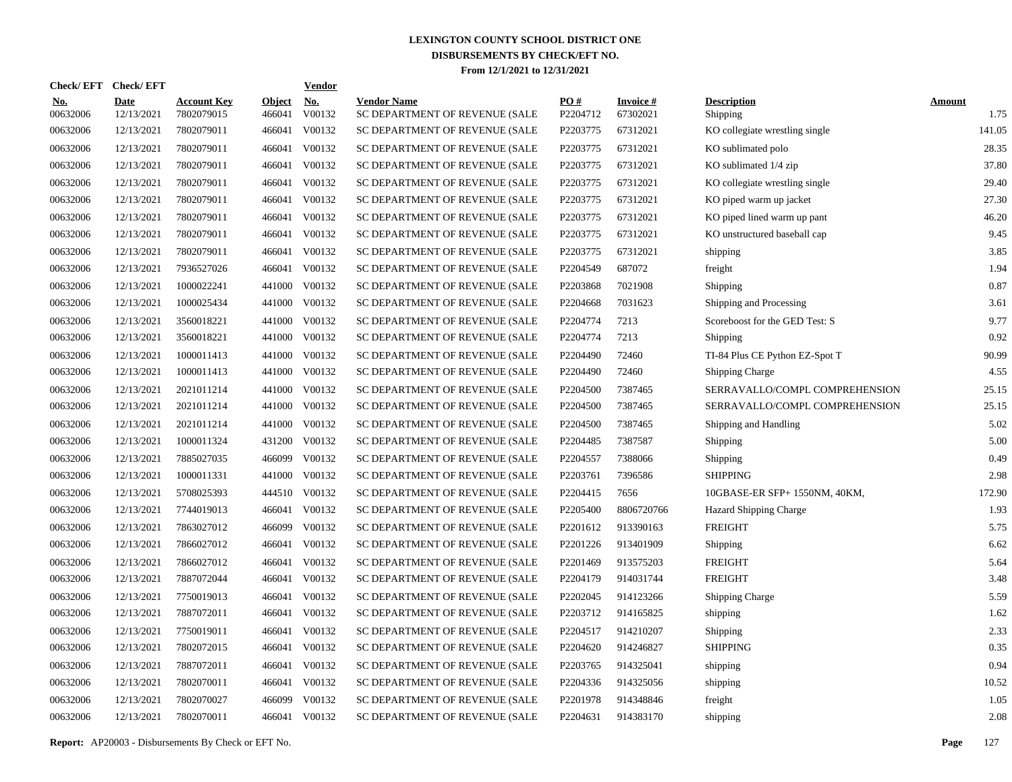| <b>Check/EFT</b>       | <b>Check/EFT</b>          |                                  |                         | <b>Vendor</b> |                                                      |                 |                             |                                |                       |
|------------------------|---------------------------|----------------------------------|-------------------------|---------------|------------------------------------------------------|-----------------|-----------------------------|--------------------------------|-----------------------|
| <u>No.</u><br>00632006 | <b>Date</b><br>12/13/2021 | <b>Account Key</b><br>7802079015 | <b>Object</b><br>466041 | No.<br>V00132 | <b>Vendor Name</b><br>SC DEPARTMENT OF REVENUE (SALE | PO#<br>P2204712 | <b>Invoice#</b><br>67302021 | <b>Description</b><br>Shipping | <b>Amount</b><br>1.75 |
| 00632006               | 12/13/2021                | 7802079011                       | 466041                  | V00132        | SC DEPARTMENT OF REVENUE (SALE                       | P2203775        | 67312021                    | KO collegiate wrestling single | 141.05                |
| 00632006               | 12/13/2021                | 7802079011                       | 466041                  | V00132        | SC DEPARTMENT OF REVENUE (SALE                       | P2203775        | 67312021                    | KO sublimated polo             | 28.35                 |
| 00632006               | 12/13/2021                | 7802079011                       | 466041                  | V00132        | SC DEPARTMENT OF REVENUE (SALE                       | P2203775        | 67312021                    | KO sublimated 1/4 zip          | 37.80                 |
| 00632006               | 12/13/2021                | 7802079011                       | 466041                  | V00132        | SC DEPARTMENT OF REVENUE (SALE                       | P2203775        | 67312021                    | KO collegiate wrestling single | 29.40                 |
| 00632006               | 12/13/2021                | 7802079011                       | 466041                  | V00132        | SC DEPARTMENT OF REVENUE (SALE                       | P2203775        | 67312021                    | KO piped warm up jacket        | 27.30                 |
| 00632006               | 12/13/2021                | 7802079011                       | 466041                  | V00132        | SC DEPARTMENT OF REVENUE (SALE                       | P2203775        | 67312021                    | KO piped lined warm up pant    | 46.20                 |
| 00632006               | 12/13/2021                | 7802079011                       | 466041                  | V00132        | SC DEPARTMENT OF REVENUE (SALE                       | P2203775        | 67312021                    | KO unstructured baseball cap   | 9.45                  |
| 00632006               | 12/13/2021                | 7802079011                       | 466041                  | V00132        | SC DEPARTMENT OF REVENUE (SALE                       | P2203775        | 67312021                    | shipping                       | 3.85                  |
| 00632006               | 12/13/2021                | 7936527026                       | 466041                  | V00132        | SC DEPARTMENT OF REVENUE (SALE                       | P2204549        | 687072                      | freight                        | 1.94                  |
| 00632006               | 12/13/2021                | 1000022241                       | 441000                  | V00132        | SC DEPARTMENT OF REVENUE (SALE                       | P2203868        | 7021908                     | Shipping                       | 0.87                  |
| 00632006               | 12/13/2021                | 1000025434                       | 441000                  | V00132        | SC DEPARTMENT OF REVENUE (SALE                       | P2204668        | 7031623                     | Shipping and Processing        | 3.61                  |
| 00632006               | 12/13/2021                | 3560018221                       | 441000                  | V00132        | SC DEPARTMENT OF REVENUE (SALE                       | P2204774        | 7213                        | Scoreboost for the GED Test: S | 9.77                  |
| 00632006               | 12/13/2021                | 3560018221                       | 441000                  | V00132        | SC DEPARTMENT OF REVENUE (SALE                       | P2204774        | 7213                        | Shipping                       | 0.92                  |
| 00632006               | 12/13/2021                | 1000011413                       | 441000                  | V00132        | SC DEPARTMENT OF REVENUE (SALE                       | P2204490        | 72460                       | TI-84 Plus CE Python EZ-Spot T | 90.99                 |
| 00632006               | 12/13/2021                | 1000011413                       | 441000                  | V00132        | SC DEPARTMENT OF REVENUE (SALE                       | P2204490        | 72460                       | <b>Shipping Charge</b>         | 4.55                  |
| 00632006               | 12/13/2021                | 2021011214                       | 441000                  | V00132        | SC DEPARTMENT OF REVENUE (SALE                       | P2204500        | 7387465                     | SERRAVALLO/COMPL COMPREHENSION | 25.15                 |
| 00632006               | 12/13/2021                | 2021011214                       | 441000                  | V00132        | SC DEPARTMENT OF REVENUE (SALE                       | P2204500        | 7387465                     | SERRAVALLO/COMPL COMPREHENSION | 25.15                 |
| 00632006               | 12/13/2021                | 2021011214                       | 441000                  | V00132        | SC DEPARTMENT OF REVENUE (SALE                       | P2204500        | 7387465                     | Shipping and Handling          | 5.02                  |
| 00632006               | 12/13/2021                | 1000011324                       | 431200                  | V00132        | SC DEPARTMENT OF REVENUE (SALE                       | P2204485        | 7387587                     | Shipping                       | 5.00                  |
| 00632006               | 12/13/2021                | 7885027035                       | 466099                  | V00132        | SC DEPARTMENT OF REVENUE (SALE                       | P2204557        | 7388066                     | Shipping                       | 0.49                  |
| 00632006               | 12/13/2021                | 1000011331                       | 441000                  | V00132        | SC DEPARTMENT OF REVENUE (SALE                       | P2203761        | 7396586                     | <b>SHIPPING</b>                | 2.98                  |
| 00632006               | 12/13/2021                | 5708025393                       | 444510                  | V00132        | SC DEPARTMENT OF REVENUE (SALE                       | P2204415        | 7656                        | 10GBASE-ER SFP+ 1550NM, 40KM,  | 172.90                |
| 00632006               | 12/13/2021                | 7744019013                       | 466041                  | V00132        | SC DEPARTMENT OF REVENUE (SALE                       | P2205400        | 8806720766                  | Hazard Shipping Charge         | 1.93                  |
| 00632006               | 12/13/2021                | 7863027012                       | 466099                  | V00132        | SC DEPARTMENT OF REVENUE (SALE                       | P2201612        | 913390163                   | <b>FREIGHT</b>                 | 5.75                  |
| 00632006               | 12/13/2021                | 7866027012                       | 466041                  | V00132        | SC DEPARTMENT OF REVENUE (SALE                       | P2201226        | 913401909                   | Shipping                       | 6.62                  |
| 00632006               | 12/13/2021                | 7866027012                       | 466041                  | V00132        | SC DEPARTMENT OF REVENUE (SALE                       | P2201469        | 913575203                   | <b>FREIGHT</b>                 | 5.64                  |
| 00632006               | 12/13/2021                | 7887072044                       | 466041                  | V00132        | SC DEPARTMENT OF REVENUE (SALE                       | P2204179        | 914031744                   | <b>FREIGHT</b>                 | 3.48                  |
| 00632006               | 12/13/2021                | 7750019013                       | 466041                  | V00132        | SC DEPARTMENT OF REVENUE (SALE                       | P2202045        | 914123266                   | <b>Shipping Charge</b>         | 5.59                  |
| 00632006               | 12/13/2021                | 7887072011                       | 466041                  | V00132        | SC DEPARTMENT OF REVENUE (SALE                       | P2203712        | 914165825                   | shipping                       | 1.62                  |
| 00632006               | 12/13/2021                | 7750019011                       | 466041                  | V00132        | SC DEPARTMENT OF REVENUE (SALE                       | P2204517        | 914210207                   | Shipping                       | 2.33                  |
| 00632006               | 12/13/2021                | 7802072015                       | 466041                  | V00132        | SC DEPARTMENT OF REVENUE (SALE                       | P2204620        | 914246827                   | <b>SHIPPING</b>                | 0.35                  |
| 00632006               | 12/13/2021                | 7887072011                       | 466041                  | V00132        | SC DEPARTMENT OF REVENUE (SALE                       | P2203765        | 914325041                   | shipping                       | 0.94                  |
| 00632006               | 12/13/2021                | 7802070011                       | 466041                  | V00132        | SC DEPARTMENT OF REVENUE (SALE                       | P2204336        | 914325056                   | shipping                       | 10.52                 |
| 00632006               | 12/13/2021                | 7802070027                       | 466099                  | V00132        | SC DEPARTMENT OF REVENUE (SALE                       | P2201978        | 914348846                   | freight                        | 1.05                  |
| 00632006               | 12/13/2021                | 7802070011                       | 466041                  | V00132        | SC DEPARTMENT OF REVENUE (SALE                       | P2204631        | 914383170                   | shipping                       | 2.08                  |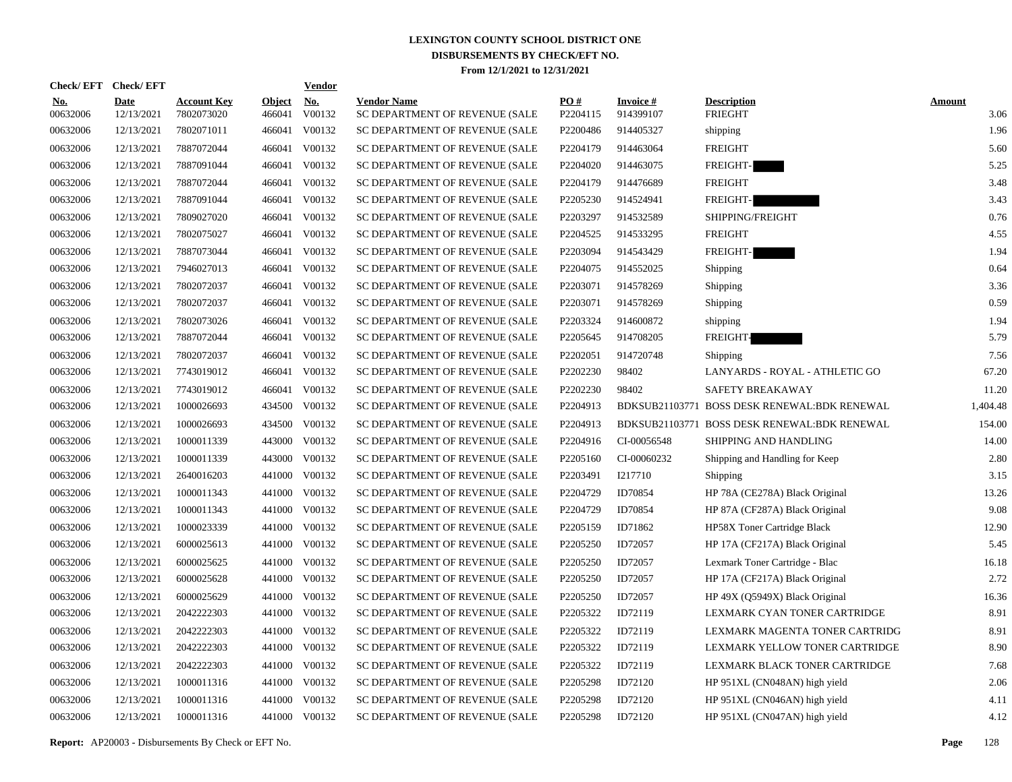| Check/EFT Check/EFT    |                           |                                  |                         | <b>Vendor</b>                       |                                                      |                 |                               |                                              |                       |
|------------------------|---------------------------|----------------------------------|-------------------------|-------------------------------------|------------------------------------------------------|-----------------|-------------------------------|----------------------------------------------|-----------------------|
| <u>No.</u><br>00632006 | <b>Date</b><br>12/13/2021 | <b>Account Key</b><br>7802073020 | <b>Object</b><br>466041 | $\underline{\textbf{No}}$<br>V00132 | <b>Vendor Name</b><br>SC DEPARTMENT OF REVENUE (SALE | PO#<br>P2204115 | <b>Invoice #</b><br>914399107 | <b>Description</b><br><b>FRIEGHT</b>         | <b>Amount</b><br>3.06 |
| 00632006               | 12/13/2021                | 7802071011                       | 466041                  | V00132                              | SC DEPARTMENT OF REVENUE (SALE                       | P2200486        | 914405327                     | shipping                                     | 1.96                  |
| 00632006               | 12/13/2021                | 7887072044                       | 466041                  | V00132                              | SC DEPARTMENT OF REVENUE (SALE                       | P2204179        | 914463064                     | <b>FREIGHT</b>                               | 5.60                  |
| 00632006               | 12/13/2021                | 7887091044                       | 466041                  | V00132                              | SC DEPARTMENT OF REVENUE (SALE                       | P2204020        | 914463075                     | FREIGHT-                                     | 5.25                  |
| 00632006               | 12/13/2021                | 7887072044                       | 466041                  | V00132                              | SC DEPARTMENT OF REVENUE (SALE                       | P2204179        | 914476689                     | <b>FREIGHT</b>                               | 3.48                  |
| 00632006               | 12/13/2021                | 7887091044                       | 466041                  | V00132                              | SC DEPARTMENT OF REVENUE (SALE                       | P2205230        | 914524941                     | FREIGHT-                                     | 3.43                  |
| 00632006               | 12/13/2021                | 7809027020                       | 466041                  | V00132                              | SC DEPARTMENT OF REVENUE (SALE                       | P2203297        | 914532589                     | SHIPPING/FREIGHT                             | 0.76                  |
| 00632006               | 12/13/2021                | 7802075027                       | 466041                  | V00132                              | SC DEPARTMENT OF REVENUE (SALE                       | P2204525        | 914533295                     | <b>FREIGHT</b>                               | 4.55                  |
| 00632006               | 12/13/2021                | 7887073044                       | 466041                  | V00132                              | SC DEPARTMENT OF REVENUE (SALE                       | P2203094        | 914543429                     | <b>FREIGHT-</b>                              | 1.94                  |
| 00632006               | 12/13/2021                | 7946027013                       | 466041                  | V00132                              | SC DEPARTMENT OF REVENUE (SALE                       | P2204075        | 914552025                     | Shipping                                     | 0.64                  |
| 00632006               | 12/13/2021                | 7802072037                       |                         | 466041 V00132                       | SC DEPARTMENT OF REVENUE (SALE                       | P2203071        | 914578269                     | Shipping                                     | 3.36                  |
| 00632006               | 12/13/2021                | 7802072037                       | 466041                  | V00132                              | SC DEPARTMENT OF REVENUE (SALE                       | P2203071        | 914578269                     | Shipping                                     | 0.59                  |
| 00632006               | 12/13/2021                | 7802073026                       |                         | 466041 V00132                       | SC DEPARTMENT OF REVENUE (SALE                       | P2203324        | 914600872                     | shipping                                     | 1.94                  |
| 00632006               | 12/13/2021                | 7887072044                       | 466041                  | V00132                              | SC DEPARTMENT OF REVENUE (SALE                       | P2205645        | 914708205                     | FREIGHT-                                     | 5.79                  |
| 00632006               | 12/13/2021                | 7802072037                       |                         | 466041 V00132                       | SC DEPARTMENT OF REVENUE (SALE                       | P2202051        | 914720748                     | Shipping                                     | 7.56                  |
| 00632006               | 12/13/2021                | 7743019012                       |                         | 466041 V00132                       | SC DEPARTMENT OF REVENUE (SALE                       | P2202230        | 98402                         | LANYARDS - ROYAL - ATHLETIC GO               | 67.20                 |
| 00632006               | 12/13/2021                | 7743019012                       |                         | 466041 V00132                       | SC DEPARTMENT OF REVENUE (SALE                       | P2202230        | 98402                         | SAFETY BREAKAWAY                             | 11.20                 |
| 00632006               | 12/13/2021                | 1000026693                       |                         | 434500 V00132                       | SC DEPARTMENT OF REVENUE (SALE                       | P2204913        |                               | BDKSUB21103771 BOSS DESK RENEWAL:BDK RENEWAL | 1,404.48              |
| 00632006               | 12/13/2021                | 1000026693                       |                         | 434500 V00132                       | SC DEPARTMENT OF REVENUE (SALE                       | P2204913        |                               | BDKSUB21103771 BOSS DESK RENEWAL:BDK RENEWAL | 154.00                |
| 00632006               | 12/13/2021                | 1000011339                       |                         | 443000 V00132                       | SC DEPARTMENT OF REVENUE (SALE                       | P2204916        | CI-00056548                   | SHIPPING AND HANDLING                        | 14.00                 |
| 00632006               | 12/13/2021                | 1000011339                       |                         | 443000 V00132                       | SC DEPARTMENT OF REVENUE (SALE                       | P2205160        | CI-00060232                   | Shipping and Handling for Keep               | 2.80                  |
| 00632006               | 12/13/2021                | 2640016203                       |                         | 441000 V00132                       | SC DEPARTMENT OF REVENUE (SALE                       | P2203491        | I217710                       | Shipping                                     | 3.15                  |
| 00632006               | 12/13/2021                | 1000011343                       |                         | 441000 V00132                       | SC DEPARTMENT OF REVENUE (SALE                       | P2204729        | ID70854                       | HP 78A (CE278A) Black Original               | 13.26                 |
| 00632006               | 12/13/2021                | 1000011343                       |                         | 441000 V00132                       | SC DEPARTMENT OF REVENUE (SALE                       | P2204729        | ID70854                       | HP 87A (CF287A) Black Original               | 9.08                  |
| 00632006               | 12/13/2021                | 1000023339                       |                         | 441000 V00132                       | SC DEPARTMENT OF REVENUE (SALE                       | P2205159        | ID71862                       | HP58X Toner Cartridge Black                  | 12.90                 |
| 00632006               | 12/13/2021                | 6000025613                       |                         | 441000 V00132                       | SC DEPARTMENT OF REVENUE (SALE                       | P2205250        | ID72057                       | HP 17A (CF217A) Black Original               | 5.45                  |
| 00632006               | 12/13/2021                | 6000025625                       |                         | 441000 V00132                       | SC DEPARTMENT OF REVENUE (SALE                       | P2205250        | ID72057                       | Lexmark Toner Cartridge - Blac               | 16.18                 |
| 00632006               | 12/13/2021                | 6000025628                       |                         | 441000 V00132                       | SC DEPARTMENT OF REVENUE (SALE                       | P2205250        | ID72057                       | HP 17A (CF217A) Black Original               | 2.72                  |
| 00632006               | 12/13/2021                | 6000025629                       |                         | 441000 V00132                       | SC DEPARTMENT OF REVENUE (SALE                       | P2205250        | ID72057                       | HP 49X (Q5949X) Black Original               | 16.36                 |
| 00632006               | 12/13/2021                | 2042222303                       |                         | 441000 V00132                       | SC DEPARTMENT OF REVENUE (SALE                       | P2205322        | ID72119                       | LEXMARK CYAN TONER CARTRIDGE                 | 8.91                  |
| 00632006               | 12/13/2021                | 2042222303                       |                         | 441000 V00132                       | SC DEPARTMENT OF REVENUE (SALE                       | P2205322        | ID72119                       | LEXMARK MAGENTA TONER CARTRIDG               | 8.91                  |
| 00632006               | 12/13/2021                | 2042222303                       |                         | 441000 V00132                       | SC DEPARTMENT OF REVENUE (SALE                       | P2205322        | ID72119                       | LEXMARK YELLOW TONER CARTRIDGE               | 8.90                  |
| 00632006               | 12/13/2021                | 2042222303                       |                         | 441000 V00132                       | SC DEPARTMENT OF REVENUE (SALE                       | P2205322        | ID72119                       | LEXMARK BLACK TONER CARTRIDGE                | 7.68                  |
| 00632006               | 12/13/2021                | 1000011316                       |                         | 441000 V00132                       | SC DEPARTMENT OF REVENUE (SALE                       | P2205298        | ID72120                       | HP 951XL (CN048AN) high yield                | 2.06                  |
| 00632006               | 12/13/2021                | 1000011316                       |                         | 441000 V00132                       | SC DEPARTMENT OF REVENUE (SALE                       | P2205298        | ID72120                       | HP 951XL (CN046AN) high yield                | 4.11                  |
| 00632006               | 12/13/2021                | 1000011316                       |                         | 441000 V00132                       | SC DEPARTMENT OF REVENUE (SALE                       | P2205298        | ID72120                       | HP 951XL (CN047AN) high yield                | 4.12                  |

**Report:** AP20003 - Disbursements By Check or EFT No. **Page** 128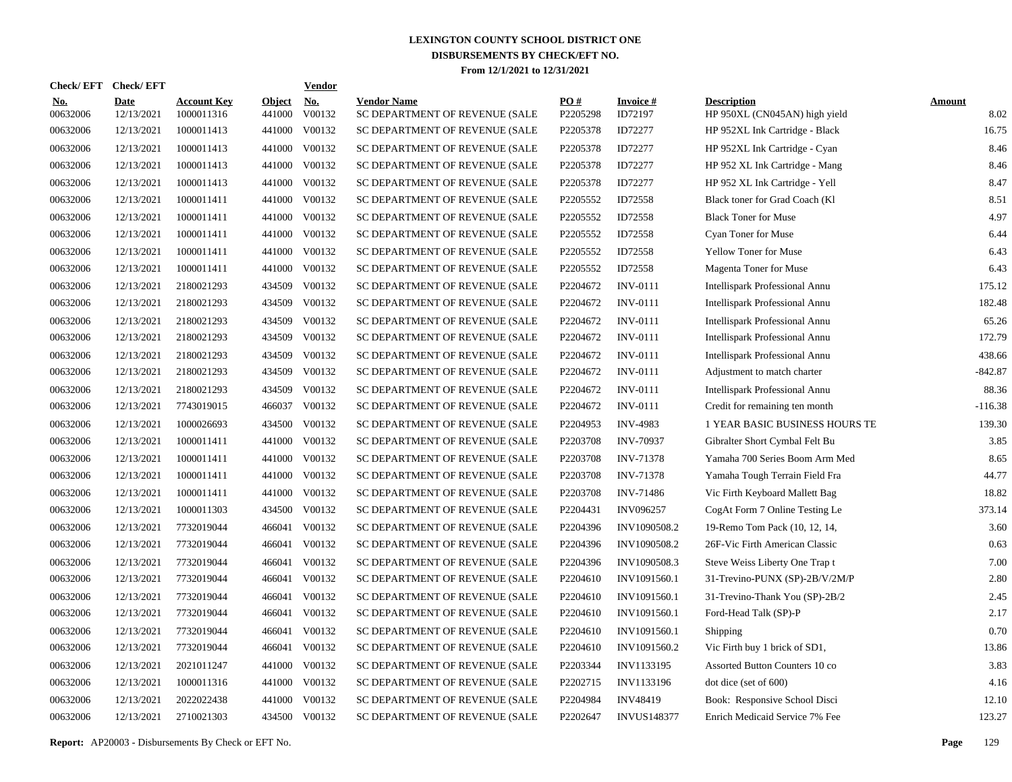| <b>Check/EFT</b>       | <b>Check/EFT</b>          |                                  |                         | <b>Vendor</b>        |                                                      |                 |                            |                                                     |                       |
|------------------------|---------------------------|----------------------------------|-------------------------|----------------------|------------------------------------------------------|-----------------|----------------------------|-----------------------------------------------------|-----------------------|
| <u>No.</u><br>00632006 | <b>Date</b><br>12/13/2021 | <b>Account Key</b><br>1000011316 | <b>Object</b><br>441000 | <u>No.</u><br>V00132 | <b>Vendor Name</b><br>SC DEPARTMENT OF REVENUE (SALE | PO#<br>P2205298 | <b>Invoice#</b><br>ID72197 | <b>Description</b><br>HP 950XL (CN045AN) high yield | <b>Amount</b><br>8.02 |
| 00632006               | 12/13/2021                | 1000011413                       | 441000                  | V00132               | SC DEPARTMENT OF REVENUE (SALE                       | P2205378        | ID72277                    | HP 952XL Ink Cartridge - Black                      | 16.75                 |
| 00632006               | 12/13/2021                | 1000011413                       | 441000                  | V00132               | SC DEPARTMENT OF REVENUE (SALE                       | P2205378        | ID72277                    | HP 952XL Ink Cartridge - Cyan                       | 8.46                  |
| 00632006               | 12/13/2021                | 1000011413                       | 441000                  | V00132               | SC DEPARTMENT OF REVENUE (SALE                       | P2205378        | ID72277                    | HP 952 XL Ink Cartridge - Mang                      | 8.46                  |
| 00632006               | 12/13/2021                | 1000011413                       | 441000                  | V00132               | SC DEPARTMENT OF REVENUE (SALE                       | P2205378        | ID72277                    | HP 952 XL Ink Cartridge - Yell                      | 8.47                  |
| 00632006               | 12/13/2021                | 1000011411                       | 441000                  | V00132               | SC DEPARTMENT OF REVENUE (SALE                       | P2205552        | ID72558                    | Black toner for Grad Coach (Kl                      | 8.51                  |
| 00632006               | 12/13/2021                | 1000011411                       | 441000                  | V00132               | SC DEPARTMENT OF REVENUE (SALE                       | P2205552        | ID72558                    | <b>Black Toner for Muse</b>                         | 4.97                  |
| 00632006               | 12/13/2021                | 1000011411                       | 441000                  | V00132               | SC DEPARTMENT OF REVENUE (SALE                       | P2205552        | ID72558                    | Cyan Toner for Muse                                 | 6.44                  |
| 00632006               | 12/13/2021                | 1000011411                       | 441000                  | V00132               | SC DEPARTMENT OF REVENUE (SALE                       | P2205552        | ID72558                    | Yellow Toner for Muse                               | 6.43                  |
| 00632006               | 12/13/2021                | 1000011411                       | 441000                  | V00132               | SC DEPARTMENT OF REVENUE (SALE                       | P2205552        | ID72558                    | <b>Magenta Toner for Muse</b>                       | 6.43                  |
| 00632006               | 12/13/2021                | 2180021293                       | 434509                  | V00132               | SC DEPARTMENT OF REVENUE (SALE                       | P2204672        | <b>INV-0111</b>            | Intellispark Professional Annu                      | 175.12                |
| 00632006               | 12/13/2021                | 2180021293                       | 434509                  | V00132               | SC DEPARTMENT OF REVENUE (SALE                       | P2204672        | <b>INV-0111</b>            | Intellispark Professional Annu                      | 182.48                |
| 00632006               | 12/13/2021                | 2180021293                       | 434509                  | V00132               | SC DEPARTMENT OF REVENUE (SALE                       | P2204672        | <b>INV-0111</b>            | <b>Intellispark Professional Annu</b>               | 65.26                 |
| 00632006               | 12/13/2021                | 2180021293                       | 434509                  | V00132               | SC DEPARTMENT OF REVENUE (SALE                       | P2204672        | <b>INV-0111</b>            | Intellispark Professional Annu                      | 172.79                |
| 00632006               | 12/13/2021                | 2180021293                       | 434509                  | V00132               | SC DEPARTMENT OF REVENUE (SALE                       | P2204672        | <b>INV-0111</b>            | <b>Intellispark Professional Annu</b>               | 438.66                |
| 00632006               | 12/13/2021                | 2180021293                       | 434509                  | V00132               | SC DEPARTMENT OF REVENUE (SALE                       | P2204672        | <b>INV-0111</b>            | Adjustment to match charter                         | $-842.87$             |
| 00632006               | 12/13/2021                | 2180021293                       | 434509                  | V00132               | SC DEPARTMENT OF REVENUE (SALE                       | P2204672        | <b>INV-0111</b>            | <b>Intellispark Professional Annu</b>               | 88.36                 |
| 00632006               | 12/13/2021                | 7743019015                       | 466037                  | V00132               | SC DEPARTMENT OF REVENUE (SALE                       | P2204672        | <b>INV-0111</b>            | Credit for remaining ten month                      | $-116.38$             |
| 00632006               | 12/13/2021                | 1000026693                       | 434500                  | V00132               | SC DEPARTMENT OF REVENUE (SALE                       | P2204953        | <b>INV-4983</b>            | 1 YEAR BASIC BUSINESS HOURS TE                      | 139.30                |
| 00632006               | 12/13/2021                | 1000011411                       | 441000                  | V00132               | SC DEPARTMENT OF REVENUE (SALE                       | P2203708        | <b>INV-70937</b>           | Gibralter Short Cymbal Felt Bu                      | 3.85                  |
| 00632006               | 12/13/2021                | 1000011411                       | 441000                  | V00132               | SC DEPARTMENT OF REVENUE (SALE                       | P2203708        | <b>INV-71378</b>           | Yamaha 700 Series Boom Arm Med                      | 8.65                  |
| 00632006               | 12/13/2021                | 1000011411                       | 441000                  | V00132               | SC DEPARTMENT OF REVENUE (SALE                       | P2203708        | <b>INV-71378</b>           | Yamaha Tough Terrain Field Fra                      | 44.77                 |
| 00632006               | 12/13/2021                | 1000011411                       | 441000                  | V00132               | SC DEPARTMENT OF REVENUE (SALE                       | P2203708        | <b>INV-71486</b>           | Vic Firth Keyboard Mallett Bag                      | 18.82                 |
| 00632006               | 12/13/2021                | 1000011303                       | 434500                  | V00132               | SC DEPARTMENT OF REVENUE (SALE                       | P2204431        | <b>INV096257</b>           | CogAt Form 7 Online Testing Le                      | 373.14                |
| 00632006               | 12/13/2021                | 7732019044                       | 466041                  | V00132               | SC DEPARTMENT OF REVENUE (SALE                       | P2204396        | INV1090508.2               | 19-Remo Tom Pack (10, 12, 14,                       | 3.60                  |
| 00632006               | 12/13/2021                | 7732019044                       | 466041                  | V00132               | SC DEPARTMENT OF REVENUE (SALE                       | P2204396        | INV1090508.2               | 26F-Vic Firth American Classic                      | 0.63                  |
| 00632006               | 12/13/2021                | 7732019044                       | 466041                  | V00132               | SC DEPARTMENT OF REVENUE (SALE                       | P2204396        | INV1090508.3               | Steve Weiss Liberty One Trap t                      | 7.00                  |
| 00632006               | 12/13/2021                | 7732019044                       | 466041                  | V00132               | SC DEPARTMENT OF REVENUE (SALE                       | P2204610        | INV1091560.1               | 31-Trevino-PUNX (SP)-2B/V/2M/P                      | 2.80                  |
| 00632006               | 12/13/2021                | 7732019044                       | 466041                  | V00132               | SC DEPARTMENT OF REVENUE (SALE                       | P2204610        | INV1091560.1               | 31-Trevino-Thank You (SP)-2B/2                      | 2.45                  |
| 00632006               | 12/13/2021                | 7732019044                       | 466041                  | V00132               | SC DEPARTMENT OF REVENUE (SALE                       | P2204610        | INV1091560.1               | Ford-Head Talk (SP)-P                               | 2.17                  |
| 00632006               | 12/13/2021                | 7732019044                       | 466041                  | V00132               | SC DEPARTMENT OF REVENUE (SALE                       | P2204610        | INV1091560.1               | Shipping                                            | 0.70                  |
| 00632006               | 12/13/2021                | 7732019044                       | 466041                  | V00132               | SC DEPARTMENT OF REVENUE (SALE                       | P2204610        | INV1091560.2               | Vic Firth buy 1 brick of SD1,                       | 13.86                 |
| 00632006               | 12/13/2021                | 2021011247                       | 441000                  | V00132               | SC DEPARTMENT OF REVENUE (SALE                       | P2203344        | INV1133195                 | Assorted Button Counters 10 co                      | 3.83                  |
| 00632006               | 12/13/2021                | 1000011316                       | 441000                  | V00132               | SC DEPARTMENT OF REVENUE (SALE                       | P2202715        | INV1133196                 | dot dice (set of 600)                               | 4.16                  |
| 00632006               | 12/13/2021                | 2022022438                       | 441000                  | V00132               | SC DEPARTMENT OF REVENUE (SALE                       | P2204984        | <b>INV48419</b>            | Book: Responsive School Disci                       | 12.10                 |
| 00632006               | 12/13/2021                | 2710021303                       | 434500                  | V00132               | SC DEPARTMENT OF REVENUE (SALE                       | P2202647        | <b>INVUS148377</b>         | Enrich Medicaid Service 7% Fee                      | 123.27                |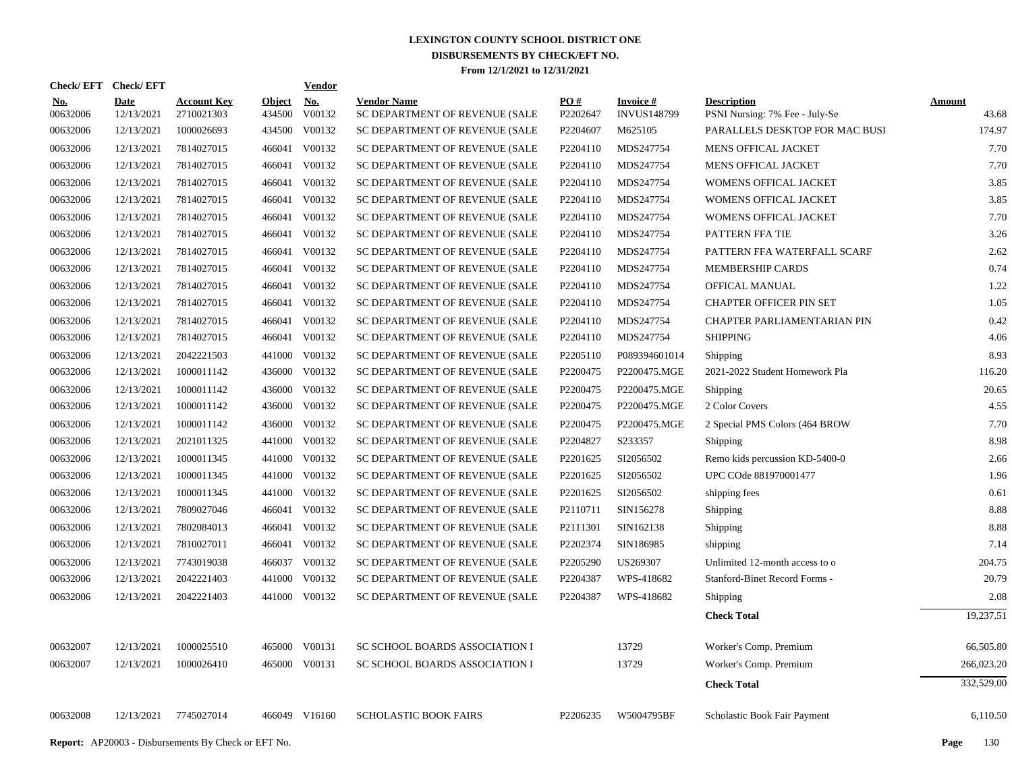| Check/EFT Check/EFT    |                           |                                                            |                         | <b>Vendor</b>                         |                                                      |                      |                                       |                                                      |                        |
|------------------------|---------------------------|------------------------------------------------------------|-------------------------|---------------------------------------|------------------------------------------------------|----------------------|---------------------------------------|------------------------------------------------------|------------------------|
| <u>No.</u><br>00632006 | <b>Date</b><br>12/13/2021 | <b>Account Key</b><br>2710021303                           | <b>Object</b><br>434500 | $\underline{\mathrm{No}}$ .<br>V00132 | <b>Vendor Name</b><br>SC DEPARTMENT OF REVENUE (SALE | PO#<br>P2202647      | <b>Invoice#</b><br><b>INVUS148799</b> | <b>Description</b><br>PSNI Nursing: 7% Fee - July-Se | <b>Amount</b><br>43.68 |
| 00632006               | 12/13/2021                | 1000026693                                                 |                         | 434500 V00132                         | SC DEPARTMENT OF REVENUE (SALE                       | P2204607             | M625105                               | PARALLELS DESKTOP FOR MAC BUSI                       | 174.97                 |
| 00632006               | 12/13/2021                | 7814027015                                                 |                         | 466041 V00132                         | SC DEPARTMENT OF REVENUE (SALE                       | P2204110             | MDS247754                             | <b>MENS OFFICAL JACKET</b>                           | 7.70                   |
| 00632006               | 12/13/2021                | 7814027015                                                 |                         | 466041 V00132                         | SC DEPARTMENT OF REVENUE (SALE                       | P2204110             | MDS247754                             | MENS OFFICAL JACKET                                  | 7.70                   |
| 00632006               | 12/13/2021                | 7814027015                                                 |                         | 466041 V00132                         | SC DEPARTMENT OF REVENUE (SALE                       | P2204110             | MDS247754                             | WOMENS OFFICAL JACKET                                | 3.85                   |
| 00632006               | 12/13/2021                | 7814027015                                                 |                         | 466041 V00132                         | SC DEPARTMENT OF REVENUE (SALE                       | P2204110             | MDS247754                             | WOMENS OFFICAL JACKET                                | 3.85                   |
| 00632006               | 12/13/2021                | 7814027015                                                 |                         | 466041 V00132                         | SC DEPARTMENT OF REVENUE (SALE                       | P2204110             | MDS247754                             | WOMENS OFFICAL JACKET                                | 7.70                   |
| 00632006               | 12/13/2021                | 7814027015                                                 |                         | 466041 V00132                         | SC DEPARTMENT OF REVENUE (SALE                       | P2204110             | MDS247754                             | PATTERN FFA TIE                                      | 3.26                   |
| 00632006               | 12/13/2021                | 7814027015                                                 |                         | 466041 V00132                         | SC DEPARTMENT OF REVENUE (SALE                       | P2204110             | MDS247754                             | PATTERN FFA WATERFALL SCARF                          | 2.62                   |
| 00632006               | 12/13/2021                | 7814027015                                                 |                         | 466041 V00132                         | SC DEPARTMENT OF REVENUE (SALE                       | P2204110             | MDS247754                             | <b>MEMBERSHIP CARDS</b>                              | 0.74                   |
| 00632006               | 12/13/2021                | 7814027015                                                 |                         | 466041 V00132                         | SC DEPARTMENT OF REVENUE (SALE                       | P2204110             | MDS247754                             | OFFICAL MANUAL                                       | 1.22                   |
| 00632006               | 12/13/2021                | 7814027015                                                 |                         | 466041 V00132                         | SC DEPARTMENT OF REVENUE (SALE                       | P2204110             | MDS247754                             | <b>CHAPTER OFFICER PIN SET</b>                       | 1.05                   |
| 00632006               | 12/13/2021                | 7814027015                                                 |                         | 466041 V00132                         | SC DEPARTMENT OF REVENUE (SALE                       | P2204110             | MDS247754                             | CHAPTER PARLIAMENTARIAN PIN                          | 0.42                   |
| 00632006               | 12/13/2021                | 7814027015                                                 |                         | 466041 V00132                         | SC DEPARTMENT OF REVENUE (SALE                       | P2204110             | MDS247754                             | <b>SHIPPING</b>                                      | 4.06                   |
| 00632006               | 12/13/2021                | 2042221503                                                 |                         | 441000 V00132                         | SC DEPARTMENT OF REVENUE (SALE                       | P2205110             | P089394601014                         | Shipping                                             | 8.93                   |
| 00632006               | 12/13/2021                | 1000011142                                                 |                         | 436000 V00132                         | SC DEPARTMENT OF REVENUE (SALE                       | P2200475             | P2200475.MGE                          | 2021-2022 Student Homework Pla                       | 116.20                 |
| 00632006               | 12/13/2021                | 1000011142                                                 |                         | 436000 V00132                         | SC DEPARTMENT OF REVENUE (SALE                       | P2200475             | P2200475.MGE                          | Shipping                                             | 20.65                  |
| 00632006               | 12/13/2021                | 1000011142                                                 | 436000                  | V00132                                | SC DEPARTMENT OF REVENUE (SALE                       | P2200475             | P2200475.MGE                          | 2 Color Covers                                       | 4.55                   |
| 00632006               | 12/13/2021                | 1000011142                                                 | 436000                  | V00132                                | SC DEPARTMENT OF REVENUE (SALE                       | P2200475             | P2200475.MGE                          | 2 Special PMS Colors (464 BROW                       | 7.70                   |
| 00632006               | 12/13/2021                | 2021011325                                                 |                         | 441000 V00132                         | SC DEPARTMENT OF REVENUE (SALE                       | P2204827             | S233357                               | Shipping                                             | 8.98                   |
| 00632006               | 12/13/2021                | 1000011345                                                 |                         | 441000 V00132                         | SC DEPARTMENT OF REVENUE (SALE                       | P2201625             | SI2056502                             | Remo kids percussion KD-5400-0                       | 2.66                   |
| 00632006               | 12/13/2021                | 1000011345                                                 |                         | 441000 V00132                         | SC DEPARTMENT OF REVENUE (SALE                       | P2201625             | SI2056502                             | UPC COde 881970001477                                | 1.96                   |
| 00632006               | 12/13/2021                | 1000011345                                                 |                         | 441000 V00132                         | SC DEPARTMENT OF REVENUE (SALE                       | P2201625             | SI2056502                             | shipping fees                                        | 0.61                   |
| 00632006               | 12/13/2021                | 7809027046                                                 |                         | 466041 V00132                         | SC DEPARTMENT OF REVENUE (SALE                       | P2110711             | SIN156278                             | Shipping                                             | 8.88                   |
| 00632006               | 12/13/2021                | 7802084013                                                 |                         | 466041 V00132                         | SC DEPARTMENT OF REVENUE (SALE                       | P2111301             | SIN162138                             | Shipping                                             | 8.88                   |
| 00632006               | 12/13/2021                | 7810027011                                                 |                         | 466041 V00132                         | SC DEPARTMENT OF REVENUE (SALE                       | P2202374             | SIN186985                             | shipping                                             | 7.14                   |
| 00632006               | 12/13/2021                | 7743019038                                                 |                         | 466037 V00132                         | SC DEPARTMENT OF REVENUE (SALE                       | P2205290             | US269307                              | Unlimited 12-month access to o                       | 204.75                 |
| 00632006               | 12/13/2021                | 2042221403                                                 |                         | 441000 V00132                         | SC DEPARTMENT OF REVENUE (SALE                       | P2204387             | WPS-418682                            | Stanford-Binet Record Forms -                        | 20.79                  |
| 00632006               | 12/13/2021                | 2042221403                                                 |                         | 441000 V00132                         | SC DEPARTMENT OF REVENUE (SALE                       | P2204387             | WPS-418682                            | Shipping                                             | 2.08                   |
|                        |                           |                                                            |                         |                                       |                                                      |                      |                                       | <b>Check Total</b>                                   | 19,237.51              |
| 00632007               | 12/13/2021                | 1000025510                                                 |                         | 465000 V00131                         | SC SCHOOL BOARDS ASSOCIATION I                       |                      | 13729                                 | Worker's Comp. Premium                               | 66,505.80              |
| 00632007               | 12/13/2021                | 1000026410                                                 |                         | 465000 V00131                         | SC SCHOOL BOARDS ASSOCIATION I                       |                      | 13729                                 | Worker's Comp. Premium                               | 266,023.20             |
|                        |                           |                                                            |                         |                                       |                                                      |                      |                                       | <b>Check Total</b>                                   | 332,529.00             |
| 00632008               | 12/13/2021                | 7745027014                                                 |                         | 466049 V16160                         | <b>SCHOLASTIC BOOK FAIRS</b>                         | P <sub>2206235</sub> | W5004795BF                            | Scholastic Book Fair Payment                         | 6,110.50               |
|                        |                           | <b>Report:</b> AP20003 - Disbursements By Check or EFT No. |                         |                                       |                                                      |                      |                                       |                                                      | 130<br>Page            |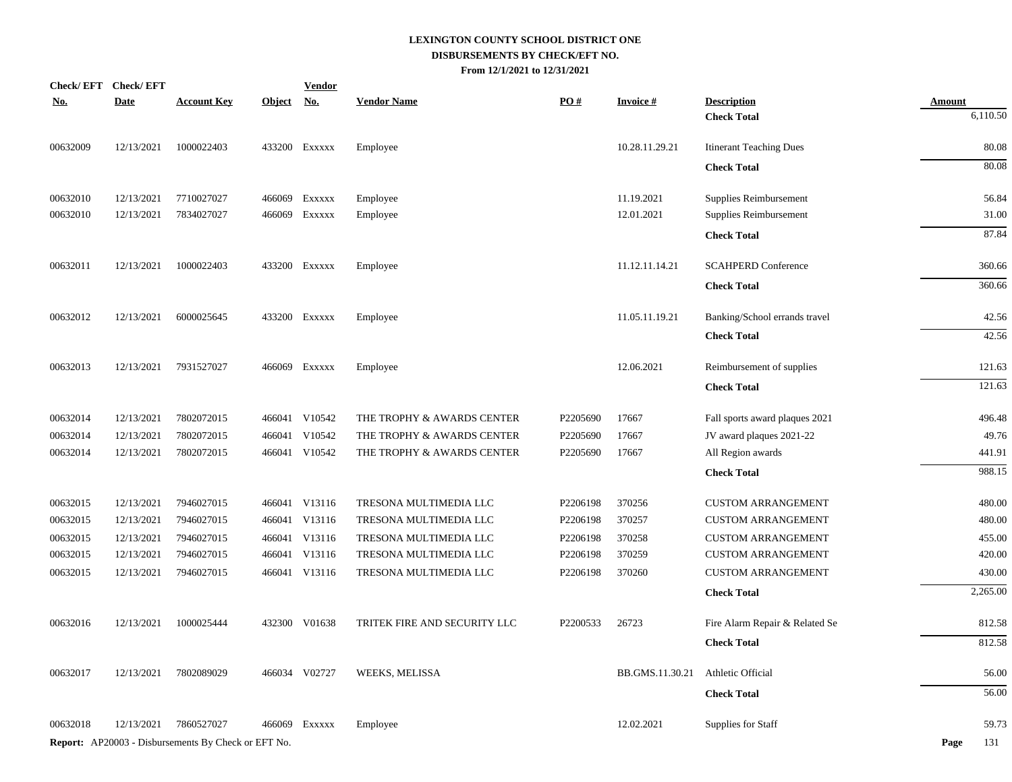|            | Check/EFT Check/EFT |                                                            |               | <b>Vendor</b> |                              |          |                 |                                |               |
|------------|---------------------|------------------------------------------------------------|---------------|---------------|------------------------------|----------|-----------------|--------------------------------|---------------|
| <u>No.</u> | <b>Date</b>         | <b>Account Key</b>                                         | <b>Object</b> | <u>No.</u>    | <b>Vendor Name</b>           | PO#      | <b>Invoice#</b> | <b>Description</b>             | <b>Amount</b> |
|            |                     |                                                            |               |               |                              |          |                 | <b>Check Total</b>             | 6,110.50      |
| 00632009   | 12/13/2021          | 1000022403                                                 |               | 433200 Exxxxx | Employee                     |          | 10.28.11.29.21  | <b>Itinerant Teaching Dues</b> | 80.08         |
|            |                     |                                                            |               |               |                              |          |                 | <b>Check Total</b>             | 80.08         |
| 00632010   | 12/13/2021          | 7710027027                                                 |               | 466069 Exxxxx | Employee                     |          | 11.19.2021      | Supplies Reimbursement         | 56.84         |
| 00632010   | 12/13/2021          | 7834027027                                                 |               | 466069 Exxxxx | Employee                     |          | 12.01.2021      | Supplies Reimbursement         | 31.00         |
|            |                     |                                                            |               |               |                              |          |                 | <b>Check Total</b>             | 87.84         |
| 00632011   | 12/13/2021          | 1000022403                                                 |               | 433200 EXXXXX | Employee                     |          | 11.12.11.14.21  | <b>SCAHPERD Conference</b>     | 360.66        |
|            |                     |                                                            |               |               |                              |          |                 | <b>Check Total</b>             | 360.66        |
| 00632012   | 12/13/2021          | 6000025645                                                 |               | 433200 EXXXXX | Employee                     |          | 11.05.11.19.21  | Banking/School errands travel  | 42.56         |
|            |                     |                                                            |               |               |                              |          |                 | <b>Check Total</b>             | 42.56         |
| 00632013   | 12/13/2021          | 7931527027                                                 |               | 466069 Exxxxx | Employee                     |          | 12.06.2021      | Reimbursement of supplies      | 121.63        |
|            |                     |                                                            |               |               |                              |          |                 | <b>Check Total</b>             | 121.63        |
| 00632014   | 12/13/2021          | 7802072015                                                 |               | 466041 V10542 | THE TROPHY & AWARDS CENTER   | P2205690 | 17667           | Fall sports award plaques 2021 | 496.48        |
| 00632014   | 12/13/2021          | 7802072015                                                 |               | 466041 V10542 | THE TROPHY & AWARDS CENTER   | P2205690 | 17667           | JV award plaques 2021-22       | 49.76         |
| 00632014   | 12/13/2021          | 7802072015                                                 |               | 466041 V10542 | THE TROPHY & AWARDS CENTER   | P2205690 | 17667           | All Region awards              | 441.91        |
|            |                     |                                                            |               |               |                              |          |                 | <b>Check Total</b>             | 988.15        |
| 00632015   | 12/13/2021          | 7946027015                                                 |               | 466041 V13116 | TRESONA MULTIMEDIA LLC       | P2206198 | 370256          | <b>CUSTOM ARRANGEMENT</b>      | 480.00        |
| 00632015   | 12/13/2021          | 7946027015                                                 |               | 466041 V13116 | TRESONA MULTIMEDIA LLC       | P2206198 | 370257          | <b>CUSTOM ARRANGEMENT</b>      | 480.00        |
| 00632015   | 12/13/2021          | 7946027015                                                 |               | 466041 V13116 | TRESONA MULTIMEDIA LLC       | P2206198 | 370258          | <b>CUSTOM ARRANGEMENT</b>      | 455.00        |
| 00632015   | 12/13/2021          | 7946027015                                                 |               | 466041 V13116 | TRESONA MULTIMEDIA LLC       | P2206198 | 370259          | <b>CUSTOM ARRANGEMENT</b>      | 420.00        |
| 00632015   | 12/13/2021          | 7946027015                                                 |               | 466041 V13116 | TRESONA MULTIMEDIA LLC       | P2206198 | 370260          | <b>CUSTOM ARRANGEMENT</b>      | 430.00        |
|            |                     |                                                            |               |               |                              |          |                 | <b>Check Total</b>             | 2,265.00      |
| 00632016   | 12/13/2021          | 1000025444                                                 |               | 432300 V01638 | TRITEK FIRE AND SECURITY LLC | P2200533 | 26723           | Fire Alarm Repair & Related Se | 812.58        |
|            |                     |                                                            |               |               |                              |          |                 | <b>Check Total</b>             | 812.58        |
| 00632017   | 12/13/2021          | 7802089029                                                 |               | 466034 V02727 | WEEKS, MELISSA               |          | BB.GMS.11.30.21 | Athletic Official              | 56.00         |
|            |                     |                                                            |               |               |                              |          |                 | <b>Check Total</b>             | 56.00         |
| 00632018   | 12/13/2021          | 7860527027                                                 |               | 466069 Exxxxx | Employee                     |          | 12.02.2021      | Supplies for Staff             | 59.73         |
|            |                     | <b>Report:</b> AP20003 - Disbursements By Check or EFT No. |               |               |                              |          |                 |                                | 131<br>Page   |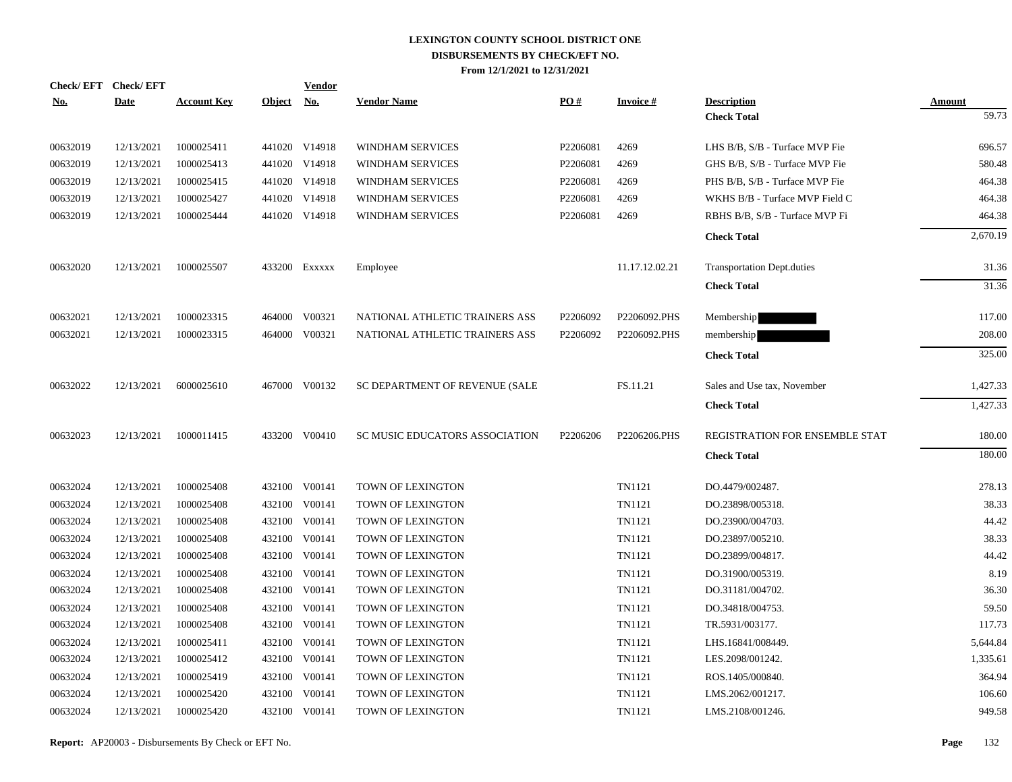| <b>No.</b> | Check/EFT Check/EFT<br><b>Date</b> | <b>Account Key</b> | <b>Object</b> | <b>Vendor</b><br><u>No.</u> | <b>Vendor Name</b>                    | PO#                  | <b>Invoice#</b> | <b>Description</b>                | Amount   |
|------------|------------------------------------|--------------------|---------------|-----------------------------|---------------------------------------|----------------------|-----------------|-----------------------------------|----------|
|            |                                    |                    |               |                             |                                       |                      |                 | <b>Check Total</b>                | 59.73    |
| 00632019   | 12/13/2021                         | 1000025411         |               | 441020 V14918               | WINDHAM SERVICES                      | P2206081             | 4269            | LHS B/B, S/B - Turface MVP Fie    | 696.57   |
| 00632019   | 12/13/2021                         | 1000025413         |               | 441020 V14918               | WINDHAM SERVICES                      | P2206081             | 4269            | GHS B/B, S/B - Turface MVP Fie    | 580.48   |
| 00632019   | 12/13/2021                         | 1000025415         |               | 441020 V14918               | <b>WINDHAM SERVICES</b>               | P2206081             | 4269            | PHS B/B, S/B - Turface MVP Fie    | 464.38   |
| 00632019   | 12/13/2021                         | 1000025427         |               | 441020 V14918               | WINDHAM SERVICES                      | P2206081             | 4269            | WKHS B/B - Turface MVP Field C    | 464.38   |
| 00632019   | 12/13/2021                         | 1000025444         |               | 441020 V14918               | <b>WINDHAM SERVICES</b>               | P2206081             | 4269            | RBHS B/B, S/B - Turface MVP Fi    | 464.38   |
|            |                                    |                    |               |                             |                                       |                      |                 | <b>Check Total</b>                | 2,670.19 |
| 00632020   | 12/13/2021                         | 1000025507         |               | 433200 EXXXXX               | Employee                              |                      | 11.17.12.02.21  | <b>Transportation Dept.duties</b> | 31.36    |
|            |                                    |                    |               |                             |                                       |                      |                 | <b>Check Total</b>                | 31.36    |
| 00632021   | 12/13/2021                         | 1000023315         |               | 464000 V00321               | NATIONAL ATHLETIC TRAINERS ASS        | P2206092             | P2206092.PHS    | Membership                        | 117.00   |
| 00632021   | 12/13/2021                         | 1000023315         |               | 464000 V00321               | NATIONAL ATHLETIC TRAINERS ASS        | P2206092             | P2206092.PHS    | membership                        | 208.00   |
|            |                                    |                    |               |                             |                                       |                      |                 | <b>Check Total</b>                | 325.00   |
| 00632022   | 12/13/2021                         | 6000025610         |               | 467000 V00132               | SC DEPARTMENT OF REVENUE (SALE        |                      | FS.11.21        | Sales and Use tax, November       | 1,427.33 |
|            |                                    |                    |               |                             |                                       |                      |                 | <b>Check Total</b>                | 1,427.33 |
| 00632023   | 12/13/2021                         | 1000011415         |               | 433200 V00410               | <b>SC MUSIC EDUCATORS ASSOCIATION</b> | P <sub>2206206</sub> | P2206206.PHS    | REGISTRATION FOR ENSEMBLE STAT    | 180.00   |
|            |                                    |                    |               |                             |                                       |                      |                 | <b>Check Total</b>                | 180.00   |
| 00632024   | 12/13/2021                         | 1000025408         |               | 432100 V00141               | TOWN OF LEXINGTON                     |                      | TN1121          | DO.4479/002487.                   | 278.13   |
| 00632024   | 12/13/2021                         | 1000025408         |               | 432100 V00141               | TOWN OF LEXINGTON                     |                      | TN1121          | DO.23898/005318.                  | 38.33    |
| 00632024   | 12/13/2021                         | 1000025408         |               | 432100 V00141               | TOWN OF LEXINGTON                     |                      | TN1121          | DO.23900/004703.                  | 44.42    |
| 00632024   | 12/13/2021                         | 1000025408         | 432100        | V00141                      | TOWN OF LEXINGTON                     |                      | TN1121          | DO.23897/005210.                  | 38.33    |
| 00632024   | 12/13/2021                         | 1000025408         |               | 432100 V00141               | TOWN OF LEXINGTON                     |                      | TN1121          | DO.23899/004817.                  | 44.42    |
| 00632024   | 12/13/2021                         | 1000025408         |               | 432100 V00141               | TOWN OF LEXINGTON                     |                      | TN1121          | DO.31900/005319.                  | 8.19     |
| 00632024   | 12/13/2021                         | 1000025408         |               | 432100 V00141               | TOWN OF LEXINGTON                     |                      | TN1121          | DO.31181/004702.                  | 36.30    |
| 00632024   | 12/13/2021                         | 1000025408         |               | 432100 V00141               | TOWN OF LEXINGTON                     |                      | TN1121          | DO.34818/004753.                  | 59.50    |
| 00632024   | 12/13/2021                         | 1000025408         |               | 432100 V00141               | TOWN OF LEXINGTON                     |                      | TN1121          | TR.5931/003177.                   | 117.73   |
| 00632024   | 12/13/2021                         | 1000025411         | 432100        | V00141                      | TOWN OF LEXINGTON                     |                      | TN1121          | LHS.16841/008449.                 | 5,644.84 |
| 00632024   | 12/13/2021                         | 1000025412         |               | 432100 V00141               | TOWN OF LEXINGTON                     |                      | TN1121          | LES.2098/001242.                  | 1,335.61 |
| 00632024   | 12/13/2021                         | 1000025419         | 432100        | V00141                      | TOWN OF LEXINGTON                     |                      | TN1121          | ROS.1405/000840.                  | 364.94   |
| 00632024   | 12/13/2021                         | 1000025420         |               | 432100 V00141               | TOWN OF LEXINGTON                     |                      | TN1121          | LMS.2062/001217.                  | 106.60   |
| 00632024   | 12/13/2021                         | 1000025420         |               | 432100 V00141               | TOWN OF LEXINGTON                     |                      | TN1121          | LMS.2108/001246.                  | 949.58   |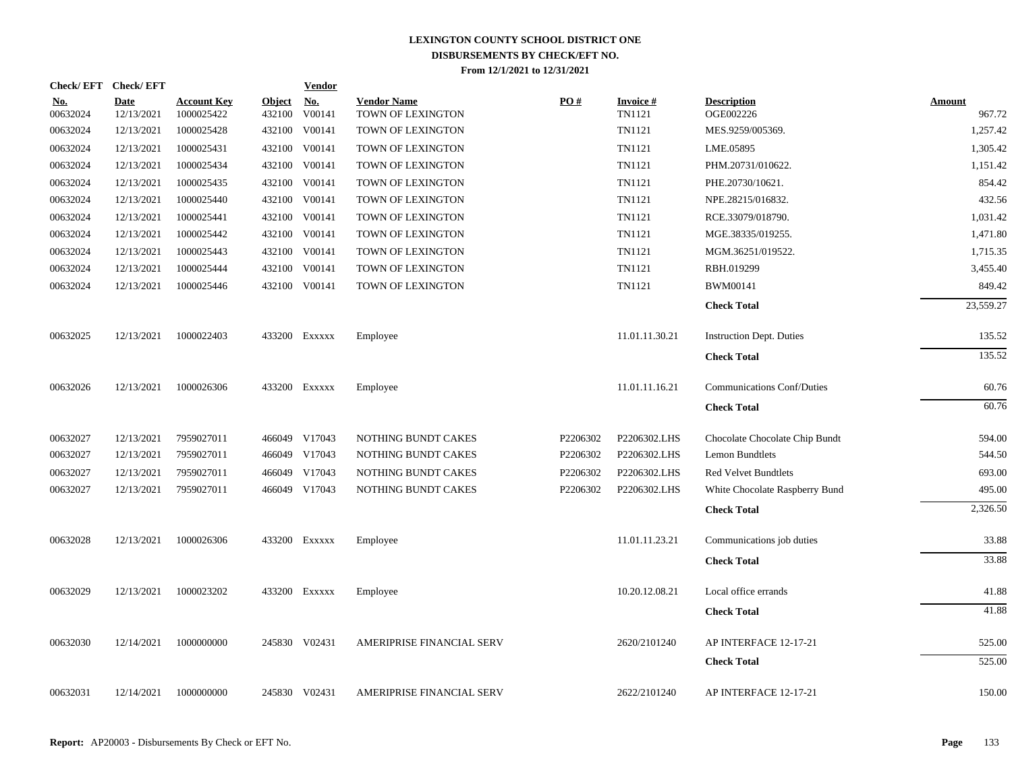|            | <b>Check/EFT</b> | <b>Check/EFT</b>          |                                  |                         | <b>Vendor</b>        |                                         |          |                           |                                   |                         |
|------------|------------------|---------------------------|----------------------------------|-------------------------|----------------------|-----------------------------------------|----------|---------------------------|-----------------------------------|-------------------------|
| <u>No.</u> | 00632024         | <b>Date</b><br>12/13/2021 | <b>Account Key</b><br>1000025422 | <u>Object</u><br>432100 | <u>No.</u><br>V00141 | <b>Vendor Name</b><br>TOWN OF LEXINGTON | PO#      | <b>Invoice#</b><br>TN1121 | <b>Description</b><br>OGE002226   | <u>Amount</u><br>967.72 |
|            | 00632024         | 12/13/2021                | 1000025428                       | 432100                  | V00141               | TOWN OF LEXINGTON                       |          | TN1121                    | MES.9259/005369.                  | 1,257.42                |
|            | 00632024         | 12/13/2021                | 1000025431                       | 432100                  | V00141               | TOWN OF LEXINGTON                       |          | TN1121                    | LME.05895                         | 1,305.42                |
|            | 00632024         | 12/13/2021                | 1000025434                       | 432100                  | V00141               | TOWN OF LEXINGTON                       |          | TN1121                    | PHM.20731/010622.                 | 1,151.42                |
|            | 00632024         | 12/13/2021                | 1000025435                       | 432100                  | V00141               | TOWN OF LEXINGTON                       |          | TN1121                    | PHE.20730/10621.                  | 854.42                  |
|            | 00632024         | 12/13/2021                | 1000025440                       |                         | 432100 V00141        | TOWN OF LEXINGTON                       |          | TN1121                    | NPE.28215/016832.                 | 432.56                  |
|            | 00632024         | 12/13/2021                | 1000025441                       |                         | 432100 V00141        | TOWN OF LEXINGTON                       |          | TN1121                    | RCE.33079/018790.                 | 1,031.42                |
|            | 00632024         | 12/13/2021                | 1000025442                       |                         | 432100 V00141        | TOWN OF LEXINGTON                       |          | TN1121                    | MGE.38335/019255.                 | 1,471.80                |
|            | 00632024         | 12/13/2021                | 1000025443                       |                         | 432100 V00141        | TOWN OF LEXINGTON                       |          | TN1121                    | MGM.36251/019522.                 | 1,715.35                |
|            | 00632024         | 12/13/2021                | 1000025444                       | 432100                  | V00141               | TOWN OF LEXINGTON                       |          | TN1121                    | RBH.019299                        | 3,455.40                |
|            | 00632024         | 12/13/2021                | 1000025446                       | 432100                  | V00141               | TOWN OF LEXINGTON                       |          | TN1121                    | BWM00141                          | 849.42                  |
|            |                  |                           |                                  |                         |                      |                                         |          |                           | <b>Check Total</b>                | 23,559.27               |
|            | 00632025         | 12/13/2021                | 1000022403                       |                         | 433200 Exxxxx        | Employee                                |          | 11.01.11.30.21            | <b>Instruction Dept. Duties</b>   | 135.52                  |
|            |                  |                           |                                  |                         |                      |                                         |          |                           | <b>Check Total</b>                | 135.52                  |
|            | 00632026         | 12/13/2021                | 1000026306                       |                         | 433200 Exxxxx        | Employee                                |          | 11.01.11.16.21            | <b>Communications Conf/Duties</b> | 60.76                   |
|            |                  |                           |                                  |                         |                      |                                         |          |                           | <b>Check Total</b>                | 60.76                   |
|            | 00632027         | 12/13/2021                | 7959027011                       |                         | 466049 V17043        | NOTHING BUNDT CAKES                     | P2206302 | P2206302.LHS              | Chocolate Chocolate Chip Bundt    | 594.00                  |
|            | 00632027         | 12/13/2021                | 7959027011                       |                         | 466049 V17043        | NOTHING BUNDT CAKES                     | P2206302 | P2206302.LHS              | <b>Lemon Bundtlets</b>            | 544.50                  |
|            | 00632027         | 12/13/2021                | 7959027011                       |                         | 466049 V17043        | NOTHING BUNDT CAKES                     | P2206302 | P2206302.LHS              | <b>Red Velvet Bundtlets</b>       | 693.00                  |
|            | 00632027         | 12/13/2021                | 7959027011                       |                         | 466049 V17043        | NOTHING BUNDT CAKES                     | P2206302 | P2206302.LHS              | White Chocolate Raspberry Bund    | 495.00                  |
|            |                  |                           |                                  |                         |                      |                                         |          |                           | <b>Check Total</b>                | 2,326.50                |
|            | 00632028         | 12/13/2021                | 1000026306                       |                         | 433200 Exxxxx        | Employee                                |          | 11.01.11.23.21            | Communications job duties         | 33.88                   |
|            |                  |                           |                                  |                         |                      |                                         |          |                           | <b>Check Total</b>                | 33.88                   |
|            | 00632029         | 12/13/2021                | 1000023202                       |                         | 433200 Exxxxx        | Employee                                |          | 10.20.12.08.21            | Local office errands              | 41.88                   |
|            |                  |                           |                                  |                         |                      |                                         |          |                           | <b>Check Total</b>                | 41.88                   |
|            | 00632030         | 12/14/2021                | 1000000000                       |                         | 245830 V02431        | AMERIPRISE FINANCIAL SERV               |          | 2620/2101240              | AP INTERFACE 12-17-21             | 525.00                  |
|            |                  |                           |                                  |                         |                      |                                         |          |                           | <b>Check Total</b>                | 525.00                  |
|            | 00632031         | 12/14/2021                | 1000000000                       |                         | 245830 V02431        | <b>AMERIPRISE FINANCIAL SERV</b>        |          | 2622/2101240              | AP INTERFACE 12-17-21             | 150.00                  |
|            |                  |                           |                                  |                         |                      |                                         |          |                           |                                   |                         |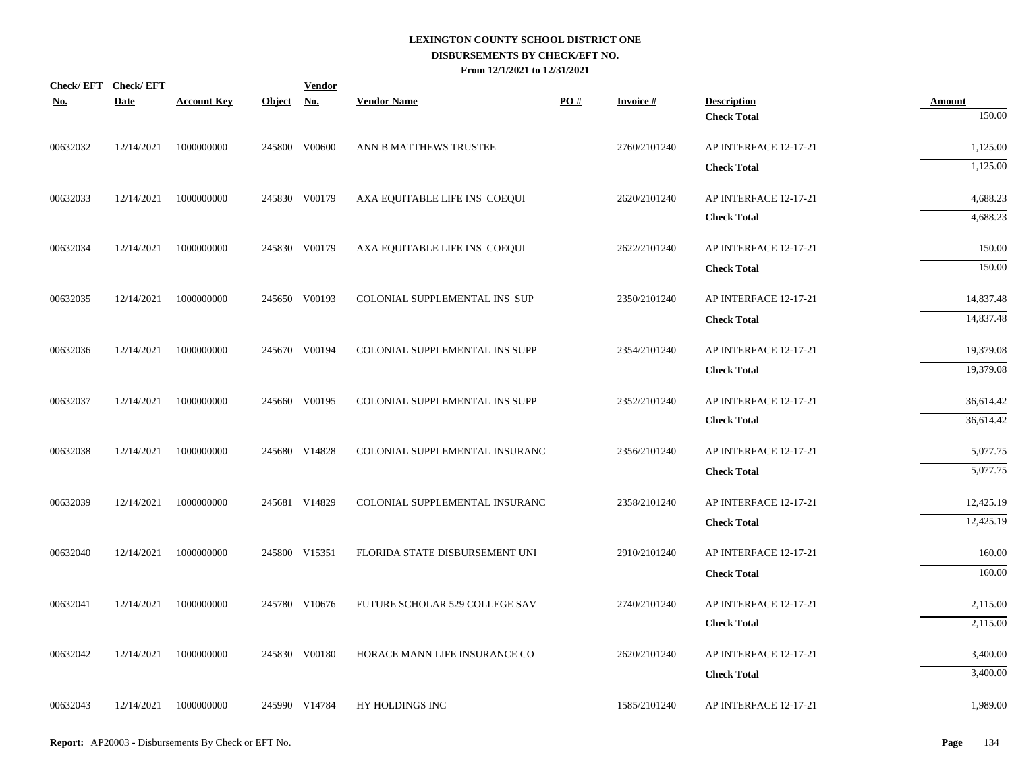| Check/EFT Check/EFT<br><b>No.</b> | <b>Date</b> | <b>Account Key</b>    | Object No. | <b>Vendor</b> | <b>Vendor Name</b>             | PO# | <b>Invoice#</b> | <b>Description</b>    | <b>Amount</b> |
|-----------------------------------|-------------|-----------------------|------------|---------------|--------------------------------|-----|-----------------|-----------------------|---------------|
|                                   |             |                       |            |               |                                |     |                 | <b>Check Total</b>    | 150.00        |
| 00632032                          | 12/14/2021  | 1000000000            |            | 245800 V00600 | ANN B MATTHEWS TRUSTEE         |     | 2760/2101240    | AP INTERFACE 12-17-21 | 1,125.00      |
|                                   |             |                       |            |               |                                |     |                 | <b>Check Total</b>    | 1,125.00      |
| 00632033                          | 12/14/2021  | 1000000000            |            | 245830 V00179 | AXA EQUITABLE LIFE INS COEQUI  |     | 2620/2101240    | AP INTERFACE 12-17-21 | 4,688.23      |
|                                   |             |                       |            |               |                                |     |                 | <b>Check Total</b>    | 4,688.23      |
| 00632034                          | 12/14/2021  | 1000000000            |            | 245830 V00179 | AXA EQUITABLE LIFE INS COEQUI  |     | 2622/2101240    | AP INTERFACE 12-17-21 | 150.00        |
|                                   |             |                       |            |               |                                |     |                 | <b>Check Total</b>    | 150.00        |
| 00632035                          | 12/14/2021  | 1000000000            |            | 245650 V00193 | COLONIAL SUPPLEMENTAL INS SUP  |     | 2350/2101240    | AP INTERFACE 12-17-21 | 14,837.48     |
|                                   |             |                       |            |               |                                |     |                 | <b>Check Total</b>    | 14,837.48     |
| 00632036                          | 12/14/2021  | 1000000000            |            | 245670 V00194 | COLONIAL SUPPLEMENTAL INS SUPP |     | 2354/2101240    | AP INTERFACE 12-17-21 | 19,379.08     |
|                                   |             |                       |            |               |                                |     |                 | <b>Check Total</b>    | 19,379.08     |
| 00632037                          | 12/14/2021  | 1000000000            |            | 245660 V00195 | COLONIAL SUPPLEMENTAL INS SUPP |     | 2352/2101240    | AP INTERFACE 12-17-21 | 36,614.42     |
|                                   |             |                       |            |               |                                |     |                 | <b>Check Total</b>    | 36,614.42     |
| 00632038                          | 12/14/2021  | 1000000000            |            | 245680 V14828 | COLONIAL SUPPLEMENTAL INSURANC |     | 2356/2101240    | AP INTERFACE 12-17-21 | 5,077.75      |
|                                   |             |                       |            |               |                                |     |                 | <b>Check Total</b>    | 5,077.75      |
| 00632039                          | 12/14/2021  | 1000000000            |            | 245681 V14829 | COLONIAL SUPPLEMENTAL INSURANC |     | 2358/2101240    | AP INTERFACE 12-17-21 | 12,425.19     |
|                                   |             |                       |            |               |                                |     |                 | <b>Check Total</b>    | 12,425.19     |
| 00632040                          | 12/14/2021  | 1000000000            |            | 245800 V15351 | FLORIDA STATE DISBURSEMENT UNI |     | 2910/2101240    | AP INTERFACE 12-17-21 | 160.00        |
|                                   |             |                       |            |               |                                |     |                 | <b>Check Total</b>    | 160.00        |
| 00632041                          | 12/14/2021  | 1000000000            |            | 245780 V10676 | FUTURE SCHOLAR 529 COLLEGE SAV |     | 2740/2101240    | AP INTERFACE 12-17-21 | 2,115.00      |
|                                   |             |                       |            |               |                                |     |                 | <b>Check Total</b>    | 2,115.00      |
| 00632042                          | 12/14/2021  | 1000000000            |            | 245830 V00180 | HORACE MANN LIFE INSURANCE CO  |     | 2620/2101240    | AP INTERFACE 12-17-21 | 3,400.00      |
|                                   |             |                       |            |               |                                |     |                 | <b>Check Total</b>    | 3,400.00      |
| 00632043                          |             | 12/14/2021 1000000000 |            | 245990 V14784 | HY HOLDINGS INC                |     | 1585/2101240    | AP INTERFACE 12-17-21 | 1,989.00      |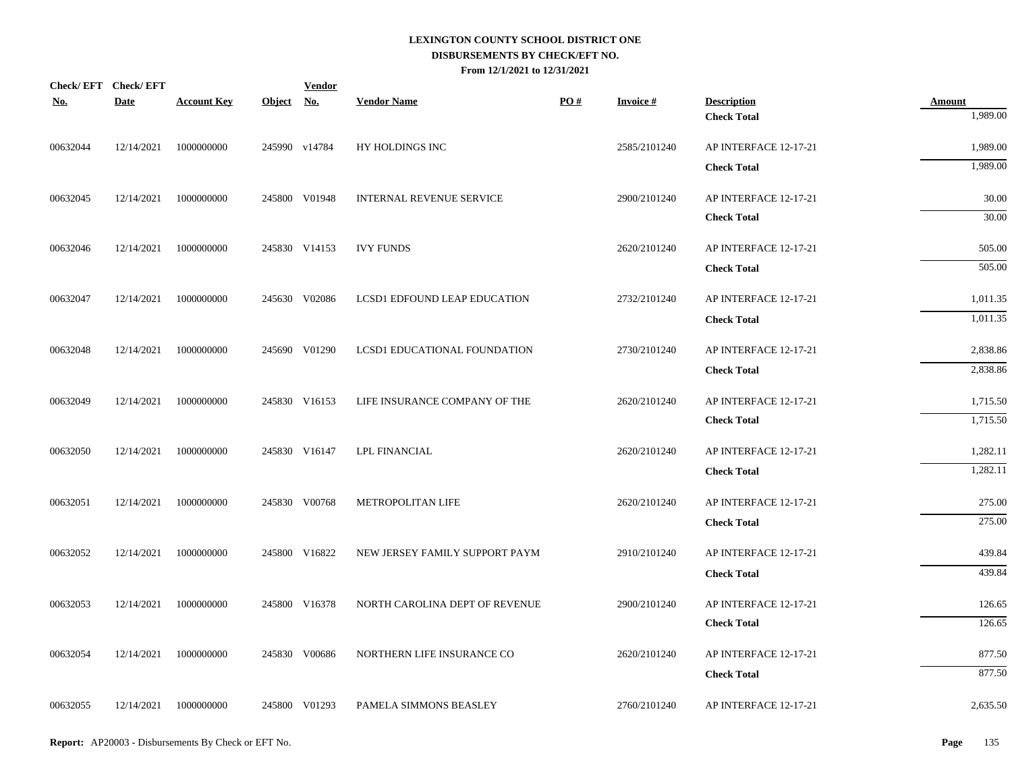| <b>No.</b> | Check/EFT Check/EFT<br>Date | <b>Account Key</b> | Object No. | <b>Vendor</b> | <b>Vendor Name</b>                  | PO# | <b>Invoice#</b> | <b>Description</b>    | <b>Amount</b> |
|------------|-----------------------------|--------------------|------------|---------------|-------------------------------------|-----|-----------------|-----------------------|---------------|
|            |                             |                    |            |               |                                     |     |                 | <b>Check Total</b>    | 1,989.00      |
| 00632044   | 12/14/2021                  | 1000000000         |            | 245990 v14784 | HY HOLDINGS INC                     |     | 2585/2101240    | AP INTERFACE 12-17-21 | 1,989.00      |
|            |                             |                    |            |               |                                     |     |                 | <b>Check Total</b>    | 1,989.00      |
| 00632045   | 12/14/2021                  | 1000000000         |            | 245800 V01948 | <b>INTERNAL REVENUE SERVICE</b>     |     | 2900/2101240    | AP INTERFACE 12-17-21 | 30.00         |
|            |                             |                    |            |               |                                     |     |                 | <b>Check Total</b>    | 30.00         |
| 00632046   | 12/14/2021                  | 1000000000         |            | 245830 V14153 | <b>IVY FUNDS</b>                    |     | 2620/2101240    | AP INTERFACE 12-17-21 | 505.00        |
|            |                             |                    |            |               |                                     |     |                 | <b>Check Total</b>    | 505.00        |
| 00632047   | 12/14/2021                  | 1000000000         |            | 245630 V02086 | <b>LCSD1 EDFOUND LEAP EDUCATION</b> |     | 2732/2101240    | AP INTERFACE 12-17-21 | 1,011.35      |
|            |                             |                    |            |               |                                     |     |                 | <b>Check Total</b>    | 1,011.35      |
| 00632048   | 12/14/2021                  | 1000000000         |            | 245690 V01290 | LCSD1 EDUCATIONAL FOUNDATION        |     | 2730/2101240    | AP INTERFACE 12-17-21 | 2,838.86      |
|            |                             |                    |            |               |                                     |     |                 | <b>Check Total</b>    | 2,838.86      |
| 00632049   | 12/14/2021                  | 1000000000         |            | 245830 V16153 | LIFE INSURANCE COMPANY OF THE       |     | 2620/2101240    | AP INTERFACE 12-17-21 | 1,715.50      |
|            |                             |                    |            |               |                                     |     |                 | <b>Check Total</b>    | 1,715.50      |
| 00632050   | 12/14/2021                  | 1000000000         |            | 245830 V16147 | LPL FINANCIAL                       |     | 2620/2101240    | AP INTERFACE 12-17-21 | 1,282.11      |
|            |                             |                    |            |               |                                     |     |                 | <b>Check Total</b>    | 1,282.11      |
| 00632051   | 12/14/2021                  | 1000000000         |            | 245830 V00768 | METROPOLITAN LIFE                   |     | 2620/2101240    | AP INTERFACE 12-17-21 | 275.00        |
|            |                             |                    |            |               |                                     |     |                 | <b>Check Total</b>    | 275.00        |
| 00632052   | 12/14/2021                  | 1000000000         |            | 245800 V16822 | NEW JERSEY FAMILY SUPPORT PAYM      |     | 2910/2101240    | AP INTERFACE 12-17-21 | 439.84        |
|            |                             |                    |            |               |                                     |     |                 | <b>Check Total</b>    | 439.84        |
| 00632053   | 12/14/2021                  | 1000000000         |            | 245800 V16378 | NORTH CAROLINA DEPT OF REVENUE      |     | 2900/2101240    | AP INTERFACE 12-17-21 | 126.65        |
|            |                             |                    |            |               |                                     |     |                 | <b>Check Total</b>    | 126.65        |
| 00632054   | 12/14/2021                  | 1000000000         |            | 245830 V00686 | NORTHERN LIFE INSURANCE CO          |     | 2620/2101240    | AP INTERFACE 12-17-21 | 877.50        |
|            |                             |                    |            |               |                                     |     |                 | <b>Check Total</b>    | 877.50        |
| 00632055   | 12/14/2021                  | 1000000000         |            | 245800 V01293 | PAMELA SIMMONS BEASLEY              |     | 2760/2101240    | AP INTERFACE 12-17-21 | 2,635.50      |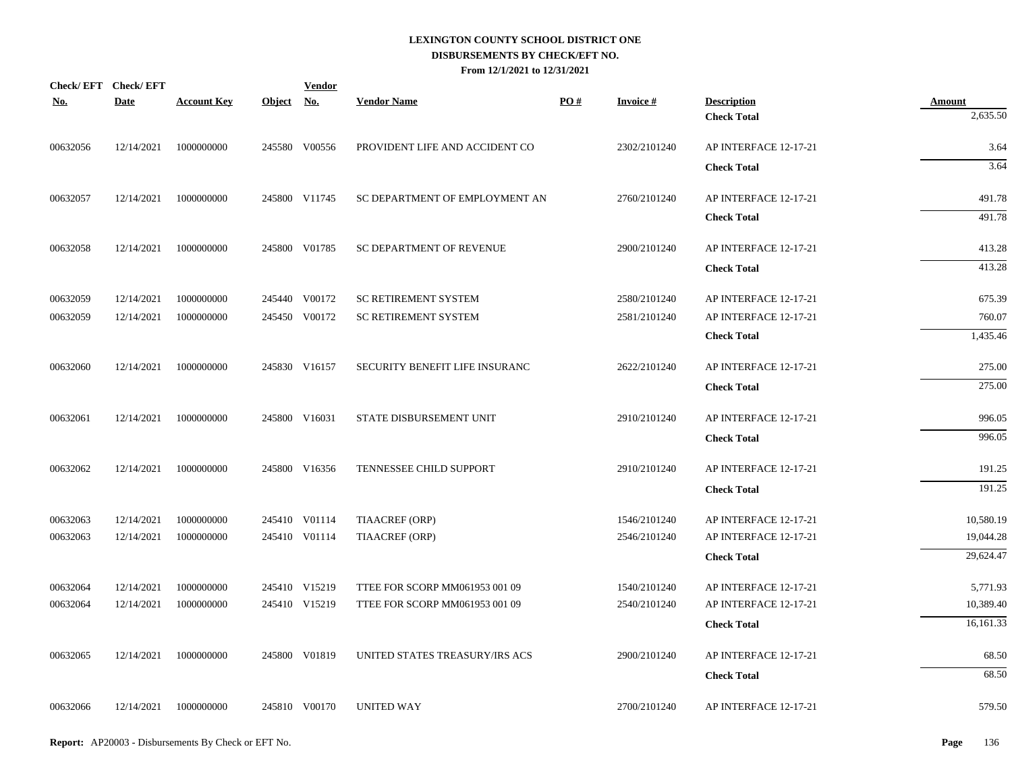|            | Check/EFT Check/EFT |                    |            | <b>Vendor</b> |                                |                   |                  |                       |                    |
|------------|---------------------|--------------------|------------|---------------|--------------------------------|-------------------|------------------|-----------------------|--------------------|
| <b>No.</b> | <b>Date</b>         | <b>Account Key</b> | Object No. |               | <b>Vendor Name</b>             | $\underline{PO#}$ | <b>Invoice #</b> | <b>Description</b>    | Amount<br>2,635.50 |
|            |                     |                    |            |               |                                |                   |                  | <b>Check Total</b>    |                    |
| 00632056   | 12/14/2021          | 1000000000         |            | 245580 V00556 | PROVIDENT LIFE AND ACCIDENT CO |                   | 2302/2101240     | AP INTERFACE 12-17-21 | 3.64               |
|            |                     |                    |            |               |                                |                   |                  | <b>Check Total</b>    | 3.64               |
| 00632057   | 12/14/2021          | 1000000000         |            | 245800 V11745 | SC DEPARTMENT OF EMPLOYMENT AN |                   | 2760/2101240     | AP INTERFACE 12-17-21 | 491.78             |
|            |                     |                    |            |               |                                |                   |                  | <b>Check Total</b>    | 491.78             |
| 00632058   | 12/14/2021          | 1000000000         |            | 245800 V01785 | SC DEPARTMENT OF REVENUE       |                   | 2900/2101240     | AP INTERFACE 12-17-21 | 413.28             |
|            |                     |                    |            |               |                                |                   |                  | <b>Check Total</b>    | 413.28             |
| 00632059   | 12/14/2021          | 1000000000         |            | 245440 V00172 | <b>SC RETIREMENT SYSTEM</b>    |                   | 2580/2101240     | AP INTERFACE 12-17-21 | 675.39             |
| 00632059   | 12/14/2021          | 1000000000         |            | 245450 V00172 | <b>SC RETIREMENT SYSTEM</b>    |                   | 2581/2101240     | AP INTERFACE 12-17-21 | 760.07             |
|            |                     |                    |            |               |                                |                   |                  | <b>Check Total</b>    | 1,435.46           |
| 00632060   | 12/14/2021          | 1000000000         |            | 245830 V16157 | SECURITY BENEFIT LIFE INSURANC |                   | 2622/2101240     | AP INTERFACE 12-17-21 | 275.00             |
|            |                     |                    |            |               |                                |                   |                  | <b>Check Total</b>    | 275.00             |
| 00632061   | 12/14/2021          | 1000000000         |            | 245800 V16031 | STATE DISBURSEMENT UNIT        |                   | 2910/2101240     | AP INTERFACE 12-17-21 | 996.05             |
|            |                     |                    |            |               |                                |                   |                  | <b>Check Total</b>    | 996.05             |
| 00632062   | 12/14/2021          | 1000000000         |            | 245800 V16356 | TENNESSEE CHILD SUPPORT        |                   | 2910/2101240     | AP INTERFACE 12-17-21 | 191.25             |
|            |                     |                    |            |               |                                |                   |                  | <b>Check Total</b>    | 191.25             |
| 00632063   | 12/14/2021          | 1000000000         |            | 245410 V01114 | TIAACREF (ORP)                 |                   | 1546/2101240     | AP INTERFACE 12-17-21 | 10,580.19          |
| 00632063   | 12/14/2021          | 1000000000         |            | 245410 V01114 | TIAACREF (ORP)                 |                   | 2546/2101240     | AP INTERFACE 12-17-21 | 19,044.28          |
|            |                     |                    |            |               |                                |                   |                  | <b>Check Total</b>    | 29,624.47          |
| 00632064   | 12/14/2021          | 1000000000         |            | 245410 V15219 | TTEE FOR SCORP MM061953 001 09 |                   | 1540/2101240     | AP INTERFACE 12-17-21 | 5,771.93           |
| 00632064   | 12/14/2021          | 1000000000         |            | 245410 V15219 | TTEE FOR SCORP MM061953 001 09 |                   | 2540/2101240     | AP INTERFACE 12-17-21 | 10,389.40          |
|            |                     |                    |            |               |                                |                   |                  | <b>Check Total</b>    | 16,161.33          |
| 00632065   | 12/14/2021          | 1000000000         |            | 245800 V01819 | UNITED STATES TREASURY/IRS ACS |                   | 2900/2101240     | AP INTERFACE 12-17-21 | 68.50              |
|            |                     |                    |            |               |                                |                   |                  | <b>Check Total</b>    | 68.50              |
| 00632066   | 12/14/2021          | 1000000000         |            | 245810 V00170 | <b>UNITED WAY</b>              |                   | 2700/2101240     | AP INTERFACE 12-17-21 | 579.50             |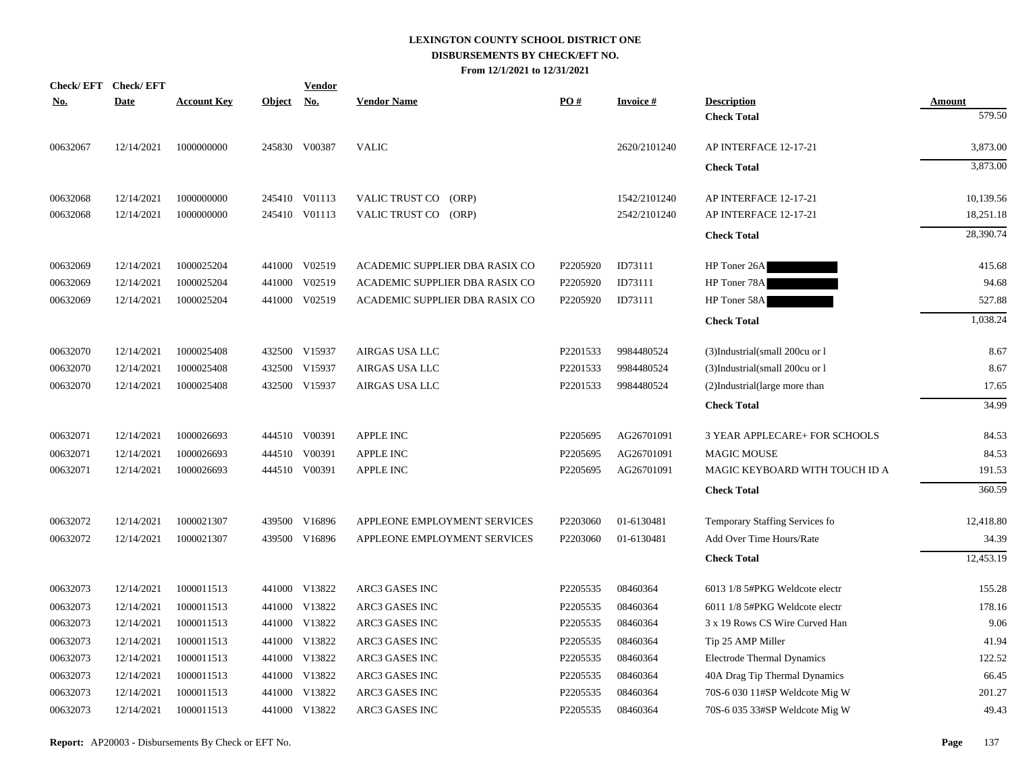| <b>Check/EFT</b> | <b>Check/EFT</b> |                    |               | <b>Vendor</b> |                                |          |                 |                                   |               |
|------------------|------------------|--------------------|---------------|---------------|--------------------------------|----------|-----------------|-----------------------------------|---------------|
| <u>No.</u>       | <b>Date</b>      | <b>Account Key</b> | <b>Object</b> | <u>No.</u>    | <b>Vendor Name</b>             | PO#      | <b>Invoice#</b> | <b>Description</b>                | <b>Amount</b> |
|                  |                  |                    |               |               |                                |          |                 | <b>Check Total</b>                | 579.50        |
| 00632067         | 12/14/2021       | 1000000000         |               | 245830 V00387 | <b>VALIC</b>                   |          | 2620/2101240    | AP INTERFACE 12-17-21             | 3,873.00      |
|                  |                  |                    |               |               |                                |          |                 | <b>Check Total</b>                | 3,873.00      |
| 00632068         | 12/14/2021       | 1000000000         |               | 245410 V01113 | (ORP)<br>VALIC TRUST CO        |          | 1542/2101240    | AP INTERFACE 12-17-21             | 10,139.56     |
| 00632068         | 12/14/2021       | 1000000000         |               | 245410 V01113 | VALIC TRUST CO<br>(ORP)        |          | 2542/2101240    | AP INTERFACE 12-17-21             | 18,251.18     |
|                  |                  |                    |               |               |                                |          |                 | <b>Check Total</b>                | 28,390.74     |
| 00632069         | 12/14/2021       | 1000025204         |               | 441000 V02519 | ACADEMIC SUPPLIER DBA RASIX CO | P2205920 | ID73111         | HP Toner 26A                      | 415.68        |
| 00632069         | 12/14/2021       | 1000025204         |               | 441000 V02519 | ACADEMIC SUPPLIER DBA RASIX CO | P2205920 | ID73111         | HP Toner 78A                      | 94.68         |
| 00632069         | 12/14/2021       | 1000025204         |               | 441000 V02519 | ACADEMIC SUPPLIER DBA RASIX CO | P2205920 | ID73111         | HP Toner 58A                      | 527.88        |
|                  |                  |                    |               |               |                                |          |                 | <b>Check Total</b>                | 1,038.24      |
| 00632070         | 12/14/2021       | 1000025408         |               | 432500 V15937 | AIRGAS USA LLC                 | P2201533 | 9984480524      | (3)Industrial(small 200cu or l    | 8.67          |
| 00632070         | 12/14/2021       | 1000025408         |               | 432500 V15937 | AIRGAS USA LLC                 | P2201533 | 9984480524      | (3)Industrial(small 200cu or l    | 8.67          |
| 00632070         | 12/14/2021       | 1000025408         |               | 432500 V15937 | AIRGAS USA LLC                 | P2201533 | 9984480524      | (2)Industrial(large more than     | 17.65         |
|                  |                  |                    |               |               |                                |          |                 | <b>Check Total</b>                | 34.99         |
| 00632071         | 12/14/2021       | 1000026693         |               | 444510 V00391 | APPLE INC                      | P2205695 | AG26701091      | 3 YEAR APPLECARE+ FOR SCHOOLS     | 84.53         |
| 00632071         | 12/14/2021       | 1000026693         |               | 444510 V00391 | APPLE INC                      | P2205695 | AG26701091      | <b>MAGIC MOUSE</b>                | 84.53         |
| 00632071         | 12/14/2021       | 1000026693         |               | 444510 V00391 | <b>APPLE INC</b>               | P2205695 | AG26701091      | MAGIC KEYBOARD WITH TOUCH ID A    | 191.53        |
|                  |                  |                    |               |               |                                |          |                 | <b>Check Total</b>                | 360.59        |
| 00632072         | 12/14/2021       | 1000021307         |               | 439500 V16896 | APPLEONE EMPLOYMENT SERVICES   | P2203060 | 01-6130481      | Temporary Staffing Services fo    | 12,418.80     |
| 00632072         | 12/14/2021       | 1000021307         |               | 439500 V16896 | APPLEONE EMPLOYMENT SERVICES   | P2203060 | 01-6130481      | Add Over Time Hours/Rate          | 34.39         |
|                  |                  |                    |               |               |                                |          |                 | <b>Check Total</b>                | 12,453.19     |
| 00632073         | 12/14/2021       | 1000011513         |               | 441000 V13822 | <b>ARC3 GASES INC</b>          | P2205535 | 08460364        | 6013 1/8 5#PKG Weldcote electr    | 155.28        |
| 00632073         | 12/14/2021       | 1000011513         |               | 441000 V13822 | <b>ARC3 GASES INC</b>          | P2205535 | 08460364        | 6011 1/8 5#PKG Weldcote electr    | 178.16        |
| 00632073         | 12/14/2021       | 1000011513         |               | 441000 V13822 | ARC3 GASES INC                 | P2205535 | 08460364        | 3 x 19 Rows CS Wire Curved Han    | 9.06          |
| 00632073         | 12/14/2021       | 1000011513         |               | 441000 V13822 | ARC3 GASES INC                 | P2205535 | 08460364        | Tip 25 AMP Miller                 | 41.94         |
| 00632073         | 12/14/2021       | 1000011513         |               | 441000 V13822 | ARC3 GASES INC                 | P2205535 | 08460364        | <b>Electrode Thermal Dynamics</b> | 122.52        |
| 00632073         | 12/14/2021       | 1000011513         |               | 441000 V13822 | ARC3 GASES INC                 | P2205535 | 08460364        | 40A Drag Tip Thermal Dynamics     | 66.45         |
| 00632073         | 12/14/2021       | 1000011513         |               | 441000 V13822 | ARC3 GASES INC                 | P2205535 | 08460364        | 70S-6 030 11#SP Weldcote Mig W    | 201.27        |
| 00632073         | 12/14/2021       | 1000011513         |               | 441000 V13822 | <b>ARC3 GASES INC</b>          | P2205535 | 08460364        | 70S-6 035 33#SP Weldcote Mig W    | 49.43         |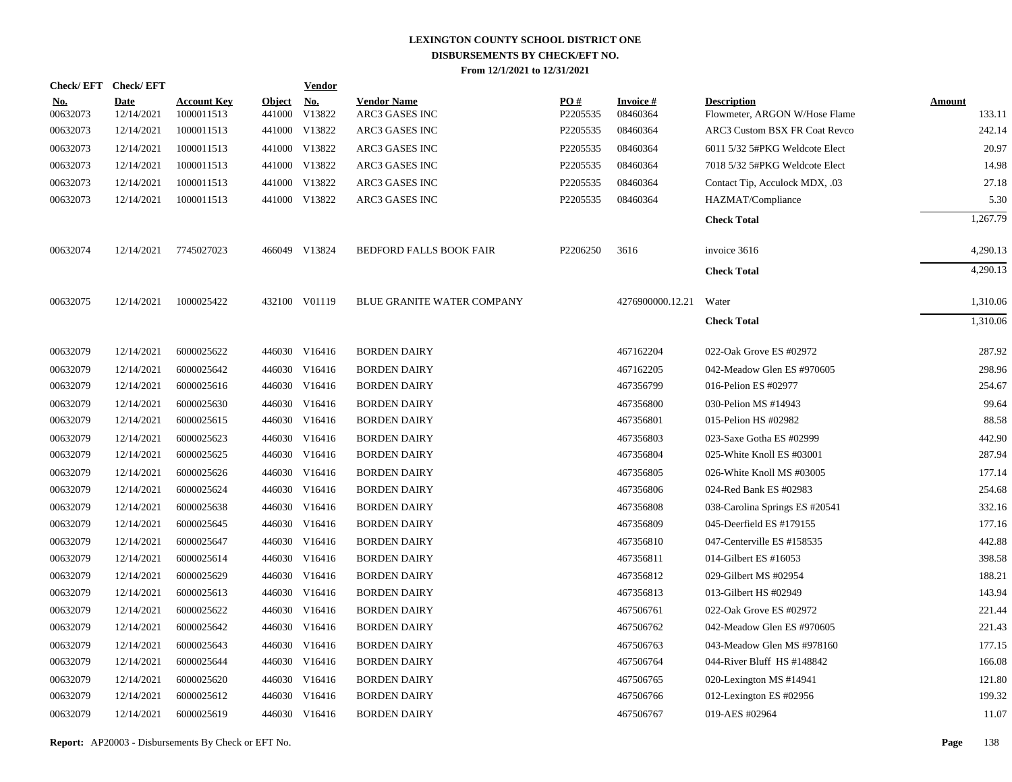|                        | Check/EFT Check/EFT       |                                  |                         | <u>Vendor</u>        |                                      |                 |                             |                                                     |                         |
|------------------------|---------------------------|----------------------------------|-------------------------|----------------------|--------------------------------------|-----------------|-----------------------------|-----------------------------------------------------|-------------------------|
| <u>No.</u><br>00632073 | <b>Date</b><br>12/14/2021 | <b>Account Key</b><br>1000011513 | <b>Object</b><br>441000 | <u>No.</u><br>V13822 | <b>Vendor Name</b><br>ARC3 GASES INC | PO#<br>P2205535 | <b>Invoice#</b><br>08460364 | <b>Description</b><br>Flowmeter, ARGON W/Hose Flame | <b>Amount</b><br>133.11 |
| 00632073               | 12/14/2021                | 1000011513                       |                         | 441000 V13822        | ARC3 GASES INC                       | P2205535        | 08460364                    | ARC3 Custom BSX FR Coat Revco                       | 242.14                  |
| 00632073               | 12/14/2021                | 1000011513                       |                         | 441000 V13822        | ARC3 GASES INC                       | P2205535        | 08460364                    | 6011 5/32 5#PKG Weldcote Elect                      | 20.97                   |
| 00632073               | 12/14/2021                | 1000011513                       |                         | 441000 V13822        | ARC3 GASES INC                       | P2205535        | 08460364                    | 7018 5/32 5#PKG Weldcote Elect                      | 14.98                   |
| 00632073               | 12/14/2021                | 1000011513                       |                         | 441000 V13822        | ARC3 GASES INC                       | P2205535        | 08460364                    | Contact Tip, Acculock MDX, .03                      | 27.18                   |
| 00632073               | 12/14/2021                | 1000011513                       |                         | 441000 V13822        | ARC3 GASES INC                       | P2205535        | 08460364                    | HAZMAT/Compliance                                   | 5.30                    |
|                        |                           |                                  |                         |                      |                                      |                 |                             | <b>Check Total</b>                                  | 1,267.79                |
| 00632074               | 12/14/2021                | 7745027023                       |                         | 466049 V13824        | BEDFORD FALLS BOOK FAIR              | P2206250        | 3616                        | invoice 3616                                        | 4,290.13                |
|                        |                           |                                  |                         |                      |                                      |                 |                             | <b>Check Total</b>                                  | 4,290.13                |
| 00632075               | 12/14/2021                | 1000025422                       |                         | 432100 V01119        | BLUE GRANITE WATER COMPANY           |                 | 4276900000.12.21            | Water                                               | 1,310.06                |
|                        |                           |                                  |                         |                      |                                      |                 |                             | <b>Check Total</b>                                  | 1,310.06                |
| 00632079               | 12/14/2021                | 6000025622                       |                         | 446030 V16416        | <b>BORDEN DAIRY</b>                  |                 | 467162204                   | 022-Oak Grove ES #02972                             | 287.92                  |
| 00632079               | 12/14/2021                | 6000025642                       |                         | 446030 V16416        | <b>BORDEN DAIRY</b>                  |                 | 467162205                   | 042-Meadow Glen ES #970605                          | 298.96                  |
| 00632079               | 12/14/2021                | 6000025616                       |                         | 446030 V16416        | <b>BORDEN DAIRY</b>                  |                 | 467356799                   | 016-Pelion ES #02977                                | 254.67                  |
| 00632079               | 12/14/2021                | 6000025630                       |                         | 446030 V16416        | <b>BORDEN DAIRY</b>                  |                 | 467356800                   | 030-Pelion MS #14943                                | 99.64                   |
| 00632079               | 12/14/2021                | 6000025615                       |                         | 446030 V16416        | <b>BORDEN DAIRY</b>                  |                 | 467356801                   | 015-Pelion HS #02982                                | 88.58                   |
| 00632079               | 12/14/2021                | 6000025623                       |                         | 446030 V16416        | <b>BORDEN DAIRY</b>                  |                 | 467356803                   | 023-Saxe Gotha ES #02999                            | 442.90                  |
| 00632079               | 12/14/2021                | 6000025625                       |                         | 446030 V16416        | <b>BORDEN DAIRY</b>                  |                 | 467356804                   | 025-White Knoll ES #03001                           | 287.94                  |
| 00632079               | 12/14/2021                | 6000025626                       |                         | 446030 V16416        | <b>BORDEN DAIRY</b>                  |                 | 467356805                   | 026-White Knoll MS #03005                           | 177.14                  |
| 00632079               | 12/14/2021                | 6000025624                       |                         | 446030 V16416        | <b>BORDEN DAIRY</b>                  |                 | 467356806                   | 024-Red Bank ES #02983                              | 254.68                  |
| 00632079               | 12/14/2021                | 6000025638                       |                         | 446030 V16416        | <b>BORDEN DAIRY</b>                  |                 | 467356808                   | 038-Carolina Springs ES #20541                      | 332.16                  |
| 00632079               | 12/14/2021                | 6000025645                       |                         | 446030 V16416        | <b>BORDEN DAIRY</b>                  |                 | 467356809                   | 045-Deerfield ES #179155                            | 177.16                  |
| 00632079               | 12/14/2021                | 6000025647                       |                         | 446030 V16416        | <b>BORDEN DAIRY</b>                  |                 | 467356810                   | 047-Centerville ES #158535                          | 442.88                  |
| 00632079               | 12/14/2021                | 6000025614                       |                         | 446030 V16416        | <b>BORDEN DAIRY</b>                  |                 | 467356811                   | 014-Gilbert ES #16053                               | 398.58                  |
| 00632079               | 12/14/2021                | 6000025629                       |                         | 446030 V16416        | <b>BORDEN DAIRY</b>                  |                 | 467356812                   | 029-Gilbert MS #02954                               | 188.21                  |
| 00632079               | 12/14/2021                | 6000025613                       |                         | 446030 V16416        | <b>BORDEN DAIRY</b>                  |                 | 467356813                   | 013-Gilbert HS #02949                               | 143.94                  |
| 00632079               | 12/14/2021                | 6000025622                       |                         | 446030 V16416        | <b>BORDEN DAIRY</b>                  |                 | 467506761                   | 022-Oak Grove ES #02972                             | 221.44                  |
| 00632079               | 12/14/2021                | 6000025642                       |                         | 446030 V16416        | <b>BORDEN DAIRY</b>                  |                 | 467506762                   | 042-Meadow Glen ES #970605                          | 221.43                  |
| 00632079               | 12/14/2021                | 6000025643                       |                         | 446030 V16416        | <b>BORDEN DAIRY</b>                  |                 | 467506763                   | 043-Meadow Glen MS #978160                          | 177.15                  |
| 00632079               | 12/14/2021                | 6000025644                       |                         | 446030 V16416        | <b>BORDEN DAIRY</b>                  |                 | 467506764                   | 044-River Bluff HS #148842                          | 166.08                  |
| 00632079               | 12/14/2021                | 6000025620                       |                         | 446030 V16416        | <b>BORDEN DAIRY</b>                  |                 | 467506765                   | 020-Lexington MS #14941                             | 121.80                  |
| 00632079               | 12/14/2021                | 6000025612                       |                         | 446030 V16416        | <b>BORDEN DAIRY</b>                  |                 | 467506766                   | 012-Lexington ES #02956                             | 199.32                  |
| 00632079               | 12/14/2021                | 6000025619                       |                         | 446030 V16416        | <b>BORDEN DAIRY</b>                  |                 | 467506767                   | 019-AES #02964                                      | 11.07                   |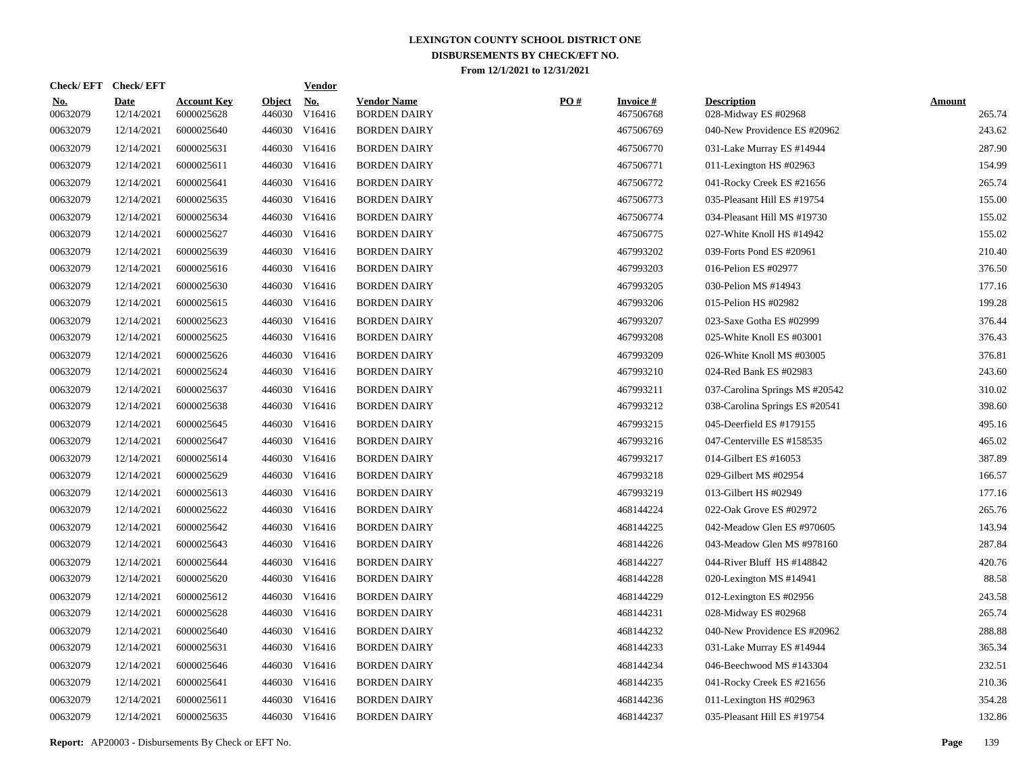| Check/EFT Check/EFT    |                           |                                  |                         | <b>Vendor</b>                       |                                           |     |                              |                                            |                         |
|------------------------|---------------------------|----------------------------------|-------------------------|-------------------------------------|-------------------------------------------|-----|------------------------------|--------------------------------------------|-------------------------|
| <u>No.</u><br>00632079 | <b>Date</b><br>12/14/2021 | <b>Account Key</b><br>6000025628 | <b>Object</b><br>446030 | $\underline{\mathrm{No}}$<br>V16416 | <b>Vendor Name</b><br><b>BORDEN DAIRY</b> | PO# | <b>Invoice#</b><br>467506768 | <b>Description</b><br>028-Midway ES #02968 | <b>Amount</b><br>265.74 |
| 00632079               | 12/14/2021                | 6000025640                       |                         | 446030 V16416                       | <b>BORDEN DAIRY</b>                       |     | 467506769                    | 040-New Providence ES #20962               | 243.62                  |
| 00632079               | 12/14/2021                | 6000025631                       |                         | 446030 V16416                       | <b>BORDEN DAIRY</b>                       |     | 467506770                    | 031-Lake Murray ES #14944                  | 287.90                  |
| 00632079               | 12/14/2021                | 6000025611                       |                         | 446030 V16416                       | <b>BORDEN DAIRY</b>                       |     | 467506771                    | 011-Lexington HS #02963                    | 154.99                  |
| 00632079               | 12/14/2021                | 6000025641                       |                         | 446030 V16416                       | <b>BORDEN DAIRY</b>                       |     | 467506772                    | 041-Rocky Creek ES #21656                  | 265.74                  |
| 00632079               | 12/14/2021                | 6000025635                       |                         | 446030 V16416                       | <b>BORDEN DAIRY</b>                       |     | 467506773                    | 035-Pleasant Hill ES #19754                | 155.00                  |
| 00632079               | 12/14/2021                | 6000025634                       |                         | 446030 V16416                       | <b>BORDEN DAIRY</b>                       |     | 467506774                    | 034-Pleasant Hill MS #19730                | 155.02                  |
| 00632079               | 12/14/2021                | 6000025627                       |                         | 446030 V16416                       | <b>BORDEN DAIRY</b>                       |     | 467506775                    | 027-White Knoll HS #14942                  | 155.02                  |
| 00632079               | 12/14/2021                | 6000025639                       |                         | 446030 V16416                       | <b>BORDEN DAIRY</b>                       |     | 467993202                    | 039-Forts Pond ES #20961                   | 210.40                  |
| 00632079               | 12/14/2021                | 6000025616                       |                         | 446030 V16416                       | <b>BORDEN DAIRY</b>                       |     | 467993203                    | 016-Pelion ES #02977                       | 376.50                  |
| 00632079               | 12/14/2021                | 6000025630                       |                         | 446030 V16416                       | <b>BORDEN DAIRY</b>                       |     | 467993205                    | 030-Pelion MS #14943                       | 177.16                  |
| 00632079               | 12/14/2021                | 6000025615                       |                         | 446030 V16416                       | <b>BORDEN DAIRY</b>                       |     | 467993206                    | 015-Pelion HS #02982                       | 199.28                  |
| 00632079               | 12/14/2021                | 6000025623                       |                         | 446030 V16416                       | <b>BORDEN DAIRY</b>                       |     | 467993207                    | 023-Saxe Gotha ES #02999                   | 376.44                  |
| 00632079               | 12/14/2021                | 6000025625                       |                         | 446030 V16416                       | <b>BORDEN DAIRY</b>                       |     | 467993208                    | 025-White Knoll ES #03001                  | 376.43                  |
| 00632079               | 12/14/2021                | 6000025626                       |                         | 446030 V16416                       | <b>BORDEN DAIRY</b>                       |     | 467993209                    | 026-White Knoll MS #03005                  | 376.81                  |
| 00632079               | 12/14/2021                | 6000025624                       |                         | 446030 V16416                       | <b>BORDEN DAIRY</b>                       |     | 467993210                    | 024-Red Bank ES #02983                     | 243.60                  |
| 00632079               | 12/14/2021                | 6000025637                       |                         | 446030 V16416                       | <b>BORDEN DAIRY</b>                       |     | 467993211                    | 037-Carolina Springs MS #20542             | 310.02                  |
| 00632079               | 12/14/2021                | 6000025638                       |                         | 446030 V16416                       | <b>BORDEN DAIRY</b>                       |     | 467993212                    | 038-Carolina Springs ES #20541             | 398.60                  |
| 00632079               | 12/14/2021                | 6000025645                       |                         | 446030 V16416                       | <b>BORDEN DAIRY</b>                       |     | 467993215                    | 045-Deerfield ES #179155                   | 495.16                  |
| 00632079               | 12/14/2021                | 6000025647                       |                         | 446030 V16416                       | <b>BORDEN DAIRY</b>                       |     | 467993216                    | 047-Centerville ES #158535                 | 465.02                  |
| 00632079               | 12/14/2021                | 6000025614                       |                         | 446030 V16416                       | <b>BORDEN DAIRY</b>                       |     | 467993217                    | 014-Gilbert ES #16053                      | 387.89                  |
| 00632079               | 12/14/2021                | 6000025629                       |                         | 446030 V16416                       | <b>BORDEN DAIRY</b>                       |     | 467993218                    | 029-Gilbert MS #02954                      | 166.57                  |
| 00632079               | 12/14/2021                | 6000025613                       |                         | 446030 V16416                       | <b>BORDEN DAIRY</b>                       |     | 467993219                    | 013-Gilbert HS #02949                      | 177.16                  |
| 00632079               | 12/14/2021                | 6000025622                       |                         | 446030 V16416                       | <b>BORDEN DAIRY</b>                       |     | 468144224                    | 022-Oak Grove ES #02972                    | 265.76                  |
| 00632079               | 12/14/2021                | 6000025642                       |                         | 446030 V16416                       | <b>BORDEN DAIRY</b>                       |     | 468144225                    | 042-Meadow Glen ES #970605                 | 143.94                  |
| 00632079               | 12/14/2021                | 6000025643                       |                         | 446030 V16416                       | <b>BORDEN DAIRY</b>                       |     | 468144226                    | 043-Meadow Glen MS #978160                 | 287.84                  |
| 00632079               | 12/14/2021                | 6000025644                       |                         | 446030 V16416                       | <b>BORDEN DAIRY</b>                       |     | 468144227                    | 044-River Bluff HS #148842                 | 420.76                  |
| 00632079               | 12/14/2021                | 6000025620                       |                         | 446030 V16416                       | <b>BORDEN DAIRY</b>                       |     | 468144228                    | 020-Lexington MS #14941                    | 88.58                   |
| 00632079               | 12/14/2021                | 6000025612                       |                         | 446030 V16416                       | <b>BORDEN DAIRY</b>                       |     | 468144229                    | 012-Lexington ES #02956                    | 243.58                  |
| 00632079               | 12/14/2021                | 6000025628                       |                         | 446030 V16416                       | <b>BORDEN DAIRY</b>                       |     | 468144231                    | 028-Midway ES #02968                       | 265.74                  |
| 00632079               | 12/14/2021                | 6000025640                       |                         | 446030 V16416                       | <b>BORDEN DAIRY</b>                       |     | 468144232                    | 040-New Providence ES #20962               | 288.88                  |
| 00632079               | 12/14/2021                | 6000025631                       |                         | 446030 V16416                       | <b>BORDEN DAIRY</b>                       |     | 468144233                    | 031-Lake Murray ES #14944                  | 365.34                  |
| 00632079               | 12/14/2021                | 6000025646                       |                         | 446030 V16416                       | <b>BORDEN DAIRY</b>                       |     | 468144234                    | 046-Beechwood MS #143304                   | 232.51                  |
| 00632079               | 12/14/2021                | 6000025641                       |                         | 446030 V16416                       | <b>BORDEN DAIRY</b>                       |     | 468144235                    | 041-Rocky Creek ES #21656                  | 210.36                  |
| 00632079               | 12/14/2021                | 6000025611                       |                         | 446030 V16416                       | <b>BORDEN DAIRY</b>                       |     | 468144236                    | 011-Lexington HS #02963                    | 354.28                  |
| 00632079               | 12/14/2021                | 6000025635                       |                         | 446030 V16416                       | <b>BORDEN DAIRY</b>                       |     | 468144237                    | 035-Pleasant Hill ES #19754                | 132.86                  |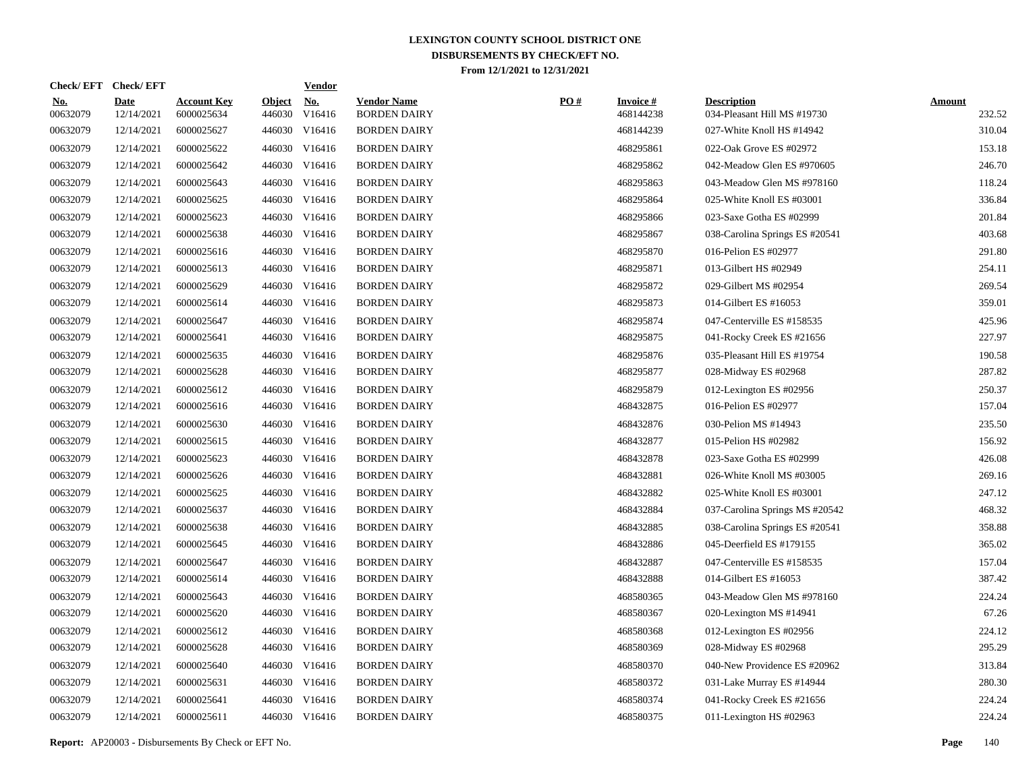| Check/EFT Check/EFT       |                                  |                         | <b>Vendor</b>        |                                                                                                                                                                                                                                                                                                                                                                                                                                                                                                                                                                                                          |     |                               |                                                   |                         |
|---------------------------|----------------------------------|-------------------------|----------------------|----------------------------------------------------------------------------------------------------------------------------------------------------------------------------------------------------------------------------------------------------------------------------------------------------------------------------------------------------------------------------------------------------------------------------------------------------------------------------------------------------------------------------------------------------------------------------------------------------------|-----|-------------------------------|---------------------------------------------------|-------------------------|
| <b>Date</b><br>12/14/2021 | <b>Account Key</b><br>6000025634 | <b>Object</b><br>446030 | <u>No.</u><br>V16416 | <b>Vendor Name</b><br><b>BORDEN DAIRY</b>                                                                                                                                                                                                                                                                                                                                                                                                                                                                                                                                                                | PO# | <b>Invoice #</b><br>468144238 | <b>Description</b><br>034-Pleasant Hill MS #19730 | <b>Amount</b><br>232.52 |
| 12/14/2021                | 6000025627                       |                         |                      | <b>BORDEN DAIRY</b>                                                                                                                                                                                                                                                                                                                                                                                                                                                                                                                                                                                      |     | 468144239                     | 027-White Knoll HS #14942                         | 310.04                  |
| 12/14/2021                | 6000025622                       |                         |                      | <b>BORDEN DAIRY</b>                                                                                                                                                                                                                                                                                                                                                                                                                                                                                                                                                                                      |     | 468295861                     | 022-Oak Grove ES #02972                           | 153.18                  |
| 12/14/2021                | 6000025642                       |                         |                      | <b>BORDEN DAIRY</b>                                                                                                                                                                                                                                                                                                                                                                                                                                                                                                                                                                                      |     | 468295862                     | 042-Meadow Glen ES #970605                        | 246.70                  |
| 12/14/2021                | 6000025643                       |                         |                      | <b>BORDEN DAIRY</b>                                                                                                                                                                                                                                                                                                                                                                                                                                                                                                                                                                                      |     | 468295863                     | 043-Meadow Glen MS #978160                        | 118.24                  |
| 12/14/2021                | 6000025625                       |                         |                      | <b>BORDEN DAIRY</b>                                                                                                                                                                                                                                                                                                                                                                                                                                                                                                                                                                                      |     | 468295864                     | 025-White Knoll ES #03001                         | 336.84                  |
| 12/14/2021                | 6000025623                       |                         |                      | <b>BORDEN DAIRY</b>                                                                                                                                                                                                                                                                                                                                                                                                                                                                                                                                                                                      |     | 468295866                     | 023-Saxe Gotha ES #02999                          | 201.84                  |
| 12/14/2021                | 6000025638                       |                         |                      | <b>BORDEN DAIRY</b>                                                                                                                                                                                                                                                                                                                                                                                                                                                                                                                                                                                      |     | 468295867                     | 038-Carolina Springs ES #20541                    | 403.68                  |
| 12/14/2021                | 6000025616                       |                         |                      | <b>BORDEN DAIRY</b>                                                                                                                                                                                                                                                                                                                                                                                                                                                                                                                                                                                      |     | 468295870                     | 016-Pelion ES #02977                              | 291.80                  |
| 12/14/2021                | 6000025613                       |                         |                      | <b>BORDEN DAIRY</b>                                                                                                                                                                                                                                                                                                                                                                                                                                                                                                                                                                                      |     | 468295871                     | 013-Gilbert HS #02949                             | 254.11                  |
| 12/14/2021                | 6000025629                       |                         |                      | <b>BORDEN DAIRY</b>                                                                                                                                                                                                                                                                                                                                                                                                                                                                                                                                                                                      |     | 468295872                     | 029-Gilbert MS #02954                             | 269.54                  |
| 12/14/2021                | 6000025614                       |                         |                      | <b>BORDEN DAIRY</b>                                                                                                                                                                                                                                                                                                                                                                                                                                                                                                                                                                                      |     | 468295873                     | 014-Gilbert ES #16053                             | 359.01                  |
| 12/14/2021                | 6000025647                       |                         |                      | <b>BORDEN DAIRY</b>                                                                                                                                                                                                                                                                                                                                                                                                                                                                                                                                                                                      |     | 468295874                     | 047-Centerville ES #158535                        | 425.96                  |
| 12/14/2021                | 6000025641                       |                         |                      | <b>BORDEN DAIRY</b>                                                                                                                                                                                                                                                                                                                                                                                                                                                                                                                                                                                      |     | 468295875                     | 041-Rocky Creek ES #21656                         | 227.97                  |
| 12/14/2021                | 6000025635                       |                         |                      | <b>BORDEN DAIRY</b>                                                                                                                                                                                                                                                                                                                                                                                                                                                                                                                                                                                      |     | 468295876                     | 035-Pleasant Hill ES #19754                       | 190.58                  |
| 12/14/2021                | 6000025628                       |                         |                      | <b>BORDEN DAIRY</b>                                                                                                                                                                                                                                                                                                                                                                                                                                                                                                                                                                                      |     | 468295877                     | 028-Midway ES #02968                              | 287.82                  |
| 12/14/2021                | 6000025612                       |                         |                      | <b>BORDEN DAIRY</b>                                                                                                                                                                                                                                                                                                                                                                                                                                                                                                                                                                                      |     | 468295879                     | 012-Lexington ES #02956                           | 250.37                  |
| 12/14/2021                | 6000025616                       |                         |                      | <b>BORDEN DAIRY</b>                                                                                                                                                                                                                                                                                                                                                                                                                                                                                                                                                                                      |     | 468432875                     | 016-Pelion ES #02977                              | 157.04                  |
| 12/14/2021                | 6000025630                       |                         |                      | <b>BORDEN DAIRY</b>                                                                                                                                                                                                                                                                                                                                                                                                                                                                                                                                                                                      |     | 468432876                     | 030-Pelion MS #14943                              | 235.50                  |
| 12/14/2021                | 6000025615                       |                         |                      | <b>BORDEN DAIRY</b>                                                                                                                                                                                                                                                                                                                                                                                                                                                                                                                                                                                      |     | 468432877                     | 015-Pelion HS #02982                              | 156.92                  |
| 12/14/2021                | 6000025623                       |                         |                      | <b>BORDEN DAIRY</b>                                                                                                                                                                                                                                                                                                                                                                                                                                                                                                                                                                                      |     | 468432878                     | 023-Saxe Gotha ES #02999                          | 426.08                  |
| 12/14/2021                | 6000025626                       |                         |                      | <b>BORDEN DAIRY</b>                                                                                                                                                                                                                                                                                                                                                                                                                                                                                                                                                                                      |     | 468432881                     | 026-White Knoll MS #03005                         | 269.16                  |
| 12/14/2021                | 6000025625                       |                         |                      | <b>BORDEN DAIRY</b>                                                                                                                                                                                                                                                                                                                                                                                                                                                                                                                                                                                      |     | 468432882                     | 025-White Knoll ES #03001                         | 247.12                  |
| 12/14/2021                | 6000025637                       |                         |                      | <b>BORDEN DAIRY</b>                                                                                                                                                                                                                                                                                                                                                                                                                                                                                                                                                                                      |     | 468432884                     | 037-Carolina Springs MS #20542                    | 468.32                  |
| 12/14/2021                | 6000025638                       |                         |                      | <b>BORDEN DAIRY</b>                                                                                                                                                                                                                                                                                                                                                                                                                                                                                                                                                                                      |     | 468432885                     | 038-Carolina Springs ES #20541                    | 358.88                  |
| 12/14/2021                | 6000025645                       |                         |                      | <b>BORDEN DAIRY</b>                                                                                                                                                                                                                                                                                                                                                                                                                                                                                                                                                                                      |     | 468432886                     | 045-Deerfield ES #179155                          | 365.02                  |
| 12/14/2021                | 6000025647                       |                         |                      | <b>BORDEN DAIRY</b>                                                                                                                                                                                                                                                                                                                                                                                                                                                                                                                                                                                      |     | 468432887                     | 047-Centerville ES #158535                        | 157.04                  |
| 12/14/2021                | 6000025614                       |                         |                      | <b>BORDEN DAIRY</b>                                                                                                                                                                                                                                                                                                                                                                                                                                                                                                                                                                                      |     | 468432888                     | 014-Gilbert ES #16053                             | 387.42                  |
| 12/14/2021                | 6000025643                       |                         |                      | <b>BORDEN DAIRY</b>                                                                                                                                                                                                                                                                                                                                                                                                                                                                                                                                                                                      |     | 468580365                     | 043-Meadow Glen MS #978160                        | 224.24                  |
| 12/14/2021                | 6000025620                       |                         |                      | <b>BORDEN DAIRY</b>                                                                                                                                                                                                                                                                                                                                                                                                                                                                                                                                                                                      |     | 468580367                     | 020-Lexington MS #14941                           | 67.26                   |
| 12/14/2021                | 6000025612                       |                         |                      | <b>BORDEN DAIRY</b>                                                                                                                                                                                                                                                                                                                                                                                                                                                                                                                                                                                      |     | 468580368                     | 012-Lexington ES #02956                           | 224.12                  |
| 12/14/2021                | 6000025628                       |                         |                      | <b>BORDEN DAIRY</b>                                                                                                                                                                                                                                                                                                                                                                                                                                                                                                                                                                                      |     | 468580369                     | 028-Midway ES #02968                              | 295.29                  |
| 12/14/2021                | 6000025640                       |                         |                      | <b>BORDEN DAIRY</b>                                                                                                                                                                                                                                                                                                                                                                                                                                                                                                                                                                                      |     | 468580370                     | 040-New Providence ES #20962                      | 313.84                  |
| 12/14/2021                | 6000025631                       |                         |                      | <b>BORDEN DAIRY</b>                                                                                                                                                                                                                                                                                                                                                                                                                                                                                                                                                                                      |     | 468580372                     | 031-Lake Murray ES #14944                         | 280.30                  |
| 12/14/2021                | 6000025641                       |                         | V16416               | <b>BORDEN DAIRY</b>                                                                                                                                                                                                                                                                                                                                                                                                                                                                                                                                                                                      |     | 468580374                     | 041-Rocky Creek ES #21656                         | 224.24                  |
| 12/14/2021                | 6000025611                       |                         |                      | <b>BORDEN DAIRY</b>                                                                                                                                                                                                                                                                                                                                                                                                                                                                                                                                                                                      |     | 468580375                     | 011-Lexington HS #02963                           | 224.24                  |
|                           |                                  |                         |                      | 446030 V16416<br>446030 V16416<br>446030 V16416<br>446030 V16416<br>446030 V16416<br>446030 V16416<br>446030 V16416<br>446030 V16416<br>446030 V16416<br>446030 V16416<br>446030 V16416<br>446030 V16416<br>446030 V16416<br>446030 V16416<br>446030 V16416<br>446030 V16416<br>446030 V16416<br>446030 V16416<br>446030 V16416<br>446030 V16416<br>446030 V16416<br>446030 V16416<br>446030 V16416<br>446030 V16416<br>446030 V16416<br>446030 V16416<br>446030 V16416<br>446030 V16416<br>446030 V16416<br>446030 V16416<br>446030 V16416<br>446030 V16416<br>446030 V16416<br>446030<br>446030 V16416 |     |                               |                                                   |                         |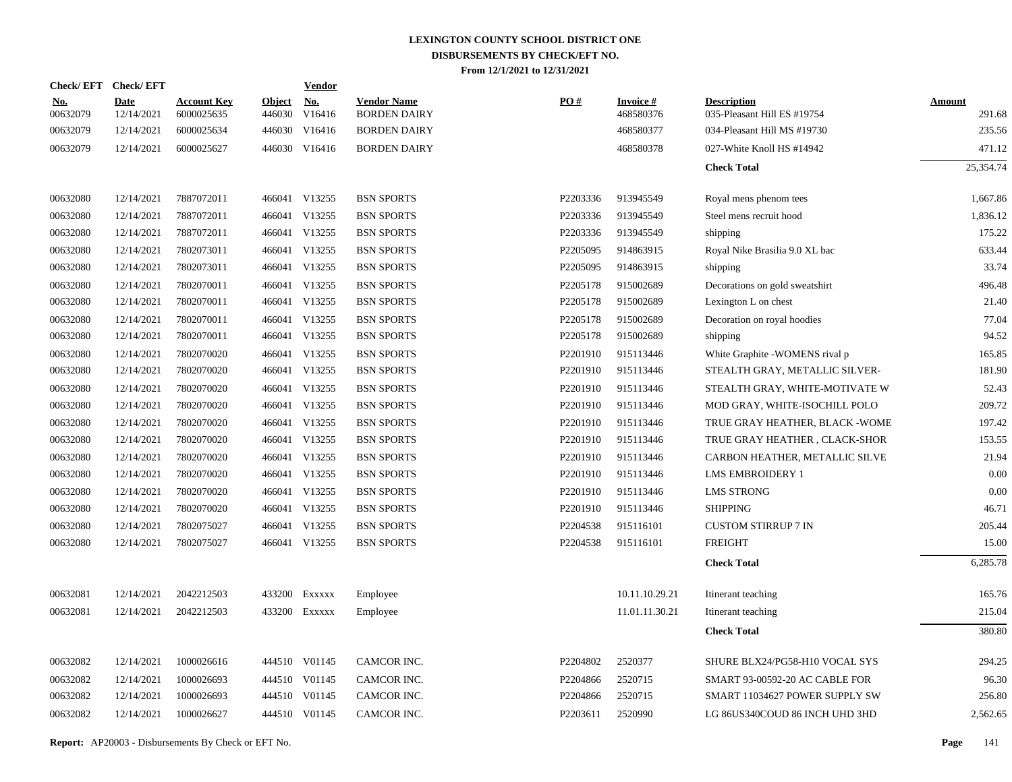| <u>No.</u><br>00632079 | Date       | <b>Account Key</b> | <b>Object</b> | $\underline{\mathrm{No}}$ | <b>Vendor Name</b>                                                                                                                                                                                                                                                                                             | PO#      | <b>Invoice#</b> | <b>Description</b>              | <b>Amount</b> |
|------------------------|------------|--------------------|---------------|---------------------------|----------------------------------------------------------------------------------------------------------------------------------------------------------------------------------------------------------------------------------------------------------------------------------------------------------------|----------|-----------------|---------------------------------|---------------|
|                        | 12/14/2021 | 6000025635         | 446030        | V16416                    | <b>BORDEN DAIRY</b>                                                                                                                                                                                                                                                                                            |          | 468580376       | 035-Pleasant Hill ES #19754     | 291.68        |
| 00632079               | 12/14/2021 | 6000025634         | 446030        | V16416                    | <b>BORDEN DAIRY</b>                                                                                                                                                                                                                                                                                            |          | 468580377       | 034-Pleasant Hill MS #19730     | 235.56        |
| 00632079               | 12/14/2021 | 6000025627         |               |                           | <b>BORDEN DAIRY</b>                                                                                                                                                                                                                                                                                            |          | 468580378       | 027-White Knoll HS #14942       | 471.12        |
|                        |            |                    |               |                           |                                                                                                                                                                                                                                                                                                                |          |                 | <b>Check Total</b>              | 25,354.74     |
| 00632080               | 12/14/2021 | 7887072011         |               |                           | <b>BSN SPORTS</b>                                                                                                                                                                                                                                                                                              | P2203336 | 913945549       | Royal mens phenom tees          | 1,667.86      |
| 00632080               | 12/14/2021 | 7887072011         | 466041        | V13255                    | <b>BSN SPORTS</b>                                                                                                                                                                                                                                                                                              | P2203336 | 913945549       | Steel mens recruit hood         | 1,836.12      |
| 00632080               | 12/14/2021 | 7887072011         |               |                           | <b>BSN SPORTS</b>                                                                                                                                                                                                                                                                                              | P2203336 | 913945549       | shipping                        | 175.22        |
| 00632080               | 12/14/2021 | 7802073011         | 466041        | V13255                    | <b>BSN SPORTS</b>                                                                                                                                                                                                                                                                                              | P2205095 | 914863915       | Royal Nike Brasilia 9.0 XL bac  | 633.44        |
| 00632080               | 12/14/2021 | 7802073011         |               |                           | <b>BSN SPORTS</b>                                                                                                                                                                                                                                                                                              | P2205095 | 914863915       | shipping                        | 33.74         |
| 00632080               | 12/14/2021 | 7802070011         | 466041        | V13255                    | <b>BSN SPORTS</b>                                                                                                                                                                                                                                                                                              | P2205178 | 915002689       | Decorations on gold sweatshirt  | 496.48        |
| 00632080               | 12/14/2021 | 7802070011         |               |                           | <b>BSN SPORTS</b>                                                                                                                                                                                                                                                                                              | P2205178 | 915002689       | Lexington L on chest            | 21.40         |
| 00632080               | 12/14/2021 | 7802070011         | 466041        | V13255                    | <b>BSN SPORTS</b>                                                                                                                                                                                                                                                                                              | P2205178 | 915002689       | Decoration on royal hoodies     | 77.04         |
| 00632080               | 12/14/2021 | 7802070011         |               |                           | <b>BSN SPORTS</b>                                                                                                                                                                                                                                                                                              | P2205178 | 915002689       | shipping                        | 94.52         |
| 00632080               | 12/14/2021 | 7802070020         | 466041        | V13255                    | <b>BSN SPORTS</b>                                                                                                                                                                                                                                                                                              | P2201910 | 915113446       | White Graphite -WOMENS rival p  | 165.85        |
| 00632080               | 12/14/2021 | 7802070020         |               |                           | <b>BSN SPORTS</b>                                                                                                                                                                                                                                                                                              | P2201910 | 915113446       | STEALTH GRAY, METALLIC SILVER-  | 181.90        |
| 00632080               | 12/14/2021 | 7802070020         | 466041        | V13255                    | <b>BSN SPORTS</b>                                                                                                                                                                                                                                                                                              | P2201910 | 915113446       | STEALTH GRAY, WHITE-MOTIVATE W  | 52.43         |
| 00632080               | 12/14/2021 | 7802070020         |               |                           | <b>BSN SPORTS</b>                                                                                                                                                                                                                                                                                              | P2201910 | 915113446       | MOD GRAY, WHITE-ISOCHILL POLO   | 209.72        |
| 00632080               | 12/14/2021 | 7802070020         | 466041        | V13255                    | <b>BSN SPORTS</b>                                                                                                                                                                                                                                                                                              | P2201910 | 915113446       | TRUE GRAY HEATHER, BLACK - WOME | 197.42        |
| 00632080               | 12/14/2021 | 7802070020         |               |                           | <b>BSN SPORTS</b>                                                                                                                                                                                                                                                                                              | P2201910 | 915113446       | TRUE GRAY HEATHER, CLACK-SHOR   | 153.55        |
| 00632080               | 12/14/2021 | 7802070020         | 466041        | V13255                    | <b>BSN SPORTS</b>                                                                                                                                                                                                                                                                                              | P2201910 | 915113446       | CARBON HEATHER, METALLIC SILVE  | 21.94         |
| 00632080               | 12/14/2021 | 7802070020         |               |                           | <b>BSN SPORTS</b>                                                                                                                                                                                                                                                                                              | P2201910 | 915113446       | <b>LMS EMBROIDERY 1</b>         | 0.00          |
| 00632080               | 12/14/2021 | 7802070020         | 466041        | V13255                    | <b>BSN SPORTS</b>                                                                                                                                                                                                                                                                                              | P2201910 | 915113446       | <b>LMS STRONG</b>               | 0.00          |
| 00632080               | 12/14/2021 | 7802070020         |               |                           | <b>BSN SPORTS</b>                                                                                                                                                                                                                                                                                              | P2201910 | 915113446       | <b>SHIPPING</b>                 | 46.71         |
| 00632080               | 12/14/2021 | 7802075027         | 466041        | V13255                    | <b>BSN SPORTS</b>                                                                                                                                                                                                                                                                                              | P2204538 | 915116101       | <b>CUSTOM STIRRUP 7 IN</b>      | 205.44        |
| 00632080               | 12/14/2021 | 7802075027         |               |                           | <b>BSN SPORTS</b>                                                                                                                                                                                                                                                                                              | P2204538 | 915116101       | <b>FREIGHT</b>                  | 15.00         |
|                        |            |                    |               |                           |                                                                                                                                                                                                                                                                                                                |          |                 | <b>Check Total</b>              | 6,285.78      |
| 00632081               | 12/14/2021 | 2042212503         |               |                           | Employee                                                                                                                                                                                                                                                                                                       |          | 10.11.10.29.21  | Itinerant teaching              | 165.76        |
| 00632081               | 12/14/2021 | 2042212503         |               |                           | Employee                                                                                                                                                                                                                                                                                                       |          | 11.01.11.30.21  | Itinerant teaching              | 215.04        |
|                        |            |                    |               |                           |                                                                                                                                                                                                                                                                                                                |          |                 | <b>Check Total</b>              | 380.80        |
| 00632082               | 12/14/2021 | 1000026616         |               |                           | CAMCOR INC.                                                                                                                                                                                                                                                                                                    | P2204802 | 2520377         | SHURE BLX24/PG58-H10 VOCAL SYS  | 294.25        |
| 00632082               | 12/14/2021 | 1000026693         |               |                           | CAMCOR INC.                                                                                                                                                                                                                                                                                                    | P2204866 | 2520715         | SMART 93-00592-20 AC CABLE FOR  | 96.30         |
| 00632082               | 12/14/2021 | 1000026693         |               |                           | CAMCOR INC.                                                                                                                                                                                                                                                                                                    | P2204866 | 2520715         | SMART 11034627 POWER SUPPLY SW  | 256.80        |
| 00632082               | 12/14/2021 | 1000026627         |               |                           | CAMCOR INC.                                                                                                                                                                                                                                                                                                    | P2203611 | 2520990         | LG 86US340COUD 86 INCH UHD 3HD  | 2,562.65      |
|                        |            |                    |               |                           | 446030 V16416<br>466041 V13255<br>466041 V13255<br>466041 V13255<br>466041 V13255<br>466041 V13255<br>466041 V13255<br>466041 V13255<br>466041 V13255<br>466041 V13255<br>466041 V13255<br>466041 V13255<br>433200 Exxxxx<br>433200 Exxxxx<br>444510 V01145<br>444510 V01145<br>444510 V01145<br>444510 V01145 |          |                 |                                 |               |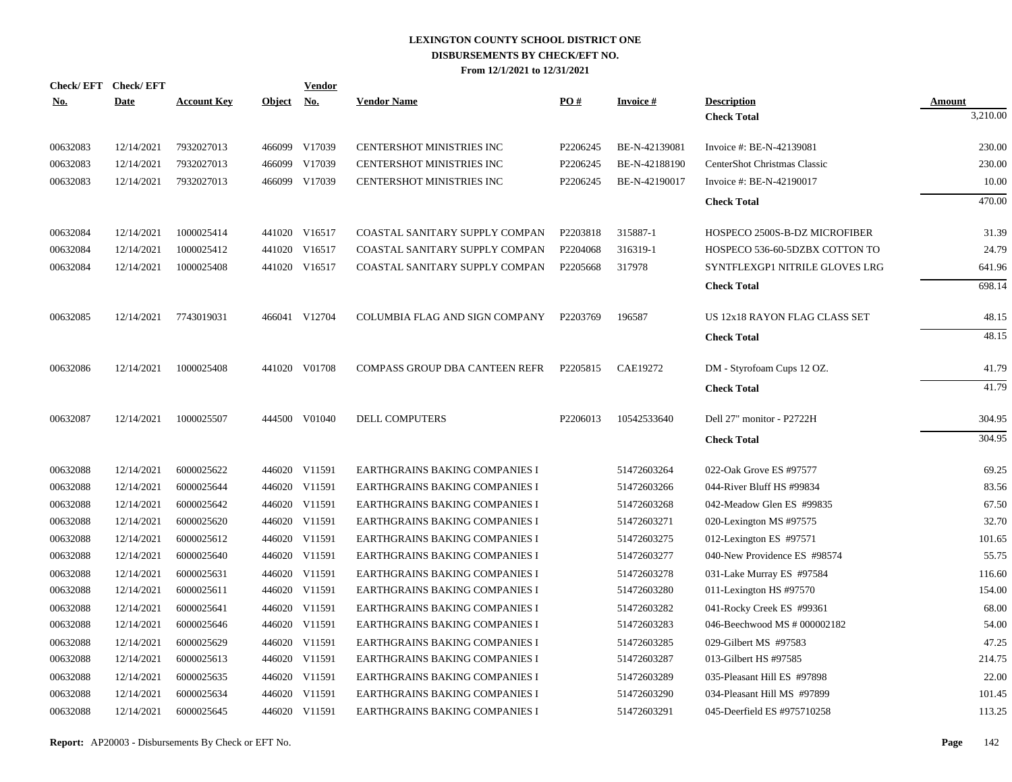| <b>Vendor</b>                         |                                                                                                                                                                                                                                                                                                                                                                                                               |                 |                                |               |
|---------------------------------------|---------------------------------------------------------------------------------------------------------------------------------------------------------------------------------------------------------------------------------------------------------------------------------------------------------------------------------------------------------------------------------------------------------------|-----------------|--------------------------------|---------------|
| <b>Vendor Name</b>                    | PO#                                                                                                                                                                                                                                                                                                                                                                                                           | <b>Invoice#</b> | <b>Description</b>             | <b>Amount</b> |
|                                       |                                                                                                                                                                                                                                                                                                                                                                                                               |                 | <b>Check Total</b>             | 3,210.00      |
| CENTERSHOT MINISTRIES INC             | P2206245                                                                                                                                                                                                                                                                                                                                                                                                      | BE-N-42139081   | Invoice #: BE-N-42139081       | 230.00        |
| <b>CENTERSHOT MINISTRIES INC</b>      | P2206245                                                                                                                                                                                                                                                                                                                                                                                                      | BE-N-42188190   | CenterShot Christmas Classic   | 230.00        |
| CENTERSHOT MINISTRIES INC             | P2206245                                                                                                                                                                                                                                                                                                                                                                                                      | BE-N-42190017   | Invoice #: BE-N-42190017       | 10.00         |
|                                       |                                                                                                                                                                                                                                                                                                                                                                                                               |                 | <b>Check Total</b>             | 470.00        |
| COASTAL SANITARY SUPPLY COMPAN        | P2203818                                                                                                                                                                                                                                                                                                                                                                                                      | 315887-1        | HOSPECO 2500S-B-DZ MICROFIBER  | 31.39         |
| COASTAL SANITARY SUPPLY COMPAN        | P2204068                                                                                                                                                                                                                                                                                                                                                                                                      | 316319-1        | HOSPECO 536-60-5DZBX COTTON TO | 24.79         |
| COASTAL SANITARY SUPPLY COMPAN        | P2205668                                                                                                                                                                                                                                                                                                                                                                                                      | 317978          | SYNTFLEXGP1 NITRILE GLOVES LRG | 641.96        |
|                                       |                                                                                                                                                                                                                                                                                                                                                                                                               |                 | <b>Check Total</b>             | 698.14        |
| COLUMBIA FLAG AND SIGN COMPANY        | P2203769                                                                                                                                                                                                                                                                                                                                                                                                      | 196587          | US 12x18 RAYON FLAG CLASS SET  | 48.15         |
|                                       |                                                                                                                                                                                                                                                                                                                                                                                                               |                 | <b>Check Total</b>             | 48.15         |
| <b>COMPASS GROUP DBA CANTEEN REFR</b> | P2205815                                                                                                                                                                                                                                                                                                                                                                                                      | CAE19272        | DM - Styrofoam Cups 12 OZ.     | 41.79         |
|                                       |                                                                                                                                                                                                                                                                                                                                                                                                               |                 | <b>Check Total</b>             | 41.79         |
| DELL COMPUTERS                        | P2206013                                                                                                                                                                                                                                                                                                                                                                                                      | 10542533640     | Dell 27" monitor - P2722H      | 304.95        |
|                                       |                                                                                                                                                                                                                                                                                                                                                                                                               |                 | <b>Check Total</b>             | 304.95        |
| <b>EARTHGRAINS BAKING COMPANIES I</b> |                                                                                                                                                                                                                                                                                                                                                                                                               | 51472603264     | 022-Oak Grove ES #97577        | 69.25         |
| EARTHGRAINS BAKING COMPANIES I        |                                                                                                                                                                                                                                                                                                                                                                                                               | 51472603266     | 044-River Bluff HS #99834      | 83.56         |
| <b>EARTHGRAINS BAKING COMPANIES I</b> |                                                                                                                                                                                                                                                                                                                                                                                                               | 51472603268     | 042-Meadow Glen ES #99835      | 67.50         |
| EARTHGRAINS BAKING COMPANIES I        |                                                                                                                                                                                                                                                                                                                                                                                                               | 51472603271     | 020-Lexington MS #97575        | 32.70         |
| <b>EARTHGRAINS BAKING COMPANIES I</b> |                                                                                                                                                                                                                                                                                                                                                                                                               | 51472603275     | 012-Lexington ES #97571        | 101.65        |
| EARTHGRAINS BAKING COMPANIES I        |                                                                                                                                                                                                                                                                                                                                                                                                               | 51472603277     | 040-New Providence ES #98574   | 55.75         |
| EARTHGRAINS BAKING COMPANIES I        |                                                                                                                                                                                                                                                                                                                                                                                                               | 51472603278     | 031-Lake Murray ES #97584      | 116.60        |
| EARTHGRAINS BAKING COMPANIES I        |                                                                                                                                                                                                                                                                                                                                                                                                               | 51472603280     | 011-Lexington HS #97570        | 154.00        |
| EARTHGRAINS BAKING COMPANIES I        |                                                                                                                                                                                                                                                                                                                                                                                                               | 51472603282     | 041-Rocky Creek ES #99361      | 68.00         |
| EARTHGRAINS BAKING COMPANIES I        |                                                                                                                                                                                                                                                                                                                                                                                                               | 51472603283     | 046-Beechwood MS # 000002182   | 54.00         |
| EARTHGRAINS BAKING COMPANIES I        |                                                                                                                                                                                                                                                                                                                                                                                                               | 51472603285     | 029-Gilbert MS #97583          | 47.25         |
| EARTHGRAINS BAKING COMPANIES I        |                                                                                                                                                                                                                                                                                                                                                                                                               | 51472603287     | 013-Gilbert HS #97585          | 214.75        |
| EARTHGRAINS BAKING COMPANIES I        |                                                                                                                                                                                                                                                                                                                                                                                                               | 51472603289     | 035-Pleasant Hill ES #97898    | 22.00         |
| <b>EARTHGRAINS BAKING COMPANIES I</b> |                                                                                                                                                                                                                                                                                                                                                                                                               | 51472603290     | 034-Pleasant Hill MS #97899    | 101.45        |
| EARTHGRAINS BAKING COMPANIES I        |                                                                                                                                                                                                                                                                                                                                                                                                               | 51472603291     | 045-Deerfield ES #975710258    | 113.25        |
|                                       | 466099 V17039<br>V17039<br>466099 V17039<br>441020 V16517<br>441020 V16517<br>441020 V16517<br>466041 V12704<br>441020 V01708<br>444500 V01040<br>446020 V11591<br>446020 V11591<br>446020 V11591<br>446020 V11591<br>446020 V11591<br>446020 V11591<br>446020 V11591<br>446020 V11591<br>446020 V11591<br>446020 V11591<br>446020 V11591<br>446020 V11591<br>446020 V11591<br>446020 V11591<br>446020 V11591 |                 |                                |               |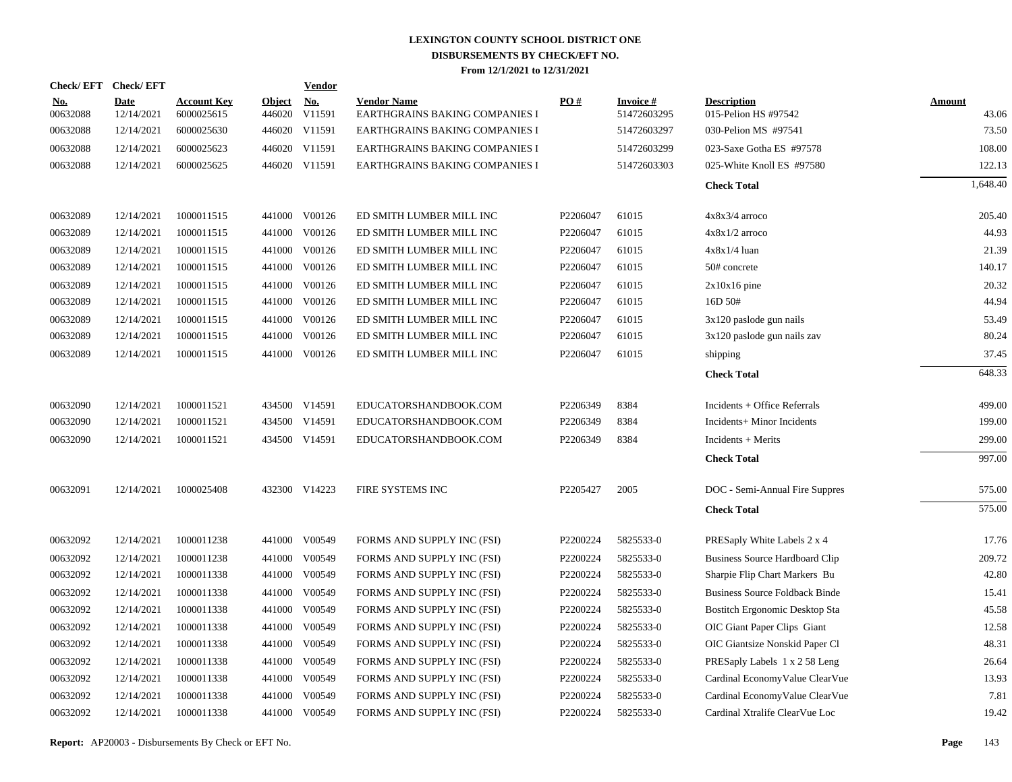| Check/EFT Check/EFT    |                           |                                  |                         | Vendor               |                                                      |                   |                                |                                            |                        |
|------------------------|---------------------------|----------------------------------|-------------------------|----------------------|------------------------------------------------------|-------------------|--------------------------------|--------------------------------------------|------------------------|
| <u>No.</u><br>00632088 | <b>Date</b><br>12/14/2021 | <b>Account Key</b><br>6000025615 | <b>Object</b><br>446020 | <u>No.</u><br>V11591 | <b>Vendor Name</b><br>EARTHGRAINS BAKING COMPANIES I | $\underline{PO#}$ | <b>Invoice#</b><br>51472603295 | <b>Description</b><br>015-Pelion HS #97542 | <b>Amount</b><br>43.06 |
| 00632088               | 12/14/2021                | 6000025630                       |                         | 446020 V11591        | EARTHGRAINS BAKING COMPANIES I                       |                   | 51472603297                    | 030-Pelion MS #97541                       | 73.50                  |
| 00632088               | 12/14/2021                | 6000025623                       |                         | 446020 V11591        | EARTHGRAINS BAKING COMPANIES I                       |                   | 51472603299                    | 023-Saxe Gotha ES #97578                   | 108.00                 |
| 00632088               | 12/14/2021                | 6000025625                       |                         | 446020 V11591        | EARTHGRAINS BAKING COMPANIES I                       |                   | 51472603303                    | 025-White Knoll ES #97580                  | 122.13                 |
|                        |                           |                                  |                         |                      |                                                      |                   |                                | <b>Check Total</b>                         | 1,648.40               |
| 00632089               | 12/14/2021                | 1000011515                       |                         | 441000 V00126        | ED SMITH LUMBER MILL INC                             | P2206047          | 61015                          | $4x8x3/4$ arroco                           | 205.40                 |
| 00632089               | 12/14/2021                | 1000011515                       | 441000                  | V00126               | ED SMITH LUMBER MILL INC                             | P2206047          | 61015                          | $4x8x1/2$ arroco                           | 44.93                  |
| 00632089               | 12/14/2021                | 1000011515                       | 441000                  | V00126               | ED SMITH LUMBER MILL INC                             | P2206047          | 61015                          | $4x8x1/4$ luan                             | 21.39                  |
| 00632089               | 12/14/2021                | 1000011515                       | 441000                  | V00126               | ED SMITH LUMBER MILL INC                             | P2206047          | 61015                          | 50# concrete                               | 140.17                 |
| 00632089               | 12/14/2021                | 1000011515                       |                         | 441000 V00126        | ED SMITH LUMBER MILL INC                             | P2206047          | 61015                          | $2x10x16$ pine                             | 20.32                  |
| 00632089               | 12/14/2021                | 1000011515                       | 441000                  | V00126               | ED SMITH LUMBER MILL INC                             | P2206047          | 61015                          | 16D 50#                                    | 44.94                  |
| 00632089               | 12/14/2021                | 1000011515                       |                         | 441000 V00126        | ED SMITH LUMBER MILL INC                             | P2206047          | 61015                          | 3x120 paslode gun nails                    | 53.49                  |
| 00632089               | 12/14/2021                | 1000011515                       |                         | 441000 V00126        | ED SMITH LUMBER MILL INC                             | P2206047          | 61015                          | $3x120$ paslode gun nails zav              | 80.24                  |
| 00632089               | 12/14/2021                | 1000011515                       |                         | 441000 V00126        | ED SMITH LUMBER MILL INC                             | P2206047          | 61015                          | shipping                                   | 37.45                  |
|                        |                           |                                  |                         |                      |                                                      |                   |                                | <b>Check Total</b>                         | 648.33                 |
| 00632090               | 12/14/2021                | 1000011521                       |                         | 434500 V14591        | EDUCATORSHANDBOOK.COM                                | P2206349          | 8384                           | Incidents + Office Referrals               | 499.00                 |
| 00632090               | 12/14/2021                | 1000011521                       |                         | 434500 V14591        | EDUCATORSHANDBOOK.COM                                | P2206349          | 8384                           | Incidents+ Minor Incidents                 | 199.00                 |
| 00632090               | 12/14/2021                | 1000011521                       |                         | 434500 V14591        | EDUCATORSHANDBOOK.COM                                | P2206349          | 8384                           | Incidents + Merits                         | 299.00                 |
|                        |                           |                                  |                         |                      |                                                      |                   |                                | <b>Check Total</b>                         | 997.00                 |
| 00632091               | 12/14/2021                | 1000025408                       |                         | 432300 V14223        | FIRE SYSTEMS INC                                     | P2205427          | 2005                           | DOC - Semi-Annual Fire Suppres             | 575.00                 |
|                        |                           |                                  |                         |                      |                                                      |                   |                                | <b>Check Total</b>                         | 575.00                 |
| 00632092               | 12/14/2021                | 1000011238                       |                         | 441000 V00549        | FORMS AND SUPPLY INC (FSI)                           | P2200224          | 5825533-0                      | PRESaply White Labels 2 x 4                | 17.76                  |
| 00632092               | 12/14/2021                | 1000011238                       | 441000                  | V00549               | FORMS AND SUPPLY INC (FSI)                           | P2200224          | 5825533-0                      | <b>Business Source Hardboard Clip</b>      | 209.72                 |
| 00632092               | 12/14/2021                | 1000011338                       | 441000                  | V00549               | FORMS AND SUPPLY INC (FSI)                           | P2200224          | 5825533-0                      | Sharpie Flip Chart Markers Bu              | 42.80                  |
| 00632092               | 12/14/2021                | 1000011338                       | 441000                  | V00549               | FORMS AND SUPPLY INC (FSI)                           | P2200224          | 5825533-0                      | <b>Business Source Foldback Binde</b>      | 15.41                  |
| 00632092               | 12/14/2021                | 1000011338                       | 441000                  | V00549               | FORMS AND SUPPLY INC (FSI)                           | P2200224          | 5825533-0                      | Bostitch Ergonomic Desktop Sta             | 45.58                  |
| 00632092               | 12/14/2021                | 1000011338                       | 441000                  | V00549               | FORMS AND SUPPLY INC (FSI)                           | P2200224          | 5825533-0                      | OIC Giant Paper Clips Giant                | 12.58                  |
| 00632092               | 12/14/2021                | 1000011338                       | 441000                  | V00549               | FORMS AND SUPPLY INC (FSI)                           | P2200224          | 5825533-0                      | OIC Giantsize Nonskid Paper Cl             | 48.31                  |
| 00632092               | 12/14/2021                | 1000011338                       | 441000                  | V00549               | FORMS AND SUPPLY INC (FSI)                           | P2200224          | 5825533-0                      | PRESaply Labels 1 x 2 58 Leng              | 26.64                  |
| 00632092               | 12/14/2021                | 1000011338                       | 441000                  | V00549               | FORMS AND SUPPLY INC (FSI)                           | P2200224          | 5825533-0                      | Cardinal EconomyValue ClearVue             | 13.93                  |
| 00632092               | 12/14/2021                | 1000011338                       | 441000                  | V00549               | FORMS AND SUPPLY INC (FSI)                           | P2200224          | 5825533-0                      | Cardinal EconomyValue ClearVue             | 7.81                   |
| 00632092               | 12/14/2021                | 1000011338                       |                         | 441000 V00549        | FORMS AND SUPPLY INC (FSI)                           | P2200224          | 5825533-0                      | Cardinal Xtralife ClearVue Loc             | 19.42                  |

**Report:** AP20003 - Disbursements By Check or EFT No. **Page** 143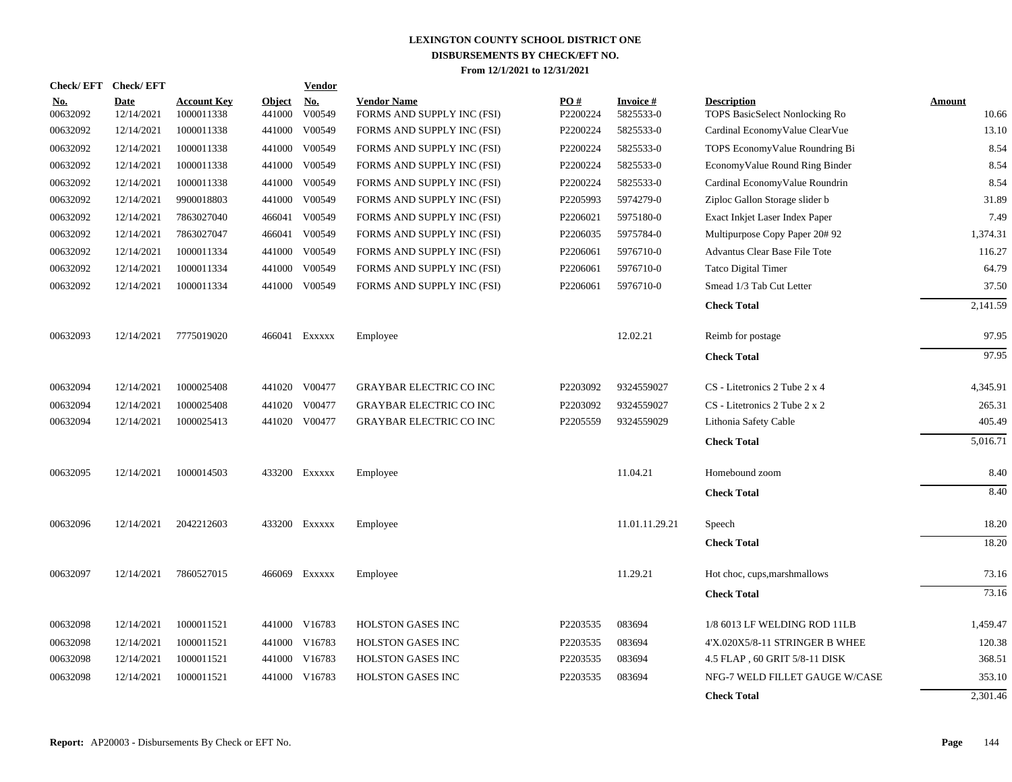|                        | Check/EFT Check/EFT       |                                  |                  | <b>Vendor</b> |                                                  |                 |                              |                                                      |                        |
|------------------------|---------------------------|----------------------------------|------------------|---------------|--------------------------------------------------|-----------------|------------------------------|------------------------------------------------------|------------------------|
| <u>No.</u><br>00632092 | <b>Date</b><br>12/14/2021 | <b>Account Key</b><br>1000011338 | Object<br>441000 | No.<br>V00549 | <b>Vendor Name</b><br>FORMS AND SUPPLY INC (FSI) | PO#<br>P2200224 | <b>Invoice#</b><br>5825533-0 | <b>Description</b><br>TOPS BasicSelect Nonlocking Ro | <b>Amount</b><br>10.66 |
| 00632092               | 12/14/2021                | 1000011338                       | 441000           | V00549        | FORMS AND SUPPLY INC (FSI)                       | P2200224        | 5825533-0                    | Cardinal EconomyValue ClearVue                       | 13.10                  |
| 00632092               | 12/14/2021                | 1000011338                       | 441000           | V00549        | FORMS AND SUPPLY INC (FSI)                       | P2200224        | 5825533-0                    | TOPS EconomyValue Roundring Bi                       | 8.54                   |
| 00632092               | 12/14/2021                | 1000011338                       | 441000           | V00549        | FORMS AND SUPPLY INC (FSI)                       | P2200224        | 5825533-0                    | EconomyValue Round Ring Binder                       | 8.54                   |
| 00632092               | 12/14/2021                | 1000011338                       | 441000           | V00549        | FORMS AND SUPPLY INC (FSI)                       | P2200224        | 5825533-0                    | Cardinal EconomyValue Roundrin                       | 8.54                   |
| 00632092               | 12/14/2021                | 9900018803                       | 441000           | V00549        | FORMS AND SUPPLY INC (FSI)                       | P2205993        | 5974279-0                    | Ziploc Gallon Storage slider b                       | 31.89                  |
| 00632092               | 12/14/2021                | 7863027040                       | 466041           | V00549        | FORMS AND SUPPLY INC (FSI)                       | P2206021        | 5975180-0                    | Exact Inkjet Laser Index Paper                       | 7.49                   |
| 00632092               | 12/14/2021                | 7863027047                       | 466041           | V00549        | FORMS AND SUPPLY INC (FSI)                       | P2206035        | 5975784-0                    | Multipurpose Copy Paper 20#92                        | 1,374.31               |
| 00632092               | 12/14/2021                | 1000011334                       | 441000           | V00549        | FORMS AND SUPPLY INC (FSI)                       | P2206061        | 5976710-0                    | Advantus Clear Base File Tote                        | 116.27                 |
| 00632092               | 12/14/2021                | 1000011334                       | 441000           | V00549        | FORMS AND SUPPLY INC (FSI)                       | P2206061        | 5976710-0                    | Tatco Digital Timer                                  | 64.79                  |
| 00632092               | 12/14/2021                | 1000011334                       |                  | 441000 V00549 | FORMS AND SUPPLY INC (FSI)                       | P2206061        | 5976710-0                    | Smead 1/3 Tab Cut Letter                             | 37.50                  |
|                        |                           |                                  |                  |               |                                                  |                 |                              | <b>Check Total</b>                                   | 2,141.59               |
| 00632093               | 12/14/2021                | 7775019020                       |                  | 466041 EXXXXX | Employee                                         |                 | 12.02.21                     | Reimb for postage                                    | 97.95                  |
|                        |                           |                                  |                  |               |                                                  |                 |                              | <b>Check Total</b>                                   | 97.95                  |
| 00632094               | 12/14/2021                | 1000025408                       |                  | 441020 V00477 | <b>GRAYBAR ELECTRIC CO INC</b>                   | P2203092        | 9324559027                   | CS - Litetronics 2 Tube 2 x 4                        | 4,345.91               |
| 00632094               | 12/14/2021                | 1000025408                       |                  | 441020 V00477 | <b>GRAYBAR ELECTRIC CO INC</b>                   | P2203092        | 9324559027                   | CS - Litetronics 2 Tube 2 x 2                        | 265.31                 |
| 00632094               | 12/14/2021                | 1000025413                       |                  | 441020 V00477 | <b>GRAYBAR ELECTRIC CO INC</b>                   | P2205559        | 9324559029                   | Lithonia Safety Cable                                | 405.49                 |
|                        |                           |                                  |                  |               |                                                  |                 |                              | <b>Check Total</b>                                   | 5,016.71               |
| 00632095               | 12/14/2021                | 1000014503                       |                  | 433200 Exxxxx | Employee                                         |                 | 11.04.21                     | Homebound zoom                                       | 8.40                   |
|                        |                           |                                  |                  |               |                                                  |                 |                              | <b>Check Total</b>                                   | 8.40                   |
| 00632096               | 12/14/2021                | 2042212603                       |                  | 433200 Exxxxx | Employee                                         |                 | 11.01.11.29.21               | Speech                                               | 18.20                  |
|                        |                           |                                  |                  |               |                                                  |                 |                              | <b>Check Total</b>                                   | 18.20                  |
| 00632097               | 12/14/2021                | 7860527015                       |                  | 466069 Exxxxx | Employee                                         |                 | 11.29.21                     | Hot choc, cups, marshmallows                         | 73.16                  |
|                        |                           |                                  |                  |               |                                                  |                 |                              | <b>Check Total</b>                                   | 73.16                  |
| 00632098               | 12/14/2021                | 1000011521                       |                  | 441000 V16783 | <b>HOLSTON GASES INC</b>                         | P2203535        | 083694                       | 1/8 6013 LF WELDING ROD 11LB                         | 1,459.47               |
| 00632098               | 12/14/2021                | 1000011521                       | 441000           | V16783        | <b>HOLSTON GASES INC</b>                         | P2203535        | 083694                       | 4'X.020X5/8-11 STRINGER B WHEE                       | 120.38                 |
| 00632098               | 12/14/2021                | 1000011521                       | 441000           | V16783        | HOLSTON GASES INC                                | P2203535        | 083694                       | 4.5 FLAP, 60 GRIT 5/8-11 DISK                        | 368.51                 |
| 00632098               | 12/14/2021                | 1000011521                       | 441000           | V16783        | <b>HOLSTON GASES INC</b>                         | P2203535        | 083694                       | NFG-7 WELD FILLET GAUGE W/CASE                       | 353.10                 |
|                        |                           |                                  |                  |               |                                                  |                 |                              | <b>Check Total</b>                                   | 2,301.46               |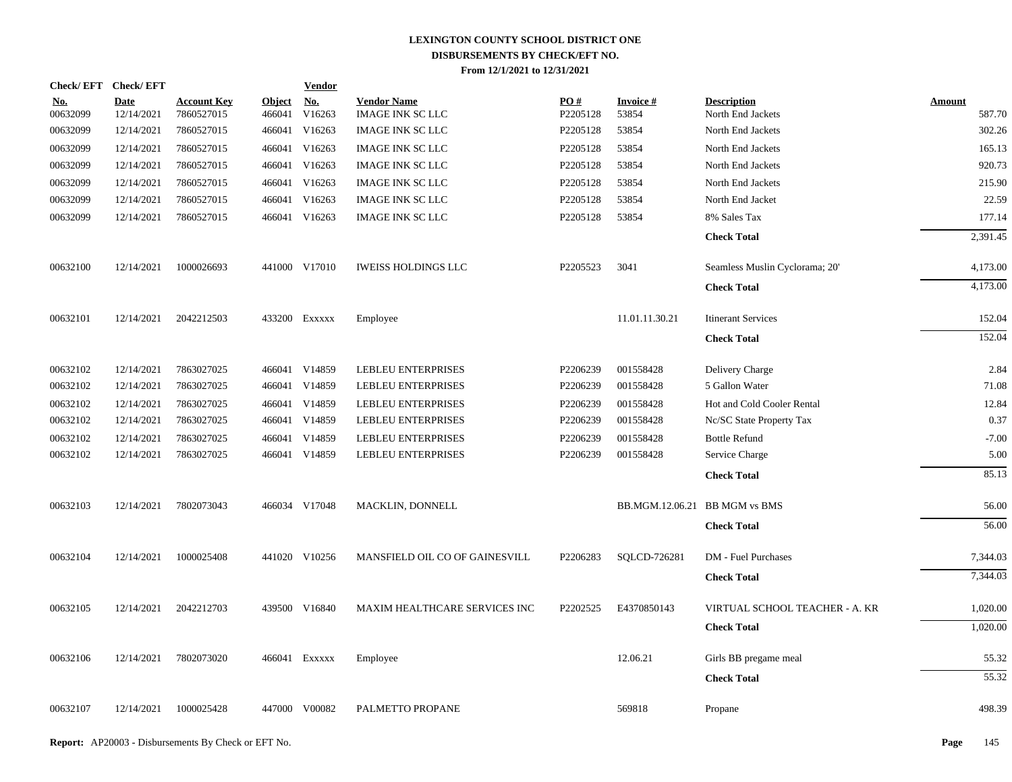| Check/EFT Check/EFT    |                           |                                  |                         | <b>Vendor</b>        |                                               |                 |                               |                                         |                  |
|------------------------|---------------------------|----------------------------------|-------------------------|----------------------|-----------------------------------------------|-----------------|-------------------------------|-----------------------------------------|------------------|
| <u>No.</u><br>00632099 | <b>Date</b><br>12/14/2021 | <b>Account Key</b><br>7860527015 | <b>Object</b><br>466041 | <u>No.</u><br>V16263 | <b>Vendor Name</b><br><b>IMAGE INK SC LLC</b> | PO#<br>P2205128 | <b>Invoice#</b><br>53854      | <b>Description</b><br>North End Jackets | Amount<br>587.70 |
| 00632099               | 12/14/2021                | 7860527015                       |                         | 466041 V16263        | <b>IMAGE INK SC LLC</b>                       | P2205128        | 53854                         | North End Jackets                       | 302.26           |
| 00632099               | 12/14/2021                | 7860527015                       |                         | 466041 V16263        | <b>IMAGE INK SC LLC</b>                       | P2205128        | 53854                         | North End Jackets                       | 165.13           |
| 00632099               | 12/14/2021                | 7860527015                       |                         | 466041 V16263        | <b>IMAGE INK SC LLC</b>                       | P2205128        | 53854                         | North End Jackets                       | 920.73           |
| 00632099               | 12/14/2021                | 7860527015                       |                         | 466041 V16263        | <b>IMAGE INK SC LLC</b>                       | P2205128        | 53854                         | North End Jackets                       | 215.90           |
| 00632099               | 12/14/2021                | 7860527015                       |                         | 466041 V16263        | <b>IMAGE INK SC LLC</b>                       | P2205128        | 53854                         | North End Jacket                        | 22.59            |
| 00632099               | 12/14/2021                | 7860527015                       |                         | 466041 V16263        | <b>IMAGE INK SC LLC</b>                       | P2205128        | 53854                         | 8% Sales Tax                            | 177.14           |
|                        |                           |                                  |                         |                      |                                               |                 |                               | <b>Check Total</b>                      | 2,391.45         |
| 00632100               | 12/14/2021                | 1000026693                       |                         | 441000 V17010        | <b>IWEISS HOLDINGS LLC</b>                    | P2205523        | 3041                          | Seamless Muslin Cyclorama; 20'          | 4,173.00         |
|                        |                           |                                  |                         |                      |                                               |                 |                               | <b>Check Total</b>                      | 4,173.00         |
| 00632101               | 12/14/2021                | 2042212503                       |                         | 433200 Exxxxx        | Employee                                      |                 | 11.01.11.30.21                | <b>Itinerant Services</b>               | 152.04           |
|                        |                           |                                  |                         |                      |                                               |                 |                               | <b>Check Total</b>                      | 152.04           |
| 00632102               | 12/14/2021                | 7863027025                       |                         | 466041 V14859        | <b>LEBLEU ENTERPRISES</b>                     | P2206239        | 001558428                     | Delivery Charge                         | 2.84             |
| 00632102               | 12/14/2021                | 7863027025                       |                         | 466041 V14859        | <b>LEBLEU ENTERPRISES</b>                     | P2206239        | 001558428                     | 5 Gallon Water                          | 71.08            |
| 00632102               | 12/14/2021                | 7863027025                       |                         | 466041 V14859        | <b>LEBLEU ENTERPRISES</b>                     | P2206239        | 001558428                     | Hot and Cold Cooler Rental              | 12.84            |
| 00632102               | 12/14/2021                | 7863027025                       |                         | 466041 V14859        | <b>LEBLEU ENTERPRISES</b>                     | P2206239        | 001558428                     | Nc/SC State Property Tax                | 0.37             |
| 00632102               | 12/14/2021                | 7863027025                       | 466041                  | V14859               | <b>LEBLEU ENTERPRISES</b>                     | P2206239        | 001558428                     | <b>Bottle Refund</b>                    | $-7.00$          |
| 00632102               | 12/14/2021                | 7863027025                       |                         | 466041 V14859        | <b>LEBLEU ENTERPRISES</b>                     | P2206239        | 001558428                     | Service Charge                          | 5.00             |
|                        |                           |                                  |                         |                      |                                               |                 |                               | <b>Check Total</b>                      | 85.13            |
| 00632103               | 12/14/2021                | 7802073043                       |                         | 466034 V17048        | MACKLIN, DONNELL                              |                 | BB.MGM.12.06.21 BB MGM vs BMS |                                         | 56.00            |
|                        |                           |                                  |                         |                      |                                               |                 |                               | <b>Check Total</b>                      | 56.00            |
| 00632104               | 12/14/2021                | 1000025408                       |                         | 441020 V10256        | MANSFIELD OIL CO OF GAINESVILL                | P2206283        | SQLCD-726281                  | DM - Fuel Purchases                     | 7,344.03         |
|                        |                           |                                  |                         |                      |                                               |                 |                               | <b>Check Total</b>                      | 7,344.03         |
| 00632105               | 12/14/2021                | 2042212703                       |                         | 439500 V16840        | MAXIM HEALTHCARE SERVICES INC                 | P2202525        | E4370850143                   | VIRTUAL SCHOOL TEACHER - A. KR          | 1,020.00         |
|                        |                           |                                  |                         |                      |                                               |                 |                               | <b>Check Total</b>                      | 1,020.00         |
| 00632106               | 12/14/2021                | 7802073020                       |                         | 466041 EXXXXX        | Employee                                      |                 | 12.06.21                      | Girls BB pregame meal                   | 55.32            |
|                        |                           |                                  |                         |                      |                                               |                 |                               | <b>Check Total</b>                      | 55.32            |
| 00632107               | 12/14/2021                | 1000025428                       |                         | 447000 V00082        | PALMETTO PROPANE                              |                 | 569818                        | Propane                                 | 498.39           |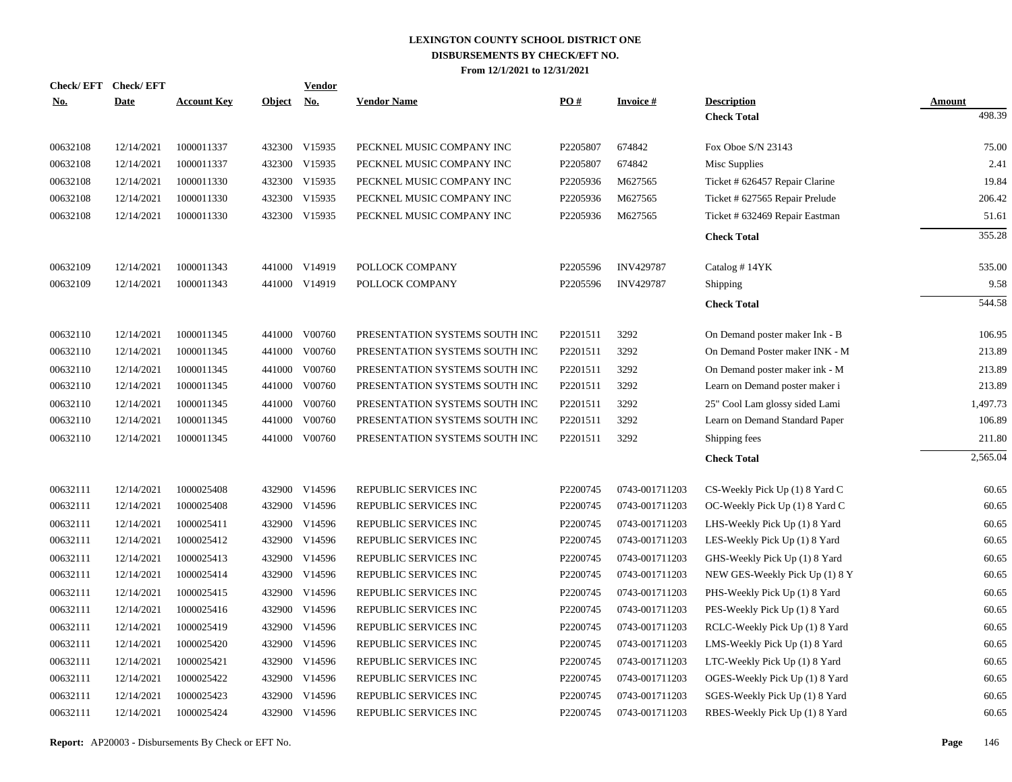| <u>No.</u> | Check/EFT Check/EFT<br><b>Date</b> | <b>Account Key</b> | Object No. | <b>Vendor</b> | <b>Vendor Name</b>             | PO#      | <b>Invoice#</b>  | <b>Description</b>             | Amount   |
|------------|------------------------------------|--------------------|------------|---------------|--------------------------------|----------|------------------|--------------------------------|----------|
|            |                                    |                    |            |               |                                |          |                  | <b>Check Total</b>             | 498.39   |
| 00632108   | 12/14/2021                         | 1000011337         |            | 432300 V15935 | PECKNEL MUSIC COMPANY INC      | P2205807 | 674842           | Fox Oboe S/N 23143             | 75.00    |
| 00632108   | 12/14/2021                         | 1000011337         |            | 432300 V15935 | PECKNEL MUSIC COMPANY INC      | P2205807 | 674842           | Misc Supplies                  | 2.41     |
| 00632108   | 12/14/2021                         | 1000011330         |            | 432300 V15935 | PECKNEL MUSIC COMPANY INC      | P2205936 | M627565          | Ticket # 626457 Repair Clarine | 19.84    |
| 00632108   | 12/14/2021                         | 1000011330         |            | 432300 V15935 | PECKNEL MUSIC COMPANY INC      | P2205936 | M627565          | Ticket # 627565 Repair Prelude | 206.42   |
| 00632108   | 12/14/2021                         | 1000011330         |            | 432300 V15935 | PECKNEL MUSIC COMPANY INC      | P2205936 | M627565          | Ticket # 632469 Repair Eastman | 51.61    |
|            |                                    |                    |            |               |                                |          |                  | <b>Check Total</b>             | 355.28   |
| 00632109   | 12/14/2021                         | 1000011343         |            | 441000 V14919 | POLLOCK COMPANY                | P2205596 | <b>INV429787</b> | Catalog #14YK                  | 535.00   |
| 00632109   | 12/14/2021                         | 1000011343         |            | 441000 V14919 | POLLOCK COMPANY                | P2205596 | <b>INV429787</b> | Shipping                       | 9.58     |
|            |                                    |                    |            |               |                                |          |                  | <b>Check Total</b>             | 544.58   |
| 00632110   | 12/14/2021                         | 1000011345         | 441000     | V00760        | PRESENTATION SYSTEMS SOUTH INC | P2201511 | 3292             | On Demand poster maker Ink - B | 106.95   |
| 00632110   | 12/14/2021                         | 1000011345         | 441000     | V00760        | PRESENTATION SYSTEMS SOUTH INC | P2201511 | 3292             | On Demand Poster maker INK - M | 213.89   |
| 00632110   | 12/14/2021                         | 1000011345         | 441000     | V00760        | PRESENTATION SYSTEMS SOUTH INC | P2201511 | 3292             | On Demand poster maker ink - M | 213.89   |
| 00632110   | 12/14/2021                         | 1000011345         | 441000     | V00760        | PRESENTATION SYSTEMS SOUTH INC | P2201511 | 3292             | Learn on Demand poster maker i | 213.89   |
| 00632110   | 12/14/2021                         | 1000011345         | 441000     | V00760        | PRESENTATION SYSTEMS SOUTH INC | P2201511 | 3292             | 25" Cool Lam glossy sided Lami | 1,497.73 |
| 00632110   | 12/14/2021                         | 1000011345         | 441000     | V00760        | PRESENTATION SYSTEMS SOUTH INC | P2201511 | 3292             | Learn on Demand Standard Paper | 106.89   |
| 00632110   | 12/14/2021                         | 1000011345         | 441000     | V00760        | PRESENTATION SYSTEMS SOUTH INC | P2201511 | 3292             | Shipping fees                  | 211.80   |
|            |                                    |                    |            |               |                                |          |                  | <b>Check Total</b>             | 2,565.04 |
| 00632111   | 12/14/2021                         | 1000025408         | 432900     | V14596        | REPUBLIC SERVICES INC          | P2200745 | 0743-001711203   | CS-Weekly Pick Up (1) 8 Yard C | 60.65    |
| 00632111   | 12/14/2021                         | 1000025408         | 432900     | V14596        | REPUBLIC SERVICES INC          | P2200745 | 0743-001711203   | OC-Weekly Pick Up (1) 8 Yard C | 60.65    |
| 00632111   | 12/14/2021                         | 1000025411         | 432900     | V14596        | REPUBLIC SERVICES INC          | P2200745 | 0743-001711203   | LHS-Weekly Pick Up (1) 8 Yard  | 60.65    |
| 00632111   | 12/14/2021                         | 1000025412         | 432900     | V14596        | REPUBLIC SERVICES INC          | P2200745 | 0743-001711203   | LES-Weekly Pick Up (1) 8 Yard  | 60.65    |
| 00632111   | 12/14/2021                         | 1000025413         | 432900     | V14596        | REPUBLIC SERVICES INC          | P2200745 | 0743-001711203   | GHS-Weekly Pick Up (1) 8 Yard  | 60.65    |
| 00632111   | 12/14/2021                         | 1000025414         | 432900     | V14596        | REPUBLIC SERVICES INC          | P2200745 | 0743-001711203   | NEW GES-Weekly Pick Up (1) 8 Y | 60.65    |
| 00632111   | 12/14/2021                         | 1000025415         | 432900     | V14596        | REPUBLIC SERVICES INC          | P2200745 | 0743-001711203   | PHS-Weekly Pick Up (1) 8 Yard  | 60.65    |
| 00632111   | 12/14/2021                         | 1000025416         | 432900     | V14596        | REPUBLIC SERVICES INC          | P2200745 | 0743-001711203   | PES-Weekly Pick Up (1) 8 Yard  | 60.65    |
| 00632111   | 12/14/2021                         | 1000025419         | 432900     | V14596        | REPUBLIC SERVICES INC          | P2200745 | 0743-001711203   | RCLC-Weekly Pick Up (1) 8 Yard | 60.65    |
| 00632111   | 12/14/2021                         | 1000025420         | 432900     | V14596        | REPUBLIC SERVICES INC          | P2200745 | 0743-001711203   | LMS-Weekly Pick Up (1) 8 Yard  | 60.65    |
| 00632111   | 12/14/2021                         | 1000025421         | 432900     | V14596        | REPUBLIC SERVICES INC          | P2200745 | 0743-001711203   | LTC-Weekly Pick Up (1) 8 Yard  | 60.65    |
| 00632111   | 12/14/2021                         | 1000025422         | 432900     | V14596        | REPUBLIC SERVICES INC          | P2200745 | 0743-001711203   | OGES-Weekly Pick Up (1) 8 Yard | 60.65    |
| 00632111   | 12/14/2021                         | 1000025423         | 432900     | V14596        | REPUBLIC SERVICES INC          | P2200745 | 0743-001711203   | SGES-Weekly Pick Up (1) 8 Yard | 60.65    |
| 00632111   | 12/14/2021                         | 1000025424         |            | 432900 V14596 | REPUBLIC SERVICES INC          | P2200745 | 0743-001711203   | RBES-Weekly Pick Up (1) 8 Yard | 60.65    |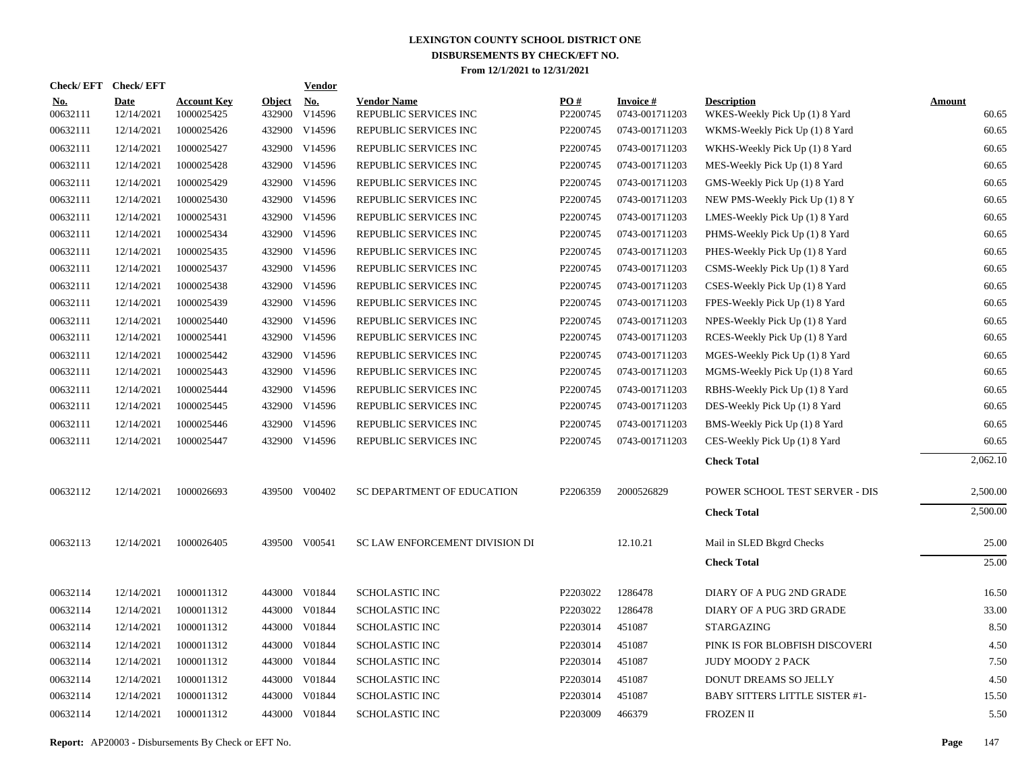| Check/EFT Check/EFT    |                    |                                  |                         | <b>Vendor</b> |                                             |                        |                                   |                                                      |                 |
|------------------------|--------------------|----------------------------------|-------------------------|---------------|---------------------------------------------|------------------------|-----------------------------------|------------------------------------------------------|-----------------|
| <u>No.</u><br>00632111 | Date<br>12/14/2021 | <b>Account Key</b><br>1000025425 | <b>Object</b><br>432900 | No.<br>V14596 | <b>Vendor Name</b><br>REPUBLIC SERVICES INC | <b>PO#</b><br>P2200745 | <b>Invoice#</b><br>0743-001711203 | <b>Description</b><br>WKES-Weekly Pick Up (1) 8 Yard | Amount<br>60.65 |
| 00632111               | 12/14/2021         | 1000025426                       |                         | 432900 V14596 | REPUBLIC SERVICES INC                       | P2200745               | 0743-001711203                    | WKMS-Weekly Pick Up (1) 8 Yard                       | 60.65           |
| 00632111               | 12/14/2021         | 1000025427                       |                         | 432900 V14596 | REPUBLIC SERVICES INC                       | P2200745               | 0743-001711203                    | WKHS-Weekly Pick Up (1) 8 Yard                       | 60.65           |
| 00632111               | 12/14/2021         | 1000025428                       |                         | 432900 V14596 | REPUBLIC SERVICES INC                       | P2200745               | 0743-001711203                    | MES-Weekly Pick Up (1) 8 Yard                        | 60.65           |
| 00632111               | 12/14/2021         | 1000025429                       |                         | 432900 V14596 | REPUBLIC SERVICES INC                       | P2200745               | 0743-001711203                    | GMS-Weekly Pick Up (1) 8 Yard                        | 60.65           |
| 00632111               | 12/14/2021         | 1000025430                       |                         | 432900 V14596 | REPUBLIC SERVICES INC                       | P2200745               | 0743-001711203                    | NEW PMS-Weekly Pick Up (1) 8 Y                       | 60.65           |
| 00632111               | 12/14/2021         | 1000025431                       |                         | 432900 V14596 | REPUBLIC SERVICES INC                       | P2200745               | 0743-001711203                    | LMES-Weekly Pick Up (1) 8 Yard                       | 60.65           |
| 00632111               | 12/14/2021         | 1000025434                       |                         | 432900 V14596 | REPUBLIC SERVICES INC                       | P2200745               | 0743-001711203                    | PHMS-Weekly Pick Up (1) 8 Yard                       | 60.65           |
| 00632111               | 12/14/2021         | 1000025435                       | 432900                  | V14596        | REPUBLIC SERVICES INC                       | P2200745               | 0743-001711203                    | PHES-Weekly Pick Up (1) 8 Yard                       | 60.65           |
| 00632111               | 12/14/2021         | 1000025437                       | 432900                  | V14596        | REPUBLIC SERVICES INC                       | P2200745               | 0743-001711203                    | CSMS-Weekly Pick Up (1) 8 Yard                       | 60.65           |
| 00632111               | 12/14/2021         | 1000025438                       | 432900                  | V14596        | REPUBLIC SERVICES INC                       | P2200745               | 0743-001711203                    | CSES-Weekly Pick Up (1) 8 Yard                       | 60.65           |
| 00632111               | 12/14/2021         | 1000025439                       | 432900                  | V14596        | REPUBLIC SERVICES INC                       | P2200745               | 0743-001711203                    | FPES-Weekly Pick Up (1) 8 Yard                       | 60.65           |
| 00632111               | 12/14/2021         | 1000025440                       | 432900                  | V14596        | REPUBLIC SERVICES INC                       | P2200745               | 0743-001711203                    | NPES-Weekly Pick Up (1) 8 Yard                       | 60.65           |
| 00632111               | 12/14/2021         | 1000025441                       | 432900                  | V14596        | REPUBLIC SERVICES INC                       | P2200745               | 0743-001711203                    | RCES-Weekly Pick Up (1) 8 Yard                       | 60.65           |
| 00632111               | 12/14/2021         | 1000025442                       | 432900                  | V14596        | REPUBLIC SERVICES INC                       | P2200745               | 0743-001711203                    | MGES-Weekly Pick Up (1) 8 Yard                       | 60.65           |
| 00632111               | 12/14/2021         | 1000025443                       | 432900                  | V14596        | REPUBLIC SERVICES INC                       | P2200745               | 0743-001711203                    | MGMS-Weekly Pick Up (1) 8 Yard                       | 60.65           |
| 00632111               | 12/14/2021         | 1000025444                       | 432900                  | V14596        | REPUBLIC SERVICES INC                       | P2200745               | 0743-001711203                    | RBHS-Weekly Pick Up (1) 8 Yard                       | 60.65           |
| 00632111               | 12/14/2021         | 1000025445                       | 432900                  | V14596        | REPUBLIC SERVICES INC                       | P2200745               | 0743-001711203                    | DES-Weekly Pick Up (1) 8 Yard                        | 60.65           |
| 00632111               | 12/14/2021         | 1000025446                       | 432900                  | V14596        | REPUBLIC SERVICES INC                       | P2200745               | 0743-001711203                    | BMS-Weekly Pick Up (1) 8 Yard                        | 60.65           |
| 00632111               | 12/14/2021         | 1000025447                       | 432900                  | V14596        | REPUBLIC SERVICES INC                       | P2200745               | 0743-001711203                    | CES-Weekly Pick Up (1) 8 Yard                        | 60.65           |
|                        |                    |                                  |                         |               |                                             |                        |                                   | <b>Check Total</b>                                   | 2,062.10        |
| 00632112               | 12/14/2021         | 1000026693                       |                         | 439500 V00402 | SC DEPARTMENT OF EDUCATION                  | P2206359               | 2000526829                        | POWER SCHOOL TEST SERVER - DIS                       | 2,500.00        |
|                        |                    |                                  |                         |               |                                             |                        |                                   | <b>Check Total</b>                                   | 2,500.00        |
| 00632113               | 12/14/2021         | 1000026405                       |                         | 439500 V00541 | SC LAW ENFORCEMENT DIVISION DI              |                        | 12.10.21                          | Mail in SLED Bkgrd Checks                            | 25.00           |
|                        |                    |                                  |                         |               |                                             |                        |                                   | <b>Check Total</b>                                   | 25.00           |
| 00632114               | 12/14/2021         | 1000011312                       |                         | 443000 V01844 | <b>SCHOLASTIC INC</b>                       | P2203022               | 1286478                           | DIARY OF A PUG 2ND GRADE                             | 16.50           |
| 00632114               | 12/14/2021         | 1000011312                       | 443000                  | V01844        | <b>SCHOLASTIC INC</b>                       | P2203022               | 1286478                           | DIARY OF A PUG 3RD GRADE                             | 33.00           |
| 00632114               | 12/14/2021         | 1000011312                       |                         | 443000 V01844 | <b>SCHOLASTIC INC</b>                       | P2203014               | 451087                            | <b>STARGAZING</b>                                    | 8.50            |
| 00632114               | 12/14/2021         | 1000011312                       | 443000                  | V01844        | <b>SCHOLASTIC INC</b>                       | P2203014               | 451087                            | PINK IS FOR BLOBFISH DISCOVERI                       | 4.50            |
| 00632114               | 12/14/2021         | 1000011312                       |                         | 443000 V01844 | <b>SCHOLASTIC INC</b>                       | P2203014               | 451087                            | JUDY MOODY 2 PACK                                    | 7.50            |
| 00632114               | 12/14/2021         | 1000011312                       | 443000                  | V01844        | <b>SCHOLASTIC INC</b>                       | P2203014               | 451087                            | DONUT DREAMS SO JELLY                                | 4.50            |
| 00632114               | 12/14/2021         | 1000011312                       |                         | 443000 V01844 | <b>SCHOLASTIC INC</b>                       | P2203014               | 451087                            | BABY SITTERS LITTLE SISTER #1-                       | 15.50           |
| 00632114               | 12/14/2021         | 1000011312                       |                         | 443000 V01844 | <b>SCHOLASTIC INC</b>                       | P2203009               | 466379                            | <b>FROZEN II</b>                                     | 5.50            |

**Report:** AP20003 - Disbursements By Check or EFT No. **Page** 147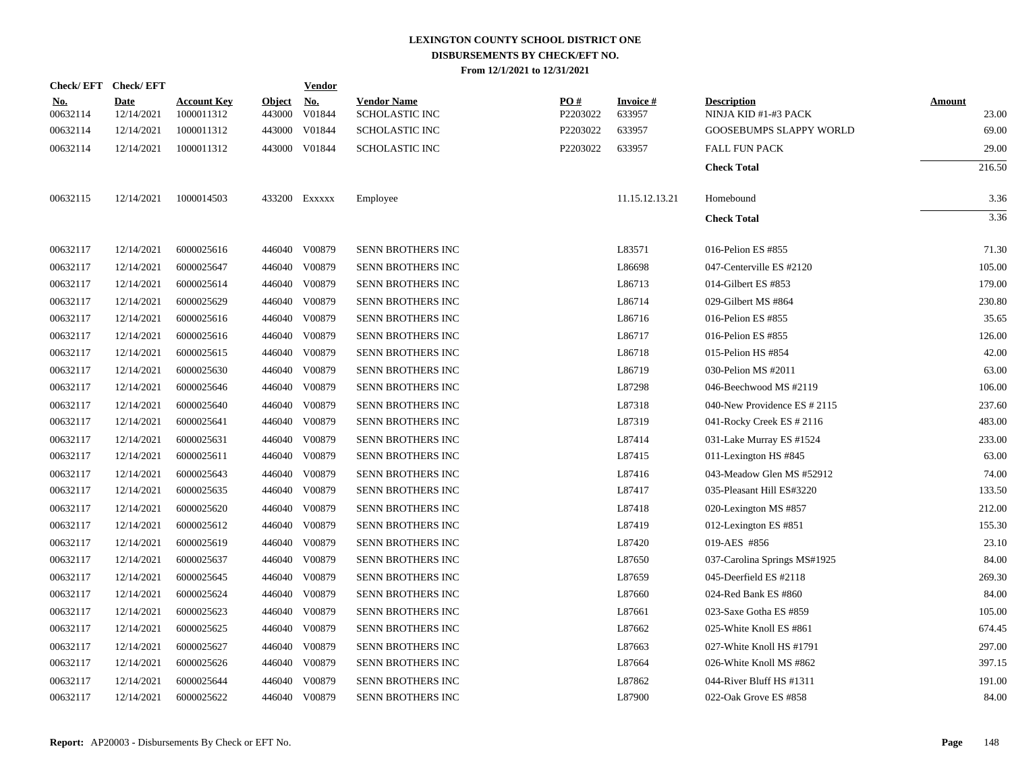|                        | Check/EFT Check/EFT |                                  |                         | <b>Vendor</b>        |                                             |                 |                     |                                            |                 |
|------------------------|---------------------|----------------------------------|-------------------------|----------------------|---------------------------------------------|-----------------|---------------------|--------------------------------------------|-----------------|
| <u>No.</u><br>00632114 | Date<br>12/14/2021  | <b>Account Key</b><br>1000011312 | <u>Object</u><br>443000 | <u>No.</u><br>V01844 | <b>Vendor Name</b><br><b>SCHOLASTIC INC</b> | PO#<br>P2203022 | Invoice #<br>633957 | <b>Description</b><br>NINJA KID #1-#3 PACK | Amount<br>23.00 |
| 00632114               | 12/14/2021          | 1000011312                       | 443000                  | V01844               | <b>SCHOLASTIC INC</b>                       | P2203022        | 633957              | <b>GOOSEBUMPS SLAPPY WORLD</b>             | 69.00           |
| 00632114               | 12/14/2021          | 1000011312                       |                         | 443000 V01844        | <b>SCHOLASTIC INC</b>                       | P2203022        | 633957              | <b>FALL FUN PACK</b>                       | 29.00           |
|                        |                     |                                  |                         |                      |                                             |                 |                     | <b>Check Total</b>                         | 216.50          |
| 00632115               | 12/14/2021          | 1000014503                       |                         | 433200 Exxxxx        | Employee                                    |                 | 11.15.12.13.21      | Homebound                                  | 3.36            |
|                        |                     |                                  |                         |                      |                                             |                 |                     | <b>Check Total</b>                         | 3.36            |
| 00632117               | 12/14/2021          | 6000025616                       |                         | 446040 V00879        | SENN BROTHERS INC                           |                 | L83571              | 016-Pelion ES #855                         | 71.30           |
| 00632117               | 12/14/2021          | 6000025647                       |                         | 446040 V00879        | SENN BROTHERS INC                           |                 | L86698              | 047-Centerville ES #2120                   | 105.00          |
| 00632117               | 12/14/2021          | 6000025614                       |                         | 446040 V00879        | SENN BROTHERS INC                           |                 | L86713              | 014-Gilbert ES #853                        | 179.00          |
| 00632117               | 12/14/2021          | 6000025629                       | 446040                  | V00879               | SENN BROTHERS INC                           |                 | L86714              | 029-Gilbert MS #864                        | 230.80          |
| 00632117               | 12/14/2021          | 6000025616                       |                         | 446040 V00879        | SENN BROTHERS INC                           |                 | L86716              | 016-Pelion ES #855                         | 35.65           |
| 00632117               | 12/14/2021          | 6000025616                       |                         | 446040 V00879        | SENN BROTHERS INC                           |                 | L86717              | 016-Pelion ES #855                         | 126.00          |
| 00632117               | 12/14/2021          | 6000025615                       | 446040                  | V00879               | SENN BROTHERS INC                           |                 | L86718              | 015-Pelion HS #854                         | 42.00           |
| 00632117               | 12/14/2021          | 6000025630                       | 446040                  | V00879               | SENN BROTHERS INC                           |                 | L86719              | 030-Pelion MS #2011                        | 63.00           |
| 00632117               | 12/14/2021          | 6000025646                       | 446040                  | V00879               | SENN BROTHERS INC                           |                 | L87298              | 046-Beechwood MS #2119                     | 106.00          |
| 00632117               | 12/14/2021          | 6000025640                       | 446040                  | V00879               | SENN BROTHERS INC                           |                 | L87318              | 040-New Providence ES # 2115               | 237.60          |
| 00632117               | 12/14/2021          | 6000025641                       | 446040                  | V00879               | <b>SENN BROTHERS INC</b>                    |                 | L87319              | 041-Rocky Creek ES # 2116                  | 483.00          |
| 00632117               | 12/14/2021          | 6000025631                       |                         | 446040 V00879        | <b>SENN BROTHERS INC</b>                    |                 | L87414              | 031-Lake Murray ES #1524                   | 233.00          |
| 00632117               | 12/14/2021          | 6000025611                       |                         | 446040 V00879        | SENN BROTHERS INC                           |                 | L87415              | 011-Lexington HS #845                      | 63.00           |
| 00632117               | 12/14/2021          | 6000025643                       |                         | 446040 V00879        | SENN BROTHERS INC                           |                 | L87416              | 043-Meadow Glen MS #52912                  | 74.00           |
| 00632117               | 12/14/2021          | 6000025635                       |                         | 446040 V00879        | SENN BROTHERS INC                           |                 | L87417              | 035-Pleasant Hill ES#3220                  | 133.50          |
| 00632117               | 12/14/2021          | 6000025620                       |                         | 446040 V00879        | SENN BROTHERS INC                           |                 | L87418              | 020-Lexington MS #857                      | 212.00          |
| 00632117               | 12/14/2021          | 6000025612                       |                         | 446040 V00879        | SENN BROTHERS INC                           |                 | L87419              | 012-Lexington ES #851                      | 155.30          |
| 00632117               | 12/14/2021          | 6000025619                       |                         | 446040 V00879        | <b>SENN BROTHERS INC</b>                    |                 | L87420              | 019-AES #856                               | 23.10           |
| 00632117               | 12/14/2021          | 6000025637                       |                         | 446040 V00879        | SENN BROTHERS INC                           |                 | L87650              | 037-Carolina Springs MS#1925               | 84.00           |
| 00632117               | 12/14/2021          | 6000025645                       | 446040                  | V00879               | SENN BROTHERS INC                           |                 | L87659              | 045-Deerfield ES #2118                     | 269.30          |
| 00632117               | 12/14/2021          | 6000025624                       | 446040                  | V00879               | SENN BROTHERS INC                           |                 | L87660              | 024-Red Bank ES #860                       | 84.00           |
| 00632117               | 12/14/2021          | 6000025623                       | 446040                  | V00879               | SENN BROTHERS INC                           |                 | L87661              | 023-Saxe Gotha ES #859                     | 105.00          |
| 00632117               | 12/14/2021          | 6000025625                       |                         | 446040 V00879        | <b>SENN BROTHERS INC</b>                    |                 | L87662              | 025-White Knoll ES #861                    | 674.45          |
| 00632117               | 12/14/2021          | 6000025627                       | 446040                  | V00879               | SENN BROTHERS INC                           |                 | L87663              | 027-White Knoll HS #1791                   | 297.00          |
| 00632117               | 12/14/2021          | 6000025626                       |                         | 446040 V00879        | SENN BROTHERS INC                           |                 | L87664              | 026-White Knoll MS #862                    | 397.15          |
| 00632117               | 12/14/2021          | 6000025644                       | 446040                  | V00879               | SENN BROTHERS INC                           |                 | L87862              | 044-River Bluff HS #1311                   | 191.00          |
| 00632117               | 12/14/2021          | 6000025622                       |                         | 446040 V00879        | SENN BROTHERS INC                           |                 | L87900              | 022-Oak Grove ES #858                      | 84.00           |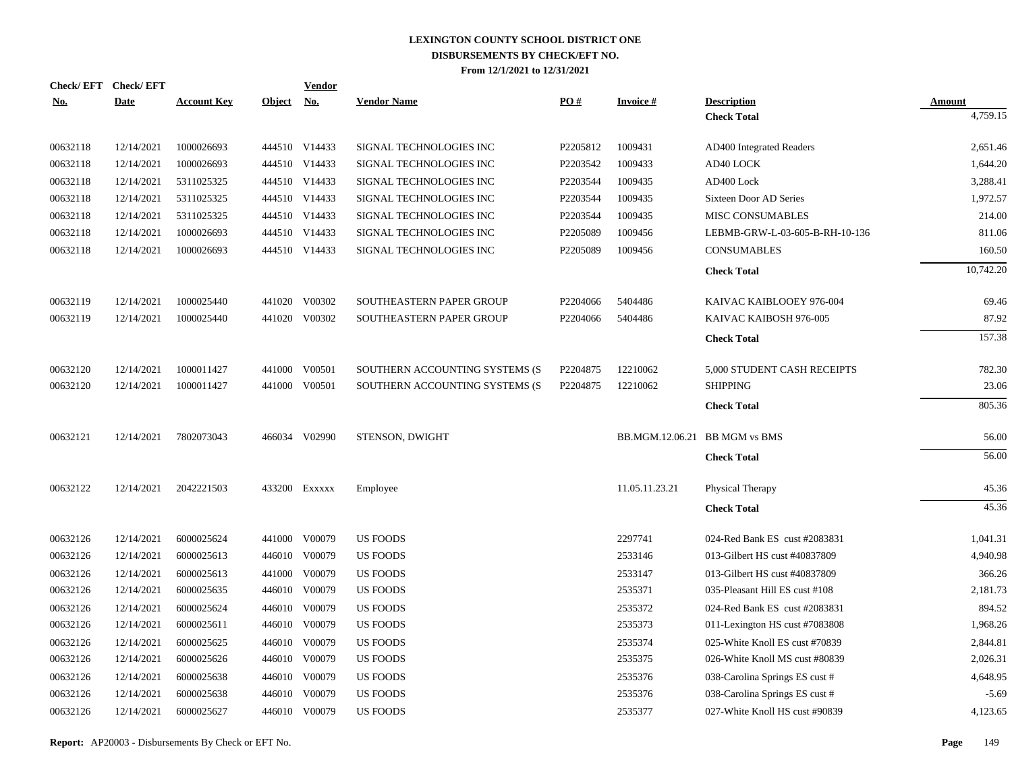| <u>No.</u> | Check/EFT Check/EFT<br><b>Date</b> | <b>Account Key</b> | Object No. | <b>Vendor</b> | <b>Vendor Name</b>             | PO#      | <b>Invoice#</b>               | <b>Description</b>             | <b>Amount</b> |
|------------|------------------------------------|--------------------|------------|---------------|--------------------------------|----------|-------------------------------|--------------------------------|---------------|
|            |                                    |                    |            |               |                                |          |                               | <b>Check Total</b>             | 4,759.15      |
| 00632118   | 12/14/2021                         | 1000026693         |            | 444510 V14433 | SIGNAL TECHNOLOGIES INC        | P2205812 | 1009431                       | AD400 Integrated Readers       | 2,651.46      |
| 00632118   | 12/14/2021                         | 1000026693         |            | 444510 V14433 | SIGNAL TECHNOLOGIES INC        | P2203542 | 1009433                       | AD40 LOCK                      | 1,644.20      |
| 00632118   | 12/14/2021                         | 5311025325         |            | 444510 V14433 | SIGNAL TECHNOLOGIES INC        | P2203544 | 1009435                       | AD400 Lock                     | 3,288.41      |
| 00632118   | 12/14/2021                         | 5311025325         |            | 444510 V14433 | SIGNAL TECHNOLOGIES INC        | P2203544 | 1009435                       | Sixteen Door AD Series         | 1,972.57      |
| 00632118   | 12/14/2021                         | 5311025325         |            | 444510 V14433 | SIGNAL TECHNOLOGIES INC        | P2203544 | 1009435                       | MISC CONSUMABLES               | 214.00        |
| 00632118   | 12/14/2021                         | 1000026693         |            | 444510 V14433 | SIGNAL TECHNOLOGIES INC        | P2205089 | 1009456                       | LEBMB-GRW-L-03-605-B-RH-10-136 | 811.06        |
| 00632118   | 12/14/2021                         | 1000026693         |            | 444510 V14433 | SIGNAL TECHNOLOGIES INC        | P2205089 | 1009456                       | <b>CONSUMABLES</b>             | 160.50        |
|            |                                    |                    |            |               |                                |          |                               | <b>Check Total</b>             | 10,742.20     |
| 00632119   | 12/14/2021                         | 1000025440         |            | 441020 V00302 | SOUTHEASTERN PAPER GROUP       | P2204066 | 5404486                       | KAIVAC KAIBLOOEY 976-004       | 69.46         |
| 00632119   | 12/14/2021                         | 1000025440         |            | 441020 V00302 | SOUTHEASTERN PAPER GROUP       | P2204066 | 5404486                       | KAIVAC KAIBOSH 976-005         | 87.92         |
|            |                                    |                    |            |               |                                |          |                               | <b>Check Total</b>             | 157.38        |
| 00632120   | 12/14/2021                         | 1000011427         |            | 441000 V00501 | SOUTHERN ACCOUNTING SYSTEMS (S | P2204875 | 12210062                      | 5,000 STUDENT CASH RECEIPTS    | 782.30        |
| 00632120   | 12/14/2021                         | 1000011427         |            | 441000 V00501 | SOUTHERN ACCOUNTING SYSTEMS (S | P2204875 | 12210062                      | <b>SHIPPING</b>                | 23.06         |
|            |                                    |                    |            |               |                                |          |                               | <b>Check Total</b>             | 805.36        |
| 00632121   | 12/14/2021                         | 7802073043         |            | 466034 V02990 | STENSON, DWIGHT                |          | BB.MGM.12.06.21 BB MGM vs BMS |                                | 56.00         |
|            |                                    |                    |            |               |                                |          |                               | <b>Check Total</b>             | 56.00         |
| 00632122   | 12/14/2021                         | 2042221503         |            | 433200 Exxxxx | Employee                       |          | 11.05.11.23.21                | Physical Therapy               | 45.36         |
|            |                                    |                    |            |               |                                |          |                               | <b>Check Total</b>             | 45.36         |
| 00632126   | 12/14/2021                         | 6000025624         |            | 441000 V00079 | <b>US FOODS</b>                |          | 2297741                       | 024-Red Bank ES cust #2083831  | 1,041.31      |
| 00632126   | 12/14/2021                         | 6000025613         |            | 446010 V00079 | US FOODS                       |          | 2533146                       | 013-Gilbert HS cust #40837809  | 4,940.98      |
| 00632126   | 12/14/2021                         | 6000025613         |            | 441000 V00079 | US FOODS                       |          | 2533147                       | 013-Gilbert HS cust #40837809  | 366.26        |
| 00632126   | 12/14/2021                         | 6000025635         |            | 446010 V00079 | <b>US FOODS</b>                |          | 2535371                       | 035-Pleasant Hill ES cust #108 | 2,181.73      |
| 00632126   | 12/14/2021                         | 6000025624         |            | 446010 V00079 | <b>US FOODS</b>                |          | 2535372                       | 024-Red Bank ES cust #2083831  | 894.52        |
| 00632126   | 12/14/2021                         | 6000025611         |            | 446010 V00079 | <b>US FOODS</b>                |          | 2535373                       | 011-Lexington HS cust #7083808 | 1,968.26      |
| 00632126   | 12/14/2021                         | 6000025625         |            | 446010 V00079 | <b>US FOODS</b>                |          | 2535374                       | 025-White Knoll ES cust #70839 | 2,844.81      |
| 00632126   | 12/14/2021                         | 6000025626         |            | 446010 V00079 | US FOODS                       |          | 2535375                       | 026-White Knoll MS cust #80839 | 2,026.31      |
| 00632126   | 12/14/2021                         | 6000025638         |            | 446010 V00079 | US FOODS                       |          | 2535376                       | 038-Carolina Springs ES cust # | 4,648.95      |
| 00632126   | 12/14/2021                         | 6000025638         |            | 446010 V00079 | <b>US FOODS</b>                |          | 2535376                       | 038-Carolina Springs ES cust # | $-5.69$       |
| 00632126   | 12/14/2021                         | 6000025627         |            | 446010 V00079 | <b>US FOODS</b>                |          | 2535377                       | 027-White Knoll HS cust #90839 | 4,123.65      |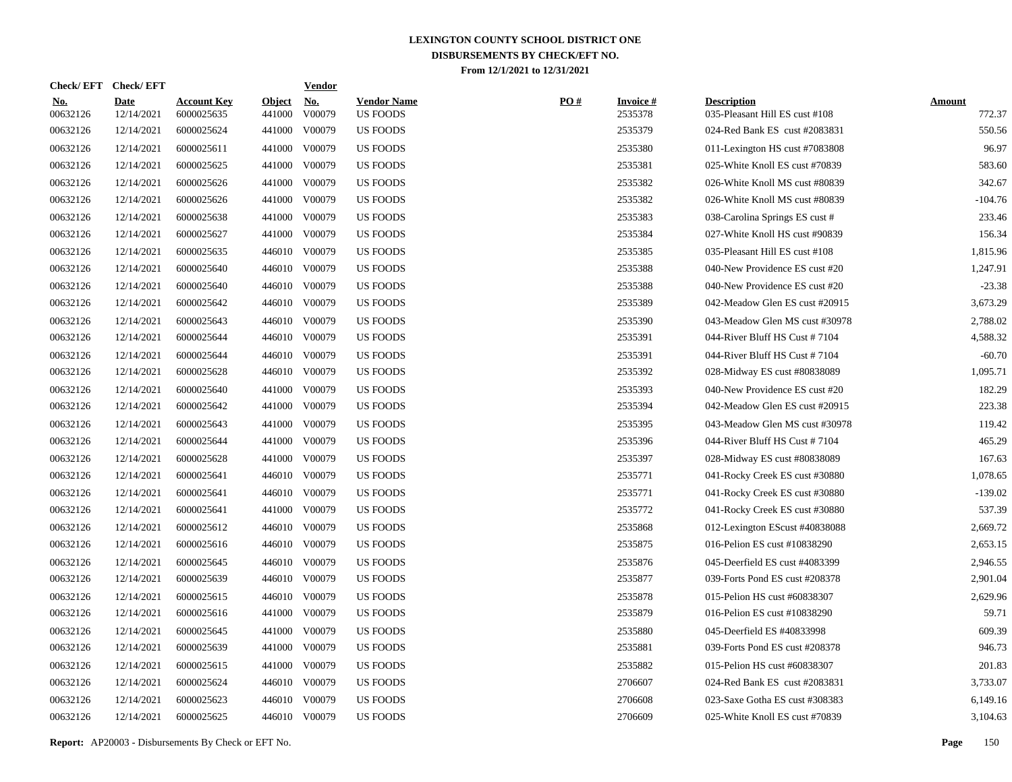| <b>Check/EFT</b>       | <b>Check/EFT</b>          |                                  |                         | <u>Vendor</u>        |                                       |     |                            |                                                      |                         |
|------------------------|---------------------------|----------------------------------|-------------------------|----------------------|---------------------------------------|-----|----------------------------|------------------------------------------------------|-------------------------|
| <u>No.</u><br>00632126 | <b>Date</b><br>12/14/2021 | <b>Account Key</b><br>6000025635 | <b>Object</b><br>441000 | <u>No.</u><br>V00079 | <b>Vendor Name</b><br><b>US FOODS</b> | PO# | <b>Invoice#</b><br>2535378 | <b>Description</b><br>035-Pleasant Hill ES cust #108 | <b>Amount</b><br>772.37 |
| 00632126               | 12/14/2021                | 6000025624                       | 441000                  | V00079               | US FOODS                              |     | 2535379                    | 024-Red Bank ES cust #2083831                        | 550.56                  |
| 00632126               | 12/14/2021                | 6000025611                       | 441000                  | V00079               | <b>US FOODS</b>                       |     | 2535380                    | 011-Lexington HS cust #7083808                       | 96.97                   |
| 00632126               | 12/14/2021                | 6000025625                       | 441000                  | V00079               | <b>US FOODS</b>                       |     | 2535381                    | 025-White Knoll ES cust #70839                       | 583.60                  |
| 00632126               | 12/14/2021                | 6000025626                       | 441000                  | V00079               | <b>US FOODS</b>                       |     | 2535382                    | 026-White Knoll MS cust #80839                       | 342.67                  |
| 00632126               | 12/14/2021                | 6000025626                       | 441000                  | V00079               | US FOODS                              |     | 2535382                    | 026-White Knoll MS cust #80839                       | -104.76                 |
| 00632126               | 12/14/2021                | 6000025638                       |                         | 441000 V00079        | US FOODS                              |     | 2535383                    | 038-Carolina Springs ES cust #                       | 233.46                  |
| 00632126               | 12/14/2021                | 6000025627                       | 441000                  | V00079               | <b>US FOODS</b>                       |     | 2535384                    | 027-White Knoll HS cust #90839                       | 156.34                  |
| 00632126               | 12/14/2021                | 6000025635                       |                         | 446010 V00079        | <b>US FOODS</b>                       |     | 2535385                    | 035-Pleasant Hill ES cust #108                       | 1,815.96                |
| 00632126               | 12/14/2021                | 6000025640                       |                         | 446010 V00079        | <b>US FOODS</b>                       |     | 2535388                    | 040-New Providence ES cust #20                       | 1,247.91                |
| 00632126               | 12/14/2021                | 6000025640                       | 446010                  | V00079               | <b>US FOODS</b>                       |     | 2535388                    | 040-New Providence ES cust #20                       | $-23.38$                |
| 00632126               | 12/14/2021                | 6000025642                       |                         | 446010 V00079        | US FOODS                              |     | 2535389                    | 042-Meadow Glen ES cust #20915                       | 3,673.29                |
| 00632126               | 12/14/2021                | 6000025643                       | 446010                  | V00079               | US FOODS                              |     | 2535390                    | 043-Meadow Glen MS cust #30978                       | 2,788.02                |
| 00632126               | 12/14/2021                | 6000025644                       | 446010                  | V00079               | <b>US FOODS</b>                       |     | 2535391                    | 044-River Bluff HS Cust #7104                        | 4,588.32                |
| 00632126               | 12/14/2021                | 6000025644                       | 446010                  | V00079               | <b>US FOODS</b>                       |     | 2535391                    | 044-River Bluff HS Cust #7104                        | $-60.70$                |
| 00632126               | 12/14/2021                | 6000025628                       | 446010                  | V00079               | <b>US FOODS</b>                       |     | 2535392                    | 028-Midway ES cust #80838089                         | 1,095.71                |
| 00632126               | 12/14/2021                | 6000025640                       | 441000                  | V00079               | <b>US FOODS</b>                       |     | 2535393                    | 040-New Providence ES cust #20                       | 182.29                  |
| 00632126               | 12/14/2021                | 6000025642                       | 441000                  | V00079               | US FOODS                              |     | 2535394                    | 042-Meadow Glen ES cust #20915                       | 223.38                  |
| 00632126               | 12/14/2021                | 6000025643                       | 441000                  | V00079               | <b>US FOODS</b>                       |     | 2535395                    | 043-Meadow Glen MS cust #30978                       | 119.42                  |
| 00632126               | 12/14/2021                | 6000025644                       | 441000                  | V00079               | <b>US FOODS</b>                       |     | 2535396                    | 044-River Bluff HS Cust #7104                        | 465.29                  |
| 00632126               | 12/14/2021                | 6000025628                       | 441000                  | V00079               | US FOODS                              |     | 2535397                    | 028-Midway ES cust #80838089                         | 167.63                  |
| 00632126               | 12/14/2021                | 6000025641                       |                         | 446010 V00079        | US FOODS                              |     | 2535771                    | 041-Rocky Creek ES cust #30880                       | 1,078.65                |
| 00632126               | 12/14/2021                | 6000025641                       |                         | 446010 V00079        | US FOODS                              |     | 2535771                    | 041-Rocky Creek ES cust #30880                       | $-139.02$               |
| 00632126               | 12/14/2021                | 6000025641                       | 441000                  | V00079               | <b>US FOODS</b>                       |     | 2535772                    | 041-Rocky Creek ES cust #30880                       | 537.39                  |
| 00632126               | 12/14/2021                | 6000025612                       |                         | 446010 V00079        | <b>US FOODS</b>                       |     | 2535868                    | 012-Lexington EScust #40838088                       | 2,669.72                |
| 00632126               | 12/14/2021                | 6000025616                       |                         | 446010 V00079        | US FOODS                              |     | 2535875                    | 016-Pelion ES cust #10838290                         | 2,653.15                |
| 00632126               | 12/14/2021                | 6000025645                       |                         | 446010 V00079        | US FOODS                              |     | 2535876                    | 045-Deerfield ES cust #4083399                       | 2,946.55                |
| 00632126               | 12/14/2021                | 6000025639                       |                         | 446010 V00079        | US FOODS                              |     | 2535877                    | 039-Forts Pond ES cust #208378                       | 2,901.04                |
| 00632126               | 12/14/2021                | 6000025615                       |                         | 446010 V00079        | US FOODS                              |     | 2535878                    | 015-Pelion HS cust #60838307                         | 2,629.96                |
| 00632126               | 12/14/2021                | 6000025616                       |                         | 441000 V00079        | <b>US FOODS</b>                       |     | 2535879                    | 016-Pelion ES cust #10838290                         | 59.71                   |
| 00632126               | 12/14/2021                | 6000025645                       | 441000                  | V00079               | <b>US FOODS</b>                       |     | 2535880                    | 045-Deerfield ES #40833998                           | 609.39                  |
| 00632126               | 12/14/2021                | 6000025639                       |                         | 441000 V00079        | US FOODS                              |     | 2535881                    | 039-Forts Pond ES cust #208378                       | 946.73                  |
| 00632126               | 12/14/2021                | 6000025615                       | 441000                  | V00079               | US FOODS                              |     | 2535882                    | 015-Pelion HS cust #60838307                         | 201.83                  |
| 00632126               | 12/14/2021                | 6000025624                       |                         | 446010 V00079        | <b>US FOODS</b>                       |     | 2706607                    | 024-Red Bank ES cust #2083831                        | 3,733.07                |
| 00632126               | 12/14/2021                | 6000025623                       | 446010                  | V00079               | <b>US FOODS</b>                       |     | 2706608                    | 023-Saxe Gotha ES cust #308383                       | 6,149.16                |
| 00632126               | 12/14/2021                | 6000025625                       |                         | 446010 V00079        | <b>US FOODS</b>                       |     | 2706609                    | 025-White Knoll ES cust #70839                       | 3,104.63                |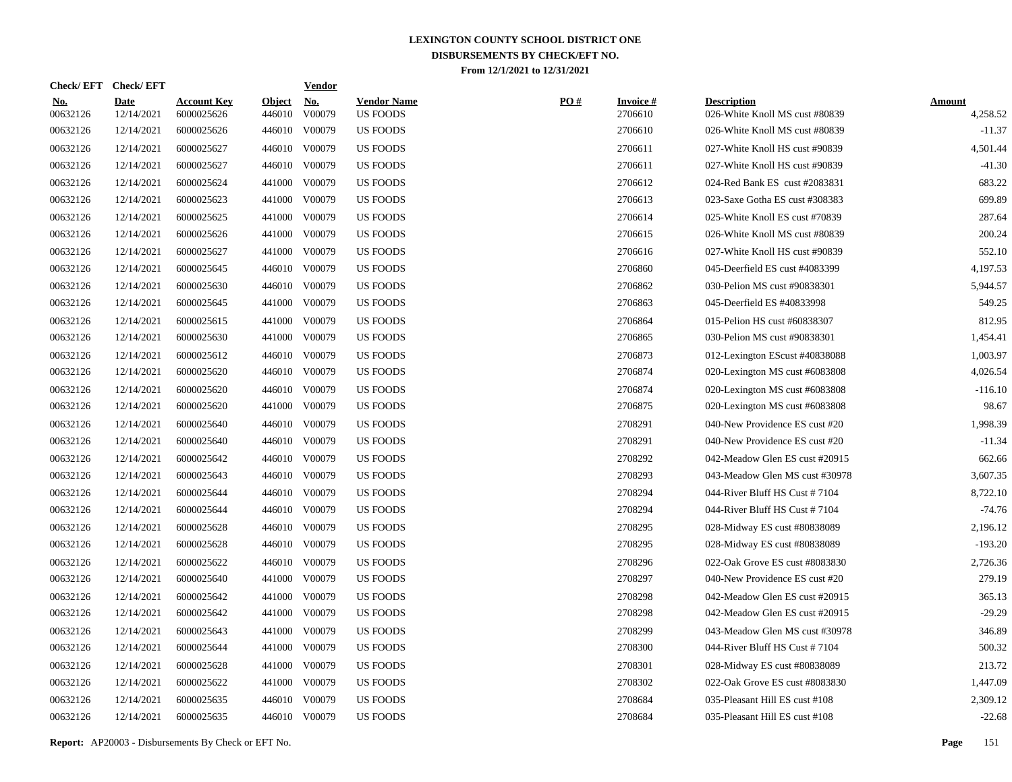| <b>Check/EFT</b>       | <b>Check/EFT</b>          |                                  |                         | <b>Vendor</b>        |                                       |     |                            |                                                      |                           |
|------------------------|---------------------------|----------------------------------|-------------------------|----------------------|---------------------------------------|-----|----------------------------|------------------------------------------------------|---------------------------|
| <u>No.</u><br>00632126 | <b>Date</b><br>12/14/2021 | <b>Account Key</b><br>6000025626 | <b>Object</b><br>446010 | <u>No.</u><br>V00079 | <b>Vendor Name</b><br><b>US FOODS</b> | PO# | <b>Invoice#</b><br>2706610 | <b>Description</b><br>026-White Knoll MS cust #80839 | <b>Amount</b><br>4,258.52 |
| 00632126               | 12/14/2021                | 6000025626                       | 446010                  | V00079               | <b>US FOODS</b>                       |     | 2706610                    | 026-White Knoll MS cust #80839                       | $-11.37$                  |
| 00632126               | 12/14/2021                | 6000025627                       |                         | 446010 V00079        | <b>US FOODS</b>                       |     | 2706611                    | 027-White Knoll HS cust #90839                       | 4,501.44                  |
| 00632126               | 12/14/2021                | 6000025627                       |                         | 446010 V00079        | <b>US FOODS</b>                       |     | 2706611                    | 027-White Knoll HS cust #90839                       | $-41.30$                  |
| 00632126               | 12/14/2021                | 6000025624                       |                         | 441000 V00079        | <b>US FOODS</b>                       |     | 2706612                    | 024-Red Bank ES cust #2083831                        | 683.22                    |
| 00632126               | 12/14/2021                | 6000025623                       |                         | 441000 V00079        | <b>US FOODS</b>                       |     | 2706613                    | 023-Saxe Gotha ES cust #308383                       | 699.89                    |
| 00632126               | 12/14/2021                | 6000025625                       |                         | 441000 V00079        | <b>US FOODS</b>                       |     | 2706614                    | 025-White Knoll ES cust #70839                       | 287.64                    |
| 00632126               | 12/14/2021                | 6000025626                       |                         | 441000 V00079        | US FOODS                              |     | 2706615                    | 026-White Knoll MS cust #80839                       | 200.24                    |
| 00632126               | 12/14/2021                | 6000025627                       |                         | 441000 V00079        | <b>US FOODS</b>                       |     | 2706616                    | 027-White Knoll HS cust #90839                       | 552.10                    |
| 00632126               | 12/14/2021                | 6000025645                       |                         | 446010 V00079        | US FOODS                              |     | 2706860                    | 045-Deerfield ES cust #4083399                       | 4,197.53                  |
| 00632126               | 12/14/2021                | 6000025630                       |                         | 446010 V00079        | US FOODS                              |     | 2706862                    | 030-Pelion MS cust #90838301                         | 5,944.57                  |
| 00632126               | 12/14/2021                | 6000025645                       |                         | 441000 V00079        | <b>US FOODS</b>                       |     | 2706863                    | 045-Deerfield ES #40833998                           | 549.25                    |
| 00632126               | 12/14/2021                | 6000025615                       |                         | 441000 V00079        | <b>US FOODS</b>                       |     | 2706864                    | 015-Pelion HS cust #60838307                         | 812.95                    |
| 00632126               | 12/14/2021                | 6000025630                       |                         | 441000 V00079        | <b>US FOODS</b>                       |     | 2706865                    | 030-Pelion MS cust #90838301                         | 1,454.41                  |
| 00632126               | 12/14/2021                | 6000025612                       |                         | 446010 V00079        | <b>US FOODS</b>                       |     | 2706873                    | 012-Lexington EScust #40838088                       | 1,003.97                  |
| 00632126               | 12/14/2021                | 6000025620                       |                         | 446010 V00079        | <b>US FOODS</b>                       |     | 2706874                    | 020-Lexington MS cust #6083808                       | 4,026.54                  |
| 00632126               | 12/14/2021                | 6000025620                       |                         | 446010 V00079        | <b>US FOODS</b>                       |     | 2706874                    | 020-Lexington MS cust #6083808                       | $-116.10$                 |
| 00632126               | 12/14/2021                | 6000025620                       |                         | 441000 V00079        | <b>US FOODS</b>                       |     | 2706875                    | 020-Lexington MS cust #6083808                       | 98.67                     |
| 00632126               | 12/14/2021                | 6000025640                       |                         | 446010 V00079        | <b>US FOODS</b>                       |     | 2708291                    | 040-New Providence ES cust #20                       | 1,998.39                  |
| 00632126               | 12/14/2021                | 6000025640                       |                         | 446010 V00079        | <b>US FOODS</b>                       |     | 2708291                    | 040-New Providence ES cust #20                       | $-11.34$                  |
| 00632126               | 12/14/2021                | 6000025642                       |                         | 446010 V00079        | <b>US FOODS</b>                       |     | 2708292                    | 042-Meadow Glen ES cust #20915                       | 662.66                    |
| 00632126               | 12/14/2021                | 6000025643                       |                         | 446010 V00079        | <b>US FOODS</b>                       |     | 2708293                    | 043-Meadow Glen MS cust #30978                       | 3,607.35                  |
| 00632126               | 12/14/2021                | 6000025644                       |                         | 446010 V00079        | <b>US FOODS</b>                       |     | 2708294                    | 044-River Bluff HS Cust #7104                        | 8,722.10                  |
| 00632126               | 12/14/2021                | 6000025644                       |                         | 446010 V00079        | US FOODS                              |     | 2708294                    | 044-River Bluff HS Cust $#7104$                      | $-74.76$                  |
| 00632126               | 12/14/2021                | 6000025628                       |                         | 446010 V00079        | US FOODS                              |     | 2708295                    | 028-Midway ES cust #80838089                         | 2,196.12                  |
| 00632126               | 12/14/2021                | 6000025628                       |                         | 446010 V00079        | <b>US FOODS</b>                       |     | 2708295                    | 028-Midway ES cust #80838089                         | $-193.20$                 |
| 00632126               | 12/14/2021                | 6000025622                       |                         | 446010 V00079        | <b>US FOODS</b>                       |     | 2708296                    | 022-Oak Grove ES cust #8083830                       | 2,726.36                  |
| 00632126               | 12/14/2021                | 6000025640                       |                         | 441000 V00079        | <b>US FOODS</b>                       |     | 2708297                    | 040-New Providence ES cust #20                       | 279.19                    |
| 00632126               | 12/14/2021                | 6000025642                       | 441000                  | V00079               | US FOODS                              |     | 2708298                    | 042-Meadow Glen ES cust #20915                       | 365.13                    |
| 00632126               | 12/14/2021                | 6000025642                       | 441000                  | V00079               | US FOODS                              |     | 2708298                    | 042-Meadow Glen ES cust #20915                       | $-29.29$                  |
| 00632126               | 12/14/2021                | 6000025643                       | 441000                  | V00079               | <b>US FOODS</b>                       |     | 2708299                    | 043-Meadow Glen MS cust #30978                       | 346.89                    |
| 00632126               | 12/14/2021                | 6000025644                       | 441000                  | V00079               | <b>US FOODS</b>                       |     | 2708300                    | 044-River Bluff HS Cust #7104                        | 500.32                    |
| 00632126               | 12/14/2021                | 6000025628                       | 441000                  | V00079               | <b>US FOODS</b>                       |     | 2708301                    | 028-Midway ES cust #80838089                         | 213.72                    |
| 00632126               | 12/14/2021                | 6000025622                       | 441000                  | V00079               | <b>US FOODS</b>                       |     | 2708302                    | 022-Oak Grove ES cust #8083830                       | 1,447.09                  |
| 00632126               | 12/14/2021                | 6000025635                       | 446010                  | V00079               | <b>US FOODS</b>                       |     | 2708684                    | 035-Pleasant Hill ES cust #108                       | 2,309.12                  |
| 00632126               | 12/14/2021                | 6000025635                       |                         | 446010 V00079        | <b>US FOODS</b>                       |     | 2708684                    | 035-Pleasant Hill ES cust #108                       | $-22.68$                  |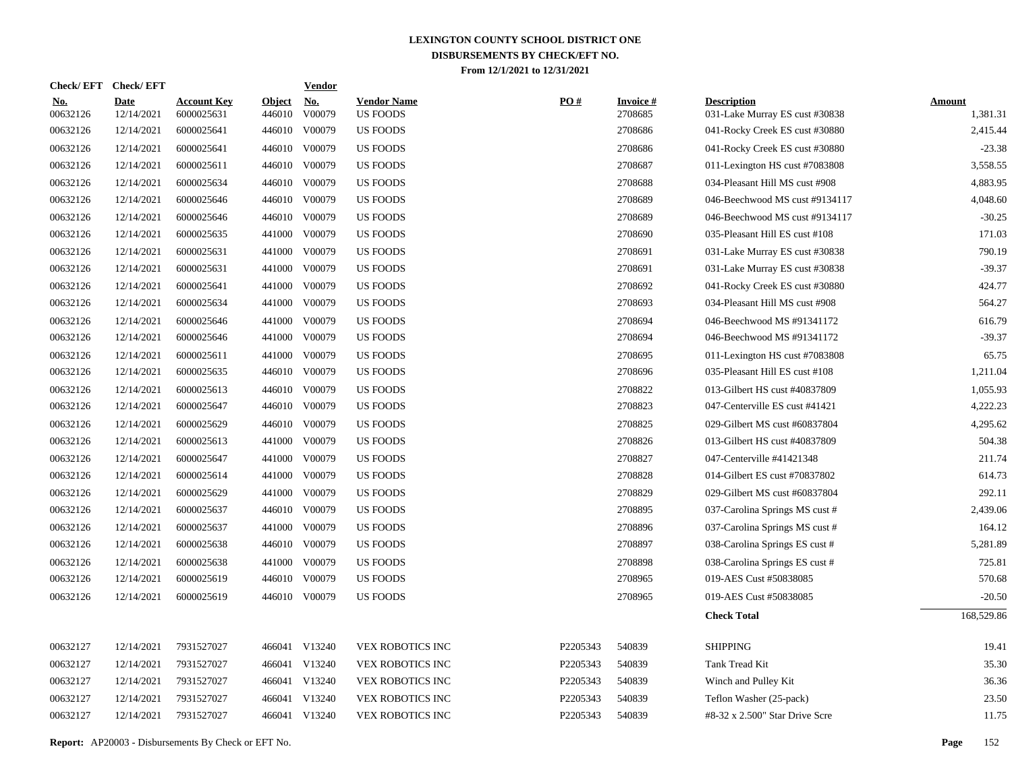| <b>Check/EFT</b>       | <b>Check/EFT</b>          |                                  |                         | <b>Vendor</b> |                                       |          |                            |                                                      |                           |
|------------------------|---------------------------|----------------------------------|-------------------------|---------------|---------------------------------------|----------|----------------------------|------------------------------------------------------|---------------------------|
| <b>No.</b><br>00632126 | <b>Date</b><br>12/14/2021 | <b>Account Key</b><br>6000025631 | <b>Object</b><br>446010 | No.<br>V00079 | <b>Vendor Name</b><br><b>US FOODS</b> | PO#      | <b>Invoice#</b><br>2708685 | <b>Description</b><br>031-Lake Murray ES cust #30838 | <b>Amount</b><br>1,381.31 |
| 00632126               | 12/14/2021                | 6000025641                       | 446010                  | V00079        | <b>US FOODS</b>                       |          | 2708686                    | 041-Rocky Creek ES cust #30880                       | 2,415.44                  |
| 00632126               | 12/14/2021                | 6000025641                       |                         | 446010 V00079 | <b>US FOODS</b>                       |          | 2708686                    | 041-Rocky Creek ES cust #30880                       | $-23.38$                  |
| 00632126               | 12/14/2021                | 6000025611                       |                         | 446010 V00079 | <b>US FOODS</b>                       |          | 2708687                    | 011-Lexington HS cust #7083808                       | 3,558.55                  |
| 00632126               | 12/14/2021                | 6000025634                       |                         | 446010 V00079 | <b>US FOODS</b>                       |          | 2708688                    | 034-Pleasant Hill MS cust #908                       | 4,883.95                  |
| 00632126               | 12/14/2021                | 6000025646                       |                         | 446010 V00079 | <b>US FOODS</b>                       |          | 2708689                    | 046-Beechwood MS cust #9134117                       | 4,048.60                  |
| 00632126               | 12/14/2021                | 6000025646                       |                         | 446010 V00079 | <b>US FOODS</b>                       |          | 2708689                    | 046-Beechwood MS cust #9134117                       | $-30.25$                  |
| 00632126               | 12/14/2021                | 6000025635                       | 441000                  | V00079        | <b>US FOODS</b>                       |          | 2708690                    | 035-Pleasant Hill ES cust #108                       | 171.03                    |
| 00632126               | 12/14/2021                | 6000025631                       | 441000                  | V00079        | <b>US FOODS</b>                       |          | 2708691                    | 031-Lake Murray ES cust #30838                       | 790.19                    |
| 00632126               | 12/14/2021                | 6000025631                       | 441000                  | V00079        | <b>US FOODS</b>                       |          | 2708691                    | 031-Lake Murray ES cust #30838                       | $-39.37$                  |
| 00632126               | 12/14/2021                | 6000025641                       | 441000                  | V00079        | <b>US FOODS</b>                       |          | 2708692                    | 041-Rocky Creek ES cust #30880                       | 424.77                    |
| 00632126               | 12/14/2021                | 6000025634                       | 441000                  | V00079        | <b>US FOODS</b>                       |          | 2708693                    | 034-Pleasant Hill MS cust #908                       | 564.27                    |
| 00632126               | 12/14/2021                | 6000025646                       | 441000                  | V00079        | <b>US FOODS</b>                       |          | 2708694                    | 046-Beechwood MS #91341172                           | 616.79                    |
| 00632126               | 12/14/2021                | 6000025646                       | 441000                  | V00079        | <b>US FOODS</b>                       |          | 2708694                    | 046-Beechwood MS #91341172                           | $-39.37$                  |
| 00632126               | 12/14/2021                | 6000025611                       | 441000                  | V00079        | <b>US FOODS</b>                       |          | 2708695                    | 011-Lexington HS cust #7083808                       | 65.75                     |
| 00632126               | 12/14/2021                | 6000025635                       |                         | 446010 V00079 | <b>US FOODS</b>                       |          | 2708696                    | 035-Pleasant Hill ES cust #108                       | 1,211.04                  |
| 00632126               | 12/14/2021                | 6000025613                       |                         | 446010 V00079 | <b>US FOODS</b>                       |          | 2708822                    | 013-Gilbert HS cust #40837809                        | 1,055.93                  |
| 00632126               | 12/14/2021                | 6000025647                       |                         | 446010 V00079 | <b>US FOODS</b>                       |          | 2708823                    | 047-Centerville ES cust #41421                       | 4,222.23                  |
| 00632126               | 12/14/2021                | 6000025629                       |                         | 446010 V00079 | <b>US FOODS</b>                       |          | 2708825                    | 029-Gilbert MS cust #60837804                        | 4,295.62                  |
| 00632126               | 12/14/2021                | 6000025613                       | 441000                  | V00079        | <b>US FOODS</b>                       |          | 2708826                    | 013-Gilbert HS cust #40837809                        | 504.38                    |
| 00632126               | 12/14/2021                | 6000025647                       | 441000                  | V00079        | <b>US FOODS</b>                       |          | 2708827                    | 047-Centerville #41421348                            | 211.74                    |
| 00632126               | 12/14/2021                | 6000025614                       | 441000                  | V00079        | <b>US FOODS</b>                       |          | 2708828                    | 014-Gilbert ES cust #70837802                        | 614.73                    |
| 00632126               | 12/14/2021                | 6000025629                       |                         | 441000 V00079 | <b>US FOODS</b>                       |          | 2708829                    | 029-Gilbert MS cust #60837804                        | 292.11                    |
| 00632126               | 12/14/2021                | 6000025637                       |                         | 446010 V00079 | <b>US FOODS</b>                       |          | 2708895                    | 037-Carolina Springs MS cust #                       | 2,439.06                  |
| 00632126               | 12/14/2021                | 6000025637                       | 441000                  | V00079        | <b>US FOODS</b>                       |          | 2708896                    | 037-Carolina Springs MS cust #                       | 164.12                    |
| 00632126               | 12/14/2021                | 6000025638                       |                         | 446010 V00079 | <b>US FOODS</b>                       |          | 2708897                    | 038-Carolina Springs ES cust #                       | 5,281.89                  |
| 00632126               | 12/14/2021                | 6000025638                       | 441000                  | V00079        | <b>US FOODS</b>                       |          | 2708898                    | 038-Carolina Springs ES cust #                       | 725.81                    |
| 00632126               | 12/14/2021                | 6000025619                       |                         | 446010 V00079 | <b>US FOODS</b>                       |          | 2708965                    | 019-AES Cust #50838085                               | 570.68                    |
| 00632126               | 12/14/2021                | 6000025619                       |                         | 446010 V00079 | <b>US FOODS</b>                       |          | 2708965                    | 019-AES Cust #50838085                               | $-20.50$                  |
|                        |                           |                                  |                         |               |                                       |          |                            | <b>Check Total</b>                                   | 168,529.86                |
| 00632127               | 12/14/2021                | 7931527027                       |                         | 466041 V13240 | VEX ROBOTICS INC                      | P2205343 | 540839                     | <b>SHIPPING</b>                                      | 19.41                     |
| 00632127               | 12/14/2021                | 7931527027                       |                         | 466041 V13240 | VEX ROBOTICS INC                      | P2205343 | 540839                     | Tank Tread Kit                                       | 35.30                     |
| 00632127               | 12/14/2021                | 7931527027                       |                         | 466041 V13240 | VEX ROBOTICS INC                      | P2205343 | 540839                     | Winch and Pulley Kit                                 | 36.36                     |
| 00632127               | 12/14/2021                | 7931527027                       |                         | 466041 V13240 | VEX ROBOTICS INC                      | P2205343 | 540839                     | Teflon Washer (25-pack)                              | 23.50                     |
| 00632127               | 12/14/2021                | 7931527027                       |                         | 466041 V13240 | VEX ROBOTICS INC                      | P2205343 | 540839                     | #8-32 x 2.500" Star Drive Scre                       | 11.75                     |
|                        |                           |                                  |                         |               |                                       |          |                            |                                                      |                           |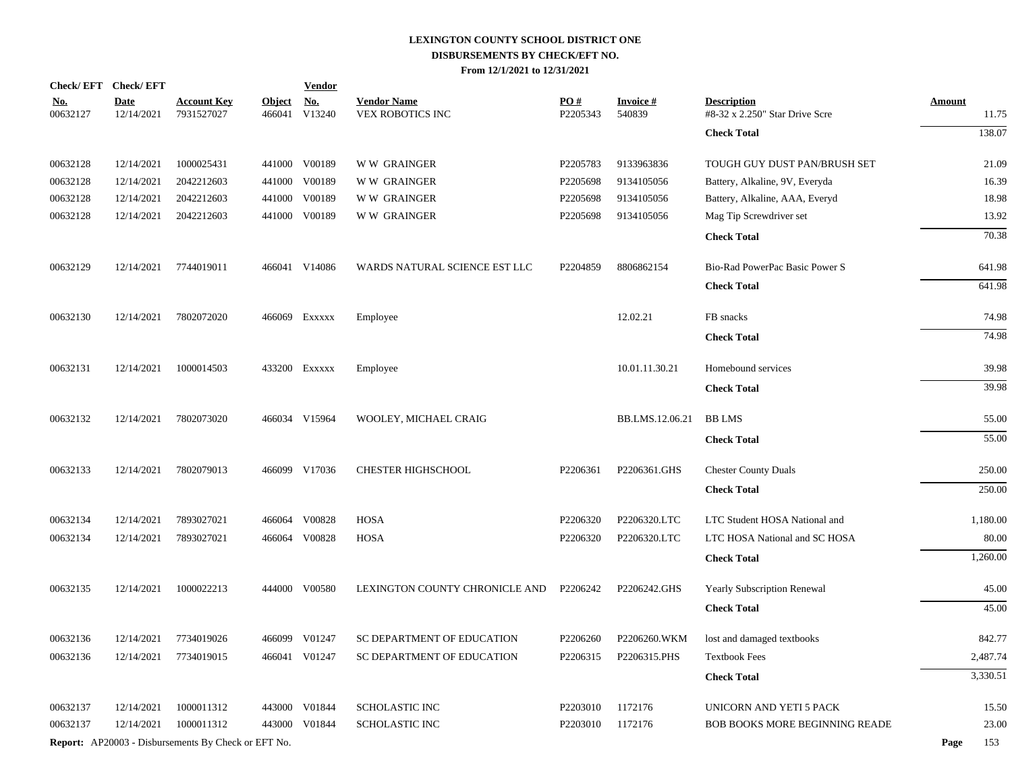|                        | Check/EFT Check/EFT                                        |                                  |                         | <b>Vendor</b>        |                                               |                 |                           |                                                      |                        |
|------------------------|------------------------------------------------------------|----------------------------------|-------------------------|----------------------|-----------------------------------------------|-----------------|---------------------------|------------------------------------------------------|------------------------|
| <u>No.</u><br>00632127 | <b>Date</b><br>12/14/2021                                  | <b>Account Key</b><br>7931527027 | <b>Object</b><br>466041 | <u>No.</u><br>V13240 | <b>Vendor Name</b><br><b>VEX ROBOTICS INC</b> | PO#<br>P2205343 | <b>Invoice#</b><br>540839 | <b>Description</b><br>#8-32 x 2.250" Star Drive Scre | <b>Amount</b><br>11.75 |
|                        |                                                            |                                  |                         |                      |                                               |                 |                           | <b>Check Total</b>                                   | 138.07                 |
| 00632128               | 12/14/2021                                                 | 1000025431                       | 441000                  | V00189               | <b>WW GRAINGER</b>                            | P2205783        | 9133963836                | TOUGH GUY DUST PAN/BRUSH SET                         | 21.09                  |
| 00632128               | 12/14/2021                                                 | 2042212603                       | 441000                  | V00189               | <b>WW GRAINGER</b>                            | P2205698        | 9134105056                | Battery, Alkaline, 9V, Everyda                       | 16.39                  |
| 00632128               | 12/14/2021                                                 | 2042212603                       | 441000                  | V00189               | <b>WW GRAINGER</b>                            | P2205698        | 9134105056                | Battery, Alkaline, AAA, Everyd                       | 18.98                  |
| 00632128               | 12/14/2021                                                 | 2042212603                       |                         | 441000 V00189        | <b>WW GRAINGER</b>                            | P2205698        | 9134105056                | Mag Tip Screwdriver set                              | 13.92                  |
|                        |                                                            |                                  |                         |                      |                                               |                 |                           | <b>Check Total</b>                                   | 70.38                  |
| 00632129               | 12/14/2021                                                 | 7744019011                       |                         | 466041 V14086        | WARDS NATURAL SCIENCE EST LLC                 | P2204859        | 8806862154                | Bio-Rad PowerPac Basic Power S                       | 641.98                 |
|                        |                                                            |                                  |                         |                      |                                               |                 |                           | <b>Check Total</b>                                   | 641.98                 |
| 00632130               | 12/14/2021                                                 | 7802072020                       |                         | 466069 Exxxxx        | Employee                                      |                 | 12.02.21                  | FB snacks                                            | 74.98                  |
|                        |                                                            |                                  |                         |                      |                                               |                 |                           | <b>Check Total</b>                                   | 74.98                  |
| 00632131               | 12/14/2021                                                 | 1000014503                       |                         | 433200 Exxxxx        | Employee                                      |                 | 10.01.11.30.21            | Homebound services                                   | 39.98                  |
|                        |                                                            |                                  |                         |                      |                                               |                 |                           | <b>Check Total</b>                                   | 39.98                  |
| 00632132               | 12/14/2021                                                 | 7802073020                       |                         | 466034 V15964        | WOOLEY, MICHAEL CRAIG                         |                 | BB.LMS.12.06.21           | <b>BB LMS</b>                                        | 55.00                  |
|                        |                                                            |                                  |                         |                      |                                               |                 |                           | <b>Check Total</b>                                   | 55.00                  |
| 00632133               | 12/14/2021                                                 | 7802079013                       |                         | 466099 V17036        | <b>CHESTER HIGHSCHOOL</b>                     | P2206361        | P2206361.GHS              | <b>Chester County Duals</b>                          | 250.00                 |
|                        |                                                            |                                  |                         |                      |                                               |                 |                           | <b>Check Total</b>                                   | 250.00                 |
| 00632134               | 12/14/2021                                                 | 7893027021                       |                         | 466064 V00828        | <b>HOSA</b>                                   | P2206320        | P2206320.LTC              | LTC Student HOSA National and                        | 1,180.00               |
| 00632134               | 12/14/2021                                                 | 7893027021                       |                         | 466064 V00828        | <b>HOSA</b>                                   | P2206320        | P2206320.LTC              | LTC HOSA National and SC HOSA                        | 80.00                  |
|                        |                                                            |                                  |                         |                      |                                               |                 |                           | <b>Check Total</b>                                   | 1,260.00               |
| 00632135               | 12/14/2021                                                 | 1000022213                       |                         | 444000 V00580        | LEXINGTON COUNTY CHRONICLE AND                | P2206242        | P2206242.GHS              | <b>Yearly Subscription Renewal</b>                   | 45.00                  |
|                        |                                                            |                                  |                         |                      |                                               |                 |                           | <b>Check Total</b>                                   | 45.00                  |
| 00632136               | 12/14/2021                                                 | 7734019026                       |                         | 466099 V01247        | SC DEPARTMENT OF EDUCATION                    | P2206260        | P2206260.WKM              | lost and damaged textbooks                           | 842.77                 |
| 00632136               | 12/14/2021                                                 | 7734019015                       |                         | 466041 V01247        | SC DEPARTMENT OF EDUCATION                    | P2206315        | P2206315.PHS              | <b>Textbook Fees</b>                                 | 2,487.74               |
|                        |                                                            |                                  |                         |                      |                                               |                 |                           | <b>Check Total</b>                                   | 3,330.51               |
| 00632137               | 12/14/2021                                                 | 1000011312                       | 443000                  | V01844               | <b>SCHOLASTIC INC</b>                         | P2203010        | 1172176                   | UNICORN AND YETI 5 PACK                              | 15.50                  |
| 00632137               | 12/14/2021                                                 | 1000011312                       | 443000                  | V01844               | <b>SCHOLASTIC INC</b>                         | P2203010        | 1172176                   | <b>BOB BOOKS MORE BEGINNING READE</b>                | 23.00                  |
|                        | <b>Report:</b> AP20003 - Disbursements By Check or EFT No. |                                  |                         |                      |                                               |                 |                           |                                                      | Page<br>153            |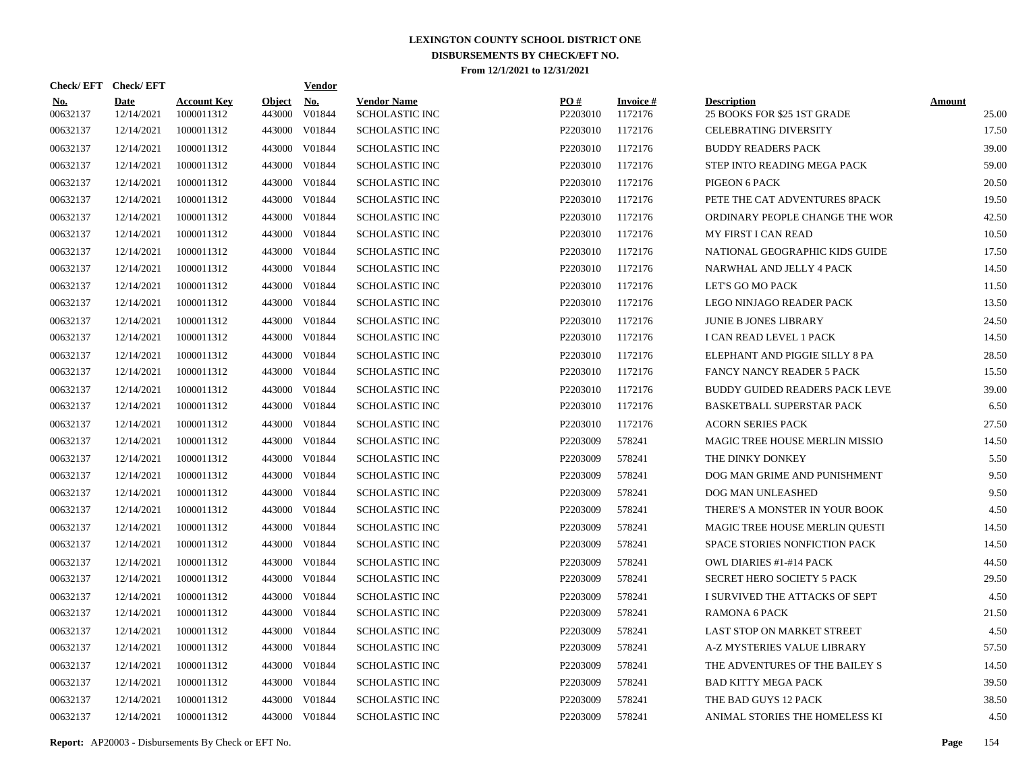|                 |                                                                                                                                                                                                                                                                                                                                                                                                          |                                  |                         | <b>Vendor</b>        |                                                                                                                                                           |                 |                            |                                                   |                        |
|-----------------|----------------------------------------------------------------------------------------------------------------------------------------------------------------------------------------------------------------------------------------------------------------------------------------------------------------------------------------------------------------------------------------------------------|----------------------------------|-------------------------|----------------------|-----------------------------------------------------------------------------------------------------------------------------------------------------------|-----------------|----------------------------|---------------------------------------------------|------------------------|
| No.<br>00632137 | <b>Date</b><br>12/14/2021                                                                                                                                                                                                                                                                                                                                                                                | <b>Account Key</b><br>1000011312 | <b>Object</b><br>443000 | <b>No.</b><br>V01844 | <b>Vendor Name</b><br><b>SCHOLASTIC INC</b>                                                                                                               | PO#<br>P2203010 | <b>Invoice#</b><br>1172176 | <b>Description</b><br>25 BOOKS FOR \$25 1ST GRADE | <b>Amount</b><br>25.00 |
|                 | 12/14/2021                                                                                                                                                                                                                                                                                                                                                                                               | 1000011312                       | 443000                  | V01844               | <b>SCHOLASTIC INC</b>                                                                                                                                     | P2203010        | 1172176                    | <b>CELEBRATING DIVERSITY</b>                      | 17.50                  |
|                 | 12/14/2021                                                                                                                                                                                                                                                                                                                                                                                               | 1000011312                       | 443000                  | V01844               | <b>SCHOLASTIC INC</b>                                                                                                                                     | P2203010        | 1172176                    | <b>BUDDY READERS PACK</b>                         | 39.00                  |
|                 | 12/14/2021                                                                                                                                                                                                                                                                                                                                                                                               | 1000011312                       | 443000                  | V01844               | <b>SCHOLASTIC INC</b>                                                                                                                                     | P2203010        | 1172176                    | STEP INTO READING MEGA PACK                       | 59.00                  |
|                 | 12/14/2021                                                                                                                                                                                                                                                                                                                                                                                               | 1000011312                       | 443000                  | V01844               | <b>SCHOLASTIC INC</b>                                                                                                                                     | P2203010        | 1172176                    | PIGEON 6 PACK                                     | 20.50                  |
|                 | 12/14/2021                                                                                                                                                                                                                                                                                                                                                                                               | 1000011312                       | 443000                  | V01844               | <b>SCHOLASTIC INC</b>                                                                                                                                     | P2203010        | 1172176                    | PETE THE CAT ADVENTURES 8PACK                     | 19.50                  |
|                 | 12/14/2021                                                                                                                                                                                                                                                                                                                                                                                               | 1000011312                       | 443000                  | V01844               | <b>SCHOLASTIC INC</b>                                                                                                                                     | P2203010        | 1172176                    | ORDINARY PEOPLE CHANGE THE WOR                    | 42.50                  |
|                 | 12/14/2021                                                                                                                                                                                                                                                                                                                                                                                               | 1000011312                       | 443000                  | V01844               | <b>SCHOLASTIC INC</b>                                                                                                                                     | P2203010        | 1172176                    | <b>MY FIRST I CAN READ</b>                        | 10.50                  |
|                 | 12/14/2021                                                                                                                                                                                                                                                                                                                                                                                               | 1000011312                       | 443000                  | V01844               | <b>SCHOLASTIC INC</b>                                                                                                                                     | P2203010        | 1172176                    | NATIONAL GEOGRAPHIC KIDS GUIDE                    | 17.50                  |
|                 | 12/14/2021                                                                                                                                                                                                                                                                                                                                                                                               | 1000011312                       |                         | V01844               | <b>SCHOLASTIC INC</b>                                                                                                                                     | P2203010        | 1172176                    | NARWHAL AND JELLY 4 PACK                          | 14.50                  |
|                 | 12/14/2021                                                                                                                                                                                                                                                                                                                                                                                               | 1000011312                       | 443000                  | V01844               | <b>SCHOLASTIC INC</b>                                                                                                                                     | P2203010        | 1172176                    | LET'S GO MO PACK                                  | 11.50                  |
|                 | 12/14/2021                                                                                                                                                                                                                                                                                                                                                                                               | 1000011312                       |                         | V01844               | <b>SCHOLASTIC INC</b>                                                                                                                                     | P2203010        | 1172176                    | LEGO NINJAGO READER PACK                          | 13.50                  |
|                 | 12/14/2021                                                                                                                                                                                                                                                                                                                                                                                               | 1000011312                       | 443000                  | V01844               | <b>SCHOLASTIC INC</b>                                                                                                                                     | P2203010        | 1172176                    | JUNIE B JONES LIBRARY                             | 24.50                  |
|                 | 12/14/2021                                                                                                                                                                                                                                                                                                                                                                                               | 1000011312                       |                         | V01844               | <b>SCHOLASTIC INC</b>                                                                                                                                     | P2203010        | 1172176                    | I CAN READ LEVEL 1 PACK                           | 14.50                  |
|                 | 12/14/2021                                                                                                                                                                                                                                                                                                                                                                                               | 1000011312                       | 443000                  | V01844               | <b>SCHOLASTIC INC</b>                                                                                                                                     | P2203010        | 1172176                    | ELEPHANT AND PIGGIE SILLY 8 PA                    | 28.50                  |
|                 | 12/14/2021                                                                                                                                                                                                                                                                                                                                                                                               | 1000011312                       | 443000                  | V01844               | <b>SCHOLASTIC INC</b>                                                                                                                                     | P2203010        | 1172176                    | <b>FANCY NANCY READER 5 PACK</b>                  | 15.50                  |
|                 | 12/14/2021                                                                                                                                                                                                                                                                                                                                                                                               | 1000011312                       | 443000                  | V01844               | <b>SCHOLASTIC INC</b>                                                                                                                                     | P2203010        | 1172176                    | BUDDY GUIDED READERS PACK LEVE                    | 39.00                  |
|                 | 12/14/2021                                                                                                                                                                                                                                                                                                                                                                                               | 1000011312                       | 443000                  | V01844               | <b>SCHOLASTIC INC</b>                                                                                                                                     | P2203010        | 1172176                    | BASKETBALL SUPERSTAR PACK                         | 6.50                   |
|                 | 12/14/2021                                                                                                                                                                                                                                                                                                                                                                                               | 1000011312                       | 443000                  | V01844               | <b>SCHOLASTIC INC</b>                                                                                                                                     | P2203010        | 1172176                    | <b>ACORN SERIES PACK</b>                          | 27.50                  |
|                 | 12/14/2021                                                                                                                                                                                                                                                                                                                                                                                               | 1000011312                       |                         | V01844               | <b>SCHOLASTIC INC</b>                                                                                                                                     | P2203009        | 578241                     | MAGIC TREE HOUSE MERLIN MISSIO                    | 14.50                  |
|                 | 12/14/2021                                                                                                                                                                                                                                                                                                                                                                                               | 1000011312                       | 443000                  | V01844               | <b>SCHOLASTIC INC</b>                                                                                                                                     | P2203009        | 578241                     | THE DINKY DONKEY                                  | 5.50                   |
|                 | 12/14/2021                                                                                                                                                                                                                                                                                                                                                                                               | 1000011312                       |                         | V01844               | <b>SCHOLASTIC INC</b>                                                                                                                                     | P2203009        | 578241                     | DOG MAN GRIME AND PUNISHMENT                      | 9.50                   |
|                 | 12/14/2021                                                                                                                                                                                                                                                                                                                                                                                               | 1000011312                       | 443000                  | V01844               | <b>SCHOLASTIC INC</b>                                                                                                                                     | P2203009        | 578241                     | DOG MAN UNLEASHED                                 | 9.50                   |
|                 | 12/14/2021                                                                                                                                                                                                                                                                                                                                                                                               | 1000011312                       |                         | V01844               | <b>SCHOLASTIC INC</b>                                                                                                                                     | P2203009        | 578241                     | THERE'S A MONSTER IN YOUR BOOK                    | 4.50                   |
|                 | 12/14/2021                                                                                                                                                                                                                                                                                                                                                                                               | 1000011312                       | 443000                  | V01844               | <b>SCHOLASTIC INC</b>                                                                                                                                     | P2203009        | 578241                     | MAGIC TREE HOUSE MERLIN QUESTI                    | 14.50                  |
|                 | 12/14/2021                                                                                                                                                                                                                                                                                                                                                                                               | 1000011312                       |                         | V01844               | <b>SCHOLASTIC INC</b>                                                                                                                                     | P2203009        | 578241                     | SPACE STORIES NONFICTION PACK                     | 14.50                  |
|                 | 12/14/2021                                                                                                                                                                                                                                                                                                                                                                                               | 1000011312                       |                         | V01844               | <b>SCHOLASTIC INC</b>                                                                                                                                     | P2203009        | 578241                     | <b>OWL DIARIES #1-#14 PACK</b>                    | 44.50                  |
|                 | 12/14/2021                                                                                                                                                                                                                                                                                                                                                                                               | 1000011312                       |                         | V01844               | <b>SCHOLASTIC INC</b>                                                                                                                                     | P2203009        | 578241                     | SECRET HERO SOCIETY 5 PACK                        | 29.50                  |
|                 | 12/14/2021                                                                                                                                                                                                                                                                                                                                                                                               | 1000011312                       |                         | V01844               | <b>SCHOLASTIC INC</b>                                                                                                                                     | P2203009        | 578241                     | I SURVIVED THE ATTACKS OF SEPT                    | 4.50                   |
|                 | 12/14/2021                                                                                                                                                                                                                                                                                                                                                                                               | 1000011312                       |                         | V01844               | <b>SCHOLASTIC INC</b>                                                                                                                                     | P2203009        | 578241                     | <b>RAMONA 6 PACK</b>                              | 21.50                  |
|                 | 12/14/2021                                                                                                                                                                                                                                                                                                                                                                                               | 1000011312                       |                         | V01844               | <b>SCHOLASTIC INC</b>                                                                                                                                     | P2203009        | 578241                     | LAST STOP ON MARKET STREET                        | 4.50                   |
|                 | 12/14/2021                                                                                                                                                                                                                                                                                                                                                                                               | 1000011312                       |                         | V01844               | <b>SCHOLASTIC INC</b>                                                                                                                                     | P2203009        | 578241                     | A-Z MYSTERIES VALUE LIBRARY                       | 57.50                  |
|                 | 12/14/2021                                                                                                                                                                                                                                                                                                                                                                                               | 1000011312                       | 443000                  | V01844               | <b>SCHOLASTIC INC</b>                                                                                                                                     | P2203009        | 578241                     | THE ADVENTURES OF THE BAILEY S                    | 14.50                  |
|                 | 12/14/2021                                                                                                                                                                                                                                                                                                                                                                                               | 1000011312                       |                         | V01844               | <b>SCHOLASTIC INC</b>                                                                                                                                     | P2203009        | 578241                     | <b>BAD KITTY MEGA PACK</b>                        | 39.50                  |
| 00632137        | 12/14/2021                                                                                                                                                                                                                                                                                                                                                                                               | 1000011312                       | 443000                  | V01844               | <b>SCHOLASTIC INC</b>                                                                                                                                     | P2203009        | 578241                     | THE BAD GUYS 12 PACK                              | 38.50                  |
| 00632137        | 12/14/2021                                                                                                                                                                                                                                                                                                                                                                                               | 1000011312                       |                         |                      | <b>SCHOLASTIC INC</b>                                                                                                                                     | P2203009        | 578241                     | ANIMAL STORIES THE HOMELESS KI                    | 4.50                   |
|                 | 00632137<br>00632137<br>00632137<br>00632137<br>00632137<br>00632137<br>00632137<br>00632137<br>00632137<br>00632137<br>00632137<br>00632137<br>00632137<br>00632137<br>00632137<br>00632137<br>00632137<br>00632137<br>00632137<br>00632137<br>00632137<br>00632137<br>00632137<br>00632137<br>00632137<br>00632137<br>00632137<br>00632137<br>00632137<br>00632137<br>00632137<br>00632137<br>00632137 | Check/EFT Check/EFT              |                         |                      | 443000<br>443000<br>443000<br>443000<br>443000<br>443000<br>443000<br>443000<br>443000<br>443000<br>443000<br>443000<br>443000<br>443000<br>443000 V01844 |                 |                            |                                                   |                        |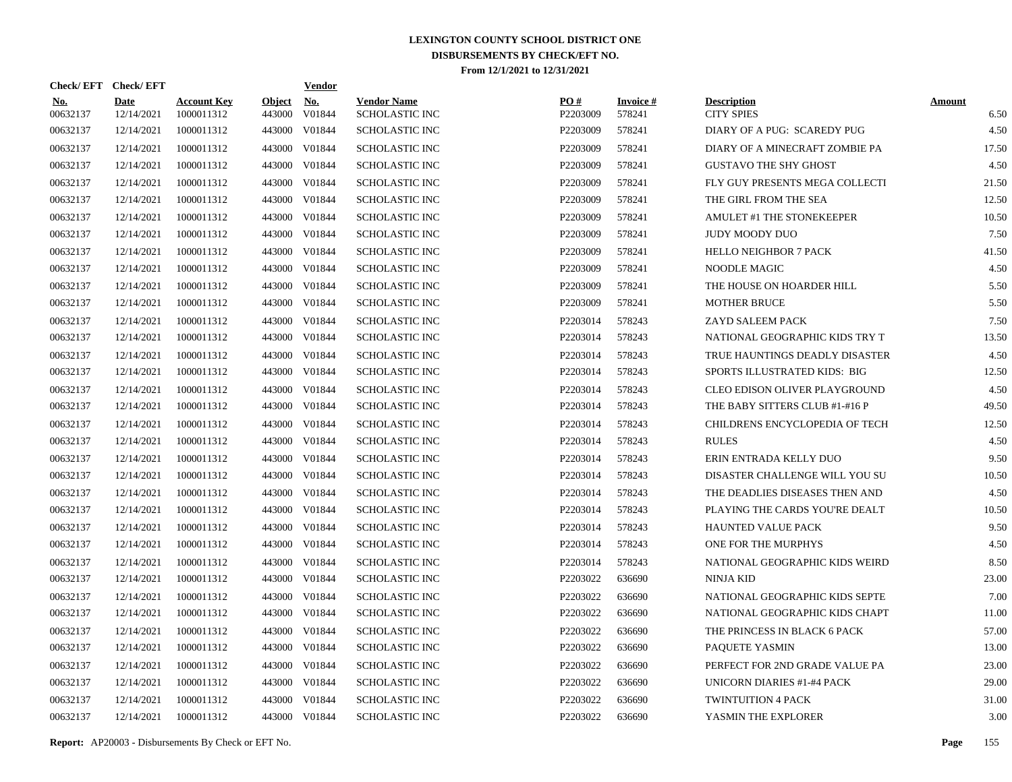| Check/EFT Check/EFT    |                           |                                  |                         | <b>Vendor</b>        |                                      |                 |                           |                                         |                       |
|------------------------|---------------------------|----------------------------------|-------------------------|----------------------|--------------------------------------|-----------------|---------------------------|-----------------------------------------|-----------------------|
| <u>No.</u><br>00632137 | <b>Date</b><br>12/14/2021 | <b>Account Key</b><br>1000011312 | <b>Object</b><br>443000 | <u>No.</u><br>V01844 | <b>Vendor Name</b><br>SCHOLASTIC INC | PO#<br>P2203009 | <b>Invoice#</b><br>578241 | <b>Description</b><br><b>CITY SPIES</b> | <b>Amount</b><br>6.50 |
| 00632137               | 12/14/2021                | 1000011312                       | 443000                  | V01844               | <b>SCHOLASTIC INC</b>                | P2203009        | 578241                    | DIARY OF A PUG: SCAREDY PUG             | 4.50                  |
| 00632137               | 12/14/2021                | 1000011312                       | 443000                  | V01844               | SCHOLASTIC INC                       | P2203009        | 578241                    | DIARY OF A MINECRAFT ZOMBIE PA          | 17.50                 |
| 00632137               | 12/14/2021                | 1000011312                       | 443000                  | V01844               | <b>SCHOLASTIC INC</b>                | P2203009        | 578241                    | <b>GUSTAVO THE SHY GHOST</b>            | 4.50                  |
| 00632137               | 12/14/2021                | 1000011312                       | 443000                  | V01844               | <b>SCHOLASTIC INC</b>                | P2203009        | 578241                    | FLY GUY PRESENTS MEGA COLLECTI          | 21.50                 |
| 00632137               | 12/14/2021                | 1000011312                       | 443000                  | V01844               | <b>SCHOLASTIC INC</b>                | P2203009        | 578241                    | THE GIRL FROM THE SEA                   | 12.50                 |
| 00632137               | 12/14/2021                | 1000011312                       | 443000                  | V01844               | <b>SCHOLASTIC INC</b>                | P2203009        | 578241                    | AMULET #1 THE STONEKEEPER               | 10.50                 |
| 00632137               | 12/14/2021                | 1000011312                       | 443000                  | V01844               | SCHOLASTIC INC                       | P2203009        | 578241                    | <b>JUDY MOODY DUO</b>                   | 7.50                  |
| 00632137               | 12/14/2021                | 1000011312                       |                         | 443000 V01844        | SCHOLASTIC INC                       | P2203009        | 578241                    | <b>HELLO NEIGHBOR 7 PACK</b>            | 41.50                 |
| 00632137               | 12/14/2021                | 1000011312                       | 443000                  | V01844               | <b>SCHOLASTIC INC</b>                | P2203009        | 578241                    | NOODLE MAGIC                            | 4.50                  |
| 00632137               | 12/14/2021                | 1000011312                       |                         | 443000 V01844        | SCHOLASTIC INC                       | P2203009        | 578241                    | THE HOUSE ON HOARDER HILL               | 5.50                  |
| 00632137               | 12/14/2021                | 1000011312                       | 443000                  | V01844               | <b>SCHOLASTIC INC</b>                | P2203009        | 578241                    | <b>MOTHER BRUCE</b>                     | 5.50                  |
| 00632137               | 12/14/2021                | 1000011312                       | 443000                  | V01844               | <b>SCHOLASTIC INC</b>                | P2203014        | 578243                    | ZAYD SALEEM PACK                        | 7.50                  |
| 00632137               | 12/14/2021                | 1000011312                       | 443000                  | V01844               | <b>SCHOLASTIC INC</b>                | P2203014        | 578243                    | NATIONAL GEOGRAPHIC KIDS TRY T          | 13.50                 |
| 00632137               | 12/14/2021                | 1000011312                       | 443000                  | V01844               | <b>SCHOLASTIC INC</b>                | P2203014        | 578243                    | TRUE HAUNTINGS DEADLY DISASTER          | 4.50                  |
| 00632137               | 12/14/2021                | 1000011312                       | 443000                  | V01844               | <b>SCHOLASTIC INC</b>                | P2203014        | 578243                    | SPORTS ILLUSTRATED KIDS: BIG            | 12.50                 |
| 00632137               | 12/14/2021                | 1000011312                       | 443000                  | V01844               | <b>SCHOLASTIC INC</b>                | P2203014        | 578243                    | CLEO EDISON OLIVER PLAYGROUND           | 4.50                  |
| 00632137               | 12/14/2021                | 1000011312                       | 443000                  | V01844               | SCHOLASTIC INC                       | P2203014        | 578243                    | THE BABY SITTERS CLUB #1-#16 P          | 49.50                 |
| 00632137               | 12/14/2021                | 1000011312                       | 443000                  | V01844               | <b>SCHOLASTIC INC</b>                | P2203014        | 578243                    | CHILDRENS ENCYCLOPEDIA OF TECH          | 12.50                 |
| 00632137               | 12/14/2021                | 1000011312                       | 443000                  | V01844               | SCHOLASTIC INC                       | P2203014        | 578243                    | <b>RULES</b>                            | 4.50                  |
| 00632137               | 12/14/2021                | 1000011312                       | 443000                  | V01844               | <b>SCHOLASTIC INC</b>                | P2203014        | 578243                    | ERIN ENTRADA KELLY DUO                  | 9.50                  |
| 00632137               | 12/14/2021                | 1000011312                       | 443000                  | V01844               | <b>SCHOLASTIC INC</b>                | P2203014        | 578243                    | DISASTER CHALLENGE WILL YOU SU          | 10.50                 |
| 00632137               | 12/14/2021                | 1000011312                       | 443000                  | V01844               | <b>SCHOLASTIC INC</b>                | P2203014        | 578243                    | THE DEADLIES DISEASES THEN AND          | 4.50                  |
| 00632137               | 12/14/2021                | 1000011312                       | 443000                  | V01844               | <b>SCHOLASTIC INC</b>                | P2203014        | 578243                    | PLAYING THE CARDS YOU'RE DEALT          | 10.50                 |
| 00632137               | 12/14/2021                | 1000011312                       | 443000                  | V01844               | <b>SCHOLASTIC INC</b>                | P2203014        | 578243                    | <b>HAUNTED VALUE PACK</b>               | 9.50                  |
| 00632137               | 12/14/2021                | 1000011312                       | 443000                  | V01844               | <b>SCHOLASTIC INC</b>                | P2203014        | 578243                    | ONE FOR THE MURPHYS                     | 4.50                  |
| 00632137               | 12/14/2021                | 1000011312                       | 443000                  | V01844               | <b>SCHOLASTIC INC</b>                | P2203014        | 578243                    | NATIONAL GEOGRAPHIC KIDS WEIRD          | 8.50                  |
| 00632137               | 12/14/2021                | 1000011312                       | 443000                  | V01844               | <b>SCHOLASTIC INC</b>                | P2203022        | 636690                    | <b>NINJA KID</b>                        | 23.00                 |
| 00632137               | 12/14/2021                | 1000011312                       | 443000                  | V01844               | <b>SCHOLASTIC INC</b>                | P2203022        | 636690                    | NATIONAL GEOGRAPHIC KIDS SEPTE          | 7.00                  |
| 00632137               | 12/14/2021                | 1000011312                       | 443000                  | V01844               | <b>SCHOLASTIC INC</b>                | P2203022        | 636690                    | NATIONAL GEOGRAPHIC KIDS CHAPT          | 11.00                 |
| 00632137               | 12/14/2021                | 1000011312                       | 443000                  | V01844               | <b>SCHOLASTIC INC</b>                | P2203022        | 636690                    | THE PRINCESS IN BLACK 6 PACK            | 57.00                 |
| 00632137               | 12/14/2021                | 1000011312                       | 443000                  | V01844               | <b>SCHOLASTIC INC</b>                | P2203022        | 636690                    | PAQUETE YASMIN                          | 13.00                 |
| 00632137               | 12/14/2021                | 1000011312                       | 443000                  | V01844               | <b>SCHOLASTIC INC</b>                | P2203022        | 636690                    | PERFECT FOR 2ND GRADE VALUE PA          | 23.00                 |
| 00632137               | 12/14/2021                | 1000011312                       | 443000                  | V01844               | <b>SCHOLASTIC INC</b>                | P2203022        | 636690                    | <b>UNICORN DIARIES #1-#4 PACK</b>       | 29.00                 |
| 00632137               | 12/14/2021                | 1000011312                       | 443000                  | V01844               | <b>SCHOLASTIC INC</b>                | P2203022        | 636690                    | <b>TWINTUITION 4 PACK</b>               | 31.00                 |
| 00632137               | 12/14/2021                | 1000011312                       |                         | 443000 V01844        | <b>SCHOLASTIC INC</b>                | P2203022        | 636690                    | YASMIN THE EXPLORER                     | 3.00                  |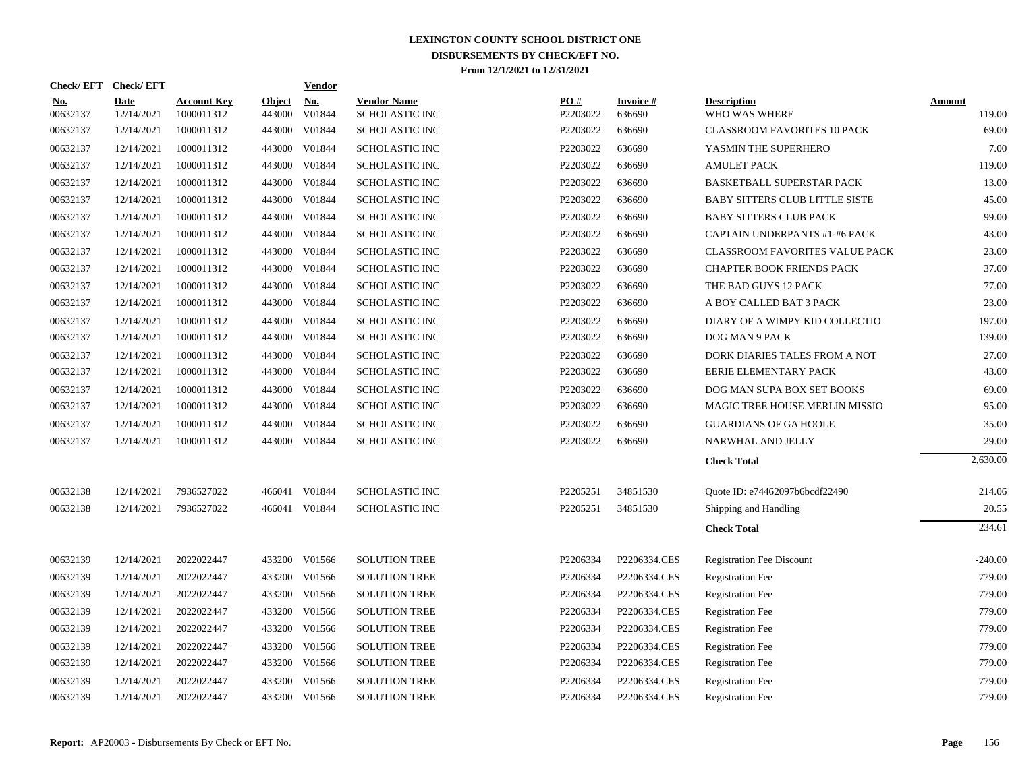| <b>Check/EFT</b>       | <b>Check/EFT</b>          |                                  |                         | <b>Vendor</b>        |                                      |                 |                           |                                       |                         |
|------------------------|---------------------------|----------------------------------|-------------------------|----------------------|--------------------------------------|-----------------|---------------------------|---------------------------------------|-------------------------|
| <u>No.</u><br>00632137 | <b>Date</b><br>12/14/2021 | <b>Account Key</b><br>1000011312 | <b>Object</b><br>443000 | <u>No.</u><br>V01844 | <b>Vendor Name</b><br>SCHOLASTIC INC | PO#<br>P2203022 | <b>Invoice#</b><br>636690 | <b>Description</b><br>WHO WAS WHERE   | <b>Amount</b><br>119.00 |
| 00632137               | 12/14/2021                | 1000011312                       | 443000                  | V01844               | <b>SCHOLASTIC INC</b>                | P2203022        | 636690                    | <b>CLASSROOM FAVORITES 10 PACK</b>    | 69.00                   |
| 00632137               | 12/14/2021                | 1000011312                       | 443000                  | V01844               | SCHOLASTIC INC                       | P2203022        | 636690                    | YASMIN THE SUPERHERO                  | 7.00                    |
| 00632137               | 12/14/2021                | 1000011312                       | 443000                  | V01844               | SCHOLASTIC INC                       | P2203022        | 636690                    | <b>AMULET PACK</b>                    | 119.00                  |
| 00632137               | 12/14/2021                | 1000011312                       | 443000                  | V01844               | SCHOLASTIC INC                       | P2203022        | 636690                    | BASKETBALL SUPERSTAR PACK             | 13.00                   |
| 00632137               | 12/14/2021                | 1000011312                       | 443000                  | V01844               | <b>SCHOLASTIC INC</b>                | P2203022        | 636690                    | <b>BABY SITTERS CLUB LITTLE SISTE</b> | 45.00                   |
| 00632137               | 12/14/2021                | 1000011312                       | 443000                  | V01844               | SCHOLASTIC INC                       | P2203022        | 636690                    | <b>BABY SITTERS CLUB PACK</b>         | 99.00                   |
| 00632137               | 12/14/2021                | 1000011312                       |                         | 443000 V01844        | SCHOLASTIC INC                       | P2203022        | 636690                    | CAPTAIN UNDERPANTS #1-#6 PACK         | 43.00                   |
| 00632137               | 12/14/2021                | 1000011312                       |                         | 443000 V01844        | <b>SCHOLASTIC INC</b>                | P2203022        | 636690                    | CLASSROOM FAVORITES VALUE PACK        | 23.00                   |
| 00632137               | 12/14/2021                | 1000011312                       |                         | 443000 V01844        | <b>SCHOLASTIC INC</b>                | P2203022        | 636690                    | <b>CHAPTER BOOK FRIENDS PACK</b>      | 37.00                   |
| 00632137               | 12/14/2021                | 1000011312                       | 443000                  | V01844               | <b>SCHOLASTIC INC</b>                | P2203022        | 636690                    | THE BAD GUYS 12 PACK                  | 77.00                   |
| 00632137               | 12/14/2021                | 1000011312                       | 443000                  | V01844               | <b>SCHOLASTIC INC</b>                | P2203022        | 636690                    | A BOY CALLED BAT 3 PACK               | 23.00                   |
| 00632137               | 12/14/2021                | 1000011312                       | 443000                  | V01844               | <b>SCHOLASTIC INC</b>                | P2203022        | 636690                    | DIARY OF A WIMPY KID COLLECTIO        | 197.00                  |
| 00632137               | 12/14/2021                | 1000011312                       | 443000                  | V01844               | <b>SCHOLASTIC INC</b>                | P2203022        | 636690                    | DOG MAN 9 PACK                        | 139.00                  |
| 00632137               | 12/14/2021                | 1000011312                       | 443000                  | V01844               | <b>SCHOLASTIC INC</b>                | P2203022        | 636690                    | DORK DIARIES TALES FROM A NOT         | 27.00                   |
| 00632137               | 12/14/2021                | 1000011312                       | 443000                  | V01844               | <b>SCHOLASTIC INC</b>                | P2203022        | 636690                    | EERIE ELEMENTARY PACK                 | 43.00                   |
| 00632137               | 12/14/2021                | 1000011312                       | 443000                  | V01844               | <b>SCHOLASTIC INC</b>                | P2203022        | 636690                    | DOG MAN SUPA BOX SET BOOKS            | 69.00                   |
| 00632137               | 12/14/2021                | 1000011312                       | 443000                  | V01844               | SCHOLASTIC INC                       | P2203022        | 636690                    | MAGIC TREE HOUSE MERLIN MISSIO        | 95.00                   |
| 00632137               | 12/14/2021                | 1000011312                       | 443000                  | V01844               | SCHOLASTIC INC                       | P2203022        | 636690                    | <b>GUARDIANS OF GA'HOOLE</b>          | 35.00                   |
| 00632137               | 12/14/2021                | 1000011312                       |                         | 443000 V01844        | SCHOLASTIC INC                       | P2203022        | 636690                    | NARWHAL AND JELLY                     | 29.00                   |
|                        |                           |                                  |                         |                      |                                      |                 |                           | <b>Check Total</b>                    | 2,630.00                |
| 00632138               | 12/14/2021                | 7936527022                       | 466041                  | V01844               | <b>SCHOLASTIC INC</b>                | P2205251        | 34851530                  | Quote ID: e74462097b6bcdf22490        | 214.06                  |
| 00632138               | 12/14/2021                | 7936527022                       |                         | 466041 V01844        | <b>SCHOLASTIC INC</b>                | P2205251        | 34851530                  | Shipping and Handling                 | 20.55                   |
|                        |                           |                                  |                         |                      |                                      |                 |                           | <b>Check Total</b>                    | 234.61                  |
| 00632139               | 12/14/2021                | 2022022447                       |                         | 433200 V01566        | <b>SOLUTION TREE</b>                 | P2206334        | P2206334.CES              | <b>Registration Fee Discount</b>      | $-240.00$               |
| 00632139               | 12/14/2021                | 2022022447                       |                         | 433200 V01566        | <b>SOLUTION TREE</b>                 | P2206334        | P2206334.CES              | <b>Registration Fee</b>               | 779.00                  |
| 00632139               | 12/14/2021                | 2022022447                       |                         | 433200 V01566        | <b>SOLUTION TREE</b>                 | P2206334        | P2206334.CES              | <b>Registration Fee</b>               | 779.00                  |
| 00632139               | 12/14/2021                | 2022022447                       | 433200                  | V01566               | <b>SOLUTION TREE</b>                 | P2206334        | P2206334.CES              | <b>Registration Fee</b>               | 779.00                  |
| 00632139               | 12/14/2021                | 2022022447                       | 433200                  | V01566               | <b>SOLUTION TREE</b>                 | P2206334        | P2206334.CES              | <b>Registration Fee</b>               | 779.00                  |
| 00632139               | 12/14/2021                | 2022022447                       | 433200                  | V01566               | <b>SOLUTION TREE</b>                 | P2206334        | P2206334.CES              | <b>Registration Fee</b>               | 779.00                  |
| 00632139               | 12/14/2021                | 2022022447                       | 433200                  | V01566               | <b>SOLUTION TREE</b>                 | P2206334        | P2206334.CES              | <b>Registration Fee</b>               | 779.00                  |
| 00632139               | 12/14/2021                | 2022022447                       | 433200                  | V01566               | <b>SOLUTION TREE</b>                 | P2206334        | P2206334.CES              | <b>Registration Fee</b>               | 779.00                  |
| 00632139               | 12/14/2021                | 2022022447                       |                         | 433200 V01566        | <b>SOLUTION TREE</b>                 | P2206334        | P2206334.CES              | <b>Registration Fee</b>               | 779.00                  |
|                        |                           |                                  |                         |                      |                                      |                 |                           |                                       |                         |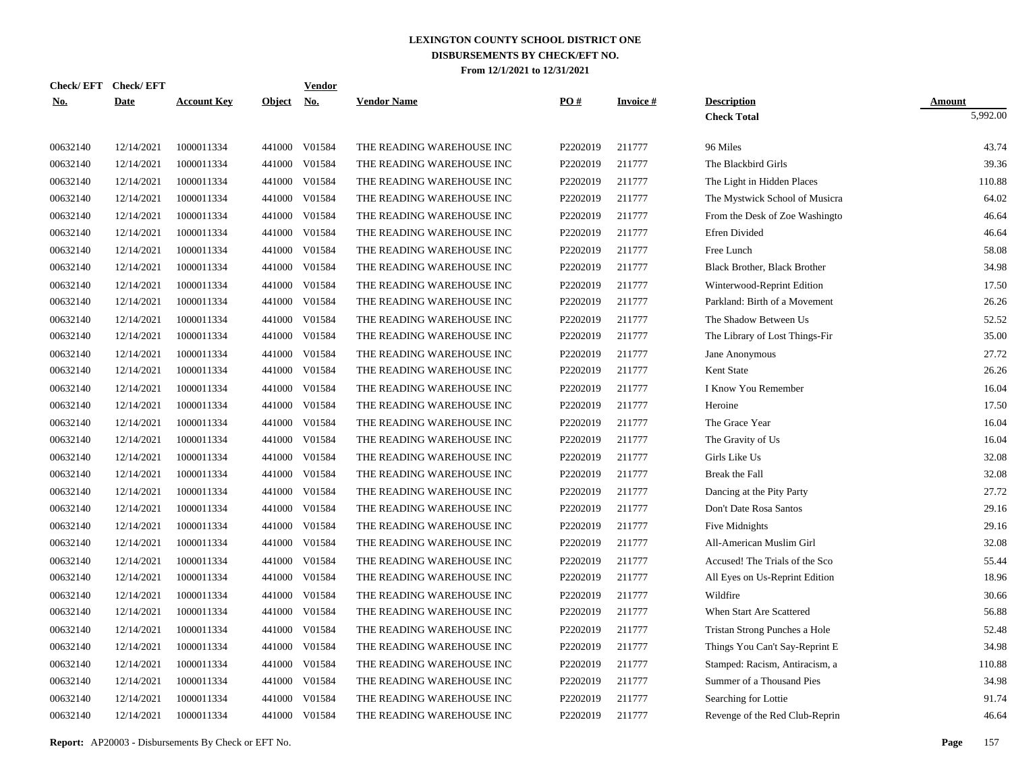| Check/ EFT | <b>Check/EFT</b> |                    |               | <b>Vendor</b> |                           |          |                 |                                     |               |
|------------|------------------|--------------------|---------------|---------------|---------------------------|----------|-----------------|-------------------------------------|---------------|
| <u>No.</u> | <b>Date</b>      | <b>Account Key</b> | <b>Object</b> | <u>No.</u>    | <b>Vendor Name</b>        | PO#      | <b>Invoice#</b> | <b>Description</b>                  | <b>Amount</b> |
|            |                  |                    |               |               |                           |          |                 | <b>Check Total</b>                  | 5,992.00      |
| 00632140   | 12/14/2021       | 1000011334         |               | 441000 V01584 | THE READING WAREHOUSE INC | P2202019 | 211777          | 96 Miles                            | 43.74         |
| 00632140   | 12/14/2021       | 1000011334         | 441000        | V01584        | THE READING WAREHOUSE INC | P2202019 | 211777          | The Blackbird Girls                 | 39.36         |
| 00632140   | 12/14/2021       | 1000011334         | 441000        | V01584        | THE READING WAREHOUSE INC | P2202019 | 211777          | The Light in Hidden Places          | 110.88        |
| 00632140   | 12/14/2021       | 1000011334         |               | 441000 V01584 | THE READING WAREHOUSE INC | P2202019 | 211777          | The Mystwick School of Musicra      | 64.02         |
| 00632140   | 12/14/2021       | 1000011334         | 441000        | V01584        | THE READING WAREHOUSE INC | P2202019 | 211777          | From the Desk of Zoe Washingto      | 46.64         |
| 00632140   | 12/14/2021       | 1000011334         | 441000        | V01584        | THE READING WAREHOUSE INC | P2202019 | 211777          | <b>Efren Divided</b>                | 46.64         |
| 00632140   | 12/14/2021       | 1000011334         | 441000        | V01584        | THE READING WAREHOUSE INC | P2202019 | 211777          | Free Lunch                          | 58.08         |
| 00632140   | 12/14/2021       | 1000011334         | 441000        | V01584        | THE READING WAREHOUSE INC | P2202019 | 211777          | <b>Black Brother, Black Brother</b> | 34.98         |
| 00632140   | 12/14/2021       | 1000011334         | 441000        | V01584        | THE READING WAREHOUSE INC | P2202019 | 211777          | Winterwood-Reprint Edition          | 17.50         |
| 00632140   | 12/14/2021       | 1000011334         | 441000        | V01584        | THE READING WAREHOUSE INC | P2202019 | 211777          | Parkland: Birth of a Movement       | 26.26         |
| 00632140   | 12/14/2021       | 1000011334         | 441000        | V01584        | THE READING WAREHOUSE INC | P2202019 | 211777          | The Shadow Between Us               | 52.52         |
| 00632140   | 12/14/2021       | 1000011334         | 441000        | V01584        | THE READING WAREHOUSE INC | P2202019 | 211777          | The Library of Lost Things-Fir      | 35.00         |
| 00632140   | 12/14/2021       | 1000011334         | 441000        | V01584        | THE READING WAREHOUSE INC | P2202019 | 211777          | Jane Anonymous                      | 27.72         |
| 00632140   | 12/14/2021       | 1000011334         | 441000        | V01584        | THE READING WAREHOUSE INC | P2202019 | 211777          | Kent State                          | 26.26         |
| 00632140   | 12/14/2021       | 1000011334         | 441000        | V01584        | THE READING WAREHOUSE INC | P2202019 | 211777          | I Know You Remember                 | 16.04         |
| 00632140   | 12/14/2021       | 1000011334         | 441000        | V01584        | THE READING WAREHOUSE INC | P2202019 | 211777          | Heroine                             | 17.50         |
| 00632140   | 12/14/2021       | 1000011334         | 441000        | V01584        | THE READING WAREHOUSE INC | P2202019 | 211777          | The Grace Year                      | 16.04         |
| 00632140   | 12/14/2021       | 1000011334         | 441000        | V01584        | THE READING WAREHOUSE INC | P2202019 | 211777          | The Gravity of Us                   | 16.04         |
| 00632140   | 12/14/2021       | 1000011334         | 441000        | V01584        | THE READING WAREHOUSE INC | P2202019 | 211777          | Girls Like Us                       | 32.08         |
| 00632140   | 12/14/2021       | 1000011334         | 441000        | V01584        | THE READING WAREHOUSE INC | P2202019 | 211777          | Break the Fall                      | 32.08         |
| 00632140   | 12/14/2021       | 1000011334         | 441000        | V01584        | THE READING WAREHOUSE INC | P2202019 | 211777          | Dancing at the Pity Party           | 27.72         |
| 00632140   | 12/14/2021       | 1000011334         | 441000        | V01584        | THE READING WAREHOUSE INC | P2202019 | 211777          | Don't Date Rosa Santos              | 29.16         |
| 00632140   | 12/14/2021       | 1000011334         | 441000        | V01584        | THE READING WAREHOUSE INC | P2202019 | 211777          | Five Midnights                      | 29.16         |
| 00632140   | 12/14/2021       | 1000011334         | 441000        | V01584        | THE READING WAREHOUSE INC | P2202019 | 211777          | All-American Muslim Girl            | 32.08         |
| 00632140   | 12/14/2021       | 1000011334         | 441000        | V01584        | THE READING WAREHOUSE INC | P2202019 | 211777          | Accused! The Trials of the Sco      | 55.44         |
| 00632140   | 12/14/2021       | 1000011334         | 441000        | V01584        | THE READING WAREHOUSE INC | P2202019 | 211777          | All Eyes on Us-Reprint Edition      | 18.96         |
| 00632140   | 12/14/2021       | 1000011334         | 441000        | V01584        | THE READING WAREHOUSE INC | P2202019 | 211777          | Wildfire                            | 30.66         |
| 00632140   | 12/14/2021       | 1000011334         | 441000        | V01584        | THE READING WAREHOUSE INC | P2202019 | 211777          | When Start Are Scattered            | 56.88         |
| 00632140   | 12/14/2021       | 1000011334         | 441000        | V01584        | THE READING WAREHOUSE INC | P2202019 | 211777          | Tristan Strong Punches a Hole       | 52.48         |
| 00632140   | 12/14/2021       | 1000011334         | 441000        | V01584        | THE READING WAREHOUSE INC | P2202019 | 211777          | Things You Can't Say-Reprint E      | 34.98         |
| 00632140   | 12/14/2021       | 1000011334         | 441000        | V01584        | THE READING WAREHOUSE INC | P2202019 | 211777          | Stamped: Racism, Antiracism, a      | 110.88        |
| 00632140   | 12/14/2021       | 1000011334         | 441000        | V01584        | THE READING WAREHOUSE INC | P2202019 | 211777          | Summer of a Thousand Pies           | 34.98         |
| 00632140   | 12/14/2021       | 1000011334         | 441000        | V01584        | THE READING WAREHOUSE INC | P2202019 | 211777          | Searching for Lottie                | 91.74         |
| 00632140   | 12/14/2021       | 1000011334         |               | 441000 V01584 | THE READING WAREHOUSE INC | P2202019 | 211777          | Revenge of the Red Club-Reprin      | 46.64         |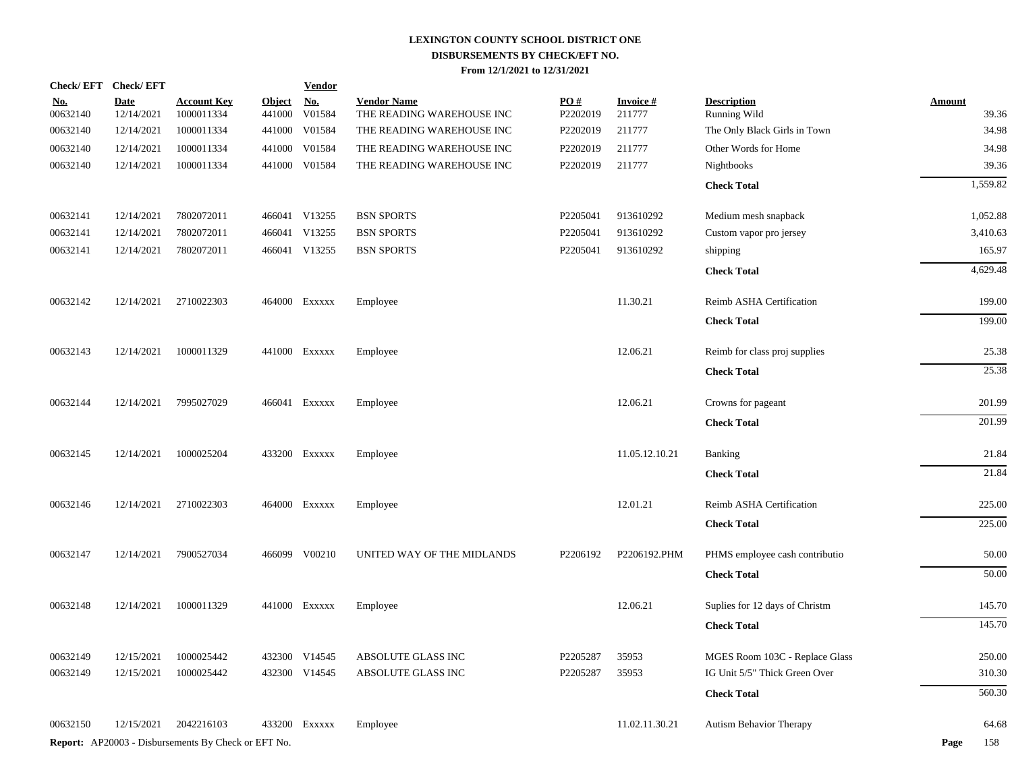|                        | Check/EFT Check/EFT       |                                                            |                      | <b>Vendor</b> |                                                 |                 |                            |                                    |                        |
|------------------------|---------------------------|------------------------------------------------------------|----------------------|---------------|-------------------------------------------------|-----------------|----------------------------|------------------------------------|------------------------|
| <u>No.</u><br>00632140 | <b>Date</b><br>12/14/2021 | <b>Account Key</b><br>1000011334                           | Object No.<br>441000 | V01584        | <b>Vendor Name</b><br>THE READING WAREHOUSE INC | PO#<br>P2202019 | <b>Invoice</b> #<br>211777 | <b>Description</b><br>Running Wild | <b>Amount</b><br>39.36 |
| 00632140               | 12/14/2021                | 1000011334                                                 | 441000               | V01584        | THE READING WAREHOUSE INC                       | P2202019        | 211777                     | The Only Black Girls in Town       | 34.98                  |
| 00632140               | 12/14/2021                | 1000011334                                                 | 441000               | V01584        | THE READING WAREHOUSE INC                       | P2202019        | 211777                     | Other Words for Home               | 34.98                  |
| 00632140               | 12/14/2021                | 1000011334                                                 |                      | 441000 V01584 | THE READING WAREHOUSE INC                       | P2202019        | 211777                     | Nightbooks                         | 39.36                  |
|                        |                           |                                                            |                      |               |                                                 |                 |                            | <b>Check Total</b>                 | 1,559.82               |
| 00632141               | 12/14/2021                | 7802072011                                                 |                      | 466041 V13255 | <b>BSN SPORTS</b>                               | P2205041        | 913610292                  | Medium mesh snapback               | 1,052.88               |
| 00632141               | 12/14/2021                | 7802072011                                                 |                      | 466041 V13255 | <b>BSN SPORTS</b>                               | P2205041        | 913610292                  | Custom vapor pro jersey            | 3,410.63               |
| 00632141               | 12/14/2021                | 7802072011                                                 |                      | 466041 V13255 | <b>BSN SPORTS</b>                               | P2205041        | 913610292                  | shipping                           | 165.97                 |
|                        |                           |                                                            |                      |               |                                                 |                 |                            | <b>Check Total</b>                 | 4,629.48               |
| 00632142               | 12/14/2021                | 2710022303                                                 |                      | 464000 Exxxxx | Employee                                        |                 | 11.30.21                   | Reimb ASHA Certification           | 199.00                 |
|                        |                           |                                                            |                      |               |                                                 |                 |                            | <b>Check Total</b>                 | 199.00                 |
| 00632143               | 12/14/2021                | 1000011329                                                 |                      | 441000 Exxxxx | Employee                                        |                 | 12.06.21                   | Reimb for class proj supplies      | 25.38                  |
|                        |                           |                                                            |                      |               |                                                 |                 |                            | <b>Check Total</b>                 | 25.38                  |
| 00632144               | 12/14/2021                | 7995027029                                                 |                      | 466041 Exxxxx | Employee                                        |                 | 12.06.21                   | Crowns for pageant                 | 201.99                 |
|                        |                           |                                                            |                      |               |                                                 |                 |                            | <b>Check Total</b>                 | 201.99                 |
| 00632145               | 12/14/2021                | 1000025204                                                 |                      | 433200 Exxxxx | Employee                                        |                 | 11.05.12.10.21             | <b>Banking</b>                     | 21.84                  |
|                        |                           |                                                            |                      |               |                                                 |                 |                            | <b>Check Total</b>                 | 21.84                  |
| 00632146               | 12/14/2021                | 2710022303                                                 |                      | 464000 Exxxxx | Employee                                        |                 | 12.01.21                   | Reimb ASHA Certification           | 225.00                 |
|                        |                           |                                                            |                      |               |                                                 |                 |                            | <b>Check Total</b>                 | 225.00                 |
| 00632147               | 12/14/2021                | 7900527034                                                 |                      | 466099 V00210 | UNITED WAY OF THE MIDLANDS                      | P2206192        | P2206192.PHM               | PHMS employee cash contributio     | 50.00                  |
|                        |                           |                                                            |                      |               |                                                 |                 |                            | <b>Check Total</b>                 | 50.00                  |
| 00632148               | 12/14/2021                | 1000011329                                                 |                      | 441000 Exxxxx | Employee                                        |                 | 12.06.21                   | Suplies for 12 days of Christm     | 145.70                 |
|                        |                           |                                                            |                      |               |                                                 |                 |                            | <b>Check Total</b>                 | 145.70                 |
| 00632149               | 12/15/2021                | 1000025442                                                 |                      | 432300 V14545 | ABSOLUTE GLASS INC                              | P2205287        | 35953                      | MGES Room 103C - Replace Glass     | 250.00                 |
| 00632149               | 12/15/2021                | 1000025442                                                 |                      | 432300 V14545 | ABSOLUTE GLASS INC                              | P2205287        | 35953                      | IG Unit 5/5" Thick Green Over      | 310.30                 |
|                        |                           |                                                            |                      |               |                                                 |                 |                            | <b>Check Total</b>                 | 560.30                 |
| 00632150               | 12/15/2021                | 2042216103                                                 | 433200               | Exxxxx        | Employee                                        |                 | 11.02.11.30.21             | <b>Autism Behavior Therapy</b>     | 64.68                  |
|                        |                           | <b>Report:</b> AP20003 - Disbursements By Check or EFT No. |                      |               |                                                 |                 |                            |                                    | Page<br>158            |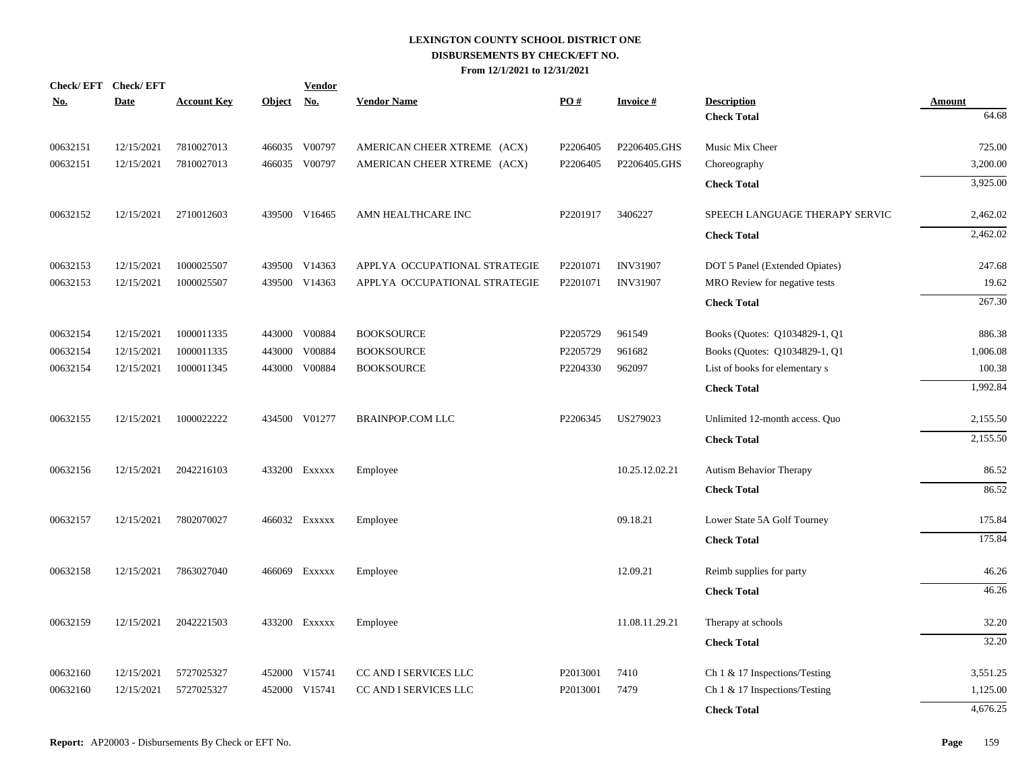|          | Check/EFT Check/EFT |                    |            | <b>Vendor</b> |                               |          |                 |                                  |               |
|----------|---------------------|--------------------|------------|---------------|-------------------------------|----------|-----------------|----------------------------------|---------------|
| No.      | Date                | <b>Account Key</b> | Object No. |               | <b>Vendor Name</b>            | PO#      | <b>Invoice#</b> | <b>Description</b>               | <b>Amount</b> |
|          |                     |                    |            |               |                               |          |                 | <b>Check Total</b>               | 64.68         |
| 00632151 | 12/15/2021          | 7810027013         |            | 466035 V00797 | AMERICAN CHEER XTREME (ACX)   | P2206405 | P2206405.GHS    | Music Mix Cheer                  | 725.00        |
| 00632151 | 12/15/2021          | 7810027013         |            | 466035 V00797 | AMERICAN CHEER XTREME (ACX)   | P2206405 | P2206405.GHS    | Choreography                     | 3,200.00      |
|          |                     |                    |            |               |                               |          |                 | <b>Check Total</b>               | 3,925.00      |
| 00632152 | 12/15/2021          | 2710012603         |            | 439500 V16465 | AMN HEALTHCARE INC            | P2201917 | 3406227         | SPEECH LANGUAGE THERAPY SERVIC   | 2,462.02      |
|          |                     |                    |            |               |                               |          |                 | <b>Check Total</b>               | 2,462.02      |
| 00632153 | 12/15/2021          | 1000025507         |            | 439500 V14363 | APPLYA OCCUPATIONAL STRATEGIE | P2201071 | <b>INV31907</b> | DOT 5 Panel (Extended Opiates)   | 247.68        |
| 00632153 | 12/15/2021          | 1000025507         |            | 439500 V14363 | APPLYA OCCUPATIONAL STRATEGIE | P2201071 | <b>INV31907</b> | MRO Review for negative tests    | 19.62         |
|          |                     |                    |            |               |                               |          |                 | <b>Check Total</b>               | 267.30        |
| 00632154 | 12/15/2021          | 1000011335         |            | 443000 V00884 | <b>BOOKSOURCE</b>             | P2205729 | 961549          | Books (Quotes: Q1034829-1, Q1    | 886.38        |
| 00632154 | 12/15/2021          | 1000011335         |            | 443000 V00884 | <b>BOOKSOURCE</b>             | P2205729 | 961682          | Books (Quotes: Q1034829-1, Q1    | 1,006.08      |
| 00632154 | 12/15/2021          | 1000011345         |            | 443000 V00884 | <b>BOOKSOURCE</b>             | P2204330 | 962097          | List of books for elementary s   | 100.38        |
|          |                     |                    |            |               |                               |          |                 | <b>Check Total</b>               | 1,992.84      |
| 00632155 | 12/15/2021          | 1000022222         |            | 434500 V01277 | <b>BRAINPOP.COM LLC</b>       | P2206345 | US279023        | Unlimited 12-month access. Quo   | 2,155.50      |
|          |                     |                    |            |               |                               |          |                 | <b>Check Total</b>               | 2,155.50      |
| 00632156 | 12/15/2021          | 2042216103         |            | 433200 Exxxxx | Employee                      |          | 10.25.12.02.21  | Autism Behavior Therapy          | 86.52         |
|          |                     |                    |            |               |                               |          |                 | <b>Check Total</b>               | 86.52         |
| 00632157 | 12/15/2021          | 7802070027         |            | 466032 Exxxxx | Employee                      |          | 09.18.21        | Lower State 5A Golf Tourney      | 175.84        |
|          |                     |                    |            |               |                               |          |                 | <b>Check Total</b>               | 175.84        |
| 00632158 | 12/15/2021          | 7863027040         |            | 466069 Exxxxx | Employee                      |          | 12.09.21        | Reimb supplies for party         | 46.26         |
|          |                     |                    |            |               |                               |          |                 | <b>Check Total</b>               | 46.26         |
| 00632159 | 12/15/2021          | 2042221503         |            | 433200 Exxxxx | Employee                      |          | 11.08.11.29.21  | Therapy at schools               | 32.20         |
|          |                     |                    |            |               |                               |          |                 | <b>Check Total</b>               | 32.20         |
| 00632160 | 12/15/2021          | 5727025327         |            | 452000 V15741 | CC AND I SERVICES LLC         | P2013001 | 7410            | Ch 1 & 17 Inspections/Testing    | 3,551.25      |
| 00632160 | 12/15/2021          | 5727025327         | 452000     | V15741        | CC AND I SERVICES LLC         | P2013001 | 7479            | Ch $1 \& 17$ Inspections/Testing | 1,125.00      |
|          |                     |                    |            |               |                               |          |                 | <b>Check Total</b>               | 4,676.25      |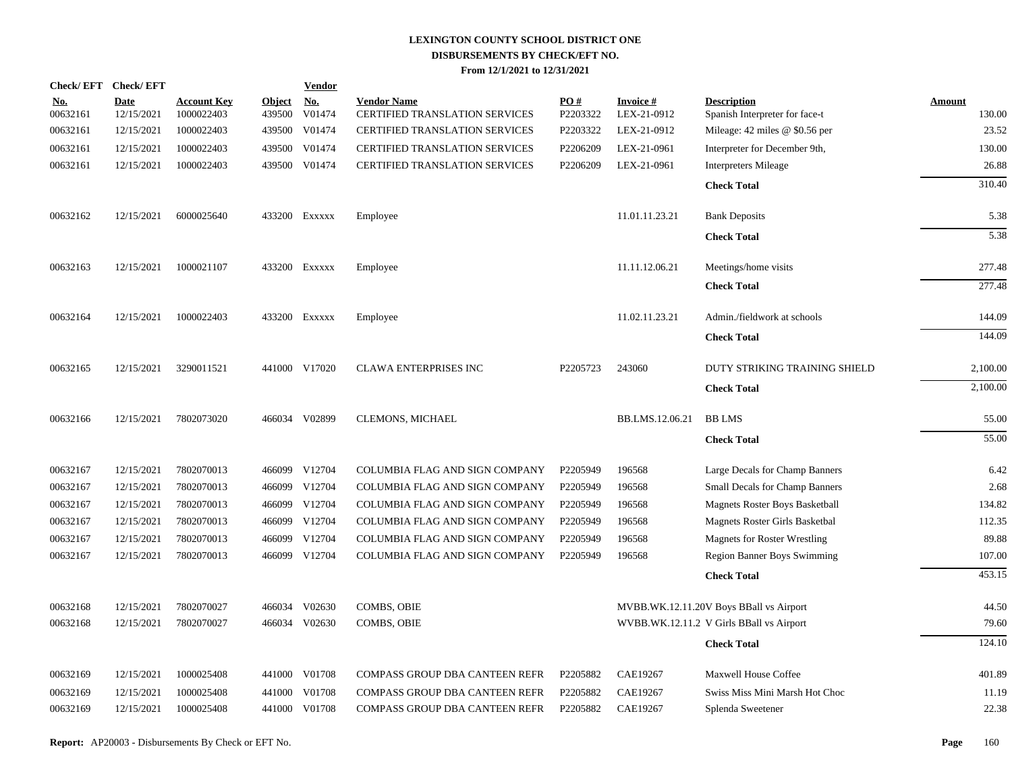| <b>Check/EFT</b>       | <b>Check/EFT</b>          |                                  |                         | <b>Vendor</b>        |                                                             |                 |                                |                                                      |                         |
|------------------------|---------------------------|----------------------------------|-------------------------|----------------------|-------------------------------------------------------------|-----------------|--------------------------------|------------------------------------------------------|-------------------------|
| <u>No.</u><br>00632161 | <b>Date</b><br>12/15/2021 | <b>Account Key</b><br>1000022403 | <b>Object</b><br>439500 | <u>No.</u><br>V01474 | <b>Vendor Name</b><br><b>CERTIFIED TRANSLATION SERVICES</b> | PO#<br>P2203322 | <b>Invoice#</b><br>LEX-21-0912 | <b>Description</b><br>Spanish Interpreter for face-t | <b>Amount</b><br>130.00 |
| 00632161               | 12/15/2021                | 1000022403                       | 439500                  | V01474               | <b>CERTIFIED TRANSLATION SERVICES</b>                       | P2203322        | LEX-21-0912                    | Mileage: 42 miles @ \$0.56 per                       | 23.52                   |
| 00632161               | 12/15/2021                | 1000022403                       | 439500                  | V01474               | <b>CERTIFIED TRANSLATION SERVICES</b>                       | P2206209        | LEX-21-0961                    | Interpreter for December 9th,                        | 130.00                  |
| 00632161               | 12/15/2021                | 1000022403                       |                         | 439500 V01474        | <b>CERTIFIED TRANSLATION SERVICES</b>                       | P2206209        | LEX-21-0961                    | <b>Interpreters Mileage</b>                          | 26.88                   |
|                        |                           |                                  |                         |                      |                                                             |                 |                                | <b>Check Total</b>                                   | 310.40                  |
| 00632162               | 12/15/2021                | 6000025640                       |                         | 433200 Exxxxx        | Employee                                                    |                 | 11.01.11.23.21                 | <b>Bank Deposits</b>                                 | 5.38                    |
|                        |                           |                                  |                         |                      |                                                             |                 |                                | <b>Check Total</b>                                   | 5.38                    |
| 00632163               | 12/15/2021                | 1000021107                       |                         | 433200 EXXXXX        | Employee                                                    |                 | 11.11.12.06.21                 | Meetings/home visits                                 | 277.48                  |
|                        |                           |                                  |                         |                      |                                                             |                 |                                | <b>Check Total</b>                                   | 277.48                  |
| 00632164               | 12/15/2021                | 1000022403                       |                         | 433200 Exxxxx        | Employee                                                    |                 | 11.02.11.23.21                 | Admin./fieldwork at schools                          | 144.09                  |
|                        |                           |                                  |                         |                      |                                                             |                 |                                | <b>Check Total</b>                                   | 144.09                  |
| 00632165               | 12/15/2021                | 3290011521                       |                         | 441000 V17020        | <b>CLAWA ENTERPRISES INC</b>                                | P2205723        | 243060                         | DUTY STRIKING TRAINING SHIELD                        | 2,100.00                |
|                        |                           |                                  |                         |                      |                                                             |                 |                                | <b>Check Total</b>                                   | 2,100.00                |
| 00632166               | 12/15/2021                | 7802073020                       |                         | 466034 V02899        | CLEMONS, MICHAEL                                            |                 | BB.LMS.12.06.21                | <b>BB LMS</b>                                        | 55.00                   |
|                        |                           |                                  |                         |                      |                                                             |                 |                                | <b>Check Total</b>                                   | 55.00                   |
| 00632167               | 12/15/2021                | 7802070013                       |                         | 466099 V12704        | COLUMBIA FLAG AND SIGN COMPANY                              | P2205949        | 196568                         | Large Decals for Champ Banners                       | 6.42                    |
| 00632167               | 12/15/2021                | 7802070013                       |                         | 466099 V12704        | COLUMBIA FLAG AND SIGN COMPANY                              | P2205949        | 196568                         | Small Decals for Champ Banners                       | 2.68                    |
| 00632167               | 12/15/2021                | 7802070013                       | 466099                  | V12704               | COLUMBIA FLAG AND SIGN COMPANY                              | P2205949        | 196568                         | Magnets Roster Boys Basketball                       | 134.82                  |
| 00632167               | 12/15/2021                | 7802070013                       |                         | 466099 V12704        | COLUMBIA FLAG AND SIGN COMPANY                              | P2205949        | 196568                         | Magnets Roster Girls Basketbal                       | 112.35                  |
| 00632167               | 12/15/2021                | 7802070013                       | 466099                  | V12704               | COLUMBIA FLAG AND SIGN COMPANY                              | P2205949        | 196568                         | <b>Magnets for Roster Wrestling</b>                  | 89.88                   |
| 00632167               | 12/15/2021                | 7802070013                       |                         | 466099 V12704        | COLUMBIA FLAG AND SIGN COMPANY                              | P2205949        | 196568                         | <b>Region Banner Boys Swimming</b>                   | 107.00                  |
|                        |                           |                                  |                         |                      |                                                             |                 |                                | <b>Check Total</b>                                   | 453.15                  |
| 00632168               | 12/15/2021                | 7802070027                       |                         | 466034 V02630        | COMBS, OBIE                                                 |                 |                                | MVBB.WK.12.11.20V Boys BBall vs Airport              | 44.50                   |
| 00632168               | 12/15/2021                | 7802070027                       |                         | 466034 V02630        | COMBS, OBIE                                                 |                 |                                | WVBB.WK.12.11.2 V Girls BBall vs Airport             | 79.60                   |
|                        |                           |                                  |                         |                      |                                                             |                 |                                | <b>Check Total</b>                                   | 124.10                  |
| 00632169               | 12/15/2021                | 1000025408                       |                         | 441000 V01708        | COMPASS GROUP DBA CANTEEN REFR                              | P2205882        | CAE19267                       | Maxwell House Coffee                                 | 401.89                  |
| 00632169               | 12/15/2021                | 1000025408                       | 441000                  | V01708               | <b>COMPASS GROUP DBA CANTEEN REFR</b>                       | P2205882        | <b>CAE19267</b>                | Swiss Miss Mini Marsh Hot Choc                       | 11.19                   |
| 00632169               | 12/15/2021                | 1000025408                       |                         | 441000 V01708        | COMPASS GROUP DBA CANTEEN REFR                              | P2205882        | CAE19267                       | Splenda Sweetener                                    | 22.38                   |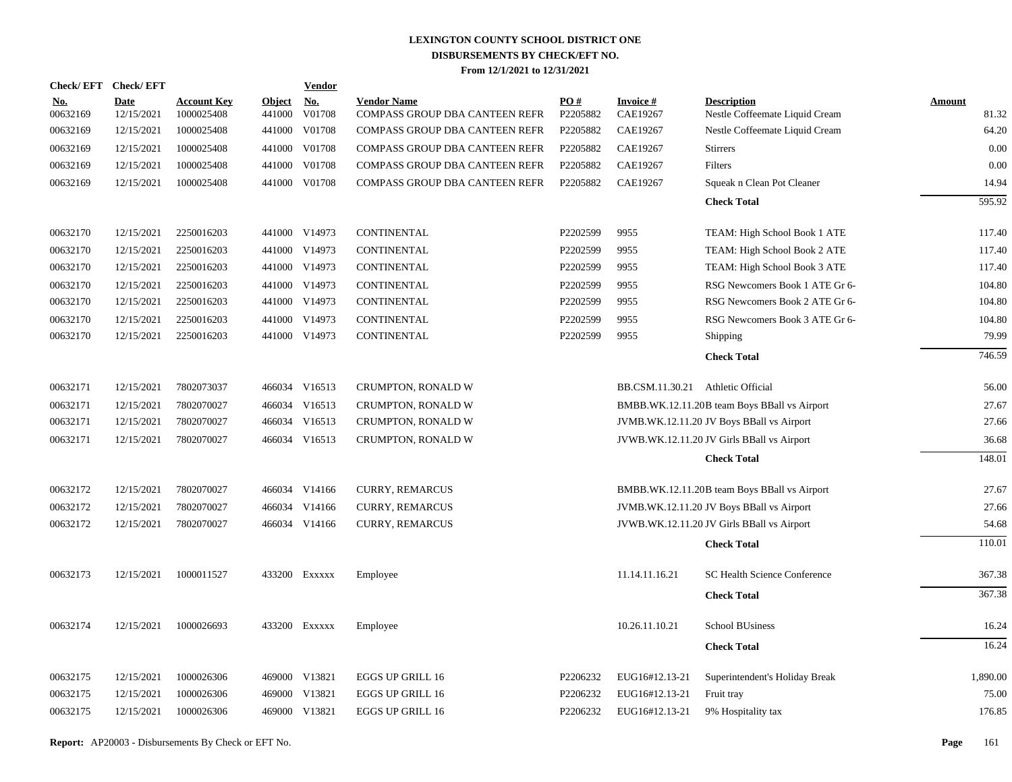|                   | Check/EFT Check/EFT       |                                  |                         | <b>Vendor</b> |                                                      |                 |                                   |                                                      |                        |
|-------------------|---------------------------|----------------------------------|-------------------------|---------------|------------------------------------------------------|-----------------|-----------------------------------|------------------------------------------------------|------------------------|
| $No.$<br>00632169 | <b>Date</b><br>12/15/2021 | <b>Account Key</b><br>1000025408 | <b>Object</b><br>441000 | No.<br>V01708 | <b>Vendor Name</b><br>COMPASS GROUP DBA CANTEEN REFR | PO#<br>P2205882 | <b>Invoice #</b><br>CAE19267      | <b>Description</b><br>Nestle Coffeemate Liquid Cream | <b>Amount</b><br>81.32 |
| 00632169          | 12/15/2021                | 1000025408                       | 441000                  | V01708        | COMPASS GROUP DBA CANTEEN REFR                       | P2205882        | CAE19267                          | Nestle Coffeemate Liquid Cream                       | 64.20                  |
| 00632169          | 12/15/2021                | 1000025408                       | 441000                  | V01708        | COMPASS GROUP DBA CANTEEN REFR                       | P2205882        | CAE19267                          | <b>Stirrers</b>                                      | 0.00                   |
| 00632169          | 12/15/2021                | 1000025408                       | 441000                  | V01708        | COMPASS GROUP DBA CANTEEN REFR                       | P2205882        | CAE19267                          | Filters                                              | 0.00                   |
| 00632169          | 12/15/2021                | 1000025408                       |                         | 441000 V01708 | COMPASS GROUP DBA CANTEEN REFR                       | P2205882        | CAE19267                          | Squeak n Clean Pot Cleaner                           | 14.94                  |
|                   |                           |                                  |                         |               |                                                      |                 |                                   | <b>Check Total</b>                                   | 595.92                 |
| 00632170          | 12/15/2021                | 2250016203                       |                         | 441000 V14973 | CONTINENTAL                                          | P2202599        | 9955                              | TEAM: High School Book 1 ATE                         | 117.40                 |
| 00632170          | 12/15/2021                | 2250016203                       |                         | 441000 V14973 | <b>CONTINENTAL</b>                                   | P2202599        | 9955                              | TEAM: High School Book 2 ATE                         | 117.40                 |
| 00632170          | 12/15/2021                | 2250016203                       |                         | 441000 V14973 | CONTINENTAL                                          | P2202599        | 9955                              | TEAM: High School Book 3 ATE                         | 117.40                 |
| 00632170          | 12/15/2021                | 2250016203                       |                         | 441000 V14973 | CONTINENTAL                                          | P2202599        | 9955                              | RSG Newcomers Book 1 ATE Gr 6-                       | 104.80                 |
| 00632170          | 12/15/2021                | 2250016203                       |                         | 441000 V14973 | CONTINENTAL                                          | P2202599        | 9955                              | RSG Newcomers Book 2 ATE Gr 6-                       | 104.80                 |
| 00632170          | 12/15/2021                | 2250016203                       | 441000                  | V14973        | CONTINENTAL                                          | P2202599        | 9955                              | RSG Newcomers Book 3 ATE Gr 6-                       | 104.80                 |
| 00632170          | 12/15/2021                | 2250016203                       |                         | 441000 V14973 | CONTINENTAL                                          | P2202599        | 9955                              | Shipping                                             | 79.99                  |
|                   |                           |                                  |                         |               |                                                      |                 |                                   | <b>Check Total</b>                                   | 746.59                 |
| 00632171          | 12/15/2021                | 7802073037                       |                         | 466034 V16513 | CRUMPTON, RONALD W                                   |                 | BB.CSM.11.30.21 Athletic Official |                                                      | 56.00                  |
| 00632171          | 12/15/2021                | 7802070027                       |                         | 466034 V16513 | CRUMPTON, RONALD W                                   |                 |                                   | BMBB.WK.12.11.20B team Boys BBall vs Airport         | 27.67                  |
| 00632171          | 12/15/2021                | 7802070027                       |                         | 466034 V16513 | CRUMPTON, RONALD W                                   |                 |                                   | JVMB.WK.12.11.20 JV Boys BBall vs Airport            | 27.66                  |
| 00632171          | 12/15/2021                | 7802070027                       |                         | 466034 V16513 | CRUMPTON, RONALD W                                   |                 |                                   | JVWB.WK.12.11.20 JV Girls BBall vs Airport           | 36.68                  |
|                   |                           |                                  |                         |               |                                                      |                 |                                   | <b>Check Total</b>                                   | 148.01                 |
| 00632172          | 12/15/2021                | 7802070027                       |                         | 466034 V14166 | <b>CURRY, REMARCUS</b>                               |                 |                                   | BMBB.WK.12.11.20B team Boys BBall vs Airport         | 27.67                  |
| 00632172          | 12/15/2021                | 7802070027                       |                         | 466034 V14166 | <b>CURRY, REMARCUS</b>                               |                 |                                   | JVMB.WK.12.11.20 JV Boys BBall vs Airport            | 27.66                  |
| 00632172          | 12/15/2021                | 7802070027                       |                         | 466034 V14166 | <b>CURRY, REMARCUS</b>                               |                 |                                   | JVWB.WK.12.11.20 JV Girls BBall vs Airport           | 54.68                  |
|                   |                           |                                  |                         |               |                                                      |                 |                                   | <b>Check Total</b>                                   | 110.01                 |
| 00632173          | 12/15/2021                | 1000011527                       |                         | 433200 Exxxxx | Employee                                             |                 | 11.14.11.16.21                    | SC Health Science Conference                         | 367.38                 |
|                   |                           |                                  |                         |               |                                                      |                 |                                   | <b>Check Total</b>                                   | 367.38                 |
| 00632174          | 12/15/2021                | 1000026693                       |                         | 433200 Exxxxx | Employee                                             |                 | 10.26.11.10.21                    | <b>School BUsiness</b>                               | 16.24                  |
|                   |                           |                                  |                         |               |                                                      |                 |                                   | <b>Check Total</b>                                   | 16.24                  |
| 00632175          | 12/15/2021                | 1000026306                       |                         | 469000 V13821 | <b>EGGS UP GRILL 16</b>                              | P2206232        | EUG16#12.13-21                    | Superintendent's Holiday Break                       | 1,890.00               |
| 00632175          | 12/15/2021                | 1000026306                       |                         | 469000 V13821 | <b>EGGS UP GRILL 16</b>                              | P2206232        | EUG16#12.13-21                    | Fruit tray                                           | 75.00                  |
| 00632175          | 12/15/2021                | 1000026306                       |                         | 469000 V13821 | <b>EGGS UP GRILL 16</b>                              | P2206232        | EUG16#12.13-21                    | 9% Hospitality tax                                   | 176.85                 |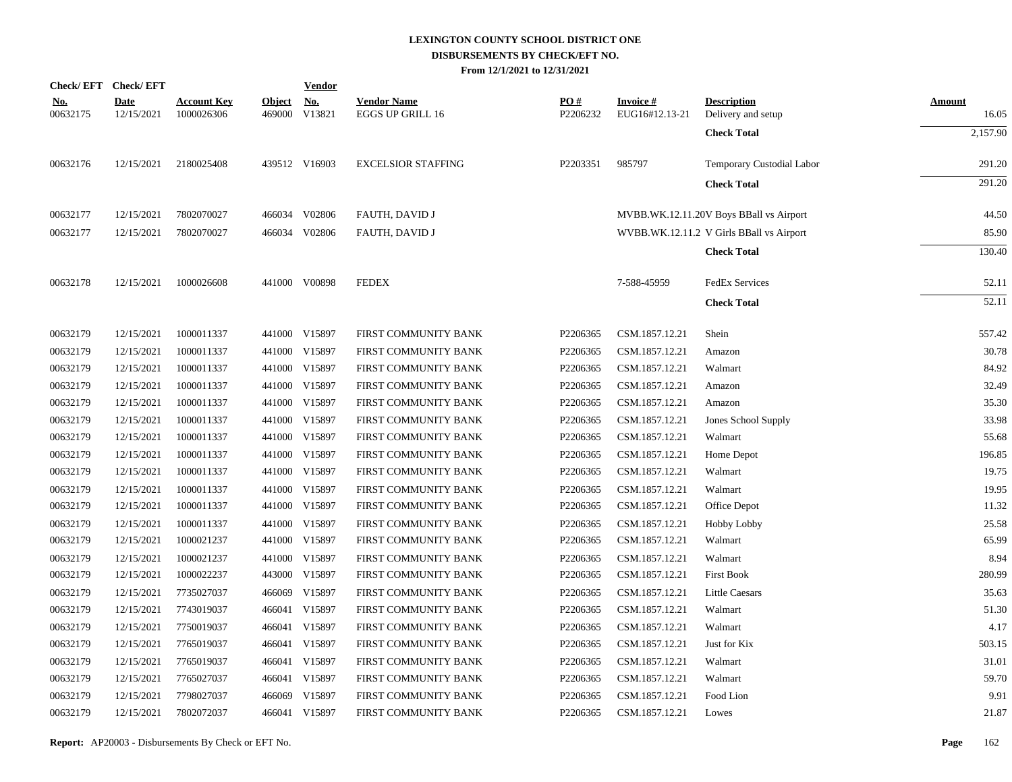|                        | Check/EFT Check/EFT       |                                  |               | <b>Vendor</b>               |                                               |                 |                             |                                          |                        |
|------------------------|---------------------------|----------------------------------|---------------|-----------------------------|-----------------------------------------------|-----------------|-----------------------------|------------------------------------------|------------------------|
| <u>No.</u><br>00632175 | <b>Date</b><br>12/15/2021 | <b>Account Key</b><br>1000026306 | <b>Object</b> | <u>No.</u><br>469000 V13821 | <b>Vendor Name</b><br><b>EGGS UP GRILL 16</b> | PO#<br>P2206232 | Invoice #<br>EUG16#12.13-21 | <b>Description</b><br>Delivery and setup | <b>Amount</b><br>16.05 |
|                        |                           |                                  |               |                             |                                               |                 |                             | <b>Check Total</b>                       | 2,157.90               |
| 00632176               | 12/15/2021                | 2180025408                       |               | 439512 V16903               | <b>EXCELSIOR STAFFING</b>                     | P2203351        | 985797                      | Temporary Custodial Labor                | 291.20                 |
|                        |                           |                                  |               |                             |                                               |                 |                             | <b>Check Total</b>                       | 291.20                 |
| 00632177               | 12/15/2021                | 7802070027                       |               | 466034 V02806               | FAUTH, DAVID J                                |                 |                             | MVBB.WK.12.11.20V Boys BBall vs Airport  | 44.50                  |
| 00632177               | 12/15/2021                | 7802070027                       |               | 466034 V02806               | <b>FAUTH, DAVID J</b>                         |                 |                             | WVBB.WK.12.11.2 V Girls BBall vs Airport | 85.90                  |
|                        |                           |                                  |               |                             |                                               |                 |                             | <b>Check Total</b>                       | 130.40                 |
| 00632178               | 12/15/2021                | 1000026608                       |               | 441000 V00898               | <b>FEDEX</b>                                  |                 | 7-588-45959                 | <b>FedEx Services</b>                    | 52.11                  |
|                        |                           |                                  |               |                             |                                               |                 |                             | <b>Check Total</b>                       | 52.11                  |
| 00632179               | 12/15/2021                | 1000011337                       |               | 441000 V15897               | FIRST COMMUNITY BANK                          | P2206365        | CSM.1857.12.21              | Shein                                    | 557.42                 |
| 00632179               | 12/15/2021                | 1000011337                       |               | 441000 V15897               | FIRST COMMUNITY BANK                          | P2206365        | CSM.1857.12.21              | Amazon                                   | 30.78                  |
| 00632179               | 12/15/2021                | 1000011337                       |               | 441000 V15897               | FIRST COMMUNITY BANK                          | P2206365        | CSM.1857.12.21              | Walmart                                  | 84.92                  |
| 00632179               | 12/15/2021                | 1000011337                       |               | 441000 V15897               | FIRST COMMUNITY BANK                          | P2206365        | CSM.1857.12.21              | Amazon                                   | 32.49                  |
| 00632179               | 12/15/2021                | 1000011337                       |               | 441000 V15897               | FIRST COMMUNITY BANK                          | P2206365        | CSM.1857.12.21              | Amazon                                   | 35.30                  |
| 00632179               | 12/15/2021                | 1000011337                       |               | 441000 V15897               | FIRST COMMUNITY BANK                          | P2206365        | CSM.1857.12.21              | Jones School Supply                      | 33.98                  |
| 00632179               | 12/15/2021                | 1000011337                       |               | 441000 V15897               | FIRST COMMUNITY BANK                          | P2206365        | CSM.1857.12.21              | Walmart                                  | 55.68                  |
| 00632179               | 12/15/2021                | 1000011337                       |               | 441000 V15897               | FIRST COMMUNITY BANK                          | P2206365        | CSM.1857.12.21              | Home Depot                               | 196.85                 |
| 00632179               | 12/15/2021                | 1000011337                       |               | 441000 V15897               | FIRST COMMUNITY BANK                          | P2206365        | CSM.1857.12.21              | Walmart                                  | 19.75                  |
| 00632179               | 12/15/2021                | 1000011337                       |               | 441000 V15897               | FIRST COMMUNITY BANK                          | P2206365        | CSM.1857.12.21              | Walmart                                  | 19.95                  |
| 00632179               | 12/15/2021                | 1000011337                       |               | 441000 V15897               | FIRST COMMUNITY BANK                          | P2206365        | CSM.1857.12.21              | Office Depot                             | 11.32                  |
| 00632179               | 12/15/2021                | 1000011337                       |               | 441000 V15897               | FIRST COMMUNITY BANK                          | P2206365        | CSM.1857.12.21              | <b>Hobby Lobby</b>                       | 25.58                  |
| 00632179               | 12/15/2021                | 1000021237                       |               | 441000 V15897               | FIRST COMMUNITY BANK                          | P2206365        | CSM.1857.12.21              | Walmart                                  | 65.99                  |
| 00632179               | 12/15/2021                | 1000021237                       |               | 441000 V15897               | FIRST COMMUNITY BANK                          | P2206365        | CSM.1857.12.21              | Walmart                                  | 8.94                   |
| 00632179               | 12/15/2021                | 1000022237                       |               | 443000 V15897               | FIRST COMMUNITY BANK                          | P2206365        | CSM.1857.12.21              | <b>First Book</b>                        | 280.99                 |
| 00632179               | 12/15/2021                | 7735027037                       |               | 466069 V15897               | FIRST COMMUNITY BANK                          | P2206365        | CSM.1857.12.21              | <b>Little Caesars</b>                    | 35.63                  |
| 00632179               | 12/15/2021                | 7743019037                       |               | 466041 V15897               | FIRST COMMUNITY BANK                          | P2206365        | CSM.1857.12.21              | Walmart                                  | 51.30                  |
| 00632179               | 12/15/2021                | 7750019037                       |               | 466041 V15897               | FIRST COMMUNITY BANK                          | P2206365        | CSM.1857.12.21              | Walmart                                  | 4.17                   |
| 00632179               | 12/15/2021                | 7765019037                       |               | 466041 V15897               | FIRST COMMUNITY BANK                          | P2206365        | CSM.1857.12.21              | Just for Kix                             | 503.15                 |
| 00632179               | 12/15/2021                | 7765019037                       |               | 466041 V15897               | FIRST COMMUNITY BANK                          | P2206365        | CSM.1857.12.21              | Walmart                                  | 31.01                  |
| 00632179               | 12/15/2021                | 7765027037                       |               | 466041 V15897               | FIRST COMMUNITY BANK                          | P2206365        | CSM.1857.12.21              | Walmart                                  | 59.70                  |
| 00632179               | 12/15/2021                | 7798027037                       |               | 466069 V15897               | FIRST COMMUNITY BANK                          | P2206365        | CSM.1857.12.21              | Food Lion                                | 9.91                   |
| 00632179               | 12/15/2021                | 7802072037                       |               | 466041 V15897               | FIRST COMMUNITY BANK                          | P2206365        | CSM.1857.12.21              | Lowes                                    | 21.87                  |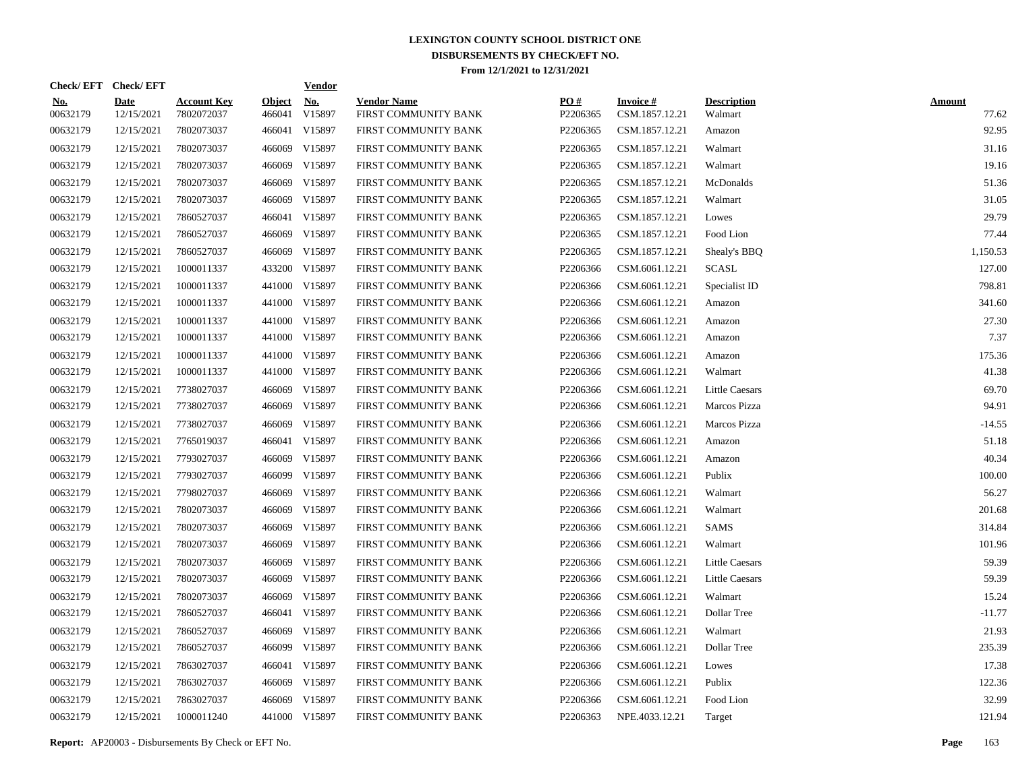| Check/EFT Check/EFT    |                           |                                  |                         | <b>Vendor</b>        |                                            |                 |                                   |                               |                        |
|------------------------|---------------------------|----------------------------------|-------------------------|----------------------|--------------------------------------------|-----------------|-----------------------------------|-------------------------------|------------------------|
| <u>No.</u><br>00632179 | <b>Date</b><br>12/15/2021 | <b>Account Key</b><br>7802072037 | <b>Object</b><br>466041 | <u>No.</u><br>V15897 | <b>Vendor Name</b><br>FIRST COMMUNITY BANK | PQ#<br>P2206365 | <b>Invoice#</b><br>CSM.1857.12.21 | <b>Description</b><br>Walmart | <b>Amount</b><br>77.62 |
| 00632179               | 12/15/2021                | 7802073037                       |                         | 466041 V15897        | FIRST COMMUNITY BANK                       | P2206365        | CSM.1857.12.21                    | Amazon                        | 92.95                  |
| 00632179               | 12/15/2021                | 7802073037                       | 466069                  | V15897               | FIRST COMMUNITY BANK                       | P2206365        | CSM.1857.12.21                    | Walmart                       | 31.16                  |
| 00632179               | 12/15/2021                | 7802073037                       | 466069                  | V15897               | FIRST COMMUNITY BANK                       | P2206365        | CSM.1857.12.21                    | Walmart                       | 19.16                  |
| 00632179               | 12/15/2021                | 7802073037                       | 466069                  | V15897               | FIRST COMMUNITY BANK                       | P2206365        | CSM.1857.12.21                    | McDonalds                     | 51.36                  |
| 00632179               | 12/15/2021                | 7802073037                       | 466069                  | V15897               | FIRST COMMUNITY BANK                       | P2206365        | CSM.1857.12.21                    | Walmart                       | 31.05                  |
| 00632179               | 12/15/2021                | 7860527037                       |                         | 466041 V15897        | FIRST COMMUNITY BANK                       | P2206365        | CSM.1857.12.21                    | Lowes                         | 29.79                  |
| 00632179               | 12/15/2021                | 7860527037                       | 466069                  | V15897               | FIRST COMMUNITY BANK                       | P2206365        | CSM.1857.12.21                    | Food Lion                     | 77.44                  |
| 00632179               | 12/15/2021                | 7860527037                       | 466069                  | V15897               | FIRST COMMUNITY BANK                       | P2206365        | CSM.1857.12.21                    | Shealy's BBQ                  | 1,150.53               |
| 00632179               | 12/15/2021                | 1000011337                       |                         | 433200 V15897        | FIRST COMMUNITY BANK                       | P2206366        | CSM.6061.12.21                    | <b>SCASL</b>                  | 127.00                 |
| 00632179               | 12/15/2021                | 1000011337                       |                         | 441000 V15897        | FIRST COMMUNITY BANK                       | P2206366        | CSM.6061.12.21                    | Specialist ID                 | 798.81                 |
| 00632179               | 12/15/2021                | 1000011337                       |                         | 441000 V15897        | FIRST COMMUNITY BANK                       | P2206366        | CSM.6061.12.21                    | Amazon                        | 341.60                 |
| 00632179               | 12/15/2021                | 1000011337                       |                         | 441000 V15897        | FIRST COMMUNITY BANK                       | P2206366        | CSM.6061.12.21                    | Amazon                        | 27.30                  |
| 00632179               | 12/15/2021                | 1000011337                       |                         | 441000 V15897        | FIRST COMMUNITY BANK                       | P2206366        | CSM.6061.12.21                    | Amazon                        | 7.37                   |
| 00632179               | 12/15/2021                | 1000011337                       |                         | 441000 V15897        | FIRST COMMUNITY BANK                       | P2206366        | CSM.6061.12.21                    | Amazon                        | 175.36                 |
| 00632179               | 12/15/2021                | 1000011337                       |                         | 441000 V15897        | FIRST COMMUNITY BANK                       | P2206366        | CSM.6061.12.21                    | Walmart                       | 41.38                  |
| 00632179               | 12/15/2021                | 7738027037                       |                         | 466069 V15897        | FIRST COMMUNITY BANK                       | P2206366        | CSM.6061.12.21                    | <b>Little Caesars</b>         | 69.70                  |
| 00632179               | 12/15/2021                | 7738027037                       | 466069                  | V15897               | FIRST COMMUNITY BANK                       | P2206366        | CSM.6061.12.21                    | Marcos Pizza                  | 94.91                  |
| 00632179               | 12/15/2021                | 7738027037                       | 466069                  | V15897               | FIRST COMMUNITY BANK                       | P2206366        | CSM.6061.12.21                    | Marcos Pizza                  | $-14.55$               |
| 00632179               | 12/15/2021                | 7765019037                       |                         | 466041 V15897        | FIRST COMMUNITY BANK                       | P2206366        | CSM.6061.12.21                    | Amazon                        | 51.18                  |
| 00632179               | 12/15/2021                | 7793027037                       | 466069                  | V15897               | FIRST COMMUNITY BANK                       | P2206366        | CSM.6061.12.21                    | Amazon                        | 40.34                  |
| 00632179               | 12/15/2021                | 7793027037                       |                         | 466099 V15897        | FIRST COMMUNITY BANK                       | P2206366        | CSM.6061.12.21                    | Publix                        | 100.00                 |
| 00632179               | 12/15/2021                | 7798027037                       | 466069                  | V15897               | FIRST COMMUNITY BANK                       | P2206366        | CSM.6061.12.21                    | Walmart                       | 56.27                  |
| 00632179               | 12/15/2021                | 7802073037                       | 466069                  | V15897               | FIRST COMMUNITY BANK                       | P2206366        | CSM.6061.12.21                    | Walmart                       | 201.68                 |
| 00632179               | 12/15/2021                | 7802073037                       | 466069                  | V15897               | FIRST COMMUNITY BANK                       | P2206366        | CSM.6061.12.21                    | SAMS                          | 314.84                 |
| 00632179               | 12/15/2021                | 7802073037                       | 466069                  | V15897               | FIRST COMMUNITY BANK                       | P2206366        | CSM.6061.12.21                    | Walmart                       | 101.96                 |
| 00632179               | 12/15/2021                | 7802073037                       | 466069                  | V15897               | FIRST COMMUNITY BANK                       | P2206366        | CSM.6061.12.21                    | Little Caesars                | 59.39                  |
| 00632179               | 12/15/2021                | 7802073037                       | 466069                  | V15897               | FIRST COMMUNITY BANK                       | P2206366        | CSM.6061.12.21                    | Little Caesars                | 59.39                  |
| 00632179               | 12/15/2021                | 7802073037                       | 466069                  | V15897               | FIRST COMMUNITY BANK                       | P2206366        | CSM.6061.12.21                    | Walmart                       | 15.24                  |
| 00632179               | 12/15/2021                | 7860527037                       |                         | 466041 V15897        | FIRST COMMUNITY BANK                       | P2206366        | CSM.6061.12.21                    | Dollar Tree                   | $-11.77$               |
| 00632179               | 12/15/2021                | 7860527037                       | 466069                  | V15897               | FIRST COMMUNITY BANK                       | P2206366        | CSM.6061.12.21                    | Walmart                       | 21.93                  |
| 00632179               | 12/15/2021                | 7860527037                       |                         | 466099 V15897        | FIRST COMMUNITY BANK                       | P2206366        | CSM.6061.12.21                    | Dollar Tree                   | 235.39                 |
| 00632179               | 12/15/2021                | 7863027037                       |                         | 466041 V15897        | FIRST COMMUNITY BANK                       | P2206366        | CSM.6061.12.21                    | Lowes                         | 17.38                  |
| 00632179               | 12/15/2021                | 7863027037                       | 466069                  | V15897               | FIRST COMMUNITY BANK                       | P2206366        | CSM.6061.12.21                    | Publix                        | 122.36                 |
| 00632179               | 12/15/2021                | 7863027037                       | 466069                  | V15897               | FIRST COMMUNITY BANK                       | P2206366        | CSM.6061.12.21                    | Food Lion                     | 32.99                  |
| 00632179               | 12/15/2021                | 1000011240                       |                         | 441000 V15897        | FIRST COMMUNITY BANK                       | P2206363        | NPE.4033.12.21                    | Target                        | 121.94                 |

**Report:** AP20003 - Disbursements By Check or EFT No. **Page** 163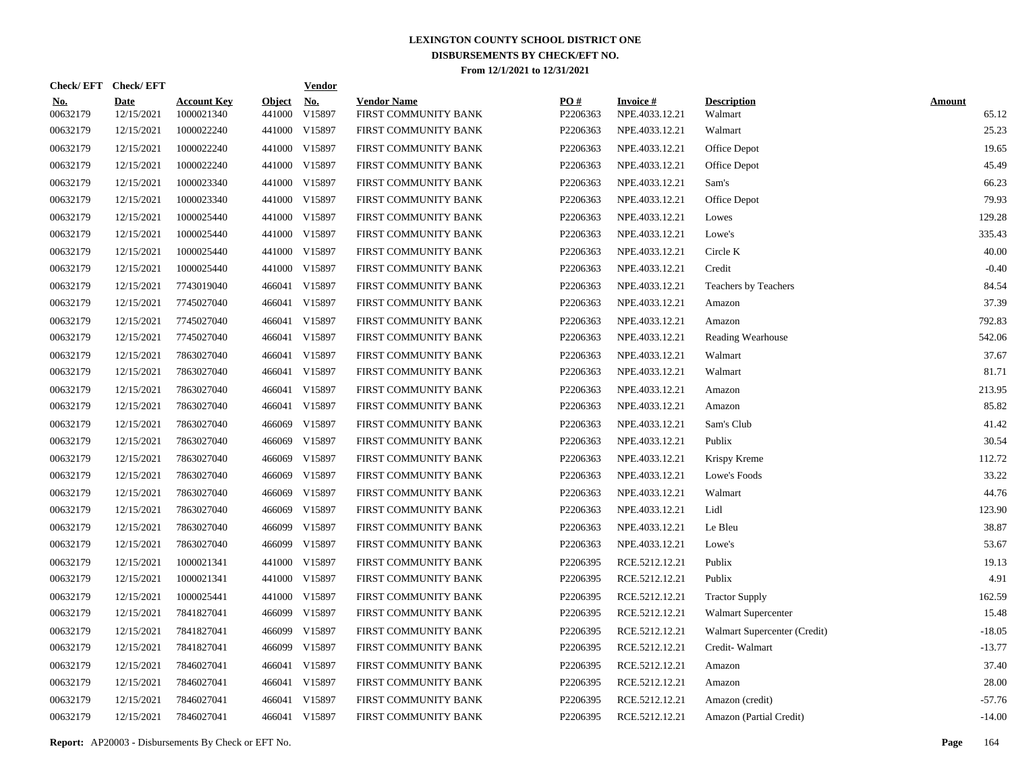| Check/EFT Check/EFT    |                           |                                  |                         | <b>Vendor</b>        |                                            |                 |                                   |                               |                        |
|------------------------|---------------------------|----------------------------------|-------------------------|----------------------|--------------------------------------------|-----------------|-----------------------------------|-------------------------------|------------------------|
| <u>No.</u><br>00632179 | <b>Date</b><br>12/15/2021 | <b>Account Key</b><br>1000021340 | <b>Object</b><br>441000 | <u>No.</u><br>V15897 | <b>Vendor Name</b><br>FIRST COMMUNITY BANK | PO#<br>P2206363 | <b>Invoice#</b><br>NPE.4033.12.21 | <b>Description</b><br>Walmart | <b>Amount</b><br>65.12 |
| 00632179               | 12/15/2021                | 1000022240                       | 441000                  | V15897               | FIRST COMMUNITY BANK                       | P2206363        | NPE.4033.12.21                    | Walmart                       | 25.23                  |
| 00632179               | 12/15/2021                | 1000022240                       | 441000                  | V15897               | FIRST COMMUNITY BANK                       | P2206363        | NPE.4033.12.21                    | Office Depot                  | 19.65                  |
| 00632179               | 12/15/2021                | 1000022240                       | 441000                  | V15897               | FIRST COMMUNITY BANK                       | P2206363        | NPE.4033.12.21                    | Office Depot                  | 45.49                  |
| 00632179               | 12/15/2021                | 1000023340                       |                         | 441000 V15897        | FIRST COMMUNITY BANK                       | P2206363        | NPE.4033.12.21                    | Sam's                         | 66.23                  |
| 00632179               | 12/15/2021                | 1000023340                       |                         | 441000 V15897        | FIRST COMMUNITY BANK                       | P2206363        | NPE.4033.12.21                    | Office Depot                  | 79.93                  |
| 00632179               | 12/15/2021                | 1000025440                       |                         | 441000 V15897        | FIRST COMMUNITY BANK                       | P2206363        | NPE.4033.12.21                    | Lowes                         | 129.28                 |
| 00632179               | 12/15/2021                | 1000025440                       |                         | 441000 V15897        | FIRST COMMUNITY BANK                       | P2206363        | NPE.4033.12.21                    | Lowe's                        | 335.43                 |
| 00632179               | 12/15/2021                | 1000025440                       |                         | 441000 V15897        | FIRST COMMUNITY BANK                       | P2206363        | NPE.4033.12.21                    | Circle K                      | 40.00                  |
| 00632179               | 12/15/2021                | 1000025440                       |                         | 441000 V15897        | FIRST COMMUNITY BANK                       | P2206363        | NPE.4033.12.21                    | Credit                        | $-0.40$                |
| 00632179               | 12/15/2021                | 7743019040                       |                         | 466041 V15897        | FIRST COMMUNITY BANK                       | P2206363        | NPE.4033.12.21                    | Teachers by Teachers          | 84.54                  |
| 00632179               | 12/15/2021                | 7745027040                       |                         | 466041 V15897        | FIRST COMMUNITY BANK                       | P2206363        | NPE.4033.12.21                    | Amazon                        | 37.39                  |
| 00632179               | 12/15/2021                | 7745027040                       |                         | 466041 V15897        | FIRST COMMUNITY BANK                       | P2206363        | NPE.4033.12.21                    | Amazon                        | 792.83                 |
| 00632179               | 12/15/2021                | 7745027040                       |                         | 466041 V15897        | FIRST COMMUNITY BANK                       | P2206363        | NPE.4033.12.21                    | Reading Wearhouse             | 542.06                 |
| 00632179               | 12/15/2021                | 7863027040                       |                         | 466041 V15897        | FIRST COMMUNITY BANK                       | P2206363        | NPE.4033.12.21                    | Walmart                       | 37.67                  |
| 00632179               | 12/15/2021                | 7863027040                       |                         | 466041 V15897        | FIRST COMMUNITY BANK                       | P2206363        | NPE.4033.12.21                    | Walmart                       | 81.71                  |
| 00632179               | 12/15/2021                | 7863027040                       | 466041                  | V15897               | FIRST COMMUNITY BANK                       | P2206363        | NPE.4033.12.21                    | Amazon                        | 213.95                 |
| 00632179               | 12/15/2021                | 7863027040                       |                         | 466041 V15897        | FIRST COMMUNITY BANK                       | P2206363        | NPE.4033.12.21                    | Amazon                        | 85.82                  |
| 00632179               | 12/15/2021                | 7863027040                       | 466069                  | V15897               | FIRST COMMUNITY BANK                       | P2206363        | NPE.4033.12.21                    | Sam's Club                    | 41.42                  |
| 00632179               | 12/15/2021                | 7863027040                       | 466069                  | V15897               | FIRST COMMUNITY BANK                       | P2206363        | NPE.4033.12.21                    | Publix                        | 30.54                  |
| 00632179               | 12/15/2021                | 7863027040                       | 466069                  | V15897               | FIRST COMMUNITY BANK                       | P2206363        | NPE.4033.12.21                    | Krispy Kreme                  | 112.72                 |
| 00632179               | 12/15/2021                | 7863027040                       | 466069                  | V15897               | FIRST COMMUNITY BANK                       | P2206363        | NPE.4033.12.21                    | Lowe's Foods                  | 33.22                  |
| 00632179               | 12/15/2021                | 7863027040                       | 466069                  | V15897               | FIRST COMMUNITY BANK                       | P2206363        | NPE.4033.12.21                    | Walmart                       | 44.76                  |
| 00632179               | 12/15/2021                | 7863027040                       | 466069                  | V15897               | FIRST COMMUNITY BANK                       | P2206363        | NPE.4033.12.21                    | Lidl                          | 123.90                 |
| 00632179               | 12/15/2021                | 7863027040                       | 466099                  | V15897               | FIRST COMMUNITY BANK                       | P2206363        | NPE.4033.12.21                    | Le Bleu                       | 38.87                  |
| 00632179               | 12/15/2021                | 7863027040                       | 466099                  | V15897               | FIRST COMMUNITY BANK                       | P2206363        | NPE.4033.12.21                    | Lowe's                        | 53.67                  |
| 00632179               | 12/15/2021                | 1000021341                       | 441000                  | V15897               | FIRST COMMUNITY BANK                       | P2206395        | RCE.5212.12.21                    | Publix                        | 19.13                  |
| 00632179               | 12/15/2021                | 1000021341                       | 441000                  | V15897               | FIRST COMMUNITY BANK                       | P2206395        | RCE.5212.12.21                    | Publix                        | 4.91                   |
| 00632179               | 12/15/2021                | 1000025441                       | 441000                  | V15897               | FIRST COMMUNITY BANK                       | P2206395        | RCE.5212.12.21                    | <b>Tractor Supply</b>         | 162.59                 |
| 00632179               | 12/15/2021                | 7841827041                       | 466099                  | V15897               | FIRST COMMUNITY BANK                       | P2206395        | RCE.5212.12.21                    | Walmart Supercenter           | 15.48                  |
| 00632179               | 12/15/2021                | 7841827041                       | 466099                  | V15897               | FIRST COMMUNITY BANK                       | P2206395        | RCE.5212.12.21                    | Walmart Supercenter (Credit)  | $-18.05$               |
| 00632179               | 12/15/2021                | 7841827041                       | 466099                  | V15897               | FIRST COMMUNITY BANK                       | P2206395        | RCE.5212.12.21                    | Credit-Walmart                | $-13.77$               |
| 00632179               | 12/15/2021                | 7846027041                       |                         | 466041 V15897        | FIRST COMMUNITY BANK                       | P2206395        | RCE.5212.12.21                    | Amazon                        | 37.40                  |
| 00632179               | 12/15/2021                | 7846027041                       |                         | 466041 V15897        | FIRST COMMUNITY BANK                       | P2206395        | RCE.5212.12.21                    | Amazon                        | 28.00                  |
| 00632179               | 12/15/2021                | 7846027041                       |                         | 466041 V15897        | FIRST COMMUNITY BANK                       | P2206395        | RCE.5212.12.21                    | Amazon (credit)               | $-57.76$               |
| 00632179               | 12/15/2021                | 7846027041                       |                         | 466041 V15897        | FIRST COMMUNITY BANK                       | P2206395        | RCE.5212.12.21                    | Amazon (Partial Credit)       | $-14.00$               |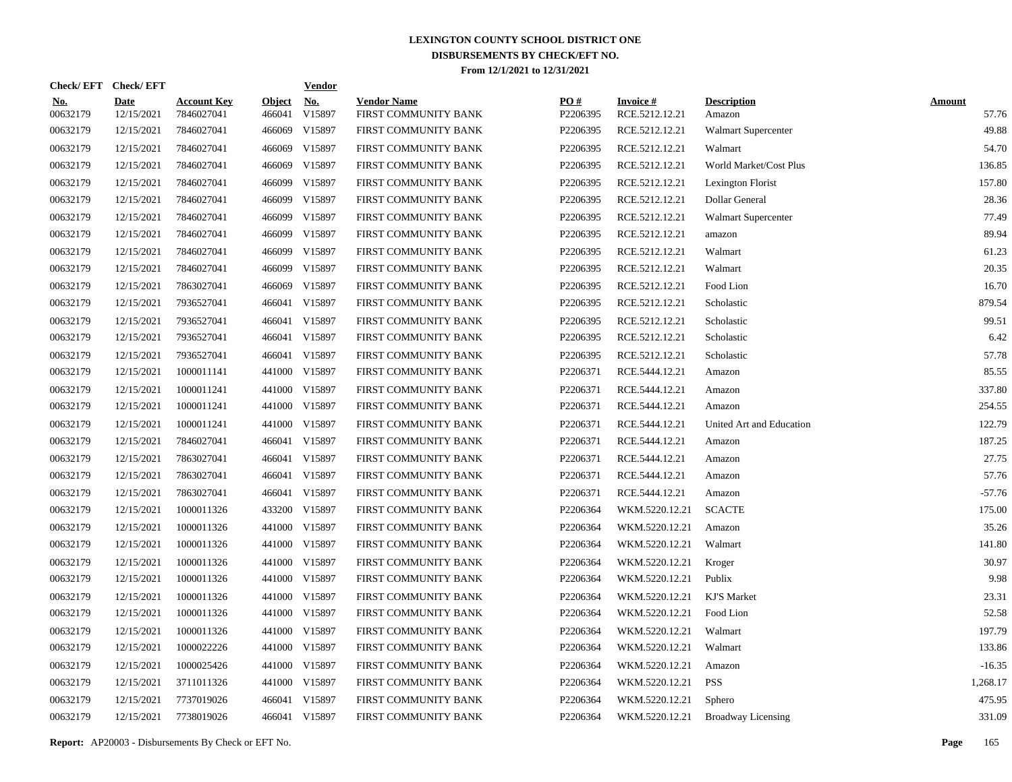|                        | Check/EFT Check/EFT       |                                  |                         | <b>Vendor</b>        |                                            |                 |                                   |                              |                        |
|------------------------|---------------------------|----------------------------------|-------------------------|----------------------|--------------------------------------------|-----------------|-----------------------------------|------------------------------|------------------------|
| <u>No.</u><br>00632179 | <b>Date</b><br>12/15/2021 | <b>Account Key</b><br>7846027041 | <b>Object</b><br>466041 | <u>No.</u><br>V15897 | <b>Vendor Name</b><br>FIRST COMMUNITY BANK | PQ#<br>P2206395 | <b>Invoice#</b><br>RCE.5212.12.21 | <b>Description</b><br>Amazon | <b>Amount</b><br>57.76 |
| 00632179               | 12/15/2021                | 7846027041                       | 466069                  | V15897               | FIRST COMMUNITY BANK                       | P2206395        | RCE.5212.12.21                    | <b>Walmart Supercenter</b>   | 49.88                  |
| 00632179               | 12/15/2021                | 7846027041                       | 466069                  | V15897               | FIRST COMMUNITY BANK                       | P2206395        | RCE.5212.12.21                    | Walmart                      | 54.70                  |
| 00632179               | 12/15/2021                | 7846027041                       | 466069                  | V15897               | FIRST COMMUNITY BANK                       | P2206395        | RCE.5212.12.21                    | World Market/Cost Plus       | 136.85                 |
| 00632179               | 12/15/2021                | 7846027041                       | 466099                  | V15897               | FIRST COMMUNITY BANK                       | P2206395        | RCE.5212.12.21                    | Lexington Florist            | 157.80                 |
| 00632179               | 12/15/2021                | 7846027041                       | 466099                  | V15897               | FIRST COMMUNITY BANK                       | P2206395        | RCE.5212.12.21                    | Dollar General               | 28.36                  |
| 00632179               | 12/15/2021                | 7846027041                       | 466099                  | V15897               | FIRST COMMUNITY BANK                       | P2206395        | RCE.5212.12.21                    | <b>Walmart Supercenter</b>   | 77.49                  |
| 00632179               | 12/15/2021                | 7846027041                       | 466099                  | V15897               | FIRST COMMUNITY BANK                       | P2206395        | RCE.5212.12.21                    | amazon                       | 89.94                  |
| 00632179               | 12/15/2021                | 7846027041                       | 466099                  | V15897               | FIRST COMMUNITY BANK                       | P2206395        | RCE.5212.12.21                    | Walmart                      | 61.23                  |
| 00632179               | 12/15/2021                | 7846027041                       | 466099                  | V15897               | FIRST COMMUNITY BANK                       | P2206395        | RCE.5212.12.21                    | Walmart                      | 20.35                  |
| 00632179               | 12/15/2021                | 7863027041                       | 466069                  | V15897               | FIRST COMMUNITY BANK                       | P2206395        | RCE.5212.12.21                    | Food Lion                    | 16.70                  |
| 00632179               | 12/15/2021                | 7936527041                       |                         | 466041 V15897        | FIRST COMMUNITY BANK                       | P2206395        | RCE.5212.12.21                    | Scholastic                   | 879.54                 |
| 00632179               | 12/15/2021                | 7936527041                       |                         | 466041 V15897        | FIRST COMMUNITY BANK                       | P2206395        | RCE.5212.12.21                    | Scholastic                   | 99.51                  |
| 00632179               | 12/15/2021                | 7936527041                       |                         | 466041 V15897        | FIRST COMMUNITY BANK                       | P2206395        | RCE.5212.12.21                    | Scholastic                   | 6.42                   |
| 00632179               | 12/15/2021                | 7936527041                       |                         | 466041 V15897        | FIRST COMMUNITY BANK                       | P2206395        | RCE.5212.12.21                    | Scholastic                   | 57.78                  |
| 00632179               | 12/15/2021                | 1000011141                       |                         | 441000 V15897        | FIRST COMMUNITY BANK                       | P2206371        | RCE.5444.12.21                    | Amazon                       | 85.55                  |
| 00632179               | 12/15/2021                | 1000011241                       |                         | 441000 V15897        | FIRST COMMUNITY BANK                       | P2206371        | RCE.5444.12.21                    | Amazon                       | 337.80                 |
| 00632179               | 12/15/2021                | 1000011241                       |                         | 441000 V15897        | FIRST COMMUNITY BANK                       | P2206371        | RCE.5444.12.21                    | Amazon                       | 254.55                 |
| 00632179               | 12/15/2021                | 1000011241                       |                         | 441000 V15897        | FIRST COMMUNITY BANK                       | P2206371        | RCE.5444.12.21                    | United Art and Education     | 122.79                 |
| 00632179               | 12/15/2021                | 7846027041                       |                         | 466041 V15897        | FIRST COMMUNITY BANK                       | P2206371        | RCE.5444.12.21                    | Amazon                       | 187.25                 |
| 00632179               | 12/15/2021                | 7863027041                       |                         | 466041 V15897        | FIRST COMMUNITY BANK                       | P2206371        | RCE.5444.12.21                    | Amazon                       | 27.75                  |
| 00632179               | 12/15/2021                | 7863027041                       |                         | 466041 V15897        | FIRST COMMUNITY BANK                       | P2206371        | RCE.5444.12.21                    | Amazon                       | 57.76                  |
| 00632179               | 12/15/2021                | 7863027041                       |                         | 466041 V15897        | FIRST COMMUNITY BANK                       | P2206371        | RCE.5444.12.21                    | Amazon                       | $-57.76$               |
| 00632179               | 12/15/2021                | 1000011326                       |                         | 433200 V15897        | FIRST COMMUNITY BANK                       | P2206364        | WKM.5220.12.21                    | <b>SCACTE</b>                | 175.00                 |
| 00632179               | 12/15/2021                | 1000011326                       |                         | 441000 V15897        | FIRST COMMUNITY BANK                       | P2206364        | WKM.5220.12.21                    | Amazon                       | 35.26                  |
| 00632179               | 12/15/2021                | 1000011326                       |                         | 441000 V15897        | FIRST COMMUNITY BANK                       | P2206364        | WKM.5220.12.21                    | Walmart                      | 141.80                 |
| 00632179               | 12/15/2021                | 1000011326                       |                         | 441000 V15897        | FIRST COMMUNITY BANK                       | P2206364        | WKM.5220.12.21                    | Kroger                       | 30.97                  |
| 00632179               | 12/15/2021                | 1000011326                       |                         | 441000 V15897        | FIRST COMMUNITY BANK                       | P2206364        | WKM.5220.12.21                    | Publix                       | 9.98                   |
| 00632179               | 12/15/2021                | 1000011326                       |                         | 441000 V15897        | FIRST COMMUNITY BANK                       | P2206364        | WKM.5220.12.21                    | KJ'S Market                  | 23.31                  |
| 00632179               | 12/15/2021                | 1000011326                       |                         | 441000 V15897        | FIRST COMMUNITY BANK                       | P2206364        | WKM.5220.12.21                    | Food Lion                    | 52.58                  |
| 00632179               | 12/15/2021                | 1000011326                       |                         | 441000 V15897        | FIRST COMMUNITY BANK                       | P2206364        | WKM.5220.12.21                    | Walmart                      | 197.79                 |
| 00632179               | 12/15/2021                | 1000022226                       |                         | 441000 V15897        | FIRST COMMUNITY BANK                       | P2206364        | WKM.5220.12.21                    | Walmart                      | 133.86                 |
| 00632179               | 12/15/2021                | 1000025426                       |                         | 441000 V15897        | FIRST COMMUNITY BANK                       | P2206364        | WKM.5220.12.21                    | Amazon                       | $-16.35$               |
| 00632179               | 12/15/2021                | 3711011326                       |                         | 441000 V15897        | FIRST COMMUNITY BANK                       | P2206364        | WKM.5220.12.21                    | <b>PSS</b>                   | 1,268.17               |
| 00632179               | 12/15/2021                | 7737019026                       |                         | 466041 V15897        | FIRST COMMUNITY BANK                       | P2206364        | WKM.5220.12.21                    | Sphero                       | 475.95                 |
| 00632179               | 12/15/2021                | 7738019026                       |                         | 466041 V15897        | FIRST COMMUNITY BANK                       | P2206364        | WKM.5220.12.21                    | <b>Broadway Licensing</b>    | 331.09                 |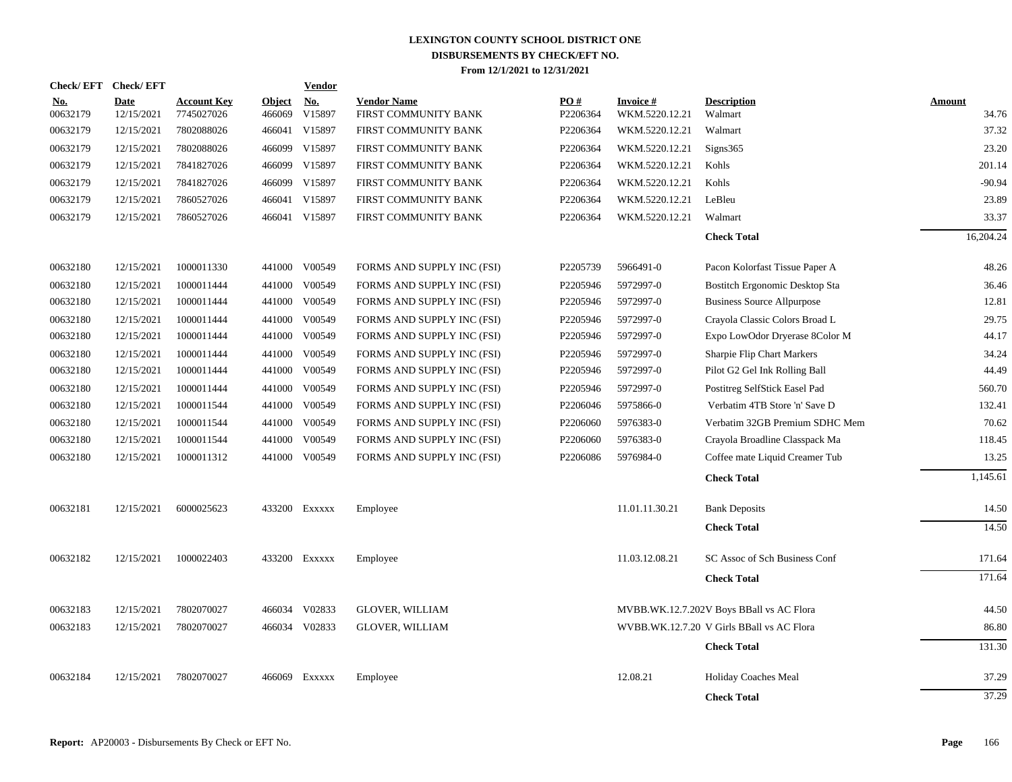|                        | Check/EFT Check/EFT |                                  |                         | <b>Vendor</b>        |                                            |                 |                                   |                                           |                        |
|------------------------|---------------------|----------------------------------|-------------------------|----------------------|--------------------------------------------|-----------------|-----------------------------------|-------------------------------------------|------------------------|
| <u>No.</u><br>00632179 | Date<br>12/15/2021  | <b>Account Key</b><br>7745027026 | <b>Object</b><br>466069 | <u>No.</u><br>V15897 | <b>Vendor Name</b><br>FIRST COMMUNITY BANK | PO#<br>P2206364 | <b>Invoice#</b><br>WKM.5220.12.21 | <b>Description</b><br>Walmart             | <b>Amount</b><br>34.76 |
| 00632179               | 12/15/2021          | 7802088026                       | 466041                  | V15897               | FIRST COMMUNITY BANK                       | P2206364        | WKM.5220.12.21                    | Walmart                                   | 37.32                  |
| 00632179               | 12/15/2021          | 7802088026                       | 466099                  | V15897               | FIRST COMMUNITY BANK                       | P2206364        | WKM.5220.12.21                    | Signs365                                  | 23.20                  |
| 00632179               | 12/15/2021          | 7841827026                       | 466099                  | V15897               | FIRST COMMUNITY BANK                       | P2206364        | WKM.5220.12.21                    | Kohls                                     | 201.14                 |
| 00632179               | 12/15/2021          | 7841827026                       | 466099                  | V15897               | FIRST COMMUNITY BANK                       | P2206364        | WKM.5220.12.21                    | Kohls                                     | $-90.94$               |
| 00632179               | 12/15/2021          | 7860527026                       | 466041                  | V15897               | FIRST COMMUNITY BANK                       | P2206364        | WKM.5220.12.21                    | LeBleu                                    | 23.89                  |
| 00632179               | 12/15/2021          | 7860527026                       |                         | 466041 V15897        | FIRST COMMUNITY BANK                       | P2206364        | WKM.5220.12.21                    | Walmart                                   | 33.37                  |
|                        |                     |                                  |                         |                      |                                            |                 |                                   | <b>Check Total</b>                        | 16,204.24              |
| 00632180               | 12/15/2021          | 1000011330                       | 441000                  | V00549               | FORMS AND SUPPLY INC (FSI)                 | P2205739        | 5966491-0                         | Pacon Kolorfast Tissue Paper A            | 48.26                  |
| 00632180               | 12/15/2021          | 1000011444                       | 441000                  | V00549               | FORMS AND SUPPLY INC (FSI)                 | P2205946        | 5972997-0                         | Bostitch Ergonomic Desktop Sta            | 36.46                  |
| 00632180               | 12/15/2021          | 1000011444                       | 441000                  | V00549               | FORMS AND SUPPLY INC (FSI)                 | P2205946        | 5972997-0                         | <b>Business Source Allpurpose</b>         | 12.81                  |
| 00632180               | 12/15/2021          | 1000011444                       | 441000                  | V00549               | FORMS AND SUPPLY INC (FSI)                 | P2205946        | 5972997-0                         | Crayola Classic Colors Broad L            | 29.75                  |
| 00632180               | 12/15/2021          | 1000011444                       | 441000                  | V00549               | FORMS AND SUPPLY INC (FSI)                 | P2205946        | 5972997-0                         | Expo LowOdor Dryerase 8Color M            | 44.17                  |
| 00632180               | 12/15/2021          | 1000011444                       | 441000                  | V00549               | FORMS AND SUPPLY INC (FSI)                 | P2205946        | 5972997-0                         | Sharpie Flip Chart Markers                | 34.24                  |
| 00632180               | 12/15/2021          | 1000011444                       | 441000                  | V00549               | FORMS AND SUPPLY INC (FSI)                 | P2205946        | 5972997-0                         | Pilot G2 Gel Ink Rolling Ball             | 44.49                  |
| 00632180               | 12/15/2021          | 1000011444                       | 441000                  | V00549               | FORMS AND SUPPLY INC (FSI)                 | P2205946        | 5972997-0                         | Postitreg SelfStick Easel Pad             | 560.70                 |
| 00632180               | 12/15/2021          | 1000011544                       |                         | 441000 V00549        | FORMS AND SUPPLY INC (FSI)                 | P2206046        | 5975866-0                         | Verbatim 4TB Store 'n' Save D             | 132.41                 |
| 00632180               | 12/15/2021          | 1000011544                       | 441000                  | V00549               | FORMS AND SUPPLY INC (FSI)                 | P2206060        | 5976383-0                         | Verbatim 32GB Premium SDHC Mem            | 70.62                  |
| 00632180               | 12/15/2021          | 1000011544                       | 441000                  | V00549               | FORMS AND SUPPLY INC (FSI)                 | P2206060        | 5976383-0                         | Crayola Broadline Classpack Ma            | 118.45                 |
| 00632180               | 12/15/2021          | 1000011312                       | 441000                  | V00549               | FORMS AND SUPPLY INC (FSI)                 | P2206086        | 5976984-0                         | Coffee mate Liquid Creamer Tub            | 13.25                  |
|                        |                     |                                  |                         |                      |                                            |                 |                                   | <b>Check Total</b>                        | 1,145.61               |
| 00632181               | 12/15/2021          | 6000025623                       |                         | 433200 EXXXXX        | Employee                                   |                 | 11.01.11.30.21                    | <b>Bank Deposits</b>                      | 14.50                  |
|                        |                     |                                  |                         |                      |                                            |                 |                                   | <b>Check Total</b>                        | 14.50                  |
| 00632182               | 12/15/2021          | 1000022403                       |                         | 433200 EXXXXX        | Employee                                   |                 | 11.03.12.08.21                    | SC Assoc of Sch Business Conf             | 171.64                 |
|                        |                     |                                  |                         |                      |                                            |                 |                                   | <b>Check Total</b>                        | 171.64                 |
| 00632183               | 12/15/2021          | 7802070027                       |                         | 466034 V02833        | <b>GLOVER, WILLIAM</b>                     |                 |                                   | MVBB.WK.12.7.202V Boys BBall vs AC Flora  | 44.50                  |
| 00632183               | 12/15/2021          | 7802070027                       |                         | 466034 V02833        | <b>GLOVER, WILLIAM</b>                     |                 |                                   | WVBB.WK.12.7.20 V Girls BBall vs AC Flora | 86.80                  |
|                        |                     |                                  |                         |                      |                                            |                 |                                   | <b>Check Total</b>                        | 131.30                 |
| 00632184               | 12/15/2021          | 7802070027                       | 466069                  | EXXXXX               | Employee                                   |                 | 12.08.21                          | Holiday Coaches Meal                      | 37.29                  |
|                        |                     |                                  |                         |                      |                                            |                 |                                   | <b>Check Total</b>                        | 37.29                  |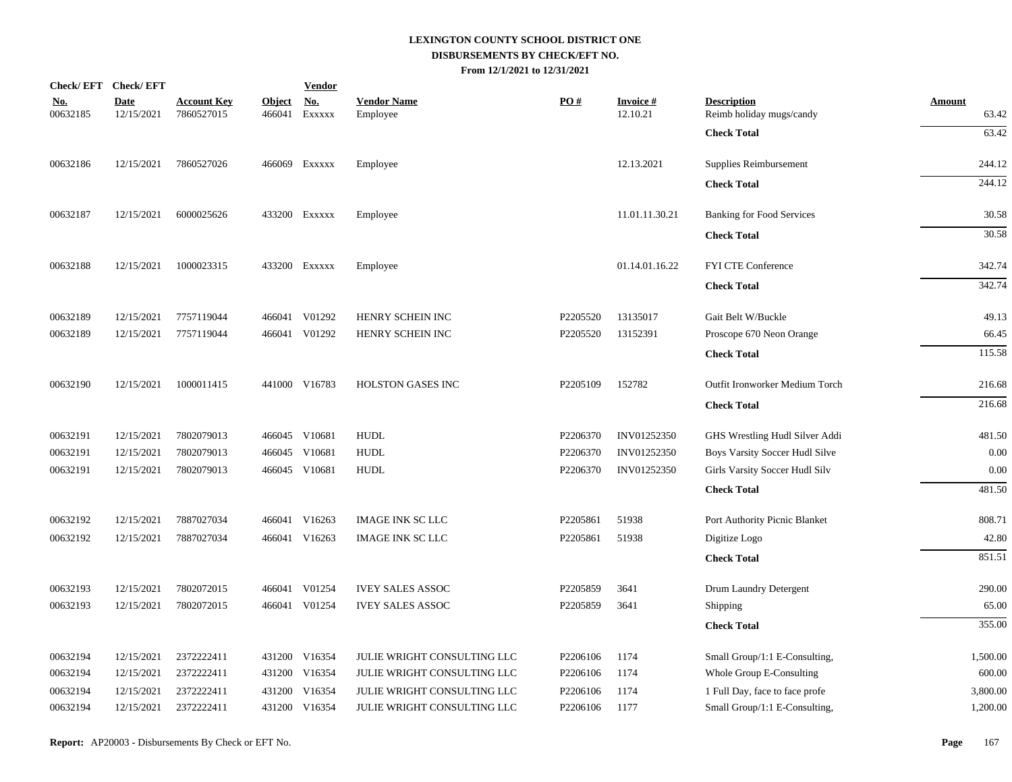|                        | Check/EFT Check/EFT       |                                  |               | <b>Vendor</b>                             |                                |                      |                             |                                                |                        |
|------------------------|---------------------------|----------------------------------|---------------|-------------------------------------------|--------------------------------|----------------------|-----------------------------|------------------------------------------------|------------------------|
| <u>No.</u><br>00632185 | <b>Date</b><br>12/15/2021 | <b>Account Key</b><br>7860527015 | <u>Object</u> | $\mathbf{N}\mathbf{o}$ .<br>466041 EXXXXX | <b>Vendor Name</b><br>Employee | PO#                  | <b>Invoice#</b><br>12.10.21 | <b>Description</b><br>Reimb holiday mugs/candy | <b>Amount</b><br>63.42 |
|                        |                           |                                  |               |                                           |                                |                      |                             | <b>Check Total</b>                             | 63.42                  |
| 00632186               | 12/15/2021                | 7860527026                       |               | 466069 Exxxxx                             | Employee                       |                      | 12.13.2021                  | Supplies Reimbursement                         | 244.12                 |
|                        |                           |                                  |               |                                           |                                |                      |                             | <b>Check Total</b>                             | 244.12                 |
| 00632187               | 12/15/2021                | 6000025626                       |               | 433200 Exxxxx                             | Employee                       |                      | 11.01.11.30.21              | <b>Banking for Food Services</b>               | 30.58                  |
|                        |                           |                                  |               |                                           |                                |                      |                             | <b>Check Total</b>                             | 30.58                  |
| 00632188               | 12/15/2021                | 1000023315                       |               | 433200 EXXXXX                             | Employee                       |                      | 01.14.01.16.22              | FYI CTE Conference                             | 342.74                 |
|                        |                           |                                  |               |                                           |                                |                      |                             | <b>Check Total</b>                             | 342.74                 |
| 00632189               | 12/15/2021                | 7757119044                       |               | 466041 V01292                             | HENRY SCHEIN INC               | P2205520             | 13135017                    | Gait Belt W/Buckle                             | 49.13                  |
| 00632189               | 12/15/2021                | 7757119044                       |               | 466041 V01292                             | HENRY SCHEIN INC               | P2205520             | 13152391                    | Proscope 670 Neon Orange                       | 66.45                  |
|                        |                           |                                  |               |                                           |                                |                      |                             | <b>Check Total</b>                             | 115.58                 |
| 00632190               | 12/15/2021                | 1000011415                       |               | 441000 V16783                             | <b>HOLSTON GASES INC</b>       | P2205109             | 152782                      | Outfit Ironworker Medium Torch                 | 216.68                 |
|                        |                           |                                  |               |                                           |                                |                      |                             | <b>Check Total</b>                             | 216.68                 |
| 00632191               | 12/15/2021                | 7802079013                       |               | 466045 V10681                             | <b>HUDL</b>                    | P2206370             | INV01252350                 | GHS Wrestling Hudl Silver Addi                 | 481.50                 |
| 00632191               | 12/15/2021                | 7802079013                       |               | 466045 V10681                             | <b>HUDL</b>                    | P2206370             | INV01252350                 | Boys Varsity Soccer Hudl Silve                 | 0.00                   |
| 00632191               | 12/15/2021                | 7802079013                       |               | 466045 V10681                             | <b>HUDL</b>                    | P2206370             | INV01252350                 | Girls Varsity Soccer Hudl Silv                 | 0.00                   |
|                        |                           |                                  |               |                                           |                                |                      |                             | <b>Check Total</b>                             | 481.50                 |
| 00632192               | 12/15/2021                | 7887027034                       |               | 466041 V16263                             | <b>IMAGE INK SC LLC</b>        | P2205861             | 51938                       | Port Authority Picnic Blanket                  | 808.71                 |
| 00632192               | 12/15/2021                | 7887027034                       |               | 466041 V16263                             | <b>IMAGE INK SC LLC</b>        | P2205861             | 51938                       | Digitize Logo                                  | 42.80                  |
|                        |                           |                                  |               |                                           |                                |                      |                             | <b>Check Total</b>                             | 851.51                 |
| 00632193               | 12/15/2021                | 7802072015                       |               | 466041 V01254                             | <b>IVEY SALES ASSOC</b>        | P2205859             | 3641                        | Drum Laundry Detergent                         | 290.00                 |
| 00632193               | 12/15/2021                | 7802072015                       |               | 466041 V01254                             | <b>IVEY SALES ASSOC</b>        | P2205859             | 3641                        | Shipping                                       | 65.00                  |
|                        |                           |                                  |               |                                           |                                |                      |                             | <b>Check Total</b>                             | 355.00                 |
| 00632194               | 12/15/2021                | 2372222411                       |               | 431200 V16354                             | JULIE WRIGHT CONSULTING LLC    | P2206106             | 1174                        | Small Group/1:1 E-Consulting,                  | 1,500.00               |
| 00632194               | 12/15/2021                | 2372222411                       |               | 431200 V16354                             | JULIE WRIGHT CONSULTING LLC    | P2206106             | 1174                        | Whole Group E-Consulting                       | 600.00                 |
| 00632194               | 12/15/2021                | 2372222411                       | 431200        | V16354                                    | JULIE WRIGHT CONSULTING LLC    | P2206106             | 1174                        | 1 Full Day, face to face profe                 | 3,800.00               |
| 00632194               | 12/15/2021                | 2372222411                       |               | 431200 V16354                             | JULIE WRIGHT CONSULTING LLC    | P <sub>2206106</sub> | 1177                        | Small Group/1:1 E-Consulting,                  | 1,200.00               |
|                        |                           |                                  |               |                                           |                                |                      |                             |                                                |                        |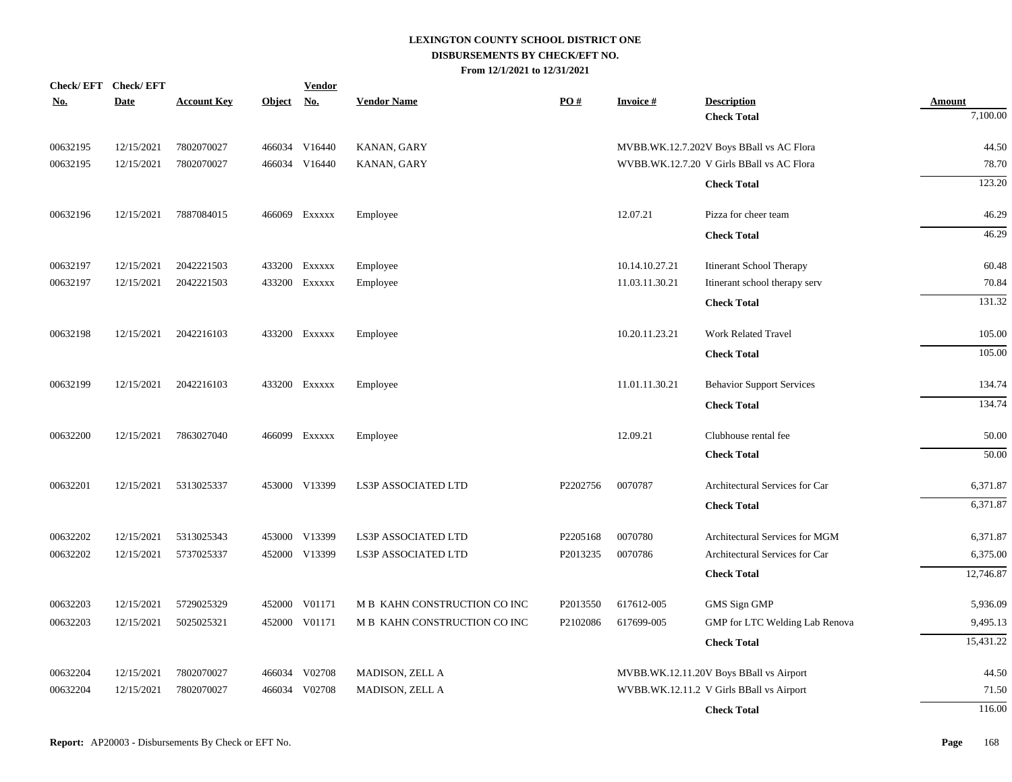| No.      | Check/EFT Check/EFT<br><b>Date</b> | <b>Account Key</b> | Object No. | <b>Vendor</b> | <b>Vendor Name</b>           | PO#      | <b>Invoice#</b> | <b>Description</b>                        | <b>Amount</b> |
|----------|------------------------------------|--------------------|------------|---------------|------------------------------|----------|-----------------|-------------------------------------------|---------------|
|          |                                    |                    |            |               |                              |          |                 | <b>Check Total</b>                        | 7,100.00      |
| 00632195 | 12/15/2021                         | 7802070027         |            | 466034 V16440 | KANAN, GARY                  |          |                 | MVBB.WK.12.7.202V Boys BBall vs AC Flora  | 44.50         |
| 00632195 | 12/15/2021                         | 7802070027         |            | 466034 V16440 | KANAN, GARY                  |          |                 | WVBB.WK.12.7.20 V Girls BBall vs AC Flora | 78.70         |
|          |                                    |                    |            |               |                              |          |                 | <b>Check Total</b>                        | 123.20        |
| 00632196 | 12/15/2021                         | 7887084015         |            | 466069 Exxxxx | Employee                     |          | 12.07.21        | Pizza for cheer team                      | 46.29         |
|          |                                    |                    |            |               |                              |          |                 | <b>Check Total</b>                        | 46.29         |
| 00632197 | 12/15/2021                         | 2042221503         |            | 433200 Exxxxx | Employee                     |          | 10.14.10.27.21  | Itinerant School Therapy                  | 60.48         |
| 00632197 | 12/15/2021                         | 2042221503         |            | 433200 Exxxxx | Employee                     |          | 11.03.11.30.21  | Itinerant school therapy serv             | 70.84         |
|          |                                    |                    |            |               |                              |          |                 | <b>Check Total</b>                        | 131.32        |
| 00632198 | 12/15/2021                         | 2042216103         |            | 433200 Exxxxx | Employee                     |          | 10.20.11.23.21  | <b>Work Related Travel</b>                | 105.00        |
|          |                                    |                    |            |               |                              |          |                 | <b>Check Total</b>                        | 105.00        |
| 00632199 | 12/15/2021                         | 2042216103         |            | 433200 Exxxxx | Employee                     |          | 11.01.11.30.21  | <b>Behavior Support Services</b>          | 134.74        |
|          |                                    |                    |            |               |                              |          |                 | <b>Check Total</b>                        | 134.74        |
| 00632200 | 12/15/2021                         | 7863027040         |            | 466099 Exxxxx | Employee                     |          | 12.09.21        | Clubhouse rental fee                      | 50.00         |
|          |                                    |                    |            |               |                              |          |                 | <b>Check Total</b>                        | 50.00         |
| 00632201 | 12/15/2021                         | 5313025337         |            | 453000 V13399 | <b>LS3P ASSOCIATED LTD</b>   | P2202756 | 0070787         | Architectural Services for Car            | 6,371.87      |
|          |                                    |                    |            |               |                              |          |                 | <b>Check Total</b>                        | 6,371.87      |
| 00632202 | 12/15/2021                         | 5313025343         | 453000     | V13399        | LS3P ASSOCIATED LTD          | P2205168 | 0070780         | Architectural Services for MGM            | 6,371.87      |
| 00632202 | 12/15/2021                         | 5737025337         |            | 452000 V13399 | LS3P ASSOCIATED LTD          | P2013235 | 0070786         | Architectural Services for Car            | 6,375.00      |
|          |                                    |                    |            |               |                              |          |                 | <b>Check Total</b>                        | 12,746.87     |
| 00632203 | 12/15/2021                         | 5729025329         | 452000     | V01171        | M B KAHN CONSTRUCTION CO INC | P2013550 | 617612-005      | GMS Sign GMP                              | 5,936.09      |
| 00632203 | 12/15/2021                         | 5025025321         | 452000     | V01171        | M B KAHN CONSTRUCTION CO INC | P2102086 | 617699-005      | GMP for LTC Welding Lab Renova            | 9,495.13      |
|          |                                    |                    |            |               |                              |          |                 | <b>Check Total</b>                        | 15,431.22     |
| 00632204 | 12/15/2021                         | 7802070027         |            | 466034 V02708 | MADISON, ZELL A              |          |                 | MVBB.WK.12.11.20V Boys BBall vs Airport   | 44.50         |
| 00632204 | 12/15/2021                         | 7802070027         |            | 466034 V02708 | MADISON, ZELL A              |          |                 | WVBB.WK.12.11.2 V Girls BBall vs Airport  | 71.50         |
|          |                                    |                    |            |               |                              |          |                 | <b>Check Total</b>                        | 116.00        |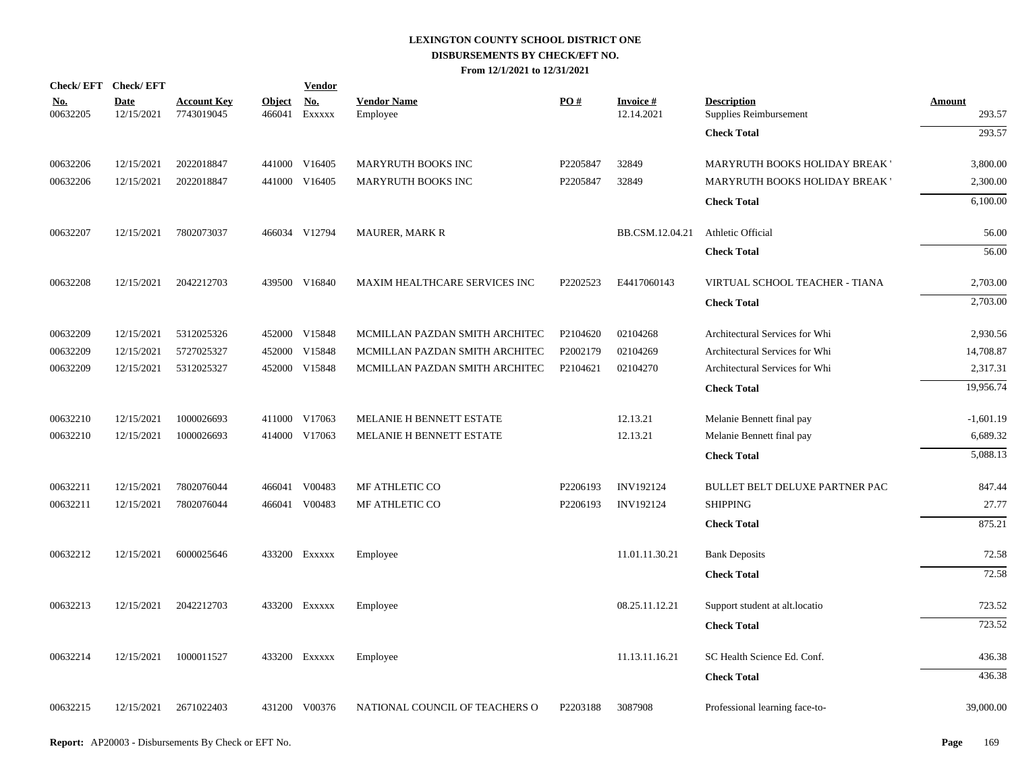|                        | Check/EFT Check/EFT       |                                  |                         | <b>Vendor</b> |                                |          |                               |                                              |                         |
|------------------------|---------------------------|----------------------------------|-------------------------|---------------|--------------------------------|----------|-------------------------------|----------------------------------------------|-------------------------|
| <u>No.</u><br>00632205 | <b>Date</b><br>12/15/2021 | <b>Account Key</b><br>7743019045 | <b>Object</b><br>466041 | No.<br>EXXXXX | <b>Vendor Name</b><br>Employee | PO#      | <b>Invoice#</b><br>12.14.2021 | <b>Description</b><br>Supplies Reimbursement | <b>Amount</b><br>293.57 |
|                        |                           |                                  |                         |               |                                |          |                               | <b>Check Total</b>                           | 293.57                  |
| 00632206               | 12/15/2021                | 2022018847                       |                         | 441000 V16405 | MARYRUTH BOOKS INC             | P2205847 | 32849                         | MARYRUTH BOOKS HOLIDAY BREAK '               | 3,800.00                |
| 00632206               | 12/15/2021                | 2022018847                       |                         | 441000 V16405 | MARYRUTH BOOKS INC             | P2205847 | 32849                         | MARYRUTH BOOKS HOLIDAY BREAK '               | 2,300.00                |
|                        |                           |                                  |                         |               |                                |          |                               | <b>Check Total</b>                           | 6,100.00                |
| 00632207               | 12/15/2021                | 7802073037                       |                         | 466034 V12794 | <b>MAURER, MARK R</b>          |          | BB.CSM.12.04.21               | Athletic Official                            | 56.00                   |
|                        |                           |                                  |                         |               |                                |          |                               | <b>Check Total</b>                           | 56.00                   |
| 00632208               | 12/15/2021                | 2042212703                       |                         | 439500 V16840 | MAXIM HEALTHCARE SERVICES INC  | P2202523 | E4417060143                   | VIRTUAL SCHOOL TEACHER - TIANA               | 2,703.00                |
|                        |                           |                                  |                         |               |                                |          |                               | <b>Check Total</b>                           | 2,703.00                |
| 00632209               | 12/15/2021                | 5312025326                       |                         | 452000 V15848 | MCMILLAN PAZDAN SMITH ARCHITEC | P2104620 | 02104268                      | Architectural Services for Whi               | 2,930.56                |
| 00632209               | 12/15/2021                | 5727025327                       | 452000                  | V15848        | MCMILLAN PAZDAN SMITH ARCHITEC | P2002179 | 02104269                      | Architectural Services for Whi               | 14,708.87               |
| 00632209               | 12/15/2021                | 5312025327                       |                         | 452000 V15848 | MCMILLAN PAZDAN SMITH ARCHITEC | P2104621 | 02104270                      | Architectural Services for Whi               | 2,317.31                |
|                        |                           |                                  |                         |               |                                |          |                               | <b>Check Total</b>                           | 19,956.74               |
| 00632210               | 12/15/2021                | 1000026693                       |                         | 411000 V17063 | MELANIE H BENNETT ESTATE       |          | 12.13.21                      | Melanie Bennett final pay                    | $-1,601.19$             |
| 00632210               | 12/15/2021                | 1000026693                       |                         | 414000 V17063 | MELANIE H BENNETT ESTATE       |          | 12.13.21                      | Melanie Bennett final pay                    | 6,689.32                |
|                        |                           |                                  |                         |               |                                |          |                               | <b>Check Total</b>                           | 5,088.13                |
| 00632211               | 12/15/2021                | 7802076044                       |                         | 466041 V00483 | MF ATHLETIC CO                 | P2206193 | INV192124                     | BULLET BELT DELUXE PARTNER PAC               | 847.44                  |
| 00632211               | 12/15/2021                | 7802076044                       |                         | 466041 V00483 | MF ATHLETIC CO                 | P2206193 | INV192124                     | <b>SHIPPING</b>                              | 27.77                   |
|                        |                           |                                  |                         |               |                                |          |                               | <b>Check Total</b>                           | 875.21                  |
| 00632212               | 12/15/2021                | 6000025646                       |                         | 433200 EXXXXX | Employee                       |          | 11.01.11.30.21                | <b>Bank Deposits</b>                         | 72.58                   |
|                        |                           |                                  |                         |               |                                |          |                               | <b>Check Total</b>                           | 72.58                   |
| 00632213               | 12/15/2021                | 2042212703                       |                         | 433200 EXXXXX | Employee                       |          | 08.25.11.12.21                | Support student at alt.locatio               | 723.52                  |
|                        |                           |                                  |                         |               |                                |          |                               | <b>Check Total</b>                           | 723.52                  |
| 00632214               | 12/15/2021                | 1000011527                       |                         | 433200 EXXXXX | Employee                       |          | 11.13.11.16.21                | SC Health Science Ed. Conf.                  | 436.38                  |
|                        |                           |                                  |                         |               |                                |          |                               | <b>Check Total</b>                           | 436.38                  |
| 00632215               | 12/15/2021                | 2671022403                       |                         | 431200 V00376 | NATIONAL COUNCIL OF TEACHERS O | P2203188 | 3087908                       | Professional learning face-to-               | 39,000.00               |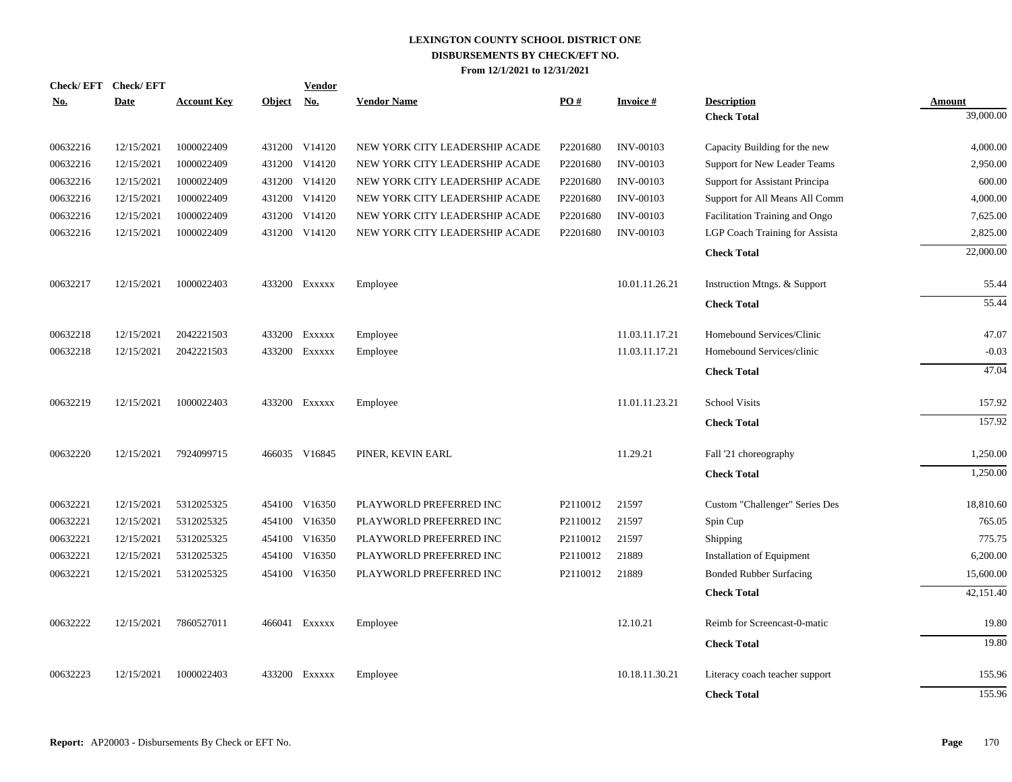|            | Check/EFT Check/EFT |                    |               | <b>Vendor</b> | <b>Vendor Name</b>             | PO#                  |                  |                                          |                            |
|------------|---------------------|--------------------|---------------|---------------|--------------------------------|----------------------|------------------|------------------------------------------|----------------------------|
| <u>No.</u> | <b>Date</b>         | <b>Account Key</b> | <b>Object</b> | <u>No.</u>    |                                |                      | <b>Invoice#</b>  | <b>Description</b><br><b>Check Total</b> | <b>Amount</b><br>39,000.00 |
|            |                     |                    |               |               |                                |                      |                  |                                          |                            |
| 00632216   | 12/15/2021          | 1000022409         |               | 431200 V14120 | NEW YORK CITY LEADERSHIP ACADE | P2201680             | <b>INV-00103</b> | Capacity Building for the new            | 4,000.00                   |
| 00632216   | 12/15/2021          | 1000022409         |               | 431200 V14120 | NEW YORK CITY LEADERSHIP ACADE | P <sub>2201680</sub> | <b>INV-00103</b> | Support for New Leader Teams             | 2,950.00                   |
| 00632216   | 12/15/2021          | 1000022409         |               | 431200 V14120 | NEW YORK CITY LEADERSHIP ACADE | P2201680             | <b>INV-00103</b> | Support for Assistant Principa           | 600.00                     |
| 00632216   | 12/15/2021          | 1000022409         |               | 431200 V14120 | NEW YORK CITY LEADERSHIP ACADE | P2201680             | <b>INV-00103</b> | Support for All Means All Comm           | 4,000.00                   |
| 00632216   | 12/15/2021          | 1000022409         |               | 431200 V14120 | NEW YORK CITY LEADERSHIP ACADE | P2201680             | <b>INV-00103</b> | Facilitation Training and Ongo           | 7,625.00                   |
| 00632216   | 12/15/2021          | 1000022409         |               | 431200 V14120 | NEW YORK CITY LEADERSHIP ACADE | P2201680             | <b>INV-00103</b> | LGP Coach Training for Assista           | 2,825.00                   |
|            |                     |                    |               |               |                                |                      |                  | <b>Check Total</b>                       | 22,000.00                  |
| 00632217   | 12/15/2021          | 1000022403         |               | 433200 Exxxxx | Employee                       |                      | 10.01.11.26.21   | Instruction Mtngs. & Support             | 55.44                      |
|            |                     |                    |               |               |                                |                      |                  | <b>Check Total</b>                       | 55.44                      |
| 00632218   | 12/15/2021          | 2042221503         |               | 433200 Exxxxx | Employee                       |                      | 11.03.11.17.21   | Homebound Services/Clinic                | 47.07                      |
| 00632218   | 12/15/2021          | 2042221503         |               | 433200 EXXXXX | Employee                       |                      | 11.03.11.17.21   | Homebound Services/clinic                | $-0.03$                    |
|            |                     |                    |               |               |                                |                      |                  | <b>Check Total</b>                       | 47.04                      |
| 00632219   | 12/15/2021          | 1000022403         |               | 433200 Exxxxx | Employee                       |                      | 11.01.11.23.21   | <b>School Visits</b>                     | 157.92                     |
|            |                     |                    |               |               |                                |                      |                  | <b>Check Total</b>                       | 157.92                     |
| 00632220   | 12/15/2021          | 7924099715         |               | 466035 V16845 | PINER, KEVIN EARL              |                      | 11.29.21         | Fall '21 choreography                    | 1,250.00                   |
|            |                     |                    |               |               |                                |                      |                  | <b>Check Total</b>                       | 1,250.00                   |
| 00632221   | 12/15/2021          | 5312025325         |               | 454100 V16350 | PLAYWORLD PREFERRED INC        | P2110012             | 21597            | Custom "Challenger" Series Des           | 18,810.60                  |
| 00632221   | 12/15/2021          | 5312025325         |               | 454100 V16350 | PLAYWORLD PREFERRED INC        | P2110012             | 21597            | Spin Cup                                 | 765.05                     |
| 00632221   | 12/15/2021          | 5312025325         |               | 454100 V16350 | PLAYWORLD PREFERRED INC        | P2110012             | 21597            | Shipping                                 | 775.75                     |
| 00632221   | 12/15/2021          | 5312025325         |               | 454100 V16350 | PLAYWORLD PREFERRED INC        | P2110012             | 21889            | Installation of Equipment                | 6,200.00                   |
| 00632221   | 12/15/2021          | 5312025325         |               | 454100 V16350 | PLAYWORLD PREFERRED INC        | P2110012             | 21889            | <b>Bonded Rubber Surfacing</b>           | 15,600.00                  |
|            |                     |                    |               |               |                                |                      |                  | <b>Check Total</b>                       | 42,151.40                  |
| 00632222   | 12/15/2021          | 7860527011         |               | 466041 Exxxxx | Employee                       |                      | 12.10.21         | Reimb for Screencast-0-matic             | 19.80                      |
|            |                     |                    |               |               |                                |                      |                  | <b>Check Total</b>                       | 19.80                      |
| 00632223   | 12/15/2021          | 1000022403         |               | 433200 Exxxxx | Employee                       |                      | 10.18.11.30.21   | Literacy coach teacher support           | 155.96                     |
|            |                     |                    |               |               |                                |                      |                  | <b>Check Total</b>                       | 155.96                     |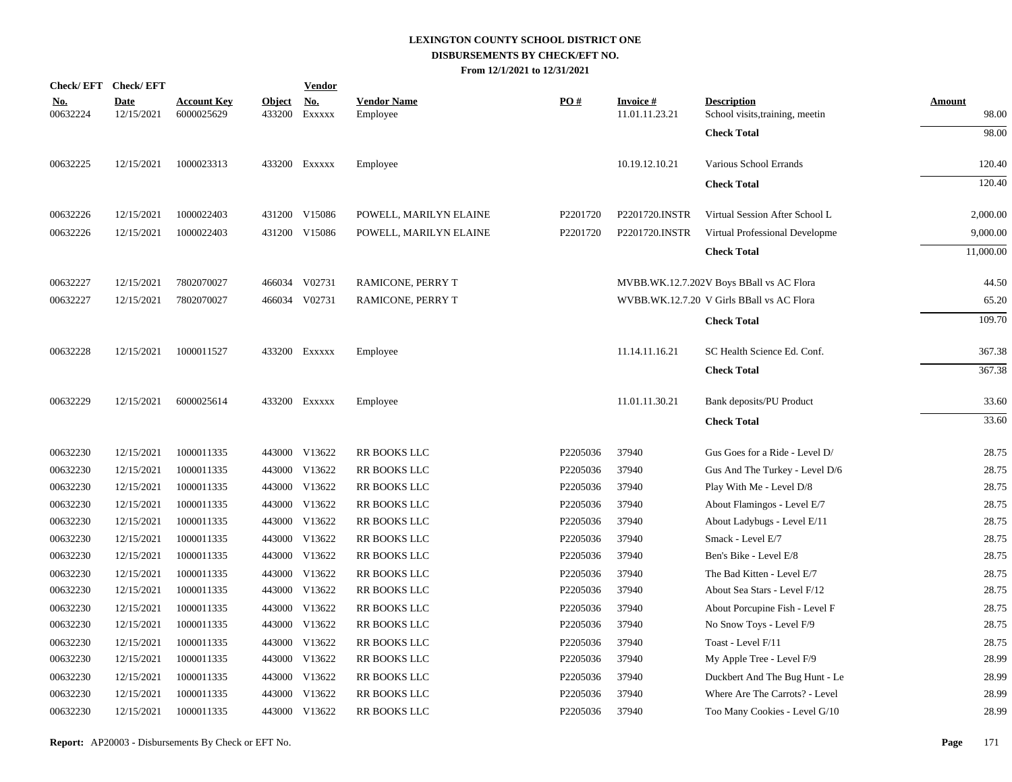|                        | Check/EFT Check/EFT       |                                  |                         | <b>Vendor</b>        |                                |          |                                   |                                                       |                        |
|------------------------|---------------------------|----------------------------------|-------------------------|----------------------|--------------------------------|----------|-----------------------------------|-------------------------------------------------------|------------------------|
| <u>No.</u><br>00632224 | <b>Date</b><br>12/15/2021 | <u>Account Key</u><br>6000025629 | <b>Object</b><br>433200 | <u>No.</u><br>EXXXXX | <b>Vendor Name</b><br>Employee | PO#      | <b>Invoice#</b><br>11.01.11.23.21 | <b>Description</b><br>School visits, training, meetin | <b>Amount</b><br>98.00 |
|                        |                           |                                  |                         |                      |                                |          |                                   | <b>Check Total</b>                                    | 98.00                  |
| 00632225               | 12/15/2021                | 1000023313                       |                         | 433200 Exxxxx        | Employee                       |          | 10.19.12.10.21                    | Various School Errands                                | 120.40                 |
|                        |                           |                                  |                         |                      |                                |          |                                   | <b>Check Total</b>                                    | 120.40                 |
| 00632226               | 12/15/2021                | 1000022403                       |                         | 431200 V15086        | POWELL, MARILYN ELAINE         | P2201720 | P2201720.INSTR                    | Virtual Session After School L                        | 2,000.00               |
| 00632226               | 12/15/2021                | 1000022403                       |                         | 431200 V15086        | POWELL, MARILYN ELAINE         | P2201720 | P2201720.INSTR                    | Virtual Professional Developme                        | 9,000.00               |
|                        |                           |                                  |                         |                      |                                |          |                                   | <b>Check Total</b>                                    | 11,000.00              |
| 00632227               | 12/15/2021                | 7802070027                       |                         | 466034 V02731        | RAMICONE, PERRY T              |          |                                   | MVBB.WK.12.7.202V Boys BBall vs AC Flora              | 44.50                  |
| 00632227               | 12/15/2021                | 7802070027                       |                         | 466034 V02731        | RAMICONE, PERRY T              |          |                                   | WVBB.WK.12.7.20 V Girls BBall vs AC Flora             | 65.20                  |
|                        |                           |                                  |                         |                      |                                |          |                                   | <b>Check Total</b>                                    | 109.70                 |
| 00632228               | 12/15/2021                | 1000011527                       |                         | 433200 Exxxxx        | Employee                       |          | 11.14.11.16.21                    | SC Health Science Ed. Conf.                           | 367.38                 |
|                        |                           |                                  |                         |                      |                                |          |                                   | <b>Check Total</b>                                    | 367.38                 |
| 00632229               | 12/15/2021                | 6000025614                       |                         | 433200 Exxxxx        | Employee                       |          | 11.01.11.30.21                    | Bank deposits/PU Product                              | 33.60                  |
|                        |                           |                                  |                         |                      |                                |          |                                   | <b>Check Total</b>                                    | 33.60                  |
| 00632230               | 12/15/2021                | 1000011335                       |                         | 443000 V13622        | RR BOOKS LLC                   | P2205036 | 37940                             | Gus Goes for a Ride - Level D/                        | 28.75                  |
| 00632230               | 12/15/2021                | 1000011335                       |                         | 443000 V13622        | RR BOOKS LLC                   | P2205036 | 37940                             | Gus And The Turkey - Level D/6                        | 28.75                  |
| 00632230               | 12/15/2021                | 1000011335                       |                         | 443000 V13622        | RR BOOKS LLC                   | P2205036 | 37940                             | Play With Me - Level D/8                              | 28.75                  |
| 00632230               | 12/15/2021                | 1000011335                       |                         | 443000 V13622        | RR BOOKS LLC                   | P2205036 | 37940                             | About Flamingos - Level E/7                           | 28.75                  |
| 00632230               | 12/15/2021                | 1000011335                       |                         | 443000 V13622        | RR BOOKS LLC                   | P2205036 | 37940                             | About Ladybugs - Level E/11                           | 28.75                  |
| 00632230               | 12/15/2021                | 1000011335                       |                         | 443000 V13622        | RR BOOKS LLC                   | P2205036 | 37940                             | Smack - Level E/7                                     | 28.75                  |
| 00632230               | 12/15/2021                | 1000011335                       |                         | 443000 V13622        | RR BOOKS LLC                   | P2205036 | 37940                             | Ben's Bike - Level E/8                                | 28.75                  |
| 00632230               | 12/15/2021                | 1000011335                       |                         | 443000 V13622        | RR BOOKS LLC                   | P2205036 | 37940                             | The Bad Kitten - Level E/7                            | 28.75                  |
| 00632230               | 12/15/2021                | 1000011335                       |                         | 443000 V13622        | RR BOOKS LLC                   | P2205036 | 37940                             | About Sea Stars - Level F/12                          | 28.75                  |
| 00632230               | 12/15/2021                | 1000011335                       |                         | 443000 V13622        | RR BOOKS LLC                   | P2205036 | 37940                             | About Porcupine Fish - Level F                        | 28.75                  |
| 00632230               | 12/15/2021                | 1000011335                       |                         | 443000 V13622        | RR BOOKS LLC                   | P2205036 | 37940                             | No Snow Toys - Level F/9                              | 28.75                  |
| 00632230               | 12/15/2021                | 1000011335                       |                         | 443000 V13622        | <b>RR BOOKS LLC</b>            | P2205036 | 37940                             | Toast - Level F/11                                    | 28.75                  |
| 00632230               | 12/15/2021                | 1000011335                       |                         | 443000 V13622        | RR BOOKS LLC                   | P2205036 | 37940                             | My Apple Tree - Level F/9                             | 28.99                  |
| 00632230               | 12/15/2021                | 1000011335                       |                         | 443000 V13622        | RR BOOKS LLC                   | P2205036 | 37940                             | Duckbert And The Bug Hunt - Le                        | 28.99                  |
| 00632230               | 12/15/2021                | 1000011335                       |                         | 443000 V13622        | RR BOOKS LLC                   | P2205036 | 37940                             | Where Are The Carrots? - Level                        | 28.99                  |
| 00632230               | 12/15/2021                | 1000011335                       |                         | 443000 V13622        | RR BOOKS LLC                   | P2205036 | 37940                             | Too Many Cookies - Level G/10                         | 28.99                  |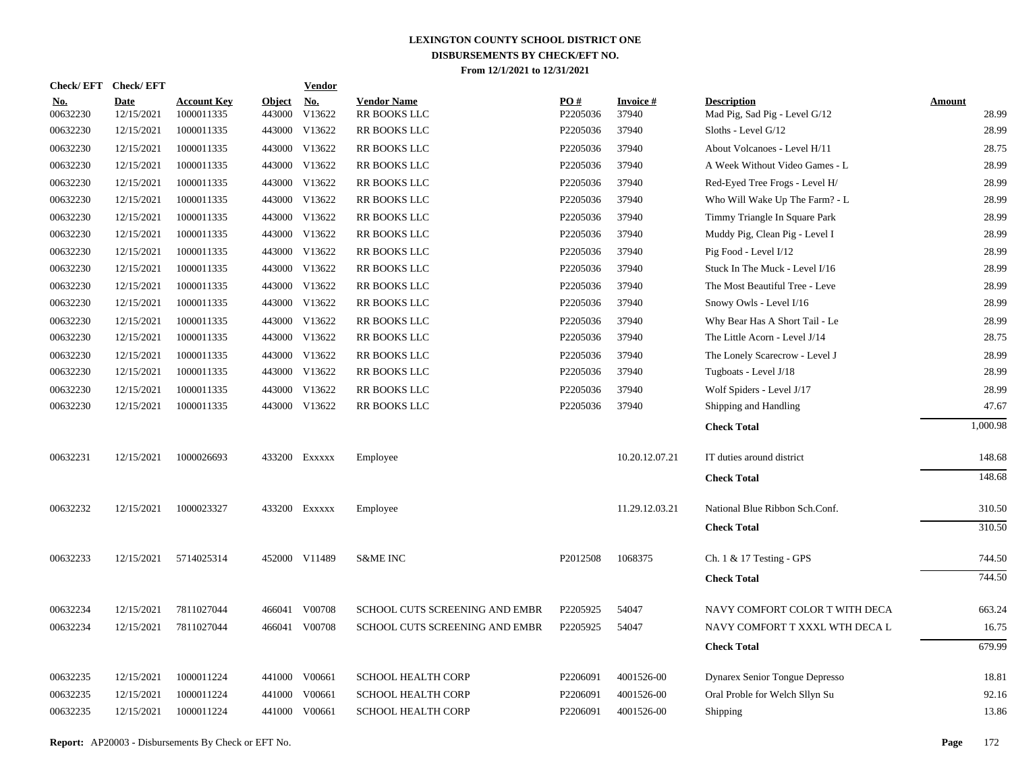| Check/EFT Check/EFT    |                    |                                  |                         | <b>Vendor</b> |                                    |                 |                          |                                                     |                        |
|------------------------|--------------------|----------------------------------|-------------------------|---------------|------------------------------------|-----------------|--------------------------|-----------------------------------------------------|------------------------|
| <b>No.</b><br>00632230 | Date<br>12/15/2021 | <b>Account Key</b><br>1000011335 | <b>Object</b><br>443000 | No.<br>V13622 | <b>Vendor Name</b><br>RR BOOKS LLC | PO#<br>P2205036 | <b>Invoice#</b><br>37940 | <b>Description</b><br>Mad Pig, Sad Pig - Level G/12 | <b>Amount</b><br>28.99 |
| 00632230               | 12/15/2021         | 1000011335                       |                         | 443000 V13622 | RR BOOKS LLC                       | P2205036        | 37940                    | Sloths - Level G/12                                 | 28.99                  |
| 00632230               | 12/15/2021         | 1000011335                       |                         | 443000 V13622 | RR BOOKS LLC                       | P2205036        | 37940                    | About Volcanoes - Level H/11                        | 28.75                  |
| 00632230               | 12/15/2021         | 1000011335                       |                         | 443000 V13622 | RR BOOKS LLC                       | P2205036        | 37940                    | A Week Without Video Games - L                      | 28.99                  |
| 00632230               | 12/15/2021         | 1000011335                       |                         | 443000 V13622 | RR BOOKS LLC                       | P2205036        | 37940                    | Red-Eyed Tree Frogs - Level H/                      | 28.99                  |
| 00632230               | 12/15/2021         | 1000011335                       |                         | 443000 V13622 | RR BOOKS LLC                       | P2205036        | 37940                    | Who Will Wake Up The Farm? - L                      | 28.99                  |
| 00632230               | 12/15/2021         | 1000011335                       |                         | 443000 V13622 | RR BOOKS LLC                       | P2205036        | 37940                    | Timmy Triangle In Square Park                       | 28.99                  |
| 00632230               | 12/15/2021         | 1000011335                       |                         | 443000 V13622 | RR BOOKS LLC                       | P2205036        | 37940                    | Muddy Pig, Clean Pig - Level I                      | 28.99                  |
| 00632230               | 12/15/2021         | 1000011335                       |                         | 443000 V13622 | RR BOOKS LLC                       | P2205036        | 37940                    | Pig Food - Level I/12                               | 28.99                  |
| 00632230               | 12/15/2021         | 1000011335                       |                         | 443000 V13622 | RR BOOKS LLC                       | P2205036        | 37940                    | Stuck In The Muck - Level I/16                      | 28.99                  |
| 00632230               | 12/15/2021         | 1000011335                       |                         | 443000 V13622 | RR BOOKS LLC                       | P2205036        | 37940                    | The Most Beautiful Tree - Leve                      | 28.99                  |
| 00632230               | 12/15/2021         | 1000011335                       |                         | 443000 V13622 | RR BOOKS LLC                       | P2205036        | 37940                    | Snowy Owls - Level I/16                             | 28.99                  |
| 00632230               | 12/15/2021         | 1000011335                       |                         | 443000 V13622 | RR BOOKS LLC                       | P2205036        | 37940                    | Why Bear Has A Short Tail - Le                      | 28.99                  |
| 00632230               | 12/15/2021         | 1000011335                       |                         | 443000 V13622 | RR BOOKS LLC                       | P2205036        | 37940                    | The Little Acorn - Level J/14                       | 28.75                  |
| 00632230               | 12/15/2021         | 1000011335                       |                         | 443000 V13622 | RR BOOKS LLC                       | P2205036        | 37940                    | The Lonely Scarecrow - Level J                      | 28.99                  |
| 00632230               | 12/15/2021         | 1000011335                       |                         | 443000 V13622 | RR BOOKS LLC                       | P2205036        | 37940                    | Tugboats - Level J/18                               | 28.99                  |
| 00632230               | 12/15/2021         | 1000011335                       |                         | 443000 V13622 | RR BOOKS LLC                       | P2205036        | 37940                    | Wolf Spiders - Level J/17                           | 28.99                  |
| 00632230               | 12/15/2021         | 1000011335                       |                         | 443000 V13622 | RR BOOKS LLC                       | P2205036        | 37940                    | Shipping and Handling                               | 47.67                  |
|                        |                    |                                  |                         |               |                                    |                 |                          | <b>Check Total</b>                                  | 1,000.98               |
| 00632231               | 12/15/2021         | 1000026693                       |                         | 433200 Exxxxx | Employee                           |                 | 10.20.12.07.21           | IT duties around district                           | 148.68                 |
|                        |                    |                                  |                         |               |                                    |                 |                          | <b>Check Total</b>                                  | 148.68                 |
| 00632232               | 12/15/2021         | 1000023327                       |                         | 433200 Exxxxx | Employee                           |                 | 11.29.12.03.21           | National Blue Ribbon Sch.Conf.                      | 310.50                 |
|                        |                    |                                  |                         |               |                                    |                 |                          | <b>Check Total</b>                                  | 310.50                 |
| 00632233               | 12/15/2021         | 5714025314                       |                         | 452000 V11489 | <b>S&amp;ME INC</b>                | P2012508        | 1068375                  | Ch. 1 & 17 Testing - GPS                            | 744.50                 |
|                        |                    |                                  |                         |               |                                    |                 |                          | <b>Check Total</b>                                  | 744.50                 |
| 00632234               | 12/15/2021         | 7811027044                       |                         | 466041 V00708 | SCHOOL CUTS SCREENING AND EMBR     | P2205925        | 54047                    | NAVY COMFORT COLOR T WITH DECA                      | 663.24                 |
| 00632234               | 12/15/2021         | 7811027044                       |                         | 466041 V00708 | SCHOOL CUTS SCREENING AND EMBR     | P2205925        | 54047                    | NAVY COMFORT T XXXL WTH DECA L                      | 16.75                  |
|                        |                    |                                  |                         |               |                                    |                 |                          | <b>Check Total</b>                                  | 679.99                 |
| 00632235               | 12/15/2021         | 1000011224                       |                         | 441000 V00661 | <b>SCHOOL HEALTH CORP</b>          | P2206091        | 4001526-00               | Dynarex Senior Tongue Depresso                      | 18.81                  |
| 00632235               | 12/15/2021         | 1000011224                       | 441000                  | V00661        | <b>SCHOOL HEALTH CORP</b>          | P2206091        | 4001526-00               | Oral Proble for Welch Sllyn Su                      | 92.16                  |
| 00632235               | 12/15/2021         | 1000011224                       |                         | 441000 V00661 | <b>SCHOOL HEALTH CORP</b>          | P2206091        | 4001526-00               | Shipping                                            | 13.86                  |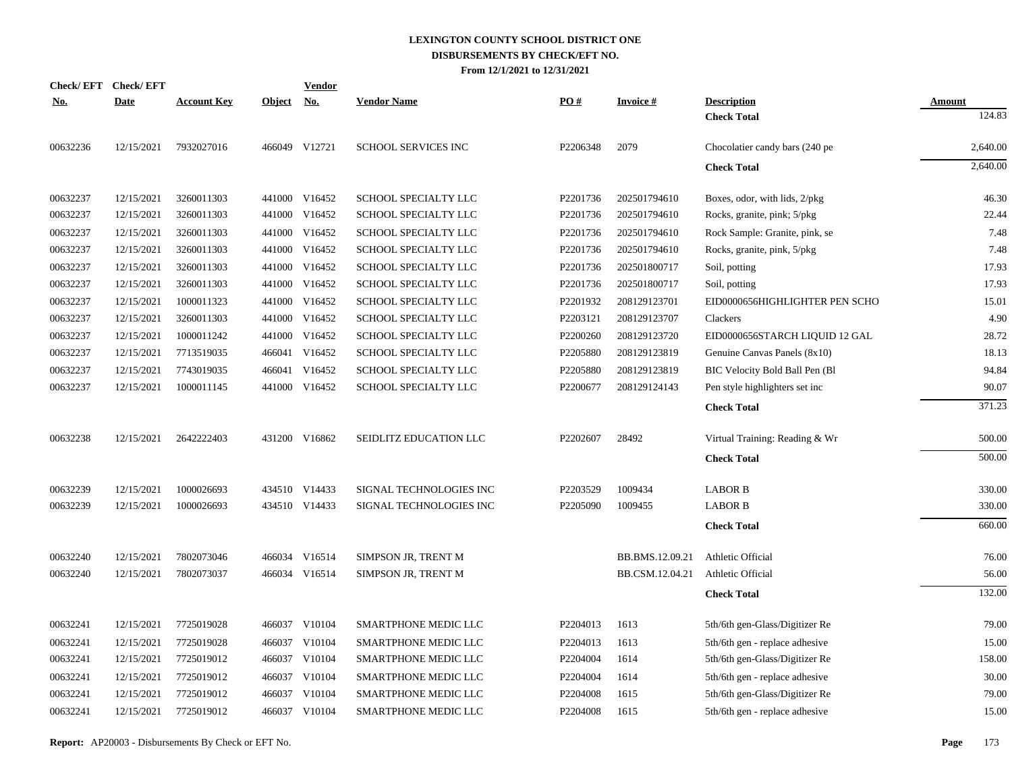|                             | Check/EFT Check/EFT |                    |               | Vendor        |                            |          |                 |                                 |               |
|-----------------------------|---------------------|--------------------|---------------|---------------|----------------------------|----------|-----------------|---------------------------------|---------------|
| $\underline{\textbf{No}}$ . | <b>Date</b>         | <b>Account Key</b> | <b>Object</b> | <u>No.</u>    | <b>Vendor Name</b>         | PO#      | <b>Invoice#</b> | <b>Description</b>              | <b>Amount</b> |
|                             |                     |                    |               |               |                            |          |                 | <b>Check Total</b>              | 124.83        |
| 00632236                    | 12/15/2021          | 7932027016         |               | 466049 V12721 | <b>SCHOOL SERVICES INC</b> | P2206348 | 2079            | Chocolatier candy bars (240 pe) | 2,640.00      |
|                             |                     |                    |               |               |                            |          |                 | <b>Check Total</b>              | 2,640.00      |
| 00632237                    | 12/15/2021          | 3260011303         |               | 441000 V16452 | SCHOOL SPECIALTY LLC       | P2201736 | 202501794610    | Boxes, odor, with lids, 2/pkg   | 46.30         |
| 00632237                    | 12/15/2021          | 3260011303         |               | 441000 V16452 | SCHOOL SPECIALTY LLC       | P2201736 | 202501794610    | Rocks, granite, pink; 5/pkg     | 22.44         |
| 00632237                    | 12/15/2021          | 3260011303         | 441000        | V16452        | SCHOOL SPECIALTY LLC       | P2201736 | 202501794610    | Rock Sample: Granite, pink, se  | 7.48          |
| 00632237                    | 12/15/2021          | 3260011303         | 441000        | V16452        | SCHOOL SPECIALTY LLC       | P2201736 | 202501794610    | Rocks, granite, pink, 5/pkg     | 7.48          |
| 00632237                    | 12/15/2021          | 3260011303         | 441000        | V16452        | SCHOOL SPECIALTY LLC       | P2201736 | 202501800717    | Soil, potting                   | 17.93         |
| 00632237                    | 12/15/2021          | 3260011303         | 441000        | V16452        | SCHOOL SPECIALTY LLC       | P2201736 | 202501800717    | Soil, potting                   | 17.93         |
| 00632237                    | 12/15/2021          | 1000011323         | 441000        | V16452        | SCHOOL SPECIALTY LLC       | P2201932 | 208129123701    | EID0000656HIGHLIGHTER PEN SCHO  | 15.01         |
| 00632237                    | 12/15/2021          | 3260011303         | 441000        | V16452        | SCHOOL SPECIALTY LLC       | P2203121 | 208129123707    | Clackers                        | 4.90          |
| 00632237                    | 12/15/2021          | 1000011242         | 441000        | V16452        | SCHOOL SPECIALTY LLC       | P2200260 | 208129123720    | EID0000656STARCH LIQUID 12 GAL  | 28.72         |
| 00632237                    | 12/15/2021          | 7713519035         |               | 466041 V16452 | SCHOOL SPECIALTY LLC       | P2205880 | 208129123819    | Genuine Canvas Panels (8x10)    | 18.13         |
| 00632237                    | 12/15/2021          | 7743019035         | 466041        | V16452        | SCHOOL SPECIALTY LLC       | P2205880 | 208129123819    | BIC Velocity Bold Ball Pen (Bl  | 94.84         |
| 00632237                    | 12/15/2021          | 1000011145         |               | 441000 V16452 | SCHOOL SPECIALTY LLC       | P2200677 | 208129124143    | Pen style highlighters set inc  | 90.07         |
|                             |                     |                    |               |               |                            |          |                 | <b>Check Total</b>              | 371.23        |
| 00632238                    | 12/15/2021          | 2642222403         |               | 431200 V16862 | SEIDLITZ EDUCATION LLC     | P2202607 | 28492           | Virtual Training: Reading & Wr  | 500.00        |
|                             |                     |                    |               |               |                            |          |                 | <b>Check Total</b>              | 500.00        |
| 00632239                    | 12/15/2021          | 1000026693         |               | 434510 V14433 | SIGNAL TECHNOLOGIES INC    | P2203529 | 1009434         | <b>LABOR B</b>                  | 330.00        |
| 00632239                    | 12/15/2021          | 1000026693         |               | 434510 V14433 | SIGNAL TECHNOLOGIES INC    | P2205090 | 1009455         | <b>LABOR B</b>                  | 330.00        |
|                             |                     |                    |               |               |                            |          |                 | <b>Check Total</b>              | 660.00        |
| 00632240                    | 12/15/2021          | 7802073046         | 466034        | V16514        | SIMPSON JR, TRENT M        |          | BB.BMS.12.09.21 | Athletic Official               | 76.00         |
| 00632240                    | 12/15/2021          | 7802073037         |               | 466034 V16514 | SIMPSON JR, TRENT M        |          | BB.CSM.12.04.21 | Athletic Official               | 56.00         |
|                             |                     |                    |               |               |                            |          |                 | <b>Check Total</b>              | 132.00        |
| 00632241                    | 12/15/2021          | 7725019028         |               | 466037 V10104 | SMARTPHONE MEDIC LLC       | P2204013 | 1613            | 5th/6th gen-Glass/Digitizer Re  | 79.00         |
| 00632241                    | 12/15/2021          | 7725019028         | 466037        | V10104        | SMARTPHONE MEDIC LLC       | P2204013 | 1613            | 5th/6th gen - replace adhesive  | 15.00         |
| 00632241                    | 12/15/2021          | 7725019012         | 466037        | V10104        | SMARTPHONE MEDIC LLC       | P2204004 | 1614            | 5th/6th gen-Glass/Digitizer Re  | 158.00        |
| 00632241                    | 12/15/2021          | 7725019012         | 466037        | V10104        | SMARTPHONE MEDIC LLC       | P2204004 | 1614            | 5th/6th gen - replace adhesive  | 30.00         |
| 00632241                    | 12/15/2021          | 7725019012         | 466037        | V10104        | SMARTPHONE MEDIC LLC       | P2204008 | 1615            | 5th/6th gen-Glass/Digitizer Re  | 79.00         |
| 00632241                    | 12/15/2021          | 7725019012         |               | 466037 V10104 | SMARTPHONE MEDIC LLC       | P2204008 | 1615            | 5th/6th gen - replace adhesive  | 15.00         |
|                             |                     |                    |               |               |                            |          |                 |                                 |               |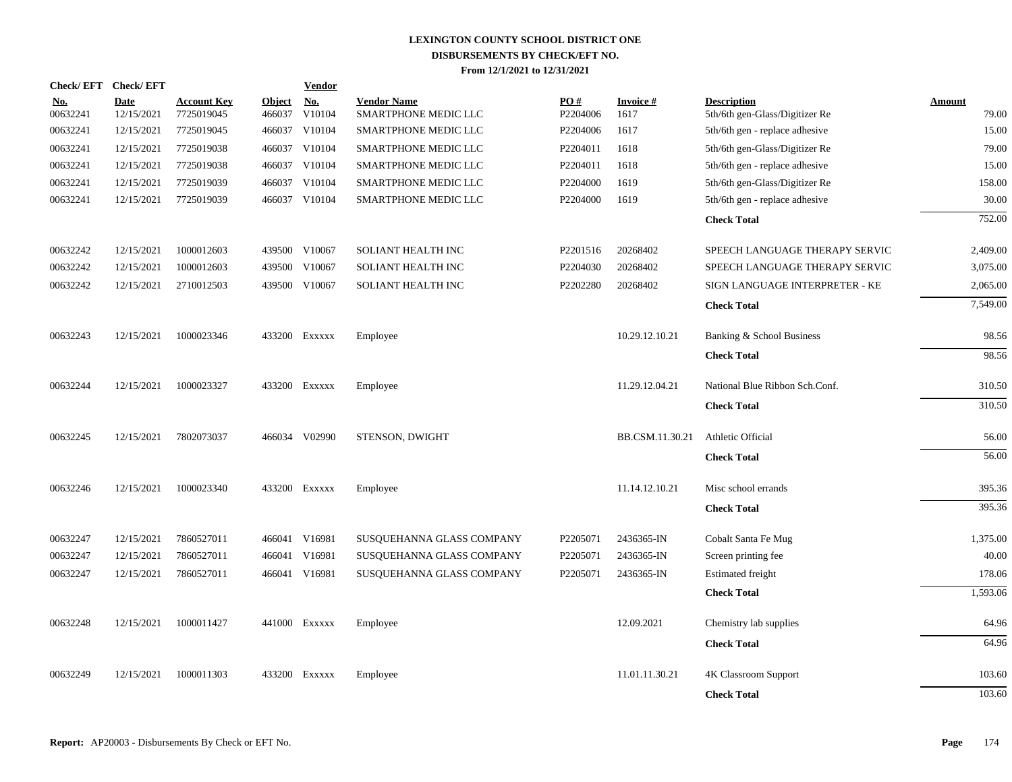| Check/EFT Check/EFT    |                           |                                  |                         | <b>Vendor</b>                       |                                            |                 |                          |                                                      |                        |
|------------------------|---------------------------|----------------------------------|-------------------------|-------------------------------------|--------------------------------------------|-----------------|--------------------------|------------------------------------------------------|------------------------|
| <u>No.</u><br>00632241 | <b>Date</b><br>12/15/2021 | <b>Account Key</b><br>7725019045 | <b>Object</b><br>466037 | $\underline{\textbf{No}}$<br>V10104 | <b>Vendor Name</b><br>SMARTPHONE MEDIC LLC | PO#<br>P2204006 | <b>Invoice #</b><br>1617 | <b>Description</b><br>5th/6th gen-Glass/Digitizer Re | <b>Amount</b><br>79.00 |
| 00632241               | 12/15/2021                | 7725019045                       | 466037                  | V10104                              | SMARTPHONE MEDIC LLC                       | P2204006        | 1617                     | 5th/6th gen - replace adhesive                       | 15.00                  |
| 00632241               | 12/15/2021                | 7725019038                       | 466037                  | V10104                              | SMARTPHONE MEDIC LLC                       | P2204011        | 1618                     | 5th/6th gen-Glass/Digitizer Re                       | 79.00                  |
| 00632241               | 12/15/2021                | 7725019038                       | 466037                  | V10104                              | SMARTPHONE MEDIC LLC                       | P2204011        | 1618                     | 5th/6th gen - replace adhesive                       | 15.00                  |
| 00632241               | 12/15/2021                | 7725019039                       | 466037                  | V10104                              | SMARTPHONE MEDIC LLC                       | P2204000        | 1619                     | 5th/6th gen-Glass/Digitizer Re                       | 158.00                 |
| 00632241               | 12/15/2021                | 7725019039                       |                         | 466037 V10104                       | SMARTPHONE MEDIC LLC                       | P2204000        | 1619                     | 5th/6th gen - replace adhesive                       | 30.00                  |
|                        |                           |                                  |                         |                                     |                                            |                 |                          | <b>Check Total</b>                                   | 752.00                 |
| 00632242               | 12/15/2021                | 1000012603                       |                         | 439500 V10067                       | SOLIANT HEALTH INC                         | P2201516        | 20268402                 | SPEECH LANGUAGE THERAPY SERVIC                       | 2,409.00               |
| 00632242               | 12/15/2021                | 1000012603                       | 439500                  | V10067                              | <b>SOLIANT HEALTH INC</b>                  | P2204030        | 20268402                 | SPEECH LANGUAGE THERAPY SERVIC                       | 3,075.00               |
| 00632242               | 12/15/2021                | 2710012503                       |                         | 439500 V10067                       | SOLIANT HEALTH INC                         | P2202280        | 20268402                 | SIGN LANGUAGE INTERPRETER - KE                       | 2,065.00               |
|                        |                           |                                  |                         |                                     |                                            |                 |                          | <b>Check Total</b>                                   | 7,549.00               |
| 00632243               | 12/15/2021                | 1000023346                       |                         | 433200 Exxxxx                       | Employee                                   |                 | 10.29.12.10.21           | Banking & School Business                            | 98.56                  |
|                        |                           |                                  |                         |                                     |                                            |                 |                          | <b>Check Total</b>                                   | 98.56                  |
| 00632244               | 12/15/2021                | 1000023327                       |                         | 433200 Exxxxx                       | Employee                                   |                 | 11.29.12.04.21           | National Blue Ribbon Sch.Conf.                       | 310.50                 |
|                        |                           |                                  |                         |                                     |                                            |                 |                          | <b>Check Total</b>                                   | 310.50                 |
| 00632245               | 12/15/2021                | 7802073037                       |                         | 466034 V02990                       | STENSON, DWIGHT                            |                 | BB.CSM.11.30.21          | Athletic Official                                    | 56.00                  |
|                        |                           |                                  |                         |                                     |                                            |                 |                          | <b>Check Total</b>                                   | 56.00                  |
| 00632246               | 12/15/2021                | 1000023340                       |                         | 433200 Exxxxx                       | Employee                                   |                 | 11.14.12.10.21           | Misc school errands                                  | 395.36                 |
|                        |                           |                                  |                         |                                     |                                            |                 |                          | <b>Check Total</b>                                   | 395.36                 |
| 00632247               | 12/15/2021                | 7860527011                       |                         | 466041 V16981                       | SUSQUEHANNA GLASS COMPANY                  | P2205071        | 2436365-IN               | Cobalt Santa Fe Mug                                  | 1,375.00               |
| 00632247               | 12/15/2021                | 7860527011                       |                         | 466041 V16981                       | SUSQUEHANNA GLASS COMPANY                  | P2205071        | 2436365-IN               | Screen printing fee                                  | 40.00                  |
| 00632247               | 12/15/2021                | 7860527011                       |                         | 466041 V16981                       | SUSQUEHANNA GLASS COMPANY                  | P2205071        | 2436365-IN               | <b>Estimated</b> freight                             | 178.06                 |
|                        |                           |                                  |                         |                                     |                                            |                 |                          | <b>Check Total</b>                                   | 1,593.06               |
| 00632248               | 12/15/2021                | 1000011427                       |                         | 441000 Exxxxx                       | Employee                                   |                 | 12.09.2021               | Chemistry lab supplies                               | 64.96                  |
|                        |                           |                                  |                         |                                     |                                            |                 |                          | <b>Check Total</b>                                   | 64.96                  |
| 00632249               | 12/15/2021                | 1000011303                       |                         | 433200 Exxxxx                       | Employee                                   |                 | 11.01.11.30.21           | 4K Classroom Support                                 | 103.60                 |
|                        |                           |                                  |                         |                                     |                                            |                 |                          | <b>Check Total</b>                                   | 103.60                 |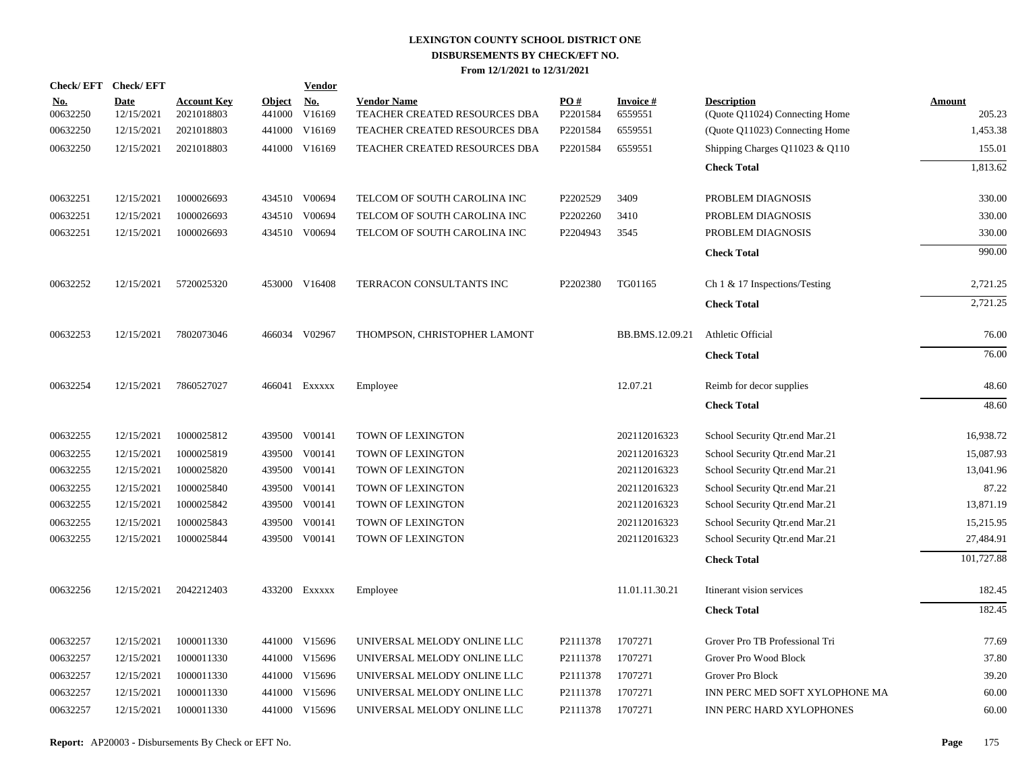| Check/EFT Check/EFT    |                           |                                  |                         | <b>Vendor</b>        |                                                     |                               |                            |                                                      |                  |
|------------------------|---------------------------|----------------------------------|-------------------------|----------------------|-----------------------------------------------------|-------------------------------|----------------------------|------------------------------------------------------|------------------|
| <u>No.</u><br>00632250 | <b>Date</b><br>12/15/2021 | <b>Account Key</b><br>2021018803 | <b>Object</b><br>441000 | <u>No.</u><br>V16169 | <b>Vendor Name</b><br>TEACHER CREATED RESOURCES DBA | $\underline{PO#}$<br>P2201584 | <b>Invoice#</b><br>6559551 | <b>Description</b><br>(Quote Q11024) Connecting Home | Amount<br>205.23 |
| 00632250               | 12/15/2021                | 2021018803                       |                         | 441000 V16169        | TEACHER CREATED RESOURCES DBA                       | P2201584                      | 6559551                    | (Quote Q11023) Connecting Home                       | 1,453.38         |
| 00632250               | 12/15/2021                | 2021018803                       |                         | 441000 V16169        | TEACHER CREATED RESOURCES DBA                       | P2201584                      | 6559551                    | Shipping Charges Q11023 & Q110                       | 155.01           |
|                        |                           |                                  |                         |                      |                                                     |                               |                            | <b>Check Total</b>                                   | 1.813.62         |
| 00632251               | 12/15/2021                | 1000026693                       |                         | 434510 V00694        | TELCOM OF SOUTH CAROLINA INC                        | P2202529                      | 3409                       | PROBLEM DIAGNOSIS                                    | 330.00           |
| 00632251               | 12/15/2021                | 1000026693                       |                         | 434510 V00694        | TELCOM OF SOUTH CAROLINA INC                        | P2202260                      | 3410                       | PROBLEM DIAGNOSIS                                    | 330.00           |
| 00632251               | 12/15/2021                | 1000026693                       |                         | 434510 V00694        | TELCOM OF SOUTH CAROLINA INC                        | P2204943                      | 3545                       | PROBLEM DIAGNOSIS                                    | 330.00           |
|                        |                           |                                  |                         |                      |                                                     |                               |                            | <b>Check Total</b>                                   | 990.00           |
| 00632252               | 12/15/2021                | 5720025320                       |                         | 453000 V16408        | TERRACON CONSULTANTS INC                            | P2202380                      | TG01165                    | Ch $1 \& 17$ Inspections/Testing                     | 2,721.25         |
|                        |                           |                                  |                         |                      |                                                     |                               |                            | <b>Check Total</b>                                   | 2,721.25         |
| 00632253               | 12/15/2021                | 7802073046                       |                         | 466034 V02967        | THOMPSON, CHRISTOPHER LAMONT                        |                               | BB.BMS.12.09.21            | Athletic Official                                    | 76.00            |
|                        |                           |                                  |                         |                      |                                                     |                               |                            | <b>Check Total</b>                                   | 76.00            |
| 00632254               | 12/15/2021                | 7860527027                       |                         | 466041 Exxxxx        | Employee                                            |                               | 12.07.21                   | Reimb for decor supplies                             | 48.60            |
|                        |                           |                                  |                         |                      |                                                     |                               |                            | <b>Check Total</b>                                   | 48.60            |
| 00632255               | 12/15/2021                | 1000025812                       |                         | 439500 V00141        | TOWN OF LEXINGTON                                   |                               | 202112016323               | School Security Qtr.end Mar.21                       | 16,938.72        |
| 00632255               | 12/15/2021                | 1000025819                       |                         | 439500 V00141        | TOWN OF LEXINGTON                                   |                               | 202112016323               | School Security Qtr.end Mar.21                       | 15,087.93        |
| 00632255               | 12/15/2021                | 1000025820                       |                         | 439500 V00141        | TOWN OF LEXINGTON                                   |                               | 202112016323               | School Security Qtr.end Mar.21                       | 13,041.96        |
| 00632255               | 12/15/2021                | 1000025840                       |                         | 439500 V00141        | TOWN OF LEXINGTON                                   |                               | 202112016323               | School Security Qtr.end Mar.21                       | 87.22            |
| 00632255               | 12/15/2021                | 1000025842                       |                         | 439500 V00141        | TOWN OF LEXINGTON                                   |                               | 202112016323               | School Security Qtr.end Mar.21                       | 13,871.19        |
| 00632255               | 12/15/2021                | 1000025843                       |                         | 439500 V00141        | TOWN OF LEXINGTON                                   |                               | 202112016323               | School Security Qtr.end Mar.21                       | 15,215.95        |
| 00632255               | 12/15/2021                | 1000025844                       |                         | 439500 V00141        | TOWN OF LEXINGTON                                   |                               | 202112016323               | School Security Qtr.end Mar.21                       | 27,484.91        |
|                        |                           |                                  |                         |                      |                                                     |                               |                            | <b>Check Total</b>                                   | 101,727.88       |
| 00632256               | 12/15/2021                | 2042212403                       |                         | 433200 Exxxxx        | Employee                                            |                               | 11.01.11.30.21             | Itinerant vision services                            | 182.45           |
|                        |                           |                                  |                         |                      |                                                     |                               |                            | <b>Check Total</b>                                   | 182.45           |
| 00632257               | 12/15/2021                | 1000011330                       |                         | 441000 V15696        | UNIVERSAL MELODY ONLINE LLC                         | P2111378                      | 1707271                    | Grover Pro TB Professional Tri                       | 77.69            |
| 00632257               | 12/15/2021                | 1000011330                       |                         | 441000 V15696        | UNIVERSAL MELODY ONLINE LLC                         | P2111378                      | 1707271                    | Grover Pro Wood Block                                | 37.80            |
| 00632257               | 12/15/2021                | 1000011330                       |                         | 441000 V15696        | UNIVERSAL MELODY ONLINE LLC                         | P2111378                      | 1707271                    | Grover Pro Block                                     | 39.20            |
| 00632257               | 12/15/2021                | 1000011330                       |                         | 441000 V15696        | UNIVERSAL MELODY ONLINE LLC                         | P2111378                      | 1707271                    | INN PERC MED SOFT XYLOPHONE MA                       | 60.00            |
| 00632257               | 12/15/2021                | 1000011330                       |                         | 441000 V15696        | UNIVERSAL MELODY ONLINE LLC                         | P2111378                      | 1707271                    | INN PERC HARD XYLOPHONES                             | 60.00            |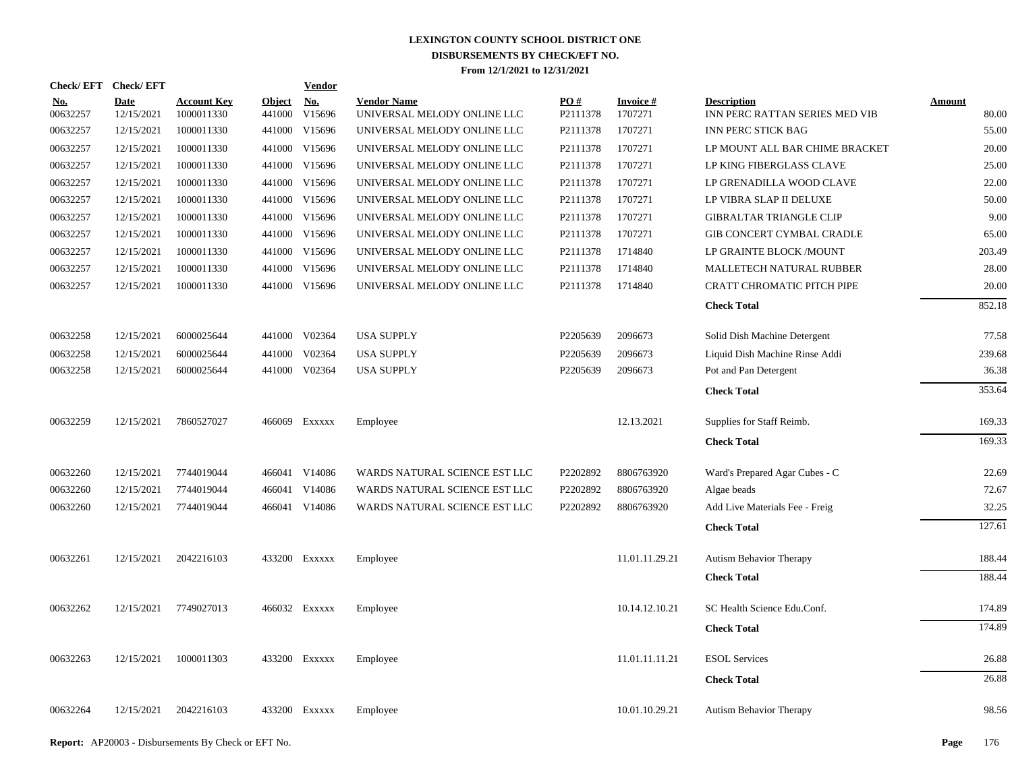| Check/EFT Check/EFT    |                           |                                  |                         | <b>Vendor</b>        |                                                   |                 |                            |                                                      |                        |
|------------------------|---------------------------|----------------------------------|-------------------------|----------------------|---------------------------------------------------|-----------------|----------------------------|------------------------------------------------------|------------------------|
| <u>No.</u><br>00632257 | <b>Date</b><br>12/15/2021 | <b>Account Key</b><br>1000011330 | <u>Object</u><br>441000 | <u>No.</u><br>V15696 | <b>Vendor Name</b><br>UNIVERSAL MELODY ONLINE LLC | PO#<br>P2111378 | <b>Invoice#</b><br>1707271 | <b>Description</b><br>INN PERC RATTAN SERIES MED VIB | <b>Amount</b><br>80.00 |
| 00632257               | 12/15/2021                | 1000011330                       | 441000                  | V15696               | UNIVERSAL MELODY ONLINE LLC                       | P2111378        | 1707271                    | <b>INN PERC STICK BAG</b>                            | 55.00                  |
| 00632257               | 12/15/2021                | 1000011330                       | 441000                  | V15696               | UNIVERSAL MELODY ONLINE LLC                       | P2111378        | 1707271                    | LP MOUNT ALL BAR CHIME BRACKET                       | 20.00                  |
| 00632257               | 12/15/2021                | 1000011330                       | 441000                  | V15696               | UNIVERSAL MELODY ONLINE LLC                       | P2111378        | 1707271                    | LP KING FIBERGLASS CLAVE                             | 25.00                  |
| 00632257               | 12/15/2021                | 1000011330                       | 441000                  | V15696               | UNIVERSAL MELODY ONLINE LLC                       | P2111378        | 1707271                    | LP GRENADILLA WOOD CLAVE                             | 22.00                  |
| 00632257               | 12/15/2021                | 1000011330                       | 441000                  | V15696               | UNIVERSAL MELODY ONLINE LLC                       | P2111378        | 1707271                    | LP VIBRA SLAP II DELUXE                              | 50.00                  |
| 00632257               | 12/15/2021                | 1000011330                       | 441000                  | V15696               | UNIVERSAL MELODY ONLINE LLC                       | P2111378        | 1707271                    | <b>GIBRALTAR TRIANGLE CLIP</b>                       | 9.00                   |
| 00632257               | 12/15/2021                | 1000011330                       |                         | 441000 V15696        | UNIVERSAL MELODY ONLINE LLC                       | P2111378        | 1707271                    | GIB CONCERT CYMBAL CRADLE                            | 65.00                  |
| 00632257               | 12/15/2021                | 1000011330                       | 441000                  | V15696               | UNIVERSAL MELODY ONLINE LLC                       | P2111378        | 1714840                    | LP GRAINTE BLOCK /MOUNT                              | 203.49                 |
| 00632257               | 12/15/2021                | 1000011330                       | 441000                  | V15696               | UNIVERSAL MELODY ONLINE LLC                       | P2111378        | 1714840                    | MALLETECH NATURAL RUBBER                             | 28.00                  |
| 00632257               | 12/15/2021                | 1000011330                       |                         | 441000 V15696        | UNIVERSAL MELODY ONLINE LLC                       | P2111378        | 1714840                    | <b>CRATT CHROMATIC PITCH PIPE</b>                    | 20.00                  |
|                        |                           |                                  |                         |                      |                                                   |                 |                            | <b>Check Total</b>                                   | 852.18                 |
| 00632258               | 12/15/2021                | 6000025644                       |                         | 441000 V02364        | <b>USA SUPPLY</b>                                 | P2205639        | 2096673                    | Solid Dish Machine Detergent                         | 77.58                  |
| 00632258               | 12/15/2021                | 6000025644                       | 441000                  | V02364               | <b>USA SUPPLY</b>                                 | P2205639        | 2096673                    | Liquid Dish Machine Rinse Addi                       | 239.68                 |
| 00632258               | 12/15/2021                | 6000025644                       |                         | 441000 V02364        | <b>USA SUPPLY</b>                                 | P2205639        | 2096673                    | Pot and Pan Detergent                                | 36.38                  |
|                        |                           |                                  |                         |                      |                                                   |                 |                            | <b>Check Total</b>                                   | 353.64                 |
| 00632259               | 12/15/2021                | 7860527027                       |                         | 466069 Exxxxx        | Employee                                          |                 | 12.13.2021                 | Supplies for Staff Reimb.                            | 169.33                 |
|                        |                           |                                  |                         |                      |                                                   |                 |                            | <b>Check Total</b>                                   | 169.33                 |
| 00632260               | 12/15/2021                | 7744019044                       |                         | 466041 V14086        | WARDS NATURAL SCIENCE EST LLC                     | P2202892        | 8806763920                 | Ward's Prepared Agar Cubes - C                       | 22.69                  |
| 00632260               | 12/15/2021                | 7744019044                       |                         | 466041 V14086        | WARDS NATURAL SCIENCE EST LLC                     | P2202892        | 8806763920                 | Algae beads                                          | 72.67                  |
| 00632260               | 12/15/2021                | 7744019044                       |                         | 466041 V14086        | WARDS NATURAL SCIENCE EST LLC                     | P2202892        | 8806763920                 | Add Live Materials Fee - Freig                       | 32.25                  |
|                        |                           |                                  |                         |                      |                                                   |                 |                            | <b>Check Total</b>                                   | 127.61                 |
| 00632261               | 12/15/2021                | 2042216103                       |                         | 433200 EXXXXX        | Employee                                          |                 | 11.01.11.29.21             | <b>Autism Behavior Therapy</b>                       | 188.44                 |
|                        |                           |                                  |                         |                      |                                                   |                 |                            | <b>Check Total</b>                                   | 188.44                 |
| 00632262               | 12/15/2021                | 7749027013                       |                         | 466032 Exxxxx        | Employee                                          |                 | 10.14.12.10.21             | SC Health Science Edu.Conf.                          | 174.89                 |
|                        |                           |                                  |                         |                      |                                                   |                 |                            | <b>Check Total</b>                                   | 174.89                 |
| 00632263               | 12/15/2021                | 1000011303                       |                         | 433200 Exxxxx        | Employee                                          |                 | 11.01.11.11.21             | <b>ESOL Services</b>                                 | 26.88                  |
|                        |                           |                                  |                         |                      |                                                   |                 |                            | <b>Check Total</b>                                   | 26.88                  |
| 00632264               | 12/15/2021                | 2042216103                       |                         | 433200 EXXXXX        | Employee                                          |                 | 10.01.10.29.21             | Autism Behavior Therapy                              | 98.56                  |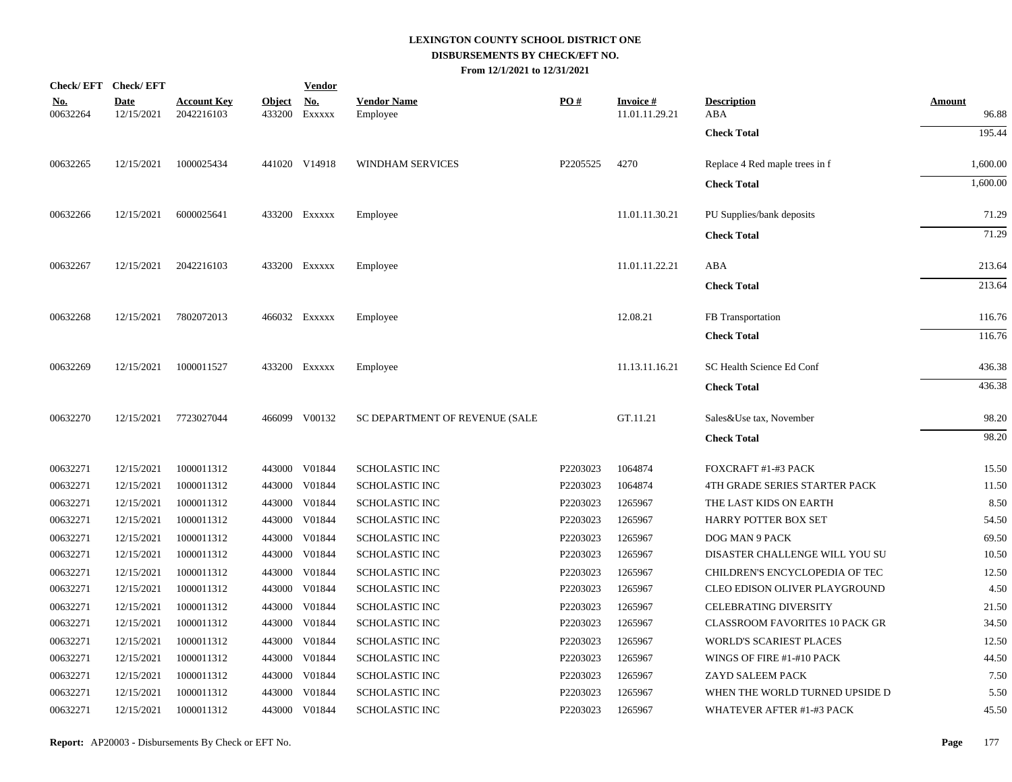|                        | Check/EFT Check/EFT       |                                  |               | <b>Vendor</b>               |                                |          |                                   |                                       |                 |
|------------------------|---------------------------|----------------------------------|---------------|-----------------------------|--------------------------------|----------|-----------------------------------|---------------------------------------|-----------------|
| <u>No.</u><br>00632264 | <b>Date</b><br>12/15/2021 | <b>Account Key</b><br>2042216103 | <b>Object</b> | <u>No.</u><br>433200 EXXXXX | <b>Vendor Name</b><br>Employee | PO#      | <b>Invoice#</b><br>11.01.11.29.21 | <b>Description</b><br>ABA             | Amount<br>96.88 |
|                        |                           |                                  |               |                             |                                |          |                                   | <b>Check Total</b>                    | 195.44          |
| 00632265               | 12/15/2021                | 1000025434                       |               | 441020 V14918               | <b>WINDHAM SERVICES</b>        | P2205525 | 4270                              | Replace 4 Red maple trees in f        | 1,600.00        |
|                        |                           |                                  |               |                             |                                |          |                                   | <b>Check Total</b>                    | 1,600.00        |
| 00632266               | 12/15/2021                | 6000025641                       |               | 433200 EXXXXX               | Employee                       |          | 11.01.11.30.21                    | PU Supplies/bank deposits             | 71.29           |
|                        |                           |                                  |               |                             |                                |          |                                   | <b>Check Total</b>                    | 71.29           |
| 00632267               | 12/15/2021                | 2042216103                       |               | 433200 Exxxxx               | Employee                       |          | 11.01.11.22.21                    | ABA                                   | 213.64          |
|                        |                           |                                  |               |                             |                                |          |                                   | <b>Check Total</b>                    | 213.64          |
| 00632268               | 12/15/2021                | 7802072013                       |               | 466032 Exxxxx               | Employee                       |          | 12.08.21                          | FB Transportation                     | 116.76          |
|                        |                           |                                  |               |                             |                                |          |                                   | <b>Check Total</b>                    | 116.76          |
| 00632269               | 12/15/2021                | 1000011527                       |               | 433200 Exxxxx               | Employee                       |          | 11.13.11.16.21                    | SC Health Science Ed Conf             | 436.38          |
|                        |                           |                                  |               |                             |                                |          |                                   | <b>Check Total</b>                    | 436.38          |
| 00632270               | 12/15/2021                | 7723027044                       |               | 466099 V00132               | SC DEPARTMENT OF REVENUE (SALE |          | GT.11.21                          | Sales&Use tax, November               | 98.20           |
|                        |                           |                                  |               |                             |                                |          |                                   | <b>Check Total</b>                    | 98.20           |
| 00632271               | 12/15/2021                | 1000011312                       |               | 443000 V01844               | <b>SCHOLASTIC INC</b>          | P2203023 | 1064874                           | FOXCRAFT #1-#3 PACK                   | 15.50           |
| 00632271               | 12/15/2021                | 1000011312                       |               | 443000 V01844               | SCHOLASTIC INC                 | P2203023 | 1064874                           | 4TH GRADE SERIES STARTER PACK         | 11.50           |
| 00632271               | 12/15/2021                | 1000011312                       |               | 443000 V01844               | <b>SCHOLASTIC INC</b>          | P2203023 | 1265967                           | THE LAST KIDS ON EARTH                | 8.50            |
| 00632271               | 12/15/2021                | 1000011312                       |               | 443000 V01844               | <b>SCHOLASTIC INC</b>          | P2203023 | 1265967                           | HARRY POTTER BOX SET                  | 54.50           |
| 00632271               | 12/15/2021                | 1000011312                       |               | 443000 V01844               | SCHOLASTIC INC                 | P2203023 | 1265967                           | DOG MAN 9 PACK                        | 69.50           |
| 00632271               | 12/15/2021                | 1000011312                       |               | 443000 V01844               | SCHOLASTIC INC                 | P2203023 | 1265967                           | DISASTER CHALLENGE WILL YOU SU        | 10.50           |
| 00632271               | 12/15/2021                | 1000011312                       | 443000        | V01844                      | <b>SCHOLASTIC INC</b>          | P2203023 | 1265967                           | CHILDREN'S ENCYCLOPEDIA OF TEC        | 12.50           |
| 00632271               | 12/15/2021                | 1000011312                       |               | 443000 V01844               | SCHOLASTIC INC                 | P2203023 | 1265967                           | CLEO EDISON OLIVER PLAYGROUND         | 4.50            |
| 00632271               | 12/15/2021                | 1000011312                       | 443000        | V01844                      | SCHOLASTIC INC                 | P2203023 | 1265967                           | <b>CELEBRATING DIVERSITY</b>          | 21.50           |
| 00632271               | 12/15/2021                | 1000011312                       |               | 443000 V01844               | <b>SCHOLASTIC INC</b>          | P2203023 | 1265967                           | <b>CLASSROOM FAVORITES 10 PACK GR</b> | 34.50           |
| 00632271               | 12/15/2021                | 1000011312                       | 443000        | V01844                      | SCHOLASTIC INC                 | P2203023 | 1265967                           | <b>WORLD'S SCARIEST PLACES</b>        | 12.50           |
| 00632271               | 12/15/2021                | 1000011312                       |               | 443000 V01844               | SCHOLASTIC INC                 | P2203023 | 1265967                           | WINGS OF FIRE #1-#10 PACK             | 44.50           |
| 00632271               | 12/15/2021                | 1000011312                       |               | 443000 V01844               | SCHOLASTIC INC                 | P2203023 | 1265967                           | ZAYD SALEEM PACK                      | 7.50            |
| 00632271               | 12/15/2021                | 1000011312                       |               | 443000 V01844               | SCHOLASTIC INC                 | P2203023 | 1265967                           | WHEN THE WORLD TURNED UPSIDE D        | 5.50            |
| 00632271               | 12/15/2021                | 1000011312                       |               | 443000 V01844               | <b>SCHOLASTIC INC</b>          | P2203023 | 1265967                           | WHATEVER AFTER #1-#3 PACK             | 45.50           |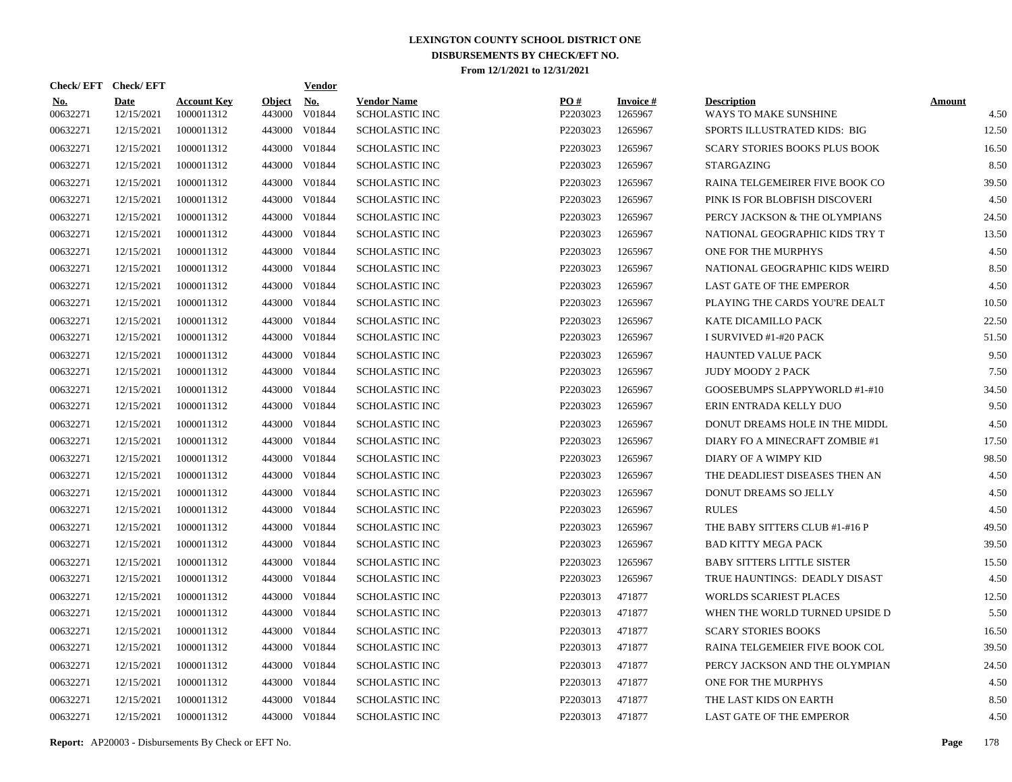| Check/EFT Check/EFT |                           |                                  |                         | <u>Vendor</u>        |                                      |                 |                            |                                             |                       |
|---------------------|---------------------------|----------------------------------|-------------------------|----------------------|--------------------------------------|-----------------|----------------------------|---------------------------------------------|-----------------------|
| No.<br>00632271     | <b>Date</b><br>12/15/2021 | <b>Account Key</b><br>1000011312 | <b>Object</b><br>443000 | <u>No.</u><br>V01844 | <b>Vendor Name</b><br>SCHOLASTIC INC | PQ#<br>P2203023 | <b>Invoice#</b><br>1265967 | <b>Description</b><br>WAYS TO MAKE SUNSHINE | <b>Amount</b><br>4.50 |
| 00632271            | 12/15/2021                | 1000011312                       | 443000                  | V01844               | <b>SCHOLASTIC INC</b>                | P2203023        | 1265967                    | SPORTS ILLUSTRATED KIDS: BIG                | 12.50                 |
| 00632271            | 12/15/2021                | 1000011312                       | 443000                  | V01844               | <b>SCHOLASTIC INC</b>                | P2203023        | 1265967                    | <b>SCARY STORIES BOOKS PLUS BOOK</b>        | 16.50                 |
| 00632271            | 12/15/2021                | 1000011312                       | 443000                  | V01844               | <b>SCHOLASTIC INC</b>                | P2203023        | 1265967                    | <b>STARGAZING</b>                           | 8.50                  |
| 00632271            | 12/15/2021                | 1000011312                       | 443000                  | V01844               | <b>SCHOLASTIC INC</b>                | P2203023        | 1265967                    | RAINA TELGEMEIRER FIVE BOOK CO              | 39.50                 |
| 00632271            | 12/15/2021                | 1000011312                       | 443000                  | V01844               | <b>SCHOLASTIC INC</b>                | P2203023        | 1265967                    | PINK IS FOR BLOBFISH DISCOVERI              | 4.50                  |
| 00632271            | 12/15/2021                | 1000011312                       | 443000                  | V01844               | <b>SCHOLASTIC INC</b>                | P2203023        | 1265967                    | PERCY JACKSON & THE OLYMPIANS               | 24.50                 |
| 00632271            | 12/15/2021                | 1000011312                       | 443000                  | V01844               | <b>SCHOLASTIC INC</b>                | P2203023        | 1265967                    | NATIONAL GEOGRAPHIC KIDS TRY T              | 13.50                 |
| 00632271            | 12/15/2021                | 1000011312                       | 443000                  | V01844               | <b>SCHOLASTIC INC</b>                | P2203023        | 1265967                    | ONE FOR THE MURPHYS                         | 4.50                  |
| 00632271            | 12/15/2021                | 1000011312                       | 443000                  | V01844               | <b>SCHOLASTIC INC</b>                | P2203023        | 1265967                    | NATIONAL GEOGRAPHIC KIDS WEIRD              | 8.50                  |
| 00632271            | 12/15/2021                | 1000011312                       | 443000                  | V01844               | <b>SCHOLASTIC INC</b>                | P2203023        | 1265967                    | <b>LAST GATE OF THE EMPEROR</b>             | 4.50                  |
| 00632271            | 12/15/2021                | 1000011312                       | 443000                  | V01844               | <b>SCHOLASTIC INC</b>                | P2203023        | 1265967                    | PLAYING THE CARDS YOU'RE DEALT              | 10.50                 |
| 00632271            | 12/15/2021                | 1000011312                       | 443000                  | V01844               | <b>SCHOLASTIC INC</b>                | P2203023        | 1265967                    | KATE DICAMILLO PACK                         | 22.50                 |
| 00632271            | 12/15/2021                | 1000011312                       | 443000                  | V01844               | <b>SCHOLASTIC INC</b>                | P2203023        | 1265967                    | I SURVIVED #1-#20 PACK                      | 51.50                 |
| 00632271            | 12/15/2021                | 1000011312                       | 443000                  | V01844               | <b>SCHOLASTIC INC</b>                | P2203023        | 1265967                    | <b>HAUNTED VALUE PACK</b>                   | 9.50                  |
| 00632271            | 12/15/2021                | 1000011312                       | 443000                  | V01844               | <b>SCHOLASTIC INC</b>                | P2203023        | 1265967                    | <b>JUDY MOODY 2 PACK</b>                    | 7.50                  |
| 00632271            | 12/15/2021                | 1000011312                       | 443000                  | V01844               | <b>SCHOLASTIC INC</b>                | P2203023        | 1265967                    | GOOSEBUMPS SLAPPYWORLD #1-#10               | 34.50                 |
| 00632271            | 12/15/2021                | 1000011312                       | 443000                  | V01844               | <b>SCHOLASTIC INC</b>                | P2203023        | 1265967                    | ERIN ENTRADA KELLY DUO                      | 9.50                  |
| 00632271            | 12/15/2021                | 1000011312                       | 443000                  | V01844               | <b>SCHOLASTIC INC</b>                | P2203023        | 1265967                    | DONUT DREAMS HOLE IN THE MIDDL              | 4.50                  |
| 00632271            | 12/15/2021                | 1000011312                       | 443000                  | V01844               | <b>SCHOLASTIC INC</b>                | P2203023        | 1265967                    | DIARY FO A MINECRAFT ZOMBIE #1              | 17.50                 |
| 00632271            | 12/15/2021                | 1000011312                       | 443000                  | V01844               | <b>SCHOLASTIC INC</b>                | P2203023        | 1265967                    | DIARY OF A WIMPY KID                        | 98.50                 |
| 00632271            | 12/15/2021                | 1000011312                       | 443000                  | V01844               | <b>SCHOLASTIC INC</b>                | P2203023        | 1265967                    | THE DEADLIEST DISEASES THEN AN              | 4.50                  |
| 00632271            | 12/15/2021                | 1000011312                       | 443000                  | V01844               | <b>SCHOLASTIC INC</b>                | P2203023        | 1265967                    | DONUT DREAMS SO JELLY                       | 4.50                  |
| 00632271            | 12/15/2021                | 1000011312                       | 443000                  | V01844               | <b>SCHOLASTIC INC</b>                | P2203023        | 1265967                    | <b>RULES</b>                                | 4.50                  |
| 00632271            | 12/15/2021                | 1000011312                       | 443000                  | V01844               | <b>SCHOLASTIC INC</b>                | P2203023        | 1265967                    | THE BABY SITTERS CLUB #1-#16 P              | 49.50                 |
| 00632271            | 12/15/2021                | 1000011312                       | 443000                  | V01844               | <b>SCHOLASTIC INC</b>                | P2203023        | 1265967                    | <b>BAD KITTY MEGA PACK</b>                  | 39.50                 |
| 00632271            | 12/15/2021                | 1000011312                       | 443000                  | V01844               | <b>SCHOLASTIC INC</b>                | P2203023        | 1265967                    | <b>BABY SITTERS LITTLE SISTER</b>           | 15.50                 |
| 00632271            | 12/15/2021                | 1000011312                       | 443000                  | V01844               | <b>SCHOLASTIC INC</b>                | P2203023        | 1265967                    | TRUE HAUNTINGS: DEADLY DISAST               | 4.50                  |
| 00632271            | 12/15/2021                | 1000011312                       | 443000                  | V01844               | <b>SCHOLASTIC INC</b>                | P2203013        | 471877                     | <b>WORLDS SCARIEST PLACES</b>               | 12.50                 |
| 00632271            | 12/15/2021                | 1000011312                       |                         | 443000 V01844        | <b>SCHOLASTIC INC</b>                | P2203013        | 471877                     | WHEN THE WORLD TURNED UPSIDE D              | 5.50                  |
| 00632271            | 12/15/2021                | 1000011312                       | 443000                  | V01844               | <b>SCHOLASTIC INC</b>                | P2203013        | 471877                     | <b>SCARY STORIES BOOKS</b>                  | 16.50                 |
| 00632271            | 12/15/2021                | 1000011312                       |                         | 443000 V01844        | <b>SCHOLASTIC INC</b>                | P2203013        | 471877                     | RAINA TELGEMEIER FIVE BOOK COL              | 39.50                 |
| 00632271            | 12/15/2021                | 1000011312                       | 443000                  | V01844               | <b>SCHOLASTIC INC</b>                | P2203013        | 471877                     | PERCY JACKSON AND THE OLYMPIAN              | 24.50                 |
| 00632271            | 12/15/2021                | 1000011312                       |                         | 443000 V01844        | <b>SCHOLASTIC INC</b>                | P2203013        | 471877                     | ONE FOR THE MURPHYS                         | 4.50                  |
| 00632271            | 12/15/2021                | 1000011312                       | 443000                  | V01844               | <b>SCHOLASTIC INC</b>                | P2203013        | 471877                     | THE LAST KIDS ON EARTH                      | 8.50                  |
| 00632271            | 12/15/2021                | 1000011312                       |                         | 443000 V01844        | <b>SCHOLASTIC INC</b>                | P2203013        | 471877                     | <b>LAST GATE OF THE EMPEROR</b>             | 4.50                  |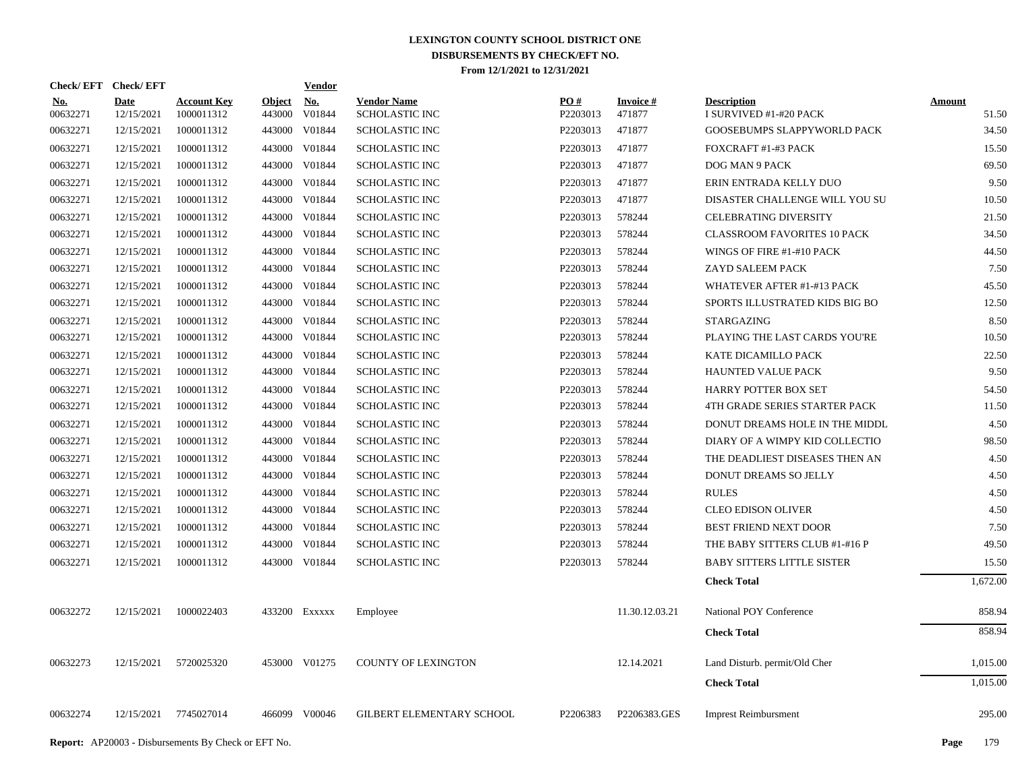| Check/EFT Check/EFT    |                           |                                  |                         | <b>Vendor</b>        |                                             |                               |                           |                                              |                        |
|------------------------|---------------------------|----------------------------------|-------------------------|----------------------|---------------------------------------------|-------------------------------|---------------------------|----------------------------------------------|------------------------|
| <u>No.</u><br>00632271 | <b>Date</b><br>12/15/2021 | <b>Account Key</b><br>1000011312 | <b>Object</b><br>443000 | <u>No.</u><br>V01844 | <b>Vendor Name</b><br><b>SCHOLASTIC INC</b> | $\underline{PO#}$<br>P2203013 | <b>Invoice#</b><br>471877 | <b>Description</b><br>I SURVIVED #1-#20 PACK | <b>Amount</b><br>51.50 |
| 00632271               | 12/15/2021                | 1000011312                       | 443000                  | V01844               | <b>SCHOLASTIC INC</b>                       | P2203013                      | 471877                    | GOOSEBUMPS SLAPPYWORLD PACK                  | 34.50                  |
| 00632271               | 12/15/2021                | 1000011312                       | 443000                  | V01844               | <b>SCHOLASTIC INC</b>                       | P2203013                      | 471877                    | FOXCRAFT #1-#3 PACK                          | 15.50                  |
| 00632271               | 12/15/2021                | 1000011312                       | 443000                  | V01844               | <b>SCHOLASTIC INC</b>                       | P2203013                      | 471877                    | DOG MAN 9 PACK                               | 69.50                  |
| 00632271               | 12/15/2021                | 1000011312                       | 443000                  | V01844               | <b>SCHOLASTIC INC</b>                       | P2203013                      | 471877                    | ERIN ENTRADA KELLY DUO                       | 9.50                   |
| 00632271               | 12/15/2021                | 1000011312                       | 443000                  | V01844               | <b>SCHOLASTIC INC</b>                       | P2203013                      | 471877                    | DISASTER CHALLENGE WILL YOU SU               | 10.50                  |
| 00632271               | 12/15/2021                | 1000011312                       | 443000                  | V01844               | <b>SCHOLASTIC INC</b>                       | P2203013                      | 578244                    | CELEBRATING DIVERSITY                        | 21.50                  |
| 00632271               | 12/15/2021                | 1000011312                       | 443000                  | V01844               | <b>SCHOLASTIC INC</b>                       | P2203013                      | 578244                    | CLASSROOM FAVORITES 10 PACK                  | 34.50                  |
| 00632271               | 12/15/2021                | 1000011312                       | 443000                  | V01844               | <b>SCHOLASTIC INC</b>                       | P2203013                      | 578244                    | WINGS OF FIRE #1-#10 PACK                    | 44.50                  |
| 00632271               | 12/15/2021                | 1000011312                       | 443000                  | V01844               | <b>SCHOLASTIC INC</b>                       | P2203013                      | 578244                    | ZAYD SALEEM PACK                             | 7.50                   |
| 00632271               | 12/15/2021                | 1000011312                       | 443000                  | V01844               | <b>SCHOLASTIC INC</b>                       | P2203013                      | 578244                    | WHATEVER AFTER #1-#13 PACK                   | 45.50                  |
| 00632271               | 12/15/2021                | 1000011312                       | 443000                  | V01844               | <b>SCHOLASTIC INC</b>                       | P2203013                      | 578244                    | SPORTS ILLUSTRATED KIDS BIG BO               | 12.50                  |
| 00632271               | 12/15/2021                | 1000011312                       | 443000                  | V01844               | <b>SCHOLASTIC INC</b>                       | P2203013                      | 578244                    | STARGAZING                                   | 8.50                   |
| 00632271               | 12/15/2021                | 1000011312                       |                         | 443000 V01844        | <b>SCHOLASTIC INC</b>                       | P2203013                      | 578244                    | PLAYING THE LAST CARDS YOU'RE                | 10.50                  |
| 00632271               | 12/15/2021                | 1000011312                       |                         | 443000 V01844        | <b>SCHOLASTIC INC</b>                       | P2203013                      | 578244                    | KATE DICAMILLO PACK                          | 22.50                  |
| 00632271               | 12/15/2021                | 1000011312                       |                         | 443000 V01844        | <b>SCHOLASTIC INC</b>                       | P2203013                      | 578244                    | HAUNTED VALUE PACK                           | 9.50                   |
| 00632271               | 12/15/2021                | 1000011312                       |                         | 443000 V01844        | <b>SCHOLASTIC INC</b>                       | P2203013                      | 578244                    | HARRY POTTER BOX SET                         | 54.50                  |
| 00632271               | 12/15/2021                | 1000011312                       |                         | 443000 V01844        | <b>SCHOLASTIC INC</b>                       | P2203013                      | 578244                    | 4TH GRADE SERIES STARTER PACK                | 11.50                  |
| 00632271               | 12/15/2021                | 1000011312                       |                         | 443000 V01844        | <b>SCHOLASTIC INC</b>                       | P2203013                      | 578244                    | DONUT DREAMS HOLE IN THE MIDDL               | 4.50                   |
| 00632271               | 12/15/2021                | 1000011312                       |                         | 443000 V01844        | <b>SCHOLASTIC INC</b>                       | P2203013                      | 578244                    | DIARY OF A WIMPY KID COLLECTIO               | 98.50                  |
| 00632271               | 12/15/2021                | 1000011312                       |                         | 443000 V01844        | <b>SCHOLASTIC INC</b>                       | P2203013                      | 578244                    | THE DEADLIEST DISEASES THEN AN               | 4.50                   |
| 00632271               | 12/15/2021                | 1000011312                       |                         | 443000 V01844        | <b>SCHOLASTIC INC</b>                       | P2203013                      | 578244                    | DONUT DREAMS SO JELLY                        | 4.50                   |
| 00632271               | 12/15/2021                | 1000011312                       |                         | 443000 V01844        | SCHOLASTIC INC                              | P2203013                      | 578244                    | <b>RULES</b>                                 | 4.50                   |
| 00632271               | 12/15/2021                | 1000011312                       |                         | 443000 V01844        | <b>SCHOLASTIC INC</b>                       | P2203013                      | 578244                    | <b>CLEO EDISON OLIVER</b>                    | 4.50                   |
| 00632271               | 12/15/2021                | 1000011312                       |                         | 443000 V01844        | <b>SCHOLASTIC INC</b>                       | P2203013                      | 578244                    | BEST FRIEND NEXT DOOR                        | 7.50                   |
| 00632271               | 12/15/2021                | 1000011312                       | 443000                  | V01844               | <b>SCHOLASTIC INC</b>                       | P2203013                      | 578244                    | THE BABY SITTERS CLUB #1-#16 P               | 49.50                  |
| 00632271               | 12/15/2021                | 1000011312                       |                         | 443000 V01844        | SCHOLASTIC INC                              | P2203013                      | 578244                    | <b>BABY SITTERS LITTLE SISTER</b>            | 15.50                  |
|                        |                           |                                  |                         |                      |                                             |                               |                           | <b>Check Total</b>                           | 1,672.00               |
| 00632272               | 12/15/2021                | 1000022403                       |                         | 433200 Exxxxx        | Employee                                    |                               | 11.30.12.03.21            | National POY Conference                      | 858.94                 |
|                        |                           |                                  |                         |                      |                                             |                               |                           | <b>Check Total</b>                           | 858.94                 |
| 00632273               | 12/15/2021                | 5720025320                       |                         | 453000 V01275        | <b>COUNTY OF LEXINGTON</b>                  |                               | 12.14.2021                | Land Disturb. permit/Old Cher                | 1,015.00               |
|                        |                           |                                  |                         |                      |                                             |                               |                           | <b>Check Total</b>                           | 1,015.00               |
| 00632274               | 12/15/2021                | 7745027014                       |                         | 466099 V00046        | GILBERT ELEMENTARY SCHOOL                   | P2206383                      | P2206383.GES              | <b>Imprest Reimbursment</b>                  | 295.00                 |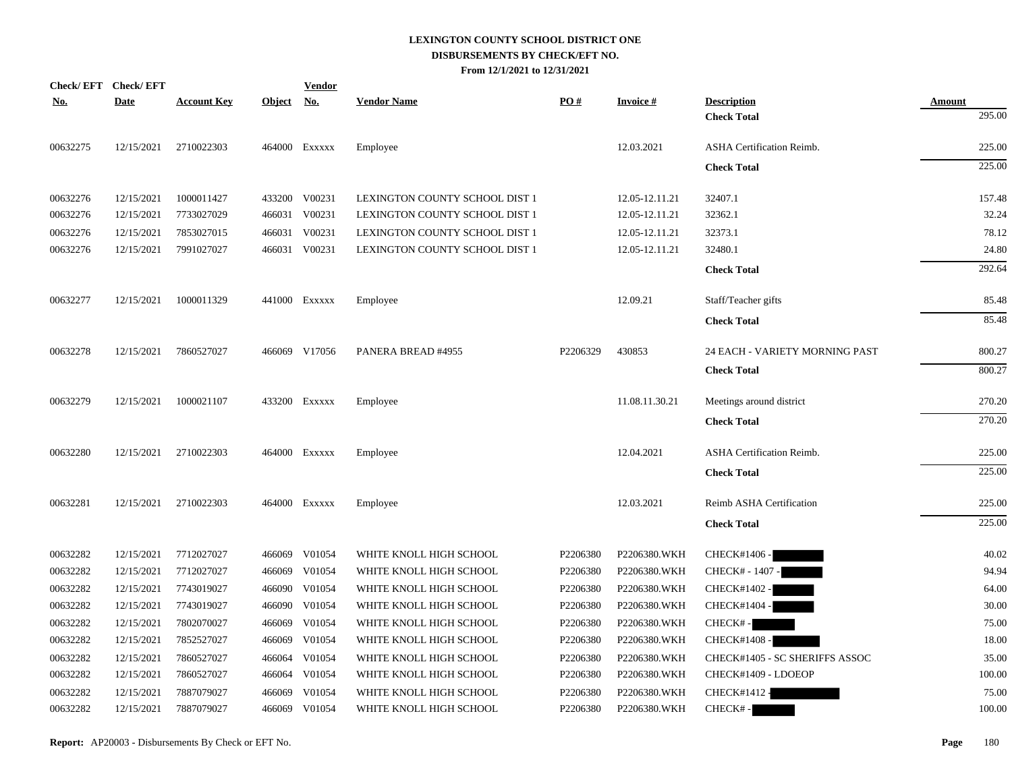| <b>Check/EFT</b> | <b>Check/EFT</b> |                    |               | <b>Vendor</b> |                                |          |                 |                                  |        |
|------------------|------------------|--------------------|---------------|---------------|--------------------------------|----------|-----------------|----------------------------------|--------|
| <u>No.</u>       | <b>Date</b>      | <b>Account Key</b> | <u>Object</u> | <u>No.</u>    | <b>Vendor Name</b>             | PO#      | <b>Invoice#</b> | <b>Description</b>               | Amount |
|                  |                  |                    |               |               |                                |          |                 | <b>Check Total</b>               | 295.00 |
| 00632275         | 12/15/2021       | 2710022303         |               | 464000 Exxxxx | Employee                       |          | 12.03.2021      | ASHA Certification Reimb.        | 225.00 |
|                  |                  |                    |               |               |                                |          |                 | <b>Check Total</b>               | 225.00 |
| 00632276         | 12/15/2021       | 1000011427         |               | 433200 V00231 | LEXINGTON COUNTY SCHOOL DIST 1 |          | 12.05-12.11.21  | 32407.1                          | 157.48 |
| 00632276         | 12/15/2021       | 7733027029         | 466031        | V00231        | LEXINGTON COUNTY SCHOOL DIST 1 |          | 12.05-12.11.21  | 32362.1                          | 32.24  |
| 00632276         | 12/15/2021       | 7853027015         | 466031        | V00231        | LEXINGTON COUNTY SCHOOL DIST 1 |          | 12.05-12.11.21  | 32373.1                          | 78.12  |
| 00632276         | 12/15/2021       | 7991027027         |               | 466031 V00231 | LEXINGTON COUNTY SCHOOL DIST 1 |          | 12.05-12.11.21  | 32480.1                          | 24.80  |
|                  |                  |                    |               |               |                                |          |                 | <b>Check Total</b>               | 292.64 |
| 00632277         | 12/15/2021       | 1000011329         |               | 441000 Exxxxx | Employee                       |          | 12.09.21        | Staff/Teacher gifts              | 85.48  |
|                  |                  |                    |               |               |                                |          |                 | <b>Check Total</b>               | 85.48  |
| 00632278         | 12/15/2021       | 7860527027         |               | 466069 V17056 | PANERA BREAD #4955             | P2206329 | 430853          | 24 EACH - VARIETY MORNING PAST   | 800.27 |
|                  |                  |                    |               |               |                                |          |                 | <b>Check Total</b>               | 800.27 |
| 00632279         | 12/15/2021       | 1000021107         |               | 433200 Exxxxx | Employee                       |          | 11.08.11.30.21  | Meetings around district         | 270.20 |
|                  |                  |                    |               |               |                                |          |                 | <b>Check Total</b>               | 270.20 |
| 00632280         | 12/15/2021       | 2710022303         |               | 464000 Exxxxx | Employee                       |          | 12.04.2021      | <b>ASHA Certification Reimb.</b> | 225.00 |
|                  |                  |                    |               |               |                                |          |                 | <b>Check Total</b>               | 225.00 |
| 00632281         | 12/15/2021       | 2710022303         |               | 464000 Exxxxx | Employee                       |          | 12.03.2021      | Reimb ASHA Certification         | 225.00 |
|                  |                  |                    |               |               |                                |          |                 | <b>Check Total</b>               | 225.00 |
| 00632282         | 12/15/2021       | 7712027027         |               | 466069 V01054 | WHITE KNOLL HIGH SCHOOL        | P2206380 | P2206380.WKH    | CHECK#1406 -                     | 40.02  |
| 00632282         | 12/15/2021       | 7712027027         | 466069        | V01054        | WHITE KNOLL HIGH SCHOOL        | P2206380 | P2206380.WKH    | CHECK# - 1407 -                  | 94.94  |
| 00632282         | 12/15/2021       | 7743019027         | 466090        | V01054        | WHITE KNOLL HIGH SCHOOL        | P2206380 | P2206380.WKH    | CHECK#1402 -                     | 64.00  |
| 00632282         | 12/15/2021       | 7743019027         | 466090        | V01054        | WHITE KNOLL HIGH SCHOOL        | P2206380 | P2206380.WKH    | CHECK#1404 -                     | 30.00  |
| 00632282         | 12/15/2021       | 7802070027         | 466069        | V01054        | WHITE KNOLL HIGH SCHOOL        | P2206380 | P2206380.WKH    | CHECK#-                          | 75.00  |
| 00632282         | 12/15/2021       | 7852527027         | 466069        | V01054        | WHITE KNOLL HIGH SCHOOL        | P2206380 | P2206380.WKH    | CHECK#1408 -                     | 18.00  |
| 00632282         | 12/15/2021       | 7860527027         | 466064        | V01054        | WHITE KNOLL HIGH SCHOOL        | P2206380 | P2206380.WKH    | CHECK#1405 - SC SHERIFFS ASSOC   | 35.00  |
| 00632282         | 12/15/2021       | 7860527027         | 466064        | V01054        | WHITE KNOLL HIGH SCHOOL        | P2206380 | P2206380.WKH    | CHECK#1409 - LDOEOP              | 100.00 |
| 00632282         | 12/15/2021       | 7887079027         | 466069        | V01054        | WHITE KNOLL HIGH SCHOOL        | P2206380 | P2206380.WKH    | CHECK#1412-                      | 75.00  |
| 00632282         | 12/15/2021       | 7887079027         |               | 466069 V01054 | WHITE KNOLL HIGH SCHOOL        | P2206380 | P2206380.WKH    | CHECK#-                          | 100.00 |
|                  |                  |                    |               |               |                                |          |                 |                                  |        |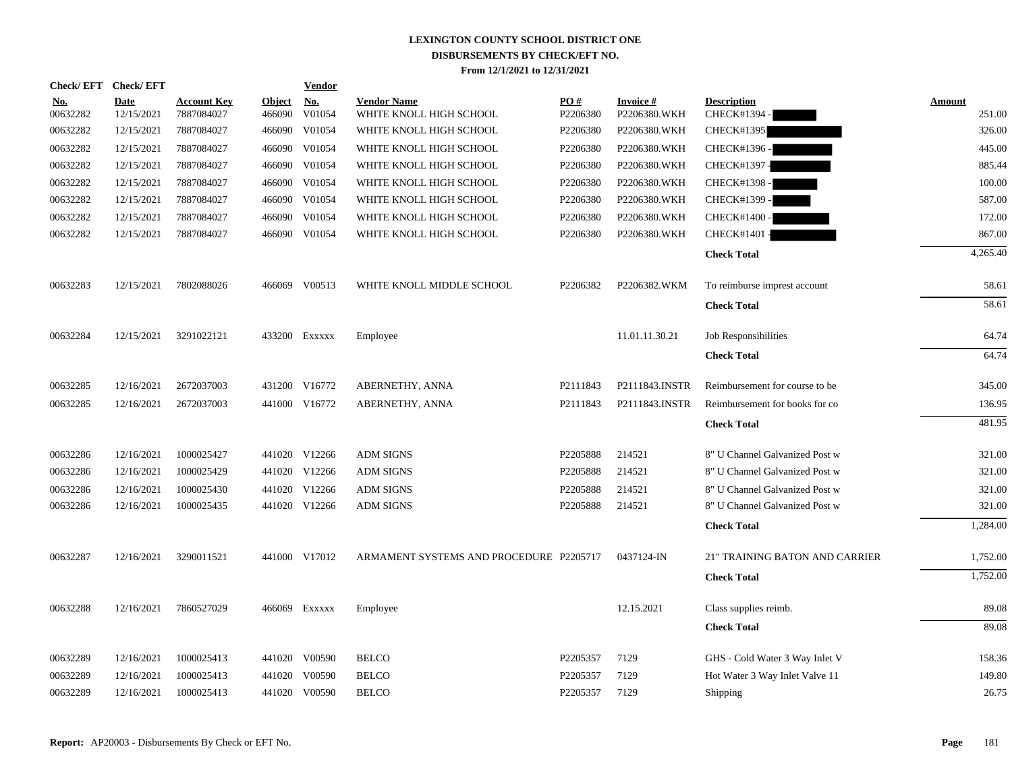| <b>Check/EFT</b> | <b>Check/EFT</b>          |                                  |                         | <b>Vendor</b> |                                               |                 |                           |                                  |                  |
|------------------|---------------------------|----------------------------------|-------------------------|---------------|-----------------------------------------------|-----------------|---------------------------|----------------------------------|------------------|
| No.<br>00632282  | <b>Date</b><br>12/15/2021 | <b>Account Key</b><br>7887084027 | <b>Object</b><br>466090 | No.<br>V01054 | <b>Vendor Name</b><br>WHITE KNOLL HIGH SCHOOL | PO#<br>P2206380 | Invoice #<br>P2206380.WKH | <b>Description</b><br>CHECK#1394 | Amount<br>251.00 |
| 00632282         | 12/15/2021                | 7887084027                       | 466090                  | V01054        | WHITE KNOLL HIGH SCHOOL                       | P2206380        | P2206380.WKH              | <b>CHECK#1395</b>                | 326.00           |
| 00632282         | 12/15/2021                | 7887084027                       | 466090                  | V01054        | WHITE KNOLL HIGH SCHOOL                       | P2206380        | P2206380.WKH              | CHECK#1396 -                     | 445.00           |
| 00632282         | 12/15/2021                | 7887084027                       | 466090                  | V01054        | WHITE KNOLL HIGH SCHOOL                       | P2206380        | P2206380.WKH              | CHECK#1397 -                     | 885.44           |
| 00632282         | 12/15/2021                | 7887084027                       | 466090                  | V01054        | WHITE KNOLL HIGH SCHOOL                       | P2206380        | P2206380.WKH              | CHECK#1398 -                     | 100.00           |
| 00632282         | 12/15/2021                | 7887084027                       | 466090                  | V01054        | WHITE KNOLL HIGH SCHOOL                       | P2206380        | P2206380.WKH              | CHECK#1399 -                     | 587.00           |
| 00632282         | 12/15/2021                | 7887084027                       | 466090                  | V01054        | WHITE KNOLL HIGH SCHOOL                       | P2206380        | P2206380.WKH              | CHECK#1400 -                     | 172.00           |
| 00632282         | 12/15/2021                | 7887084027                       |                         | 466090 V01054 | WHITE KNOLL HIGH SCHOOL                       | P2206380        | P2206380.WKH              | CHECK#1401                       | 867.00           |
|                  |                           |                                  |                         |               |                                               |                 |                           | <b>Check Total</b>               | 4,265.40         |
| 00632283         | 12/15/2021                | 7802088026                       |                         | 466069 V00513 | WHITE KNOLL MIDDLE SCHOOL                     | P2206382        | P2206382.WKM              | To reimburse imprest account     | 58.61            |
|                  |                           |                                  |                         |               |                                               |                 |                           | <b>Check Total</b>               | 58.61            |
| 00632284         | 12/15/2021                | 3291022121                       | 433200                  | EXXXXX        | Employee                                      |                 | 11.01.11.30.21            | Job Responsibilities             | 64.74            |
|                  |                           |                                  |                         |               |                                               |                 |                           | <b>Check Total</b>               | 64.74            |
| 00632285         | 12/16/2021                | 2672037003                       |                         | 431200 V16772 | ABERNETHY, ANNA                               | P2111843        | P2111843.INSTR            | Reimbursement for course to be   | 345.00           |
| 00632285         | 12/16/2021                | 2672037003                       |                         | 441000 V16772 | ABERNETHY, ANNA                               | P2111843        | P2111843.INSTR            | Reimbursement for books for co   | 136.95           |
|                  |                           |                                  |                         |               |                                               |                 |                           | <b>Check Total</b>               | 481.95           |
| 00632286         | 12/16/2021                | 1000025427                       |                         | 441020 V12266 | <b>ADM SIGNS</b>                              | P2205888        | 214521                    | 8" U Channel Galvanized Post w   | 321.00           |
| 00632286         | 12/16/2021                | 1000025429                       |                         | 441020 V12266 | <b>ADM SIGNS</b>                              | P2205888        | 214521                    | 8" U Channel Galvanized Post w   | 321.00           |
| 00632286         | 12/16/2021                | 1000025430                       | 441020                  | V12266        | <b>ADM SIGNS</b>                              | P2205888        | 214521                    | 8" U Channel Galvanized Post w   | 321.00           |
| 00632286         | 12/16/2021                | 1000025435                       |                         | 441020 V12266 | <b>ADM SIGNS</b>                              | P2205888        | 214521                    | 8" U Channel Galvanized Post w   | 321.00           |
|                  |                           |                                  |                         |               |                                               |                 |                           | <b>Check Total</b>               | 1,284.00         |
| 00632287         | 12/16/2021                | 3290011521                       |                         | 441000 V17012 | ARMAMENT SYSTEMS AND PROCEDURE P2205717       |                 | 0437124-IN                | 21" TRAINING BATON AND CARRIER   | 1,752.00         |
|                  |                           |                                  |                         |               |                                               |                 |                           | <b>Check Total</b>               | 1,752.00         |
| 00632288         | 12/16/2021                | 7860527029                       |                         | 466069 Exxxxx | Employee                                      |                 | 12.15.2021                | Class supplies reimb.            | 89.08            |
|                  |                           |                                  |                         |               |                                               |                 |                           | <b>Check Total</b>               | 89.08            |
| 00632289         | 12/16/2021                | 1000025413                       |                         | 441020 V00590 | <b>BELCO</b>                                  | P2205357        | 7129                      | GHS - Cold Water 3 Way Inlet V   | 158.36           |
| 00632289         | 12/16/2021                | 1000025413                       | 441020                  | V00590        | <b>BELCO</b>                                  | P2205357        | 7129                      | Hot Water 3 Way Inlet Valve 11   | 149.80           |
| 00632289         | 12/16/2021                | 1000025413                       |                         | 441020 V00590 | <b>BELCO</b>                                  | P2205357        | 7129                      | Shipping                         | 26.75            |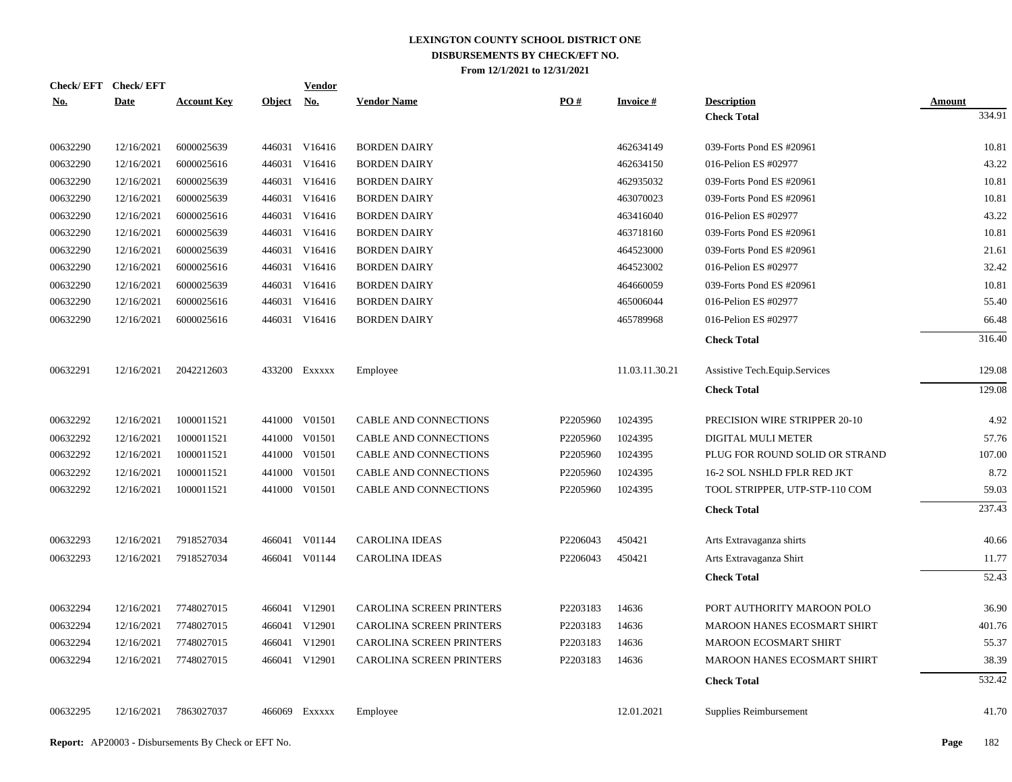| <b>Check/EFT</b> | <b>Check/EFT</b> |                    |               | <u>Vendor</u> |                          |          |                 |                                    |               |
|------------------|------------------|--------------------|---------------|---------------|--------------------------|----------|-----------------|------------------------------------|---------------|
| <u>No.</u>       | <b>Date</b>      | <b>Account Key</b> | <b>Object</b> | No.           | <b>Vendor Name</b>       | PO#      | <b>Invoice#</b> | <b>Description</b>                 | <b>Amount</b> |
|                  |                  |                    |               |               |                          |          |                 | <b>Check Total</b>                 | 334.91        |
| 00632290         | 12/16/2021       | 6000025639         |               | 446031 V16416 | <b>BORDEN DAIRY</b>      |          | 462634149       | 039-Forts Pond ES #20961           | 10.81         |
| 00632290         | 12/16/2021       | 6000025616         |               | 446031 V16416 | <b>BORDEN DAIRY</b>      |          | 462634150       | 016-Pelion ES #02977               | 43.22         |
| 00632290         | 12/16/2021       | 6000025639         |               | 446031 V16416 | <b>BORDEN DAIRY</b>      |          | 462935032       | 039-Forts Pond ES #20961           | 10.81         |
| 00632290         | 12/16/2021       | 6000025639         |               | 446031 V16416 | <b>BORDEN DAIRY</b>      |          | 463070023       | 039-Forts Pond ES #20961           | 10.81         |
| 00632290         | 12/16/2021       | 6000025616         |               | 446031 V16416 | <b>BORDEN DAIRY</b>      |          | 463416040       | 016-Pelion ES #02977               | 43.22         |
| 00632290         | 12/16/2021       | 6000025639         |               | 446031 V16416 | <b>BORDEN DAIRY</b>      |          | 463718160       | 039-Forts Pond ES #20961           | 10.81         |
| 00632290         | 12/16/2021       | 6000025639         |               | 446031 V16416 | <b>BORDEN DAIRY</b>      |          | 464523000       | 039-Forts Pond ES #20961           | 21.61         |
| 00632290         | 12/16/2021       | 6000025616         |               | 446031 V16416 | <b>BORDEN DAIRY</b>      |          | 464523002       | 016-Pelion ES #02977               | 32.42         |
| 00632290         | 12/16/2021       | 6000025639         |               | 446031 V16416 | <b>BORDEN DAIRY</b>      |          | 464660059       | 039-Forts Pond ES #20961           | 10.81         |
| 00632290         | 12/16/2021       | 6000025616         |               | 446031 V16416 | <b>BORDEN DAIRY</b>      |          | 465006044       | 016-Pelion ES #02977               | 55.40         |
| 00632290         | 12/16/2021       | 6000025616         |               | 446031 V16416 | <b>BORDEN DAIRY</b>      |          | 465789968       | 016-Pelion ES #02977               | 66.48         |
|                  |                  |                    |               |               |                          |          |                 | <b>Check Total</b>                 | 316.40        |
| 00632291         | 12/16/2021       | 2042212603         |               | 433200 EXXXXX | Employee                 |          | 11.03.11.30.21  | Assistive Tech. Equip. Services    | 129.08        |
|                  |                  |                    |               |               |                          |          |                 | <b>Check Total</b>                 | 129.08        |
|                  |                  |                    |               |               |                          |          |                 |                                    |               |
| 00632292         | 12/16/2021       | 1000011521         |               | 441000 V01501 | CABLE AND CONNECTIONS    | P2205960 | 1024395         | PRECISION WIRE STRIPPER 20-10      | 4.92          |
| 00632292         | 12/16/2021       | 1000011521         |               | 441000 V01501 | CABLE AND CONNECTIONS    | P2205960 | 1024395         | DIGITAL MULI METER                 | 57.76         |
| 00632292         | 12/16/2021       | 1000011521         |               | 441000 V01501 | CABLE AND CONNECTIONS    | P2205960 | 1024395         | PLUG FOR ROUND SOLID OR STRAND     | 107.00        |
| 00632292         | 12/16/2021       | 1000011521         |               | 441000 V01501 | CABLE AND CONNECTIONS    | P2205960 | 1024395         | 16-2 SOL NSHLD FPLR RED JKT        | 8.72          |
| 00632292         | 12/16/2021       | 1000011521         |               | 441000 V01501 | CABLE AND CONNECTIONS    | P2205960 | 1024395         | TOOL STRIPPER, UTP-STP-110 COM     | 59.03         |
|                  |                  |                    |               |               |                          |          |                 | <b>Check Total</b>                 | 237.43        |
| 00632293         | 12/16/2021       | 7918527034         |               | 466041 V01144 | <b>CAROLINA IDEAS</b>    | P2206043 | 450421          | Arts Extravaganza shirts           | 40.66         |
| 00632293         | 12/16/2021       | 7918527034         |               | 466041 V01144 | <b>CAROLINA IDEAS</b>    | P2206043 | 450421          | Arts Extravaganza Shirt            | 11.77         |
|                  |                  |                    |               |               |                          |          |                 | <b>Check Total</b>                 | 52.43         |
| 00632294         | 12/16/2021       | 7748027015         |               | 466041 V12901 | CAROLINA SCREEN PRINTERS | P2203183 | 14636           | PORT AUTHORITY MAROON POLO         | 36.90         |
| 00632294         | 12/16/2021       | 7748027015         |               | 466041 V12901 | CAROLINA SCREEN PRINTERS | P2203183 | 14636           | <b>MAROON HANES ECOSMART SHIRT</b> | 401.76        |
| 00632294         | 12/16/2021       | 7748027015         |               | 466041 V12901 | CAROLINA SCREEN PRINTERS | P2203183 | 14636           | <b>MAROON ECOSMART SHIRT</b>       | 55.37         |
| 00632294         | 12/16/2021       | 7748027015         |               | 466041 V12901 | CAROLINA SCREEN PRINTERS | P2203183 | 14636           | <b>MAROON HANES ECOSMART SHIRT</b> | 38.39         |
|                  |                  |                    |               |               |                          |          |                 | <b>Check Total</b>                 | 532.42        |
|                  |                  |                    |               |               |                          |          |                 |                                    |               |
| 00632295         | 12/16/2021       | 7863027037         |               | 466069 Exxxxx | Employee                 |          | 12.01.2021      | Supplies Reimbursement             | 41.70         |
|                  |                  |                    |               |               |                          |          |                 |                                    |               |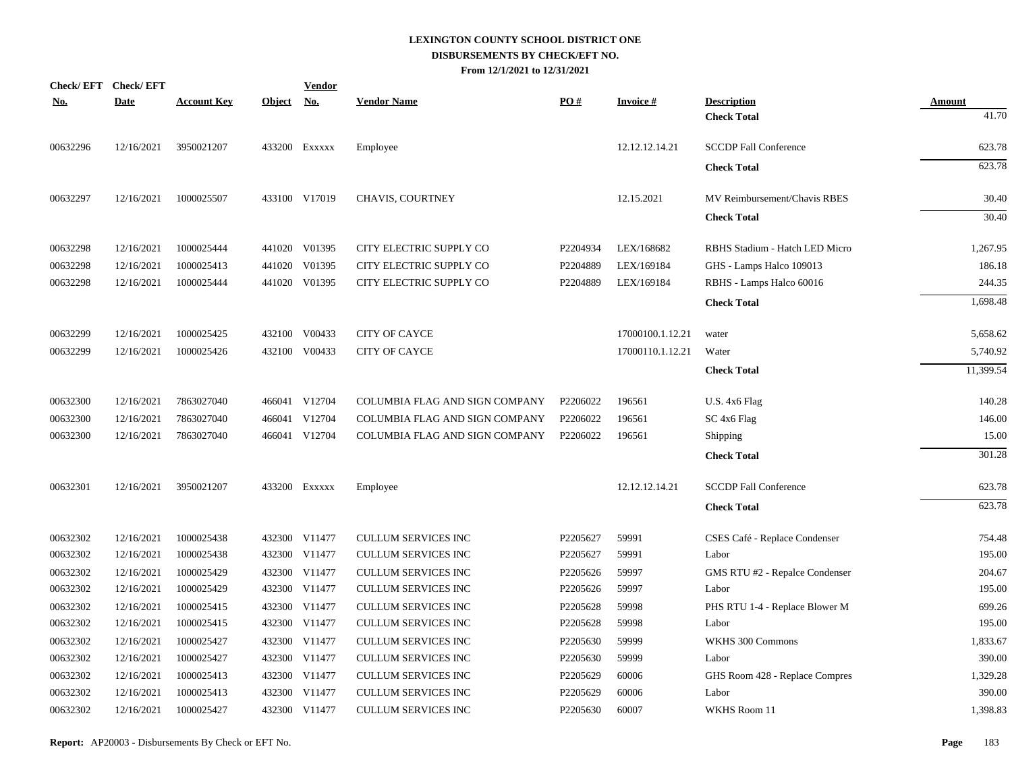| Check/EFT Check/EFT |             |                    |               | <b>Vendor</b>            |                                |          |                  |                                |                        |
|---------------------|-------------|--------------------|---------------|--------------------------|--------------------------------|----------|------------------|--------------------------------|------------------------|
| <u>No.</u>          | <b>Date</b> | <b>Account Key</b> | <b>Object</b> | $\mathbf{N}\mathbf{o}$ . | <b>Vendor Name</b>             | PO#      | <b>Invoice#</b>  | <b>Description</b>             | <b>Amount</b><br>41.70 |
|                     |             |                    |               |                          |                                |          |                  | <b>Check Total</b>             |                        |
| 00632296            | 12/16/2021  | 3950021207         |               | 433200 Exxxxx            | Employee                       |          | 12.12.12.14.21   | <b>SCCDP Fall Conference</b>   | 623.78                 |
|                     |             |                    |               |                          |                                |          |                  | <b>Check Total</b>             | 623.78                 |
| 00632297            | 12/16/2021  | 1000025507         |               | 433100 V17019            | <b>CHAVIS, COURTNEY</b>        |          | 12.15.2021       | MV Reimbursement/Chavis RBES   | 30.40                  |
|                     |             |                    |               |                          |                                |          |                  | <b>Check Total</b>             | 30.40                  |
| 00632298            | 12/16/2021  | 1000025444         |               | 441020 V01395            | CITY ELECTRIC SUPPLY CO        | P2204934 | LEX/168682       | RBHS Stadium - Hatch LED Micro | 1,267.95               |
| 00632298            | 12/16/2021  | 1000025413         |               | 441020 V01395            | CITY ELECTRIC SUPPLY CO        | P2204889 | LEX/169184       | GHS - Lamps Halco 109013       | 186.18                 |
| 00632298            | 12/16/2021  | 1000025444         |               | 441020 V01395            | CITY ELECTRIC SUPPLY CO        | P2204889 | LEX/169184       | RBHS - Lamps Halco 60016       | 244.35                 |
|                     |             |                    |               |                          |                                |          |                  | <b>Check Total</b>             | 1,698.48               |
| 00632299            | 12/16/2021  | 1000025425         |               | 432100 V00433            | <b>CITY OF CAYCE</b>           |          | 17000100.1.12.21 | water                          | 5,658.62               |
| 00632299            | 12/16/2021  | 1000025426         |               | 432100 V00433            | <b>CITY OF CAYCE</b>           |          | 17000110.1.12.21 | Water                          | 5,740.92               |
|                     |             |                    |               |                          |                                |          |                  | <b>Check Total</b>             | 11,399.54              |
| 00632300            | 12/16/2021  | 7863027040         |               | 466041 V12704            | COLUMBIA FLAG AND SIGN COMPANY | P2206022 | 196561           | $U.S. 4x6$ Flag                | 140.28                 |
| 00632300            | 12/16/2021  | 7863027040         |               | 466041 V12704            | COLUMBIA FLAG AND SIGN COMPANY | P2206022 | 196561           | SC 4x6 Flag                    | 146.00                 |
| 00632300            | 12/16/2021  | 7863027040         |               | 466041 V12704            | COLUMBIA FLAG AND SIGN COMPANY | P2206022 | 196561           | Shipping                       | 15.00                  |
|                     |             |                    |               |                          |                                |          |                  | <b>Check Total</b>             | 301.28                 |
| 00632301            | 12/16/2021  | 3950021207         |               | 433200 Exxxxx            | Employee                       |          | 12.12.12.14.21   | <b>SCCDP Fall Conference</b>   | 623.78                 |
|                     |             |                    |               |                          |                                |          |                  | <b>Check Total</b>             | 623.78                 |
| 00632302            | 12/16/2021  | 1000025438         |               | 432300 V11477            | <b>CULLUM SERVICES INC</b>     | P2205627 | 59991            | CSES Café - Replace Condenser  | 754.48                 |
| 00632302            | 12/16/2021  | 1000025438         |               | 432300 V11477            | <b>CULLUM SERVICES INC</b>     | P2205627 | 59991            | Labor                          | 195.00                 |
| 00632302            | 12/16/2021  | 1000025429         |               | 432300 V11477            | <b>CULLUM SERVICES INC</b>     | P2205626 | 59997            | GMS RTU #2 - Repalce Condenser | 204.67                 |
| 00632302            | 12/16/2021  | 1000025429         |               | 432300 V11477            | <b>CULLUM SERVICES INC</b>     | P2205626 | 59997            | Labor                          | 195.00                 |
| 00632302            | 12/16/2021  | 1000025415         |               | 432300 V11477            | <b>CULLUM SERVICES INC</b>     | P2205628 | 59998            | PHS RTU 1-4 - Replace Blower M | 699.26                 |
| 00632302            | 12/16/2021  | 1000025415         |               | 432300 V11477            | <b>CULLUM SERVICES INC</b>     | P2205628 | 59998            | Labor                          | 195.00                 |
| 00632302            | 12/16/2021  | 1000025427         |               | 432300 V11477            | <b>CULLUM SERVICES INC</b>     | P2205630 | 59999            | WKHS 300 Commons               | 1,833.67               |
| 00632302            | 12/16/2021  | 1000025427         |               | 432300 V11477            | <b>CULLUM SERVICES INC</b>     | P2205630 | 59999            | Labor                          | 390.00                 |
| 00632302            | 12/16/2021  | 1000025413         |               | 432300 V11477            | CULLUM SERVICES INC            | P2205629 | 60006            | GHS Room 428 - Replace Compres | 1,329.28               |
| 00632302            | 12/16/2021  | 1000025413         |               | 432300 V11477            | <b>CULLUM SERVICES INC</b>     | P2205629 | 60006            | Labor                          | 390.00                 |
| 00632302            | 12/16/2021  | 1000025427         |               | 432300 V11477            | <b>CULLUM SERVICES INC</b>     | P2205630 | 60007            | WKHS Room 11                   | 1,398.83               |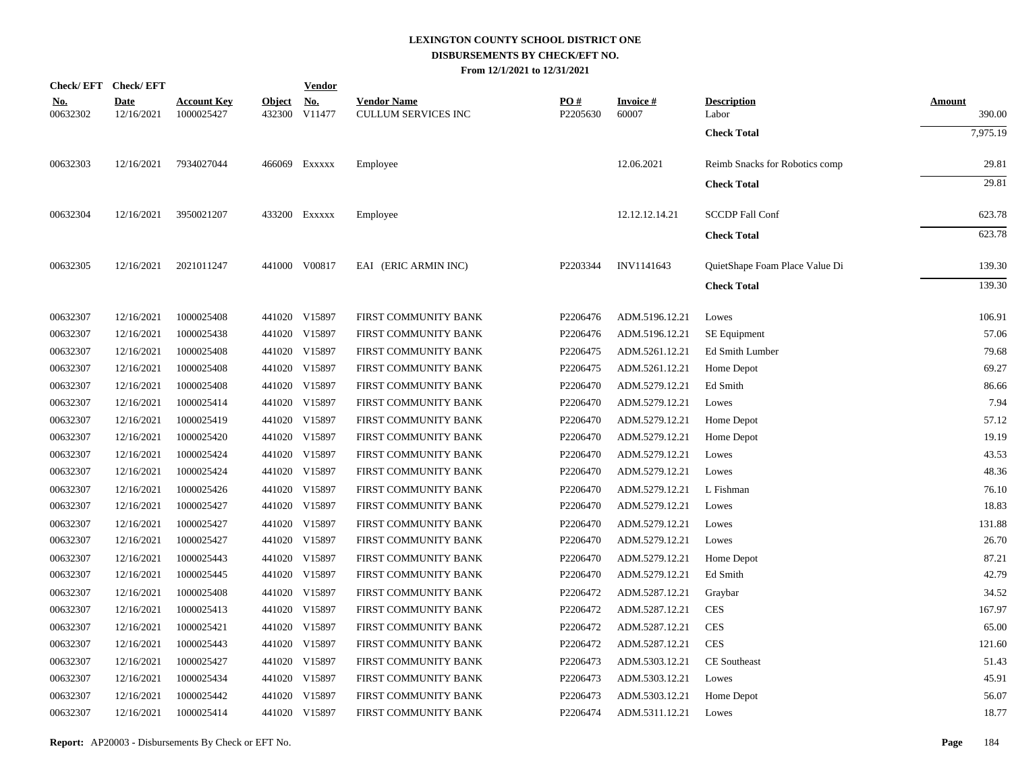|                        | Check/EFT Check/EFT       |                                  |               | <u>Vendor</u>                              |                                                  |                 |                    |                                |                         |
|------------------------|---------------------------|----------------------------------|---------------|--------------------------------------------|--------------------------------------------------|-----------------|--------------------|--------------------------------|-------------------------|
| <u>No.</u><br>00632302 | <b>Date</b><br>12/16/2021 | <b>Account Key</b><br>1000025427 | <b>Object</b> | $\underline{\mathrm{No}}$<br>432300 V11477 | <b>Vendor Name</b><br><b>CULLUM SERVICES INC</b> | PO#<br>P2205630 | Invoice #<br>60007 | <b>Description</b><br>Labor    | <b>Amount</b><br>390.00 |
|                        |                           |                                  |               |                                            |                                                  |                 |                    | <b>Check Total</b>             | 7,975.19                |
| 00632303               | 12/16/2021                | 7934027044                       |               | 466069 Exxxxx                              | Employee                                         |                 | 12.06.2021         | Reimb Snacks for Robotics comp | 29.81                   |
|                        |                           |                                  |               |                                            |                                                  |                 |                    | <b>Check Total</b>             | 29.81                   |
| 00632304               | 12/16/2021                | 3950021207                       |               | 433200 EXXXXX                              | Employee                                         |                 | 12.12.12.14.21     | <b>SCCDP Fall Conf</b>         | 623.78                  |
|                        |                           |                                  |               |                                            |                                                  |                 |                    | <b>Check Total</b>             | 623.78                  |
| 00632305               | 12/16/2021                | 2021011247                       |               | 441000 V00817                              | EAI (ERIC ARMIN INC)                             | P2203344        | INV1141643         | QuietShape Foam Place Value Di | 139.30                  |
|                        |                           |                                  |               |                                            |                                                  |                 |                    | <b>Check Total</b>             | 139.30                  |
| 00632307               | 12/16/2021                | 1000025408                       |               | 441020 V15897                              | FIRST COMMUNITY BANK                             | P2206476        | ADM.5196.12.21     | Lowes                          | 106.91                  |
| 00632307               | 12/16/2021                | 1000025438                       |               | 441020 V15897                              | FIRST COMMUNITY BANK                             | P2206476        | ADM.5196.12.21     | SE Equipment                   | 57.06                   |
| 00632307               | 12/16/2021                | 1000025408                       |               | 441020 V15897                              | FIRST COMMUNITY BANK                             | P2206475        | ADM.5261.12.21     | Ed Smith Lumber                | 79.68                   |
| 00632307               | 12/16/2021                | 1000025408                       |               | 441020 V15897                              | FIRST COMMUNITY BANK                             | P2206475        | ADM.5261.12.21     | Home Depot                     | 69.27                   |
| 00632307               | 12/16/2021                | 1000025408                       |               | 441020 V15897                              | FIRST COMMUNITY BANK                             | P2206470        | ADM.5279.12.21     | Ed Smith                       | 86.66                   |
| 00632307               | 12/16/2021                | 1000025414                       |               | 441020 V15897                              | FIRST COMMUNITY BANK                             | P2206470        | ADM.5279.12.21     | Lowes                          | 7.94                    |
| 00632307               | 12/16/2021                | 1000025419                       |               | 441020 V15897                              | FIRST COMMUNITY BANK                             | P2206470        | ADM.5279.12.21     | Home Depot                     | 57.12                   |
| 00632307               | 12/16/2021                | 1000025420                       |               | 441020 V15897                              | FIRST COMMUNITY BANK                             | P2206470        | ADM.5279.12.21     | Home Depot                     | 19.19                   |
| 00632307               | 12/16/2021                | 1000025424                       |               | 441020 V15897                              | FIRST COMMUNITY BANK                             | P2206470        | ADM.5279.12.21     | Lowes                          | 43.53                   |
| 00632307               | 12/16/2021                | 1000025424                       |               | 441020 V15897                              | FIRST COMMUNITY BANK                             | P2206470        | ADM.5279.12.21     | Lowes                          | 48.36                   |
| 00632307               | 12/16/2021                | 1000025426                       |               | 441020 V15897                              | FIRST COMMUNITY BANK                             | P2206470        | ADM.5279.12.21     | L Fishman                      | 76.10                   |
| 00632307               | 12/16/2021                | 1000025427                       |               | 441020 V15897                              | FIRST COMMUNITY BANK                             | P2206470        | ADM.5279.12.21     | Lowes                          | 18.83                   |
| 00632307               | 12/16/2021                | 1000025427                       |               | 441020 V15897                              | FIRST COMMUNITY BANK                             | P2206470        | ADM.5279.12.21     | Lowes                          | 131.88                  |
| 00632307               | 12/16/2021                | 1000025427                       |               | 441020 V15897                              | FIRST COMMUNITY BANK                             | P2206470        | ADM.5279.12.21     | Lowes                          | 26.70                   |
| 00632307               | 12/16/2021                | 1000025443                       |               | 441020 V15897                              | FIRST COMMUNITY BANK                             | P2206470        | ADM.5279.12.21     | Home Depot                     | 87.21                   |
| 00632307               | 12/16/2021                | 1000025445                       |               | 441020 V15897                              | FIRST COMMUNITY BANK                             | P2206470        | ADM.5279.12.21     | Ed Smith                       | 42.79                   |
| 00632307               | 12/16/2021                | 1000025408                       |               | 441020 V15897                              | FIRST COMMUNITY BANK                             | P2206472        | ADM.5287.12.21     | Graybar                        | 34.52                   |
| 00632307               | 12/16/2021                | 1000025413                       |               | 441020 V15897                              | FIRST COMMUNITY BANK                             | P2206472        | ADM.5287.12.21     | <b>CES</b>                     | 167.97                  |
| 00632307               | 12/16/2021                | 1000025421                       |               | 441020 V15897                              | FIRST COMMUNITY BANK                             | P2206472        | ADM.5287.12.21     | <b>CES</b>                     | 65.00                   |
| 00632307               | 12/16/2021                | 1000025443                       |               | 441020 V15897                              | FIRST COMMUNITY BANK                             | P2206472        | ADM.5287.12.21     | <b>CES</b>                     | 121.60                  |
| 00632307               | 12/16/2021                | 1000025427                       |               | 441020 V15897                              | FIRST COMMUNITY BANK                             | P2206473        | ADM.5303.12.21     | CE Southeast                   | 51.43                   |
| 00632307               | 12/16/2021                | 1000025434                       |               | 441020 V15897                              | FIRST COMMUNITY BANK                             | P2206473        | ADM.5303.12.21     | Lowes                          | 45.91                   |
| 00632307               | 12/16/2021                | 1000025442                       |               | 441020 V15897                              | FIRST COMMUNITY BANK                             | P2206473        | ADM.5303.12.21     | Home Depot                     | 56.07                   |
| 00632307               | 12/16/2021                | 1000025414                       |               | 441020 V15897                              | FIRST COMMUNITY BANK                             | P2206474        | ADM.5311.12.21     | Lowes                          | 18.77                   |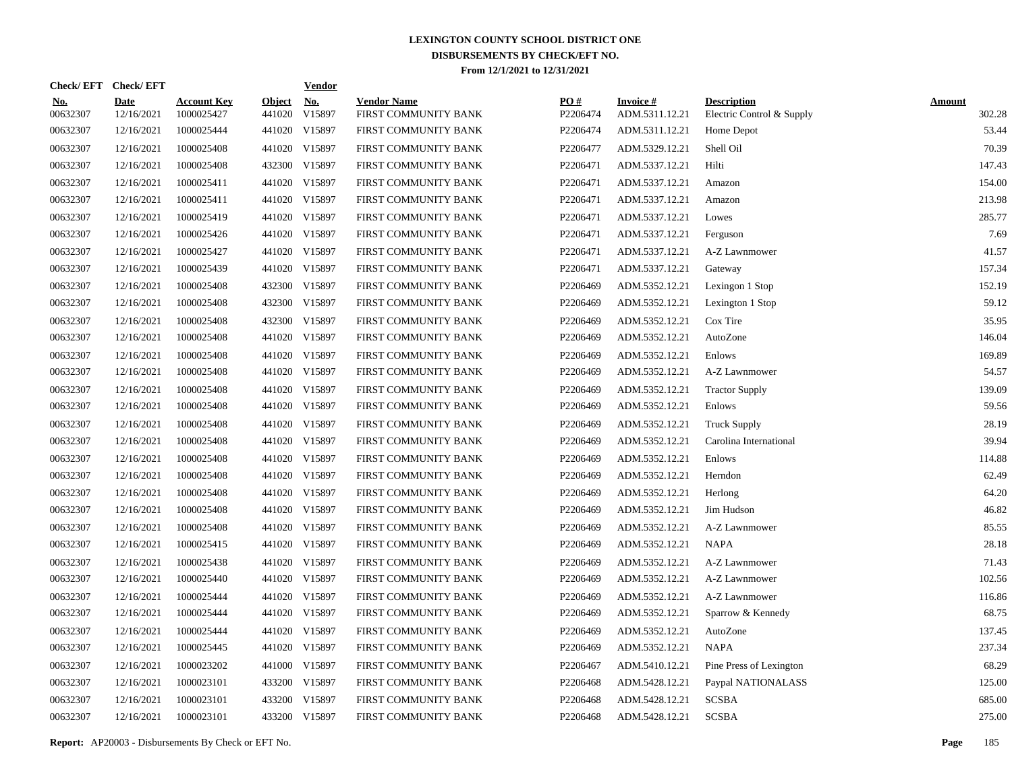|                        | Check/EFT Check/EFT       |                                  |                         | <b>Vendor</b>                         |                                            |                 |                                    |                                                 |                         |
|------------------------|---------------------------|----------------------------------|-------------------------|---------------------------------------|--------------------------------------------|-----------------|------------------------------------|-------------------------------------------------|-------------------------|
| <u>No.</u><br>00632307 | <b>Date</b><br>12/16/2021 | <b>Account Key</b><br>1000025427 | <b>Object</b><br>441020 | $\underline{\mathrm{No}}$ .<br>V15897 | <b>Vendor Name</b><br>FIRST COMMUNITY BANK | PO#<br>P2206474 | <b>Invoice #</b><br>ADM.5311.12.21 | <b>Description</b><br>Electric Control & Supply | <b>Amount</b><br>302.28 |
| 00632307               | 12/16/2021                | 1000025444                       |                         | 441020 V15897                         | FIRST COMMUNITY BANK                       | P2206474        | ADM.5311.12.21                     | Home Depot                                      | 53.44                   |
| 00632307               | 12/16/2021                | 1000025408                       |                         | 441020 V15897                         | FIRST COMMUNITY BANK                       | P2206477        | ADM.5329.12.21                     | Shell Oil                                       | 70.39                   |
| 00632307               | 12/16/2021                | 1000025408                       |                         | 432300 V15897                         | FIRST COMMUNITY BANK                       | P2206471        | ADM.5337.12.21                     | Hilti                                           | 147.43                  |
| 00632307               | 12/16/2021                | 1000025411                       |                         | 441020 V15897                         | FIRST COMMUNITY BANK                       | P2206471        | ADM.5337.12.21                     | Amazon                                          | 154.00                  |
| 00632307               | 12/16/2021                | 1000025411                       |                         | 441020 V15897                         | FIRST COMMUNITY BANK                       | P2206471        | ADM.5337.12.21                     | Amazon                                          | 213.98                  |
| 00632307               | 12/16/2021                | 1000025419                       |                         | 441020 V15897                         | FIRST COMMUNITY BANK                       | P2206471        | ADM.5337.12.21                     | Lowes                                           | 285.77                  |
| 00632307               | 12/16/2021                | 1000025426                       |                         | 441020 V15897                         | FIRST COMMUNITY BANK                       | P2206471        | ADM.5337.12.21                     | Ferguson                                        | 7.69                    |
| 00632307               | 12/16/2021                | 1000025427                       |                         | 441020 V15897                         | FIRST COMMUNITY BANK                       | P2206471        | ADM.5337.12.21                     | A-Z Lawnmower                                   | 41.57                   |
| 00632307               | 12/16/2021                | 1000025439                       |                         | 441020 V15897                         | FIRST COMMUNITY BANK                       | P2206471        | ADM.5337.12.21                     | Gateway                                         | 157.34                  |
| 00632307               | 12/16/2021                | 1000025408                       |                         | 432300 V15897                         | FIRST COMMUNITY BANK                       | P2206469        | ADM.5352.12.21                     | Lexingon 1 Stop                                 | 152.19                  |
| 00632307               | 12/16/2021                | 1000025408                       |                         | 432300 V15897                         | FIRST COMMUNITY BANK                       | P2206469        | ADM.5352.12.21                     | Lexington 1 Stop                                | 59.12                   |
| 00632307               | 12/16/2021                | 1000025408                       |                         | 432300 V15897                         | FIRST COMMUNITY BANK                       | P2206469        | ADM.5352.12.21                     | Cox Tire                                        | 35.95                   |
| 00632307               | 12/16/2021                | 1000025408                       |                         | 441020 V15897                         | FIRST COMMUNITY BANK                       | P2206469        | ADM.5352.12.21                     | AutoZone                                        | 146.04                  |
| 00632307               | 12/16/2021                | 1000025408                       |                         | 441020 V15897                         | FIRST COMMUNITY BANK                       | P2206469        | ADM.5352.12.21                     | Enlows                                          | 169.89                  |
| 00632307               | 12/16/2021                | 1000025408                       |                         | 441020 V15897                         | FIRST COMMUNITY BANK                       | P2206469        | ADM.5352.12.21                     | A-Z Lawnmower                                   | 54.57                   |
| 00632307               | 12/16/2021                | 1000025408                       |                         | 441020 V15897                         | FIRST COMMUNITY BANK                       | P2206469        | ADM.5352.12.21                     | <b>Tractor Supply</b>                           | 139.09                  |
| 00632307               | 12/16/2021                | 1000025408                       |                         | 441020 V15897                         | FIRST COMMUNITY BANK                       | P2206469        | ADM.5352.12.21                     | Enlows                                          | 59.56                   |
| 00632307               | 12/16/2021                | 1000025408                       |                         | 441020 V15897                         | FIRST COMMUNITY BANK                       | P2206469        | ADM.5352.12.21                     | <b>Truck Supply</b>                             | 28.19                   |
| 00632307               | 12/16/2021                | 1000025408                       |                         | 441020 V15897                         | FIRST COMMUNITY BANK                       | P2206469        | ADM.5352.12.21                     | Carolina International                          | 39.94                   |
| 00632307               | 12/16/2021                | 1000025408                       |                         | 441020 V15897                         | FIRST COMMUNITY BANK                       | P2206469        | ADM.5352.12.21                     | Enlows                                          | 114.88                  |
| 00632307               | 12/16/2021                | 1000025408                       |                         | 441020 V15897                         | FIRST COMMUNITY BANK                       | P2206469        | ADM.5352.12.21                     | Herndon                                         | 62.49                   |
| 00632307               | 12/16/2021                | 1000025408                       |                         | 441020 V15897                         | FIRST COMMUNITY BANK                       | P2206469        | ADM.5352.12.21                     | Herlong                                         | 64.20                   |
| 00632307               | 12/16/2021                | 1000025408                       |                         | 441020 V15897                         | FIRST COMMUNITY BANK                       | P2206469        | ADM.5352.12.21                     | Jim Hudson                                      | 46.82                   |
| 00632307               | 12/16/2021                | 1000025408                       |                         | 441020 V15897                         | FIRST COMMUNITY BANK                       | P2206469        | ADM.5352.12.21                     | A-Z Lawnmower                                   | 85.55                   |
| 00632307               | 12/16/2021                | 1000025415                       |                         | 441020 V15897                         | FIRST COMMUNITY BANK                       | P2206469        | ADM.5352.12.21                     | <b>NAPA</b>                                     | 28.18                   |
| 00632307               | 12/16/2021                | 1000025438                       |                         | 441020 V15897                         | FIRST COMMUNITY BANK                       | P2206469        | ADM.5352.12.21                     | A-Z Lawnmower                                   | 71.43                   |
| 00632307               | 12/16/2021                | 1000025440                       |                         | 441020 V15897                         | FIRST COMMUNITY BANK                       | P2206469        | ADM.5352.12.21                     | A-Z Lawnmower                                   | 102.56                  |
| 00632307               | 12/16/2021                | 1000025444                       |                         | 441020 V15897                         | FIRST COMMUNITY BANK                       | P2206469        | ADM.5352.12.21                     | A-Z Lawnmower                                   | 116.86                  |
| 00632307               | 12/16/2021                | 1000025444                       |                         | 441020 V15897                         | FIRST COMMUNITY BANK                       | P2206469        | ADM.5352.12.21                     | Sparrow & Kennedy                               | 68.75                   |
| 00632307               | 12/16/2021                | 1000025444                       |                         | 441020 V15897                         | FIRST COMMUNITY BANK                       | P2206469        | ADM.5352.12.21                     | AutoZone                                        | 137.45                  |
| 00632307               | 12/16/2021                | 1000025445                       |                         | 441020 V15897                         | FIRST COMMUNITY BANK                       | P2206469        | ADM.5352.12.21                     | <b>NAPA</b>                                     | 237.34                  |
| 00632307               | 12/16/2021                | 1000023202                       |                         | 441000 V15897                         | FIRST COMMUNITY BANK                       | P2206467        | ADM.5410.12.21                     | Pine Press of Lexington                         | 68.29                   |
| 00632307               | 12/16/2021                | 1000023101                       |                         | 433200 V15897                         | FIRST COMMUNITY BANK                       | P2206468        | ADM.5428.12.21                     | Paypal NATIONALASS                              | 125.00                  |
| 00632307               | 12/16/2021                | 1000023101                       |                         | 433200 V15897                         | FIRST COMMUNITY BANK                       | P2206468        | ADM.5428.12.21                     | <b>SCSBA</b>                                    | 685.00                  |
| 00632307               | 12/16/2021                | 1000023101                       |                         | 433200 V15897                         | FIRST COMMUNITY BANK                       | P2206468        | ADM.5428.12.21                     | <b>SCSBA</b>                                    | 275.00                  |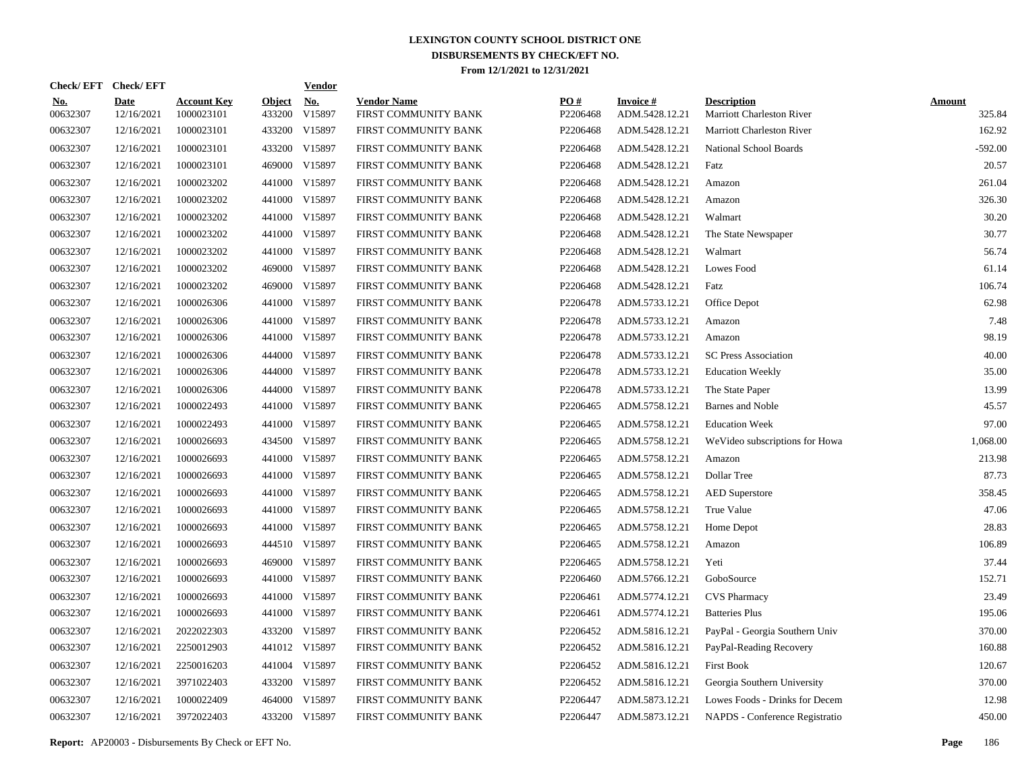|                        | Check/EFT Check/EFT |                                  |                         | <b>Vendor</b> |                                            |                      |                                   |                                                 |                         |
|------------------------|---------------------|----------------------------------|-------------------------|---------------|--------------------------------------------|----------------------|-----------------------------------|-------------------------------------------------|-------------------------|
| <u>No.</u><br>00632307 | Date<br>12/16/2021  | <b>Account Key</b><br>1000023101 | <b>Object</b><br>433200 | No.<br>V15897 | <b>Vendor Name</b><br>FIRST COMMUNITY BANK | PO#<br>P2206468      | <b>Invoice#</b><br>ADM.5428.12.21 | <b>Description</b><br>Marriott Charleston River | <b>Amount</b><br>325.84 |
| 00632307               | 12/16/2021          | 1000023101                       | 433200                  | V15897        | FIRST COMMUNITY BANK                       | P2206468             | ADM.5428.12.21                    | <b>Marriott Charleston River</b>                | 162.92                  |
| 00632307               | 12/16/2021          | 1000023101                       | 433200                  | V15897        | FIRST COMMUNITY BANK                       | P2206468             | ADM.5428.12.21                    | National School Boards                          | $-592.00$               |
| 00632307               | 12/16/2021          | 1000023101                       | 469000                  | V15897        | FIRST COMMUNITY BANK                       | P2206468             | ADM.5428.12.21                    | Fatz                                            | 20.57                   |
| 00632307               | 12/16/2021          | 1000023202                       |                         | 441000 V15897 | FIRST COMMUNITY BANK                       | P2206468             | ADM.5428.12.21                    | Amazon                                          | 261.04                  |
| 00632307               | 12/16/2021          | 1000023202                       |                         | 441000 V15897 | FIRST COMMUNITY BANK                       | P2206468             | ADM.5428.12.21                    | Amazon                                          | 326.30                  |
| 00632307               | 12/16/2021          | 1000023202                       |                         | 441000 V15897 | FIRST COMMUNITY BANK                       | P2206468             | ADM.5428.12.21                    | Walmart                                         | 30.20                   |
| 00632307               | 12/16/2021          | 1000023202                       |                         | 441000 V15897 | FIRST COMMUNITY BANK                       | P2206468             | ADM.5428.12.21                    | The State Newspaper                             | 30.77                   |
| 00632307               | 12/16/2021          | 1000023202                       |                         | 441000 V15897 | FIRST COMMUNITY BANK                       | P2206468             | ADM.5428.12.21                    | Walmart                                         | 56.74                   |
| 00632307               | 12/16/2021          | 1000023202                       |                         | 469000 V15897 | FIRST COMMUNITY BANK                       | P2206468             | ADM.5428.12.21                    | Lowes Food                                      | 61.14                   |
| 00632307               | 12/16/2021          | 1000023202                       |                         | 469000 V15897 | FIRST COMMUNITY BANK                       | P2206468             | ADM.5428.12.21                    | Fatz                                            | 106.74                  |
| 00632307               | 12/16/2021          | 1000026306                       |                         | 441000 V15897 | FIRST COMMUNITY BANK                       | P2206478             | ADM.5733.12.21                    | Office Depot                                    | 62.98                   |
| 00632307               | 12/16/2021          | 1000026306                       |                         | 441000 V15897 | FIRST COMMUNITY BANK                       | P2206478             | ADM.5733.12.21                    | Amazon                                          | 7.48                    |
| 00632307               | 12/16/2021          | 1000026306                       |                         | 441000 V15897 | FIRST COMMUNITY BANK                       | P2206478             | ADM.5733.12.21                    | Amazon                                          | 98.19                   |
| 00632307               | 12/16/2021          | 1000026306                       |                         | 444000 V15897 | FIRST COMMUNITY BANK                       | P2206478             | ADM.5733.12.21                    | <b>SC Press Association</b>                     | 40.00                   |
| 00632307               | 12/16/2021          | 1000026306                       |                         | 444000 V15897 | FIRST COMMUNITY BANK                       | P2206478             | ADM.5733.12.21                    | <b>Education Weekly</b>                         | 35.00                   |
| 00632307               | 12/16/2021          | 1000026306                       |                         | 444000 V15897 | FIRST COMMUNITY BANK                       | P2206478             | ADM.5733.12.21                    | The State Paper                                 | 13.99                   |
| 00632307               | 12/16/2021          | 1000022493                       |                         | 441000 V15897 | FIRST COMMUNITY BANK                       | P2206465             | ADM.5758.12.21                    | Barnes and Noble                                | 45.57                   |
| 00632307               | 12/16/2021          | 1000022493                       |                         | 441000 V15897 | FIRST COMMUNITY BANK                       | P2206465             | ADM.5758.12.21                    | <b>Education Week</b>                           | 97.00                   |
| 00632307               | 12/16/2021          | 1000026693                       |                         | 434500 V15897 | FIRST COMMUNITY BANK                       | P2206465             | ADM.5758.12.21                    | WeVideo subscriptions for Howa                  | 1,068.00                |
| 00632307               | 12/16/2021          | 1000026693                       |                         | 441000 V15897 | FIRST COMMUNITY BANK                       | P2206465             | ADM.5758.12.21                    | Amazon                                          | 213.98                  |
| 00632307               | 12/16/2021          | 1000026693                       |                         | 441000 V15897 | FIRST COMMUNITY BANK                       | P2206465             | ADM.5758.12.21                    | Dollar Tree                                     | 87.73                   |
| 00632307               | 12/16/2021          | 1000026693                       |                         | 441000 V15897 | FIRST COMMUNITY BANK                       | P2206465             | ADM.5758.12.21                    | <b>AED</b> Superstore                           | 358.45                  |
| 00632307               | 12/16/2021          | 1000026693                       |                         | 441000 V15897 | FIRST COMMUNITY BANK                       | P2206465             | ADM.5758.12.21                    | True Value                                      | 47.06                   |
| 00632307               | 12/16/2021          | 1000026693                       |                         | 441000 V15897 | FIRST COMMUNITY BANK                       | P2206465             | ADM.5758.12.21                    | Home Depot                                      | 28.83                   |
| 00632307               | 12/16/2021          | 1000026693                       |                         | 444510 V15897 | FIRST COMMUNITY BANK                       | P2206465             | ADM.5758.12.21                    | Amazon                                          | 106.89                  |
| 00632307               | 12/16/2021          | 1000026693                       |                         | 469000 V15897 | FIRST COMMUNITY BANK                       | P2206465             | ADM.5758.12.21                    | Yeti                                            | 37.44                   |
| 00632307               | 12/16/2021          | 1000026693                       |                         | 441000 V15897 | FIRST COMMUNITY BANK                       | P2206460             | ADM.5766.12.21                    | GoboSource                                      | 152.71                  |
| 00632307               | 12/16/2021          | 1000026693                       |                         | 441000 V15897 | FIRST COMMUNITY BANK                       | P2206461             | ADM.5774.12.21                    | <b>CVS</b> Pharmacy                             | 23.49                   |
| 00632307               | 12/16/2021          | 1000026693                       |                         | 441000 V15897 | FIRST COMMUNITY BANK                       | P2206461             | ADM.5774.12.21                    | <b>Batteries Plus</b>                           | 195.06                  |
| 00632307               | 12/16/2021          | 2022022303                       |                         | 433200 V15897 | FIRST COMMUNITY BANK                       | P <sub>2206452</sub> | ADM.5816.12.21                    | PayPal - Georgia Southern Univ                  | 370.00                  |
| 00632307               | 12/16/2021          | 2250012903                       |                         | 441012 V15897 | FIRST COMMUNITY BANK                       | P2206452             | ADM.5816.12.21                    | PayPal-Reading Recovery                         | 160.88                  |
| 00632307               | 12/16/2021          | 2250016203                       |                         | 441004 V15897 | FIRST COMMUNITY BANK                       | P2206452             | ADM.5816.12.21                    | <b>First Book</b>                               | 120.67                  |
| 00632307               | 12/16/2021          | 3971022403                       |                         | 433200 V15897 | FIRST COMMUNITY BANK                       | P2206452             | ADM.5816.12.21                    | Georgia Southern University                     | 370.00                  |
| 00632307               | 12/16/2021          | 1000022409                       |                         | 464000 V15897 | FIRST COMMUNITY BANK                       | P2206447             | ADM.5873.12.21                    | Lowes Foods - Drinks for Decem                  | 12.98                   |
| 00632307               | 12/16/2021          | 3972022403                       |                         | 433200 V15897 | FIRST COMMUNITY BANK                       | P2206447             | ADM.5873.12.21                    | NAPDS - Conference Registratio                  | 450.00                  |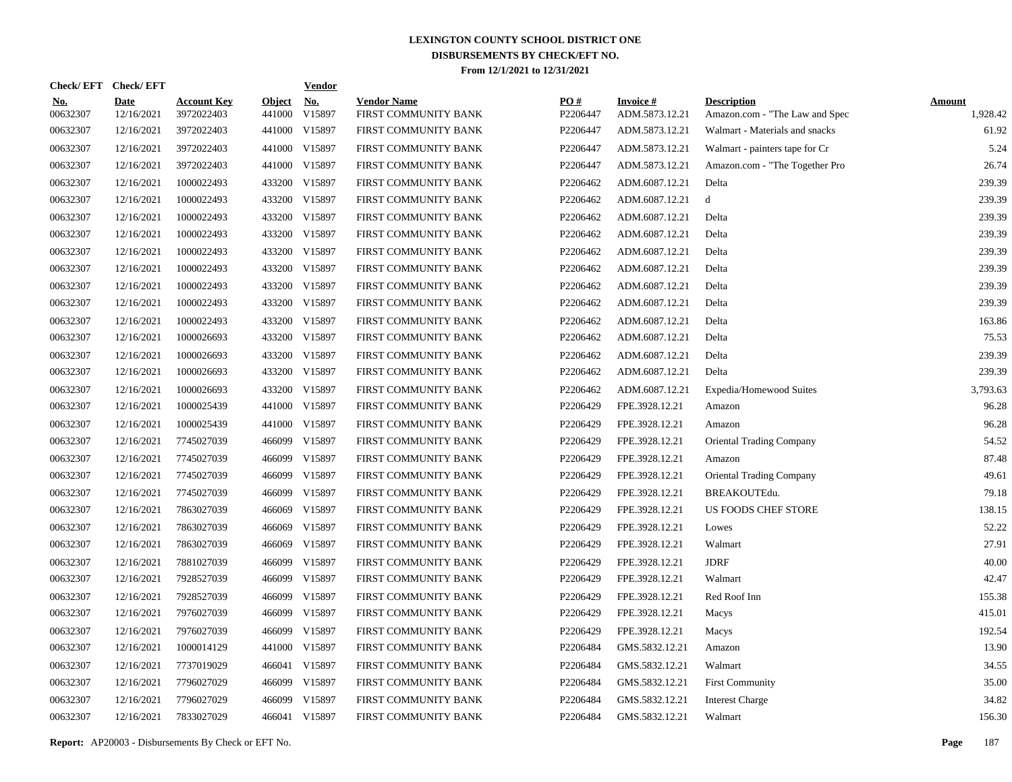|                        | Check/EFT Check/EFT       |                                  |                         | <b>Vendor</b>        |                                            |                 |                                   |                                                      |                           |
|------------------------|---------------------------|----------------------------------|-------------------------|----------------------|--------------------------------------------|-----------------|-----------------------------------|------------------------------------------------------|---------------------------|
| <u>No.</u><br>00632307 | <b>Date</b><br>12/16/2021 | <b>Account Key</b><br>3972022403 | <b>Object</b><br>441000 | <b>No.</b><br>V15897 | <b>Vendor Name</b><br>FIRST COMMUNITY BANK | PO#<br>P2206447 | <b>Invoice#</b><br>ADM.5873.12.21 | <b>Description</b><br>Amazon.com - "The Law and Spec | <b>Amount</b><br>1,928.42 |
| 00632307               | 12/16/2021                | 3972022403                       |                         | 441000 V15897        | FIRST COMMUNITY BANK                       | P2206447        | ADM.5873.12.21                    | Walmart - Materials and snacks                       | 61.92                     |
| 00632307               | 12/16/2021                | 3972022403                       |                         | 441000 V15897        | FIRST COMMUNITY BANK                       | P2206447        | ADM.5873.12.21                    | Walmart - painters tape for Cr                       | 5.24                      |
| 00632307               | 12/16/2021                | 3972022403                       |                         | 441000 V15897        | FIRST COMMUNITY BANK                       | P2206447        | ADM.5873.12.21                    | Amazon.com - "The Together Pro                       | 26.74                     |
| 00632307               | 12/16/2021                | 1000022493                       |                         | 433200 V15897        | FIRST COMMUNITY BANK                       | P2206462        | ADM.6087.12.21                    | Delta                                                | 239.39                    |
| 00632307               | 12/16/2021                | 1000022493                       |                         | 433200 V15897        | FIRST COMMUNITY BANK                       | P2206462        | ADM.6087.12.21                    | d                                                    | 239.39                    |
| 00632307               | 12/16/2021                | 1000022493                       |                         | 433200 V15897        | FIRST COMMUNITY BANK                       | P2206462        | ADM.6087.12.21                    | Delta                                                | 239.39                    |
| 00632307               | 12/16/2021                | 1000022493                       |                         | 433200 V15897        | FIRST COMMUNITY BANK                       | P2206462        | ADM.6087.12.21                    | Delta                                                | 239.39                    |
| 00632307               | 12/16/2021                | 1000022493                       |                         | 433200 V15897        | FIRST COMMUNITY BANK                       | P2206462        | ADM.6087.12.21                    | Delta                                                | 239.39                    |
| 00632307               | 12/16/2021                | 1000022493                       |                         | 433200 V15897        | FIRST COMMUNITY BANK                       | P2206462        | ADM.6087.12.21                    | Delta                                                | 239.39                    |
| 00632307               | 12/16/2021                | 1000022493                       |                         | 433200 V15897        | FIRST COMMUNITY BANK                       | P2206462        | ADM.6087.12.21                    | Delta                                                | 239.39                    |
| 00632307               | 12/16/2021                | 1000022493                       |                         | 433200 V15897        | FIRST COMMUNITY BANK                       | P2206462        | ADM.6087.12.21                    | Delta                                                | 239.39                    |
| 00632307               | 12/16/2021                | 1000022493                       |                         | 433200 V15897        | FIRST COMMUNITY BANK                       | P2206462        | ADM.6087.12.21                    | Delta                                                | 163.86                    |
| 00632307               | 12/16/2021                | 1000026693                       |                         | 433200 V15897        | FIRST COMMUNITY BANK                       | P2206462        | ADM.6087.12.21                    | Delta                                                | 75.53                     |
| 00632307               | 12/16/2021                | 1000026693                       |                         | 433200 V15897        | FIRST COMMUNITY BANK                       | P2206462        | ADM.6087.12.21                    | Delta                                                | 239.39                    |
| 00632307               | 12/16/2021                | 1000026693                       |                         | 433200 V15897        | FIRST COMMUNITY BANK                       | P2206462        | ADM.6087.12.21                    | Delta                                                | 239.39                    |
| 00632307               | 12/16/2021                | 1000026693                       |                         | 433200 V15897        | FIRST COMMUNITY BANK                       | P2206462        | ADM.6087.12.21                    | Expedia/Homewood Suites                              | 3.793.63                  |
| 00632307               | 12/16/2021                | 1000025439                       |                         | 441000 V15897        | FIRST COMMUNITY BANK                       | P2206429        | FPE.3928.12.21                    | Amazon                                               | 96.28                     |
| 00632307               | 12/16/2021                | 1000025439                       |                         | 441000 V15897        | FIRST COMMUNITY BANK                       | P2206429        | FPE.3928.12.21                    | Amazon                                               | 96.28                     |
| 00632307               | 12/16/2021                | 7745027039                       |                         | 466099 V15897        | FIRST COMMUNITY BANK                       | P2206429        | FPE.3928.12.21                    | <b>Oriental Trading Company</b>                      | 54.52                     |
| 00632307               | 12/16/2021                | 7745027039                       |                         | 466099 V15897        | FIRST COMMUNITY BANK                       | P2206429        | FPE.3928.12.21                    | Amazon                                               | 87.48                     |
| 00632307               | 12/16/2021                | 7745027039                       |                         | 466099 V15897        | FIRST COMMUNITY BANK                       | P2206429        | FPE.3928.12.21                    | <b>Oriental Trading Company</b>                      | 49.61                     |
| 00632307               | 12/16/2021                | 7745027039                       | 466099                  | V15897               | FIRST COMMUNITY BANK                       | P2206429        | FPE.3928.12.21                    | BREAKOUTEdu.                                         | 79.18                     |
| 00632307               | 12/16/2021                | 7863027039                       | 466069                  | V15897               | FIRST COMMUNITY BANK                       | P2206429        | FPE.3928.12.21                    | US FOODS CHEF STORE                                  | 138.15                    |
| 00632307               | 12/16/2021                | 7863027039                       | 466069                  | V15897               | FIRST COMMUNITY BANK                       | P2206429        | FPE.3928.12.21                    | Lowes                                                | 52.22                     |
| 00632307               | 12/16/2021                | 7863027039                       | 466069                  | V15897               | FIRST COMMUNITY BANK                       | P2206429        | FPE.3928.12.21                    | Walmart                                              | 27.91                     |
| 00632307               | 12/16/2021                | 7881027039                       | 466099                  | V15897               | FIRST COMMUNITY BANK                       | P2206429        | FPE.3928.12.21                    | <b>JDRF</b>                                          | 40.00                     |
| 00632307               | 12/16/2021                | 7928527039                       | 466099                  | V15897               | FIRST COMMUNITY BANK                       | P2206429        | FPE.3928.12.21                    | Walmart                                              | 42.47                     |
| 00632307               | 12/16/2021                | 7928527039                       | 466099                  | V15897               | FIRST COMMUNITY BANK                       | P2206429        | FPE.3928.12.21                    | Red Roof Inn                                         | 155.38                    |
| 00632307               | 12/16/2021                | 7976027039                       | 466099                  | V15897               | FIRST COMMUNITY BANK                       | P2206429        | FPE.3928.12.21                    | Macys                                                | 415.01                    |
| 00632307               | 12/16/2021                | 7976027039                       |                         | 466099 V15897        | FIRST COMMUNITY BANK                       | P2206429        | FPE.3928.12.21                    | Macys                                                | 192.54                    |
| 00632307               | 12/16/2021                | 1000014129                       | 441000                  | V15897               | FIRST COMMUNITY BANK                       | P2206484        | GMS.5832.12.21                    | Amazon                                               | 13.90                     |
| 00632307               | 12/16/2021                | 7737019029                       |                         | 466041 V15897        | FIRST COMMUNITY BANK                       | P2206484        | GMS.5832.12.21                    | Walmart                                              | 34.55                     |
| 00632307               | 12/16/2021                | 7796027029                       |                         | 466099 V15897        | FIRST COMMUNITY BANK                       | P2206484        | GMS.5832.12.21                    | <b>First Community</b>                               | 35.00                     |
| 00632307               | 12/16/2021                | 7796027029                       |                         | 466099 V15897        | FIRST COMMUNITY BANK                       | P2206484        | GMS.5832.12.21                    | <b>Interest Charge</b>                               | 34.82                     |
| 00632307               | 12/16/2021                | 7833027029                       |                         | 466041 V15897        | FIRST COMMUNITY BANK                       | P2206484        | GMS.5832.12.21                    | Walmart                                              | 156.30                    |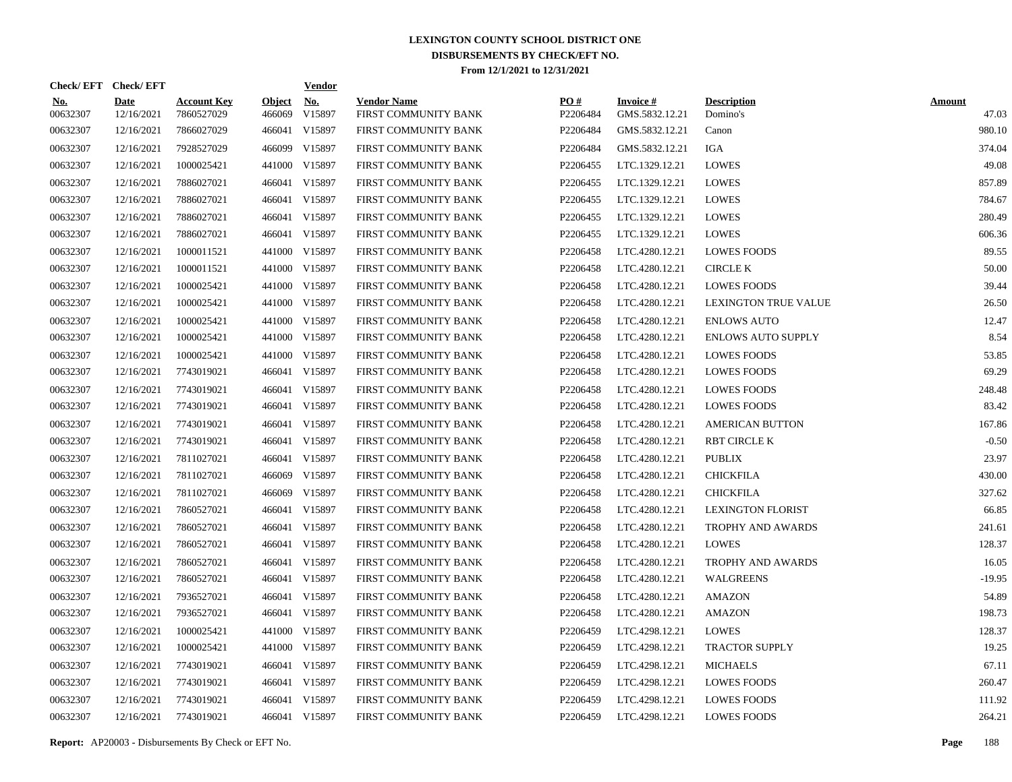|                        | Check/EFT Check/EFT       |                                  |                         | <u>Vendor</u>        |                                            |                 |                                   |                                |                        |
|------------------------|---------------------------|----------------------------------|-------------------------|----------------------|--------------------------------------------|-----------------|-----------------------------------|--------------------------------|------------------------|
| <u>No.</u><br>00632307 | <b>Date</b><br>12/16/2021 | <b>Account Key</b><br>7860527029 | <b>Object</b><br>466069 | <u>No.</u><br>V15897 | <b>Vendor Name</b><br>FIRST COMMUNITY BANK | PQ#<br>P2206484 | <b>Invoice#</b><br>GMS.5832.12.21 | <b>Description</b><br>Domino's | <b>Amount</b><br>47.03 |
| 00632307               | 12/16/2021                | 7866027029                       | 466041                  | V15897               | FIRST COMMUNITY BANK                       | P2206484        | GMS.5832.12.21                    | Canon                          | 980.10                 |
| 00632307               | 12/16/2021                | 7928527029                       | 466099                  | V15897               | FIRST COMMUNITY BANK                       | P2206484        | GMS.5832.12.21                    | IGA                            | 374.04                 |
| 00632307               | 12/16/2021                | 1000025421                       | 441000                  | V15897               | FIRST COMMUNITY BANK                       | P2206455        | LTC.1329.12.21                    | <b>LOWES</b>                   | 49.08                  |
| 00632307               | 12/16/2021                | 7886027021                       | 466041                  | V15897               | FIRST COMMUNITY BANK                       | P2206455        | LTC.1329.12.21                    | <b>LOWES</b>                   | 857.89                 |
| 00632307               | 12/16/2021                | 7886027021                       | 466041                  | V15897               | FIRST COMMUNITY BANK                       | P2206455        | LTC.1329.12.21                    | <b>LOWES</b>                   | 784.67                 |
| 00632307               | 12/16/2021                | 7886027021                       | 466041                  | V15897               | FIRST COMMUNITY BANK                       | P2206455        | LTC.1329.12.21                    | <b>LOWES</b>                   | 280.49                 |
| 00632307               | 12/16/2021                | 7886027021                       | 466041                  | V15897               | FIRST COMMUNITY BANK                       | P2206455        | LTC.1329.12.21                    | <b>LOWES</b>                   | 606.36                 |
| 00632307               | 12/16/2021                | 1000011521                       |                         | 441000 V15897        | FIRST COMMUNITY BANK                       | P2206458        | LTC.4280.12.21                    | <b>LOWES FOODS</b>             | 89.55                  |
| 00632307               | 12/16/2021                | 1000011521                       |                         | 441000 V15897        | FIRST COMMUNITY BANK                       | P2206458        | LTC.4280.12.21                    | <b>CIRCLE K</b>                | 50.00                  |
| 00632307               | 12/16/2021                | 1000025421                       |                         | 441000 V15897        | FIRST COMMUNITY BANK                       | P2206458        | LTC.4280.12.21                    | <b>LOWES FOODS</b>             | 39.44                  |
| 00632307               | 12/16/2021                | 1000025421                       |                         | 441000 V15897        | FIRST COMMUNITY BANK                       | P2206458        | LTC.4280.12.21                    | <b>LEXINGTON TRUE VALUE</b>    | 26.50                  |
| 00632307               | 12/16/2021                | 1000025421                       |                         | 441000 V15897        | FIRST COMMUNITY BANK                       | P2206458        | LTC.4280.12.21                    | <b>ENLOWS AUTO</b>             | 12.47                  |
| 00632307               | 12/16/2021                | 1000025421                       |                         | 441000 V15897        | FIRST COMMUNITY BANK                       | P2206458        | LTC.4280.12.21                    | <b>ENLOWS AUTO SUPPLY</b>      | 8.54                   |
| 00632307               | 12/16/2021                | 1000025421                       |                         | 441000 V15897        | FIRST COMMUNITY BANK                       | P2206458        | LTC.4280.12.21                    | <b>LOWES FOODS</b>             | 53.85                  |
| 00632307               | 12/16/2021                | 7743019021                       |                         | 466041 V15897        | FIRST COMMUNITY BANK                       | P2206458        | LTC.4280.12.21                    | <b>LOWES FOODS</b>             | 69.29                  |
| 00632307               | 12/16/2021                | 7743019021                       | 466041                  | V15897               | FIRST COMMUNITY BANK                       | P2206458        | LTC.4280.12.21                    | <b>LOWES FOODS</b>             | 248.48                 |
| 00632307               | 12/16/2021                | 7743019021                       |                         | 466041 V15897        | FIRST COMMUNITY BANK                       | P2206458        | LTC.4280.12.21                    | <b>LOWES FOODS</b>             | 83.42                  |
| 00632307               | 12/16/2021                | 7743019021                       | 466041                  | V15897               | FIRST COMMUNITY BANK                       | P2206458        | LTC.4280.12.21                    | <b>AMERICAN BUTTON</b>         | 167.86                 |
| 00632307               | 12/16/2021                | 7743019021                       |                         | 466041 V15897        | FIRST COMMUNITY BANK                       | P2206458        | LTC.4280.12.21                    | <b>RBT CIRCLE K</b>            | $-0.50$                |
| 00632307               | 12/16/2021                | 7811027021                       | 466041                  | V15897               | FIRST COMMUNITY BANK                       | P2206458        | LTC.4280.12.21                    | <b>PUBLIX</b>                  | 23.97                  |
| 00632307               | 12/16/2021                | 7811027021                       |                         | 466069 V15897        | FIRST COMMUNITY BANK                       | P2206458        | LTC.4280.12.21                    | <b>CHICKFILA</b>               | 430.00                 |
| 00632307               | 12/16/2021                | 7811027021                       | 466069                  | V15897               | FIRST COMMUNITY BANK                       | P2206458        | LTC.4280.12.21                    | <b>CHICKFILA</b>               | 327.62                 |
| 00632307               | 12/16/2021                | 7860527021                       | 466041                  | V15897               | FIRST COMMUNITY BANK                       | P2206458        | LTC.4280.12.21                    | <b>LEXINGTON FLORIST</b>       | 66.85                  |
| 00632307               | 12/16/2021                | 7860527021                       | 466041                  | V15897               | FIRST COMMUNITY BANK                       | P2206458        | LTC.4280.12.21                    | TROPHY AND AWARDS              | 241.61                 |
| 00632307               | 12/16/2021                | 7860527021                       | 466041                  | V15897               | FIRST COMMUNITY BANK                       | P2206458        | LTC.4280.12.21                    | <b>LOWES</b>                   | 128.37                 |
| 00632307               | 12/16/2021                | 7860527021                       | 466041                  | V15897               | FIRST COMMUNITY BANK                       | P2206458        | LTC.4280.12.21                    | TROPHY AND AWARDS              | 16.05                  |
| 00632307               | 12/16/2021                | 7860527021                       | 466041                  | V15897               | FIRST COMMUNITY BANK                       | P2206458        | LTC.4280.12.21                    | <b>WALGREENS</b>               | $-19.95$               |
| 00632307               | 12/16/2021                | 7936527021                       | 466041                  | V15897               | FIRST COMMUNITY BANK                       | P2206458        | LTC.4280.12.21                    | <b>AMAZON</b>                  | 54.89                  |
| 00632307               | 12/16/2021                | 7936527021                       | 466041                  | V15897               | FIRST COMMUNITY BANK                       | P2206458        | LTC.4280.12.21                    | <b>AMAZON</b>                  | 198.73                 |
| 00632307               | 12/16/2021                | 1000025421                       |                         | 441000 V15897        | FIRST COMMUNITY BANK                       | P2206459        | LTC.4298.12.21                    | <b>LOWES</b>                   | 128.37                 |
| 00632307               | 12/16/2021                | 1000025421                       |                         | 441000 V15897        | FIRST COMMUNITY BANK                       | P2206459        | LTC.4298.12.21                    | <b>TRACTOR SUPPLY</b>          | 19.25                  |
| 00632307               | 12/16/2021                | 7743019021                       | 466041                  | V15897               | FIRST COMMUNITY BANK                       | P2206459        | LTC.4298.12.21                    | <b>MICHAELS</b>                | 67.11                  |
| 00632307               | 12/16/2021                | 7743019021                       | 466041                  | V15897               | FIRST COMMUNITY BANK                       | P2206459        | LTC.4298.12.21                    | <b>LOWES FOODS</b>             | 260.47                 |
| 00632307               | 12/16/2021                | 7743019021                       | 466041                  | V15897               | FIRST COMMUNITY BANK                       | P2206459        | LTC.4298.12.21                    | <b>LOWES FOODS</b>             | 111.92                 |
| 00632307               | 12/16/2021                | 7743019021                       |                         | 466041 V15897        | FIRST COMMUNITY BANK                       | P2206459        | LTC.4298.12.21                    | <b>LOWES FOODS</b>             | 264.21                 |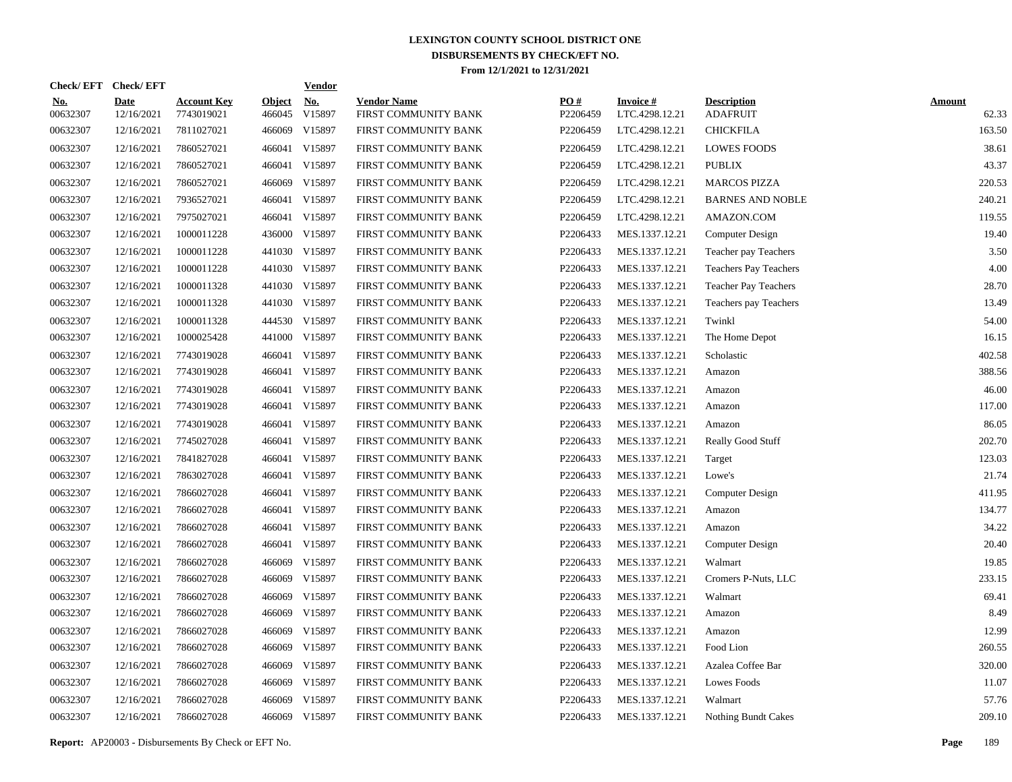|                        | Check/EFT Check/EFT |                                  |                         | <b>Vendor</b> |                                            |                 |                                   |                                       |                        |
|------------------------|---------------------|----------------------------------|-------------------------|---------------|--------------------------------------------|-----------------|-----------------------------------|---------------------------------------|------------------------|
| <u>No.</u><br>00632307 | Date<br>12/16/2021  | <b>Account Key</b><br>7743019021 | <b>Object</b><br>466045 | No.<br>V15897 | <b>Vendor Name</b><br>FIRST COMMUNITY BANK | PO#<br>P2206459 | <b>Invoice#</b><br>LTC.4298.12.21 | <b>Description</b><br><b>ADAFRUIT</b> | <b>Amount</b><br>62.33 |
| 00632307               | 12/16/2021          | 7811027021                       | 466069                  | V15897        | FIRST COMMUNITY BANK                       | P2206459        | LTC.4298.12.21                    | <b>CHICKFILA</b>                      | 163.50                 |
| 00632307               | 12/16/2021          | 7860527021                       | 466041                  | V15897        | FIRST COMMUNITY BANK                       | P2206459        | LTC.4298.12.21                    | <b>LOWES FOODS</b>                    | 38.61                  |
| 00632307               | 12/16/2021          | 7860527021                       | 466041                  | V15897        | FIRST COMMUNITY BANK                       | P2206459        | LTC.4298.12.21                    | <b>PUBLIX</b>                         | 43.37                  |
| 00632307               | 12/16/2021          | 7860527021                       | 466069                  | V15897        | FIRST COMMUNITY BANK                       | P2206459        | LTC.4298.12.21                    | <b>MARCOS PIZZA</b>                   | 220.53                 |
| 00632307               | 12/16/2021          | 7936527021                       | 466041                  | V15897        | FIRST COMMUNITY BANK                       | P2206459        | LTC.4298.12.21                    | <b>BARNES AND NOBLE</b>               | 240.21                 |
| 00632307               | 12/16/2021          | 7975027021                       |                         | 466041 V15897 | FIRST COMMUNITY BANK                       | P2206459        | LTC.4298.12.21                    | AMAZON.COM                            | 119.55                 |
| 00632307               | 12/16/2021          | 1000011228                       |                         | 436000 V15897 | FIRST COMMUNITY BANK                       | P2206433        | MES.1337.12.21                    | Computer Design                       | 19.40                  |
| 00632307               | 12/16/2021          | 1000011228                       |                         | 441030 V15897 | FIRST COMMUNITY BANK                       | P2206433        | MES.1337.12.21                    | Teacher pay Teachers                  | 3.50                   |
| 00632307               | 12/16/2021          | 1000011228                       |                         | 441030 V15897 | FIRST COMMUNITY BANK                       | P2206433        | MES.1337.12.21                    | Teachers Pay Teachers                 | 4.00                   |
| 00632307               | 12/16/2021          | 1000011328                       |                         | 441030 V15897 | FIRST COMMUNITY BANK                       | P2206433        | MES.1337.12.21                    | <b>Teacher Pay Teachers</b>           | 28.70                  |
| 00632307               | 12/16/2021          | 1000011328                       |                         | 441030 V15897 | FIRST COMMUNITY BANK                       | P2206433        | MES.1337.12.21                    | Teachers pay Teachers                 | 13.49                  |
| 00632307               | 12/16/2021          | 1000011328                       |                         | 444530 V15897 | FIRST COMMUNITY BANK                       | P2206433        | MES.1337.12.21                    | Twinkl                                | 54.00                  |
| 00632307               | 12/16/2021          | 1000025428                       |                         | 441000 V15897 | FIRST COMMUNITY BANK                       | P2206433        | MES.1337.12.21                    | The Home Depot                        | 16.15                  |
| 00632307               | 12/16/2021          | 7743019028                       | 466041                  | V15897        | FIRST COMMUNITY BANK                       | P2206433        | MES.1337.12.21                    | Scholastic                            | 402.58                 |
| 00632307               | 12/16/2021          | 7743019028                       | 466041                  | V15897        | FIRST COMMUNITY BANK                       | P2206433        | MES.1337.12.21                    | Amazon                                | 388.56                 |
| 00632307               | 12/16/2021          | 7743019028                       | 466041                  | V15897        | FIRST COMMUNITY BANK                       | P2206433        | MES.1337.12.21                    | Amazon                                | 46.00                  |
| 00632307               | 12/16/2021          | 7743019028                       | 466041                  | V15897        | FIRST COMMUNITY BANK                       | P2206433        | MES.1337.12.21                    | Amazon                                | 117.00                 |
| 00632307               | 12/16/2021          | 7743019028                       | 466041                  | V15897        | FIRST COMMUNITY BANK                       | P2206433        | MES.1337.12.21                    | Amazon                                | 86.05                  |
| 00632307               | 12/16/2021          | 7745027028                       | 466041                  | V15897        | FIRST COMMUNITY BANK                       | P2206433        | MES.1337.12.21                    | <b>Really Good Stuff</b>              | 202.70                 |
| 00632307               | 12/16/2021          | 7841827028                       | 466041                  | V15897        | FIRST COMMUNITY BANK                       | P2206433        | MES.1337.12.21                    | Target                                | 123.03                 |
| 00632307               | 12/16/2021          | 7863027028                       | 466041                  | V15897        | FIRST COMMUNITY BANK                       | P2206433        | MES.1337.12.21                    | Lowe's                                | 21.74                  |
| 00632307               | 12/16/2021          | 7866027028                       | 466041                  | V15897        | FIRST COMMUNITY BANK                       | P2206433        | MES.1337.12.21                    | Computer Design                       | 411.95                 |
| 00632307               | 12/16/2021          | 7866027028                       | 466041                  | V15897        | FIRST COMMUNITY BANK                       | P2206433        | MES.1337.12.21                    | Amazon                                | 134.77                 |
| 00632307               | 12/16/2021          | 7866027028                       | 466041                  | V15897        | FIRST COMMUNITY BANK                       | P2206433        | MES.1337.12.21                    | Amazon                                | 34.22                  |
| 00632307               | 12/16/2021          | 7866027028                       | 466041                  | V15897        | FIRST COMMUNITY BANK                       | P2206433        | MES.1337.12.21                    | Computer Design                       | 20.40                  |
| 00632307               | 12/16/2021          | 7866027028                       | 466069                  | V15897        | FIRST COMMUNITY BANK                       | P2206433        | MES.1337.12.21                    | Walmart                               | 19.85                  |
| 00632307               | 12/16/2021          | 7866027028                       | 466069                  | V15897        | FIRST COMMUNITY BANK                       | P2206433        | MES.1337.12.21                    | Cromers P-Nuts, LLC                   | 233.15                 |
| 00632307               | 12/16/2021          | 7866027028                       | 466069                  | V15897        | FIRST COMMUNITY BANK                       | P2206433        | MES.1337.12.21                    | Walmart                               | 69.41                  |
| 00632307               | 12/16/2021          | 7866027028                       | 466069                  | V15897        | FIRST COMMUNITY BANK                       | P2206433        | MES.1337.12.21                    | Amazon                                | 8.49                   |
| 00632307               | 12/16/2021          | 7866027028                       | 466069                  | V15897        | FIRST COMMUNITY BANK                       | P2206433        | MES.1337.12.21                    | Amazon                                | 12.99                  |
| 00632307               | 12/16/2021          | 7866027028                       | 466069                  | V15897        | FIRST COMMUNITY BANK                       | P2206433        | MES.1337.12.21                    | Food Lion                             | 260.55                 |
| 00632307               | 12/16/2021          | 7866027028                       | 466069                  | V15897        | FIRST COMMUNITY BANK                       | P2206433        | MES.1337.12.21                    | Azalea Coffee Bar                     | 320.00                 |
| 00632307               | 12/16/2021          | 7866027028                       | 466069                  | V15897        | FIRST COMMUNITY BANK                       | P2206433        | MES.1337.12.21                    | <b>Lowes Foods</b>                    | 11.07                  |
| 00632307               | 12/16/2021          | 7866027028                       | 466069                  | V15897        | FIRST COMMUNITY BANK                       | P2206433        | MES.1337.12.21                    | Walmart                               | 57.76                  |
| 00632307               | 12/16/2021          | 7866027028                       |                         | 466069 V15897 | FIRST COMMUNITY BANK                       | P2206433        | MES.1337.12.21                    | Nothing Bundt Cakes                   | 209.10                 |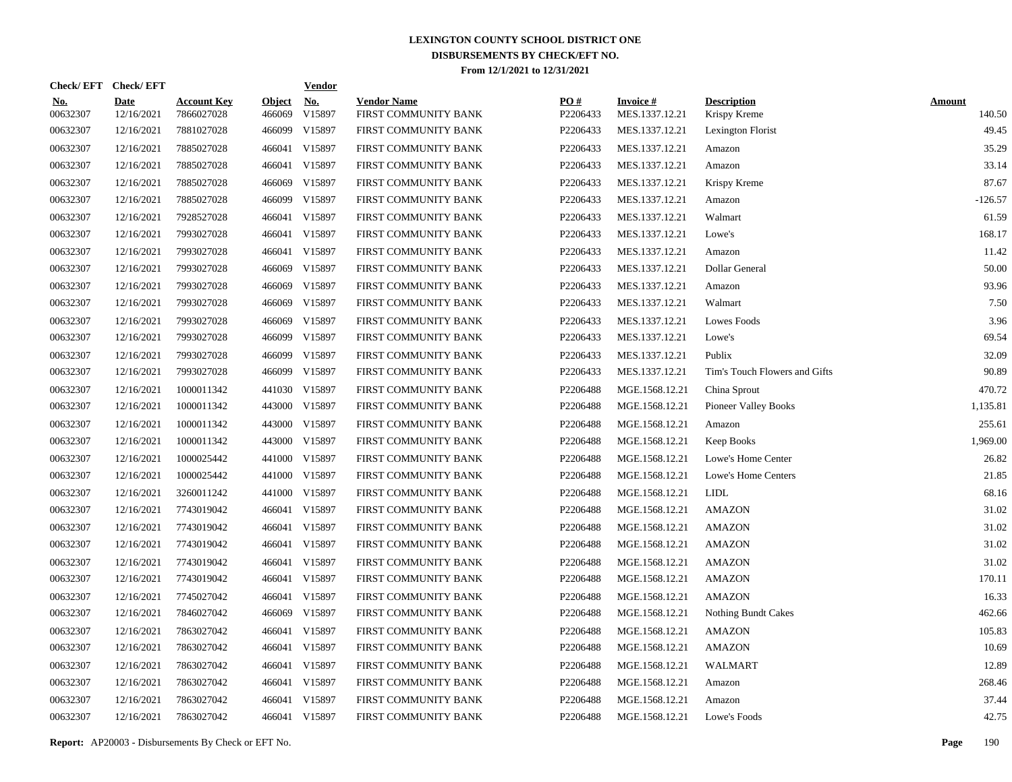|                        | Check/EFT Check/EFT       |                                  |                         | <b>Vendor</b>        |                                            |                 |                                   |                                    |                         |
|------------------------|---------------------------|----------------------------------|-------------------------|----------------------|--------------------------------------------|-----------------|-----------------------------------|------------------------------------|-------------------------|
| <u>No.</u><br>00632307 | <b>Date</b><br>12/16/2021 | <b>Account Key</b><br>7866027028 | <b>Object</b><br>466069 | <u>No.</u><br>V15897 | <b>Vendor Name</b><br>FIRST COMMUNITY BANK | PO#<br>P2206433 | <b>Invoice#</b><br>MES.1337.12.21 | <b>Description</b><br>Krispy Kreme | <b>Amount</b><br>140.50 |
| 00632307               | 12/16/2021                | 7881027028                       | 466099                  | V15897               | FIRST COMMUNITY BANK                       | P2206433        | MES.1337.12.21                    | Lexington Florist                  | 49.45                   |
| 00632307               | 12/16/2021                | 7885027028                       | 466041                  | V15897               | FIRST COMMUNITY BANK                       | P2206433        | MES.1337.12.21                    | Amazon                             | 35.29                   |
| 00632307               | 12/16/2021                | 7885027028                       | 466041                  | V15897               | FIRST COMMUNITY BANK                       | P2206433        | MES.1337.12.21                    | Amazon                             | 33.14                   |
| 00632307               | 12/16/2021                | 7885027028                       | 466069                  | V15897               | FIRST COMMUNITY BANK                       | P2206433        | MES.1337.12.21                    | Krispy Kreme                       | 87.67                   |
| 00632307               | 12/16/2021                | 7885027028                       |                         | 466099 V15897        | FIRST COMMUNITY BANK                       | P2206433        | MES.1337.12.21                    | Amazon                             | $-126.57$               |
| 00632307               | 12/16/2021                | 7928527028                       | 466041                  | V15897               | FIRST COMMUNITY BANK                       | P2206433        | MES.1337.12.21                    | Walmart                            | 61.59                   |
| 00632307               | 12/16/2021                | 7993027028                       | 466041                  | V15897               | FIRST COMMUNITY BANK                       | P2206433        | MES.1337.12.21                    | Lowe's                             | 168.17                  |
| 00632307               | 12/16/2021                | 7993027028                       |                         | 466041 V15897        | FIRST COMMUNITY BANK                       | P2206433        | MES.1337.12.21                    | Amazon                             | 11.42                   |
| 00632307               | 12/16/2021                | 7993027028                       | 466069                  | V15897               | FIRST COMMUNITY BANK                       | P2206433        | MES.1337.12.21                    | Dollar General                     | 50.00                   |
| 00632307               | 12/16/2021                | 7993027028                       | 466069                  | V15897               | FIRST COMMUNITY BANK                       | P2206433        | MES.1337.12.21                    | Amazon                             | 93.96                   |
| 00632307               | 12/16/2021                | 7993027028                       | 466069                  | V15897               | FIRST COMMUNITY BANK                       | P2206433        | MES.1337.12.21                    | Walmart                            | 7.50                    |
| 00632307               | 12/16/2021                | 7993027028                       | 466069                  | V15897               | FIRST COMMUNITY BANK                       | P2206433        | MES.1337.12.21                    | Lowes Foods                        | 3.96                    |
| 00632307               | 12/16/2021                | 7993027028                       |                         | 466099 V15897        | FIRST COMMUNITY BANK                       | P2206433        | MES.1337.12.21                    | Lowe's                             | 69.54                   |
| 00632307               | 12/16/2021                | 7993027028                       | 466099                  | V15897               | FIRST COMMUNITY BANK                       | P2206433        | MES.1337.12.21                    | Publix                             | 32.09                   |
| 00632307               | 12/16/2021                | 7993027028                       |                         | 466099 V15897        | FIRST COMMUNITY BANK                       | P2206433        | MES.1337.12.21                    | Tim's Touch Flowers and Gifts      | 90.89                   |
| 00632307               | 12/16/2021                | 1000011342                       | 441030                  | V15897               | FIRST COMMUNITY BANK                       | P2206488        | MGE.1568.12.21                    | China Sprout                       | 470.72                  |
| 00632307               | 12/16/2021                | 1000011342                       | 443000                  | V15897               | FIRST COMMUNITY BANK                       | P2206488        | MGE.1568.12.21                    | <b>Pioneer Valley Books</b>        | 1,135.81                |
| 00632307               | 12/16/2021                | 1000011342                       | 443000                  | V15897               | FIRST COMMUNITY BANK                       | P2206488        | MGE.1568.12.21                    | Amazon                             | 255.61                  |
| 00632307               | 12/16/2021                | 1000011342                       | 443000                  | V15897               | FIRST COMMUNITY BANK                       | P2206488        | MGE.1568.12.21                    | Keep Books                         | 1,969.00                |
| 00632307               | 12/16/2021                | 1000025442                       | 441000                  | V15897               | FIRST COMMUNITY BANK                       | P2206488        | MGE.1568.12.21                    | Lowe's Home Center                 | 26.82                   |
| 00632307               | 12/16/2021                | 1000025442                       | 441000                  | V15897               | FIRST COMMUNITY BANK                       | P2206488        | MGE.1568.12.21                    | Lowe's Home Centers                | 21.85                   |
| 00632307               | 12/16/2021                | 3260011242                       | 441000                  | V15897               | FIRST COMMUNITY BANK                       | P2206488        | MGE.1568.12.21                    | <b>LIDL</b>                        | 68.16                   |
| 00632307               | 12/16/2021                | 7743019042                       |                         | 466041 V15897        | FIRST COMMUNITY BANK                       | P2206488        | MGE.1568.12.21                    | <b>AMAZON</b>                      | 31.02                   |
| 00632307               | 12/16/2021                | 7743019042                       | 466041                  | V15897               | FIRST COMMUNITY BANK                       | P2206488        | MGE.1568.12.21                    | <b>AMAZON</b>                      | 31.02                   |
| 00632307               | 12/16/2021                | 7743019042                       |                         | 466041 V15897        | FIRST COMMUNITY BANK                       | P2206488        | MGE.1568.12.21                    | <b>AMAZON</b>                      | 31.02                   |
| 00632307               | 12/16/2021                | 7743019042                       | 466041                  | V15897               | FIRST COMMUNITY BANK                       | P2206488        | MGE.1568.12.21                    | <b>AMAZON</b>                      | 31.02                   |
| 00632307               | 12/16/2021                | 7743019042                       |                         | 466041 V15897        | FIRST COMMUNITY BANK                       | P2206488        | MGE.1568.12.21                    | <b>AMAZON</b>                      | 170.11                  |
| 00632307               | 12/16/2021                | 7745027042                       |                         | 466041 V15897        | FIRST COMMUNITY BANK                       | P2206488        | MGE.1568.12.21                    | <b>AMAZON</b>                      | 16.33                   |
| 00632307               | 12/16/2021                | 7846027042                       | 466069                  | V15897               | FIRST COMMUNITY BANK                       | P2206488        | MGE.1568.12.21                    | Nothing Bundt Cakes                | 462.66                  |
| 00632307               | 12/16/2021                | 7863027042                       | 466041                  | V15897               | FIRST COMMUNITY BANK                       | P2206488        | MGE.1568.12.21                    | <b>AMAZON</b>                      | 105.83                  |
| 00632307               | 12/16/2021                | 7863027042                       |                         | 466041 V15897        | FIRST COMMUNITY BANK                       | P2206488        | MGE.1568.12.21                    | <b>AMAZON</b>                      | 10.69                   |
| 00632307               | 12/16/2021                | 7863027042                       |                         | 466041 V15897        | FIRST COMMUNITY BANK                       | P2206488        | MGE.1568.12.21                    | WALMART                            | 12.89                   |
| 00632307               | 12/16/2021                | 7863027042                       |                         | 466041 V15897        | FIRST COMMUNITY BANK                       | P2206488        | MGE.1568.12.21                    | Amazon                             | 268.46                  |
| 00632307               | 12/16/2021                | 7863027042                       |                         | 466041 V15897        | FIRST COMMUNITY BANK                       | P2206488        | MGE.1568.12.21                    | Amazon                             | 37.44                   |
| 00632307               | 12/16/2021                | 7863027042                       |                         | 466041 V15897        | FIRST COMMUNITY BANK                       | P2206488        | MGE.1568.12.21                    | Lowe's Foods                       | 42.75                   |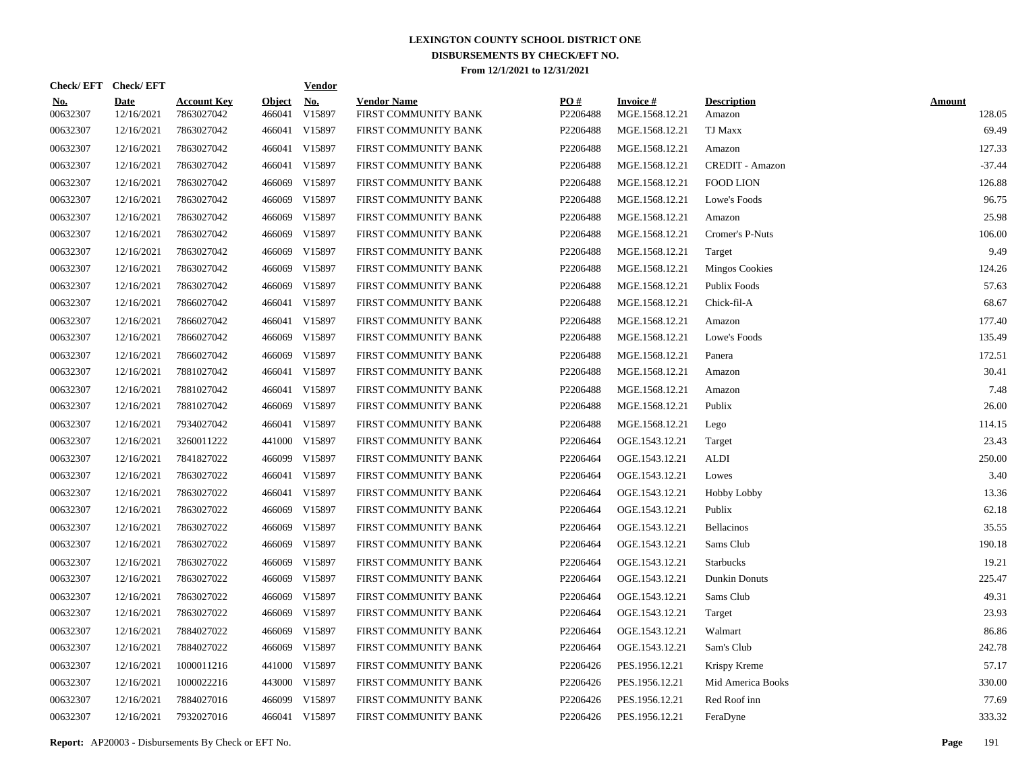|                        | Check/EFT Check/EFT |                                  |                         | <b>Vendor</b> |                                            |                 |                                   |                              |                         |
|------------------------|---------------------|----------------------------------|-------------------------|---------------|--------------------------------------------|-----------------|-----------------------------------|------------------------------|-------------------------|
| <u>No.</u><br>00632307 | Date<br>12/16/2021  | <b>Account Key</b><br>7863027042 | <b>Object</b><br>466041 | No.<br>V15897 | <b>Vendor Name</b><br>FIRST COMMUNITY BANK | PQ#<br>P2206488 | <b>Invoice#</b><br>MGE.1568.12.21 | <b>Description</b><br>Amazon | <b>Amount</b><br>128.05 |
| 00632307               | 12/16/2021          | 7863027042                       | 466041                  | V15897        | FIRST COMMUNITY BANK                       | P2206488        | MGE.1568.12.21                    | TJ Maxx                      | 69.49                   |
| 00632307               | 12/16/2021          | 7863027042                       | 466041                  | V15897        | FIRST COMMUNITY BANK                       | P2206488        | MGE.1568.12.21                    | Amazon                       | 127.33                  |
| 00632307               | 12/16/2021          | 7863027042                       | 466041                  | V15897        | FIRST COMMUNITY BANK                       | P2206488        | MGE.1568.12.21                    | CREDIT - Amazon              | $-37.44$                |
| 00632307               | 12/16/2021          | 7863027042                       | 466069                  | V15897        | FIRST COMMUNITY BANK                       | P2206488        | MGE.1568.12.21                    | <b>FOOD LION</b>             | 126.88                  |
| 00632307               | 12/16/2021          | 7863027042                       | 466069                  | V15897        | FIRST COMMUNITY BANK                       | P2206488        | MGE.1568.12.21                    | Lowe's Foods                 | 96.75                   |
| 00632307               | 12/16/2021          | 7863027042                       | 466069                  | V15897        | FIRST COMMUNITY BANK                       | P2206488        | MGE.1568.12.21                    | Amazon                       | 25.98                   |
| 00632307               | 12/16/2021          | 7863027042                       | 466069                  | V15897        | FIRST COMMUNITY BANK                       | P2206488        | MGE.1568.12.21                    | Cromer's P-Nuts              | 106.00                  |
| 00632307               | 12/16/2021          | 7863027042                       | 466069                  | V15897        | FIRST COMMUNITY BANK                       | P2206488        | MGE.1568.12.21                    | Target                       | 9.49                    |
| 00632307               | 12/16/2021          | 7863027042                       | 466069                  | V15897        | FIRST COMMUNITY BANK                       | P2206488        | MGE.1568.12.21                    | <b>Mingos Cookies</b>        | 124.26                  |
| 00632307               | 12/16/2021          | 7863027042                       | 466069                  | V15897        | FIRST COMMUNITY BANK                       | P2206488        | MGE.1568.12.21                    | Publix Foods                 | 57.63                   |
| 00632307               | 12/16/2021          | 7866027042                       | 466041                  | V15897        | FIRST COMMUNITY BANK                       | P2206488        | MGE.1568.12.21                    | Chick-fil-A                  | 68.67                   |
| 00632307               | 12/16/2021          | 7866027042                       | 466041                  | V15897        | FIRST COMMUNITY BANK                       | P2206488        | MGE.1568.12.21                    | Amazon                       | 177.40                  |
| 00632307               | 12/16/2021          | 7866027042                       | 466069                  | V15897        | FIRST COMMUNITY BANK                       | P2206488        | MGE.1568.12.21                    | Lowe's Foods                 | 135.49                  |
| 00632307               | 12/16/2021          | 7866027042                       | 466069                  | V15897        | FIRST COMMUNITY BANK                       | P2206488        | MGE.1568.12.21                    | Panera                       | 172.51                  |
| 00632307               | 12/16/2021          | 7881027042                       | 466041                  | V15897        | FIRST COMMUNITY BANK                       | P2206488        | MGE.1568.12.21                    | Amazon                       | 30.41                   |
| 00632307               | 12/16/2021          | 7881027042                       | 466041                  | V15897        | FIRST COMMUNITY BANK                       | P2206488        | MGE.1568.12.21                    | Amazon                       | 7.48                    |
| 00632307               | 12/16/2021          | 7881027042                       | 466069                  | V15897        | FIRST COMMUNITY BANK                       | P2206488        | MGE.1568.12.21                    | Publix                       | 26.00                   |
| 00632307               | 12/16/2021          | 7934027042                       | 466041                  | V15897        | FIRST COMMUNITY BANK                       | P2206488        | MGE.1568.12.21                    | Lego                         | 114.15                  |
| 00632307               | 12/16/2021          | 3260011222                       |                         | 441000 V15897 | FIRST COMMUNITY BANK                       | P2206464        | OGE.1543.12.21                    | Target                       | 23.43                   |
| 00632307               | 12/16/2021          | 7841827022                       |                         | 466099 V15897 | FIRST COMMUNITY BANK                       | P2206464        | OGE.1543.12.21                    | <b>ALDI</b>                  | 250.00                  |
| 00632307               | 12/16/2021          | 7863027022                       | 466041                  | V15897        | FIRST COMMUNITY BANK                       | P2206464        | OGE.1543.12.21                    | Lowes                        | 3.40                    |
| 00632307               | 12/16/2021          | 7863027022                       | 466041                  | V15897        | FIRST COMMUNITY BANK                       | P2206464        | OGE.1543.12.21                    | <b>Hobby Lobby</b>           | 13.36                   |
| 00632307               | 12/16/2021          | 7863027022                       | 466069                  | V15897        | FIRST COMMUNITY BANK                       | P2206464        | OGE.1543.12.21                    | Publix                       | 62.18                   |
| 00632307               | 12/16/2021          | 7863027022                       | 466069                  | V15897        | FIRST COMMUNITY BANK                       | P2206464        | OGE.1543.12.21                    | <b>Bellacinos</b>            | 35.55                   |
| 00632307               | 12/16/2021          | 7863027022                       | 466069                  | V15897        | FIRST COMMUNITY BANK                       | P2206464        | OGE.1543.12.21                    | Sams Club                    | 190.18                  |
| 00632307               | 12/16/2021          | 7863027022                       | 466069                  | V15897        | FIRST COMMUNITY BANK                       | P2206464        | OGE.1543.12.21                    | <b>Starbucks</b>             | 19.21                   |
| 00632307               | 12/16/2021          | 7863027022                       | 466069                  | V15897        | FIRST COMMUNITY BANK                       | P2206464        | OGE.1543.12.21                    | Dunkin Donuts                | 225.47                  |
| 00632307               | 12/16/2021          | 7863027022                       | 466069                  | V15897        | FIRST COMMUNITY BANK                       | P2206464        | OGE.1543.12.21                    | Sams Club                    | 49.31                   |
| 00632307               | 12/16/2021          | 7863027022                       | 466069                  | V15897        | FIRST COMMUNITY BANK                       | P2206464        | OGE.1543.12.21                    | Target                       | 23.93                   |
| 00632307               | 12/16/2021          | 7884027022                       | 466069                  | V15897        | FIRST COMMUNITY BANK                       | P2206464        | OGE.1543.12.21                    | Walmart                      | 86.86                   |
| 00632307               | 12/16/2021          | 7884027022                       | 466069                  | V15897        | FIRST COMMUNITY BANK                       | P2206464        | OGE.1543.12.21                    | Sam's Club                   | 242.78                  |
| 00632307               | 12/16/2021          | 1000011216                       | 441000                  | V15897        | FIRST COMMUNITY BANK                       | P2206426        | PES.1956.12.21                    | Krispy Kreme                 | 57.17                   |
| 00632307               | 12/16/2021          | 1000022216                       |                         | 443000 V15897 | FIRST COMMUNITY BANK                       | P2206426        | PES.1956.12.21                    | Mid America Books            | 330.00                  |
| 00632307               | 12/16/2021          | 7884027016                       | 466099                  | V15897        | FIRST COMMUNITY BANK                       | P2206426        | PES.1956.12.21                    | Red Roof inn                 | 77.69                   |
| 00632307               | 12/16/2021          | 7932027016                       |                         | 466041 V15897 | FIRST COMMUNITY BANK                       | P2206426        | PES.1956.12.21                    | FeraDyne                     | 333.32                  |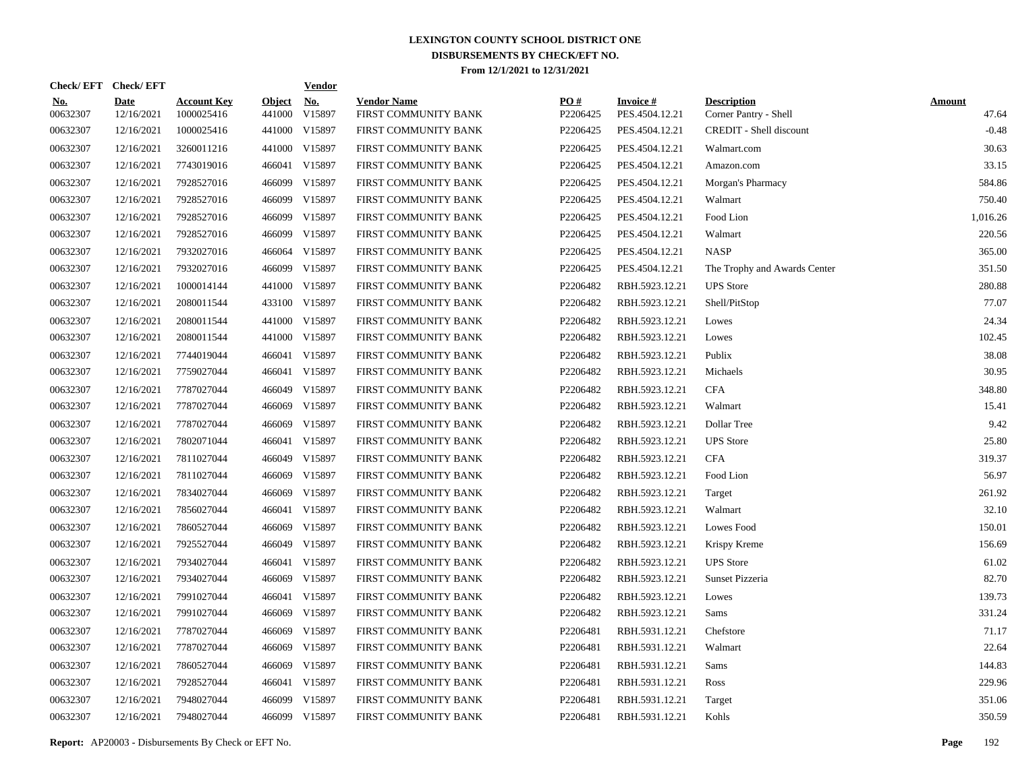|                        | Check/EFT Check/EFT |                                  |                         | <b>Vendor</b> |                                            |                 |                                   |                                             |                        |
|------------------------|---------------------|----------------------------------|-------------------------|---------------|--------------------------------------------|-----------------|-----------------------------------|---------------------------------------------|------------------------|
| <u>No.</u><br>00632307 | Date<br>12/16/2021  | <b>Account Key</b><br>1000025416 | <b>Object</b><br>441000 | No.<br>V15897 | <b>Vendor Name</b><br>FIRST COMMUNITY BANK | PQ#<br>P2206425 | <b>Invoice#</b><br>PES.4504.12.21 | <b>Description</b><br>Corner Pantry - Shell | <b>Amount</b><br>47.64 |
| 00632307               | 12/16/2021          | 1000025416                       |                         | 441000 V15897 | FIRST COMMUNITY BANK                       | P2206425        | PES.4504.12.21                    | CREDIT - Shell discount                     | $-0.48$                |
| 00632307               | 12/16/2021          | 3260011216                       |                         | 441000 V15897 | FIRST COMMUNITY BANK                       | P2206425        | PES.4504.12.21                    | Walmart.com                                 | 30.63                  |
| 00632307               | 12/16/2021          | 7743019016                       | 466041                  | V15897        | FIRST COMMUNITY BANK                       | P2206425        | PES.4504.12.21                    | Amazon.com                                  | 33.15                  |
| 00632307               | 12/16/2021          | 7928527016                       | 466099                  | V15897        | FIRST COMMUNITY BANK                       | P2206425        | PES.4504.12.21                    | Morgan's Pharmacy                           | 584.86                 |
| 00632307               | 12/16/2021          | 7928527016                       | 466099                  | V15897        | FIRST COMMUNITY BANK                       | P2206425        | PES.4504.12.21                    | Walmart                                     | 750.40                 |
| 00632307               | 12/16/2021          | 7928527016                       |                         | 466099 V15897 | FIRST COMMUNITY BANK                       | P2206425        | PES.4504.12.21                    | Food Lion                                   | 1,016.26               |
| 00632307               | 12/16/2021          | 7928527016                       | 466099                  | V15897        | FIRST COMMUNITY BANK                       | P2206425        | PES.4504.12.21                    | Walmart                                     | 220.56                 |
| 00632307               | 12/16/2021          | 7932027016                       |                         | 466064 V15897 | FIRST COMMUNITY BANK                       | P2206425        | PES.4504.12.21                    | <b>NASP</b>                                 | 365.00                 |
| 00632307               | 12/16/2021          | 7932027016                       |                         | 466099 V15897 | FIRST COMMUNITY BANK                       | P2206425        | PES.4504.12.21                    | The Trophy and Awards Center                | 351.50                 |
| 00632307               | 12/16/2021          | 1000014144                       |                         | 441000 V15897 | FIRST COMMUNITY BANK                       | P2206482        | RBH.5923.12.21                    | <b>UPS</b> Store                            | 280.88                 |
| 00632307               | 12/16/2021          | 2080011544                       |                         | 433100 V15897 | FIRST COMMUNITY BANK                       | P2206482        | RBH.5923.12.21                    | Shell/PitStop                               | 77.07                  |
| 00632307               | 12/16/2021          | 2080011544                       |                         | 441000 V15897 | FIRST COMMUNITY BANK                       | P2206482        | RBH.5923.12.21                    | Lowes                                       | 24.34                  |
| 00632307               | 12/16/2021          | 2080011544                       |                         | 441000 V15897 | FIRST COMMUNITY BANK                       | P2206482        | RBH.5923.12.21                    | Lowes                                       | 102.45                 |
| 00632307               | 12/16/2021          | 7744019044                       |                         | 466041 V15897 | FIRST COMMUNITY BANK                       | P2206482        | RBH.5923.12.21                    | Publix                                      | 38.08                  |
| 00632307               | 12/16/2021          | 7759027044                       |                         | 466041 V15897 | FIRST COMMUNITY BANK                       | P2206482        | RBH.5923.12.21                    | Michaels                                    | 30.95                  |
| 00632307               | 12/16/2021          | 7787027044                       |                         | 466049 V15897 | FIRST COMMUNITY BANK                       | P2206482        | RBH.5923.12.21                    | <b>CFA</b>                                  | 348.80                 |
| 00632307               | 12/16/2021          | 7787027044                       |                         | 466069 V15897 | FIRST COMMUNITY BANK                       | P2206482        | RBH.5923.12.21                    | Walmart                                     | 15.41                  |
| 00632307               | 12/16/2021          | 7787027044                       | 466069                  | V15897        | FIRST COMMUNITY BANK                       | P2206482        | RBH.5923.12.21                    | Dollar Tree                                 | 9.42                   |
| 00632307               | 12/16/2021          | 7802071044                       |                         | 466041 V15897 | FIRST COMMUNITY BANK                       | P2206482        | RBH.5923.12.21                    | <b>UPS</b> Store                            | 25.80                  |
| 00632307               | 12/16/2021          | 7811027044                       | 466049                  | V15897        | FIRST COMMUNITY BANK                       | P2206482        | RBH.5923.12.21                    | <b>CFA</b>                                  | 319.37                 |
| 00632307               | 12/16/2021          | 7811027044                       | 466069                  | V15897        | FIRST COMMUNITY BANK                       | P2206482        | RBH.5923.12.21                    | Food Lion                                   | 56.97                  |
| 00632307               | 12/16/2021          | 7834027044                       | 466069                  | V15897        | FIRST COMMUNITY BANK                       | P2206482        | RBH.5923.12.21                    | Target                                      | 261.92                 |
| 00632307               | 12/16/2021          | 7856027044                       |                         | 466041 V15897 | FIRST COMMUNITY BANK                       | P2206482        | RBH.5923.12.21                    | Walmart                                     | 32.10                  |
| 00632307               | 12/16/2021          | 7860527044                       | 466069                  | V15897        | FIRST COMMUNITY BANK                       | P2206482        | RBH.5923.12.21                    | Lowes Food                                  | 150.01                 |
| 00632307               | 12/16/2021          | 7925527044                       | 466049                  | V15897        | FIRST COMMUNITY BANK                       | P2206482        | RBH.5923.12.21                    | Krispy Kreme                                | 156.69                 |
| 00632307               | 12/16/2021          | 7934027044                       | 466041                  | V15897        | FIRST COMMUNITY BANK                       | P2206482        | RBH.5923.12.21                    | <b>UPS</b> Store                            | 61.02                  |
| 00632307               | 12/16/2021          | 7934027044                       | 466069                  | V15897        | FIRST COMMUNITY BANK                       | P2206482        | RBH.5923.12.21                    | Sunset Pizzeria                             | 82.70                  |
| 00632307               | 12/16/2021          | 7991027044                       | 466041                  | V15897        | FIRST COMMUNITY BANK                       | P2206482        | RBH.5923.12.21                    | Lowes                                       | 139.73                 |
| 00632307               | 12/16/2021          | 7991027044                       |                         | 466069 V15897 | FIRST COMMUNITY BANK                       | P2206482        | RBH.5923.12.21                    | Sams                                        | 331.24                 |
| 00632307               | 12/16/2021          | 7787027044                       | 466069                  | V15897        | FIRST COMMUNITY BANK                       | P2206481        | RBH.5931.12.21                    | Chefstore                                   | 71.17                  |
| 00632307               | 12/16/2021          | 7787027044                       | 466069                  | V15897        | FIRST COMMUNITY BANK                       | P2206481        | RBH.5931.12.21                    | Walmart                                     | 22.64                  |
| 00632307               | 12/16/2021          | 7860527044                       | 466069                  | V15897        | FIRST COMMUNITY BANK                       | P2206481        | RBH.5931.12.21                    | Sams                                        | 144.83                 |
| 00632307               | 12/16/2021          | 7928527044                       | 466041                  | V15897        | FIRST COMMUNITY BANK                       | P2206481        | RBH.5931.12.21                    | Ross                                        | 229.96                 |
| 00632307               | 12/16/2021          | 7948027044                       | 466099                  | V15897        | FIRST COMMUNITY BANK                       | P2206481        | RBH.5931.12.21                    | Target                                      | 351.06                 |
| 00632307               | 12/16/2021          | 7948027044                       |                         | 466099 V15897 | FIRST COMMUNITY BANK                       | P2206481        | RBH.5931.12.21                    | Kohls                                       | 350.59                 |
|                        |                     |                                  |                         |               |                                            |                 |                                   |                                             |                        |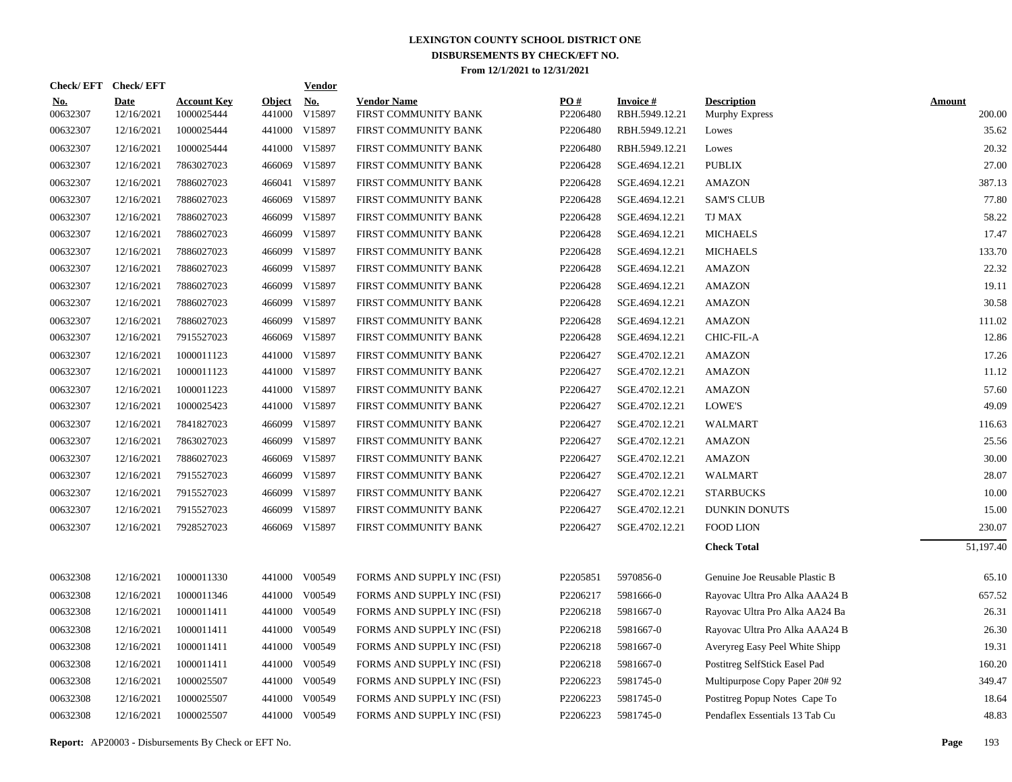|                        | Check/EFT Check/EFT       |                                  |                         | <u>Vendor</u>        |                                            |                 |                                   |                                      |                         |
|------------------------|---------------------------|----------------------------------|-------------------------|----------------------|--------------------------------------------|-----------------|-----------------------------------|--------------------------------------|-------------------------|
| <u>No.</u><br>00632307 | <b>Date</b><br>12/16/2021 | <b>Account Key</b><br>1000025444 | <b>Object</b><br>441000 | <u>No.</u><br>V15897 | <b>Vendor Name</b><br>FIRST COMMUNITY BANK | PQ#<br>P2206480 | <b>Invoice#</b><br>RBH.5949.12.21 | <b>Description</b><br>Murphy Express | <b>Amount</b><br>200.00 |
| 00632307               | 12/16/2021                | 1000025444                       |                         | 441000 V15897        | FIRST COMMUNITY BANK                       | P2206480        | RBH.5949.12.21                    | Lowes                                | 35.62                   |
| 00632307               | 12/16/2021                | 1000025444                       | 441000                  | V15897               | FIRST COMMUNITY BANK                       | P2206480        | RBH.5949.12.21                    | Lowes                                | 20.32                   |
| 00632307               | 12/16/2021                | 7863027023                       | 466069                  | V15897               | FIRST COMMUNITY BANK                       | P2206428        | SGE.4694.12.21                    | <b>PUBLIX</b>                        | 27.00                   |
| 00632307               | 12/16/2021                | 7886027023                       | 466041                  | V15897               | FIRST COMMUNITY BANK                       | P2206428        | SGE.4694.12.21                    | <b>AMAZON</b>                        | 387.13                  |
| 00632307               | 12/16/2021                | 7886027023                       | 466069                  | V15897               | FIRST COMMUNITY BANK                       | P2206428        | SGE.4694.12.21                    | <b>SAM'S CLUB</b>                    | 77.80                   |
| 00632307               | 12/16/2021                | 7886027023                       | 466099                  | V15897               | FIRST COMMUNITY BANK                       | P2206428        | SGE.4694.12.21                    | <b>TJ MAX</b>                        | 58.22                   |
| 00632307               | 12/16/2021                | 7886027023                       | 466099                  | V15897               | FIRST COMMUNITY BANK                       | P2206428        | SGE.4694.12.21                    | <b>MICHAELS</b>                      | 17.47                   |
| 00632307               | 12/16/2021                | 7886027023                       | 466099                  | V15897               | FIRST COMMUNITY BANK                       | P2206428        | SGE.4694.12.21                    | <b>MICHAELS</b>                      | 133.70                  |
| 00632307               | 12/16/2021                | 7886027023                       | 466099                  | V15897               | FIRST COMMUNITY BANK                       | P2206428        | SGE.4694.12.21                    | <b>AMAZON</b>                        | 22.32                   |
| 00632307               | 12/16/2021                | 7886027023                       | 466099                  | V15897               | FIRST COMMUNITY BANK                       | P2206428        | SGE.4694.12.21                    | <b>AMAZON</b>                        | 19.11                   |
| 00632307               | 12/16/2021                | 7886027023                       | 466099                  | V15897               | FIRST COMMUNITY BANK                       | P2206428        | SGE.4694.12.21                    | <b>AMAZON</b>                        | 30.58                   |
| 00632307               | 12/16/2021                | 7886027023                       | 466099                  | V15897               | FIRST COMMUNITY BANK                       | P2206428        | SGE.4694.12.21                    | <b>AMAZON</b>                        | 111.02                  |
| 00632307               | 12/16/2021                | 7915527023                       | 466069                  | V15897               | FIRST COMMUNITY BANK                       | P2206428        | SGE.4694.12.21                    | CHIC-FIL-A                           | 12.86                   |
| 00632307               | 12/16/2021                | 1000011123                       | 441000                  | V15897               | FIRST COMMUNITY BANK                       | P2206427        | SGE.4702.12.21                    | <b>AMAZON</b>                        | 17.26                   |
| 00632307               | 12/16/2021                | 1000011123                       |                         | 441000 V15897        | FIRST COMMUNITY BANK                       | P2206427        | SGE.4702.12.21                    | <b>AMAZON</b>                        | 11.12                   |
| 00632307               | 12/16/2021                | 1000011223                       |                         | 441000 V15897        | FIRST COMMUNITY BANK                       | P2206427        | SGE.4702.12.21                    | <b>AMAZON</b>                        | 57.60                   |
| 00632307               | 12/16/2021                | 1000025423                       |                         | 441000 V15897        | FIRST COMMUNITY BANK                       | P2206427        | SGE.4702.12.21                    | LOWE'S                               | 49.09                   |
| 00632307               | 12/16/2021                | 7841827023                       | 466099                  | V15897               | FIRST COMMUNITY BANK                       | P2206427        | SGE.4702.12.21                    | <b>WALMART</b>                       | 116.63                  |
| 00632307               | 12/16/2021                | 7863027023                       |                         | 466099 V15897        | FIRST COMMUNITY BANK                       | P2206427        | SGE.4702.12.21                    | <b>AMAZON</b>                        | 25.56                   |
| 00632307               | 12/16/2021                | 7886027023                       | 466069                  | V15897               | FIRST COMMUNITY BANK                       | P2206427        | SGE.4702.12.21                    | <b>AMAZON</b>                        | 30.00                   |
| 00632307               | 12/16/2021                | 7915527023                       |                         | 466099 V15897        | FIRST COMMUNITY BANK                       | P2206427        | SGE.4702.12.21                    | <b>WALMART</b>                       | 28.07                   |
| 00632307               | 12/16/2021                | 7915527023                       | 466099                  | V15897               | FIRST COMMUNITY BANK                       | P2206427        | SGE.4702.12.21                    | <b>STARBUCKS</b>                     | 10.00                   |
| 00632307               | 12/16/2021                | 7915527023                       | 466099                  | V15897               | FIRST COMMUNITY BANK                       | P2206427        | SGE.4702.12.21                    | <b>DUNKIN DONUTS</b>                 | 15.00                   |
| 00632307               | 12/16/2021                | 7928527023                       |                         | 466069 V15897        | FIRST COMMUNITY BANK                       | P2206427        | SGE.4702.12.21                    | <b>FOOD LION</b>                     | 230.07                  |
|                        |                           |                                  |                         |                      |                                            |                 |                                   | <b>Check Total</b>                   | 51,197.40               |
| 00632308               | 12/16/2021                | 1000011330                       |                         | 441000 V00549        | FORMS AND SUPPLY INC (FSI)                 | P2205851        | 5970856-0                         | Genuine Joe Reusable Plastic B       | 65.10                   |
| 00632308               | 12/16/2021                | 1000011346                       | 441000                  | V00549               | FORMS AND SUPPLY INC (FSI)                 | P2206217        | 5981666-0                         | Rayovac Ultra Pro Alka AAA24 B       | 657.52                  |
| 00632308               | 12/16/2021                | 1000011411                       |                         | 441000 V00549        | FORMS AND SUPPLY INC (FSI)                 | P2206218        | 5981667-0                         | Rayovac Ultra Pro Alka AA24 Ba       | 26.31                   |
| 00632308               | 12/16/2021                | 1000011411                       | 441000                  | V00549               | FORMS AND SUPPLY INC (FSI)                 | P2206218        | 5981667-0                         | Rayovac Ultra Pro Alka AAA24 B       | 26.30                   |
| 00632308               | 12/16/2021                | 1000011411                       |                         | 441000 V00549        | FORMS AND SUPPLY INC (FSI)                 | P2206218        | 5981667-0                         | Averyreg Easy Peel White Shipp       | 19.31                   |
| 00632308               | 12/16/2021                | 1000011411                       | 441000                  | V00549               | FORMS AND SUPPLY INC (FSI)                 | P2206218        | 5981667-0                         | Postitreg SelfStick Easel Pad        | 160.20                  |
| 00632308               | 12/16/2021                | 1000025507                       |                         | 441000 V00549        | FORMS AND SUPPLY INC (FSI)                 | P2206223        | 5981745-0                         | Multipurpose Copy Paper 20#92        | 349.47                  |
| 00632308               | 12/16/2021                | 1000025507                       | 441000                  | V00549               | FORMS AND SUPPLY INC (FSI)                 | P2206223        | 5981745-0                         | Postitreg Popup Notes Cape To        | 18.64                   |
| 00632308               | 12/16/2021                | 1000025507                       |                         | 441000 V00549        | FORMS AND SUPPLY INC (FSI)                 | P2206223        | 5981745-0                         | Pendaflex Essentials 13 Tab Cu       | 48.83                   |
|                        |                           |                                  |                         |                      |                                            |                 |                                   |                                      |                         |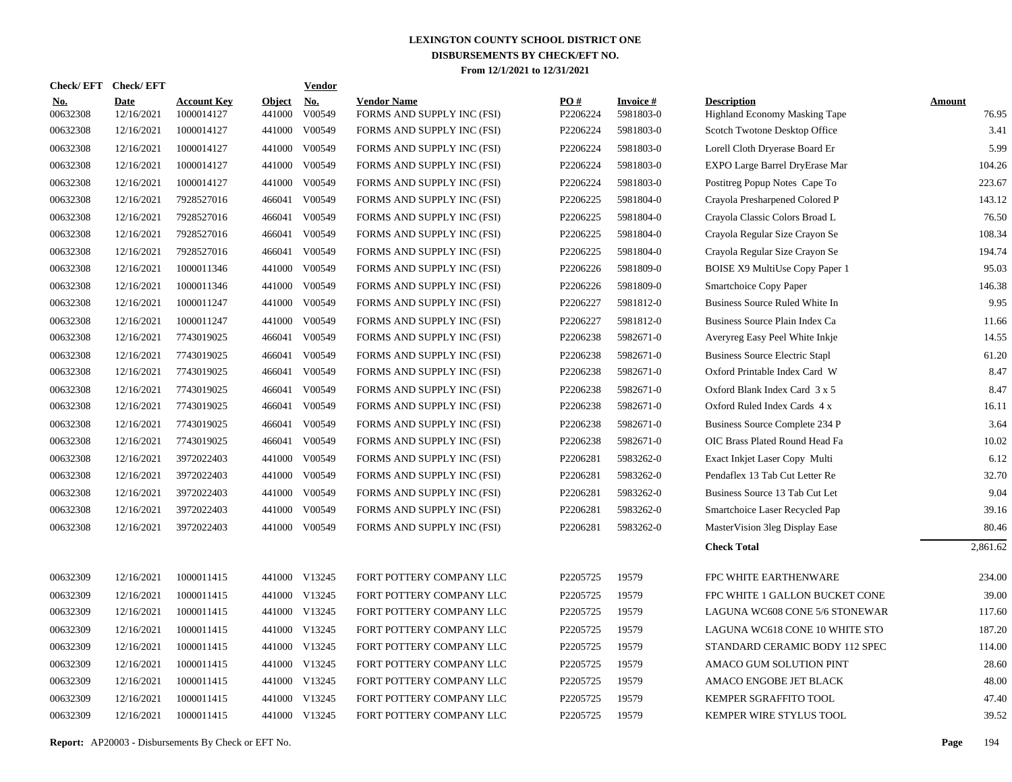|                        | Check/EFT Check/EFT |                                  |                         | Vendor        |                                                  |                 |                              |                                                     |                 |
|------------------------|---------------------|----------------------------------|-------------------------|---------------|--------------------------------------------------|-----------------|------------------------------|-----------------------------------------------------|-----------------|
| <u>No.</u><br>00632308 | Date<br>12/16/2021  | <b>Account Key</b><br>1000014127 | <b>Object</b><br>441000 | No.<br>V00549 | <b>Vendor Name</b><br>FORMS AND SUPPLY INC (FSI) | PO#<br>P2206224 | <b>Invoice#</b><br>5981803-0 | <b>Description</b><br>Highland Economy Masking Tape | Amount<br>76.95 |
| 00632308               | 12/16/2021          | 1000014127                       | 441000                  | V00549        | FORMS AND SUPPLY INC (FSI)                       | P2206224        | 5981803-0                    | Scotch Twotone Desktop Office                       | 3.41            |
| 00632308               | 12/16/2021          | 1000014127                       | 441000                  | V00549        | FORMS AND SUPPLY INC (FSI)                       | P2206224        | 5981803-0                    | Lorell Cloth Dryerase Board Er                      | 5.99            |
| 00632308               | 12/16/2021          | 1000014127                       | 441000                  | V00549        | FORMS AND SUPPLY INC (FSI)                       | P2206224        | 5981803-0                    | EXPO Large Barrel DryErase Mar                      | 104.26          |
| 00632308               | 12/16/2021          | 1000014127                       | 441000                  | V00549        | FORMS AND SUPPLY INC (FSI)                       | P2206224        | 5981803-0                    | Postitreg Popup Notes Cape To                       | 223.67          |
| 00632308               | 12/16/2021          | 7928527016                       | 466041                  | V00549        | FORMS AND SUPPLY INC (FSI)                       | P2206225        | 5981804-0                    | Crayola Presharpened Colored P                      | 143.12          |
| 00632308               | 12/16/2021          | 7928527016                       | 466041                  | V00549        | FORMS AND SUPPLY INC (FSI)                       | P2206225        | 5981804-0                    | Crayola Classic Colors Broad L                      | 76.50           |
| 00632308               | 12/16/2021          | 7928527016                       | 466041                  | V00549        | FORMS AND SUPPLY INC (FSI)                       | P2206225        | 5981804-0                    | Crayola Regular Size Crayon Se                      | 108.34          |
| 00632308               | 12/16/2021          | 7928527016                       | 466041                  | V00549        | FORMS AND SUPPLY INC (FSI)                       | P2206225        | 5981804-0                    | Crayola Regular Size Crayon Se                      | 194.74          |
| 00632308               | 12/16/2021          | 1000011346                       | 441000                  | V00549        | FORMS AND SUPPLY INC (FSI)                       | P2206226        | 5981809-0                    | BOISE X9 MultiUse Copy Paper 1                      | 95.03           |
| 00632308               | 12/16/2021          | 1000011346                       | 441000                  | V00549        | FORMS AND SUPPLY INC (FSI)                       | P2206226        | 5981809-0                    | Smartchoice Copy Paper                              | 146.38          |
| 00632308               | 12/16/2021          | 1000011247                       | 441000                  | V00549        | FORMS AND SUPPLY INC (FSI)                       | P2206227        | 5981812-0                    | Business Source Ruled White In                      | 9.95            |
| 00632308               | 12/16/2021          | 1000011247                       | 441000                  | V00549        | FORMS AND SUPPLY INC (FSI)                       | P2206227        | 5981812-0                    | Business Source Plain Index Ca                      | 11.66           |
| 00632308               | 12/16/2021          | 7743019025                       |                         | 466041 V00549 | FORMS AND SUPPLY INC (FSI)                       | P2206238        | 5982671-0                    | Averyreg Easy Peel White Inkje                      | 14.55           |
| 00632308               | 12/16/2021          | 7743019025                       | 466041                  | V00549        | FORMS AND SUPPLY INC (FSI)                       | P2206238        | 5982671-0                    | <b>Business Source Electric Stapl</b>               | 61.20           |
| 00632308               | 12/16/2021          | 7743019025                       |                         | 466041 V00549 | FORMS AND SUPPLY INC (FSI)                       | P2206238        | 5982671-0                    | Oxford Printable Index Card W                       | 8.47            |
| 00632308               | 12/16/2021          | 7743019025                       |                         | 466041 V00549 | FORMS AND SUPPLY INC (FSI)                       | P2206238        | 5982671-0                    | Oxford Blank Index Card 3 x 5                       | 8.47            |
| 00632308               | 12/16/2021          | 7743019025                       |                         | 466041 V00549 | FORMS AND SUPPLY INC (FSI)                       | P2206238        | 5982671-0                    | Oxford Ruled Index Cards 4 x                        | 16.11           |
| 00632308               | 12/16/2021          | 7743019025                       |                         | 466041 V00549 | FORMS AND SUPPLY INC (FSI)                       | P2206238        | 5982671-0                    | Business Source Complete 234 P                      | 3.64            |
| 00632308               | 12/16/2021          | 7743019025                       | 466041                  | V00549        | FORMS AND SUPPLY INC (FSI)                       | P2206238        | 5982671-0                    | OIC Brass Plated Round Head Fa                      | 10.02           |
| 00632308               | 12/16/2021          | 3972022403                       | 441000                  | V00549        | FORMS AND SUPPLY INC (FSI)                       | P2206281        | 5983262-0                    | Exact Inkjet Laser Copy Multi                       | 6.12            |
| 00632308               | 12/16/2021          | 3972022403                       | 441000                  | V00549        | FORMS AND SUPPLY INC (FSI)                       | P2206281        | 5983262-0                    | Pendaflex 13 Tab Cut Letter Re                      | 32.70           |
| 00632308               | 12/16/2021          | 3972022403                       | 441000                  | V00549        | FORMS AND SUPPLY INC (FSI)                       | P2206281        | 5983262-0                    | Business Source 13 Tab Cut Let                      | 9.04            |
| 00632308               | 12/16/2021          | 3972022403                       | 441000                  | V00549        | FORMS AND SUPPLY INC (FSI)                       | P2206281        | 5983262-0                    | Smartchoice Laser Recycled Pap                      | 39.16           |
| 00632308               | 12/16/2021          | 3972022403                       | 441000                  | V00549        | FORMS AND SUPPLY INC (FSI)                       | P2206281        | 5983262-0                    | MasterVision 3leg Display Ease                      | 80.46           |
|                        |                     |                                  |                         |               |                                                  |                 |                              | <b>Check Total</b>                                  | 2,861.62        |
| 00632309               | 12/16/2021          | 1000011415                       |                         | 441000 V13245 | FORT POTTERY COMPANY LLC                         | P2205725        | 19579                        | <b>FPC WHITE EARTHENWARE</b>                        | 234.00          |
| 00632309               | 12/16/2021          | 1000011415                       | 441000                  | V13245        | FORT POTTERY COMPANY LLC                         | P2205725        | 19579                        | FPC WHITE 1 GALLON BUCKET CONE                      | 39.00           |
| 00632309               | 12/16/2021          | 1000011415                       |                         | 441000 V13245 | FORT POTTERY COMPANY LLC                         | P2205725        | 19579                        | LAGUNA WC608 CONE 5/6 STONEWAR                      | 117.60          |
| 00632309               | 12/16/2021          | 1000011415                       | 441000                  | V13245        | FORT POTTERY COMPANY LLC                         | P2205725        | 19579                        | LAGUNA WC618 CONE 10 WHITE STO                      | 187.20          |
| 00632309               | 12/16/2021          | 1000011415                       |                         | 441000 V13245 | FORT POTTERY COMPANY LLC                         | P2205725        | 19579                        | STANDARD CERAMIC BODY 112 SPEC                      | 114.00          |
| 00632309               | 12/16/2021          | 1000011415                       | 441000                  | V13245        | FORT POTTERY COMPANY LLC                         | P2205725        | 19579                        | AMACO GUM SOLUTION PINT                             | 28.60           |
| 00632309               | 12/16/2021          | 1000011415                       |                         | 441000 V13245 | FORT POTTERY COMPANY LLC                         | P2205725        | 19579                        | AMACO ENGOBE JET BLACK                              | 48.00           |
| 00632309               | 12/16/2021          | 1000011415                       | 441000                  | V13245        | FORT POTTERY COMPANY LLC                         | P2205725        | 19579                        | <b>KEMPER SGRAFFITO TOOL</b>                        | 47.40           |
| 00632309               | 12/16/2021          | 1000011415                       |                         | 441000 V13245 | FORT POTTERY COMPANY LLC                         | P2205725        | 19579                        | KEMPER WIRE STYLUS TOOL                             | 39.52           |
|                        |                     |                                  |                         |               |                                                  |                 |                              |                                                     |                 |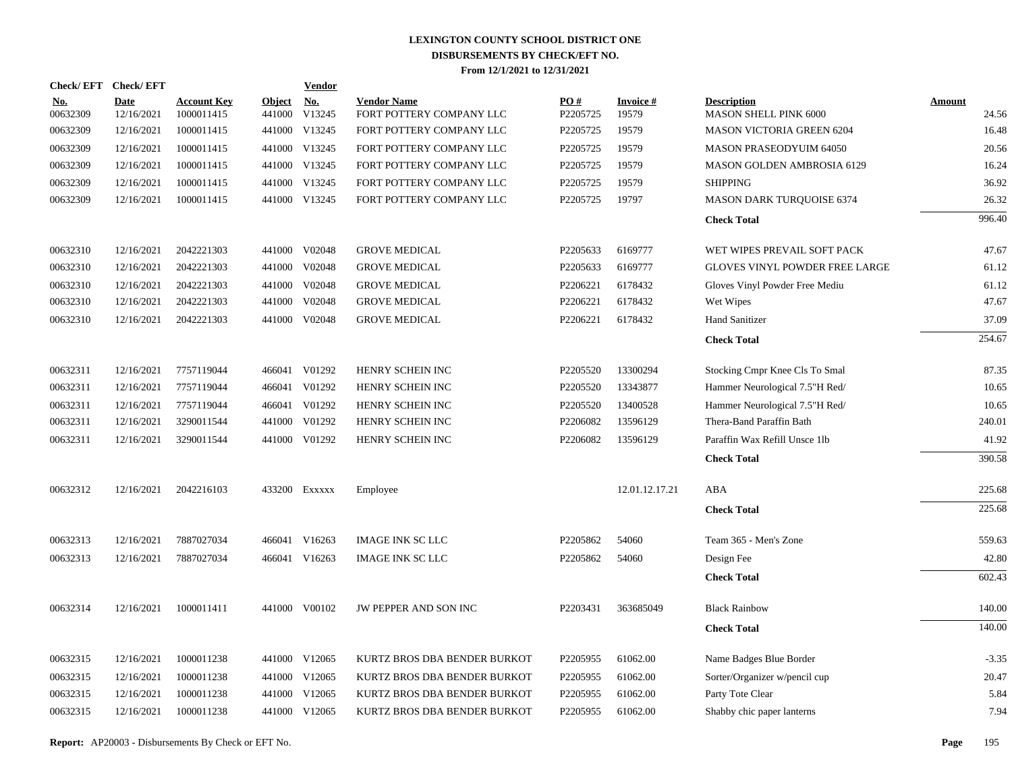| Check/EFT Check/EFT    |                           |                                  |                         | <b>Vendor</b> |                                                |                 |                          |                                                    |                 |
|------------------------|---------------------------|----------------------------------|-------------------------|---------------|------------------------------------------------|-----------------|--------------------------|----------------------------------------------------|-----------------|
| <u>No.</u><br>00632309 | <b>Date</b><br>12/16/2021 | <b>Account Key</b><br>1000011415 | <b>Object</b><br>441000 | No.<br>V13245 | <b>Vendor Name</b><br>FORT POTTERY COMPANY LLC | PO#<br>P2205725 | <b>Invoice#</b><br>19579 | <b>Description</b><br><b>MASON SHELL PINK 6000</b> | Amount<br>24.56 |
| 00632309               | 12/16/2021                | 1000011415                       |                         | 441000 V13245 | FORT POTTERY COMPANY LLC                       | P2205725        | 19579                    | <b>MASON VICTORIA GREEN 6204</b>                   | 16.48           |
| 00632309               | 12/16/2021                | 1000011415                       |                         | 441000 V13245 | FORT POTTERY COMPANY LLC                       | P2205725        | 19579                    | <b>MASON PRASEODYUIM 64050</b>                     | 20.56           |
| 00632309               | 12/16/2021                | 1000011415                       |                         | 441000 V13245 | FORT POTTERY COMPANY LLC                       | P2205725        | 19579                    | <b>MASON GOLDEN AMBROSIA 6129</b>                  | 16.24           |
| 00632309               | 12/16/2021                | 1000011415                       |                         | 441000 V13245 | FORT POTTERY COMPANY LLC                       | P2205725        | 19579                    | <b>SHIPPING</b>                                    | 36.92           |
| 00632309               | 12/16/2021                | 1000011415                       |                         | 441000 V13245 | FORT POTTERY COMPANY LLC                       | P2205725        | 19797                    | <b>MASON DARK TURQUOISE 6374</b>                   | 26.32           |
|                        |                           |                                  |                         |               |                                                |                 |                          | <b>Check Total</b>                                 | 996.40          |
| 00632310               | 12/16/2021                | 2042221303                       | 441000                  | V02048        | <b>GROVE MEDICAL</b>                           | P2205633        | 6169777                  | WET WIPES PREVAIL SOFT PACK                        | 47.67           |
| 00632310               | 12/16/2021                | 2042221303                       | 441000                  | V02048        | <b>GROVE MEDICAL</b>                           | P2205633        | 6169777                  | <b>GLOVES VINYL POWDER FREE LARGE</b>              | 61.12           |
| 00632310               | 12/16/2021                | 2042221303                       | 441000                  | V02048        | <b>GROVE MEDICAL</b>                           | P2206221        | 6178432                  | Gloves Vinyl Powder Free Mediu                     | 61.12           |
| 00632310               | 12/16/2021                | 2042221303                       | 441000                  | V02048        | <b>GROVE MEDICAL</b>                           | P2206221        | 6178432                  | Wet Wipes                                          | 47.67           |
| 00632310               | 12/16/2021                | 2042221303                       | 441000                  | V02048        | <b>GROVE MEDICAL</b>                           | P2206221        | 6178432                  | <b>Hand Sanitizer</b>                              | 37.09           |
|                        |                           |                                  |                         |               |                                                |                 |                          | <b>Check Total</b>                                 | 254.67          |
| 00632311               | 12/16/2021                | 7757119044                       |                         | 466041 V01292 | HENRY SCHEIN INC                               | P2205520        | 13300294                 | Stocking Cmpr Knee Cls To Smal                     | 87.35           |
| 00632311               | 12/16/2021                | 7757119044                       | 466041                  | V01292        | HENRY SCHEIN INC                               | P2205520        | 13343877                 | Hammer Neurological 7.5"H Red/                     | 10.65           |
| 00632311               | 12/16/2021                | 7757119044                       |                         | 466041 V01292 | HENRY SCHEIN INC                               | P2205520        | 13400528                 | Hammer Neurological 7.5"H Red/                     | 10.65           |
| 00632311               | 12/16/2021                | 3290011544                       | 441000                  | V01292        | HENRY SCHEIN INC                               | P2206082        | 13596129                 | Thera-Band Paraffin Bath                           | 240.01          |
| 00632311               | 12/16/2021                | 3290011544                       |                         | 441000 V01292 | HENRY SCHEIN INC                               | P2206082        | 13596129                 | Paraffin Wax Refill Unsce 1lb                      | 41.92           |
|                        |                           |                                  |                         |               |                                                |                 |                          | <b>Check Total</b>                                 | 390.58          |
| 00632312               | 12/16/2021                | 2042216103                       |                         | 433200 Exxxxx | Employee                                       |                 | 12.01.12.17.21           | ABA                                                | 225.68          |
|                        |                           |                                  |                         |               |                                                |                 |                          | <b>Check Total</b>                                 | 225.68          |
| 00632313               | 12/16/2021                | 7887027034                       |                         | 466041 V16263 | <b>IMAGE INK SC LLC</b>                        | P2205862        | 54060                    | Team 365 - Men's Zone                              | 559.63          |
| 00632313               | 12/16/2021                | 7887027034                       |                         | 466041 V16263 | <b>IMAGE INK SC LLC</b>                        | P2205862        | 54060                    | Design Fee                                         | 42.80           |
|                        |                           |                                  |                         |               |                                                |                 |                          | <b>Check Total</b>                                 | 602.43          |
| 00632314               | 12/16/2021                | 1000011411                       |                         | 441000 V00102 | JW PEPPER AND SON INC                          | P2203431        | 363685049                | <b>Black Rainbow</b>                               | 140.00          |
|                        |                           |                                  |                         |               |                                                |                 |                          | <b>Check Total</b>                                 | 140.00          |
| 00632315               | 12/16/2021                | 1000011238                       |                         | 441000 V12065 | KURTZ BROS DBA BENDER BURKOT                   | P2205955        | 61062.00                 | Name Badges Blue Border                            | $-3.35$         |
| 00632315               | 12/16/2021                | 1000011238                       | 441000                  | V12065        | KURTZ BROS DBA BENDER BURKOT                   | P2205955        | 61062.00                 | Sorter/Organizer w/pencil cup                      | 20.47           |
| 00632315               | 12/16/2021                | 1000011238                       | 441000                  | V12065        | KURTZ BROS DBA BENDER BURKOT                   | P2205955        | 61062.00                 | Party Tote Clear                                   | 5.84            |
| 00632315               | 12/16/2021                | 1000011238                       |                         | 441000 V12065 | KURTZ BROS DBA BENDER BURKOT                   | P2205955        | 61062.00                 | Shabby chic paper lanterns                         | 7.94            |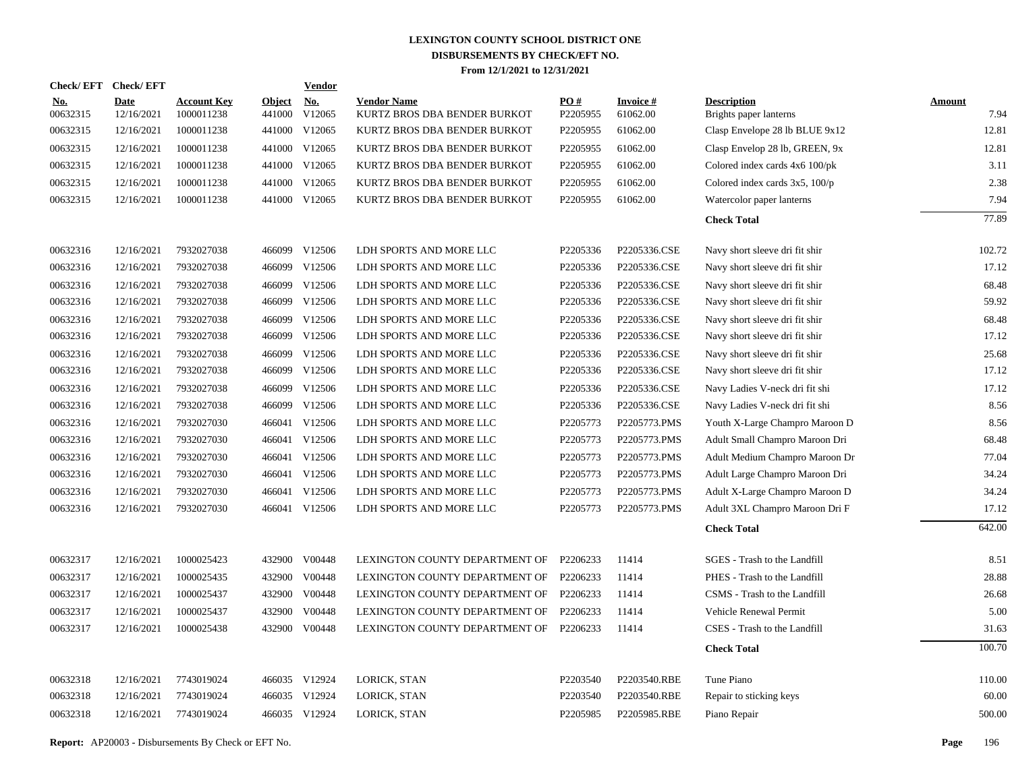|                        | Check/EFT Check/EFT       |                                  |                         | <b>Vendor</b> |                                                    |                 |                             |                                              |                       |
|------------------------|---------------------------|----------------------------------|-------------------------|---------------|----------------------------------------------------|-----------------|-----------------------------|----------------------------------------------|-----------------------|
| <u>No.</u><br>00632315 | <b>Date</b><br>12/16/2021 | <b>Account Key</b><br>1000011238 | <b>Object</b><br>441000 | No.<br>V12065 | <b>Vendor Name</b><br>KURTZ BROS DBA BENDER BURKOT | PO#<br>P2205955 | <b>Invoice#</b><br>61062.00 | <b>Description</b><br>Brights paper lanterns | <b>Amount</b><br>7.94 |
| 00632315               | 12/16/2021                | 1000011238                       | 441000                  | V12065        | KURTZ BROS DBA BENDER BURKOT                       | P2205955        | 61062.00                    | Clasp Envelope 28 lb BLUE 9x12               | 12.81                 |
| 00632315               | 12/16/2021                | 1000011238                       | 441000                  | V12065        | KURTZ BROS DBA BENDER BURKOT                       | P2205955        | 61062.00                    | Clasp Envelop 28 lb, GREEN, 9x               | 12.81                 |
| 00632315               | 12/16/2021                | 1000011238                       | 441000                  | V12065        | KURTZ BROS DBA BENDER BURKOT                       | P2205955        | 61062.00                    | Colored index cards 4x6 100/pk               | 3.11                  |
| 00632315               | 12/16/2021                | 1000011238                       |                         | 441000 V12065 | KURTZ BROS DBA BENDER BURKOT                       | P2205955        | 61062.00                    | Colored index cards $3x5$ , $100/p$          | 2.38                  |
| 00632315               | 12/16/2021                | 1000011238                       |                         | 441000 V12065 | KURTZ BROS DBA BENDER BURKOT                       | P2205955        | 61062.00                    | Watercolor paper lanterns                    | 7.94                  |
|                        |                           |                                  |                         |               |                                                    |                 |                             | <b>Check Total</b>                           | 77.89                 |
| 00632316               | 12/16/2021                | 7932027038                       |                         | 466099 V12506 | LDH SPORTS AND MORE LLC                            | P2205336        | P2205336.CSE                | Navy short sleeve dri fit shir               | 102.72                |
| 00632316               | 12/16/2021                | 7932027038                       | 466099                  | V12506        | LDH SPORTS AND MORE LLC                            | P2205336        | P2205336.CSE                | Navy short sleeve dri fit shir               | 17.12                 |
| 00632316               | 12/16/2021                | 7932027038                       | 466099                  | V12506        | LDH SPORTS AND MORE LLC                            | P2205336        | P2205336.CSE                | Navy short sleeve dri fit shir               | 68.48                 |
| 00632316               | 12/16/2021                | 7932027038                       | 466099                  | V12506        | LDH SPORTS AND MORE LLC                            | P2205336        | P2205336.CSE                | Navy short sleeve dri fit shir               | 59.92                 |
| 00632316               | 12/16/2021                | 7932027038                       | 466099                  | V12506        | LDH SPORTS AND MORE LLC                            | P2205336        | P2205336.CSE                | Navy short sleeve dri fit shir               | 68.48                 |
| 00632316               | 12/16/2021                | 7932027038                       | 466099                  | V12506        | LDH SPORTS AND MORE LLC                            | P2205336        | P2205336.CSE                | Navy short sleeve dri fit shir               | 17.12                 |
| 00632316               | 12/16/2021                | 7932027038                       | 466099                  | V12506        | LDH SPORTS AND MORE LLC                            | P2205336        | P2205336.CSE                | Navy short sleeve dri fit shir               | 25.68                 |
| 00632316               | 12/16/2021                | 7932027038                       | 466099                  | V12506        | LDH SPORTS AND MORE LLC                            | P2205336        | P2205336.CSE                | Navy short sleeve dri fit shir               | 17.12                 |
| 00632316               | 12/16/2021                | 7932027038                       | 466099                  | V12506        | LDH SPORTS AND MORE LLC                            | P2205336        | P2205336.CSE                | Navy Ladies V-neck dri fit shi               | 17.12                 |
| 00632316               | 12/16/2021                | 7932027038                       |                         | 466099 V12506 | LDH SPORTS AND MORE LLC                            | P2205336        | P2205336.CSE                | Navy Ladies V-neck dri fit shi               | 8.56                  |
| 00632316               | 12/16/2021                | 7932027030                       | 466041                  | V12506        | LDH SPORTS AND MORE LLC                            | P2205773        | P2205773.PMS                | Youth X-Large Champro Maroon D               | 8.56                  |
| 00632316               | 12/16/2021                | 7932027030                       |                         | 466041 V12506 | LDH SPORTS AND MORE LLC                            | P2205773        | P2205773.PMS                | Adult Small Champro Maroon Dri               | 68.48                 |
| 00632316               | 12/16/2021                | 7932027030                       | 466041                  | V12506        | LDH SPORTS AND MORE LLC                            | P2205773        | P2205773.PMS                | Adult Medium Champro Maroon Dr               | 77.04                 |
| 00632316               | 12/16/2021                | 7932027030                       |                         | 466041 V12506 | LDH SPORTS AND MORE LLC                            | P2205773        | P2205773.PMS                | Adult Large Champro Maroon Dri               | 34.24                 |
| 00632316               | 12/16/2021                | 7932027030                       | 466041                  | V12506        | LDH SPORTS AND MORE LLC                            | P2205773        | P2205773.PMS                | Adult X-Large Champro Maroon D               | 34.24                 |
| 00632316               | 12/16/2021                | 7932027030                       |                         | 466041 V12506 | LDH SPORTS AND MORE LLC                            | P2205773        | P2205773.PMS                | Adult 3XL Champro Maroon Dri F               | 17.12                 |
|                        |                           |                                  |                         |               |                                                    |                 |                             | <b>Check Total</b>                           | 642.00                |
| 00632317               | 12/16/2021                | 1000025423                       |                         | 432900 V00448 | LEXINGTON COUNTY DEPARTMENT OF                     | P2206233        | 11414                       | SGES - Trash to the Landfill                 | 8.51                  |
| 00632317               | 12/16/2021                | 1000025435                       | 432900                  | V00448        | LEXINGTON COUNTY DEPARTMENT OF                     | P2206233        | 11414                       | PHES - Trash to the Landfill                 | 28.88                 |
| 00632317               | 12/16/2021                | 1000025437                       |                         | 432900 V00448 | LEXINGTON COUNTY DEPARTMENT OF                     | P2206233        | 11414                       | CSMS - Trash to the Landfill                 | 26.68                 |
| 00632317               | 12/16/2021                | 1000025437                       | 432900                  | V00448        | LEXINGTON COUNTY DEPARTMENT OF                     | P2206233        | 11414                       | Vehicle Renewal Permit                       | 5.00                  |
| 00632317               | 12/16/2021                | 1000025438                       |                         | 432900 V00448 | LEXINGTON COUNTY DEPARTMENT OF P2206233            |                 | 11414                       | CSES - Trash to the Landfill                 | 31.63                 |
|                        |                           |                                  |                         |               |                                                    |                 |                             | <b>Check Total</b>                           | 100.70                |
| 00632318               | 12/16/2021                | 7743019024                       |                         | 466035 V12924 | LORICK, STAN                                       | P2203540        | P2203540.RBE                | Tune Piano                                   | 110.00                |
| 00632318               | 12/16/2021                | 7743019024                       |                         | 466035 V12924 | LORICK, STAN                                       | P2203540        | P2203540.RBE                | Repair to sticking keys                      | 60.00                 |
| 00632318               | 12/16/2021                | 7743019024                       |                         | 466035 V12924 | LORICK, STAN                                       | P2205985        | P2205985.RBE                | Piano Repair                                 | 500.00                |
|                        |                           |                                  |                         |               |                                                    |                 |                             |                                              |                       |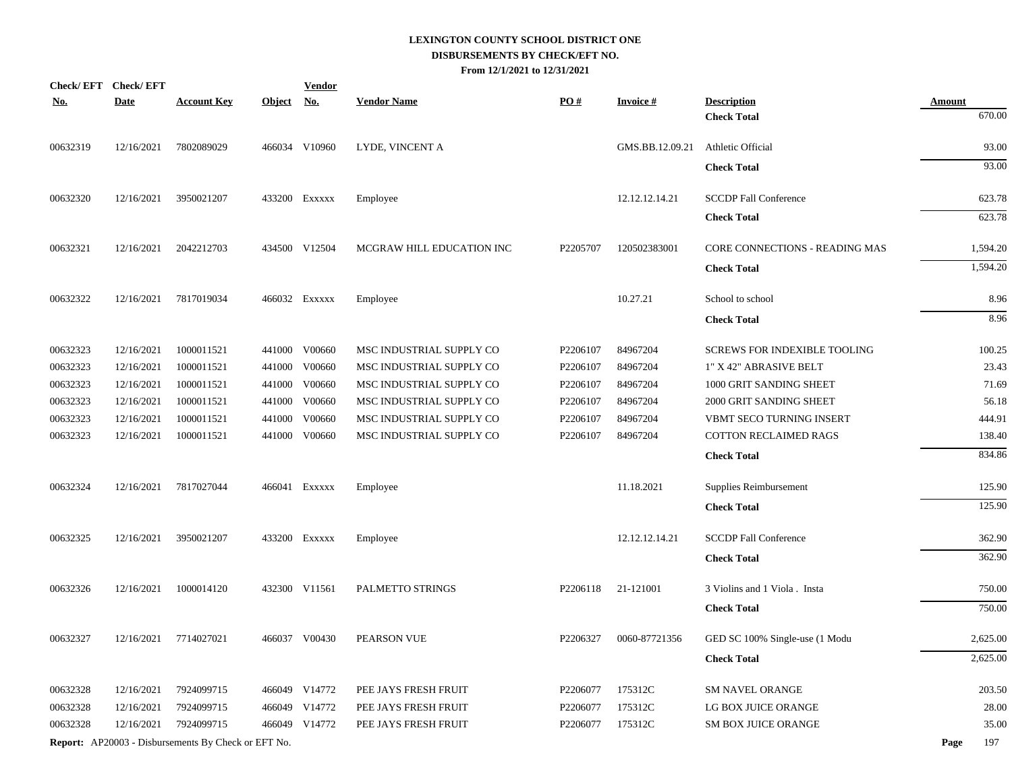| <b>Check/EFT</b> | <b>Check/EFT</b> |                                                            |            | <b>Vendor</b> |                           |          |                 |                                          |                         |
|------------------|------------------|------------------------------------------------------------|------------|---------------|---------------------------|----------|-----------------|------------------------------------------|-------------------------|
| <b>No.</b>       | <b>Date</b>      | <b>Account Key</b>                                         | Object No. |               | <b>Vendor Name</b>        | PO#      | <b>Invoice#</b> | <b>Description</b><br><b>Check Total</b> | <b>Amount</b><br>670.00 |
|                  |                  |                                                            |            |               |                           |          |                 |                                          |                         |
| 00632319         | 12/16/2021       | 7802089029                                                 |            | 466034 V10960 | LYDE, VINCENT A           |          | GMS.BB.12.09.21 | Athletic Official                        | 93.00                   |
|                  |                  |                                                            |            |               |                           |          |                 | <b>Check Total</b>                       | 93.00                   |
| 00632320         | 12/16/2021       | 3950021207                                                 |            | 433200 EXXXXX | Employee                  |          | 12.12.12.14.21  | <b>SCCDP Fall Conference</b>             | 623.78                  |
|                  |                  |                                                            |            |               |                           |          |                 | <b>Check Total</b>                       | 623.78                  |
| 00632321         | 12/16/2021       | 2042212703                                                 |            | 434500 V12504 | MCGRAW HILL EDUCATION INC | P2205707 | 120502383001    | CORE CONNECTIONS - READING MAS           | 1,594.20                |
|                  |                  |                                                            |            |               |                           |          |                 | <b>Check Total</b>                       | 1,594.20                |
| 00632322         | 12/16/2021       | 7817019034                                                 |            | 466032 Exxxxx | Employee                  |          | 10.27.21        | School to school                         | 8.96                    |
|                  |                  |                                                            |            |               |                           |          |                 | <b>Check Total</b>                       | 8.96                    |
| 00632323         | 12/16/2021       | 1000011521                                                 |            | 441000 V00660 | MSC INDUSTRIAL SUPPLY CO  | P2206107 | 84967204        | <b>SCREWS FOR INDEXIBLE TOOLING</b>      | 100.25                  |
| 00632323         | 12/16/2021       | 1000011521                                                 |            | 441000 V00660 | MSC INDUSTRIAL SUPPLY CO  | P2206107 | 84967204        | 1" X 42" ABRASIVE BELT                   | 23.43                   |
| 00632323         | 12/16/2021       | 1000011521                                                 | 441000     | V00660        | MSC INDUSTRIAL SUPPLY CO  | P2206107 | 84967204        | 1000 GRIT SANDING SHEET                  | 71.69                   |
| 00632323         | 12/16/2021       | 1000011521                                                 | 441000     | V00660        | MSC INDUSTRIAL SUPPLY CO  | P2206107 | 84967204        | 2000 GRIT SANDING SHEET                  | 56.18                   |
| 00632323         | 12/16/2021       | 1000011521                                                 | 441000     | V00660        | MSC INDUSTRIAL SUPPLY CO  | P2206107 | 84967204        | VBMT SECO TURNING INSERT                 | 444.91                  |
| 00632323         | 12/16/2021       | 1000011521                                                 |            | 441000 V00660 | MSC INDUSTRIAL SUPPLY CO  | P2206107 | 84967204        | COTTON RECLAIMED RAGS                    | 138.40                  |
|                  |                  |                                                            |            |               |                           |          |                 | <b>Check Total</b>                       | 834.86                  |
| 00632324         | 12/16/2021       | 7817027044                                                 |            | 466041 EXXXXX | Employee                  |          | 11.18.2021      | Supplies Reimbursement                   | 125.90                  |
|                  |                  |                                                            |            |               |                           |          |                 | <b>Check Total</b>                       | 125.90                  |
| 00632325         | 12/16/2021       | 3950021207                                                 |            | 433200 EXXXXX | Employee                  |          | 12.12.12.14.21  | <b>SCCDP Fall Conference</b>             | 362.90                  |
|                  |                  |                                                            |            |               |                           |          |                 | <b>Check Total</b>                       | 362.90                  |
| 00632326         | 12/16/2021       | 1000014120                                                 |            | 432300 V11561 | PALMETTO STRINGS          | P2206118 | 21-121001       | 3 Violins and 1 Viola . Insta            | 750.00                  |
|                  |                  |                                                            |            |               |                           |          |                 | <b>Check Total</b>                       | 750.00                  |
| 00632327         | 12/16/2021       | 7714027021                                                 |            | 466037 V00430 | PEARSON VUE               | P2206327 | 0060-87721356   | GED SC 100% Single-use (1 Modu           | 2,625.00                |
|                  |                  |                                                            |            |               |                           |          |                 | <b>Check Total</b>                       | 2,625.00                |
| 00632328         | 12/16/2021       | 7924099715                                                 |            | 466049 V14772 | PEE JAYS FRESH FRUIT      | P2206077 | 175312C         | <b>SM NAVEL ORANGE</b>                   | 203.50                  |
| 00632328         | 12/16/2021       | 7924099715                                                 |            | 466049 V14772 | PEE JAYS FRESH FRUIT      | P2206077 | 175312C         | LG BOX JUICE ORANGE                      | 28.00                   |
| 00632328         | 12/16/2021       | 7924099715                                                 |            | 466049 V14772 | PEE JAYS FRESH FRUIT      | P2206077 | 175312C         | SM BOX JUICE ORANGE                      | 35.00                   |
|                  |                  | <b>Report:</b> AP20003 - Disbursements By Check or EFT No. |            |               |                           |          |                 |                                          | 197<br>Page             |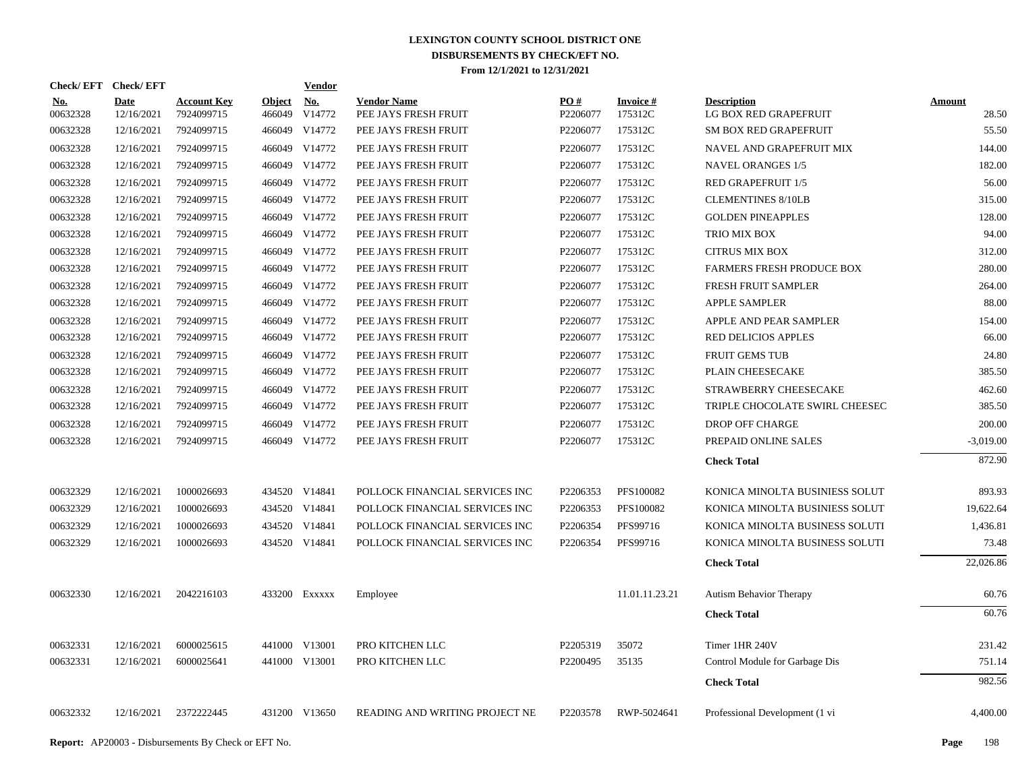| Check/EFT Check/EFT    |                           |                                  |                         | <b>Vendor</b>                         |                                            |                 |                            |                                             |                        |
|------------------------|---------------------------|----------------------------------|-------------------------|---------------------------------------|--------------------------------------------|-----------------|----------------------------|---------------------------------------------|------------------------|
| <u>No.</u><br>00632328 | <b>Date</b><br>12/16/2021 | <b>Account Key</b><br>7924099715 | <b>Object</b><br>466049 | $\underline{\mathrm{No}}$ .<br>V14772 | <b>Vendor Name</b><br>PEE JAYS FRESH FRUIT | PO#<br>P2206077 | <b>Invoice#</b><br>175312C | <b>Description</b><br>LG BOX RED GRAPEFRUIT | <b>Amount</b><br>28.50 |
| 00632328               | 12/16/2021                | 7924099715                       |                         | 466049 V14772                         | PEE JAYS FRESH FRUIT                       | P2206077        | 175312C                    | SM BOX RED GRAPEFRUIT                       | 55.50                  |
| 00632328               | 12/16/2021                | 7924099715                       |                         | 466049 V14772                         | PEE JAYS FRESH FRUIT                       | P2206077        | 175312C                    | NAVEL AND GRAPEFRUIT MIX                    | 144.00                 |
| 00632328               | 12/16/2021                | 7924099715                       |                         | 466049 V14772                         | PEE JAYS FRESH FRUIT                       | P2206077        | 175312C                    | <b>NAVEL ORANGES 1/5</b>                    | 182.00                 |
| 00632328               | 12/16/2021                | 7924099715                       |                         | 466049 V14772                         | PEE JAYS FRESH FRUIT                       | P2206077        | 175312C                    | RED GRAPEFRUIT 1/5                          | 56.00                  |
| 00632328               | 12/16/2021                | 7924099715                       | 466049                  | V14772                                | PEE JAYS FRESH FRUIT                       | P2206077        | 175312C                    | <b>CLEMENTINES 8/10LB</b>                   | 315.00                 |
| 00632328               | 12/16/2021                | 7924099715                       |                         | 466049 V14772                         | PEE JAYS FRESH FRUIT                       | P2206077        | 175312C                    | <b>GOLDEN PINEAPPLES</b>                    | 128.00                 |
| 00632328               | 12/16/2021                | 7924099715                       | 466049                  | V14772                                | PEE JAYS FRESH FRUIT                       | P2206077        | 175312C                    | TRIO MIX BOX                                | 94.00                  |
| 00632328               | 12/16/2021                | 7924099715                       | 466049                  | V14772                                | PEE JAYS FRESH FRUIT                       | P2206077        | 175312C                    | <b>CITRUS MIX BOX</b>                       | 312.00                 |
| 00632328               | 12/16/2021                | 7924099715                       |                         | 466049 V14772                         | PEE JAYS FRESH FRUIT                       | P2206077        | 175312C                    | <b>FARMERS FRESH PRODUCE BOX</b>            | 280.00                 |
| 00632328               | 12/16/2021                | 7924099715                       | 466049                  | V14772                                | PEE JAYS FRESH FRUIT                       | P2206077        | 175312C                    | FRESH FRUIT SAMPLER                         | 264.00                 |
| 00632328               | 12/16/2021                | 7924099715                       |                         | 466049 V14772                         | PEE JAYS FRESH FRUIT                       | P2206077        | 175312C                    | <b>APPLE SAMPLER</b>                        | 88.00                  |
| 00632328               | 12/16/2021                | 7924099715                       |                         | 466049 V14772                         | PEE JAYS FRESH FRUIT                       | P2206077        | 175312C                    | APPLE AND PEAR SAMPLER                      | 154.00                 |
| 00632328               | 12/16/2021                | 7924099715                       |                         | 466049 V14772                         | PEE JAYS FRESH FRUIT                       | P2206077        | 175312C                    | <b>RED DELICIOS APPLES</b>                  | 66.00                  |
| 00632328               | 12/16/2021                | 7924099715                       |                         | 466049 V14772                         | PEE JAYS FRESH FRUIT                       | P2206077        | 175312C                    | <b>FRUIT GEMS TUB</b>                       | 24.80                  |
| 00632328               | 12/16/2021                | 7924099715                       |                         | 466049 V14772                         | PEE JAYS FRESH FRUIT                       | P2206077        | 175312C                    | PLAIN CHEESECAKE                            | 385.50                 |
| 00632328               | 12/16/2021                | 7924099715                       |                         | 466049 V14772                         | PEE JAYS FRESH FRUIT                       | P2206077        | 175312C                    | STRAWBERRY CHEESECAKE                       | 462.60                 |
| 00632328               | 12/16/2021                | 7924099715                       |                         | 466049 V14772                         | PEE JAYS FRESH FRUIT                       | P2206077        | 175312C                    | TRIPLE CHOCOLATE SWIRL CHEESEC              | 385.50                 |
| 00632328               | 12/16/2021                | 7924099715                       | 466049                  | V14772                                | PEE JAYS FRESH FRUIT                       | P2206077        | 175312C                    | DROP OFF CHARGE                             | 200.00                 |
| 00632328               | 12/16/2021                | 7924099715                       |                         | 466049 V14772                         | PEE JAYS FRESH FRUIT                       | P2206077        | 175312C                    | PREPAID ONLINE SALES                        | $-3,019.00$            |
|                        |                           |                                  |                         |                                       |                                            |                 |                            | <b>Check Total</b>                          | 872.90                 |
| 00632329               | 12/16/2021                | 1000026693                       |                         | 434520 V14841                         | POLLOCK FINANCIAL SERVICES INC             | P2206353        | PFS100082                  | KONICA MINOLTA BUSINIESS SOLUT              | 893.93                 |
| 00632329               | 12/16/2021                | 1000026693                       |                         | 434520 V14841                         | POLLOCK FINANCIAL SERVICES INC             | P2206353        | PFS100082                  | KONICA MINOLTA BUSINIESS SOLUT              | 19,622.64              |
| 00632329               | 12/16/2021                | 1000026693                       |                         | 434520 V14841                         | POLLOCK FINANCIAL SERVICES INC             | P2206354        | PFS99716                   | KONICA MINOLTA BUSINESS SOLUTI              | 1,436.81               |
| 00632329               | 12/16/2021                | 1000026693                       |                         | 434520 V14841                         | POLLOCK FINANCIAL SERVICES INC             | P2206354        | PFS99716                   | KONICA MINOLTA BUSINESS SOLUTI              | 73.48                  |
|                        |                           |                                  |                         |                                       |                                            |                 |                            | <b>Check Total</b>                          | 22,026.86              |
| 00632330               | 12/16/2021                | 2042216103                       |                         | 433200 Exxxxx                         | Employee                                   |                 | 11.01.11.23.21             | Autism Behavior Therapy                     | 60.76                  |
|                        |                           |                                  |                         |                                       |                                            |                 |                            | <b>Check Total</b>                          | 60.76                  |
| 00632331               | 12/16/2021                | 6000025615                       | 441000                  | V13001                                | PRO KITCHEN LLC                            | P2205319        | 35072                      | Timer 1HR 240V                              | 231.42                 |
| 00632331               | 12/16/2021                | 6000025641                       |                         | 441000 V13001                         | PRO KITCHEN LLC                            | P2200495        | 35135                      | Control Module for Garbage Dis              | 751.14                 |
|                        |                           |                                  |                         |                                       |                                            |                 |                            | <b>Check Total</b>                          | 982.56                 |
| 00632332               | 12/16/2021                | 2372222445                       |                         | 431200 V13650                         | READING AND WRITING PROJECT NE             | P2203578        | RWP-5024641                | Professional Development (1 vi              | 4,400.00               |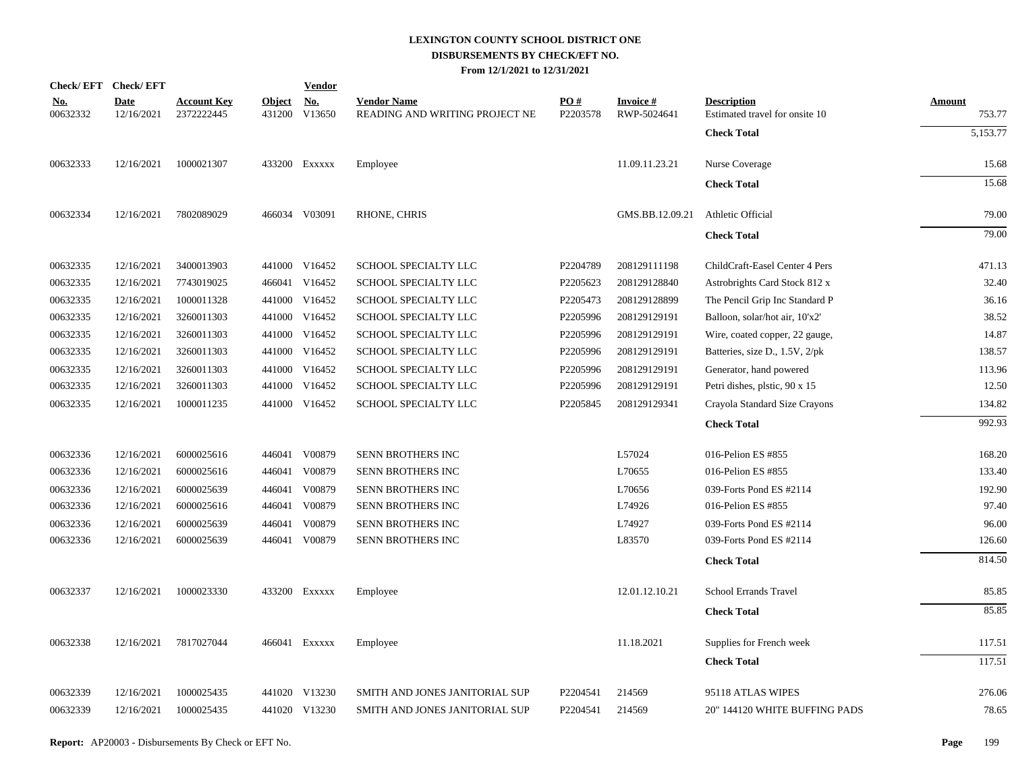|                        | Check/EFT Check/EFT       |                                  |            | <b>Vendor</b> |                                                      |                 |                                |                                                      |                         |
|------------------------|---------------------------|----------------------------------|------------|---------------|------------------------------------------------------|-----------------|--------------------------------|------------------------------------------------------|-------------------------|
| <u>No.</u><br>00632332 | <b>Date</b><br>12/16/2021 | <b>Account Key</b><br>2372222445 | Object No. | 431200 V13650 | <b>Vendor Name</b><br>READING AND WRITING PROJECT NE | PO#<br>P2203578 | <b>Invoice#</b><br>RWP-5024641 | <b>Description</b><br>Estimated travel for onsite 10 | <b>Amount</b><br>753.77 |
|                        |                           |                                  |            |               |                                                      |                 |                                | <b>Check Total</b>                                   | 5,153.77                |
| 00632333               | 12/16/2021                | 1000021307                       |            | 433200 Exxxxx | Employee                                             |                 | 11.09.11.23.21                 | Nurse Coverage                                       | 15.68                   |
|                        |                           |                                  |            |               |                                                      |                 |                                | <b>Check Total</b>                                   | 15.68                   |
| 00632334               | 12/16/2021                | 7802089029                       |            | 466034 V03091 | RHONE, CHRIS                                         |                 | GMS.BB.12.09.21                | Athletic Official                                    | 79.00                   |
|                        |                           |                                  |            |               |                                                      |                 |                                | <b>Check Total</b>                                   | 79.00                   |
| 00632335               | 12/16/2021                | 3400013903                       |            | 441000 V16452 | SCHOOL SPECIALTY LLC                                 | P2204789        | 208129111198                   | ChildCraft-Easel Center 4 Pers                       | 471.13                  |
| 00632335               | 12/16/2021                | 7743019025                       |            | 466041 V16452 | SCHOOL SPECIALTY LLC                                 | P2205623        | 208129128840                   | Astrobrights Card Stock 812 x                        | 32.40                   |
| 00632335               | 12/16/2021                | 1000011328                       |            | 441000 V16452 | SCHOOL SPECIALTY LLC                                 | P2205473        | 208129128899                   | The Pencil Grip Inc Standard P                       | 36.16                   |
| 00632335               | 12/16/2021                | 3260011303                       |            | 441000 V16452 | SCHOOL SPECIALTY LLC                                 | P2205996        | 208129129191                   | Balloon, solar/hot air, 10'x2'                       | 38.52                   |
| 00632335               | 12/16/2021                | 3260011303                       |            | 441000 V16452 | SCHOOL SPECIALTY LLC                                 | P2205996        | 208129129191                   | Wire, coated copper, 22 gauge,                       | 14.87                   |
| 00632335               | 12/16/2021                | 3260011303                       |            | 441000 V16452 | SCHOOL SPECIALTY LLC                                 | P2205996        | 208129129191                   | Batteries, size D., 1.5V, 2/pk                       | 138.57                  |
| 00632335               | 12/16/2021                | 3260011303                       |            | 441000 V16452 | SCHOOL SPECIALTY LLC                                 | P2205996        | 208129129191                   | Generator, hand powered                              | 113.96                  |
| 00632335               | 12/16/2021                | 3260011303                       |            | 441000 V16452 | SCHOOL SPECIALTY LLC                                 | P2205996        | 208129129191                   | Petri dishes, plstic, 90 x 15                        | 12.50                   |
| 00632335               | 12/16/2021                | 1000011235                       |            | 441000 V16452 | SCHOOL SPECIALTY LLC                                 | P2205845        | 208129129341                   | Crayola Standard Size Crayons                        | 134.82                  |
|                        |                           |                                  |            |               |                                                      |                 |                                | <b>Check Total</b>                                   | 992.93                  |
| 00632336               | 12/16/2021                | 6000025616                       |            | 446041 V00879 | SENN BROTHERS INC                                    |                 | L57024                         | 016-Pelion ES #855                                   | 168.20                  |
| 00632336               | 12/16/2021                | 6000025616                       |            | 446041 V00879 | SENN BROTHERS INC                                    |                 | L70655                         | 016-Pelion ES #855                                   | 133.40                  |
| 00632336               | 12/16/2021                | 6000025639                       |            | 446041 V00879 | SENN BROTHERS INC                                    |                 | L70656                         | 039-Forts Pond ES #2114                              | 192.90                  |
| 00632336               | 12/16/2021                | 6000025616                       |            | 446041 V00879 | SENN BROTHERS INC                                    |                 | L74926                         | 016-Pelion ES #855                                   | 97.40                   |
| 00632336               | 12/16/2021                | 6000025639                       | 446041     | V00879        | SENN BROTHERS INC                                    |                 | L74927                         | 039-Forts Pond ES #2114                              | 96.00                   |
| 00632336               | 12/16/2021                | 6000025639                       |            | 446041 V00879 | SENN BROTHERS INC                                    |                 | L83570                         | 039-Forts Pond ES #2114                              | 126.60                  |
|                        |                           |                                  |            |               |                                                      |                 |                                | <b>Check Total</b>                                   | 814.50                  |
| 00632337               | 12/16/2021                | 1000023330                       |            | 433200 Exxxxx | Employee                                             |                 | 12.01.12.10.21                 | School Errands Travel                                | 85.85                   |
|                        |                           |                                  |            |               |                                                      |                 |                                | <b>Check Total</b>                                   | 85.85                   |
| 00632338               | 12/16/2021                | 7817027044                       |            | 466041 EXXXXX | Employee                                             |                 | 11.18.2021                     | Supplies for French week                             | 117.51                  |
|                        |                           |                                  |            |               |                                                      |                 |                                | <b>Check Total</b>                                   | 117.51                  |
| 00632339               | 12/16/2021                | 1000025435                       |            | 441020 V13230 | SMITH AND JONES JANITORIAL SUP                       | P2204541        | 214569                         | 95118 ATLAS WIPES                                    | 276.06                  |
| 00632339               | 12/16/2021                | 1000025435                       |            | 441020 V13230 | SMITH AND JONES JANITORIAL SUP                       | P2204541        | 214569                         | 20" 144120 WHITE BUFFING PADS                        | 78.65                   |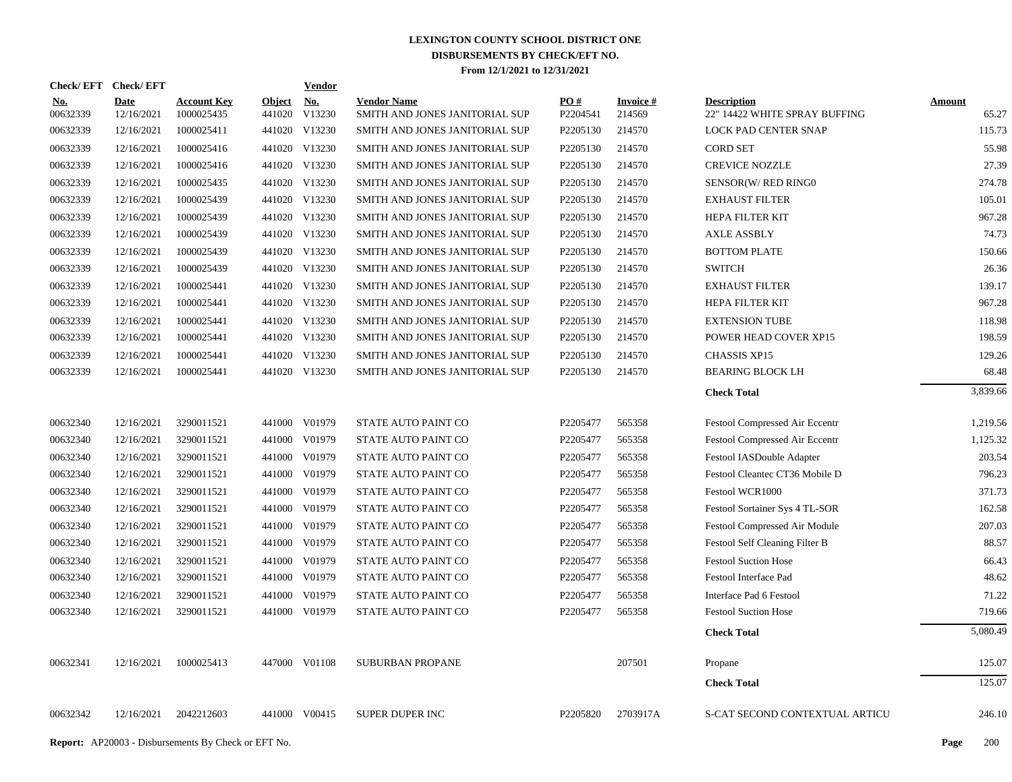| Check/EFT Check/EFT    |                           |                                  |                      | <b>Vendor</b> |                                                      |                               |                           |                                                     |                        |
|------------------------|---------------------------|----------------------------------|----------------------|---------------|------------------------------------------------------|-------------------------------|---------------------------|-----------------------------------------------------|------------------------|
| <u>No.</u><br>00632339 | <b>Date</b><br>12/16/2021 | <b>Account Key</b><br>1000025435 | Object No.<br>441020 | V13230        | <b>Vendor Name</b><br>SMITH AND JONES JANITORIAL SUP | $\underline{PO#}$<br>P2204541 | <b>Invoice#</b><br>214569 | <b>Description</b><br>22" 14422 WHITE SPRAY BUFFING | <b>Amount</b><br>65.27 |
| 00632339               | 12/16/2021                | 1000025411                       |                      | 441020 V13230 | SMITH AND JONES JANITORIAL SUP                       | P2205130                      | 214570                    | <b>LOCK PAD CENTER SNAP</b>                         | 115.73                 |
| 00632339               | 12/16/2021                | 1000025416                       |                      | 441020 V13230 | SMITH AND JONES JANITORIAL SUP                       | P2205130                      | 214570                    | <b>CORD SET</b>                                     | 55.98                  |
| 00632339               | 12/16/2021                | 1000025416                       |                      | 441020 V13230 | SMITH AND JONES JANITORIAL SUP                       | P2205130                      | 214570                    | <b>CREVICE NOZZLE</b>                               | 27.39                  |
| 00632339               | 12/16/2021                | 1000025435                       |                      | 441020 V13230 | SMITH AND JONES JANITORIAL SUP                       | P2205130                      | 214570                    | SENSOR(W/RED RING0                                  | 274.78                 |
| 00632339               | 12/16/2021                | 1000025439                       |                      | 441020 V13230 | SMITH AND JONES JANITORIAL SUP                       | P2205130                      | 214570                    | <b>EXHAUST FILTER</b>                               | 105.01                 |
| 00632339               | 12/16/2021                | 1000025439                       |                      | 441020 V13230 | SMITH AND JONES JANITORIAL SUP                       | P2205130                      | 214570                    | HEPA FILTER KIT                                     | 967.28                 |
| 00632339               | 12/16/2021                | 1000025439                       |                      | 441020 V13230 | SMITH AND JONES JANITORIAL SUP                       | P2205130                      | 214570                    | <b>AXLE ASSBLY</b>                                  | 74.73                  |
| 00632339               | 12/16/2021                | 1000025439                       |                      | 441020 V13230 | SMITH AND JONES JANITORIAL SUP                       | P2205130                      | 214570                    | <b>BOTTOM PLATE</b>                                 | 150.66                 |
| 00632339               | 12/16/2021                | 1000025439                       |                      | 441020 V13230 | SMITH AND JONES JANITORIAL SUP                       | P <sub>2205130</sub>          | 214570                    | <b>SWITCH</b>                                       | 26.36                  |
| 00632339               | 12/16/2021                | 1000025441                       |                      | 441020 V13230 | SMITH AND JONES JANITORIAL SUP                       | P2205130                      | 214570                    | <b>EXHAUST FILTER</b>                               | 139.17                 |
| 00632339               | 12/16/2021                | 1000025441                       |                      | 441020 V13230 | SMITH AND JONES JANITORIAL SUP                       | P2205130                      | 214570                    | HEPA FILTER KIT                                     | 967.28                 |
| 00632339               | 12/16/2021                | 1000025441                       |                      | 441020 V13230 | SMITH AND JONES JANITORIAL SUP                       | P2205130                      | 214570                    | <b>EXTENSION TUBE</b>                               | 118.98                 |
| 00632339               | 12/16/2021                | 1000025441                       |                      | 441020 V13230 | SMITH AND JONES JANITORIAL SUP                       | P2205130                      | 214570                    | POWER HEAD COVER XP15                               | 198.59                 |
| 00632339               | 12/16/2021                | 1000025441                       |                      | 441020 V13230 | SMITH AND JONES JANITORIAL SUP                       | P2205130                      | 214570                    | <b>CHASSIS XP15</b>                                 | 129.26                 |
| 00632339               | 12/16/2021                | 1000025441                       |                      | 441020 V13230 | SMITH AND JONES JANITORIAL SUP                       | P2205130                      | 214570                    | <b>BEARING BLOCK LH</b>                             | 68.48                  |
|                        |                           |                                  |                      |               |                                                      |                               |                           | <b>Check Total</b>                                  | 3,839.66               |
| 00632340               | 12/16/2021                | 3290011521                       |                      | 441000 V01979 | STATE AUTO PAINT CO                                  | P2205477                      | 565358                    | Festool Compressed Air Eccentr                      | 1,219.56               |
| 00632340               | 12/16/2021                | 3290011521                       |                      | 441000 V01979 | STATE AUTO PAINT CO                                  | P2205477                      | 565358                    | Festool Compressed Air Eccentr                      | 1,125.32               |
| 00632340               | 12/16/2021                | 3290011521                       |                      | 441000 V01979 | STATE AUTO PAINT CO                                  | P2205477                      | 565358                    | Festool IASDouble Adapter                           | 203.54                 |
| 00632340               | 12/16/2021                | 3290011521                       |                      | 441000 V01979 | STATE AUTO PAINT CO                                  | P2205477                      | 565358                    | Festool Cleantec CT36 Mobile D                      | 796.23                 |
| 00632340               | 12/16/2021                | 3290011521                       |                      | 441000 V01979 | STATE AUTO PAINT CO                                  | P2205477                      | 565358                    | Festool WCR1000                                     | 371.73                 |
| 00632340               | 12/16/2021                | 3290011521                       |                      | 441000 V01979 | STATE AUTO PAINT CO                                  | P2205477                      | 565358                    | Festool Sortainer Sys 4 TL-SOR                      | 162.58                 |
| 00632340               | 12/16/2021                | 3290011521                       | 441000               | V01979        | STATE AUTO PAINT CO                                  | P2205477                      | 565358                    | Festool Compressed Air Module                       | 207.03                 |
| 00632340               | 12/16/2021                | 3290011521                       |                      | 441000 V01979 | STATE AUTO PAINT CO                                  | P2205477                      | 565358                    | Festool Self Cleaning Filter B                      | 88.57                  |
| 00632340               | 12/16/2021                | 3290011521                       | 441000               | V01979        | STATE AUTO PAINT CO                                  | P2205477                      | 565358                    | <b>Festool Suction Hose</b>                         | 66.43                  |
| 00632340               | 12/16/2021                | 3290011521                       |                      | 441000 V01979 | STATE AUTO PAINT CO                                  | P2205477                      | 565358                    | Festool Interface Pad                               | 48.62                  |
| 00632340               | 12/16/2021                | 3290011521                       | 441000               | V01979        | STATE AUTO PAINT CO                                  | P2205477                      | 565358                    | Interface Pad 6 Festool                             | 71.22                  |
| 00632340               | 12/16/2021                | 3290011521                       |                      | 441000 V01979 | STATE AUTO PAINT CO                                  | P2205477                      | 565358                    | <b>Festool Suction Hose</b>                         | 719.66                 |
|                        |                           |                                  |                      |               |                                                      |                               |                           | <b>Check Total</b>                                  | 5,080.49               |
| 00632341               | 12/16/2021                | 1000025413                       |                      | 447000 V01108 | <b>SUBURBAN PROPANE</b>                              |                               | 207501                    | Propane                                             | 125.07                 |
|                        |                           |                                  |                      |               |                                                      |                               |                           | <b>Check Total</b>                                  | 125.07                 |
| 00632342               | 12/16/2021                | 2042212603                       |                      | 441000 V00415 | <b>SUPER DUPER INC</b>                               | P2205820                      | 2703917A                  | S-CAT SECOND CONTEXTUAL ARTICU                      | 246.10                 |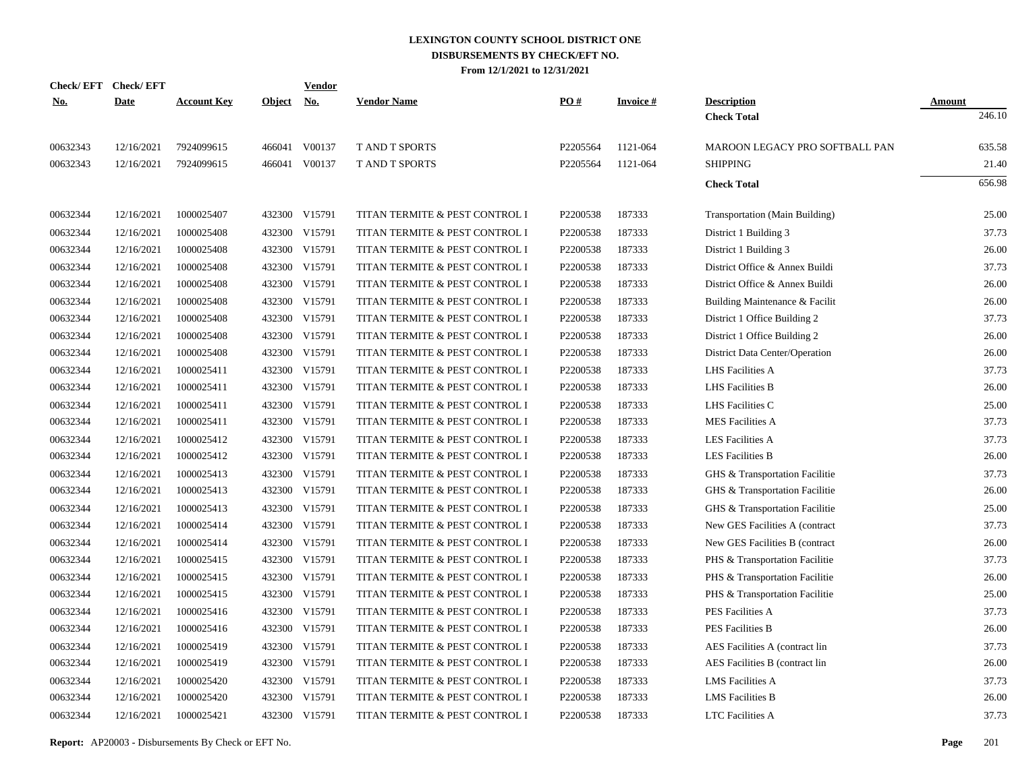| <b>Check/EFT</b> | <b>Check/EFT</b> |                    |               | <b>Vendor</b> |                                |          |                 |                                |               |
|------------------|------------------|--------------------|---------------|---------------|--------------------------------|----------|-----------------|--------------------------------|---------------|
| <u>No.</u>       | <b>Date</b>      | <b>Account Key</b> | <b>Object</b> | <u>No.</u>    | <b>Vendor Name</b>             | PO#      | <b>Invoice#</b> | <b>Description</b>             | <b>Amount</b> |
|                  |                  |                    |               |               |                                |          |                 | <b>Check Total</b>             | 246.10        |
| 00632343         | 12/16/2021       | 7924099615         |               | 466041 V00137 | <b>T AND T SPORTS</b>          | P2205564 | 1121-064        | MAROON LEGACY PRO SOFTBALL PAN | 635.58        |
| 00632343         | 12/16/2021       | 7924099615         |               | 466041 V00137 | T AND T SPORTS                 | P2205564 | 1121-064        | <b>SHIPPING</b>                | 21.40         |
|                  |                  |                    |               |               |                                |          |                 | <b>Check Total</b>             | 656.98        |
| 00632344         | 12/16/2021       | 1000025407         |               | 432300 V15791 | TITAN TERMITE & PEST CONTROL I | P2200538 | 187333          | Transportation (Main Building) | 25.00         |
| 00632344         | 12/16/2021       | 1000025408         | 432300        | V15791        | TITAN TERMITE & PEST CONTROL I | P2200538 | 187333          | District 1 Building 3          | 37.73         |
| 00632344         | 12/16/2021       | 1000025408         | 432300        | V15791        | TITAN TERMITE & PEST CONTROL I | P2200538 | 187333          | District 1 Building 3          | 26.00         |
| 00632344         | 12/16/2021       | 1000025408         | 432300        | V15791        | TITAN TERMITE & PEST CONTROL I | P2200538 | 187333          | District Office & Annex Buildi | 37.73         |
| 00632344         | 12/16/2021       | 1000025408         | 432300        | V15791        | TITAN TERMITE & PEST CONTROL I | P2200538 | 187333          | District Office & Annex Buildi | 26.00         |
| 00632344         | 12/16/2021       | 1000025408         | 432300        | V15791        | TITAN TERMITE & PEST CONTROL I | P2200538 | 187333          | Building Maintenance & Facilit | 26.00         |
| 00632344         | 12/16/2021       | 1000025408         | 432300        | V15791        | TITAN TERMITE & PEST CONTROL I | P2200538 | 187333          | District 1 Office Building 2   | 37.73         |
| 00632344         | 12/16/2021       | 1000025408         | 432300        | V15791        | TITAN TERMITE & PEST CONTROL I | P2200538 | 187333          | District 1 Office Building 2   | 26.00         |
| 00632344         | 12/16/2021       | 1000025408         | 432300        | V15791        | TITAN TERMITE & PEST CONTROL I | P2200538 | 187333          | District Data Center/Operation | 26.00         |
| 00632344         | 12/16/2021       | 1000025411         | 432300        | V15791        | TITAN TERMITE & PEST CONTROL I | P2200538 | 187333          | LHS Facilities A               | 37.73         |
| 00632344         | 12/16/2021       | 1000025411         | 432300        | V15791        | TITAN TERMITE & PEST CONTROL I | P2200538 | 187333          | <b>LHS</b> Facilities B        | 26.00         |
| 00632344         | 12/16/2021       | 1000025411         | 432300        | V15791        | TITAN TERMITE & PEST CONTROL I | P2200538 | 187333          | LHS Facilities C               | 25.00         |
| 00632344         | 12/16/2021       | 1000025411         | 432300        | V15791        | TITAN TERMITE & PEST CONTROL I | P2200538 | 187333          | <b>MES Facilities A</b>        | 37.73         |
| 00632344         | 12/16/2021       | 1000025412         | 432300        | V15791        | TITAN TERMITE & PEST CONTROL I | P2200538 | 187333          | <b>LES Facilities A</b>        | 37.73         |
| 00632344         | 12/16/2021       | 1000025412         | 432300        | V15791        | TITAN TERMITE & PEST CONTROL I | P2200538 | 187333          | <b>LES Facilities B</b>        | 26.00         |
| 00632344         | 12/16/2021       | 1000025413         | 432300        | V15791        | TITAN TERMITE & PEST CONTROL I | P2200538 | 187333          | GHS & Transportation Facilitie | 37.73         |
| 00632344         | 12/16/2021       | 1000025413         | 432300        | V15791        | TITAN TERMITE & PEST CONTROL I | P2200538 | 187333          | GHS & Transportation Facilitie | 26.00         |
| 00632344         | 12/16/2021       | 1000025413         | 432300        | V15791        | TITAN TERMITE & PEST CONTROL I | P2200538 | 187333          | GHS & Transportation Facilitie | 25.00         |
| 00632344         | 12/16/2021       | 1000025414         | 432300        | V15791        | TITAN TERMITE & PEST CONTROL I | P2200538 | 187333          | New GES Facilities A (contract | 37.73         |
| 00632344         | 12/16/2021       | 1000025414         | 432300        | V15791        | TITAN TERMITE & PEST CONTROL I | P2200538 | 187333          | New GES Facilities B (contract | 26.00         |
| 00632344         | 12/16/2021       | 1000025415         | 432300        | V15791        | TITAN TERMITE & PEST CONTROL I | P2200538 | 187333          | PHS & Transportation Facilitie | 37.73         |
| 00632344         | 12/16/2021       | 1000025415         | 432300        | V15791        | TITAN TERMITE & PEST CONTROL I | P2200538 | 187333          | PHS & Transportation Facilitie | 26.00         |
| 00632344         | 12/16/2021       | 1000025415         | 432300        | V15791        | TITAN TERMITE & PEST CONTROL I | P2200538 | 187333          | PHS & Transportation Facilitie | 25.00         |
| 00632344         | 12/16/2021       | 1000025416         | 432300        | V15791        | TITAN TERMITE & PEST CONTROL I | P2200538 | 187333          | PES Facilities A               | 37.73         |
| 00632344         | 12/16/2021       | 1000025416         | 432300        | V15791        | TITAN TERMITE & PEST CONTROL I | P2200538 | 187333          | <b>PES Facilities B</b>        | 26.00         |
| 00632344         | 12/16/2021       | 1000025419         | 432300        | V15791        | TITAN TERMITE & PEST CONTROL I | P2200538 | 187333          | AES Facilities A (contract lin | 37.73         |
| 00632344         | 12/16/2021       | 1000025419         | 432300        | V15791        | TITAN TERMITE & PEST CONTROL I | P2200538 | 187333          | AES Facilities B (contract lin | 26.00         |
| 00632344         | 12/16/2021       | 1000025420         | 432300        | V15791        | TITAN TERMITE & PEST CONTROL I | P2200538 | 187333          | <b>LMS</b> Facilities A        | 37.73         |
| 00632344         | 12/16/2021       | 1000025420         | 432300        | V15791        | TITAN TERMITE & PEST CONTROL I | P2200538 | 187333          | <b>LMS</b> Facilities B        | 26.00         |
| 00632344         | 12/16/2021       | 1000025421         | 432300        | V15791        | TITAN TERMITE & PEST CONTROL I | P2200538 | 187333          | <b>LTC</b> Facilities A        | 37.73         |
|                  |                  |                    |               |               |                                |          |                 |                                |               |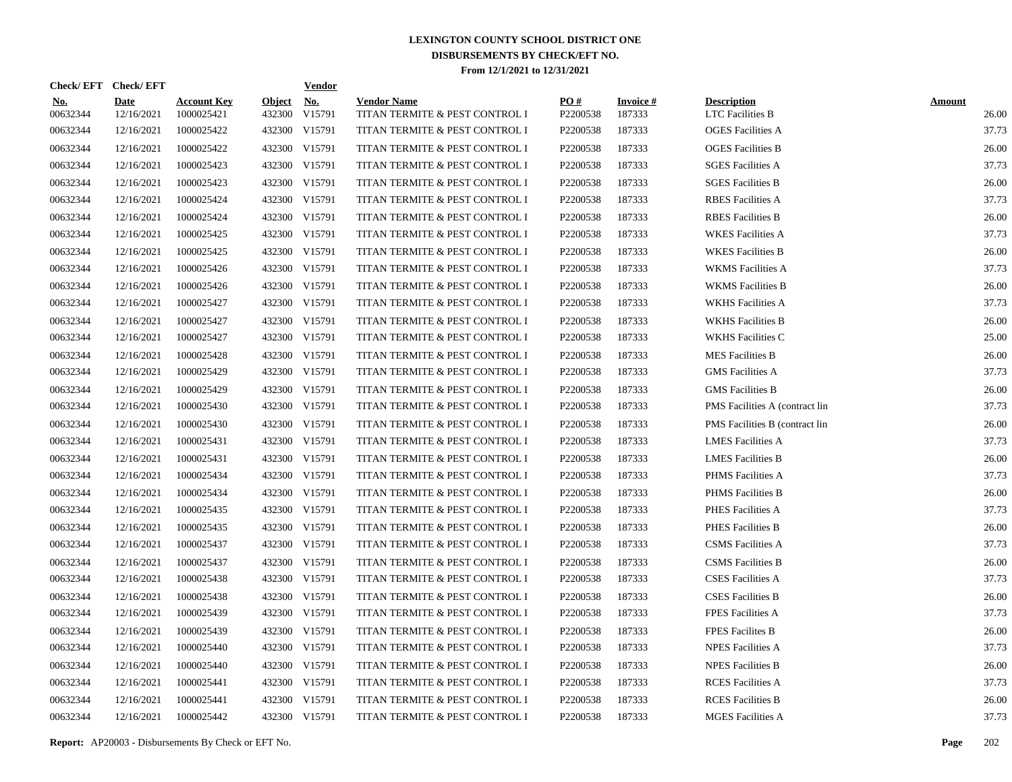| Check/EFT Check/EFT    |                           |                                  |                         | <b>Vendor</b>        |                                                      |                 |                           |                                               |                        |
|------------------------|---------------------------|----------------------------------|-------------------------|----------------------|------------------------------------------------------|-----------------|---------------------------|-----------------------------------------------|------------------------|
| <u>No.</u><br>00632344 | <b>Date</b><br>12/16/2021 | <b>Account Key</b><br>1000025421 | <b>Object</b><br>432300 | <u>No.</u><br>V15791 | <b>Vendor Name</b><br>TITAN TERMITE & PEST CONTROL I | PO#<br>P2200538 | <b>Invoice#</b><br>187333 | <b>Description</b><br><b>LTC</b> Facilities B | <b>Amount</b><br>26.00 |
| 00632344               | 12/16/2021                | 1000025422                       |                         | 432300 V15791        | TITAN TERMITE & PEST CONTROL I                       | P2200538        | 187333                    | <b>OGES</b> Facilities A                      | 37.73                  |
| 00632344               | 12/16/2021                | 1000025422                       |                         | 432300 V15791        | TITAN TERMITE & PEST CONTROL I                       | P2200538        | 187333                    | <b>OGES</b> Facilities B                      | 26.00                  |
| 00632344               | 12/16/2021                | 1000025423                       |                         | 432300 V15791        | TITAN TERMITE & PEST CONTROL I                       | P2200538        | 187333                    | <b>SGES Facilities A</b>                      | 37.73                  |
| 00632344               | 12/16/2021                | 1000025423                       |                         | 432300 V15791        | TITAN TERMITE & PEST CONTROL I                       | P2200538        | 187333                    | <b>SGES Facilities B</b>                      | 26.00                  |
| 00632344               | 12/16/2021                | 1000025424                       |                         | 432300 V15791        | TITAN TERMITE & PEST CONTROL I                       | P2200538        | 187333                    | <b>RBES</b> Facilities A                      | 37.73                  |
| 00632344               | 12/16/2021                | 1000025424                       |                         | 432300 V15791        | TITAN TERMITE & PEST CONTROL I                       | P2200538        | 187333                    | <b>RBES</b> Facilities B                      | 26.00                  |
| 00632344               | 12/16/2021                | 1000025425                       |                         | 432300 V15791        | TITAN TERMITE & PEST CONTROL I                       | P2200538        | 187333                    | <b>WKES Facilities A</b>                      | 37.73                  |
| 00632344               | 12/16/2021                | 1000025425                       |                         | 432300 V15791        | TITAN TERMITE & PEST CONTROL I                       | P2200538        | 187333                    | <b>WKES</b> Facilities B                      | 26.00                  |
| 00632344               | 12/16/2021                | 1000025426                       |                         | 432300 V15791        | TITAN TERMITE & PEST CONTROL I                       | P2200538        | 187333                    | <b>WKMS</b> Facilities A                      | 37.73                  |
| 00632344               | 12/16/2021                | 1000025426                       |                         | 432300 V15791        | TITAN TERMITE & PEST CONTROL I                       | P2200538        | 187333                    | <b>WKMS</b> Facilities B                      | 26.00                  |
| 00632344               | 12/16/2021                | 1000025427                       |                         | 432300 V15791        | TITAN TERMITE & PEST CONTROL I                       | P2200538        | 187333                    | <b>WKHS</b> Facilities A                      | 37.73                  |
| 00632344               | 12/16/2021                | 1000025427                       |                         | 432300 V15791        | TITAN TERMITE & PEST CONTROL I                       | P2200538        | 187333                    | <b>WKHS Facilities B</b>                      | 26.00                  |
| 00632344               | 12/16/2021                | 1000025427                       |                         | 432300 V15791        | TITAN TERMITE & PEST CONTROL I                       | P2200538        | 187333                    | <b>WKHS Facilities C</b>                      | 25.00                  |
| 00632344               | 12/16/2021                | 1000025428                       |                         | 432300 V15791        | TITAN TERMITE & PEST CONTROL I                       | P2200538        | 187333                    | <b>MES</b> Facilities B                       | 26.00                  |
| 00632344               | 12/16/2021                | 1000025429                       |                         | 432300 V15791        | TITAN TERMITE & PEST CONTROL I                       | P2200538        | 187333                    | <b>GMS</b> Facilities A                       | 37.73                  |
| 00632344               | 12/16/2021                | 1000025429                       |                         | 432300 V15791        | TITAN TERMITE & PEST CONTROL I                       | P2200538        | 187333                    | <b>GMS</b> Facilities B                       | 26.00                  |
| 00632344               | 12/16/2021                | 1000025430                       |                         | 432300 V15791        | TITAN TERMITE & PEST CONTROL I                       | P2200538        | 187333                    | PMS Facilities A (contract lin                | 37.73                  |
| 00632344               | 12/16/2021                | 1000025430                       | 432300                  | V15791               | TITAN TERMITE & PEST CONTROL I                       | P2200538        | 187333                    | PMS Facilities B (contract lin                | 26.00                  |
| 00632344               | 12/16/2021                | 1000025431                       |                         | 432300 V15791        | TITAN TERMITE & PEST CONTROL I                       | P2200538        | 187333                    | <b>LMES Facilities A</b>                      | 37.73                  |
| 00632344               | 12/16/2021                | 1000025431                       | 432300                  | V15791               | TITAN TERMITE & PEST CONTROL I                       | P2200538        | 187333                    | <b>LMES</b> Facilities B                      | 26.00                  |
| 00632344               | 12/16/2021                | 1000025434                       |                         | 432300 V15791        | TITAN TERMITE & PEST CONTROL I                       | P2200538        | 187333                    | PHMS Facilities A                             | 37.73                  |
| 00632344               | 12/16/2021                | 1000025434                       | 432300                  | V15791               | TITAN TERMITE & PEST CONTROL I                       | P2200538        | 187333                    | <b>PHMS</b> Facilities B                      | 26.00                  |
| 00632344               | 12/16/2021                | 1000025435                       |                         | 432300 V15791        | TITAN TERMITE & PEST CONTROL I                       | P2200538        | 187333                    | PHES Facilities A                             | 37.73                  |
| 00632344               | 12/16/2021                | 1000025435                       | 432300                  | V15791               | TITAN TERMITE & PEST CONTROL I                       | P2200538        | 187333                    | PHES Facilities B                             | 26.00                  |
| 00632344               | 12/16/2021                | 1000025437                       |                         | 432300 V15791        | TITAN TERMITE & PEST CONTROL I                       | P2200538        | 187333                    | <b>CSMS</b> Facilities A                      | 37.73                  |
| 00632344               | 12/16/2021                | 1000025437                       | 432300                  | V15791               | TITAN TERMITE & PEST CONTROL I                       | P2200538        | 187333                    | <b>CSMS</b> Facilities B                      | 26.00                  |
| 00632344               | 12/16/2021                | 1000025438                       |                         | 432300 V15791        | TITAN TERMITE & PEST CONTROL I                       | P2200538        | 187333                    | <b>CSES Facilities A</b>                      | 37.73                  |
| 00632344               | 12/16/2021                | 1000025438                       |                         | 432300 V15791        | TITAN TERMITE & PEST CONTROL I                       | P2200538        | 187333                    | <b>CSES Facilities B</b>                      | 26.00                  |
| 00632344               | 12/16/2021                | 1000025439                       |                         | 432300 V15791        | TITAN TERMITE & PEST CONTROL I                       | P2200538        | 187333                    | <b>FPES Facilities A</b>                      | 37.73                  |
| 00632344               | 12/16/2021                | 1000025439                       |                         | 432300 V15791        | TITAN TERMITE & PEST CONTROL I                       | P2200538        | 187333                    | <b>FPES Facilites B</b>                       | 26.00                  |
| 00632344               | 12/16/2021                | 1000025440                       |                         | 432300 V15791        | TITAN TERMITE & PEST CONTROL I                       | P2200538        | 187333                    | <b>NPES Facilities A</b>                      | 37.73                  |
| 00632344               | 12/16/2021                | 1000025440                       |                         | 432300 V15791        | TITAN TERMITE & PEST CONTROL I                       | P2200538        | 187333                    | <b>NPES Facilities B</b>                      | 26.00                  |
| 00632344               | 12/16/2021                | 1000025441                       |                         | 432300 V15791        | TITAN TERMITE & PEST CONTROL I                       | P2200538        | 187333                    | <b>RCES</b> Facilities A                      | 37.73                  |
| 00632344               | 12/16/2021                | 1000025441                       | 432300                  | V15791               | TITAN TERMITE & PEST CONTROL I                       | P2200538        | 187333                    | <b>RCES</b> Facilities B                      | 26.00                  |
| 00632344               | 12/16/2021                | 1000025442                       |                         | 432300 V15791        | TITAN TERMITE & PEST CONTROL I                       | P2200538        | 187333                    | <b>MGES</b> Facilities A                      | 37.73                  |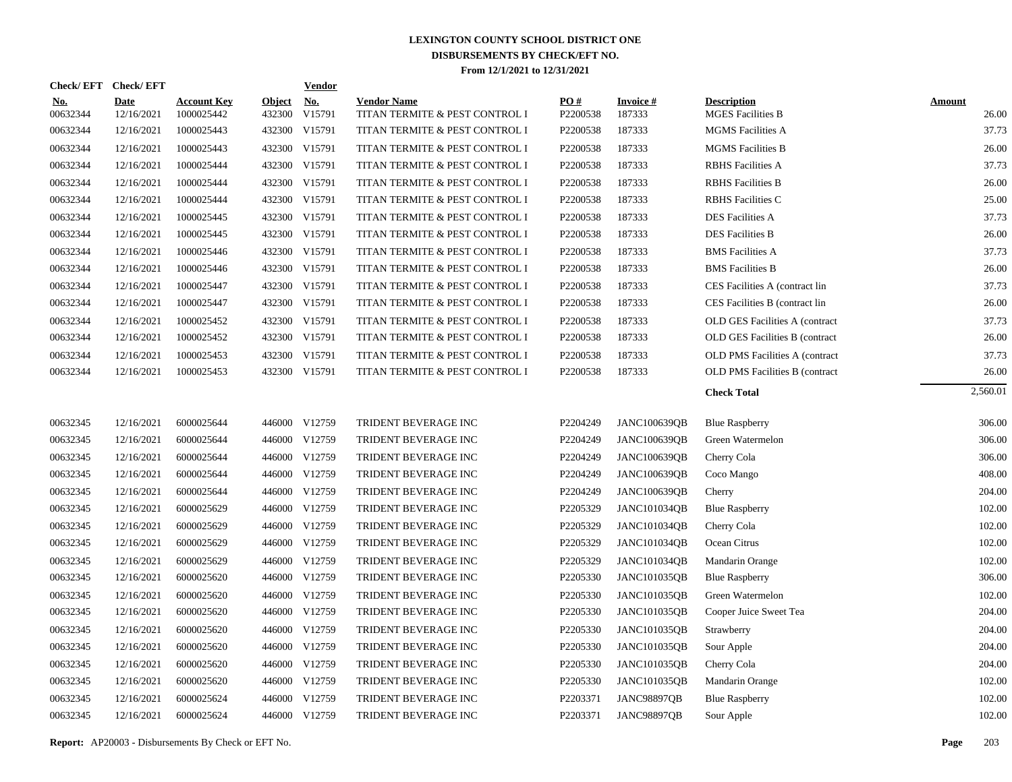| <b>Check/EFT</b>       | <b>Check/EFT</b>          |                                  |                         | <b>Vendor</b>        |                                                      |                 |                           |                                                |                        |
|------------------------|---------------------------|----------------------------------|-------------------------|----------------------|------------------------------------------------------|-----------------|---------------------------|------------------------------------------------|------------------------|
| <u>No.</u><br>00632344 | <b>Date</b><br>12/16/2021 | <b>Account Key</b><br>1000025442 | <b>Object</b><br>432300 | <u>No.</u><br>V15791 | <b>Vendor Name</b><br>TITAN TERMITE & PEST CONTROL I | PO#<br>P2200538 | <b>Invoice#</b><br>187333 | <b>Description</b><br><b>MGES Facilities B</b> | <b>Amount</b><br>26.00 |
| 00632344               | 12/16/2021                | 1000025443                       | 432300                  | V15791               | TITAN TERMITE & PEST CONTROL I                       | P2200538        | 187333                    | <b>MGMS</b> Facilities A                       | 37.73                  |
| 00632344               | 12/16/2021                | 1000025443                       | 432300                  | V15791               | TITAN TERMITE & PEST CONTROL I                       | P2200538        | 187333                    | <b>MGMS</b> Facilities B                       | 26.00                  |
| 00632344               | 12/16/2021                | 1000025444                       | 432300                  | V15791               | TITAN TERMITE & PEST CONTROL I                       | P2200538        | 187333                    | <b>RBHS</b> Facilities A                       | 37.73                  |
| 00632344               | 12/16/2021                | 1000025444                       | 432300                  | V15791               | TITAN TERMITE & PEST CONTROL I                       | P2200538        | 187333                    | <b>RBHS</b> Facilities B                       | 26.00                  |
| 00632344               | 12/16/2021                | 1000025444                       | 432300                  | V15791               | TITAN TERMITE & PEST CONTROL I                       | P2200538        | 187333                    | <b>RBHS</b> Facilities C                       | 25.00                  |
| 00632344               | 12/16/2021                | 1000025445                       | 432300                  | V15791               | TITAN TERMITE & PEST CONTROL I                       | P2200538        | 187333                    | <b>DES Facilities A</b>                        | 37.73                  |
| 00632344               | 12/16/2021                | 1000025445                       | 432300                  | V15791               | TITAN TERMITE & PEST CONTROL I                       | P2200538        | 187333                    | <b>DES Facilities B</b>                        | 26.00                  |
| 00632344               | 12/16/2021                | 1000025446                       |                         | 432300 V15791        | TITAN TERMITE & PEST CONTROL I                       | P2200538        | 187333                    | <b>BMS</b> Facilities A                        | 37.73                  |
| 00632344               | 12/16/2021                | 1000025446                       |                         | 432300 V15791        | TITAN TERMITE & PEST CONTROL I                       | P2200538        | 187333                    | <b>BMS</b> Facilities B                        | 26.00                  |
| 00632344               | 12/16/2021                | 1000025447                       |                         | 432300 V15791        | TITAN TERMITE & PEST CONTROL I                       | P2200538        | 187333                    | CES Facilities A (contract lin                 | 37.73                  |
| 00632344               | 12/16/2021                | 1000025447                       |                         | 432300 V15791        | TITAN TERMITE & PEST CONTROL I                       | P2200538        | 187333                    | CES Facilities B (contract lin                 | 26.00                  |
| 00632344               | 12/16/2021                | 1000025452                       |                         | 432300 V15791        | TITAN TERMITE & PEST CONTROL I                       | P2200538        | 187333                    | OLD GES Facilities A (contract                 | 37.73                  |
| 00632344               | 12/16/2021                | 1000025452                       |                         | 432300 V15791        | TITAN TERMITE & PEST CONTROL I                       | P2200538        | 187333                    | OLD GES Facilities B (contract                 | 26.00                  |
| 00632344               | 12/16/2021                | 1000025453                       | 432300                  | V15791               | TITAN TERMITE & PEST CONTROL I                       | P2200538        | 187333                    | OLD PMS Facilities A (contract                 | 37.73                  |
| 00632344               | 12/16/2021                | 1000025453                       |                         | 432300 V15791        | TITAN TERMITE & PEST CONTROL I                       | P2200538        | 187333                    | <b>OLD PMS Facilities B (contract)</b>         | 26.00                  |
|                        |                           |                                  |                         |                      |                                                      |                 |                           | <b>Check Total</b>                             | 2,560.01               |
| 00632345               | 12/16/2021                | 6000025644                       |                         | 446000 V12759        | TRIDENT BEVERAGE INC                                 | P2204249        | JANC100639QB              | <b>Blue Raspberry</b>                          | 306.00                 |
| 00632345               | 12/16/2021                | 6000025644                       |                         | 446000 V12759        | TRIDENT BEVERAGE INC                                 | P2204249        | JANC100639QB              | Green Watermelon                               | 306.00                 |
| 00632345               | 12/16/2021                | 6000025644                       |                         | 446000 V12759        | TRIDENT BEVERAGE INC                                 | P2204249        | <b>JANC100639QB</b>       | Cherry Cola                                    | 306.00                 |
| 00632345               | 12/16/2021                | 6000025644                       |                         | 446000 V12759        | TRIDENT BEVERAGE INC                                 | P2204249        | <b>JANC100639QB</b>       | Coco Mango                                     | 408.00                 |
| 00632345               | 12/16/2021                | 6000025644                       | 446000                  | V12759               | TRIDENT BEVERAGE INC                                 | P2204249        | <b>JANC100639OB</b>       | Cherry                                         | 204.00                 |
| 00632345               | 12/16/2021                | 6000025629                       |                         | 446000 V12759        | TRIDENT BEVERAGE INC                                 | P2205329        | <b>JANC101034QB</b>       | <b>Blue Raspberry</b>                          | 102.00                 |
| 00632345               | 12/16/2021                | 6000025629                       | 446000                  | V12759               | TRIDENT BEVERAGE INC                                 | P2205329        | <b>JANC101034OB</b>       | Cherry Cola                                    | 102.00                 |
| 00632345               | 12/16/2021                | 6000025629                       |                         | 446000 V12759        | TRIDENT BEVERAGE INC                                 | P2205329        | <b>JANC101034QB</b>       | Ocean Citrus                                   | 102.00                 |
| 00632345               | 12/16/2021                | 6000025629                       | 446000                  | V12759               | TRIDENT BEVERAGE INC                                 | P2205329        | <b>JANC101034QB</b>       | Mandarin Orange                                | 102.00                 |
| 00632345               | 12/16/2021                | 6000025620                       |                         | 446000 V12759        | TRIDENT BEVERAGE INC                                 | P2205330        | <b>JANC101035QB</b>       | <b>Blue Raspberry</b>                          | 306.00                 |
| 00632345               | 12/16/2021                | 6000025620                       | 446000                  | V12759               | TRIDENT BEVERAGE INC                                 | P2205330        | <b>JANC101035QB</b>       | Green Watermelon                               | 102.00                 |
| 00632345               | 12/16/2021                | 6000025620                       |                         | 446000 V12759        | TRIDENT BEVERAGE INC                                 | P2205330        | <b>JANC101035QB</b>       | Cooper Juice Sweet Tea                         | 204.00                 |
| 00632345               | 12/16/2021                | 6000025620                       | 446000                  | V12759               | TRIDENT BEVERAGE INC                                 | P2205330        | <b>JANC101035OB</b>       | Strawberry                                     | 204.00                 |
| 00632345               | 12/16/2021                | 6000025620                       |                         | 446000 V12759        | TRIDENT BEVERAGE INC                                 | P2205330        | <b>JANC101035QB</b>       | Sour Apple                                     | 204.00                 |
| 00632345               | 12/16/2021                | 6000025620                       | 446000                  | V12759               | TRIDENT BEVERAGE INC                                 | P2205330        | JANC101035QB              | Cherry Cola                                    | 204.00                 |
| 00632345               | 12/16/2021                | 6000025620                       |                         | 446000 V12759        | TRIDENT BEVERAGE INC                                 | P2205330        | <b>JANC101035QB</b>       | Mandarin Orange                                | 102.00                 |
| 00632345               | 12/16/2021                | 6000025624                       | 446000                  | V12759               | TRIDENT BEVERAGE INC                                 | P2203371        | <b>JANC98897QB</b>        | <b>Blue Raspberry</b>                          | 102.00                 |
| 00632345               | 12/16/2021                | 6000025624                       |                         | 446000 V12759        | TRIDENT BEVERAGE INC                                 | P2203371        | <b>JANC98897OB</b>        | Sour Apple                                     | 102.00                 |
|                        |                           |                                  |                         |                      |                                                      |                 |                           |                                                |                        |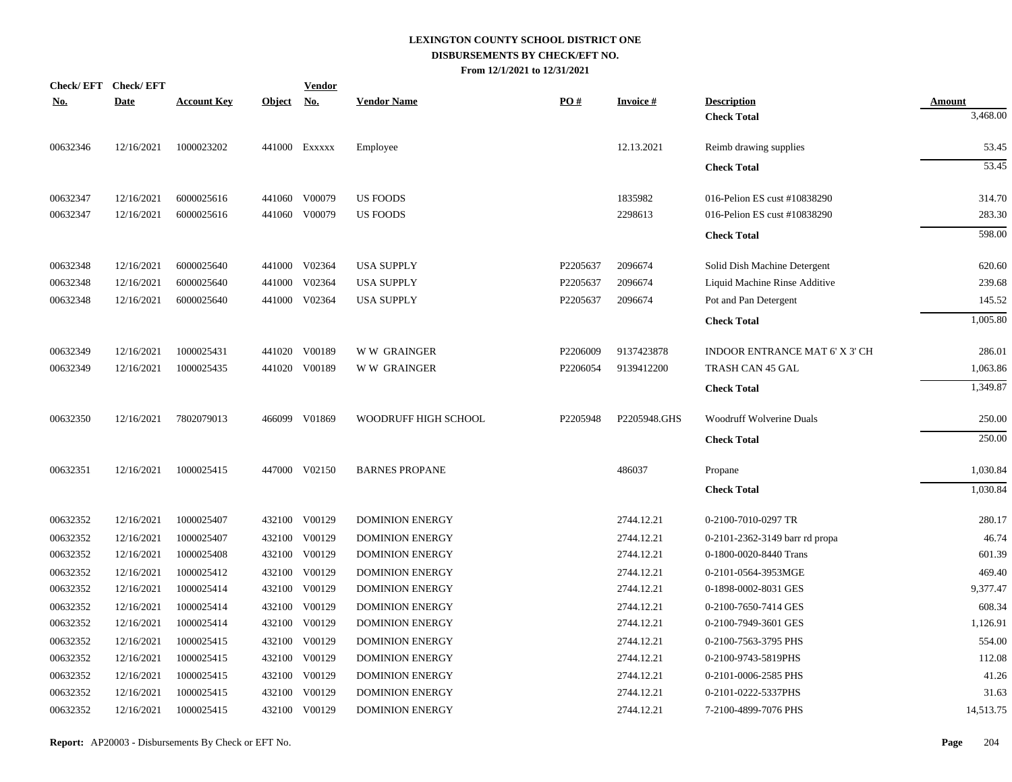|            | Check/EFT Check/EFT |                    |               | <b>Vendor</b> |                        |          |                 |                                          |                           |
|------------|---------------------|--------------------|---------------|---------------|------------------------|----------|-----------------|------------------------------------------|---------------------------|
| <u>No.</u> | <b>Date</b>         | <b>Account Key</b> | <b>Object</b> | <u>No.</u>    | <b>Vendor Name</b>     | PO#      | <b>Invoice#</b> | <b>Description</b><br><b>Check Total</b> | <u>Amount</u><br>3,468.00 |
|            |                     |                    |               |               |                        |          |                 |                                          |                           |
| 00632346   | 12/16/2021          | 1000023202         |               | 441000 Exxxxx | Employee               |          | 12.13.2021      | Reimb drawing supplies                   | 53.45                     |
|            |                     |                    |               |               |                        |          |                 | <b>Check Total</b>                       | 53.45                     |
| 00632347   | 12/16/2021          | 6000025616         |               | 441060 V00079 | <b>US FOODS</b>        |          | 1835982         | 016-Pelion ES cust #10838290             | 314.70                    |
| 00632347   | 12/16/2021          | 6000025616         |               | 441060 V00079 | <b>US FOODS</b>        |          | 2298613         | 016-Pelion ES cust #10838290             | 283.30                    |
|            |                     |                    |               |               |                        |          |                 | <b>Check Total</b>                       | 598.00                    |
| 00632348   | 12/16/2021          | 6000025640         |               | 441000 V02364 | <b>USA SUPPLY</b>      | P2205637 | 2096674         | Solid Dish Machine Detergent             | 620.60                    |
| 00632348   | 12/16/2021          | 6000025640         |               | 441000 V02364 | <b>USA SUPPLY</b>      | P2205637 | 2096674         | Liquid Machine Rinse Additive            | 239.68                    |
| 00632348   | 12/16/2021          | 6000025640         |               | 441000 V02364 | <b>USA SUPPLY</b>      | P2205637 | 2096674         | Pot and Pan Detergent                    | 145.52                    |
|            |                     |                    |               |               |                        |          |                 | <b>Check Total</b>                       | 1,005.80                  |
| 00632349   | 12/16/2021          | 1000025431         |               | 441020 V00189 | <b>WW GRAINGER</b>     | P2206009 | 9137423878      | INDOOR ENTRANCE MAT 6' X 3' CH           | 286.01                    |
| 00632349   | 12/16/2021          | 1000025435         |               | 441020 V00189 | <b>WW GRAINGER</b>     | P2206054 | 9139412200      | TRASH CAN 45 GAL                         | 1,063.86                  |
|            |                     |                    |               |               |                        |          |                 | <b>Check Total</b>                       | 1,349.87                  |
| 00632350   | 12/16/2021          | 7802079013         |               | 466099 V01869 | WOODRUFF HIGH SCHOOL   | P2205948 | P2205948.GHS    | <b>Woodruff Wolverine Duals</b>          | 250.00                    |
|            |                     |                    |               |               |                        |          |                 | <b>Check Total</b>                       | 250.00                    |
| 00632351   | 12/16/2021          | 1000025415         |               | 447000 V02150 | <b>BARNES PROPANE</b>  |          | 486037          | Propane                                  | 1,030.84                  |
|            |                     |                    |               |               |                        |          |                 | <b>Check Total</b>                       | 1,030.84                  |
| 00632352   | 12/16/2021          | 1000025407         |               | 432100 V00129 | <b>DOMINION ENERGY</b> |          | 2744.12.21      | 0-2100-7010-0297 TR                      | 280.17                    |
| 00632352   | 12/16/2021          | 1000025407         |               | 432100 V00129 | <b>DOMINION ENERGY</b> |          | 2744.12.21      | 0-2101-2362-3149 barr rd propa           | 46.74                     |
| 00632352   | 12/16/2021          | 1000025408         |               | 432100 V00129 | <b>DOMINION ENERGY</b> |          | 2744.12.21      | 0-1800-0020-8440 Trans                   | 601.39                    |
| 00632352   | 12/16/2021          | 1000025412         |               | 432100 V00129 | <b>DOMINION ENERGY</b> |          | 2744.12.21      | 0-2101-0564-3953MGE                      | 469.40                    |
| 00632352   | 12/16/2021          | 1000025414         |               | 432100 V00129 | <b>DOMINION ENERGY</b> |          | 2744.12.21      | 0-1898-0002-8031 GES                     | 9,377.47                  |
| 00632352   | 12/16/2021          | 1000025414         |               | 432100 V00129 | <b>DOMINION ENERGY</b> |          | 2744.12.21      | 0-2100-7650-7414 GES                     | 608.34                    |
| 00632352   | 12/16/2021          | 1000025414         |               | 432100 V00129 | <b>DOMINION ENERGY</b> |          | 2744.12.21      | 0-2100-7949-3601 GES                     | 1,126.91                  |
| 00632352   | 12/16/2021          | 1000025415         |               | 432100 V00129 | <b>DOMINION ENERGY</b> |          | 2744.12.21      | 0-2100-7563-3795 PHS                     | 554.00                    |
| 00632352   | 12/16/2021          | 1000025415         |               | 432100 V00129 | <b>DOMINION ENERGY</b> |          | 2744.12.21      | 0-2100-9743-5819PHS                      | 112.08                    |
| 00632352   | 12/16/2021          | 1000025415         |               | 432100 V00129 | DOMINION ENERGY        |          | 2744.12.21      | 0-2101-0006-2585 PHS                     | 41.26                     |
| 00632352   | 12/16/2021          | 1000025415         |               | 432100 V00129 | <b>DOMINION ENERGY</b> |          | 2744.12.21      | 0-2101-0222-5337PHS                      | 31.63                     |
| 00632352   | 12/16/2021          | 1000025415         |               | 432100 V00129 | <b>DOMINION ENERGY</b> |          | 2744.12.21      | 7-2100-4899-7076 PHS                     | 14,513.75                 |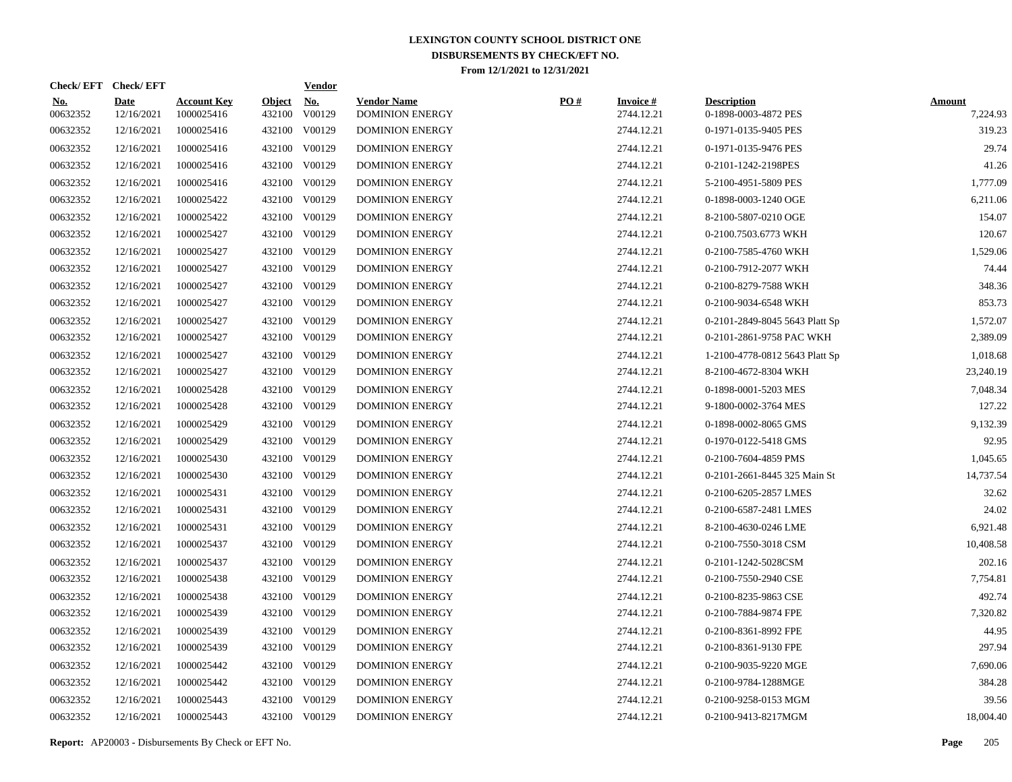| Check/EFT Check/EFT    |                           |                                  |                         | <b>Vendor</b>        |                                              |     |                               |                                            |                           |
|------------------------|---------------------------|----------------------------------|-------------------------|----------------------|----------------------------------------------|-----|-------------------------------|--------------------------------------------|---------------------------|
| <u>No.</u><br>00632352 | <b>Date</b><br>12/16/2021 | <b>Account Key</b><br>1000025416 | <b>Object</b><br>432100 | <u>No.</u><br>V00129 | <b>Vendor Name</b><br><b>DOMINION ENERGY</b> | PO# | <b>Invoice#</b><br>2744.12.21 | <b>Description</b><br>0-1898-0003-4872 PES | <b>Amount</b><br>7,224.93 |
| 00632352               | 12/16/2021                | 1000025416                       |                         | 432100 V00129        | <b>DOMINION ENERGY</b>                       |     | 2744.12.21                    | 0-1971-0135-9405 PES                       | 319.23                    |
| 00632352               | 12/16/2021                | 1000025416                       |                         | 432100 V00129        | <b>DOMINION ENERGY</b>                       |     | 2744.12.21                    | 0-1971-0135-9476 PES                       | 29.74                     |
| 00632352               | 12/16/2021                | 1000025416                       |                         | 432100 V00129        | <b>DOMINION ENERGY</b>                       |     | 2744.12.21                    | 0-2101-1242-2198PES                        | 41.26                     |
| 00632352               | 12/16/2021                | 1000025416                       |                         | 432100 V00129        | <b>DOMINION ENERGY</b>                       |     | 2744.12.21                    | 5-2100-4951-5809 PES                       | 1,777.09                  |
| 00632352               | 12/16/2021                | 1000025422                       |                         | 432100 V00129        | <b>DOMINION ENERGY</b>                       |     | 2744.12.21                    | 0-1898-0003-1240 OGE                       | 6,211.06                  |
| 00632352               | 12/16/2021                | 1000025422                       |                         | 432100 V00129        | <b>DOMINION ENERGY</b>                       |     | 2744.12.21                    | 8-2100-5807-0210 OGE                       | 154.07                    |
| 00632352               | 12/16/2021                | 1000025427                       |                         | 432100 V00129        | <b>DOMINION ENERGY</b>                       |     | 2744.12.21                    | 0-2100.7503.6773 WKH                       | 120.67                    |
| 00632352               | 12/16/2021                | 1000025427                       |                         | 432100 V00129        | <b>DOMINION ENERGY</b>                       |     | 2744.12.21                    | 0-2100-7585-4760 WKH                       | 1,529.06                  |
| 00632352               | 12/16/2021                | 1000025427                       |                         | 432100 V00129        | <b>DOMINION ENERGY</b>                       |     | 2744.12.21                    | 0-2100-7912-2077 WKH                       | 74.44                     |
| 00632352               | 12/16/2021                | 1000025427                       |                         | 432100 V00129        | <b>DOMINION ENERGY</b>                       |     | 2744.12.21                    | 0-2100-8279-7588 WKH                       | 348.36                    |
| 00632352               | 12/16/2021                | 1000025427                       |                         | 432100 V00129        | <b>DOMINION ENERGY</b>                       |     | 2744.12.21                    | 0-2100-9034-6548 WKH                       | 853.73                    |
| 00632352               | 12/16/2021                | 1000025427                       |                         | 432100 V00129        | <b>DOMINION ENERGY</b>                       |     | 2744.12.21                    | 0-2101-2849-8045 5643 Platt Sp             | 1,572.07                  |
| 00632352               | 12/16/2021                | 1000025427                       |                         | 432100 V00129        | <b>DOMINION ENERGY</b>                       |     | 2744.12.21                    | 0-2101-2861-9758 PAC WKH                   | 2,389.09                  |
| 00632352               | 12/16/2021                | 1000025427                       |                         | 432100 V00129        | <b>DOMINION ENERGY</b>                       |     | 2744.12.21                    | 1-2100-4778-0812 5643 Platt Sp             | 1,018.68                  |
| 00632352               | 12/16/2021                | 1000025427                       |                         | 432100 V00129        | <b>DOMINION ENERGY</b>                       |     | 2744.12.21                    | 8-2100-4672-8304 WKH                       | 23,240.19                 |
| 00632352               | 12/16/2021                | 1000025428                       |                         | 432100 V00129        | <b>DOMINION ENERGY</b>                       |     | 2744.12.21                    | 0-1898-0001-5203 MES                       | 7,048.34                  |
| 00632352               | 12/16/2021                | 1000025428                       |                         | 432100 V00129        | <b>DOMINION ENERGY</b>                       |     | 2744.12.21                    | 9-1800-0002-3764 MES                       | 127.22                    |
| 00632352               | 12/16/2021                | 1000025429                       |                         | 432100 V00129        | <b>DOMINION ENERGY</b>                       |     | 2744.12.21                    | 0-1898-0002-8065 GMS                       | 9,132.39                  |
| 00632352               | 12/16/2021                | 1000025429                       |                         | 432100 V00129        | <b>DOMINION ENERGY</b>                       |     | 2744.12.21                    | 0-1970-0122-5418 GMS                       | 92.95                     |
| 00632352               | 12/16/2021                | 1000025430                       | 432100                  | V00129               | <b>DOMINION ENERGY</b>                       |     | 2744.12.21                    | 0-2100-7604-4859 PMS                       | 1,045.65                  |
| 00632352               | 12/16/2021                | 1000025430                       |                         | 432100 V00129        | <b>DOMINION ENERGY</b>                       |     | 2744.12.21                    | 0-2101-2661-8445 325 Main St               | 14,737.54                 |
| 00632352               | 12/16/2021                | 1000025431                       | 432100                  | V00129               | <b>DOMINION ENERGY</b>                       |     | 2744.12.21                    | 0-2100-6205-2857 LMES                      | 32.62                     |
| 00632352               | 12/16/2021                | 1000025431                       |                         | 432100 V00129        | <b>DOMINION ENERGY</b>                       |     | 2744.12.21                    | 0-2100-6587-2481 LMES                      | 24.02                     |
| 00632352               | 12/16/2021                | 1000025431                       | 432100                  | V00129               | <b>DOMINION ENERGY</b>                       |     | 2744.12.21                    | 8-2100-4630-0246 LME                       | 6,921.48                  |
| 00632352               | 12/16/2021                | 1000025437                       |                         | 432100 V00129        | <b>DOMINION ENERGY</b>                       |     | 2744.12.21                    | 0-2100-7550-3018 CSM                       | 10,408.58                 |
| 00632352               | 12/16/2021                | 1000025437                       | 432100                  | V00129               | <b>DOMINION ENERGY</b>                       |     | 2744.12.21                    | 0-2101-1242-5028CSM                        | 202.16                    |
| 00632352               | 12/16/2021                | 1000025438                       |                         | 432100 V00129        | <b>DOMINION ENERGY</b>                       |     | 2744.12.21                    | 0-2100-7550-2940 CSE                       | 7,754.81                  |
| 00632352               | 12/16/2021                | 1000025438                       | 432100                  | V00129               | <b>DOMINION ENERGY</b>                       |     | 2744.12.21                    | 0-2100-8235-9863 CSE                       | 492.74                    |
| 00632352               | 12/16/2021                | 1000025439                       |                         | 432100 V00129        | <b>DOMINION ENERGY</b>                       |     | 2744.12.21                    | 0-2100-7884-9874 FPE                       | 7,320.82                  |
| 00632352               | 12/16/2021                | 1000025439                       | 432100                  | V00129               | <b>DOMINION ENERGY</b>                       |     | 2744.12.21                    | 0-2100-8361-8992 FPE                       | 44.95                     |
| 00632352               | 12/16/2021                | 1000025439                       |                         | 432100 V00129        | <b>DOMINION ENERGY</b>                       |     | 2744.12.21                    | 0-2100-8361-9130 FPE                       | 297.94                    |
| 00632352               | 12/16/2021                | 1000025442                       | 432100                  | V00129               | <b>DOMINION ENERGY</b>                       |     | 2744.12.21                    | 0-2100-9035-9220 MGE                       | 7,690.06                  |
| 00632352               | 12/16/2021                | 1000025442                       |                         | 432100 V00129        | <b>DOMINION ENERGY</b>                       |     | 2744.12.21                    | 0-2100-9784-1288MGE                        | 384.28                    |
| 00632352               | 12/16/2021                | 1000025443                       | 432100                  | V00129               | <b>DOMINION ENERGY</b>                       |     | 2744.12.21                    | 0-2100-9258-0153 MGM                       | 39.56                     |
| 00632352               | 12/16/2021                | 1000025443                       |                         | 432100 V00129        | <b>DOMINION ENERGY</b>                       |     | 2744.12.21                    | 0-2100-9413-8217MGM                        | 18,004.40                 |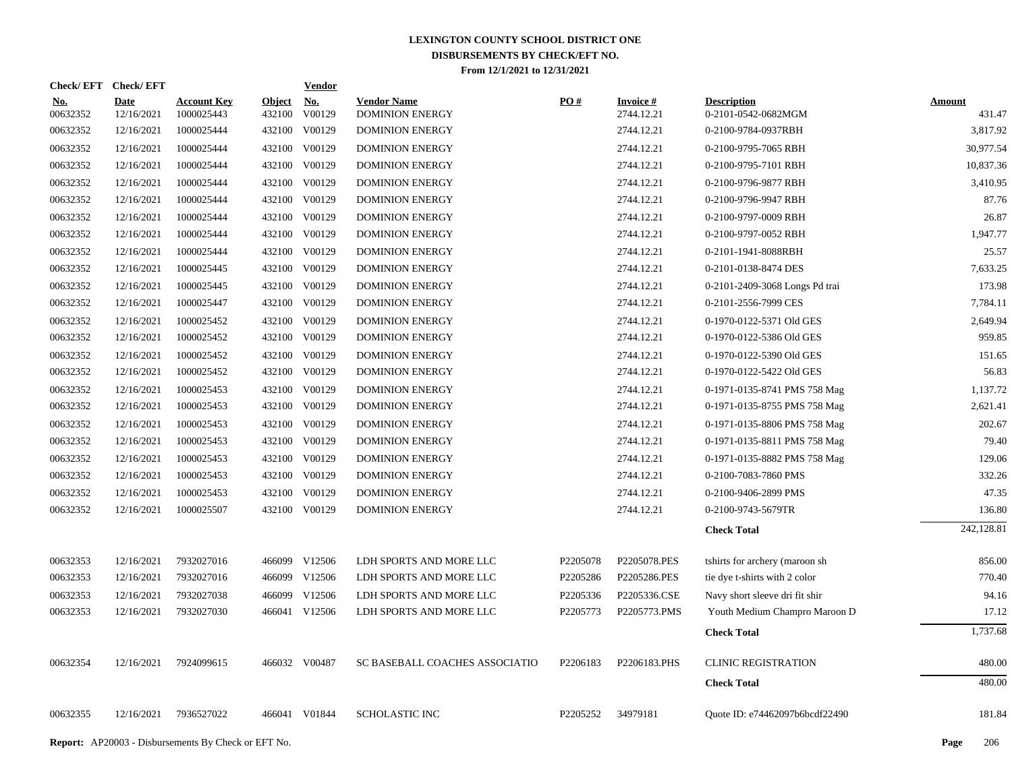|                        | Check/EFT Check/EFT       |                                  |                      | <b>Vendor</b> |                                              |                   |                               |                                           |                         |
|------------------------|---------------------------|----------------------------------|----------------------|---------------|----------------------------------------------|-------------------|-------------------------------|-------------------------------------------|-------------------------|
| <u>No.</u><br>00632352 | <b>Date</b><br>12/16/2021 | <b>Account Key</b><br>1000025443 | Object No.<br>432100 | V00129        | <b>Vendor Name</b><br><b>DOMINION ENERGY</b> | $\underline{PO#}$ | <b>Invoice#</b><br>2744.12.21 | <b>Description</b><br>0-2101-0542-0682MGM | <b>Amount</b><br>431.47 |
| 00632352               | 12/16/2021                | 1000025444                       | 432100               | V00129        | <b>DOMINION ENERGY</b>                       |                   | 2744.12.21                    | 0-2100-9784-0937RBH                       | 3,817.92                |
| 00632352               | 12/16/2021                | 1000025444                       |                      | 432100 V00129 | <b>DOMINION ENERGY</b>                       |                   | 2744.12.21                    | 0-2100-9795-7065 RBH                      | 30,977.54               |
| 00632352               | 12/16/2021                | 1000025444                       |                      | 432100 V00129 | <b>DOMINION ENERGY</b>                       |                   | 2744.12.21                    | 0-2100-9795-7101 RBH                      | 10,837.36               |
| 00632352               | 12/16/2021                | 1000025444                       |                      | 432100 V00129 | <b>DOMINION ENERGY</b>                       |                   | 2744.12.21                    | 0-2100-9796-9877 RBH                      | 3,410.95                |
| 00632352               | 12/16/2021                | 1000025444                       |                      | 432100 V00129 | <b>DOMINION ENERGY</b>                       |                   | 2744.12.21                    | 0-2100-9796-9947 RBH                      | 87.76                   |
| 00632352               | 12/16/2021                | 1000025444                       |                      | 432100 V00129 | <b>DOMINION ENERGY</b>                       |                   | 2744.12.21                    | 0-2100-9797-0009 RBH                      | 26.87                   |
| 00632352               | 12/16/2021                | 1000025444                       |                      | 432100 V00129 | <b>DOMINION ENERGY</b>                       |                   | 2744.12.21                    | 0-2100-9797-0052 RBH                      | 1,947.77                |
| 00632352               | 12/16/2021                | 1000025444                       |                      | 432100 V00129 | <b>DOMINION ENERGY</b>                       |                   | 2744.12.21                    | 0-2101-1941-8088RBH                       | 25.57                   |
| 00632352               | 12/16/2021                | 1000025445                       |                      | 432100 V00129 | <b>DOMINION ENERGY</b>                       |                   | 2744.12.21                    | 0-2101-0138-8474 DES                      | 7,633.25                |
| 00632352               | 12/16/2021                | 1000025445                       |                      | 432100 V00129 | <b>DOMINION ENERGY</b>                       |                   | 2744.12.21                    | 0-2101-2409-3068 Longs Pd trai            | 173.98                  |
| 00632352               | 12/16/2021                | 1000025447                       |                      | 432100 V00129 | <b>DOMINION ENERGY</b>                       |                   | 2744.12.21                    | 0-2101-2556-7999 CES                      | 7,784.11                |
| 00632352               | 12/16/2021                | 1000025452                       |                      | 432100 V00129 | <b>DOMINION ENERGY</b>                       |                   | 2744.12.21                    | 0-1970-0122-5371 Old GES                  | 2,649.94                |
| 00632352               | 12/16/2021                | 1000025452                       |                      | 432100 V00129 | <b>DOMINION ENERGY</b>                       |                   | 2744.12.21                    | 0-1970-0122-5386 Old GES                  | 959.85                  |
| 00632352               | 12/16/2021                | 1000025452                       |                      | 432100 V00129 | <b>DOMINION ENERGY</b>                       |                   | 2744.12.21                    | 0-1970-0122-5390 Old GES                  | 151.65                  |
| 00632352               | 12/16/2021                | 1000025452                       |                      | 432100 V00129 | <b>DOMINION ENERGY</b>                       |                   | 2744.12.21                    | 0-1970-0122-5422 Old GES                  | 56.83                   |
| 00632352               | 12/16/2021                | 1000025453                       |                      | 432100 V00129 | DOMINION ENERGY                              |                   | 2744.12.21                    | 0-1971-0135-8741 PMS 758 Mag              | 1,137.72                |
| 00632352               | 12/16/2021                | 1000025453                       |                      | 432100 V00129 | <b>DOMINION ENERGY</b>                       |                   | 2744.12.21                    | 0-1971-0135-8755 PMS 758 Mag              | 2,621.41                |
| 00632352               | 12/16/2021                | 1000025453                       |                      | 432100 V00129 | <b>DOMINION ENERGY</b>                       |                   | 2744.12.21                    | 0-1971-0135-8806 PMS 758 Mag              | 202.67                  |
| 00632352               | 12/16/2021                | 1000025453                       |                      | 432100 V00129 | <b>DOMINION ENERGY</b>                       |                   | 2744.12.21                    | 0-1971-0135-8811 PMS 758 Mag              | 79.40                   |
| 00632352               | 12/16/2021                | 1000025453                       |                      | 432100 V00129 | <b>DOMINION ENERGY</b>                       |                   | 2744.12.21                    | 0-1971-0135-8882 PMS 758 Mag              | 129.06                  |
| 00632352               | 12/16/2021                | 1000025453                       |                      | 432100 V00129 | <b>DOMINION ENERGY</b>                       |                   | 2744.12.21                    | 0-2100-7083-7860 PMS                      | 332.26                  |
| 00632352               | 12/16/2021                | 1000025453                       |                      | 432100 V00129 | DOMINION ENERGY                              |                   | 2744.12.21                    | 0-2100-9406-2899 PMS                      | 47.35                   |
| 00632352               | 12/16/2021                | 1000025507                       |                      | 432100 V00129 | <b>DOMINION ENERGY</b>                       |                   | 2744.12.21                    | 0-2100-9743-5679TR                        | 136.80                  |
|                        |                           |                                  |                      |               |                                              |                   |                               | <b>Check Total</b>                        | 242,128.81              |
| 00632353               | 12/16/2021                | 7932027016                       |                      | 466099 V12506 | LDH SPORTS AND MORE LLC                      | P2205078          | P2205078.PES                  | tshirts for archery (maroon sh            | 856.00                  |
| 00632353               | 12/16/2021                | 7932027016                       |                      | 466099 V12506 | LDH SPORTS AND MORE LLC                      | P2205286          | P2205286.PES                  | tie dye t-shirts with 2 color             | 770.40                  |
| 00632353               | 12/16/2021                | 7932027038                       |                      | 466099 V12506 | LDH SPORTS AND MORE LLC                      | P2205336          | P2205336.CSE                  | Navy short sleeve dri fit shir            | 94.16                   |
| 00632353               | 12/16/2021                | 7932027030                       |                      | 466041 V12506 | LDH SPORTS AND MORE LLC                      | P2205773          | P2205773.PMS                  | Youth Medium Champro Maroon D             | 17.12                   |
|                        |                           |                                  |                      |               |                                              |                   |                               | <b>Check Total</b>                        | 1,737.68                |
| 00632354               | 12/16/2021                | 7924099615                       |                      | 466032 V00487 | SC BASEBALL COACHES ASSOCIATIO               | P2206183          | P2206183.PHS                  | <b>CLINIC REGISTRATION</b>                | 480.00                  |
|                        |                           |                                  |                      |               |                                              |                   |                               | <b>Check Total</b>                        | 480.00                  |
| 00632355               | 12/16/2021                | 7936527022                       |                      | 466041 V01844 | <b>SCHOLASTIC INC</b>                        | P2205252          | 34979181                      | Quote ID: e74462097b6bcdf22490            | 181.84                  |
|                        |                           |                                  |                      |               |                                              |                   |                               |                                           |                         |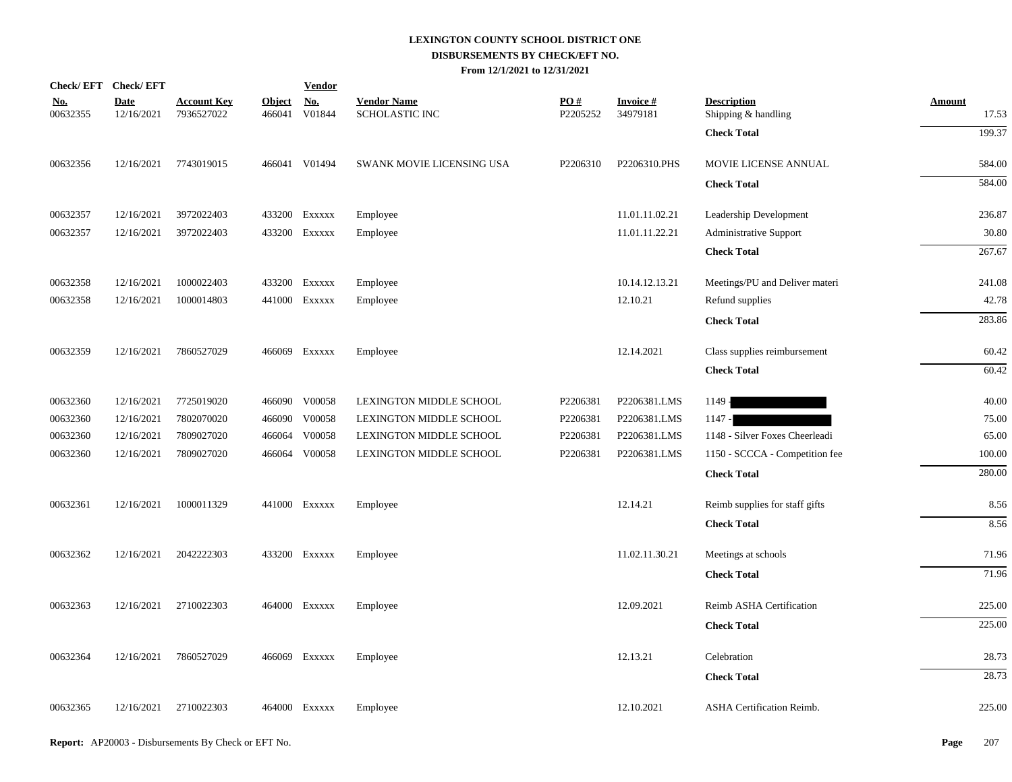| Check/EFT Check/EFT    |                           |                                  |                         | <b>Vendor</b>        |                                             |                 |                             |                                           |                        |
|------------------------|---------------------------|----------------------------------|-------------------------|----------------------|---------------------------------------------|-----------------|-----------------------------|-------------------------------------------|------------------------|
| <u>No.</u><br>00632355 | <b>Date</b><br>12/16/2021 | <u>Account Key</u><br>7936527022 | <b>Object</b><br>466041 | <u>No.</u><br>V01844 | <b>Vendor Name</b><br><b>SCHOLASTIC INC</b> | PO#<br>P2205252 | <b>Invoice#</b><br>34979181 | <b>Description</b><br>Shipping & handling | <b>Amount</b><br>17.53 |
|                        |                           |                                  |                         |                      |                                             |                 |                             | <b>Check Total</b>                        | 199.37                 |
| 00632356               | 12/16/2021                | 7743019015                       |                         | 466041 V01494        | SWANK MOVIE LICENSING USA                   | P2206310        | P2206310.PHS                | MOVIE LICENSE ANNUAL                      | 584.00                 |
|                        |                           |                                  |                         |                      |                                             |                 |                             | <b>Check Total</b>                        | 584.00                 |
| 00632357               | 12/16/2021                | 3972022403                       |                         | 433200 EXXXXX        | Employee                                    |                 | 11.01.11.02.21              | Leadership Development                    | 236.87                 |
| 00632357               | 12/16/2021                | 3972022403                       |                         | 433200 Exxxxx        | Employee                                    |                 | 11.01.11.22.21              | <b>Administrative Support</b>             | 30.80                  |
|                        |                           |                                  |                         |                      |                                             |                 |                             | <b>Check Total</b>                        | 267.67                 |
| 00632358               | 12/16/2021                | 1000022403                       |                         | 433200 EXXXXX        | Employee                                    |                 | 10.14.12.13.21              | Meetings/PU and Deliver materi            | 241.08                 |
| 00632358               | 12/16/2021                | 1000014803                       |                         | 441000 Exxxxx        | Employee                                    |                 | 12.10.21                    | Refund supplies                           | 42.78                  |
|                        |                           |                                  |                         |                      |                                             |                 |                             | <b>Check Total</b>                        | 283.86                 |
| 00632359               | 12/16/2021                | 7860527029                       |                         | 466069 Exxxxx        | Employee                                    |                 | 12.14.2021                  | Class supplies reimbursement              | 60.42                  |
|                        |                           |                                  |                         |                      |                                             |                 |                             | <b>Check Total</b>                        | 60.42                  |
| 00632360               | 12/16/2021                | 7725019020                       |                         | 466090 V00058        | LEXINGTON MIDDLE SCHOOL                     | P2206381        | P2206381.LMS                | $1149 -$                                  | 40.00                  |
| 00632360               | 12/16/2021                | 7802070020                       |                         | 466090 V00058        | LEXINGTON MIDDLE SCHOOL                     | P2206381        | P2206381.LMS                | $1147 -$                                  | 75.00                  |
| 00632360               | 12/16/2021                | 7809027020                       | 466064                  | V00058               | LEXINGTON MIDDLE SCHOOL                     | P2206381        | P2206381.LMS                | 1148 - Silver Foxes Cheerleadi            | 65.00                  |
| 00632360               | 12/16/2021                | 7809027020                       |                         | 466064 V00058        | LEXINGTON MIDDLE SCHOOL                     | P2206381        | P2206381.LMS                | 1150 - SCCCA - Competition fee            | 100.00                 |
|                        |                           |                                  |                         |                      |                                             |                 |                             | <b>Check Total</b>                        | 280.00                 |
| 00632361               | 12/16/2021                | 1000011329                       |                         | 441000 Exxxxx        | Employee                                    |                 | 12.14.21                    | Reimb supplies for staff gifts            | 8.56                   |
|                        |                           |                                  |                         |                      |                                             |                 |                             | <b>Check Total</b>                        | 8.56                   |
| 00632362               | 12/16/2021                | 2042222303                       |                         | 433200 Exxxxx        | Employee                                    |                 | 11.02.11.30.21              | Meetings at schools                       | 71.96                  |
|                        |                           |                                  |                         |                      |                                             |                 |                             | <b>Check Total</b>                        | 71.96                  |
| 00632363               | 12/16/2021                | 2710022303                       |                         | 464000 Exxxxx        | Employee                                    |                 | 12.09.2021                  | Reimb ASHA Certification                  | 225.00                 |
|                        |                           |                                  |                         |                      |                                             |                 |                             | <b>Check Total</b>                        | 225.00                 |
| 00632364               | 12/16/2021                | 7860527029                       |                         | 466069 Exxxxx        | Employee                                    |                 | 12.13.21                    | Celebration                               | 28.73                  |
|                        |                           |                                  |                         |                      |                                             |                 |                             | <b>Check Total</b>                        | 28.73                  |
| 00632365               | 12/16/2021                | 2710022303                       |                         | 464000 Exxxxx        | Employee                                    |                 | 12.10.2021                  | ASHA Certification Reimb.                 | 225.00                 |
|                        |                           |                                  |                         |                      |                                             |                 |                             |                                           |                        |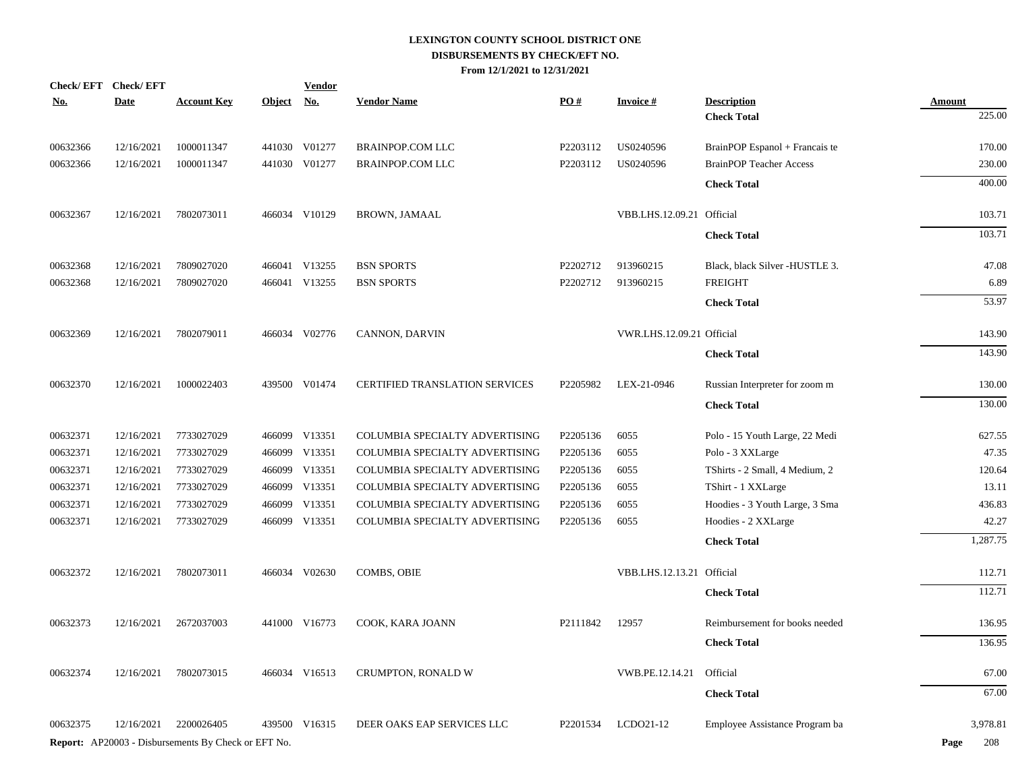| Check/EFT Check/EFT |             |                                                            |            | <b>Vendor</b> |                                       |          |                           |                                |               |
|---------------------|-------------|------------------------------------------------------------|------------|---------------|---------------------------------------|----------|---------------------------|--------------------------------|---------------|
| <b>No.</b>          | <b>Date</b> | <b>Account Key</b>                                         | Object No. |               | <b>Vendor Name</b>                    | PO#      | <b>Invoice#</b>           | <b>Description</b>             | <b>Amount</b> |
|                     |             |                                                            |            |               |                                       |          |                           | <b>Check Total</b>             | 225.00        |
| 00632366            | 12/16/2021  | 1000011347                                                 |            | 441030 V01277 | <b>BRAINPOP.COM LLC</b>               | P2203112 | US0240596                 | BrainPOP Espanol + Francais te | 170.00        |
| 00632366            | 12/16/2021  | 1000011347                                                 |            | 441030 V01277 | BRAINPOP.COM LLC                      | P2203112 | US0240596                 | <b>BrainPOP Teacher Access</b> | 230.00        |
|                     |             |                                                            |            |               |                                       |          |                           | <b>Check Total</b>             | 400.00        |
| 00632367            | 12/16/2021  | 7802073011                                                 |            | 466034 V10129 | <b>BROWN, JAMAAL</b>                  |          | VBB.LHS.12.09.21 Official |                                | 103.71        |
|                     |             |                                                            |            |               |                                       |          |                           | <b>Check Total</b>             | 103.71        |
| 00632368            | 12/16/2021  | 7809027020                                                 |            | 466041 V13255 | <b>BSN SPORTS</b>                     | P2202712 | 913960215                 | Black, black Silver -HUSTLE 3. | 47.08         |
| 00632368            | 12/16/2021  | 7809027020                                                 |            | 466041 V13255 | <b>BSN SPORTS</b>                     | P2202712 | 913960215                 | <b>FREIGHT</b>                 | 6.89          |
|                     |             |                                                            |            |               |                                       |          |                           | <b>Check Total</b>             | 53.97         |
| 00632369            | 12/16/2021  | 7802079011                                                 |            | 466034 V02776 | CANNON, DARVIN                        |          | VWR.LHS.12.09.21 Official |                                | 143.90        |
|                     |             |                                                            |            |               |                                       |          |                           | <b>Check Total</b>             | 143.90        |
| 00632370            | 12/16/2021  | 1000022403                                                 |            | 439500 V01474 | <b>CERTIFIED TRANSLATION SERVICES</b> | P2205982 | LEX-21-0946               | Russian Interpreter for zoom m | 130.00        |
|                     |             |                                                            |            |               |                                       |          |                           | <b>Check Total</b>             | 130.00        |
| 00632371            | 12/16/2021  | 7733027029                                                 |            | 466099 V13351 | COLUMBIA SPECIALTY ADVERTISING        | P2205136 | 6055                      | Polo - 15 Youth Large, 22 Medi | 627.55        |
| 00632371            | 12/16/2021  | 7733027029                                                 |            | 466099 V13351 | COLUMBIA SPECIALTY ADVERTISING        | P2205136 | 6055                      | Polo - 3 XXLarge               | 47.35         |
| 00632371            | 12/16/2021  | 7733027029                                                 |            | 466099 V13351 | COLUMBIA SPECIALTY ADVERTISING        | P2205136 | 6055                      | TShirts - 2 Small, 4 Medium, 2 | 120.64        |
| 00632371            | 12/16/2021  | 7733027029                                                 |            | 466099 V13351 | COLUMBIA SPECIALTY ADVERTISING        | P2205136 | 6055                      | TShirt - 1 XXLarge             | 13.11         |
| 00632371            | 12/16/2021  | 7733027029                                                 |            | 466099 V13351 | COLUMBIA SPECIALTY ADVERTISING        | P2205136 | 6055                      | Hoodies - 3 Youth Large, 3 Sma | 436.83        |
| 00632371            | 12/16/2021  | 7733027029                                                 |            | 466099 V13351 | COLUMBIA SPECIALTY ADVERTISING        | P2205136 | 6055                      | Hoodies - 2 XXLarge            | 42.27         |
|                     |             |                                                            |            |               |                                       |          |                           | <b>Check Total</b>             | 1,287.75      |
| 00632372            | 12/16/2021  | 7802073011                                                 |            | 466034 V02630 | <b>COMBS, OBIE</b>                    |          | VBB.LHS.12.13.21 Official |                                | 112.71        |
|                     |             |                                                            |            |               |                                       |          |                           | <b>Check Total</b>             | 112.71        |
| 00632373            | 12/16/2021  | 2672037003                                                 |            | 441000 V16773 | COOK, KARA JOANN                      | P2111842 | 12957                     | Reimbursement for books needed | 136.95        |
|                     |             |                                                            |            |               |                                       |          |                           | <b>Check Total</b>             | 136.95        |
| 00632374            | 12/16/2021  | 7802073015                                                 |            | 466034 V16513 | CRUMPTON, RONALD W                    |          | VWB.PE.12.14.21           | Official                       | 67.00         |
|                     |             |                                                            |            |               |                                       |          |                           | <b>Check Total</b>             | 67.00         |
| 00632375            | 12/16/2021  | 2200026405                                                 |            | 439500 V16315 | DEER OAKS EAP SERVICES LLC            | P2201534 | LCDO21-12                 | Employee Assistance Program ba | 3,978.81      |
|                     |             | <b>Report:</b> AP20003 - Disbursements By Check or EFT No. |            |               |                                       |          |                           |                                | Page<br>208   |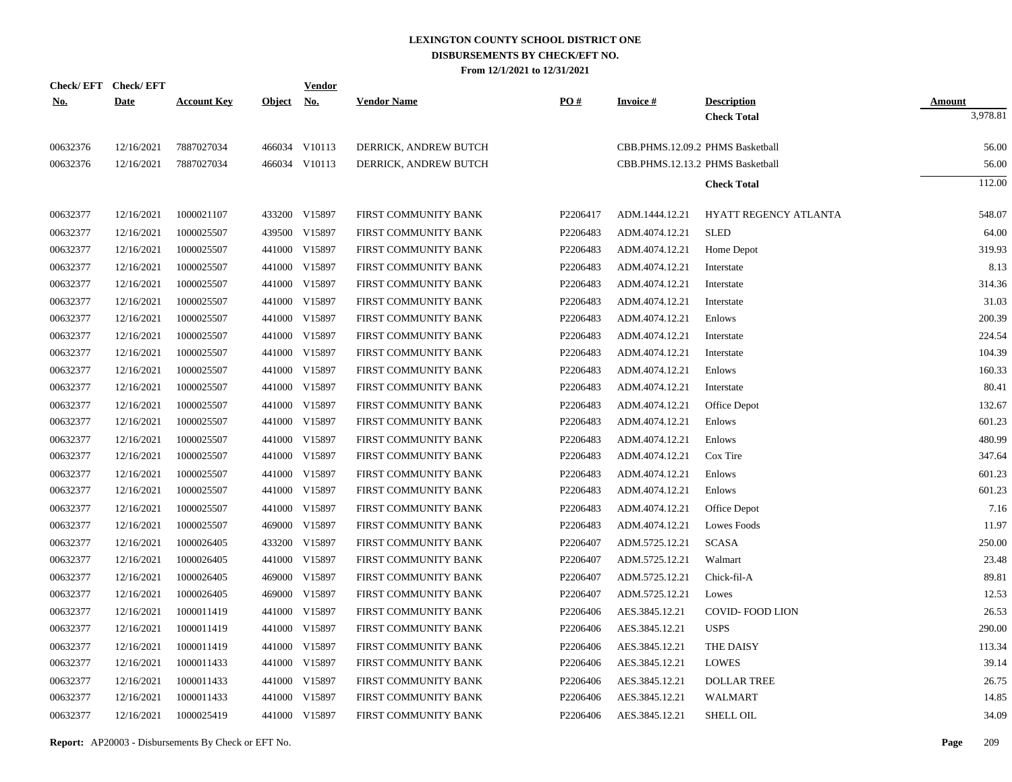|            | Check/EFT Check/EFT |                    |            | <b>Vendor</b> |                       | PO#      |                 |                                          |                    |
|------------|---------------------|--------------------|------------|---------------|-----------------------|----------|-----------------|------------------------------------------|--------------------|
| <u>No.</u> | <b>Date</b>         | <b>Account Key</b> | Object No. |               | <b>Vendor Name</b>    |          | <b>Invoice#</b> | <b>Description</b><br><b>Check Total</b> | Amount<br>3,978.81 |
|            |                     |                    |            |               |                       |          |                 |                                          |                    |
| 00632376   | 12/16/2021          | 7887027034         |            | 466034 V10113 | DERRICK, ANDREW BUTCH |          |                 | CBB.PHMS.12.09.2 PHMS Basketball         | 56.00              |
| 00632376   | 12/16/2021          | 7887027034         |            | 466034 V10113 | DERRICK, ANDREW BUTCH |          |                 | CBB.PHMS.12.13.2 PHMS Basketball         | 56.00              |
|            |                     |                    |            |               |                       |          |                 | <b>Check Total</b>                       | 112.00             |
|            |                     |                    |            |               |                       |          |                 |                                          |                    |
| 00632377   | 12/16/2021          | 1000021107         |            | 433200 V15897 | FIRST COMMUNITY BANK  | P2206417 | ADM.1444.12.21  | HYATT REGENCY ATLANTA                    | 548.07             |
| 00632377   | 12/16/2021          | 1000025507         | 439500     | V15897        | FIRST COMMUNITY BANK  | P2206483 | ADM.4074.12.21  | <b>SLED</b>                              | 64.00              |
| 00632377   | 12/16/2021          | 1000025507         |            | 441000 V15897 | FIRST COMMUNITY BANK  | P2206483 | ADM.4074.12.21  | Home Depot                               | 319.93             |
| 00632377   | 12/16/2021          | 1000025507         |            | 441000 V15897 | FIRST COMMUNITY BANK  | P2206483 | ADM.4074.12.21  | Interstate                               | 8.13               |
| 00632377   | 12/16/2021          | 1000025507         | 441000     | V15897        | FIRST COMMUNITY BANK  | P2206483 | ADM.4074.12.21  | Interstate                               | 314.36             |
| 00632377   | 12/16/2021          | 1000025507         | 441000     | V15897        | FIRST COMMUNITY BANK  | P2206483 | ADM.4074.12.21  | Interstate                               | 31.03              |
| 00632377   | 12/16/2021          | 1000025507         | 441000     | V15897        | FIRST COMMUNITY BANK  | P2206483 | ADM.4074.12.21  | Enlows                                   | 200.39             |
| 00632377   | 12/16/2021          | 1000025507         | 441000     | V15897        | FIRST COMMUNITY BANK  | P2206483 | ADM.4074.12.21  | Interstate                               | 224.54             |
| 00632377   | 12/16/2021          | 1000025507         | 441000     | V15897        | FIRST COMMUNITY BANK  | P2206483 | ADM.4074.12.21  | Interstate                               | 104.39             |
| 00632377   | 12/16/2021          | 1000025507         | 441000     | V15897        | FIRST COMMUNITY BANK  | P2206483 | ADM.4074.12.21  | Enlows                                   | 160.33             |
| 00632377   | 12/16/2021          | 1000025507         |            | 441000 V15897 | FIRST COMMUNITY BANK  | P2206483 | ADM.4074.12.21  | Interstate                               | 80.41              |
| 00632377   | 12/16/2021          | 1000025507         | 441000     | V15897        | FIRST COMMUNITY BANK  | P2206483 | ADM.4074.12.21  | Office Depot                             | 132.67             |
| 00632377   | 12/16/2021          | 1000025507         |            | 441000 V15897 | FIRST COMMUNITY BANK  | P2206483 | ADM.4074.12.21  | Enlows                                   | 601.23             |
| 00632377   | 12/16/2021          | 1000025507         | 441000     | V15897        | FIRST COMMUNITY BANK  | P2206483 | ADM.4074.12.21  | Enlows                                   | 480.99             |
| 00632377   | 12/16/2021          | 1000025507         |            | 441000 V15897 | FIRST COMMUNITY BANK  | P2206483 | ADM.4074.12.21  | Cox Tire                                 | 347.64             |
| 00632377   | 12/16/2021          | 1000025507         |            | 441000 V15897 | FIRST COMMUNITY BANK  | P2206483 | ADM.4074.12.21  | Enlows                                   | 601.23             |
| 00632377   | 12/16/2021          | 1000025507         |            | 441000 V15897 | FIRST COMMUNITY BANK  | P2206483 | ADM.4074.12.21  | Enlows                                   | 601.23             |
| 00632377   | 12/16/2021          | 1000025507         |            | 441000 V15897 | FIRST COMMUNITY BANK  | P2206483 | ADM.4074.12.21  | Office Depot                             | 7.16               |
| 00632377   | 12/16/2021          | 1000025507         |            | 469000 V15897 | FIRST COMMUNITY BANK  | P2206483 | ADM.4074.12.21  | Lowes Foods                              | 11.97              |
| 00632377   | 12/16/2021          | 1000026405         |            | 433200 V15897 | FIRST COMMUNITY BANK  | P2206407 | ADM.5725.12.21  | <b>SCASA</b>                             | 250.00             |
| 00632377   | 12/16/2021          | 1000026405         |            | 441000 V15897 | FIRST COMMUNITY BANK  | P2206407 | ADM.5725.12.21  | Walmart                                  | 23.48              |
| 00632377   | 12/16/2021          | 1000026405         |            | 469000 V15897 | FIRST COMMUNITY BANK  | P2206407 | ADM.5725.12.21  | Chick-fil-A                              | 89.81              |
| 00632377   | 12/16/2021          | 1000026405         |            | 469000 V15897 | FIRST COMMUNITY BANK  | P2206407 | ADM.5725.12.21  | Lowes                                    | 12.53              |
| 00632377   | 12/16/2021          | 1000011419         |            | 441000 V15897 | FIRST COMMUNITY BANK  | P2206406 | AES.3845.12.21  | <b>COVID-FOOD LION</b>                   | 26.53              |
| 00632377   | 12/16/2021          | 1000011419         |            | 441000 V15897 | FIRST COMMUNITY BANK  | P2206406 | AES.3845.12.21  | <b>USPS</b>                              | 290.00             |
| 00632377   | 12/16/2021          | 1000011419         |            | 441000 V15897 | FIRST COMMUNITY BANK  | P2206406 | AES.3845.12.21  | THE DAISY                                | 113.34             |
| 00632377   | 12/16/2021          | 1000011433         |            | 441000 V15897 | FIRST COMMUNITY BANK  | P2206406 | AES.3845.12.21  | <b>LOWES</b>                             | 39.14              |
| 00632377   | 12/16/2021          | 1000011433         |            | 441000 V15897 | FIRST COMMUNITY BANK  | P2206406 | AES.3845.12.21  | <b>DOLLAR TREE</b>                       | 26.75              |
| 00632377   | 12/16/2021          | 1000011433         |            | 441000 V15897 | FIRST COMMUNITY BANK  | P2206406 | AES.3845.12.21  | <b>WALMART</b>                           | 14.85              |
| 00632377   | 12/16/2021          | 1000025419         |            | 441000 V15897 | FIRST COMMUNITY BANK  | P2206406 | AES.3845.12.21  | <b>SHELL OIL</b>                         | 34.09              |
|            |                     |                    |            |               |                       |          |                 |                                          |                    |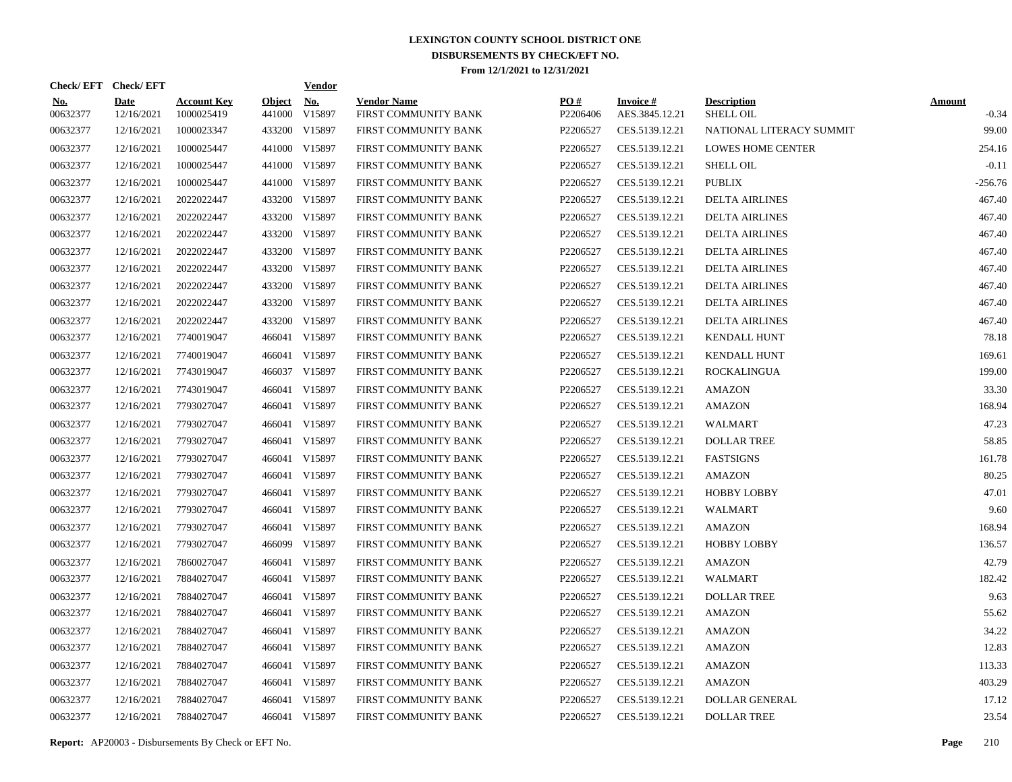| Check/EFT Check/EFT    |                           |                                  |                         | <b>Vendor</b>        |                                            |                 |                                   |                                        |                          |
|------------------------|---------------------------|----------------------------------|-------------------------|----------------------|--------------------------------------------|-----------------|-----------------------------------|----------------------------------------|--------------------------|
| <u>No.</u><br>00632377 | <b>Date</b><br>12/16/2021 | <b>Account Key</b><br>1000025419 | <b>Object</b><br>441000 | <b>No.</b><br>V15897 | <b>Vendor Name</b><br>FIRST COMMUNITY BANK | PO#<br>P2206406 | <b>Invoice#</b><br>AES.3845.12.21 | <b>Description</b><br><b>SHELL OIL</b> | <b>Amount</b><br>$-0.34$ |
| 00632377               | 12/16/2021                | 1000023347                       |                         | 433200 V15897        | FIRST COMMUNITY BANK                       | P2206527        | CES.5139.12.21                    | NATIONAL LITERACY SUMMIT               | 99.00                    |
| 00632377               | 12/16/2021                | 1000025447                       |                         | 441000 V15897        | FIRST COMMUNITY BANK                       | P2206527        | CES.5139.12.21                    | <b>LOWES HOME CENTER</b>               | 254.16                   |
| 00632377               | 12/16/2021                | 1000025447                       |                         | 441000 V15897        | FIRST COMMUNITY BANK                       | P2206527        | CES.5139.12.21                    | <b>SHELL OIL</b>                       | $-0.11$                  |
| 00632377               | 12/16/2021                | 1000025447                       |                         | 441000 V15897        | FIRST COMMUNITY BANK                       | P2206527        | CES.5139.12.21                    | <b>PUBLIX</b>                          | $-256.76$                |
| 00632377               | 12/16/2021                | 2022022447                       |                         | 433200 V15897        | FIRST COMMUNITY BANK                       | P2206527        | CES.5139.12.21                    | <b>DELTA AIRLINES</b>                  | 467.40                   |
| 00632377               | 12/16/2021                | 2022022447                       |                         | 433200 V15897        | FIRST COMMUNITY BANK                       | P2206527        | CES.5139.12.21                    | <b>DELTA AIRLINES</b>                  | 467.40                   |
| 00632377               | 12/16/2021                | 2022022447                       |                         | 433200 V15897        | FIRST COMMUNITY BANK                       | P2206527        | CES.5139.12.21                    | <b>DELTA AIRLINES</b>                  | 467.40                   |
| 00632377               | 12/16/2021                | 2022022447                       |                         | 433200 V15897        | FIRST COMMUNITY BANK                       | P2206527        | CES.5139.12.21                    | <b>DELTA AIRLINES</b>                  | 467.40                   |
| 00632377               | 12/16/2021                | 2022022447                       |                         | 433200 V15897        | FIRST COMMUNITY BANK                       | P2206527        | CES.5139.12.21                    | <b>DELTA AIRLINES</b>                  | 467.40                   |
| 00632377               | 12/16/2021                | 2022022447                       |                         | 433200 V15897        | FIRST COMMUNITY BANK                       | P2206527        | CES.5139.12.21                    | <b>DELTA AIRLINES</b>                  | 467.40                   |
| 00632377               | 12/16/2021                | 2022022447                       |                         | 433200 V15897        | FIRST COMMUNITY BANK                       | P2206527        | CES.5139.12.21                    | <b>DELTA AIRLINES</b>                  | 467.40                   |
| 00632377               | 12/16/2021                | 2022022447                       |                         | 433200 V15897        | FIRST COMMUNITY BANK                       | P2206527        | CES.5139.12.21                    | <b>DELTA AIRLINES</b>                  | 467.40                   |
| 00632377               | 12/16/2021                | 7740019047                       |                         | 466041 V15897        | FIRST COMMUNITY BANK                       | P2206527        | CES.5139.12.21                    | <b>KENDALL HUNT</b>                    | 78.18                    |
| 00632377               | 12/16/2021                | 7740019047                       |                         | 466041 V15897        | FIRST COMMUNITY BANK                       | P2206527        | CES.5139.12.21                    | <b>KENDALL HUNT</b>                    | 169.61                   |
| 00632377               | 12/16/2021                | 7743019047                       |                         | 466037 V15897        | FIRST COMMUNITY BANK                       | P2206527        | CES.5139.12.21                    | <b>ROCKALINGUA</b>                     | 199.00                   |
| 00632377               | 12/16/2021                | 7743019047                       | 466041                  | V15897               | FIRST COMMUNITY BANK                       | P2206527        | CES.5139.12.21                    | AMAZON                                 | 33.30                    |
| 00632377               | 12/16/2021                | 7793027047                       |                         | 466041 V15897        | FIRST COMMUNITY BANK                       | P2206527        | CES.5139.12.21                    | AMAZON                                 | 168.94                   |
| 00632377               | 12/16/2021                | 7793027047                       | 466041                  | V15897               | FIRST COMMUNITY BANK                       | P2206527        | CES.5139.12.21                    | WALMART                                | 47.23                    |
| 00632377               | 12/16/2021                | 7793027047                       | 466041                  | V15897               | FIRST COMMUNITY BANK                       | P2206527        | CES.5139.12.21                    | <b>DOLLAR TREE</b>                     | 58.85                    |
| 00632377               | 12/16/2021                | 7793027047                       | 466041                  | V15897               | FIRST COMMUNITY BANK                       | P2206527        | CES.5139.12.21                    | <b>FASTSIGNS</b>                       | 161.78                   |
| 00632377               | 12/16/2021                | 7793027047                       | 466041                  | V15897               | FIRST COMMUNITY BANK                       | P2206527        | CES.5139.12.21                    | AMAZON                                 | 80.25                    |
| 00632377               | 12/16/2021                | 7793027047                       | 466041                  | V15897               | FIRST COMMUNITY BANK                       | P2206527        | CES.5139.12.21                    | <b>HOBBY LOBBY</b>                     | 47.01                    |
| 00632377               | 12/16/2021                | 7793027047                       | 466041                  | V15897               | FIRST COMMUNITY BANK                       | P2206527        | CES.5139.12.21                    | WALMART                                | 9.60                     |
| 00632377               | 12/16/2021                | 7793027047                       | 466041                  | V15897               | FIRST COMMUNITY BANK                       | P2206527        | CES.5139.12.21                    | AMAZON                                 | 168.94                   |
| 00632377               | 12/16/2021                | 7793027047                       |                         | 466099 V15897        | FIRST COMMUNITY BANK                       | P2206527        | CES.5139.12.21                    | <b>HOBBY LOBBY</b>                     | 136.57                   |
| 00632377               | 12/16/2021                | 7860027047                       | 466041                  | V15897               | FIRST COMMUNITY BANK                       | P2206527        | CES.5139.12.21                    | AMAZON                                 | 42.79                    |
| 00632377               | 12/16/2021                | 7884027047                       | 466041                  | V15897               | FIRST COMMUNITY BANK                       | P2206527        | CES.5139.12.21                    | WALMART                                | 182.42                   |
| 00632377               | 12/16/2021                | 7884027047                       | 466041                  | V15897               | FIRST COMMUNITY BANK                       | P2206527        | CES.5139.12.21                    | <b>DOLLAR TREE</b>                     | 9.63                     |
| 00632377               | 12/16/2021                | 7884027047                       | 466041                  | V15897               | FIRST COMMUNITY BANK                       | P2206527        | CES.5139.12.21                    | <b>AMAZON</b>                          | 55.62                    |
| 00632377               | 12/16/2021                | 7884027047                       | 466041                  | V15897               | FIRST COMMUNITY BANK                       | P2206527        | CES.5139.12.21                    | <b>AMAZON</b>                          | 34.22                    |
| 00632377               | 12/16/2021                | 7884027047                       | 466041                  | V15897               | FIRST COMMUNITY BANK                       | P2206527        | CES.5139.12.21                    | AMAZON                                 | 12.83                    |
| 00632377               | 12/16/2021                | 7884027047                       | 466041                  | V15897               | FIRST COMMUNITY BANK                       | P2206527        | CES.5139.12.21                    | <b>AMAZON</b>                          | 113.33                   |
| 00632377               | 12/16/2021                | 7884027047                       |                         | 466041 V15897        | FIRST COMMUNITY BANK                       | P2206527        | CES.5139.12.21                    | <b>AMAZON</b>                          | 403.29                   |
| 00632377               | 12/16/2021                | 7884027047                       | 466041                  | V15897               | FIRST COMMUNITY BANK                       | P2206527        | CES.5139.12.21                    | <b>DOLLAR GENERAL</b>                  | 17.12                    |
| 00632377               | 12/16/2021                | 7884027047                       |                         | 466041 V15897        | FIRST COMMUNITY BANK                       | P2206527        | CES.5139.12.21                    | <b>DOLLAR TREE</b>                     | 23.54                    |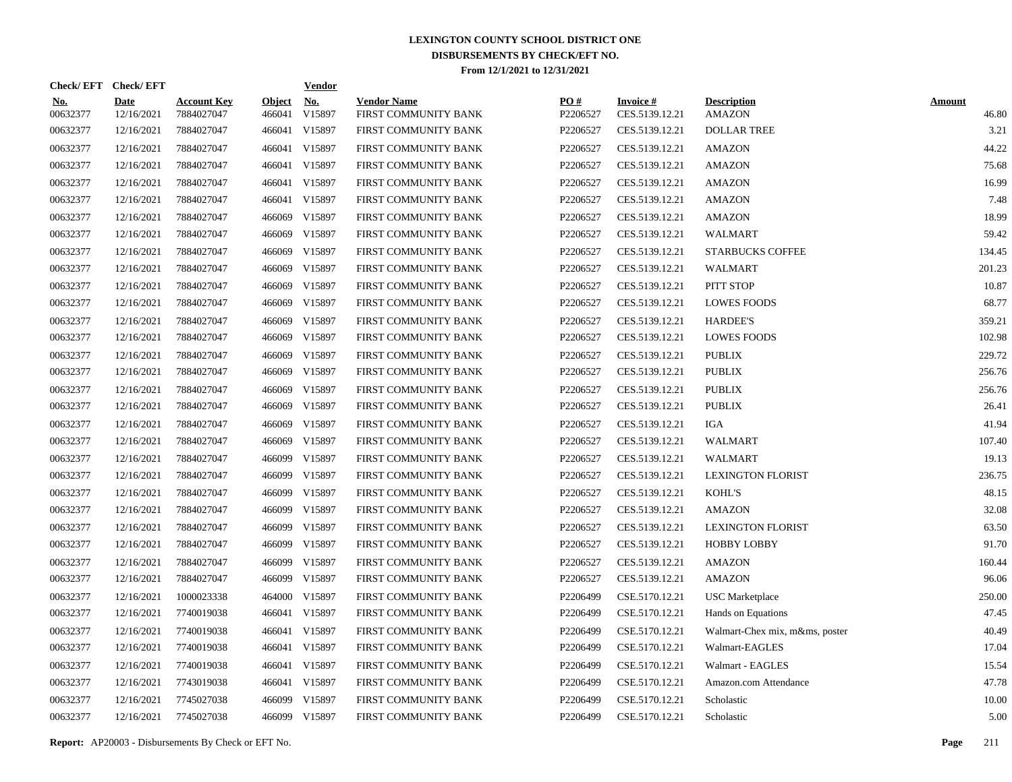| Check/EFT Check/EFT    |                           |                                  |                         | <b>Vendor</b>        |                                            |                 |                                   |                                     |                        |
|------------------------|---------------------------|----------------------------------|-------------------------|----------------------|--------------------------------------------|-----------------|-----------------------------------|-------------------------------------|------------------------|
| <u>No.</u><br>00632377 | <b>Date</b><br>12/16/2021 | <b>Account Key</b><br>7884027047 | <b>Object</b><br>466041 | <u>No.</u><br>V15897 | <b>Vendor Name</b><br>FIRST COMMUNITY BANK | PO#<br>P2206527 | <b>Invoice#</b><br>CES.5139.12.21 | <b>Description</b><br><b>AMAZON</b> | <b>Amount</b><br>46.80 |
| 00632377               | 12/16/2021                | 7884027047                       | 466041                  | V15897               | FIRST COMMUNITY BANK                       | P2206527        | CES.5139.12.21                    | <b>DOLLAR TREE</b>                  | 3.21                   |
| 00632377               | 12/16/2021                | 7884027047                       |                         | 466041 V15897        | FIRST COMMUNITY BANK                       | P2206527        | CES.5139.12.21                    | <b>AMAZON</b>                       | 44.22                  |
| 00632377               | 12/16/2021                | 7884027047                       | 466041                  | V15897               | FIRST COMMUNITY BANK                       | P2206527        | CES.5139.12.21                    | <b>AMAZON</b>                       | 75.68                  |
| 00632377               | 12/16/2021                | 7884027047                       |                         | 466041 V15897        | FIRST COMMUNITY BANK                       | P2206527        | CES.5139.12.21                    | <b>AMAZON</b>                       | 16.99                  |
| 00632377               | 12/16/2021                | 7884027047                       |                         | 466041 V15897        | FIRST COMMUNITY BANK                       | P2206527        | CES.5139.12.21                    | <b>AMAZON</b>                       | 7.48                   |
| 00632377               | 12/16/2021                | 7884027047                       |                         | 466069 V15897        | FIRST COMMUNITY BANK                       | P2206527        | CES.5139.12.21                    | <b>AMAZON</b>                       | 18.99                  |
| 00632377               | 12/16/2021                | 7884027047                       |                         | 466069 V15897        | FIRST COMMUNITY BANK                       | P2206527        | CES.5139.12.21                    | WALMART                             | 59.42                  |
| 00632377               | 12/16/2021                | 7884027047                       |                         | 466069 V15897        | FIRST COMMUNITY BANK                       | P2206527        | CES.5139.12.21                    | <b>STARBUCKS COFFEE</b>             | 134.45                 |
| 00632377               | 12/16/2021                | 7884027047                       |                         | 466069 V15897        | FIRST COMMUNITY BANK                       | P2206527        | CES.5139.12.21                    | WALMART                             | 201.23                 |
| 00632377               | 12/16/2021                | 7884027047                       |                         | 466069 V15897        | FIRST COMMUNITY BANK                       | P2206527        | CES.5139.12.21                    | PITT STOP                           | 10.87                  |
| 00632377               | 12/16/2021                | 7884027047                       |                         | 466069 V15897        | FIRST COMMUNITY BANK                       | P2206527        | CES.5139.12.21                    | <b>LOWES FOODS</b>                  | 68.77                  |
| 00632377               | 12/16/2021                | 7884027047                       |                         | 466069 V15897        | FIRST COMMUNITY BANK                       | P2206527        | CES.5139.12.21                    | <b>HARDEE'S</b>                     | 359.21                 |
| 00632377               | 12/16/2021                | 7884027047                       |                         | 466069 V15897        | FIRST COMMUNITY BANK                       | P2206527        | CES.5139.12.21                    | <b>LOWES FOODS</b>                  | 102.98                 |
| 00632377               | 12/16/2021                | 7884027047                       |                         | 466069 V15897        | FIRST COMMUNITY BANK                       | P2206527        | CES.5139.12.21                    | <b>PUBLIX</b>                       | 229.72                 |
| 00632377               | 12/16/2021                | 7884027047                       |                         | 466069 V15897        | FIRST COMMUNITY BANK                       | P2206527        | CES.5139.12.21                    | <b>PUBLIX</b>                       | 256.76                 |
| 00632377               | 12/16/2021                | 7884027047                       |                         | 466069 V15897        | FIRST COMMUNITY BANK                       | P2206527        | CES.5139.12.21                    | PUBLIX                              | 256.76                 |
| 00632377               | 12/16/2021                | 7884027047                       |                         | 466069 V15897        | FIRST COMMUNITY BANK                       | P2206527        | CES.5139.12.21                    | <b>PUBLIX</b>                       | 26.41                  |
| 00632377               | 12/16/2021                | 7884027047                       |                         | 466069 V15897        | FIRST COMMUNITY BANK                       | P2206527        | CES.5139.12.21                    | <b>IGA</b>                          | 41.94                  |
| 00632377               | 12/16/2021                | 7884027047                       |                         | 466069 V15897        | FIRST COMMUNITY BANK                       | P2206527        | CES.5139.12.21                    | <b>WALMART</b>                      | 107.40                 |
| 00632377               | 12/16/2021                | 7884027047                       |                         | 466099 V15897        | FIRST COMMUNITY BANK                       | P2206527        | CES.5139.12.21                    | <b>WALMART</b>                      | 19.13                  |
| 00632377               | 12/16/2021                | 7884027047                       |                         | 466099 V15897        | FIRST COMMUNITY BANK                       | P2206527        | CES.5139.12.21                    | <b>LEXINGTON FLORIST</b>            | 236.75                 |
| 00632377               | 12/16/2021                | 7884027047                       |                         | 466099 V15897        | FIRST COMMUNITY BANK                       | P2206527        | CES.5139.12.21                    | KOHL'S                              | 48.15                  |
| 00632377               | 12/16/2021                | 7884027047                       |                         | 466099 V15897        | FIRST COMMUNITY BANK                       | P2206527        | CES.5139.12.21                    | <b>AMAZON</b>                       | 32.08                  |
| 00632377               | 12/16/2021                | 7884027047                       |                         | 466099 V15897        | FIRST COMMUNITY BANK                       | P2206527        | CES.5139.12.21                    | <b>LEXINGTON FLORIST</b>            | 63.50                  |
| 00632377               | 12/16/2021                | 7884027047                       |                         | 466099 V15897        | FIRST COMMUNITY BANK                       | P2206527        | CES.5139.12.21                    | <b>HOBBY LOBBY</b>                  | 91.70                  |
| 00632377               | 12/16/2021                | 7884027047                       |                         | 466099 V15897        | FIRST COMMUNITY BANK                       | P2206527        | CES.5139.12.21                    | <b>AMAZON</b>                       | 160.44                 |
| 00632377               | 12/16/2021                | 7884027047                       |                         | 466099 V15897        | FIRST COMMUNITY BANK                       | P2206527        | CES.5139.12.21                    | <b>AMAZON</b>                       | 96.06                  |
| 00632377               | 12/16/2021                | 1000023338                       | 464000                  | V15897               | FIRST COMMUNITY BANK                       | P2206499        | CSE.5170.12.21                    | <b>USC</b> Marketplace              | 250.00                 |
| 00632377               | 12/16/2021                | 7740019038                       |                         | 466041 V15897        | FIRST COMMUNITY BANK                       | P2206499        | CSE.5170.12.21                    | Hands on Equations                  | 47.45                  |
| 00632377               | 12/16/2021                | 7740019038                       |                         | 466041 V15897        | FIRST COMMUNITY BANK                       | P2206499        | CSE.5170.12.21                    | Walmart-Chex mix, m&ms, poster      | 40.49                  |
| 00632377               | 12/16/2021                | 7740019038                       |                         | 466041 V15897        | FIRST COMMUNITY BANK                       | P2206499        | CSE.5170.12.21                    | Walmart-EAGLES                      | 17.04                  |
| 00632377               | 12/16/2021                | 7740019038                       |                         | 466041 V15897        | FIRST COMMUNITY BANK                       | P2206499        | CSE.5170.12.21                    | Walmart - EAGLES                    | 15.54                  |
| 00632377               | 12/16/2021                | 7743019038                       |                         | 466041 V15897        | FIRST COMMUNITY BANK                       | P2206499        | CSE.5170.12.21                    | Amazon.com Attendance               | 47.78                  |
| 00632377               | 12/16/2021                | 7745027038                       |                         | 466099 V15897        | FIRST COMMUNITY BANK                       | P2206499        | CSE.5170.12.21                    | Scholastic                          | 10.00                  |
| 00632377               | 12/16/2021                | 7745027038                       |                         | 466099 V15897        | FIRST COMMUNITY BANK                       | P2206499        | CSE.5170.12.21                    | Scholastic                          | 5.00                   |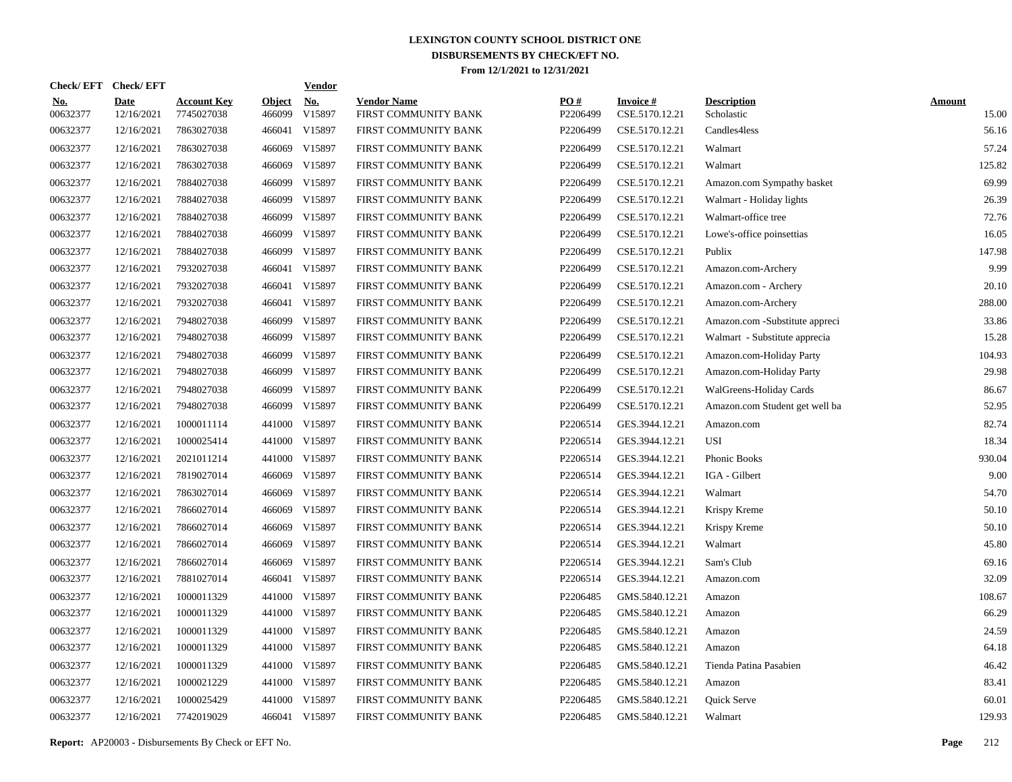|                        | Check/EFT Check/EFT       |                                  |                         | <b>Vendor</b>                       |                                            |                 |                                   |                                  |                        |
|------------------------|---------------------------|----------------------------------|-------------------------|-------------------------------------|--------------------------------------------|-----------------|-----------------------------------|----------------------------------|------------------------|
| <u>No.</u><br>00632377 | <b>Date</b><br>12/16/2021 | <b>Account Key</b><br>7745027038 | <b>Object</b><br>466099 | $\underline{\textbf{No}}$<br>V15897 | <b>Vendor Name</b><br>FIRST COMMUNITY BANK | PQ#<br>P2206499 | <b>Invoice#</b><br>CSE.5170.12.21 | <b>Description</b><br>Scholastic | <b>Amount</b><br>15.00 |
| 00632377               | 12/16/2021                | 7863027038                       | 466041                  | V15897                              | FIRST COMMUNITY BANK                       | P2206499        | CSE.5170.12.21                    | Candles4less                     | 56.16                  |
| 00632377               | 12/16/2021                | 7863027038                       | 466069                  | V15897                              | FIRST COMMUNITY BANK                       | P2206499        | CSE.5170.12.21                    | Walmart                          | 57.24                  |
| 00632377               | 12/16/2021                | 7863027038                       | 466069                  | V15897                              | FIRST COMMUNITY BANK                       | P2206499        | CSE.5170.12.21                    | Walmart                          | 125.82                 |
| 00632377               | 12/16/2021                | 7884027038                       | 466099                  | V15897                              | FIRST COMMUNITY BANK                       | P2206499        | CSE.5170.12.21                    | Amazon.com Sympathy basket       | 69.99                  |
| 00632377               | 12/16/2021                | 7884027038                       | 466099                  | V15897                              | FIRST COMMUNITY BANK                       | P2206499        | CSE.5170.12.21                    | Walmart - Holiday lights         | 26.39                  |
| 00632377               | 12/16/2021                | 7884027038                       | 466099                  | V15897                              | FIRST COMMUNITY BANK                       | P2206499        | CSE.5170.12.21                    | Walmart-office tree              | 72.76                  |
| 00632377               | 12/16/2021                | 7884027038                       | 466099                  | V15897                              | FIRST COMMUNITY BANK                       | P2206499        | CSE.5170.12.21                    | Lowe's-office poinsettias        | 16.05                  |
| 00632377               | 12/16/2021                | 7884027038                       | 466099                  | V15897                              | FIRST COMMUNITY BANK                       | P2206499        | CSE.5170.12.21                    | Publix                           | 147.98                 |
| 00632377               | 12/16/2021                | 7932027038                       | 466041                  | V15897                              | FIRST COMMUNITY BANK                       | P2206499        | CSE.5170.12.21                    | Amazon.com-Archery               | 9.99                   |
| 00632377               | 12/16/2021                | 7932027038                       | 466041                  | V15897                              | FIRST COMMUNITY BANK                       | P2206499        | CSE.5170.12.21                    | Amazon.com - Archery             | 20.10                  |
| 00632377               | 12/16/2021                | 7932027038                       | 466041                  | V15897                              | FIRST COMMUNITY BANK                       | P2206499        | CSE.5170.12.21                    | Amazon.com-Archery               | 288.00                 |
| 00632377               | 12/16/2021                | 7948027038                       | 466099                  | V15897                              | FIRST COMMUNITY BANK                       | P2206499        | CSE.5170.12.21                    | Amazon.com -Substitute appreci   | 33.86                  |
| 00632377               | 12/16/2021                | 7948027038                       | 466099                  | V15897                              | FIRST COMMUNITY BANK                       | P2206499        | CSE.5170.12.21                    | Walmart - Substitute apprecia    | 15.28                  |
| 00632377               | 12/16/2021                | 7948027038                       | 466099                  | V15897                              | FIRST COMMUNITY BANK                       | P2206499        | CSE.5170.12.21                    | Amazon.com-Holiday Party         | 104.93                 |
| 00632377               | 12/16/2021                | 7948027038                       | 466099                  | V15897                              | FIRST COMMUNITY BANK                       | P2206499        | CSE.5170.12.21                    | Amazon.com-Holiday Party         | 29.98                  |
| 00632377               | 12/16/2021                | 7948027038                       | 466099                  | V15897                              | FIRST COMMUNITY BANK                       | P2206499        | CSE.5170.12.21                    | WalGreens-Holiday Cards          | 86.67                  |
| 00632377               | 12/16/2021                | 7948027038                       | 466099                  | V15897                              | FIRST COMMUNITY BANK                       | P2206499        | CSE.5170.12.21                    | Amazon.com Student get well ba   | 52.95                  |
| 00632377               | 12/16/2021                | 1000011114                       | 441000                  | V15897                              | FIRST COMMUNITY BANK                       | P2206514        | GES.3944.12.21                    | Amazon.com                       | 82.74                  |
| 00632377               | 12/16/2021                | 1000025414                       | 441000                  | V15897                              | FIRST COMMUNITY BANK                       | P2206514        | GES.3944.12.21                    | <b>USI</b>                       | 18.34                  |
| 00632377               | 12/16/2021                | 2021011214                       | 441000                  | V15897                              | FIRST COMMUNITY BANK                       | P2206514        | GES.3944.12.21                    | Phonic Books                     | 930.04                 |
| 00632377               | 12/16/2021                | 7819027014                       | 466069                  | V15897                              | FIRST COMMUNITY BANK                       | P2206514        | GES.3944.12.21                    | IGA - Gilbert                    | 9.00                   |
| 00632377               | 12/16/2021                | 7863027014                       | 466069                  | V15897                              | FIRST COMMUNITY BANK                       | P2206514        | GES.3944.12.21                    | Walmart                          | 54.70                  |
| 00632377               | 12/16/2021                | 7866027014                       | 466069                  | V15897                              | FIRST COMMUNITY BANK                       | P2206514        | GES.3944.12.21                    | Krispy Kreme                     | 50.10                  |
| 00632377               | 12/16/2021                | 7866027014                       | 466069                  | V15897                              | FIRST COMMUNITY BANK                       | P2206514        | GES.3944.12.21                    | Krispy Kreme                     | 50.10                  |
| 00632377               | 12/16/2021                | 7866027014                       | 466069                  | V15897                              | FIRST COMMUNITY BANK                       | P2206514        | GES.3944.12.21                    | Walmart                          | 45.80                  |
| 00632377               | 12/16/2021                | 7866027014                       | 466069                  | V15897                              | FIRST COMMUNITY BANK                       | P2206514        | GES.3944.12.21                    | Sam's Club                       | 69.16                  |
| 00632377               | 12/16/2021                | 7881027014                       | 466041                  | V15897                              | FIRST COMMUNITY BANK                       | P2206514        | GES.3944.12.21                    | Amazon.com                       | 32.09                  |
| 00632377               | 12/16/2021                | 1000011329                       | 441000                  | V15897                              | FIRST COMMUNITY BANK                       | P2206485        | GMS.5840.12.21                    | Amazon                           | 108.67                 |
| 00632377               | 12/16/2021                | 1000011329                       | 441000                  | V15897                              | FIRST COMMUNITY BANK                       | P2206485        | GMS.5840.12.21                    | Amazon                           | 66.29                  |
| 00632377               | 12/16/2021                | 1000011329                       | 441000                  | V15897                              | FIRST COMMUNITY BANK                       | P2206485        | GMS.5840.12.21                    | Amazon                           | 24.59                  |
| 00632377               | 12/16/2021                | 1000011329                       | 441000                  | V15897                              | FIRST COMMUNITY BANK                       | P2206485        | GMS.5840.12.21                    | Amazon                           | 64.18                  |
| 00632377               | 12/16/2021                | 1000011329                       | 441000                  | V15897                              | FIRST COMMUNITY BANK                       | P2206485        | GMS.5840.12.21                    | Tienda Patina Pasabien           | 46.42                  |
| 00632377               | 12/16/2021                | 1000021229                       |                         | 441000 V15897                       | FIRST COMMUNITY BANK                       | P2206485        | GMS.5840.12.21                    | Amazon                           | 83.41                  |
| 00632377               | 12/16/2021                | 1000025429                       | 441000                  | V15897                              | FIRST COMMUNITY BANK                       | P2206485        | GMS.5840.12.21                    | Quick Serve                      | 60.01                  |
| 00632377               | 12/16/2021                | 7742019029                       |                         | 466041 V15897                       | FIRST COMMUNITY BANK                       | P2206485        | GMS.5840.12.21                    | Walmart                          | 129.93                 |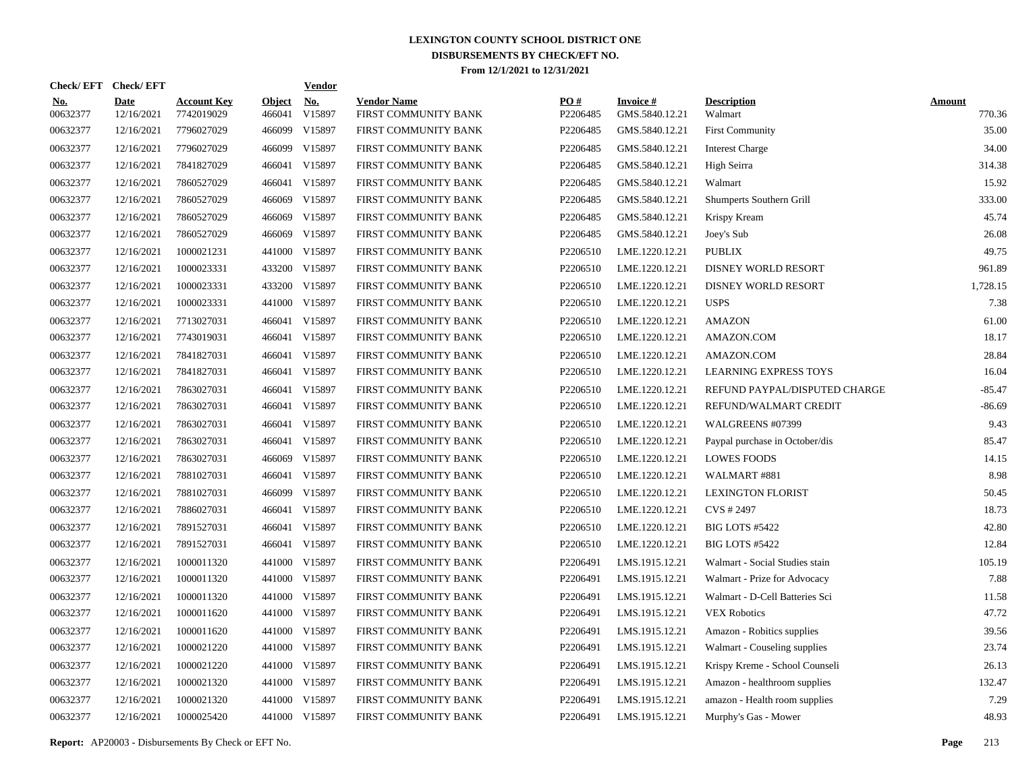|                        | Check/EFT Check/EFT       |                                  |                         | <b>Vendor</b>        |                                            |                      |                                   |                                |                         |
|------------------------|---------------------------|----------------------------------|-------------------------|----------------------|--------------------------------------------|----------------------|-----------------------------------|--------------------------------|-------------------------|
| <b>No.</b><br>00632377 | <b>Date</b><br>12/16/2021 | <b>Account Key</b><br>7742019029 | <b>Object</b><br>466041 | <u>No.</u><br>V15897 | <b>Vendor Name</b><br>FIRST COMMUNITY BANK | PQ#<br>P2206485      | <b>Invoice#</b><br>GMS.5840.12.21 | <b>Description</b><br>Walmart  | <b>Amount</b><br>770.36 |
| 00632377               | 12/16/2021                | 7796027029                       | 466099                  | V15897               | FIRST COMMUNITY BANK                       | P2206485             | GMS.5840.12.21                    | First Community                | 35.00                   |
| 00632377               | 12/16/2021                | 7796027029                       | 466099                  | V15897               | FIRST COMMUNITY BANK                       | P2206485             | GMS.5840.12.21                    | <b>Interest Charge</b>         | 34.00                   |
| 00632377               | 12/16/2021                | 7841827029                       |                         | 466041 V15897        | FIRST COMMUNITY BANK                       | P2206485             | GMS.5840.12.21                    | High Seirra                    | 314.38                  |
| 00632377               | 12/16/2021                | 7860527029                       |                         | 466041 V15897        | FIRST COMMUNITY BANK                       | P2206485             | GMS.5840.12.21                    | Walmart                        | 15.92                   |
| 00632377               | 12/16/2021                | 7860527029                       | 466069                  | V15897               | FIRST COMMUNITY BANK                       | P2206485             | GMS.5840.12.21                    | Shumperts Southern Grill       | 333.00                  |
| 00632377               | 12/16/2021                | 7860527029                       | 466069                  | V15897               | FIRST COMMUNITY BANK                       | P2206485             | GMS.5840.12.21                    | Krispy Kream                   | 45.74                   |
| 00632377               | 12/16/2021                | 7860527029                       | 466069                  | V15897               | FIRST COMMUNITY BANK                       | P2206485             | GMS.5840.12.21                    | Joey's Sub                     | 26.08                   |
| 00632377               | 12/16/2021                | 1000021231                       |                         | 441000 V15897        | FIRST COMMUNITY BANK                       | P2206510             | LME.1220.12.21                    | <b>PUBLIX</b>                  | 49.75                   |
| 00632377               | 12/16/2021                | 1000023331                       |                         | 433200 V15897        | FIRST COMMUNITY BANK                       | P2206510             | LME.1220.12.21                    | DISNEY WORLD RESORT            | 961.89                  |
| 00632377               | 12/16/2021                | 1000023331                       |                         | 433200 V15897        | FIRST COMMUNITY BANK                       | P2206510             | LME.1220.12.21                    | DISNEY WORLD RESORT            | 1,728.15                |
| 00632377               | 12/16/2021                | 1000023331                       |                         | 441000 V15897        | FIRST COMMUNITY BANK                       | P2206510             | LME.1220.12.21                    | <b>USPS</b>                    | 7.38                    |
| 00632377               | 12/16/2021                | 7713027031                       |                         | 466041 V15897        | FIRST COMMUNITY BANK                       | P2206510             | LME.1220.12.21                    | <b>AMAZON</b>                  | 61.00                   |
| 00632377               | 12/16/2021                | 7743019031                       |                         | 466041 V15897        | FIRST COMMUNITY BANK                       | P2206510             | LME.1220.12.21                    | AMAZON.COM                     | 18.17                   |
| 00632377               | 12/16/2021                | 7841827031                       |                         | 466041 V15897        | FIRST COMMUNITY BANK                       | P2206510             | LME.1220.12.21                    | AMAZON.COM                     | 28.84                   |
| 00632377               | 12/16/2021                | 7841827031                       |                         | 466041 V15897        | FIRST COMMUNITY BANK                       | P2206510             | LME.1220.12.21                    | <b>LEARNING EXPRESS TOYS</b>   | 16.04                   |
| 00632377               | 12/16/2021                | 7863027031                       |                         | 466041 V15897        | FIRST COMMUNITY BANK                       | P2206510             | LME.1220.12.21                    | REFUND PAYPAL/DISPUTED CHARGE  | $-85.47$                |
| 00632377               | 12/16/2021                | 7863027031                       |                         | 466041 V15897        | FIRST COMMUNITY BANK                       | P2206510             | LME.1220.12.21                    | REFUND/WALMART CREDIT          | $-86.69$                |
| 00632377               | 12/16/2021                | 7863027031                       |                         | 466041 V15897        | FIRST COMMUNITY BANK                       | P2206510             | LME.1220.12.21                    | WALGREENS #07399               | 9.43                    |
| 00632377               | 12/16/2021                | 7863027031                       |                         | 466041 V15897        | FIRST COMMUNITY BANK                       | P2206510             | LME.1220.12.21                    | Paypal purchase in October/dis | 85.47                   |
| 00632377               | 12/16/2021                | 7863027031                       | 466069                  | V15897               | FIRST COMMUNITY BANK                       | P2206510             | LME.1220.12.21                    | <b>LOWES FOODS</b>             | 14.15                   |
| 00632377               | 12/16/2021                | 7881027031                       |                         | 466041 V15897        | FIRST COMMUNITY BANK                       | P2206510             | LME.1220.12.21                    | WALMART #881                   | 8.98                    |
| 00632377               | 12/16/2021                | 7881027031                       |                         | 466099 V15897        | FIRST COMMUNITY BANK                       | P2206510             | LME.1220.12.21                    | <b>LEXINGTON FLORIST</b>       | 50.45                   |
| 00632377               | 12/16/2021                | 7886027031                       |                         | 466041 V15897        | FIRST COMMUNITY BANK                       | P2206510             | LME.1220.12.21                    | CVS # 2497                     | 18.73                   |
| 00632377               | 12/16/2021                | 7891527031                       |                         | 466041 V15897        | FIRST COMMUNITY BANK                       | P2206510             | LME.1220.12.21                    | <b>BIG LOTS #5422</b>          | 42.80                   |
| 00632377               | 12/16/2021                | 7891527031                       |                         | 466041 V15897        | FIRST COMMUNITY BANK                       | P <sub>2206510</sub> | LME.1220.12.21                    | <b>BIG LOTS #5422</b>          | 12.84                   |
| 00632377               | 12/16/2021                | 1000011320                       |                         | 441000 V15897        | FIRST COMMUNITY BANK                       | P2206491             | LMS.1915.12.21                    | Walmart - Social Studies stain | 105.19                  |
| 00632377               | 12/16/2021                | 1000011320                       |                         | 441000 V15897        | FIRST COMMUNITY BANK                       | P2206491             | LMS.1915.12.21                    | Walmart - Prize for Advocacy   | 7.88                    |
| 00632377               | 12/16/2021                | 1000011320                       |                         | 441000 V15897        | FIRST COMMUNITY BANK                       | P2206491             | LMS.1915.12.21                    | Walmart - D-Cell Batteries Sci | 11.58                   |
| 00632377               | 12/16/2021                | 1000011620                       |                         | 441000 V15897        | FIRST COMMUNITY BANK                       | P2206491             | LMS.1915.12.21                    | <b>VEX Robotics</b>            | 47.72                   |
| 00632377               | 12/16/2021                | 1000011620                       | 441000                  | V15897               | FIRST COMMUNITY BANK                       | P2206491             | LMS.1915.12.21                    | Amazon - Robitics supplies     | 39.56                   |
| 00632377               | 12/16/2021                | 1000021220                       |                         | 441000 V15897        | FIRST COMMUNITY BANK                       | P2206491             | LMS.1915.12.21                    | Walmart - Couseling supplies   | 23.74                   |
| 00632377               | 12/16/2021                | 1000021220                       | 441000                  | V15897               | FIRST COMMUNITY BANK                       | P2206491             | LMS.1915.12.21                    | Krispy Kreme - School Counseli | 26.13                   |
| 00632377               | 12/16/2021                | 1000021320                       |                         | 441000 V15897        | FIRST COMMUNITY BANK                       | P2206491             | LMS.1915.12.21                    | Amazon - healthroom supplies   | 132.47                  |
| 00632377               | 12/16/2021                | 1000021320                       | 441000                  | V15897               | FIRST COMMUNITY BANK                       | P2206491             | LMS.1915.12.21                    | amazon - Health room supplies  | 7.29                    |
| 00632377               | 12/16/2021                | 1000025420                       |                         | 441000 V15897        | FIRST COMMUNITY BANK                       | P2206491             | LMS.1915.12.21                    | Murphy's Gas - Mower           | 48.93                   |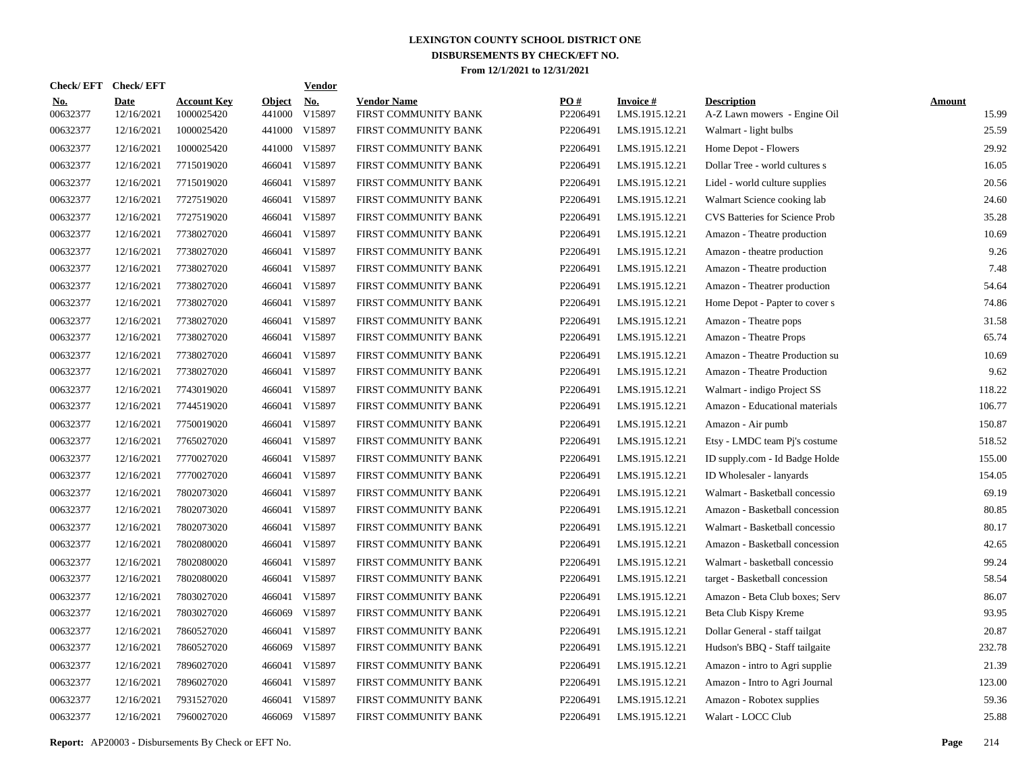| Check/ EFT             | <b>Check/EFT</b>          |                                  |                         | <b>Vendor</b> |                                            |                 |                                   |                                                    |                        |
|------------------------|---------------------------|----------------------------------|-------------------------|---------------|--------------------------------------------|-----------------|-----------------------------------|----------------------------------------------------|------------------------|
| <u>No.</u><br>00632377 | <b>Date</b><br>12/16/2021 | <b>Account Key</b><br>1000025420 | <b>Object</b><br>441000 | No.<br>V15897 | <b>Vendor Name</b><br>FIRST COMMUNITY BANK | PO#<br>P2206491 | <b>Invoice#</b><br>LMS.1915.12.21 | <b>Description</b><br>A-Z Lawn mowers - Engine Oil | <b>Amount</b><br>15.99 |
| 00632377               | 12/16/2021                | 1000025420                       | 441000                  | V15897        | FIRST COMMUNITY BANK                       | P2206491        | LMS.1915.12.21                    | Walmart - light bulbs                              | 25.59                  |
| 00632377               | 12/16/2021                | 1000025420                       | 441000                  | V15897        | FIRST COMMUNITY BANK                       | P2206491        | LMS.1915.12.21                    | Home Depot - Flowers                               | 29.92                  |
| 00632377               | 12/16/2021                | 7715019020                       | 466041                  | V15897        | FIRST COMMUNITY BANK                       | P2206491        | LMS.1915.12.21                    | Dollar Tree - world cultures s                     | 16.05                  |
| 00632377               | 12/16/2021                | 7715019020                       | 466041                  | V15897        | FIRST COMMUNITY BANK                       | P2206491        | LMS.1915.12.21                    | Lidel - world culture supplies                     | 20.56                  |
| 00632377               | 12/16/2021                | 7727519020                       | 466041                  | V15897        | FIRST COMMUNITY BANK                       | P2206491        | LMS.1915.12.21                    | Walmart Science cooking lab                        | 24.60                  |
| 00632377               | 12/16/2021                | 7727519020                       | 466041                  | V15897        | FIRST COMMUNITY BANK                       | P2206491        | LMS.1915.12.21                    | <b>CVS Batteries for Science Prob</b>              | 35.28                  |
| 00632377               | 12/16/2021                | 7738027020                       | 466041                  | V15897        | FIRST COMMUNITY BANK                       | P2206491        | LMS.1915.12.21                    | Amazon - Theatre production                        | 10.69                  |
| 00632377               | 12/16/2021                | 7738027020                       | 466041                  | V15897        | FIRST COMMUNITY BANK                       | P2206491        | LMS.1915.12.21                    | Amazon - theatre production                        | 9.26                   |
| 00632377               | 12/16/2021                | 7738027020                       | 466041                  | V15897        | FIRST COMMUNITY BANK                       | P2206491        | LMS.1915.12.21                    | Amazon - Theatre production                        | 7.48                   |
| 00632377               | 12/16/2021                | 7738027020                       | 466041                  | V15897        | FIRST COMMUNITY BANK                       | P2206491        | LMS.1915.12.21                    | Amazon - Theatrer production                       | 54.64                  |
| 00632377               | 12/16/2021                | 7738027020                       | 466041                  | V15897        | FIRST COMMUNITY BANK                       | P2206491        | LMS.1915.12.21                    | Home Depot - Papter to cover s                     | 74.86                  |
| 00632377               | 12/16/2021                | 7738027020                       | 466041                  | V15897        | FIRST COMMUNITY BANK                       | P2206491        | LMS.1915.12.21                    | Amazon - Theatre pops                              | 31.58                  |
| 00632377               | 12/16/2021                | 7738027020                       | 466041                  | V15897        | FIRST COMMUNITY BANK                       | P2206491        | LMS.1915.12.21                    | Amazon - Theatre Props                             | 65.74                  |
| 00632377               | 12/16/2021                | 7738027020                       | 466041                  | V15897        | FIRST COMMUNITY BANK                       | P2206491        | LMS.1915.12.21                    | Amazon - Theatre Production su                     | 10.69                  |
| 00632377               | 12/16/2021                | 7738027020                       | 466041                  | V15897        | FIRST COMMUNITY BANK                       | P2206491        | LMS.1915.12.21                    | Amazon - Theatre Production                        | 9.62                   |
| 00632377               | 12/16/2021                | 7743019020                       | 466041                  | V15897        | FIRST COMMUNITY BANK                       | P2206491        | LMS.1915.12.21                    | Walmart - indigo Project SS                        | 118.22                 |
| 00632377               | 12/16/2021                | 7744519020                       | 466041                  | V15897        | FIRST COMMUNITY BANK                       | P2206491        | LMS.1915.12.21                    | Amazon - Educational materials                     | 106.77                 |
| 00632377               | 12/16/2021                | 7750019020                       | 466041                  | V15897        | FIRST COMMUNITY BANK                       | P2206491        | LMS.1915.12.21                    | Amazon - Air pumb                                  | 150.87                 |
| 00632377               | 12/16/2021                | 7765027020                       | 466041                  | V15897        | FIRST COMMUNITY BANK                       | P2206491        | LMS.1915.12.21                    | Etsy - LMDC team Pj's costume                      | 518.52                 |
| 00632377               | 12/16/2021                | 7770027020                       | 466041                  | V15897        | FIRST COMMUNITY BANK                       | P2206491        | LMS.1915.12.21                    | ID supply.com - Id Badge Holde                     | 155.00                 |
| 00632377               | 12/16/2021                | 7770027020                       | 466041                  | V15897        | FIRST COMMUNITY BANK                       | P2206491        | LMS.1915.12.21                    | ID Wholesaler - lanyards                           | 154.05                 |
| 00632377               | 12/16/2021                | 7802073020                       | 466041                  | V15897        | FIRST COMMUNITY BANK                       | P2206491        | LMS.1915.12.21                    | Walmart - Basketball concessio                     | 69.19                  |
| 00632377               | 12/16/2021                | 7802073020                       | 466041                  | V15897        | FIRST COMMUNITY BANK                       | P2206491        | LMS.1915.12.21                    | Amazon - Basketball concession                     | 80.85                  |
| 00632377               | 12/16/2021                | 7802073020                       | 466041                  | V15897        | FIRST COMMUNITY BANK                       | P2206491        | LMS.1915.12.21                    | Walmart - Basketball concessio                     | 80.17                  |
| 00632377               | 12/16/2021                | 7802080020                       | 466041                  | V15897        | FIRST COMMUNITY BANK                       | P2206491        | LMS.1915.12.21                    | Amazon - Basketball concession                     | 42.65                  |
| 00632377               | 12/16/2021                | 7802080020                       | 466041                  | V15897        | FIRST COMMUNITY BANK                       | P2206491        | LMS.1915.12.21                    | Walmart - basketball concessio                     | 99.24                  |
| 00632377               | 12/16/2021                | 7802080020                       | 466041                  | V15897        | FIRST COMMUNITY BANK                       | P2206491        | LMS.1915.12.21                    | target - Basketball concession                     | 58.54                  |
| 00632377               | 12/16/2021                | 7803027020                       | 466041                  | V15897        | FIRST COMMUNITY BANK                       | P2206491        | LMS.1915.12.21                    | Amazon - Beta Club boxes; Serv                     | 86.07                  |
| 00632377               | 12/16/2021                | 7803027020                       | 466069                  | V15897        | FIRST COMMUNITY BANK                       | P2206491        | LMS.1915.12.21                    | Beta Club Kispy Kreme                              | 93.95                  |
| 00632377               | 12/16/2021                | 7860527020                       | 466041                  | V15897        | FIRST COMMUNITY BANK                       | P2206491        | LMS.1915.12.21                    | Dollar General - staff tailgat                     | 20.87                  |
| 00632377               | 12/16/2021                | 7860527020                       | 466069                  | V15897        | FIRST COMMUNITY BANK                       | P2206491        | LMS.1915.12.21                    | Hudson's BBQ - Staff tailgaite                     | 232.78                 |
| 00632377               | 12/16/2021                | 7896027020                       | 466041                  | V15897        | FIRST COMMUNITY BANK                       | P2206491        | LMS.1915.12.21                    | Amazon - intro to Agri supplie                     | 21.39                  |
| 00632377               | 12/16/2021                | 7896027020                       | 466041                  | V15897        | FIRST COMMUNITY BANK                       | P2206491        | LMS.1915.12.21                    | Amazon - Intro to Agri Journal                     | 123.00                 |
| 00632377               | 12/16/2021                | 7931527020                       | 466041                  | V15897        | FIRST COMMUNITY BANK                       | P2206491        | LMS.1915.12.21                    | Amazon - Robotex supplies                          | 59.36                  |
| 00632377               | 12/16/2021                | 7960027020                       |                         | 466069 V15897 | FIRST COMMUNITY BANK                       | P2206491        | LMS.1915.12.21                    | Walart - LOCC Club                                 | 25.88                  |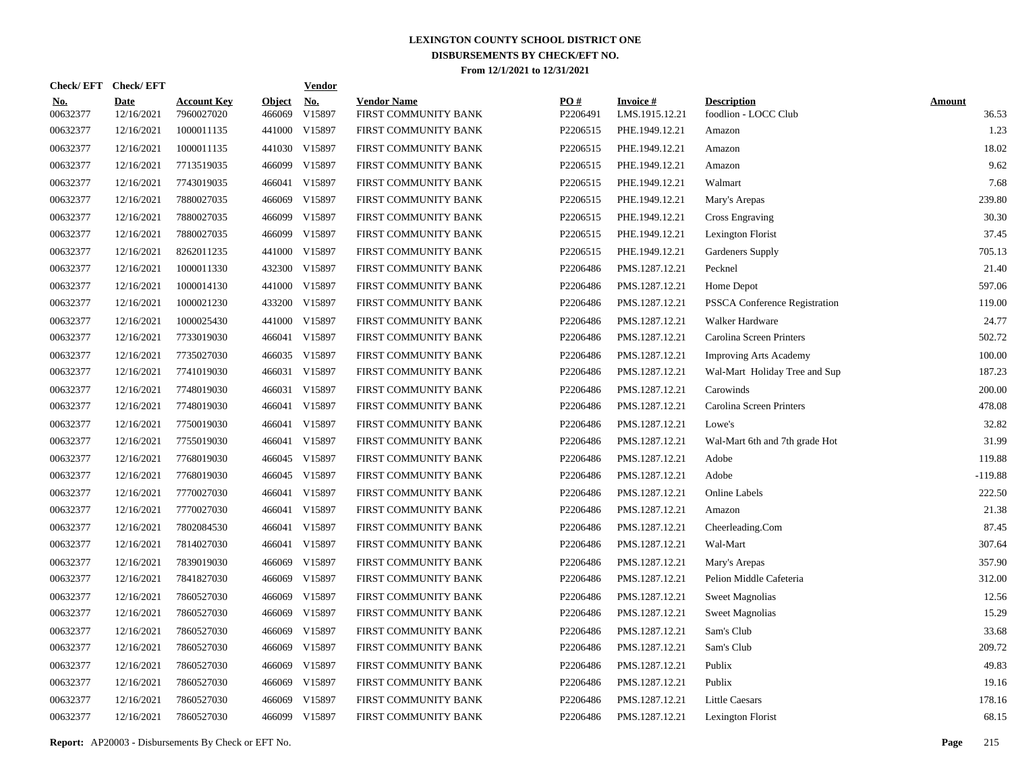|                        | Check/EFT Check/EFT       |                                  |                         | <b>Vendor</b> |                                            |                 |                                   |                                            |                        |
|------------------------|---------------------------|----------------------------------|-------------------------|---------------|--------------------------------------------|-----------------|-----------------------------------|--------------------------------------------|------------------------|
| <u>No.</u><br>00632377 | <b>Date</b><br>12/16/2021 | <b>Account Key</b><br>7960027020 | <b>Object</b><br>466069 | No.<br>V15897 | <b>Vendor Name</b><br>FIRST COMMUNITY BANK | PO#<br>P2206491 | <b>Invoice#</b><br>LMS.1915.12.21 | <b>Description</b><br>foodlion - LOCC Club | <b>Amount</b><br>36.53 |
| 00632377               | 12/16/2021                | 1000011135                       | 441000                  | V15897        | FIRST COMMUNITY BANK                       | P2206515        | PHE.1949.12.21                    | Amazon                                     | 1.23                   |
| 00632377               | 12/16/2021                | 1000011135                       | 441030                  | V15897        | FIRST COMMUNITY BANK                       | P2206515        | PHE.1949.12.21                    | Amazon                                     | 18.02                  |
| 00632377               | 12/16/2021                | 7713519035                       | 466099                  | V15897        | FIRST COMMUNITY BANK                       | P2206515        | PHE.1949.12.21                    | Amazon                                     | 9.62                   |
| 00632377               | 12/16/2021                | 7743019035                       | 466041                  | V15897        | FIRST COMMUNITY BANK                       | P2206515        | PHE.1949.12.21                    | Walmart                                    | 7.68                   |
| 00632377               | 12/16/2021                | 7880027035                       | 466069                  | V15897        | FIRST COMMUNITY BANK                       | P2206515        | PHE.1949.12.21                    | Mary's Arepas                              | 239.80                 |
| 00632377               | 12/16/2021                | 7880027035                       | 466099                  | V15897        | FIRST COMMUNITY BANK                       | P2206515        | PHE.1949.12.21                    | Cross Engraving                            | 30.30                  |
| 00632377               | 12/16/2021                | 7880027035                       | 466099                  | V15897        | FIRST COMMUNITY BANK                       | P2206515        | PHE.1949.12.21                    | Lexington Florist                          | 37.45                  |
| 00632377               | 12/16/2021                | 8262011235                       |                         | 441000 V15897 | FIRST COMMUNITY BANK                       | P2206515        | PHE.1949.12.21                    | Gardeners Supply                           | 705.13                 |
| 00632377               | 12/16/2021                | 1000011330                       |                         | 432300 V15897 | FIRST COMMUNITY BANK                       | P2206486        | PMS.1287.12.21                    | Pecknel                                    | 21.40                  |
| 00632377               | 12/16/2021                | 1000014130                       |                         | 441000 V15897 | FIRST COMMUNITY BANK                       | P2206486        | PMS.1287.12.21                    | Home Depot                                 | 597.06                 |
| 00632377               | 12/16/2021                | 1000021230                       |                         | 433200 V15897 | FIRST COMMUNITY BANK                       | P2206486        | PMS.1287.12.21                    | PSSCA Conference Registration              | 119.00                 |
| 00632377               | 12/16/2021                | 1000025430                       |                         | 441000 V15897 | FIRST COMMUNITY BANK                       | P2206486        | PMS.1287.12.21                    | Walker Hardware                            | 24.77                  |
| 00632377               | 12/16/2021                | 7733019030                       |                         | 466041 V15897 | FIRST COMMUNITY BANK                       | P2206486        | PMS.1287.12.21                    | Carolina Screen Printers                   | 502.72                 |
| 00632377               | 12/16/2021                | 7735027030                       |                         | 466035 V15897 | FIRST COMMUNITY BANK                       | P2206486        | PMS.1287.12.21                    | <b>Improving Arts Academy</b>              | 100.00                 |
| 00632377               | 12/16/2021                | 7741019030                       |                         | 466031 V15897 | FIRST COMMUNITY BANK                       | P2206486        | PMS.1287.12.21                    | Wal-Mart Holiday Tree and Sup              | 187.23                 |
| 00632377               | 12/16/2021                | 7748019030                       | 466031                  | V15897        | FIRST COMMUNITY BANK                       | P2206486        | PMS.1287.12.21                    | Carowinds                                  | 200.00                 |
| 00632377               | 12/16/2021                | 7748019030                       | 466041                  | V15897        | FIRST COMMUNITY BANK                       | P2206486        | PMS.1287.12.21                    | Carolina Screen Printers                   | 478.08                 |
| 00632377               | 12/16/2021                | 7750019030                       | 466041                  | V15897        | FIRST COMMUNITY BANK                       | P2206486        | PMS.1287.12.21                    | Lowe's                                     | 32.82                  |
| 00632377               | 12/16/2021                | 7755019030                       | 466041                  | V15897        | FIRST COMMUNITY BANK                       | P2206486        | PMS.1287.12.21                    | Wal-Mart 6th and 7th grade Hot             | 31.99                  |
| 00632377               | 12/16/2021                | 7768019030                       |                         | 466045 V15897 | FIRST COMMUNITY BANK                       | P2206486        | PMS.1287.12.21                    | Adobe                                      | 119.88                 |
| 00632377               | 12/16/2021                | 7768019030                       |                         | 466045 V15897 | FIRST COMMUNITY BANK                       | P2206486        | PMS.1287.12.21                    | Adobe                                      | $-119.88$              |
| 00632377               | 12/16/2021                | 7770027030                       | 466041                  | V15897        | FIRST COMMUNITY BANK                       | P2206486        | PMS.1287.12.21                    | Online Labels                              | 222.50                 |
| 00632377               | 12/16/2021                | 7770027030                       | 466041                  | V15897        | FIRST COMMUNITY BANK                       | P2206486        | PMS.1287.12.21                    | Amazon                                     | 21.38                  |
| 00632377               | 12/16/2021                | 7802084530                       | 466041                  | V15897        | FIRST COMMUNITY BANK                       | P2206486        | PMS.1287.12.21                    | Cheerleading.Com                           | 87.45                  |
| 00632377               | 12/16/2021                | 7814027030                       | 466041                  | V15897        | FIRST COMMUNITY BANK                       | P2206486        | PMS.1287.12.21                    | Wal-Mart                                   | 307.64                 |
| 00632377               | 12/16/2021                | 7839019030                       | 466069                  | V15897        | FIRST COMMUNITY BANK                       | P2206486        | PMS.1287.12.21                    | Mary's Arepas                              | 357.90                 |
| 00632377               | 12/16/2021                | 7841827030                       | 466069                  | V15897        | FIRST COMMUNITY BANK                       | P2206486        | PMS.1287.12.21                    | Pelion Middle Cafeteria                    | 312.00                 |
| 00632377               | 12/16/2021                | 7860527030                       | 466069                  | V15897        | FIRST COMMUNITY BANK                       | P2206486        | PMS.1287.12.21                    | <b>Sweet Magnolias</b>                     | 12.56                  |
| 00632377               | 12/16/2021                | 7860527030                       | 466069                  | V15897        | FIRST COMMUNITY BANK                       | P2206486        | PMS.1287.12.21                    | <b>Sweet Magnolias</b>                     | 15.29                  |
| 00632377               | 12/16/2021                | 7860527030                       | 466069                  | V15897        | FIRST COMMUNITY BANK                       | P2206486        | PMS.1287.12.21                    | Sam's Club                                 | 33.68                  |
| 00632377               | 12/16/2021                | 7860527030                       | 466069                  | V15897        | FIRST COMMUNITY BANK                       | P2206486        | PMS.1287.12.21                    | Sam's Club                                 | 209.72                 |
| 00632377               | 12/16/2021                | 7860527030                       | 466069                  | V15897        | FIRST COMMUNITY BANK                       | P2206486        | PMS.1287.12.21                    | Publix                                     | 49.83                  |
| 00632377               | 12/16/2021                | 7860527030                       | 466069                  | V15897        | FIRST COMMUNITY BANK                       | P2206486        | PMS.1287.12.21                    | Publix                                     | 19.16                  |
| 00632377               | 12/16/2021                | 7860527030                       | 466069                  | V15897        | FIRST COMMUNITY BANK                       | P2206486        | PMS.1287.12.21                    | <b>Little Caesars</b>                      | 178.16                 |
| 00632377               | 12/16/2021                | 7860527030                       |                         | 466099 V15897 | FIRST COMMUNITY BANK                       | P2206486        | PMS.1287.12.21                    | Lexington Florist                          | 68.15                  |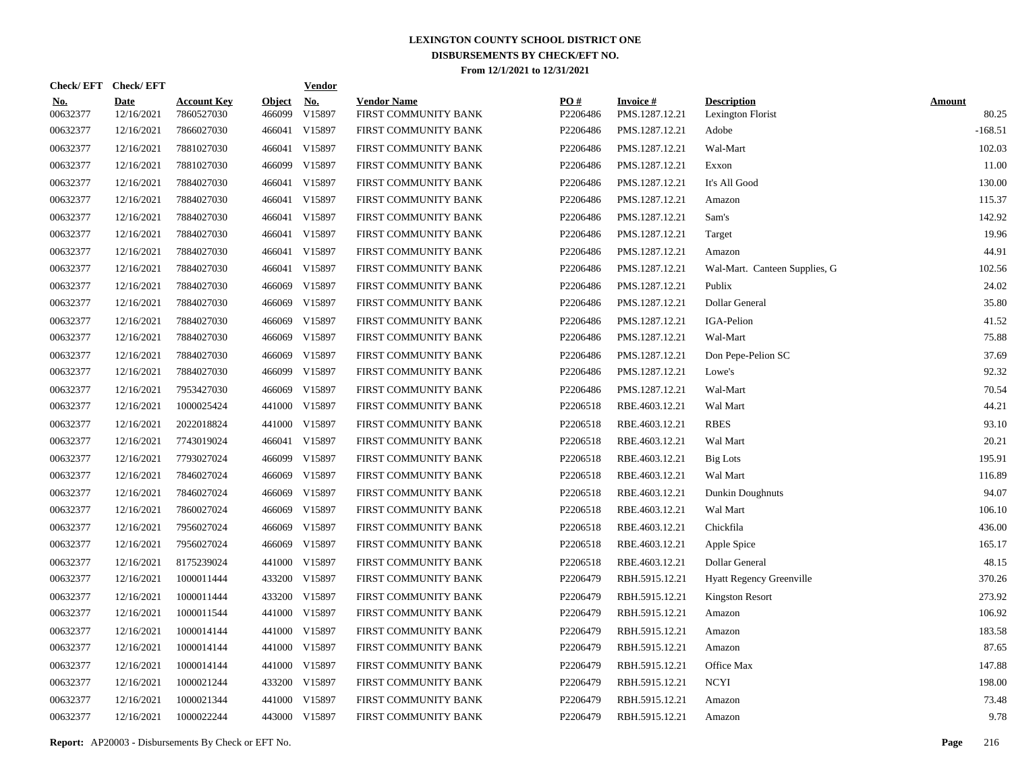|                        | Check/EFT Check/EFT       |                                  |                         | <b>Vendor</b>        |                                            |                 |                                   |                                         |                        |
|------------------------|---------------------------|----------------------------------|-------------------------|----------------------|--------------------------------------------|-----------------|-----------------------------------|-----------------------------------------|------------------------|
| <u>No.</u><br>00632377 | <b>Date</b><br>12/16/2021 | <b>Account Key</b><br>7860527030 | <b>Object</b><br>466099 | <u>No.</u><br>V15897 | <b>Vendor Name</b><br>FIRST COMMUNITY BANK | PQ#<br>P2206486 | <b>Invoice#</b><br>PMS.1287.12.21 | <b>Description</b><br>Lexington Florist | <b>Amount</b><br>80.25 |
| 00632377               | 12/16/2021                | 7866027030                       |                         | 466041 V15897        | FIRST COMMUNITY BANK                       | P2206486        | PMS.1287.12.21                    | Adobe                                   | $-168.51$              |
| 00632377               | 12/16/2021                | 7881027030                       |                         | 466041 V15897        | FIRST COMMUNITY BANK                       | P2206486        | PMS.1287.12.21                    | Wal-Mart                                | 102.03                 |
| 00632377               | 12/16/2021                | 7881027030                       |                         | 466099 V15897        | FIRST COMMUNITY BANK                       | P2206486        | PMS.1287.12.21                    | Exxon                                   | 11.00                  |
| 00632377               | 12/16/2021                | 7884027030                       |                         | 466041 V15897        | FIRST COMMUNITY BANK                       | P2206486        | PMS.1287.12.21                    | It's All Good                           | 130.00                 |
| 00632377               | 12/16/2021                | 7884027030                       |                         | 466041 V15897        | FIRST COMMUNITY BANK                       | P2206486        | PMS.1287.12.21                    | Amazon                                  | 115.37                 |
| 00632377               | 12/16/2021                | 7884027030                       |                         | 466041 V15897        | FIRST COMMUNITY BANK                       | P2206486        | PMS.1287.12.21                    | Sam's                                   | 142.92                 |
| 00632377               | 12/16/2021                | 7884027030                       |                         | 466041 V15897        | FIRST COMMUNITY BANK                       | P2206486        | PMS.1287.12.21                    | Target                                  | 19.96                  |
| 00632377               | 12/16/2021                | 7884027030                       |                         | 466041 V15897        | FIRST COMMUNITY BANK                       | P2206486        | PMS.1287.12.21                    | Amazon                                  | 44.91                  |
| 00632377               | 12/16/2021                | 7884027030                       |                         | 466041 V15897        | FIRST COMMUNITY BANK                       | P2206486        | PMS.1287.12.21                    | Wal-Mart. Canteen Supplies, G           | 102.56                 |
| 00632377               | 12/16/2021                | 7884027030                       |                         | 466069 V15897        | FIRST COMMUNITY BANK                       | P2206486        | PMS.1287.12.21                    | Publix                                  | 24.02                  |
| 00632377               | 12/16/2021                | 7884027030                       | 466069                  | V15897               | FIRST COMMUNITY BANK                       | P2206486        | PMS.1287.12.21                    | Dollar General                          | 35.80                  |
| 00632377               | 12/16/2021                | 7884027030                       | 466069                  | V15897               | FIRST COMMUNITY BANK                       | P2206486        | PMS.1287.12.21                    | IGA-Pelion                              | 41.52                  |
| 00632377               | 12/16/2021                | 7884027030                       | 466069                  | V15897               | FIRST COMMUNITY BANK                       | P2206486        | PMS.1287.12.21                    | Wal-Mart                                | 75.88                  |
| 00632377               | 12/16/2021                | 7884027030                       | 466069                  | V15897               | FIRST COMMUNITY BANK                       | P2206486        | PMS.1287.12.21                    | Don Pepe-Pelion SC                      | 37.69                  |
| 00632377               | 12/16/2021                | 7884027030                       | 466099                  | V15897               | FIRST COMMUNITY BANK                       | P2206486        | PMS.1287.12.21                    | Lowe's                                  | 92.32                  |
| 00632377               | 12/16/2021                | 7953427030                       | 466069                  | V15897               | FIRST COMMUNITY BANK                       | P2206486        | PMS.1287.12.21                    | Wal-Mart                                | 70.54                  |
| 00632377               | 12/16/2021                | 1000025424                       |                         | 441000 V15897        | FIRST COMMUNITY BANK                       | P2206518        | RBE.4603.12.21                    | Wal Mart                                | 44.21                  |
| 00632377               | 12/16/2021                | 2022018824                       |                         | 441000 V15897        | FIRST COMMUNITY BANK                       | P2206518        | RBE.4603.12.21                    | <b>RBES</b>                             | 93.10                  |
| 00632377               | 12/16/2021                | 7743019024                       |                         | 466041 V15897        | FIRST COMMUNITY BANK                       | P2206518        | RBE.4603.12.21                    | Wal Mart                                | 20.21                  |
| 00632377               | 12/16/2021                | 7793027024                       |                         | 466099 V15897        | FIRST COMMUNITY BANK                       | P2206518        | RBE.4603.12.21                    | <b>Big Lots</b>                         | 195.91                 |
| 00632377               | 12/16/2021                | 7846027024                       | 466069                  | V15897               | FIRST COMMUNITY BANK                       | P2206518        | RBE.4603.12.21                    | Wal Mart                                | 116.89                 |
| 00632377               | 12/16/2021                | 7846027024                       | 466069                  | V15897               | FIRST COMMUNITY BANK                       | P2206518        | RBE.4603.12.21                    | Dunkin Doughnuts                        | 94.07                  |
| 00632377               | 12/16/2021                | 7860027024                       | 466069                  | V15897               | FIRST COMMUNITY BANK                       | P2206518        | RBE.4603.12.21                    | Wal Mart                                | 106.10                 |
| 00632377               | 12/16/2021                | 7956027024                       | 466069                  | V15897               | FIRST COMMUNITY BANK                       | P2206518        | RBE.4603.12.21                    | Chickfila                               | 436.00                 |
| 00632377               | 12/16/2021                | 7956027024                       | 466069                  | V15897               | FIRST COMMUNITY BANK                       | P2206518        | RBE.4603.12.21                    | Apple Spice                             | 165.17                 |
| 00632377               | 12/16/2021                | 8175239024                       |                         | 441000 V15897        | FIRST COMMUNITY BANK                       | P2206518        | RBE.4603.12.21                    | Dollar General                          | 48.15                  |
| 00632377               | 12/16/2021                | 1000011444                       |                         | 433200 V15897        | FIRST COMMUNITY BANK                       | P2206479        | RBH.5915.12.21                    | <b>Hyatt Regency Greenville</b>         | 370.26                 |
| 00632377               | 12/16/2021                | 1000011444                       |                         | 433200 V15897        | FIRST COMMUNITY BANK                       | P2206479        | RBH.5915.12.21                    | <b>Kingston Resort</b>                  | 273.92                 |
| 00632377               | 12/16/2021                | 1000011544                       |                         | 441000 V15897        | FIRST COMMUNITY BANK                       | P2206479        | RBH.5915.12.21                    | Amazon                                  | 106.92                 |
| 00632377               | 12/16/2021                | 1000014144                       |                         | 441000 V15897        | FIRST COMMUNITY BANK                       | P2206479        | RBH.5915.12.21                    | Amazon                                  | 183.58                 |
| 00632377               | 12/16/2021                | 1000014144                       |                         | 441000 V15897        | FIRST COMMUNITY BANK                       | P2206479        | RBH.5915.12.21                    | Amazon                                  | 87.65                  |
| 00632377               | 12/16/2021                | 1000014144                       |                         | 441000 V15897        | FIRST COMMUNITY BANK                       | P2206479        | RBH.5915.12.21                    | Office Max                              | 147.88                 |
| 00632377               | 12/16/2021                | 1000021244                       |                         | 433200 V15897        | FIRST COMMUNITY BANK                       | P2206479        | RBH.5915.12.21                    | <b>NCYI</b>                             | 198.00                 |
| 00632377               | 12/16/2021                | 1000021344                       |                         | 441000 V15897        | FIRST COMMUNITY BANK                       | P2206479        | RBH.5915.12.21                    | Amazon                                  | 73.48                  |
| 00632377               | 12/16/2021                | 1000022244                       |                         | 443000 V15897        | FIRST COMMUNITY BANK                       | P2206479        | RBH.5915.12.21                    | Amazon                                  | 9.78                   |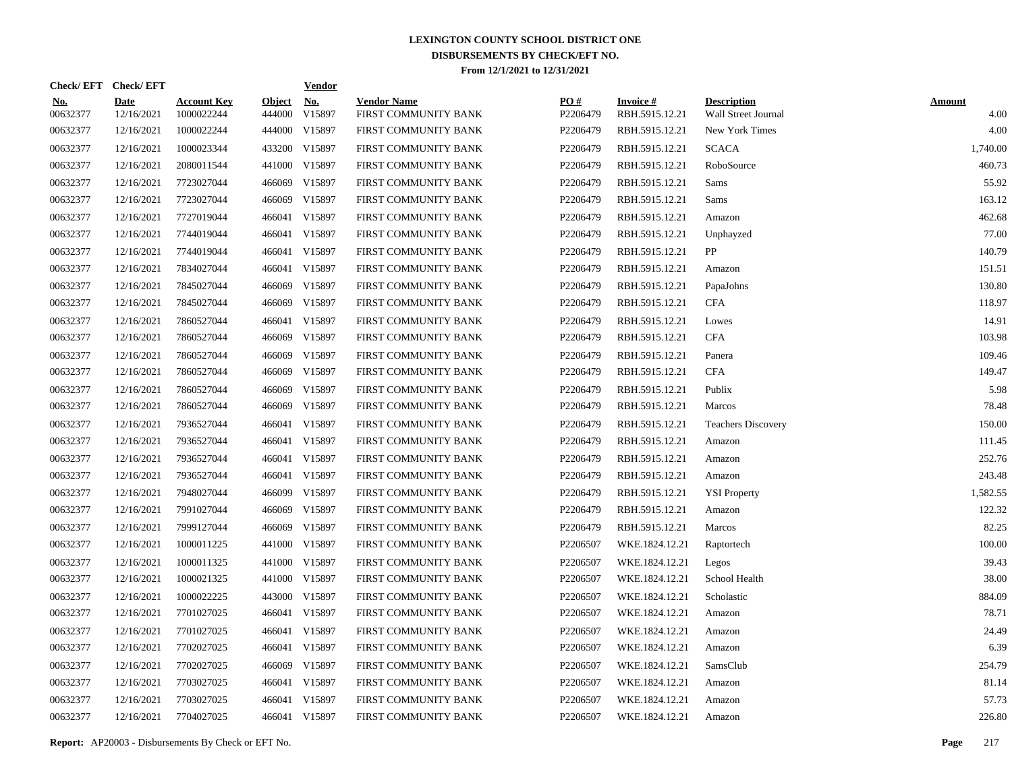| Check/EFT Check/EFT    |                           |                                  |                         | <b>Vendor</b>        |                                            |                 |                                   |                                           |                       |
|------------------------|---------------------------|----------------------------------|-------------------------|----------------------|--------------------------------------------|-----------------|-----------------------------------|-------------------------------------------|-----------------------|
| <u>No.</u><br>00632377 | <b>Date</b><br>12/16/2021 | <b>Account Key</b><br>1000022244 | <b>Object</b><br>444000 | <u>No.</u><br>V15897 | <b>Vendor Name</b><br>FIRST COMMUNITY BANK | PQ#<br>P2206479 | <b>Invoice#</b><br>RBH.5915.12.21 | <b>Description</b><br>Wall Street Journal | <b>Amount</b><br>4.00 |
| 00632377               | 12/16/2021                | 1000022244                       |                         | 444000 V15897        | FIRST COMMUNITY BANK                       | P2206479        | RBH.5915.12.21                    | New York Times                            | 4.00                  |
| 00632377               | 12/16/2021                | 1000023344                       |                         | 433200 V15897        | FIRST COMMUNITY BANK                       | P2206479        | RBH.5915.12.21                    | <b>SCACA</b>                              | 1,740.00              |
| 00632377               | 12/16/2021                | 2080011544                       |                         | 441000 V15897        | FIRST COMMUNITY BANK                       | P2206479        | RBH.5915.12.21                    | RoboSource                                | 460.73                |
| 00632377               | 12/16/2021                | 7723027044                       | 466069                  | V15897               | FIRST COMMUNITY BANK                       | P2206479        | RBH.5915.12.21                    | Sams                                      | 55.92                 |
| 00632377               | 12/16/2021                | 7723027044                       | 466069                  | V15897               | FIRST COMMUNITY BANK                       | P2206479        | RBH.5915.12.21                    | Sams                                      | 163.12                |
| 00632377               | 12/16/2021                | 7727019044                       |                         | 466041 V15897        | FIRST COMMUNITY BANK                       | P2206479        | RBH.5915.12.21                    | Amazon                                    | 462.68                |
| 00632377               | 12/16/2021                | 7744019044                       |                         | 466041 V15897        | FIRST COMMUNITY BANK                       | P2206479        | RBH.5915.12.21                    | Unphayzed                                 | 77.00                 |
| 00632377               | 12/16/2021                | 7744019044                       |                         | 466041 V15897        | FIRST COMMUNITY BANK                       | P2206479        | RBH.5915.12.21                    | PP                                        | 140.79                |
| 00632377               | 12/16/2021                | 7834027044                       |                         | 466041 V15897        | FIRST COMMUNITY BANK                       | P2206479        | RBH.5915.12.21                    | Amazon                                    | 151.51                |
| 00632377               | 12/16/2021                | 7845027044                       | 466069                  | V15897               | FIRST COMMUNITY BANK                       | P2206479        | RBH.5915.12.21                    | PapaJohns                                 | 130.80                |
| 00632377               | 12/16/2021                | 7845027044                       | 466069                  | V15897               | FIRST COMMUNITY BANK                       | P2206479        | RBH.5915.12.21                    | <b>CFA</b>                                | 118.97                |
| 00632377               | 12/16/2021                | 7860527044                       |                         | 466041 V15897        | FIRST COMMUNITY BANK                       | P2206479        | RBH.5915.12.21                    | Lowes                                     | 14.91                 |
| 00632377               | 12/16/2021                | 7860527044                       |                         | 466069 V15897        | FIRST COMMUNITY BANK                       | P2206479        | RBH.5915.12.21                    | <b>CFA</b>                                | 103.98                |
| 00632377               | 12/16/2021                | 7860527044                       | 466069                  | V15897               | FIRST COMMUNITY BANK                       | P2206479        | RBH.5915.12.21                    | Panera                                    | 109.46                |
| 00632377               | 12/16/2021                | 7860527044                       | 466069                  | V15897               | FIRST COMMUNITY BANK                       | P2206479        | RBH.5915.12.21                    | <b>CFA</b>                                | 149.47                |
| 00632377               | 12/16/2021                | 7860527044                       | 466069                  | V15897               | FIRST COMMUNITY BANK                       | P2206479        | RBH.5915.12.21                    | Publix                                    | 5.98                  |
| 00632377               | 12/16/2021                | 7860527044                       | 466069                  | V15897               | FIRST COMMUNITY BANK                       | P2206479        | RBH.5915.12.21                    | Marcos                                    | 78.48                 |
| 00632377               | 12/16/2021                | 7936527044                       |                         | 466041 V15897        | FIRST COMMUNITY BANK                       | P2206479        | RBH.5915.12.21                    | <b>Teachers Discovery</b>                 | 150.00                |
| 00632377               | 12/16/2021                | 7936527044                       |                         | 466041 V15897        | FIRST COMMUNITY BANK                       | P2206479        | RBH.5915.12.21                    | Amazon                                    | 111.45                |
| 00632377               | 12/16/2021                | 7936527044                       |                         | 466041 V15897        | FIRST COMMUNITY BANK                       | P2206479        | RBH.5915.12.21                    | Amazon                                    | 252.76                |
| 00632377               | 12/16/2021                | 7936527044                       |                         | 466041 V15897        | FIRST COMMUNITY BANK                       | P2206479        | RBH.5915.12.21                    | Amazon                                    | 243.48                |
| 00632377               | 12/16/2021                | 7948027044                       |                         | 466099 V15897        | FIRST COMMUNITY BANK                       | P2206479        | RBH.5915.12.21                    | <b>YSI Property</b>                       | 1.582.55              |
| 00632377               | 12/16/2021                | 7991027044                       | 466069                  | V15897               | FIRST COMMUNITY BANK                       | P2206479        | RBH.5915.12.21                    | Amazon                                    | 122.32                |
| 00632377               | 12/16/2021                | 7999127044                       | 466069                  | V15897               | FIRST COMMUNITY BANK                       | P2206479        | RBH.5915.12.21                    | Marcos                                    | 82.25                 |
| 00632377               | 12/16/2021                | 1000011225                       | 441000                  | V15897               | FIRST COMMUNITY BANK                       | P2206507        | WKE.1824.12.21                    | Raptortech                                | 100.00                |
| 00632377               | 12/16/2021                | 1000011325                       |                         | 441000 V15897        | FIRST COMMUNITY BANK                       | P2206507        | WKE.1824.12.21                    | Legos                                     | 39.43                 |
| 00632377               | 12/16/2021                | 1000021325                       |                         | 441000 V15897        | FIRST COMMUNITY BANK                       | P2206507        | WKE.1824.12.21                    | School Health                             | 38.00                 |
| 00632377               | 12/16/2021                | 1000022225                       |                         | 443000 V15897        | FIRST COMMUNITY BANK                       | P2206507        | WKE.1824.12.21                    | Scholastic                                | 884.09                |
| 00632377               | 12/16/2021                | 7701027025                       |                         | 466041 V15897        | FIRST COMMUNITY BANK                       | P2206507        | WKE.1824.12.21                    | Amazon                                    | 78.71                 |
| 00632377               | 12/16/2021                | 7701027025                       |                         | 466041 V15897        | FIRST COMMUNITY BANK                       | P2206507        | WKE.1824.12.21                    | Amazon                                    | 24.49                 |
| 00632377               | 12/16/2021                | 7702027025                       |                         | 466041 V15897        | FIRST COMMUNITY BANK                       | P2206507        | WKE.1824.12.21                    | Amazon                                    | 6.39                  |
| 00632377               | 12/16/2021                | 7702027025                       |                         | 466069 V15897        | FIRST COMMUNITY BANK                       | P2206507        | WKE.1824.12.21                    | SamsClub                                  | 254.79                |
| 00632377               | 12/16/2021                | 7703027025                       |                         | 466041 V15897        | FIRST COMMUNITY BANK                       | P2206507        | WKE.1824.12.21                    | Amazon                                    | 81.14                 |
| 00632377               | 12/16/2021                | 7703027025                       |                         | 466041 V15897        | FIRST COMMUNITY BANK                       | P2206507        | WKE.1824.12.21                    | Amazon                                    | 57.73                 |
| 00632377               | 12/16/2021                | 7704027025                       |                         | 466041 V15897        | FIRST COMMUNITY BANK                       | P2206507        | WKE.1824.12.21                    | Amazon                                    | 226.80                |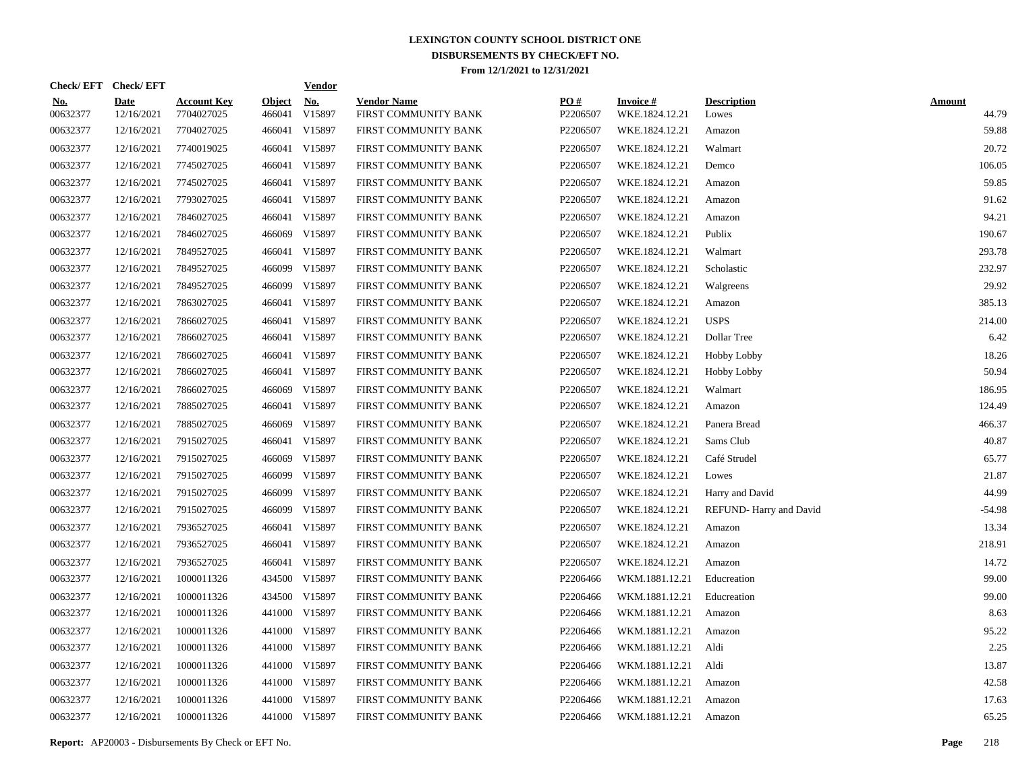| Check/EFT Check/EFT    |                           |                                  |                         | <b>Vendor</b>        |                                            |                 |                                   |                             |                        |
|------------------------|---------------------------|----------------------------------|-------------------------|----------------------|--------------------------------------------|-----------------|-----------------------------------|-----------------------------|------------------------|
| <u>No.</u><br>00632377 | <b>Date</b><br>12/16/2021 | <b>Account Key</b><br>7704027025 | <b>Object</b><br>466041 | <u>No.</u><br>V15897 | <b>Vendor Name</b><br>FIRST COMMUNITY BANK | PQ#<br>P2206507 | <b>Invoice#</b><br>WKE.1824.12.21 | <b>Description</b><br>Lowes | <b>Amount</b><br>44.79 |
| 00632377               | 12/16/2021                | 7704027025                       |                         | 466041 V15897        | FIRST COMMUNITY BANK                       | P2206507        | WKE.1824.12.21                    | Amazon                      | 59.88                  |
| 00632377               | 12/16/2021                | 7740019025                       |                         | 466041 V15897        | FIRST COMMUNITY BANK                       | P2206507        | WKE.1824.12.21                    | Walmart                     | 20.72                  |
| 00632377               | 12/16/2021                | 7745027025                       |                         | 466041 V15897        | FIRST COMMUNITY BANK                       | P2206507        | WKE.1824.12.21                    | Demco                       | 106.05                 |
| 00632377               | 12/16/2021                | 7745027025                       |                         | 466041 V15897        | FIRST COMMUNITY BANK                       | P2206507        | WKE.1824.12.21                    | Amazon                      | 59.85                  |
| 00632377               | 12/16/2021                | 7793027025                       |                         | 466041 V15897        | FIRST COMMUNITY BANK                       | P2206507        | WKE.1824.12.21                    | Amazon                      | 91.62                  |
| 00632377               | 12/16/2021                | 7846027025                       |                         | 466041 V15897        | FIRST COMMUNITY BANK                       | P2206507        | WKE.1824.12.21                    | Amazon                      | 94.21                  |
| 00632377               | 12/16/2021                | 7846027025                       |                         | 466069 V15897        | FIRST COMMUNITY BANK                       | P2206507        | WKE.1824.12.21                    | Publix                      | 190.67                 |
| 00632377               | 12/16/2021                | 7849527025                       |                         | 466041 V15897        | FIRST COMMUNITY BANK                       | P2206507        | WKE.1824.12.21                    | Walmart                     | 293.78                 |
| 00632377               | 12/16/2021                | 7849527025                       |                         | 466099 V15897        | FIRST COMMUNITY BANK                       | P2206507        | WKE.1824.12.21                    | Scholastic                  | 232.97                 |
| 00632377               | 12/16/2021                | 7849527025                       |                         | 466099 V15897        | FIRST COMMUNITY BANK                       | P2206507        | WKE.1824.12.21                    | Walgreens                   | 29.92                  |
| 00632377               | 12/16/2021                | 7863027025                       |                         | 466041 V15897        | FIRST COMMUNITY BANK                       | P2206507        | WKE.1824.12.21                    | Amazon                      | 385.13                 |
| 00632377               | 12/16/2021                | 7866027025                       |                         | 466041 V15897        | FIRST COMMUNITY BANK                       | P2206507        | WKE.1824.12.21                    | <b>USPS</b>                 | 214.00                 |
| 00632377               | 12/16/2021                | 7866027025                       |                         | 466041 V15897        | FIRST COMMUNITY BANK                       | P2206507        | WKE.1824.12.21                    | Dollar Tree                 | 6.42                   |
| 00632377               | 12/16/2021                | 7866027025                       |                         | 466041 V15897        | FIRST COMMUNITY BANK                       | P2206507        | WKE.1824.12.21                    | Hobby Lobby                 | 18.26                  |
| 00632377               | 12/16/2021                | 7866027025                       |                         | 466041 V15897        | FIRST COMMUNITY BANK                       | P2206507        | WKE.1824.12.21                    | <b>Hobby Lobby</b>          | 50.94                  |
| 00632377               | 12/16/2021                | 7866027025                       |                         | 466069 V15897        | FIRST COMMUNITY BANK                       | P2206507        | WKE.1824.12.21                    | Walmart                     | 186.95                 |
| 00632377               | 12/16/2021                | 7885027025                       |                         | 466041 V15897        | FIRST COMMUNITY BANK                       | P2206507        | WKE.1824.12.21                    | Amazon                      | 124.49                 |
| 00632377               | 12/16/2021                | 7885027025                       |                         | 466069 V15897        | FIRST COMMUNITY BANK                       | P2206507        | WKE.1824.12.21                    | Panera Bread                | 466.37                 |
| 00632377               | 12/16/2021                | 7915027025                       |                         | 466041 V15897        | FIRST COMMUNITY BANK                       | P2206507        | WKE.1824.12.21                    | Sams Club                   | 40.87                  |
| 00632377               | 12/16/2021                | 7915027025                       | 466069                  | V15897               | FIRST COMMUNITY BANK                       | P2206507        | WKE.1824.12.21                    | Café Strudel                | 65.77                  |
| 00632377               | 12/16/2021                | 7915027025                       | 466099                  | V15897               | FIRST COMMUNITY BANK                       | P2206507        | WKE.1824.12.21                    | Lowes                       | 21.87                  |
| 00632377               | 12/16/2021                | 7915027025                       | 466099                  | V15897               | FIRST COMMUNITY BANK                       | P2206507        | WKE.1824.12.21                    | Harry and David             | 44.99                  |
| 00632377               | 12/16/2021                | 7915027025                       | 466099                  | V15897               | FIRST COMMUNITY BANK                       | P2206507        | WKE.1824.12.21                    | REFUND-Harry and David      | $-54.98$               |
| 00632377               | 12/16/2021                | 7936527025                       |                         | 466041 V15897        | FIRST COMMUNITY BANK                       | P2206507        | WKE.1824.12.21                    | Amazon                      | 13.34                  |
| 00632377               | 12/16/2021                | 7936527025                       |                         | 466041 V15897        | FIRST COMMUNITY BANK                       | P2206507        | WKE.1824.12.21                    | Amazon                      | 218.91                 |
| 00632377               | 12/16/2021                | 7936527025                       |                         | 466041 V15897        | FIRST COMMUNITY BANK                       | P2206507        | WKE.1824.12.21                    | Amazon                      | 14.72                  |
| 00632377               | 12/16/2021                | 1000011326                       |                         | 434500 V15897        | FIRST COMMUNITY BANK                       | P2206466        | WKM.1881.12.21                    | Educreation                 | 99.00                  |
| 00632377               | 12/16/2021                | 1000011326                       |                         | 434500 V15897        | FIRST COMMUNITY BANK                       | P2206466        | WKM.1881.12.21                    | Educreation                 | 99.00                  |
| 00632377               | 12/16/2021                | 1000011326                       |                         | 441000 V15897        | FIRST COMMUNITY BANK                       | P2206466        | WKM.1881.12.21                    | Amazon                      | 8.63                   |
| 00632377               | 12/16/2021                | 1000011326                       |                         | 441000 V15897        | FIRST COMMUNITY BANK                       | P2206466        | WKM.1881.12.21                    | Amazon                      | 95.22                  |
| 00632377               | 12/16/2021                | 1000011326                       |                         | 441000 V15897        | FIRST COMMUNITY BANK                       | P2206466        | WKM.1881.12.21                    | Aldi                        | 2.25                   |
| 00632377               | 12/16/2021                | 1000011326                       |                         | 441000 V15897        | FIRST COMMUNITY BANK                       | P2206466        | WKM.1881.12.21                    | Aldi                        | 13.87                  |
| 00632377               | 12/16/2021                | 1000011326                       |                         | 441000 V15897        | FIRST COMMUNITY BANK                       | P2206466        | WKM.1881.12.21                    | Amazon                      | 42.58                  |
| 00632377               | 12/16/2021                | 1000011326                       |                         | 441000 V15897        | FIRST COMMUNITY BANK                       | P2206466        | WKM.1881.12.21                    | Amazon                      | 17.63                  |
| 00632377               | 12/16/2021                | 1000011326                       |                         | 441000 V15897        | FIRST COMMUNITY BANK                       | P2206466        | WKM.1881.12.21                    | Amazon                      | 65.25                  |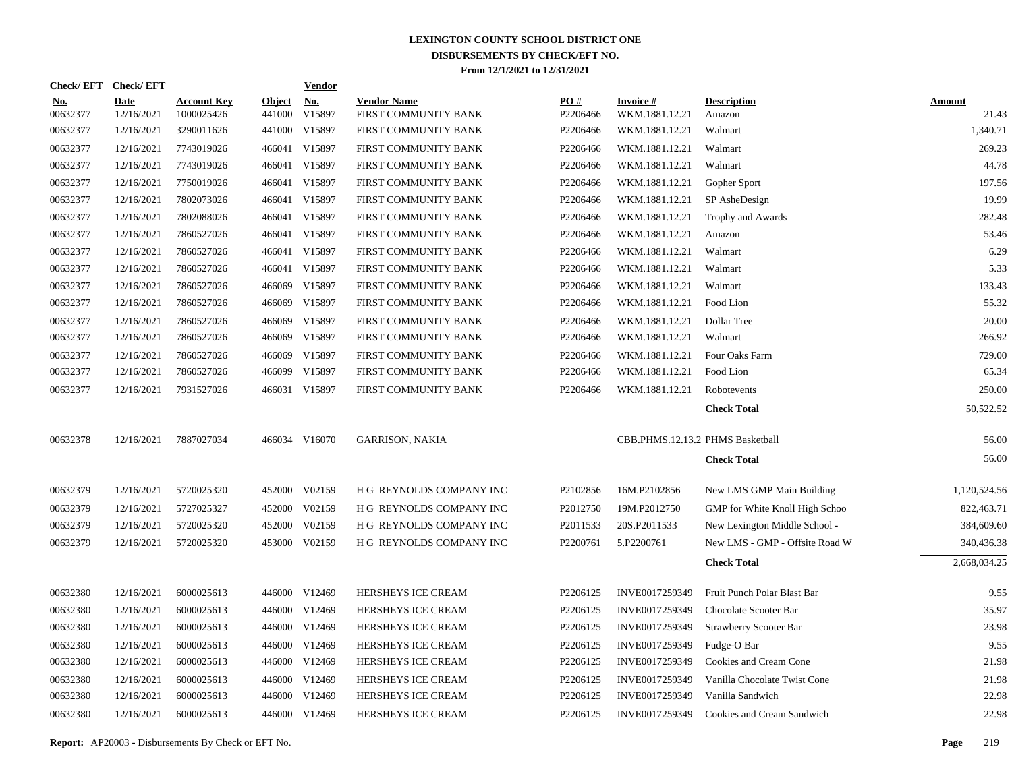| Check/EFT Check/EFT    |                    |                                  |                         | <b>Vendor</b>        |                                            |                 |                                  |                                |                        |
|------------------------|--------------------|----------------------------------|-------------------------|----------------------|--------------------------------------------|-----------------|----------------------------------|--------------------------------|------------------------|
| <u>No.</u><br>00632377 | Date<br>12/16/2021 | <b>Account Key</b><br>1000025426 | <b>Object</b><br>441000 | <b>No.</b><br>V15897 | <b>Vendor Name</b><br>FIRST COMMUNITY BANK | PO#<br>P2206466 | Invoice #<br>WKM.1881.12.21      | <b>Description</b><br>Amazon   | <b>Amount</b><br>21.43 |
| 00632377               | 12/16/2021         | 3290011626                       |                         | 441000 V15897        | FIRST COMMUNITY BANK                       | P2206466        | WKM.1881.12.21                   | Walmart                        | 1,340.71               |
| 00632377               | 12/16/2021         | 7743019026                       |                         | 466041 V15897        | FIRST COMMUNITY BANK                       | P2206466        | WKM.1881.12.21                   | Walmart                        | 269.23                 |
| 00632377               | 12/16/2021         | 7743019026                       |                         | 466041 V15897        | FIRST COMMUNITY BANK                       | P2206466        | WKM.1881.12.21                   | Walmart                        | 44.78                  |
| 00632377               | 12/16/2021         | 7750019026                       |                         | 466041 V15897        | FIRST COMMUNITY BANK                       | P2206466        | WKM.1881.12.21                   | Gopher Sport                   | 197.56                 |
| 00632377               | 12/16/2021         | 7802073026                       |                         | 466041 V15897        | FIRST COMMUNITY BANK                       | P2206466        | WKM.1881.12.21                   | SP AsheDesign                  | 19.99                  |
| 00632377               | 12/16/2021         | 7802088026                       |                         | 466041 V15897        | FIRST COMMUNITY BANK                       | P2206466        | WKM.1881.12.21                   | Trophy and Awards              | 282.48                 |
| 00632377               | 12/16/2021         | 7860527026                       |                         | 466041 V15897        | FIRST COMMUNITY BANK                       | P2206466        | WKM.1881.12.21                   | Amazon                         | 53.46                  |
| 00632377               | 12/16/2021         | 7860527026                       |                         | 466041 V15897        | FIRST COMMUNITY BANK                       | P2206466        | WKM.1881.12.21                   | Walmart                        | 6.29                   |
| 00632377               | 12/16/2021         | 7860527026                       |                         | 466041 V15897        | FIRST COMMUNITY BANK                       | P2206466        | WKM.1881.12.21                   | Walmart                        | 5.33                   |
| 00632377               | 12/16/2021         | 7860527026                       | 466069                  | V15897               | FIRST COMMUNITY BANK                       | P2206466        | WKM.1881.12.21                   | Walmart                        | 133.43                 |
| 00632377               | 12/16/2021         | 7860527026                       | 466069                  | V15897               | FIRST COMMUNITY BANK                       | P2206466        | WKM.1881.12.21                   | Food Lion                      | 55.32                  |
| 00632377               | 12/16/2021         | 7860527026                       | 466069                  | V15897               | FIRST COMMUNITY BANK                       | P2206466        | WKM.1881.12.21                   | Dollar Tree                    | 20.00                  |
| 00632377               | 12/16/2021         | 7860527026                       | 466069                  | V15897               | FIRST COMMUNITY BANK                       | P2206466        | WKM.1881.12.21                   | Walmart                        | 266.92                 |
| 00632377               | 12/16/2021         | 7860527026                       | 466069                  | V15897               | FIRST COMMUNITY BANK                       | P2206466        | WKM.1881.12.21                   | Four Oaks Farm                 | 729.00                 |
| 00632377               | 12/16/2021         | 7860527026                       | 466099                  | V15897               | FIRST COMMUNITY BANK                       | P2206466        | WKM.1881.12.21                   | Food Lion                      | 65.34                  |
| 00632377               | 12/16/2021         | 7931527026                       |                         | 466031 V15897        | FIRST COMMUNITY BANK                       | P2206466        | WKM.1881.12.21                   | Robotevents                    | 250.00                 |
|                        |                    |                                  |                         |                      |                                            |                 |                                  | <b>Check Total</b>             | 50,522.52              |
|                        |                    |                                  |                         |                      |                                            |                 |                                  |                                |                        |
| 00632378               | 12/16/2021         | 7887027034                       |                         | 466034 V16070        | <b>GARRISON, NAKIA</b>                     |                 | CBB.PHMS.12.13.2 PHMS Basketball |                                | 56.00                  |
|                        |                    |                                  |                         |                      |                                            |                 |                                  | <b>Check Total</b>             | 56.00                  |
| 00632379               | 12/16/2021         | 5720025320                       |                         | 452000 V02159        | H G REYNOLDS COMPANY INC                   | P2102856        | 16M.P2102856                     | New LMS GMP Main Building      | 1,120,524.56           |
| 00632379               | 12/16/2021         | 5727025327                       | 452000                  | V02159               | H G REYNOLDS COMPANY INC                   | P2012750        | 19M.P2012750                     | GMP for White Knoll High Schoo | 822,463.71             |
| 00632379               | 12/16/2021         | 5720025320                       | 452000                  | V02159               | H G REYNOLDS COMPANY INC                   | P2011533        | 20S.P2011533                     | New Lexington Middle School -  | 384,609.60             |
| 00632379               | 12/16/2021         | 5720025320                       | 453000                  | V02159               | H G REYNOLDS COMPANY INC                   | P2200761        | 5.P2200761                       | New LMS - GMP - Offsite Road W | 340,436.38             |
|                        |                    |                                  |                         |                      |                                            |                 |                                  | <b>Check Total</b>             | 2,668,034.25           |
| 00632380               | 12/16/2021         | 6000025613                       |                         | 446000 V12469        | HERSHEYS ICE CREAM                         | P2206125        | INVE0017259349                   | Fruit Punch Polar Blast Bar    | 9.55                   |
| 00632380               | 12/16/2021         | 6000025613                       |                         | 446000 V12469        | HERSHEYS ICE CREAM                         | P2206125        | INVE0017259349                   | Chocolate Scooter Bar          | 35.97                  |
| 00632380               | 12/16/2021         | 6000025613                       |                         | 446000 V12469        | HERSHEYS ICE CREAM                         | P2206125        | INVE0017259349                   | <b>Strawberry Scooter Bar</b>  | 23.98                  |
| 00632380               | 12/16/2021         | 6000025613                       |                         | 446000 V12469        | HERSHEYS ICE CREAM                         | P2206125        | INVE0017259349                   | Fudge-O Bar                    | 9.55                   |
| 00632380               | 12/16/2021         | 6000025613                       |                         | 446000 V12469        | HERSHEYS ICE CREAM                         | P2206125        | INVE0017259349                   | Cookies and Cream Cone         | 21.98                  |
| 00632380               | 12/16/2021         | 6000025613                       |                         | 446000 V12469        | HERSHEYS ICE CREAM                         | P2206125        | INVE0017259349                   | Vanilla Chocolate Twist Cone   | 21.98                  |
| 00632380               | 12/16/2021         | 6000025613                       |                         | 446000 V12469        | HERSHEYS ICE CREAM                         | P2206125        | INVE0017259349                   | Vanilla Sandwich               | 22.98                  |
| 00632380               | 12/16/2021         | 6000025613                       |                         | 446000 V12469        | HERSHEYS ICE CREAM                         | P2206125        | INVE0017259349                   | Cookies and Cream Sandwich     | 22.98                  |
|                        |                    |                                  |                         |                      |                                            |                 |                                  |                                |                        |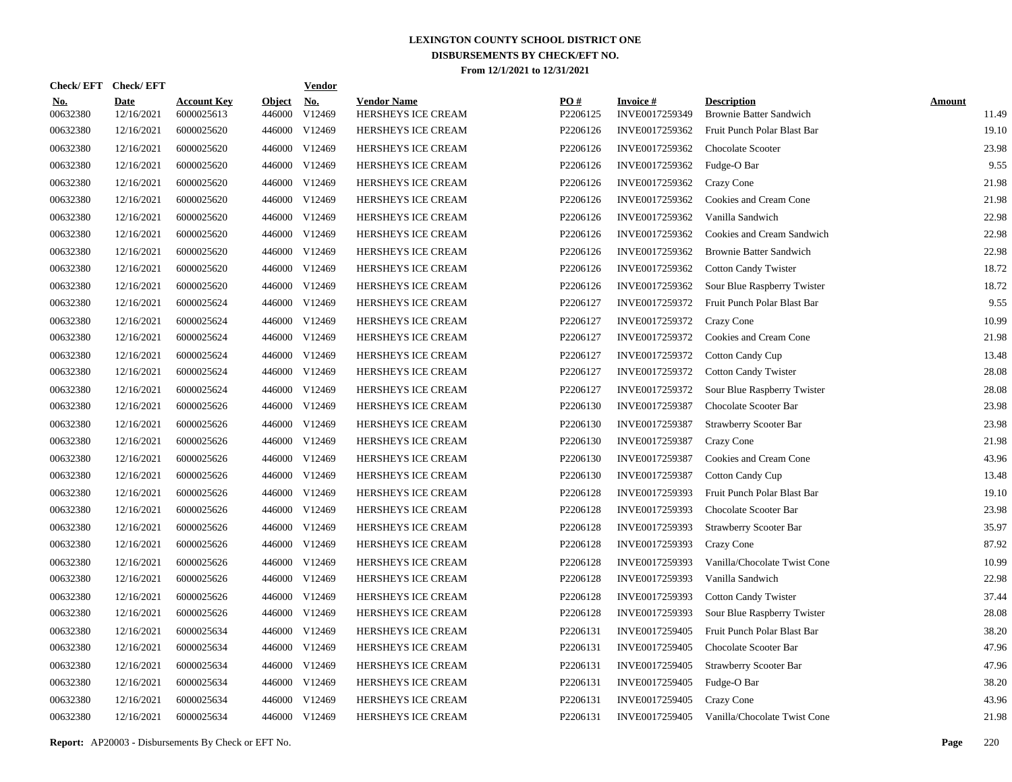| Check/EFT Check/EFT    |                           |                                  |                         | <b>Vendor</b>        |                                          |                 |                                   |                                                      |                        |
|------------------------|---------------------------|----------------------------------|-------------------------|----------------------|------------------------------------------|-----------------|-----------------------------------|------------------------------------------------------|------------------------|
| <u>No.</u><br>00632380 | <b>Date</b><br>12/16/2021 | <b>Account Key</b><br>6000025613 | <b>Object</b><br>446000 | <u>No.</u><br>V12469 | <b>Vendor Name</b><br>HERSHEYS ICE CREAM | PO#<br>P2206125 | <b>Invoice#</b><br>INVE0017259349 | <b>Description</b><br><b>Brownie Batter Sandwich</b> | <b>Amount</b><br>11.49 |
| 00632380               | 12/16/2021                | 6000025620                       | 446000                  | V <sub>12469</sub>   | HERSHEYS ICE CREAM                       | P2206126        | INVE0017259362                    | Fruit Punch Polar Blast Bar                          | 19.10                  |
| 00632380               | 12/16/2021                | 6000025620                       | 446000                  | V <sub>12469</sub>   | <b>HERSHEYS ICE CREAM</b>                | P2206126        | INVE0017259362                    | Chocolate Scooter                                    | 23.98                  |
| 00632380               | 12/16/2021                | 6000025620                       | 446000                  | V12469               | HERSHEYS ICE CREAM                       | P2206126        | INVE0017259362                    | Fudge-O Bar                                          | 9.55                   |
| 00632380               | 12/16/2021                | 6000025620                       | 446000                  | V12469               | HERSHEYS ICE CREAM                       | P2206126        | INVE0017259362                    | Crazy Cone                                           | 21.98                  |
| 00632380               | 12/16/2021                | 6000025620                       | 446000                  | V12469               | HERSHEYS ICE CREAM                       | P2206126        | INVE0017259362                    | Cookies and Cream Cone                               | 21.98                  |
| 00632380               | 12/16/2021                | 6000025620                       | 446000                  | V12469               | HERSHEYS ICE CREAM                       | P2206126        | INVE0017259362                    | Vanilla Sandwich                                     | 22.98                  |
| 00632380               | 12/16/2021                | 6000025620                       | 446000                  | V <sub>12469</sub>   | HERSHEYS ICE CREAM                       | P2206126        | INVE0017259362                    | Cookies and Cream Sandwich                           | 22.98                  |
| 00632380               | 12/16/2021                | 6000025620                       | 446000                  | V12469               | HERSHEYS ICE CREAM                       | P2206126        | INVE0017259362                    | <b>Brownie Batter Sandwich</b>                       | 22.98                  |
| 00632380               | 12/16/2021                | 6000025620                       | 446000                  | V12469               | <b>HERSHEYS ICE CREAM</b>                | P2206126        | INVE0017259362                    | <b>Cotton Candy Twister</b>                          | 18.72                  |
| 00632380               | 12/16/2021                | 6000025620                       | 446000                  | V12469               | <b>HERSHEYS ICE CREAM</b>                | P2206126        | INVE0017259362                    | Sour Blue Raspberry Twister                          | 18.72                  |
| 00632380               | 12/16/2021                | 6000025624                       | 446000                  | V12469               | HERSHEYS ICE CREAM                       | P2206127        | INVE0017259372                    | Fruit Punch Polar Blast Bar                          | 9.55                   |
| 00632380               | 12/16/2021                | 6000025624                       | 446000                  | V12469               | <b>HERSHEYS ICE CREAM</b>                | P2206127        | INVE0017259372                    | Crazy Cone                                           | 10.99                  |
| 00632380               | 12/16/2021                | 6000025624                       | 446000                  | V12469               | HERSHEYS ICE CREAM                       | P2206127        | INVE0017259372                    | Cookies and Cream Cone                               | 21.98                  |
| 00632380               | 12/16/2021                | 6000025624                       | 446000                  | V12469               | HERSHEYS ICE CREAM                       | P2206127        | INVE0017259372                    | <b>Cotton Candy Cup</b>                              | 13.48                  |
| 00632380               | 12/16/2021                | 6000025624                       | 446000                  | V12469               | HERSHEYS ICE CREAM                       | P2206127        | INVE0017259372                    | <b>Cotton Candy Twister</b>                          | 28.08                  |
| 00632380               | 12/16/2021                | 6000025624                       | 446000                  | V12469               | <b>HERSHEYS ICE CREAM</b>                | P2206127        | INVE0017259372                    | Sour Blue Raspberry Twister                          | 28.08                  |
| 00632380               | 12/16/2021                | 6000025626                       | 446000                  | V12469               | <b>HERSHEYS ICE CREAM</b>                | P2206130        | INVE0017259387                    | Chocolate Scooter Bar                                | 23.98                  |
| 00632380               | 12/16/2021                | 6000025626                       | 446000                  | V12469               | HERSHEYS ICE CREAM                       | P2206130        | INVE0017259387                    | <b>Strawberry Scooter Bar</b>                        | 23.98                  |
| 00632380               | 12/16/2021                | 6000025626                       | 446000                  | V12469               | HERSHEYS ICE CREAM                       | P2206130        | INVE0017259387                    | Crazy Cone                                           | 21.98                  |
| 00632380               | 12/16/2021                | 6000025626                       | 446000                  | V12469               | HERSHEYS ICE CREAM                       | P2206130        | INVE0017259387                    | Cookies and Cream Cone                               | 43.96                  |
| 00632380               | 12/16/2021                | 6000025626                       | 446000                  | V12469               | HERSHEYS ICE CREAM                       | P2206130        | INVE0017259387                    | <b>Cotton Candy Cup</b>                              | 13.48                  |
| 00632380               | 12/16/2021                | 6000025626                       | 446000                  | V <sub>12469</sub>   | HERSHEYS ICE CREAM                       | P2206128        | INVE0017259393                    | Fruit Punch Polar Blast Bar                          | 19.10                  |
| 00632380               | 12/16/2021                | 6000025626                       | 446000                  | V12469               | <b>HERSHEYS ICE CREAM</b>                | P2206128        | INVE0017259393                    | Chocolate Scooter Bar                                | 23.98                  |
| 00632380               | 12/16/2021                | 6000025626                       | 446000                  | V12469               | <b>HERSHEYS ICE CREAM</b>                | P2206128        | INVE0017259393                    | <b>Strawberry Scooter Bar</b>                        | 35.97                  |
| 00632380               | 12/16/2021                | 6000025626                       | 446000                  | V12469               | HERSHEYS ICE CREAM                       | P2206128        | INVE0017259393                    | <b>Crazy Cone</b>                                    | 87.92                  |
| 00632380               | 12/16/2021                | 6000025626                       | 446000                  | V12469               | HERSHEYS ICE CREAM                       | P2206128        | INVE0017259393                    | Vanilla/Chocolate Twist Cone                         | 10.99                  |
| 00632380               | 12/16/2021                | 6000025626                       | 446000                  | V12469               | HERSHEYS ICE CREAM                       | P2206128        | INVE0017259393                    | Vanilla Sandwich                                     | 22.98                  |
| 00632380               | 12/16/2021                | 6000025626                       | 446000                  | V12469               | HERSHEYS ICE CREAM                       | P2206128        | INVE0017259393                    | <b>Cotton Candy Twister</b>                          | 37.44                  |
| 00632380               | 12/16/2021                | 6000025626                       | 446000                  | V12469               | HERSHEYS ICE CREAM                       | P2206128        | INVE0017259393                    | Sour Blue Raspberry Twister                          | 28.08                  |
| 00632380               | 12/16/2021                | 6000025634                       | 446000                  | V <sub>12469</sub>   | HERSHEYS ICE CREAM                       | P2206131        | INVE0017259405                    | Fruit Punch Polar Blast Bar                          | 38.20                  |
| 00632380               | 12/16/2021                | 6000025634                       | 446000                  | V12469               | HERSHEYS ICE CREAM                       | P2206131        | INVE0017259405                    | Chocolate Scooter Bar                                | 47.96                  |
| 00632380               | 12/16/2021                | 6000025634                       | 446000                  | V12469               | HERSHEYS ICE CREAM                       | P2206131        | INVE0017259405                    | Strawberry Scooter Bar                               | 47.96                  |
| 00632380               | 12/16/2021                | 6000025634                       | 446000                  | V12469               | HERSHEYS ICE CREAM                       | P2206131        | INVE0017259405                    | Fudge-O Bar                                          | 38.20                  |
| 00632380               | 12/16/2021                | 6000025634                       | 446000                  | V12469               | HERSHEYS ICE CREAM                       | P2206131        | INVE0017259405                    | Crazy Cone                                           | 43.96                  |
| 00632380               | 12/16/2021                | 6000025634                       |                         | 446000 V12469        | HERSHEYS ICE CREAM                       | P2206131        | INVE0017259405                    | Vanilla/Chocolate Twist Cone                         | 21.98                  |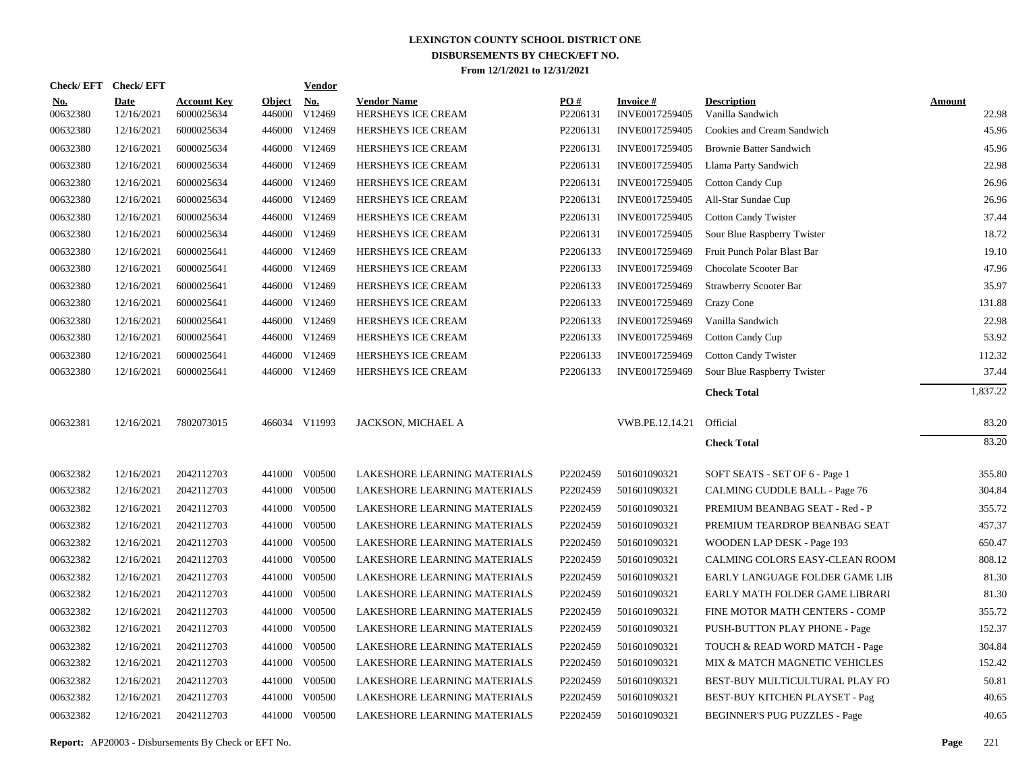|                        | Check/EFT Check/EFT       |                                  |                         | <b>Vendor</b>        |                                          |                 |                                   |                                        |                        |
|------------------------|---------------------------|----------------------------------|-------------------------|----------------------|------------------------------------------|-----------------|-----------------------------------|----------------------------------------|------------------------|
| <u>No.</u><br>00632380 | <b>Date</b><br>12/16/2021 | <b>Account Key</b><br>6000025634 | <b>Object</b><br>446000 | <u>No.</u><br>V12469 | <b>Vendor Name</b><br>HERSHEYS ICE CREAM | PO#<br>P2206131 | <b>Invoice#</b><br>INVE0017259405 | <b>Description</b><br>Vanilla Sandwich | <b>Amount</b><br>22.98 |
| 00632380               | 12/16/2021                | 6000025634                       |                         | 446000 V12469        | HERSHEYS ICE CREAM                       | P2206131        | INVE0017259405                    | Cookies and Cream Sandwich             | 45.96                  |
| 00632380               | 12/16/2021                | 6000025634                       |                         | 446000 V12469        | HERSHEYS ICE CREAM                       | P2206131        | INVE0017259405                    | <b>Brownie Batter Sandwich</b>         | 45.96                  |
| 00632380               | 12/16/2021                | 6000025634                       |                         | 446000 V12469        | HERSHEYS ICE CREAM                       | P2206131        | INVE0017259405                    | Llama Party Sandwich                   | 22.98                  |
| 00632380               | 12/16/2021                | 6000025634                       |                         | 446000 V12469        | HERSHEYS ICE CREAM                       | P2206131        | INVE0017259405                    | <b>Cotton Candy Cup</b>                | 26.96                  |
| 00632380               | 12/16/2021                | 6000025634                       |                         | 446000 V12469        | HERSHEYS ICE CREAM                       | P2206131        | INVE0017259405                    | All-Star Sundae Cup                    | 26.96                  |
| 00632380               | 12/16/2021                | 6000025634                       |                         | 446000 V12469        | HERSHEYS ICE CREAM                       | P2206131        | INVE0017259405                    | <b>Cotton Candy Twister</b>            | 37.44                  |
| 00632380               | 12/16/2021                | 6000025634                       |                         | 446000 V12469        | HERSHEYS ICE CREAM                       | P2206131        | INVE0017259405                    | Sour Blue Raspberry Twister            | 18.72                  |
| 00632380               | 12/16/2021                | 6000025641                       |                         | 446000 V12469        | HERSHEYS ICE CREAM                       | P2206133        | INVE0017259469                    | Fruit Punch Polar Blast Bar            | 19.10                  |
| 00632380               | 12/16/2021                | 6000025641                       |                         | 446000 V12469        | <b>HERSHEYS ICE CREAM</b>                | P2206133        | INVE0017259469                    | Chocolate Scooter Bar                  | 47.96                  |
| 00632380               | 12/16/2021                | 6000025641                       |                         | 446000 V12469        | <b>HERSHEYS ICE CREAM</b>                | P2206133        | INVE0017259469                    | <b>Strawberry Scooter Bar</b>          | 35.97                  |
| 00632380               | 12/16/2021                | 6000025641                       |                         | 446000 V12469        | HERSHEYS ICE CREAM                       | P2206133        | INVE0017259469                    | Crazy Cone                             | 131.88                 |
| 00632380               | 12/16/2021                | 6000025641                       |                         | 446000 V12469        | HERSHEYS ICE CREAM                       | P2206133        | INVE0017259469                    | Vanilla Sandwich                       | 22.98                  |
| 00632380               | 12/16/2021                | 6000025641                       |                         | 446000 V12469        | HERSHEYS ICE CREAM                       | P2206133        | INVE0017259469                    | <b>Cotton Candy Cup</b>                | 53.92                  |
| 00632380               | 12/16/2021                | 6000025641                       |                         | 446000 V12469        | HERSHEYS ICE CREAM                       | P2206133        | INVE0017259469                    | <b>Cotton Candy Twister</b>            | 112.32                 |
| 00632380               | 12/16/2021                | 6000025641                       |                         | 446000 V12469        | HERSHEYS ICE CREAM                       | P2206133        | INVE0017259469                    | Sour Blue Raspberry Twister            | 37.44                  |
|                        |                           |                                  |                         |                      |                                          |                 |                                   | <b>Check Total</b>                     | 1,837.22               |
| 00632381               | 12/16/2021                | 7802073015                       |                         | 466034 V11993        | JACKSON, MICHAEL A                       |                 | VWB.PE.12.14.21                   | Official                               | 83.20                  |
|                        |                           |                                  |                         |                      |                                          |                 |                                   | <b>Check Total</b>                     | 83.20                  |
|                        |                           |                                  |                         |                      |                                          |                 |                                   |                                        |                        |
| 00632382               | 12/16/2021                | 2042112703                       |                         | 441000 V00500        | LAKESHORE LEARNING MATERIALS             | P2202459        | 501601090321                      | SOFT SEATS - SET OF 6 - Page 1         | 355.80                 |
| 00632382               | 12/16/2021                | 2042112703                       |                         | 441000 V00500        | LAKESHORE LEARNING MATERIALS             | P2202459        | 501601090321                      | CALMING CUDDLE BALL - Page 76          | 304.84                 |
| 00632382               | 12/16/2021                | 2042112703                       | 441000                  | V00500               | LAKESHORE LEARNING MATERIALS             | P2202459        | 501601090321                      | PREMIUM BEANBAG SEAT - Red - P         | 355.72                 |
| 00632382               | 12/16/2021                | 2042112703                       |                         | 441000 V00500        | LAKESHORE LEARNING MATERIALS             | P2202459        | 501601090321                      | PREMIUM TEARDROP BEANBAG SEAT          | 457.37                 |
| 00632382               | 12/16/2021                | 2042112703                       | 441000                  | V00500               | LAKESHORE LEARNING MATERIALS             | P2202459        | 501601090321                      | WOODEN LAP DESK - Page 193             | 650.47                 |
| 00632382               | 12/16/2021                | 2042112703                       |                         | 441000 V00500        | LAKESHORE LEARNING MATERIALS             | P2202459        | 501601090321                      | CALMING COLORS EASY-CLEAN ROOM         | 808.12                 |
| 00632382               | 12/16/2021                | 2042112703                       | 441000                  | V00500               | LAKESHORE LEARNING MATERIALS             | P2202459        | 501601090321                      | EARLY LANGUAGE FOLDER GAME LIB         | 81.30                  |
| 00632382               | 12/16/2021                | 2042112703                       |                         | 441000 V00500        | LAKESHORE LEARNING MATERIALS             | P2202459        | 501601090321                      | EARLY MATH FOLDER GAME LIBRARI         | 81.30                  |
| 00632382               | 12/16/2021                | 2042112703                       | 441000                  | V00500               | LAKESHORE LEARNING MATERIALS             | P2202459        | 501601090321                      | FINE MOTOR MATH CENTERS - COMP         | 355.72                 |
| 00632382               | 12/16/2021                | 2042112703                       |                         | 441000 V00500        | LAKESHORE LEARNING MATERIALS             | P2202459        | 501601090321                      | PUSH-BUTTON PLAY PHONE - Page          | 152.37                 |
| 00632382               | 12/16/2021                | 2042112703                       |                         | 441000 V00500        | LAKESHORE LEARNING MATERIALS             | P2202459        | 501601090321                      | TOUCH & READ WORD MATCH - Page         | 304.84                 |
| 00632382               | 12/16/2021                | 2042112703                       |                         | 441000 V00500        | LAKESHORE LEARNING MATERIALS             | P2202459        | 501601090321                      | MIX & MATCH MAGNETIC VEHICLES          | 152.42                 |
| 00632382               | 12/16/2021                | 2042112703                       |                         | 441000 V00500        | LAKESHORE LEARNING MATERIALS             | P2202459        | 501601090321                      | BEST-BUY MULTICULTURAL PLAY FO         | 50.81                  |
| 00632382               | 12/16/2021                | 2042112703                       | 441000                  | V00500               | LAKESHORE LEARNING MATERIALS             | P2202459        | 501601090321                      | BEST-BUY KITCHEN PLAYSET - Pag         | 40.65                  |
| 00632382               | 12/16/2021                | 2042112703                       |                         | 441000 V00500        | LAKESHORE LEARNING MATERIALS             | P2202459        | 501601090321                      | <b>BEGINNER'S PUG PUZZLES - Page</b>   | 40.65                  |
|                        |                           |                                  |                         |                      |                                          |                 |                                   |                                        |                        |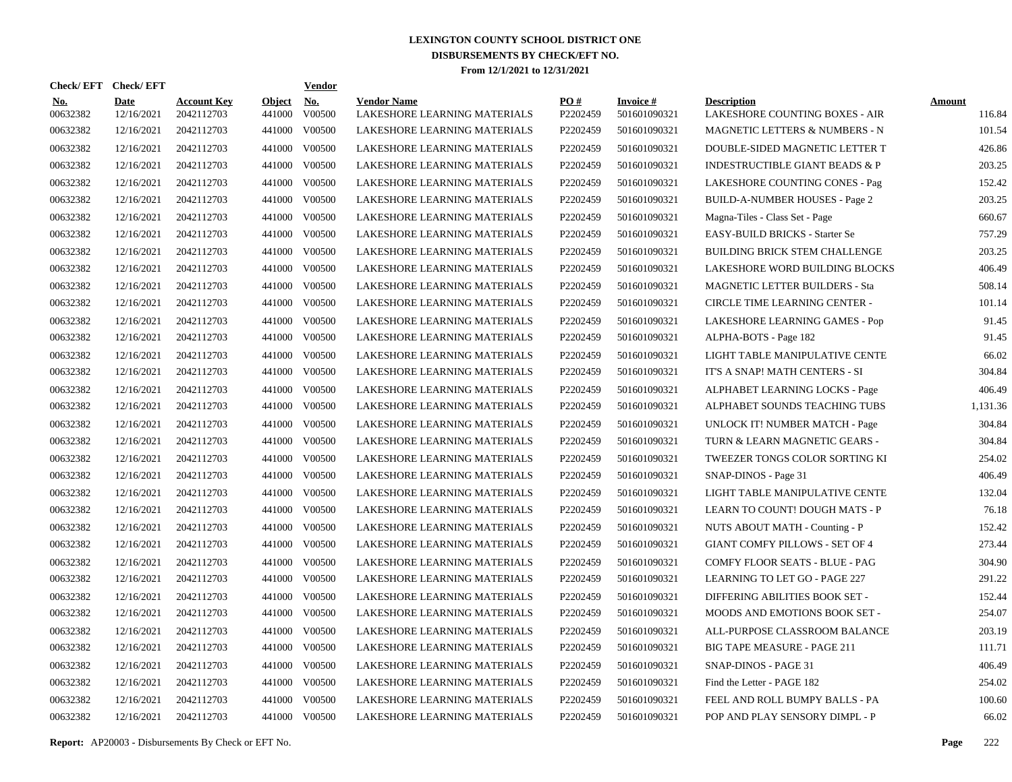| Check/EFT Check/EFT    |                           |                                  |                         | <b>Vendor</b>        |                                                    |                 |                           |                                                      |                  |
|------------------------|---------------------------|----------------------------------|-------------------------|----------------------|----------------------------------------------------|-----------------|---------------------------|------------------------------------------------------|------------------|
| <b>No.</b><br>00632382 | <b>Date</b><br>12/16/2021 | <b>Account Key</b><br>2042112703 | <b>Object</b><br>441000 | <b>No.</b><br>V00500 | <b>Vendor Name</b><br>LAKESHORE LEARNING MATERIALS | PO#<br>P2202459 | Invoice #<br>501601090321 | <b>Description</b><br>LAKESHORE COUNTING BOXES - AIR | Amount<br>116.84 |
| 00632382               | 12/16/2021                | 2042112703                       | 441000                  | V00500               | LAKESHORE LEARNING MATERIALS                       | P2202459        | 501601090321              | MAGNETIC LETTERS & NUMBERS - N                       | 101.54           |
| 00632382               | 12/16/2021                | 2042112703                       | 441000                  | V00500               | LAKESHORE LEARNING MATERIALS                       | P2202459        | 501601090321              | DOUBLE-SIDED MAGNETIC LETTER T                       | 426.86           |
| 00632382               | 12/16/2021                | 2042112703                       | 441000                  | V00500               | LAKESHORE LEARNING MATERIALS                       | P2202459        | 501601090321              | <b>INDESTRUCTIBLE GIANT BEADS &amp; P</b>            | 203.25           |
| 00632382               | 12/16/2021                | 2042112703                       | 441000                  | V00500               | LAKESHORE LEARNING MATERIALS                       | P2202459        | 501601090321              | LAKESHORE COUNTING CONES - Pag                       | 152.42           |
| 00632382               | 12/16/2021                | 2042112703                       | 441000                  | V00500               | LAKESHORE LEARNING MATERIALS                       | P2202459        | 501601090321              | <b>BUILD-A-NUMBER HOUSES - Page 2</b>                | 203.25           |
| 00632382               | 12/16/2021                | 2042112703                       | 441000                  | V00500               | LAKESHORE LEARNING MATERIALS                       | P2202459        | 501601090321              | Magna-Tiles - Class Set - Page                       | 660.67           |
| 00632382               | 12/16/2021                | 2042112703                       | 441000                  | V00500               | LAKESHORE LEARNING MATERIALS                       | P2202459        | 501601090321              | <b>EASY-BUILD BRICKS - Starter Se</b>                | 757.29           |
| 00632382               | 12/16/2021                | 2042112703                       | 441000                  | V00500               | LAKESHORE LEARNING MATERIALS                       | P2202459        | 501601090321              | <b>BUILDING BRICK STEM CHALLENGE</b>                 | 203.25           |
| 00632382               | 12/16/2021                | 2042112703                       | 441000                  | V00500               | LAKESHORE LEARNING MATERIALS                       | P2202459        | 501601090321              | LAKESHORE WORD BUILDING BLOCKS                       | 406.49           |
| 00632382               | 12/16/2021                | 2042112703                       | 441000                  | V00500               | LAKESHORE LEARNING MATERIALS                       | P2202459        | 501601090321              | MAGNETIC LETTER BUILDERS - Sta                       | 508.14           |
| 00632382               | 12/16/2021                | 2042112703                       | 441000                  | V00500               | LAKESHORE LEARNING MATERIALS                       | P2202459        | 501601090321              | <b>CIRCLE TIME LEARNING CENTER -</b>                 | 101.14           |
| 00632382               | 12/16/2021                | 2042112703                       | 441000                  | V00500               | LAKESHORE LEARNING MATERIALS                       | P2202459        | 501601090321              | LAKESHORE LEARNING GAMES - Pop                       | 91.45            |
| 00632382               | 12/16/2021                | 2042112703                       | 441000                  | V00500               | LAKESHORE LEARNING MATERIALS                       | P2202459        | 501601090321              | ALPHA-BOTS - Page 182                                | 91.45            |
| 00632382               | 12/16/2021                | 2042112703                       | 441000                  | V00500               | LAKESHORE LEARNING MATERIALS                       | P2202459        | 501601090321              | LIGHT TABLE MANIPULATIVE CENTE                       | 66.02            |
| 00632382               | 12/16/2021                | 2042112703                       | 441000                  | V00500               | LAKESHORE LEARNING MATERIALS                       | P2202459        | 501601090321              | IT'S A SNAP! MATH CENTERS - SI                       | 304.84           |
| 00632382               | 12/16/2021                | 2042112703                       | 441000                  | V00500               | LAKESHORE LEARNING MATERIALS                       | P2202459        | 501601090321              | ALPHABET LEARNING LOCKS - Page                       | 406.49           |
| 00632382               | 12/16/2021                | 2042112703                       | 441000                  | V00500               | LAKESHORE LEARNING MATERIALS                       | P2202459        | 501601090321              | ALPHABET SOUNDS TEACHING TUBS                        | 1,131.36         |
| 00632382               | 12/16/2021                | 2042112703                       | 441000                  | V00500               | LAKESHORE LEARNING MATERIALS                       | P2202459        | 501601090321              | UNLOCK IT! NUMBER MATCH - Page                       | 304.84           |
| 00632382               | 12/16/2021                | 2042112703                       | 441000                  | V00500               | LAKESHORE LEARNING MATERIALS                       | P2202459        | 501601090321              | TURN & LEARN MAGNETIC GEARS -                        | 304.84           |
| 00632382               | 12/16/2021                | 2042112703                       | 441000                  | V00500               | LAKESHORE LEARNING MATERIALS                       | P2202459        | 501601090321              | TWEEZER TONGS COLOR SORTING KI                       | 254.02           |
| 00632382               | 12/16/2021                | 2042112703                       | 441000                  | V00500               | LAKESHORE LEARNING MATERIALS                       | P2202459        | 501601090321              | SNAP-DINOS - Page 31                                 | 406.49           |
| 00632382               | 12/16/2021                | 2042112703                       | 441000                  | V00500               | LAKESHORE LEARNING MATERIALS                       | P2202459        | 501601090321              | LIGHT TABLE MANIPULATIVE CENTE                       | 132.04           |
| 00632382               | 12/16/2021                | 2042112703                       | 441000                  | V00500               | LAKESHORE LEARNING MATERIALS                       | P2202459        | 501601090321              | LEARN TO COUNT! DOUGH MATS - P                       | 76.18            |
| 00632382               | 12/16/2021                | 2042112703                       | 441000                  | V00500               | LAKESHORE LEARNING MATERIALS                       | P2202459        | 501601090321              | NUTS ABOUT MATH - Counting - P                       | 152.42           |
| 00632382               | 12/16/2021                | 2042112703                       | 441000                  | V00500               | LAKESHORE LEARNING MATERIALS                       | P2202459        | 501601090321              | <b>GIANT COMFY PILLOWS - SET OF 4</b>                | 273.44           |
| 00632382               | 12/16/2021                | 2042112703                       | 441000                  | V00500               | LAKESHORE LEARNING MATERIALS                       | P2202459        | 501601090321              | COMFY FLOOR SEATS - BLUE - PAG                       | 304.90           |
| 00632382               | 12/16/2021                | 2042112703                       | 441000                  | V00500               | LAKESHORE LEARNING MATERIALS                       | P2202459        | 501601090321              | LEARNING TO LET GO - PAGE 227                        | 291.22           |
| 00632382               | 12/16/2021                | 2042112703                       | 441000                  | V00500               | LAKESHORE LEARNING MATERIALS                       | P2202459        | 501601090321              | DIFFERING ABILITIES BOOK SET -                       | 152.44           |
| 00632382               | 12/16/2021                | 2042112703                       | 441000                  | V00500               | LAKESHORE LEARNING MATERIALS                       | P2202459        | 501601090321              | MOODS AND EMOTIONS BOOK SET -                        | 254.07           |
| 00632382               | 12/16/2021                | 2042112703                       | 441000                  | V00500               | LAKESHORE LEARNING MATERIALS                       | P2202459        | 501601090321              | ALL-PURPOSE CLASSROOM BALANCE                        | 203.19           |
| 00632382               | 12/16/2021                | 2042112703                       | 441000                  | V00500               | LAKESHORE LEARNING MATERIALS                       | P2202459        | 501601090321              | <b>BIG TAPE MEASURE - PAGE 211</b>                   | 111.71           |
| 00632382               | 12/16/2021                | 2042112703                       | 441000                  | V00500               | LAKESHORE LEARNING MATERIALS                       | P2202459        | 501601090321              | SNAP-DINOS - PAGE 31                                 | 406.49           |
| 00632382               | 12/16/2021                | 2042112703                       | 441000                  | V00500               | LAKESHORE LEARNING MATERIALS                       | P2202459        | 501601090321              | Find the Letter - PAGE 182                           | 254.02           |
| 00632382               | 12/16/2021                | 2042112703                       | 441000                  | V00500               | LAKESHORE LEARNING MATERIALS                       | P2202459        | 501601090321              | FEEL AND ROLL BUMPY BALLS - PA                       | 100.60           |
| 00632382               | 12/16/2021                | 2042112703                       |                         | 441000 V00500        | LAKESHORE LEARNING MATERIALS                       | P2202459        | 501601090321              | POP AND PLAY SENSORY DIMPL - P                       | 66.02            |

**Report:** AP20003 - Disbursements By Check or EFT No. **Page** 222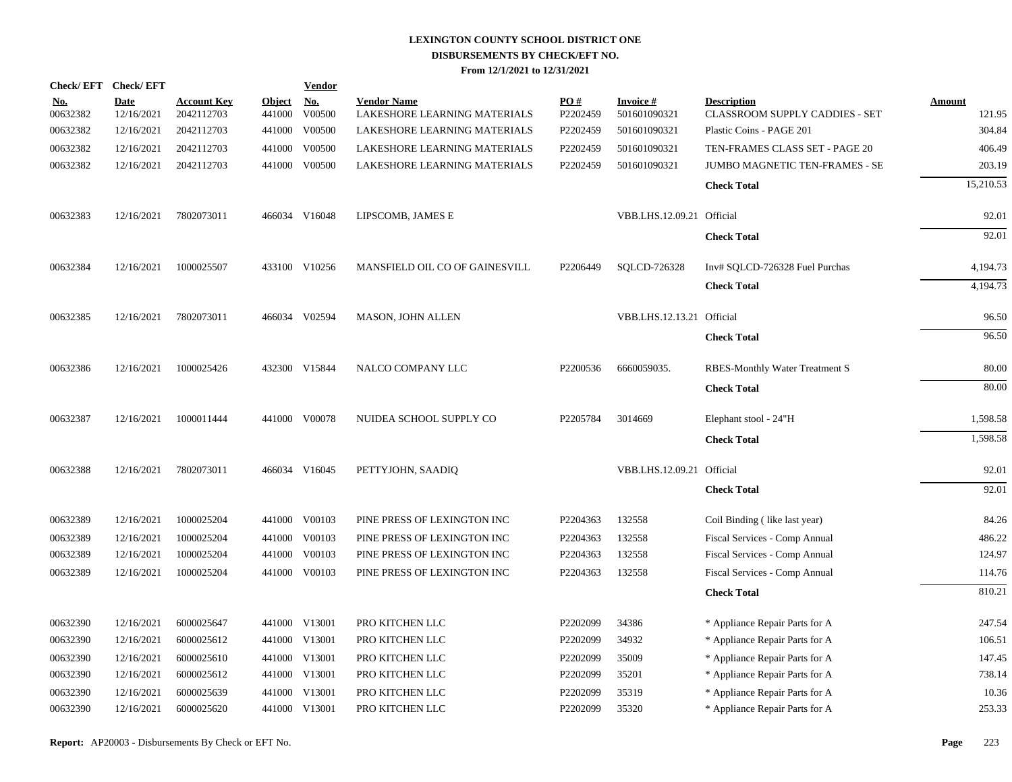|                        | Check/EFT Check/EFT       |                                  |                         | <b>Vendor</b>        |                                                    |                 |                                 |                                                      |                         |
|------------------------|---------------------------|----------------------------------|-------------------------|----------------------|----------------------------------------------------|-----------------|---------------------------------|------------------------------------------------------|-------------------------|
| <u>No.</u><br>00632382 | <b>Date</b><br>12/16/2021 | <b>Account Key</b><br>2042112703 | <b>Object</b><br>441000 | <u>No.</u><br>V00500 | <b>Vendor Name</b><br>LAKESHORE LEARNING MATERIALS | PO#<br>P2202459 | <b>Invoice#</b><br>501601090321 | <b>Description</b><br>CLASSROOM SUPPLY CADDIES - SET | <b>Amount</b><br>121.95 |
| 00632382               | 12/16/2021                | 2042112703                       | 441000                  | V00500               | LAKESHORE LEARNING MATERIALS                       | P2202459        | 501601090321                    | Plastic Coins - PAGE 201                             | 304.84                  |
| 00632382               | 12/16/2021                | 2042112703                       | 441000                  | V00500               | LAKESHORE LEARNING MATERIALS                       | P2202459        | 501601090321                    | TEN-FRAMES CLASS SET - PAGE 20                       | 406.49                  |
| 00632382               | 12/16/2021                | 2042112703                       |                         | 441000 V00500        | LAKESHORE LEARNING MATERIALS                       | P2202459        | 501601090321                    | <b>JUMBO MAGNETIC TEN-FRAMES - SE</b>                | 203.19                  |
|                        |                           |                                  |                         |                      |                                                    |                 |                                 | <b>Check Total</b>                                   | 15,210.53               |
| 00632383               | 12/16/2021                | 7802073011                       |                         | 466034 V16048        | LIPSCOMB, JAMES E                                  |                 | VBB.LHS.12.09.21 Official       |                                                      | 92.01                   |
|                        |                           |                                  |                         |                      |                                                    |                 |                                 | <b>Check Total</b>                                   | 92.01                   |
| 00632384               | 12/16/2021                | 1000025507                       |                         | 433100 V10256        | MANSFIELD OIL CO OF GAINESVILL                     | P2206449        | SOLCD-726328                    | Inv# SQLCD-726328 Fuel Purchas                       | 4,194.73                |
|                        |                           |                                  |                         |                      |                                                    |                 |                                 | <b>Check Total</b>                                   | 4,194.73                |
| 00632385               | 12/16/2021                | 7802073011                       |                         | 466034 V02594        | <b>MASON, JOHN ALLEN</b>                           |                 | VBB.LHS.12.13.21 Official       |                                                      | 96.50                   |
|                        |                           |                                  |                         |                      |                                                    |                 |                                 | <b>Check Total</b>                                   | 96.50                   |
| 00632386               | 12/16/2021                | 1000025426                       |                         | 432300 V15844        | NALCO COMPANY LLC                                  | P2200536        | 6660059035.                     | <b>RBES-Monthly Water Treatment S</b>                | 80.00                   |
|                        |                           |                                  |                         |                      |                                                    |                 |                                 | <b>Check Total</b>                                   | 80.00                   |
| 00632387               | 12/16/2021                | 1000011444                       |                         | 441000 V00078        | NUIDEA SCHOOL SUPPLY CO                            | P2205784        | 3014669                         | Elephant stool - 24"H                                | 1,598.58                |
|                        |                           |                                  |                         |                      |                                                    |                 |                                 | <b>Check Total</b>                                   | 1,598.58                |
| 00632388               | 12/16/2021                | 7802073011                       |                         | 466034 V16045        | PETTYJOHN, SAADIQ                                  |                 | VBB.LHS.12.09.21 Official       |                                                      | 92.01                   |
|                        |                           |                                  |                         |                      |                                                    |                 |                                 | <b>Check Total</b>                                   | 92.01                   |
| 00632389               | 12/16/2021                | 1000025204                       |                         | 441000 V00103        | PINE PRESS OF LEXINGTON INC                        | P2204363        | 132558                          | Coil Binding (like last year)                        | 84.26                   |
| 00632389               | 12/16/2021                | 1000025204                       | 441000                  | V00103               | PINE PRESS OF LEXINGTON INC                        | P2204363        | 132558                          | Fiscal Services - Comp Annual                        | 486.22                  |
| 00632389               | 12/16/2021                | 1000025204                       |                         | 441000 V00103        | PINE PRESS OF LEXINGTON INC                        | P2204363        | 132558                          | Fiscal Services - Comp Annual                        | 124.97                  |
| 00632389               | 12/16/2021                | 1000025204                       |                         | 441000 V00103        | PINE PRESS OF LEXINGTON INC                        | P2204363        | 132558                          | Fiscal Services - Comp Annual                        | 114.76                  |
|                        |                           |                                  |                         |                      |                                                    |                 |                                 | <b>Check Total</b>                                   | 810.21                  |
| 00632390               | 12/16/2021                | 6000025647                       |                         | 441000 V13001        | PRO KITCHEN LLC                                    | P2202099        | 34386                           | * Appliance Repair Parts for A                       | 247.54                  |
| 00632390               | 12/16/2021                | 6000025612                       |                         | 441000 V13001        | PRO KITCHEN LLC                                    | P2202099        | 34932                           | * Appliance Repair Parts for A                       | 106.51                  |
| 00632390               | 12/16/2021                | 6000025610                       |                         | 441000 V13001        | PRO KITCHEN LLC                                    | P2202099        | 35009                           | * Appliance Repair Parts for A                       | 147.45                  |
| 00632390               | 12/16/2021                | 6000025612                       |                         | 441000 V13001        | PRO KITCHEN LLC                                    | P2202099        | 35201                           | * Appliance Repair Parts for A                       | 738.14                  |
| 00632390               | 12/16/2021                | 6000025639                       |                         | 441000 V13001        | PRO KITCHEN LLC                                    | P2202099        | 35319                           | * Appliance Repair Parts for A                       | 10.36                   |
| 00632390               | 12/16/2021                | 6000025620                       |                         | 441000 V13001        | PRO KITCHEN LLC                                    | P2202099        | 35320                           | * Appliance Repair Parts for A                       | 253.33                  |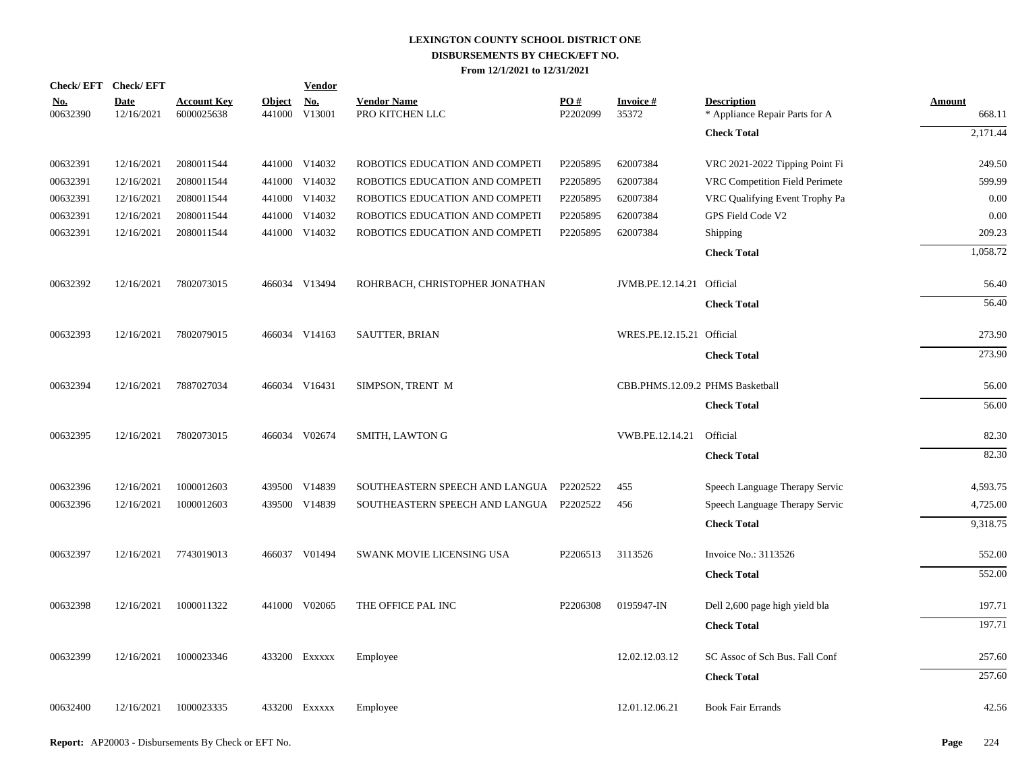| Check/EFT Check/EFT    |                           |                                  |                         | <b>Vendor</b> |                                         |                 |                                  |                                                      |                         |
|------------------------|---------------------------|----------------------------------|-------------------------|---------------|-----------------------------------------|-----------------|----------------------------------|------------------------------------------------------|-------------------------|
| <u>No.</u><br>00632390 | <b>Date</b><br>12/16/2021 | <b>Account Key</b><br>6000025638 | <b>Object</b><br>441000 | No.<br>V13001 | <b>Vendor Name</b><br>PRO KITCHEN LLC   | PO#<br>P2202099 | <b>Invoice #</b><br>35372        | <b>Description</b><br>* Appliance Repair Parts for A | <b>Amount</b><br>668.11 |
|                        |                           |                                  |                         |               |                                         |                 |                                  | <b>Check Total</b>                                   | 2,171.44                |
| 00632391               | 12/16/2021                | 2080011544                       |                         | 441000 V14032 | ROBOTICS EDUCATION AND COMPETI          | P2205895        | 62007384                         | VRC 2021-2022 Tipping Point Fi                       | 249.50                  |
| 00632391               | 12/16/2021                | 2080011544                       | 441000                  | V14032        | ROBOTICS EDUCATION AND COMPETI          | P2205895        | 62007384                         | VRC Competition Field Perimete                       | 599.99                  |
| 00632391               | 12/16/2021                | 2080011544                       |                         | 441000 V14032 | ROBOTICS EDUCATION AND COMPETI          | P2205895        | 62007384                         | VRC Qualifying Event Trophy Pa                       | 0.00                    |
| 00632391               | 12/16/2021                | 2080011544                       | 441000                  | V14032        | ROBOTICS EDUCATION AND COMPETI          | P2205895        | 62007384                         | GPS Field Code V2                                    | 0.00                    |
| 00632391               | 12/16/2021                | 2080011544                       |                         | 441000 V14032 | ROBOTICS EDUCATION AND COMPETI          | P2205895        | 62007384                         | Shipping                                             | 209.23                  |
|                        |                           |                                  |                         |               |                                         |                 |                                  | <b>Check Total</b>                                   | 1,058.72                |
| 00632392               | 12/16/2021                | 7802073015                       |                         | 466034 V13494 | ROHRBACH, CHRISTOPHER JONATHAN          |                 | JVMB.PE.12.14.21 Official        |                                                      | 56.40                   |
|                        |                           |                                  |                         |               |                                         |                 |                                  | <b>Check Total</b>                                   | 56.40                   |
| 00632393               | 12/16/2021                | 7802079015                       |                         | 466034 V14163 | <b>SAUTTER, BRIAN</b>                   |                 | WRES.PE.12.15.21 Official        |                                                      | 273.90                  |
|                        |                           |                                  |                         |               |                                         |                 |                                  | <b>Check Total</b>                                   | 273.90                  |
| 00632394               | 12/16/2021                | 7887027034                       |                         | 466034 V16431 | SIMPSON, TRENT M                        |                 | CBB.PHMS.12.09.2 PHMS Basketball |                                                      | 56.00                   |
|                        |                           |                                  |                         |               |                                         |                 |                                  | <b>Check Total</b>                                   | 56.00                   |
| 00632395               | 12/16/2021                | 7802073015                       |                         | 466034 V02674 | SMITH, LAWTON G                         |                 | VWB.PE.12.14.21                  | Official                                             | 82.30                   |
|                        |                           |                                  |                         |               |                                         |                 |                                  | <b>Check Total</b>                                   | 82.30                   |
| 00632396               | 12/16/2021                | 1000012603                       |                         | 439500 V14839 | SOUTHEASTERN SPEECH AND LANGUA P2202522 |                 | 455                              | Speech Language Therapy Servic                       | 4,593.75                |
| 00632396               | 12/16/2021                | 1000012603                       |                         | 439500 V14839 | SOUTHEASTERN SPEECH AND LANGUA P2202522 |                 | 456                              | Speech Language Therapy Servic                       | 4,725.00                |
|                        |                           |                                  |                         |               |                                         |                 |                                  | <b>Check Total</b>                                   | 9,318.75                |
| 00632397               | 12/16/2021                | 7743019013                       |                         | 466037 V01494 | SWANK MOVIE LICENSING USA               | P2206513        | 3113526                          | Invoice No.: 3113526                                 | 552.00                  |
|                        |                           |                                  |                         |               |                                         |                 |                                  | <b>Check Total</b>                                   | 552.00                  |
| 00632398               | 12/16/2021                | 1000011322                       |                         | 441000 V02065 | THE OFFICE PAL INC                      | P2206308        | 0195947-IN                       | Dell 2,600 page high yield bla                       | 197.71                  |
|                        |                           |                                  |                         |               |                                         |                 |                                  | <b>Check Total</b>                                   | 197.71                  |
| 00632399               | 12/16/2021                | 1000023346                       |                         | 433200 EXXXXX | Employee                                |                 | 12.02.12.03.12                   | SC Assoc of Sch Bus. Fall Conf                       | 257.60                  |
|                        |                           |                                  |                         |               |                                         |                 |                                  | <b>Check Total</b>                                   | 257.60                  |
| 00632400               | 12/16/2021                | 1000023335                       |                         | 433200 Exxxxx | Employee                                |                 | 12.01.12.06.21                   | <b>Book Fair Errands</b>                             | 42.56                   |
|                        |                           |                                  |                         |               |                                         |                 |                                  |                                                      |                         |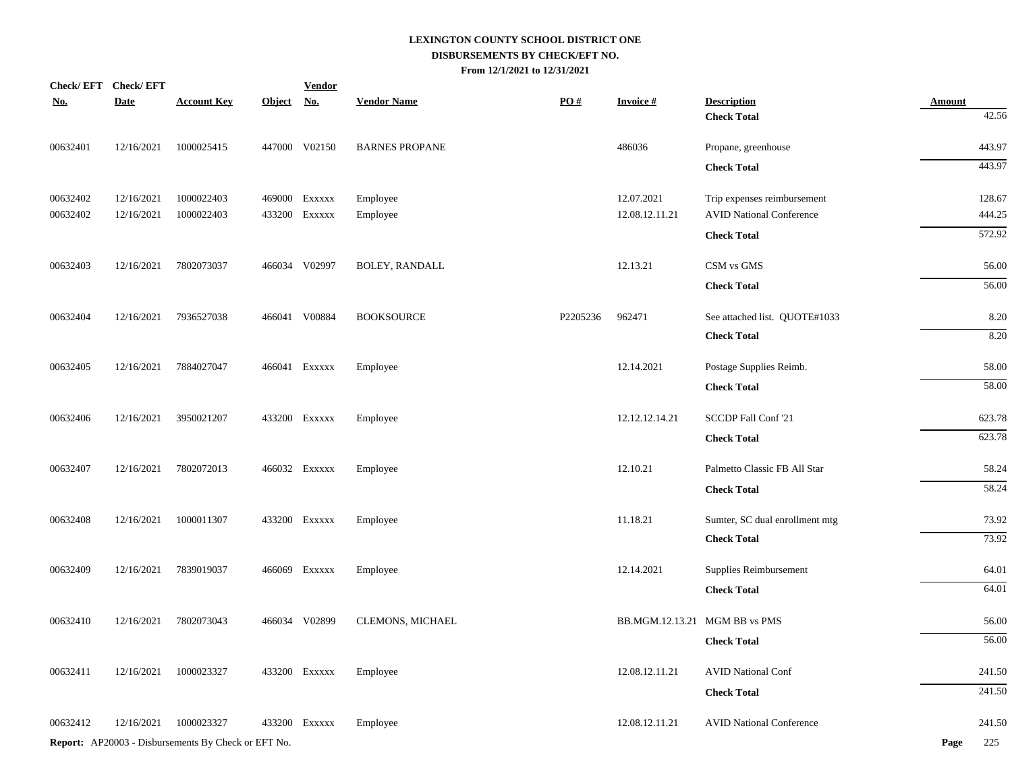| Check/EFT Check/EFT |             |                                                            |            | <b>Vendor</b> |                       |                   |                               |                                 |               |
|---------------------|-------------|------------------------------------------------------------|------------|---------------|-----------------------|-------------------|-------------------------------|---------------------------------|---------------|
| <u>No.</u>          | <b>Date</b> | <b>Account Key</b>                                         | Object No. |               | <b>Vendor Name</b>    | $\underline{PO#}$ | <b>Invoice#</b>               | <b>Description</b>              | <b>Amount</b> |
|                     |             |                                                            |            |               |                       |                   |                               | <b>Check Total</b>              | 42.56         |
| 00632401            | 12/16/2021  | 1000025415                                                 |            | 447000 V02150 | <b>BARNES PROPANE</b> |                   | 486036                        | Propane, greenhouse             | 443.97        |
|                     |             |                                                            |            |               |                       |                   |                               | <b>Check Total</b>              | 443.97        |
| 00632402            | 12/16/2021  | 1000022403                                                 |            | 469000 Exxxxx | Employee              |                   | 12.07.2021                    | Trip expenses reimbursement     | 128.67        |
| 00632402            | 12/16/2021  | 1000022403                                                 |            | 433200 EXXXXX | Employee              |                   | 12.08.12.11.21                | <b>AVID National Conference</b> | 444.25        |
|                     |             |                                                            |            |               |                       |                   |                               | <b>Check Total</b>              | 572.92        |
| 00632403            | 12/16/2021  | 7802073037                                                 |            | 466034 V02997 | <b>BOLEY, RANDALL</b> |                   | 12.13.21                      | CSM vs GMS                      | 56.00         |
|                     |             |                                                            |            |               |                       |                   |                               | <b>Check Total</b>              | 56.00         |
|                     |             |                                                            |            |               |                       |                   |                               |                                 |               |
| 00632404            | 12/16/2021  | 7936527038                                                 |            | 466041 V00884 | <b>BOOKSOURCE</b>     | P2205236          | 962471                        | See attached list. QUOTE#1033   | 8.20          |
|                     |             |                                                            |            |               |                       |                   |                               | <b>Check Total</b>              | 8.20          |
| 00632405            | 12/16/2021  | 7884027047                                                 |            | 466041 Exxxxx | Employee              |                   | 12.14.2021                    | Postage Supplies Reimb.         | 58.00         |
|                     |             |                                                            |            |               |                       |                   |                               | <b>Check Total</b>              | 58.00         |
| 00632406            | 12/16/2021  | 3950021207                                                 |            | 433200 EXXXXX | Employee              |                   | 12.12.12.14.21                | SCCDP Fall Conf '21             | 623.78        |
|                     |             |                                                            |            |               |                       |                   |                               |                                 |               |
|                     |             |                                                            |            |               |                       |                   |                               | <b>Check Total</b>              | 623.78        |
| 00632407            | 12/16/2021  | 7802072013                                                 |            | 466032 Exxxxx | Employee              |                   | 12.10.21                      | Palmetto Classic FB All Star    | 58.24         |
|                     |             |                                                            |            |               |                       |                   |                               | <b>Check Total</b>              | 58.24         |
| 00632408            | 12/16/2021  | 1000011307                                                 |            | 433200 EXXXXX | Employee              |                   | 11.18.21                      | Sumter, SC dual enrollment mtg  | 73.92         |
|                     |             |                                                            |            |               |                       |                   |                               | <b>Check Total</b>              | 73.92         |
| 00632409            | 12/16/2021  | 7839019037                                                 |            | 466069 Exxxxx | Employee              |                   | 12.14.2021                    | Supplies Reimbursement          | 64.01         |
|                     |             |                                                            |            |               |                       |                   |                               | <b>Check Total</b>              | 64.01         |
| 00632410            | 12/16/2021  | 7802073043                                                 |            | 466034 V02899 | CLEMONS, MICHAEL      |                   | BB.MGM.12.13.21 MGM BB vs PMS |                                 | 56.00         |
|                     |             |                                                            |            |               |                       |                   |                               |                                 |               |
|                     |             |                                                            |            |               |                       |                   |                               | <b>Check Total</b>              | 56.00         |
| 00632411            | 12/16/2021  | 1000023327                                                 |            | 433200 Exxxxx | Employee              |                   | 12.08.12.11.21                | <b>AVID National Conf</b>       | 241.50        |
|                     |             |                                                            |            |               |                       |                   |                               | <b>Check Total</b>              | 241.50        |
| 00632412            | 12/16/2021  | 1000023327                                                 |            | 433200 EXXXXX | Employee              |                   | 12.08.12.11.21                | <b>AVID National Conference</b> | 241.50        |
|                     |             | <b>Report:</b> AP20003 - Disbursements By Check or EFT No. |            |               |                       |                   |                               |                                 | Page<br>225   |
|                     |             |                                                            |            |               |                       |                   |                               |                                 |               |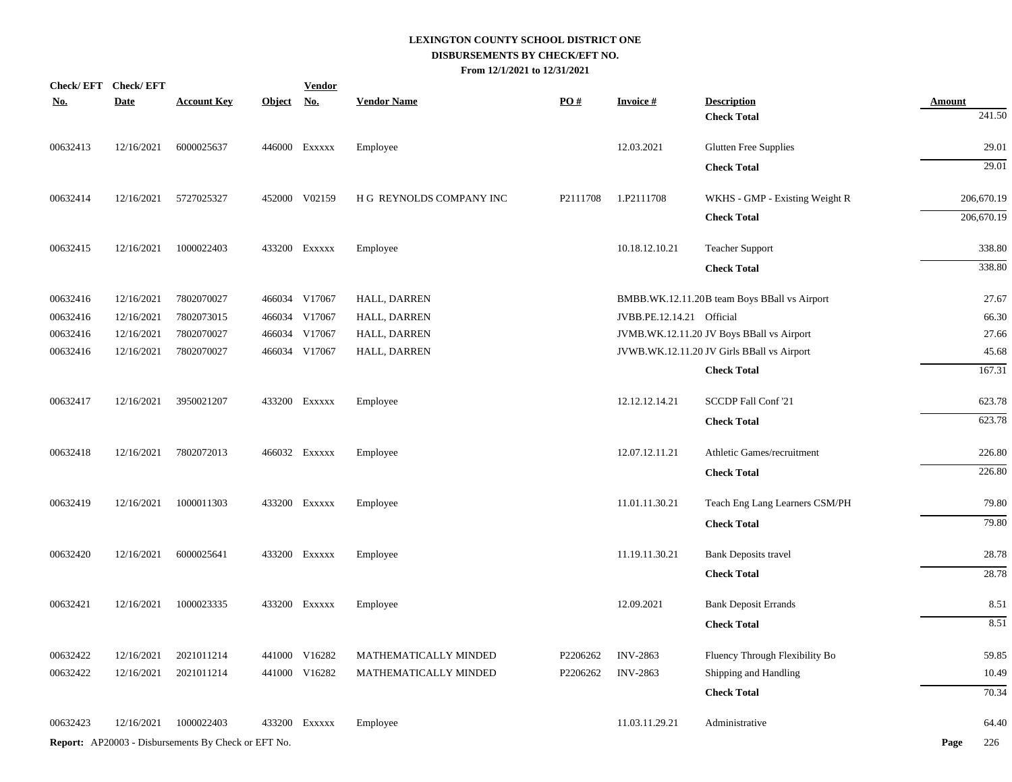| Check/EFT Check/EFT |             |                                                            |            | <b>Vendor</b> |                          |                   |                           |                                              |               |            |
|---------------------|-------------|------------------------------------------------------------|------------|---------------|--------------------------|-------------------|---------------------------|----------------------------------------------|---------------|------------|
| <u>No.</u>          | <b>Date</b> | <b>Account Key</b>                                         | Object No. |               | <b>Vendor Name</b>       | $\underline{PO#}$ | <b>Invoice#</b>           | <b>Description</b>                           | <b>Amount</b> |            |
|                     |             |                                                            |            |               |                          |                   |                           | <b>Check Total</b>                           |               | 241.50     |
| 00632413            | 12/16/2021  | 6000025637                                                 |            | 446000 Exxxxx | Employee                 |                   | 12.03.2021                | Glutten Free Supplies                        |               | 29.01      |
|                     |             |                                                            |            |               |                          |                   |                           | <b>Check Total</b>                           |               | 29.01      |
| 00632414            | 12/16/2021  | 5727025327                                                 |            | 452000 V02159 | H G REYNOLDS COMPANY INC | P2111708          | 1.P2111708                | WKHS - GMP - Existing Weight R               |               | 206,670.19 |
|                     |             |                                                            |            |               |                          |                   |                           | <b>Check Total</b>                           |               | 206,670.19 |
| 00632415            | 12/16/2021  | 1000022403                                                 |            | 433200 Exxxxx | Employee                 |                   | 10.18.12.10.21            | <b>Teacher Support</b>                       |               | 338.80     |
|                     |             |                                                            |            |               |                          |                   |                           | <b>Check Total</b>                           |               | 338.80     |
| 00632416            | 12/16/2021  | 7802070027                                                 |            | 466034 V17067 | HALL, DARREN             |                   |                           | BMBB.WK.12.11.20B team Boys BBall vs Airport |               | 27.67      |
| 00632416            | 12/16/2021  | 7802073015                                                 |            | 466034 V17067 | HALL, DARREN             |                   | JVBB.PE.12.14.21 Official |                                              |               | 66.30      |
| 00632416            | 12/16/2021  | 7802070027                                                 |            | 466034 V17067 | HALL, DARREN             |                   |                           | JVMB.WK.12.11.20 JV Boys BBall vs Airport    |               | 27.66      |
| 00632416            | 12/16/2021  | 7802070027                                                 |            | 466034 V17067 | HALL, DARREN             |                   |                           | JVWB.WK.12.11.20 JV Girls BBall vs Airport   |               | 45.68      |
|                     |             |                                                            |            |               |                          |                   |                           | <b>Check Total</b>                           |               | 167.31     |
| 00632417            | 12/16/2021  | 3950021207                                                 |            | 433200 Exxxxx | Employee                 |                   | 12.12.12.14.21            | SCCDP Fall Conf '21                          |               | 623.78     |
|                     |             |                                                            |            |               |                          |                   |                           | <b>Check Total</b>                           |               | 623.78     |
| 00632418            | 12/16/2021  | 7802072013                                                 |            | 466032 Exxxxx | Employee                 |                   | 12.07.12.11.21            | Athletic Games/recruitment                   |               | 226.80     |
|                     |             |                                                            |            |               |                          |                   |                           | <b>Check Total</b>                           |               | 226.80     |
| 00632419            | 12/16/2021  | 1000011303                                                 |            | 433200 EXXXXX | Employee                 |                   | 11.01.11.30.21            | Teach Eng Lang Learners CSM/PH               |               | 79.80      |
|                     |             |                                                            |            |               |                          |                   |                           | <b>Check Total</b>                           |               | 79.80      |
| 00632420            | 12/16/2021  | 6000025641                                                 |            | 433200 Exxxxx | Employee                 |                   | 11.19.11.30.21            | Bank Deposits travel                         |               | 28.78      |
|                     |             |                                                            |            |               |                          |                   |                           | <b>Check Total</b>                           |               | 28.78      |
| 00632421            | 12/16/2021  | 1000023335                                                 |            | 433200 EXXXXX | Employee                 |                   | 12.09.2021                | <b>Bank Deposit Errands</b>                  |               | 8.51       |
|                     |             |                                                            |            |               |                          |                   |                           | <b>Check Total</b>                           |               | 8.51       |
| 00632422            | 12/16/2021  | 2021011214                                                 |            | 441000 V16282 | MATHEMATICALLY MINDED    | P2206262          | <b>INV-2863</b>           | Fluency Through Flexibility Bo               |               | 59.85      |
| 00632422            | 12/16/2021  | 2021011214                                                 |            | 441000 V16282 | MATHEMATICALLY MINDED    | P2206262          | <b>INV-2863</b>           | Shipping and Handling                        |               | 10.49      |
|                     |             |                                                            |            |               |                          |                   |                           | <b>Check Total</b>                           |               | 70.34      |
| 00632423            | 12/16/2021  | 1000022403                                                 |            | 433200 Exxxxx | Employee                 |                   | 11.03.11.29.21            | Administrative                               |               | 64.40      |
|                     |             | <b>Report:</b> AP20003 - Disbursements By Check or EFT No. |            |               |                          |                   |                           |                                              | Page          | 226        |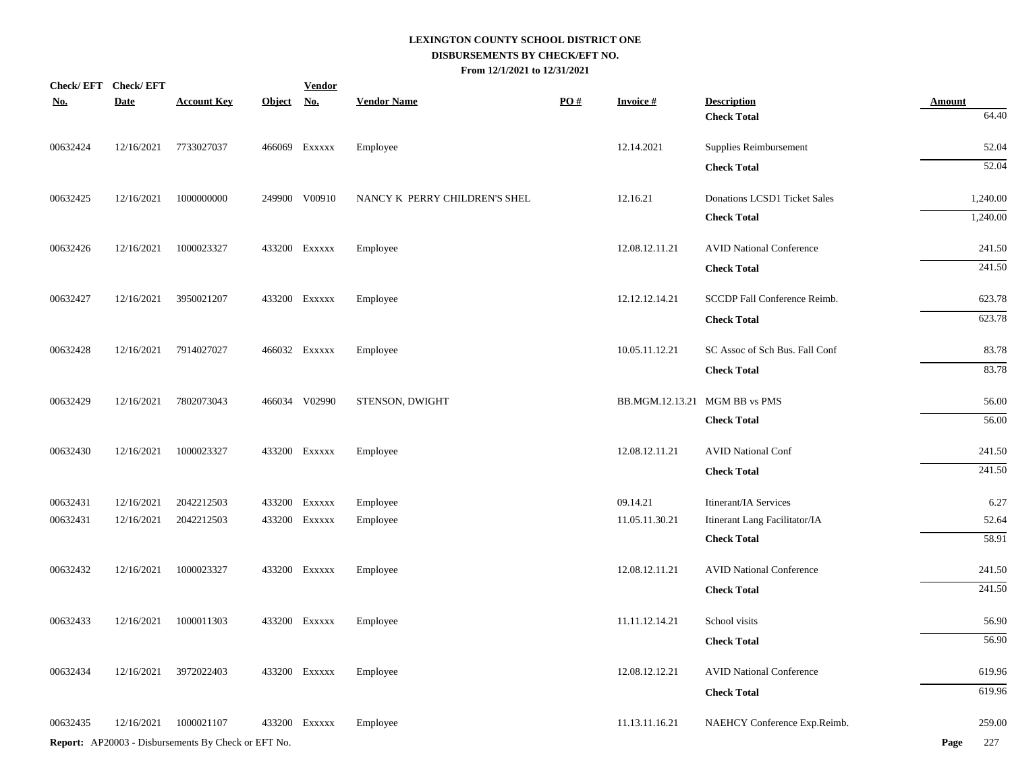| Check/EFT Check/EFT |             |                                                            |            | <b>Vendor</b> |                               |                   |                               |                                 |               |
|---------------------|-------------|------------------------------------------------------------|------------|---------------|-------------------------------|-------------------|-------------------------------|---------------------------------|---------------|
| <u>No.</u>          | <b>Date</b> | <b>Account Key</b>                                         | Object No. |               | <b>Vendor Name</b>            | $\underline{PO#}$ | <b>Invoice#</b>               | <b>Description</b>              | <b>Amount</b> |
|                     |             |                                                            |            |               |                               |                   |                               | <b>Check Total</b>              | 64.40         |
| 00632424            | 12/16/2021  | 7733027037                                                 |            | 466069 Exxxxx | Employee                      |                   | 12.14.2021                    | Supplies Reimbursement          | 52.04         |
|                     |             |                                                            |            |               |                               |                   |                               | <b>Check Total</b>              | 52.04         |
| 00632425            | 12/16/2021  | 1000000000                                                 |            | 249900 V00910 | NANCY K PERRY CHILDREN'S SHEL |                   | 12.16.21                      | Donations LCSD1 Ticket Sales    | 1,240.00      |
|                     |             |                                                            |            |               |                               |                   |                               | <b>Check Total</b>              | 1,240.00      |
| 00632426            | 12/16/2021  | 1000023327                                                 |            | 433200 EXXXXX | Employee                      |                   | 12.08.12.11.21                | <b>AVID National Conference</b> | 241.50        |
|                     |             |                                                            |            |               |                               |                   |                               | <b>Check Total</b>              | 241.50        |
| 00632427            | 12/16/2021  | 3950021207                                                 |            | 433200 EXXXXX | Employee                      |                   | 12.12.12.14.21                | SCCDP Fall Conference Reimb.    | 623.78        |
|                     |             |                                                            |            |               |                               |                   |                               | <b>Check Total</b>              | 623.78        |
| 00632428            | 12/16/2021  | 7914027027                                                 |            | 466032 Exxxxx | Employee                      |                   | 10.05.11.12.21                | SC Assoc of Sch Bus. Fall Conf  | 83.78         |
|                     |             |                                                            |            |               |                               |                   |                               | <b>Check Total</b>              | 83.78         |
| 00632429            | 12/16/2021  | 7802073043                                                 |            | 466034 V02990 | STENSON, DWIGHT               |                   | BB.MGM.12.13.21 MGM BB vs PMS |                                 | 56.00         |
|                     |             |                                                            |            |               |                               |                   |                               | <b>Check Total</b>              | 56.00         |
| 00632430            | 12/16/2021  | 1000023327                                                 |            | 433200 EXXXXX | Employee                      |                   | 12.08.12.11.21                | <b>AVID National Conf</b>       | 241.50        |
|                     |             |                                                            |            |               |                               |                   |                               | <b>Check Total</b>              | 241.50        |
| 00632431            | 12/16/2021  | 2042212503                                                 |            | 433200 EXXXXX | Employee                      |                   | 09.14.21                      | Itinerant/IA Services           | 6.27          |
| 00632431            | 12/16/2021  | 2042212503                                                 |            | 433200 EXXXXX | Employee                      |                   | 11.05.11.30.21                | Itinerant Lang Facilitator/IA   | 52.64         |
|                     |             |                                                            |            |               |                               |                   |                               | <b>Check Total</b>              | 58.91         |
| 00632432            | 12/16/2021  | 1000023327                                                 |            | 433200 EXXXXX | Employee                      |                   | 12.08.12.11.21                | <b>AVID National Conference</b> | 241.50        |
|                     |             |                                                            |            |               |                               |                   |                               | <b>Check Total</b>              | 241.50        |
| 00632433            | 12/16/2021  | 1000011303                                                 |            | 433200 EXXXXX | Employee                      |                   | 11.11.12.14.21                | School visits                   | 56.90         |
|                     |             |                                                            |            |               |                               |                   |                               | <b>Check Total</b>              | 56.90         |
| 00632434            | 12/16/2021  | 3972022403                                                 |            | 433200 EXXXXX | Employee                      |                   | 12.08.12.12.21                | <b>AVID National Conference</b> | 619.96        |
|                     |             |                                                            |            |               |                               |                   |                               | <b>Check Total</b>              | 619.96        |
| 00632435            | 12/16/2021  | 1000021107                                                 |            | 433200 EXXXXX | Employee                      |                   | 11.13.11.16.21                | NAEHCY Conference Exp.Reimb.    | 259.00        |
|                     |             | <b>Report:</b> AP20003 - Disbursements By Check or EFT No. |            |               |                               |                   |                               |                                 | 227<br>Page   |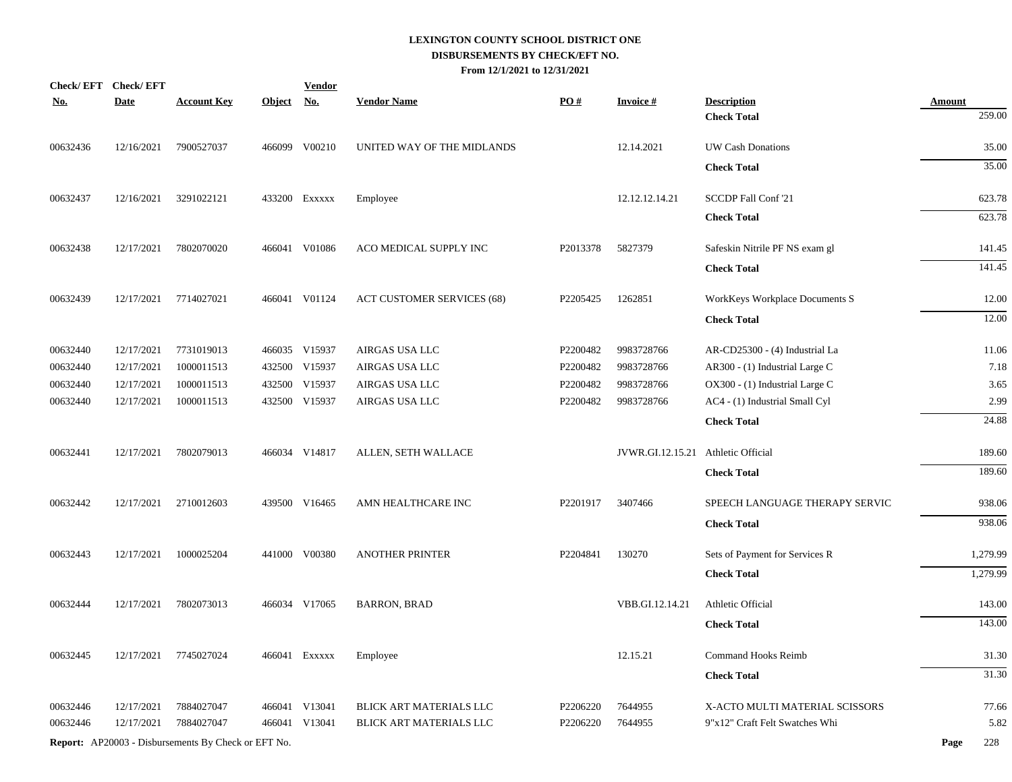| <u>No.</u> | Check/EFT Check/EFT<br><b>Date</b> | <b>Account Key</b>                                         | Object No. | <b>Vendor</b> | <b>Vendor Name</b>                | PO#                  | <b>Invoice#</b>                    | <b>Description</b>             | <b>Amount</b> |
|------------|------------------------------------|------------------------------------------------------------|------------|---------------|-----------------------------------|----------------------|------------------------------------|--------------------------------|---------------|
|            |                                    |                                                            |            |               |                                   |                      |                                    | <b>Check Total</b>             | 259.00        |
| 00632436   | 12/16/2021                         | 7900527037                                                 |            | 466099 V00210 | UNITED WAY OF THE MIDLANDS        |                      | 12.14.2021                         | UW Cash Donations              | 35.00         |
|            |                                    |                                                            |            |               |                                   |                      |                                    | <b>Check Total</b>             | 35.00         |
| 00632437   | 12/16/2021                         | 3291022121                                                 |            | 433200 Exxxxx | Employee                          |                      | 12.12.12.14.21                     | SCCDP Fall Conf '21            | 623.78        |
|            |                                    |                                                            |            |               |                                   |                      |                                    | <b>Check Total</b>             | 623.78        |
| 00632438   | 12/17/2021                         | 7802070020                                                 |            | 466041 V01086 | ACO MEDICAL SUPPLY INC            | P2013378             | 5827379                            | Safeskin Nitrile PF NS exam gl | 141.45        |
|            |                                    |                                                            |            |               |                                   |                      |                                    | <b>Check Total</b>             | 141.45        |
| 00632439   | 12/17/2021                         | 7714027021                                                 |            | 466041 V01124 | <b>ACT CUSTOMER SERVICES (68)</b> | P2205425             | 1262851                            | WorkKeys Workplace Documents S | 12.00         |
|            |                                    |                                                            |            |               |                                   |                      |                                    | <b>Check Total</b>             | 12.00         |
| 00632440   | 12/17/2021                         | 7731019013                                                 |            | 466035 V15937 | AIRGAS USA LLC                    | P2200482             | 9983728766                         | AR-CD25300 - (4) Industrial La | 11.06         |
| 00632440   | 12/17/2021                         | 1000011513                                                 |            | 432500 V15937 | AIRGAS USA LLC                    | P2200482             | 9983728766                         | AR300 - (1) Industrial Large C | 7.18          |
| 00632440   | 12/17/2021                         | 1000011513                                                 |            | 432500 V15937 | AIRGAS USA LLC                    | P2200482             | 9983728766                         | OX300 - (1) Industrial Large C | 3.65          |
| 00632440   | 12/17/2021                         | 1000011513                                                 |            | 432500 V15937 | AIRGAS USA LLC                    | P2200482             | 9983728766                         | AC4 - (1) Industrial Small Cyl | 2.99          |
|            |                                    |                                                            |            |               |                                   |                      |                                    | <b>Check Total</b>             | 24.88         |
| 00632441   | 12/17/2021                         | 7802079013                                                 |            | 466034 V14817 | ALLEN, SETH WALLACE               |                      | JVWR.GI.12.15.21 Athletic Official |                                | 189.60        |
|            |                                    |                                                            |            |               |                                   |                      |                                    | <b>Check Total</b>             | 189.60        |
| 00632442   | 12/17/2021                         | 2710012603                                                 |            | 439500 V16465 | AMN HEALTHCARE INC                | P <sub>2201917</sub> | 3407466                            | SPEECH LANGUAGE THERAPY SERVIC | 938.06        |
|            |                                    |                                                            |            |               |                                   |                      |                                    | <b>Check Total</b>             | 938.06        |
| 00632443   | 12/17/2021                         | 1000025204                                                 |            | 441000 V00380 | <b>ANOTHER PRINTER</b>            | P2204841             | 130270                             | Sets of Payment for Services R | 1,279.99      |
|            |                                    |                                                            |            |               |                                   |                      |                                    | <b>Check Total</b>             | 1,279.99      |
| 00632444   | 12/17/2021                         | 7802073013                                                 |            | 466034 V17065 | <b>BARRON, BRAD</b>               |                      | VBB.GI.12.14.21                    | Athletic Official              | 143.00        |
|            |                                    |                                                            |            |               |                                   |                      |                                    | <b>Check Total</b>             | 143.00        |
| 00632445   |                                    | 12/17/2021 7745027024                                      |            | 466041 Exxxxx | Employee                          |                      | 12.15.21                           | Command Hooks Reimb            | 31.30         |
|            |                                    |                                                            |            |               |                                   |                      |                                    | <b>Check Total</b>             | 31.30         |
| 00632446   | 12/17/2021                         | 7884027047                                                 |            | 466041 V13041 | BLICK ART MATERIALS LLC           | P2206220             | 7644955                            | X-ACTO MULTI MATERIAL SCISSORS | 77.66         |
| 00632446   | 12/17/2021                         | 7884027047                                                 |            | 466041 V13041 | BLICK ART MATERIALS LLC           | P2206220             | 7644955                            | 9"x12" Craft Felt Swatches Whi | 5.82          |
|            |                                    | <b>Report:</b> AP20003 - Disbursements By Check or EFT No. |            |               |                                   |                      |                                    |                                | Page<br>228   |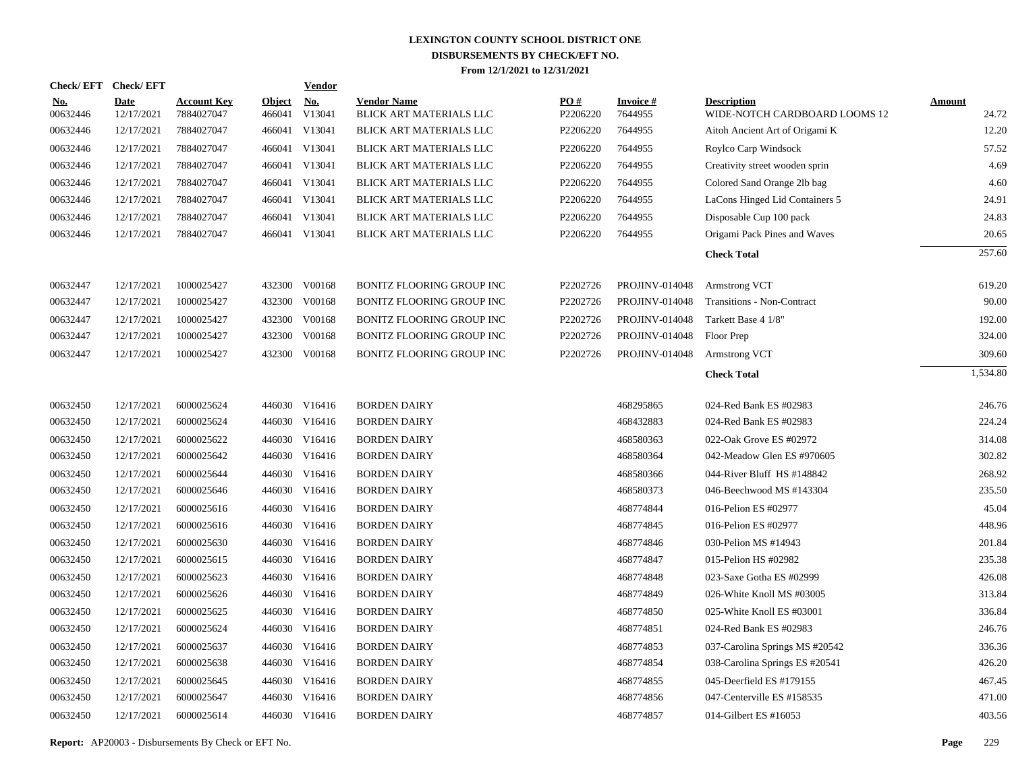| Check/EFT Check/EFT    |                           |                                  |                         | <b>Vendor</b>        |                                               |                 |                            |                                                     |                        |
|------------------------|---------------------------|----------------------------------|-------------------------|----------------------|-----------------------------------------------|-----------------|----------------------------|-----------------------------------------------------|------------------------|
| <u>No.</u><br>00632446 | <b>Date</b><br>12/17/2021 | <b>Account Key</b><br>7884027047 | <b>Object</b><br>466041 | <b>No.</b><br>V13041 | <b>Vendor Name</b><br>BLICK ART MATERIALS LLC | PO#<br>P2206220 | <b>Invoice#</b><br>7644955 | <b>Description</b><br>WIDE-NOTCH CARDBOARD LOOMS 12 | <b>Amount</b><br>24.72 |
| 00632446               | 12/17/2021                | 7884027047                       |                         | 466041 V13041        | BLICK ART MATERIALS LLC                       | P2206220        | 7644955                    | Aitoh Ancient Art of Origami K                      | 12.20                  |
| 00632446               | 12/17/2021                | 7884027047                       |                         | 466041 V13041        | BLICK ART MATERIALS LLC                       | P2206220        | 7644955                    | Roylco Carp Windsock                                | 57.52                  |
| 00632446               | 12/17/2021                | 7884027047                       |                         | 466041 V13041        | BLICK ART MATERIALS LLC                       | P2206220        | 7644955                    | Creativity street wooden sprin                      | 4.69                   |
| 00632446               | 12/17/2021                | 7884027047                       |                         | 466041 V13041        | BLICK ART MATERIALS LLC                       | P2206220        | 7644955                    | Colored Sand Orange 2lb bag                         | 4.60                   |
| 00632446               | 12/17/2021                | 7884027047                       |                         | 466041 V13041        | BLICK ART MATERIALS LLC                       | P2206220        | 7644955                    | LaCons Hinged Lid Containers 5                      | 24.91                  |
| 00632446               | 12/17/2021                | 7884027047                       |                         | 466041 V13041        | BLICK ART MATERIALS LLC                       | P2206220        | 7644955                    | Disposable Cup 100 pack                             | 24.83                  |
| 00632446               | 12/17/2021                | 7884027047                       |                         | 466041 V13041        | BLICK ART MATERIALS LLC                       | P2206220        | 7644955                    | Origami Pack Pines and Waves                        | 20.65                  |
|                        |                           |                                  |                         |                      |                                               |                 |                            | <b>Check Total</b>                                  | 257.60                 |
| 00632447               | 12/17/2021                | 1000025427                       |                         | 432300 V00168        | <b>BONITZ FLOORING GROUP INC</b>              | P2202726        | <b>PROJINV-014048</b>      | Armstrong VCT                                       | 619.20                 |
| 00632447               | 12/17/2021                | 1000025427                       |                         | 432300 V00168        | BONITZ FLOORING GROUP INC                     | P2202726        | <b>PROJINV-014048</b>      | Transitions - Non-Contract                          | 90.00                  |
| 00632447               | 12/17/2021                | 1000025427                       |                         | 432300 V00168        | BONITZ FLOORING GROUP INC                     | P2202726        | <b>PROJINV-014048</b>      | Tarkett Base 4 1/8"                                 | 192.00                 |
| 00632447               | 12/17/2021                | 1000025427                       |                         | 432300 V00168        | BONITZ FLOORING GROUP INC                     | P2202726        | <b>PROJINV-014048</b>      | Floor Prep                                          | 324.00                 |
| 00632447               | 12/17/2021                | 1000025427                       |                         | 432300 V00168        | BONITZ FLOORING GROUP INC                     | P2202726        | <b>PROJINV-014048</b>      | Armstrong VCT                                       | 309.60                 |
|                        |                           |                                  |                         |                      |                                               |                 |                            | <b>Check Total</b>                                  | 1,534.80               |
| 00632450               | 12/17/2021                | 6000025624                       |                         | 446030 V16416        | <b>BORDEN DAIRY</b>                           |                 | 468295865                  | 024-Red Bank ES #02983                              | 246.76                 |
| 00632450               | 12/17/2021                | 6000025624                       |                         | 446030 V16416        | <b>BORDEN DAIRY</b>                           |                 | 468432883                  | 024-Red Bank ES #02983                              | 224.24                 |
| 00632450               | 12/17/2021                | 6000025622                       |                         | 446030 V16416        | <b>BORDEN DAIRY</b>                           |                 | 468580363                  | 022-Oak Grove ES #02972                             | 314.08                 |
| 00632450               | 12/17/2021                | 6000025642                       |                         | 446030 V16416        | <b>BORDEN DAIRY</b>                           |                 | 468580364                  | 042-Meadow Glen ES #970605                          | 302.82                 |
| 00632450               | 12/17/2021                | 6000025644                       |                         | 446030 V16416        | <b>BORDEN DAIRY</b>                           |                 | 468580366                  | 044-River Bluff HS #148842                          | 268.92                 |
| 00632450               | 12/17/2021                | 6000025646                       |                         | 446030 V16416        | <b>BORDEN DAIRY</b>                           |                 | 468580373                  | 046-Beechwood MS #143304                            | 235.50                 |
| 00632450               | 12/17/2021                | 6000025616                       |                         | 446030 V16416        | <b>BORDEN DAIRY</b>                           |                 | 468774844                  | 016-Pelion ES #02977                                | 45.04                  |
| 00632450               | 12/17/2021                | 6000025616                       |                         | 446030 V16416        | <b>BORDEN DAIRY</b>                           |                 | 468774845                  | 016-Pelion ES #02977                                | 448.96                 |
| 00632450               | 12/17/2021                | 6000025630                       |                         | 446030 V16416        | <b>BORDEN DAIRY</b>                           |                 | 468774846                  | 030-Pelion MS #14943                                | 201.84                 |
| 00632450               | 12/17/2021                | 6000025615                       |                         | 446030 V16416        | <b>BORDEN DAIRY</b>                           |                 | 468774847                  | 015-Pelion HS #02982                                | 235.38                 |
| 00632450               | 12/17/2021                | 6000025623                       |                         | 446030 V16416        | <b>BORDEN DAIRY</b>                           |                 | 468774848                  | 023-Saxe Gotha ES #02999                            | 426.08                 |
| 00632450               | 12/17/2021                | 6000025626                       |                         | 446030 V16416        | <b>BORDEN DAIRY</b>                           |                 | 468774849                  | 026-White Knoll MS #03005                           | 313.84                 |
| 00632450               | 12/17/2021                | 6000025625                       |                         | 446030 V16416        | <b>BORDEN DAIRY</b>                           |                 | 468774850                  | 025-White Knoll ES #03001                           | 336.84                 |
| 00632450               | 12/17/2021                | 6000025624                       |                         | 446030 V16416        | <b>BORDEN DAIRY</b>                           |                 | 468774851                  | 024-Red Bank ES #02983                              | 246.76                 |
| 00632450               | 12/17/2021                | 6000025637                       |                         | 446030 V16416        | <b>BORDEN DAIRY</b>                           |                 | 468774853                  | 037-Carolina Springs MS #20542                      | 336.36                 |
| 00632450               | 12/17/2021                | 6000025638                       |                         | 446030 V16416        | <b>BORDEN DAIRY</b>                           |                 | 468774854                  | 038-Carolina Springs ES #20541                      | 426.20                 |
| 00632450               | 12/17/2021                | 6000025645                       |                         | 446030 V16416        | <b>BORDEN DAIRY</b>                           |                 | 468774855                  | 045-Deerfield ES #179155                            | 467.45                 |
| 00632450               | 12/17/2021                | 6000025647                       | 446030                  | V16416               | <b>BORDEN DAIRY</b>                           |                 | 468774856                  | 047-Centerville ES #158535                          | 471.00                 |
| 00632450               | 12/17/2021                | 6000025614                       |                         | 446030 V16416        | <b>BORDEN DAIRY</b>                           |                 | 468774857                  | 014-Gilbert ES #16053                               | 403.56                 |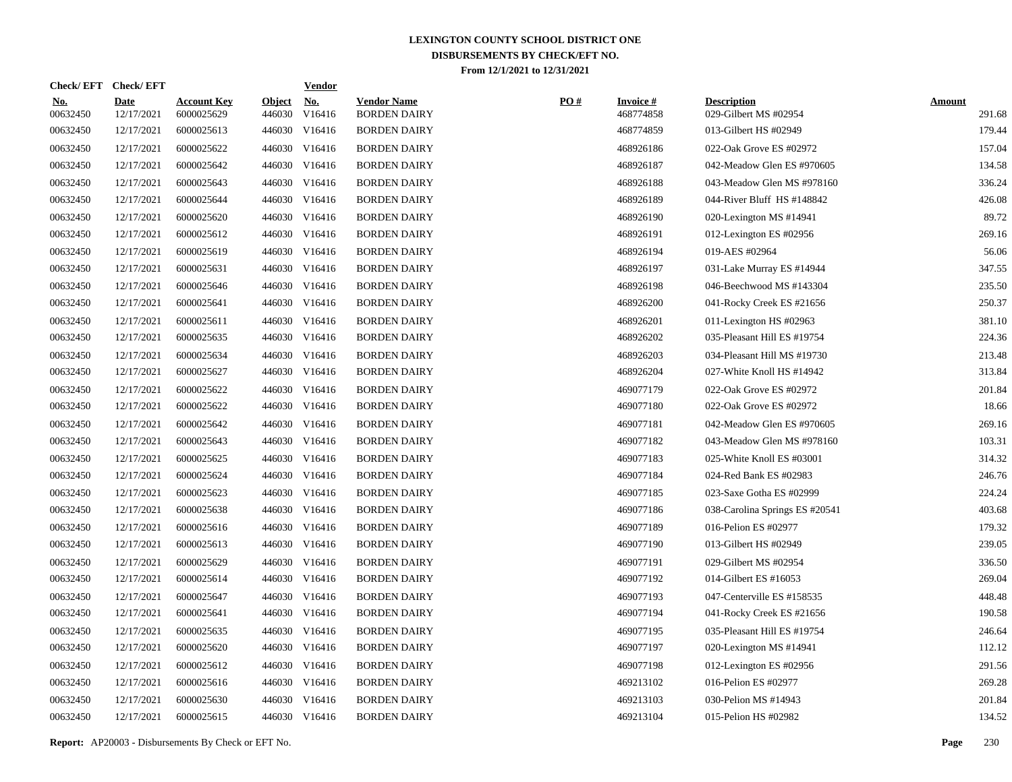|                        | Check/EFT Check/EFT       |                                  |                         | <b>Vendor</b>        |                                           |     |                               |                                             |                         |
|------------------------|---------------------------|----------------------------------|-------------------------|----------------------|-------------------------------------------|-----|-------------------------------|---------------------------------------------|-------------------------|
| <u>No.</u><br>00632450 | <b>Date</b><br>12/17/2021 | <b>Account Key</b><br>6000025629 | <b>Object</b><br>446030 | <u>No.</u><br>V16416 | <b>Vendor Name</b><br><b>BORDEN DAIRY</b> | PO# | <b>Invoice #</b><br>468774858 | <b>Description</b><br>029-Gilbert MS #02954 | <b>Amount</b><br>291.68 |
| 00632450               | 12/17/2021                | 6000025613                       |                         | 446030 V16416        | <b>BORDEN DAIRY</b>                       |     | 468774859                     | 013-Gilbert HS #02949                       | 179.44                  |
| 00632450               | 12/17/2021                | 6000025622                       |                         | 446030 V16416        | <b>BORDEN DAIRY</b>                       |     | 468926186                     | 022-Oak Grove ES #02972                     | 157.04                  |
| 00632450               | 12/17/2021                | 6000025642                       |                         | 446030 V16416        | <b>BORDEN DAIRY</b>                       |     | 468926187                     | 042-Meadow Glen ES #970605                  | 134.58                  |
| 00632450               | 12/17/2021                | 6000025643                       |                         | 446030 V16416        | <b>BORDEN DAIRY</b>                       |     | 468926188                     | 043-Meadow Glen MS #978160                  | 336.24                  |
| 00632450               | 12/17/2021                | 6000025644                       |                         | 446030 V16416        | <b>BORDEN DAIRY</b>                       |     | 468926189                     | 044-River Bluff HS #148842                  | 426.08                  |
| 00632450               | 12/17/2021                | 6000025620                       |                         | 446030 V16416        | <b>BORDEN DAIRY</b>                       |     | 468926190                     | 020-Lexington MS #14941                     | 89.72                   |
| 00632450               | 12/17/2021                | 6000025612                       |                         | 446030 V16416        | <b>BORDEN DAIRY</b>                       |     | 468926191                     | 012-Lexington ES #02956                     | 269.16                  |
| 00632450               | 12/17/2021                | 6000025619                       |                         | 446030 V16416        | <b>BORDEN DAIRY</b>                       |     | 468926194                     | 019-AES #02964                              | 56.06                   |
| 00632450               | 12/17/2021                | 6000025631                       |                         | 446030 V16416        | <b>BORDEN DAIRY</b>                       |     | 468926197                     | 031-Lake Murray ES #14944                   | 347.55                  |
| 00632450               | 12/17/2021                | 6000025646                       |                         | 446030 V16416        | <b>BORDEN DAIRY</b>                       |     | 468926198                     | 046-Beechwood MS #143304                    | 235.50                  |
| 00632450               | 12/17/2021                | 6000025641                       |                         | 446030 V16416        | <b>BORDEN DAIRY</b>                       |     | 468926200                     | 041-Rocky Creek ES #21656                   | 250.37                  |
| 00632450               | 12/17/2021                | 6000025611                       |                         | 446030 V16416        | <b>BORDEN DAIRY</b>                       |     | 468926201                     | 011-Lexington HS #02963                     | 381.10                  |
| 00632450               | 12/17/2021                | 6000025635                       |                         | 446030 V16416        | <b>BORDEN DAIRY</b>                       |     | 468926202                     | 035-Pleasant Hill ES #19754                 | 224.36                  |
| 00632450               | 12/17/2021                | 6000025634                       |                         | 446030 V16416        | <b>BORDEN DAIRY</b>                       |     | 468926203                     | 034-Pleasant Hill MS #19730                 | 213.48                  |
| 00632450               | 12/17/2021                | 6000025627                       |                         | 446030 V16416        | <b>BORDEN DAIRY</b>                       |     | 468926204                     | 027-White Knoll HS #14942                   | 313.84                  |
| 00632450               | 12/17/2021                | 6000025622                       |                         | 446030 V16416        | <b>BORDEN DAIRY</b>                       |     | 469077179                     | 022-Oak Grove ES #02972                     | 201.84                  |
| 00632450               | 12/17/2021                | 6000025622                       |                         | 446030 V16416        | <b>BORDEN DAIRY</b>                       |     | 469077180                     | 022-Oak Grove ES #02972                     | 18.66                   |
| 00632450               | 12/17/2021                | 6000025642                       |                         | 446030 V16416        | <b>BORDEN DAIRY</b>                       |     | 469077181                     | 042-Meadow Glen ES #970605                  | 269.16                  |
| 00632450               | 12/17/2021                | 6000025643                       |                         | 446030 V16416        | <b>BORDEN DAIRY</b>                       |     | 469077182                     | 043-Meadow Glen MS #978160                  | 103.31                  |
| 00632450               | 12/17/2021                | 6000025625                       |                         | 446030 V16416        | <b>BORDEN DAIRY</b>                       |     | 469077183                     | 025-White Knoll ES #03001                   | 314.32                  |
| 00632450               | 12/17/2021                | 6000025624                       |                         | 446030 V16416        | <b>BORDEN DAIRY</b>                       |     | 469077184                     | 024-Red Bank ES #02983                      | 246.76                  |
| 00632450               | 12/17/2021                | 6000025623                       |                         | 446030 V16416        | <b>BORDEN DAIRY</b>                       |     | 469077185                     | 023-Saxe Gotha ES #02999                    | 224.24                  |
| 00632450               | 12/17/2021                | 6000025638                       |                         | 446030 V16416        | <b>BORDEN DAIRY</b>                       |     | 469077186                     | 038-Carolina Springs ES #20541              | 403.68                  |
| 00632450               | 12/17/2021                | 6000025616                       |                         | 446030 V16416        | <b>BORDEN DAIRY</b>                       |     | 469077189                     | 016-Pelion ES #02977                        | 179.32                  |
| 00632450               | 12/17/2021                | 6000025613                       |                         | 446030 V16416        | <b>BORDEN DAIRY</b>                       |     | 469077190                     | 013-Gilbert HS #02949                       | 239.05                  |
| 00632450               | 12/17/2021                | 6000025629                       |                         | 446030 V16416        | <b>BORDEN DAIRY</b>                       |     | 469077191                     | 029-Gilbert MS #02954                       | 336.50                  |
| 00632450               | 12/17/2021                | 6000025614                       |                         | 446030 V16416        | <b>BORDEN DAIRY</b>                       |     | 469077192                     | 014-Gilbert ES #16053                       | 269.04                  |
| 00632450               | 12/17/2021                | 6000025647                       |                         | 446030 V16416        | <b>BORDEN DAIRY</b>                       |     | 469077193                     | 047-Centerville ES #158535                  | 448.48                  |
| 00632450               | 12/17/2021                | 6000025641                       |                         | 446030 V16416        | <b>BORDEN DAIRY</b>                       |     | 469077194                     | 041-Rocky Creek ES #21656                   | 190.58                  |
| 00632450               | 12/17/2021                | 6000025635                       |                         | 446030 V16416        | <b>BORDEN DAIRY</b>                       |     | 469077195                     | 035-Pleasant Hill ES #19754                 | 246.64                  |
| 00632450               | 12/17/2021                | 6000025620                       |                         | 446030 V16416        | <b>BORDEN DAIRY</b>                       |     | 469077197                     | 020-Lexington MS #14941                     | 112.12                  |
| 00632450               | 12/17/2021                | 6000025612                       |                         | 446030 V16416        | <b>BORDEN DAIRY</b>                       |     | 469077198                     | 012-Lexington ES #02956                     | 291.56                  |
| 00632450               | 12/17/2021                | 6000025616                       |                         | 446030 V16416        | <b>BORDEN DAIRY</b>                       |     | 469213102                     | 016-Pelion ES #02977                        | 269.28                  |
| 00632450               | 12/17/2021                | 6000025630                       |                         | 446030 V16416        | <b>BORDEN DAIRY</b>                       |     | 469213103                     | 030-Pelion MS #14943                        | 201.84                  |
| 00632450               | 12/17/2021                | 6000025615                       |                         | 446030 V16416        | <b>BORDEN DAIRY</b>                       |     | 469213104                     | 015-Pelion HS #02982                        | 134.52                  |
|                        |                           |                                  |                         |                      |                                           |     |                               |                                             |                         |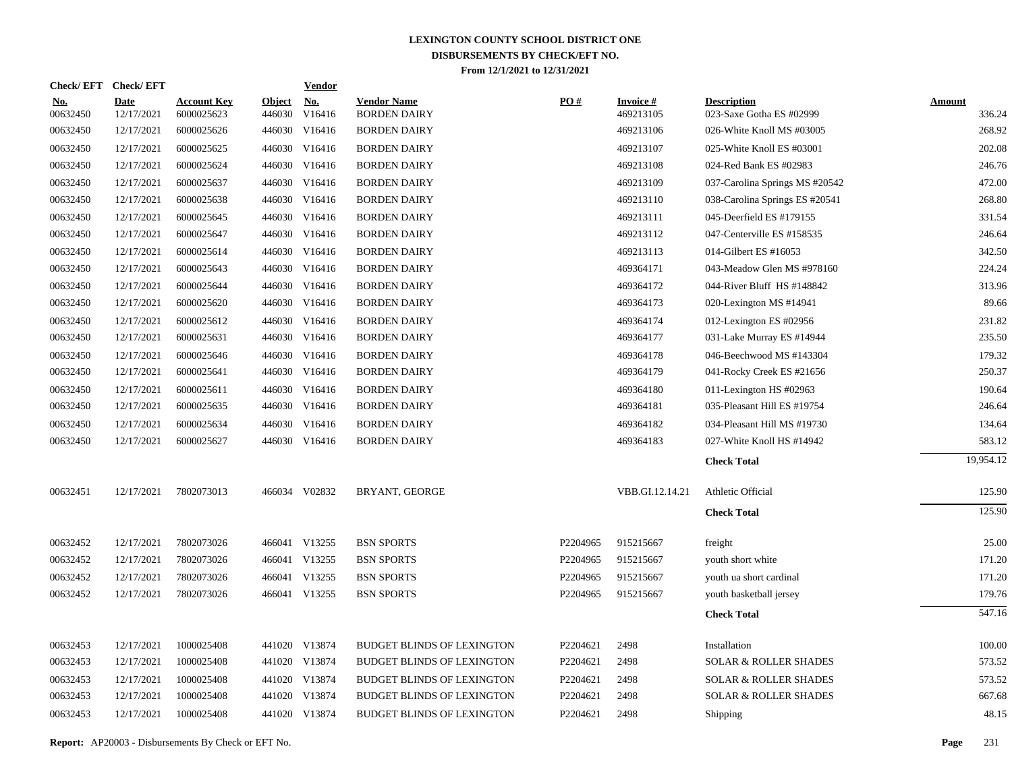| Check/EFT Check/EFT    |                           |                                  |                         | <b>Vendor</b> |                                           |          |                              |                                                |                         |
|------------------------|---------------------------|----------------------------------|-------------------------|---------------|-------------------------------------------|----------|------------------------------|------------------------------------------------|-------------------------|
| <u>No.</u><br>00632450 | <b>Date</b><br>12/17/2021 | <b>Account Key</b><br>6000025623 | <b>Object</b><br>446030 | No.<br>V16416 | <b>Vendor Name</b><br><b>BORDEN DAIRY</b> | PO#      | <b>Invoice#</b><br>469213105 | <b>Description</b><br>023-Saxe Gotha ES #02999 | <b>Amount</b><br>336.24 |
| 00632450               | 12/17/2021                | 6000025626                       | 446030                  | V16416        | <b>BORDEN DAIRY</b>                       |          | 469213106                    | 026-White Knoll MS #03005                      | 268.92                  |
| 00632450               | 12/17/2021                | 6000025625                       |                         | 446030 V16416 | <b>BORDEN DAIRY</b>                       |          | 469213107                    | 025-White Knoll ES #03001                      | 202.08                  |
| 00632450               | 12/17/2021                | 6000025624                       |                         | 446030 V16416 | <b>BORDEN DAIRY</b>                       |          | 469213108                    | 024-Red Bank ES #02983                         | 246.76                  |
| 00632450               | 12/17/2021                | 6000025637                       | 446030                  | V16416        | <b>BORDEN DAIRY</b>                       |          | 469213109                    | 037-Carolina Springs MS #20542                 | 472.00                  |
| 00632450               | 12/17/2021                | 6000025638                       |                         | 446030 V16416 | <b>BORDEN DAIRY</b>                       |          | 469213110                    | 038-Carolina Springs ES #20541                 | 268.80                  |
| 00632450               | 12/17/2021                | 6000025645                       | 446030                  | V16416        | <b>BORDEN DAIRY</b>                       |          | 469213111                    | 045-Deerfield ES #179155                       | 331.54                  |
| 00632450               | 12/17/2021                | 6000025647                       |                         | 446030 V16416 | <b>BORDEN DAIRY</b>                       |          | 469213112                    | 047-Centerville ES #158535                     | 246.64                  |
| 00632450               | 12/17/2021                | 6000025614                       | 446030                  | V16416        | <b>BORDEN DAIRY</b>                       |          | 469213113                    | 014-Gilbert ES #16053                          | 342.50                  |
| 00632450               | 12/17/2021                | 6000025643                       |                         | 446030 V16416 | <b>BORDEN DAIRY</b>                       |          | 469364171                    | 043-Meadow Glen MS #978160                     | 224.24                  |
| 00632450               | 12/17/2021                | 6000025644                       | 446030                  | V16416        | <b>BORDEN DAIRY</b>                       |          | 469364172                    | 044-River Bluff HS #148842                     | 313.96                  |
| 00632450               | 12/17/2021                | 6000025620                       |                         | 446030 V16416 | <b>BORDEN DAIRY</b>                       |          | 469364173                    | 020-Lexington MS #14941                        | 89.66                   |
| 00632450               | 12/17/2021                | 6000025612                       | 446030                  | V16416        | <b>BORDEN DAIRY</b>                       |          | 469364174                    | 012-Lexington ES #02956                        | 231.82                  |
| 00632450               | 12/17/2021                | 6000025631                       |                         | 446030 V16416 | <b>BORDEN DAIRY</b>                       |          | 469364177                    | 031-Lake Murray ES #14944                      | 235.50                  |
| 00632450               | 12/17/2021                | 6000025646                       |                         | 446030 V16416 | <b>BORDEN DAIRY</b>                       |          | 469364178                    | 046-Beechwood MS #143304                       | 179.32                  |
| 00632450               | 12/17/2021                | 6000025641                       |                         | 446030 V16416 | <b>BORDEN DAIRY</b>                       |          | 469364179                    | 041-Rocky Creek ES #21656                      | 250.37                  |
| 00632450               | 12/17/2021                | 6000025611                       |                         | 446030 V16416 | <b>BORDEN DAIRY</b>                       |          | 469364180                    | 011-Lexington HS $#02963$                      | 190.64                  |
| 00632450               | 12/17/2021                | 6000025635                       |                         | 446030 V16416 | <b>BORDEN DAIRY</b>                       |          | 469364181                    | 035-Pleasant Hill ES #19754                    | 246.64                  |
| 00632450               | 12/17/2021                | 6000025634                       |                         | 446030 V16416 | <b>BORDEN DAIRY</b>                       |          | 469364182                    | 034-Pleasant Hill MS #19730                    | 134.64                  |
| 00632450               | 12/17/2021                | 6000025627                       |                         | 446030 V16416 | <b>BORDEN DAIRY</b>                       |          | 469364183                    | 027-White Knoll HS #14942                      | 583.12                  |
|                        |                           |                                  |                         |               |                                           |          |                              | <b>Check Total</b>                             | 19,954.12               |
| 00632451               | 12/17/2021                | 7802073013                       |                         | 466034 V02832 | BRYANT, GEORGE                            |          | VBB.GI.12.14.21              | Athletic Official                              | 125.90                  |
|                        |                           |                                  |                         |               |                                           |          |                              | <b>Check Total</b>                             | 125.90                  |
| 00632452               | 12/17/2021                | 7802073026                       |                         | 466041 V13255 | <b>BSN SPORTS</b>                         | P2204965 | 915215667                    | freight                                        | 25.00                   |
| 00632452               | 12/17/2021                | 7802073026                       |                         | 466041 V13255 | <b>BSN SPORTS</b>                         | P2204965 | 915215667                    | youth short white                              | 171.20                  |
| 00632452               | 12/17/2021                | 7802073026                       |                         | 466041 V13255 | <b>BSN SPORTS</b>                         | P2204965 | 915215667                    | youth ua short cardinal                        | 171.20                  |
| 00632452               | 12/17/2021                | 7802073026                       |                         | 466041 V13255 | <b>BSN SPORTS</b>                         | P2204965 | 915215667                    | youth basketball jersey                        | 179.76                  |
|                        |                           |                                  |                         |               |                                           |          |                              | <b>Check Total</b>                             | 547.16                  |
| 00632453               | 12/17/2021                | 1000025408                       |                         | 441020 V13874 | <b>BUDGET BLINDS OF LEXINGTON</b>         | P2204621 | 2498                         | Installation                                   | 100.00                  |
| 00632453               | 12/17/2021                | 1000025408                       |                         | 441020 V13874 | <b>BUDGET BLINDS OF LEXINGTON</b>         | P2204621 | 2498                         | <b>SOLAR &amp; ROLLER SHADES</b>               | 573.52                  |
| 00632453               | 12/17/2021                | 1000025408                       |                         | 441020 V13874 | <b>BUDGET BLINDS OF LEXINGTON</b>         | P2204621 | 2498                         | <b>SOLAR &amp; ROLLER SHADES</b>               | 573.52                  |
| 00632453               | 12/17/2021                | 1000025408                       |                         | 441020 V13874 | <b>BUDGET BLINDS OF LEXINGTON</b>         | P2204621 | 2498                         | <b>SOLAR &amp; ROLLER SHADES</b>               | 667.68                  |
| 00632453               | 12/17/2021                | 1000025408                       |                         | 441020 V13874 | <b>BUDGET BLINDS OF LEXINGTON</b>         | P2204621 | 2498                         | Shipping                                       | 48.15                   |
|                        |                           |                                  |                         |               |                                           |          |                              |                                                |                         |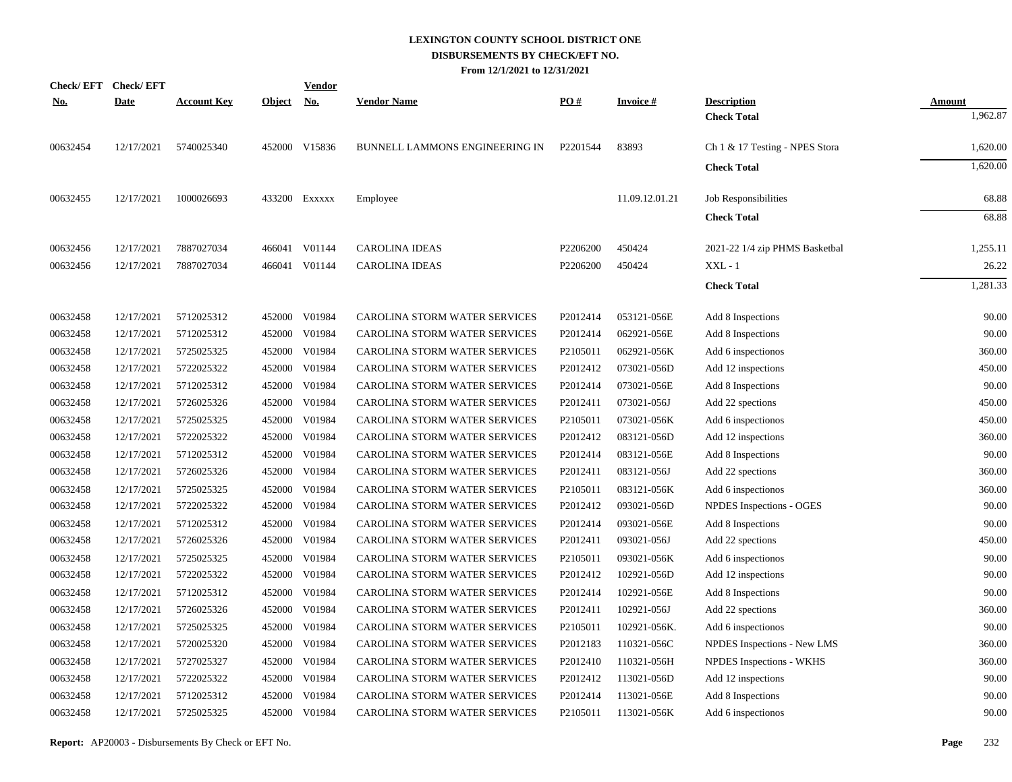| <u>No.</u> | Check/EFT Check/EFT<br><b>Date</b> | <b>Account Key</b> | <b>Object</b> | <b>Vendor</b><br><u>No.</u> | <b>Vendor Name</b>             | PO#                  | <b>Invoice#</b> | <b>Description</b>             | Amount   |
|------------|------------------------------------|--------------------|---------------|-----------------------------|--------------------------------|----------------------|-----------------|--------------------------------|----------|
|            |                                    |                    |               |                             |                                |                      |                 | <b>Check Total</b>             | 1,962.87 |
| 00632454   | 12/17/2021                         | 5740025340         |               | 452000 V15836               | BUNNELL LAMMONS ENGINEERING IN | P2201544             | 83893           | Ch 1 & 17 Testing - NPES Stora | 1,620.00 |
|            |                                    |                    |               |                             |                                |                      |                 | <b>Check Total</b>             | 1,620.00 |
| 00632455   | 12/17/2021                         | 1000026693         |               | 433200 Exxxxx               | Employee                       |                      | 11.09.12.01.21  | Job Responsibilities           | 68.88    |
|            |                                    |                    |               |                             |                                |                      |                 | <b>Check Total</b>             | 68.88    |
| 00632456   | 12/17/2021                         | 7887027034         |               | 466041 V01144               | <b>CAROLINA IDEAS</b>          | P2206200             | 450424          | 2021-22 1/4 zip PHMS Basketbal | 1,255.11 |
| 00632456   | 12/17/2021                         | 7887027034         |               | 466041 V01144               | <b>CAROLINA IDEAS</b>          | P2206200             | 450424          | $XXL - 1$                      | 26.22    |
|            |                                    |                    |               |                             |                                |                      |                 | <b>Check Total</b>             | 1,281.33 |
| 00632458   | 12/17/2021                         | 5712025312         | 452000        | V01984                      | CAROLINA STORM WATER SERVICES  | P2012414             | 053121-056E     | Add 8 Inspections              | 90.00    |
| 00632458   | 12/17/2021                         | 5712025312         | 452000        | V01984                      | CAROLINA STORM WATER SERVICES  | P2012414             | 062921-056E     | Add 8 Inspections              | 90.00    |
| 00632458   | 12/17/2021                         | 5725025325         | 452000        | V01984                      | CAROLINA STORM WATER SERVICES  | P <sub>2105011</sub> | 062921-056K     | Add 6 inspectionos             | 360.00   |
| 00632458   | 12/17/2021                         | 5722025322         | 452000        | V01984                      | CAROLINA STORM WATER SERVICES  | P2012412             | 073021-056D     | Add 12 inspections             | 450.00   |
| 00632458   | 12/17/2021                         | 5712025312         | 452000        | V01984                      | CAROLINA STORM WATER SERVICES  | P2012414             | 073021-056E     | Add 8 Inspections              | 90.00    |
| 00632458   | 12/17/2021                         | 5726025326         | 452000        | V01984                      | CAROLINA STORM WATER SERVICES  | P2012411             | 073021-056J     | Add 22 spections               | 450.00   |
| 00632458   | 12/17/2021                         | 5725025325         | 452000        | V01984                      | CAROLINA STORM WATER SERVICES  | P <sub>2105011</sub> | 073021-056K     | Add 6 inspectionos             | 450.00   |
| 00632458   | 12/17/2021                         | 5722025322         | 452000        | V01984                      | CAROLINA STORM WATER SERVICES  | P2012412             | 083121-056D     | Add 12 inspections             | 360.00   |
| 00632458   | 12/17/2021                         | 5712025312         | 452000        | V01984                      | CAROLINA STORM WATER SERVICES  | P2012414             | 083121-056E     | Add 8 Inspections              | 90.00    |
| 00632458   | 12/17/2021                         | 5726025326         | 452000        | V01984                      | CAROLINA STORM WATER SERVICES  | P2012411             | 083121-056J     | Add 22 spections               | 360.00   |
| 00632458   | 12/17/2021                         | 5725025325         | 452000        | V01984                      | CAROLINA STORM WATER SERVICES  | P2105011             | 083121-056K     | Add 6 inspectionos             | 360.00   |
| 00632458   | 12/17/2021                         | 5722025322         | 452000        | V01984                      | CAROLINA STORM WATER SERVICES  | P2012412             | 093021-056D     | NPDES Inspections - OGES       | 90.00    |
| 00632458   | 12/17/2021                         | 5712025312         | 452000        | V01984                      | CAROLINA STORM WATER SERVICES  | P2012414             | 093021-056E     | Add 8 Inspections              | 90.00    |
| 00632458   | 12/17/2021                         | 5726025326         | 452000        | V01984                      | CAROLINA STORM WATER SERVICES  | P2012411             | 093021-056J     | Add 22 spections               | 450.00   |
| 00632458   | 12/17/2021                         | 5725025325         | 452000        | V01984                      | CAROLINA STORM WATER SERVICES  | P2105011             | 093021-056K     | Add 6 inspectionos             | 90.00    |
| 00632458   | 12/17/2021                         | 5722025322         | 452000        | V01984                      | CAROLINA STORM WATER SERVICES  | P2012412             | 102921-056D     | Add 12 inspections             | 90.00    |
| 00632458   | 12/17/2021                         | 5712025312         | 452000        | V01984                      | CAROLINA STORM WATER SERVICES  | P2012414             | 102921-056E     | Add 8 Inspections              | 90.00    |
| 00632458   | 12/17/2021                         | 5726025326         | 452000        | V01984                      | CAROLINA STORM WATER SERVICES  | P2012411             | 102921-056J     | Add 22 spections               | 360.00   |
| 00632458   | 12/17/2021                         | 5725025325         | 452000        | V01984                      | CAROLINA STORM WATER SERVICES  | P2105011             | 102921-056K.    | Add 6 inspectionos             | 90.00    |
| 00632458   | 12/17/2021                         | 5720025320         | 452000        | V01984                      | CAROLINA STORM WATER SERVICES  | P2012183             | 110321-056C     | NPDES Inspections - New LMS    | 360.00   |
| 00632458   | 12/17/2021                         | 5727025327         | 452000        | V01984                      | CAROLINA STORM WATER SERVICES  | P2012410             | 110321-056H     | NPDES Inspections - WKHS       | 360.00   |
| 00632458   | 12/17/2021                         | 5722025322         | 452000        | V01984                      | CAROLINA STORM WATER SERVICES  | P2012412             | 113021-056D     | Add 12 inspections             | 90.00    |
| 00632458   | 12/17/2021                         | 5712025312         | 452000        | V01984                      | CAROLINA STORM WATER SERVICES  | P2012414             | 113021-056E     | Add 8 Inspections              | 90.00    |
| 00632458   | 12/17/2021                         | 5725025325         | 452000        | V01984                      | CAROLINA STORM WATER SERVICES  | P <sub>2105011</sub> | 113021-056K     | Add 6 inspectionos             | 90.00    |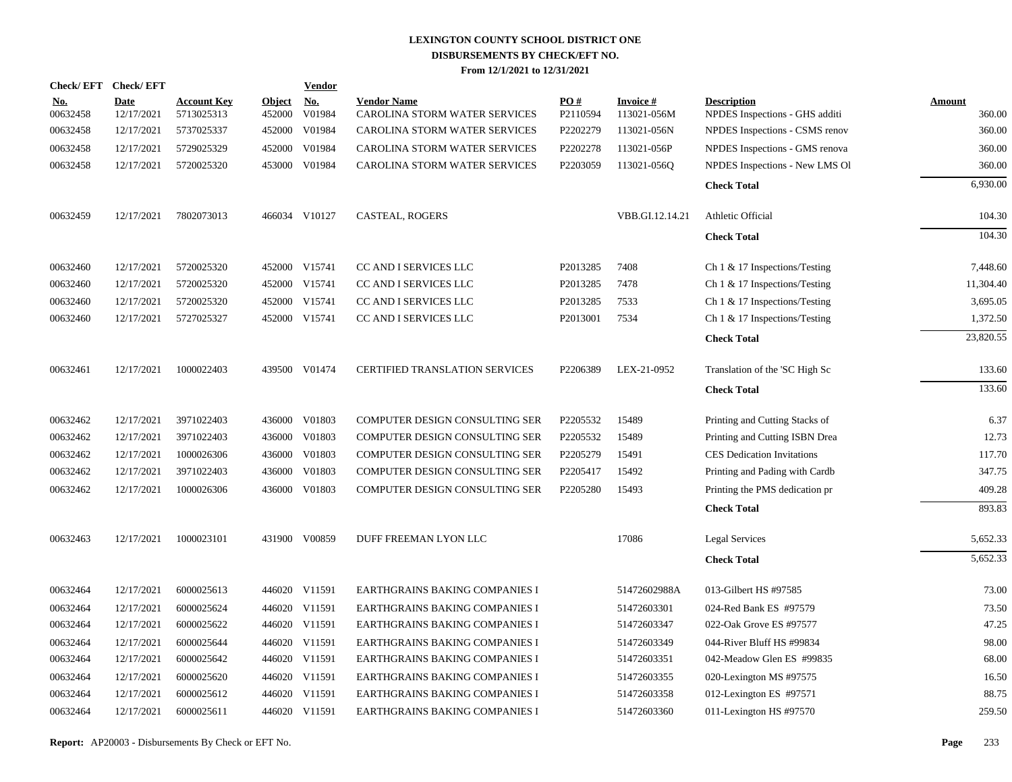| Check/EFT Check/EFT |             |                    |               | <b>Vendor</b> |                                       |                      |                 |                                   |               |
|---------------------|-------------|--------------------|---------------|---------------|---------------------------------------|----------------------|-----------------|-----------------------------------|---------------|
| <u>No.</u>          | <b>Date</b> | <b>Account Key</b> | <b>Object</b> | <u>No.</u>    | <b>Vendor Name</b>                    | PO#                  | <b>Invoice#</b> | <b>Description</b>                | <b>Amount</b> |
| 00632458            | 12/17/2021  | 5713025313         | 452000        | V01984        | CAROLINA STORM WATER SERVICES         | P2110594             | 113021-056M     | NPDES Inspections - GHS additi    | 360.00        |
| 00632458            | 12/17/2021  | 5737025337         |               | 452000 V01984 | CAROLINA STORM WATER SERVICES         | P2202279             | 113021-056N     | NPDES Inspections - CSMS renov    | 360.00        |
| 00632458            | 12/17/2021  | 5729025329         |               | 452000 V01984 | CAROLINA STORM WATER SERVICES         | P2202278             | 113021-056P     | NPDES Inspections - GMS renova    | 360.00        |
| 00632458            | 12/17/2021  | 5720025320         |               | 453000 V01984 | CAROLINA STORM WATER SERVICES         | P2203059             | 113021-056Q     | NPDES Inspections - New LMS Ol    | 360.00        |
|                     |             |                    |               |               |                                       |                      |                 | <b>Check Total</b>                | 6,930.00      |
| 00632459            | 12/17/2021  | 7802073013         |               | 466034 V10127 | CASTEAL, ROGERS                       |                      | VBB.GI.12.14.21 | Athletic Official                 | 104.30        |
|                     |             |                    |               |               |                                       |                      |                 | <b>Check Total</b>                | 104.30        |
| 00632460            | 12/17/2021  | 5720025320         |               | 452000 V15741 | CC AND I SERVICES LLC                 | P2013285             | 7408            | Ch $1 \& 17$ Inspections/Testing  | 7,448.60      |
| 00632460            | 12/17/2021  | 5720025320         |               | 452000 V15741 | CC AND I SERVICES LLC                 | P2013285             | 7478            | Ch $1 \& 17$ Inspections/Testing  | 11,304.40     |
| 00632460            | 12/17/2021  | 5720025320         |               | 452000 V15741 | CC AND I SERVICES LLC                 | P2013285             | 7533            | Ch $1 \& 17$ Inspections/Testing  | 3,695.05      |
| 00632460            | 12/17/2021  | 5727025327         |               | 452000 V15741 | CC AND I SERVICES LLC                 | P <sub>2013001</sub> | 7534            | Ch $1 \& 17$ Inspections/Testing  | 1,372.50      |
|                     |             |                    |               |               |                                       |                      |                 | <b>Check Total</b>                | 23,820.55     |
| 00632461            | 12/17/2021  | 1000022403         |               | 439500 V01474 | <b>CERTIFIED TRANSLATION SERVICES</b> | P <sub>2206389</sub> | LEX-21-0952     | Translation of the 'SC High Sc    | 133.60        |
|                     |             |                    |               |               |                                       |                      |                 | <b>Check Total</b>                | 133.60        |
| 00632462            | 12/17/2021  | 3971022403         |               | 436000 V01803 | COMPUTER DESIGN CONSULTING SER        | P2205532             | 15489           | Printing and Cutting Stacks of    | 6.37          |
| 00632462            | 12/17/2021  | 3971022403         |               | 436000 V01803 | COMPUTER DESIGN CONSULTING SER        | P2205532             | 15489           | Printing and Cutting ISBN Drea    | 12.73         |
| 00632462            | 12/17/2021  | 1000026306         |               | 436000 V01803 | COMPUTER DESIGN CONSULTING SER        | P2205279             | 15491           | <b>CES</b> Dedication Invitations | 117.70        |
| 00632462            | 12/17/2021  | 3971022403         |               | 436000 V01803 | COMPUTER DESIGN CONSULTING SER        | P2205417             | 15492           | Printing and Pading with Cardb    | 347.75        |
| 00632462            | 12/17/2021  | 1000026306         |               | 436000 V01803 | COMPUTER DESIGN CONSULTING SER        | P2205280             | 15493           | Printing the PMS dedication pr    | 409.28        |
|                     |             |                    |               |               |                                       |                      |                 | <b>Check Total</b>                | 893.83        |
| 00632463            | 12/17/2021  | 1000023101         |               | 431900 V00859 | DUFF FREEMAN LYON LLC                 |                      | 17086           | Legal Services                    | 5,652.33      |
|                     |             |                    |               |               |                                       |                      |                 | <b>Check Total</b>                | 5,652.33      |
| 00632464            | 12/17/2021  | 6000025613         |               | 446020 V11591 | EARTHGRAINS BAKING COMPANIES I        |                      | 51472602988A    | 013-Gilbert HS #97585             | 73.00         |
| 00632464            | 12/17/2021  | 6000025624         |               | 446020 V11591 | EARTHGRAINS BAKING COMPANIES I        |                      | 51472603301     | 024-Red Bank ES #97579            | 73.50         |
| 00632464            | 12/17/2021  | 6000025622         |               | 446020 V11591 | EARTHGRAINS BAKING COMPANIES I        |                      | 51472603347     | 022-Oak Grove ES #97577           | 47.25         |
| 00632464            | 12/17/2021  | 6000025644         |               | 446020 V11591 | EARTHGRAINS BAKING COMPANIES I        |                      | 51472603349     | 044-River Bluff HS #99834         | 98.00         |
| 00632464            | 12/17/2021  | 6000025642         |               | 446020 V11591 | <b>EARTHGRAINS BAKING COMPANIES I</b> |                      | 51472603351     | 042-Meadow Glen ES #99835         | 68.00         |
| 00632464            | 12/17/2021  | 6000025620         |               | 446020 V11591 | EARTHGRAINS BAKING COMPANIES I        |                      | 51472603355     | 020-Lexington MS #97575           | 16.50         |
| 00632464            | 12/17/2021  | 6000025612         |               | 446020 V11591 | EARTHGRAINS BAKING COMPANIES I        |                      | 51472603358     | 012-Lexington ES #97571           | 88.75         |
| 00632464            | 12/17/2021  | 6000025611         |               | 446020 V11591 | EARTHGRAINS BAKING COMPANIES I        |                      | 51472603360     | 011-Lexington HS #97570           | 259.50        |
|                     |             |                    |               |               |                                       |                      |                 |                                   |               |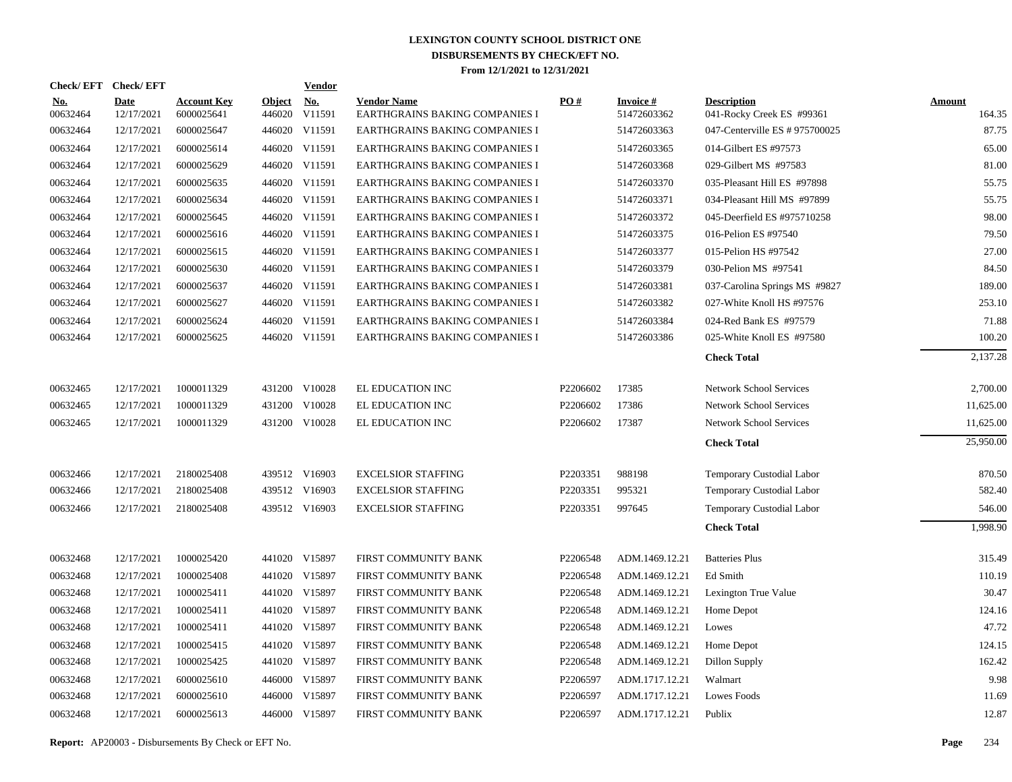|                        | Check/EFT Check/EFT       |                                  |                         | <b>Vendor</b> |                                                      |          |                                |                                                 |                         |
|------------------------|---------------------------|----------------------------------|-------------------------|---------------|------------------------------------------------------|----------|--------------------------------|-------------------------------------------------|-------------------------|
| <u>No.</u><br>00632464 | <b>Date</b><br>12/17/2021 | <b>Account Key</b><br>6000025641 | <b>Object</b><br>446020 | No.<br>V11591 | <b>Vendor Name</b><br>EARTHGRAINS BAKING COMPANIES I | PO#      | <b>Invoice#</b><br>51472603362 | <b>Description</b><br>041-Rocky Creek ES #99361 | <b>Amount</b><br>164.35 |
| 00632464               | 12/17/2021                | 6000025647                       |                         | 446020 V11591 | EARTHGRAINS BAKING COMPANIES I                       |          | 51472603363                    | 047-Centerville ES # 975700025                  | 87.75                   |
| 00632464               | 12/17/2021                | 6000025614                       |                         | 446020 V11591 | EARTHGRAINS BAKING COMPANIES I                       |          | 51472603365                    | 014-Gilbert ES #97573                           | 65.00                   |
| 00632464               | 12/17/2021                | 6000025629                       |                         | 446020 V11591 | EARTHGRAINS BAKING COMPANIES I                       |          | 51472603368                    | 029-Gilbert MS #97583                           | 81.00                   |
| 00632464               | 12/17/2021                | 6000025635                       |                         | 446020 V11591 | EARTHGRAINS BAKING COMPANIES I                       |          | 51472603370                    | 035-Pleasant Hill ES #97898                     | 55.75                   |
| 00632464               | 12/17/2021                | 6000025634                       |                         | 446020 V11591 | EARTHGRAINS BAKING COMPANIES I                       |          | 51472603371                    | 034-Pleasant Hill MS #97899                     | 55.75                   |
| 00632464               | 12/17/2021                | 6000025645                       |                         | 446020 V11591 | EARTHGRAINS BAKING COMPANIES I                       |          | 51472603372                    | 045-Deerfield ES #975710258                     | 98.00                   |
| 00632464               | 12/17/2021                | 6000025616                       |                         | 446020 V11591 | EARTHGRAINS BAKING COMPANIES I                       |          | 51472603375                    | 016-Pelion ES #97540                            | 79.50                   |
| 00632464               | 12/17/2021                | 6000025615                       |                         | 446020 V11591 | EARTHGRAINS BAKING COMPANIES I                       |          | 51472603377                    | 015-Pelion HS #97542                            | 27.00                   |
| 00632464               | 12/17/2021                | 6000025630                       |                         | 446020 V11591 | EARTHGRAINS BAKING COMPANIES I                       |          | 51472603379                    | 030-Pelion MS #97541                            | 84.50                   |
| 00632464               | 12/17/2021                | 6000025637                       |                         | 446020 V11591 | EARTHGRAINS BAKING COMPANIES I                       |          | 51472603381                    | 037-Carolina Springs MS #9827                   | 189.00                  |
| 00632464               | 12/17/2021                | 6000025627                       |                         | 446020 V11591 | EARTHGRAINS BAKING COMPANIES I                       |          | 51472603382                    | 027-White Knoll HS #97576                       | 253.10                  |
| 00632464               | 12/17/2021                | 6000025624                       |                         | 446020 V11591 | EARTHGRAINS BAKING COMPANIES I                       |          | 51472603384                    | 024-Red Bank ES #97579                          | 71.88                   |
| 00632464               | 12/17/2021                | 6000025625                       |                         | 446020 V11591 | EARTHGRAINS BAKING COMPANIES I                       |          | 51472603386                    | 025-White Knoll ES #97580                       | 100.20                  |
|                        |                           |                                  |                         |               |                                                      |          |                                | <b>Check Total</b>                              | 2,137.28                |
| 00632465               | 12/17/2021                | 1000011329                       |                         | 431200 V10028 | EL EDUCATION INC                                     | P2206602 | 17385                          | <b>Network School Services</b>                  | 2,700.00                |
| 00632465               | 12/17/2021                | 1000011329                       |                         | 431200 V10028 | EL EDUCATION INC                                     | P2206602 | 17386                          | <b>Network School Services</b>                  | 11,625.00               |
| 00632465               | 12/17/2021                | 1000011329                       |                         | 431200 V10028 | EL EDUCATION INC                                     | P2206602 | 17387                          | <b>Network School Services</b>                  | 11,625.00               |
|                        |                           |                                  |                         |               |                                                      |          |                                | <b>Check Total</b>                              | 25,950.00               |
| 00632466               | 12/17/2021                | 2180025408                       |                         | 439512 V16903 | <b>EXCELSIOR STAFFING</b>                            | P2203351 | 988198                         | Temporary Custodial Labor                       | 870.50                  |
| 00632466               | 12/17/2021                | 2180025408                       |                         | 439512 V16903 | <b>EXCELSIOR STAFFING</b>                            | P2203351 | 995321                         | Temporary Custodial Labor                       | 582.40                  |
| 00632466               | 12/17/2021                | 2180025408                       |                         | 439512 V16903 | <b>EXCELSIOR STAFFING</b>                            | P2203351 | 997645                         | Temporary Custodial Labor                       | 546.00                  |
|                        |                           |                                  |                         |               |                                                      |          |                                | <b>Check Total</b>                              | 1,998.90                |
| 00632468               | 12/17/2021                | 1000025420                       |                         | 441020 V15897 | FIRST COMMUNITY BANK                                 | P2206548 | ADM.1469.12.21                 | <b>Batteries Plus</b>                           | 315.49                  |
| 00632468               | 12/17/2021                | 1000025408                       |                         | 441020 V15897 | FIRST COMMUNITY BANK                                 | P2206548 | ADM.1469.12.21                 | Ed Smith                                        | 110.19                  |
| 00632468               | 12/17/2021                | 1000025411                       |                         | 441020 V15897 | FIRST COMMUNITY BANK                                 | P2206548 | ADM.1469.12.21                 | Lexington True Value                            | 30.47                   |
| 00632468               | 12/17/2021                | 1000025411                       |                         | 441020 V15897 | FIRST COMMUNITY BANK                                 | P2206548 | ADM.1469.12.21                 | Home Depot                                      | 124.16                  |
| 00632468               | 12/17/2021                | 1000025411                       |                         | 441020 V15897 | FIRST COMMUNITY BANK                                 | P2206548 | ADM.1469.12.21                 | Lowes                                           | 47.72                   |
| 00632468               | 12/17/2021                | 1000025415                       |                         | 441020 V15897 | FIRST COMMUNITY BANK                                 | P2206548 | ADM.1469.12.21                 | Home Depot                                      | 124.15                  |
| 00632468               | 12/17/2021                | 1000025425                       |                         | 441020 V15897 | FIRST COMMUNITY BANK                                 | P2206548 | ADM.1469.12.21                 | Dillon Supply                                   | 162.42                  |
| 00632468               | 12/17/2021                | 6000025610                       |                         | 446000 V15897 | FIRST COMMUNITY BANK                                 | P2206597 | ADM.1717.12.21                 | Walmart                                         | 9.98                    |
| 00632468               | 12/17/2021                | 6000025610                       |                         | 446000 V15897 | FIRST COMMUNITY BANK                                 | P2206597 | ADM.1717.12.21                 | Lowes Foods                                     | 11.69                   |
| 00632468               | 12/17/2021                | 6000025613                       |                         | 446000 V15897 | FIRST COMMUNITY BANK                                 | P2206597 | ADM.1717.12.21                 | Publix                                          | 12.87                   |
|                        |                           |                                  |                         |               |                                                      |          |                                |                                                 |                         |

**Report:** AP20003 - Disbursements By Check or EFT No. **Page** 234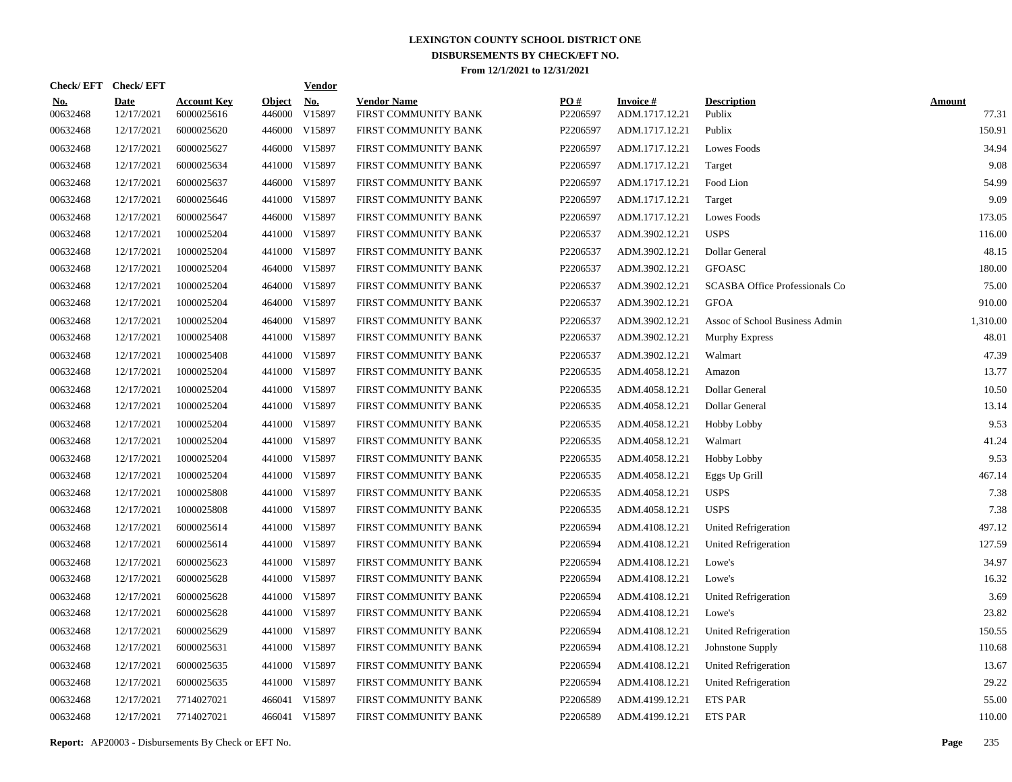|                        | Check/EFT Check/EFT       |                                  |                         | <u>Vendor</u> |                                            |                 |                                   |                                       |                        |
|------------------------|---------------------------|----------------------------------|-------------------------|---------------|--------------------------------------------|-----------------|-----------------------------------|---------------------------------------|------------------------|
| <u>No.</u><br>00632468 | <b>Date</b><br>12/17/2021 | <b>Account Key</b><br>6000025616 | <b>Object</b><br>446000 | No.<br>V15897 | <b>Vendor Name</b><br>FIRST COMMUNITY BANK | PO#<br>P2206597 | <b>Invoice#</b><br>ADM.1717.12.21 | <b>Description</b><br>Publix          | <b>Amount</b><br>77.31 |
| 00632468               | 12/17/2021                | 6000025620                       | 446000                  | V15897        | FIRST COMMUNITY BANK                       | P2206597        | ADM.1717.12.21                    | Publix                                | 150.91                 |
| 00632468               | 12/17/2021                | 6000025627                       | 446000                  | V15897        | FIRST COMMUNITY BANK                       | P2206597        | ADM.1717.12.21                    | Lowes Foods                           | 34.94                  |
| 00632468               | 12/17/2021                | 6000025634                       |                         | 441000 V15897 | FIRST COMMUNITY BANK                       | P2206597        | ADM.1717.12.21                    | Target                                | 9.08                   |
| 00632468               | 12/17/2021                | 6000025637                       | 446000                  | V15897        | FIRST COMMUNITY BANK                       | P2206597        | ADM.1717.12.21                    | Food Lion                             | 54.99                  |
| 00632468               | 12/17/2021                | 6000025646                       |                         | 441000 V15897 | FIRST COMMUNITY BANK                       | P2206597        | ADM.1717.12.21                    | Target                                | 9.09                   |
| 00632468               | 12/17/2021                | 6000025647                       |                         | 446000 V15897 | FIRST COMMUNITY BANK                       | P2206597        | ADM.1717.12.21                    | Lowes Foods                           | 173.05                 |
| 00632468               | 12/17/2021                | 1000025204                       | 441000                  | V15897        | FIRST COMMUNITY BANK                       | P2206537        | ADM.3902.12.21                    | <b>USPS</b>                           | 116.00                 |
| 00632468               | 12/17/2021                | 1000025204                       |                         | 441000 V15897 | FIRST COMMUNITY BANK                       | P2206537        | ADM.3902.12.21                    | Dollar General                        | 48.15                  |
| 00632468               | 12/17/2021                | 1000025204                       | 464000                  | V15897        | FIRST COMMUNITY BANK                       | P2206537        | ADM.3902.12.21                    | <b>GFOASC</b>                         | 180.00                 |
| 00632468               | 12/17/2021                | 1000025204                       |                         | 464000 V15897 | FIRST COMMUNITY BANK                       | P2206537        | ADM.3902.12.21                    | <b>SCASBA Office Professionals Co</b> | 75.00                  |
| 00632468               | 12/17/2021                | 1000025204                       | 464000                  | V15897        | FIRST COMMUNITY BANK                       | P2206537        | ADM.3902.12.21                    | <b>GFOA</b>                           | 910.00                 |
| 00632468               | 12/17/2021                | 1000025204                       |                         | 464000 V15897 | FIRST COMMUNITY BANK                       | P2206537        | ADM.3902.12.21                    | Assoc of School Business Admin        | 1,310.00               |
| 00632468               | 12/17/2021                | 1000025408                       | 441000                  | V15897        | FIRST COMMUNITY BANK                       | P2206537        | ADM.3902.12.21                    | Murphy Express                        | 48.01                  |
| 00632468               | 12/17/2021                | 1000025408                       |                         | 441000 V15897 | FIRST COMMUNITY BANK                       | P2206537        | ADM.3902.12.21                    | Walmart                               | 47.39                  |
| 00632468               | 12/17/2021                | 1000025204                       |                         | 441000 V15897 | FIRST COMMUNITY BANK                       | P2206535        | ADM.4058.12.21                    | Amazon                                | 13.77                  |
| 00632468               | 12/17/2021                | 1000025204                       |                         | 441000 V15897 | FIRST COMMUNITY BANK                       | P2206535        | ADM.4058.12.21                    | Dollar General                        | 10.50                  |
| 00632468               | 12/17/2021                | 1000025204                       |                         | 441000 V15897 | FIRST COMMUNITY BANK                       | P2206535        | ADM.4058.12.21                    | Dollar General                        | 13.14                  |
| 00632468               | 12/17/2021                | 1000025204                       |                         | 441000 V15897 | FIRST COMMUNITY BANK                       | P2206535        | ADM.4058.12.21                    | <b>Hobby Lobby</b>                    | 9.53                   |
| 00632468               | 12/17/2021                | 1000025204                       |                         | 441000 V15897 | FIRST COMMUNITY BANK                       | P2206535        | ADM.4058.12.21                    | Walmart                               | 41.24                  |
| 00632468               | 12/17/2021                | 1000025204                       |                         | 441000 V15897 | FIRST COMMUNITY BANK                       | P2206535        | ADM.4058.12.21                    | Hobby Lobby                           | 9.53                   |
| 00632468               | 12/17/2021                | 1000025204                       |                         | 441000 V15897 | FIRST COMMUNITY BANK                       | P2206535        | ADM.4058.12.21                    | Eggs Up Grill                         | 467.14                 |
| 00632468               | 12/17/2021                | 1000025808                       |                         | 441000 V15897 | FIRST COMMUNITY BANK                       | P2206535        | ADM.4058.12.21                    | <b>USPS</b>                           | 7.38                   |
| 00632468               | 12/17/2021                | 1000025808                       |                         | 441000 V15897 | FIRST COMMUNITY BANK                       | P2206535        | ADM.4058.12.21                    | <b>USPS</b>                           | 7.38                   |
| 00632468               | 12/17/2021                | 6000025614                       |                         | 441000 V15897 | FIRST COMMUNITY BANK                       | P2206594        | ADM.4108.12.21                    | <b>United Refrigeration</b>           | 497.12                 |
| 00632468               | 12/17/2021                | 6000025614                       |                         | 441000 V15897 | FIRST COMMUNITY BANK                       | P2206594        | ADM.4108.12.21                    | <b>United Refrigeration</b>           | 127.59                 |
| 00632468               | 12/17/2021                | 6000025623                       |                         | 441000 V15897 | FIRST COMMUNITY BANK                       | P2206594        | ADM.4108.12.21                    | Lowe's                                | 34.97                  |
| 00632468               | 12/17/2021                | 6000025628                       |                         | 441000 V15897 | FIRST COMMUNITY BANK                       | P2206594        | ADM.4108.12.21                    | Lowe's                                | 16.32                  |
| 00632468               | 12/17/2021                | 6000025628                       |                         | 441000 V15897 | FIRST COMMUNITY BANK                       | P2206594        | ADM.4108.12.21                    | <b>United Refrigeration</b>           | 3.69                   |
| 00632468               | 12/17/2021                | 6000025628                       |                         | 441000 V15897 | FIRST COMMUNITY BANK                       | P2206594        | ADM.4108.12.21                    | Lowe's                                | 23.82                  |
| 00632468               | 12/17/2021                | 6000025629                       |                         | 441000 V15897 | FIRST COMMUNITY BANK                       | P2206594        | ADM.4108.12.21                    | United Refrigeration                  | 150.55                 |
| 00632468               | 12/17/2021                | 6000025631                       |                         | 441000 V15897 | FIRST COMMUNITY BANK                       | P2206594        | ADM.4108.12.21                    | Johnstone Supply                      | 110.68                 |
| 00632468               | 12/17/2021                | 6000025635                       |                         | 441000 V15897 | FIRST COMMUNITY BANK                       | P2206594        | ADM.4108.12.21                    | United Refrigeration                  | 13.67                  |
| 00632468               | 12/17/2021                | 6000025635                       |                         | 441000 V15897 | FIRST COMMUNITY BANK                       | P2206594        | ADM.4108.12.21                    | <b>United Refrigeration</b>           | 29.22                  |
| 00632468               | 12/17/2021                | 7714027021                       | 466041                  | V15897        | FIRST COMMUNITY BANK                       | P2206589        | ADM.4199.12.21                    | <b>ETS PAR</b>                        | 55.00                  |
| 00632468               | 12/17/2021                | 7714027021                       |                         | 466041 V15897 | FIRST COMMUNITY BANK                       | P2206589        | ADM.4199.12.21                    | <b>ETS PAR</b>                        | 110.00                 |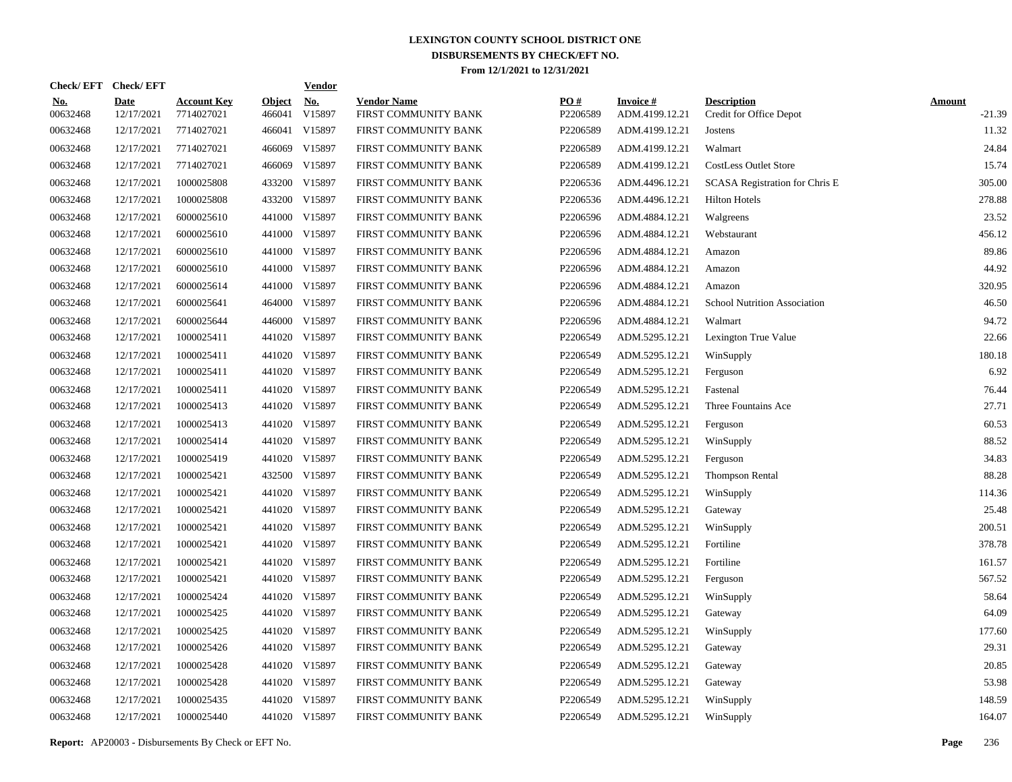| Check/EFT Check/EFT    |                           |                                  |                         | <b>Vendor</b>        |                                            |                 |                                   |                                               |                           |
|------------------------|---------------------------|----------------------------------|-------------------------|----------------------|--------------------------------------------|-----------------|-----------------------------------|-----------------------------------------------|---------------------------|
| <u>No.</u><br>00632468 | <b>Date</b><br>12/17/2021 | <b>Account Key</b><br>7714027021 | <b>Object</b><br>466041 | <u>No.</u><br>V15897 | <b>Vendor Name</b><br>FIRST COMMUNITY BANK | PO#<br>P2206589 | <b>Invoice#</b><br>ADM.4199.12.21 | <b>Description</b><br>Credit for Office Depot | <b>Amount</b><br>$-21.39$ |
| 00632468               | 12/17/2021                | 7714027021                       | 466041                  | V15897               | FIRST COMMUNITY BANK                       | P2206589        | ADM.4199.12.21                    | Jostens                                       | 11.32                     |
| 00632468               | 12/17/2021                | 7714027021                       | 466069                  | V15897               | FIRST COMMUNITY BANK                       | P2206589        | ADM.4199.12.21                    | Walmart                                       | 24.84                     |
| 00632468               | 12/17/2021                | 7714027021                       | 466069                  | V15897               | FIRST COMMUNITY BANK                       | P2206589        | ADM.4199.12.21                    | <b>CostLess Outlet Store</b>                  | 15.74                     |
| 00632468               | 12/17/2021                | 1000025808                       |                         | 433200 V15897        | FIRST COMMUNITY BANK                       | P2206536        | ADM.4496.12.21                    | SCASA Registration for Chris E                | 305.00                    |
| 00632468               | 12/17/2021                | 1000025808                       |                         | 433200 V15897        | FIRST COMMUNITY BANK                       | P2206536        | ADM.4496.12.21                    | <b>Hilton Hotels</b>                          | 278.88                    |
| 00632468               | 12/17/2021                | 6000025610                       |                         | 441000 V15897        | FIRST COMMUNITY BANK                       | P2206596        | ADM.4884.12.21                    | Walgreens                                     | 23.52                     |
| 00632468               | 12/17/2021                | 6000025610                       |                         | 441000 V15897        | FIRST COMMUNITY BANK                       | P2206596        | ADM.4884.12.21                    | Webstaurant                                   | 456.12                    |
| 00632468               | 12/17/2021                | 6000025610                       |                         | 441000 V15897        | FIRST COMMUNITY BANK                       | P2206596        | ADM.4884.12.21                    | Amazon                                        | 89.86                     |
| 00632468               | 12/17/2021                | 6000025610                       |                         | 441000 V15897        | FIRST COMMUNITY BANK                       | P2206596        | ADM.4884.12.21                    | Amazon                                        | 44.92                     |
| 00632468               | 12/17/2021                | 6000025614                       |                         | 441000 V15897        | FIRST COMMUNITY BANK                       | P2206596        | ADM.4884.12.21                    | Amazon                                        | 320.95                    |
| 00632468               | 12/17/2021                | 6000025641                       |                         | 464000 V15897        | FIRST COMMUNITY BANK                       | P2206596        | ADM.4884.12.21                    | School Nutrition Association                  | 46.50                     |
| 00632468               | 12/17/2021                | 6000025644                       |                         | 446000 V15897        | FIRST COMMUNITY BANK                       | P2206596        | ADM.4884.12.21                    | Walmart                                       | 94.72                     |
| 00632468               | 12/17/2021                | 1000025411                       |                         | 441020 V15897        | FIRST COMMUNITY BANK                       | P2206549        | ADM.5295.12.21                    | Lexington True Value                          | 22.66                     |
| 00632468               | 12/17/2021                | 1000025411                       |                         | 441020 V15897        | FIRST COMMUNITY BANK                       | P2206549        | ADM.5295.12.21                    | WinSupply                                     | 180.18                    |
| 00632468               | 12/17/2021                | 1000025411                       |                         | 441020 V15897        | FIRST COMMUNITY BANK                       | P2206549        | ADM.5295.12.21                    | Ferguson                                      | 6.92                      |
| 00632468               | 12/17/2021                | 1000025411                       |                         | 441020 V15897        | FIRST COMMUNITY BANK                       | P2206549        | ADM.5295.12.21                    | Fastenal                                      | 76.44                     |
| 00632468               | 12/17/2021                | 1000025413                       |                         | 441020 V15897        | FIRST COMMUNITY BANK                       | P2206549        | ADM.5295.12.21                    | Three Fountains Ace                           | 27.71                     |
| 00632468               | 12/17/2021                | 1000025413                       |                         | 441020 V15897        | FIRST COMMUNITY BANK                       | P2206549        | ADM.5295.12.21                    | Ferguson                                      | 60.53                     |
| 00632468               | 12/17/2021                | 1000025414                       |                         | 441020 V15897        | FIRST COMMUNITY BANK                       | P2206549        | ADM.5295.12.21                    | WinSupply                                     | 88.52                     |
| 00632468               | 12/17/2021                | 1000025419                       |                         | 441020 V15897        | FIRST COMMUNITY BANK                       | P2206549        | ADM.5295.12.21                    | Ferguson                                      | 34.83                     |
| 00632468               | 12/17/2021                | 1000025421                       |                         | 432500 V15897        | FIRST COMMUNITY BANK                       | P2206549        | ADM.5295.12.21                    | <b>Thompson Rental</b>                        | 88.28                     |
| 00632468               | 12/17/2021                | 1000025421                       |                         | 441020 V15897        | FIRST COMMUNITY BANK                       | P2206549        | ADM.5295.12.21                    | WinSupply                                     | 114.36                    |
| 00632468               | 12/17/2021                | 1000025421                       |                         | 441020 V15897        | FIRST COMMUNITY BANK                       | P2206549        | ADM.5295.12.21                    | Gateway                                       | 25.48                     |
| 00632468               | 12/17/2021                | 1000025421                       |                         | 441020 V15897        | FIRST COMMUNITY BANK                       | P2206549        | ADM.5295.12.21                    | WinSupply                                     | 200.51                    |
| 00632468               | 12/17/2021                | 1000025421                       |                         | 441020 V15897        | FIRST COMMUNITY BANK                       | P2206549        | ADM.5295.12.21                    | Fortiline                                     | 378.78                    |
| 00632468               | 12/17/2021                | 1000025421                       |                         | 441020 V15897        | FIRST COMMUNITY BANK                       | P2206549        | ADM.5295.12.21                    | Fortiline                                     | 161.57                    |
| 00632468               | 12/17/2021                | 1000025421                       |                         | 441020 V15897        | FIRST COMMUNITY BANK                       | P2206549        | ADM.5295.12.21                    | Ferguson                                      | 567.52                    |
| 00632468               | 12/17/2021                | 1000025424                       |                         | 441020 V15897        | FIRST COMMUNITY BANK                       | P2206549        | ADM.5295.12.21                    | WinSupply                                     | 58.64                     |
| 00632468               | 12/17/2021                | 1000025425                       |                         | 441020 V15897        | FIRST COMMUNITY BANK                       | P2206549        | ADM.5295.12.21                    | Gateway                                       | 64.09                     |
| 00632468               | 12/17/2021                | 1000025425                       |                         | 441020 V15897        | FIRST COMMUNITY BANK                       | P2206549        | ADM.5295.12.21                    | WinSupply                                     | 177.60                    |
| 00632468               | 12/17/2021                | 1000025426                       |                         | 441020 V15897        | FIRST COMMUNITY BANK                       | P2206549        | ADM.5295.12.21                    | Gateway                                       | 29.31                     |
| 00632468               | 12/17/2021                | 1000025428                       |                         | 441020 V15897        | FIRST COMMUNITY BANK                       | P2206549        | ADM.5295.12.21                    | Gateway                                       | 20.85                     |
| 00632468               | 12/17/2021                | 1000025428                       |                         | 441020 V15897        | FIRST COMMUNITY BANK                       | P2206549        | ADM.5295.12.21                    | Gateway                                       | 53.98                     |
| 00632468               | 12/17/2021                | 1000025435                       |                         | 441020 V15897        | FIRST COMMUNITY BANK                       | P2206549        | ADM.5295.12.21                    | WinSupply                                     | 148.59                    |
| 00632468               | 12/17/2021                | 1000025440                       |                         | 441020 V15897        | FIRST COMMUNITY BANK                       | P2206549        | ADM.5295.12.21                    | WinSupply                                     | 164.07                    |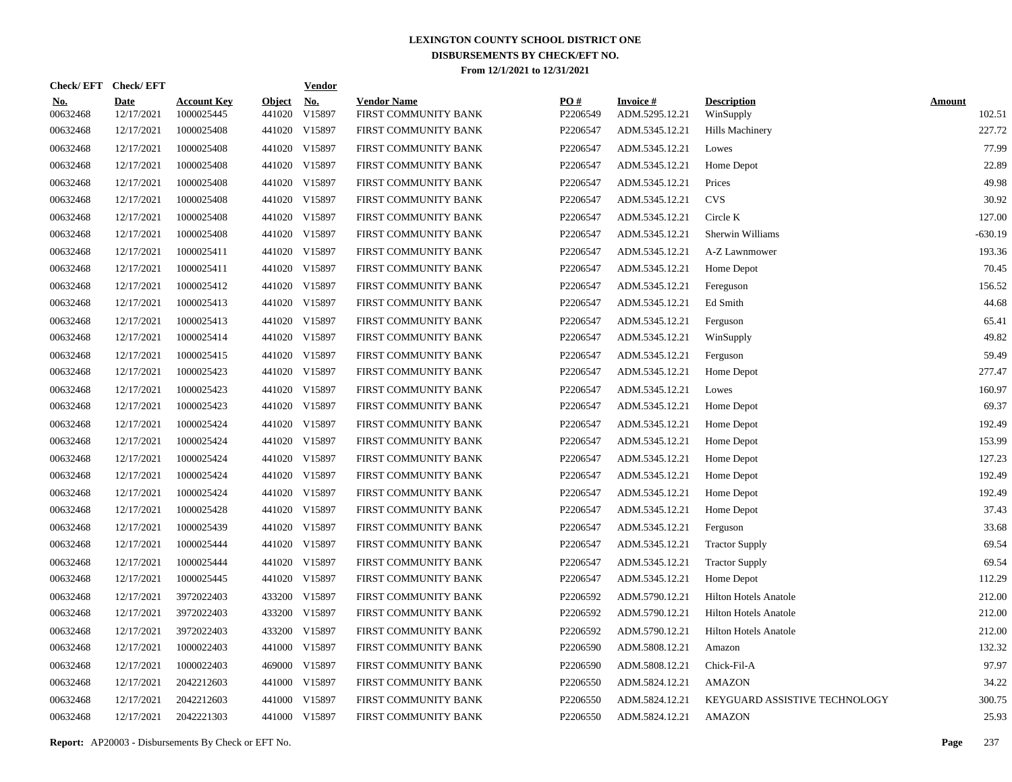|                        | Check/EFT Check/EFT       |                                  |                         | <b>Vendor</b>        |                                            |                 |                                   |                                 |                         |
|------------------------|---------------------------|----------------------------------|-------------------------|----------------------|--------------------------------------------|-----------------|-----------------------------------|---------------------------------|-------------------------|
| <u>No.</u><br>00632468 | <b>Date</b><br>12/17/2021 | <b>Account Key</b><br>1000025445 | <b>Object</b><br>441020 | <b>No.</b><br>V15897 | <b>Vendor Name</b><br>FIRST COMMUNITY BANK | PO#<br>P2206549 | <b>Invoice#</b><br>ADM.5295.12.21 | <b>Description</b><br>WinSupply | <b>Amount</b><br>102.51 |
| 00632468               | 12/17/2021                | 1000025408                       | 441020                  | V15897               | FIRST COMMUNITY BANK                       | P2206547        | ADM.5345.12.21                    | Hills Machinery                 | 227.72                  |
| 00632468               | 12/17/2021                | 1000025408                       | 441020                  | V15897               | FIRST COMMUNITY BANK                       | P2206547        | ADM.5345.12.21                    | Lowes                           | 77.99                   |
| 00632468               | 12/17/2021                | 1000025408                       | 441020                  | V15897               | FIRST COMMUNITY BANK                       | P2206547        | ADM.5345.12.21                    | Home Depot                      | 22.89                   |
| 00632468               | 12/17/2021                | 1000025408                       |                         | 441020 V15897        | FIRST COMMUNITY BANK                       | P2206547        | ADM.5345.12.21                    | Prices                          | 49.98                   |
| 00632468               | 12/17/2021                | 1000025408                       | 441020                  | V15897               | FIRST COMMUNITY BANK                       | P2206547        | ADM.5345.12.21                    | <b>CVS</b>                      | 30.92                   |
| 00632468               | 12/17/2021                | 1000025408                       |                         | 441020 V15897        | FIRST COMMUNITY BANK                       | P2206547        | ADM.5345.12.21                    | Circle K                        | 127.00                  |
| 00632468               | 12/17/2021                | 1000025408                       |                         | 441020 V15897        | FIRST COMMUNITY BANK                       | P2206547        | ADM.5345.12.21                    | Sherwin Williams                | $-630.19$               |
| 00632468               | 12/17/2021                | 1000025411                       |                         | 441020 V15897        | FIRST COMMUNITY BANK                       | P2206547        | ADM.5345.12.21                    | A-Z Lawnmower                   | 193.36                  |
| 00632468               | 12/17/2021                | 1000025411                       |                         | 441020 V15897        | FIRST COMMUNITY BANK                       | P2206547        | ADM.5345.12.21                    | Home Depot                      | 70.45                   |
| 00632468               | 12/17/2021                | 1000025412                       |                         | 441020 V15897        | FIRST COMMUNITY BANK                       | P2206547        | ADM.5345.12.21                    | Fereguson                       | 156.52                  |
| 00632468               | 12/17/2021                | 1000025413                       |                         | 441020 V15897        | FIRST COMMUNITY BANK                       | P2206547        | ADM.5345.12.21                    | Ed Smith                        | 44.68                   |
| 00632468               | 12/17/2021                | 1000025413                       |                         | 441020 V15897        | FIRST COMMUNITY BANK                       | P2206547        | ADM.5345.12.21                    | Ferguson                        | 65.41                   |
| 00632468               | 12/17/2021                | 1000025414                       |                         | 441020 V15897        | FIRST COMMUNITY BANK                       | P2206547        | ADM.5345.12.21                    | WinSupply                       | 49.82                   |
| 00632468               | 12/17/2021                | 1000025415                       |                         | 441020 V15897        | FIRST COMMUNITY BANK                       | P2206547        | ADM.5345.12.21                    | Ferguson                        | 59.49                   |
| 00632468               | 12/17/2021                | 1000025423                       |                         | 441020 V15897        | FIRST COMMUNITY BANK                       | P2206547        | ADM.5345.12.21                    | Home Depot                      | 277.47                  |
| 00632468               | 12/17/2021                | 1000025423                       |                         | 441020 V15897        | FIRST COMMUNITY BANK                       | P2206547        | ADM.5345.12.21                    | Lowes                           | 160.97                  |
| 00632468               | 12/17/2021                | 1000025423                       |                         | 441020 V15897        | FIRST COMMUNITY BANK                       | P2206547        | ADM.5345.12.21                    | Home Depot                      | 69.37                   |
| 00632468               | 12/17/2021                | 1000025424                       |                         | 441020 V15897        | FIRST COMMUNITY BANK                       | P2206547        | ADM.5345.12.21                    | Home Depot                      | 192.49                  |
| 00632468               | 12/17/2021                | 1000025424                       |                         | 441020 V15897        | FIRST COMMUNITY BANK                       | P2206547        | ADM.5345.12.21                    | Home Depot                      | 153.99                  |
| 00632468               | 12/17/2021                | 1000025424                       |                         | 441020 V15897        | FIRST COMMUNITY BANK                       | P2206547        | ADM.5345.12.21                    | Home Depot                      | 127.23                  |
| 00632468               | 12/17/2021                | 1000025424                       |                         | 441020 V15897        | FIRST COMMUNITY BANK                       | P2206547        | ADM.5345.12.21                    | Home Depot                      | 192.49                  |
| 00632468               | 12/17/2021                | 1000025424                       |                         | 441020 V15897        | FIRST COMMUNITY BANK                       | P2206547        | ADM.5345.12.21                    | Home Depot                      | 192.49                  |
| 00632468               | 12/17/2021                | 1000025428                       |                         | 441020 V15897        | FIRST COMMUNITY BANK                       | P2206547        | ADM.5345.12.21                    | Home Depot                      | 37.43                   |
| 00632468               | 12/17/2021                | 1000025439                       |                         | 441020 V15897        | FIRST COMMUNITY BANK                       | P2206547        | ADM.5345.12.21                    | Ferguson                        | 33.68                   |
| 00632468               | 12/17/2021                | 1000025444                       |                         | 441020 V15897        | FIRST COMMUNITY BANK                       | P2206547        | ADM.5345.12.21                    | <b>Tractor Supply</b>           | 69.54                   |
| 00632468               | 12/17/2021                | 1000025444                       |                         | 441020 V15897        | FIRST COMMUNITY BANK                       | P2206547        | ADM.5345.12.21                    | <b>Tractor Supply</b>           | 69.54                   |
| 00632468               | 12/17/2021                | 1000025445                       |                         | 441020 V15897        | FIRST COMMUNITY BANK                       | P2206547        | ADM.5345.12.21                    | Home Depot                      | 112.29                  |
| 00632468               | 12/17/2021                | 3972022403                       |                         | 433200 V15897        | FIRST COMMUNITY BANK                       | P2206592        | ADM.5790.12.21                    | <b>Hilton Hotels Anatole</b>    | 212.00                  |
| 00632468               | 12/17/2021                | 3972022403                       |                         | 433200 V15897        | FIRST COMMUNITY BANK                       | P2206592        | ADM.5790.12.21                    | <b>Hilton Hotels Anatole</b>    | 212.00                  |
| 00632468               | 12/17/2021                | 3972022403                       |                         | 433200 V15897        | FIRST COMMUNITY BANK                       | P2206592        | ADM.5790.12.21                    | <b>Hilton Hotels Anatole</b>    | 212.00                  |
| 00632468               | 12/17/2021                | 1000022403                       |                         | 441000 V15897        | FIRST COMMUNITY BANK                       | P2206590        | ADM.5808.12.21                    | Amazon                          | 132.32                  |
| 00632468               | 12/17/2021                | 1000022403                       |                         | 469000 V15897        | FIRST COMMUNITY BANK                       | P2206590        | ADM.5808.12.21                    | Chick-Fil-A                     | 97.97                   |
| 00632468               | 12/17/2021                | 2042212603                       |                         | 441000 V15897        | FIRST COMMUNITY BANK                       | P2206550        | ADM.5824.12.21                    | <b>AMAZON</b>                   | 34.22                   |
| 00632468               | 12/17/2021                | 2042212603                       | 441000                  | V15897               | FIRST COMMUNITY BANK                       | P2206550        | ADM.5824.12.21                    | KEYGUARD ASSISTIVE TECHNOLOGY   | 300.75                  |
| 00632468               | 12/17/2021                | 2042221303                       |                         | 441000 V15897        | FIRST COMMUNITY BANK                       | P2206550        | ADM.5824.12.21                    | <b>AMAZON</b>                   | 25.93                   |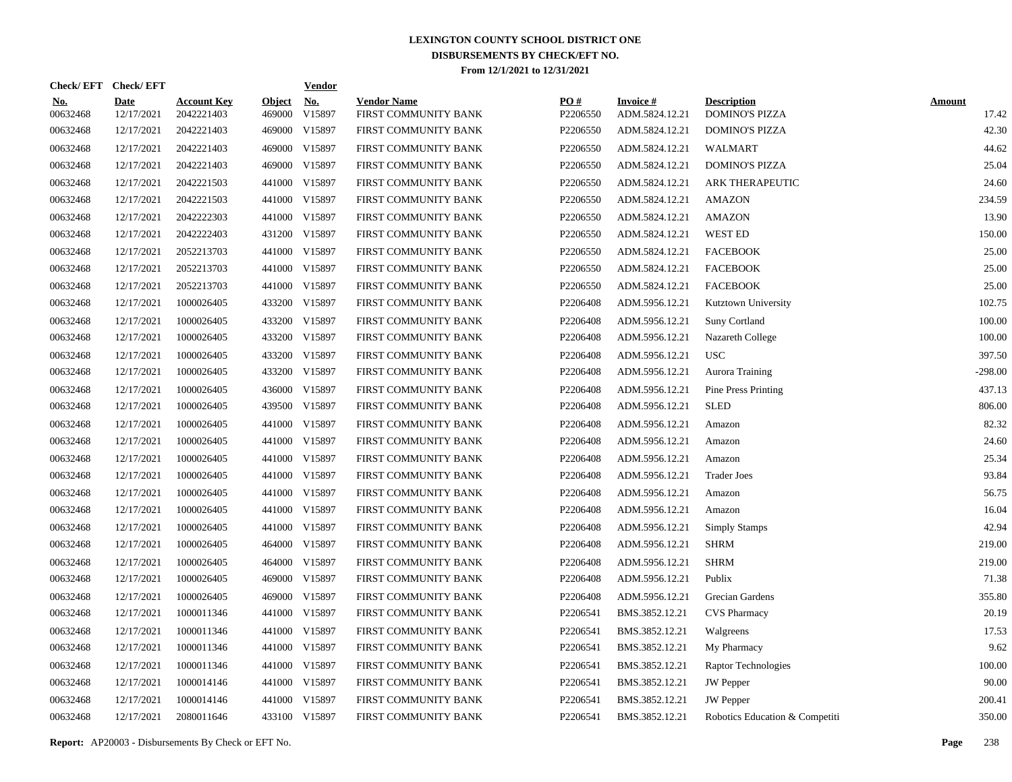|                        | Check/EFT Check/EFT       |                                  |                         | <b>Vendor</b> |                                            |                 |                                   |                                             |                        |
|------------------------|---------------------------|----------------------------------|-------------------------|---------------|--------------------------------------------|-----------------|-----------------------------------|---------------------------------------------|------------------------|
| <u>No.</u><br>00632468 | <b>Date</b><br>12/17/2021 | <b>Account Key</b><br>2042221403 | <b>Object</b><br>469000 | No.<br>V15897 | <b>Vendor Name</b><br>FIRST COMMUNITY BANK | PO#<br>P2206550 | <b>Invoice#</b><br>ADM.5824.12.21 | <b>Description</b><br><b>DOMINO'S PIZZA</b> | <b>Amount</b><br>17.42 |
| 00632468               | 12/17/2021                | 2042221403                       | 469000                  | V15897        | FIRST COMMUNITY BANK                       | P2206550        | ADM.5824.12.21                    | <b>DOMINO'S PIZZA</b>                       | 42.30                  |
| 00632468               | 12/17/2021                | 2042221403                       | 469000                  | V15897        | FIRST COMMUNITY BANK                       | P2206550        | ADM.5824.12.21                    | <b>WALMART</b>                              | 44.62                  |
| 00632468               | 12/17/2021                | 2042221403                       | 469000                  | V15897        | FIRST COMMUNITY BANK                       | P2206550        | ADM.5824.12.21                    | <b>DOMINO'S PIZZA</b>                       | 25.04                  |
| 00632468               | 12/17/2021                | 2042221503                       |                         | 441000 V15897 | FIRST COMMUNITY BANK                       | P2206550        | ADM.5824.12.21                    | <b>ARK THERAPEUTIC</b>                      | 24.60                  |
| 00632468               | 12/17/2021                | 2042221503                       | 441000                  | V15897        | FIRST COMMUNITY BANK                       | P2206550        | ADM.5824.12.21                    | <b>AMAZON</b>                               | 234.59                 |
| 00632468               | 12/17/2021                | 2042222303                       |                         | 441000 V15897 | FIRST COMMUNITY BANK                       | P2206550        | ADM.5824.12.21                    | <b>AMAZON</b>                               | 13.90                  |
| 00632468               | 12/17/2021                | 2042222403                       |                         | 431200 V15897 | FIRST COMMUNITY BANK                       | P2206550        | ADM.5824.12.21                    | <b>WEST ED</b>                              | 150.00                 |
| 00632468               | 12/17/2021                | 2052213703                       |                         | 441000 V15897 | FIRST COMMUNITY BANK                       | P2206550        | ADM.5824.12.21                    | <b>FACEBOOK</b>                             | 25.00                  |
| 00632468               | 12/17/2021                | 2052213703                       |                         | 441000 V15897 | FIRST COMMUNITY BANK                       | P2206550        | ADM.5824.12.21                    | <b>FACEBOOK</b>                             | 25.00                  |
| 00632468               | 12/17/2021                | 2052213703                       |                         | 441000 V15897 | FIRST COMMUNITY BANK                       | P2206550        | ADM.5824.12.21                    | <b>FACEBOOK</b>                             | 25.00                  |
| 00632468               | 12/17/2021                | 1000026405                       |                         | 433200 V15897 | FIRST COMMUNITY BANK                       | P2206408        | ADM.5956.12.21                    | Kutztown University                         | 102.75                 |
| 00632468               | 12/17/2021                | 1000026405                       |                         | 433200 V15897 | FIRST COMMUNITY BANK                       | P2206408        | ADM.5956.12.21                    | <b>Suny Cortland</b>                        | 100.00                 |
| 00632468               | 12/17/2021                | 1000026405                       |                         | 433200 V15897 | FIRST COMMUNITY BANK                       | P2206408        | ADM.5956.12.21                    | Nazareth College                            | 100.00                 |
| 00632468               | 12/17/2021                | 1000026405                       |                         | 433200 V15897 | FIRST COMMUNITY BANK                       | P2206408        | ADM.5956.12.21                    | <b>USC</b>                                  | 397.50                 |
| 00632468               | 12/17/2021                | 1000026405                       |                         | 433200 V15897 | FIRST COMMUNITY BANK                       | P2206408        | ADM.5956.12.21                    | Aurora Training                             | $-298.00$              |
| 00632468               | 12/17/2021                | 1000026405                       |                         | 436000 V15897 | FIRST COMMUNITY BANK                       | P2206408        | ADM.5956.12.21                    | Pine Press Printing                         | 437.13                 |
| 00632468               | 12/17/2021                | 1000026405                       |                         | 439500 V15897 | FIRST COMMUNITY BANK                       | P2206408        | ADM.5956.12.21                    | <b>SLED</b>                                 | 806.00                 |
| 00632468               | 12/17/2021                | 1000026405                       |                         | 441000 V15897 | FIRST COMMUNITY BANK                       | P2206408        | ADM.5956.12.21                    | Amazon                                      | 82.32                  |
| 00632468               | 12/17/2021                | 1000026405                       |                         | 441000 V15897 | FIRST COMMUNITY BANK                       | P2206408        | ADM.5956.12.21                    | Amazon                                      | 24.60                  |
| 00632468               | 12/17/2021                | 1000026405                       |                         | 441000 V15897 | FIRST COMMUNITY BANK                       | P2206408        | ADM.5956.12.21                    | Amazon                                      | 25.34                  |
| 00632468               | 12/17/2021                | 1000026405                       |                         | 441000 V15897 | FIRST COMMUNITY BANK                       | P2206408        | ADM.5956.12.21                    | <b>Trader Joes</b>                          | 93.84                  |
| 00632468               | 12/17/2021                | 1000026405                       |                         | 441000 V15897 | FIRST COMMUNITY BANK                       | P2206408        | ADM.5956.12.21                    | Amazon                                      | 56.75                  |
| 00632468               | 12/17/2021                | 1000026405                       |                         | 441000 V15897 | FIRST COMMUNITY BANK                       | P2206408        | ADM.5956.12.21                    | Amazon                                      | 16.04                  |
| 00632468               | 12/17/2021                | 1000026405                       |                         | 441000 V15897 | FIRST COMMUNITY BANK                       | P2206408        | ADM.5956.12.21                    | <b>Simply Stamps</b>                        | 42.94                  |
| 00632468               | 12/17/2021                | 1000026405                       |                         | 464000 V15897 | FIRST COMMUNITY BANK                       | P2206408        | ADM.5956.12.21                    | <b>SHRM</b>                                 | 219.00                 |
| 00632468               | 12/17/2021                | 1000026405                       |                         | 464000 V15897 | FIRST COMMUNITY BANK                       | P2206408        | ADM.5956.12.21                    | <b>SHRM</b>                                 | 219.00                 |
| 00632468               | 12/17/2021                | 1000026405                       |                         | 469000 V15897 | FIRST COMMUNITY BANK                       | P2206408        | ADM.5956.12.21                    | Publix                                      | 71.38                  |
| 00632468               | 12/17/2021                | 1000026405                       | 469000                  | V15897        | FIRST COMMUNITY BANK                       | P2206408        | ADM.5956.12.21                    | Grecian Gardens                             | 355.80                 |
| 00632468               | 12/17/2021                | 1000011346                       | 441000                  | V15897        | FIRST COMMUNITY BANK                       | P2206541        | BMS.3852.12.21                    | <b>CVS Pharmacy</b>                         | 20.19                  |
| 00632468               | 12/17/2021                | 1000011346                       | 441000                  | V15897        | FIRST COMMUNITY BANK                       | P2206541        | BMS.3852.12.21                    | Walgreens                                   | 17.53                  |
| 00632468               | 12/17/2021                | 1000011346                       |                         | 441000 V15897 | FIRST COMMUNITY BANK                       | P2206541        | BMS.3852.12.21                    | My Pharmacy                                 | 9.62                   |
| 00632468               | 12/17/2021                | 1000011346                       |                         | 441000 V15897 | FIRST COMMUNITY BANK                       | P2206541        | BMS.3852.12.21                    | Raptor Technologies                         | 100.00                 |
| 00632468               | 12/17/2021                | 1000014146                       |                         | 441000 V15897 | FIRST COMMUNITY BANK                       | P2206541        | BMS.3852.12.21                    | <b>JW</b> Pepper                            | 90.00                  |
| 00632468               | 12/17/2021                | 1000014146                       |                         | 441000 V15897 | FIRST COMMUNITY BANK                       | P2206541        | BMS.3852.12.21                    | <b>JW</b> Pepper                            | 200.41                 |
| 00632468               | 12/17/2021                | 2080011646                       |                         | 433100 V15897 | FIRST COMMUNITY BANK                       | P2206541        | BMS.3852.12.21                    | Robotics Education & Competiti              | 350.00                 |

**Report:** AP20003 - Disbursements By Check or EFT No. **Page** 238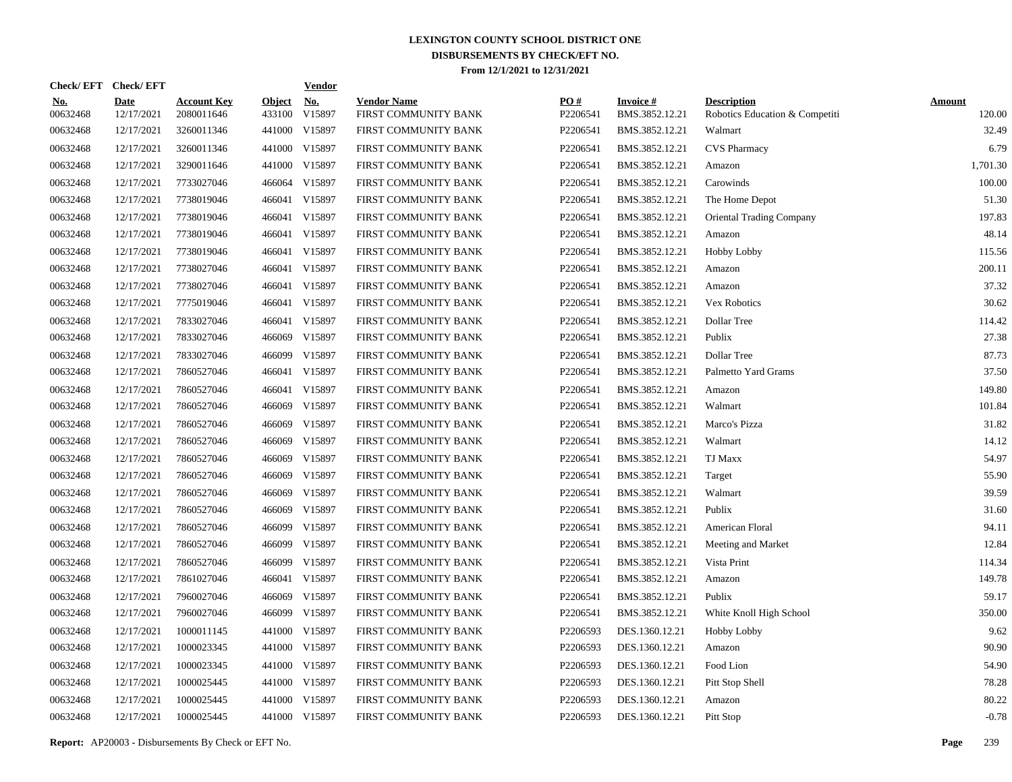|                        | Check/EFT Check/EFT       |                                  |                         | <b>Vendor</b>        |                                            |                 |                                   |                                                      |                         |
|------------------------|---------------------------|----------------------------------|-------------------------|----------------------|--------------------------------------------|-----------------|-----------------------------------|------------------------------------------------------|-------------------------|
| <u>No.</u><br>00632468 | <b>Date</b><br>12/17/2021 | <b>Account Key</b><br>2080011646 | <b>Object</b><br>433100 | <b>No.</b><br>V15897 | <b>Vendor Name</b><br>FIRST COMMUNITY BANK | PO#<br>P2206541 | <b>Invoice#</b><br>BMS.3852.12.21 | <b>Description</b><br>Robotics Education & Competiti | <b>Amount</b><br>120.00 |
| 00632468               | 12/17/2021                | 3260011346                       |                         | 441000 V15897        | FIRST COMMUNITY BANK                       | P2206541        | BMS.3852.12.21                    | Walmart                                              | 32.49                   |
| 00632468               | 12/17/2021                | 3260011346                       |                         | 441000 V15897        | FIRST COMMUNITY BANK                       | P2206541        | BMS.3852.12.21                    | CVS Pharmacy                                         | 6.79                    |
| 00632468               | 12/17/2021                | 3290011646                       |                         | 441000 V15897        | FIRST COMMUNITY BANK                       | P2206541        | BMS.3852.12.21                    | Amazon                                               | 1,701.30                |
| 00632468               | 12/17/2021                | 7733027046                       |                         | 466064 V15897        | FIRST COMMUNITY BANK                       | P2206541        | BMS.3852.12.21                    | Carowinds                                            | 100.00                  |
| 00632468               | 12/17/2021                | 7738019046                       |                         | 466041 V15897        | FIRST COMMUNITY BANK                       | P2206541        | BMS.3852.12.21                    | The Home Depot                                       | 51.30                   |
| 00632468               | 12/17/2021                | 7738019046                       |                         | 466041 V15897        | FIRST COMMUNITY BANK                       | P2206541        | BMS.3852.12.21                    | <b>Oriental Trading Company</b>                      | 197.83                  |
| 00632468               | 12/17/2021                | 7738019046                       |                         | 466041 V15897        | FIRST COMMUNITY BANK                       | P2206541        | BMS.3852.12.21                    | Amazon                                               | 48.14                   |
| 00632468               | 12/17/2021                | 7738019046                       |                         | 466041 V15897        | FIRST COMMUNITY BANK                       | P2206541        | BMS.3852.12.21                    | <b>Hobby Lobby</b>                                   | 115.56                  |
| 00632468               | 12/17/2021                | 7738027046                       |                         | 466041 V15897        | FIRST COMMUNITY BANK                       | P2206541        | BMS.3852.12.21                    | Amazon                                               | 200.11                  |
| 00632468               | 12/17/2021                | 7738027046                       |                         | 466041 V15897        | FIRST COMMUNITY BANK                       | P2206541        | BMS.3852.12.21                    | Amazon                                               | 37.32                   |
| 00632468               | 12/17/2021                | 7775019046                       |                         | 466041 V15897        | FIRST COMMUNITY BANK                       | P2206541        | BMS.3852.12.21                    | Vex Robotics                                         | 30.62                   |
| 00632468               | 12/17/2021                | 7833027046                       |                         | 466041 V15897        | FIRST COMMUNITY BANK                       | P2206541        | BMS.3852.12.21                    | Dollar Tree                                          | 114.42                  |
| 00632468               | 12/17/2021                | 7833027046                       |                         | 466069 V15897        | FIRST COMMUNITY BANK                       | P2206541        | BMS.3852.12.21                    | Publix                                               | 27.38                   |
| 00632468               | 12/17/2021                | 7833027046                       |                         | 466099 V15897        | FIRST COMMUNITY BANK                       | P2206541        | BMS.3852.12.21                    | Dollar Tree                                          | 87.73                   |
| 00632468               | 12/17/2021                | 7860527046                       |                         | 466041 V15897        | FIRST COMMUNITY BANK                       | P2206541        | BMS.3852.12.21                    | Palmetto Yard Grams                                  | 37.50                   |
| 00632468               | 12/17/2021                | 7860527046                       |                         | 466041 V15897        | FIRST COMMUNITY BANK                       | P2206541        | BMS.3852.12.21                    | Amazon                                               | 149.80                  |
| 00632468               | 12/17/2021                | 7860527046                       |                         | 466069 V15897        | FIRST COMMUNITY BANK                       | P2206541        | BMS.3852.12.21                    | Walmart                                              | 101.84                  |
| 00632468               | 12/17/2021                | 7860527046                       | 466069                  | V15897               | FIRST COMMUNITY BANK                       | P2206541        | BMS.3852.12.21                    | Marco's Pizza                                        | 31.82                   |
| 00632468               | 12/17/2021                | 7860527046                       |                         | 466069 V15897        | FIRST COMMUNITY BANK                       | P2206541        | BMS.3852.12.21                    | Walmart                                              | 14.12                   |
| 00632468               | 12/17/2021                | 7860527046                       | 466069                  | V15897               | FIRST COMMUNITY BANK                       | P2206541        | BMS.3852.12.21                    | <b>TJ Maxx</b>                                       | 54.97                   |
| 00632468               | 12/17/2021                | 7860527046                       | 466069                  | V15897               | FIRST COMMUNITY BANK                       | P2206541        | BMS.3852.12.21                    | Target                                               | 55.90                   |
| 00632468               | 12/17/2021                | 7860527046                       | 466069                  | V15897               | FIRST COMMUNITY BANK                       | P2206541        | BMS.3852.12.21                    | Walmart                                              | 39.59                   |
| 00632468               | 12/17/2021                | 7860527046                       | 466069                  | V15897               | FIRST COMMUNITY BANK                       | P2206541        | BMS.3852.12.21                    | Publix                                               | 31.60                   |
| 00632468               | 12/17/2021                | 7860527046                       | 466099                  | V15897               | FIRST COMMUNITY BANK                       | P2206541        | BMS.3852.12.21                    | American Floral                                      | 94.11                   |
| 00632468               | 12/17/2021                | 7860527046                       | 466099                  | V15897               | FIRST COMMUNITY BANK                       | P2206541        | BMS.3852.12.21                    | Meeting and Market                                   | 12.84                   |
| 00632468               | 12/17/2021                | 7860527046                       |                         | 466099 V15897        | FIRST COMMUNITY BANK                       | P2206541        | BMS.3852.12.21                    | Vista Print                                          | 114.34                  |
| 00632468               | 12/17/2021                | 7861027046                       |                         | 466041 V15897        | FIRST COMMUNITY BANK                       | P2206541        | BMS.3852.12.21                    | Amazon                                               | 149.78                  |
| 00632468               | 12/17/2021                | 7960027046                       |                         | 466069 V15897        | FIRST COMMUNITY BANK                       | P2206541        | BMS.3852.12.21                    | Publix                                               | 59.17                   |
| 00632468               | 12/17/2021                | 7960027046                       |                         | 466099 V15897        | FIRST COMMUNITY BANK                       | P2206541        | BMS.3852.12.21                    | White Knoll High School                              | 350.00                  |
| 00632468               | 12/17/2021                | 1000011145                       |                         | 441000 V15897        | FIRST COMMUNITY BANK                       | P2206593        | DES.1360.12.21                    | <b>Hobby Lobby</b>                                   | 9.62                    |
| 00632468               | 12/17/2021                | 1000023345                       |                         | 441000 V15897        | FIRST COMMUNITY BANK                       | P2206593        | DES.1360.12.21                    | Amazon                                               | 90.90                   |
| 00632468               | 12/17/2021                | 1000023345                       |                         | 441000 V15897        | FIRST COMMUNITY BANK                       | P2206593        | DES.1360.12.21                    | Food Lion                                            | 54.90                   |
| 00632468               | 12/17/2021                | 1000025445                       |                         | 441000 V15897        | FIRST COMMUNITY BANK                       | P2206593        | DES.1360.12.21                    | Pitt Stop Shell                                      | 78.28                   |
| 00632468               | 12/17/2021                | 1000025445                       |                         | 441000 V15897        | FIRST COMMUNITY BANK                       | P2206593        | DES.1360.12.21                    | Amazon                                               | 80.22                   |
| 00632468               | 12/17/2021                | 1000025445                       |                         | 441000 V15897        | FIRST COMMUNITY BANK                       | P2206593        | DES.1360.12.21                    | Pitt Stop                                            | $-0.78$                 |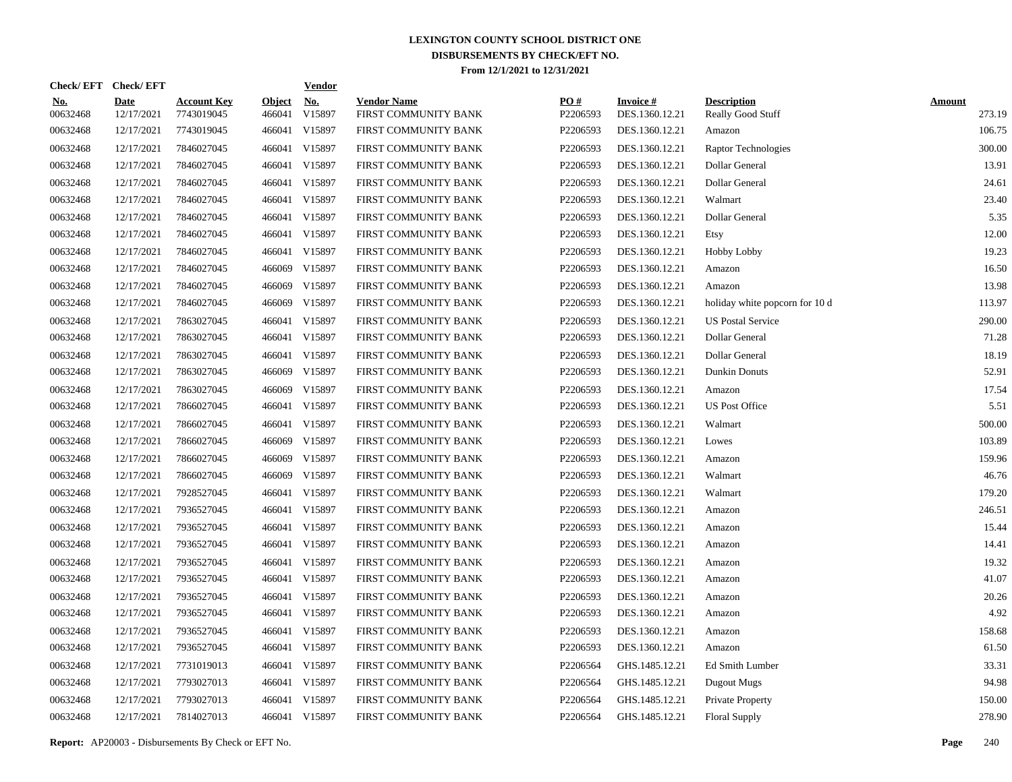| Check/EFT Check/EFT    |                           |                                  |                         | <b>Vendor</b>        |                                            |                 |                                   |                                         |                         |
|------------------------|---------------------------|----------------------------------|-------------------------|----------------------|--------------------------------------------|-----------------|-----------------------------------|-----------------------------------------|-------------------------|
| <u>No.</u><br>00632468 | <b>Date</b><br>12/17/2021 | <b>Account Key</b><br>7743019045 | <b>Object</b><br>466041 | <b>No.</b><br>V15897 | <b>Vendor Name</b><br>FIRST COMMUNITY BANK | PO#<br>P2206593 | <b>Invoice#</b><br>DES.1360.12.21 | <b>Description</b><br>Really Good Stuff | <b>Amount</b><br>273.19 |
| 00632468               | 12/17/2021                | 7743019045                       | 466041                  | V15897               | FIRST COMMUNITY BANK                       | P2206593        | DES.1360.12.21                    | Amazon                                  | 106.75                  |
| 00632468               | 12/17/2021                | 7846027045                       |                         | 466041 V15897        | FIRST COMMUNITY BANK                       | P2206593        | DES.1360.12.21                    | Raptor Technologies                     | 300.00                  |
| 00632468               | 12/17/2021                | 7846027045                       |                         | 466041 V15897        | FIRST COMMUNITY BANK                       | P2206593        | DES.1360.12.21                    | Dollar General                          | 13.91                   |
| 00632468               | 12/17/2021                | 7846027045                       |                         | 466041 V15897        | FIRST COMMUNITY BANK                       | P2206593        | DES.1360.12.21                    | Dollar General                          | 24.61                   |
| 00632468               | 12/17/2021                | 7846027045                       |                         | 466041 V15897        | FIRST COMMUNITY BANK                       | P2206593        | DES.1360.12.21                    | Walmart                                 | 23.40                   |
| 00632468               | 12/17/2021                | 7846027045                       |                         | 466041 V15897        | FIRST COMMUNITY BANK                       | P2206593        | DES.1360.12.21                    | Dollar General                          | 5.35                    |
| 00632468               | 12/17/2021                | 7846027045                       |                         | 466041 V15897        | FIRST COMMUNITY BANK                       | P2206593        | DES.1360.12.21                    | Etsy                                    | 12.00                   |
| 00632468               | 12/17/2021                | 7846027045                       |                         | 466041 V15897        | FIRST COMMUNITY BANK                       | P2206593        | DES.1360.12.21                    | <b>Hobby Lobby</b>                      | 19.23                   |
| 00632468               | 12/17/2021                | 7846027045                       |                         | 466069 V15897        | FIRST COMMUNITY BANK                       | P2206593        | DES.1360.12.21                    | Amazon                                  | 16.50                   |
| 00632468               | 12/17/2021                | 7846027045                       |                         | 466069 V15897        | FIRST COMMUNITY BANK                       | P2206593        | DES.1360.12.21                    | Amazon                                  | 13.98                   |
| 00632468               | 12/17/2021                | 7846027045                       |                         | 466069 V15897        | FIRST COMMUNITY BANK                       | P2206593        | DES.1360.12.21                    | holiday white popcorn for 10 d          | 113.97                  |
| 00632468               | 12/17/2021                | 7863027045                       |                         | 466041 V15897        | FIRST COMMUNITY BANK                       | P2206593        | DES.1360.12.21                    | <b>US Postal Service</b>                | 290.00                  |
| 00632468               | 12/17/2021                | 7863027045                       |                         | 466041 V15897        | FIRST COMMUNITY BANK                       | P2206593        | DES.1360.12.21                    | Dollar General                          | 71.28                   |
| 00632468               | 12/17/2021                | 7863027045                       |                         | 466041 V15897        | FIRST COMMUNITY BANK                       | P2206593        | DES.1360.12.21                    | Dollar General                          | 18.19                   |
| 00632468               | 12/17/2021                | 7863027045                       |                         | 466069 V15897        | FIRST COMMUNITY BANK                       | P2206593        | DES.1360.12.21                    | <b>Dunkin Donuts</b>                    | 52.91                   |
| 00632468               | 12/17/2021                | 7863027045                       |                         | 466069 V15897        | FIRST COMMUNITY BANK                       | P2206593        | DES.1360.12.21                    | Amazon                                  | 17.54                   |
| 00632468               | 12/17/2021                | 7866027045                       |                         | 466041 V15897        | FIRST COMMUNITY BANK                       | P2206593        | DES.1360.12.21                    | <b>US Post Office</b>                   | 5.51                    |
| 00632468               | 12/17/2021                | 7866027045                       |                         | 466041 V15897        | FIRST COMMUNITY BANK                       | P2206593        | DES.1360.12.21                    | Walmart                                 | 500.00                  |
| 00632468               | 12/17/2021                | 7866027045                       |                         | 466069 V15897        | FIRST COMMUNITY BANK                       | P2206593        | DES.1360.12.21                    | Lowes                                   | 103.89                  |
| 00632468               | 12/17/2021                | 7866027045                       | 466069                  | V15897               | FIRST COMMUNITY BANK                       | P2206593        | DES.1360.12.21                    | Amazon                                  | 159.96                  |
| 00632468               | 12/17/2021                | 7866027045                       |                         | 466069 V15897        | FIRST COMMUNITY BANK                       | P2206593        | DES.1360.12.21                    | Walmart                                 | 46.76                   |
| 00632468               | 12/17/2021                | 7928527045                       |                         | 466041 V15897        | FIRST COMMUNITY BANK                       | P2206593        | DES.1360.12.21                    | Walmart                                 | 179.20                  |
| 00632468               | 12/17/2021                | 7936527045                       |                         | 466041 V15897        | FIRST COMMUNITY BANK                       | P2206593        | DES.1360.12.21                    | Amazon                                  | 246.51                  |
| 00632468               | 12/17/2021                | 7936527045                       |                         | 466041 V15897        | FIRST COMMUNITY BANK                       | P2206593        | DES.1360.12.21                    | Amazon                                  | 15.44                   |
| 00632468               | 12/17/2021                | 7936527045                       |                         | 466041 V15897        | FIRST COMMUNITY BANK                       | P2206593        | DES.1360.12.21                    | Amazon                                  | 14.41                   |
| 00632468               | 12/17/2021                | 7936527045                       |                         | 466041 V15897        | FIRST COMMUNITY BANK                       | P2206593        | DES.1360.12.21                    | Amazon                                  | 19.32                   |
| 00632468               | 12/17/2021                | 7936527045                       |                         | 466041 V15897        | FIRST COMMUNITY BANK                       | P2206593        | DES.1360.12.21                    | Amazon                                  | 41.07                   |
| 00632468               | 12/17/2021                | 7936527045                       |                         | 466041 V15897        | FIRST COMMUNITY BANK                       | P2206593        | DES.1360.12.21                    | Amazon                                  | 20.26                   |
| 00632468               | 12/17/2021                | 7936527045                       |                         | 466041 V15897        | FIRST COMMUNITY BANK                       | P2206593        | DES.1360.12.21                    | Amazon                                  | 4.92                    |
| 00632468               | 12/17/2021                | 7936527045                       |                         | 466041 V15897        | FIRST COMMUNITY BANK                       | P2206593        | DES.1360.12.21                    | Amazon                                  | 158.68                  |
| 00632468               | 12/17/2021                | 7936527045                       |                         | 466041 V15897        | FIRST COMMUNITY BANK                       | P2206593        | DES.1360.12.21                    | Amazon                                  | 61.50                   |
| 00632468               | 12/17/2021                | 7731019013                       |                         | 466041 V15897        | FIRST COMMUNITY BANK                       | P2206564        | GHS.1485.12.21                    | Ed Smith Lumber                         | 33.31                   |
| 00632468               | 12/17/2021                | 7793027013                       |                         | 466041 V15897        | FIRST COMMUNITY BANK                       | P2206564        | GHS.1485.12.21                    | Dugout Mugs                             | 94.98                   |
| 00632468               | 12/17/2021                | 7793027013                       |                         | 466041 V15897        | FIRST COMMUNITY BANK                       | P2206564        | GHS.1485.12.21                    | Private Property                        | 150.00                  |
| 00632468               | 12/17/2021                | 7814027013                       |                         | 466041 V15897        | FIRST COMMUNITY BANK                       | P2206564        | GHS.1485.12.21                    | <b>Floral Supply</b>                    | 278.90                  |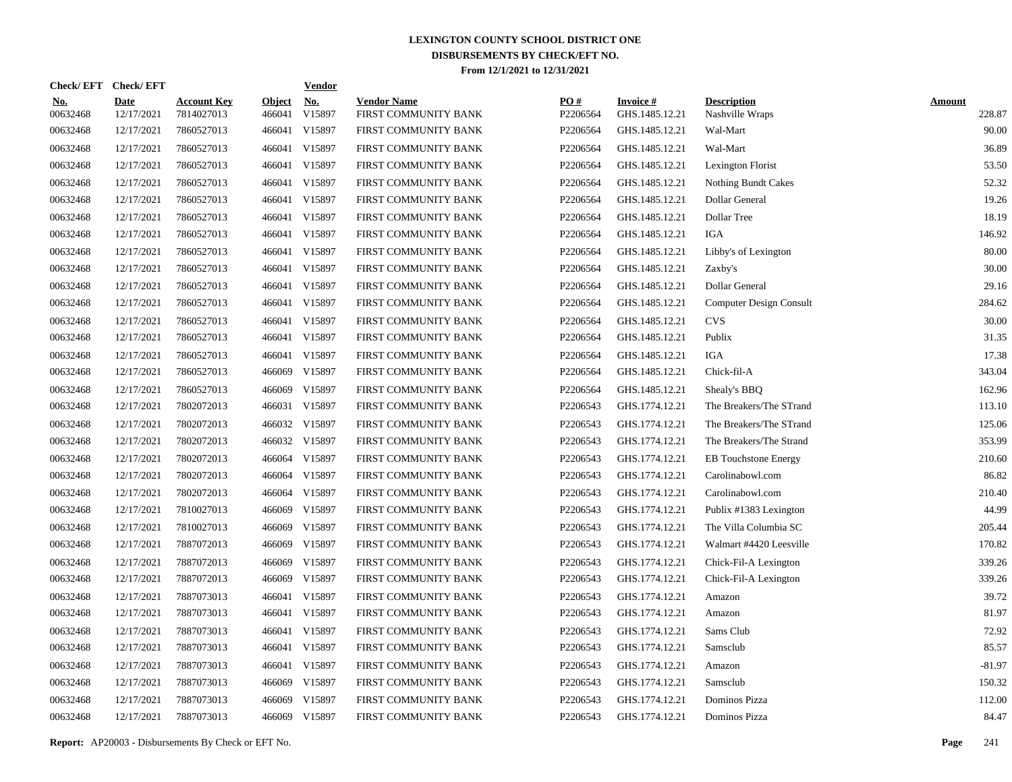|                        | Check/EFT Check/EFT       |                                  |                         | <b>Vendor</b> |                                            |                 |                                   |                                       |                         |
|------------------------|---------------------------|----------------------------------|-------------------------|---------------|--------------------------------------------|-----------------|-----------------------------------|---------------------------------------|-------------------------|
| <u>No.</u><br>00632468 | <b>Date</b><br>12/17/2021 | <b>Account Key</b><br>7814027013 | <b>Object</b><br>466041 | No.<br>V15897 | <b>Vendor Name</b><br>FIRST COMMUNITY BANK | PO#<br>P2206564 | <b>Invoice#</b><br>GHS.1485.12.21 | <b>Description</b><br>Nashville Wraps | <b>Amount</b><br>228.87 |
| 00632468               | 12/17/2021                | 7860527013                       | 466041                  | V15897        | FIRST COMMUNITY BANK                       | P2206564        | GHS.1485.12.21                    | Wal-Mart                              | 90.00                   |
| 00632468               | 12/17/2021                | 7860527013                       | 466041                  | V15897        | FIRST COMMUNITY BANK                       | P2206564        | GHS.1485.12.21                    | Wal-Mart                              | 36.89                   |
| 00632468               | 12/17/2021                | 7860527013                       | 466041                  | V15897        | FIRST COMMUNITY BANK                       | P2206564        | GHS.1485.12.21                    | Lexington Florist                     | 53.50                   |
| 00632468               | 12/17/2021                | 7860527013                       | 466041                  | V15897        | FIRST COMMUNITY BANK                       | P2206564        | GHS.1485.12.21                    | <b>Nothing Bundt Cakes</b>            | 52.32                   |
| 00632468               | 12/17/2021                | 7860527013                       | 466041                  | V15897        | FIRST COMMUNITY BANK                       | P2206564        | GHS.1485.12.21                    | Dollar General                        | 19.26                   |
| 00632468               | 12/17/2021                | 7860527013                       | 466041                  | V15897        | FIRST COMMUNITY BANK                       | P2206564        | GHS.1485.12.21                    | Dollar Tree                           | 18.19                   |
| 00632468               | 12/17/2021                | 7860527013                       | 466041                  | V15897        | FIRST COMMUNITY BANK                       | P2206564        | GHS.1485.12.21                    | IGA                                   | 146.92                  |
| 00632468               | 12/17/2021                | 7860527013                       | 466041                  | V15897        | FIRST COMMUNITY BANK                       | P2206564        | GHS.1485.12.21                    | Libby's of Lexington                  | 80.00                   |
| 00632468               | 12/17/2021                | 7860527013                       | 466041                  | V15897        | FIRST COMMUNITY BANK                       | P2206564        | GHS.1485.12.21                    | Zaxby's                               | 30.00                   |
| 00632468               | 12/17/2021                | 7860527013                       | 466041                  | V15897        | FIRST COMMUNITY BANK                       | P2206564        | GHS.1485.12.21                    | Dollar General                        | 29.16                   |
| 00632468               | 12/17/2021                | 7860527013                       | 466041                  | V15897        | FIRST COMMUNITY BANK                       | P2206564        | GHS.1485.12.21                    | <b>Computer Design Consult</b>        | 284.62                  |
| 00632468               | 12/17/2021                | 7860527013                       | 466041                  | V15897        | FIRST COMMUNITY BANK                       | P2206564        | GHS.1485.12.21                    | <b>CVS</b>                            | 30.00                   |
| 00632468               | 12/17/2021                | 7860527013                       | 466041                  | V15897        | FIRST COMMUNITY BANK                       | P2206564        | GHS.1485.12.21                    | Publix                                | 31.35                   |
| 00632468               | 12/17/2021                | 7860527013                       | 466041                  | V15897        | FIRST COMMUNITY BANK                       | P2206564        | GHS.1485.12.21                    | IGA                                   | 17.38                   |
| 00632468               | 12/17/2021                | 7860527013                       | 466069                  | V15897        | FIRST COMMUNITY BANK                       | P2206564        | GHS.1485.12.21                    | Chick-fil-A                           | 343.04                  |
| 00632468               | 12/17/2021                | 7860527013                       | 466069                  | V15897        | FIRST COMMUNITY BANK                       | P2206564        | GHS.1485.12.21                    | Shealy's BBQ                          | 162.96                  |
| 00632468               | 12/17/2021                | 7802072013                       | 466031                  | V15897        | FIRST COMMUNITY BANK                       | P2206543        | GHS.1774.12.21                    | The Breakers/The STrand               | 113.10                  |
| 00632468               | 12/17/2021                | 7802072013                       |                         | 466032 V15897 | FIRST COMMUNITY BANK                       | P2206543        | GHS.1774.12.21                    | The Breakers/The STrand               | 125.06                  |
| 00632468               | 12/17/2021                | 7802072013                       |                         | 466032 V15897 | FIRST COMMUNITY BANK                       | P2206543        | GHS.1774.12.21                    | The Breakers/The Strand               | 353.99                  |
| 00632468               | 12/17/2021                | 7802072013                       | 466064                  | V15897        | FIRST COMMUNITY BANK                       | P2206543        | GHS.1774.12.21                    | EB Touchstone Energy                  | 210.60                  |
| 00632468               | 12/17/2021                | 7802072013                       | 466064                  | V15897        | FIRST COMMUNITY BANK                       | P2206543        | GHS.1774.12.21                    | Carolinabowl.com                      | 86.82                   |
| 00632468               | 12/17/2021                | 7802072013                       | 466064                  | V15897        | FIRST COMMUNITY BANK                       | P2206543        | GHS.1774.12.21                    | Carolinabowl.com                      | 210.40                  |
| 00632468               | 12/17/2021                | 7810027013                       | 466069                  | V15897        | FIRST COMMUNITY BANK                       | P2206543        | GHS.1774.12.21                    | Publix #1383 Lexington                | 44.99                   |
| 00632468               | 12/17/2021                | 7810027013                       | 466069                  | V15897        | FIRST COMMUNITY BANK                       | P2206543        | GHS.1774.12.21                    | The Villa Columbia SC                 | 205.44                  |
| 00632468               | 12/17/2021                | 7887072013                       | 466069                  | V15897        | FIRST COMMUNITY BANK                       | P2206543        | GHS.1774.12.21                    | Walmart #4420 Leesville               | 170.82                  |
| 00632468               | 12/17/2021                | 7887072013                       | 466069                  | V15897        | FIRST COMMUNITY BANK                       | P2206543        | GHS.1774.12.21                    | Chick-Fil-A Lexington                 | 339.26                  |
| 00632468               | 12/17/2021                | 7887072013                       | 466069                  | V15897        | FIRST COMMUNITY BANK                       | P2206543        | GHS.1774.12.21                    | Chick-Fil-A Lexington                 | 339.26                  |
| 00632468               | 12/17/2021                | 7887073013                       | 466041                  | V15897        | FIRST COMMUNITY BANK                       | P2206543        | GHS.1774.12.21                    | Amazon                                | 39.72                   |
| 00632468               | 12/17/2021                | 7887073013                       | 466041                  | V15897        | FIRST COMMUNITY BANK                       | P2206543        | GHS.1774.12.21                    | Amazon                                | 81.97                   |
| 00632468               | 12/17/2021                | 7887073013                       | 466041                  | V15897        | FIRST COMMUNITY BANK                       | P2206543        | GHS.1774.12.21                    | Sams Club                             | 72.92                   |
| 00632468               | 12/17/2021                | 7887073013                       | 466041                  | V15897        | FIRST COMMUNITY BANK                       | P2206543        | GHS.1774.12.21                    | Samsclub                              | 85.57                   |
| 00632468               | 12/17/2021                | 7887073013                       | 466041                  | V15897        | FIRST COMMUNITY BANK                       | P2206543        | GHS.1774.12.21                    | Amazon                                | $-81.97$                |
| 00632468               | 12/17/2021                | 7887073013                       | 466069                  | V15897        | FIRST COMMUNITY BANK                       | P2206543        | GHS.1774.12.21                    | Samsclub                              | 150.32                  |
| 00632468               | 12/17/2021                | 7887073013                       | 466069                  | V15897        | FIRST COMMUNITY BANK                       | P2206543        | GHS.1774.12.21                    | Dominos Pizza                         | 112.00                  |
| 00632468               | 12/17/2021                | 7887073013                       |                         | 466069 V15897 | FIRST COMMUNITY BANK                       | P2206543        | GHS.1774.12.21                    | Dominos Pizza                         | 84.47                   |

**Report:** AP20003 - Disbursements By Check or EFT No. **Page** 241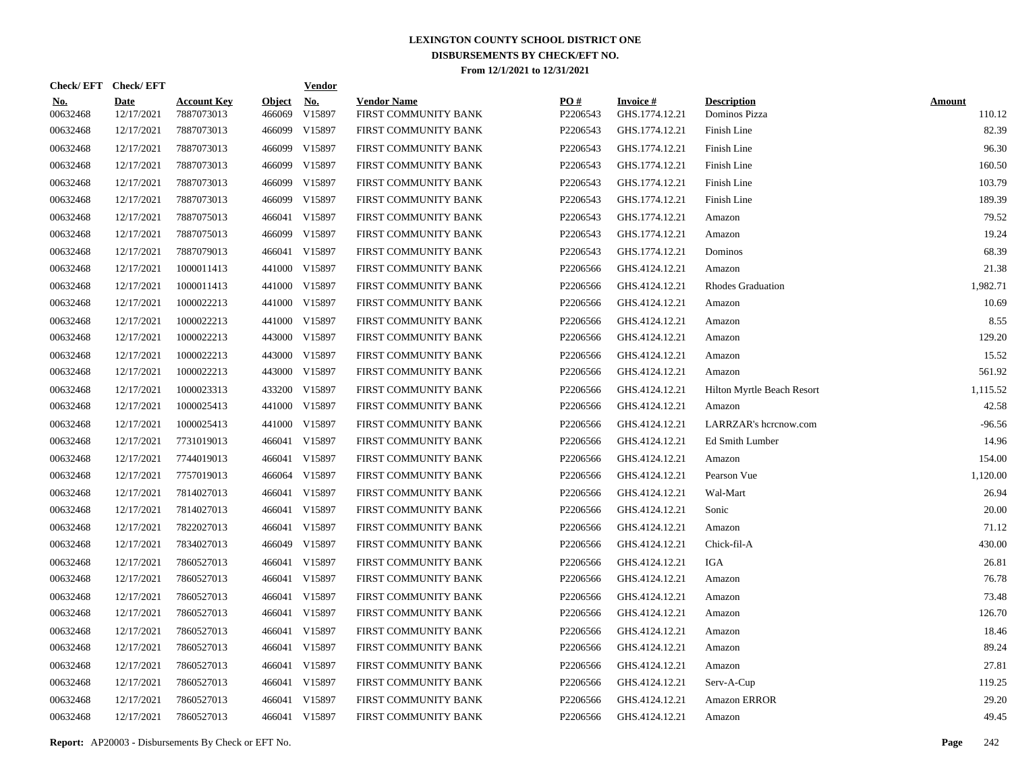| Check/EFT Check/EFT    |                           |                                  |                         | <b>Vendor</b>        |                                            |                 |                                   |                                     |                         |
|------------------------|---------------------------|----------------------------------|-------------------------|----------------------|--------------------------------------------|-----------------|-----------------------------------|-------------------------------------|-------------------------|
| <u>No.</u><br>00632468 | <b>Date</b><br>12/17/2021 | <b>Account Key</b><br>7887073013 | <b>Object</b><br>466069 | <u>No.</u><br>V15897 | <b>Vendor Name</b><br>FIRST COMMUNITY BANK | PQ#<br>P2206543 | <b>Invoice#</b><br>GHS.1774.12.21 | <b>Description</b><br>Dominos Pizza | <b>Amount</b><br>110.12 |
| 00632468               | 12/17/2021                | 7887073013                       | 466099                  | V15897               | FIRST COMMUNITY BANK                       | P2206543        | GHS.1774.12.21                    | Finish Line                         | 82.39                   |
| 00632468               | 12/17/2021                | 7887073013                       | 466099                  | V15897               | FIRST COMMUNITY BANK                       | P2206543        | GHS.1774.12.21                    | Finish Line                         | 96.30                   |
| 00632468               | 12/17/2021                | 7887073013                       | 466099                  | V15897               | FIRST COMMUNITY BANK                       | P2206543        | GHS.1774.12.21                    | Finish Line                         | 160.50                  |
| 00632468               | 12/17/2021                | 7887073013                       | 466099                  | V15897               | FIRST COMMUNITY BANK                       | P2206543        | GHS.1774.12.21                    | Finish Line                         | 103.79                  |
| 00632468               | 12/17/2021                | 7887073013                       | 466099                  | V15897               | FIRST COMMUNITY BANK                       | P2206543        | GHS.1774.12.21                    | Finish Line                         | 189.39                  |
| 00632468               | 12/17/2021                | 7887075013                       |                         | 466041 V15897        | FIRST COMMUNITY BANK                       | P2206543        | GHS.1774.12.21                    | Amazon                              | 79.52                   |
| 00632468               | 12/17/2021                | 7887075013                       | 466099                  | V15897               | FIRST COMMUNITY BANK                       | P2206543        | GHS.1774.12.21                    | Amazon                              | 19.24                   |
| 00632468               | 12/17/2021                | 7887079013                       |                         | 466041 V15897        | FIRST COMMUNITY BANK                       | P2206543        | GHS.1774.12.21                    | Dominos                             | 68.39                   |
| 00632468               | 12/17/2021                | 1000011413                       |                         | 441000 V15897        | FIRST COMMUNITY BANK                       | P2206566        | GHS.4124.12.21                    | Amazon                              | 21.38                   |
| 00632468               | 12/17/2021                | 1000011413                       |                         | 441000 V15897        | FIRST COMMUNITY BANK                       | P2206566        | GHS.4124.12.21                    | Rhodes Graduation                   | 1,982.71                |
| 00632468               | 12/17/2021                | 1000022213                       |                         | 441000 V15897        | FIRST COMMUNITY BANK                       | P2206566        | GHS.4124.12.21                    | Amazon                              | 10.69                   |
| 00632468               | 12/17/2021                | 1000022213                       |                         | 441000 V15897        | FIRST COMMUNITY BANK                       | P2206566        | GHS.4124.12.21                    | Amazon                              | 8.55                    |
| 00632468               | 12/17/2021                | 1000022213                       |                         | 443000 V15897        | FIRST COMMUNITY BANK                       | P2206566        | GHS.4124.12.21                    | Amazon                              | 129.20                  |
| 00632468               | 12/17/2021                | 1000022213                       |                         | 443000 V15897        | FIRST COMMUNITY BANK                       | P2206566        | GHS.4124.12.21                    | Amazon                              | 15.52                   |
| 00632468               | 12/17/2021                | 1000022213                       |                         | 443000 V15897        | FIRST COMMUNITY BANK                       | P2206566        | GHS.4124.12.21                    | Amazon                              | 561.92                  |
| 00632468               | 12/17/2021                | 1000023313                       |                         | 433200 V15897        | FIRST COMMUNITY BANK                       | P2206566        | GHS.4124.12.21                    | Hilton Myrtle Beach Resort          | 1,115.52                |
| 00632468               | 12/17/2021                | 1000025413                       |                         | 441000 V15897        | FIRST COMMUNITY BANK                       | P2206566        | GHS.4124.12.21                    | Amazon                              | 42.58                   |
| 00632468               | 12/17/2021                | 1000025413                       |                         | 441000 V15897        | FIRST COMMUNITY BANK                       | P2206566        | GHS.4124.12.21                    | LARRZAR's hcrcnow.com               | $-96.56$                |
| 00632468               | 12/17/2021                | 7731019013                       |                         | 466041 V15897        | FIRST COMMUNITY BANK                       | P2206566        | GHS.4124.12.21                    | Ed Smith Lumber                     | 14.96                   |
| 00632468               | 12/17/2021                | 7744019013                       |                         | 466041 V15897        | FIRST COMMUNITY BANK                       | P2206566        | GHS.4124.12.21                    | Amazon                              | 154.00                  |
| 00632468               | 12/17/2021                | 7757019013                       |                         | 466064 V15897        | FIRST COMMUNITY BANK                       | P2206566        | GHS.4124.12.21                    | Pearson Vue                         | 1,120.00                |
| 00632468               | 12/17/2021                | 7814027013                       |                         | 466041 V15897        | FIRST COMMUNITY BANK                       | P2206566        | GHS.4124.12.21                    | Wal-Mart                            | 26.94                   |
| 00632468               | 12/17/2021                | 7814027013                       |                         | 466041 V15897        | FIRST COMMUNITY BANK                       | P2206566        | GHS.4124.12.21                    | Sonic                               | 20.00                   |
| 00632468               | 12/17/2021                | 7822027013                       |                         | 466041 V15897        | FIRST COMMUNITY BANK                       | P2206566        | GHS.4124.12.21                    | Amazon                              | 71.12                   |
| 00632468               | 12/17/2021                | 7834027013                       |                         | 466049 V15897        | FIRST COMMUNITY BANK                       | P2206566        | GHS.4124.12.21                    | Chick-fil-A                         | 430.00                  |
| 00632468               | 12/17/2021                | 7860527013                       |                         | 466041 V15897        | FIRST COMMUNITY BANK                       | P2206566        | GHS.4124.12.21                    | IGA                                 | 26.81                   |
| 00632468               | 12/17/2021                | 7860527013                       |                         | 466041 V15897        | FIRST COMMUNITY BANK                       | P2206566        | GHS.4124.12.21                    | Amazon                              | 76.78                   |
| 00632468               | 12/17/2021                | 7860527013                       |                         | 466041 V15897        | FIRST COMMUNITY BANK                       | P2206566        | GHS.4124.12.21                    | Amazon                              | 73.48                   |
| 00632468               | 12/17/2021                | 7860527013                       |                         | 466041 V15897        | FIRST COMMUNITY BANK                       | P2206566        | GHS.4124.12.21                    | Amazon                              | 126.70                  |
| 00632468               | 12/17/2021                | 7860527013                       |                         | 466041 V15897        | FIRST COMMUNITY BANK                       | P2206566        | GHS.4124.12.21                    | Amazon                              | 18.46                   |
| 00632468               | 12/17/2021                | 7860527013                       |                         | 466041 V15897        | FIRST COMMUNITY BANK                       | P2206566        | GHS.4124.12.21                    | Amazon                              | 89.24                   |
| 00632468               | 12/17/2021                | 7860527013                       |                         | 466041 V15897        | FIRST COMMUNITY BANK                       | P2206566        | GHS.4124.12.21                    | Amazon                              | 27.81                   |
| 00632468               | 12/17/2021                | 7860527013                       |                         | 466041 V15897        | FIRST COMMUNITY BANK                       | P2206566        | GHS.4124.12.21                    | Serv-A-Cup                          | 119.25                  |
| 00632468               | 12/17/2021                | 7860527013                       |                         | 466041 V15897        | FIRST COMMUNITY BANK                       | P2206566        | GHS.4124.12.21                    | Amazon ERROR                        | 29.20                   |
| 00632468               | 12/17/2021                | 7860527013                       |                         | 466041 V15897        | FIRST COMMUNITY BANK                       | P2206566        | GHS.4124.12.21                    | Amazon                              | 49.45                   |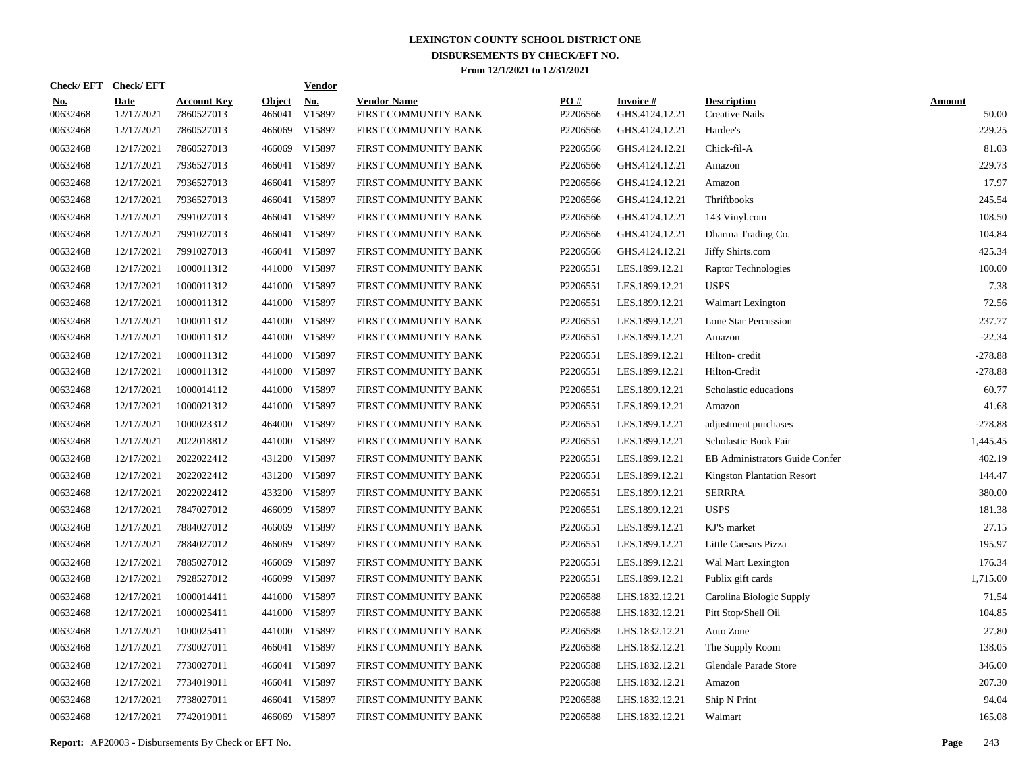|                        | Check/EFT Check/EFT       |                                  |                         | <b>Vendor</b>                       |                                            |                 |                                   |                                       |                        |
|------------------------|---------------------------|----------------------------------|-------------------------|-------------------------------------|--------------------------------------------|-----------------|-----------------------------------|---------------------------------------|------------------------|
| <u>No.</u><br>00632468 | <b>Date</b><br>12/17/2021 | <b>Account Key</b><br>7860527013 | <b>Object</b><br>466041 | $\underline{\mathrm{No}}$<br>V15897 | <b>Vendor Name</b><br>FIRST COMMUNITY BANK | PO#<br>P2206566 | <b>Invoice#</b><br>GHS.4124.12.21 | <b>Description</b><br>Creative Nails  | <b>Amount</b><br>50.00 |
| 00632468               | 12/17/2021                | 7860527013                       | 466069                  | V15897                              | FIRST COMMUNITY BANK                       | P2206566        | GHS.4124.12.21                    | Hardee's                              | 229.25                 |
| 00632468               | 12/17/2021                | 7860527013                       | 466069                  | V15897                              | FIRST COMMUNITY BANK                       | P2206566        | GHS.4124.12.21                    | Chick-fil-A                           | 81.03                  |
| 00632468               | 12/17/2021                | 7936527013                       | 466041                  | V15897                              | FIRST COMMUNITY BANK                       | P2206566        | GHS.4124.12.21                    | Amazon                                | 229.73                 |
| 00632468               | 12/17/2021                | 7936527013                       | 466041                  | V15897                              | FIRST COMMUNITY BANK                       | P2206566        | GHS.4124.12.21                    | Amazon                                | 17.97                  |
| 00632468               | 12/17/2021                | 7936527013                       | 466041                  | V15897                              | FIRST COMMUNITY BANK                       | P2206566        | GHS.4124.12.21                    | Thriftbooks                           | 245.54                 |
| 00632468               | 12/17/2021                | 7991027013                       | 466041                  | V15897                              | FIRST COMMUNITY BANK                       | P2206566        | GHS.4124.12.21                    | 143 Vinyl.com                         | 108.50                 |
| 00632468               | 12/17/2021                | 7991027013                       | 466041                  | V15897                              | FIRST COMMUNITY BANK                       | P2206566        | GHS.4124.12.21                    | Dharma Trading Co.                    | 104.84                 |
| 00632468               | 12/17/2021                | 7991027013                       | 466041                  | V15897                              | FIRST COMMUNITY BANK                       | P2206566        | GHS.4124.12.21                    | Jiffy Shirts.com                      | 425.34                 |
| 00632468               | 12/17/2021                | 1000011312                       | 441000                  | V15897                              | FIRST COMMUNITY BANK                       | P2206551        | LES.1899.12.21                    | Raptor Technologies                   | 100.00                 |
| 00632468               | 12/17/2021                | 1000011312                       |                         | 441000 V15897                       | FIRST COMMUNITY BANK                       | P2206551        | LES.1899.12.21                    | <b>USPS</b>                           | 7.38                   |
| 00632468               | 12/17/2021                | 1000011312                       |                         | 441000 V15897                       | FIRST COMMUNITY BANK                       | P2206551        | LES.1899.12.21                    | <b>Walmart Lexington</b>              | 72.56                  |
| 00632468               | 12/17/2021                | 1000011312                       |                         | 441000 V15897                       | FIRST COMMUNITY BANK                       | P2206551        | LES.1899.12.21                    | Lone Star Percussion                  | 237.77                 |
| 00632468               | 12/17/2021                | 1000011312                       |                         | 441000 V15897                       | FIRST COMMUNITY BANK                       | P2206551        | LES.1899.12.21                    | Amazon                                | $-22.34$               |
| 00632468               | 12/17/2021                | 1000011312                       |                         | 441000 V15897                       | FIRST COMMUNITY BANK                       | P2206551        | LES.1899.12.21                    | Hilton-credit                         | $-278.88$              |
| 00632468               | 12/17/2021                | 1000011312                       |                         | 441000 V15897                       | FIRST COMMUNITY BANK                       | P2206551        | LES.1899.12.21                    | Hilton-Credit                         | $-278.88$              |
| 00632468               | 12/17/2021                | 1000014112                       |                         | 441000 V15897                       | FIRST COMMUNITY BANK                       | P2206551        | LES.1899.12.21                    | Scholastic educations                 | 60.77                  |
| 00632468               | 12/17/2021                | 1000021312                       |                         | 441000 V15897                       | FIRST COMMUNITY BANK                       | P2206551        | LES.1899.12.21                    | Amazon                                | 41.68                  |
| 00632468               | 12/17/2021                | 1000023312                       |                         | 464000 V15897                       | FIRST COMMUNITY BANK                       | P2206551        | LES.1899.12.21                    | adjustment purchases                  | $-278.88$              |
| 00632468               | 12/17/2021                | 2022018812                       |                         | 441000 V15897                       | FIRST COMMUNITY BANK                       | P2206551        | LES.1899.12.21                    | Scholastic Book Fair                  | 1,445.45               |
| 00632468               | 12/17/2021                | 2022022412                       |                         | 431200 V15897                       | FIRST COMMUNITY BANK                       | P2206551        | LES.1899.12.21                    | <b>EB Administrators Guide Confer</b> | 402.19                 |
| 00632468               | 12/17/2021                | 2022022412                       |                         | 431200 V15897                       | FIRST COMMUNITY BANK                       | P2206551        | LES.1899.12.21                    | <b>Kingston Plantation Resort</b>     | 144.47                 |
| 00632468               | 12/17/2021                | 2022022412                       | 433200                  | V15897                              | FIRST COMMUNITY BANK                       | P2206551        | LES.1899.12.21                    | <b>SERRRA</b>                         | 380.00                 |
| 00632468               | 12/17/2021                | 7847027012                       |                         | 466099 V15897                       | FIRST COMMUNITY BANK                       | P2206551        | LES.1899.12.21                    | <b>USPS</b>                           | 181.38                 |
| 00632468               | 12/17/2021                | 7884027012                       | 466069                  | V15897                              | FIRST COMMUNITY BANK                       | P2206551        | LES.1899.12.21                    | KJ'S market                           | 27.15                  |
| 00632468               | 12/17/2021                | 7884027012                       | 466069                  | V15897                              | FIRST COMMUNITY BANK                       | P2206551        | LES.1899.12.21                    | Little Caesars Pizza                  | 195.97                 |
| 00632468               | 12/17/2021                | 7885027012                       | 466069                  | V15897                              | FIRST COMMUNITY BANK                       | P2206551        | LES.1899.12.21                    | Wal Mart Lexington                    | 176.34                 |
| 00632468               | 12/17/2021                | 7928527012                       | 466099                  | V15897                              | FIRST COMMUNITY BANK                       | P2206551        | LES.1899.12.21                    | Publix gift cards                     | 1,715.00               |
| 00632468               | 12/17/2021                | 1000014411                       | 441000                  | V15897                              | FIRST COMMUNITY BANK                       | P2206588        | LHS.1832.12.21                    | Carolina Biologic Supply              | 71.54                  |
| 00632468               | 12/17/2021                | 1000025411                       | 441000                  | V15897                              | FIRST COMMUNITY BANK                       | P2206588        | LHS.1832.12.21                    | Pitt Stop/Shell Oil                   | 104.85                 |
| 00632468               | 12/17/2021                | 1000025411                       | 441000                  | V15897                              | FIRST COMMUNITY BANK                       | P2206588        | LHS.1832.12.21                    | Auto Zone                             | 27.80                  |
| 00632468               | 12/17/2021                | 7730027011                       | 466041                  | V15897                              | FIRST COMMUNITY BANK                       | P2206588        | LHS.1832.12.21                    | The Supply Room                       | 138.05                 |
| 00632468               | 12/17/2021                | 7730027011                       | 466041                  | V15897                              | FIRST COMMUNITY BANK                       | P2206588        | LHS.1832.12.21                    | Glendale Parade Store                 | 346.00                 |
| 00632468               | 12/17/2021                | 7734019011                       | 466041                  | V15897                              | FIRST COMMUNITY BANK                       | P2206588        | LHS.1832.12.21                    | Amazon                                | 207.30                 |
| 00632468               | 12/17/2021                | 7738027011                       | 466041                  | V15897                              | FIRST COMMUNITY BANK                       | P2206588        | LHS.1832.12.21                    | Ship N Print                          | 94.04                  |
| 00632468               | 12/17/2021                | 7742019011                       |                         | 466069 V15897                       | FIRST COMMUNITY BANK                       | P2206588        | LHS.1832.12.21                    | Walmart                               | 165.08                 |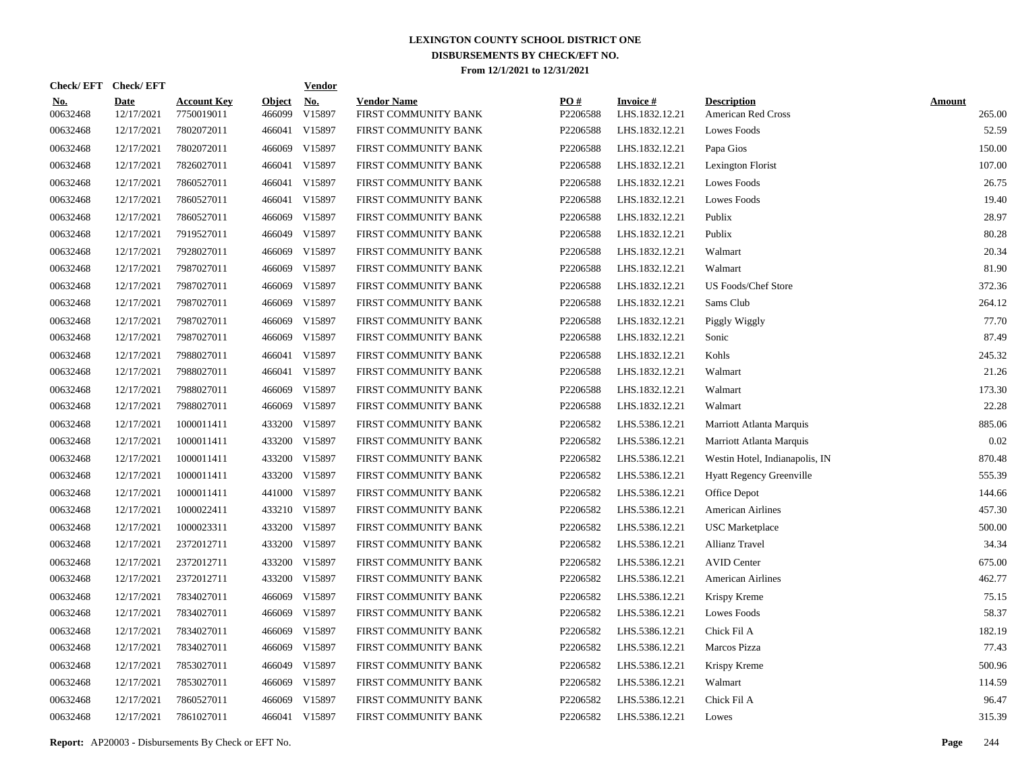|                        | Check/EFT Check/EFT       |                                  |                         | <b>Vendor</b> |                                            |                 |                                   |                                          |                         |
|------------------------|---------------------------|----------------------------------|-------------------------|---------------|--------------------------------------------|-----------------|-----------------------------------|------------------------------------------|-------------------------|
| <u>No.</u><br>00632468 | <b>Date</b><br>12/17/2021 | <b>Account Key</b><br>7750019011 | <b>Object</b><br>466099 | No.<br>V15897 | <b>Vendor Name</b><br>FIRST COMMUNITY BANK | PO#<br>P2206588 | <b>Invoice#</b><br>LHS.1832.12.21 | <b>Description</b><br>American Red Cross | <b>Amount</b><br>265.00 |
| 00632468               | 12/17/2021                | 7802072011                       | 466041                  | V15897        | FIRST COMMUNITY BANK                       | P2206588        | LHS.1832.12.21                    | Lowes Foods                              | 52.59                   |
| 00632468               | 12/17/2021                | 7802072011                       | 466069                  | V15897        | FIRST COMMUNITY BANK                       | P2206588        | LHS.1832.12.21                    | Papa Gios                                | 150.00                  |
| 00632468               | 12/17/2021                | 7826027011                       | 466041                  | V15897        | FIRST COMMUNITY BANK                       | P2206588        | LHS.1832.12.21                    | Lexington Florist                        | 107.00                  |
| 00632468               | 12/17/2021                | 7860527011                       | 466041                  | V15897        | FIRST COMMUNITY BANK                       | P2206588        | LHS.1832.12.21                    | <b>Lowes Foods</b>                       | 26.75                   |
| 00632468               | 12/17/2021                | 7860527011                       | 466041                  | V15897        | FIRST COMMUNITY BANK                       | P2206588        | LHS.1832.12.21                    | <b>Lowes Foods</b>                       | 19.40                   |
| 00632468               | 12/17/2021                | 7860527011                       | 466069                  | V15897        | FIRST COMMUNITY BANK                       | P2206588        | LHS.1832.12.21                    | Publix                                   | 28.97                   |
| 00632468               | 12/17/2021                | 7919527011                       | 466049                  | V15897        | FIRST COMMUNITY BANK                       | P2206588        | LHS.1832.12.21                    | Publix                                   | 80.28                   |
| 00632468               | 12/17/2021                | 7928027011                       | 466069                  | V15897        | FIRST COMMUNITY BANK                       | P2206588        | LHS.1832.12.21                    | Walmart                                  | 20.34                   |
| 00632468               | 12/17/2021                | 7987027011                       | 466069                  | V15897        | FIRST COMMUNITY BANK                       | P2206588        | LHS.1832.12.21                    | Walmart                                  | 81.90                   |
| 00632468               | 12/17/2021                | 7987027011                       | 466069                  | V15897        | FIRST COMMUNITY BANK                       | P2206588        | LHS.1832.12.21                    | <b>US Foods/Chef Store</b>               | 372.36                  |
| 00632468               | 12/17/2021                | 7987027011                       | 466069                  | V15897        | FIRST COMMUNITY BANK                       | P2206588        | LHS.1832.12.21                    | Sams Club                                | 264.12                  |
| 00632468               | 12/17/2021                | 7987027011                       | 466069                  | V15897        | FIRST COMMUNITY BANK                       | P2206588        | LHS.1832.12.21                    | Piggly Wiggly                            | 77.70                   |
| 00632468               | 12/17/2021                | 7987027011                       | 466069                  | V15897        | FIRST COMMUNITY BANK                       | P2206588        | LHS.1832.12.21                    | Sonic                                    | 87.49                   |
| 00632468               | 12/17/2021                | 7988027011                       | 466041                  | V15897        | FIRST COMMUNITY BANK                       | P2206588        | LHS.1832.12.21                    | Kohls                                    | 245.32                  |
| 00632468               | 12/17/2021                | 7988027011                       |                         | 466041 V15897 | FIRST COMMUNITY BANK                       | P2206588        | LHS.1832.12.21                    | Walmart                                  | 21.26                   |
| 00632468               | 12/17/2021                | 7988027011                       | 466069                  | V15897        | FIRST COMMUNITY BANK                       | P2206588        | LHS.1832.12.21                    | Walmart                                  | 173.30                  |
| 00632468               | 12/17/2021                | 7988027011                       | 466069                  | V15897        | FIRST COMMUNITY BANK                       | P2206588        | LHS.1832.12.21                    | Walmart                                  | 22.28                   |
| 00632468               | 12/17/2021                | 1000011411                       | 433200                  | V15897        | FIRST COMMUNITY BANK                       | P2206582        | LHS.5386.12.21                    | Marriott Atlanta Marquis                 | 885.06                  |
| 00632468               | 12/17/2021                | 1000011411                       |                         | 433200 V15897 | FIRST COMMUNITY BANK                       | P2206582        | LHS.5386.12.21                    | Marriott Atlanta Marquis                 | 0.02                    |
| 00632468               | 12/17/2021                | 1000011411                       |                         | 433200 V15897 | FIRST COMMUNITY BANK                       | P2206582        | LHS.5386.12.21                    | Westin Hotel, Indianapolis, IN           | 870.48                  |
| 00632468               | 12/17/2021                | 1000011411                       |                         | 433200 V15897 | FIRST COMMUNITY BANK                       | P2206582        | LHS.5386.12.21                    | <b>Hyatt Regency Greenville</b>          | 555.39                  |
| 00632468               | 12/17/2021                | 1000011411                       |                         | 441000 V15897 | FIRST COMMUNITY BANK                       | P2206582        | LHS.5386.12.21                    | Office Depot                             | 144.66                  |
| 00632468               | 12/17/2021                | 1000022411                       |                         | 433210 V15897 | FIRST COMMUNITY BANK                       | P2206582        | LHS.5386.12.21                    | <b>American Airlines</b>                 | 457.30                  |
| 00632468               | 12/17/2021                | 1000023311                       |                         | 433200 V15897 | FIRST COMMUNITY BANK                       | P2206582        | LHS.5386.12.21                    | <b>USC</b> Marketplace                   | 500.00                  |
| 00632468               | 12/17/2021                | 2372012711                       |                         | 433200 V15897 | FIRST COMMUNITY BANK                       | P2206582        | LHS.5386.12.21                    | <b>Allianz Travel</b>                    | 34.34                   |
| 00632468               | 12/17/2021                | 2372012711                       |                         | 433200 V15897 | FIRST COMMUNITY BANK                       | P2206582        | LHS.5386.12.21                    | <b>AVID Center</b>                       | 675.00                  |
| 00632468               | 12/17/2021                | 2372012711                       |                         | 433200 V15897 | FIRST COMMUNITY BANK                       | P2206582        | LHS.5386.12.21                    | <b>American Airlines</b>                 | 462.77                  |
| 00632468               | 12/17/2021                | 7834027011                       | 466069                  | V15897        | FIRST COMMUNITY BANK                       | P2206582        | LHS.5386.12.21                    | Krispy Kreme                             | 75.15                   |
| 00632468               | 12/17/2021                | 7834027011                       | 466069                  | V15897        | FIRST COMMUNITY BANK                       | P2206582        | LHS.5386.12.21                    | Lowes Foods                              | 58.37                   |
| 00632468               | 12/17/2021                | 7834027011                       | 466069                  | V15897        | FIRST COMMUNITY BANK                       | P2206582        | LHS.5386.12.21                    | Chick Fil A                              | 182.19                  |
| 00632468               | 12/17/2021                | 7834027011                       | 466069                  | V15897        | FIRST COMMUNITY BANK                       | P2206582        | LHS.5386.12.21                    | Marcos Pizza                             | 77.43                   |
| 00632468               | 12/17/2021                | 7853027011                       | 466049                  | V15897        | FIRST COMMUNITY BANK                       | P2206582        | LHS.5386.12.21                    | Krispy Kreme                             | 500.96                  |
| 00632468               | 12/17/2021                | 7853027011                       | 466069                  | V15897        | FIRST COMMUNITY BANK                       | P2206582        | LHS.5386.12.21                    | Walmart                                  | 114.59                  |
| 00632468               | 12/17/2021                | 7860527011                       | 466069                  | V15897        | FIRST COMMUNITY BANK                       | P2206582        | LHS.5386.12.21                    | Chick Fil A                              | 96.47                   |
| 00632468               | 12/17/2021                | 7861027011                       |                         | 466041 V15897 | FIRST COMMUNITY BANK                       | P2206582        | LHS.5386.12.21                    | Lowes                                    | 315.39                  |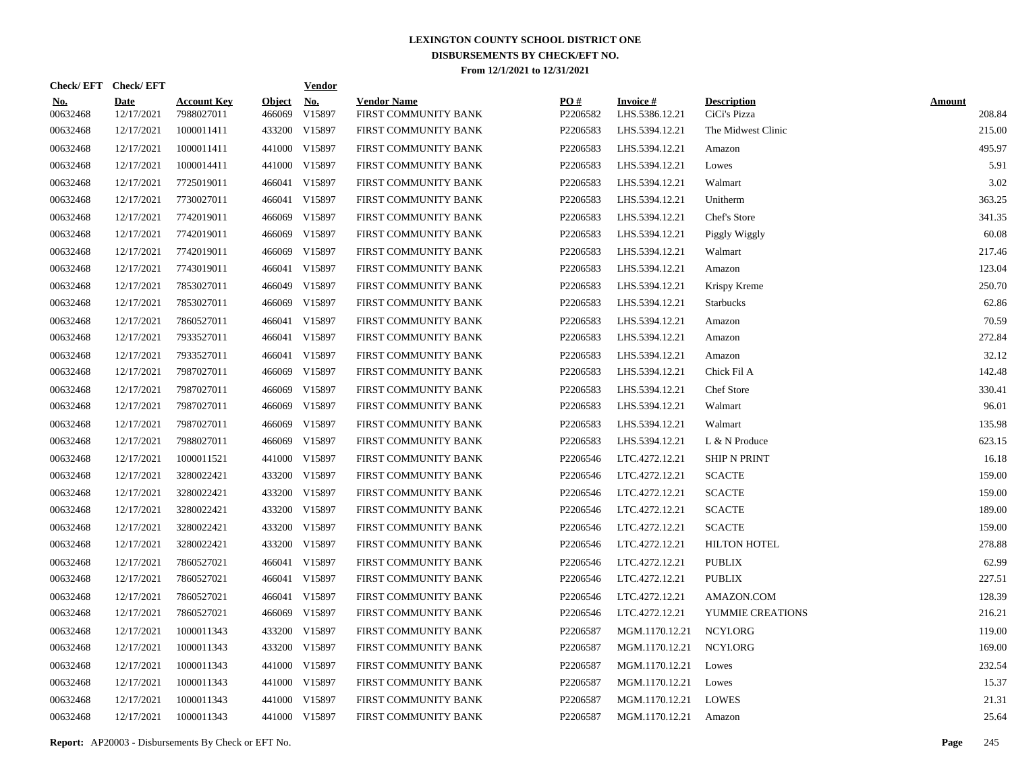| Check/EFT Check/EFT    |                           |                                  |                         | <b>Vendor</b>                         |                                            |                 |                                   |                                    |                         |
|------------------------|---------------------------|----------------------------------|-------------------------|---------------------------------------|--------------------------------------------|-----------------|-----------------------------------|------------------------------------|-------------------------|
| <u>No.</u><br>00632468 | <b>Date</b><br>12/17/2021 | <b>Account Key</b><br>7988027011 | <b>Object</b><br>466069 | $\underline{\textbf{No}}$ .<br>V15897 | <b>Vendor Name</b><br>FIRST COMMUNITY BANK | PO#<br>P2206582 | <b>Invoice#</b><br>LHS.5386.12.21 | <b>Description</b><br>CiCi's Pizza | <b>Amount</b><br>208.84 |
| 00632468               | 12/17/2021                | 1000011411                       |                         | 433200 V15897                         | FIRST COMMUNITY BANK                       | P2206583        | LHS.5394.12.21                    | The Midwest Clinic                 | 215.00                  |
| 00632468               | 12/17/2021                | 1000011411                       |                         | 441000 V15897                         | FIRST COMMUNITY BANK                       | P2206583        | LHS.5394.12.21                    | Amazon                             | 495.97                  |
| 00632468               | 12/17/2021                | 1000014411                       |                         | 441000 V15897                         | FIRST COMMUNITY BANK                       | P2206583        | LHS.5394.12.21                    | Lowes                              | 5.91                    |
| 00632468               | 12/17/2021                | 7725019011                       |                         | 466041 V15897                         | FIRST COMMUNITY BANK                       | P2206583        | LHS.5394.12.21                    | Walmart                            | 3.02                    |
| 00632468               | 12/17/2021                | 7730027011                       | 466041                  | V15897                                | FIRST COMMUNITY BANK                       | P2206583        | LHS.5394.12.21                    | Unitherm                           | 363.25                  |
| 00632468               | 12/17/2021                | 7742019011                       | 466069                  | V15897                                | FIRST COMMUNITY BANK                       | P2206583        | LHS.5394.12.21                    | Chef's Store                       | 341.35                  |
| 00632468               | 12/17/2021                | 7742019011                       | 466069                  | V15897                                | FIRST COMMUNITY BANK                       | P2206583        | LHS.5394.12.21                    | Piggly Wiggly                      | 60.08                   |
| 00632468               | 12/17/2021                | 7742019011                       | 466069                  | V15897                                | FIRST COMMUNITY BANK                       | P2206583        | LHS.5394.12.21                    | Walmart                            | 217.46                  |
| 00632468               | 12/17/2021                | 7743019011                       | 466041                  | V15897                                | FIRST COMMUNITY BANK                       | P2206583        | LHS.5394.12.21                    | Amazon                             | 123.04                  |
| 00632468               | 12/17/2021                | 7853027011                       |                         | 466049 V15897                         | FIRST COMMUNITY BANK                       | P2206583        | LHS.5394.12.21                    | Krispy Kreme                       | 250.70                  |
| 00632468               | 12/17/2021                | 7853027011                       | 466069                  | V15897                                | FIRST COMMUNITY BANK                       | P2206583        | LHS.5394.12.21                    | <b>Starbucks</b>                   | 62.86                   |
| 00632468               | 12/17/2021                | 7860527011                       | 466041                  | V15897                                | FIRST COMMUNITY BANK                       | P2206583        | LHS.5394.12.21                    | Amazon                             | 70.59                   |
| 00632468               | 12/17/2021                | 7933527011                       |                         | 466041 V15897                         | FIRST COMMUNITY BANK                       | P2206583        | LHS.5394.12.21                    | Amazon                             | 272.84                  |
| 00632468               | 12/17/2021                | 7933527011                       | 466041                  | V15897                                | FIRST COMMUNITY BANK                       | P2206583        | LHS.5394.12.21                    | Amazon                             | 32.12                   |
| 00632468               | 12/17/2021                | 7987027011                       |                         | 466069 V15897                         | FIRST COMMUNITY BANK                       | P2206583        | LHS.5394.12.21                    | Chick Fil A                        | 142.48                  |
| 00632468               | 12/17/2021                | 7987027011                       | 466069                  | V15897                                | FIRST COMMUNITY BANK                       | P2206583        | LHS.5394.12.21                    | Chef Store                         | 330.41                  |
| 00632468               | 12/17/2021                | 7987027011                       |                         | 466069 V15897                         | FIRST COMMUNITY BANK                       | P2206583        | LHS.5394.12.21                    | Walmart                            | 96.01                   |
| 00632468               | 12/17/2021                | 7987027011                       | 466069                  | V15897                                | FIRST COMMUNITY BANK                       | P2206583        | LHS.5394.12.21                    | Walmart                            | 135.98                  |
| 00632468               | 12/17/2021                | 7988027011                       |                         | 466069 V15897                         | FIRST COMMUNITY BANK                       | P2206583        | LHS.5394.12.21                    | L & N Produce                      | 623.15                  |
| 00632468               | 12/17/2021                | 1000011521                       |                         | 441000 V15897                         | FIRST COMMUNITY BANK                       | P2206546        | LTC.4272.12.21                    | <b>SHIP N PRINT</b>                | 16.18                   |
| 00632468               | 12/17/2021                | 3280022421                       |                         | 433200 V15897                         | FIRST COMMUNITY BANK                       | P2206546        | LTC.4272.12.21                    | <b>SCACTE</b>                      | 159.00                  |
| 00632468               | 12/17/2021                | 3280022421                       |                         | 433200 V15897                         | FIRST COMMUNITY BANK                       | P2206546        | LTC.4272.12.21                    | <b>SCACTE</b>                      | 159.00                  |
| 00632468               | 12/17/2021                | 3280022421                       |                         | 433200 V15897                         | FIRST COMMUNITY BANK                       | P2206546        | LTC.4272.12.21                    | <b>SCACTE</b>                      | 189.00                  |
| 00632468               | 12/17/2021                | 3280022421                       |                         | 433200 V15897                         | FIRST COMMUNITY BANK                       | P2206546        | LTC.4272.12.21                    | <b>SCACTE</b>                      | 159.00                  |
| 00632468               | 12/17/2021                | 3280022421                       |                         | 433200 V15897                         | FIRST COMMUNITY BANK                       | P2206546        | LTC.4272.12.21                    | <b>HILTON HOTEL</b>                | 278.88                  |
| 00632468               | 12/17/2021                | 7860527021                       | 466041                  | V15897                                | FIRST COMMUNITY BANK                       | P2206546        | LTC.4272.12.21                    | <b>PUBLIX</b>                      | 62.99                   |
| 00632468               | 12/17/2021                | 7860527021                       | 466041                  | V15897                                | FIRST COMMUNITY BANK                       | P2206546        | LTC.4272.12.21                    | <b>PUBLIX</b>                      | 227.51                  |
| 00632468               | 12/17/2021                | 7860527021                       | 466041                  | V15897                                | FIRST COMMUNITY BANK                       | P2206546        | LTC.4272.12.21                    | AMAZON.COM                         | 128.39                  |
| 00632468               | 12/17/2021                | 7860527021                       |                         | 466069 V15897                         | FIRST COMMUNITY BANK                       | P2206546        | LTC.4272.12.21                    | YUMMIE CREATIONS                   | 216.21                  |
| 00632468               | 12/17/2021                | 1000011343                       |                         | 433200 V15897                         | FIRST COMMUNITY BANK                       | P2206587        | MGM.1170.12.21                    | NCYLORG                            | 119.00                  |
| 00632468               | 12/17/2021                | 1000011343                       |                         | 433200 V15897                         | FIRST COMMUNITY BANK                       | P2206587        | MGM.1170.12.21                    | NCYLORG                            | 169.00                  |
| 00632468               | 12/17/2021                | 1000011343                       |                         | 441000 V15897                         | FIRST COMMUNITY BANK                       | P2206587        | MGM.1170.12.21                    | Lowes                              | 232.54                  |
| 00632468               | 12/17/2021                | 1000011343                       |                         | 441000 V15897                         | FIRST COMMUNITY BANK                       | P2206587        | MGM.1170.12.21                    | Lowes                              | 15.37                   |
| 00632468               | 12/17/2021                | 1000011343                       |                         | 441000 V15897                         | FIRST COMMUNITY BANK                       | P2206587        | MGM.1170.12.21                    | <b>LOWES</b>                       | 21.31                   |
| 00632468               | 12/17/2021                | 1000011343                       |                         | 441000 V15897                         | FIRST COMMUNITY BANK                       | P2206587        | MGM.1170.12.21                    | Amazon                             | 25.64                   |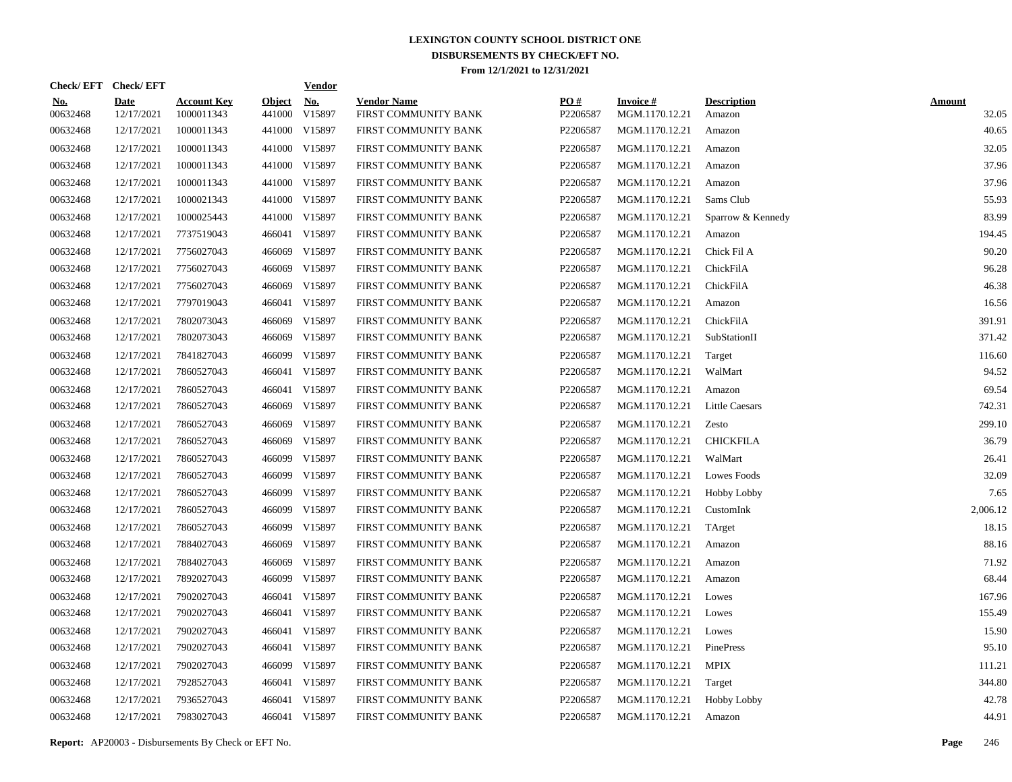|                        | Check/EFT Check/EFT       |                                  |                         | <b>Vendor</b>        |                                            |                 |                                   |                              |                        |
|------------------------|---------------------------|----------------------------------|-------------------------|----------------------|--------------------------------------------|-----------------|-----------------------------------|------------------------------|------------------------|
| <u>No.</u><br>00632468 | <b>Date</b><br>12/17/2021 | <b>Account Key</b><br>1000011343 | <b>Object</b><br>441000 | <b>No.</b><br>V15897 | <b>Vendor Name</b><br>FIRST COMMUNITY BANK | PO#<br>P2206587 | <b>Invoice#</b><br>MGM.1170.12.21 | <b>Description</b><br>Amazon | <b>Amount</b><br>32.05 |
| 00632468               | 12/17/2021                | 1000011343                       |                         | 441000 V15897        | FIRST COMMUNITY BANK                       | P2206587        | MGM.1170.12.21                    | Amazon                       | 40.65                  |
| 00632468               | 12/17/2021                | 1000011343                       |                         | 441000 V15897        | FIRST COMMUNITY BANK                       | P2206587        | MGM.1170.12.21                    | Amazon                       | 32.05                  |
| 00632468               | 12/17/2021                | 1000011343                       |                         | 441000 V15897        | FIRST COMMUNITY BANK                       | P2206587        | MGM.1170.12.21                    | Amazon                       | 37.96                  |
| 00632468               | 12/17/2021                | 1000011343                       |                         | 441000 V15897        | FIRST COMMUNITY BANK                       | P2206587        | MGM.1170.12.21                    | Amazon                       | 37.96                  |
| 00632468               | 12/17/2021                | 1000021343                       |                         | 441000 V15897        | FIRST COMMUNITY BANK                       | P2206587        | MGM.1170.12.21                    | Sams Club                    | 55.93                  |
| 00632468               | 12/17/2021                | 1000025443                       |                         | 441000 V15897        | FIRST COMMUNITY BANK                       | P2206587        | MGM.1170.12.21                    | Sparrow & Kennedy            | 83.99                  |
| 00632468               | 12/17/2021                | 7737519043                       | 466041                  | V15897               | FIRST COMMUNITY BANK                       | P2206587        | MGM.1170.12.21                    | Amazon                       | 194.45                 |
| 00632468               | 12/17/2021                | 7756027043                       | 466069                  | V15897               | FIRST COMMUNITY BANK                       | P2206587        | MGM.1170.12.21                    | Chick Fil A                  | 90.20                  |
| 00632468               | 12/17/2021                | 7756027043                       | 466069                  | V15897               | FIRST COMMUNITY BANK                       | P2206587        | MGM.1170.12.21                    | ChickFilA                    | 96.28                  |
| 00632468               | 12/17/2021                | 7756027043                       | 466069                  | V15897               | FIRST COMMUNITY BANK                       | P2206587        | MGM.1170.12.21                    | ChickFilA                    | 46.38                  |
| 00632468               | 12/17/2021                | 7797019043                       | 466041                  | V15897               | FIRST COMMUNITY BANK                       | P2206587        | MGM.1170.12.21                    | Amazon                       | 16.56                  |
| 00632468               | 12/17/2021                | 7802073043                       | 466069                  | V15897               | FIRST COMMUNITY BANK                       | P2206587        | MGM.1170.12.21                    | ChickFilA                    | 391.91                 |
| 00632468               | 12/17/2021                | 7802073043                       | 466069                  | V15897               | FIRST COMMUNITY BANK                       | P2206587        | MGM.1170.12.21                    | SubStationII                 | 371.42                 |
| 00632468               | 12/17/2021                | 7841827043                       | 466099                  | V15897               | FIRST COMMUNITY BANK                       | P2206587        | MGM.1170.12.21                    | Target                       | 116.60                 |
| 00632468               | 12/17/2021                | 7860527043                       | 466041                  | V15897               | FIRST COMMUNITY BANK                       | P2206587        | MGM.1170.12.21                    | WalMart                      | 94.52                  |
| 00632468               | 12/17/2021                | 7860527043                       | 466041                  | V15897               | FIRST COMMUNITY BANK                       | P2206587        | MGM.1170.12.21                    | Amazon                       | 69.54                  |
| 00632468               | 12/17/2021                | 7860527043                       | 466069                  | V15897               | FIRST COMMUNITY BANK                       | P2206587        | MGM.1170.12.21                    | Little Caesars               | 742.31                 |
| 00632468               | 12/17/2021                | 7860527043                       | 466069                  | V15897               | FIRST COMMUNITY BANK                       | P2206587        | MGM.1170.12.21                    | Zesto                        | 299.10                 |
| 00632468               | 12/17/2021                | 7860527043                       | 466069                  | V15897               | FIRST COMMUNITY BANK                       | P2206587        | MGM.1170.12.21                    | <b>CHICKFILA</b>             | 36.79                  |
| 00632468               | 12/17/2021                | 7860527043                       | 466099                  | V15897               | FIRST COMMUNITY BANK                       | P2206587        | MGM.1170.12.21                    | WalMart                      | 26.41                  |
| 00632468               | 12/17/2021                | 7860527043                       | 466099                  | V15897               | FIRST COMMUNITY BANK                       | P2206587        | MGM.1170.12.21                    | <b>Lowes Foods</b>           | 32.09                  |
| 00632468               | 12/17/2021                | 7860527043                       | 466099                  | V15897               | FIRST COMMUNITY BANK                       | P2206587        | MGM.1170.12.21                    | Hobby Lobby                  | 7.65                   |
| 00632468               | 12/17/2021                | 7860527043                       | 466099                  | V15897               | FIRST COMMUNITY BANK                       | P2206587        | MGM.1170.12.21                    | CustomInk                    | 2,006.12               |
| 00632468               | 12/17/2021                | 7860527043                       | 466099                  | V15897               | FIRST COMMUNITY BANK                       | P2206587        | MGM.1170.12.21                    | TArget                       | 18.15                  |
| 00632468               | 12/17/2021                | 7884027043                       | 466069                  | V15897               | FIRST COMMUNITY BANK                       | P2206587        | MGM.1170.12.21                    | Amazon                       | 88.16                  |
| 00632468               | 12/17/2021                | 7884027043                       | 466069                  | V15897               | FIRST COMMUNITY BANK                       | P2206587        | MGM.1170.12.21                    | Amazon                       | 71.92                  |
| 00632468               | 12/17/2021                | 7892027043                       | 466099                  | V15897               | FIRST COMMUNITY BANK                       | P2206587        | MGM.1170.12.21                    | Amazon                       | 68.44                  |
| 00632468               | 12/17/2021                | 7902027043                       | 466041                  | V15897               | FIRST COMMUNITY BANK                       | P2206587        | MGM.1170.12.21                    | Lowes                        | 167.96                 |
| 00632468               | 12/17/2021                | 7902027043                       | 466041                  | V15897               | FIRST COMMUNITY BANK                       | P2206587        | MGM.1170.12.21                    | Lowes                        | 155.49                 |
| 00632468               | 12/17/2021                | 7902027043                       | 466041                  | V15897               | FIRST COMMUNITY BANK                       | P2206587        | MGM.1170.12.21                    | Lowes                        | 15.90                  |
| 00632468               | 12/17/2021                | 7902027043                       | 466041                  | V15897               | FIRST COMMUNITY BANK                       | P2206587        | MGM.1170.12.21                    | PinePress                    | 95.10                  |
| 00632468               | 12/17/2021                | 7902027043                       | 466099                  | V15897               | FIRST COMMUNITY BANK                       | P2206587        | MGM.1170.12.21                    | <b>MPIX</b>                  | 111.21                 |
| 00632468               | 12/17/2021                | 7928527043                       | 466041                  | V15897               | FIRST COMMUNITY BANK                       | P2206587        | MGM.1170.12.21                    | Target                       | 344.80                 |
| 00632468               | 12/17/2021                | 7936527043                       | 466041                  | V15897               | FIRST COMMUNITY BANK                       | P2206587        | MGM.1170.12.21                    | <b>Hobby Lobby</b>           | 42.78                  |
| 00632468               | 12/17/2021                | 7983027043                       |                         | 466041 V15897        | FIRST COMMUNITY BANK                       | P2206587        | MGM.1170.12.21                    | Amazon                       | 44.91                  |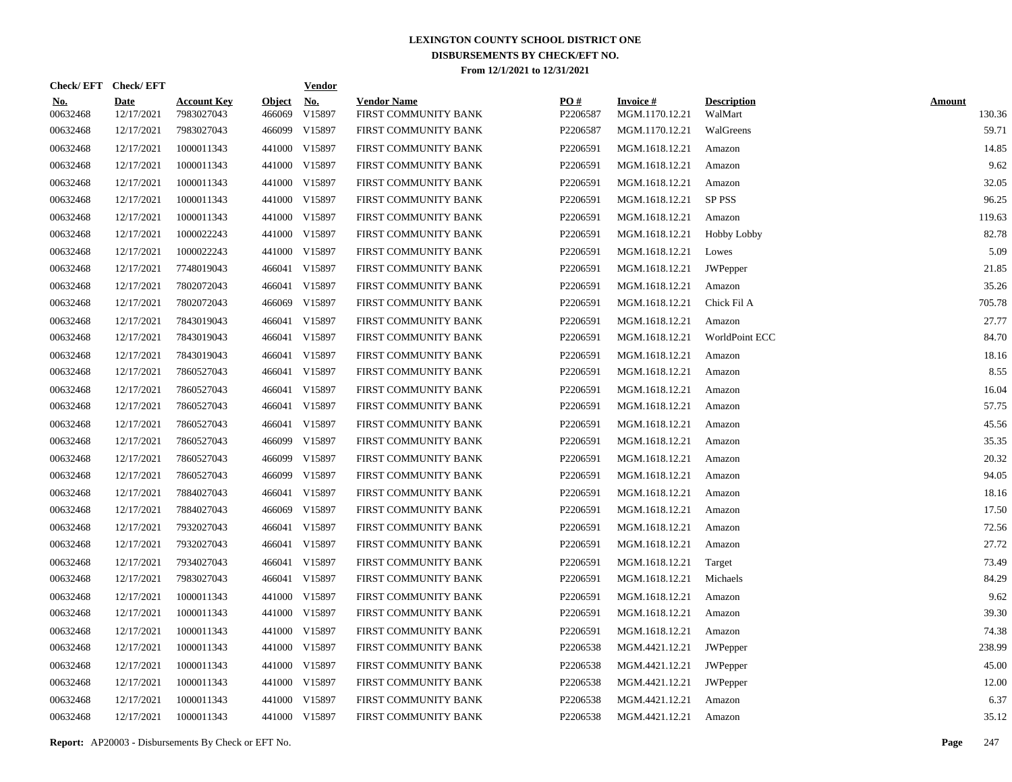|                        | Check/EFT Check/EFT       |                                  |                         | <b>Vendor</b>        |                                            |                 |                                   |                               |                         |
|------------------------|---------------------------|----------------------------------|-------------------------|----------------------|--------------------------------------------|-----------------|-----------------------------------|-------------------------------|-------------------------|
| <u>No.</u><br>00632468 | <b>Date</b><br>12/17/2021 | <b>Account Key</b><br>7983027043 | <b>Object</b><br>466069 | <u>No.</u><br>V15897 | <b>Vendor Name</b><br>FIRST COMMUNITY BANK | PO#<br>P2206587 | <b>Invoice#</b><br>MGM.1170.12.21 | <b>Description</b><br>WalMart | <b>Amount</b><br>130.36 |
| 00632468               | 12/17/2021                | 7983027043                       | 466099                  | V15897               | FIRST COMMUNITY BANK                       | P2206587        | MGM.1170.12.21                    | WalGreens                     | 59.71                   |
| 00632468               | 12/17/2021                | 1000011343                       | 441000                  | V15897               | FIRST COMMUNITY BANK                       | P2206591        | MGM.1618.12.21                    | Amazon                        | 14.85                   |
| 00632468               | 12/17/2021                | 1000011343                       | 441000                  | V15897               | FIRST COMMUNITY BANK                       | P2206591        | MGM.1618.12.21                    | Amazon                        | 9.62                    |
| 00632468               | 12/17/2021                | 1000011343                       |                         | 441000 V15897        | FIRST COMMUNITY BANK                       | P2206591        | MGM.1618.12.21                    | Amazon                        | 32.05                   |
| 00632468               | 12/17/2021                | 1000011343                       | 441000                  | V15897               | FIRST COMMUNITY BANK                       | P2206591        | MGM.1618.12.21                    | SP PSS                        | 96.25                   |
| 00632468               | 12/17/2021                | 1000011343                       |                         | 441000 V15897        | FIRST COMMUNITY BANK                       | P2206591        | MGM.1618.12.21                    | Amazon                        | 119.63                  |
| 00632468               | 12/17/2021                | 1000022243                       |                         | 441000 V15897        | FIRST COMMUNITY BANK                       | P2206591        | MGM.1618.12.21                    | <b>Hobby Lobby</b>            | 82.78                   |
| 00632468               | 12/17/2021                | 1000022243                       |                         | 441000 V15897        | FIRST COMMUNITY BANK                       | P2206591        | MGM.1618.12.21                    | Lowes                         | 5.09                    |
| 00632468               | 12/17/2021                | 7748019043                       | 466041                  | V15897               | FIRST COMMUNITY BANK                       | P2206591        | MGM.1618.12.21                    | <b>JWPepper</b>               | 21.85                   |
| 00632468               | 12/17/2021                | 7802072043                       | 466041                  | V15897               | FIRST COMMUNITY BANK                       | P2206591        | MGM.1618.12.21                    | Amazon                        | 35.26                   |
| 00632468               | 12/17/2021                | 7802072043                       | 466069                  | V15897               | FIRST COMMUNITY BANK                       | P2206591        | MGM.1618.12.21                    | Chick Fil A                   | 705.78                  |
| 00632468               | 12/17/2021                | 7843019043                       | 466041                  | V15897               | FIRST COMMUNITY BANK                       | P2206591        | MGM.1618.12.21                    | Amazon                        | 27.77                   |
| 00632468               | 12/17/2021                | 7843019043                       | 466041                  | V15897               | FIRST COMMUNITY BANK                       | P2206591        | MGM.1618.12.21                    | WorldPoint ECC                | 84.70                   |
| 00632468               | 12/17/2021                | 7843019043                       | 466041                  | V15897               | FIRST COMMUNITY BANK                       | P2206591        | MGM.1618.12.21                    | Amazon                        | 18.16                   |
| 00632468               | 12/17/2021                | 7860527043                       | 466041                  | V15897               | FIRST COMMUNITY BANK                       | P2206591        | MGM.1618.12.21                    | Amazon                        | 8.55                    |
| 00632468               | 12/17/2021                | 7860527043                       | 466041                  | V15897               | FIRST COMMUNITY BANK                       | P2206591        | MGM.1618.12.21                    | Amazon                        | 16.04                   |
| 00632468               | 12/17/2021                | 7860527043                       | 466041                  | V15897               | FIRST COMMUNITY BANK                       | P2206591        | MGM.1618.12.21                    | Amazon                        | 57.75                   |
| 00632468               | 12/17/2021                | 7860527043                       | 466041                  | V15897               | FIRST COMMUNITY BANK                       | P2206591        | MGM.1618.12.21                    | Amazon                        | 45.56                   |
| 00632468               | 12/17/2021                | 7860527043                       | 466099                  | V15897               | FIRST COMMUNITY BANK                       | P2206591        | MGM.1618.12.21                    | Amazon                        | 35.35                   |
| 00632468               | 12/17/2021                | 7860527043                       | 466099                  | V15897               | FIRST COMMUNITY BANK                       | P2206591        | MGM.1618.12.21                    | Amazon                        | 20.32                   |
| 00632468               | 12/17/2021                | 7860527043                       | 466099                  | V15897               | FIRST COMMUNITY BANK                       | P2206591        | MGM.1618.12.21                    | Amazon                        | 94.05                   |
| 00632468               | 12/17/2021                | 7884027043                       | 466041                  | V15897               | FIRST COMMUNITY BANK                       | P2206591        | MGM.1618.12.21                    | Amazon                        | 18.16                   |
| 00632468               | 12/17/2021                | 7884027043                       | 466069                  | V15897               | FIRST COMMUNITY BANK                       | P2206591        | MGM.1618.12.21                    | Amazon                        | 17.50                   |
| 00632468               | 12/17/2021                | 7932027043                       | 466041                  | V15897               | FIRST COMMUNITY BANK                       | P2206591        | MGM.1618.12.21                    | Amazon                        | 72.56                   |
| 00632468               | 12/17/2021                | 7932027043                       | 466041                  | V15897               | FIRST COMMUNITY BANK                       | P2206591        | MGM.1618.12.21                    | Amazon                        | 27.72                   |
| 00632468               | 12/17/2021                | 7934027043                       | 466041                  | V15897               | FIRST COMMUNITY BANK                       | P2206591        | MGM.1618.12.21                    | Target                        | 73.49                   |
| 00632468               | 12/17/2021                | 7983027043                       | 466041                  | V15897               | FIRST COMMUNITY BANK                       | P2206591        | MGM.1618.12.21                    | Michaels                      | 84.29                   |
| 00632468               | 12/17/2021                | 1000011343                       |                         | 441000 V15897        | FIRST COMMUNITY BANK                       | P2206591        | MGM.1618.12.21                    | Amazon                        | 9.62                    |
| 00632468               | 12/17/2021                | 1000011343                       |                         | 441000 V15897        | FIRST COMMUNITY BANK                       | P2206591        | MGM.1618.12.21                    | Amazon                        | 39.30                   |
| 00632468               | 12/17/2021                | 1000011343                       |                         | 441000 V15897        | FIRST COMMUNITY BANK                       | P2206591        | MGM.1618.12.21                    | Amazon                        | 74.38                   |
| 00632468               | 12/17/2021                | 1000011343                       |                         | 441000 V15897        | FIRST COMMUNITY BANK                       | P2206538        | MGM.4421.12.21                    | <b>JWPepper</b>               | 238.99                  |
| 00632468               | 12/17/2021                | 1000011343                       |                         | 441000 V15897        | FIRST COMMUNITY BANK                       | P2206538        | MGM.4421.12.21                    | <b>JWPepper</b>               | 45.00                   |
| 00632468               | 12/17/2021                | 1000011343                       |                         | 441000 V15897        | FIRST COMMUNITY BANK                       | P2206538        | MGM.4421.12.21                    | JWPepper                      | 12.00                   |
| 00632468               | 12/17/2021                | 1000011343                       |                         | 441000 V15897        | FIRST COMMUNITY BANK                       | P2206538        | MGM.4421.12.21                    | Amazon                        | 6.37                    |
| 00632468               | 12/17/2021                | 1000011343                       |                         | 441000 V15897        | FIRST COMMUNITY BANK                       | P2206538        | MGM.4421.12.21                    | Amazon                        | 35.12                   |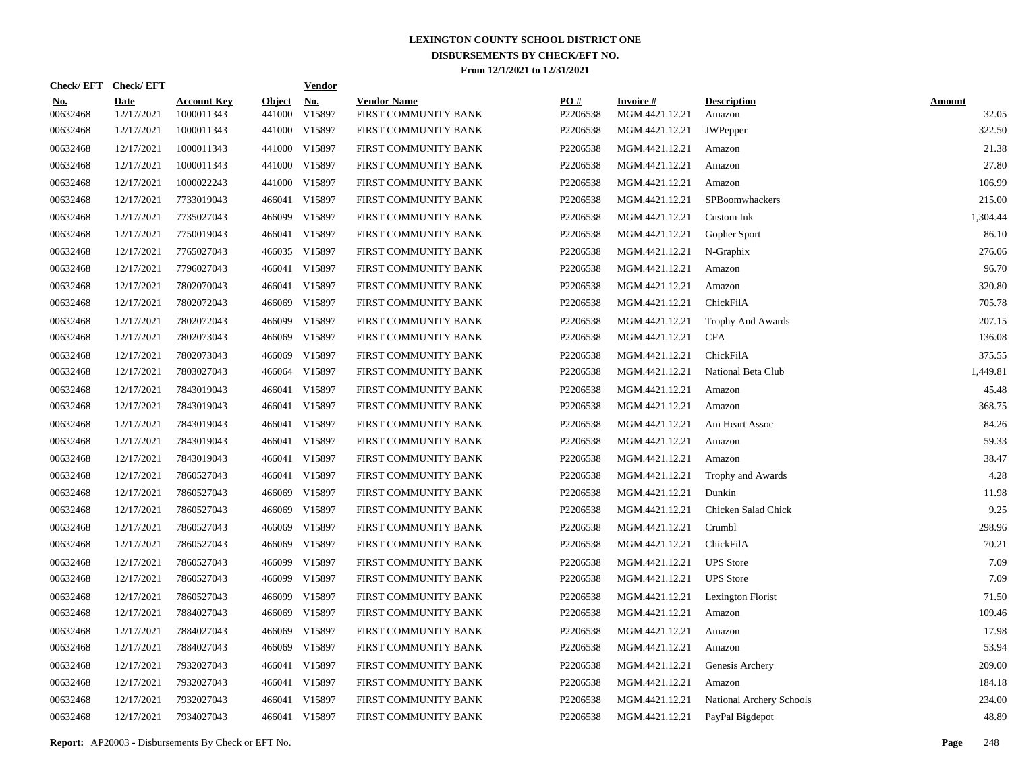|                        | Check/EFT Check/EFT       |                                  |                         | <b>Vendor</b>        |                                            |                 |                                   |                              |                        |
|------------------------|---------------------------|----------------------------------|-------------------------|----------------------|--------------------------------------------|-----------------|-----------------------------------|------------------------------|------------------------|
| <u>No.</u><br>00632468 | <b>Date</b><br>12/17/2021 | <b>Account Key</b><br>1000011343 | <b>Object</b><br>441000 | <u>No.</u><br>V15897 | <b>Vendor Name</b><br>FIRST COMMUNITY BANK | PO#<br>P2206538 | <b>Invoice#</b><br>MGM.4421.12.21 | <b>Description</b><br>Amazon | <b>Amount</b><br>32.05 |
| 00632468               | 12/17/2021                | 1000011343                       |                         | 441000 V15897        | FIRST COMMUNITY BANK                       | P2206538        | MGM.4421.12.21                    | JWPepper                     | 322.50                 |
| 00632468               | 12/17/2021                | 1000011343                       |                         | 441000 V15897        | FIRST COMMUNITY BANK                       | P2206538        | MGM.4421.12.21                    | Amazon                       | 21.38                  |
| 00632468               | 12/17/2021                | 1000011343                       |                         | 441000 V15897        | FIRST COMMUNITY BANK                       | P2206538        | MGM.4421.12.21                    | Amazon                       | 27.80                  |
| 00632468               | 12/17/2021                | 1000022243                       |                         | 441000 V15897        | FIRST COMMUNITY BANK                       | P2206538        | MGM.4421.12.21                    | Amazon                       | 106.99                 |
| 00632468               | 12/17/2021                | 7733019043                       | 466041                  | V15897               | FIRST COMMUNITY BANK                       | P2206538        | MGM.4421.12.21                    | SPBoomwhackers               | 215.00                 |
| 00632468               | 12/17/2021                | 7735027043                       |                         | 466099 V15897        | FIRST COMMUNITY BANK                       | P2206538        | MGM.4421.12.21                    | Custom Ink                   | 1,304.44               |
| 00632468               | 12/17/2021                | 7750019043                       | 466041                  | V15897               | FIRST COMMUNITY BANK                       | P2206538        | MGM.4421.12.21                    | Gopher Sport                 | 86.10                  |
| 00632468               | 12/17/2021                | 7765027043                       |                         | 466035 V15897        | FIRST COMMUNITY BANK                       | P2206538        | MGM.4421.12.21                    | N-Graphix                    | 276.06                 |
| 00632468               | 12/17/2021                | 7796027043                       | 466041                  | V15897               | FIRST COMMUNITY BANK                       | P2206538        | MGM.4421.12.21                    | Amazon                       | 96.70                  |
| 00632468               | 12/17/2021                | 7802070043                       | 466041                  | V15897               | FIRST COMMUNITY BANK                       | P2206538        | MGM.4421.12.21                    | Amazon                       | 320.80                 |
| 00632468               | 12/17/2021                | 7802072043                       | 466069                  | V15897               | FIRST COMMUNITY BANK                       | P2206538        | MGM.4421.12.21                    | ChickFilA                    | 705.78                 |
| 00632468               | 12/17/2021                | 7802072043                       | 466099                  | V15897               | FIRST COMMUNITY BANK                       | P2206538        | MGM.4421.12.21                    | Trophy And Awards            | 207.15                 |
| 00632468               | 12/17/2021                | 7802073043                       | 466069                  | V15897               | FIRST COMMUNITY BANK                       | P2206538        | MGM.4421.12.21                    | <b>CFA</b>                   | 136.08                 |
| 00632468               | 12/17/2021                | 7802073043                       | 466069                  | V15897               | FIRST COMMUNITY BANK                       | P2206538        | MGM.4421.12.21                    | ChickFilA                    | 375.55                 |
| 00632468               | 12/17/2021                | 7803027043                       | 466064                  | V15897               | FIRST COMMUNITY BANK                       | P2206538        | MGM.4421.12.21                    | National Beta Club           | 1,449.81               |
| 00632468               | 12/17/2021                | 7843019043                       | 466041                  | V15897               | FIRST COMMUNITY BANK                       | P2206538        | MGM.4421.12.21                    | Amazon                       | 45.48                  |
| 00632468               | 12/17/2021                | 7843019043                       | 466041                  | V15897               | FIRST COMMUNITY BANK                       | P2206538        | MGM.4421.12.21                    | Amazon                       | 368.75                 |
| 00632468               | 12/17/2021                | 7843019043                       | 466041                  | V15897               | FIRST COMMUNITY BANK                       | P2206538        | MGM.4421.12.21                    | Am Heart Assoc               | 84.26                  |
| 00632468               | 12/17/2021                | 7843019043                       | 466041                  | V15897               | FIRST COMMUNITY BANK                       | P2206538        | MGM.4421.12.21                    | Amazon                       | 59.33                  |
| 00632468               | 12/17/2021                | 7843019043                       | 466041                  | V15897               | FIRST COMMUNITY BANK                       | P2206538        | MGM.4421.12.21                    | Amazon                       | 38.47                  |
| 00632468               | 12/17/2021                | 7860527043                       | 466041                  | V15897               | FIRST COMMUNITY BANK                       | P2206538        | MGM.4421.12.21                    | Trophy and Awards            | 4.28                   |
| 00632468               | 12/17/2021                | 7860527043                       | 466069                  | V15897               | FIRST COMMUNITY BANK                       | P2206538        | MGM.4421.12.21                    | Dunkin                       | 11.98                  |
| 00632468               | 12/17/2021                | 7860527043                       | 466069                  | V15897               | FIRST COMMUNITY BANK                       | P2206538        | MGM.4421.12.21                    | Chicken Salad Chick          | 9.25                   |
| 00632468               | 12/17/2021                | 7860527043                       | 466069                  | V15897               | FIRST COMMUNITY BANK                       | P2206538        | MGM.4421.12.21                    | Crumbl                       | 298.96                 |
| 00632468               | 12/17/2021                | 7860527043                       | 466069                  | V15897               | FIRST COMMUNITY BANK                       | P2206538        | MGM.4421.12.21                    | ChickFilA                    | 70.21                  |
| 00632468               | 12/17/2021                | 7860527043                       | 466099                  | V15897               | FIRST COMMUNITY BANK                       | P2206538        | MGM.4421.12.21                    | <b>UPS</b> Store             | 7.09                   |
| 00632468               | 12/17/2021                | 7860527043                       | 466099                  | V15897               | FIRST COMMUNITY BANK                       | P2206538        | MGM.4421.12.21                    | <b>UPS</b> Store             | 7.09                   |
| 00632468               | 12/17/2021                | 7860527043                       | 466099                  | V15897               | FIRST COMMUNITY BANK                       | P2206538        | MGM.4421.12.21                    | Lexington Florist            | 71.50                  |
| 00632468               | 12/17/2021                | 7884027043                       | 466069                  | V15897               | FIRST COMMUNITY BANK                       | P2206538        | MGM.4421.12.21                    | Amazon                       | 109.46                 |
| 00632468               | 12/17/2021                | 7884027043                       | 466069                  | V15897               | FIRST COMMUNITY BANK                       | P2206538        | MGM.4421.12.21                    | Amazon                       | 17.98                  |
| 00632468               | 12/17/2021                | 7884027043                       | 466069                  | V15897               | FIRST COMMUNITY BANK                       | P2206538        | MGM.4421.12.21                    | Amazon                       | 53.94                  |
| 00632468               | 12/17/2021                | 7932027043                       | 466041                  | V15897               | FIRST COMMUNITY BANK                       | P2206538        | MGM.4421.12.21                    | Genesis Archery              | 209.00                 |
| 00632468               | 12/17/2021                | 7932027043                       | 466041                  | V15897               | FIRST COMMUNITY BANK                       | P2206538        | MGM.4421.12.21                    | Amazon                       | 184.18                 |
| 00632468               | 12/17/2021                | 7932027043                       | 466041                  | V15897               | FIRST COMMUNITY BANK                       | P2206538        | MGM.4421.12.21                    | National Archery Schools     | 234.00                 |
| 00632468               | 12/17/2021                | 7934027043                       |                         | 466041 V15897        | FIRST COMMUNITY BANK                       | P2206538        | MGM.4421.12.21                    | PayPal Bigdepot              | 48.89                  |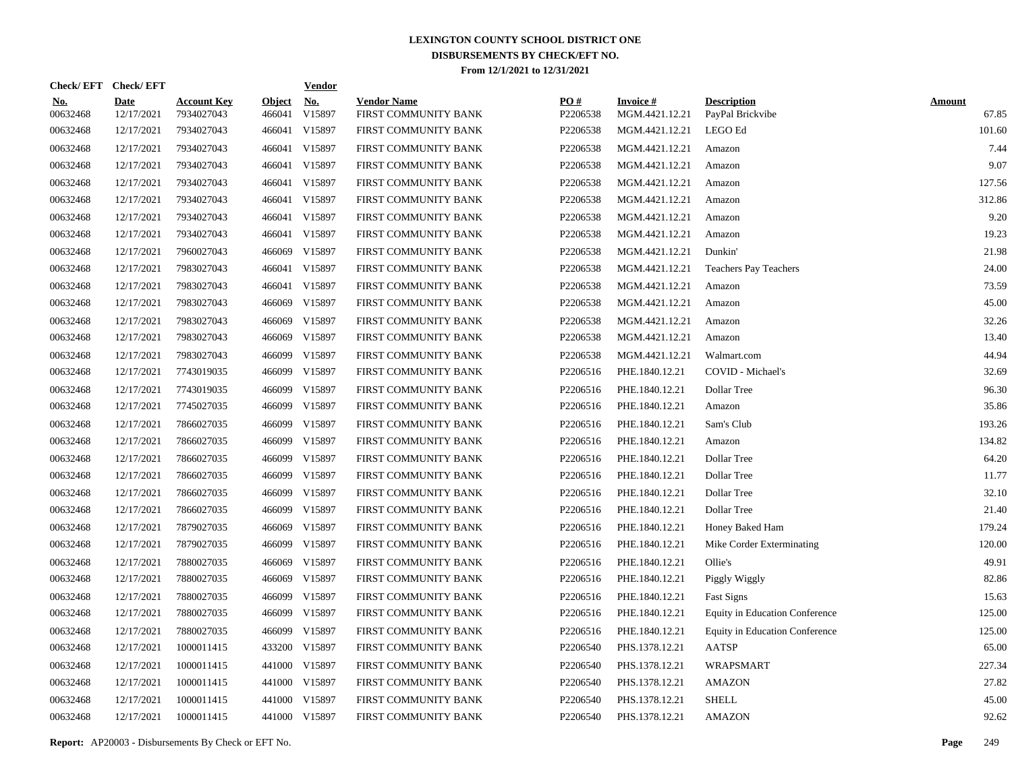| Check/EFT Check/EFT    |                           |                                  |                         | <b>Vendor</b>        |                                            |                 |                                   |                                        |                        |
|------------------------|---------------------------|----------------------------------|-------------------------|----------------------|--------------------------------------------|-----------------|-----------------------------------|----------------------------------------|------------------------|
| <u>No.</u><br>00632468 | <b>Date</b><br>12/17/2021 | <b>Account Key</b><br>7934027043 | <b>Object</b><br>466041 | <u>No.</u><br>V15897 | <b>Vendor Name</b><br>FIRST COMMUNITY BANK | PQ#<br>P2206538 | <b>Invoice#</b><br>MGM.4421.12.21 | <b>Description</b><br>PayPal Brickvibe | <b>Amount</b><br>67.85 |
| 00632468               | 12/17/2021                | 7934027043                       |                         | 466041 V15897        | FIRST COMMUNITY BANK                       | P2206538        | MGM.4421.12.21                    | LEGO Ed                                | 101.60                 |
| 00632468               | 12/17/2021                | 7934027043                       |                         | 466041 V15897        | FIRST COMMUNITY BANK                       | P2206538        | MGM.4421.12.21                    | Amazon                                 | 7.44                   |
| 00632468               | 12/17/2021                | 7934027043                       |                         | 466041 V15897        | FIRST COMMUNITY BANK                       | P2206538        | MGM.4421.12.21                    | Amazon                                 | 9.07                   |
| 00632468               | 12/17/2021                | 7934027043                       |                         | 466041 V15897        | FIRST COMMUNITY BANK                       | P2206538        | MGM.4421.12.21                    | Amazon                                 | 127.56                 |
| 00632468               | 12/17/2021                | 7934027043                       |                         | 466041 V15897        | FIRST COMMUNITY BANK                       | P2206538        | MGM.4421.12.21                    | Amazon                                 | 312.86                 |
| 00632468               | 12/17/2021                | 7934027043                       |                         | 466041 V15897        | FIRST COMMUNITY BANK                       | P2206538        | MGM.4421.12.21                    | Amazon                                 | 9.20                   |
| 00632468               | 12/17/2021                | 7934027043                       |                         | 466041 V15897        | FIRST COMMUNITY BANK                       | P2206538        | MGM.4421.12.21                    | Amazon                                 | 19.23                  |
| 00632468               | 12/17/2021                | 7960027043                       | 466069                  | V15897               | FIRST COMMUNITY BANK                       | P2206538        | MGM.4421.12.21                    | Dunkin'                                | 21.98                  |
| 00632468               | 12/17/2021                | 7983027043                       |                         | 466041 V15897        | FIRST COMMUNITY BANK                       | P2206538        | MGM.4421.12.21                    | Teachers Pay Teachers                  | 24.00                  |
| 00632468               | 12/17/2021                | 7983027043                       |                         | 466041 V15897        | FIRST COMMUNITY BANK                       | P2206538        | MGM.4421.12.21                    | Amazon                                 | 73.59                  |
| 00632468               | 12/17/2021                | 7983027043                       | 466069                  | V15897               | FIRST COMMUNITY BANK                       | P2206538        | MGM.4421.12.21                    | Amazon                                 | 45.00                  |
| 00632468               | 12/17/2021                | 7983027043                       | 466069                  | V15897               | FIRST COMMUNITY BANK                       | P2206538        | MGM.4421.12.21                    | Amazon                                 | 32.26                  |
| 00632468               | 12/17/2021                | 7983027043                       | 466069                  | V15897               | FIRST COMMUNITY BANK                       | P2206538        | MGM.4421.12.21                    | Amazon                                 | 13.40                  |
| 00632468               | 12/17/2021                | 7983027043                       | 466099                  | V15897               | FIRST COMMUNITY BANK                       | P2206538        | MGM.4421.12.21                    | Walmart.com                            | 44.94                  |
| 00632468               | 12/17/2021                | 7743019035                       | 466099                  | V15897               | FIRST COMMUNITY BANK                       | P2206516        | PHE.1840.12.21                    | COVID - Michael's                      | 32.69                  |
| 00632468               | 12/17/2021                | 7743019035                       | 466099                  | V15897               | FIRST COMMUNITY BANK                       | P2206516        | PHE.1840.12.21                    | Dollar Tree                            | 96.30                  |
| 00632468               | 12/17/2021                | 7745027035                       | 466099                  | V15897               | FIRST COMMUNITY BANK                       | P2206516        | PHE.1840.12.21                    | Amazon                                 | 35.86                  |
| 00632468               | 12/17/2021                | 7866027035                       | 466099                  | V15897               | FIRST COMMUNITY BANK                       | P2206516        | PHE.1840.12.21                    | Sam's Club                             | 193.26                 |
| 00632468               | 12/17/2021                | 7866027035                       | 466099                  | V15897               | FIRST COMMUNITY BANK                       | P2206516        | PHE.1840.12.21                    | Amazon                                 | 134.82                 |
| 00632468               | 12/17/2021                | 7866027035                       | 466099                  | V15897               | FIRST COMMUNITY BANK                       | P2206516        | PHE.1840.12.21                    | Dollar Tree                            | 64.20                  |
| 00632468               | 12/17/2021                | 7866027035                       | 466099                  | V15897               | FIRST COMMUNITY BANK                       | P2206516        | PHE.1840.12.21                    | Dollar Tree                            | 11.77                  |
| 00632468               | 12/17/2021                | 7866027035                       | 466099                  | V15897               | FIRST COMMUNITY BANK                       | P2206516        | PHE.1840.12.21                    | Dollar Tree                            | 32.10                  |
| 00632468               | 12/17/2021                | 7866027035                       | 466099                  | V15897               | FIRST COMMUNITY BANK                       | P2206516        | PHE.1840.12.21                    | Dollar Tree                            | 21.40                  |
| 00632468               | 12/17/2021                | 7879027035                       | 466069                  | V15897               | FIRST COMMUNITY BANK                       | P2206516        | PHE.1840.12.21                    | Honey Baked Ham                        | 179.24                 |
| 00632468               | 12/17/2021                | 7879027035                       | 466099                  | V15897               | FIRST COMMUNITY BANK                       | P2206516        | PHE.1840.12.21                    | Mike Corder Exterminating              | 120.00                 |
| 00632468               | 12/17/2021                | 7880027035                       | 466069                  | V15897               | FIRST COMMUNITY BANK                       | P2206516        | PHE.1840.12.21                    | Ollie's                                | 49.91                  |
| 00632468               | 12/17/2021                | 7880027035                       | 466069                  | V15897               | FIRST COMMUNITY BANK                       | P2206516        | PHE.1840.12.21                    | Piggly Wiggly                          | 82.86                  |
| 00632468               | 12/17/2021                | 7880027035                       | 466099                  | V15897               | FIRST COMMUNITY BANK                       | P2206516        | PHE.1840.12.21                    | <b>Fast Signs</b>                      | 15.63                  |
| 00632468               | 12/17/2021                | 7880027035                       | 466099                  | V15897               | FIRST COMMUNITY BANK                       | P2206516        | PHE.1840.12.21                    | <b>Equity in Education Conference</b>  | 125.00                 |
| 00632468               | 12/17/2021                | 7880027035                       | 466099                  | V15897               | FIRST COMMUNITY BANK                       | P2206516        | PHE.1840.12.21                    | <b>Equity in Education Conference</b>  | 125.00                 |
| 00632468               | 12/17/2021                | 1000011415                       | 433200                  | V15897               | FIRST COMMUNITY BANK                       | P2206540        | PHS.1378.12.21                    | <b>AATSP</b>                           | 65.00                  |
| 00632468               | 12/17/2021                | 1000011415                       | 441000                  | V15897               | FIRST COMMUNITY BANK                       | P2206540        | PHS.1378.12.21                    | WRAPSMART                              | 227.34                 |
| 00632468               | 12/17/2021                | 1000011415                       |                         | 441000 V15897        | FIRST COMMUNITY BANK                       | P2206540        | PHS.1378.12.21                    | <b>AMAZON</b>                          | 27.82                  |
| 00632468               | 12/17/2021                | 1000011415                       | 441000                  | V15897               | FIRST COMMUNITY BANK                       | P2206540        | PHS.1378.12.21                    | <b>SHELL</b>                           | 45.00                  |
| 00632468               | 12/17/2021                | 1000011415                       |                         | 441000 V15897        | FIRST COMMUNITY BANK                       | P2206540        | PHS.1378.12.21                    | <b>AMAZON</b>                          | 92.62                  |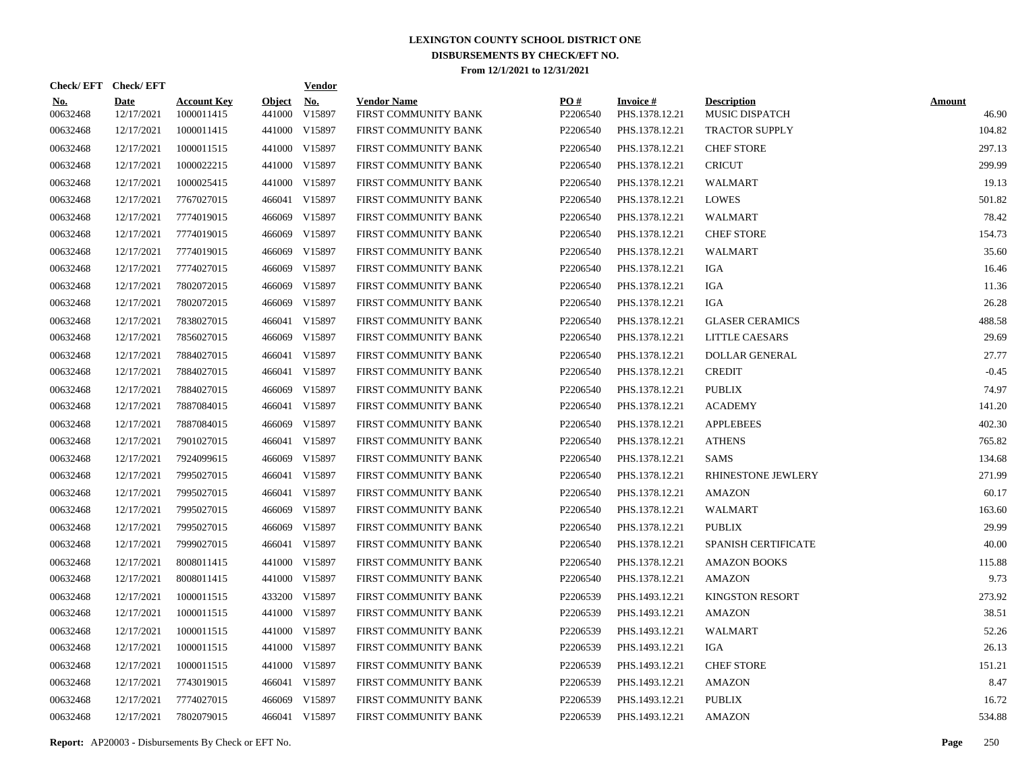|                        | Check/EFT Check/EFT       |                                  |                         | <b>Vendor</b>        |                                            |                      |                                   |                                      |                        |
|------------------------|---------------------------|----------------------------------|-------------------------|----------------------|--------------------------------------------|----------------------|-----------------------------------|--------------------------------------|------------------------|
| <u>No.</u><br>00632468 | <b>Date</b><br>12/17/2021 | <b>Account Key</b><br>1000011415 | <b>Object</b><br>441000 | <b>No.</b><br>V15897 | <b>Vendor Name</b><br>FIRST COMMUNITY BANK | PO#<br>P2206540      | <b>Invoice#</b><br>PHS.1378.12.21 | <b>Description</b><br>MUSIC DISPATCH | <b>Amount</b><br>46.90 |
| 00632468               | 12/17/2021                | 1000011415                       |                         | 441000 V15897        | FIRST COMMUNITY BANK                       | P2206540             | PHS.1378.12.21                    | <b>TRACTOR SUPPLY</b>                | 104.82                 |
| 00632468               | 12/17/2021                | 1000011515                       |                         | 441000 V15897        | FIRST COMMUNITY BANK                       | P <sub>2206540</sub> | PHS.1378.12.21                    | <b>CHEF STORE</b>                    | 297.13                 |
| 00632468               | 12/17/2021                | 1000022215                       |                         | 441000 V15897        | FIRST COMMUNITY BANK                       | P2206540             | PHS.1378.12.21                    | <b>CRICUT</b>                        | 299.99                 |
| 00632468               | 12/17/2021                | 1000025415                       |                         | 441000 V15897        | FIRST COMMUNITY BANK                       | P2206540             | PHS.1378.12.21                    | <b>WALMART</b>                       | 19.13                  |
| 00632468               | 12/17/2021                | 7767027015                       | 466041                  | V15897               | FIRST COMMUNITY BANK                       | P2206540             | PHS.1378.12.21                    | <b>LOWES</b>                         | 501.82                 |
| 00632468               | 12/17/2021                | 7774019015                       |                         | 466069 V15897        | FIRST COMMUNITY BANK                       | P2206540             | PHS.1378.12.21                    | WALMART                              | 78.42                  |
| 00632468               | 12/17/2021                | 7774019015                       | 466069                  | V15897               | FIRST COMMUNITY BANK                       | P2206540             | PHS.1378.12.21                    | <b>CHEF STORE</b>                    | 154.73                 |
| 00632468               | 12/17/2021                | 7774019015                       |                         | 466069 V15897        | FIRST COMMUNITY BANK                       | P2206540             | PHS.1378.12.21                    | WALMART                              | 35.60                  |
| 00632468               | 12/17/2021                | 7774027015                       | 466069                  | V15897               | FIRST COMMUNITY BANK                       | P2206540             | PHS.1378.12.21                    | IGA                                  | 16.46                  |
| 00632468               | 12/17/2021                | 7802072015                       |                         | 466069 V15897        | FIRST COMMUNITY BANK                       | P2206540             | PHS.1378.12.21                    | IGA                                  | 11.36                  |
| 00632468               | 12/17/2021                | 7802072015                       | 466069                  | V15897               | FIRST COMMUNITY BANK                       | P2206540             | PHS.1378.12.21                    | IGA                                  | 26.28                  |
| 00632468               | 12/17/2021                | 7838027015                       |                         | 466041 V15897        | FIRST COMMUNITY BANK                       | P2206540             | PHS.1378.12.21                    | <b>GLASER CERAMICS</b>               | 488.58                 |
| 00632468               | 12/17/2021                | 7856027015                       |                         | 466069 V15897        | FIRST COMMUNITY BANK                       | P2206540             | PHS.1378.12.21                    | <b>LITTLE CAESARS</b>                | 29.69                  |
| 00632468               | 12/17/2021                | 7884027015                       | 466041                  | V15897               | FIRST COMMUNITY BANK                       | P2206540             | PHS.1378.12.21                    | <b>DOLLAR GENERAL</b>                | 27.77                  |
| 00632468               | 12/17/2021                | 7884027015                       |                         | 466041 V15897        | FIRST COMMUNITY BANK                       | P2206540             | PHS.1378.12.21                    | <b>CREDIT</b>                        | $-0.45$                |
| 00632468               | 12/17/2021                | 7884027015                       |                         | 466069 V15897        | FIRST COMMUNITY BANK                       | P2206540             | PHS.1378.12.21                    | <b>PUBLIX</b>                        | 74.97                  |
| 00632468               | 12/17/2021                | 7887084015                       |                         | 466041 V15897        | FIRST COMMUNITY BANK                       | P2206540             | PHS.1378.12.21                    | <b>ACADEMY</b>                       | 141.20                 |
| 00632468               | 12/17/2021                | 7887084015                       |                         | 466069 V15897        | FIRST COMMUNITY BANK                       | P2206540             | PHS.1378.12.21                    | <b>APPLEBEES</b>                     | 402.30                 |
| 00632468               | 12/17/2021                | 7901027015                       |                         | 466041 V15897        | FIRST COMMUNITY BANK                       | P2206540             | PHS.1378.12.21                    | <b>ATHENS</b>                        | 765.82                 |
| 00632468               | 12/17/2021                | 7924099615                       |                         | 466069 V15897        | FIRST COMMUNITY BANK                       | P2206540             | PHS.1378.12.21                    | SAMS                                 | 134.68                 |
| 00632468               | 12/17/2021                | 7995027015                       |                         | 466041 V15897        | FIRST COMMUNITY BANK                       | P2206540             | PHS.1378.12.21                    | RHINESTONE JEWLERY                   | 271.99                 |
| 00632468               | 12/17/2021                | 7995027015                       | 466041                  | V15897               | FIRST COMMUNITY BANK                       | P2206540             | PHS.1378.12.21                    | AMAZON                               | 60.17                  |
| 00632468               | 12/17/2021                | 7995027015                       |                         | 466069 V15897        | FIRST COMMUNITY BANK                       | P2206540             | PHS.1378.12.21                    | WALMART                              | 163.60                 |
| 00632468               | 12/17/2021                | 7995027015                       | 466069                  | V15897               | FIRST COMMUNITY BANK                       | P2206540             | PHS.1378.12.21                    | <b>PUBLIX</b>                        | 29.99                  |
| 00632468               | 12/17/2021                | 7999027015                       |                         | 466041 V15897        | FIRST COMMUNITY BANK                       | P2206540             | PHS.1378.12.21                    | SPANISH CERTIFICATE                  | 40.00                  |
| 00632468               | 12/17/2021                | 8008011415                       |                         | 441000 V15897        | FIRST COMMUNITY BANK                       | P2206540             | PHS.1378.12.21                    | <b>AMAZON BOOKS</b>                  | 115.88                 |
| 00632468               | 12/17/2021                | 8008011415                       |                         | 441000 V15897        | FIRST COMMUNITY BANK                       | P2206540             | PHS.1378.12.21                    | <b>AMAZON</b>                        | 9.73                   |
| 00632468               | 12/17/2021                | 1000011515                       |                         | 433200 V15897        | FIRST COMMUNITY BANK                       | P2206539             | PHS.1493.12.21                    | <b>KINGSTON RESORT</b>               | 273.92                 |
| 00632468               | 12/17/2021                | 1000011515                       |                         | 441000 V15897        | FIRST COMMUNITY BANK                       | P2206539             | PHS.1493.12.21                    | <b>AMAZON</b>                        | 38.51                  |
| 00632468               | 12/17/2021                | 1000011515                       |                         | 441000 V15897        | FIRST COMMUNITY BANK                       | P2206539             | PHS.1493.12.21                    | WALMART                              | 52.26                  |
| 00632468               | 12/17/2021                | 1000011515                       |                         | 441000 V15897        | FIRST COMMUNITY BANK                       | P2206539             | PHS.1493.12.21                    | IGA                                  | 26.13                  |
| 00632468               | 12/17/2021                | 1000011515                       |                         | 441000 V15897        | FIRST COMMUNITY BANK                       | P2206539             | PHS.1493.12.21                    | <b>CHEF STORE</b>                    | 151.21                 |
| 00632468               | 12/17/2021                | 7743019015                       | 466041                  | V15897               | FIRST COMMUNITY BANK                       | P2206539             | PHS.1493.12.21                    | <b>AMAZON</b>                        | 8.47                   |
| 00632468               | 12/17/2021                | 7774027015                       |                         | 466069 V15897        | FIRST COMMUNITY BANK                       | P2206539             | PHS.1493.12.21                    | <b>PUBLIX</b>                        | 16.72                  |
| 00632468               | 12/17/2021                | 7802079015                       |                         | 466041 V15897        | FIRST COMMUNITY BANK                       | P2206539             | PHS.1493.12.21                    | <b>AMAZON</b>                        | 534.88                 |
|                        |                           |                                  |                         |                      |                                            |                      |                                   |                                      |                        |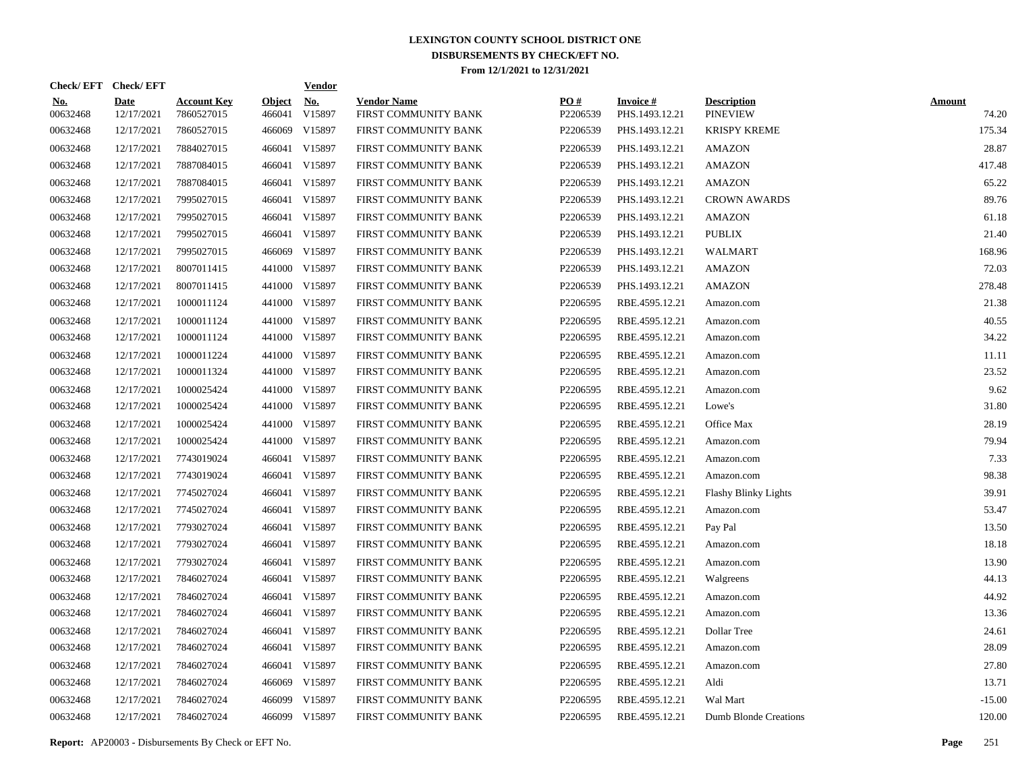|                        | Check/EFT Check/EFT       |                                  |                         | <b>Vendor</b>        |                                            |                 |                                   |                                       |                        |
|------------------------|---------------------------|----------------------------------|-------------------------|----------------------|--------------------------------------------|-----------------|-----------------------------------|---------------------------------------|------------------------|
| <u>No.</u><br>00632468 | <b>Date</b><br>12/17/2021 | <b>Account Key</b><br>7860527015 | <b>Object</b><br>466041 | <b>No.</b><br>V15897 | <b>Vendor Name</b><br>FIRST COMMUNITY BANK | PO#<br>P2206539 | <b>Invoice#</b><br>PHS.1493.12.21 | <b>Description</b><br><b>PINEVIEW</b> | <b>Amount</b><br>74.20 |
| 00632468               | 12/17/2021                | 7860527015                       | 466069                  | V15897               | FIRST COMMUNITY BANK                       | P2206539        | PHS.1493.12.21                    | <b>KRISPY KREME</b>                   | 175.34                 |
| 00632468               | 12/17/2021                | 7884027015                       |                         | 466041 V15897        | FIRST COMMUNITY BANK                       | P2206539        | PHS.1493.12.21                    | <b>AMAZON</b>                         | 28.87                  |
| 00632468               | 12/17/2021                | 7887084015                       |                         | 466041 V15897        | FIRST COMMUNITY BANK                       | P2206539        | PHS.1493.12.21                    | <b>AMAZON</b>                         | 417.48                 |
| 00632468               | 12/17/2021                | 7887084015                       |                         | 466041 V15897        | FIRST COMMUNITY BANK                       | P2206539        | PHS.1493.12.21                    | <b>AMAZON</b>                         | 65.22                  |
| 00632468               | 12/17/2021                | 7995027015                       |                         | 466041 V15897        | FIRST COMMUNITY BANK                       | P2206539        | PHS.1493.12.21                    | <b>CROWN AWARDS</b>                   | 89.76                  |
| 00632468               | 12/17/2021                | 7995027015                       |                         | 466041 V15897        | FIRST COMMUNITY BANK                       | P2206539        | PHS.1493.12.21                    | <b>AMAZON</b>                         | 61.18                  |
| 00632468               | 12/17/2021                | 7995027015                       |                         | 466041 V15897        | FIRST COMMUNITY BANK                       | P2206539        | PHS.1493.12.21                    | <b>PUBLIX</b>                         | 21.40                  |
| 00632468               | 12/17/2021                | 7995027015                       |                         | 466069 V15897        | FIRST COMMUNITY BANK                       | P2206539        | PHS.1493.12.21                    | WALMART                               | 168.96                 |
| 00632468               | 12/17/2021                | 8007011415                       |                         | 441000 V15897        | FIRST COMMUNITY BANK                       | P2206539        | PHS.1493.12.21                    | <b>AMAZON</b>                         | 72.03                  |
| 00632468               | 12/17/2021                | 8007011415                       |                         | 441000 V15897        | FIRST COMMUNITY BANK                       | P2206539        | PHS.1493.12.21                    | <b>AMAZON</b>                         | 278.48                 |
| 00632468               | 12/17/2021                | 1000011124                       |                         | 441000 V15897        | FIRST COMMUNITY BANK                       | P2206595        | RBE.4595.12.21                    | Amazon.com                            | 21.38                  |
| 00632468               | 12/17/2021                | 1000011124                       |                         | 441000 V15897        | FIRST COMMUNITY BANK                       | P2206595        | RBE.4595.12.21                    | Amazon.com                            | 40.55                  |
| 00632468               | 12/17/2021                | 1000011124                       |                         | 441000 V15897        | FIRST COMMUNITY BANK                       | P2206595        | RBE.4595.12.21                    | Amazon.com                            | 34.22                  |
| 00632468               | 12/17/2021                | 1000011224                       |                         | 441000 V15897        | FIRST COMMUNITY BANK                       | P2206595        | RBE.4595.12.21                    | Amazon.com                            | 11.11                  |
| 00632468               | 12/17/2021                | 1000011324                       |                         | 441000 V15897        | FIRST COMMUNITY BANK                       | P2206595        | RBE.4595.12.21                    | Amazon.com                            | 23.52                  |
| 00632468               | 12/17/2021                | 1000025424                       |                         | 441000 V15897        | FIRST COMMUNITY BANK                       | P2206595        | RBE.4595.12.21                    | Amazon.com                            | 9.62                   |
| 00632468               | 12/17/2021                | 1000025424                       |                         | 441000 V15897        | FIRST COMMUNITY BANK                       | P2206595        | RBE.4595.12.21                    | Lowe's                                | 31.80                  |
| 00632468               | 12/17/2021                | 1000025424                       |                         | 441000 V15897        | FIRST COMMUNITY BANK                       | P2206595        | RBE.4595.12.21                    | Office Max                            | 28.19                  |
| 00632468               | 12/17/2021                | 1000025424                       |                         | 441000 V15897        | FIRST COMMUNITY BANK                       | P2206595        | RBE.4595.12.21                    | Amazon.com                            | 79.94                  |
| 00632468               | 12/17/2021                | 7743019024                       |                         | 466041 V15897        | FIRST COMMUNITY BANK                       | P2206595        | RBE.4595.12.21                    | Amazon.com                            | 7.33                   |
| 00632468               | 12/17/2021                | 7743019024                       |                         | 466041 V15897        | FIRST COMMUNITY BANK                       | P2206595        | RBE.4595.12.21                    | Amazon.com                            | 98.38                  |
| 00632468               | 12/17/2021                | 7745027024                       |                         | 466041 V15897        | FIRST COMMUNITY BANK                       | P2206595        | RBE.4595.12.21                    | <b>Flashy Blinky Lights</b>           | 39.91                  |
| 00632468               | 12/17/2021                | 7745027024                       |                         | 466041 V15897        | FIRST COMMUNITY BANK                       | P2206595        | RBE.4595.12.21                    | Amazon.com                            | 53.47                  |
| 00632468               | 12/17/2021                | 7793027024                       |                         | 466041 V15897        | FIRST COMMUNITY BANK                       | P2206595        | RBE.4595.12.21                    | Pay Pal                               | 13.50                  |
| 00632468               | 12/17/2021                | 7793027024                       |                         | 466041 V15897        | FIRST COMMUNITY BANK                       | P2206595        | RBE.4595.12.21                    | Amazon.com                            | 18.18                  |
| 00632468               | 12/17/2021                | 7793027024                       |                         | 466041 V15897        | FIRST COMMUNITY BANK                       | P2206595        | RBE.4595.12.21                    | Amazon.com                            | 13.90                  |
| 00632468               | 12/17/2021                | 7846027024                       |                         | 466041 V15897        | FIRST COMMUNITY BANK                       | P2206595        | RBE.4595.12.21                    | Walgreens                             | 44.13                  |
| 00632468               | 12/17/2021                | 7846027024                       |                         | 466041 V15897        | FIRST COMMUNITY BANK                       | P2206595        | RBE.4595.12.21                    | Amazon.com                            | 44.92                  |
| 00632468               | 12/17/2021                | 7846027024                       |                         | 466041 V15897        | FIRST COMMUNITY BANK                       | P2206595        | RBE.4595.12.21                    | Amazon.com                            | 13.36                  |
| 00632468               | 12/17/2021                | 7846027024                       |                         | 466041 V15897        | FIRST COMMUNITY BANK                       | P2206595        | RBE.4595.12.21                    | Dollar Tree                           | 24.61                  |
| 00632468               | 12/17/2021                | 7846027024                       |                         | 466041 V15897        | FIRST COMMUNITY BANK                       | P2206595        | RBE.4595.12.21                    | Amazon.com                            | 28.09                  |
| 00632468               | 12/17/2021                | 7846027024                       |                         | 466041 V15897        | FIRST COMMUNITY BANK                       | P2206595        | RBE.4595.12.21                    | Amazon.com                            | 27.80                  |
| 00632468               | 12/17/2021                | 7846027024                       |                         | 466069 V15897        | FIRST COMMUNITY BANK                       | P2206595        | RBE.4595.12.21                    | Aldi                                  | 13.71                  |
| 00632468               | 12/17/2021                | 7846027024                       | 466099                  | V15897               | FIRST COMMUNITY BANK                       | P2206595        | RBE.4595.12.21                    | Wal Mart                              | $-15.00$               |
| 00632468               | 12/17/2021                | 7846027024                       |                         | 466099 V15897        | FIRST COMMUNITY BANK                       | P2206595        | RBE.4595.12.21                    | Dumb Blonde Creations                 | 120.00                 |

**Report:** AP20003 - Disbursements By Check or EFT No. **Page** 251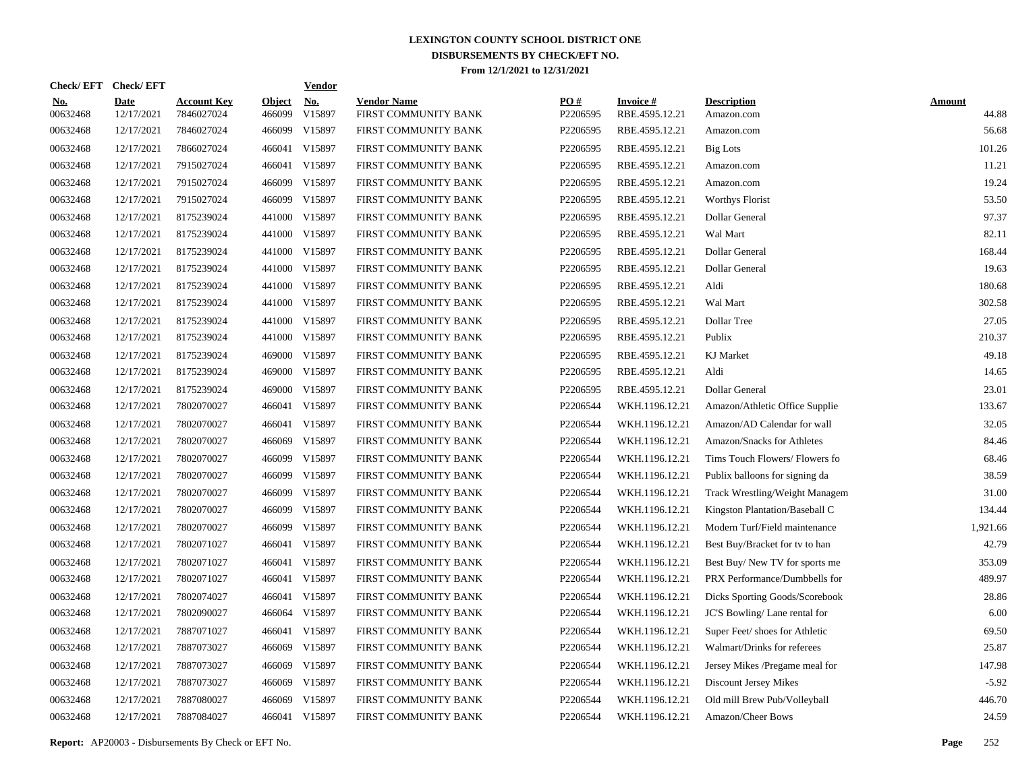| <b>Check/EFT</b>       | <b>Check/EFT</b>          |                                  |                         | <b>Vendor</b>        |                                            |                 |                                   |                                  |                        |
|------------------------|---------------------------|----------------------------------|-------------------------|----------------------|--------------------------------------------|-----------------|-----------------------------------|----------------------------------|------------------------|
| <u>No.</u><br>00632468 | <b>Date</b><br>12/17/2021 | <b>Account Key</b><br>7846027024 | <b>Object</b><br>466099 | <u>No.</u><br>V15897 | <b>Vendor Name</b><br>FIRST COMMUNITY BANK | PO#<br>P2206595 | <b>Invoice#</b><br>RBE.4595.12.21 | <b>Description</b><br>Amazon.com | <b>Amount</b><br>44.88 |
| 00632468               | 12/17/2021                | 7846027024                       | 466099                  | V15897               | FIRST COMMUNITY BANK                       | P2206595        | RBE.4595.12.21                    | Amazon.com                       | 56.68                  |
| 00632468               | 12/17/2021                | 7866027024                       | 466041                  | V15897               | FIRST COMMUNITY BANK                       | P2206595        | RBE.4595.12.21                    | <b>Big Lots</b>                  | 101.26                 |
| 00632468               | 12/17/2021                | 7915027024                       | 466041                  | V15897               | FIRST COMMUNITY BANK                       | P2206595        | RBE.4595.12.21                    | Amazon.com                       | 11.21                  |
| 00632468               | 12/17/2021                | 7915027024                       | 466099                  | V15897               | FIRST COMMUNITY BANK                       | P2206595        | RBE.4595.12.21                    | Amazon.com                       | 19.24                  |
| 00632468               | 12/17/2021                | 7915027024                       | 466099                  | V15897               | FIRST COMMUNITY BANK                       | P2206595        | RBE.4595.12.21                    | <b>Worthys Florist</b>           | 53.50                  |
| 00632468               | 12/17/2021                | 8175239024                       | 441000                  | V15897               | FIRST COMMUNITY BANK                       | P2206595        | RBE.4595.12.21                    | Dollar General                   | 97.37                  |
| 00632468               | 12/17/2021                | 8175239024                       | 441000                  | V15897               | FIRST COMMUNITY BANK                       | P2206595        | RBE.4595.12.21                    | Wal Mart                         | 82.11                  |
| 00632468               | 12/17/2021                | 8175239024                       | 441000                  | V15897               | FIRST COMMUNITY BANK                       | P2206595        | RBE.4595.12.21                    | Dollar General                   | 168.44                 |
| 00632468               | 12/17/2021                | 8175239024                       | 441000                  | V15897               | FIRST COMMUNITY BANK                       | P2206595        | RBE.4595.12.21                    | Dollar General                   | 19.63                  |
| 00632468               | 12/17/2021                | 8175239024                       | 441000                  | V15897               | FIRST COMMUNITY BANK                       | P2206595        | RBE.4595.12.21                    | Aldi                             | 180.68                 |
| 00632468               | 12/17/2021                | 8175239024                       | 441000                  | V15897               | FIRST COMMUNITY BANK                       | P2206595        | RBE.4595.12.21                    | Wal Mart                         | 302.58                 |
| 00632468               | 12/17/2021                | 8175239024                       | 441000                  | V15897               | FIRST COMMUNITY BANK                       | P2206595        | RBE.4595.12.21                    | Dollar Tree                      | 27.05                  |
| 00632468               | 12/17/2021                | 8175239024                       | 441000                  | V15897               | FIRST COMMUNITY BANK                       | P2206595        | RBE.4595.12.21                    | Publix                           | 210.37                 |
| 00632468               | 12/17/2021                | 8175239024                       | 469000                  | V15897               | FIRST COMMUNITY BANK                       | P2206595        | RBE.4595.12.21                    | <b>KJ</b> Market                 | 49.18                  |
| 00632468               | 12/17/2021                | 8175239024                       | 469000                  | V15897               | FIRST COMMUNITY BANK                       | P2206595        | RBE.4595.12.21                    | Aldi                             | 14.65                  |
| 00632468               | 12/17/2021                | 8175239024                       | 469000                  | V15897               | FIRST COMMUNITY BANK                       | P2206595        | RBE.4595.12.21                    | Dollar General                   | 23.01                  |
| 00632468               | 12/17/2021                | 7802070027                       | 466041                  | V15897               | FIRST COMMUNITY BANK                       | P2206544        | WKH.1196.12.21                    | Amazon/Athletic Office Supplie   | 133.67                 |
| 00632468               | 12/17/2021                | 7802070027                       | 466041                  | V15897               | FIRST COMMUNITY BANK                       | P2206544        | WKH.1196.12.21                    | Amazon/AD Calendar for wall      | 32.05                  |
| 00632468               | 12/17/2021                | 7802070027                       | 466069                  | V15897               | FIRST COMMUNITY BANK                       | P2206544        | WKH.1196.12.21                    | Amazon/Snacks for Athletes       | 84.46                  |
| 00632468               | 12/17/2021                | 7802070027                       | 466099                  | V15897               | FIRST COMMUNITY BANK                       | P2206544        | WKH.1196.12.21                    | Tims Touch Flowers/Flowers fo    | 68.46                  |
| 00632468               | 12/17/2021                | 7802070027                       | 466099                  | V15897               | FIRST COMMUNITY BANK                       | P2206544        | WKH.1196.12.21                    | Publix balloons for signing da   | 38.59                  |
| 00632468               | 12/17/2021                | 7802070027                       | 466099                  | V15897               | FIRST COMMUNITY BANK                       | P2206544        | WKH.1196.12.21                    | Track Wrestling/Weight Managem   | 31.00                  |
| 00632468               | 12/17/2021                | 7802070027                       | 466099                  | V15897               | FIRST COMMUNITY BANK                       | P2206544        | WKH.1196.12.21                    | Kingston Plantation/Baseball C   | 134.44                 |
| 00632468               | 12/17/2021                | 7802070027                       | 466099                  | V15897               | FIRST COMMUNITY BANK                       | P2206544        | WKH.1196.12.21                    | Modern Turf/Field maintenance    | 1.921.66               |
| 00632468               | 12/17/2021                | 7802071027                       | 466041                  | V15897               | FIRST COMMUNITY BANK                       | P2206544        | WKH.1196.12.21                    | Best Buy/Bracket for tv to han   | 42.79                  |
| 00632468               | 12/17/2021                | 7802071027                       | 466041                  | V15897               | FIRST COMMUNITY BANK                       | P2206544        | WKH.1196.12.21                    | Best Buy/New TV for sports me    | 353.09                 |
| 00632468               | 12/17/2021                | 7802071027                       |                         | 466041 V15897        | FIRST COMMUNITY BANK                       | P2206544        | WKH.1196.12.21                    | PRX Performance/Dumbbells for    | 489.97                 |
| 00632468               | 12/17/2021                | 7802074027                       | 466041                  | V15897               | FIRST COMMUNITY BANK                       | P2206544        | WKH.1196.12.21                    | Dicks Sporting Goods/Scorebook   | 28.86                  |
| 00632468               | 12/17/2021                | 7802090027                       | 466064                  | V15897               | FIRST COMMUNITY BANK                       | P2206544        | WKH.1196.12.21                    | JC'S Bowling/Lane rental for     | 6.00                   |
| 00632468               | 12/17/2021                | 7887071027                       | 466041                  | V15897               | FIRST COMMUNITY BANK                       | P2206544        | WKH.1196.12.21                    | Super Feet/ shoes for Athletic   | 69.50                  |
| 00632468               | 12/17/2021                | 7887073027                       | 466069                  | V15897               | FIRST COMMUNITY BANK                       | P2206544        | WKH.1196.12.21                    | Walmart/Drinks for referees      | 25.87                  |
| 00632468               | 12/17/2021                | 7887073027                       | 466069                  | V15897               | FIRST COMMUNITY BANK                       | P2206544        | WKH.1196.12.21                    | Jersey Mikes /Pregame meal for   | 147.98                 |
| 00632468               | 12/17/2021                | 7887073027                       | 466069                  | V15897               | FIRST COMMUNITY BANK                       | P2206544        | WKH.1196.12.21                    | Discount Jersey Mikes            | $-5.92$                |
| 00632468               | 12/17/2021                | 7887080027                       | 466069                  | V15897               | FIRST COMMUNITY BANK                       | P2206544        | WKH.1196.12.21                    | Old mill Brew Pub/Volleyball     | 446.70                 |
| 00632468               | 12/17/2021                | 7887084027                       |                         | 466041 V15897        | FIRST COMMUNITY BANK                       | P2206544        | WKH.1196.12.21                    | Amazon/Cheer Bows                | 24.59                  |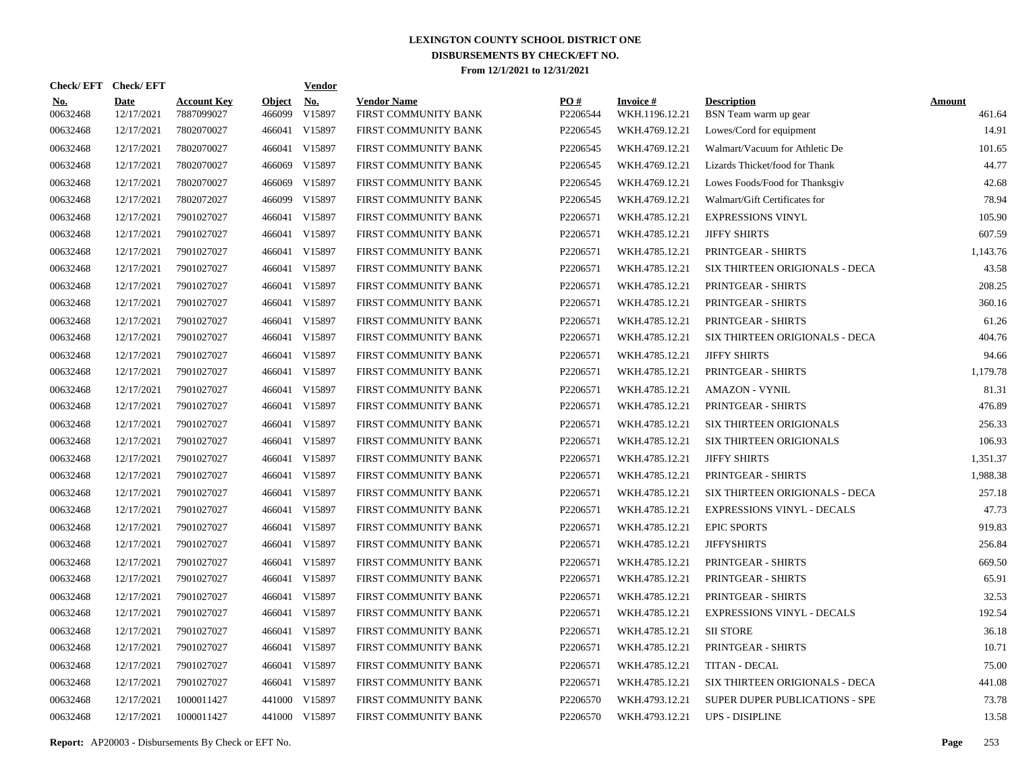|                        | Check/EFT Check/EFT       |                                  |                         | <b>Vendor</b> |                                            |                 |                                   |                                             |                         |
|------------------------|---------------------------|----------------------------------|-------------------------|---------------|--------------------------------------------|-----------------|-----------------------------------|---------------------------------------------|-------------------------|
| <u>No.</u><br>00632468 | <b>Date</b><br>12/17/2021 | <b>Account Key</b><br>7887099027 | <b>Object</b><br>466099 | No.<br>V15897 | <b>Vendor Name</b><br>FIRST COMMUNITY BANK | PO#<br>P2206544 | <b>Invoice#</b><br>WKH.1196.12.21 | <b>Description</b><br>BSN Team warm up gear | <b>Amount</b><br>461.64 |
| 00632468               | 12/17/2021                | 7802070027                       | 466041                  | V15897        | FIRST COMMUNITY BANK                       | P2206545        | WKH.4769.12.21                    | Lowes/Cord for equipment                    | 14.91                   |
| 00632468               | 12/17/2021                | 7802070027                       | 466041                  | V15897        | FIRST COMMUNITY BANK                       | P2206545        | WKH.4769.12.21                    | Walmart/Vacuum for Athletic De              | 101.65                  |
| 00632468               | 12/17/2021                | 7802070027                       | 466069                  | V15897        | FIRST COMMUNITY BANK                       | P2206545        | WKH.4769.12.21                    | Lizards Thicket/food for Thank              | 44.77                   |
| 00632468               | 12/17/2021                | 7802070027                       | 466069                  | V15897        | FIRST COMMUNITY BANK                       | P2206545        | WKH.4769.12.21                    | Lowes Foods/Food for Thanksgiv              | 42.68                   |
| 00632468               | 12/17/2021                | 7802072027                       | 466099                  | V15897        | FIRST COMMUNITY BANK                       | P2206545        | WKH.4769.12.21                    | Walmart/Gift Certificates for               | 78.94                   |
| 00632468               | 12/17/2021                | 7901027027                       | 466041                  | V15897        | FIRST COMMUNITY BANK                       | P2206571        | WKH.4785.12.21                    | <b>EXPRESSIONS VINYL</b>                    | 105.90                  |
| 00632468               | 12/17/2021                | 7901027027                       | 466041                  | V15897        | FIRST COMMUNITY BANK                       | P2206571        | WKH.4785.12.21                    | <b>JIFFY SHIRTS</b>                         | 607.59                  |
| 00632468               | 12/17/2021                | 7901027027                       | 466041                  | V15897        | FIRST COMMUNITY BANK                       | P2206571        | WKH.4785.12.21                    | PRINTGEAR - SHIRTS                          | 1,143.76                |
| 00632468               | 12/17/2021                | 7901027027                       | 466041                  | V15897        | FIRST COMMUNITY BANK                       | P2206571        | WKH.4785.12.21                    | SIX THIRTEEN ORIGIONALS - DECA              | 43.58                   |
| 00632468               | 12/17/2021                | 7901027027                       | 466041                  | V15897        | FIRST COMMUNITY BANK                       | P2206571        | WKH.4785.12.21                    | PRINTGEAR - SHIRTS                          | 208.25                  |
| 00632468               | 12/17/2021                | 7901027027                       | 466041                  | V15897        | FIRST COMMUNITY BANK                       | P2206571        | WKH.4785.12.21                    | PRINTGEAR - SHIRTS                          | 360.16                  |
| 00632468               | 12/17/2021                | 7901027027                       | 466041                  | V15897        | FIRST COMMUNITY BANK                       | P2206571        | WKH.4785.12.21                    | PRINTGEAR - SHIRTS                          | 61.26                   |
| 00632468               | 12/17/2021                | 7901027027                       | 466041                  | V15897        | FIRST COMMUNITY BANK                       | P2206571        | WKH.4785.12.21                    | SIX THIRTEEN ORIGIONALS - DECA              | 404.76                  |
| 00632468               | 12/17/2021                | 7901027027                       | 466041                  | V15897        | FIRST COMMUNITY BANK                       | P2206571        | WKH.4785.12.21                    | <b>JIFFY SHIRTS</b>                         | 94.66                   |
| 00632468               | 12/17/2021                | 7901027027                       | 466041                  | V15897        | FIRST COMMUNITY BANK                       | P2206571        | WKH.4785.12.21                    | PRINTGEAR - SHIRTS                          | 1,179.78                |
| 00632468               | 12/17/2021                | 7901027027                       | 466041                  | V15897        | FIRST COMMUNITY BANK                       | P2206571        | WKH.4785.12.21                    | <b>AMAZON - VYNIL</b>                       | 81.31                   |
| 00632468               | 12/17/2021                | 7901027027                       | 466041                  | V15897        | FIRST COMMUNITY BANK                       | P2206571        | WKH.4785.12.21                    | PRINTGEAR - SHIRTS                          | 476.89                  |
| 00632468               | 12/17/2021                | 7901027027                       | 466041                  | V15897        | FIRST COMMUNITY BANK                       | P2206571        | WKH.4785.12.21                    | <b>SIX THIRTEEN ORIGIONALS</b>              | 256.33                  |
| 00632468               | 12/17/2021                | 7901027027                       | 466041                  | V15897        | FIRST COMMUNITY BANK                       | P2206571        | WKH.4785.12.21                    | <b>SIX THIRTEEN ORIGIONALS</b>              | 106.93                  |
| 00632468               | 12/17/2021                | 7901027027                       | 466041                  | V15897        | FIRST COMMUNITY BANK                       | P2206571        | WKH.4785.12.21                    | <b>JIFFY SHIRTS</b>                         | 1.351.37                |
| 00632468               | 12/17/2021                | 7901027027                       | 466041                  | V15897        | FIRST COMMUNITY BANK                       | P2206571        | WKH.4785.12.21                    | PRINTGEAR - SHIRTS                          | 1,988.38                |
| 00632468               | 12/17/2021                | 7901027027                       | 466041                  | V15897        | FIRST COMMUNITY BANK                       | P2206571        | WKH.4785.12.21                    | SIX THIRTEEN ORIGIONALS - DECA              | 257.18                  |
| 00632468               | 12/17/2021                | 7901027027                       | 466041                  | V15897        | FIRST COMMUNITY BANK                       | P2206571        | WKH.4785.12.21                    | <b>EXPRESSIONS VINYL - DECALS</b>           | 47.73                   |
| 00632468               | 12/17/2021                | 7901027027                       | 466041                  | V15897        | FIRST COMMUNITY BANK                       | P2206571        | WKH.4785.12.21                    | <b>EPIC SPORTS</b>                          | 919.83                  |
| 00632468               | 12/17/2021                | 7901027027                       | 466041                  | V15897        | FIRST COMMUNITY BANK                       | P2206571        | WKH.4785.12.21                    | <b>JIFFYSHIRTS</b>                          | 256.84                  |
| 00632468               | 12/17/2021                | 7901027027                       | 466041                  | V15897        | FIRST COMMUNITY BANK                       | P2206571        | WKH.4785.12.21                    | PRINTGEAR - SHIRTS                          | 669.50                  |
| 00632468               | 12/17/2021                | 7901027027                       | 466041                  | V15897        | FIRST COMMUNITY BANK                       | P2206571        | WKH.4785.12.21                    | PRINTGEAR - SHIRTS                          | 65.91                   |
| 00632468               | 12/17/2021                | 7901027027                       | 466041                  | V15897        | FIRST COMMUNITY BANK                       | P2206571        | WKH.4785.12.21                    | PRINTGEAR - SHIRTS                          | 32.53                   |
| 00632468               | 12/17/2021                | 7901027027                       | 466041                  | V15897        | FIRST COMMUNITY BANK                       | P2206571        | WKH.4785.12.21                    | <b>EXPRESSIONS VINYL - DECALS</b>           | 192.54                  |
| 00632468               | 12/17/2021                | 7901027027                       | 466041                  | V15897        | FIRST COMMUNITY BANK                       | P2206571        | WKH.4785.12.21                    | <b>SII STORE</b>                            | 36.18                   |
| 00632468               | 12/17/2021                | 7901027027                       | 466041                  | V15897        | FIRST COMMUNITY BANK                       | P2206571        | WKH.4785.12.21                    | PRINTGEAR - SHIRTS                          | 10.71                   |
| 00632468               | 12/17/2021                | 7901027027                       | 466041                  | V15897        | FIRST COMMUNITY BANK                       | P2206571        | WKH.4785.12.21                    | <b>TITAN - DECAL</b>                        | 75.00                   |
| 00632468               | 12/17/2021                | 7901027027                       | 466041                  | V15897        | FIRST COMMUNITY BANK                       | P2206571        | WKH.4785.12.21                    | SIX THIRTEEN ORIGIONALS - DECA              | 441.08                  |
| 00632468               | 12/17/2021                | 1000011427                       | 441000                  | V15897        | FIRST COMMUNITY BANK                       | P2206570        | WKH.4793.12.21                    | SUPER DUPER PUBLICATIONS - SPE              | 73.78                   |
| 00632468               | 12/17/2021                | 1000011427                       |                         | 441000 V15897 | FIRST COMMUNITY BANK                       | P2206570        | WKH.4793.12.21                    | <b>UPS - DISIPLINE</b>                      | 13.58                   |

**Report:** AP20003 - Disbursements By Check or EFT No. **Page** 253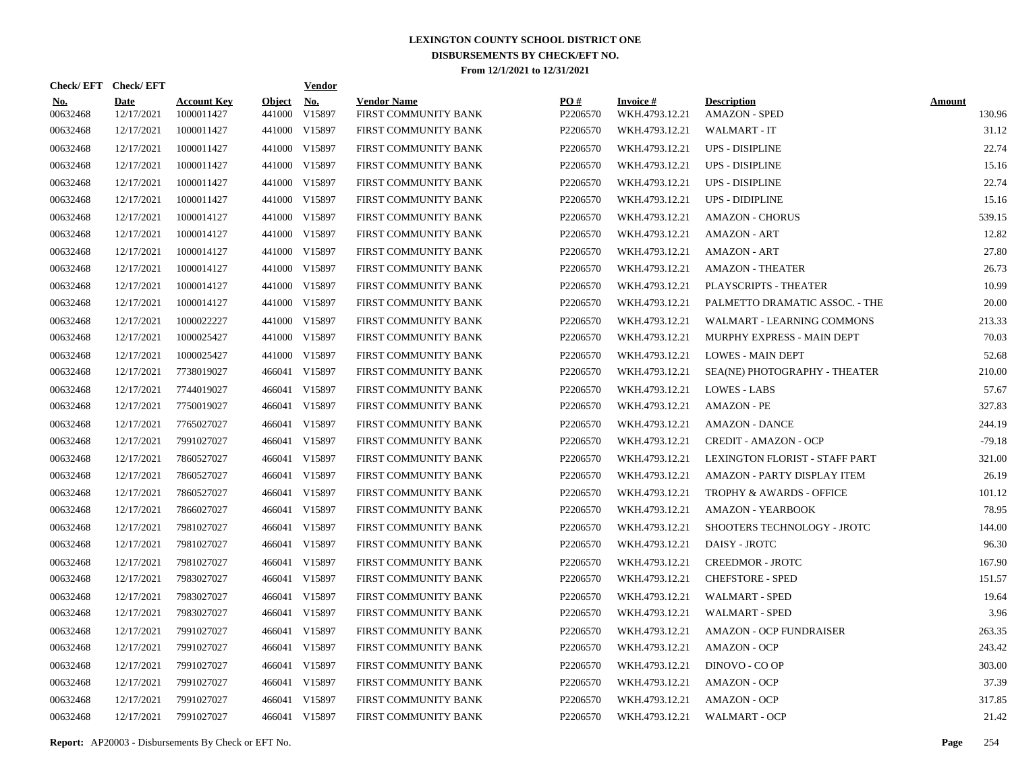|                        | Check/EFT Check/EFT       |                                  |                         | <b>Vendor</b> |                                            |                      |                                   |                                            |                         |
|------------------------|---------------------------|----------------------------------|-------------------------|---------------|--------------------------------------------|----------------------|-----------------------------------|--------------------------------------------|-------------------------|
| <u>No.</u><br>00632468 | <b>Date</b><br>12/17/2021 | <b>Account Key</b><br>1000011427 | <b>Object</b><br>441000 | No.<br>V15897 | <b>Vendor Name</b><br>FIRST COMMUNITY BANK | PO#<br>P2206570      | <b>Invoice#</b><br>WKH.4793.12.21 | <b>Description</b><br><b>AMAZON - SPED</b> | <b>Amount</b><br>130.96 |
| 00632468               | 12/17/2021                | 1000011427                       |                         | 441000 V15897 | FIRST COMMUNITY BANK                       | P2206570             | WKH.4793.12.21                    | WALMART - IT                               | 31.12                   |
| 00632468               | 12/17/2021                | 1000011427                       |                         | 441000 V15897 | FIRST COMMUNITY BANK                       | P2206570             | WKH.4793.12.21                    | UPS - DISIPLINE                            | 22.74                   |
| 00632468               | 12/17/2021                | 1000011427                       |                         | 441000 V15897 | FIRST COMMUNITY BANK                       | P2206570             | WKH.4793.12.21                    | UPS - DISIPLINE                            | 15.16                   |
| 00632468               | 12/17/2021                | 1000011427                       |                         | 441000 V15897 | FIRST COMMUNITY BANK                       | P2206570             | WKH.4793.12.21                    | <b>UPS - DISIPLINE</b>                     | 22.74                   |
| 00632468               | 12/17/2021                | 1000011427                       |                         | 441000 V15897 | FIRST COMMUNITY BANK                       | P2206570             | WKH.4793.12.21                    | <b>UPS - DIDIPLINE</b>                     | 15.16                   |
| 00632468               | 12/17/2021                | 1000014127                       |                         | 441000 V15897 | FIRST COMMUNITY BANK                       | P2206570             | WKH.4793.12.21                    | <b>AMAZON - CHORUS</b>                     | 539.15                  |
| 00632468               | 12/17/2021                | 1000014127                       |                         | 441000 V15897 | FIRST COMMUNITY BANK                       | P2206570             | WKH.4793.12.21                    | <b>AMAZON - ART</b>                        | 12.82                   |
| 00632468               | 12/17/2021                | 1000014127                       |                         | 441000 V15897 | FIRST COMMUNITY BANK                       | P2206570             | WKH.4793.12.21                    | <b>AMAZON - ART</b>                        | 27.80                   |
| 00632468               | 12/17/2021                | 1000014127                       |                         | 441000 V15897 | FIRST COMMUNITY BANK                       | P2206570             | WKH.4793.12.21                    | <b>AMAZON - THEATER</b>                    | 26.73                   |
| 00632468               | 12/17/2021                | 1000014127                       |                         | 441000 V15897 | FIRST COMMUNITY BANK                       | P2206570             | WKH.4793.12.21                    | PLAYSCRIPTS - THEATER                      | 10.99                   |
| 00632468               | 12/17/2021                | 1000014127                       |                         | 441000 V15897 | FIRST COMMUNITY BANK                       | P2206570             | WKH.4793.12.21                    | PALMETTO DRAMATIC ASSOC. - THE             | 20.00                   |
| 00632468               | 12/17/2021                | 1000022227                       |                         | 441000 V15897 | FIRST COMMUNITY BANK                       | P2206570             | WKH.4793.12.21                    | WALMART - LEARNING COMMONS                 | 213.33                  |
| 00632468               | 12/17/2021                | 1000025427                       |                         | 441000 V15897 | FIRST COMMUNITY BANK                       | P2206570             | WKH.4793.12.21                    | MURPHY EXPRESS - MAIN DEPT                 | 70.03                   |
| 00632468               | 12/17/2021                | 1000025427                       |                         | 441000 V15897 | FIRST COMMUNITY BANK                       | P2206570             | WKH.4793.12.21                    | <b>LOWES - MAIN DEPT</b>                   | 52.68                   |
| 00632468               | 12/17/2021                | 7738019027                       |                         | 466041 V15897 | FIRST COMMUNITY BANK                       | P2206570             | WKH.4793.12.21                    | SEA(NE) PHOTOGRAPHY - THEATER              | 210.00                  |
| 00632468               | 12/17/2021                | 7744019027                       |                         | 466041 V15897 | FIRST COMMUNITY BANK                       | P2206570             | WKH.4793.12.21                    | <b>LOWES - LABS</b>                        | 57.67                   |
| 00632468               | 12/17/2021                | 7750019027                       |                         | 466041 V15897 | FIRST COMMUNITY BANK                       | P2206570             | WKH.4793.12.21                    | AMAZON - PE                                | 327.83                  |
| 00632468               | 12/17/2021                | 7765027027                       |                         | 466041 V15897 | FIRST COMMUNITY BANK                       | P2206570             | WKH.4793.12.21                    | AMAZON - DANCE                             | 244.19                  |
| 00632468               | 12/17/2021                | 7991027027                       |                         | 466041 V15897 | FIRST COMMUNITY BANK                       | P2206570             | WKH.4793.12.21                    | <b>CREDIT - AMAZON - OCP</b>               | $-79.18$                |
| 00632468               | 12/17/2021                | 7860527027                       |                         | 466041 V15897 | FIRST COMMUNITY BANK                       | P <sub>2206570</sub> | WKH.4793.12.21                    | LEXINGTON FLORIST - STAFF PART             | 321.00                  |
| 00632468               | 12/17/2021                | 7860527027                       |                         | 466041 V15897 | FIRST COMMUNITY BANK                       | P2206570             | WKH.4793.12.21                    | AMAZON - PARTY DISPLAY ITEM                | 26.19                   |
| 00632468               | 12/17/2021                | 7860527027                       |                         | 466041 V15897 | FIRST COMMUNITY BANK                       | P2206570             | WKH.4793.12.21                    | <b>TROPHY &amp; AWARDS - OFFICE</b>        | 101.12                  |
| 00632468               | 12/17/2021                | 7866027027                       |                         | 466041 V15897 | FIRST COMMUNITY BANK                       | P2206570             | WKH.4793.12.21                    | <b>AMAZON - YEARBOOK</b>                   | 78.95                   |
| 00632468               | 12/17/2021                | 7981027027                       |                         | 466041 V15897 | FIRST COMMUNITY BANK                       | P2206570             | WKH.4793.12.21                    | SHOOTERS TECHNOLOGY - JROTC                | 144.00                  |
| 00632468               | 12/17/2021                | 7981027027                       |                         | 466041 V15897 | FIRST COMMUNITY BANK                       | P2206570             | WKH.4793.12.21                    | <b>DAISY - JROTC</b>                       | 96.30                   |
| 00632468               | 12/17/2021                | 7981027027                       |                         | 466041 V15897 | FIRST COMMUNITY BANK                       | P2206570             | WKH.4793.12.21                    | <b>CREEDMOR - JROTC</b>                    | 167.90                  |
| 00632468               | 12/17/2021                | 7983027027                       |                         | 466041 V15897 | FIRST COMMUNITY BANK                       | P2206570             | WKH.4793.12.21                    | <b>CHEFSTORE - SPED</b>                    | 151.57                  |
| 00632468               | 12/17/2021                | 7983027027                       |                         | 466041 V15897 | FIRST COMMUNITY BANK                       | P <sub>2206570</sub> | WKH.4793.12.21                    | <b>WALMART - SPED</b>                      | 19.64                   |
| 00632468               | 12/17/2021                | 7983027027                       |                         | 466041 V15897 | FIRST COMMUNITY BANK                       | P2206570             | WKH.4793.12.21                    | <b>WALMART - SPED</b>                      | 3.96                    |
| 00632468               | 12/17/2021                | 7991027027                       |                         | 466041 V15897 | FIRST COMMUNITY BANK                       | P2206570             | WKH.4793.12.21                    | <b>AMAZON - OCP FUNDRAISER</b>             | 263.35                  |
| 00632468               | 12/17/2021                | 7991027027                       |                         | 466041 V15897 | FIRST COMMUNITY BANK                       | P2206570             | WKH.4793.12.21                    | <b>AMAZON - OCP</b>                        | 243.42                  |
| 00632468               | 12/17/2021                | 7991027027                       |                         | 466041 V15897 | FIRST COMMUNITY BANK                       | P2206570             | WKH.4793.12.21                    | DINOVO - CO OP                             | 303.00                  |
| 00632468               | 12/17/2021                | 7991027027                       |                         | 466041 V15897 | FIRST COMMUNITY BANK                       | P2206570             | WKH.4793.12.21                    | <b>AMAZON - OCP</b>                        | 37.39                   |
| 00632468               | 12/17/2021                | 7991027027                       |                         | 466041 V15897 | FIRST COMMUNITY BANK                       | P2206570             | WKH.4793.12.21                    | <b>AMAZON - OCP</b>                        | 317.85                  |
| 00632468               | 12/17/2021                | 7991027027                       |                         | 466041 V15897 | FIRST COMMUNITY BANK                       | P2206570             | WKH.4793.12.21                    | <b>WALMART - OCP</b>                       | 21.42                   |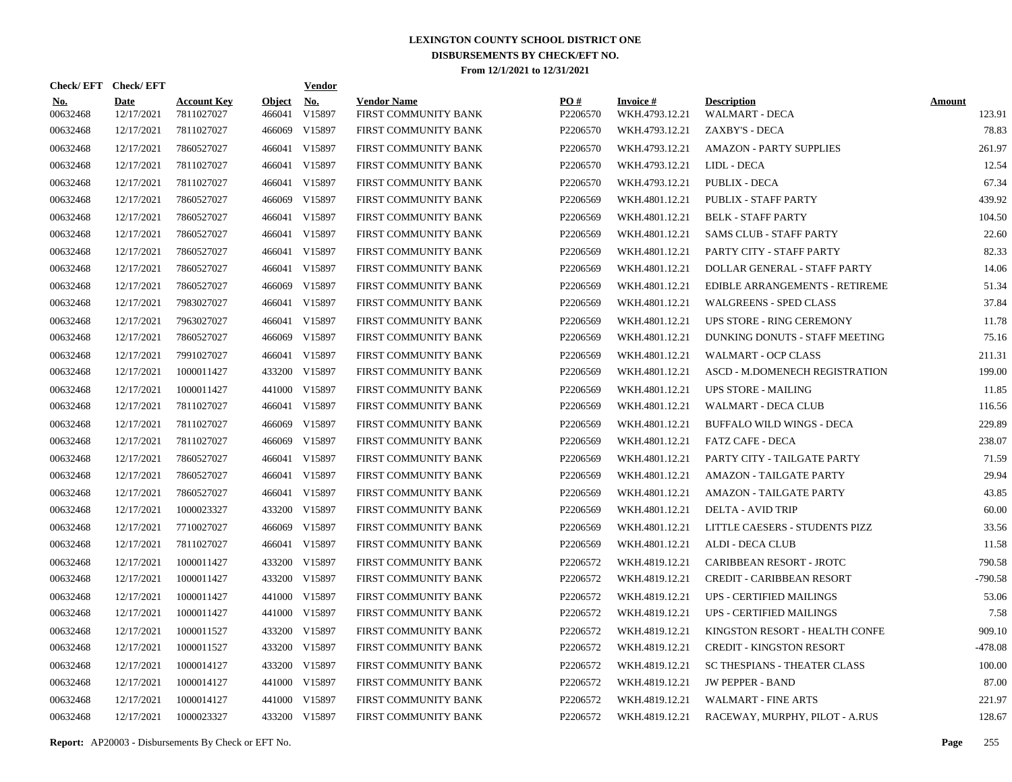| Check/EFT Check/EFT    |                           |                                  |                         | <b>Vendor</b>        |                                            |                      |                                   |                                             |                         |
|------------------------|---------------------------|----------------------------------|-------------------------|----------------------|--------------------------------------------|----------------------|-----------------------------------|---------------------------------------------|-------------------------|
| <b>No.</b><br>00632468 | <b>Date</b><br>12/17/2021 | <b>Account Key</b><br>7811027027 | <b>Object</b><br>466041 | <b>No.</b><br>V15897 | <b>Vendor Name</b><br>FIRST COMMUNITY BANK | PO#<br>P2206570      | <b>Invoice#</b><br>WKH.4793.12.21 | <b>Description</b><br><b>WALMART - DECA</b> | <b>Amount</b><br>123.91 |
| 00632468               | 12/17/2021                | 7811027027                       | 466069                  | V15897               | FIRST COMMUNITY BANK                       | P2206570             | WKH.4793.12.21                    | ZAXBY'S - DECA                              | 78.83                   |
| 00632468               | 12/17/2021                | 7860527027                       | 466041                  | V15897               | FIRST COMMUNITY BANK                       | P2206570             | WKH.4793.12.21                    | <b>AMAZON - PARTY SUPPLIES</b>              | 261.97                  |
| 00632468               | 12/17/2021                | 7811027027                       | 466041                  | V15897               | FIRST COMMUNITY BANK                       | P2206570             | WKH.4793.12.21                    | LIDL - DECA                                 | 12.54                   |
| 00632468               | 12/17/2021                | 7811027027                       | 466041                  | V15897               | FIRST COMMUNITY BANK                       | P2206570             | WKH.4793.12.21                    | <b>PUBLIX - DECA</b>                        | 67.34                   |
| 00632468               | 12/17/2021                | 7860527027                       | 466069                  | V15897               | FIRST COMMUNITY BANK                       | P2206569             | WKH.4801.12.21                    | PUBLIX - STAFF PARTY                        | 439.92                  |
| 00632468               | 12/17/2021                | 7860527027                       | 466041                  | V15897               | FIRST COMMUNITY BANK                       | P <sub>2206569</sub> | WKH.4801.12.21                    | <b>BELK - STAFF PARTY</b>                   | 104.50                  |
| 00632468               | 12/17/2021                | 7860527027                       | 466041                  | V15897               | FIRST COMMUNITY BANK                       | P2206569             | WKH.4801.12.21                    | <b>SAMS CLUB - STAFF PARTY</b>              | 22.60                   |
| 00632468               | 12/17/2021                | 7860527027                       | 466041                  | V15897               | FIRST COMMUNITY BANK                       | P2206569             | WKH.4801.12.21                    | PARTY CITY - STAFF PARTY                    | 82.33                   |
| 00632468               | 12/17/2021                | 7860527027                       | 466041                  | V15897               | FIRST COMMUNITY BANK                       | P2206569             | WKH.4801.12.21                    | DOLLAR GENERAL - STAFF PARTY                | 14.06                   |
| 00632468               | 12/17/2021                | 7860527027                       | 466069                  | V15897               | FIRST COMMUNITY BANK                       | P2206569             | WKH.4801.12.21                    | EDIBLE ARRANGEMENTS - RETIREME              | 51.34                   |
| 00632468               | 12/17/2021                | 7983027027                       | 466041                  | V15897               | FIRST COMMUNITY BANK                       | P2206569             | WKH.4801.12.21                    | <b>WALGREENS - SPED CLASS</b>               | 37.84                   |
| 00632468               | 12/17/2021                | 7963027027                       | 466041                  | V15897               | FIRST COMMUNITY BANK                       | P2206569             | WKH.4801.12.21                    | UPS STORE - RING CEREMONY                   | 11.78                   |
| 00632468               | 12/17/2021                | 7860527027                       | 466069                  | V15897               | FIRST COMMUNITY BANK                       | P2206569             | WKH.4801.12.21                    | DUNKING DONUTS - STAFF MEETING              | 75.16                   |
| 00632468               | 12/17/2021                | 7991027027                       |                         | 466041 V15897        | FIRST COMMUNITY BANK                       | P2206569             | WKH.4801.12.21                    | <b>WALMART - OCP CLASS</b>                  | 211.31                  |
| 00632468               | 12/17/2021                | 1000011427                       | 433200                  | V15897               | FIRST COMMUNITY BANK                       | P2206569             | WKH.4801.12.21                    | ASCD - M.DOMENECH REGISTRATION              | 199.00                  |
| 00632468               | 12/17/2021                | 1000011427                       |                         | 441000 V15897        | FIRST COMMUNITY BANK                       | P2206569             | WKH.4801.12.21                    | <b>UPS STORE - MAILING</b>                  | 11.85                   |
| 00632468               | 12/17/2021                | 7811027027                       |                         | 466041 V15897        | FIRST COMMUNITY BANK                       | P2206569             | WKH.4801.12.21                    | WALMART - DECA CLUB                         | 116.56                  |
| 00632468               | 12/17/2021                | 7811027027                       | 466069                  | V15897               | FIRST COMMUNITY BANK                       | P2206569             | WKH.4801.12.21                    | BUFFALO WILD WINGS - DECA                   | 229.89                  |
| 00632468               | 12/17/2021                | 7811027027                       | 466069                  | V15897               | FIRST COMMUNITY BANK                       | P2206569             | WKH.4801.12.21                    | FATZ CAFE - DECA                            | 238.07                  |
| 00632468               | 12/17/2021                | 7860527027                       |                         | 466041 V15897        | FIRST COMMUNITY BANK                       | P2206569             | WKH.4801.12.21                    | PARTY CITY - TAILGATE PARTY                 | 71.59                   |
| 00632468               | 12/17/2021                | 7860527027                       |                         | 466041 V15897        | FIRST COMMUNITY BANK                       | P2206569             | WKH.4801.12.21                    | <b>AMAZON - TAILGATE PARTY</b>              | 29.94                   |
| 00632468               | 12/17/2021                | 7860527027                       |                         | 466041 V15897        | FIRST COMMUNITY BANK                       | P2206569             | WKH.4801.12.21                    | AMAZON - TAILGATE PARTY                     | 43.85                   |
| 00632468               | 12/17/2021                | 1000023327                       |                         | 433200 V15897        | FIRST COMMUNITY BANK                       | P2206569             | WKH.4801.12.21                    | <b>DELTA - AVID TRIP</b>                    | 60.00                   |
| 00632468               | 12/17/2021                | 7710027027                       | 466069                  | V15897               | FIRST COMMUNITY BANK                       | P2206569             | WKH.4801.12.21                    | LITTLE CAESERS - STUDENTS PIZZ              | 33.56                   |
| 00632468               | 12/17/2021                | 7811027027                       |                         | 466041 V15897        | FIRST COMMUNITY BANK                       | P2206569             | WKH.4801.12.21                    | <b>ALDI - DECA CLUB</b>                     | 11.58                   |
| 00632468               | 12/17/2021                | 1000011427                       | 433200                  | V15897               | FIRST COMMUNITY BANK                       | P2206572             | WKH.4819.12.21                    | CARIBBEAN RESORT - JROTC                    | 790.58                  |
| 00632468               | 12/17/2021                | 1000011427                       |                         | 433200 V15897        | FIRST COMMUNITY BANK                       | P2206572             | WKH.4819.12.21                    | <b>CREDIT - CARIBBEAN RESORT</b>            | $-790.58$               |
| 00632468               | 12/17/2021                | 1000011427                       | 441000                  | V15897               | FIRST COMMUNITY BANK                       | P2206572             | WKH.4819.12.21                    | <b>UPS - CERTIFIED MAILINGS</b>             | 53.06                   |
| 00632468               | 12/17/2021                | 1000011427                       |                         | 441000 V15897        | FIRST COMMUNITY BANK                       | P2206572             | WKH.4819.12.21                    | UPS - CERTIFIED MAILINGS                    | 7.58                    |
| 00632468               | 12/17/2021                | 1000011527                       | 433200                  | V15897               | FIRST COMMUNITY BANK                       | P2206572             | WKH.4819.12.21                    | KINGSTON RESORT - HEALTH CONFE              | 909.10                  |
| 00632468               | 12/17/2021                | 1000011527                       |                         | 433200 V15897        | FIRST COMMUNITY BANK                       | P2206572             | WKH.4819.12.21                    | <b>CREDIT - KINGSTON RESORT</b>             | $-478.08$               |
| 00632468               | 12/17/2021                | 1000014127                       | 433200                  | V15897               | FIRST COMMUNITY BANK                       | P2206572             | WKH.4819.12.21                    | <b>SC THESPIANS - THEATER CLASS</b>         | 100.00                  |
| 00632468               | 12/17/2021                | 1000014127                       |                         | 441000 V15897        | FIRST COMMUNITY BANK                       | P2206572             | WKH.4819.12.21                    | <b>JW PEPPER - BAND</b>                     | 87.00                   |
| 00632468               | 12/17/2021                | 1000014127                       | 441000                  | V15897               | FIRST COMMUNITY BANK                       | P <sub>2206572</sub> | WKH.4819.12.21                    | <b>WALMART - FINE ARTS</b>                  | 221.97                  |
| 00632468               | 12/17/2021                | 1000023327                       |                         | 433200 V15897        | FIRST COMMUNITY BANK                       | P2206572             | WKH.4819.12.21                    | RACEWAY, MURPHY, PILOT - A.RUS              | 128.67                  |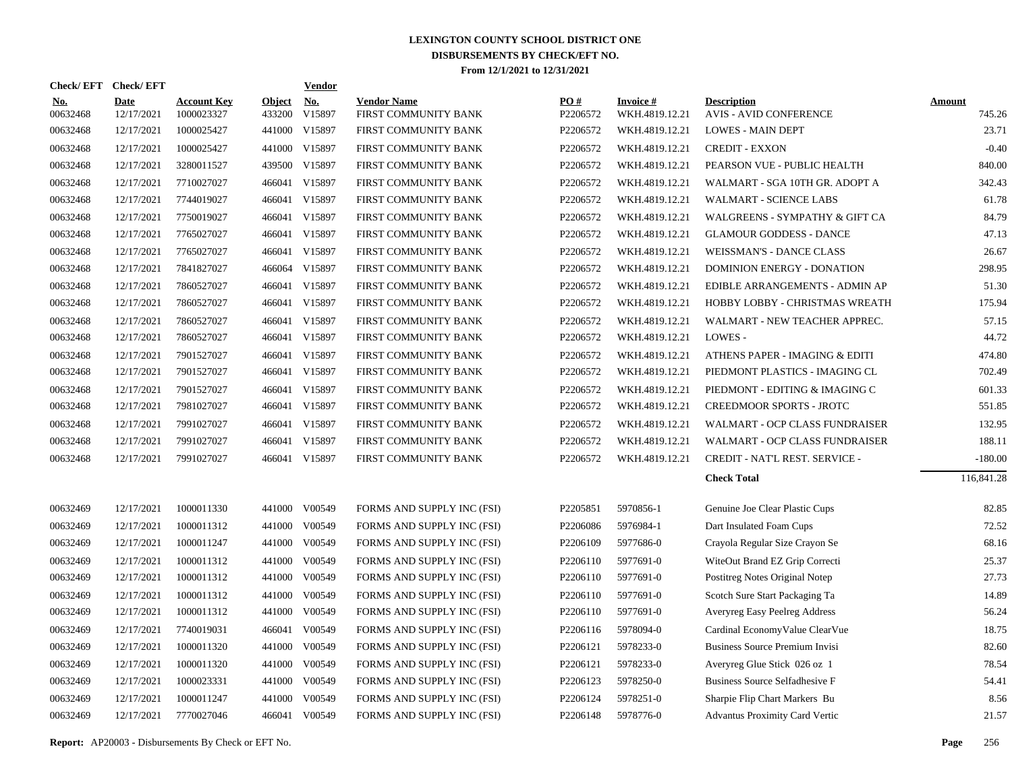| Check/EFT Check/EFT    |                           |                                  |                         | Vendor               |                                            |                      |                                   |                                                     |                  |
|------------------------|---------------------------|----------------------------------|-------------------------|----------------------|--------------------------------------------|----------------------|-----------------------------------|-----------------------------------------------------|------------------|
| <u>No.</u><br>00632468 | <b>Date</b><br>12/17/2021 | <b>Account Key</b><br>1000023327 | <b>Object</b><br>433200 | <b>No.</b><br>V15897 | <b>Vendor Name</b><br>FIRST COMMUNITY BANK | PO#<br>P2206572      | <b>Invoice#</b><br>WKH.4819.12.21 | <b>Description</b><br><b>AVIS - AVID CONFERENCE</b> | Amount<br>745.26 |
| 00632468               | 12/17/2021                | 1000025427                       |                         | 441000 V15897        | FIRST COMMUNITY BANK                       | P2206572             | WKH.4819.12.21                    | <b>LOWES - MAIN DEPT</b>                            | 23.71            |
| 00632468               | 12/17/2021                | 1000025427                       |                         | 441000 V15897        | FIRST COMMUNITY BANK                       | P2206572             | WKH.4819.12.21                    | <b>CREDIT - EXXON</b>                               | $-0.40$          |
| 00632468               | 12/17/2021                | 3280011527                       |                         | 439500 V15897        | FIRST COMMUNITY BANK                       | P2206572             | WKH.4819.12.21                    | PEARSON VUE - PUBLIC HEALTH                         | 840.00           |
| 00632468               | 12/17/2021                | 7710027027                       |                         | 466041 V15897        | FIRST COMMUNITY BANK                       | P2206572             | WKH.4819.12.21                    | WALMART - SGA 10TH GR. ADOPT A                      | 342.43           |
| 00632468               | 12/17/2021                | 7744019027                       |                         | 466041 V15897        | FIRST COMMUNITY BANK                       | P2206572             | WKH.4819.12.21                    | <b>WALMART - SCIENCE LABS</b>                       | 61.78            |
| 00632468               | 12/17/2021                | 7750019027                       |                         | 466041 V15897        | FIRST COMMUNITY BANK                       | P2206572             | WKH.4819.12.21                    | WALGREENS - SYMPATHY & GIFT CA                      | 84.79            |
| 00632468               | 12/17/2021                | 7765027027                       |                         | 466041 V15897        | FIRST COMMUNITY BANK                       | P2206572             | WKH.4819.12.21                    | <b>GLAMOUR GODDESS - DANCE</b>                      | 47.13            |
| 00632468               | 12/17/2021                | 7765027027                       |                         | 466041 V15897        | FIRST COMMUNITY BANK                       | P2206572             | WKH.4819.12.21                    | WEISSMAN'S - DANCE CLASS                            | 26.67            |
| 00632468               | 12/17/2021                | 7841827027                       |                         | 466064 V15897        | FIRST COMMUNITY BANK                       | P2206572             | WKH.4819.12.21                    | DOMINION ENERGY - DONATION                          | 298.95           |
| 00632468               | 12/17/2021                | 7860527027                       |                         | 466041 V15897        | FIRST COMMUNITY BANK                       | P2206572             | WKH.4819.12.21                    | EDIBLE ARRANGEMENTS - ADMIN AP                      | 51.30            |
| 00632468               | 12/17/2021                | 7860527027                       |                         | 466041 V15897        | FIRST COMMUNITY BANK                       | P2206572             | WKH.4819.12.21                    | HOBBY LOBBY - CHRISTMAS WREATH                      | 175.94           |
| 00632468               | 12/17/2021                | 7860527027                       | 466041                  | V15897               | FIRST COMMUNITY BANK                       | P2206572             | WKH.4819.12.21                    | WALMART - NEW TEACHER APPREC.                       | 57.15            |
| 00632468               | 12/17/2021                | 7860527027                       |                         | 466041 V15897        | FIRST COMMUNITY BANK                       | P2206572             | WKH.4819.12.21                    | LOWES -                                             | 44.72            |
| 00632468               | 12/17/2021                | 7901527027                       |                         | 466041 V15897        | FIRST COMMUNITY BANK                       | P2206572             | WKH.4819.12.21                    | ATHENS PAPER - IMAGING & EDITI                      | 474.80           |
| 00632468               | 12/17/2021                | 7901527027                       |                         | 466041 V15897        | FIRST COMMUNITY BANK                       | P2206572             | WKH.4819.12.21                    | PIEDMONT PLASTICS - IMAGING CL                      | 702.49           |
| 00632468               | 12/17/2021                | 7901527027                       |                         | 466041 V15897        | FIRST COMMUNITY BANK                       | P2206572             | WKH.4819.12.21                    | PIEDMONT - EDITING & IMAGING C                      | 601.33           |
| 00632468               | 12/17/2021                | 7981027027                       |                         | 466041 V15897        | FIRST COMMUNITY BANK                       | P2206572             | WKH.4819.12.21                    | CREEDMOOR SPORTS - JROTC                            | 551.85           |
| 00632468               | 12/17/2021                | 7991027027                       |                         | 466041 V15897        | FIRST COMMUNITY BANK                       | P2206572             | WKH.4819.12.21                    | WALMART - OCP CLASS FUNDRAISER                      | 132.95           |
| 00632468               | 12/17/2021                | 7991027027                       |                         | 466041 V15897        | FIRST COMMUNITY BANK                       | P2206572             | WKH.4819.12.21                    | WALMART - OCP CLASS FUNDRAISER                      | 188.11           |
| 00632468               | 12/17/2021                | 7991027027                       |                         | 466041 V15897        | FIRST COMMUNITY BANK                       | P2206572             | WKH.4819.12.21                    | CREDIT - NAT'L REST. SERVICE -                      | $-180.00$        |
|                        |                           |                                  |                         |                      |                                            |                      |                                   | <b>Check Total</b>                                  | 116,841.28       |
| 00632469               | 12/17/2021                | 1000011330                       |                         | 441000 V00549        | FORMS AND SUPPLY INC (FSI)                 | P2205851             | 5970856-1                         | Genuine Joe Clear Plastic Cups                      | 82.85            |
| 00632469               | 12/17/2021                | 1000011312                       | 441000                  | V00549               | FORMS AND SUPPLY INC (FSI)                 | P2206086             | 5976984-1                         | Dart Insulated Foam Cups                            | 72.52            |
| 00632469               | 12/17/2021                | 1000011247                       |                         | 441000 V00549        | FORMS AND SUPPLY INC (FSI)                 | P2206109             | 5977686-0                         | Crayola Regular Size Crayon Se                      | 68.16            |
| 00632469               | 12/17/2021                | 1000011312                       | 441000                  | V00549               | FORMS AND SUPPLY INC (FSI)                 | P2206110             | 5977691-0                         | WiteOut Brand EZ Grip Correcti                      | 25.37            |
| 00632469               | 12/17/2021                | 1000011312                       | 441000                  | V00549               | FORMS AND SUPPLY INC (FSI)                 | P <sub>2206110</sub> | 5977691-0                         | Postitreg Notes Original Notep                      | 27.73            |
| 00632469               | 12/17/2021                | 1000011312                       | 441000                  | V00549               | FORMS AND SUPPLY INC (FSI)                 | P2206110             | 5977691-0                         | Scotch Sure Start Packaging Ta                      | 14.89            |
| 00632469               | 12/17/2021                | 1000011312                       | 441000                  | V00549               | FORMS AND SUPPLY INC (FSI)                 | P2206110             | 5977691-0                         | Averyreg Easy Peelreg Address                       | 56.24            |
| 00632469               | 12/17/2021                | 7740019031                       | 466041                  | V00549               | FORMS AND SUPPLY INC (FSI)                 | P2206116             | 5978094-0                         | Cardinal Economy Value Clear Vue                    | 18.75            |
| 00632469               | 12/17/2021                | 1000011320                       | 441000                  | V00549               | FORMS AND SUPPLY INC (FSI)                 | P2206121             | 5978233-0                         | Business Source Premium Invisi                      | 82.60            |
| 00632469               | 12/17/2021                | 1000011320                       | 441000                  | V00549               | FORMS AND SUPPLY INC (FSI)                 | P2206121             | 5978233-0                         | Averyreg Glue Stick 026 oz 1                        | 78.54            |
| 00632469               | 12/17/2021                | 1000023331                       |                         | 441000 V00549        | FORMS AND SUPPLY INC (FSI)                 | P2206123             | 5978250-0                         | Business Source Selfadhesive F                      | 54.41            |
| 00632469               | 12/17/2021                | 1000011247                       | 441000                  | V00549               | FORMS AND SUPPLY INC (FSI)                 | P2206124             | 5978251-0                         | Sharpie Flip Chart Markers Bu                       | 8.56             |
| 00632469               | 12/17/2021                | 7770027046                       |                         | 466041 V00549        | FORMS AND SUPPLY INC (FSI)                 | P2206148             | 5978776-0                         | <b>Advantus Proximity Card Vertic</b>               | 21.57            |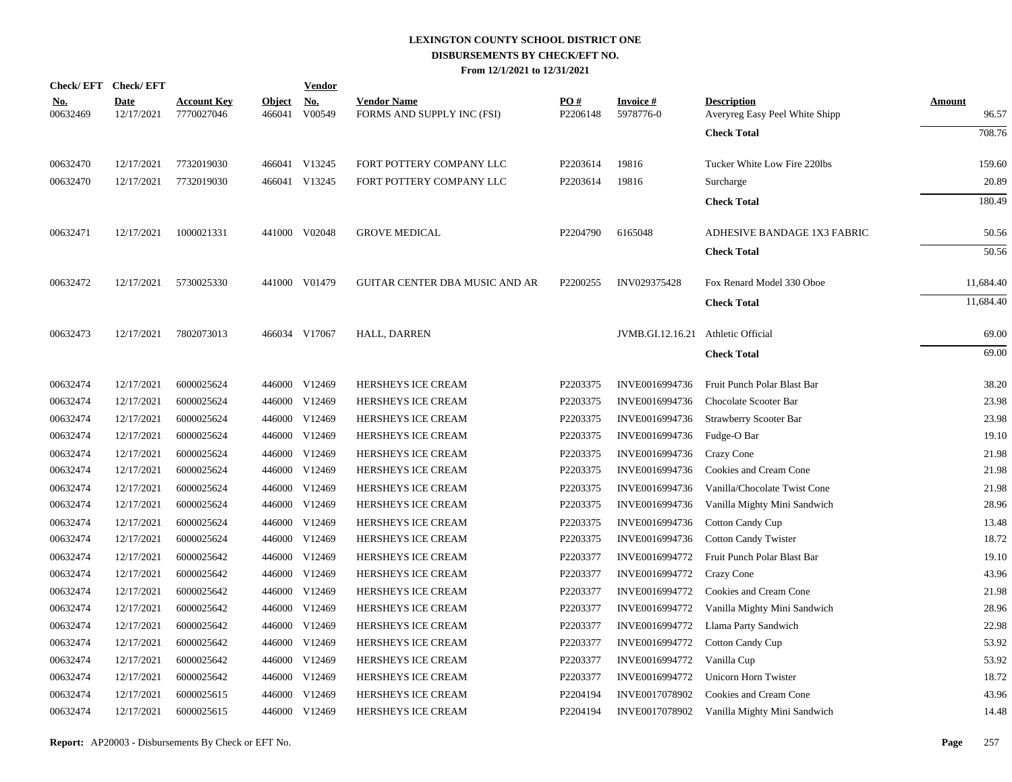|                                                                                                                                                                                                                                                                                                                      |                                                                                                                                                                                                                                                                                                                                                                                                                |                         | <b>Vendor</b>        |                                                                                                                                                                                                                                                                                                                                                                                                                                       |                      |                              |                                                      |                                    |
|----------------------------------------------------------------------------------------------------------------------------------------------------------------------------------------------------------------------------------------------------------------------------------------------------------------------|----------------------------------------------------------------------------------------------------------------------------------------------------------------------------------------------------------------------------------------------------------------------------------------------------------------------------------------------------------------------------------------------------------------|-------------------------|----------------------|---------------------------------------------------------------------------------------------------------------------------------------------------------------------------------------------------------------------------------------------------------------------------------------------------------------------------------------------------------------------------------------------------------------------------------------|----------------------|------------------------------|------------------------------------------------------|------------------------------------|
|                                                                                                                                                                                                                                                                                                                      | <u>Account Key</u><br>7770027046                                                                                                                                                                                                                                                                                                                                                                               | <b>Object</b><br>466041 | <u>No.</u><br>V00549 | <b>Vendor Name</b><br>FORMS AND SUPPLY INC (FSI)                                                                                                                                                                                                                                                                                                                                                                                      | PO#<br>P2206148      | <b>Invoice#</b><br>5978776-0 | <b>Description</b><br>Averyreg Easy Peel White Shipp | <b>Amount</b><br>96.57             |
|                                                                                                                                                                                                                                                                                                                      |                                                                                                                                                                                                                                                                                                                                                                                                                |                         |                      |                                                                                                                                                                                                                                                                                                                                                                                                                                       |                      |                              | <b>Check Total</b>                                   | 708.76                             |
|                                                                                                                                                                                                                                                                                                                      | 7732019030                                                                                                                                                                                                                                                                                                                                                                                                     |                         |                      | FORT POTTERY COMPANY LLC                                                                                                                                                                                                                                                                                                                                                                                                              | P2203614             | 19816                        | Tucker White Low Fire 220lbs                         | 159.60                             |
|                                                                                                                                                                                                                                                                                                                      | 7732019030                                                                                                                                                                                                                                                                                                                                                                                                     |                         |                      | FORT POTTERY COMPANY LLC                                                                                                                                                                                                                                                                                                                                                                                                              | P2203614             | 19816                        | Surcharge                                            | 20.89                              |
|                                                                                                                                                                                                                                                                                                                      |                                                                                                                                                                                                                                                                                                                                                                                                                |                         |                      |                                                                                                                                                                                                                                                                                                                                                                                                                                       |                      |                              | <b>Check Total</b>                                   | 180.49                             |
|                                                                                                                                                                                                                                                                                                                      | 1000021331                                                                                                                                                                                                                                                                                                                                                                                                     |                         |                      | <b>GROVE MEDICAL</b>                                                                                                                                                                                                                                                                                                                                                                                                                  | P <sub>2204790</sub> | 6165048                      | ADHESIVE BANDAGE 1X3 FABRIC                          | 50.56                              |
|                                                                                                                                                                                                                                                                                                                      |                                                                                                                                                                                                                                                                                                                                                                                                                |                         |                      |                                                                                                                                                                                                                                                                                                                                                                                                                                       |                      |                              | <b>Check Total</b>                                   | 50.56                              |
|                                                                                                                                                                                                                                                                                                                      | 5730025330                                                                                                                                                                                                                                                                                                                                                                                                     |                         |                      | <b>GUITAR CENTER DBA MUSIC AND AR</b>                                                                                                                                                                                                                                                                                                                                                                                                 | P2200255             | INV029375428                 | Fox Renard Model 330 Oboe                            | 11,684.40                          |
|                                                                                                                                                                                                                                                                                                                      |                                                                                                                                                                                                                                                                                                                                                                                                                |                         |                      |                                                                                                                                                                                                                                                                                                                                                                                                                                       |                      |                              | <b>Check Total</b>                                   | 11,684.40                          |
|                                                                                                                                                                                                                                                                                                                      | 7802073013                                                                                                                                                                                                                                                                                                                                                                                                     |                         |                      | <b>HALL, DARREN</b>                                                                                                                                                                                                                                                                                                                                                                                                                   |                      |                              |                                                      | 69.00                              |
|                                                                                                                                                                                                                                                                                                                      |                                                                                                                                                                                                                                                                                                                                                                                                                |                         |                      |                                                                                                                                                                                                                                                                                                                                                                                                                                       |                      |                              | <b>Check Total</b>                                   | 69.00                              |
|                                                                                                                                                                                                                                                                                                                      | 6000025624                                                                                                                                                                                                                                                                                                                                                                                                     |                         |                      | HERSHEYS ICE CREAM                                                                                                                                                                                                                                                                                                                                                                                                                    | P2203375             | INVE0016994736               | Fruit Punch Polar Blast Bar                          | 38.20                              |
|                                                                                                                                                                                                                                                                                                                      | 6000025624                                                                                                                                                                                                                                                                                                                                                                                                     |                         |                      | HERSHEYS ICE CREAM                                                                                                                                                                                                                                                                                                                                                                                                                    | P2203375             | INVE0016994736               | Chocolate Scooter Bar                                | 23.98                              |
|                                                                                                                                                                                                                                                                                                                      | 6000025624                                                                                                                                                                                                                                                                                                                                                                                                     |                         |                      | HERSHEYS ICE CREAM                                                                                                                                                                                                                                                                                                                                                                                                                    | P2203375             | INVE0016994736               | Strawberry Scooter Bar                               | 23.98                              |
|                                                                                                                                                                                                                                                                                                                      | 6000025624                                                                                                                                                                                                                                                                                                                                                                                                     |                         |                      | HERSHEYS ICE CREAM                                                                                                                                                                                                                                                                                                                                                                                                                    | P2203375             | INVE0016994736               | Fudge-O Bar                                          | 19.10                              |
|                                                                                                                                                                                                                                                                                                                      | 6000025624                                                                                                                                                                                                                                                                                                                                                                                                     |                         |                      | HERSHEYS ICE CREAM                                                                                                                                                                                                                                                                                                                                                                                                                    | P2203375             | INVE0016994736               | Crazy Cone                                           | 21.98                              |
|                                                                                                                                                                                                                                                                                                                      | 6000025624                                                                                                                                                                                                                                                                                                                                                                                                     |                         |                      | HERSHEYS ICE CREAM                                                                                                                                                                                                                                                                                                                                                                                                                    | P2203375             | INVE0016994736               | Cookies and Cream Cone                               | 21.98                              |
|                                                                                                                                                                                                                                                                                                                      | 6000025624                                                                                                                                                                                                                                                                                                                                                                                                     |                         |                      | HERSHEYS ICE CREAM                                                                                                                                                                                                                                                                                                                                                                                                                    | P2203375             | INVE0016994736               | Vanilla/Chocolate Twist Cone                         | 21.98                              |
|                                                                                                                                                                                                                                                                                                                      | 6000025624                                                                                                                                                                                                                                                                                                                                                                                                     |                         |                      | <b>HERSHEYS ICE CREAM</b>                                                                                                                                                                                                                                                                                                                                                                                                             | P2203375             | INVE0016994736               | Vanilla Mighty Mini Sandwich                         | 28.96                              |
|                                                                                                                                                                                                                                                                                                                      | 6000025624                                                                                                                                                                                                                                                                                                                                                                                                     |                         |                      | HERSHEYS ICE CREAM                                                                                                                                                                                                                                                                                                                                                                                                                    | P2203375             | INVE0016994736               | <b>Cotton Candy Cup</b>                              | 13.48                              |
|                                                                                                                                                                                                                                                                                                                      | 6000025624                                                                                                                                                                                                                                                                                                                                                                                                     |                         |                      | <b>HERSHEYS ICE CREAM</b>                                                                                                                                                                                                                                                                                                                                                                                                             | P2203375             | INVE0016994736               | <b>Cotton Candy Twister</b>                          | 18.72                              |
|                                                                                                                                                                                                                                                                                                                      | 6000025642                                                                                                                                                                                                                                                                                                                                                                                                     |                         |                      | HERSHEYS ICE CREAM                                                                                                                                                                                                                                                                                                                                                                                                                    | P2203377             | INVE0016994772               | Fruit Punch Polar Blast Bar                          | 19.10                              |
|                                                                                                                                                                                                                                                                                                                      | 6000025642                                                                                                                                                                                                                                                                                                                                                                                                     |                         |                      | HERSHEYS ICE CREAM                                                                                                                                                                                                                                                                                                                                                                                                                    | P2203377             | INVE0016994772               | Crazy Cone                                           | 43.96                              |
|                                                                                                                                                                                                                                                                                                                      | 6000025642                                                                                                                                                                                                                                                                                                                                                                                                     |                         |                      | HERSHEYS ICE CREAM                                                                                                                                                                                                                                                                                                                                                                                                                    | P2203377             | INVE0016994772               | Cookies and Cream Cone                               | 21.98                              |
|                                                                                                                                                                                                                                                                                                                      | 6000025642                                                                                                                                                                                                                                                                                                                                                                                                     |                         |                      | HERSHEYS ICE CREAM                                                                                                                                                                                                                                                                                                                                                                                                                    | P2203377             | INVE0016994772               | Vanilla Mighty Mini Sandwich                         | 28.96                              |
|                                                                                                                                                                                                                                                                                                                      | 6000025642                                                                                                                                                                                                                                                                                                                                                                                                     |                         |                      | <b>HERSHEYS ICE CREAM</b>                                                                                                                                                                                                                                                                                                                                                                                                             | P2203377             | INVE0016994772               | Llama Party Sandwich                                 | 22.98                              |
|                                                                                                                                                                                                                                                                                                                      | 6000025642                                                                                                                                                                                                                                                                                                                                                                                                     |                         |                      | HERSHEYS ICE CREAM                                                                                                                                                                                                                                                                                                                                                                                                                    | P2203377             | INVE0016994772               | <b>Cotton Candy Cup</b>                              | 53.92                              |
|                                                                                                                                                                                                                                                                                                                      | 6000025642                                                                                                                                                                                                                                                                                                                                                                                                     |                         |                      | HERSHEYS ICE CREAM                                                                                                                                                                                                                                                                                                                                                                                                                    | P2203377             | INVE0016994772               | Vanilla Cup                                          | 53.92                              |
|                                                                                                                                                                                                                                                                                                                      | 6000025642                                                                                                                                                                                                                                                                                                                                                                                                     |                         |                      | HERSHEYS ICE CREAM                                                                                                                                                                                                                                                                                                                                                                                                                    | P2203377             | INVE0016994772               | Unicorn Horn Twister                                 | 18.72                              |
|                                                                                                                                                                                                                                                                                                                      | 6000025615                                                                                                                                                                                                                                                                                                                                                                                                     |                         |                      | HERSHEYS ICE CREAM                                                                                                                                                                                                                                                                                                                                                                                                                    | P2204194             | INVE0017078902               | Cookies and Cream Cone                               | 43.96                              |
|                                                                                                                                                                                                                                                                                                                      | 6000025615                                                                                                                                                                                                                                                                                                                                                                                                     |                         |                      | HERSHEYS ICE CREAM                                                                                                                                                                                                                                                                                                                                                                                                                    | P2204194             | INVE0017078902               | Vanilla Mighty Mini Sandwich                         | 14.48                              |
| 00632469<br>00632470<br>00632470<br>00632471<br>00632472<br>00632473<br>00632474<br>00632474<br>00632474<br>00632474<br>00632474<br>00632474<br>00632474<br>00632474<br>00632474<br>00632474<br>00632474<br>00632474<br>00632474<br>00632474<br>00632474<br>00632474<br>00632474<br>00632474<br>00632474<br>00632474 | Check/EFT Check/EFT<br><b>Date</b><br>12/17/2021<br>12/17/2021<br>12/17/2021<br>12/17/2021<br>12/17/2021<br>12/17/2021<br>12/17/2021<br>12/17/2021<br>12/17/2021<br>12/17/2021<br>12/17/2021<br>12/17/2021<br>12/17/2021<br>12/17/2021<br>12/17/2021<br>12/17/2021<br>12/17/2021<br>12/17/2021<br>12/17/2021<br>12/17/2021<br>12/17/2021<br>12/17/2021<br>12/17/2021<br>12/17/2021<br>12/17/2021<br>12/17/2021 |                         |                      | 466041 V13245<br>466041 V13245<br>441000 V02048<br>441000 V01479<br>466034 V17067<br>446000 V12469<br>446000 V12469<br>446000 V12469<br>446000 V12469<br>446000 V12469<br>446000 V12469<br>446000 V12469<br>446000 V12469<br>446000 V12469<br>446000 V12469<br>446000 V12469<br>446000 V12469<br>446000 V12469<br>446000 V12469<br>446000 V12469<br>446000 V12469<br>446000 V12469<br>446000 V12469<br>446000 V12469<br>446000 V12469 |                      |                              |                                                      | JVMB.GI.12.16.21 Athletic Official |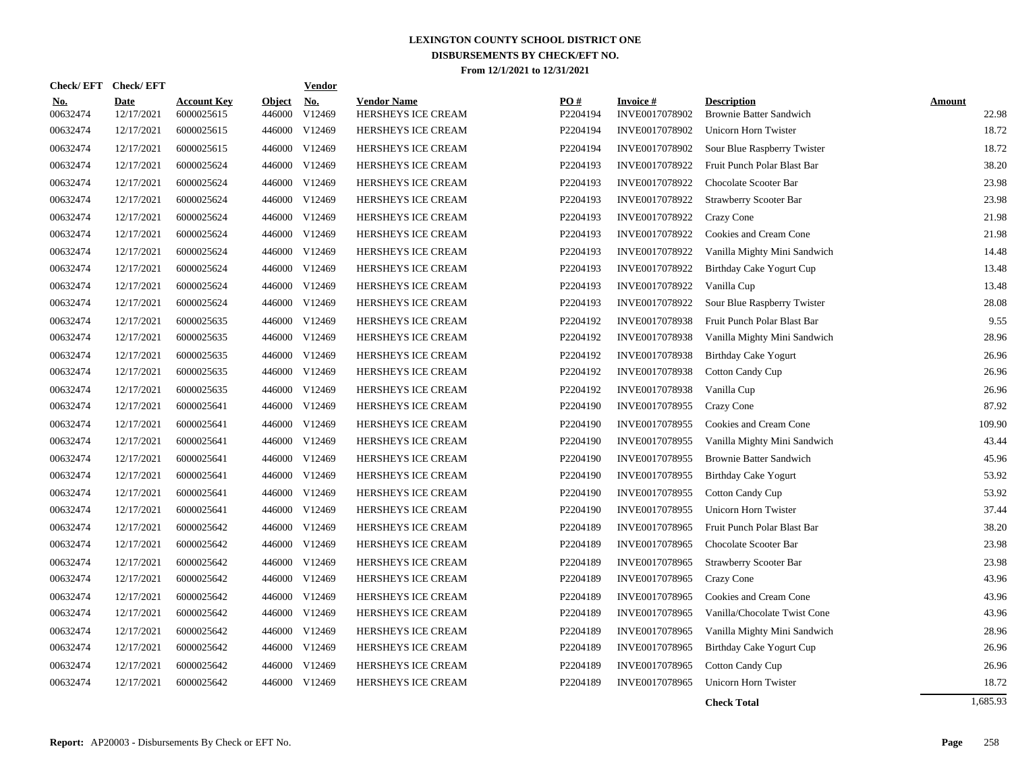| <b>Check/EFT</b>       | <b>Check/EFT</b>          |                                  |                         | <b>Vendor</b>        |                                          |                 |                                    |                                                      |                        |
|------------------------|---------------------------|----------------------------------|-------------------------|----------------------|------------------------------------------|-----------------|------------------------------------|------------------------------------------------------|------------------------|
| <u>No.</u><br>00632474 | <b>Date</b><br>12/17/2021 | <b>Account Key</b><br>6000025615 | <u>Object</u><br>446000 | <u>No.</u><br>V12469 | <b>Vendor Name</b><br>HERSHEYS ICE CREAM | PO#<br>P2204194 | <b>Invoice</b> #<br>INVE0017078902 | <b>Description</b><br><b>Brownie Batter Sandwich</b> | <b>Amount</b><br>22.98 |
| 00632474               | 12/17/2021                | 6000025615                       | 446000                  | V12469               | HERSHEYS ICE CREAM                       | P2204194        | INVE0017078902                     | Unicorn Horn Twister                                 | 18.72                  |
| 00632474               | 12/17/2021                | 6000025615                       | 446000                  | V12469               | <b>HERSHEYS ICE CREAM</b>                | P2204194        | INVE0017078902                     | Sour Blue Raspberry Twister                          | 18.72                  |
| 00632474               | 12/17/2021                | 6000025624                       | 446000                  | V12469               | HERSHEYS ICE CREAM                       | P2204193        | INVE0017078922                     | Fruit Punch Polar Blast Bar                          | 38.20                  |
| 00632474               | 12/17/2021                | 6000025624                       | 446000                  | V12469               | HERSHEYS ICE CREAM                       | P2204193        | INVE0017078922                     | Chocolate Scooter Bar                                | 23.98                  |
| 00632474               | 12/17/2021                | 6000025624                       | 446000                  | V12469               | <b>HERSHEYS ICE CREAM</b>                | P2204193        | INVE0017078922                     | Strawberry Scooter Bar                               | 23.98                  |
| 00632474               | 12/17/2021                | 6000025624                       | 446000                  | V12469               | HERSHEYS ICE CREAM                       | P2204193        | INVE0017078922                     | Crazy Cone                                           | 21.98                  |
| 00632474               | 12/17/2021                | 6000025624                       | 446000                  | V12469               | HERSHEYS ICE CREAM                       | P2204193        | INVE0017078922                     | Cookies and Cream Cone                               | 21.98                  |
| 00632474               | 12/17/2021                | 6000025624                       | 446000                  | V12469               | <b>HERSHEYS ICE CREAM</b>                | P2204193        | INVE0017078922                     | Vanilla Mighty Mini Sandwich                         | 14.48                  |
| 00632474               | 12/17/2021                | 6000025624                       | 446000                  | V12469               | <b>HERSHEYS ICE CREAM</b>                | P2204193        | INVE0017078922                     | Birthday Cake Yogurt Cup                             | 13.48                  |
| 00632474               | 12/17/2021                | 6000025624                       | 446000                  | V12469               | HERSHEYS ICE CREAM                       | P2204193        | INVE0017078922                     | Vanilla Cup                                          | 13.48                  |
| 00632474               | 12/17/2021                | 6000025624                       | 446000                  | V12469               | HERSHEYS ICE CREAM                       | P2204193        | INVE0017078922                     | Sour Blue Raspberry Twister                          | 28.08                  |
| 00632474               | 12/17/2021                | 6000025635                       | 446000                  | V12469               | HERSHEYS ICE CREAM                       | P2204192        | INVE0017078938                     | Fruit Punch Polar Blast Bar                          | 9.55                   |
| 00632474               | 12/17/2021                | 6000025635                       |                         | 446000 V12469        | HERSHEYS ICE CREAM                       | P2204192        | INVE0017078938                     | Vanilla Mighty Mini Sandwich                         | 28.96                  |
| 00632474               | 12/17/2021                | 6000025635                       |                         | 446000 V12469        | <b>HERSHEYS ICE CREAM</b>                | P2204192        | INVE0017078938                     | Birthday Cake Yogurt                                 | 26.96                  |
| 00632474               | 12/17/2021                | 6000025635                       | 446000                  | V12469               | HERSHEYS ICE CREAM                       | P2204192        | INVE0017078938                     | <b>Cotton Candy Cup</b>                              | 26.96                  |
| 00632474               | 12/17/2021                | 6000025635                       | 446000                  | V12469               | HERSHEYS ICE CREAM                       | P2204192        | INVE0017078938                     | Vanilla Cup                                          | 26.96                  |
| 00632474               | 12/17/2021                | 6000025641                       | 446000                  | V12469               | HERSHEYS ICE CREAM                       | P2204190        | INVE0017078955                     | Crazy Cone                                           | 87.92                  |
| 00632474               | 12/17/2021                | 6000025641                       | 446000                  | V12469               | <b>HERSHEYS ICE CREAM</b>                | P2204190        | INVE0017078955                     | Cookies and Cream Cone                               | 109.90                 |
| 00632474               | 12/17/2021                | 6000025641                       | 446000                  | V12469               | <b>HERSHEYS ICE CREAM</b>                | P2204190        | INVE0017078955                     | Vanilla Mighty Mini Sandwich                         | 43.44                  |
| 00632474               | 12/17/2021                | 6000025641                       | 446000                  | V12469               | HERSHEYS ICE CREAM                       | P2204190        | INVE0017078955                     | <b>Brownie Batter Sandwich</b>                       | 45.96                  |
| 00632474               | 12/17/2021                | 6000025641                       | 446000                  | V12469               | HERSHEYS ICE CREAM                       | P2204190        | INVE0017078955                     | Birthday Cake Yogurt                                 | 53.92                  |
| 00632474               | 12/17/2021                | 6000025641                       | 446000                  | V12469               | HERSHEYS ICE CREAM                       | P2204190        | INVE0017078955                     | <b>Cotton Candy Cup</b>                              | 53.92                  |
| 00632474               | 12/17/2021                | 6000025641                       | 446000                  | V12469               | HERSHEYS ICE CREAM                       | P2204190        | INVE0017078955                     | Unicorn Horn Twister                                 | 37.44                  |
| 00632474               | 12/17/2021                | 6000025642                       | 446000                  | V12469               | HERSHEYS ICE CREAM                       | P2204189        | INVE0017078965                     | Fruit Punch Polar Blast Bar                          | 38.20                  |
| 00632474               | 12/17/2021                | 6000025642                       | 446000                  | V12469               | <b>HERSHEYS ICE CREAM</b>                | P2204189        | INVE0017078965                     | Chocolate Scooter Bar                                | 23.98                  |
| 00632474               | 12/17/2021                | 6000025642                       | 446000                  | V12469               | HERSHEYS ICE CREAM                       | P2204189        | INVE0017078965                     | <b>Strawberry Scooter Bar</b>                        | 23.98                  |
| 00632474               | 12/17/2021                | 6000025642                       | 446000                  | V12469               | HERSHEYS ICE CREAM                       | P2204189        | INVE0017078965                     | Crazy Cone                                           | 43.96                  |
| 00632474               | 12/17/2021                | 6000025642                       | 446000                  | V12469               | HERSHEYS ICE CREAM                       | P2204189        | INVE0017078965                     | Cookies and Cream Cone                               | 43.96                  |
| 00632474               | 12/17/2021                | 6000025642                       | 446000                  | V12469               | HERSHEYS ICE CREAM                       | P2204189        | INVE0017078965                     | Vanilla/Chocolate Twist Cone                         | 43.96                  |
| 00632474               | 12/17/2021                | 6000025642                       | 446000                  | V12469               | HERSHEYS ICE CREAM                       | P2204189        | INVE0017078965                     | Vanilla Mighty Mini Sandwich                         | 28.96                  |
| 00632474               | 12/17/2021                | 6000025642                       | 446000                  | V12469               | HERSHEYS ICE CREAM                       | P2204189        | INVE0017078965                     | Birthday Cake Yogurt Cup                             | 26.96                  |
| 00632474               | 12/17/2021                | 6000025642                       | 446000                  | V12469               | HERSHEYS ICE CREAM                       | P2204189        | INVE0017078965                     | Cotton Candy Cup                                     | 26.96                  |
| 00632474               | 12/17/2021                | 6000025642                       |                         | 446000 V12469        | HERSHEYS ICE CREAM                       | P2204189        | INVE0017078965                     | Unicorn Horn Twister                                 | 18.72                  |
|                        |                           |                                  |                         |                      |                                          |                 |                                    |                                                      |                        |

**Check Total** 1,685.93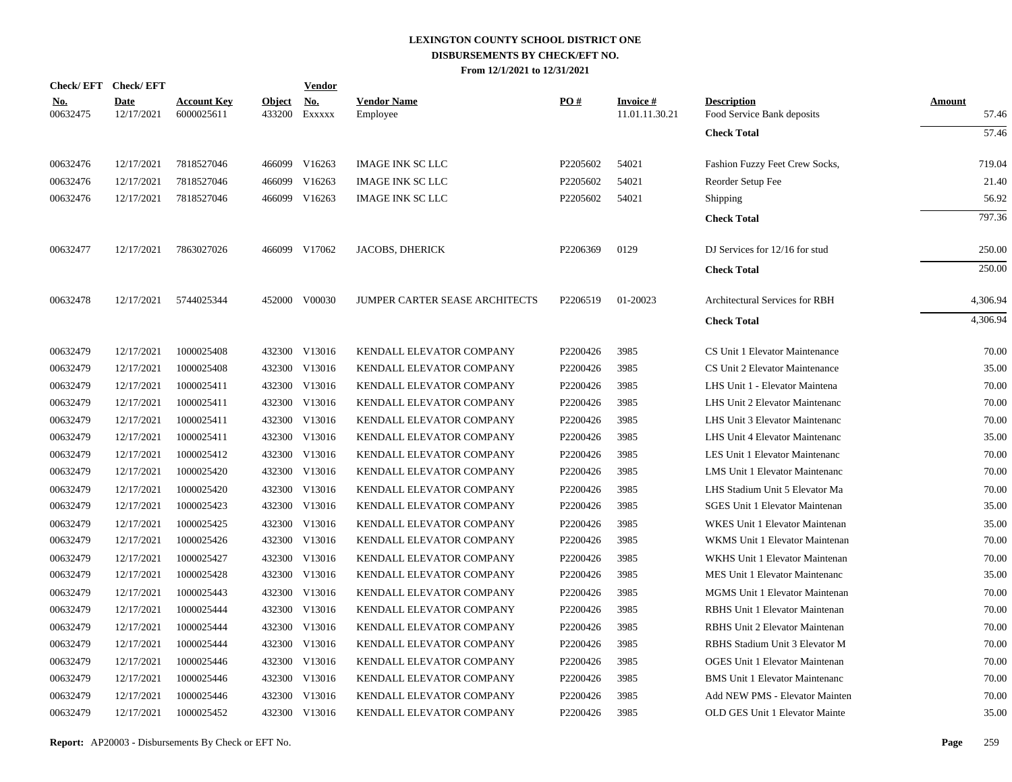|                        | Check/EFT Check/EFT       |                                  |                         | <u>Vendor</u>        |                                |          |                                   |                                                  |                        |
|------------------------|---------------------------|----------------------------------|-------------------------|----------------------|--------------------------------|----------|-----------------------------------|--------------------------------------------------|------------------------|
| <u>No.</u><br>00632475 | <b>Date</b><br>12/17/2021 | <b>Account Key</b><br>6000025611 | <b>Object</b><br>433200 | <u>No.</u><br>Exxxxx | <b>Vendor Name</b><br>Employee | PO#      | <b>Invoice#</b><br>11.01.11.30.21 | <b>Description</b><br>Food Service Bank deposits | <b>Amount</b><br>57.46 |
|                        |                           |                                  |                         |                      |                                |          |                                   | <b>Check Total</b>                               | 57.46                  |
| 00632476               | 12/17/2021                | 7818527046                       | 466099                  | V16263               | <b>IMAGE INK SC LLC</b>        | P2205602 | 54021                             | Fashion Fuzzy Feet Crew Socks,                   | 719.04                 |
| 00632476               | 12/17/2021                | 7818527046                       | 466099                  | V16263               | <b>IMAGE INK SC LLC</b>        | P2205602 | 54021                             | Reorder Setup Fee                                | 21.40                  |
| 00632476               | 12/17/2021                | 7818527046                       | 466099                  | V16263               | <b>IMAGE INK SC LLC</b>        | P2205602 | 54021                             | Shipping                                         | 56.92                  |
|                        |                           |                                  |                         |                      |                                |          |                                   | <b>Check Total</b>                               | 797.36                 |
| 00632477               | 12/17/2021                | 7863027026                       |                         | 466099 V17062        | <b>JACOBS, DHERICK</b>         | P2206369 | 0129                              | DJ Services for 12/16 for stud                   | 250.00                 |
|                        |                           |                                  |                         |                      |                                |          |                                   | <b>Check Total</b>                               | 250.00                 |
| 00632478               | 12/17/2021                | 5744025344                       |                         | 452000 V00030        | JUMPER CARTER SEASE ARCHITECTS | P2206519 | 01-20023                          | Architectural Services for RBH                   | 4,306.94               |
|                        |                           |                                  |                         |                      |                                |          |                                   | <b>Check Total</b>                               | 4,306.94               |
| 00632479               | 12/17/2021                | 1000025408                       |                         | 432300 V13016        | KENDALL ELEVATOR COMPANY       | P2200426 | 3985                              | CS Unit 1 Elevator Maintenance                   | 70.00                  |
| 00632479               | 12/17/2021                | 1000025408                       | 432300                  | V13016               | KENDALL ELEVATOR COMPANY       | P2200426 | 3985                              | CS Unit 2 Elevator Maintenance                   | 35.00                  |
| 00632479               | 12/17/2021                | 1000025411                       | 432300                  | V13016               | KENDALL ELEVATOR COMPANY       | P2200426 | 3985                              | LHS Unit 1 - Elevator Maintena                   | 70.00                  |
| 00632479               | 12/17/2021                | 1000025411                       | 432300                  | V13016               | KENDALL ELEVATOR COMPANY       | P2200426 | 3985                              | LHS Unit 2 Elevator Maintenanc                   | 70.00                  |
| 00632479               | 12/17/2021                | 1000025411                       | 432300                  | V13016               | KENDALL ELEVATOR COMPANY       | P2200426 | 3985                              | LHS Unit 3 Elevator Maintenanc                   | 70.00                  |
| 00632479               | 12/17/2021                | 1000025411                       |                         | 432300 V13016        | KENDALL ELEVATOR COMPANY       | P2200426 | 3985                              | LHS Unit 4 Elevator Maintenanc                   | 35.00                  |
| 00632479               | 12/17/2021                | 1000025412                       | 432300                  | V13016               | KENDALL ELEVATOR COMPANY       | P2200426 | 3985                              | LES Unit 1 Elevator Maintenanc                   | 70.00                  |
| 00632479               | 12/17/2021                | 1000025420                       |                         | 432300 V13016        | KENDALL ELEVATOR COMPANY       | P2200426 | 3985                              | LMS Unit 1 Elevator Maintenanc                   | 70.00                  |
| 00632479               | 12/17/2021                | 1000025420                       |                         | 432300 V13016        | KENDALL ELEVATOR COMPANY       | P2200426 | 3985                              | LHS Stadium Unit 5 Elevator Ma                   | 70.00                  |
| 00632479               | 12/17/2021                | 1000025423                       |                         | 432300 V13016        | KENDALL ELEVATOR COMPANY       | P2200426 | 3985                              | <b>SGES Unit 1 Elevator Maintenan</b>            | 35.00                  |
| 00632479               | 12/17/2021                | 1000025425                       |                         | 432300 V13016        | KENDALL ELEVATOR COMPANY       | P2200426 | 3985                              | WKES Unit 1 Elevator Maintenan                   | 35.00                  |
| 00632479               | 12/17/2021                | 1000025426                       |                         | 432300 V13016        | KENDALL ELEVATOR COMPANY       | P2200426 | 3985                              | WKMS Unit 1 Elevator Maintenan                   | 70.00                  |
| 00632479               | 12/17/2021                | 1000025427                       | 432300                  | V13016               | KENDALL ELEVATOR COMPANY       | P2200426 | 3985                              | WKHS Unit 1 Elevator Maintenan                   | 70.00                  |
| 00632479               | 12/17/2021                | 1000025428                       |                         | 432300 V13016        | KENDALL ELEVATOR COMPANY       | P2200426 | 3985                              | MES Unit 1 Elevator Maintenanc                   | 35.00                  |
| 00632479               | 12/17/2021                | 1000025443                       | 432300                  | V13016               | KENDALL ELEVATOR COMPANY       | P2200426 | 3985                              | <b>MGMS</b> Unit 1 Elevator Maintenan            | 70.00                  |
| 00632479               | 12/17/2021                | 1000025444                       | 432300                  | V13016               | KENDALL ELEVATOR COMPANY       | P2200426 | 3985                              | RBHS Unit 1 Elevator Maintenan                   | 70.00                  |
| 00632479               | 12/17/2021                | 1000025444                       | 432300                  | V13016               | KENDALL ELEVATOR COMPANY       | P2200426 | 3985                              | <b>RBHS Unit 2 Elevator Maintenan</b>            | 70.00                  |
| 00632479               | 12/17/2021                | 1000025444                       | 432300                  | V13016               | KENDALL ELEVATOR COMPANY       | P2200426 | 3985                              | RBHS Stadium Unit 3 Elevator M                   | 70.00                  |
| 00632479               | 12/17/2021                | 1000025446                       | 432300                  | V13016               | KENDALL ELEVATOR COMPANY       | P2200426 | 3985                              | OGES Unit 1 Elevator Maintenan                   | 70.00                  |
| 00632479               | 12/17/2021                | 1000025446                       | 432300                  | V13016               | KENDALL ELEVATOR COMPANY       | P2200426 | 3985                              | <b>BMS</b> Unit 1 Elevator Maintenanc            | 70.00                  |
| 00632479               | 12/17/2021                | 1000025446                       | 432300                  | V13016               | KENDALL ELEVATOR COMPANY       | P2200426 | 3985                              | Add NEW PMS - Elevator Mainten                   | 70.00                  |
| 00632479               | 12/17/2021                | 1000025452                       |                         | 432300 V13016        | KENDALL ELEVATOR COMPANY       | P2200426 | 3985                              | OLD GES Unit 1 Elevator Mainte                   | 35.00                  |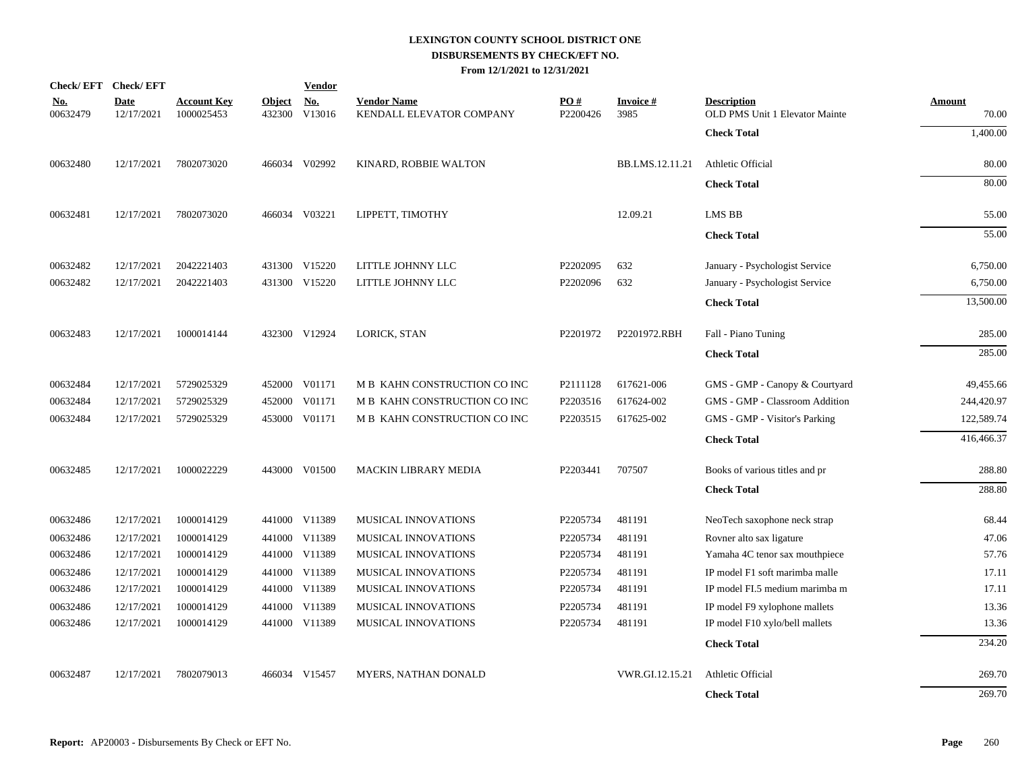| <b>Check/EFT</b>       | <b>Check/EFT</b>          |                                  |                         | <b>Vendor</b>                    |                                                |                 |                   |                                                      |                 |
|------------------------|---------------------------|----------------------------------|-------------------------|----------------------------------|------------------------------------------------|-----------------|-------------------|------------------------------------------------------|-----------------|
| <u>No.</u><br>00632479 | <b>Date</b><br>12/17/2021 | <b>Account Key</b><br>1000025453 | <b>Object</b><br>432300 | $\mathbf{N}\mathbf{o}$<br>V13016 | <b>Vendor Name</b><br>KENDALL ELEVATOR COMPANY | PO#<br>P2200426 | Invoice #<br>3985 | <b>Description</b><br>OLD PMS Unit 1 Elevator Mainte | Amount<br>70.00 |
|                        |                           |                                  |                         |                                  |                                                |                 |                   | <b>Check Total</b>                                   | 1,400.00        |
| 00632480               | 12/17/2021                | 7802073020                       |                         | 466034 V02992                    | KINARD, ROBBIE WALTON                          |                 | BB.LMS.12.11.21   | Athletic Official                                    | 80.00           |
|                        |                           |                                  |                         |                                  |                                                |                 |                   | <b>Check Total</b>                                   | 80.00           |
| 00632481               | 12/17/2021                | 7802073020                       |                         | 466034 V03221                    | LIPPETT, TIMOTHY                               |                 | 12.09.21          | LMS BB                                               | 55.00           |
|                        |                           |                                  |                         |                                  |                                                |                 |                   | <b>Check Total</b>                                   | 55.00           |
| 00632482               | 12/17/2021                | 2042221403                       |                         | 431300 V15220                    | LITTLE JOHNNY LLC                              | P2202095        | 632               | January - Psychologist Service                       | 6,750.00        |
| 00632482               | 12/17/2021                | 2042221403                       |                         | 431300 V15220                    | LITTLE JOHNNY LLC                              | P2202096        | 632               | January - Psychologist Service                       | 6,750.00        |
|                        |                           |                                  |                         |                                  |                                                |                 |                   | <b>Check Total</b>                                   | 13,500.00       |
| 00632483               | 12/17/2021                | 1000014144                       |                         | 432300 V12924                    | LORICK, STAN                                   | P2201972        | P2201972.RBH      | Fall - Piano Tuning                                  | 285.00          |
|                        |                           |                                  |                         |                                  |                                                |                 |                   | <b>Check Total</b>                                   | 285.00          |
| 00632484               | 12/17/2021                | 5729025329                       |                         | 452000 V01171                    | M B KAHN CONSTRUCTION CO INC                   | P2111128        | 617621-006        | GMS - GMP - Canopy & Courtyard                       | 49,455.66       |
| 00632484               | 12/17/2021                | 5729025329                       | 452000                  | V01171                           | M B KAHN CONSTRUCTION CO INC                   | P2203516        | 617624-002        | GMS - GMP - Classroom Addition                       | 244,420.97      |
| 00632484               | 12/17/2021                | 5729025329                       |                         | 453000 V01171                    | M B KAHN CONSTRUCTION CO INC                   | P2203515        | 617625-002        | GMS - GMP - Visitor's Parking                        | 122,589.74      |
|                        |                           |                                  |                         |                                  |                                                |                 |                   | <b>Check Total</b>                                   | 416,466.37      |
| 00632485               | 12/17/2021                | 1000022229                       |                         | 443000 V01500                    | MACKIN LIBRARY MEDIA                           | P2203441        | 707507            | Books of various titles and pr                       | 288.80          |
|                        |                           |                                  |                         |                                  |                                                |                 |                   | <b>Check Total</b>                                   | 288.80          |
| 00632486               | 12/17/2021                | 1000014129                       |                         | 441000 V11389                    | <b>MUSICAL INNOVATIONS</b>                     | P2205734        | 481191            | NeoTech saxophone neck strap                         | 68.44           |
| 00632486               | 12/17/2021                | 1000014129                       |                         | 441000 V11389                    | MUSICAL INNOVATIONS                            | P2205734        | 481191            | Rovner alto sax ligature                             | 47.06           |
| 00632486               | 12/17/2021                | 1000014129                       |                         | 441000 V11389                    | MUSICAL INNOVATIONS                            | P2205734        | 481191            | Yamaha 4C tenor sax mouthpiece                       | 57.76           |
| 00632486               | 12/17/2021                | 1000014129                       |                         | 441000 V11389                    | MUSICAL INNOVATIONS                            | P2205734        | 481191            | IP model F1 soft marimba malle                       | 17.11           |
| 00632486               | 12/17/2021                | 1000014129                       |                         | 441000 V11389                    | MUSICAL INNOVATIONS                            | P2205734        | 481191            | IP model FI.5 medium marimba m                       | 17.11           |
| 00632486               | 12/17/2021                | 1000014129                       |                         | 441000 V11389                    | MUSICAL INNOVATIONS                            | P2205734        | 481191            | IP model F9 xylophone mallets                        | 13.36           |
| 00632486               | 12/17/2021                | 1000014129                       |                         | 441000 V11389                    | MUSICAL INNOVATIONS                            | P2205734        | 481191            | IP model F10 xylo/bell mallets                       | 13.36           |
|                        |                           |                                  |                         |                                  |                                                |                 |                   | <b>Check Total</b>                                   | 234.20          |
| 00632487               | 12/17/2021                | 7802079013                       |                         | 466034 V15457                    | MYERS, NATHAN DONALD                           |                 | VWR.GI.12.15.21   | Athletic Official                                    | 269.70          |
|                        |                           |                                  |                         |                                  |                                                |                 |                   | <b>Check Total</b>                                   | 269.70          |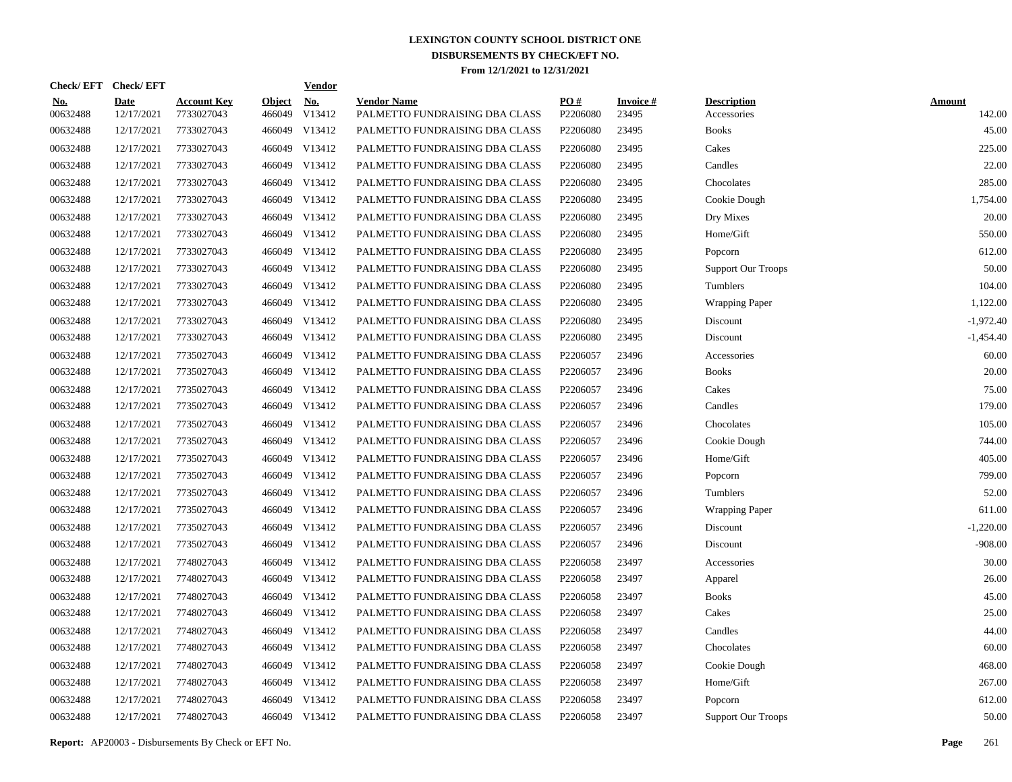| <b>Check/EFT</b>       | <b>Check/EFT</b>          |                                  |                         | <u>Vendor</u> |                                                      |                 |                          |                                   |                         |
|------------------------|---------------------------|----------------------------------|-------------------------|---------------|------------------------------------------------------|-----------------|--------------------------|-----------------------------------|-------------------------|
| <u>No.</u><br>00632488 | <b>Date</b><br>12/17/2021 | <u>Account Key</u><br>7733027043 | <b>Object</b><br>466049 | No.<br>V13412 | <b>Vendor Name</b><br>PALMETTO FUNDRAISING DBA CLASS | PO#<br>P2206080 | <b>Invoice#</b><br>23495 | <b>Description</b><br>Accessories | <b>Amount</b><br>142.00 |
| 00632488               | 12/17/2021                | 7733027043                       |                         | 466049 V13412 | PALMETTO FUNDRAISING DBA CLASS                       | P2206080        | 23495                    | <b>Books</b>                      | 45.00                   |
| 00632488               | 12/17/2021                | 7733027043                       |                         | 466049 V13412 | PALMETTO FUNDRAISING DBA CLASS                       | P2206080        | 23495                    | Cakes                             | 225.00                  |
| 00632488               | 12/17/2021                | 7733027043                       |                         | 466049 V13412 | PALMETTO FUNDRAISING DBA CLASS                       | P2206080        | 23495                    | Candles                           | 22.00                   |
| 00632488               | 12/17/2021                | 7733027043                       |                         | 466049 V13412 | PALMETTO FUNDRAISING DBA CLASS                       | P2206080        | 23495                    | Chocolates                        | 285.00                  |
| 00632488               | 12/17/2021                | 7733027043                       |                         | 466049 V13412 | PALMETTO FUNDRAISING DBA CLASS                       | P2206080        | 23495                    | Cookie Dough                      | 1,754.00                |
| 00632488               | 12/17/2021                | 7733027043                       |                         | 466049 V13412 | PALMETTO FUNDRAISING DBA CLASS                       | P2206080        | 23495                    | Dry Mixes                         | 20.00                   |
| 00632488               | 12/17/2021                | 7733027043                       |                         | 466049 V13412 | PALMETTO FUNDRAISING DBA CLASS                       | P2206080        | 23495                    | Home/Gift                         | 550.00                  |
| 00632488               | 12/17/2021                | 7733027043                       |                         | 466049 V13412 | PALMETTO FUNDRAISING DBA CLASS                       | P2206080        | 23495                    | Popcorn                           | 612.00                  |
| 00632488               | 12/17/2021                | 7733027043                       |                         | 466049 V13412 | PALMETTO FUNDRAISING DBA CLASS                       | P2206080        | 23495                    | <b>Support Our Troops</b>         | 50.00                   |
| 00632488               | 12/17/2021                | 7733027043                       |                         | 466049 V13412 | PALMETTO FUNDRAISING DBA CLASS                       | P2206080        | 23495                    | Tumblers                          | 104.00                  |
| 00632488               | 12/17/2021                | 7733027043                       |                         | 466049 V13412 | PALMETTO FUNDRAISING DBA CLASS                       | P2206080        | 23495                    | <b>Wrapping Paper</b>             | 1,122.00                |
| 00632488               | 12/17/2021                | 7733027043                       |                         | 466049 V13412 | PALMETTO FUNDRAISING DBA CLASS                       | P2206080        | 23495                    | Discount                          | $-1,972.40$             |
| 00632488               | 12/17/2021                | 7733027043                       |                         | 466049 V13412 | PALMETTO FUNDRAISING DBA CLASS                       | P2206080        | 23495                    | Discount                          | -1,454.40               |
| 00632488               | 12/17/2021                | 7735027043                       |                         | 466049 V13412 | PALMETTO FUNDRAISING DBA CLASS                       | P2206057        | 23496                    | Accessories                       | 60.00                   |
| 00632488               | 12/17/2021                | 7735027043                       |                         | 466049 V13412 | PALMETTO FUNDRAISING DBA CLASS                       | P2206057        | 23496                    | <b>Books</b>                      | 20.00                   |
| 00632488               | 12/17/2021                | 7735027043                       |                         | 466049 V13412 | PALMETTO FUNDRAISING DBA CLASS                       | P2206057        | 23496                    | Cakes                             | 75.00                   |
| 00632488               | 12/17/2021                | 7735027043                       |                         | 466049 V13412 | PALMETTO FUNDRAISING DBA CLASS                       | P2206057        | 23496                    | Candles                           | 179.00                  |
| 00632488               | 12/17/2021                | 7735027043                       |                         | 466049 V13412 | PALMETTO FUNDRAISING DBA CLASS                       | P2206057        | 23496                    | Chocolates                        | 105.00                  |
| 00632488               | 12/17/2021                | 7735027043                       |                         | 466049 V13412 | PALMETTO FUNDRAISING DBA CLASS                       | P2206057        | 23496                    | Cookie Dough                      | 744.00                  |
| 00632488               | 12/17/2021                | 7735027043                       |                         | 466049 V13412 | PALMETTO FUNDRAISING DBA CLASS                       | P2206057        | 23496                    | Home/Gift                         | 405.00                  |
| 00632488               | 12/17/2021                | 7735027043                       |                         | 466049 V13412 | PALMETTO FUNDRAISING DBA CLASS                       | P2206057        | 23496                    | Popcorn                           | 799.00                  |
| 00632488               | 12/17/2021                | 7735027043                       |                         | 466049 V13412 | PALMETTO FUNDRAISING DBA CLASS                       | P2206057        | 23496                    | Tumblers                          | 52.00                   |
| 00632488               | 12/17/2021                | 7735027043                       |                         | 466049 V13412 | PALMETTO FUNDRAISING DBA CLASS                       | P2206057        | 23496                    | <b>Wrapping Paper</b>             | 611.00                  |
| 00632488               | 12/17/2021                | 7735027043                       |                         | 466049 V13412 | PALMETTO FUNDRAISING DBA CLASS                       | P2206057        | 23496                    | Discount                          | $-1,220.00$             |
| 00632488               | 12/17/2021                | 7735027043                       |                         | 466049 V13412 | PALMETTO FUNDRAISING DBA CLASS                       | P2206057        | 23496                    | Discount                          | $-908.00$               |
| 00632488               | 12/17/2021                | 7748027043                       |                         | 466049 V13412 | PALMETTO FUNDRAISING DBA CLASS                       | P2206058        | 23497                    | Accessories                       | 30.00                   |
| 00632488               | 12/17/2021                | 7748027043                       |                         | 466049 V13412 | PALMETTO FUNDRAISING DBA CLASS                       | P2206058        | 23497                    | Apparel                           | 26.00                   |
| 00632488               | 12/17/2021                | 7748027043                       |                         | 466049 V13412 | PALMETTO FUNDRAISING DBA CLASS                       | P2206058        | 23497                    | <b>Books</b>                      | 45.00                   |
| 00632488               | 12/17/2021                | 7748027043                       |                         | 466049 V13412 | PALMETTO FUNDRAISING DBA CLASS                       | P2206058        | 23497                    | Cakes                             | 25.00                   |
| 00632488               | 12/17/2021                | 7748027043                       |                         | 466049 V13412 | PALMETTO FUNDRAISING DBA CLASS                       | P2206058        | 23497                    | Candles                           | 44.00                   |
| 00632488               | 12/17/2021                | 7748027043                       |                         | 466049 V13412 | PALMETTO FUNDRAISING DBA CLASS                       | P2206058        | 23497                    | Chocolates                        | 60.00                   |
| 00632488               | 12/17/2021                | 7748027043                       |                         | 466049 V13412 | PALMETTO FUNDRAISING DBA CLASS                       | P2206058        | 23497                    | Cookie Dough                      | 468.00                  |
| 00632488               | 12/17/2021                | 7748027043                       |                         | 466049 V13412 | PALMETTO FUNDRAISING DBA CLASS                       | P2206058        | 23497                    | Home/Gift                         | 267.00                  |
| 00632488               | 12/17/2021                | 7748027043                       |                         | 466049 V13412 | PALMETTO FUNDRAISING DBA CLASS                       | P2206058        | 23497                    | Popcorn                           | 612.00                  |
| 00632488               | 12/17/2021                | 7748027043                       |                         | 466049 V13412 | PALMETTO FUNDRAISING DBA CLASS                       | P2206058        | 23497                    | <b>Support Our Troops</b>         | 50.00                   |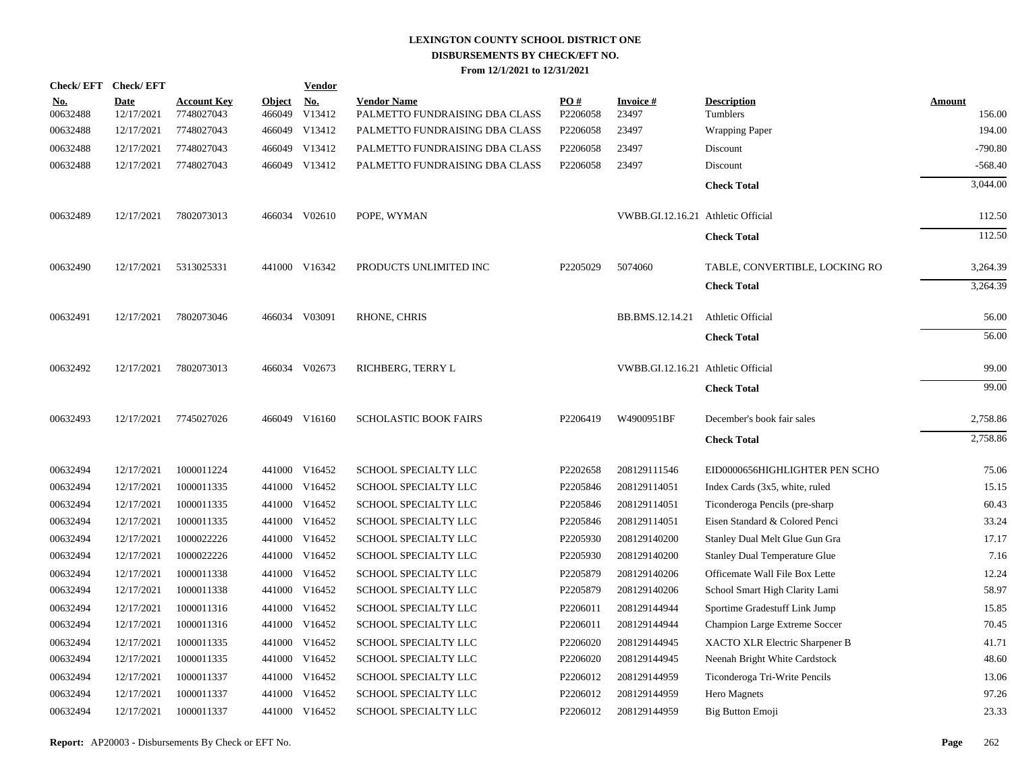|                        | Check/EFT Check/EFT       |                                  |                         | <b>Vendor</b>        |                                                      |                 |                                    |                                      |                         |
|------------------------|---------------------------|----------------------------------|-------------------------|----------------------|------------------------------------------------------|-----------------|------------------------------------|--------------------------------------|-------------------------|
| <u>No.</u><br>00632488 | <b>Date</b><br>12/17/2021 | <b>Account Key</b><br>7748027043 | <b>Object</b><br>466049 | <u>No.</u><br>V13412 | <b>Vendor Name</b><br>PALMETTO FUNDRAISING DBA CLASS | PQ#<br>P2206058 | <b>Invoice#</b><br>23497           | <b>Description</b><br>Tumblers       | <b>Amount</b><br>156.00 |
| 00632488               | 12/17/2021                | 7748027043                       |                         | 466049 V13412        | PALMETTO FUNDRAISING DBA CLASS                       | P2206058        | 23497                              | <b>Wrapping Paper</b>                | 194.00                  |
| 00632488               | 12/17/2021                | 7748027043                       |                         | 466049 V13412        | PALMETTO FUNDRAISING DBA CLASS                       | P2206058        | 23497                              | Discount                             | $-790.80$               |
| 00632488               | 12/17/2021                | 7748027043                       |                         | 466049 V13412        | PALMETTO FUNDRAISING DBA CLASS                       | P2206058        | 23497                              | Discount                             | $-568.40$               |
|                        |                           |                                  |                         |                      |                                                      |                 |                                    | <b>Check Total</b>                   | 3,044.00                |
| 00632489               | 12/17/2021                | 7802073013                       |                         | 466034 V02610        | POPE, WYMAN                                          |                 | VWBB.GI.12.16.21 Athletic Official |                                      | 112.50                  |
|                        |                           |                                  |                         |                      |                                                      |                 |                                    | <b>Check Total</b>                   | 112.50                  |
| 00632490               | 12/17/2021                | 5313025331                       |                         | 441000 V16342        | PRODUCTS UNLIMITED INC                               | P2205029        | 5074060                            | TABLE, CONVERTIBLE, LOCKING RO       | 3,264.39                |
|                        |                           |                                  |                         |                      |                                                      |                 |                                    | <b>Check Total</b>                   | 3,264.39                |
| 00632491               | 12/17/2021                | 7802073046                       |                         | 466034 V03091        | RHONE, CHRIS                                         |                 | BB.BMS.12.14.21                    | Athletic Official                    | 56.00                   |
|                        |                           |                                  |                         |                      |                                                      |                 |                                    | <b>Check Total</b>                   | 56.00                   |
| 00632492               | 12/17/2021                | 7802073013                       |                         | 466034 V02673        | RICHBERG, TERRY L                                    |                 | VWBB.GI.12.16.21 Athletic Official |                                      | 99.00                   |
|                        |                           |                                  |                         |                      |                                                      |                 |                                    | <b>Check Total</b>                   | 99.00                   |
| 00632493               | 12/17/2021                | 7745027026                       |                         | 466049 V16160        | <b>SCHOLASTIC BOOK FAIRS</b>                         | P2206419        | W4900951BF                         | December's book fair sales           | 2,758.86                |
|                        |                           |                                  |                         |                      |                                                      |                 |                                    | <b>Check Total</b>                   | 2,758.86                |
| 00632494               | 12/17/2021                | 1000011224                       |                         | 441000 V16452        | SCHOOL SPECIALTY LLC                                 | P2202658        | 208129111546                       | EID0000656HIGHLIGHTER PEN SCHO       | 75.06                   |
| 00632494               | 12/17/2021                | 1000011335                       |                         | 441000 V16452        | SCHOOL SPECIALTY LLC                                 | P2205846        | 208129114051                       | Index Cards (3x5, white, ruled       | 15.15                   |
| 00632494               | 12/17/2021                | 1000011335                       |                         | 441000 V16452        | SCHOOL SPECIALTY LLC                                 | P2205846        | 208129114051                       | Ticonderoga Pencils (pre-sharp       | 60.43                   |
| 00632494               | 12/17/2021                | 1000011335                       |                         | 441000 V16452        | SCHOOL SPECIALTY LLC                                 | P2205846        | 208129114051                       | Eisen Standard & Colored Penci       | 33.24                   |
| 00632494               | 12/17/2021                | 1000022226                       |                         | 441000 V16452        | SCHOOL SPECIALTY LLC                                 | P2205930        | 208129140200                       | Stanley Dual Melt Glue Gun Gra       | 17.17                   |
| 00632494               | 12/17/2021                | 1000022226                       |                         | 441000 V16452        | SCHOOL SPECIALTY LLC                                 | P2205930        | 208129140200                       | <b>Stanley Dual Temperature Glue</b> | 7.16                    |
| 00632494               | 12/17/2021                | 1000011338                       |                         | 441000 V16452        | <b>SCHOOL SPECIALTY LLC</b>                          | P2205879        | 208129140206                       | Officemate Wall File Box Lette       | 12.24                   |
| 00632494               | 12/17/2021                | 1000011338                       |                         | 441000 V16452        | SCHOOL SPECIALTY LLC                                 | P2205879        | 208129140206                       | School Smart High Clarity Lami       | 58.97                   |
| 00632494               | 12/17/2021                | 1000011316                       |                         | 441000 V16452        | <b>SCHOOL SPECIALTY LLC</b>                          | P2206011        | 208129144944                       | Sportime Gradestuff Link Jump        | 15.85                   |
| 00632494               | 12/17/2021                | 1000011316                       |                         | 441000 V16452        | SCHOOL SPECIALTY LLC                                 | P2206011        | 208129144944                       | Champion Large Extreme Soccer        | 70.45                   |
| 00632494               | 12/17/2021                | 1000011335                       |                         | 441000 V16452        | SCHOOL SPECIALTY LLC                                 | P2206020        | 208129144945                       | XACTO XLR Electric Sharpener B       | 41.71                   |
| 00632494               | 12/17/2021                | 1000011335                       |                         | 441000 V16452        | SCHOOL SPECIALTY LLC                                 | P2206020        | 208129144945                       | Neenah Bright White Cardstock        | 48.60                   |
| 00632494               | 12/17/2021                | 1000011337                       |                         | 441000 V16452        | SCHOOL SPECIALTY LLC                                 | P2206012        | 208129144959                       | Ticonderoga Tri-Write Pencils        | 13.06                   |
| 00632494               | 12/17/2021                | 1000011337                       | 441000                  | V16452               | SCHOOL SPECIALTY LLC                                 | P2206012        | 208129144959                       | Hero Magnets                         | 97.26                   |
| 00632494               | 12/17/2021                | 1000011337                       |                         | 441000 V16452        | SCHOOL SPECIALTY LLC                                 | P2206012        | 208129144959                       | Big Button Emoji                     | 23.33                   |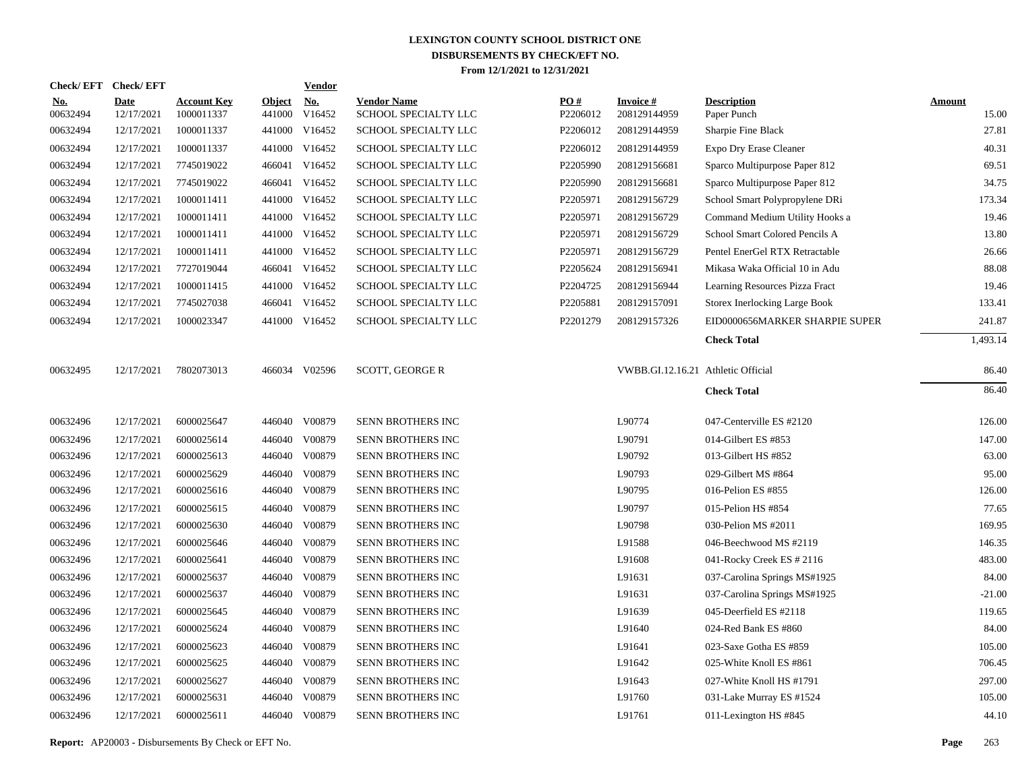|                        | Check/EFT Check/EFT       |                                  |                         | <b>Vendor</b>        |                                            |                 |                                    |                                      |                        |
|------------------------|---------------------------|----------------------------------|-------------------------|----------------------|--------------------------------------------|-----------------|------------------------------------|--------------------------------------|------------------------|
| <u>No.</u><br>00632494 | <b>Date</b><br>12/17/2021 | <b>Account Key</b><br>1000011337 | <b>Object</b><br>441000 | <u>No.</u><br>V16452 | <b>Vendor Name</b><br>SCHOOL SPECIALTY LLC | PQ#<br>P2206012 | <b>Invoice#</b><br>208129144959    | <b>Description</b><br>Paper Punch    | <b>Amount</b><br>15.00 |
| 00632494               | 12/17/2021                | 1000011337                       |                         | 441000 V16452        | SCHOOL SPECIALTY LLC                       | P2206012        | 208129144959                       | Sharpie Fine Black                   | 27.81                  |
| 00632494               | 12/17/2021                | 1000011337                       |                         | 441000 V16452        | SCHOOL SPECIALTY LLC                       | P2206012        | 208129144959                       | Expo Dry Erase Cleaner               | 40.31                  |
| 00632494               | 12/17/2021                | 7745019022                       |                         | 466041 V16452        | SCHOOL SPECIALTY LLC                       | P2205990        | 208129156681                       | Sparco Multipurpose Paper 812        | 69.51                  |
| 00632494               | 12/17/2021                | 7745019022                       |                         | 466041 V16452        | SCHOOL SPECIALTY LLC                       | P2205990        | 208129156681                       | Sparco Multipurpose Paper 812        | 34.75                  |
| 00632494               | 12/17/2021                | 1000011411                       |                         | 441000 V16452        | SCHOOL SPECIALTY LLC                       | P2205971        | 208129156729                       | School Smart Polypropylene DRi       | 173.34                 |
| 00632494               | 12/17/2021                | 1000011411                       |                         | 441000 V16452        | SCHOOL SPECIALTY LLC                       | P2205971        | 208129156729                       | Command Medium Utility Hooks a       | 19.46                  |
| 00632494               | 12/17/2021                | 1000011411                       |                         | 441000 V16452        | SCHOOL SPECIALTY LLC                       | P2205971        | 208129156729                       | School Smart Colored Pencils A       | 13.80                  |
| 00632494               | 12/17/2021                | 1000011411                       |                         | 441000 V16452        | SCHOOL SPECIALTY LLC                       | P2205971        | 208129156729                       | Pentel EnerGel RTX Retractable       | 26.66                  |
| 00632494               | 12/17/2021                | 7727019044                       |                         | 466041 V16452        | SCHOOL SPECIALTY LLC                       | P2205624        | 208129156941                       | Mikasa Waka Official 10 in Adu       | 88.08                  |
| 00632494               | 12/17/2021                | 1000011415                       |                         | 441000 V16452        | <b>SCHOOL SPECIALTY LLC</b>                | P2204725        | 208129156944                       | Learning Resources Pizza Fract       | 19.46                  |
| 00632494               | 12/17/2021                | 7745027038                       |                         | 466041 V16452        | SCHOOL SPECIALTY LLC                       | P2205881        | 208129157091                       | <b>Storex Inerlocking Large Book</b> | 133.41                 |
| 00632494               | 12/17/2021                | 1000023347                       |                         | 441000 V16452        | SCHOOL SPECIALTY LLC                       | P2201279        | 208129157326                       | EID0000656MARKER SHARPIE SUPER       | 241.87                 |
|                        |                           |                                  |                         |                      |                                            |                 |                                    | <b>Check Total</b>                   | 1,493.14               |
| 00632495               | 12/17/2021                | 7802073013                       |                         | 466034 V02596        | <b>SCOTT, GEORGE R</b>                     |                 | VWBB.GI.12.16.21 Athletic Official |                                      | 86.40                  |
|                        |                           |                                  |                         |                      |                                            |                 |                                    | <b>Check Total</b>                   | 86.40                  |
| 00632496               | 12/17/2021                | 6000025647                       |                         | 446040 V00879        | SENN BROTHERS INC                          |                 | L90774                             | 047-Centerville ES #2120             | 126.00                 |
| 00632496               | 12/17/2021                | 6000025614                       | 446040                  | V00879               | SENN BROTHERS INC                          |                 | L90791                             | 014-Gilbert ES #853                  | 147.00                 |
| 00632496               | 12/17/2021                | 6000025613                       | 446040                  | V00879               | <b>SENN BROTHERS INC</b>                   |                 | L90792                             | 013-Gilbert HS #852                  | 63.00                  |
| 00632496               | 12/17/2021                | 6000025629                       | 446040                  | V00879               | SENN BROTHERS INC                          |                 | L90793                             | 029-Gilbert MS #864                  | 95.00                  |
| 00632496               | 12/17/2021                | 6000025616                       | 446040                  | V00879               | SENN BROTHERS INC                          |                 | L90795                             | 016-Pelion ES #855                   | 126.00                 |
| 00632496               | 12/17/2021                | 6000025615                       | 446040                  | V00879               | SENN BROTHERS INC                          |                 | L90797                             | 015-Pelion HS #854                   | 77.65                  |
| 00632496               | 12/17/2021                | 6000025630                       | 446040                  | V00879               | SENN BROTHERS INC                          |                 | L90798                             | 030-Pelion MS #2011                  | 169.95                 |
| 00632496               | 12/17/2021                | 6000025646                       | 446040                  | V00879               | SENN BROTHERS INC                          |                 | L91588                             | 046-Beechwood MS #2119               | 146.35                 |
| 00632496               | 12/17/2021                | 6000025641                       | 446040                  | V00879               | SENN BROTHERS INC                          |                 | L91608                             | 041-Rocky Creek ES # 2116            | 483.00                 |
| 00632496               | 12/17/2021                | 6000025637                       | 446040                  | V00879               | SENN BROTHERS INC                          |                 | L91631                             | 037-Carolina Springs MS#1925         | 84.00                  |
| 00632496               | 12/17/2021                | 6000025637                       | 446040                  | V00879               | SENN BROTHERS INC                          |                 | L91631                             | 037-Carolina Springs MS#1925         | $-21.00$               |
| 00632496               | 12/17/2021                | 6000025645                       | 446040                  | V00879               | SENN BROTHERS INC                          |                 | L91639                             | 045-Deerfield ES #2118               | 119.65                 |
| 00632496               | 12/17/2021                | 6000025624                       | 446040                  | V00879               | SENN BROTHERS INC                          |                 | L91640                             | 024-Red Bank ES #860                 | 84.00                  |
| 00632496               | 12/17/2021                | 6000025623                       | 446040                  | V00879               | SENN BROTHERS INC                          |                 | L91641                             | 023-Saxe Gotha ES #859               | 105.00                 |
| 00632496               | 12/17/2021                | 6000025625                       | 446040                  | V00879               | SENN BROTHERS INC                          |                 | L91642                             | 025-White Knoll ES #861              | 706.45                 |
| 00632496               | 12/17/2021                | 6000025627                       | 446040                  | V00879               | SENN BROTHERS INC                          |                 | L91643                             | 027-White Knoll HS #1791             | 297.00                 |
| 00632496               | 12/17/2021                | 6000025631                       | 446040                  | V00879               | <b>SENN BROTHERS INC</b>                   |                 | L91760                             | 031-Lake Murray ES #1524             | 105.00                 |
| 00632496               | 12/17/2021                | 6000025611                       |                         | 446040 V00879        | SENN BROTHERS INC                          |                 | L91761                             | 011-Lexington HS #845                | 44.10                  |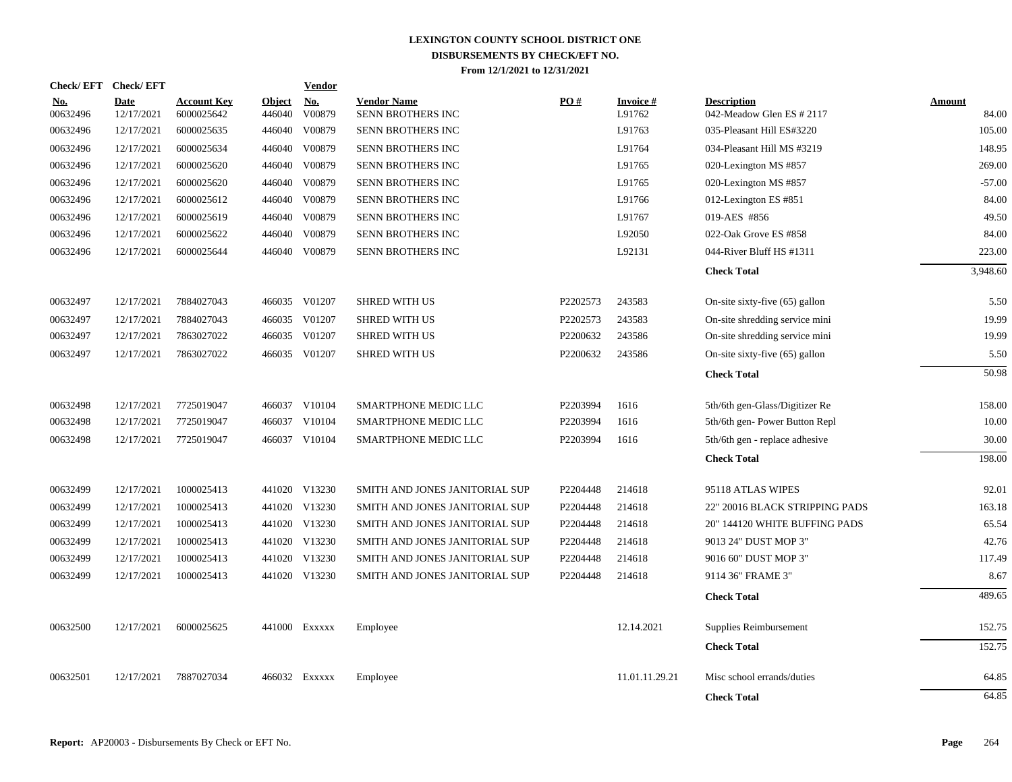| <b>Check/EFT</b>       | <b>Check/EFT</b>          |                                  |                         | <b>Vendor</b> |                                         |          |                           |                                                 |                 |
|------------------------|---------------------------|----------------------------------|-------------------------|---------------|-----------------------------------------|----------|---------------------------|-------------------------------------------------|-----------------|
| <u>No.</u><br>00632496 | <b>Date</b><br>12/17/2021 | <b>Account Key</b><br>6000025642 | <b>Object</b><br>446040 | No.<br>V00879 | <b>Vendor Name</b><br>SENN BROTHERS INC | PO#      | <b>Invoice#</b><br>L91762 | <b>Description</b><br>042-Meadow Glen ES # 2117 | Amount<br>84.00 |
| 00632496               | 12/17/2021                | 6000025635                       | 446040                  | V00879        | <b>SENN BROTHERS INC</b>                |          | L91763                    | 035-Pleasant Hill ES#3220                       | 105.00          |
| 00632496               | 12/17/2021                | 6000025634                       | 446040                  | V00879        | SENN BROTHERS INC                       |          | L91764                    | 034-Pleasant Hill MS #3219                      | 148.95          |
| 00632496               | 12/17/2021                | 6000025620                       | 446040                  | V00879        | SENN BROTHERS INC                       |          | L91765                    | 020-Lexington MS #857                           | 269.00          |
| 00632496               | 12/17/2021                | 6000025620                       | 446040                  | V00879        | SENN BROTHERS INC                       |          | L91765                    | 020-Lexington MS #857                           | $-57.00$        |
| 00632496               | 12/17/2021                | 6000025612                       | 446040                  | V00879        | SENN BROTHERS INC                       |          | L91766                    | 012-Lexington ES #851                           | 84.00           |
| 00632496               | 12/17/2021                | 6000025619                       | 446040                  | V00879        | SENN BROTHERS INC                       |          | L91767                    | 019-AES #856                                    | 49.50           |
| 00632496               | 12/17/2021                | 6000025622                       | 446040                  | V00879        | SENN BROTHERS INC                       |          | L92050                    | 022-Oak Grove ES #858                           | 84.00           |
| 00632496               | 12/17/2021                | 6000025644                       | 446040                  | V00879        | SENN BROTHERS INC                       |          | L92131                    | 044-River Bluff HS #1311                        | 223.00          |
|                        |                           |                                  |                         |               |                                         |          |                           | <b>Check Total</b>                              | 3,948.60        |
| 00632497               | 12/17/2021                | 7884027043                       |                         | 466035 V01207 | <b>SHRED WITH US</b>                    | P2202573 | 243583                    | On-site sixty-five (65) gallon                  | 5.50            |
| 00632497               | 12/17/2021                | 7884027043                       | 466035                  | V01207        | <b>SHRED WITH US</b>                    | P2202573 | 243583                    | On-site shredding service mini                  | 19.99           |
| 00632497               | 12/17/2021                | 7863027022                       | 466035                  | V01207        | <b>SHRED WITH US</b>                    | P2200632 | 243586                    | On-site shredding service mini                  | 19.99           |
| 00632497               | 12/17/2021                | 7863027022                       |                         | 466035 V01207 | <b>SHRED WITH US</b>                    | P2200632 | 243586                    | On-site sixty-five (65) gallon                  | 5.50            |
|                        |                           |                                  |                         |               |                                         |          |                           | <b>Check Total</b>                              | 50.98           |
| 00632498               | 12/17/2021                | 7725019047                       |                         | 466037 V10104 | SMARTPHONE MEDIC LLC                    | P2203994 | 1616                      | 5th/6th gen-Glass/Digitizer Re                  | 158.00          |
| 00632498               | 12/17/2021                | 7725019047                       |                         | 466037 V10104 | SMARTPHONE MEDIC LLC                    | P2203994 | 1616                      | 5th/6th gen-Power Button Repl                   | 10.00           |
| 00632498               | 12/17/2021                | 7725019047                       |                         | 466037 V10104 | SMARTPHONE MEDIC LLC                    | P2203994 | 1616                      | 5th/6th gen - replace adhesive                  | 30.00           |
|                        |                           |                                  |                         |               |                                         |          |                           | <b>Check Total</b>                              | 198.00          |
| 00632499               | 12/17/2021                | 1000025413                       |                         | 441020 V13230 | SMITH AND JONES JANITORIAL SUP          | P2204448 | 214618                    | 95118 ATLAS WIPES                               | 92.01           |
| 00632499               | 12/17/2021                | 1000025413                       |                         | 441020 V13230 | SMITH AND JONES JANITORIAL SUP          | P2204448 | 214618                    | 22" 20016 BLACK STRIPPING PADS                  | 163.18          |
| 00632499               | 12/17/2021                | 1000025413                       |                         | 441020 V13230 | SMITH AND JONES JANITORIAL SUP          | P2204448 | 214618                    | 20" 144120 WHITE BUFFING PADS                   | 65.54           |
| 00632499               | 12/17/2021                | 1000025413                       |                         | 441020 V13230 | SMITH AND JONES JANITORIAL SUP          | P2204448 | 214618                    | 9013 24" DUST MOP 3"                            | 42.76           |
| 00632499               | 12/17/2021                | 1000025413                       |                         | 441020 V13230 | SMITH AND JONES JANITORIAL SUP          | P2204448 | 214618                    | 9016 60" DUST MOP 3"                            | 117.49          |
| 00632499               | 12/17/2021                | 1000025413                       |                         | 441020 V13230 | SMITH AND JONES JANITORIAL SUP          | P2204448 | 214618                    | 9114 36" FRAME 3"                               | 8.67            |
|                        |                           |                                  |                         |               |                                         |          |                           | <b>Check Total</b>                              | 489.65          |
| 00632500               | 12/17/2021                | 6000025625                       |                         | 441000 Exxxxx | Employee                                |          | 12.14.2021                | Supplies Reimbursement                          | 152.75          |
|                        |                           |                                  |                         |               |                                         |          |                           | <b>Check Total</b>                              | 152.75          |
| 00632501               | 12/17/2021                | 7887027034                       |                         | 466032 Exxxxx | Employee                                |          | 11.01.11.29.21            | Misc school errands/duties                      | 64.85           |
|                        |                           |                                  |                         |               |                                         |          |                           | <b>Check Total</b>                              | 64.85           |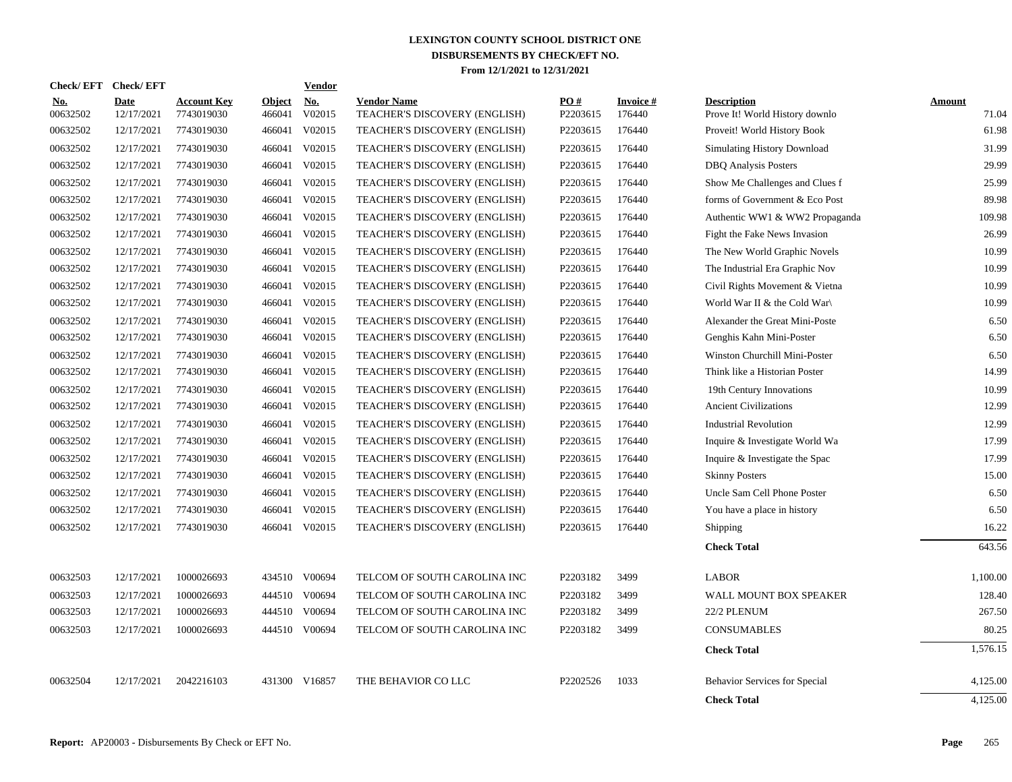| Check/EFT Check/EFT    |                    |                                  |                         | Vendor               |                                                     |                 |                     |                                                      |                 |
|------------------------|--------------------|----------------------------------|-------------------------|----------------------|-----------------------------------------------------|-----------------|---------------------|------------------------------------------------------|-----------------|
| <b>No.</b><br>00632502 | Date<br>12/17/2021 | <b>Account Key</b><br>7743019030 | <b>Object</b><br>466041 | <b>No.</b><br>V02015 | <b>Vendor Name</b><br>TEACHER'S DISCOVERY (ENGLISH) | PO#<br>P2203615 | Invoice #<br>176440 | <b>Description</b><br>Prove It! World History downlo | Amount<br>71.04 |
| 00632502               | 12/17/2021         | 7743019030                       | 466041                  | V02015               | TEACHER'S DISCOVERY (ENGLISH)                       | P2203615        | 176440              | Proveit! World History Book                          | 61.98           |
| 00632502               | 12/17/2021         | 7743019030                       | 466041                  | V02015               | TEACHER'S DISCOVERY (ENGLISH)                       | P2203615        | 176440              | <b>Simulating History Download</b>                   | 31.99           |
| 00632502               | 12/17/2021         | 7743019030                       | 466041                  | V02015               | TEACHER'S DISCOVERY (ENGLISH)                       | P2203615        | 176440              | <b>DBQ</b> Analysis Posters                          | 29.99           |
| 00632502               | 12/17/2021         | 7743019030                       | 466041                  | V02015               | <b>TEACHER'S DISCOVERY (ENGLISH)</b>                | P2203615        | 176440              | Show Me Challenges and Clues f                       | 25.99           |
| 00632502               | 12/17/2021         | 7743019030                       | 466041                  | V02015               | TEACHER'S DISCOVERY (ENGLISH)                       | P2203615        | 176440              | forms of Government & Eco Post                       | 89.98           |
| 00632502               | 12/17/2021         | 7743019030                       | 466041                  | V02015               | TEACHER'S DISCOVERY (ENGLISH)                       | P2203615        | 176440              | Authentic WW1 & WW2 Propaganda                       | 109.98          |
| 00632502               | 12/17/2021         | 7743019030                       | 466041                  | V02015               | TEACHER'S DISCOVERY (ENGLISH)                       | P2203615        | 176440              | Fight the Fake News Invasion                         | 26.99           |
| 00632502               | 12/17/2021         | 7743019030                       | 466041                  | V02015               | TEACHER'S DISCOVERY (ENGLISH)                       | P2203615        | 176440              | The New World Graphic Novels                         | 10.99           |
| 00632502               | 12/17/2021         | 7743019030                       | 466041                  | V02015               | TEACHER'S DISCOVERY (ENGLISH)                       | P2203615        | 176440              | The Industrial Era Graphic Nov                       | 10.99           |
| 00632502               | 12/17/2021         | 7743019030                       | 466041                  | V02015               | TEACHER'S DISCOVERY (ENGLISH)                       | P2203615        | 176440              | Civil Rights Movement & Vietna                       | 10.99           |
| 00632502               | 12/17/2021         | 7743019030                       | 466041                  | V02015               | TEACHER'S DISCOVERY (ENGLISH)                       | P2203615        | 176440              | World War II & the Cold War                          | 10.99           |
| 00632502               | 12/17/2021         | 7743019030                       | 466041                  | V02015               | TEACHER'S DISCOVERY (ENGLISH)                       | P2203615        | 176440              | Alexander the Great Mini-Poste                       | 6.50            |
| 00632502               | 12/17/2021         | 7743019030                       | 466041                  | V02015               | TEACHER'S DISCOVERY (ENGLISH)                       | P2203615        | 176440              | Genghis Kahn Mini-Poster                             | 6.50            |
| 00632502               | 12/17/2021         | 7743019030                       | 466041                  | V02015               | TEACHER'S DISCOVERY (ENGLISH)                       | P2203615        | 176440              | Winston Churchill Mini-Poster                        | 6.50            |
| 00632502               | 12/17/2021         | 7743019030                       | 466041                  | V02015               | TEACHER'S DISCOVERY (ENGLISH)                       | P2203615        | 176440              | Think like a Historian Poster                        | 14.99           |
| 00632502               | 12/17/2021         | 7743019030                       | 466041                  | V02015               | TEACHER'S DISCOVERY (ENGLISH)                       | P2203615        | 176440              | 19th Century Innovations                             | 10.99           |
| 00632502               | 12/17/2021         | 7743019030                       | 466041                  | V02015               | TEACHER'S DISCOVERY (ENGLISH)                       | P2203615        | 176440              | <b>Ancient Civilizations</b>                         | 12.99           |
| 00632502               | 12/17/2021         | 7743019030                       | 466041                  | V02015               | TEACHER'S DISCOVERY (ENGLISH)                       | P2203615        | 176440              | <b>Industrial Revolution</b>                         | 12.99           |
| 00632502               | 12/17/2021         | 7743019030                       | 466041                  | V02015               | TEACHER'S DISCOVERY (ENGLISH)                       | P2203615        | 176440              | Inquire & Investigate World Wa                       | 17.99           |
| 00632502               | 12/17/2021         | 7743019030                       |                         | 466041 V02015        | TEACHER'S DISCOVERY (ENGLISH)                       | P2203615        | 176440              | Inquire & Investigate the Spac                       | 17.99           |
| 00632502               | 12/17/2021         | 7743019030                       | 466041                  | V02015               | TEACHER'S DISCOVERY (ENGLISH)                       | P2203615        | 176440              | <b>Skinny Posters</b>                                | 15.00           |
| 00632502               | 12/17/2021         | 7743019030                       | 466041                  | V02015               | TEACHER'S DISCOVERY (ENGLISH)                       | P2203615        | 176440              | Uncle Sam Cell Phone Poster                          | 6.50            |
| 00632502               | 12/17/2021         | 7743019030                       | 466041                  | V02015               | TEACHER'S DISCOVERY (ENGLISH)                       | P2203615        | 176440              | You have a place in history                          | 6.50            |
| 00632502               | 12/17/2021         | 7743019030                       |                         | 466041 V02015        | TEACHER'S DISCOVERY (ENGLISH)                       | P2203615        | 176440              | Shipping                                             | 16.22           |
|                        |                    |                                  |                         |                      |                                                     |                 |                     | <b>Check Total</b>                                   | 643.56          |
| 00632503               | 12/17/2021         | 1000026693                       |                         | 434510 V00694        | TELCOM OF SOUTH CAROLINA INC                        | P2203182        | 3499                | <b>LABOR</b>                                         | 1,100.00        |
| 00632503               | 12/17/2021         | 1000026693                       |                         | 444510 V00694        | TELCOM OF SOUTH CAROLINA INC                        | P2203182        | 3499                | WALL MOUNT BOX SPEAKER                               | 128.40          |
| 00632503               | 12/17/2021         | 1000026693                       |                         | 444510 V00694        | TELCOM OF SOUTH CAROLINA INC                        | P2203182        | 3499                | 22/2 PLENUM                                          | 267.50          |
| 00632503               | 12/17/2021         | 1000026693                       |                         | 444510 V00694        | TELCOM OF SOUTH CAROLINA INC                        | P2203182        | 3499                | <b>CONSUMABLES</b>                                   | 80.25           |
|                        |                    |                                  |                         |                      |                                                     |                 |                     | <b>Check Total</b>                                   | 1,576.15        |
| 00632504               | 12/17/2021         | 2042216103                       |                         | 431300 V16857        | THE BEHAVIOR CO LLC                                 | P2202526        | 1033                | Behavior Services for Special                        | 4,125.00        |
|                        |                    |                                  |                         |                      |                                                     |                 |                     | <b>Check Total</b>                                   | 4,125.00        |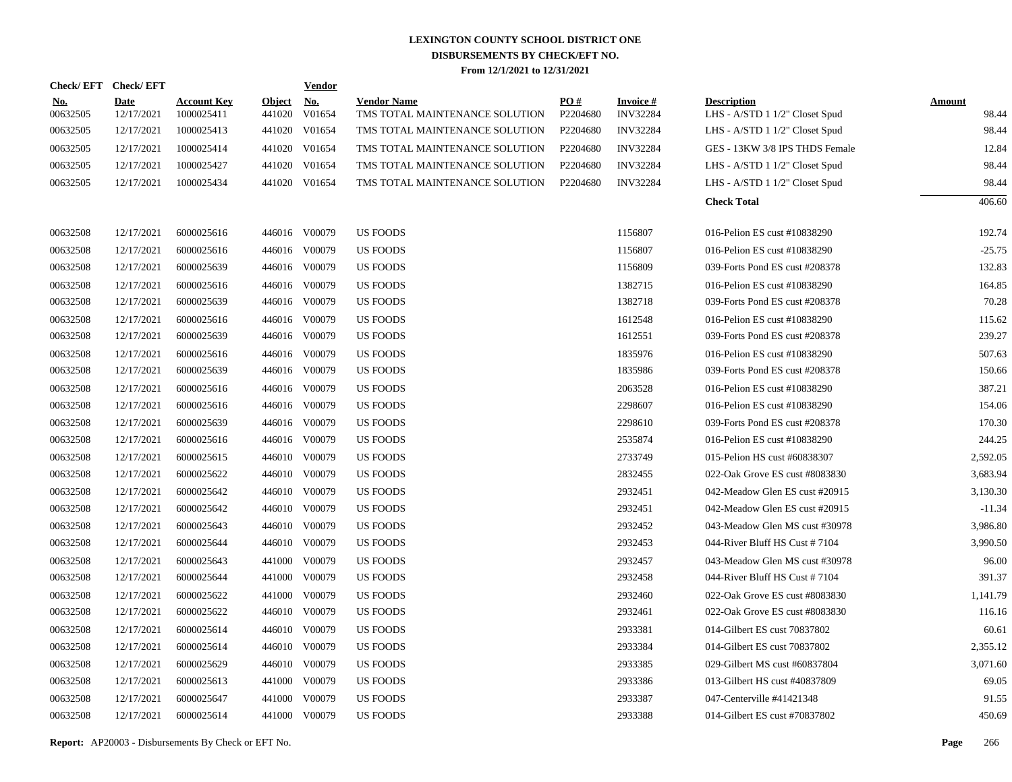| Check/EFT Check/EFT    |                           |                                  |                         | <b>Vendor</b> |                                                      |                 |                              |                                                      |                        |
|------------------------|---------------------------|----------------------------------|-------------------------|---------------|------------------------------------------------------|-----------------|------------------------------|------------------------------------------------------|------------------------|
| <u>No.</u><br>00632505 | <b>Date</b><br>12/17/2021 | <b>Account Key</b><br>1000025411 | <b>Object</b><br>441020 | No.<br>V01654 | <b>Vendor Name</b><br>TMS TOTAL MAINTENANCE SOLUTION | PO#<br>P2204680 | Invoice #<br><b>INV32284</b> | <b>Description</b><br>LHS - A/STD 1 1/2" Closet Spud | <b>Amount</b><br>98.44 |
| 00632505               | 12/17/2021                | 1000025413                       |                         | 441020 V01654 | TMS TOTAL MAINTENANCE SOLUTION                       | P2204680        | <b>INV32284</b>              | LHS - A/STD 1 1/2" Closet Spud                       | 98.44                  |
| 00632505               | 12/17/2021                | 1000025414                       |                         | 441020 V01654 | TMS TOTAL MAINTENANCE SOLUTION                       | P2204680        | <b>INV32284</b>              | GES - 13KW 3/8 IPS THDS Female                       | 12.84                  |
| 00632505               | 12/17/2021                | 1000025427                       |                         | 441020 V01654 | TMS TOTAL MAINTENANCE SOLUTION                       | P2204680        | <b>INV32284</b>              | LHS - A/STD 1 1/2" Closet Spud                       | 98.44                  |
| 00632505               | 12/17/2021                | 1000025434                       |                         | 441020 V01654 | TMS TOTAL MAINTENANCE SOLUTION                       | P2204680        | <b>INV32284</b>              | LHS - A/STD 1 1/2" Closet Spud                       | 98.44                  |
|                        |                           |                                  |                         |               |                                                      |                 |                              | <b>Check Total</b>                                   | 406.60                 |
|                        |                           |                                  |                         |               |                                                      |                 |                              |                                                      |                        |
| 00632508               | 12/17/2021                | 6000025616                       |                         | 446016 V00079 | <b>US FOODS</b>                                      |                 | 1156807                      | 016-Pelion ES cust #10838290                         | 192.74                 |
| 00632508               | 12/17/2021                | 6000025616                       |                         | 446016 V00079 | <b>US FOODS</b>                                      |                 | 1156807                      | 016-Pelion ES cust #10838290                         | $-25.75$               |
| 00632508               | 12/17/2021                | 6000025639                       |                         | 446016 V00079 | <b>US FOODS</b>                                      |                 | 1156809                      | 039-Forts Pond ES cust #208378                       | 132.83                 |
| 00632508               | 12/17/2021                | 6000025616                       |                         | 446016 V00079 | <b>US FOODS</b>                                      |                 | 1382715                      | 016-Pelion ES cust #10838290                         | 164.85                 |
| 00632508               | 12/17/2021                | 6000025639                       |                         | 446016 V00079 | <b>US FOODS</b>                                      |                 | 1382718                      | 039-Forts Pond ES cust #208378                       | 70.28                  |
| 00632508               | 12/17/2021                | 6000025616                       |                         | 446016 V00079 | <b>US FOODS</b>                                      |                 | 1612548                      | 016-Pelion ES cust #10838290                         | 115.62                 |
| 00632508               | 12/17/2021                | 6000025639                       |                         | 446016 V00079 | <b>US FOODS</b>                                      |                 | 1612551                      | 039-Forts Pond ES cust #208378                       | 239.27                 |
| 00632508               | 12/17/2021                | 6000025616                       |                         | 446016 V00079 | <b>US FOODS</b>                                      |                 | 1835976                      | 016-Pelion ES cust #10838290                         | 507.63                 |
| 00632508               | 12/17/2021                | 6000025639                       |                         | 446016 V00079 | <b>US FOODS</b>                                      |                 | 1835986                      | 039-Forts Pond ES cust #208378                       | 150.66                 |
| 00632508               | 12/17/2021                | 6000025616                       |                         | 446016 V00079 | <b>US FOODS</b>                                      |                 | 2063528                      | 016-Pelion ES cust #10838290                         | 387.21                 |
| 00632508               | 12/17/2021                | 6000025616                       |                         | 446016 V00079 | <b>US FOODS</b>                                      |                 | 2298607                      | 016-Pelion ES cust #10838290                         | 154.06                 |
| 00632508               | 12/17/2021                | 6000025639                       |                         | 446016 V00079 | <b>US FOODS</b>                                      |                 | 2298610                      | 039-Forts Pond ES cust #208378                       | 170.30                 |
| 00632508               | 12/17/2021                | 6000025616                       |                         | 446016 V00079 | <b>US FOODS</b>                                      |                 | 2535874                      | 016-Pelion ES cust #10838290                         | 244.25                 |
| 00632508               | 12/17/2021                | 6000025615                       |                         | 446010 V00079 | <b>US FOODS</b>                                      |                 | 2733749                      | 015-Pelion HS cust #60838307                         | 2,592.05               |
| 00632508               | 12/17/2021                | 6000025622                       |                         | 446010 V00079 | <b>US FOODS</b>                                      |                 | 2832455                      | 022-Oak Grove ES cust #8083830                       | 3,683.94               |
| 00632508               | 12/17/2021                | 6000025642                       |                         | 446010 V00079 | <b>US FOODS</b>                                      |                 | 2932451                      | 042-Meadow Glen ES cust #20915                       | 3,130.30               |
| 00632508               | 12/17/2021                | 6000025642                       |                         | 446010 V00079 | <b>US FOODS</b>                                      |                 | 2932451                      | 042-Meadow Glen ES cust #20915                       | $-11.34$               |
| 00632508               | 12/17/2021                | 6000025643                       |                         | 446010 V00079 | US FOODS                                             |                 | 2932452                      | 043-Meadow Glen MS cust #30978                       | 3,986.80               |
| 00632508               | 12/17/2021                | 6000025644                       |                         | 446010 V00079 | <b>US FOODS</b>                                      |                 | 2932453                      | 044-River Bluff HS Cust #7104                        | 3,990.50               |
| 00632508               | 12/17/2021                | 6000025643                       |                         | 441000 V00079 | US FOODS                                             |                 | 2932457                      | 043-Meadow Glen MS cust #30978                       | 96.00                  |
| 00632508               | 12/17/2021                | 6000025644                       |                         | 441000 V00079 | <b>US FOODS</b>                                      |                 | 2932458                      | 044-River Bluff HS Cust #7104                        | 391.37                 |
| 00632508               | 12/17/2021                | 6000025622                       |                         | 441000 V00079 | US FOODS                                             |                 | 2932460                      | 022-Oak Grove ES cust #8083830                       | 1,141.79               |
| 00632508               | 12/17/2021                | 6000025622                       |                         | 446010 V00079 | <b>US FOODS</b>                                      |                 | 2932461                      | 022-Oak Grove ES cust #8083830                       | 116.16                 |
| 00632508               | 12/17/2021                | 6000025614                       |                         | 446010 V00079 | <b>US FOODS</b>                                      |                 | 2933381                      | 014-Gilbert ES cust 70837802                         | 60.61                  |
| 00632508               | 12/17/2021                | 6000025614                       |                         | 446010 V00079 | <b>US FOODS</b>                                      |                 | 2933384                      | 014-Gilbert ES cust 70837802                         | 2,355.12               |
| 00632508               | 12/17/2021                | 6000025629                       |                         | 446010 V00079 | <b>US FOODS</b>                                      |                 | 2933385                      | 029-Gilbert MS cust #60837804                        | 3,071.60               |
| 00632508               | 12/17/2021                | 6000025613                       |                         | 441000 V00079 | <b>US FOODS</b>                                      |                 | 2933386                      | 013-Gilbert HS cust #40837809                        | 69.05                  |
| 00632508               | 12/17/2021                | 6000025647                       |                         | 441000 V00079 | <b>US FOODS</b>                                      |                 | 2933387                      | 047-Centerville #41421348                            | 91.55                  |
| 00632508               | 12/17/2021                | 6000025614                       |                         | 441000 V00079 | <b>US FOODS</b>                                      |                 | 2933388                      | 014-Gilbert ES cust #70837802                        | 450.69                 |
|                        |                           |                                  |                         |               |                                                      |                 |                              |                                                      |                        |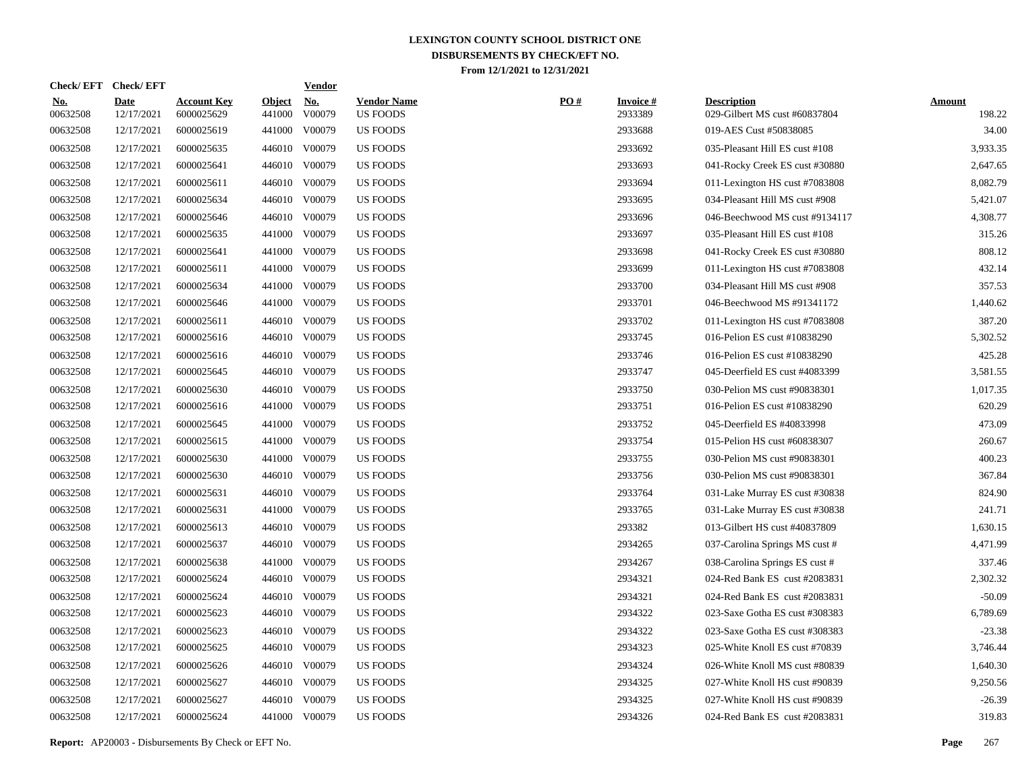| Check/EFT Check/EFT    |                           |                                  |                         | <b>Vendor</b>        |                                       |     |                            |                                                     |                         |
|------------------------|---------------------------|----------------------------------|-------------------------|----------------------|---------------------------------------|-----|----------------------------|-----------------------------------------------------|-------------------------|
| <u>No.</u><br>00632508 | <b>Date</b><br>12/17/2021 | <b>Account Key</b><br>6000025629 | <b>Object</b><br>441000 | <u>No.</u><br>V00079 | <b>Vendor Name</b><br><b>US FOODS</b> | PO# | <b>Invoice#</b><br>2933389 | <b>Description</b><br>029-Gilbert MS cust #60837804 | <b>Amount</b><br>198.22 |
| 00632508               | 12/17/2021                | 6000025619                       | 441000                  | V00079               | <b>US FOODS</b>                       |     | 2933688                    | 019-AES Cust #50838085                              | 34.00                   |
| 00632508               | 12/17/2021                | 6000025635                       |                         | 446010 V00079        | US FOODS                              |     | 2933692                    | 035-Pleasant Hill ES cust #108                      | 3,933.35                |
| 00632508               | 12/17/2021                | 6000025641                       | 446010                  | V00079               | <b>US FOODS</b>                       |     | 2933693                    | 041-Rocky Creek ES cust #30880                      | 2,647.65                |
| 00632508               | 12/17/2021                | 6000025611                       | 446010                  | V00079               | <b>US FOODS</b>                       |     | 2933694                    | 011-Lexington HS cust #7083808                      | 8,082.79                |
| 00632508               | 12/17/2021                | 6000025634                       | 446010                  | V00079               | <b>US FOODS</b>                       |     | 2933695                    | 034-Pleasant Hill MS cust #908                      | 5,421.07                |
| 00632508               | 12/17/2021                | 6000025646                       |                         | 446010 V00079        | <b>US FOODS</b>                       |     | 2933696                    | 046-Beechwood MS cust #9134117                      | 4,308.77                |
| 00632508               | 12/17/2021                | 6000025635                       | 441000                  | V00079               | US FOODS                              |     | 2933697                    | 035-Pleasant Hill ES cust #108                      | 315.26                  |
| 00632508               | 12/17/2021                | 6000025641                       | 441000                  | V00079               | <b>US FOODS</b>                       |     | 2933698                    | 041-Rocky Creek ES cust #30880                      | 808.12                  |
| 00632508               | 12/17/2021                | 6000025611                       | 441000                  | V00079               | US FOODS                              |     | 2933699                    | 011-Lexington HS cust #7083808                      | 432.14                  |
| 00632508               | 12/17/2021                | 6000025634                       | 441000                  | V00079               | US FOODS                              |     | 2933700                    | 034-Pleasant Hill MS cust #908                      | 357.53                  |
| 00632508               | 12/17/2021                | 6000025646                       | 441000                  | V00079               | <b>US FOODS</b>                       |     | 2933701                    | 046-Beechwood MS #91341172                          | 1,440.62                |
| 00632508               | 12/17/2021                | 6000025611                       |                         | 446010 V00079        | <b>US FOODS</b>                       |     | 2933702                    | 011-Lexington HS cust #7083808                      | 387.20                  |
| 00632508               | 12/17/2021                | 6000025616                       |                         | 446010 V00079        | <b>US FOODS</b>                       |     | 2933745                    | 016-Pelion ES cust #10838290                        | 5,302.52                |
| 00632508               | 12/17/2021                | 6000025616                       |                         | 446010 V00079        | <b>US FOODS</b>                       |     | 2933746                    | 016-Pelion ES cust #10838290                        | 425.28                  |
| 00632508               | 12/17/2021                | 6000025645                       |                         | 446010 V00079        | <b>US FOODS</b>                       |     | 2933747                    | 045-Deerfield ES cust #4083399                      | 3,581.55                |
| 00632508               | 12/17/2021                | 6000025630                       |                         | 446010 V00079        | <b>US FOODS</b>                       |     | 2933750                    | 030-Pelion MS cust #90838301                        | 1.017.35                |
| 00632508               | 12/17/2021                | 6000025616                       |                         | 441000 V00079        | <b>US FOODS</b>                       |     | 2933751                    | 016-Pelion ES cust #10838290                        | 620.29                  |
| 00632508               | 12/17/2021                | 6000025645                       | 441000                  | V00079               | <b>US FOODS</b>                       |     | 2933752                    | 045-Deerfield ES #40833998                          | 473.09                  |
| 00632508               | 12/17/2021                | 6000025615                       |                         | 441000 V00079        | <b>US FOODS</b>                       |     | 2933754                    | 015-Pelion HS cust #60838307                        | 260.67                  |
| 00632508               | 12/17/2021                | 6000025630                       | 441000                  | V00079               | <b>US FOODS</b>                       |     | 2933755                    | 030-Pelion MS cust #90838301                        | 400.23                  |
| 00632508               | 12/17/2021                | 6000025630                       |                         | 446010 V00079        | US FOODS                              |     | 2933756                    | 030-Pelion MS cust #90838301                        | 367.84                  |
| 00632508               | 12/17/2021                | 6000025631                       |                         | 446010 V00079        | <b>US FOODS</b>                       |     | 2933764                    | 031-Lake Murray ES cust #30838                      | 824.90                  |
| 00632508               | 12/17/2021                | 6000025631                       | 441000                  | V00079               | US FOODS                              |     | 2933765                    | 031-Lake Murray ES cust #30838                      | 241.71                  |
| 00632508               | 12/17/2021                | 6000025613                       |                         | 446010 V00079        | US FOODS                              |     | 293382                     | 013-Gilbert HS cust #40837809                       | 1,630.15                |
| 00632508               | 12/17/2021                | 6000025637                       |                         | 446010 V00079        | <b>US FOODS</b>                       |     | 2934265                    | 037-Carolina Springs MS cust #                      | 4,471.99                |
| 00632508               | 12/17/2021                | 6000025638                       | 441000                  | V00079               | <b>US FOODS</b>                       |     | 2934267                    | 038-Carolina Springs ES cust #                      | 337.46                  |
| 00632508               | 12/17/2021                | 6000025624                       |                         | 446010 V00079        | <b>US FOODS</b>                       |     | 2934321                    | 024-Red Bank ES cust #2083831                       | 2,302.32                |
| 00632508               | 12/17/2021                | 6000025624                       |                         | 446010 V00079        | US FOODS                              |     | 2934321                    | 024-Red Bank ES cust #2083831                       | $-50.09$                |
| 00632508               | 12/17/2021                | 6000025623                       |                         | 446010 V00079        | US FOODS                              |     | 2934322                    | 023-Saxe Gotha ES cust #308383                      | 6,789.69                |
| 00632508               | 12/17/2021                | 6000025623                       |                         | 446010 V00079        | US FOODS                              |     | 2934322                    | 023-Saxe Gotha ES cust #308383                      | $-23.38$                |
| 00632508               | 12/17/2021                | 6000025625                       |                         | 446010 V00079        | <b>US FOODS</b>                       |     | 2934323                    | 025-White Knoll ES cust #70839                      | 3,746.44                |
| 00632508               | 12/17/2021                | 6000025626                       |                         | 446010 V00079        | <b>US FOODS</b>                       |     | 2934324                    | 026-White Knoll MS cust #80839                      | 1,640.30                |
| 00632508               | 12/17/2021                | 6000025627                       |                         | 446010 V00079        | <b>US FOODS</b>                       |     | 2934325                    | 027-White Knoll HS cust #90839                      | 9,250.56                |
| 00632508               | 12/17/2021                | 6000025627                       |                         | 446010 V00079        | <b>US FOODS</b>                       |     | 2934325                    | 027-White Knoll HS cust #90839                      | $-26.39$                |
| 00632508               | 12/17/2021                | 6000025624                       |                         | 441000 V00079        | <b>US FOODS</b>                       |     | 2934326                    | 024-Red Bank ES cust #2083831                       | 319.83                  |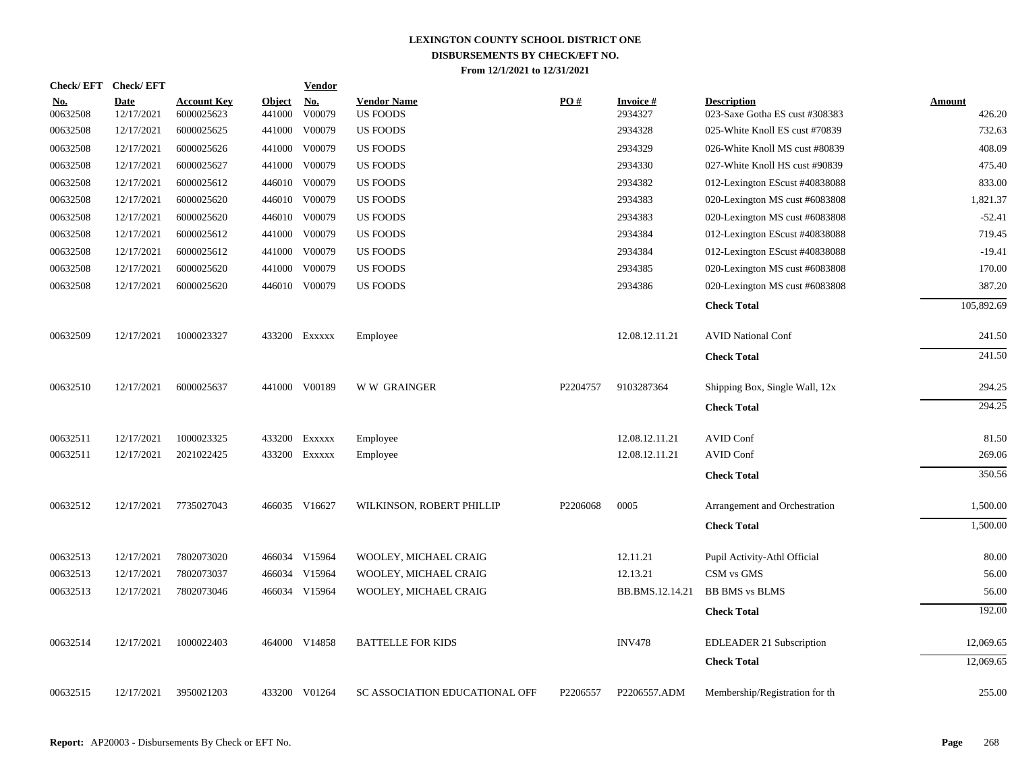| <b>Check/EFT</b>       | <b>Check/EFT</b>          |                                  |                         | <b>Vendor</b>                       |                                       |          |                            |                                                      |                         |
|------------------------|---------------------------|----------------------------------|-------------------------|-------------------------------------|---------------------------------------|----------|----------------------------|------------------------------------------------------|-------------------------|
| <u>No.</u><br>00632508 | <b>Date</b><br>12/17/2021 | <b>Account Key</b><br>6000025623 | <b>Object</b><br>441000 | $\underline{\textbf{No}}$<br>V00079 | <b>Vendor Name</b><br><b>US FOODS</b> | PO#      | <b>Invoice#</b><br>2934327 | <b>Description</b><br>023-Saxe Gotha ES cust #308383 | <b>Amount</b><br>426.20 |
| 00632508               | 12/17/2021                | 6000025625                       | 441000                  | V00079                              | <b>US FOODS</b>                       |          | 2934328                    | 025-White Knoll ES cust #70839                       | 732.63                  |
| 00632508               | 12/17/2021                | 6000025626                       | 441000                  | V00079                              | US FOODS                              |          | 2934329                    | 026-White Knoll MS cust #80839                       | 408.09                  |
| 00632508               | 12/17/2021                | 6000025627                       | 441000                  | V00079                              | US FOODS                              |          | 2934330                    | 027-White Knoll HS cust #90839                       | 475.40                  |
| 00632508               | 12/17/2021                | 6000025612                       | 446010                  | V00079                              | US FOODS                              |          | 2934382                    | 012-Lexington EScust #40838088                       | 833.00                  |
| 00632508               | 12/17/2021                | 6000025620                       |                         | 446010 V00079                       | <b>US FOODS</b>                       |          | 2934383                    | 020-Lexington MS cust #6083808                       | 1,821.37                |
| 00632508               | 12/17/2021                | 6000025620                       |                         | 446010 V00079                       | <b>US FOODS</b>                       |          | 2934383                    | 020-Lexington MS cust #6083808                       | $-52.41$                |
| 00632508               | 12/17/2021                | 6000025612                       |                         | 441000 V00079                       | <b>US FOODS</b>                       |          | 2934384                    | 012-Lexington EScust #40838088                       | 719.45                  |
| 00632508               | 12/17/2021                | 6000025612                       |                         | 441000 V00079                       | <b>US FOODS</b>                       |          | 2934384                    | 012-Lexington EScust #40838088                       | $-19.41$                |
| 00632508               | 12/17/2021                | 6000025620                       | 441000                  | V00079                              | <b>US FOODS</b>                       |          | 2934385                    | 020-Lexington MS cust #6083808                       | 170.00                  |
| 00632508               | 12/17/2021                | 6000025620                       |                         | 446010 V00079                       | US FOODS                              |          | 2934386                    | 020-Lexington MS cust #6083808                       | 387.20                  |
|                        |                           |                                  |                         |                                     |                                       |          |                            | <b>Check Total</b>                                   | 105,892.69              |
| 00632509               | 12/17/2021                | 1000023327                       |                         | 433200 Exxxxx                       | Employee                              |          | 12.08.12.11.21             | <b>AVID National Conf</b>                            | 241.50                  |
|                        |                           |                                  |                         |                                     |                                       |          |                            | <b>Check Total</b>                                   | 241.50                  |
| 00632510               | 12/17/2021                | 6000025637                       |                         | 441000 V00189                       | <b>WW GRAINGER</b>                    | P2204757 | 9103287364                 | Shipping Box, Single Wall, 12x                       | 294.25                  |
|                        |                           |                                  |                         |                                     |                                       |          |                            | <b>Check Total</b>                                   | 294.25                  |
| 00632511               | 12/17/2021                | 1000023325                       |                         | 433200 EXXXXX                       | Employee                              |          | 12.08.12.11.21             | <b>AVID Conf</b>                                     | 81.50                   |
| 00632511               | 12/17/2021                | 2021022425                       |                         | 433200 Exxxxx                       | Employee                              |          | 12.08.12.11.21             | AVID Conf                                            | 269.06                  |
|                        |                           |                                  |                         |                                     |                                       |          |                            | <b>Check Total</b>                                   | 350.56                  |
| 00632512               | 12/17/2021                | 7735027043                       |                         | 466035 V16627                       | WILKINSON, ROBERT PHILLIP             | P2206068 | 0005                       | Arrangement and Orchestration                        | 1,500.00                |
|                        |                           |                                  |                         |                                     |                                       |          |                            | <b>Check Total</b>                                   | 1,500.00                |
| 00632513               | 12/17/2021                | 7802073020                       |                         | 466034 V15964                       | WOOLEY, MICHAEL CRAIG                 |          | 12.11.21                   | Pupil Activity-Athl Official                         | 80.00                   |
| 00632513               | 12/17/2021                | 7802073037                       |                         | 466034 V15964                       | WOOLEY, MICHAEL CRAIG                 |          | 12.13.21                   | CSM vs GMS                                           | 56.00                   |
| 00632513               | 12/17/2021                | 7802073046                       |                         | 466034 V15964                       | WOOLEY, MICHAEL CRAIG                 |          | BB.BMS.12.14.21            | <b>BB BMS vs BLMS</b>                                | 56.00                   |
|                        |                           |                                  |                         |                                     |                                       |          |                            | <b>Check Total</b>                                   | 192.00                  |
| 00632514               | 12/17/2021                | 1000022403                       |                         | 464000 V14858                       | <b>BATTELLE FOR KIDS</b>              |          | <b>INV478</b>              | EDLEADER 21 Subscription                             | 12,069.65               |
|                        |                           |                                  |                         |                                     |                                       |          |                            | <b>Check Total</b>                                   | 12,069.65               |
| 00632515               | 12/17/2021                | 3950021203                       |                         | 433200 V01264                       | SC ASSOCIATION EDUCATIONAL OFF        | P2206557 | P2206557.ADM               | Membership/Registration for the                      | 255.00                  |
|                        |                           |                                  |                         |                                     |                                       |          |                            |                                                      |                         |